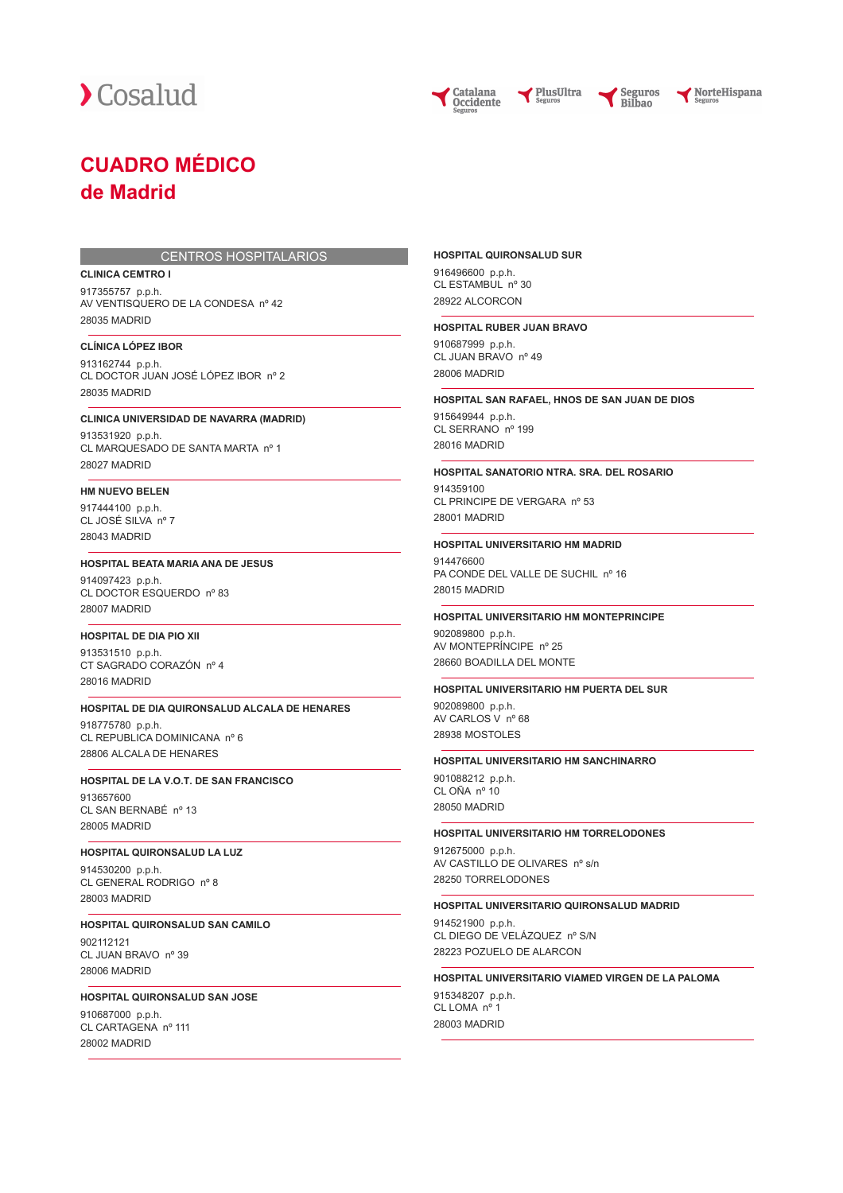

Catalana **Occidente** 



NorteHispana

## **CUADRO MÉDICO de Madrid**

#### CENTROS HOSPITALARIOS

#### **CLINICA CEMTRO I**

917355757 p.p.h. AV VENTISQUERO DE LA CONDESA nº 42 28035 MADRID

## **CLÍNICA LÓPEZ IBOR**

913162744 p.p.h. CL DOCTOR JUAN JOSÉ LÓPEZ IBOR nº 2 28035 MADRID

#### **CLINICA UNIVERSIDAD DE NAVARRA (MADRID)**

913531920 p.p.h. CL MARQUESADO DE SANTA MARTA nº 1 28027 MADRID

### **HM NUEVO BELEN**

917444100 p.p.h. CL JOSÉ SILVA nº 7 28043 MADRID

#### **HOSPITAL BEATA MARIA ANA DE JESUS**

914097423 p.p.h. CL DOCTOR ESQUERDO nº 83 28007 MADRID

#### **HOSPITAL DE DIA PIO XII**

913531510 p.p.h. CT SAGRADO CORAZÓN nº 4 28016 MADRID

#### **HOSPITAL DE DIA QUIRONSALUD ALCALA DE HENARES**

918775780 p.p.h. CL REPUBLICA DOMINICANA nº 6 28806 ALCALA DE HENARES

#### **HOSPITAL DE LA V.O.T. DE SAN FRANCISCO**

913657600 CL SAN BERNABÉ nº 13 28005 MADRID

#### **HOSPITAL QUIRONSALUD LA LUZ**

914530200 p.p.h. CL GENERAL RODRIGO nº 8 28003 MADRID

#### **HOSPITAL QUIRONSALUD SAN CAMILO**

902112121 CL JUAN BRAVO nº 39 28006 MADRID

#### **HOSPITAL QUIRONSALUD SAN JOSE**

910687000 p.p.h. CL CARTAGENA nº 111 28002 MADRID

#### **HOSPITAL QUIRONSALUD SUR**

916496600 p.p.h. CL ESTAMBUL nº 30 28922 ALCORCON

#### **HOSPITAL RUBER JUAN BRAVO**

910687999 p.p.h. CL JUAN BRAVO nº 49 28006 MADRID

#### **HOSPITAL SAN RAFAEL, HNOS DE SAN JUAN DE DIOS**

PlusUltra

915649944 p.p.h. CL SERRANO<sup>nº</sup> 199 28016 MADRID

#### **HOSPITAL SANATORIO NTRA. SRA. DEL ROSARIO**

914359100 CL PRINCIPE DE VERGARA nº 53 28001 MADRID

#### **HOSPITAL UNIVERSITARIO HM MADRID**

914476600 PA CONDE DEL VALLE DE SUCHIL nº 16 28015 MADRID

#### **HOSPITAL UNIVERSITARIO HM MONTEPRINCIPE**

902089800 p.p.h. AV MONTEPRÍNCIPE nº 25 28660 BOADILLA DEL MONTE

#### **HOSPITAL UNIVERSITARIO HM PUERTA DEL SUR**

902089800 p.p.h. AV CARLOS V nº 68 28938 MOSTOLES

#### **HOSPITAL UNIVERSITARIO HM SANCHINARRO**

901088212 p.p.h. CL OÑA nº 10 28050 MADRID

#### **HOSPITAL UNIVERSITARIO HM TORRELODONES**

912675000 p.p.h. AV CASTILLO DE OLIVARES nº s/n 28250 TORRELODONES

#### **HOSPITAL UNIVERSITARIO QUIRONSALUD MADRID**

914521900 p.p.h. CL DIEGO DE VELÁZQUEZ nº S/N 28223 POZUELO DE ALARCON

#### **HOSPITAL UNIVERSITARIO VIAMED VIRGEN DE LA PALOMA**

915348207 p.p.h. CL LOMA nº 1 28003 MADRID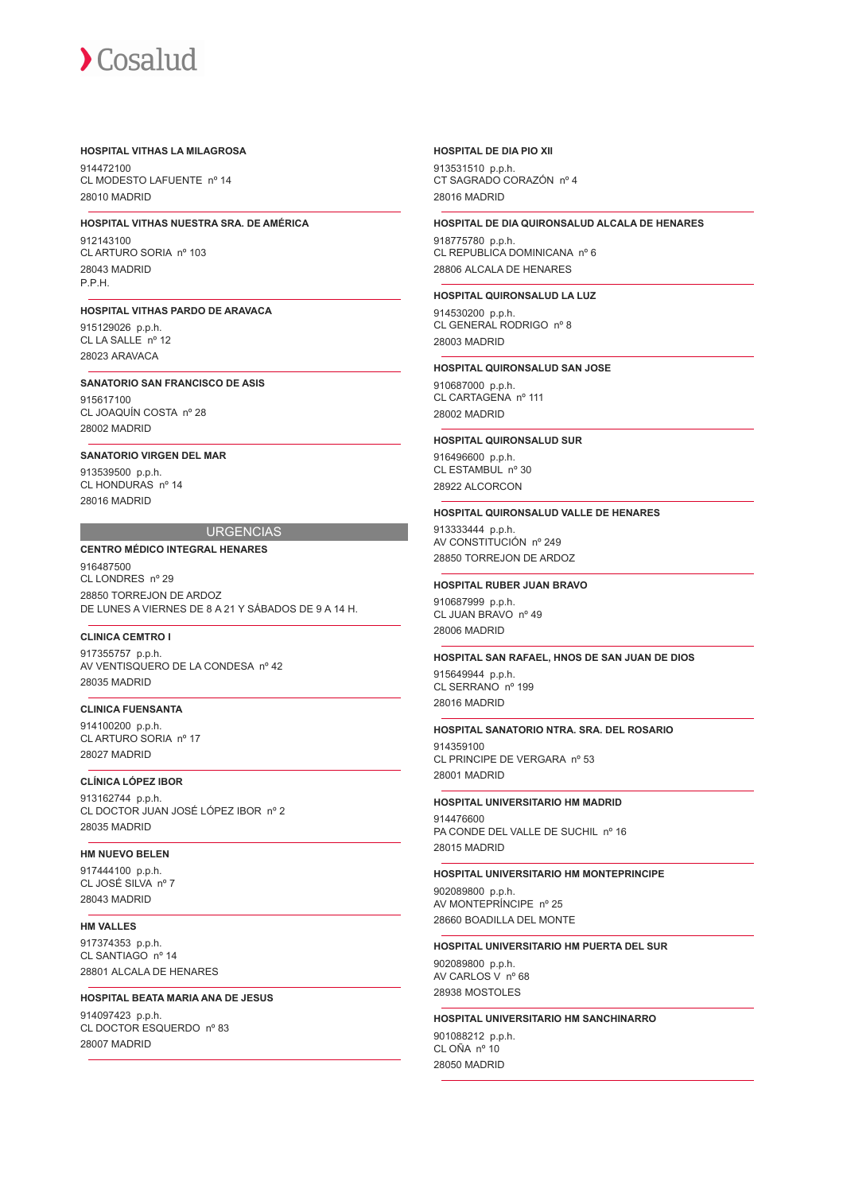#### **HOSPITAL VITHAS LA MILAGROSA**

914472100 CL MODESTO LAFUENTE nº 14 28010 MADRID

## **HOSPITAL VITHAS NUESTRA SRA. DE AMÉRICA**

912143100 CL ARTURO SORIA nº 103 28043 MADRID P.P.H.

#### **HOSPITAL VITHAS PARDO DE ARAVACA**

915129026 p.p.h. CL LA SALLE nº 12 28023 ARAVACA

#### **SANATORIO SAN FRANCISCO DE ASIS**

915617100 CL JOAQUÍN COSTA nº 28 28002 MADRID

#### **SANATORIO VIRGEN DEL MAR**

913539500 p.p.h. CL HONDURAS nº 14 28016 MADRID

#### **URGENCIAS**

## **CENTRO MÉDICO INTEGRAL HENARES**

916487500 CL LONDRES nº 29 28850 TORREJON DE ARDOZ DE LUNES A VIERNES DE 8 A 21 Y SÁBADOS DE 9 A 14 H.

#### **CLINICA CEMTRO I**

917355757 p.p.h. AV VENTISQUERO DE LA CONDESA nº 42 28035 MADRID

## **CLINICA FUENSANTA**

914100200 p.p.h. CL ARTURO SORIA nº 17 28027 MADRID

## **CLÍNICA LÓPEZ IBOR**

913162744 p.p.h. CL DOCTOR JUAN JOSÉ LÓPEZ IBOR nº 2 28035 MADRID

#### **HM NUEVO BELEN**

917444100 p.p.h. CL JOSÉ SILVA nº 7 28043 MADRID

## **HM VALLES**

917374353 p.p.h. CL SANTIAGO nº 14 28801 ALCALA DE HENARES

## **HOSPITAL BEATA MARIA ANA DE JESUS**

914097423 p.p.h. CL DOCTOR ESQUERDO nº 83 28007 MADRID

#### **HOSPITAL DE DIA PIO XII**

913531510 p.p.h. CT SAGRADO CORAZÓN nº 4 28016 MADRID

#### **HOSPITAL DE DIA QUIRONSALUD ALCALA DE HENARES**

918775780 p.p.h. CL REPUBLICA DOMINICANA nº 6 28806 ALCALA DE HENARES

### **HOSPITAL QUIRONSALUD LA LUZ**

914530200 p.p.h. CL GENERAL RODRIGO nº 8 28003 MADRID

#### **HOSPITAL QUIRONSALUD SAN JOSE**

910687000 p.p.h. CL CARTAGENA nº 111 28002 MADRID

#### **HOSPITAL QUIRONSALUD SUR**

916496600 p.p.h. CL ESTAMBUL nº 30 28922 ALCORCON

#### **HOSPITAL QUIRONSALUD VALLE DE HENARES**

913333444 p.p.h. AV CONSTITUCIÓN nº 249 28850 TORREJON DE ARDOZ

#### **HOSPITAL RUBER JUAN BRAVO**

910687999 p.p.h. CL JUAN BRAVO nº 49 28006 MADRID

#### **HOSPITAL SAN RAFAEL, HNOS DE SAN JUAN DE DIOS**

915649944 p.p.h. CL SERRANO nº 199 28016 MADRID

#### **HOSPITAL SANATORIO NTRA. SRA. DEL ROSARIO**

914359100 CL PRINCIPE DE VERGARA nº 53 28001 MADRID

#### **HOSPITAL UNIVERSITARIO HM MADRID**

914476600 PA CONDE DEL VALLE DE SUCHIL nº 16 28015 MADRID

#### **HOSPITAL UNIVERSITARIO HM MONTEPRINCIPE**

902089800 p.p.h. AV MONTEPRÍNCIPE nº 25 28660 BOADILLA DEL MONTE

#### **HOSPITAL UNIVERSITARIO HM PUERTA DEL SUR**

902089800 p.p.h. AV CARLOS V nº 68 28938 MOSTOLES

## **HOSPITAL UNIVERSITARIO HM SANCHINARRO**

901088212 p.p.h. CL OÑA nº 10 28050 MADRID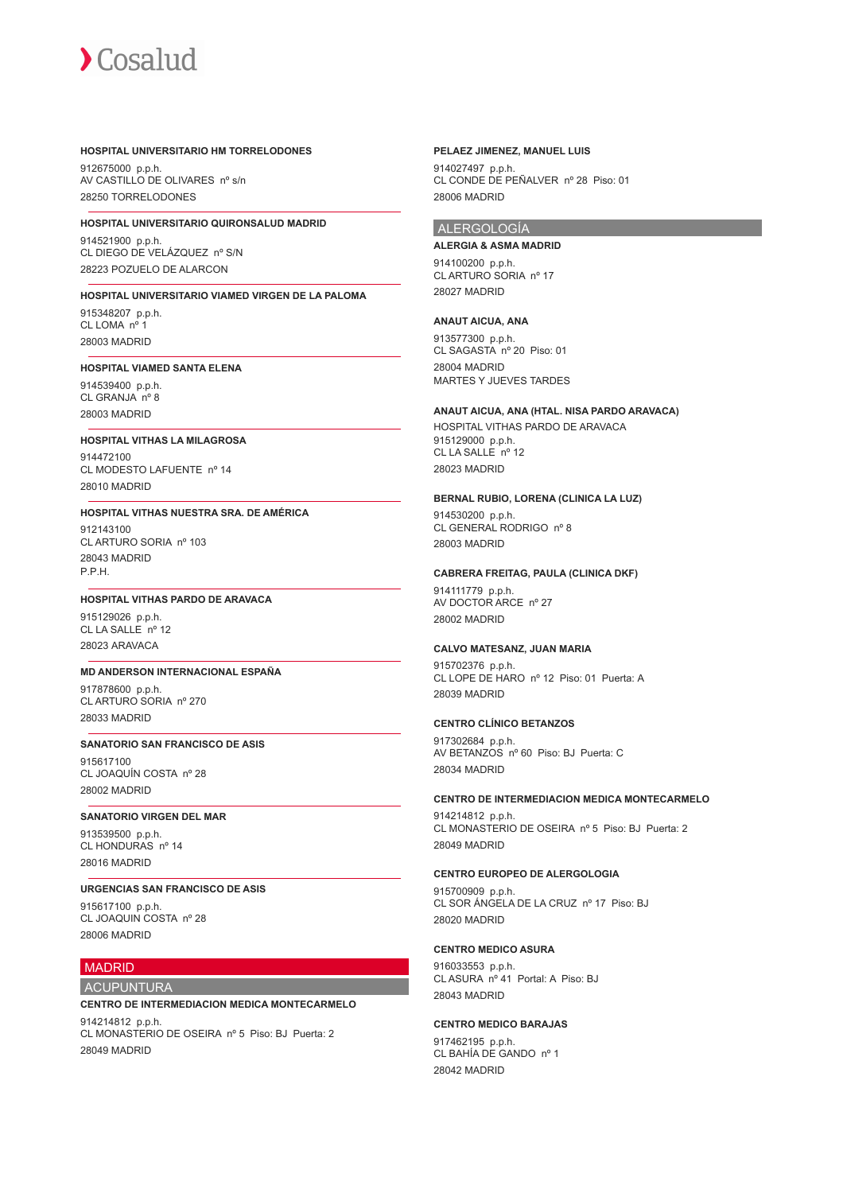#### **HOSPITAL UNIVERSITARIO HM TORRELODONES**

912675000 p.p.h. AV CASTILLO DE OLIVARES nº s/n 28250 TORRELODONES

#### **HOSPITAL UNIVERSITARIO QUIRONSALUD MADRID**

914521900 p.p.h. CL DIEGO DE VELÁZQUEZ nº S/N 28223 POZUELO DE ALARCON

## **HOSPITAL UNIVERSITARIO VIAMED VIRGEN DE LA PALOMA** 915348207 p.p.h.

CL LOMA nº 1 28003 MADRID

#### **HOSPITAL VIAMED SANTA ELENA**

914539400 p.p.h. CL GRANJA nº 8 28003 MADRID

#### **HOSPITAL VITHAS LA MILAGROSA**

914472100 CL MODESTO LAFUENTE nº 14 28010 MADRID

#### **HOSPITAL VITHAS NUESTRA SRA. DE AMÉRICA** 912143100 CL ARTURO SORIA nº 103 28043 MADRID P.P.H.

#### **HOSPITAL VITHAS PARDO DE ARAVACA**

915129026 p.p.h. CL LA SALLE nº 12 28023 ARAVACA

#### **MD ANDERSON INTERNACIONAL ESPAÑA**

917878600 p.p.h. CL ARTURO SORIA nº 270 28033 MADRID

## **SANATORIO SAN FRANCISCO DE ASIS**

915617100 CL JOAQUÍN COSTA nº 28 28002 MADRID

#### **SANATORIO VIRGEN DEL MAR**

913539500 p.p.h. CL HONDURAS nº 14 28016 MADRID

### **URGENCIAS SAN FRANCISCO DE ASIS**

915617100 p.p.h. CL JOAQUIN COSTA nº 28 28006 MADRID

## MADRID

## ACUPUNTURA

## **CENTRO DE INTERMEDIACION MEDICA MONTECARMELO**

914214812 p.p.h. CL MONASTERIO DE OSEIRA nº 5 Piso: BJ Puerta: 2 28049 MADRID

#### **PELAEZ JIMENEZ, MANUEL LUIS**

914027497 p.p.h. CL CONDE DE PEÑALVER nº 28 Piso: 01 28006 MADRID

#### ALERGOLOGÍA

**ALERGIA & ASMA MADRID** 914100200 p.p.h. CL ARTURO SORIA nº 17 28027 MADRID

#### **ANAUT AICUA, ANA**

913577300 p.p.h. CL SAGASTA nº 20 Piso: 01 28004 MADRID MARTES Y JUEVES TARDES

### **ANAUT AICUA, ANA (HTAL. NISA PARDO ARAVACA)**

HOSPITAL VITHAS PARDO DE ARAVACA 915129000 p.p.h. CL LA SALLE nº 12 28023 MADRID

#### **BERNAL RUBIO, LORENA (CLINICA LA LUZ)**

914530200 p.p.h. CL GENERAL RODRIGO nº 8 28003 MADRID

#### **CABRERA FREITAG, PAULA (CLINICA DKF)**

914111779 p.p.h. AV DOCTOR ARCE nº 27 28002 MADRID

#### **CALVO MATESANZ, JUAN MARIA**

915702376 p.p.h. CL LOPE DE HARO nº 12 Piso: 01 Puerta: A 28039 MADRID

#### **CENTRO CLÍNICO BETANZOS**

917302684 p.p.h. AV BETANZOS nº 60 Piso: BJ Puerta: C 28034 MADRID

#### **CENTRO DE INTERMEDIACION MEDICA MONTECARMELO**

914214812 p.p.h. CL MONASTERIO DE OSEIRA nº 5 Piso: BJ Puerta: 2 28049 MADRID

### **CENTRO EUROPEO DE ALERGOLOGIA**

915700909 p.p.h. CL SOR ÁNGELA DE LA CRUZ nº 17 Piso: BJ 28020 MADRID

#### **CENTRO MEDICO ASURA**

916033553 p.p.h. CL ASURA nº 41 Portal: A Piso: BJ 28043 MADRID

#### **CENTRO MEDICO BARAJAS**

917462195 p.p.h. CL BAHÍA DE GANDO nº 1 28042 MADRID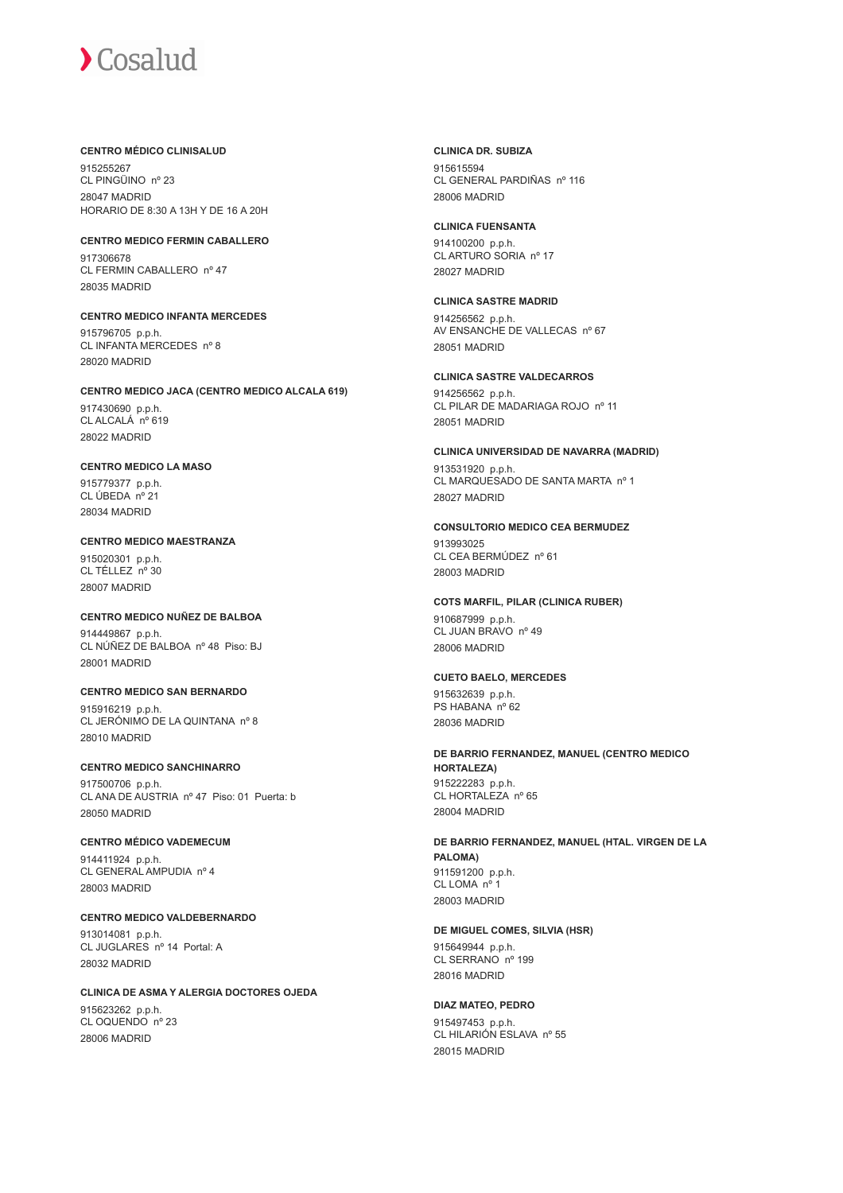#### **CENTRO MÉDICO CLINISALUD**

915255267 CL PINGÜINO nº 23 28047 MADRID HORARIO DE 8:30 A 13H Y DE 16 A 20H

**CENTRO MEDICO FERMIN CABALLERO** 917306678 CL FERMIN CABALLERO nº 47 28035 MADRID

**CENTRO MEDICO INFANTA MERCEDES** 915796705 p.p.h. CL INFANTA MERCEDES nº 8 28020 MADRID

**CENTRO MEDICO JACA (CENTRO MEDICO ALCALA 619)** 917430690 p.p.h.

CL ALCALÁ nº 619 28022 MADRID

## **CENTRO MEDICO LA MASO**

915779377 p.p.h. CL ÚBEDA nº 21 28034 MADRID

**CENTRO MEDICO MAESTRANZA** 915020301 p.p.h.  $CI$  TÉLLEZ  $n^{\circ}$  30 28007 MADRID

#### **CENTRO MEDICO NUÑEZ DE BALBOA**

914449867 p.p.h. CL NÚÑEZ DE BALBOA nº 48 Piso: BJ 28001 MADRID

#### **CENTRO MEDICO SAN BERNARDO**

915916219 p.p.h. CL JERÓNIMO DE LA QUINTANA nº 8 28010 MADRID

## **CENTRO MEDICO SANCHINARRO**

917500706 p.p.h. CL ANA DE AUSTRIA nº 47 Piso: 01 Puerta: b 28050 MADRID

### **CENTRO MÉDICO VADEMECUM**

914411924 p.p.h. CL GENERAL AMPUDIA nº 4 28003 MADRID

**CENTRO MEDICO VALDEBERNARDO** 913014081 p.p.h. CL JUGLARES nº 14 Portal: A 28032 MADRID

**CLINICA DE ASMA Y ALERGIA DOCTORES OJEDA** 915623262 p.p.h. CL OQUENDO nº 23 28006 MADRID

**CLINICA DR. SUBIZA** 915615594 CL GENERAL PARDIÑAS nº 116 28006 MADRID

**CLINICA FUENSANTA** 914100200 p.p.h. CL ARTURO SORIA nº 17

28027 MADRID

**CLINICA SASTRE MADRID** 914256562 p.p.h. AV ENSANCHE DE VALLECAS nº 67 28051 MADRID

**CLINICA SASTRE VALDECARROS** 914256562 p.p.h. CL PILAR DE MADARIAGA ROJO nº 11 28051 MADRID

**CLINICA UNIVERSIDAD DE NAVARRA (MADRID)** 913531920 p.p.h. CL MARQUESADO DE SANTA MARTA nº 1 28027 MADRID

**CONSULTORIO MEDICO CEA BERMUDEZ** 913993025 CL CEA BERMÚDEZ nº 61 28003 MADRID

**COTS MARFIL, PILAR (CLINICA RUBER)** 910687999 p.p.h. CL JUAN BRAVO nº 49 28006 MADRID

**CUETO BAELO, MERCEDES**

915632639 p.p.h. PS HABANA nº 62 28036 MADRID

**DE BARRIO FERNANDEZ, MANUEL (CENTRO MEDICO HORTALEZA)** 915222283 p.p.h. CL HORTALEZA nº 65 28004 MADRID

**DE BARRIO FERNANDEZ, MANUEL (HTAL. VIRGEN DE LA PALOMA)** 911591200 p.p.h. CL LOMA nº 1 28003 MADRID

#### **DE MIGUEL COMES, SILVIA (HSR)**

915649944 p.p.h. CL SERRANO nº 199 28016 MADRID

#### **DIAZ MATEO, PEDRO**

915497453 p.p.h. CL HILARIÓN ESLAVA nº 55 28015 MADRID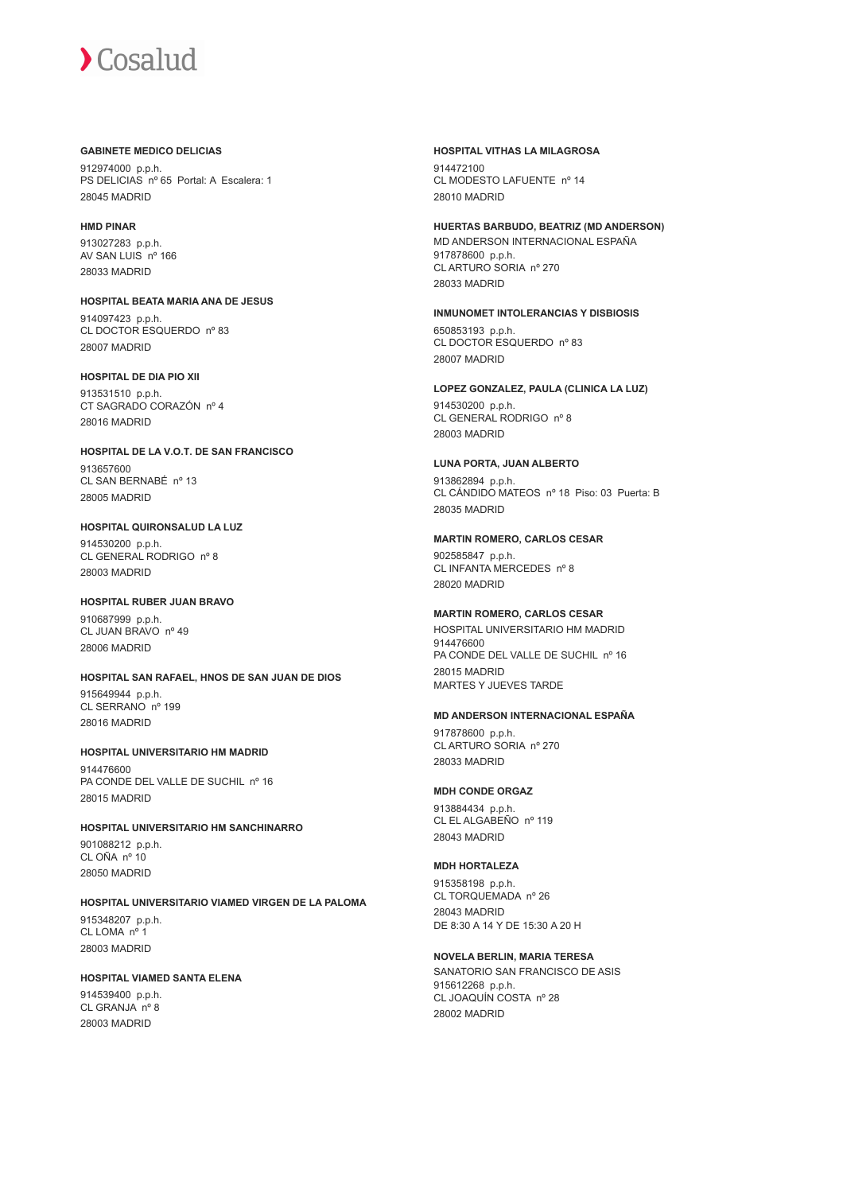#### **GABINETE MEDICO DELICIAS**

912974000 p.p.h. PS DELICIAS nº 65 Portal: A Escalera: 1 28045 MADRID

#### **HMD PINAR**

913027283 p.p.h. AV SAN LUIS nº 166 28033 MADRID

**HOSPITAL BEATA MARIA ANA DE JESUS** 914097423 p.p.h. CL DOCTOR ESQUERDO nº 83 28007 MADRID

#### **HOSPITAL DE DIA PIO XII**

913531510 p.p.h. CT SAGRADO CORAZÓN nº 4 28016 MADRID

**HOSPITAL DE LA V.O.T. DE SAN FRANCISCO** 913657600 CL SAN BERNABÉ nº 13 28005 MADRID

**HOSPITAL QUIRONSALUD LA LUZ** 914530200 p.p.h. CL GENERAL RODRIGO nº 8 28003 MADRID

**HOSPITAL RUBER JUAN BRAVO** 910687999 p.p.h. CL JUAN BRAVO nº 49 28006 MADRID

**HOSPITAL SAN RAFAEL, HNOS DE SAN JUAN DE DIOS** 915649944 p.p.h.

CL SERRANO nº 199 28016 MADRID

**HOSPITAL UNIVERSITARIO HM MADRID** 914476600 PA CONDE DEL VALLE DE SUCHIL nº 16 28015 MADRID

**HOSPITAL UNIVERSITARIO HM SANCHINARRO**

901088212 p.p.h. CL OÑA nº 10 28050 MADRID

**HOSPITAL UNIVERSITARIO VIAMED VIRGEN DE LA PALOMA** 915348207 p.p.h. CL LOMA nº 1

28003 MADRID

## **HOSPITAL VIAMED SANTA ELENA**

914539400 p.p.h. CL GRANJA nº 8 28003 MADRID

**HOSPITAL VITHAS LA MILAGROSA**

914472100 CL MODESTO LAFUENTE nº 14 28010 MADRID

**HUERTAS BARBUDO, BEATRIZ (MD ANDERSON)** MD ANDERSON INTERNACIONAL ESPAÑA 917878600 p.p.h. CL ARTURO SORIA nº 270 28033 MADRID

## **INMUNOMET INTOLERANCIAS Y DISBIOSIS**

650853193 p.p.h. CL DOCTOR ESQUERDO nº 83 28007 MADRID

**LOPEZ GONZALEZ, PAULA (CLINICA LA LUZ)** 914530200 p.p.h. CL GENERAL RODRIGO nº 8 28003 MADRID

## **LUNA PORTA, JUAN ALBERTO**

913862894 p.p.h. CL CÁNDIDO MATEOS nº 18 Piso: 03 Puerta: B 28035 MADRID

#### **MARTIN ROMERO, CARLOS CESAR**

902585847 p.p.h. CL INFANTA MERCEDES nº 8 28020 MADRID

## **MARTIN ROMERO, CARLOS CESAR**

HOSPITAL UNIVERSITARIO HM MADRID 914476600 PA CONDE DEL VALLE DE SUCHIL nº 16 28015 MADRID MARTES Y JUEVES TARDE

## **MD ANDERSON INTERNACIONAL ESPAÑA**

917878600 p.p.h. CL ARTURO SORIA nº 270 28033 MADRID

## **MDH CONDE ORGAZ**

913884434 p.p.h. CL EL ALGABEÑO nº 119 28043 MADRID

## **MDH HORTALEZA**

915358198 p.p.h. CL TORQUEMADA nº 26 28043 MADRID DE 8:30 A 14 Y DE 15:30 A 20 H

## **NOVELA BERLIN, MARIA TERESA**

SANATORIO SAN FRANCISCO DE ASIS 915612268 p.p.h. CL JOAQUÍN COSTA nº 28 28002 MADRID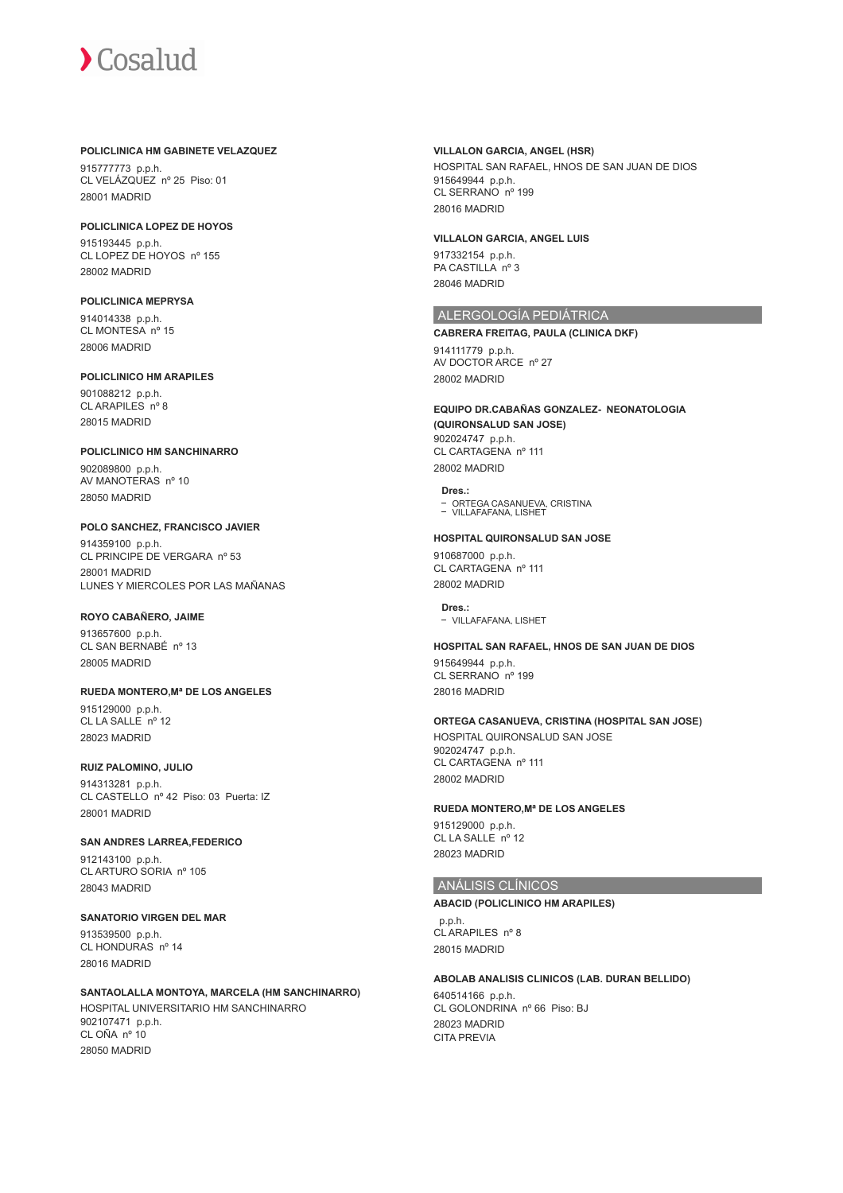#### **POLICLINICA HM GABINETE VELAZQUEZ**

915777773 p.p.h. CL VELÁZQUEZ nº 25 Piso: 01 28001 MADRID

#### **POLICLINICA LOPEZ DE HOYOS**

915193445 p.p.h. CL LOPEZ DE HOYOS nº 155 28002 MADRID

## **POLICLINICA MEPRYSA**

914014338 p.p.h. CL MONTESA nº 15 28006 MADRID

## **POLICLINICO HM ARAPILES**

901088212 p.p.h. CL ARAPILES nº 8 28015 MADRID

## **POLICLINICO HM SANCHINARRO**

902089800 p.p.h. AV MANOTERAS nº 10 28050 MADRID

## **POLO SANCHEZ, FRANCISCO JAVIER**

914359100 p.p.h. CL PRINCIPE DE VERGARA nº 53 28001 MADRID LUNES Y MIERCOLES POR LAS MAÑANAS

## **ROYO CABAÑERO, JAIME**

913657600 p.p.h. CL SAN BERNABÉ nº 13 28005 MADRID

## **RUEDA MONTERO,Mª DE LOS ANGELES**

915129000 p.p.h. CL LA SALLE nº 12 28023 MADRID

## **RUIZ PALOMINO, JULIO**

914313281 p.p.h. CL CASTELLO nº 42 Piso: 03 Puerta: IZ 28001 MADRID

## **SAN ANDRES LARREA,FEDERICO**

912143100 p.p.h. CL ARTURO SORIA nº 105 28043 MADRID

## **SANATORIO VIRGEN DEL MAR**

913539500 p.p.h. CL HONDURAS nº 14 28016 MADRID

#### **SANTAOLALLA MONTOYA, MARCELA (HM SANCHINARRO)** HOSPITAL UNIVERSITARIO HM SANCHINARRO 902107471 p.p.h. CL OÑA nº 10 28050 MADRID

### **VILLALON GARCIA, ANGEL (HSR)**

HOSPITAL SAN RAFAEL, HNOS DE SAN JUAN DE DIOS 915649944 p.p.h. CL SERRANO nº 199 28016 MADRID

#### **VILLALON GARCIA, ANGEL LUIS**

917332154 p.p.h. PA CASTILLA nº 3 28046 MADRID

## ALERGOLOGÍA PEDIÁTRICA

#### **CABRERA FREITAG, PAULA (CLINICA DKF)**

914111779 p.p.h. AV DOCTOR ARCE nº 27 28002 MADRID

## **EQUIPO DR.CABAÑAS GONZALEZ- NEONATOLOGIA (QUIRONSALUD SAN JOSE)**

902024747 p.p.h. CL CARTAGENA nº 111 28002 MADRID

#### **Dres.:**

ORTEGA CASANUEVA, CRISTINA VILLAFAFANA, LISHET

#### **HOSPITAL QUIRONSALUD SAN JOSE**

910687000 p.p.h. CL CARTAGENA nº 111 28002 MADRID

**Dres.:** VILLAFAFANA, LISHET

## **HOSPITAL SAN RAFAEL, HNOS DE SAN JUAN DE DIOS**

915649944 p.p.h. CL SERRANO<sup>nº</sup> 199 28016 MADRID

## **ORTEGA CASANUEVA, CRISTINA (HOSPITAL SAN JOSE)**

HOSPITAL QUIRONSALUD SAN JOSE 902024747 p.p.h. CL CARTAGENA nº 111 28002 MADRID

## **RUEDA MONTERO,Mª DE LOS ANGELES**

915129000 p.p.h. CL LA SALLE<sup>nº</sup> 12 28023 MADRID

## ANÁLISIS CLÍNICOS

## **ABACID (POLICLINICO HM ARAPILES)**

 p.p.h. CL ARAPILES nº 8 28015 MADRID

#### **ABOLAB ANALISIS CLINICOS (LAB. DURAN BELLIDO)**

640514166 p.p.h. CL GOLONDRINA nº 66 Piso: BJ 28023 MADRID CITA PREVIA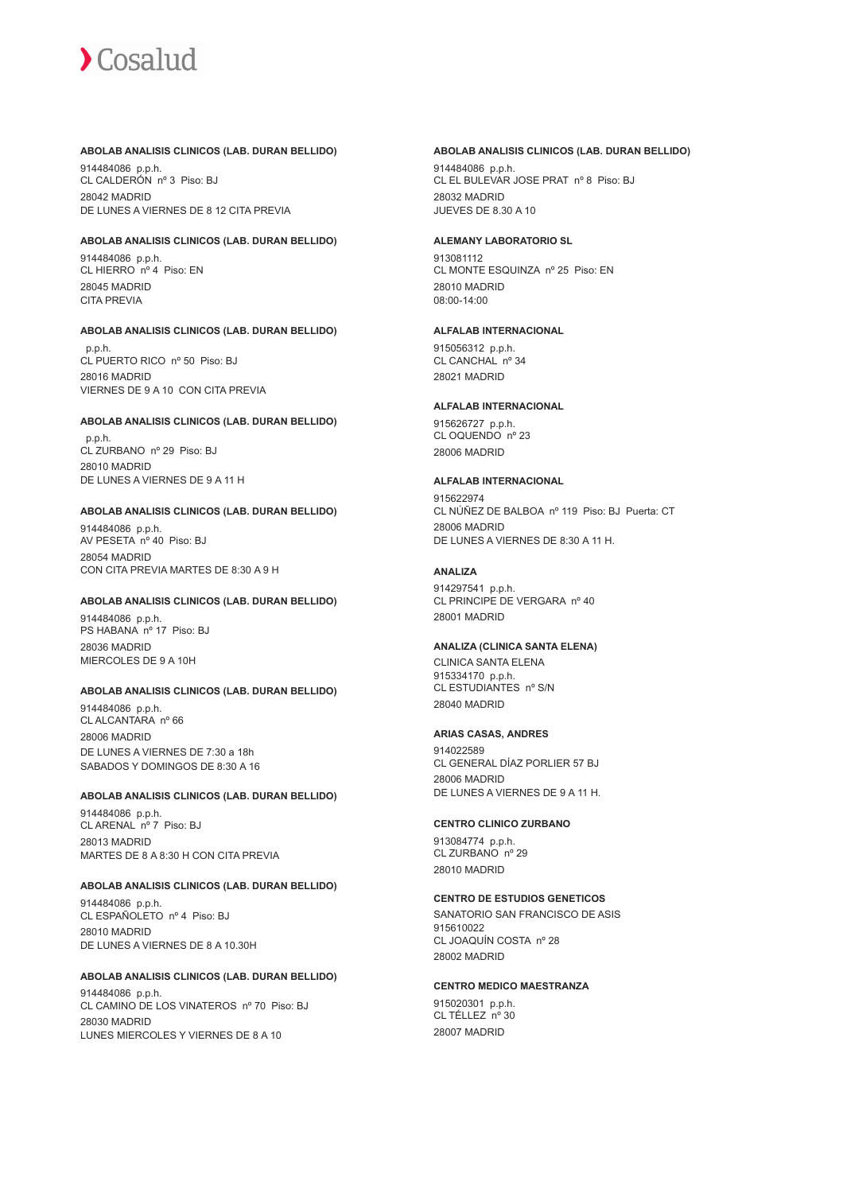#### **ABOLAB ANALISIS CLINICOS (LAB. DURAN BELLIDO)**

914484086 p.p.h. CL CALDERÓN nº 3 Piso: BJ 28042 MADRID DE LUNES A VIERNES DE 8 12 CITA PREVIA

#### **ABOLAB ANALISIS CLINICOS (LAB. DURAN BELLIDO)**

914484086 p.p.h. CL HIERRO nº 4 Piso: EN 28045 MADRID CITA PREVIA

#### **ABOLAB ANALISIS CLINICOS (LAB. DURAN BELLIDO)**

 p.p.h. CL PUERTO RICO nº 50 Piso: BJ 28016 MADRID VIERNES DE 9 A 10 CON CITA PREVIA

#### **ABOLAB ANALISIS CLINICOS (LAB. DURAN BELLIDO)**

 p.p.h. CL ZURBANO nº 29 Piso: BJ 28010 MADRID DE LUNES A VIERNES DE 9 A 11 H

#### **ABOLAB ANALISIS CLINICOS (LAB. DURAN BELLIDO)**

914484086 p.p.h. AV PESETA nº 40 Piso: BJ 28054 MADRID CON CITA PREVIA MARTES DE 8:30 A 9 H

#### **ABOLAB ANALISIS CLINICOS (LAB. DURAN BELLIDO)**

914484086 p.p.h. PS HABANA nº 17 Piso: BJ 28036 MADRID MIERCOLES DE 9 A 10H

#### **ABOLAB ANALISIS CLINICOS (LAB. DURAN BELLIDO)**

914484086 p.p.h. CL ALCANTARA nº 66 28006 MADRID DE LUNES A VIERNES DE 7:30 a 18h SABADOS Y DOMINGOS DE 8:30 A 16

#### **ABOLAB ANALISIS CLINICOS (LAB. DURAN BELLIDO)**

914484086 p.p.h. CL ARENAL nº 7 Piso: BJ 28013 MADRID MARTES DE 8 A 8:30 H CON CITA PREVIA

#### **ABOLAB ANALISIS CLINICOS (LAB. DURAN BELLIDO)**

914484086 p.p.h. CL ESPAÑOLETO nº 4 Piso: BJ 28010 MADRID DE LUNES A VIERNES DE 8 A 10.30H

#### **ABOLAB ANALISIS CLINICOS (LAB. DURAN BELLIDO)**

914484086 p.p.h. CL CAMINO DE LOS VINATEROS nº 70 Piso: BJ 28030 MADRID LUNES MIERCOLES Y VIERNES DE 8 A 10

#### **ABOLAB ANALISIS CLINICOS (LAB. DURAN BELLIDO)**

914484086 p.p.h. CL EL BULEVAR JOSE PRAT nº 8 Piso: BJ 28032 MADRID JUEVES DE 8.30 A 10

#### **ALEMANY LABORATORIO SL**

913081112 CL MONTE ESQUINZA nº 25 Piso: EN 28010 MADRID 08:00-14:00

#### **ALFALAB INTERNACIONAL**

915056312 p.p.h. CL CANCHAL nº 34 28021 MADRID

#### **ALFALAB INTERNACIONAL**

915626727 p.p.h. CL OQUENDO nº 23 28006 MADRID

#### **ALFALAB INTERNACIONAL**

915622974 CL NÚÑEZ DE BALBOA nº 119 Piso: BJ Puerta: CT 28006 MADRID DE LUNES A VIERNES DE 8:30 A 11 H.

#### **ANALIZA**

914297541 p.p.h. CL PRINCIPE DE VERGARA nº 40 28001 MADRID

#### **ANALIZA (CLINICA SANTA ELENA)**

CLINICA SANTA ELENA 915334170 p.p.h. CL ESTUDIANTES nº S/N 28040 MADRID

#### **ARIAS CASAS, ANDRES**

914022589 CL GENERAL DÍAZ PORLIER 57 BJ 28006 MADRID DE LUNES A VIERNES DE 9 A 11 H.

#### **CENTRO CLINICO ZURBANO**

913084774 p.p.h. CL ZURBANO nº 29 28010 MADRID

## **CENTRO DE ESTUDIOS GENETICOS**

SANATORIO SAN FRANCISCO DE ASIS 915610022 CL JOAQUÍN COSTA nº 28 28002 MADRID

#### **CENTRO MEDICO MAESTRANZA**

915020301 p.p.h. CL TÉLLEZ nº 30 28007 MADRID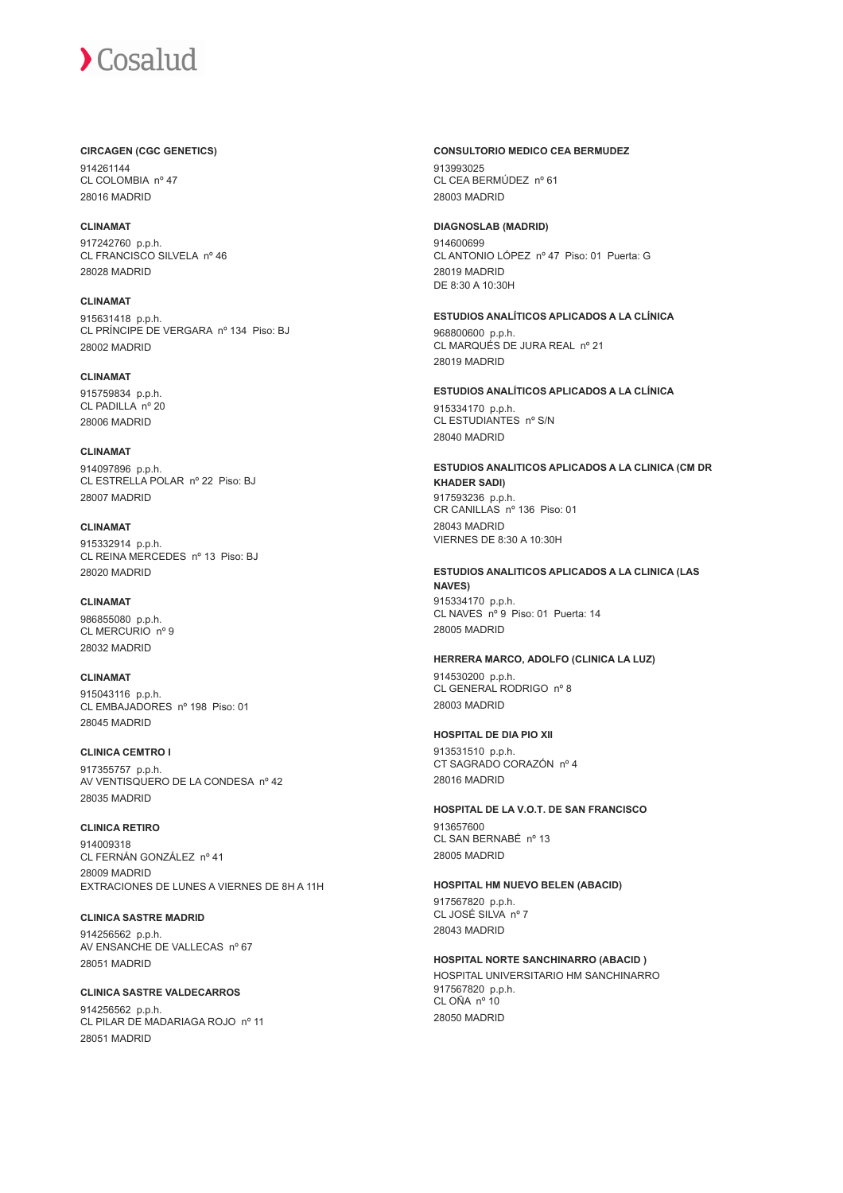## **CIRCAGEN (CGC GENETICS)**

914261144 CL COLOMBIA nº 47 28016 MADRID

**CLINAMAT** 917242760 p.p.h. CL FRANCISCO SILVELA nº 46 28028 MADRID

**CLINAMAT** 915631418 p.p.h. CL PRÍNCIPE DE VERGARA nº 134 Piso: BJ 28002 MADRID

**CLINAMAT** 915759834 p.p.h. CL PADILLA nº 20 28006 MADRID

**CLINAMAT** 914097896 p.p.h. CL ESTRELLA POLAR nº 22 Piso: BJ 28007 MADRID

**CLINAMAT** 915332914 p.p.h. CL REINA MERCEDES nº 13 Piso: BJ 28020 MADRID

## **CLINAMAT**

986855080 p.p.h. CL MERCURIO nº 9 28032 MADRID

**CLINAMAT**

915043116 p.p.h. CL EMBAJADORES nº 198 Piso: 01 28045 MADRID

**CLINICA CEMTRO I** 917355757 p.p.h. AV VENTISQUERO DE LA CONDESA nº 42 28035 MADRID

## **CLINICA RETIRO**

914009318 CL FERNÁN GONZÁLEZ nº 41 28009 MADRID EXTRACIONES DE LUNES A VIERNES DE 8H A 11H

**CLINICA SASTRE MADRID** 914256562 p.p.h. AV ENSANCHE DE VALLECAS nº 67 28051 MADRID

**CLINICA SASTRE VALDECARROS** 914256562 p.p.h. CL PILAR DE MADARIAGA ROJO nº 11 28051 MADRID

## **CONSULTORIO MEDICO CEA BERMUDEZ**

913993025 CL CEA BERMÚDEZ nº 61 28003 MADRID

### **DIAGNOSLAB (MADRID)**

914600699 CL ANTONIO LÓPEZ nº 47 Piso: 01 Puerta: G 28019 MADRID DE 8:30 A 10:30H

## **ESTUDIOS ANALÍTICOS APLICADOS A LA CLÍNICA**

968800600 p.p.h. CL MARQUÉS DE JURA REAL nº 21 28019 MADRID

**ESTUDIOS ANALÍTICOS APLICADOS A LA CLÍNICA** 915334170 p.p.h. CL ESTUDIANTES nº S/N 28040 MADRID

**ESTUDIOS ANALITICOS APLICADOS A LA CLINICA (CM DR KHADER SADI)** 917593236 p.p.h. CR CANILLAS nº 136 Piso: 01 28043 MADRID VIERNES DE 8:30 A 10:30H

#### **ESTUDIOS ANALITICOS APLICADOS A LA CLINICA (LAS NAVES)** 915334170 p.p.h.

CL NAVES nº 9 Piso: 01 Puerta: 14 28005 MADRID

## **HERRERA MARCO, ADOLFO (CLINICA LA LUZ)**

914530200 p.p.h. CL GENERAL RODRIGO nº 8 28003 MADRID

## **HOSPITAL DE DIA PIO XII**

913531510 p.p.h. CT SAGRADO CORAZÓN nº 4 28016 MADRID

**HOSPITAL DE LA V.O.T. DE SAN FRANCISCO** 913657600 CL SAN BERNABÉ nº 13

**HOSPITAL HM NUEVO BELEN (ABACID)**

917567820 p.p.h. CL JOSÉ SILVA nº 7 28043 MADRID

28005 MADRID

**HOSPITAL NORTE SANCHINARRO (ABACID )**

HOSPITAL UNIVERSITARIO HM SANCHINARRO 917567820 p.p.h. CL OÑA nº 10 28050 MADRID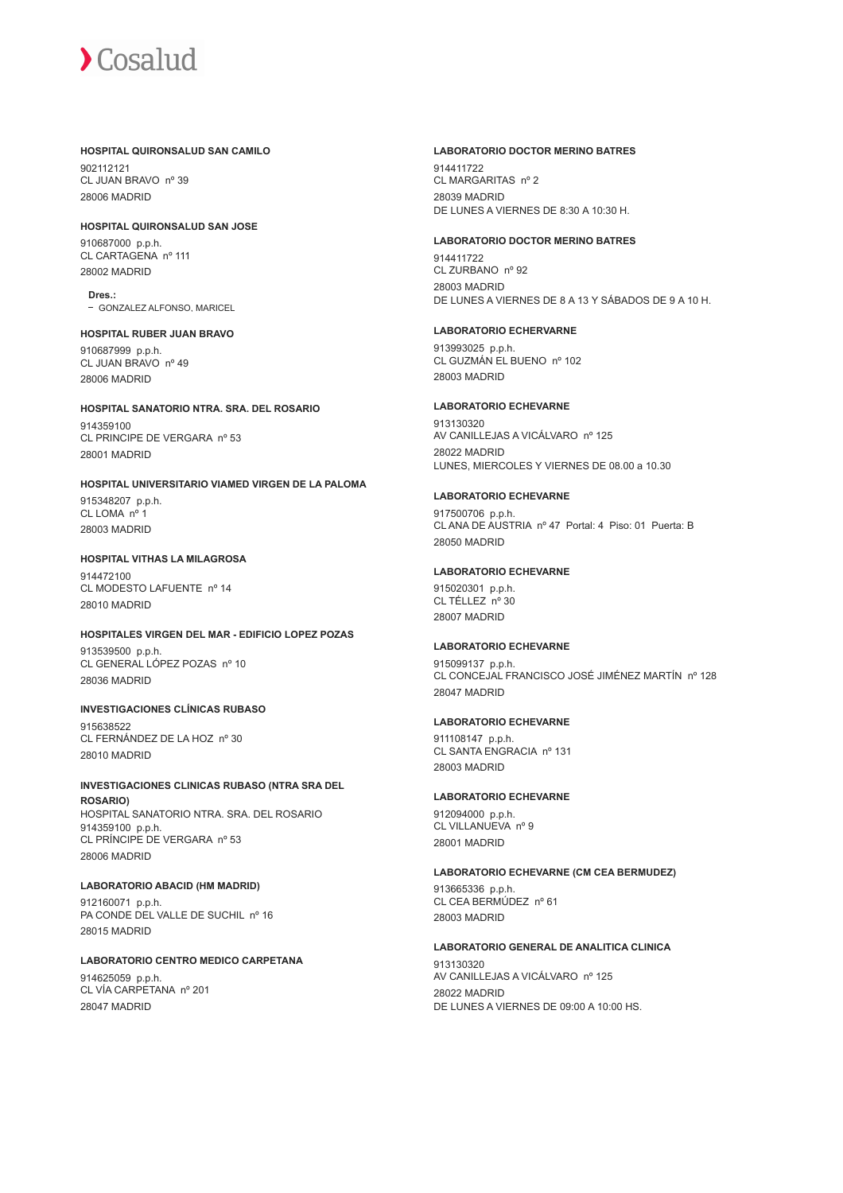#### **HOSPITAL QUIRONSALUD SAN CAMILO**

902112121 CL JUAN BRAVO nº 39 28006 MADRID

## **HOSPITAL QUIRONSALUD SAN JOSE**

910687000 p.p.h. CL CARTAGENA nº 111 28002 MADRID

**Dres.:** GONZALEZ ALFONSO, MARICEL

**HOSPITAL RUBER JUAN BRAVO** 910687999 p.p.h. CL JUAN BRAVO nº 49 28006 MADRID

## **HOSPITAL SANATORIO NTRA. SRA. DEL ROSARIO**

914359100 CL PRINCIPE DE VERGARA nº 53 28001 MADRID

## **HOSPITAL UNIVERSITARIO VIAMED VIRGEN DE LA PALOMA**

915348207 p.p.h. CL LOMA nº 1 28003 MADRID

## **HOSPITAL VITHAS LA MILAGROSA**

914472100 CL MODESTO LAFUENTE nº 14 28010 MADRID

## **HOSPITALES VIRGEN DEL MAR - EDIFICIO LOPEZ POZAS**

913539500 p.p.h. CL GENERAL LÓPEZ POZAS nº 10 28036 MADRID

## **INVESTIGACIONES CLÍNICAS RUBASO**

915638522 CL FERNÁNDEZ DE LA HOZ nº 30 28010 MADRID

## **INVESTIGACIONES CLINICAS RUBASO (NTRA SRA DEL**

**ROSARIO)** HOSPITAL SANATORIO NTRA. SRA. DEL ROSARIO 914359100 p.p.h. CL PRÍNCIPE DE VERGARA nº 53 28006 MADRID

## **LABORATORIO ABACID (HM MADRID)**

912160071 p.p.h. PA CONDE DEL VALLE DE SUCHIL nº 16 28015 MADRID

#### **LABORATORIO CENTRO MEDICO CARPETANA** 914625059 p.p.h. CL VÍA CARPETANA nº 201

28047 MADRID

#### **LABORATORIO DOCTOR MERINO BATRES**

914411722 CL MARGARITAS nº 2 28039 MADRID DE LUNES A VIERNES DE 8:30 A 10:30 H.

### **LABORATORIO DOCTOR MERINO BATRES**

914411722 CL ZURBANO nº 92 28003 MADRID DE LUNES A VIERNES DE 8 A 13 Y SÁBADOS DE 9 A 10 H.

#### **LABORATORIO ECHERVARNE**

913993025 p.p.h. CL GUZMÁN EL BUENO nº 102 28003 MADRID

## **LABORATORIO ECHEVARNE**

913130320 AV CANILLEJAS A VICÁLVARO nº 125 28022 MADRID LUNES, MIERCOLES Y VIERNES DE 08.00 a 10.30

## **LABORATORIO ECHEVARNE**

917500706 p.p.h. CL ANA DE AUSTRIA nº 47 Portal: 4 Piso: 01 Puerta: B 28050 MADRID

## **LABORATORIO ECHEVARNE**

915020301 p.p.h. CL TÉLLEZ nº 30 28007 MADRID

## **LABORATORIO ECHEVARNE**

915099137 p.p.h. CL CONCEJAL FRANCISCO JOSÉ JIMÉNEZ MARTÍN nº 128 28047 MADRID

## **LABORATORIO ECHEVARNE**

911108147 p.p.h. CL SANTA ENGRACIA nº 131 28003 MADRID

## **LABORATORIO ECHEVARNE**

912094000 p.p.h. CL VILLANUEVA nº 9 28001 MADRID

## **LABORATORIO ECHEVARNE (CM CEA BERMUDEZ)**

913665336 p.p.h. CL CEA BERMÚDEZ nº 61 28003 MADRID

## **LABORATORIO GENERAL DE ANALITICA CLINICA**

913130320 AV CANILLEJAS A VICÁLVARO nº 125 28022 MADRID DE LUNES A VIERNES DE 09:00 A 10:00 HS.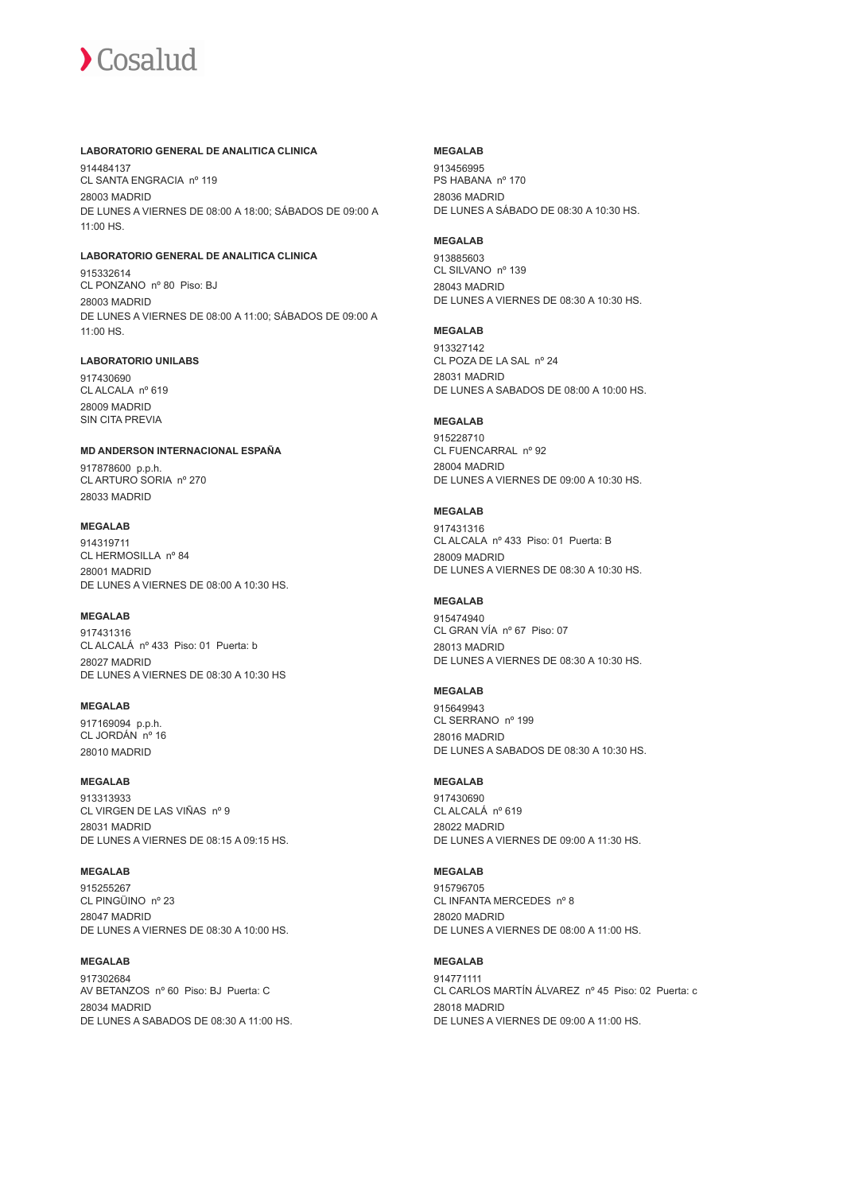#### **LABORATORIO GENERAL DE ANALITICA CLINICA**

914484137 CL SANTA ENGRACIA nº 119 28003 MADRID DE LUNES A VIERNES DE 08:00 A 18:00; SÁBADOS DE 09:00 A 11:00 HS.

## **LABORATORIO GENERAL DE ANALITICA CLINICA**

915332614 CL PONZANO nº 80 Piso: BJ 28003 MADRID DE LUNES A VIERNES DE 08:00 A 11:00; SÁBADOS DE 09:00 A 11:00 HS.

#### **LABORATORIO UNILABS**

917430690 CL ALCALA nº 619 28009 MADRID SIN CITA PREVIA

#### **MD ANDERSON INTERNACIONAL ESPAÑA**

917878600 p.p.h. CL ARTURO SORIA nº 270 28033 MADRID

#### **MEGALAB**

914319711 CL HERMOSILLA nº 84 28001 MADRID DE LUNES A VIERNES DE 08:00 A 10:30 HS.

#### **MEGALAB**

917431316 CL ALCALÁ nº 433 Piso: 01 Puerta: b 28027 MADRID DE LUNES A VIERNES DE 08:30 A 10:30 HS

## **MEGALAB**

917169094 p.p.h. CL JORDÁN nº 16 28010 MADRID

#### **MEGALAB**

913313933 CL VIRGEN DE LAS VIÑAS nº 9 28031 MADRID DE LUNES A VIERNES DE 08:15 A 09:15 HS.

#### **MEGALAB**

915255267 CL PINGÜINO nº 23 28047 MADRID DE LUNES A VIERNES DE 08:30 A 10:00 HS.

#### **MEGALAB**

917302684 AV BETANZOS nº 60 Piso: BJ Puerta: C 28034 MADRID DE LUNES A SABADOS DE 08:30 A 11:00 HS.

#### **MEGALAB**

913456995 PS HABANA nº 170 28036 MADRID DE LUNES A SÁBADO DE 08:30 A 10:30 HS.

#### **MEGALAB**

913885603 CL SILVANO nº 139 28043 MADRID DE LUNES A VIERNES DE 08:30 A 10:30 HS.

#### **MEGALAB**

913327142 CL POZA DE LA SAL nº 24 28031 MADRID DE LUNES A SABADOS DE 08:00 A 10:00 HS.

#### **MEGALAB**

915228710 CL FUENCARRAL nº 92 28004 MADRID DE LUNES A VIERNES DE 09:00 A 10:30 HS.

#### **MEGALAB**

917431316 CL ALCALA nº 433 Piso: 01 Puerta: B 28009 MADRID DE LUNES A VIERNES DE 08:30 A 10:30 HS.

#### **MEGALAB**

915474940 CL GRAN VÍA nº 67 Piso: 07 28013 MADRID DE LUNES A VIERNES DE 08:30 A 10:30 HS.

#### **MEGALAB**

915649943 CL SERRANO nº 199 28016 MADRID DE LUNES A SABADOS DE 08:30 A 10:30 HS.

#### **MEGALAB**

917430690 CL ALCALÁ nº 619 28022 MADRID DE LUNES A VIERNES DE 09:00 A 11:30 HS.

#### **MEGALAB**

915796705 CL INFANTA MERCEDES nº 8 28020 MADRID DE LUNES A VIERNES DE 08:00 A 11:00 HS.

## **MEGALAB**

914771111 CL CARLOS MARTÍN ÁLVAREZ nº 45 Piso: 02 Puerta: c 28018 MADRID DE LUNES A VIERNES DE 09:00 A 11:00 HS.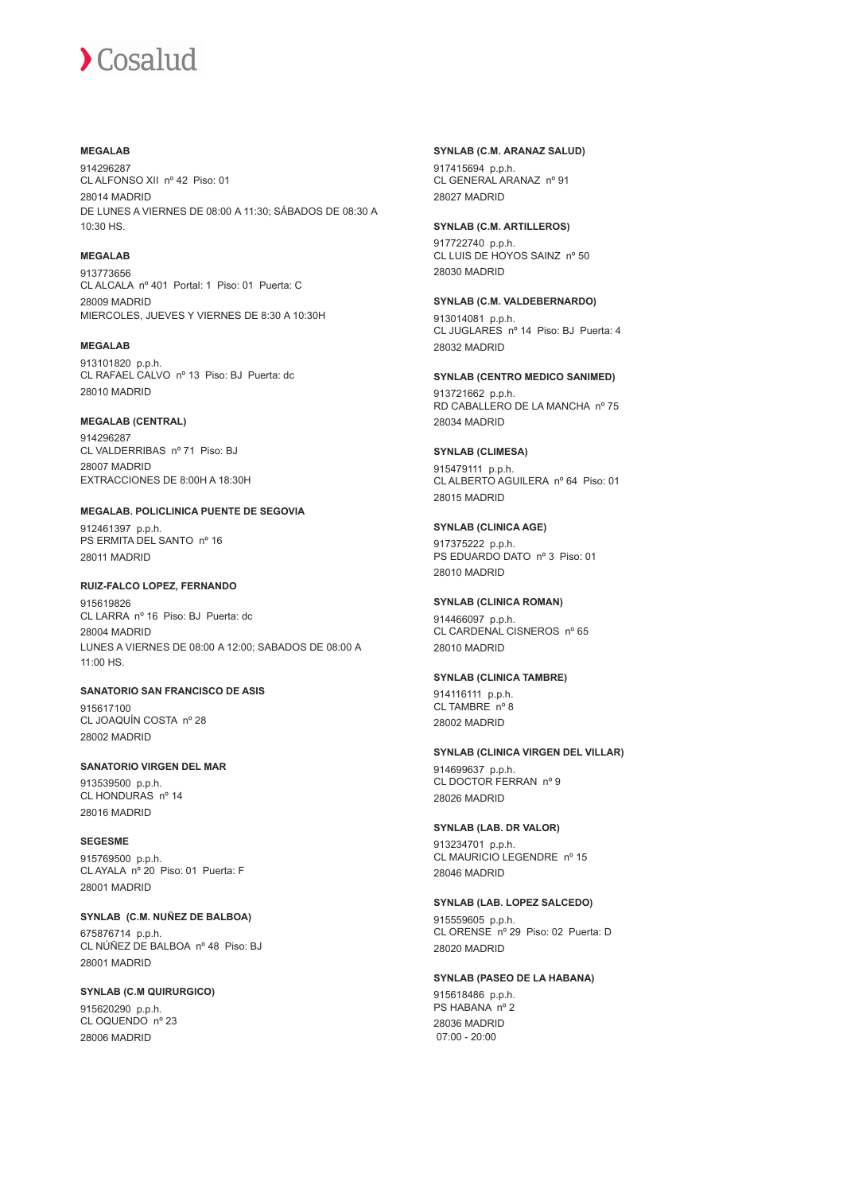### **MEGALAB**

914296287 CL ALFONSO XII nº 42 Piso: 01 28014 MADRID DE LUNES A VIERNES DE 08:00 A 11:30; SÁBADOS DE 08:30 A 10:30 HS.

## **MEGALAB**

913773656 CL ALCALA nº 401 Portal: 1 Piso: 01 Puerta: C 28009 MADRID MIERCOLES, JUEVES Y VIERNES DE 8:30 A 10:30H

#### **MEGALAB**

913101820 p.p.h. CL RAFAEL CALVO nº 13 Piso: BJ Puerta: dc 28010 MADRID

#### **MEGALAB (CENTRAL)**

914296287 CL VALDERRIBAS nº 71 Piso: BJ 28007 MADRID EXTRACCIONES DE 8:00H A 18:30H

## **MEGALAB. POLICLINICA PUENTE DE SEGOVIA**

912461397 p.p.h. PS ERMITA DEL SANTO nº 16 28011 MADRID

## **RUIZ-FALCO LOPEZ, FERNANDO**

915619826 CL LARRA nº 16 Piso: BJ Puerta: dc 28004 MADRID LUNES A VIERNES DE 08:00 A 12:00; SABADOS DE 08:00 A 11:00 HS.

## **SANATORIO SAN FRANCISCO DE ASIS**

915617100 CL JOAQUÍN COSTA nº 28 28002 MADRID

## **SANATORIO VIRGEN DEL MAR**

913539500 p.p.h. CL HONDURAS nº 14 28016 MADRID

#### **SEGESME**

915769500 p.p.h. CL AYALA nº 20 Piso: 01 Puerta: F 28001 MADRID

## **SYNLAB (C.M. NUÑEZ DE BALBOA)**

675876714 p.p.h. CL NÚÑEZ DE BALBOA nº 48 Piso: BJ 28001 MADRID

## **SYNLAB (C.M QUIRURGICO)**

915620290 p.p.h. CL OQUENDO nº 23 28006 MADRID

### **SYNLAB (C.M. ARANAZ SALUD)**

917415694 p.p.h. CL GENERAL ARANAZ nº 91 28027 MADRID

#### **SYNLAB (C.M. ARTILLEROS)**

917722740 p.p.h. CL LUIS DE HOYOS SAINZ nº 50 28030 MADRID

#### **SYNLAB (C.M. VALDEBERNARDO)** 913014081 p.p.h. CL JUGLARES nº 14 Piso: BJ Puerta: 4

28032 MADRID

## **SYNLAB (CENTRO MEDICO SANIMED)**

913721662 p.p.h. RD CABALLERO DE LA MANCHA nº 75 28034 MADRID

#### **SYNLAB (CLIMESA)**

915479111 p.p.h. CL ALBERTO AGUILERA nº 64 Piso: 01 28015 MADRID

## **SYNLAB (CLINICA AGE)** 917375222 p.p.h. PS EDUARDO DATO nº 3 Piso: 01

28010 MADRID

## **SYNLAB (CLINICA ROMAN)**

914466097 p.p.h. CL CARDENAL CISNEROS nº 65 28010 MADRID

## **SYNLAB (CLINICA TAMBRE)**

914116111 p.p.h. CL TAMBRE nº 8 28002 MADRID

## **SYNLAB (CLINICA VIRGEN DEL VILLAR)**

914699637 p.p.h. CL DOCTOR FERRAN nº 9 28026 MADRID

## **SYNLAB (LAB. DR VALOR)**

913234701 p.p.h. CL MAURICIO LEGENDRE nº 15 28046 MADRID

## **SYNLAB (LAB. LOPEZ SALCEDO)**

915559605 p.p.h. CL ORENSE nº 29 Piso: 02 Puerta: D 28020 MADRID

## **SYNLAB (PASEO DE LA HABANA)**

915618486 p.p.h. PS HABANA nº 2 28036 MADRID 07:00 - 20:00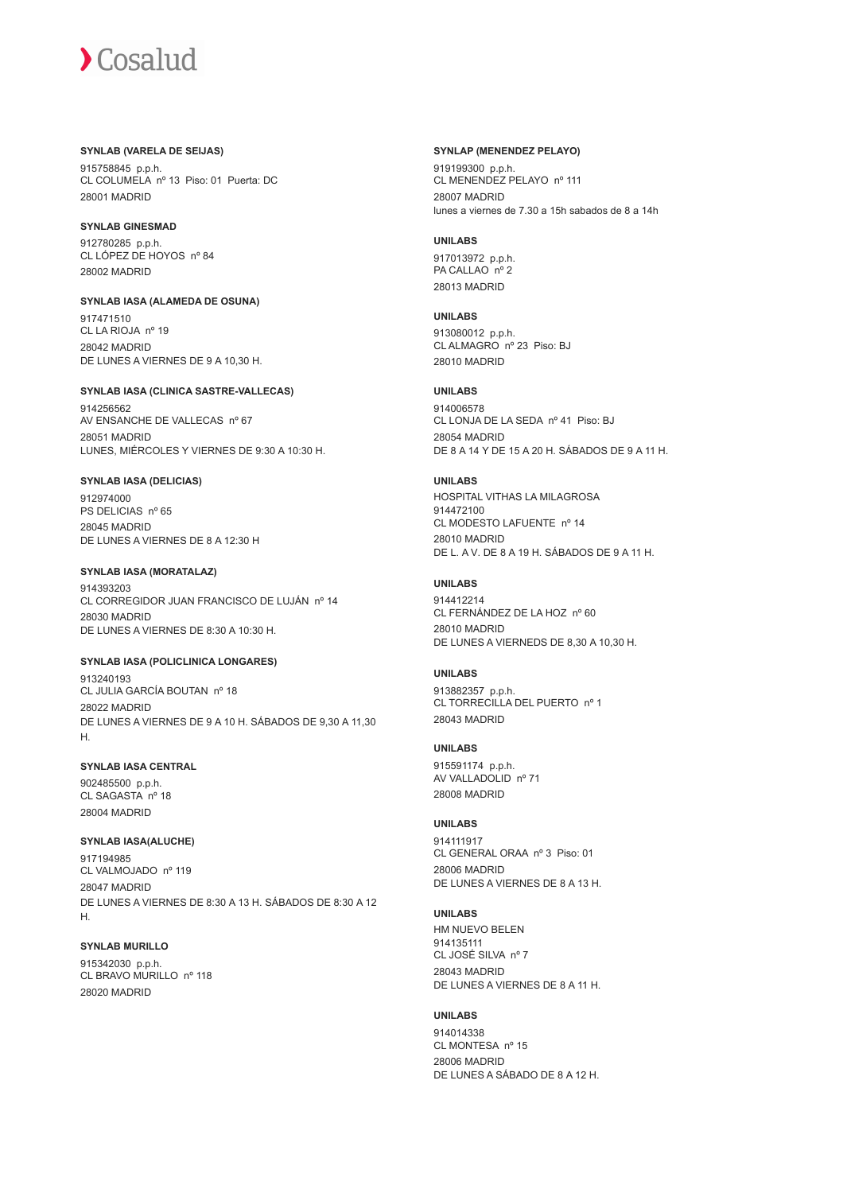#### **SYNLAB (VARELA DE SEIJAS)**

915758845 p.p.h. CL COLUMELA nº 13 Piso: 01 Puerta: DC 28001 MADRID

#### **SYNLAB GINESMAD**

912780285 p.p.h. CL LÓPEZ DE HOYOS nº 84 28002 MADRID

**SYNLAB IASA (ALAMEDA DE OSUNA)** 917471510 CL LA RIOJA nº 19 28042 MADRID DE LUNES A VIERNES DE 9 A 10,30 H.

#### **SYNLAB IASA (CLINICA SASTRE-VALLECAS)**

914256562 AV ENSANCHE DE VALLECAS nº 67 28051 MADRID LUNES, MIÉRCOLES Y VIERNES DE 9:30 A 10:30 H.

#### **SYNLAB IASA (DELICIAS)**

912974000 PS DELICIAS nº 65 28045 MADRID DE LUNES A VIERNES DE 8 A 12:30 H

### **SYNLAB IASA (MORATALAZ)**

914393203 CL CORREGIDOR JUAN FRANCISCO DE LUJÁN nº 14 28030 MADRID DE LUNES A VIERNES DE 8:30 A 10:30 H.

### **SYNLAB IASA (POLICLINICA LONGARES)**

913240193 CL JULIA GARCÍA BOUTAN nº 18 28022 MADRID DE LUNES A VIERNES DE 9 A 10 H. SÁBADOS DE 9,30 A 11,30 H.

## **SYNLAB IASA CENTRAL**

902485500 p.p.h. CL SAGASTA nº 18 28004 MADRID

## **SYNLAB IASA(ALUCHE)**

917194985 CL VALMOJADO nº 119 28047 MADRID DE LUNES A VIERNES DE 8:30 A 13 H. SÁBADOS DE 8:30 A 12 H.

## **SYNLAB MURILLO**

915342030 p.p.h. CL BRAVO MURILLO nº 118 28020 MADRID

#### **SYNLAP (MENENDEZ PELAYO)**

919199300 p.p.h. CL MENENDEZ PELAYO nº 111 28007 MADRID lunes a viernes de 7.30 a 15h sabados de 8 a 14h

#### **UNILABS**

917013972 p.p.h. PA CALLAO<sup>nº</sup> 2 28013 MADRID

#### **UNILABS**

913080012 p.p.h. CL ALMAGRO nº 23 Piso: BJ 28010 MADRID

#### **UNILABS**

914006578 CL LONJA DE LA SEDA nº 41 Piso: BJ 28054 MADRID DE 8 A 14 Y DE 15 A 20 H. SÁBADOS DE 9 A 11 H.

#### **UNILABS**

HOSPITAL VITHAS LA MILAGROSA 914472100 CL MODESTO LAFUENTE nº 14 28010 MADRID DE L. A V. DE 8 A 19 H. SÁBADOS DE 9 A 11 H.

#### **UNILABS**

914412214 CL FERNÁNDEZ DE LA HOZ nº 60 28010 MADRID DE LUNES A VIERNEDS DE 8,30 A 10,30 H.

## **UNILABS**

913882357 p.p.h. CL TORRECILLA DEL PUERTO nº 1 28043 MADRID

## **UNILABS**

915591174 p.p.h. AV VALLADOLID nº 71 28008 MADRID

## **UNILABS**

914111917 CL GENERAL ORAA nº 3 Piso: 01 28006 MADRID DE LUNES A VIERNES DE 8 A 13 H.

## **UNILABS**

HM NUEVO BELEN 914135111 CL JOSÉ SILVA nº 7 28043 MADRID DE LUNES A VIERNES DE 8 A 11 H.

#### **UNILABS**

914014338 CL MONTESA nº 15 28006 MADRID DE LUNES A SÁBADO DE 8 A 12 H.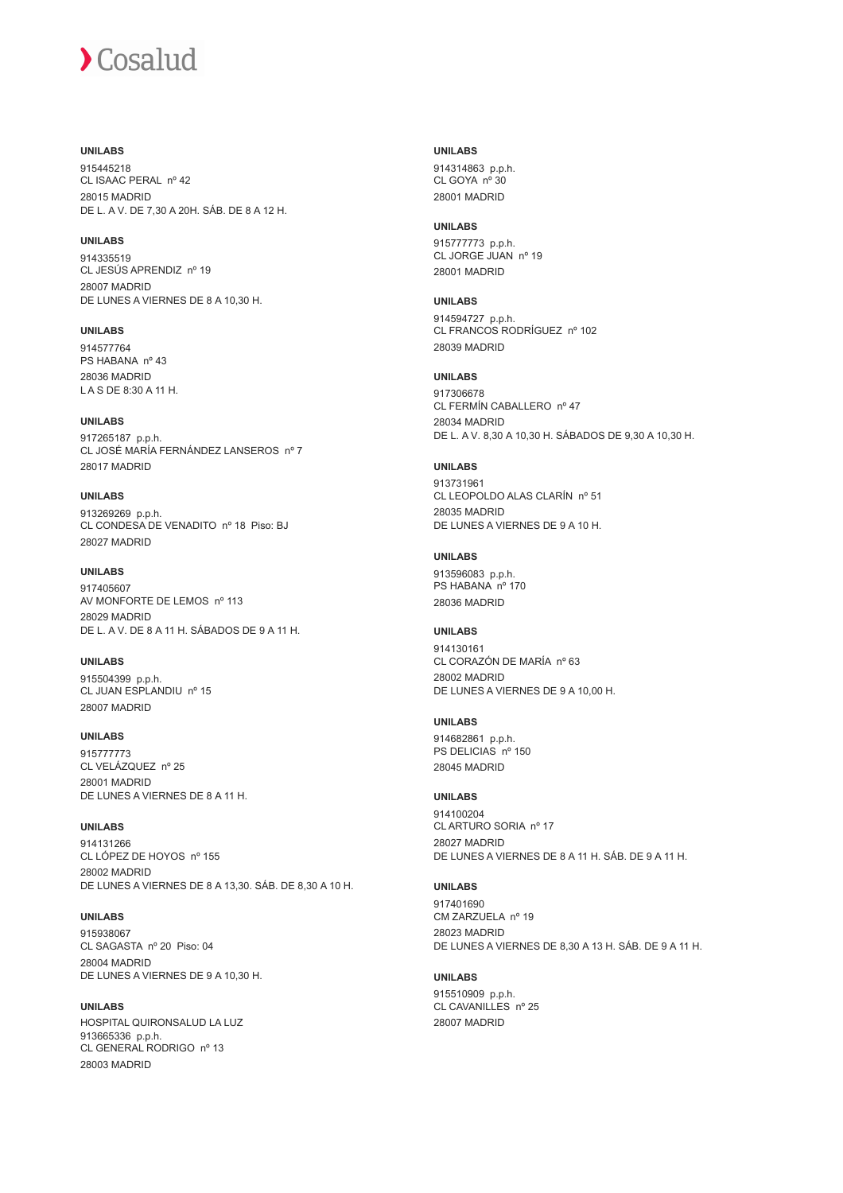## **UNILABS**

915445218 CL ISAAC PERAL nº 42 28015 MADRID DE L. A V. DE 7,30 A 20H. SÁB. DE 8 A 12 H.

## **UNILABS**

914335519 CL JESÚS APRENDIZ nº 19 28007 MADRID DE LUNES A VIERNES DE 8 A 10,30 H.

**UNILABS** 914577764 PS HABANA nº 43 28036 MADRID L A S DE 8:30 A 11 H.

**UNILABS** 917265187 p.p.h. CL JOSÉ MARÍA FERNÁNDEZ LANSEROS nº 7 28017 MADRID

**UNILABS** 913269269 p.p.h. CL CONDESA DE VENADITO nº 18 Piso: BJ 28027 MADRID

## **UNILABS**

917405607 AV MONFORTE DE LEMOS nº 113 28029 MADRID DE L. A V. DE 8 A 11 H. SÁBADOS DE 9 A 11 H.

**UNILABS** 915504399 p.p.h. CL JUAN ESPLANDIU nº 15 28007 MADRID

**UNILABS** 915777773 CL VELÁZQUEZ nº 25 28001 MADRID DE LUNES A VIERNES DE 8 A 11 H.

**UNILABS** 914131266 CL LÓPEZ DE HOYOS nº 155 28002 MADRID

DE LUNES A VIERNES DE 8 A 13,30. SÁB. DE 8,30 A 10 H.

**UNILABS** 915938067 CL SAGASTA nº 20 Piso: 04 28004 MADRID DE LUNES A VIERNES DE 9 A 10,30 H.

**UNILABS** HOSPITAL QUIRONSALUD LA LUZ 913665336 p.p.h. CL GENERAL RODRIGO nº 13 28003 MADRID

**UNILABS** 914314863 p.p.h. CL GOYA nº 30 28001 MADRID

**UNILABS** 915777773 p.p.h. CL JORGE JUAN nº 19 28001 MADRID

**UNILABS** 914594727 p.p.h. CL FRANCOS RODRÍGUEZ nº 102 28039 MADRID

## **UNILABS**

917306678 CL FERMÍN CABALLERO nº 47 28034 MADRID DE L. A V. 8,30 A 10,30 H. SÁBADOS DE 9,30 A 10,30 H.

#### **UNILABS**

913731961 CL LEOPOLDO ALAS CLARÍN nº 51 28035 MADRID DE LUNES A VIERNES DE 9 A 10 H.

#### **UNILABS**

913596083 p.p.h. PS HABANA nº 170 28036 MADRID

### **UNILABS**

914130161 CL CORAZÓN DE MARÍA nº 63 28002 MADRID DE LUNES A VIERNES DE 9 A 10,00 H.

## **UNILABS**

914682861 p.p.h. PS DELICIAS nº 150 28045 MADRID

**UNILABS** 914100204 CL ARTURO SORIA nº 17 28027 MADRID DE LUNES A VIERNES DE 8 A 11 H. SÁB. DE 9 A 11 H.

**UNILABS** 917401690 CM ZARZUELA nº 19 28023 MADRID DE LUNES A VIERNES DE 8,30 A 13 H. SÁB. DE 9 A 11 H.

**UNILABS** 915510909 p.p.h. CL CAVANILLES nº 25 28007 MADRID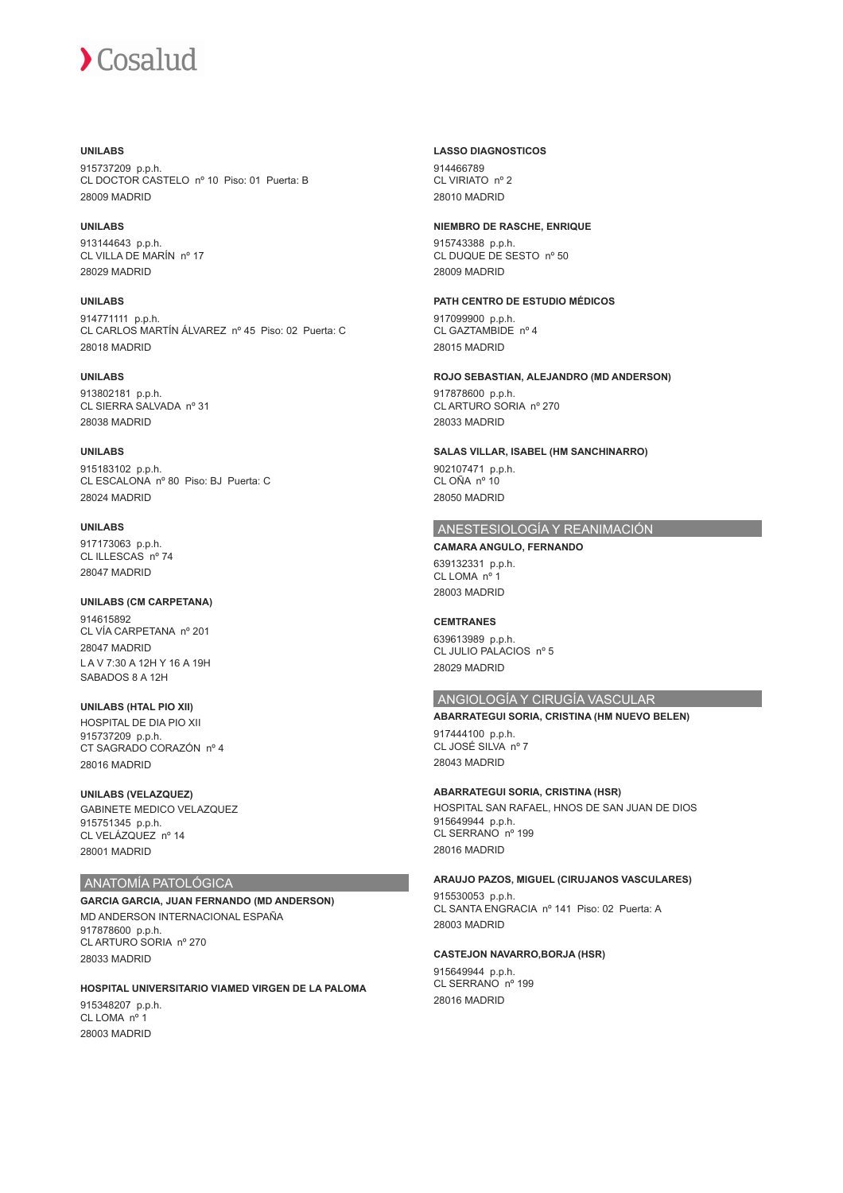#### **UNILABS**

915737209 p.p.h. CL DOCTOR CASTELO nº 10 Piso: 01 Puerta: B 28009 MADRID

**UNILABS** 913144643 p.p.h. CL VILLA DE MARÍN nº 17 28029 MADRID

## **UNILABS** 914771111 p.p.h. CL CARLOS MARTÍN ÁLVAREZ nº 45 Piso: 02 Puerta: C 28018 MADRID

#### **UNILABS**

913802181 p.p.h. CL SIERRA SALVADA nº 31 28038 MADRID

#### **UNILABS**

915183102 p.p.h. CL ESCALONA nº 80 Piso: BJ Puerta: C 28024 MADRID

## **UNILABS**

917173063 p.p.h. CL ILLESCAS nº 74 28047 MADRID

#### **UNILABS (CM CARPETANA)** 014615802 CL VÍA CARPETANA nº 201

28047 MADRID L A V 7:30 A 12H Y 16 A 19H SABADOS 8 A 12H

#### **UNILABS (HTAL PIO XII)** HOSPITAL DE DIA PIO XII 915737209 p.p.h. CT SAGRADO CORAZÓN nº 4 28016 MADRID

**UNILABS (VELAZQUEZ)** GABINETE MEDICO VELAZQUEZ 915751345 p.p.h. CL VELÁZQUEZ nº 14 28001 MADRID

## ANATOMÍA PATOLÓGICA

**GARCIA GARCIA, JUAN FERNANDO (MD ANDERSON)** MD ANDERSON INTERNACIONAL ESPAÑA 917878600 p.p.h. CL ARTURO SORIA nº 270 28033 MADRID

**HOSPITAL UNIVERSITARIO VIAMED VIRGEN DE LA PALOMA** 915348207 p.p.h. CL LOMA<sub>no</sub> 28003 MADRID

#### **LASSO DIAGNOSTICOS**

914466789 CL VIRIATO nº 2 28010 MADRID

### **NIEMBRO DE RASCHE, ENRIQUE**

915743388 p.p.h. CL DUQUE DE SESTO nº 50 28009 MADRID

## **PATH CENTRO DE ESTUDIO MÉDICOS**

917099900 p.p.h. CL GAZTAMBIDE nº 4 28015 MADRID

## **ROJO SEBASTIAN, ALEJANDRO (MD ANDERSON)**

917878600 p.p.h. CL ARTURO SORIA nº 270 28033 MADRID

## **SALAS VILLAR, ISABEL (HM SANCHINARRO)** 902107471 p.p.h.

CL OÑA nº 10 28050 MADRID

## ANESTESIOLOGÍA Y REANIMACIÓN

**CAMARA ANGULO, FERNANDO** 639132331 p.p.h. CL LOMA nº 1 28003 MADRID

## **CEMTRANES**

639613989 p.p.h. CL JULIO PALACIOS nº 5 28029 MADRID

## ANGIOLOGÍA Y CIRUGÍA VASCULAR

## **ABARRATEGUI SORIA, CRISTINA (HM NUEVO BELEN)**

917444100 p.p.h. CL JOSÉ SILVA nº 7 28043 MADRID

## **ABARRATEGUI SORIA, CRISTINA (HSR)**

HOSPITAL SAN RAFAEL, HNOS DE SAN JUAN DE DIOS 915649944 p.p.h. CL SERRANO nº 199 28016 MADRID

#### **ARAUJO PAZOS, MIGUEL (CIRUJANOS VASCULARES)**

915530053 p.p.h. CL SANTA ENGRACIA nº 141 Piso: 02 Puerta: A 28003 MADRID

## **CASTEJON NAVARRO,BORJA (HSR)**

915649944 p.p.h. CL SERRANO nº 199 28016 MADRID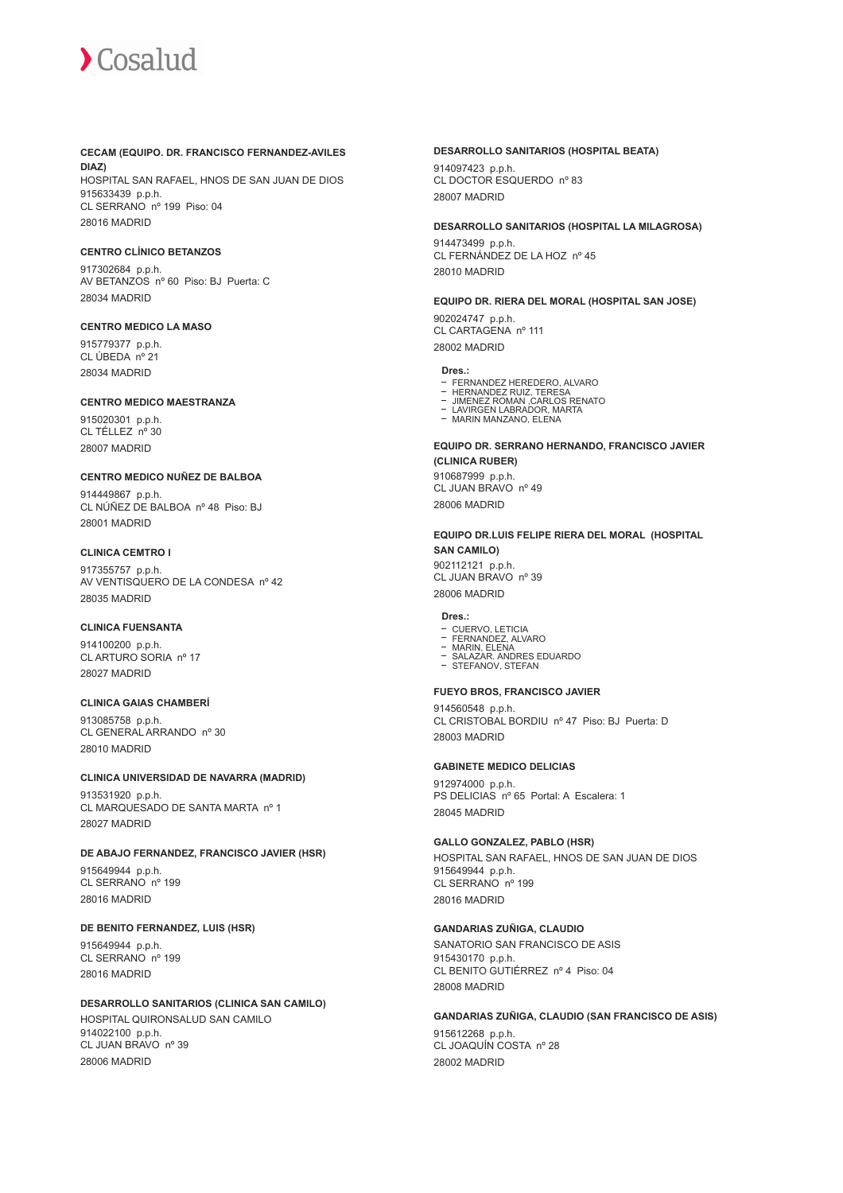#### **CECAM (EQUIPO. DR. FRANCISCO FERNANDEZ-AVILES DIAZ)**

HOSPITAL SAN RAFAEL, HNOS DE SAN JUAN DE DIOS 915633439 p.p.h. CL SERRANO nº 199 Piso: 04 28016 MADRID

## **CENTRO CLÍNICO BETANZOS**

917302684 p.p.h. AV BETANZOS nº 60 Piso: BJ Puerta: C 28034 MADRID

#### **CENTRO MEDICO LA MASO**

915779377 p.p.h. CL ÚBEDA nº 21 28034 MADRID

### **CENTRO MEDICO MAESTRANZA**

915020301 p.p.h. CL TÉLLEZ nº 30 28007 MADRID

#### **CENTRO MEDICO NUÑEZ DE BALBOA**

914449867 p.p.h. CL NÚÑEZ DE BALBOA nº 48 Piso: BJ 28001 MADRID

### **CLINICA CEMTRO I**

917355757 p.p.h. AV VENTISQUERO DE LA CONDESA nº 42 28035 MADRID

#### **CLINICA FUENSANTA**

914100200 p.p.h. CL ARTURO SORIA nº 17 28027 MADRID

## **CLINICA GAIAS CHAMBERÍ**

913085758 p.p.h. CL GENERAL ARRANDO nº 30 28010 MADRID

#### **CLINICA UNIVERSIDAD DE NAVARRA (MADRID)**

913531920 p.p.h. CL MARQUESADO DE SANTA MARTA nº 1 28027 MADRID

#### **DE ABAJO FERNANDEZ, FRANCISCO JAVIER (HSR)**

915649944 p.p.h. CL SERRANO nº 199 28016 MADRID

### **DE BENITO FERNANDEZ, LUIS (HSR)**

915649944 p.p.h. CL SERRANO nº 199 28016 MADRID

## **DESARROLLO SANITARIOS (CLINICA SAN CAMILO)**

HOSPITAL QUIRONSALUD SAN CAMILO 914022100 p.p.h. CL JUAN BRAVO nº 39 28006 MADRID

#### **DESARROLLO SANITARIOS (HOSPITAL BEATA)**

914097423 p.p.h. CL DOCTOR ESQUERDO nº 83 28007 MADRID

#### **DESARROLLO SANITARIOS (HOSPITAL LA MILAGROSA)**

914473499 p.p.h. CL FERNÁNDEZ DE LA HOZ nº 45 28010 MADRID

#### **EQUIPO DR. RIERA DEL MORAL (HOSPITAL SAN JOSE)**

902024747 p.p.h. CL CARTAGENA nº 111 28002 MADRID

#### **Dres.:**

- FERNANDEZ HEREDERO, ALVARO
- HERNANDEZ RUIZ, TERESA JIMENEZ ROMAN ,CARLOS RENATO LAVIRGEN LABRADOR, MARTA
- 
- MARIN MANZANO, ELENA

**EQUIPO DR. SERRANO HERNANDO, FRANCISCO JAVIER (CLINICA RUBER)** 910687999 p.p.h.

CL JUAN BRAVO nº 49 28006 MADRID

#### **EQUIPO DR.LUIS FELIPE RIERA DEL MORAL (HOSPITAL SAN CAMILO)**

902112121 p.p.h. CL JUAN BRAVO nº 39 28006 MADRID

## **Dres.:**

- CUERVO, LETICIA FERNANDEZ, ALVARO
- MARIN, ELENA SALAZAR. ANDRES EDUARDO STEFANOV, STEFAN
- 

## **FUEYO BROS, FRANCISCO JAVIER**

914560548 p.p.h. CL CRISTOBAL BORDIU nº 47 Piso: BJ Puerta: D 28003 MADRID

#### **GABINETE MEDICO DELICIAS**

912974000 p.p.h. PS DELICIAS nº 65 Portal: A Escalera: 1 28045 MADRID

## **GALLO GONZALEZ, PABLO (HSR)**

HOSPITAL SAN RAFAEL, HNOS DE SAN JUAN DE DIOS 915649944 p.p.h. CL SERRANO nº 199 28016 MADRID

## **GANDARIAS ZUÑIGA, CLAUDIO**

SANATORIO SAN FRANCISCO DE ASIS 915430170 p.p.h. CL BENITO GUTIÉRREZ nº 4 Piso: 04 28008 MADRID

## **GANDARIAS ZUÑIGA, CLAUDIO (SAN FRANCISCO DE ASIS)**

915612268 p.p.h. CL JOAQUÍN COSTA nº 28 28002 MADRID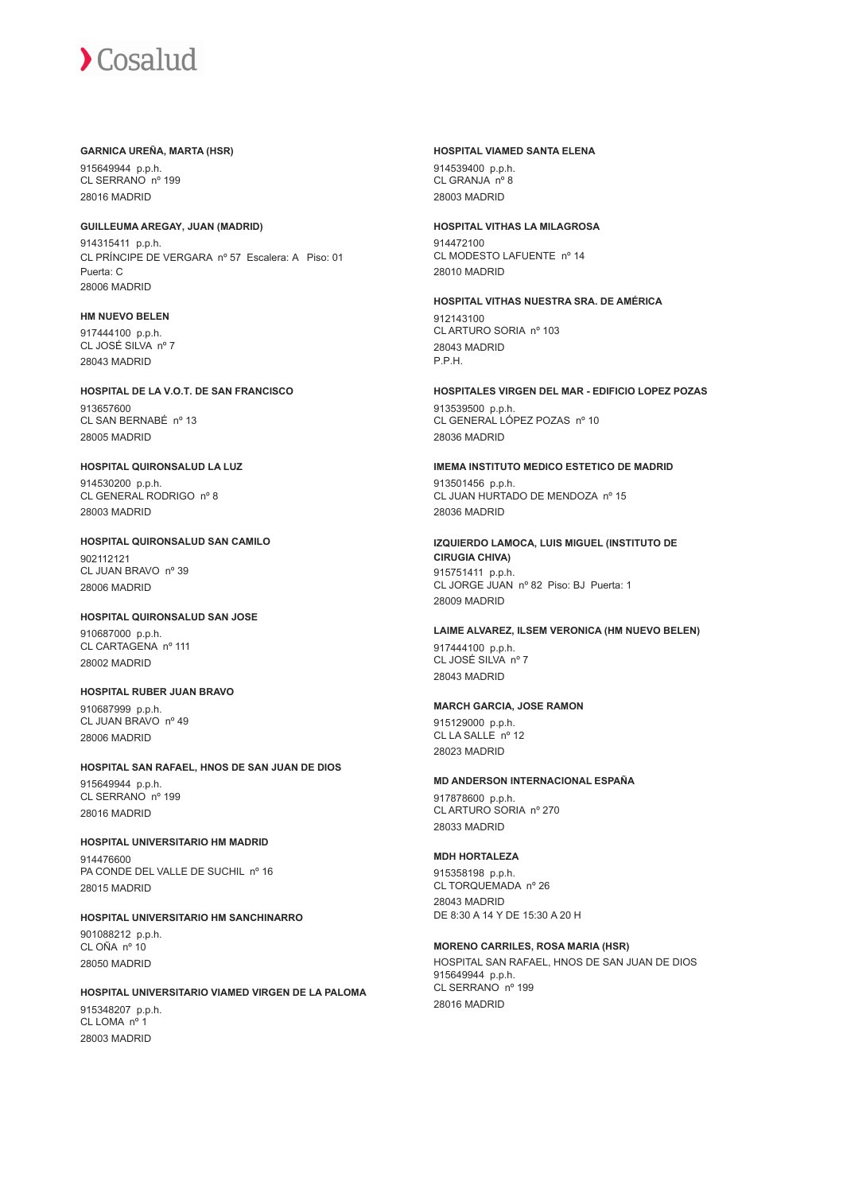#### **GARNICA UREÑA, MARTA (HSR)**

915649944 p.p.h. CL SERRANO nº 199 28016 MADRID

#### **GUILLEUMA AREGAY, JUAN (MADRID)**

914315411 p.p.h. CL PRÍNCIPE DE VERGARA nº 57 Escalera: A Piso: 01 Puerta: C 28006 MADRID

## **HM NUEVO BELEN**

917444100 p.p.h. CL JOSÉ SILVA nº 7 28043 MADRID

## **HOSPITAL DE LA V.O.T. DE SAN FRANCISCO** 913657600

CL SAN BERNABÉ nº 13 28005 MADRID

## **HOSPITAL QUIRONSALUD LA LUZ**

914530200 p.p.h. CL GENERAL RODRIGO nº 8 28003 MADRID

## **HOSPITAL QUIRONSALUD SAN CAMILO** 902112121 CL JUAN BRAVO nº 39

28006 MADRID

## **HOSPITAL QUIRONSALUD SAN JOSE**

910687000 p.p.h. CL CARTAGENA nº 111 28002 MADRID

## **HOSPITAL RUBER JUAN BRAVO** 910687999 p.p.h.

CL JUAN BRAVO nº 49 28006 MADRID

#### **HOSPITAL SAN RAFAEL, HNOS DE SAN JUAN DE DIOS** 915649944 p.p.h. CL SERRANO nº 199

28016 MADRID

## **HOSPITAL UNIVERSITARIO HM MADRID**

914476600 PA CONDE DEL VALLE DE SUCHIL nº 16 28015 MADRID

### **HOSPITAL UNIVERSITARIO HM SANCHINARRO** 901088212 p.p.h. CL OÑA nº 10 28050 MADRID

**HOSPITAL UNIVERSITARIO VIAMED VIRGEN DE LA PALOMA** 915348207 p.p.h. CL LOMA nº 1 28003 MADRID

#### **HOSPITAL VIAMED SANTA ELENA**

914539400 p.p.h. CL GRANJA nº 8 28003 MADRID

## **HOSPITAL VITHAS LA MILAGROSA**

914472100 CL MODESTO LAFUENTE nº 14 28010 MADRID

## **HOSPITAL VITHAS NUESTRA SRA. DE AMÉRICA**

912143100 CL ARTURO SORIA nº 103 28043 MADRID P.P.H.

### **HOSPITALES VIRGEN DEL MAR - EDIFICIO LOPEZ POZAS** 913539500 p.p.h. CL GENERAL LÓPEZ POZAS nº 10 28036 MADRID

**IMEMA INSTITUTO MEDICO ESTETICO DE MADRID**

913501456 p.p.h. CL JUAN HURTADO DE MENDOZA nº 15 28036 MADRID

#### **IZQUIERDO LAMOCA, LUIS MIGUEL (INSTITUTO DE CIRUGIA CHIVA)** 915751411 p.p.h. CL JORGE JUAN nº 82 Piso: BJ Puerta: 1 28009 MADRID

## **LAIME ALVAREZ, ILSEM VERONICA (HM NUEVO BELEN)** 917444100 p.p.h.

CL JOSÉ SILVA nº 7 28043 MADRID

## **MARCH GARCIA, JOSE RAMON**

915129000 p.p.h. CL LA SALLE<sup>nº</sup> 12 28023 MADRID

## **MD ANDERSON INTERNACIONAL ESPAÑA**

917878600 p.p.h. CL ARTURO SORIA nº 270 28033 MADRID

## **MDH HORTALEZA**

915358198 p.p.h. CL TORQUEMADA nº 26 28043 MADRID DE 8:30 A 14 Y DE 15:30 A 20 H

## **MORENO CARRILES, ROSA MARIA (HSR)**

HOSPITAL SAN RAFAEL, HNOS DE SAN JUAN DE DIOS 915649944 p.p.h. CL SERRANO nº 199 28016 MADRID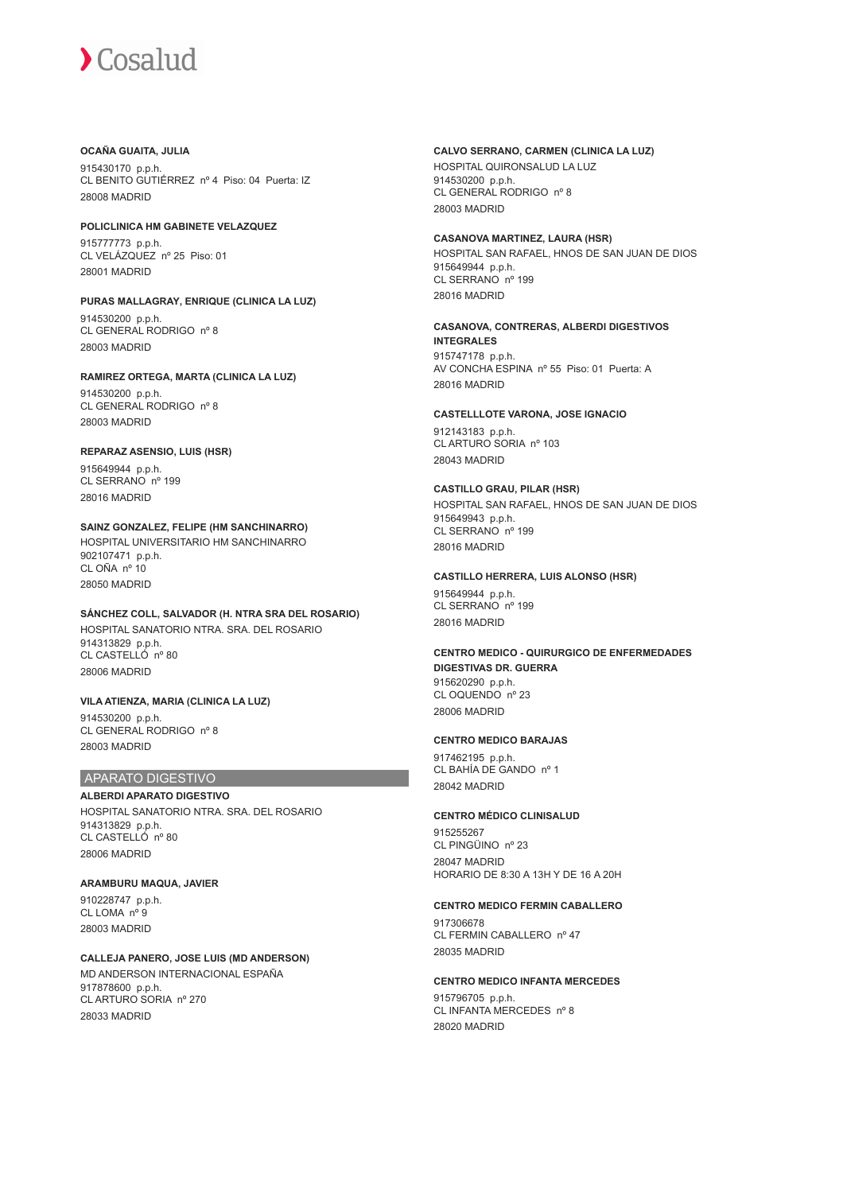#### **OCAÑA GUAITA, JULIA**

915430170 p.p.h. CL BENITO GUTIÉRREZ nº 4 Piso: 04 Puerta: IZ 28008 MADRID

## **POLICLINICA HM GABINETE VELAZQUEZ**

915777773 p.p.h. CL VELÁZQUEZ nº 25 Piso: 01 28001 MADRID

## **PURAS MALLAGRAY, ENRIQUE (CLINICA LA LUZ)** 914530200 p.p.h.

CL GENERAL RODRIGO nº 8 28003 MADRID

## **RAMIREZ ORTEGA, MARTA (CLINICA LA LUZ)**

914530200 p.p.h. CL GENERAL RODRIGO nº 8 28003 MADRID

## **REPARAZ ASENSIO, LUIS (HSR)**

915649944 p.p.h. CL SERRANO nº 199 28016 MADRID

## **SAINZ GONZALEZ, FELIPE (HM SANCHINARRO)**

HOSPITAL UNIVERSITARIO HM SANCHINARRO 902107471 p.p.h. CL OÑA nº 10 28050 MADRID

## **SÁNCHEZ COLL, SALVADOR (H. NTRA SRA DEL ROSARIO)** HOSPITAL SANATORIO NTRA. SRA. DEL ROSARIO 914313829 p.p.h.

CL CASTELLÓ nº 80 28006 MADRID

## **VILA ATIENZA, MARIA (CLINICA LA LUZ)**

914530200 p.p.h. CL GENERAL RODRIGO nº 8 28003 MADRID

## APARATO DIGESTIVO

**ALBERDI APARATO DIGESTIVO** HOSPITAL SANATORIO NTRA. SRA. DEL ROSARIO 914313829 p.p.h. CL CASTELLÓ nº 80 28006 MADRID

## **ARAMBURU MAQUA, JAVIER**

910228747 p.p.h. CL LOMA nº 9 28003 MADRID

#### **CALLEJA PANERO, JOSE LUIS (MD ANDERSON)** MD ANDERSON INTERNACIONAL ESPAÑA 917878600 p.p.h. CL ARTURO SORIA nº 270 28033 MADRID

## **CALVO SERRANO, CARMEN (CLINICA LA LUZ)**

HOSPITAL QUIRONSALUD LA LUZ 914530200 p.p.h. CL GENERAL RODRIGO nº 8 28003 MADRID

### **CASANOVA MARTINEZ, LAURA (HSR)**

HOSPITAL SAN RAFAEL, HNOS DE SAN JUAN DE DIOS 915649944 p.p.h. CL SERRANO<sup>nº</sup> 199 28016 MADRID

## **CASANOVA, CONTRERAS, ALBERDI DIGESTIVOS**

**INTEGRALES** 915747178 p.p.h. AV CONCHA ESPINA nº 55 Piso: 01 Puerta: A 28016 MADRID

## **CASTELLLOTE VARONA, JOSE IGNACIO**

912143183 p.p.h. CL ARTURO SORIA nº 103 28043 MADRID

## **CASTILLO GRAU, PILAR (HSR)**

HOSPITAL SAN RAFAEL, HNOS DE SAN JUAN DE DIOS 915649943 p.p.h. CL SERRANO nº 199 28016 MADRID

## **CASTILLO HERRERA, LUIS ALONSO (HSR)**

915649944 p.p.h. CL SERRANO nº 199 28016 MADRID

#### **CENTRO MEDICO - QUIRURGICO DE ENFERMEDADES DIGESTIVAS DR. GUERRA** 915620290 p.p.h. CL OQUENDO nº 23 28006 MADRID

## **CENTRO MEDICO BARAJAS**

917462195 p.p.h. CL BAHÍA DE GANDO nº 1 28042 MADRID

## **CENTRO MÉDICO CLINISALUD**

915255267 CL PINGÜINO nº 23 28047 MADRID HORARIO DE 8:30 A 13H Y DE 16 A 20H

## **CENTRO MEDICO FERMIN CABALLERO**

917306678 CL FERMIN CABALLERO nº 47 28035 MADRID

## **CENTRO MEDICO INFANTA MERCEDES**

915796705 p.p.h. CL INFANTA MERCEDES nº 8 28020 MADRID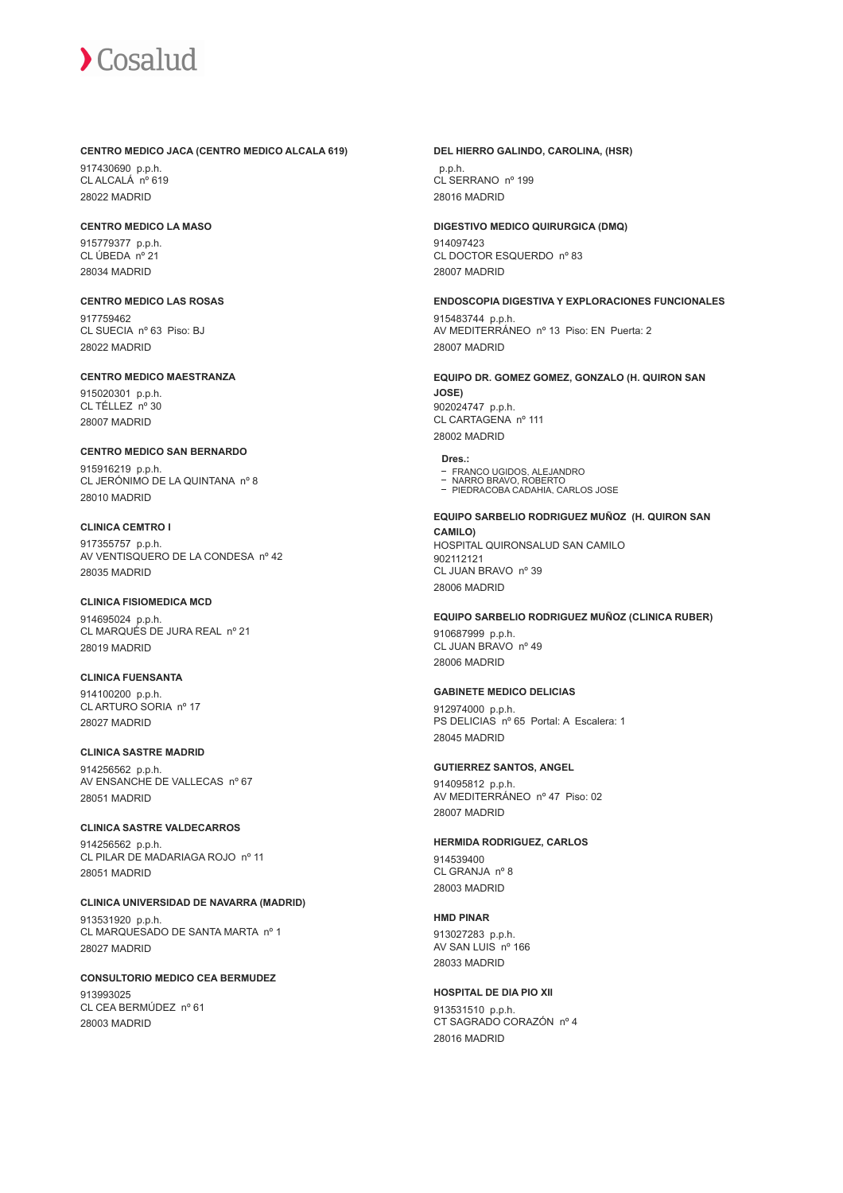#### **CENTRO MEDICO JACA (CENTRO MEDICO ALCALA 619)**

917430690 p.p.h. CL ALCALÁ nº 619 28022 MADRID

## **CENTRO MEDICO LA MASO**

915779377 p.p.h. CL ÚBEDA nº 21 28034 MADRID

## **CENTRO MEDICO LAS ROSAS** 917759462

CL SUECIA nº 63 Piso: BJ 28022 MADRID

## **CENTRO MEDICO MAESTRANZA**

915020301 p.p.h. CL TÉLLEZ nº 30 28007 MADRID

## **CENTRO MEDICO SAN BERNARDO**

915916219 p.p.h. CL JERÓNIMO DE LA QUINTANA nº 8 28010 MADRID

## **CLINICA CEMTRO I**

917355757 p.p.h. AV VENTISQUERO DE LA CONDESA nº 42 28035 MADRID

## **CLINICA FISIOMEDICA MCD**

914695024 p.p.h. CL MARQUÉS DE JURA REAL nº 21 28019 MADRID

## **CLINICA FUENSANTA**

914100200 p.p.h. CL ARTURO SORIA nº 17 28027 MADRID

## **CLINICA SASTRE MADRID**

914256562 p.p.h. AV ENSANCHE DE VALLECAS nº 67 28051 MADRID

## **CLINICA SASTRE VALDECARROS**

914256562 p.p.h. CL PILAR DE MADARIAGA ROJO nº 11 28051 MADRID

## **CLINICA UNIVERSIDAD DE NAVARRA (MADRID)**

913531920 p.p.h. CL MARQUESADO DE SANTA MARTA nº 1 28027 MADRID

## **CONSULTORIO MEDICO CEA BERMUDEZ**

913993025 CL CEA BERMÚDEZ nº 61 28003 MADRID

#### **DEL HIERRO GALINDO, CAROLINA, (HSR)**

 p.p.h. CL SERRANO nº 199 28016 MADRID

## **DIGESTIVO MEDICO QUIRURGICA (DMQ)**

914097423 CL DOCTOR ESQUERDO nº 83 28007 MADRID

## **ENDOSCOPIA DIGESTIVA Y EXPLORACIONES FUNCIONALES**

915483744 p.p.h. AV MEDITERRÁNEO nº 13 Piso: EN Puerta: 2 28007 MADRID

## **EQUIPO DR. GOMEZ GOMEZ, GONZALO (H. QUIRON SAN JOSE)** 902024747 p.p.h.

CL CARTAGENA nº 111 28002 MADRID

## **Dres.:**

- FRANCO UGIDOS, ALEJANDRO
- NARRO BRAVO, ROBERTO PIEDRACOBA CADAHIA, CARLOS JOSE

## **EQUIPO SARBELIO RODRIGUEZ MUÑOZ (H. QUIRON SAN CAMILO)** HOSPITAL QUIRONSALUD SAN CAMILO

902112121 CL JUAN BRAVO nº 39 28006 MADRID

## **EQUIPO SARBELIO RODRIGUEZ MUÑOZ (CLINICA RUBER)**

910687999 p.p.h. CL JUAN BRAVO nº 49 28006 MADRID

## **GABINETE MEDICO DELICIAS**

912974000 p.p.h. PS DELICIAS nº 65 Portal: A Escalera: 1 28045 MADRID

## **GUTIERREZ SANTOS, ANGEL**

914095812 p.p.h. AV MEDITERRÁNEO nº 47 Piso: 02 28007 MADRID

## **HERMIDA RODRIGUEZ, CARLOS**

914539400 CL GRANJA nº 8 28003 MADRID

## **HMD PINAR**

913027283 p.p.h. AV SAN LUIS nº 166 28033 MADRID

## **HOSPITAL DE DIA PIO XII**

913531510 p.p.h. CT SAGRADO CORAZÓN nº 4 28016 MADRID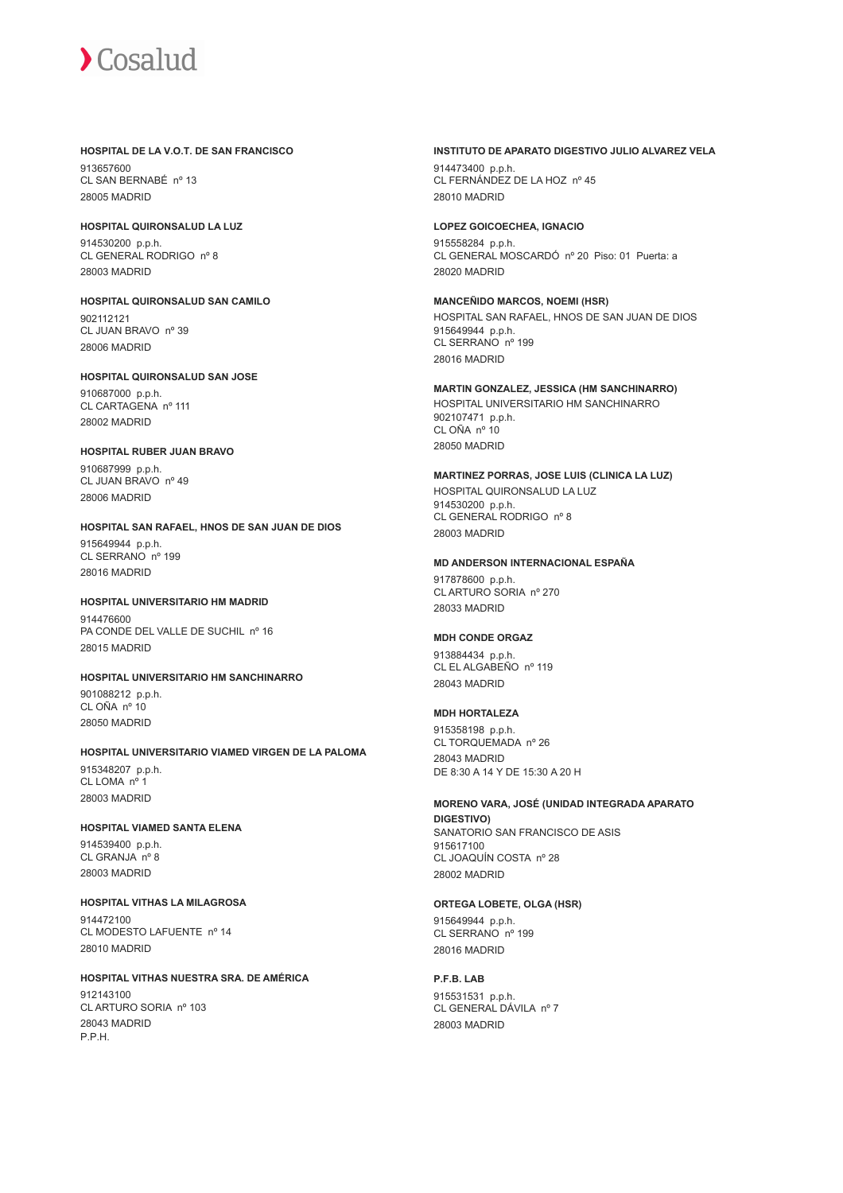#### **HOSPITAL DE LA V.O.T. DE SAN FRANCISCO**

913657600 CL SAN BERNABÉ nº 13 28005 MADRID

## **HOSPITAL QUIRONSALUD LA LUZ**

914530200 p.p.h. CL GENERAL RODRIGO nº 8 28003 MADRID

#### **HOSPITAL QUIRONSALUD SAN CAMILO** 902112121 CL JUAN BRAVO nº 39 28006 MADRID

## **HOSPITAL QUIRONSALUD SAN JOSE**

910687000 p.p.h. CL CARTAGENA nº 111 28002 MADRID

## **HOSPITAL RUBER JUAN BRAVO**

910687999 p.p.h. CL JUAN BRAVO nº 49 28006 MADRID

## **HOSPITAL SAN RAFAEL, HNOS DE SAN JUAN DE DIOS**

915649944 p.p.h. CL SERRANO nº 199 28016 MADRID

#### **HOSPITAL UNIVERSITARIO HM MADRID** 014476600

PA CONDE DEL VALLE DE SUCHIL nº 16 28015 MADRID

## **HOSPITAL UNIVERSITARIO HM SANCHINARRO**

901088212 p.p.h. CL OÑA nº 10 28050 MADRID

#### **HOSPITAL UNIVERSITARIO VIAMED VIRGEN DE LA PALOMA** 915348207 p.p.h. CL LOMA nº 1 28003 MADRID

## **HOSPITAL VIAMED SANTA ELENA**

914539400 p.p.h. CL GRANJA nº 8 28003 MADRID

## **HOSPITAL VITHAS LA MILAGROSA** 914472100

CL MODESTO LAFUENTE nº 14 28010 MADRID

## **HOSPITAL VITHAS NUESTRA SRA. DE AMÉRICA**

912143100 CL ARTURO SORIA nº 103 28043 MADRID P.P.H.

#### **INSTITUTO DE APARATO DIGESTIVO JULIO ALVAREZ VELA**

914473400 p.p.h. CL FERNÁNDEZ DE LA HOZ nº 45 28010 MADRID

### **LOPEZ GOICOECHEA, IGNACIO**

915558284 p.p.h. CL GENERAL MOSCARDÓ nº 20 Piso: 01 Puerta: a 28020 MADRID

#### **MANCEÑIDO MARCOS, NOEMI (HSR)** HOSPITAL SAN RAFAEL, HNOS DE SAN JUAN DE DIOS 915649944 p.p.h. CL SERRANO nº 199 28016 MADRID

**MARTIN GONZALEZ, JESSICA (HM SANCHINARRO)** HOSPITAL UNIVERSITARIO HM SANCHINARRO 902107471 p.p.h. CL OÑA nº 10 28050 MADRID

## **MARTINEZ PORRAS, JOSE LUIS (CLINICA LA LUZ)** HOSPITAL QUIRONSALUD LA LUZ 914530200 p.p.h. CL GENERAL RODRIGO nº 8 28003 MADRID

#### **MD ANDERSON INTERNACIONAL ESPAÑA**

917878600 p.p.h. CL ARTURO SORIA nº 270 28033 MADRID

## **MDH CONDE ORGAZ**

913884434 p.p.h. CL EL ALGABEÑO nº 119 28043 MADRID

## **MDH HORTALEZA**

915358198 p.p.h. CL TORQUEMADA nº 26 28043 MADRID DE 8:30 A 14 Y DE 15:30 A 20 H

#### **MORENO VARA, JOSÉ (UNIDAD INTEGRADA APARATO DIGESTIVO)** SANATORIO SAN FRANCISCO DE ASIS 915617100 CL JOAQUÍN COSTA nº 28 28002 MADRID

## **ORTEGA LOBETE, OLGA (HSR)**

915649944 p.p.h. CL SERRANO nº 199 28016 MADRID

**P.F.B. LAB**

915531531 p.p.h. CL GENERAL DÁVILA nº 7 28003 MADRID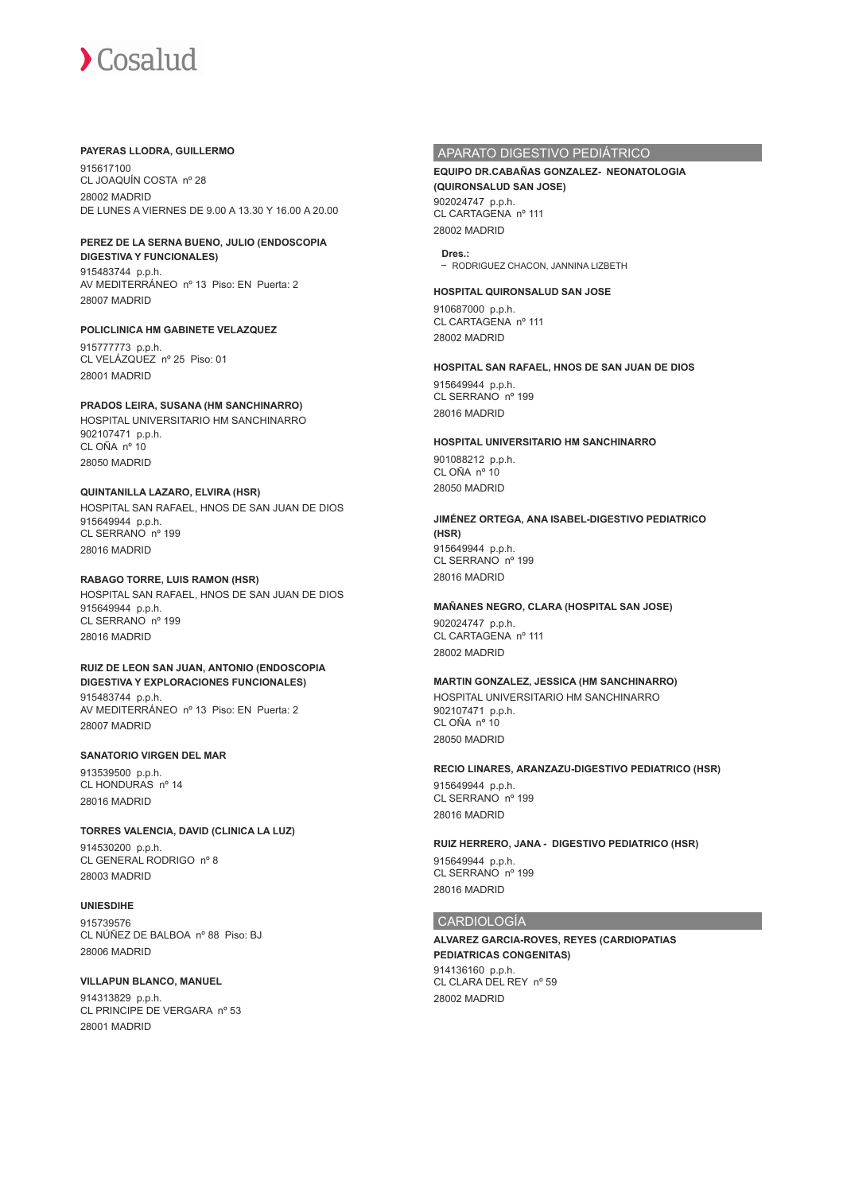#### **PAYERAS LLODRA, GUILLERMO**

915617100 CL JOAQUÍN COSTA nº 28 28002 MADRID DE LUNES A VIERNES DE 9.00 A 13.30 Y 16.00 A 20.00

#### **PEREZ DE LA SERNA BUENO, JULIO (ENDOSCOPIA**

**DIGESTIVA Y FUNCIONALES)** 915483744 p.p.h. AV MEDITERRÁNEO nº 13 Piso: EN Puerta: 2 28007 MADRID

#### **POLICLINICA HM GABINETE VELAZQUEZ**

915777773 p.p.h. CL VELÁZQUEZ nº 25 Piso: 01 28001 MADRID

#### **PRADOS LEIRA, SUSANA (HM SANCHINARRO)**

HOSPITAL UNIVERSITARIO HM SANCHINARRO 902107471 p.p.h. CL OÑA nº 10 28050 MADRID

### **QUINTANILLA LAZARO, ELVIRA (HSR)**

HOSPITAL SAN RAFAEL, HNOS DE SAN JUAN DE DIOS 915649944 p.p.h. CL SERRANO nº 199 28016 MADRID

#### **RABAGO TORRE, LUIS RAMON (HSR)**

HOSPITAL SAN RAFAEL, HNOS DE SAN JUAN DE DIOS 915649944 p.p.h. CL SERRANO nº 199 28016 MADRID

## **RUIZ DE LEON SAN JUAN, ANTONIO (ENDOSCOPIA DIGESTIVA Y EXPLORACIONES FUNCIONALES)**

915483744 p.p.h. AV MEDITERRÁNEO nº 13 Piso: EN Puerta: 2 28007 MADRID

#### **SANATORIO VIRGEN DEL MAR**

913539500 p.p.h. CL HONDURAS nº 14 28016 MADRID

#### **TORRES VALENCIA, DAVID (CLINICA LA LUZ)**

914530200 p.p.h. CL GENERAL RODRIGO nº 8 28003 MADRID

#### **UNIESDIHE**

915739576 CL NÚÑEZ DE BALBOA nº 88 Piso: BJ 28006 MADRID

#### **VILLAPUN BLANCO, MANUEL**

914313829 p.p.h. CL PRINCIPE DE VERGARA nº 53 28001 MADRID

## APARATO DIGESTIVO PEDIÁTRICO

#### **EQUIPO DR.CABAÑAS GONZALEZ- NEONATOLOGIA (QUIRONSALUD SAN JOSE)** 902024747 p.p.h. CL CARTAGENA nº 111

28002 MADRID

**Dres.:** - RODRIGUEZ CHACON, JANNINA LIZBETH

### **HOSPITAL QUIRONSALUD SAN JOSE**

910687000 p.p.h. CL CARTAGENA nº 111 28002 MADRID

#### **HOSPITAL SAN RAFAEL, HNOS DE SAN JUAN DE DIOS**

915649944 p.p.h. CL SERRANO nº 199 28016 MADRID

#### **HOSPITAL UNIVERSITARIO HM SANCHINARRO**

901088212 p.p.h. CL OÑA nº 10 28050 MADRID

#### **JIMÉNEZ ORTEGA, ANA ISABEL-DIGESTIVO PEDIATRICO (HSR)** 915649944 p.p.h. CL SERRANO<sup>nº</sup> 199 28016 MADRID

#### **MAÑANES NEGRO, CLARA (HOSPITAL SAN JOSE)**

902024747 p.p.h. CL CARTAGENA nº 111 28002 MADRID

## **MARTIN GONZALEZ, JESSICA (HM SANCHINARRO)**

HOSPITAL UNIVERSITARIO HM SANCHINARRO 902107471 p.p.h. CL OÑA nº 10 28050 MADRID

#### **RECIO LINARES, ARANZAZU-DIGESTIVO PEDIATRICO (HSR)**

915649944 p.p.h. CL SERRANO nº 199 28016 MADRID

## **RUIZ HERRERO, JANA - DIGESTIVO PEDIATRICO (HSR)**

915649944 p.p.h. CL SERRANO nº 199 28016 MADRID

#### CARDIOLOGÍA

**ALVAREZ GARCIA-ROVES, REYES (CARDIOPATIAS PEDIATRICAS CONGENITAS)** 914136160 p.p.h. CL CLARA DEL REY nº 59 28002 MADRID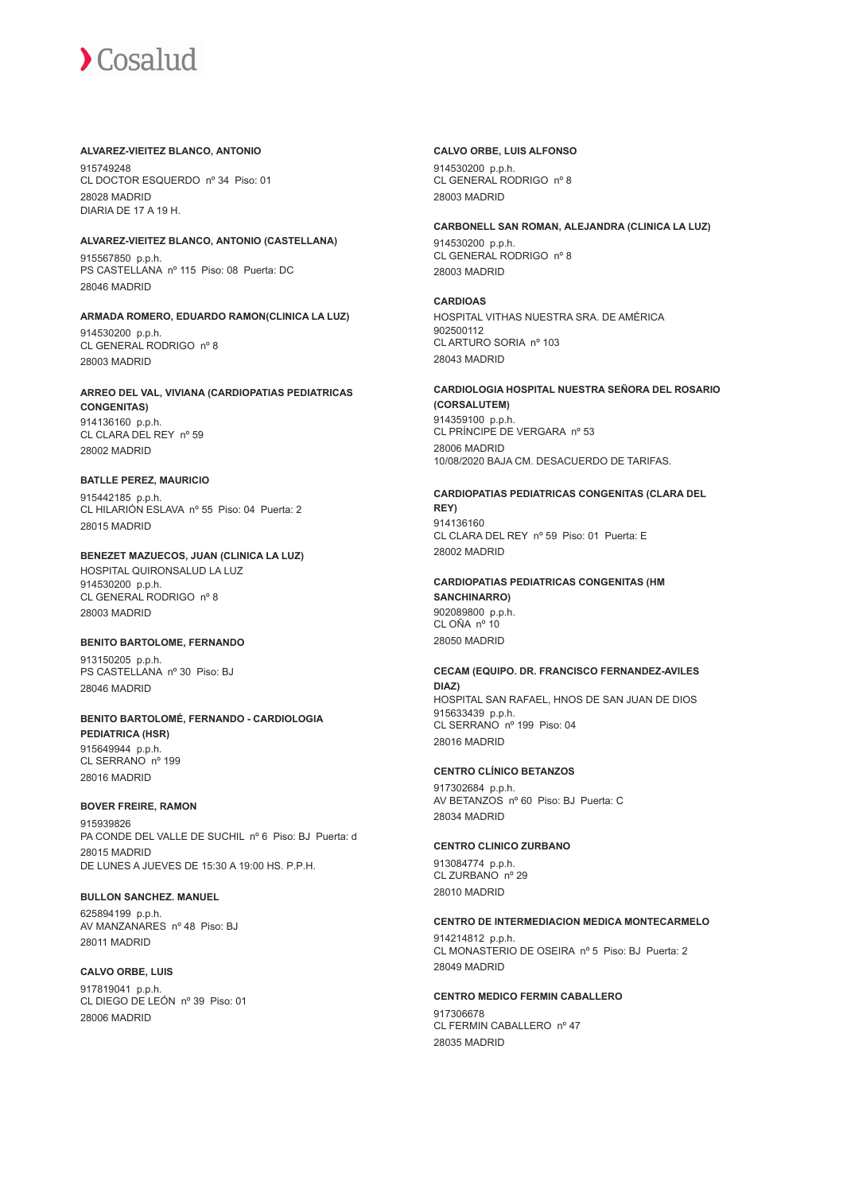#### **ALVAREZ-VIEITEZ BLANCO, ANTONIO**

915749248 CL DOCTOR ESQUERDO nº 34 Piso: 01 28028 MADRID DIARIA DE 17 A 19 H.

## **ALVAREZ-VIEITEZ BLANCO, ANTONIO (CASTELLANA)**

915567850 p.p.h. PS CASTELLANA nº 115 Piso: 08 Puerta: DC 28046 MADRID

#### **ARMADA ROMERO, EDUARDO RAMON(CLINICA LA LUZ)**

914530200 p.p.h. CL GENERAL RODRIGO nº 8 28003 MADRID

## **ARREO DEL VAL, VIVIANA (CARDIOPATIAS PEDIATRICAS**

**CONGENITAS)** 914136160 p.p.h. CL CLARA DEL REY nº 59 28002 MADRID

#### **BATLLE PEREZ, MAURICIO**

915442185 p.p.h. CL HILARIÓN ESLAVA nº 55 Piso: 04 Puerta: 2 28015 MADRID

#### **BENEZET MAZUECOS, JUAN (CLINICA LA LUZ)** HOSPITAL QUIRONSALUD LA LUZ 914530200 p.p.h. CL GENERAL RODRIGO nº 8

28003 MADRID

#### **BENITO BARTOLOME, FERNANDO**

913150205 p.p.h. PS CASTELLANA nº 30 Piso: BJ 28046 MADRID

#### **BENITO BARTOLOMÉ, FERNANDO - CARDIOLOGIA PEDIATRICA (HSR)** 915649944 p.p.h. CL SERRANO nº 199 28016 MADRID

#### **BOVER FREIRE, RAMON**

915939826 PA CONDE DEL VALLE DE SUCHIL nº 6 Piso: BJ Puerta: d 28015 MADRID DE LUNES A JUEVES DE 15:30 A 19:00 HS. P.P.H.

#### **BULLON SANCHEZ. MANUEL**

625894199 p.p.h. AV MANZANARES nº 48 Piso: BJ 28011 MADRID

## **CALVO ORBE, LUIS**

917819041 p.p.h. CL DIEGO DE LEÓN nº 39 Piso: 01 28006 MADRID

#### **CALVO ORBE, LUIS ALFONSO**

914530200 p.p.h. CL GENERAL RODRIGO nº 8 28003 MADRID

#### **CARBONELL SAN ROMAN, ALEJANDRA (CLINICA LA LUZ)**

914530200 p.p.h. CL GENERAL RODRIGO nº 8 28003 MADRID

#### **CARDIOAS**

HOSPITAL VITHAS NUESTRA SRA. DE AMÉRICA 902500112 CL ARTURO SORIA nº 103 28043 MADRID

#### **CARDIOLOGIA HOSPITAL NUESTRA SEÑORA DEL ROSARIO (CORSALUTEM)**

914359100 p.p.h. CL PRÍNCIPE DE VERGARA nº 53 28006 MADRID 10/08/2020 BAJA CM. DESACUERDO DE TARIFAS.

## **CARDIOPATIAS PEDIATRICAS CONGENITAS (CLARA DEL**

**REY)** 914136160 CL CLARA DEL REY nº 59 Piso: 01 Puerta: E 28002 MADRID

#### **CARDIOPATIAS PEDIATRICAS CONGENITAS (HM SANCHINARRO)**

902089800 p.p.h. CL OÑA nº 10 28050 MADRID

## **CECAM (EQUIPO. DR. FRANCISCO FERNANDEZ-AVILES DIAZ)** HOSPITAL SAN RAFAEL, HNOS DE SAN JUAN DE DIOS

915633439 p.p.h. CL SERRANO nº 199 Piso: 04 28016 MADRID

#### **CENTRO CLÍNICO BETANZOS**

917302684 p.p.h. AV BETANZOS nº 60 Piso: BJ Puerta: C 28034 MADRID

## **CENTRO CLINICO ZURBANO**

913084774 p.p.h. CL ZURBANO<sup>nº</sup> 29 28010 MADRID

#### **CENTRO DE INTERMEDIACION MEDICA MONTECARMELO**

914214812 p.p.h. CL MONASTERIO DE OSEIRA nº 5 Piso: BJ Puerta: 2 28049 MADRID

## **CENTRO MEDICO FERMIN CABALLERO** 917306678 CL FERMIN CABALLERO nº 47 28035 MADRID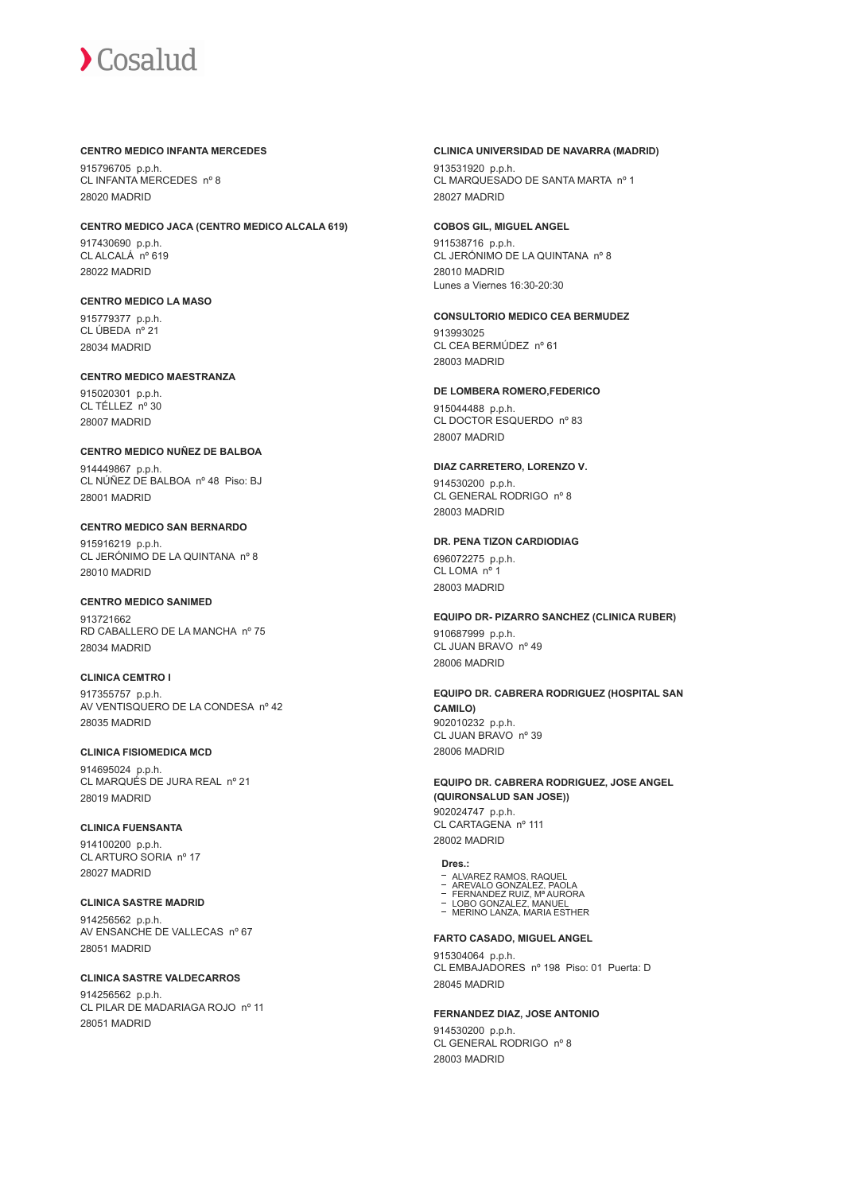#### **CENTRO MEDICO INFANTA MERCEDES**

915796705 p.p.h. CL INFANTA MERCEDES nº 8 28020 MADRID

#### **CENTRO MEDICO JACA (CENTRO MEDICO ALCALA 619)**

917430690 p.p.h. CL ALCALÁ nº 619 28022 MADRID

### **CENTRO MEDICO LA MASO**

915779377 p.p.h. CL ÚBEDA nº 21 28034 MADRID

#### **CENTRO MEDICO MAESTRANZA**

915020301 p.p.h. CL TÉLLEZ nº 30 28007 MADRID

#### **CENTRO MEDICO NUÑEZ DE BALBOA**

914449867 p.p.h. CL NÚÑEZ DE BALBOA nº 48 Piso: BJ 28001 MADRID

#### **CENTRO MEDICO SAN BERNARDO**

915916219 p.p.h. CL JERÓNIMO DE LA QUINTANA nº 8 28010 MADRID

### **CENTRO MEDICO SANIMED**

013721662 RD CABALLERO DE LA MANCHA nº 75 28034 MADRID

## **CLINICA CEMTRO I**

917355757 p.p.h. AV VENTISQUERO DE LA CONDESA nº 42 28035 MADRID

## **CLINICA FISIOMEDICA MCD**

914695024 p.p.h. CL MARQUÉS DE JURA REAL nº 21 28019 MADRID

## **CLINICA FUENSANTA**

914100200 p.p.h. CL ARTURO SORIA nº 17 28027 MADRID

## **CLINICA SASTRE MADRID**

914256562 p.p.h. AV ENSANCHE DE VALLECAS nº 67 28051 MADRID

#### **CLINICA SASTRE VALDECARROS**

914256562 p.p.h. CL PILAR DE MADARIAGA ROJO nº 11 28051 MADRID

#### **CLINICA UNIVERSIDAD DE NAVARRA (MADRID)**

913531920 p.p.h. CL MARQUESADO DE SANTA MARTA nº 1 28027 MADRID

#### **COBOS GIL, MIGUEL ANGEL**

911538716 p.p.h. CL JERÓNIMO DE LA QUINTANA nº 8 28010 MADRID Lunes a Viernes 16:30-20:30

#### **CONSULTORIO MEDICO CEA BERMUDEZ**

913993025 CL CEA BERMÚDEZ nº 61 28003 MADRID

#### **DE LOMBERA ROMERO,FEDERICO**

915044488 p.p.h. CL DOCTOR ESQUERDO nº 83 28007 MADRID

#### **DIAZ CARRETERO, LORENZO V.**

914530200 p.p.h. CL GENERAL RODRIGO nº 8 28003 MADRID

## **DR. PENA TIZON CARDIODIAG**

696072275 p.p.h.  $CI$  I  $OMA$   $n^{\circ}$ 28003 MADRID

## **EQUIPO DR- PIZARRO SANCHEZ (CLINICA RUBER)** 910687999 p.p.h.

CL JUAN BRAVO nº 49 28006 MADRID

**EQUIPO DR. CABRERA RODRIGUEZ (HOSPITAL SAN CAMILO)** 902010232 p.p.h. CL JUAN BRAVO nº 39 28006 MADRID

#### **EQUIPO DR. CABRERA RODRIGUEZ, JOSE ANGEL (QUIRONSALUD SAN JOSE))** 902024747 p.p.h. CL CARTAGENA nº 111 28002 MADRID

## **Dres.:**

- ALVAREZ RAMOS, RAQUEL
- 
- AREVALO GONZALEZ, PAOLA FERNANDEZ RUIZ, Mª AURORA LOBO GONZALEZ, MANUEL MERINO LANZA, MARIA ESTHER
- 

## **FARTO CASADO, MIGUEL ANGEL**

915304064 p.p.h. CL EMBAJADORES nº 198 Piso: 01 Puerta: D 28045 MADRID

#### **FERNANDEZ DIAZ, JOSE ANTONIO**

914530200 p.p.h. CL GENERAL RODRIGO nº 8 28003 MADRID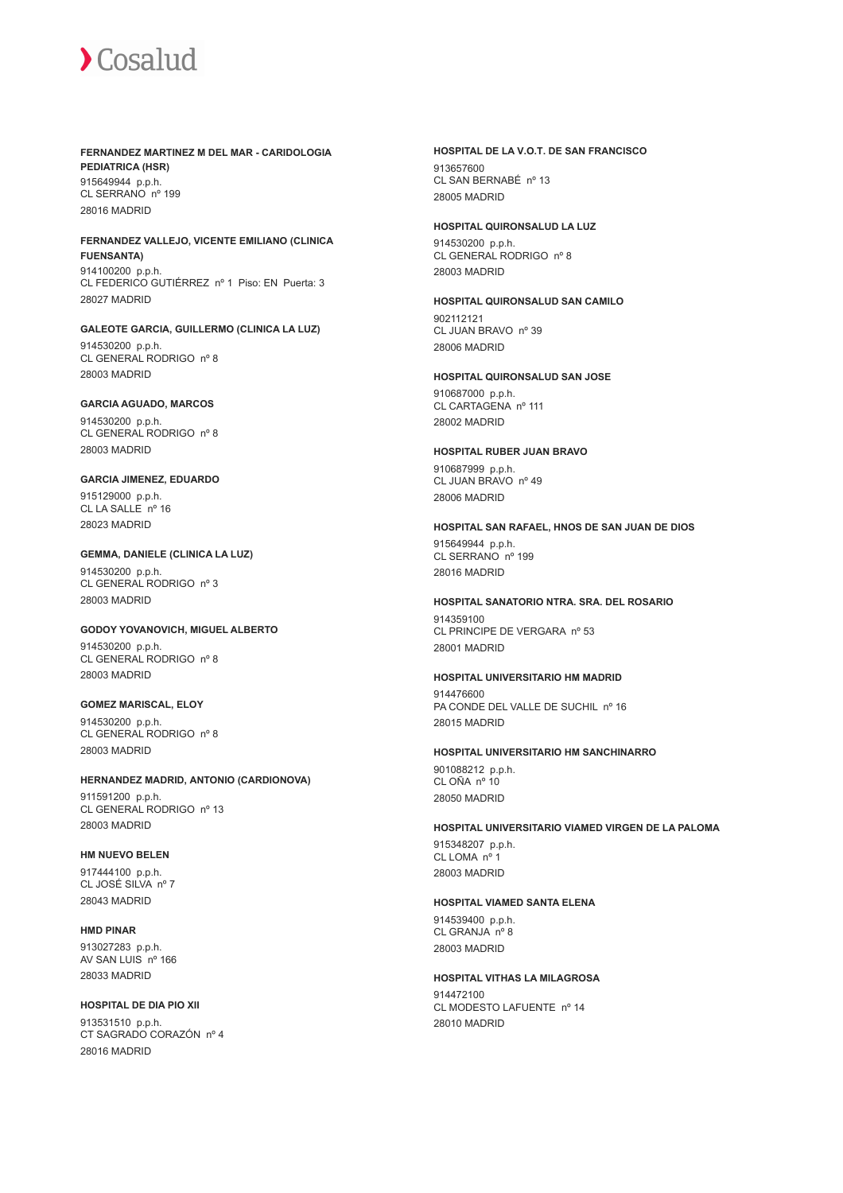## **FERNANDEZ MARTINEZ M DEL MAR - CARIDOLOGIA PEDIATRICA (HSR)**

915649944 p.p.h. CL SERRANO nº 199 28016 MADRID

#### **FERNANDEZ VALLEJO, VICENTE EMILIANO (CLINICA FUENSANTA)**

914100200 p.p.h. CL FEDERICO GUTIÉRREZ nº 1 Piso: EN Puerta: 3 28027 MADRID

**GALEOTE GARCIA, GUILLERMO (CLINICA LA LUZ)** 914530200 p.p.h. CL GENERAL RODRIGO nº 8 28003 MADRID

## **GARCIA AGUADO, MARCOS**

914530200 p.p.h. CL GENERAL RODRIGO nº 8 28003 MADRID

## **GARCIA JIMENEZ, EDUARDO**

915129000 p.p.h. CL LA SALLE nº 16 28023 MADRID

## **GEMMA, DANIELE (CLINICA LA LUZ)**

914530200 p.p.h. CL GENERAL RODRIGO nº 3 28003 MADRID

## **GODOY YOVANOVICH, MIGUEL ALBERTO**

914530200 p.p.h. CL GENERAL RODRIGO nº 8 28003 MADRID

### **GOMEZ MARISCAL, ELOY** 914530200 p.p.h. CL GENERAL RODRIGO nº 8 28003 MADRID

## **HERNANDEZ MADRID, ANTONIO (CARDIONOVA)** 911591200 p.p.h.

CL GENERAL RODRIGO nº 13 28003 MADRID

## **HM NUEVO BELEN**

917444100 p.p.h. CL JOSÉ SILVA nº 7 28043 MADRID

### **HMD PINAR** 913027283 p.p.h. AV SAN LUIS nº 166 28033 MADRID

## **HOSPITAL DE DIA PIO XII**

913531510 p.p.h. CT SAGRADO CORAZÓN nº 4 28016 MADRID

## **HOSPITAL DE LA V.O.T. DE SAN FRANCISCO**

913657600 CL SAN BERNABÉ nº 13 28005 MADRID

## **HOSPITAL QUIRONSALUD LA LUZ**

914530200 p.p.h. CL GENERAL RODRIGO nº 8 28003 MADRID

#### **HOSPITAL QUIRONSALUD SAN CAMILO** 902112121 CL JUAN BRAVO nº 39

28006 MADRID

## **HOSPITAL QUIRONSALUD SAN JOSE**

910687000 p.p.h. CL CARTAGENA nº 111 28002 MADRID

## **HOSPITAL RUBER JUAN BRAVO** 910687999 p.p.h.

CL JUAN BRAVO nº 49 28006 MADRID

## **HOSPITAL SAN RAFAEL, HNOS DE SAN JUAN DE DIOS**

915649944 p.p.h. CL SERRANO nº 199 28016 MADRID

#### **HOSPITAL SANATORIO NTRA. SRA. DEL ROSARIO** 914359100

CL PRINCIPE DE VERGARA nº 53 28001 MADRID

## **HOSPITAL UNIVERSITARIO HM MADRID**

914476600 PA CONDE DEL VALLE DE SUCHIL nº 16 28015 MADRID

#### **HOSPITAL UNIVERSITARIO HM SANCHINARRO**

901088212 p.p.h. CL OÑA nº 10 28050 MADRID

## **HOSPITAL UNIVERSITARIO VIAMED VIRGEN DE LA PALOMA**

915348207 p.p.h. CL LOMA nº 1 28003 MADRID

## **HOSPITAL VIAMED SANTA ELENA**

914539400 p.p.h. CL GRANJA nº 8 28003 MADRID

#### **HOSPITAL VITHAS LA MILAGROSA**

914472100 CL MODESTO LAFUENTE nº 14 28010 MADRID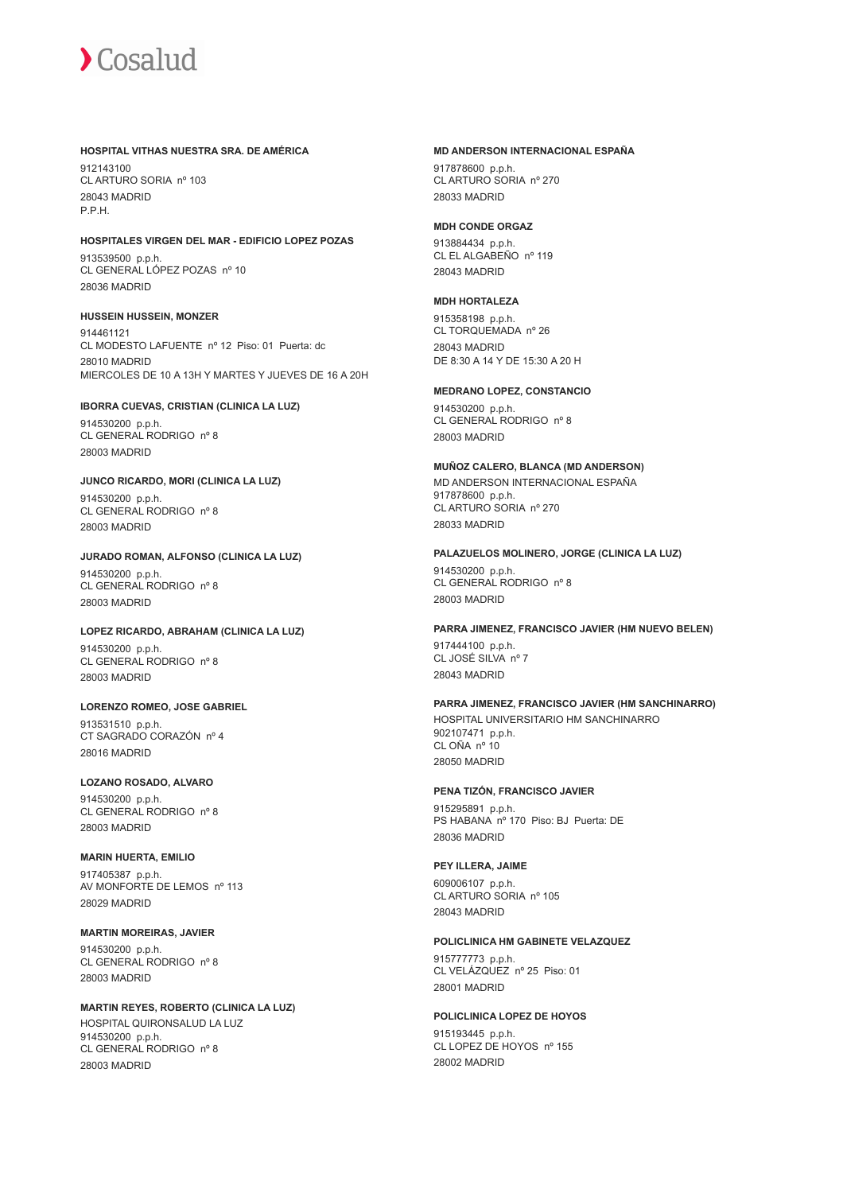#### **HOSPITAL VITHAS NUESTRA SRA. DE AMÉRICA**

912143100 CL ARTURO SORIA nº 103 28043 MADRID P.P.H.

## **HOSPITALES VIRGEN DEL MAR - EDIFICIO LOPEZ POZAS**

913539500 p.p.h. CL GENERAL LÓPEZ POZAS nº 10 28036 MADRID

## **HUSSEIN HUSSEIN, MONZER**

914461121 CL MODESTO LAFUENTE nº 12 Piso: 01 Puerta: dc 28010 MADRID MIERCOLES DE 10 A 13H Y MARTES Y JUEVES DE 16 A 20H

#### **IBORRA CUEVAS, CRISTIAN (CLINICA LA LUZ)**

914530200 p.p.h. CL GENERAL RODRIGO nº 8 28003 MADRID

## **JUNCO RICARDO, MORI (CLINICA LA LUZ)**

914530200 p.p.h. CL GENERAL RODRIGO nº 8 28003 MADRID

#### **JURADO ROMAN, ALFONSO (CLINICA LA LUZ)**

914530200 p.p.h. CL GENERAL RODRIGO nº 8 28003 MADRID

#### **LOPEZ RICARDO, ABRAHAM (CLINICA LA LUZ)**

914530200 p.p.h. CL GENERAL RODRIGO nº 8 28003 MADRID

## **LORENZO ROMEO, JOSE GABRIEL**

913531510 p.p.h. CT SAGRADO CORAZÓN nº 4 28016 MADRID

## **LOZANO ROSADO, ALVARO**

914530200 p.p.h. CL GENERAL RODRIGO nº 8 28003 MADRID

## **MARIN HUERTA, EMILIO**

917405387 p.p.h. AV MONFORTE DE LEMOS nº 113 28029 MADRID

#### **MARTIN MOREIRAS, JAVIER** 914530200 p.p.h. CL GENERAL RODRIGO nº 8 28003 MADRID

## **MARTIN REYES, ROBERTO (CLINICA LA LUZ)** HOSPITAL QUIRONSALUD LA LUZ 914530200 p.p.h. CL GENERAL RODRIGO nº 8 28003 MADRID

#### **MD ANDERSON INTERNACIONAL ESPAÑA**

917878600 p.p.h. CL ARTURO SORIA nº 270 28033 MADRID

### **MDH CONDE ORGAZ**

913884434 p.p.h. CL EL ALGABEÑO nº 119 28043 MADRID

## **MDH HORTALEZA**

915358198 p.p.h. CL TORQUEMADA nº 26 28043 MADRID DE 8:30 A 14 Y DE 15:30 A 20 H

## **MEDRANO LOPEZ, CONSTANCIO**

914530200 p.p.h. CL GENERAL RODRIGO nº 8 28003 MADRID

## **MUÑOZ CALERO, BLANCA (MD ANDERSON)**

MD ANDERSON INTERNACIONAL ESPAÑA 917878600 p.p.h. CL ARTURO SORIA nº 270 28033 MADRID

#### **PALAZUELOS MOLINERO, JORGE (CLINICA LA LUZ)**

914530200 p.p.h. CL GENERAL RODRIGO nº 8 28003 MADRID

## **PARRA JIMENEZ, FRANCISCO JAVIER (HM NUEVO BELEN)**

917444100 p.p.h. CL JOSÉ SILVA nº 7 28043 MADRID

## **PARRA JIMENEZ, FRANCISCO JAVIER (HM SANCHINARRO)**

HOSPITAL UNIVERSITARIO HM SANCHINARRO 902107471 p.p.h. CL OÑA nº 10 28050 MADRID

## **PENA TIZÓN, FRANCISCO JAVIER**

915295891 p.p.h. PS HABANA nº 170 Piso: BJ Puerta: DE 28036 MADRID

## **PEY ILLERA, JAIME**

609006107 p.p.h. CL ARTURO SORIA nº 105 28043 MADRID

## **POLICLINICA HM GABINETE VELAZQUEZ**

915777773 p.p.h. CL VELÁZQUEZ nº 25 Piso: 01 28001 MADRID

## **POLICLINICA LOPEZ DE HOYOS**

915193445 p.p.h. CL LOPEZ DE HOYOS nº 155 28002 MADRID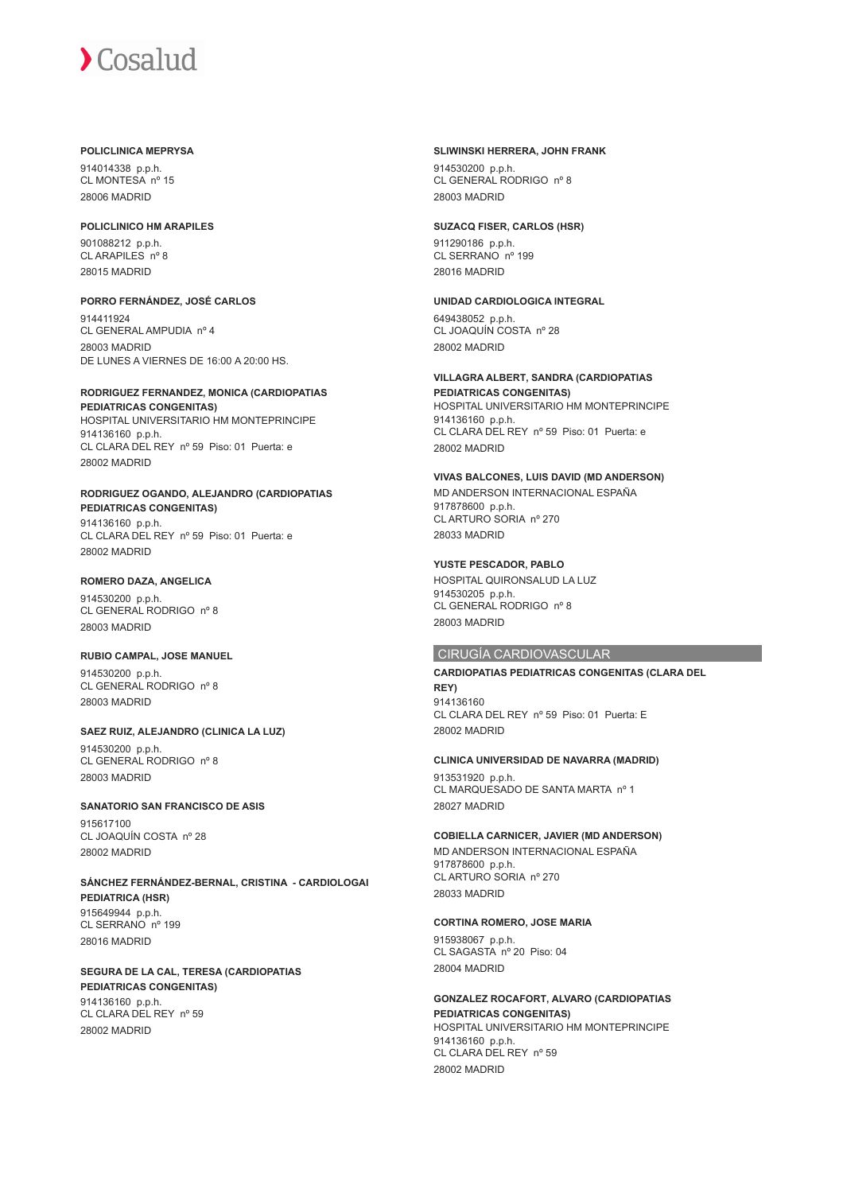#### **POLICLINICA MEPRYSA**

914014338 p.p.h. CL MONTESA nº 15 28006 MADRID

#### **POLICLINICO HM ARAPILES**

901088212 p.p.h. CL ARAPILES nº 8 28015 MADRID

## **PORRO FERNÁNDEZ, JOSÉ CARLOS**

914411924 CL GENERAL AMPUDIA nº 4 28003 MADRID DE LUNES A VIERNES DE 16:00 A 20:00 HS.

## **RODRIGUEZ FERNANDEZ, MONICA (CARDIOPATIAS**

**PEDIATRICAS CONGENITAS)** HOSPITAL UNIVERSITARIO HM MONTEPRINCIPE 914136160 p.p.h. CL CLARA DEL REY nº 59 Piso: 01 Puerta: e 28002 MADRID

## **RODRIGUEZ OGANDO, ALEJANDRO (CARDIOPATIAS**

**PEDIATRICAS CONGENITAS)** 914136160 p.p.h. CL CLARA DEL REY nº 59 Piso: 01 Puerta: e 28002 MADRID

## **ROMERO DAZA, ANGELICA**

914530200 p.p.h. CL GENERAL RODRIGO nº 8 28003 MADRID

#### **RUBIO CAMPAL, JOSE MANUEL** 914530200 p.p.h. CL GENERAL RODRIGO nº 8

28003 MADRID

## **SAEZ RUIZ, ALEJANDRO (CLINICA LA LUZ)**

914530200 p.p.h. CL GENERAL RODRIGO nº 8 28003 MADRID

## **SANATORIO SAN FRANCISCO DE ASIS**

915617100 CL JOAQUÍN COSTA nº 28 28002 MADRID

#### **SÁNCHEZ FERNÁNDEZ-BERNAL, CRISTINA - CARDIOLOGAI PEDIATRICA (HSR)** 915649944 p.p.h.

CL SERRANO nº 199 28016 MADRID

#### **SEGURA DE LA CAL, TERESA (CARDIOPATIAS PEDIATRICAS CONGENITAS)** 914136160 p.p.h. CL CLARA DEL REY nº 59 28002 MADRID

#### **SLIWINSKI HERRERA, JOHN FRANK**

914530200 p.p.h. CL GENERAL RODRIGO nº 8 28003 MADRID

## **SUZACQ FISER, CARLOS (HSR)**

911290186 p.p.h. CL SERRANO nº 199 28016 MADRID

## **UNIDAD CARDIOLOGICA INTEGRAL**

649438052 p.p.h. CL JOAQUÍN COSTA nº 28 28002 MADRID

## **VILLAGRA ALBERT, SANDRA (CARDIOPATIAS**

**PEDIATRICAS CONGENITAS)** HOSPITAL UNIVERSITARIO HM MONTEPRINCIPE 914136160 p.p.h. CL CLARA DEL REY nº 59 Piso: 01 Puerta: e 28002 MADRID

## **VIVAS BALCONES, LUIS DAVID (MD ANDERSON)**

MD ANDERSON INTERNACIONAL ESPAÑA 917878600 p.p.h. CL ARTURO SORIA nº 270 28033 MADRID

## **YUSTE PESCADOR, PABLO**

HOSPITAL QUIRONSALUD LA LUZ 914530205 p.p.h. CL GENERAL RODRIGO nº 8 28003 MADRID

## CIRUGÍA CARDIOVASCULAR

#### **CARDIOPATIAS PEDIATRICAS CONGENITAS (CLARA DEL REY)** 914136160 CL CLARA DEL REY nº 59 Piso: 01 Puerta: E 28002 MADRID

#### **CLINICA UNIVERSIDAD DE NAVARRA (MADRID)**

913531920 p.p.h. CL MARQUESADO DE SANTA MARTA nº 1 28027 MADRID

#### **COBIELLA CARNICER, JAVIER (MD ANDERSON)**

MD ANDERSON INTERNACIONAL ESPAÑA 917878600 p.p.h. CL ARTURO SORIA nº 270 28033 MADRID

## **CORTINA ROMERO, JOSE MARIA**

915938067 p.p.h. CL SAGASTA nº 20 Piso: 04 28004 MADRID

#### **GONZALEZ ROCAFORT, ALVARO (CARDIOPATIAS PEDIATRICAS CONGENITAS)** HOSPITAL UNIVERSITARIO HM MONTEPRINCIPE 914136160 p.p.h. CL CLARA DEL REY nº 59

28002 MADRID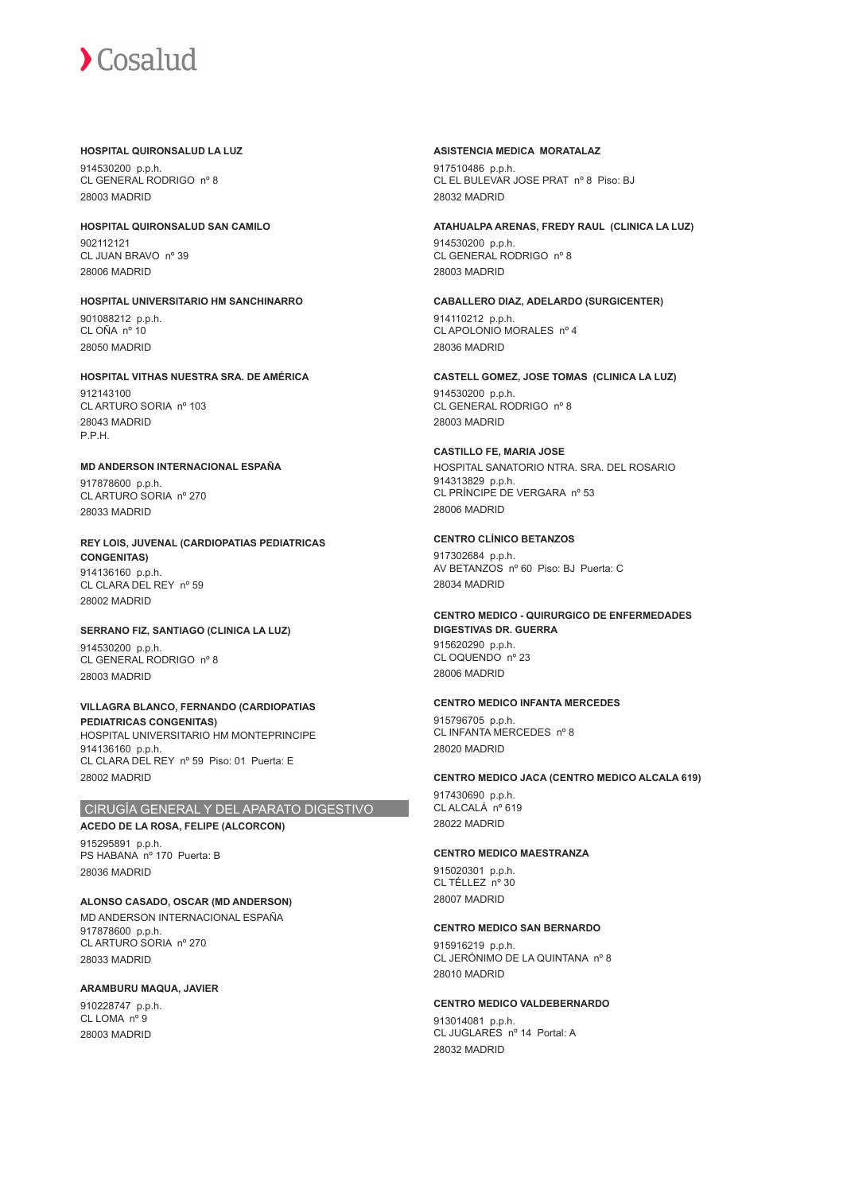#### **HOSPITAL QUIRONSALUD LA LUZ**

914530200 p.p.h. CL GENERAL RODRIGO nº 8 28003 MADRID

**HOSPITAL QUIRONSALUD SAN CAMILO** 902112121 CL JUAN BRAVO nº 39 28006 MADRID

**HOSPITAL UNIVERSITARIO HM SANCHINARRO** 901088212 p.p.h. CL OÑA nº 10 28050 MADRID

## **HOSPITAL VITHAS NUESTRA SRA. DE AMÉRICA**

912143100 CL ARTURO SORIA nº 103 28043 MADRID P.P.H.

## **MD ANDERSON INTERNACIONAL ESPAÑA**

917878600 p.p.h. CL ARTURO SORIA nº 270 28033 MADRID

#### **REY LOIS, JUVENAL (CARDIOPATIAS PEDIATRICAS CONGENITAS)** 914136160 p.p.h. CL CLARA DEL REY nº 59 28002 MADRID

## **SERRANO FIZ, SANTIAGO (CLINICA LA LUZ)**

914530200 p.p.h. CL GENERAL RODRIGO nº 8 28003 MADRID

#### **VILLAGRA BLANCO, FERNANDO (CARDIOPATIAS PEDIATRICAS CONGENITAS)** HOSPITAL UNIVERSITARIO HM MONTEPRINCIPE 914136160 p.p.h. CL CLARA DEL REY nº 59 Piso: 01 Puerta: E 28002 MADRID

## CIRUGÍA GENERAL Y DEL APARATO DIGESTIVO

## **ACEDO DE LA ROSA, FELIPE (ALCORCON)**

915295891 p.p.h. PS HABANA nº 170 Puerta: B 28036 MADRID

## **ALONSO CASADO, OSCAR (MD ANDERSON)**

MD ANDERSON INTERNACIONAL ESPAÑA 917878600 p.p.h. CL ARTURO SORIA nº 270 28033 MADRID

## **ARAMBURU MAQUA, JAVIER**

910228747 p.p.h. CL LOMA nº 9 28003 MADRID

## **ASISTENCIA MEDICA MORATALAZ**

917510486 p.p.h. CL EL BULEVAR JOSE PRAT nº 8 Piso: BJ 28032 MADRID

## **ATAHUALPA ARENAS, FREDY RAUL (CLINICA LA LUZ)** 914530200 p.p.h.

CL GENERAL RODRIGO nº 8 28003 MADRID

#### **CABALLERO DIAZ, ADELARDO (SURGICENTER)** 914110212 p.p.h. CL APOLONIO MORALES nº 4 28036 MADRID

**CASTELL GOMEZ, JOSE TOMAS (CLINICA LA LUZ)** 914530200 p.p.h. CL GENERAL RODRIGO nº 8 28003 MADRID

#### **CASTILLO FE, MARIA JOSE** HOSPITAL SANATORIO NTRA. SRA. DEL ROSARIO 914313829 p.p.h. CL PRÍNCIPE DE VERGARA nº 53 28006 MADRID

**CENTRO CLÍNICO BETANZOS** 917302684 p.p.h. AV BETANZOS nº 60 Piso: BJ Puerta: C 28034 MADRID

#### **CENTRO MEDICO - QUIRURGICO DE ENFERMEDADES DIGESTIVAS DR. GUERRA** 915620290 p.p.h. CL OQUENDO nº 23 28006 MADRID

## **CENTRO MEDICO INFANTA MERCEDES**

915796705 p.p.h. CL INFANTA MERCEDES nº 8 28020 MADRID

## **CENTRO MEDICO JACA (CENTRO MEDICO ALCALA 619)**

917430690 p.p.h. CL ALCALÁ nº 619 28022 MADRID

## **CENTRO MEDICO MAESTRANZA**

915020301 p.p.h. CL TÉLLEZ nº 30 28007 MADRID

#### **CENTRO MEDICO SAN BERNARDO**

915916219 p.p.h. CL JERÓNIMO DE LA QUINTANA nº 8 28010 MADRID

#### **CENTRO MEDICO VALDEBERNARDO**

913014081 p.p.h. CL JUGLARES nº 14 Portal: A 28032 MADRID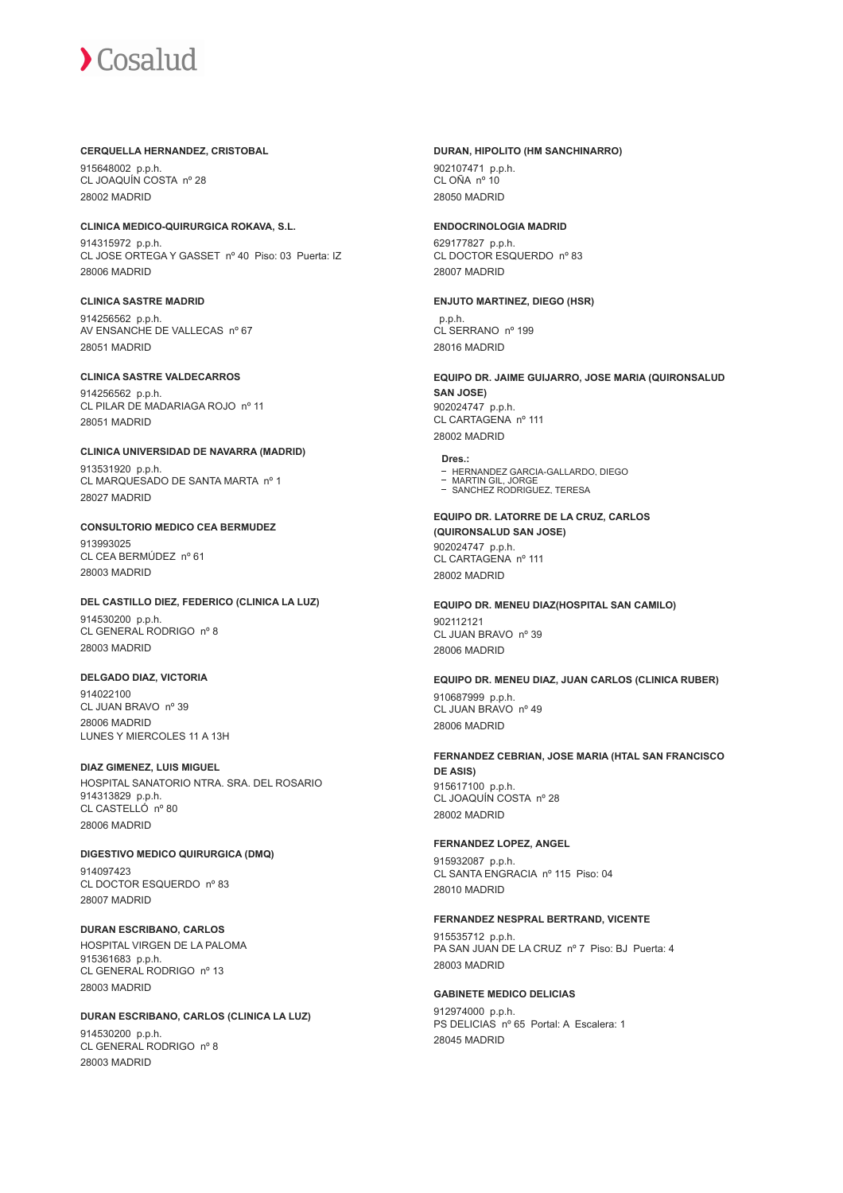#### **CERQUELLA HERNANDEZ, CRISTOBAL**

915648002 p.p.h. CL JOAQUÍN COSTA nº 28 28002 MADRID

#### **CLINICA MEDICO-QUIRURGICA ROKAVA, S.L.**

914315972 p.p.h. CL JOSE ORTEGA Y GASSET nº 40 Piso: 03 Puerta: IZ 28006 MADRID

### **CLINICA SASTRE MADRID**

914256562 p.p.h. AV ENSANCHE DE VALLECAS nº 67 28051 MADRID

#### **CLINICA SASTRE VALDECARROS**

914256562 p.p.h. CL PILAR DE MADARIAGA ROJO nº 11 28051 MADRID

#### **CLINICA UNIVERSIDAD DE NAVARRA (MADRID)** 913531920 p.p.h. CL MARQUESADO DE SANTA MARTA nº 1

28027 MADRID

## **CONSULTORIO MEDICO CEA BERMUDEZ** 913993025

CL CEA BERMÚDEZ nº 61 28003 MADRID

## **DEL CASTILLO DIEZ, FEDERICO (CLINICA LA LUZ)** 914530200 p.p.h.

CL GENERAL RODRIGO nº 8 28003 MADRID

## **DELGADO DIAZ, VICTORIA**

914022100 CL JUAN BRAVO nº 39 28006 MADRID LUNES Y MIERCOLES 11 A 13H

#### **DIAZ GIMENEZ, LUIS MIGUEL**

HOSPITAL SANATORIO NTRA. SRA. DEL ROSARIO 914313829 p.p.h. CL CASTELLÓ nº 80 28006 MADRID

#### **DIGESTIVO MEDICO QUIRURGICA (DMQ)** 914097423 CL DOCTOR ESQUERDO nº 83 28007 MADRID

#### **DURAN ESCRIBANO, CARLOS** HOSPITAL VIRGEN DE LA PALOMA 915361683 p.p.h. CL GENERAL RODRIGO nº 13 28003 MADRID

## **DURAN ESCRIBANO, CARLOS (CLINICA LA LUZ)**

914530200 p.p.h. CL GENERAL RODRIGO nº 8 28003 MADRID

#### **DURAN, HIPOLITO (HM SANCHINARRO)**

902107471 p.p.h. CL OÑA nº 10 28050 MADRID

#### **ENDOCRINOLOGIA MADRID**

629177827 p.p.h. CL DOCTOR ESQUERDO nº 83 28007 MADRID

#### **ENJUTO MARTINEZ, DIEGO (HSR)**

 p.p.h. CL SERRANO nº 199 28016 MADRID

### **EQUIPO DR. JAIME GUIJARRO, JOSE MARIA (QUIRONSALUD SAN JOSE)** 902024747 p.p.h.

CL CARTAGENA nº 111 28002 MADRID

#### **Dres.:**

- HERNANDEZ GARCIA-GALLARDO, DIEGO
- MARTIN GIL, JORGE SANCHEZ RODRIGUEZ, TERESA

#### **EQUIPO DR. LATORRE DE LA CRUZ, CARLOS (QUIRONSALUD SAN JOSE)** 902024747 p.p.h. CL CARTAGENA nº 111 28002 MADRID

#### **EQUIPO DR. MENEU DIAZ(HOSPITAL SAN CAMILO)** 902112121 CL JUAN BRAVO nº 39 28006 MADRID

**EQUIPO DR. MENEU DIAZ, JUAN CARLOS (CLINICA RUBER)** 910687999 p.p.h. CL JUAN BRAVO nº 49 28006 MADRID

#### **FERNANDEZ CEBRIAN, JOSE MARIA (HTAL SAN FRANCISCO DE ASIS)** 915617100 p.p.h. CL JOAQUÍN COSTA nº 28 28002 MADRID

#### **FERNANDEZ LOPEZ, ANGEL**

915932087 p.p.h. CL SANTA ENGRACIA nº 115 Piso: 04 28010 MADRID

#### **FERNANDEZ NESPRAL BERTRAND, VICENTE**

915535712 p.p.h. PA SAN JUAN DE LA CRUZ nº 7 Piso: BJ Puerta: 4 28003 MADRID

#### **GABINETE MEDICO DELICIAS** 912974000 p.p.h. PS DELICIAS nº 65 Portal: A Escalera: 1

28045 MADRID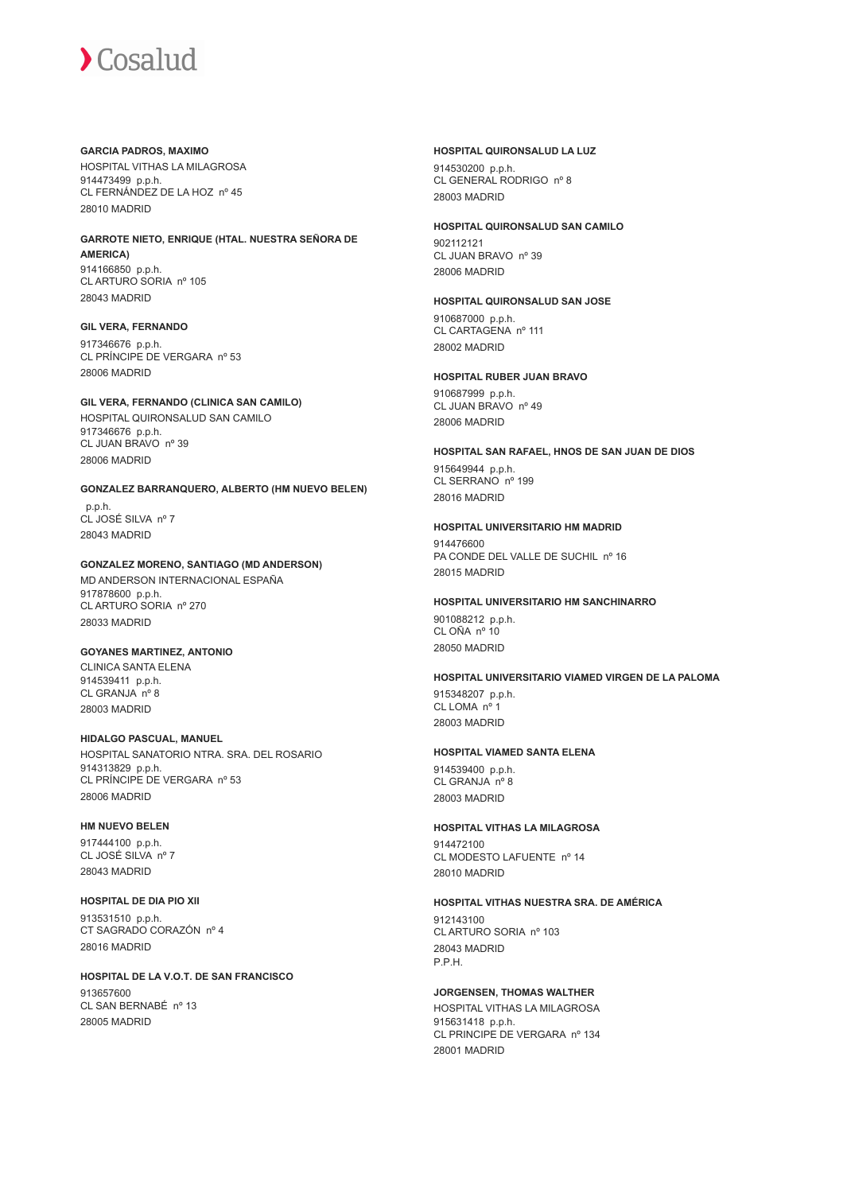#### **GARCIA PADROS, MAXIMO**

HOSPITAL VITHAS LA MILAGROSA 914473499 p.p.h. CL FERNÁNDEZ DE LA HOZ nº 45 28010 MADRID

## **GARROTE NIETO, ENRIQUE (HTAL. NUESTRA SEÑORA DE AMERICA)**

914166850 p.p.h. CL ARTURO SORIA nº 105 28043 MADRID

## **GIL VERA, FERNANDO**

917346676 p.p.h. CL PRÍNCIPE DE VERGARA nº 53 28006 MADRID

## **GIL VERA, FERNANDO (CLINICA SAN CAMILO)**

HOSPITAL QUIRONSALUD SAN CAMILO 917346676 p.p.h. CL JUAN BRAVO nº 39 28006 MADRID

## **GONZALEZ BARRANQUERO, ALBERTO (HM NUEVO BELEN)** p.p.h.

CL JOSÉ SILVA nº 7 28043 MADRID

## **GONZALEZ MORENO, SANTIAGO (MD ANDERSON)**

MD ANDERSON INTERNACIONAL ESPAÑA 917878600 p.p.h. CL ARTURO SORIA nº 270 28033 MADRID

## **GOYANES MARTINEZ, ANTONIO**

CLINICA SANTA ELENA 914539411 p.p.h. CL GRANJA nº 8 28003 MADRID

## **HIDALGO PASCUAL, MANUEL**

HOSPITAL SANATORIO NTRA. SRA. DEL ROSARIO 914313829 p.p.h. CL PRÍNCIPE DE VERGARA nº 53 28006 MADRID

## **HM NUEVO BELEN**

917444100 p.p.h. CL JOSÉ SILVA nº 7 28043 MADRID

## **HOSPITAL DE DIA PIO XII**

913531510 p.p.h. CT SAGRADO CORAZÓN nº 4 28016 MADRID

## **HOSPITAL DE LA V.O.T. DE SAN FRANCISCO**

913657600 CL SAN BERNABÉ nº 13 28005 MADRID

#### **HOSPITAL QUIRONSALUD LA LUZ**

914530200 p.p.h. CL GENERAL RODRIGO nº 8 28003 MADRID

## **HOSPITAL QUIRONSALUD SAN CAMILO**

902112121 CL JUAN BRAVO nº 39 28006 MADRID

## **HOSPITAL QUIRONSALUD SAN JOSE**

910687000 p.p.h. CL CARTAGENA nº 111 28002 MADRID

## **HOSPITAL RUBER JUAN BRAVO**

910687999 p.p.h. CL JUAN BRAVO nº 49 28006 MADRID

## **HOSPITAL SAN RAFAEL, HNOS DE SAN JUAN DE DIOS**

915649944 p.p.h. CL SERRANO nº 199 28016 MADRID

## **HOSPITAL UNIVERSITARIO HM MADRID**

914476600 PA CONDE DEL VALLE DE SUCHIL nº 16 28015 MADRID

## **HOSPITAL UNIVERSITARIO HM SANCHINARRO**

901088212 p.p.h. CL OÑA nº 10 28050 MADRID

## **HOSPITAL UNIVERSITARIO VIAMED VIRGEN DE LA PALOMA**

915348207 p.p.h. CL LOMA nº 1 28003 MADRID

## **HOSPITAL VIAMED SANTA ELENA**

914539400 p.p.h. CL GRANJA nº 8 28003 MADRID

## **HOSPITAL VITHAS LA MILAGROSA**

914472100 CL MODESTO LAFUENTE nº 14 28010 MADRID

## **HOSPITAL VITHAS NUESTRA SRA. DE AMÉRICA**

912143100 CL ARTURO SORIA nº 103 28043 MADRID P.P.H.

## **JORGENSEN, THOMAS WALTHER**

HOSPITAL VITHAS LA MILAGROSA 915631418 p.p.h. CL PRINCIPE DE VERGARA nº 134 28001 MADRID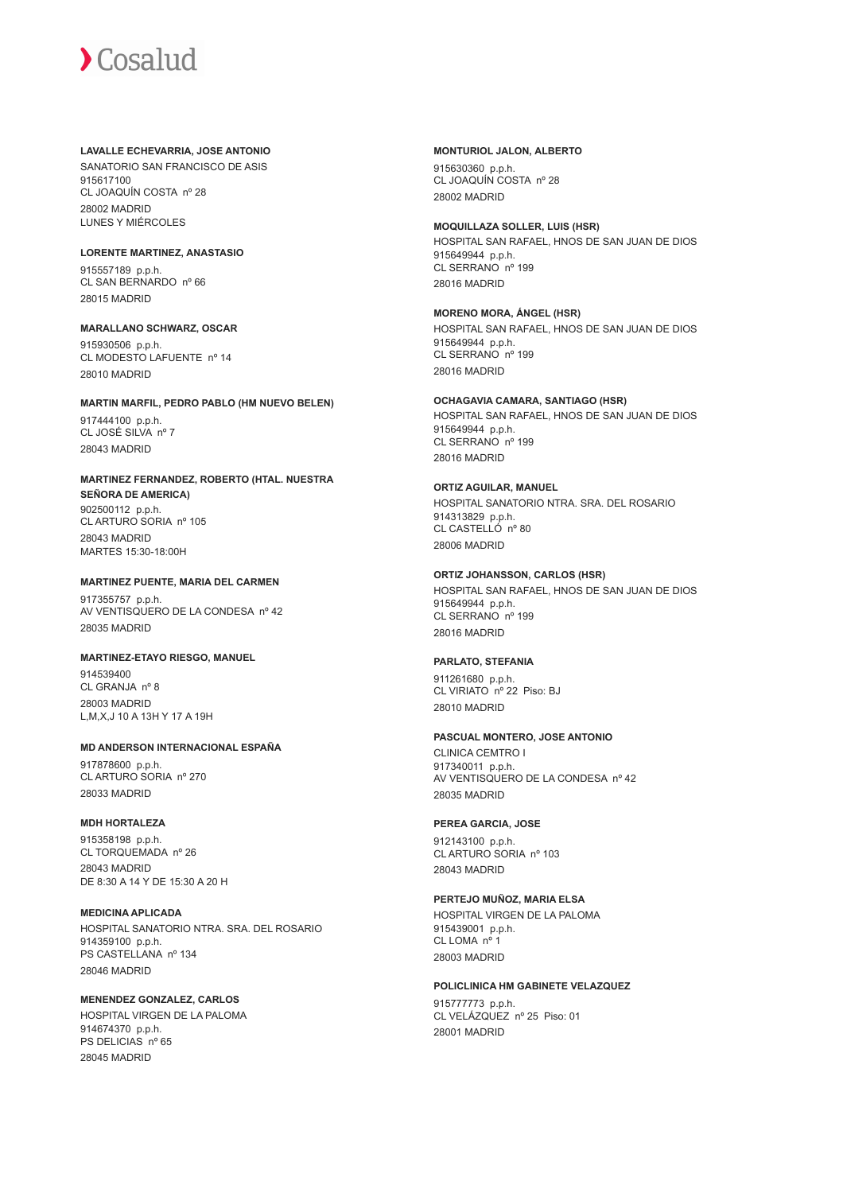#### **LAVALLE ECHEVARRIA, JOSE ANTONIO**

SANATORIO SAN FRANCISCO DE ASIS 915617100 CL JOAQUÍN COSTA nº 28 28002 MADRID LUNES Y MIÉRCOLES

#### **LORENTE MARTINEZ, ANASTASIO**

915557189 p.p.h. CL SAN BERNARDO nº 66 28015 MADRID

#### **MARALLANO SCHWARZ, OSCAR**

915930506 p.p.h. CL MODESTO LAFUENTE nº 14 28010 MADRID

#### **MARTIN MARFIL, PEDRO PABLO (HM NUEVO BELEN)**

917444100 p.p.h. CL JOSÉ SILVA nº 7 28043 MADRID

## **MARTINEZ FERNANDEZ, ROBERTO (HTAL. NUESTRA SEÑORA DE AMERICA)** 902500112 p.p.h. CL ARTURO SORIA nº 105

28043 MADRID MARTES 15:30-18:00H

#### **MARTINEZ PUENTE, MARIA DEL CARMEN**

917355757 p.p.h. AV VENTISQUERO DE LA CONDESA nº 42 28035 MADRID

## **MARTINEZ-ETAYO RIESGO, MANUEL**

914539400 CL GRANJA nº 8 28003 MADRID L,M,X,J 10 A 13H Y 17 A 19H

## **MD ANDERSON INTERNACIONAL ESPAÑA**

917878600 p.p.h. CL ARTURO SORIA nº 270 28033 MADRID

## **MDH HORTALEZA**

915358198 p.p.h. CL TORQUEMADA nº 26 28043 MADRID DE 8:30 A 14 Y DE 15:30 A 20 H

#### **MEDICINA APLICADA** HOSPITAL SANATORIO NTRA. SRA. DEL ROSARIO 914359100 p.p.h. PS CASTELLANA nº 134 28046 MADRID

#### **MENENDEZ GONZALEZ, CARLOS** HOSPITAL VIRGEN DE LA PALOMA 914674370 p.p.h. PS DELICIAS nº 65 28045 MADRID

#### **MONTURIOL JALON, ALBERTO**

915630360 p.p.h. CL JOAQUÍN COSTA nº 28 28002 MADRID

28016 MADRID

#### **MOQUILLAZA SOLLER, LUIS (HSR)** HOSPITAL SAN RAFAEL, HNOS DE SAN JUAN DE DIOS 915649944 p.p.h. CL SERRANO nº 199

**MORENO MORA, ÁNGEL (HSR)** HOSPITAL SAN RAFAEL, HNOS DE SAN JUAN DE DIOS 915649944 p.p.h. CL SERRANO<sup>nº</sup> 199 28016 MADRID

## **OCHAGAVIA CAMARA, SANTIAGO (HSR)**

HOSPITAL SAN RAFAEL, HNOS DE SAN JUAN DE DIOS 915649944 p.p.h. CL SERRANO<sup>nº</sup> 199 28016 MADRID

## **ORTIZ AGUILAR, MANUEL**

HOSPITAL SANATORIO NTRA. SRA. DEL ROSARIO 914313829 p.p.h. CL CASTELLÓ nº 80 28006 MADRID

### **ORTIZ JOHANSSON, CARLOS (HSR)**

HOSPITAL SAN RAFAEL, HNOS DE SAN JUAN DE DIOS 915649944 p.p.h. CL SERRANO<sup>nº</sup> 199 28016 MADRID

## **PARLATO, STEFANIA**

911261680 p.p.h. CL VIRIATO nº 22 Piso: BJ 28010 MADRID

## **PASCUAL MONTERO, JOSE ANTONIO**

CLINICA CEMTRO I 917340011 p.p.h. AV VENTISQUERO DE LA CONDESA nº 42 28035 MADRID

## **PEREA GARCIA, JOSE**

912143100 p.p.h. CL ARTURO SORIA nº 103 28043 MADRID

## **PERTEJO MUÑOZ, MARIA ELSA**

HOSPITAL VIRGEN DE LA PALOMA 915439001 p.p.h. CL LOMA nº 1 28003 MADRID

## **POLICLINICA HM GABINETE VELAZQUEZ**

915777773 p.p.h. CL VELÁZQUEZ nº 25 Piso: 01 28001 MADRID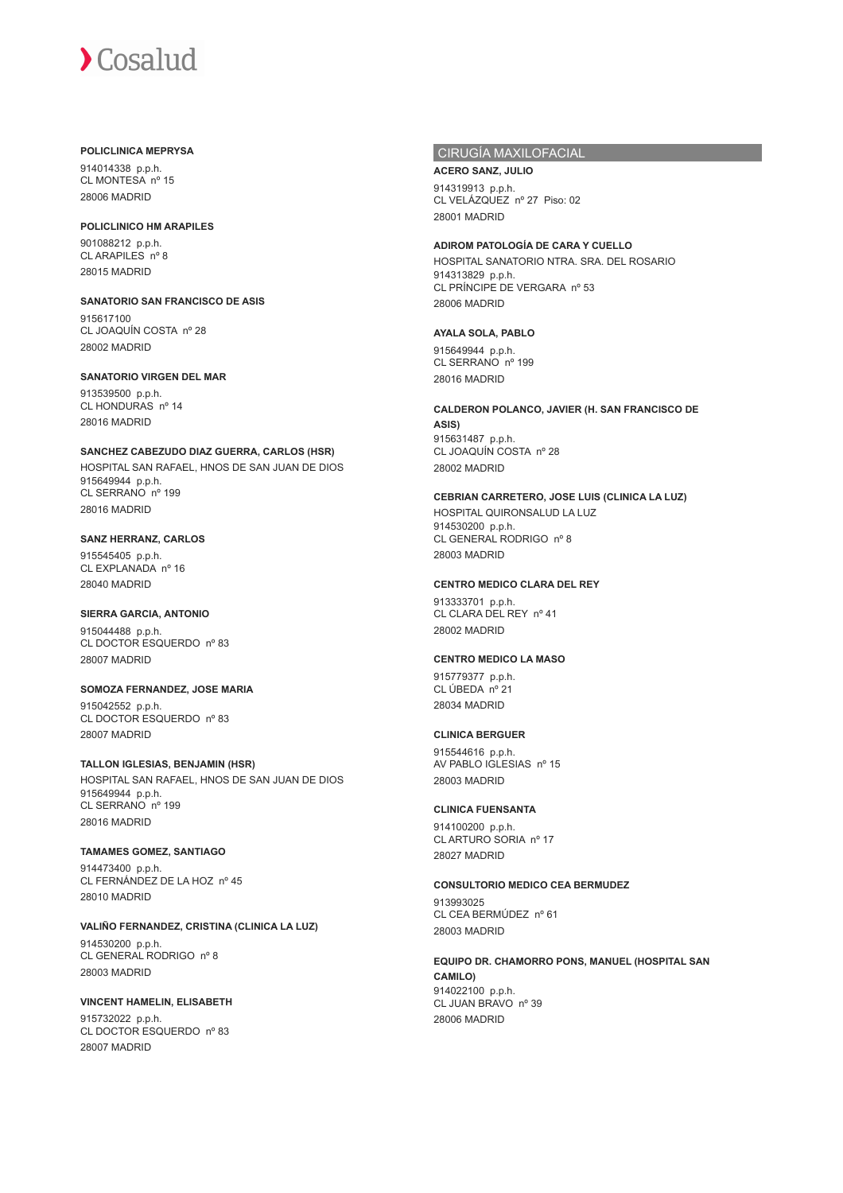#### **POLICLINICA MEPRYSA**

914014338 p.p.h. CL MONTESA nº 15 28006 MADRID

## **POLICLINICO HM ARAPILES**

901088212 p.p.h. CL ARAPILES nº 8 28015 MADRID

#### **SANATORIO SAN FRANCISCO DE ASIS** 915617100 CL JOAQUÍN COSTA nº 28 28002 MADRID

#### **SANATORIO VIRGEN DEL MAR**

913539500 p.p.h. CL HONDURAS nº 14 28016 MADRID

**SANCHEZ CABEZUDO DIAZ GUERRA, CARLOS (HSR)** HOSPITAL SAN RAFAEL, HNOS DE SAN JUAN DE DIOS 915649944 p.p.h. CL SERRANO nº 199 28016 MADRID

#### **SANZ HERRANZ, CARLOS** 915545405 p.p.h. CL EXPLANADA nº 16 28040 MADRID

## **SIERRA GARCIA, ANTONIO**

915044488 p.p.h. CL DOCTOR ESQUERDO nº 83 28007 MADRID

**SOMOZA FERNANDEZ, JOSE MARIA** 915042552 p.p.h. CL DOCTOR ESQUERDO nº 83 28007 MADRID

#### **TALLON IGLESIAS, BENJAMIN (HSR)** HOSPITAL SAN RAFAEL, HNOS DE SAN JUAN DE DIOS 915649944 p.p.h. CL SERRANO nº 199 28016 MADRID

## **TAMAMES GOMEZ, SANTIAGO**

914473400 p.p.h. CL FERNÁNDEZ DE LA HOZ nº 45 28010 MADRID

## **VALIÑO FERNANDEZ, CRISTINA (CLINICA LA LUZ)**

914530200 p.p.h. CL GENERAL RODRIGO nº 8 28003 MADRID

## **VINCENT HAMELIN, ELISABETH**

915732022 p.p.h. CL DOCTOR ESQUERDO nº 83 28007 MADRID

## CIRUGÍA MAXILOFACIAL

## **ACERO SANZ, JULIO**

914319913 p.p.h. CL VELÁZQUEZ nº 27 Piso: 02 28001 MADRID

## **ADIROM PATOLOGÍA DE CARA Y CUELLO**

HOSPITAL SANATORIO NTRA. SRA. DEL ROSARIO 914313829 p.p.h. CL PRÍNCIPE DE VERGARA nº 53 28006 MADRID

## **AYALA SOLA, PABLO**

915649944 p.p.h. CL SERRANO<sup>nº</sup> 199 28016 MADRID

#### **CALDERON POLANCO, JAVIER (H. SAN FRANCISCO DE ASIS)** 915631487 p.p.h. CL JOAQUÍN COSTA nº 28 28002 MADRID

## **CEBRIAN CARRETERO, JOSE LUIS (CLINICA LA LUZ)**

HOSPITAL QUIRONSALUD LA LUZ 914530200 p.p.h. CL GENERAL RODRIGO nº 8 28003 MADRID

## **CENTRO MEDICO CLARA DEL REY**

913333701 p.p.h. CL CLARA DEL REY nº 41 28002 MADRID

## **CENTRO MEDICO LA MASO**

915779377 p.p.h. CL ÚBEDA nº 21 28034 MADRID

## **CLINICA BERGUER**

915544616 p.p.h. AV PABLO IGLESIAS nº 15 28003 MADRID

## **CLINICA FUENSANTA**

914100200 p.p.h. CL ARTURO SORIA nº 17 28027 MADRID

**CONSULTORIO MEDICO CEA BERMUDEZ** 913993025

CL CEA BERMÚDEZ nº 61 28003 MADRID

**EQUIPO DR. CHAMORRO PONS, MANUEL (HOSPITAL SAN CAMILO)** 914022100 p.p.h. CL JUAN BRAVO nº 39 28006 MADRID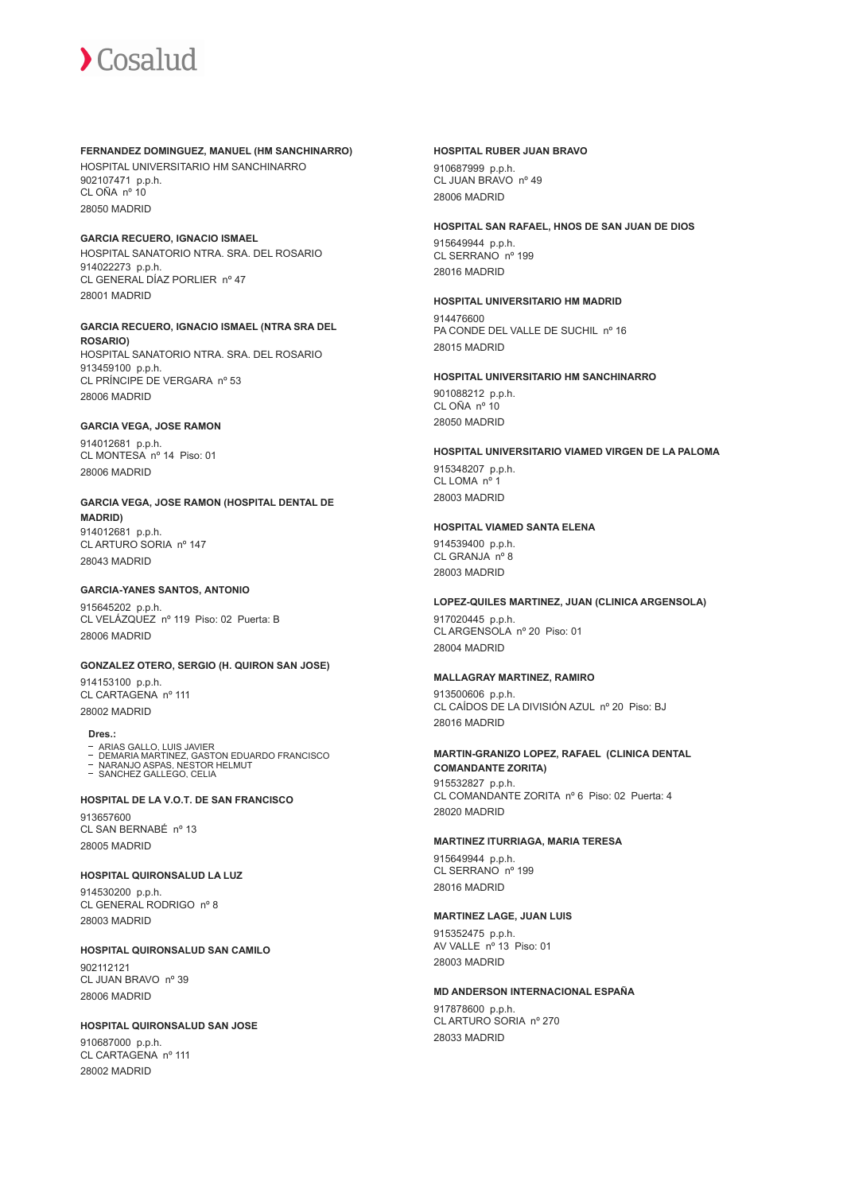#### **FERNANDEZ DOMINGUEZ, MANUEL (HM SANCHINARRO)**

HOSPITAL UNIVERSITARIO HM SANCHINARRO 902107471 p.p.h. CL OÑA nº 10 28050 MADRID

#### **GARCIA RECUERO, IGNACIO ISMAEL**

HOSPITAL SANATORIO NTRA. SRA. DEL ROSARIO 914022273 p.p.h. CL GENERAL DÍAZ PORLIER nº 47 28001 MADRID

## **GARCIA RECUERO, IGNACIO ISMAEL (NTRA SRA DEL**

**ROSARIO)** HOSPITAL SANATORIO NTRA. SRA. DEL ROSARIO 913459100 p.p.h. CL PRÍNCIPE DE VERGARA nº 53 28006 MADRID

#### **GARCIA VEGA, JOSE RAMON**

914012681 p.p.h. CL MONTESA nº 14 Piso: 01 28006 MADRID

#### **GARCIA VEGA, JOSE RAMON (HOSPITAL DENTAL DE MADRID)**

914012681 p.p.h. CL ARTURO SORIA nº 147 28043 MADRID

#### **GARCIA-YANES SANTOS, ANTONIO**

915645202 p.p.h. CL VELÁZQUEZ nº 119 Piso: 02 Puerta: B 28006 MADRID

## **GONZALEZ OTERO, SERGIO (H. QUIRON SAN JOSE)**

914153100 p.p.h. CL CARTAGENA nº 111 28002 MADRID

## **Dres.:**

- 
- ARIAS GALLO, LUIS JAVIER DEMARIA MARTINEZ, GASTON EDUARDO FRANCISCO NARANJO ASPAS, NESTOR HELMUT

- SANCHEZ GALLEGO, CELIA

#### **HOSPITAL DE LA V.O.T. DE SAN FRANCISCO**

913657600 CL SAN BERNABÉ nº 13 28005 MADRID

#### **HOSPITAL QUIRONSALUD LA LUZ**

914530200 p.p.h. CL GENERAL RODRIGO nº 8 28003 MADRID

#### **HOSPITAL QUIRONSALUD SAN CAMILO**

902112121 CL JUAN BRAVO nº 39 28006 MADRID

#### **HOSPITAL QUIRONSALUD SAN JOSE**

910687000 p.p.h. CL CARTAGENA nº 111 28002 MADRID

#### **HOSPITAL RUBER JUAN BRAVO**

910687999 p.p.h. CL JUAN BRAVO nº 49 28006 MADRID

#### **HOSPITAL SAN RAFAEL, HNOS DE SAN JUAN DE DIOS**

915649944 p.p.h. CL SERRANO nº 199 28016 MADRID

### **HOSPITAL UNIVERSITARIO HM MADRID**

914476600 PA CONDE DEL VALLE DE SUCHIL nº 16 28015 MADRID

#### **HOSPITAL UNIVERSITARIO HM SANCHINARRO**

901088212 p.p.h. CL OÑA nº 10 28050 MADRID

## **HOSPITAL UNIVERSITARIO VIAMED VIRGEN DE LA PALOMA** 915348207 p.p.h. CL LOMA nº 1

28003 MADRID

## **HOSPITAL VIAMED SANTA ELENA**

914539400 p.p.h. CL GRANJA nº 8 28003 MADRID

## **LOPEZ-QUILES MARTINEZ, JUAN (CLINICA ARGENSOLA)**

917020445 p.p.h. CL ARGENSOLA nº 20 Piso: 01 28004 MADRID

#### **MALLAGRAY MARTINEZ, RAMIRO**

913500606 p.p.h. CL CAÍDOS DE LA DIVISIÓN AZUL nº 20 Piso: BJ 28016 MADRID

## **MARTIN-GRANIZO LOPEZ, RAFAEL (CLINICA DENTAL COMANDANTE ZORITA)** 915532827 p.p.h.

CL COMANDANTE ZORITA nº 6 Piso: 02 Puerta: 4 28020 MADRID

#### **MARTINEZ ITURRIAGA, MARIA TERESA**

915649944 p.p.h. CL SERRANO nº 199 28016 MADRID

#### **MARTINEZ LAGE, JUAN LUIS**

915352475 p.p.h. AV VALLE nº 13 Piso: 01 28003 MADRID

#### **MD ANDERSON INTERNACIONAL ESPAÑA**

917878600 p.p.h. CL ARTURO SORIA nº 270 28033 MADRID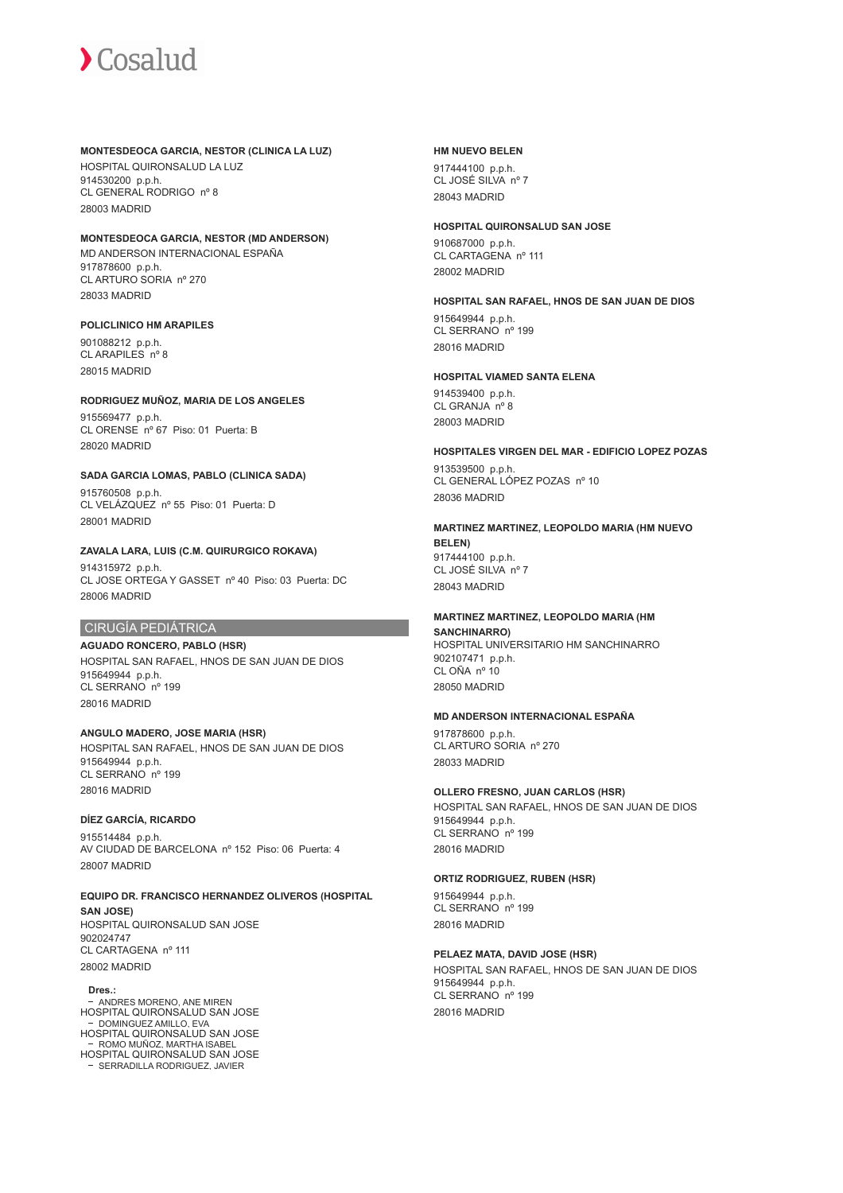#### **MONTESDEOCA GARCIA, NESTOR (CLINICA LA LUZ)**

HOSPITAL QUIRONSALUD LA LUZ 914530200 p.p.h. CL GENERAL RODRIGO nº 8 28003 MADRID

## **MONTESDEOCA GARCIA, NESTOR (MD ANDERSON)**

MD ANDERSON INTERNACIONAL ESPAÑA 917878600 p.p.h. CL ARTURO SORIA nº 270 28033 MADRID

#### **POLICLINICO HM ARAPILES**

901088212 p.p.h. CL ARAPILES nº 8 28015 MADRID

#### **RODRIGUEZ MUÑOZ, MARIA DE LOS ANGELES**

915569477 p.p.h. CL ORENSE nº 67 Piso: 01 Puerta: B 28020 MADRID

#### **SADA GARCIA LOMAS, PABLO (CLINICA SADA)**

915760508 p.p.h. CL VELÁZQUEZ nº 55 Piso: 01 Puerta: D 28001 MADRID

#### **ZAVALA LARA, LUIS (C.M. QUIRURGICO ROKAVA)**

914315972 p.p.h. CL JOSE ORTEGA Y GASSET nº 40 Piso: 03 Puerta: DC 28006 MADRID

## CIRUGÍA PEDIÁTRICA

**AGUADO RONCERO, PABLO (HSR)** HOSPITAL SAN RAFAEL, HNOS DE SAN JUAN DE DIOS 915649944 p.p.h. CL SERRANO nº 199 28016 MADRID

## **ANGULO MADERO, JOSE MARIA (HSR)**

HOSPITAL SAN RAFAEL, HNOS DE SAN JUAN DE DIOS 915649944 p.p.h. CL SERRANO nº 199 28016 MADRID

## **DÍEZ GARCÍA, RICARDO**

915514484 p.p.h. AV CIUDAD DE BARCELONA nº 152 Piso: 06 Puerta: 4 28007 MADRID

#### **EQUIPO DR. FRANCISCO HERNANDEZ OLIVEROS (HOSPITAL SAN JOSE)**

HOSPITAL QUIRONSALUD SAN JOSE 902024747 CL CARTAGENA nº 111 28002 MADRID

#### **Dres.:**

ANDRES MORENO, ANE MIREN HOSPITAL QUIRONSALUD SAN JOSE − DOMINGUEZ AMILLO, EVA<br>HOSPITAL QUIRONSALUD SAN JOSE ROMO MUÑOZ, MARTHA ISABEL HOSPITAL QUIRONSALUD SAN JOSE SERRADILLA RODRIGUEZ, JAVIER

#### **HM NUEVO BELEN**

917444100 p.p.h. CL JOSÉ SILVA nº 7 28043 MADRID

#### **HOSPITAL QUIRONSALUD SAN JOSE**

910687000 p.p.h. CL CARTAGENA nº 111 28002 MADRID

#### **HOSPITAL SAN RAFAEL, HNOS DE SAN JUAN DE DIOS**

915649944 p.p.h. CL SERRANO nº 199 28016 MADRID

## **HOSPITAL VIAMED SANTA ELENA**

914539400 p.p.h. CL GRANJA nº 8 28003 MADRID

#### **HOSPITALES VIRGEN DEL MAR - EDIFICIO LOPEZ POZAS**

913539500 p.p.h. CL GENERAL LÓPEZ POZAS nº 10 28036 MADRID

## **MARTINEZ MARTINEZ, LEOPOLDO MARIA (HM NUEVO BELEN)** 917444100 p.p.h. CL JOSÉ SILVA nº 7

28043 MADRID

#### **MARTINEZ MARTINEZ, LEOPOLDO MARIA (HM SANCHINARRO)**

HOSPITAL UNIVERSITARIO HM SANCHINARRO 902107471 p.p.h. CL OÑA nº 10 28050 MADRID

## **MD ANDERSON INTERNACIONAL ESPAÑA**

917878600 p.p.h. CL ARTURO SORIA nº 270 28033 MADRID

## **OLLERO FRESNO, JUAN CARLOS (HSR)**

HOSPITAL SAN RAFAEL, HNOS DE SAN JUAN DE DIOS 915649944 p.p.h. CL SERRANO nº 199 28016 MADRID

### **ORTIZ RODRIGUEZ, RUBEN (HSR)**

915649944 p.p.h. CL SERRANO nº 199 28016 MADRID

## **PELAEZ MATA, DAVID JOSE (HSR)**

HOSPITAL SAN RAFAEL, HNOS DE SAN JUAN DE DIOS 915649944 p.p.h. CL SERRANO nº 199 28016 MADRID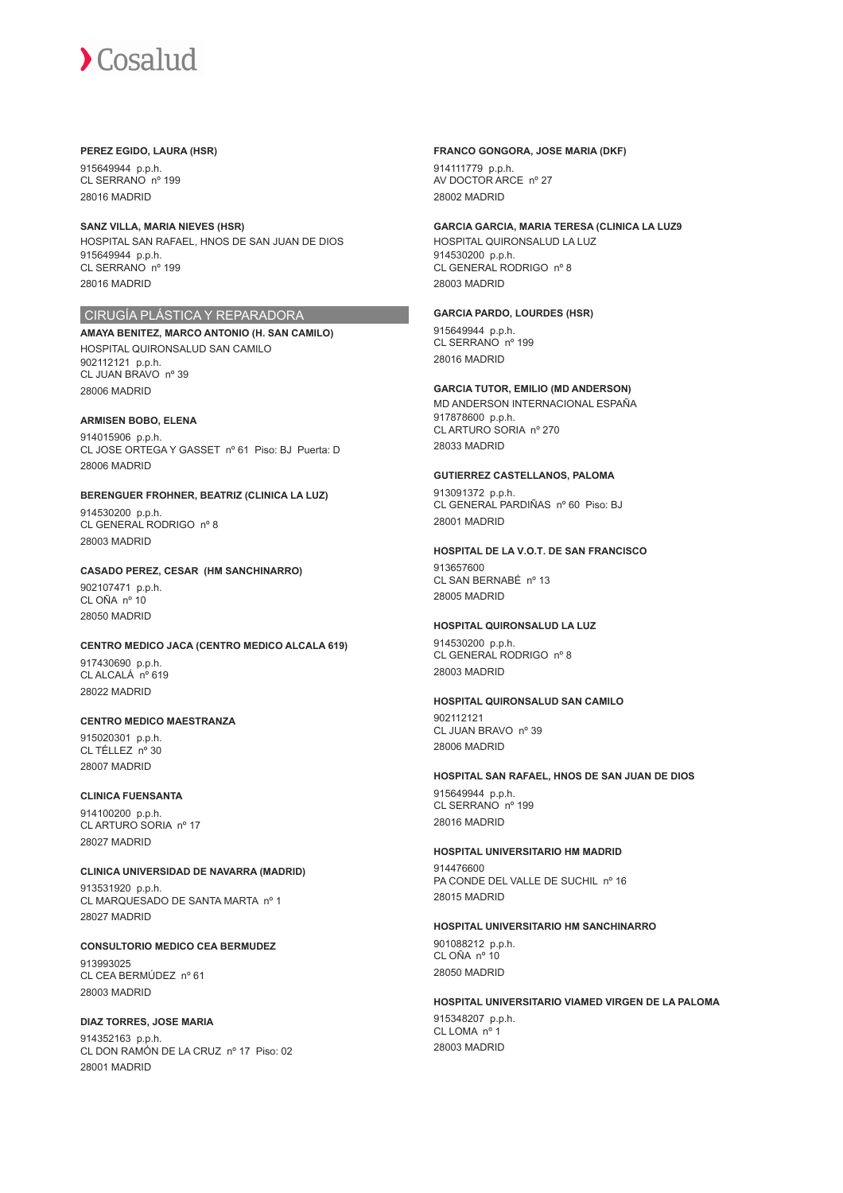#### **PEREZ EGIDO, LAURA (HSR)**

915649944 p.p.h. CL SERRANO nº 199 28016 MADRID

#### **SANZ VILLA, MARIA NIEVES (HSR)**

HOSPITAL SAN RAFAEL, HNOS DE SAN JUAN DE DIOS 915649944 p.p.h. CL SERRANO nº 199 28016 MADRID

## CIRUGÍA PLÁSTICA Y REPARADORA

**AMAYA BENITEZ, MARCO ANTONIO (H. SAN CAMILO)** HOSPITAL QUIRONSALUD SAN CAMILO 902112121 p.p.h. CL JUAN BRAVO nº 39 28006 MADRID

#### **ARMISEN BOBO, ELENA**

914015906 p.p.h. CL JOSE ORTEGA Y GASSET nº 61 Piso: BJ Puerta: D 28006 MADRID

### **BERENGUER FROHNER, BEATRIZ (CLINICA LA LUZ)** 914530200 p.p.h.

CL GENERAL RODRIGO nº 8 28003 MADRID

## **CASADO PEREZ, CESAR (HM SANCHINARRO)**

902107471 p.p.h. CL OÑA nº 10 28050 MADRID

## **CENTRO MEDICO JACA (CENTRO MEDICO ALCALA 619)**

917430690 p.p.h. CL ALCALÁ nº 619 28022 MADRID

## **CENTRO MEDICO MAESTRANZA**

915020301 p.p.h. CL TÉLLEZ nº 30 28007 MADRID

#### **CLINICA FUENSANTA**

914100200 p.p.h. CL ARTURO SORIA nº 17 28027 MADRID

**CLINICA UNIVERSIDAD DE NAVARRA (MADRID)** 913531920 p.p.h. CL MARQUESADO DE SANTA MARTA nº 1 28027 MADRID

**CONSULTORIO MEDICO CEA BERMUDEZ** 913993025 CL CEA BERMÚDEZ nº 61 28003 MADRID

## **DIAZ TORRES, JOSE MARIA**

914352163 p.p.h. CL DON RAMÓN DE LA CRUZ nº 17 Piso: 02 28001 MADRID

#### **FRANCO GONGORA, JOSE MARIA (DKF)**

914111779 p.p.h. AV DOCTOR ARCE nº 27 28002 MADRID

#### **GARCIA GARCIA, MARIA TERESA (CLINICA LA LUZ9**

HOSPITAL QUIRONSALUD LA LUZ 914530200 p.p.h. CL GENERAL RODRIGO nº 8 28003 MADRID

#### **GARCIA PARDO, LOURDES (HSR)**

915649944 p.p.h. CL SERRANO nº 199 28016 MADRID

#### **GARCIA TUTOR, EMILIO (MD ANDERSON)**

MD ANDERSON INTERNACIONAL ESPAÑA 917878600 p.p.h. CL ARTURO SORIA nº 270 28033 MADRID

#### **GUTIERREZ CASTELLANOS, PALOMA**

913091372 p.p.h. CL GENERAL PARDIÑAS nº 60 Piso: BJ 28001 MADRID

#### **HOSPITAL DE LA V.O.T. DE SAN FRANCISCO**

913657600 CL SAN BERNABÉ nº 13 28005 MADRID

## **HOSPITAL QUIRONSALUD LA LUZ**

914530200 p.p.h. CL GENERAL RODRIGO nº 8 28003 MADRID

#### **HOSPITAL QUIRONSALUD SAN CAMILO**

902112121 CL JUAN BRAVO nº 39 28006 MADRID

#### **HOSPITAL SAN RAFAEL, HNOS DE SAN JUAN DE DIOS**

915649944 p.p.h. CL SERRANO nº 199 28016 MADRID

## **HOSPITAL UNIVERSITARIO HM MADRID**

914476600 PA CONDE DEL VALLE DE SUCHIL nº 16 28015 MADRID

#### **HOSPITAL UNIVERSITARIO HM SANCHINARRO**

901088212 p.p.h. CL OÑA nº 10 28050 MADRID

#### **HOSPITAL UNIVERSITARIO VIAMED VIRGEN DE LA PALOMA**

915348207 p.p.h. CL LOMA nº 28003 MADRID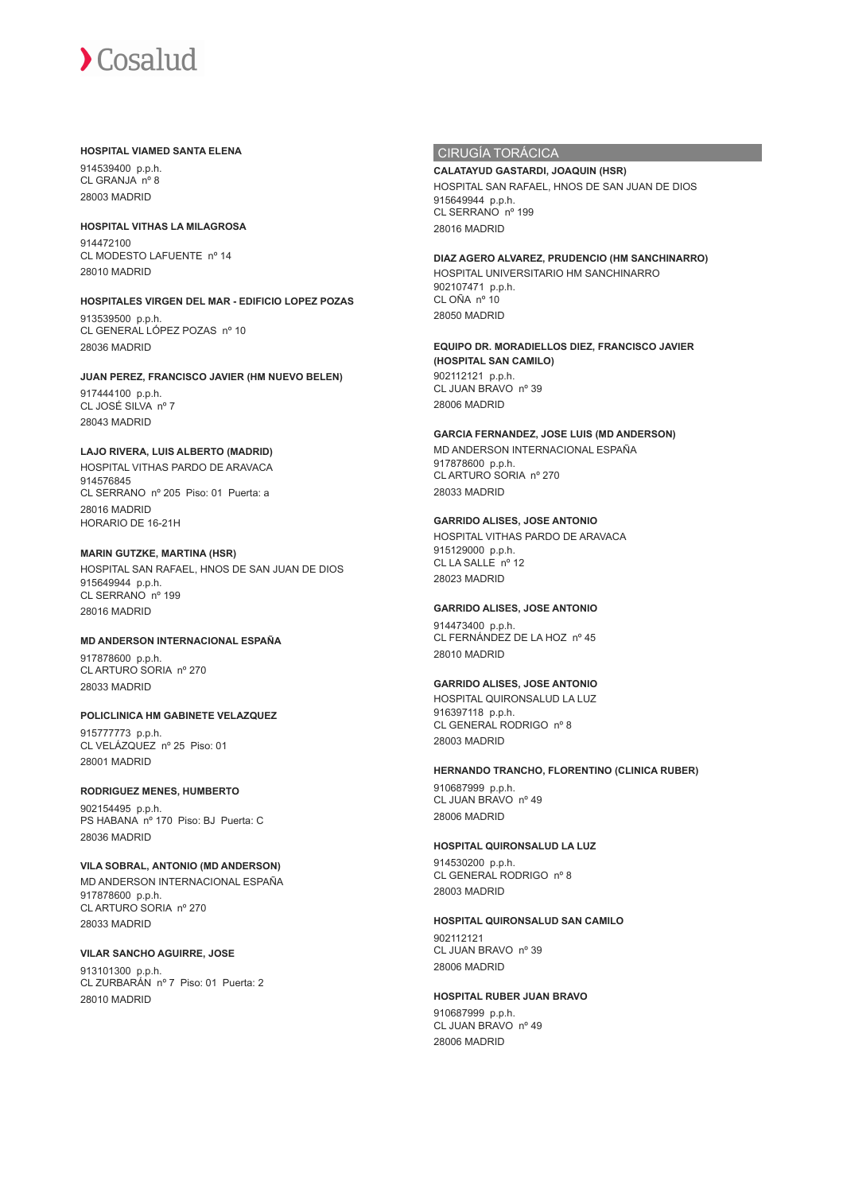#### **HOSPITAL VIAMED SANTA ELENA**

914539400 p.p.h. CL GRANJA nº 8 28003 MADRID

**HOSPITAL VITHAS LA MILAGROSA** 914472100 CL MODESTO LAFUENTE nº 14 28010 MADRID

## **HOSPITALES VIRGEN DEL MAR - EDIFICIO LOPEZ POZAS**

913539500 p.p.h. CL GENERAL LÓPEZ POZAS nº 10 28036 MADRID

## **JUAN PEREZ, FRANCISCO JAVIER (HM NUEVO BELEN)**

917444100 p.p.h. CL JOSÉ SILVA nº 7 28043 MADRID

## **LAJO RIVERA, LUIS ALBERTO (MADRID)**

HOSPITAL VITHAS PARDO DE ARAVACA 914576845 CL SERRANO nº 205 Piso: 01 Puerta: a 28016 MADRID HORARIO DE 16-21H

## **MARIN GUTZKE, MARTINA (HSR)**

HOSPITAL SAN RAFAEL, HNOS DE SAN JUAN DE DIOS 915649944 p.p.h. CL SERRANO nº 199 28016 MADRID

## **MD ANDERSON INTERNACIONAL ESPAÑA**

917878600 p.p.h. CL ARTURO SORIA nº 270 28033 MADRID

## **POLICLINICA HM GABINETE VELAZQUEZ**

915777773 p.p.h. CL VELÁZQUEZ nº 25 Piso: 01 28001 MADRID

## **RODRIGUEZ MENES, HUMBERTO**

902154495 p.p.h. PS HABANA nº 170 Piso: BJ Puerta: C 28036 MADRID

## **VILA SOBRAL, ANTONIO (MD ANDERSON)**

MD ANDERSON INTERNACIONAL ESPAÑA 917878600 p.p.h. CL ARTURO SORIA nº 270 28033 MADRID

## **VILAR SANCHO AGUIRRE, JOSE**

913101300 p.p.h. CL ZURBARÁN nº 7 Piso: 01 Puerta: 2 28010 MADRID

## CIRUGÍA TORÁCICA

**CALATAYUD GASTARDI, JOAQUIN (HSR)** HOSPITAL SAN RAFAEL, HNOS DE SAN JUAN DE DIOS 915649944 p.p.h. CL SERRANO nº 199 28016 MADRID

## **DIAZ AGERO ALVAREZ, PRUDENCIO (HM SANCHINARRO)**

HOSPITAL UNIVERSITARIO HM SANCHINARRO 902107471 p.p.h. CL OÑA nº 10 28050 MADRID

**EQUIPO DR. MORADIELLOS DIEZ, FRANCISCO JAVIER (HOSPITAL SAN CAMILO)** 902112121 p.p.h. CL JUAN BRAVO nº 39 28006 MADRID

## **GARCIA FERNANDEZ, JOSE LUIS (MD ANDERSON)**

MD ANDERSON INTERNACIONAL ESPAÑA 917878600 p.p.h. CL ARTURO SORIA nº 270 28033 MADRID

## **GARRIDO ALISES, JOSE ANTONIO**

HOSPITAL VITHAS PARDO DE ARAVACA 915129000 p.p.h. CL LA SALLE nº 12 28023 MADRID

## **GARRIDO ALISES, JOSE ANTONIO**

914473400 p.p.h. CL FERNÁNDEZ DE LA HOZ nº 45 28010 MADRID

## **GARRIDO ALISES, JOSE ANTONIO**

HOSPITAL QUIRONSALUD LA LUZ 916397118 p.p.h. CL GENERAL RODRIGO nº 8 28003 MADRID

## **HERNANDO TRANCHO, FLORENTINO (CLINICA RUBER)**

910687999 p.p.h. CL JUAN BRAVO nº 49 28006 MADRID

## **HOSPITAL QUIRONSALUD LA LUZ**

914530200 p.p.h. CL GENERAL RODRIGO nº 8 28003 MADRID

## **HOSPITAL QUIRONSALUD SAN CAMILO**

902112121 CL JUAN BRAVO nº 39 28006 MADRID

## **HOSPITAL RUBER JUAN BRAVO**

910687999 p.p.h. CL JUAN BRAVO nº 49 28006 MADRID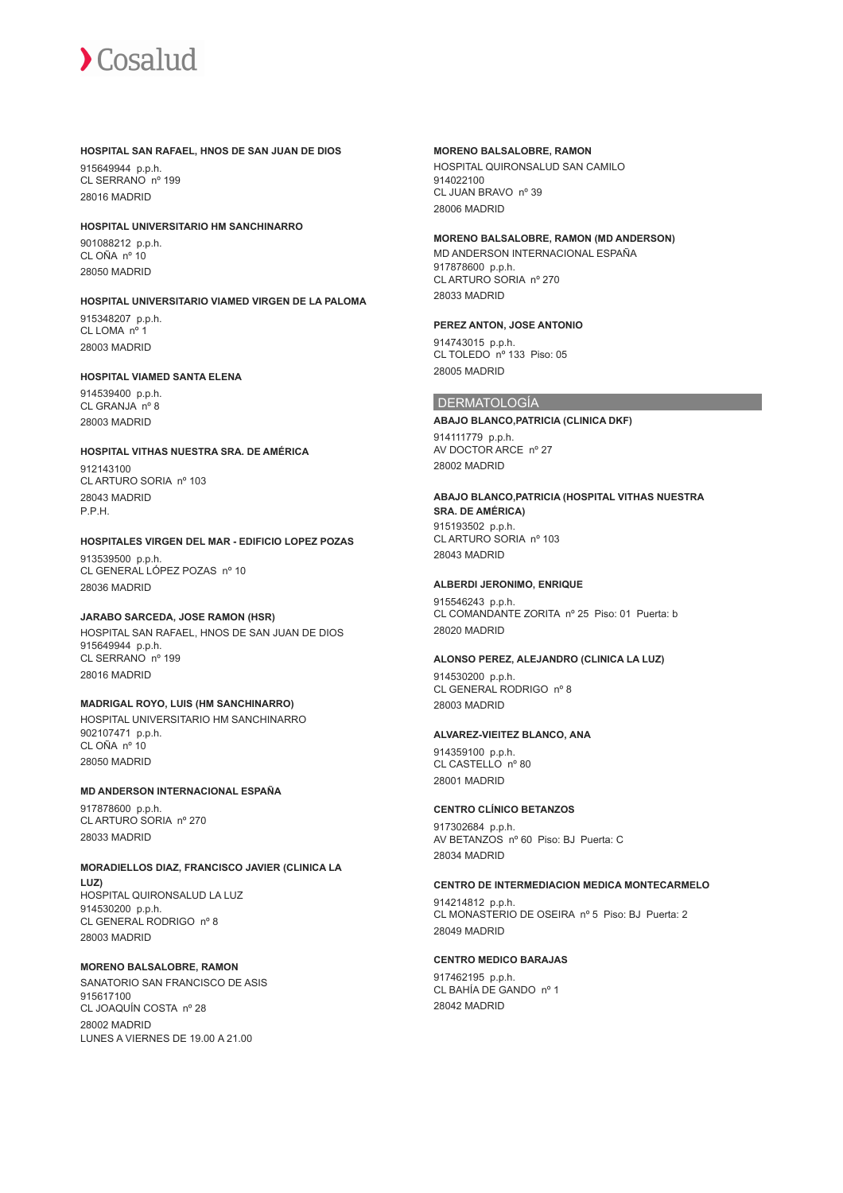#### **HOSPITAL SAN RAFAEL, HNOS DE SAN JUAN DE DIOS**

915649944 p.p.h. CL SERRANO nº 199 28016 MADRID

#### **HOSPITAL UNIVERSITARIO HM SANCHINARRO**

901088212 p.p.h. CL OÑA nº 10 28050 MADRID

## **HOSPITAL UNIVERSITARIO VIAMED VIRGEN DE LA PALOMA** 915348207 p.p.h.

CL LOMA nº 1 28003 MADRID

#### **HOSPITAL VIAMED SANTA ELENA**

914539400 p.p.h. CL GRANJA nº 8 28003 MADRID

#### **HOSPITAL VITHAS NUESTRA SRA. DE AMÉRICA**

912143100 CL ARTURO SORIA nº 103 28043 MADRID P.P.H.

## **HOSPITALES VIRGEN DEL MAR - EDIFICIO LOPEZ POZAS**

913539500 p.p.h. CL GENERAL LÓPEZ POZAS nº 10 28036 MADRID

## **JARABO SARCEDA, JOSE RAMON (HSR)**

HOSPITAL SAN RAFAEL, HNOS DE SAN JUAN DE DIOS 915649944 p.p.h. CL SERRANO nº 199 28016 MADRID

## **MADRIGAL ROYO, LUIS (HM SANCHINARRO)**

HOSPITAL UNIVERSITARIO HM SANCHINARRO 902107471 p.p.h. CL OÑA nº 10 28050 MADRID

## **MD ANDERSON INTERNACIONAL ESPAÑA**

917878600 p.p.h. CL ARTURO SORIA nº 270 28033 MADRID

#### **MORADIELLOS DIAZ, FRANCISCO JAVIER (CLINICA LA LUZ)** HOSPITAL QUIRONSALUD LA LUZ 914530200 p.p.h. CL GENERAL RODRIGO nº 8 28003 MADRID

## **MORENO BALSALOBRE, RAMON**

SANATORIO SAN FRANCISCO DE ASIS 915617100 CL JOAQUÍN COSTA nº 28 28002 MADRID LUNES A VIERNES DE 19.00 A 21.00

#### **MORENO BALSALOBRE, RAMON**

HOSPITAL QUIRONSALUD SAN CAMILO 914022100 CL JUAN BRAVO nº 39 28006 MADRID

#### **MORENO BALSALOBRE, RAMON (MD ANDERSON)**

MD ANDERSON INTERNACIONAL ESPAÑA 917878600 p.p.h. CL ARTURO SORIA nº 270 28033 MADRID

#### **PEREZ ANTON, JOSE ANTONIO**

914743015 p.p.h. CL TOLEDO nº 133 Piso: 05 28005 MADRID

## **DERMATOLOGÍA**

**ABAJO BLANCO,PATRICIA (CLINICA DKF)** 914111779 p.p.h. AV DOCTOR ARCE nº 27 28002 MADRID

## **ABAJO BLANCO,PATRICIA (HOSPITAL VITHAS NUESTRA**

**SRA. DE AMÉRICA)** 915193502 p.p.h. CL ARTURO SORIA nº 103 28043 MADRID

#### **ALBERDI JERONIMO, ENRIQUE**

915546243 p.p.h. CL COMANDANTE ZORITA nº 25 Piso: 01 Puerta: b 28020 MADRID

#### **ALONSO PEREZ, ALEJANDRO (CLINICA LA LUZ)**

914530200 p.p.h. CL GENERAL RODRIGO nº 8 28003 MADRID

#### **ALVAREZ-VIEITEZ BLANCO, ANA**

914359100 p.p.h. CL CASTELLO nº 80 28001 MADRID

## **CENTRO CLÍNICO BETANZOS**

917302684 p.p.h. AV BETANZOS nº 60 Piso: BJ Puerta: C 28034 MADRID

#### **CENTRO DE INTERMEDIACION MEDICA MONTECARMELO**

914214812 p.p.h. CL MONASTERIO DE OSEIRA nº 5 Piso: BJ Puerta: 2 28049 MADRID

## **CENTRO MEDICO BARAJAS**

917462195 p.p.h. CL BAHÍA DE GANDO nº 1 28042 MADRID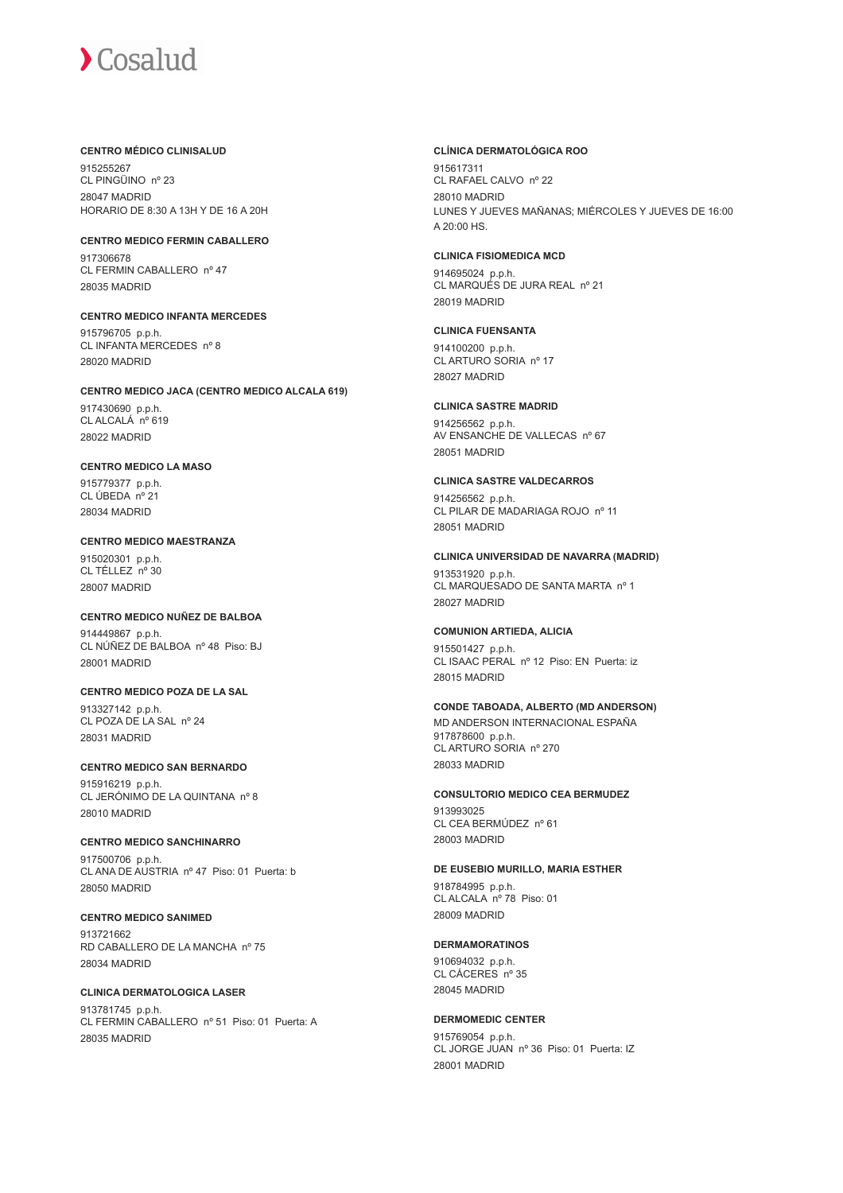#### **CENTRO MÉDICO CLINISALUD**

915255267 CL PINGÜINO nº 23 28047 MADRID HORARIO DE 8:30 A 13H Y DE 16 A 20H

**CENTRO MEDICO FERMIN CABALLERO** 917306678 CL FERMIN CABALLERO nº 47

**CENTRO MEDICO INFANTA MERCEDES**

915796705 p.p.h. CL INFANTA MERCEDES nº 8 28020 MADRID

#### **CENTRO MEDICO JACA (CENTRO MEDICO ALCALA 619)**

917430690 p.p.h. CL ALCALÁ nº 619 28022 MADRID

28035 MADRID

## **CENTRO MEDICO LA MASO**

915779377 p.p.h. CL ÚBEDA nº 21 28034 MADRID

## **CENTRO MEDICO MAESTRANZA**

915020301 p.p.h.  $CI$  TÉLLEZ  $n^{\circ}$  30 28007 MADRID

#### **CENTRO MEDICO NUÑEZ DE BALBOA**

914449867 p.p.h. CL NÚÑEZ DE BALBOA nº 48 Piso: BJ 28001 MADRID

## **CENTRO MEDICO POZA DE LA SAL**

913327142 p.p.h. CL POZA DE LA SAL nº 24 28031 MADRID

## **CENTRO MEDICO SAN BERNARDO**

915916219 p.p.h. CL JERÓNIMO DE LA QUINTANA nº 8 28010 MADRID

## **CENTRO MEDICO SANCHINARRO**

917500706 p.p.h. CL ANA DE AUSTRIA nº 47 Piso: 01 Puerta: b 28050 MADRID

**CENTRO MEDICO SANIMED** 913721662 RD CABALLERO DE LA MANCHA nº 75 28034 MADRID

**CLINICA DERMATOLOGICA LASER** 913781745 p.p.h. CL FERMIN CABALLERO nº 51 Piso: 01 Puerta: A 28035 MADRID

#### **CLÍNICA DERMATOLÓGICA ROO**

915617311 CL RAFAEL CALVO nº 22 28010 MADRID LUNES Y JUEVES MAÑANAS; MIÉRCOLES Y JUEVES DE 16:00 A 20:00 HS.

## **CLINICA FISIOMEDICA MCD**

914695024 p.p.h. CL MARQUÉS DE JURA REAL nº 21 28019 MADRID

#### **CLINICA FUENSANTA**

914100200 p.p.h. CL ARTURO SORIA nº 17 28027 MADRID

#### **CLINICA SASTRE MADRID**

914256562 p.p.h. AV ENSANCHE DE VALLECAS nº 67 28051 MADRID

#### **CLINICA SASTRE VALDECARROS**

914256562 p.p.h. CL PILAR DE MADARIAGA ROJO nº 11 28051 MADRID

#### **CLINICA UNIVERSIDAD DE NAVARRA (MADRID)**

913531920 p.p.h. CL MARQUESADO DE SANTA MARTA nº 1 28027 MADRID

#### **COMUNION ARTIEDA, ALICIA**

915501427 p.p.h. CL ISAAC PERAL nº 12 Piso: EN Puerta: iz 28015 MADRID

## **CONDE TABOADA, ALBERTO (MD ANDERSON)**

MD ANDERSON INTERNACIONAL ESPAÑA 917878600 p.p.h. CL ARTURO SORIA nº 270 28033 MADRID

## **CONSULTORIO MEDICO CEA BERMUDEZ**

913993025 CL CEA BERMÚDEZ nº 61 28003 MADRID

#### **DE EUSEBIO MURILLO, MARIA ESTHER**

918784995 p.p.h. CL ALCALA nº 78 Piso: 01 28009 MADRID

#### **DERMAMORATINOS**

910694032 p.p.h. CL CÁCERES nº 35 28045 MADRID

## **DERMOMEDIC CENTER**

915769054 p.p.h. CL JORGE JUAN nº 36 Piso: 01 Puerta: IZ 28001 MADRID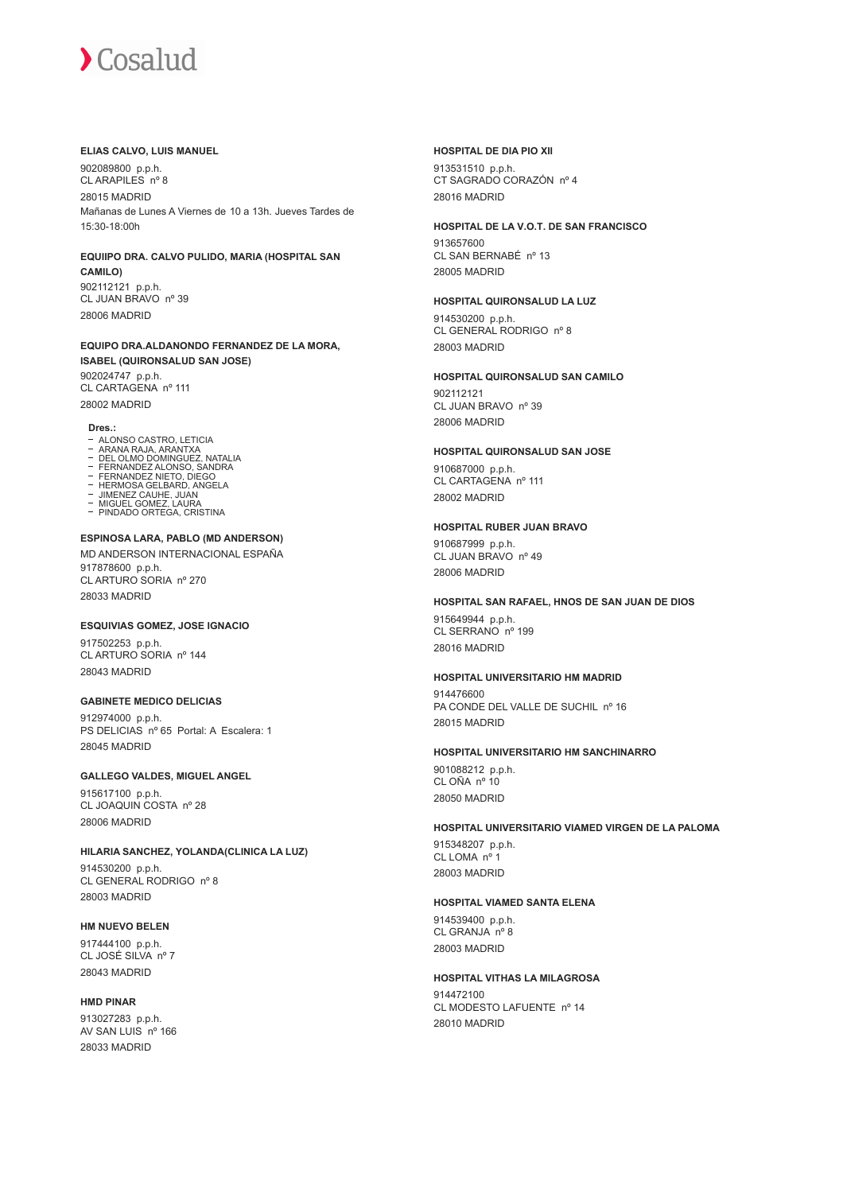#### **ELIAS CALVO, LUIS MANUEL**

902089800 p.p.h. CL ARAPILES nº 8 28015 MADRID Mañanas de Lunes A Viernes de 10 a 13h. Jueves Tardes de 15:30-18:00h

#### **EQUIIPO DRA. CALVO PULIDO, MARIA (HOSPITAL SAN CAMILO)**

902112121 p.p.h. CL JUAN BRAVO nº 39 28006 MADRID

#### **EQUIPO DRA.ALDANONDO FERNANDEZ DE LA MORA, ISABEL (QUIRONSALUD SAN JOSE)**

902024747 p.p.h. CL CARTAGENA nº 111 28002 MADRID

#### **Dres.:**

- 
- 
- ALONSO CASTRO, LETICIA<br>ARANA RAJA, ARANTXA<br>DEL OLMO DOMINGUEZ, NATALIA<br>FERNANDEZ ALONSO, SANDRA<br>FERMOSA GELBARD, ANGELA<br>HERMOSA GELBARD, ANGELA
- 
- 
- JIMENEZ CAUHE, JUAN MIGUEL GOMEZ, LAURA
- PINDADO ORTEGA, CRISTINA

#### **ESPINOSA LARA, PABLO (MD ANDERSON)** MD ANDERSON INTERNACIONAL ESPAÑA 917878600 p.p.h. CL ARTURO SORIA nº 270 28033 MADRID

#### **ESQUIVIAS GOMEZ, JOSE IGNACIO**

917502253 p.p.h. CL ARTURO SORIA nº 144 28043 MADRID

#### **GABINETE MEDICO DELICIAS**

912974000 p.p.h. PS DELICIAS nº 65 Portal: A Escalera: 1 28045 MADRID

#### **GALLEGO VALDES, MIGUEL ANGEL**

915617100 p.p.h. CL JOAQUIN COSTA nº 28 28006 MADRID

#### **HILARIA SANCHEZ, YOLANDA(CLINICA LA LUZ)**

914530200 p.p.h. CL GENERAL RODRIGO nº 8 28003 MADRID

#### **HM NUEVO BELEN**

917444100 p.p.h. CL JOSÉ SILVA nº 7 28043 MADRID

## **HMD PINAR**

913027283 p.p.h. AV SAN LUIS nº 166 28033 MADRID

#### **HOSPITAL DE DIA PIO XII**

913531510 p.p.h. CT SAGRADO CORAZÓN nº 4 28016 MADRID

#### **HOSPITAL DE LA V.O.T. DE SAN FRANCISCO**

913657600 CL SAN BERNABÉ nº 13 28005 MADRID

#### **HOSPITAL QUIRONSALUD LA LUZ**

914530200 p.p.h. CL GENERAL RODRIGO nº 8 28003 MADRID

#### **HOSPITAL QUIRONSALUD SAN CAMILO**

902112121 CL JUAN BRAVO nº 39 28006 MADRID

#### **HOSPITAL QUIRONSALUD SAN JOSE**

910687000 p.p.h. CL CARTAGENA nº 111 28002 MADRID

#### **HOSPITAL RUBER JUAN BRAVO**

910687999 p.p.h. CL JUAN BRAVO nº 49 28006 MADRID

#### **HOSPITAL SAN RAFAEL, HNOS DE SAN JUAN DE DIOS**

915649944 p.p.h. CL SERRANO nº 199 28016 MADRID

#### **HOSPITAL UNIVERSITARIO HM MADRID**

914476600 PA CONDE DEL VALLE DE SUCHIL nº 16 28015 MADRID

#### **HOSPITAL UNIVERSITARIO HM SANCHINARRO**

901088212 p.p.h. CL OÑA nº 10 28050 MADRID

#### **HOSPITAL UNIVERSITARIO VIAMED VIRGEN DE LA PALOMA**

915348207 p.p.h. CL LOMA nº 1 28003 MADRID

#### **HOSPITAL VIAMED SANTA ELENA**

914539400 p.p.h. CL GRANJA nº 8 28003 MADRID

#### **HOSPITAL VITHAS LA MILAGROSA**

914472100 CL MODESTO LAFUENTE nº 14 28010 MADRID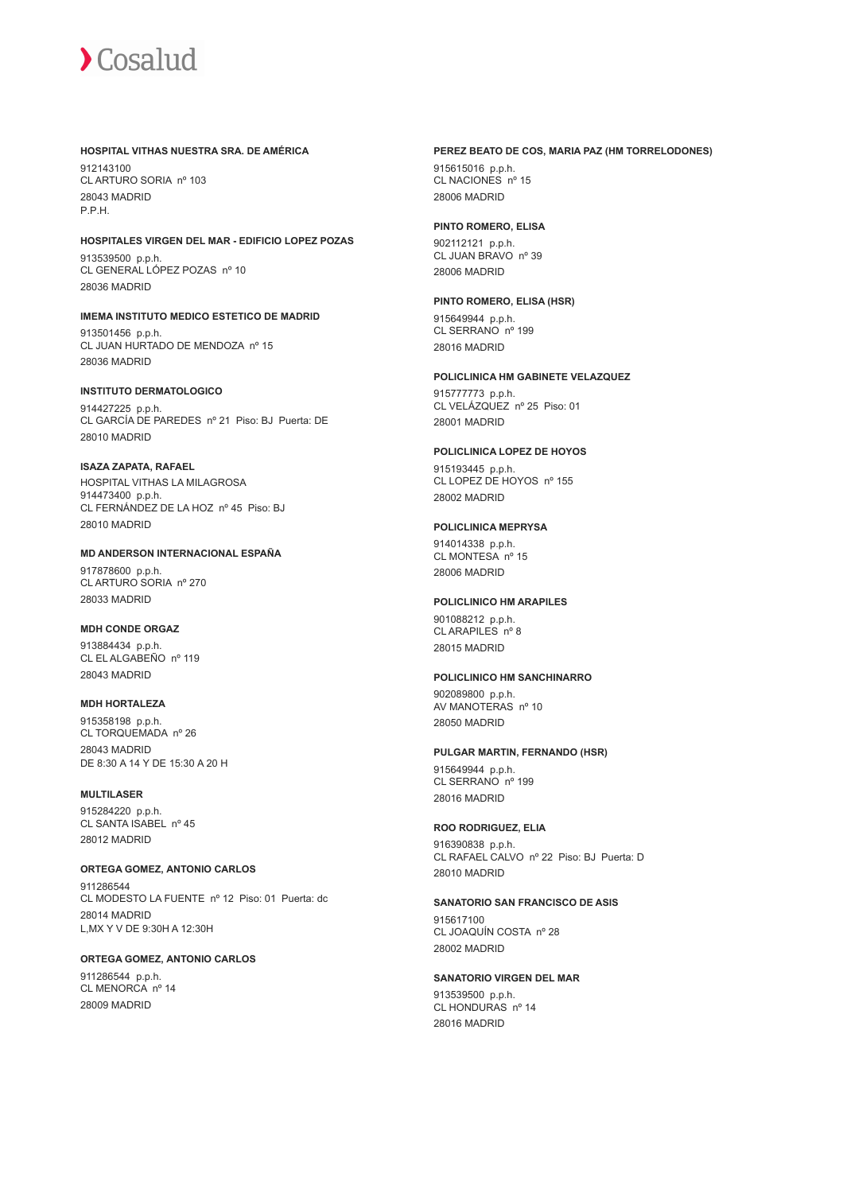#### **HOSPITAL VITHAS NUESTRA SRA. DE AMÉRICA**

912143100 CL ARTURO SORIA nº 103 28043 MADRID P.P.H.

### **HOSPITALES VIRGEN DEL MAR - EDIFICIO LOPEZ POZAS**

913539500 p.p.h. CL GENERAL LÓPEZ POZAS nº 10 28036 MADRID

#### **IMEMA INSTITUTO MEDICO ESTETICO DE MADRID**

913501456 p.p.h. CL JUAN HURTADO DE MENDOZA nº 15 28036 MADRID

#### **INSTITUTO DERMATOLOGICO**

914427225 p.p.h. CL GARCÍA DE PAREDES nº 21 Piso: BJ Puerta: DE 28010 MADRID

#### **ISAZA ZAPATA, RAFAEL**

HOSPITAL VITHAS LA MILAGROSA 914473400 p.p.h. CL FERNÁNDEZ DE LA HOZ nº 45 Piso: BJ 28010 MADRID

#### **MD ANDERSON INTERNACIONAL ESPAÑA**

917878600 p.p.h. CL ARTURO SORIA nº 270 28033 MADRID

#### **MDH CONDE ORGAZ**

913884434 p.p.h. CL EL ALGABEÑO nº 119 28043 MADRID

#### **MDH HORTALEZA**

915358198 p.p.h. CL TORQUEMADA nº 26 28043 MADRID DE 8:30 A 14 Y DE 15:30 A 20 H

## **MULTILASER**

915284220 p.p.h. CL SANTA ISABEL nº 45 28012 MADRID

#### **ORTEGA GOMEZ, ANTONIO CARLOS**

911286544 CL MODESTO LA FUENTE nº 12 Piso: 01 Puerta: dc 28014 MADRID L,MX Y V DE 9:30H A 12:30H

#### **ORTEGA GOMEZ, ANTONIO CARLOS**

911286544 p.p.h. CL MENORCA nº 14 28009 MADRID

#### **PEREZ BEATO DE COS, MARIA PAZ (HM TORRELODONES)**

915615016 p.p.h. CL NACIONES nº 15 28006 MADRID

#### **PINTO ROMERO, ELISA**

902112121 p.p.h. CL JUAN BRAVO nº 39 28006 MADRID

#### **PINTO ROMERO, ELISA (HSR)**

915649944 p.p.h. CL SERRANO nº 199 28016 MADRID

#### **POLICLINICA HM GABINETE VELAZQUEZ**

915777773 p.p.h. CL VELÁZQUEZ nº 25 Piso: 01 28001 MADRID

#### **POLICLINICA LOPEZ DE HOYOS**

915193445 p.p.h. CL LOPEZ DE HOYOS nº 155 28002 MADRID

#### **POLICLINICA MEPRYSA**

914014338 p.p.h. CL MONTESA nº 15 28006 MADRID

#### **POLICLINICO HM ARAPILES**

901088212 p.p.h. CL ARAPILES nº 8 28015 MADRID

#### **POLICLINICO HM SANCHINARRO**

902089800 p.p.h. AV MANOTERAS nº 10 28050 MADRID

#### **PULGAR MARTIN, FERNANDO (HSR)**

915649944 p.p.h. CL SERRANO nº 199 28016 MADRID

#### **ROO RODRIGUEZ, ELIA**

916390838 p.p.h. CL RAFAEL CALVO nº 22 Piso: BJ Puerta: D 28010 MADRID

#### **SANATORIO SAN FRANCISCO DE ASIS**

915617100 CL JOAQUÍN COSTA nº 28 28002 MADRID

#### **SANATORIO VIRGEN DEL MAR**

913539500 p.p.h. CL HONDURAS nº 14 28016 MADRID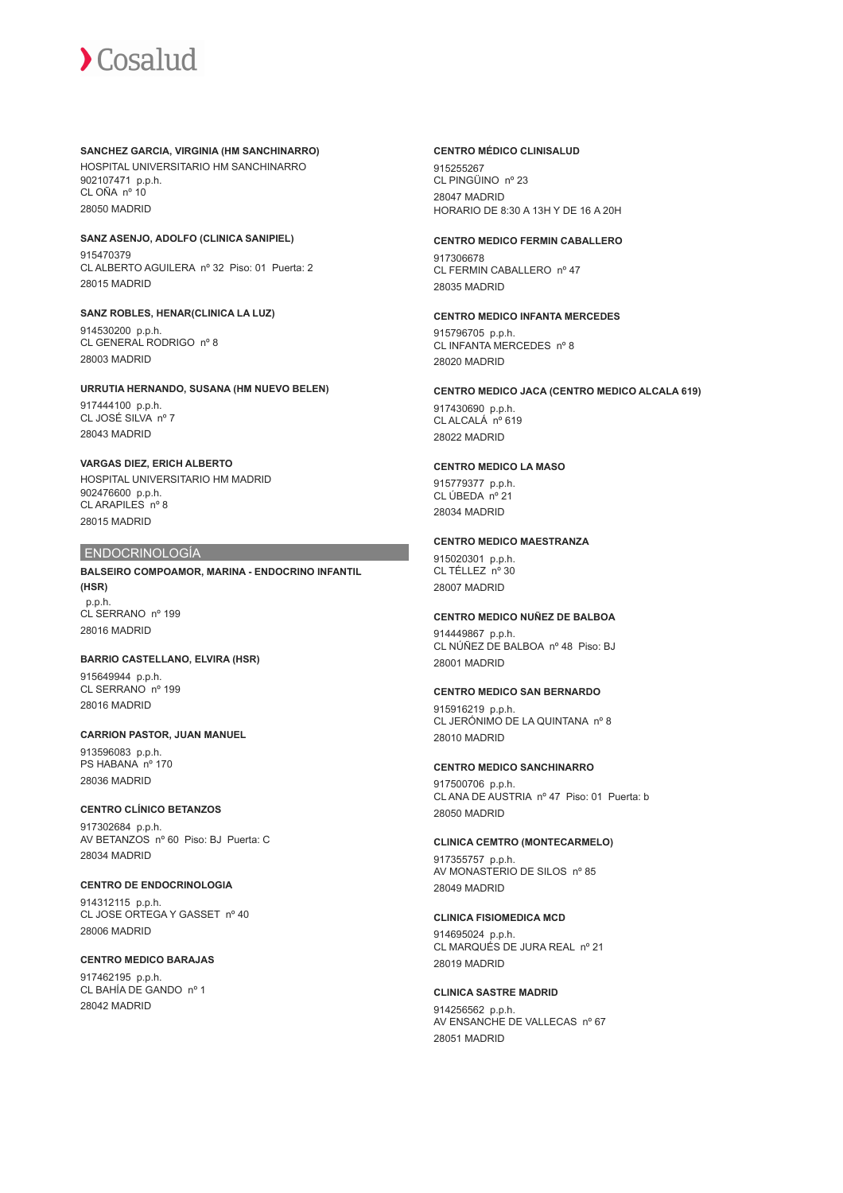#### **SANCHEZ GARCIA, VIRGINIA (HM SANCHINARRO)**

HOSPITAL UNIVERSITARIO HM SANCHINARRO 902107471 p.p.h. CL OÑA nº 10 28050 MADRID

#### **SANZ ASENJO, ADOLFO (CLINICA SANIPIEL)** 915470379

CL ALBERTO AGUILERA nº 32 Piso: 01 Puerta: 2 28015 MADRID

## **SANZ ROBLES, HENAR(CLINICA LA LUZ)** 914530200 p.p.h.

CL GENERAL RODRIGO nº 8 28003 MADRID

### **URRUTIA HERNANDO, SUSANA (HM NUEVO BELEN)**

917444100 p.p.h. CL JOSÉ SILVA nº 7 28043 MADRID

### **VARGAS DIEZ, ERICH ALBERTO**

HOSPITAL UNIVERSITARIO HM MADRID 902476600 p.p.h. CL ARAPILES nº 8 28015 MADRID

## ENDOCRINOLOGÍA

**BALSEIRO COMPOAMOR, MARINA - ENDOCRINO INFANTIL (HSR)** p.p.h. CL SERRANO nº 199 28016 MADRID

#### **BARRIO CASTELLANO, ELVIRA (HSR)**

915649944 p.p.h. CL SERRANO nº 199 28016 MADRID

## **CARRION PASTOR, JUAN MANUEL**

913596083 p.p.h. PS HABANA nº 170 28036 MADRID

#### **CENTRO CLÍNICO BETANZOS**

917302684 p.p.h. AV BETANZOS nº 60 Piso: BJ Puerta: C 28034 MADRID

## **CENTRO DE ENDOCRINOLOGIA**

914312115 p.p.h. CL JOSE ORTEGA Y GASSET nº 40 28006 MADRID

#### **CENTRO MEDICO BARAJAS**

917462195 p.p.h. CL BAHÍA DE GANDO nº 1 28042 MADRID

#### **CENTRO MÉDICO CLINISALUD**

915255267 CL PINGÜINO nº 23 28047 MADRID HORARIO DE 8:30 A 13H Y DE 16 A 20H

### **CENTRO MEDICO FERMIN CABALLERO**

917306678 CL FERMIN CABALLERO nº 47 28035 MADRID

#### **CENTRO MEDICO INFANTA MERCEDES**

915796705 p.p.h. CL INFANTA MERCEDES nº 8 28020 MADRID

#### **CENTRO MEDICO JACA (CENTRO MEDICO ALCALA 619)**

917430690 p.p.h. CL ALCALÁ nº 619 28022 MADRID

## **CENTRO MEDICO LA MASO**

915779377 p.p.h. CL ÚBEDA nº 21 28034 MADRID

### **CENTRO MEDICO MAESTRANZA**

915020301 p.p.h.  $CI$  TÉLLEZ  $n^{\circ}$  30 28007 MADRID

### **CENTRO MEDICO NUÑEZ DE BALBOA**

914449867 p.p.h. CL NÚÑEZ DE BALBOA nº 48 Piso: BJ 28001 MADRID

#### **CENTRO MEDICO SAN BERNARDO**

915916219 p.p.h. CL JERÓNIMO DE LA QUINTANA nº 8 28010 MADRID

#### **CENTRO MEDICO SANCHINARRO**

917500706 p.p.h. CL ANA DE AUSTRIA nº 47 Piso: 01 Puerta: b 28050 MADRID

#### **CLINICA CEMTRO (MONTECARMELO)**

917355757 p.p.h. AV MONASTERIO DE SILOS nº 85 28049 MADRID

#### **CLINICA FISIOMEDICA MCD**

914695024 p.p.h. CL MARQUÉS DE JURA REAL nº 21 28019 MADRID

## **CLINICA SASTRE MADRID**

914256562 p.p.h. AV ENSANCHE DE VALLECAS nº 67 28051 MADRID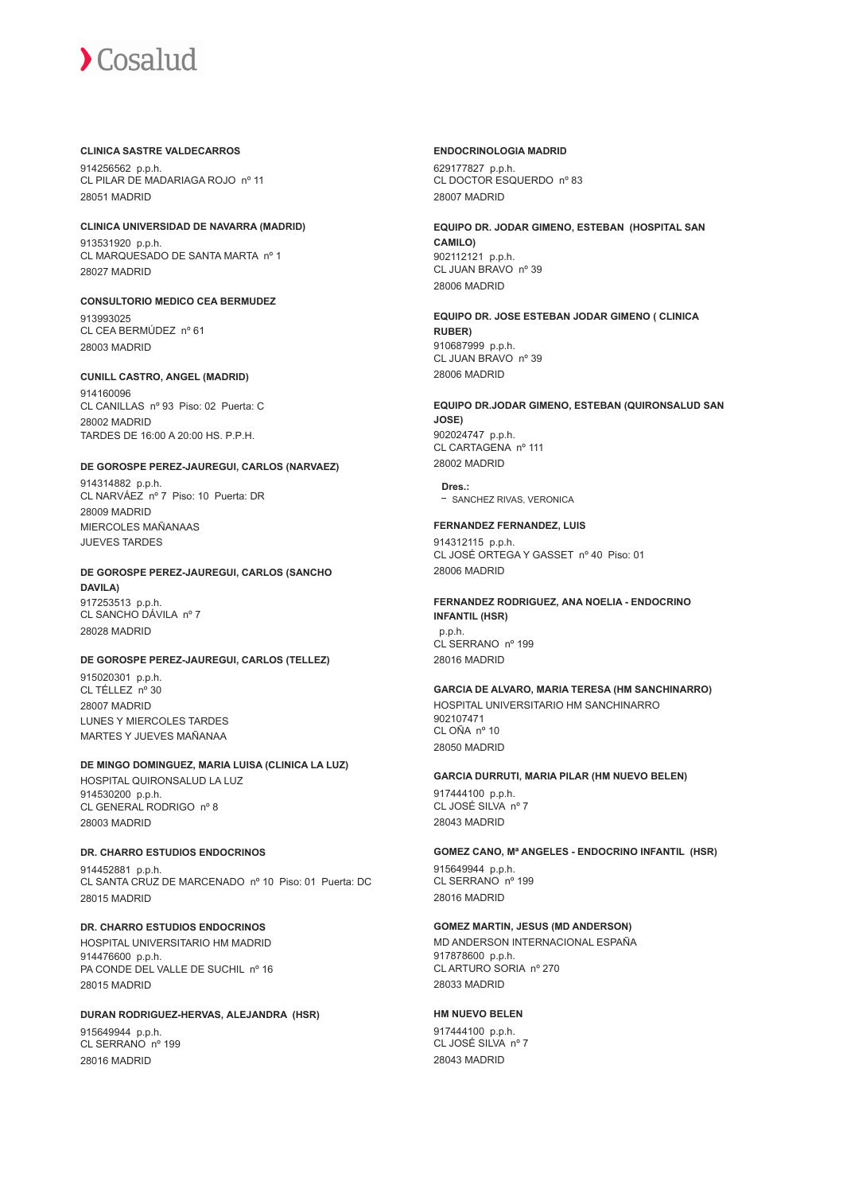#### **CLINICA SASTRE VALDECARROS**

914256562 p.p.h. CL PILAR DE MADARIAGA ROJO nº 11 28051 MADRID

#### **CLINICA UNIVERSIDAD DE NAVARRA (MADRID)**

913531920 p.p.h. CL MARQUESADO DE SANTA MARTA nº 1 28027 MADRID

**CONSULTORIO MEDICO CEA BERMUDEZ** 913993025

CL CEA BERMÚDEZ nº 61 28003 MADRID

#### **CUNILL CASTRO, ANGEL (MADRID)**

914160096 CL CANILLAS nº 93 Piso: 02 Puerta: C 28002 MADRID TARDES DE 16:00 A 20:00 HS. P.P.H.

#### **DE GOROSPE PEREZ-JAUREGUI, CARLOS (NARVAEZ)**

914314882 p.p.h. CL NARVÁEZ nº 7 Piso: 10 Puerta: DR 28009 MADRID MIERCOLES MAÑANAAS JUEVES TARDES

#### **DE GOROSPE PEREZ-JAUREGUI, CARLOS (SANCHO DAVILA)** 917253513 p.p.h. CL SANCHO DÁVILA nº 7 28028 MADRID

#### **DE GOROSPE PEREZ-JAUREGUI, CARLOS (TELLEZ)**

915020301 p.p.h. CL TÉLLEZ nº 30 28007 MADRID LUNES Y MIERCOLES TARDES MARTES Y JUEVES MAÑANAA

#### **DE MINGO DOMINGUEZ, MARIA LUISA (CLINICA LA LUZ)**

HOSPITAL QUIRONSALUD LA LUZ 914530200 p.p.h. CL GENERAL RODRIGO nº 8 28003 MADRID

#### **DR. CHARRO ESTUDIOS ENDOCRINOS**

914452881 p.p.h. CL SANTA CRUZ DE MARCENADO nº 10 Piso: 01 Puerta: DC 28015 MADRID

## **DR. CHARRO ESTUDIOS ENDOCRINOS**

HOSPITAL UNIVERSITARIO HM MADRID 914476600 p.p.h. PA CONDE DEL VALLE DE SUCHIL nº 16 28015 MADRID

#### **DURAN RODRIGUEZ-HERVAS, ALEJANDRA (HSR)**

915649944 p.p.h. CL SERRANO nº 199 28016 MADRID

#### **ENDOCRINOLOGIA MADRID**

629177827 p.p.h. CL DOCTOR ESQUERDO nº 83 28007 MADRID

**EQUIPO DR. JODAR GIMENO, ESTEBAN (HOSPITAL SAN CAMILO)** 902112121 p.p.h. CL JUAN BRAVO nº 39 28006 MADRID

**EQUIPO DR. JOSE ESTEBAN JODAR GIMENO ( CLINICA RUBER)** 910687999 p.p.h. CL JUAN BRAVO nº 39 28006 MADRID

## **EQUIPO DR.JODAR GIMENO, ESTEBAN (QUIRONSALUD SAN JOSE)** 902024747 p.p.h.

CL CARTAGENA nº 111 28002 MADRID

**Dres.:** - SANCHEZ RIVAS, VERONICA

#### **FERNANDEZ FERNANDEZ, LUIS**

914312115 p.p.h. CL JOSÉ ORTEGA Y GASSET nº 40 Piso: 01 28006 MADRID

## **FERNANDEZ RODRIGUEZ, ANA NOELIA - ENDOCRINO**

**INFANTIL (HSR)** p.p.h. CL SERRANO nº 199 28016 MADRID

#### **GARCIA DE ALVARO, MARIA TERESA (HM SANCHINARRO)**

HOSPITAL UNIVERSITARIO HM SANCHINARRO 902107471 CL OÑA nº 10 28050 MADRID

#### **GARCIA DURRUTI, MARIA PILAR (HM NUEVO BELEN)**

917444100 p.p.h. CL JOSÉ SILVA nº 7 28043 MADRID

#### **GOMEZ CANO, Mª ANGELES - ENDOCRINO INFANTIL (HSR)**

915649944 p.p.h. CL SERRANO nº 199 28016 MADRID

#### **GOMEZ MARTIN, JESUS (MD ANDERSON)**

MD ANDERSON INTERNACIONAL ESPAÑA 917878600 p.p.h. CL ARTURO SORIA nº 270 28033 MADRID

#### **HM NUEVO BELEN**

917444100 p.p.h. CL JOSÉ SILVA nº 7 28043 MADRID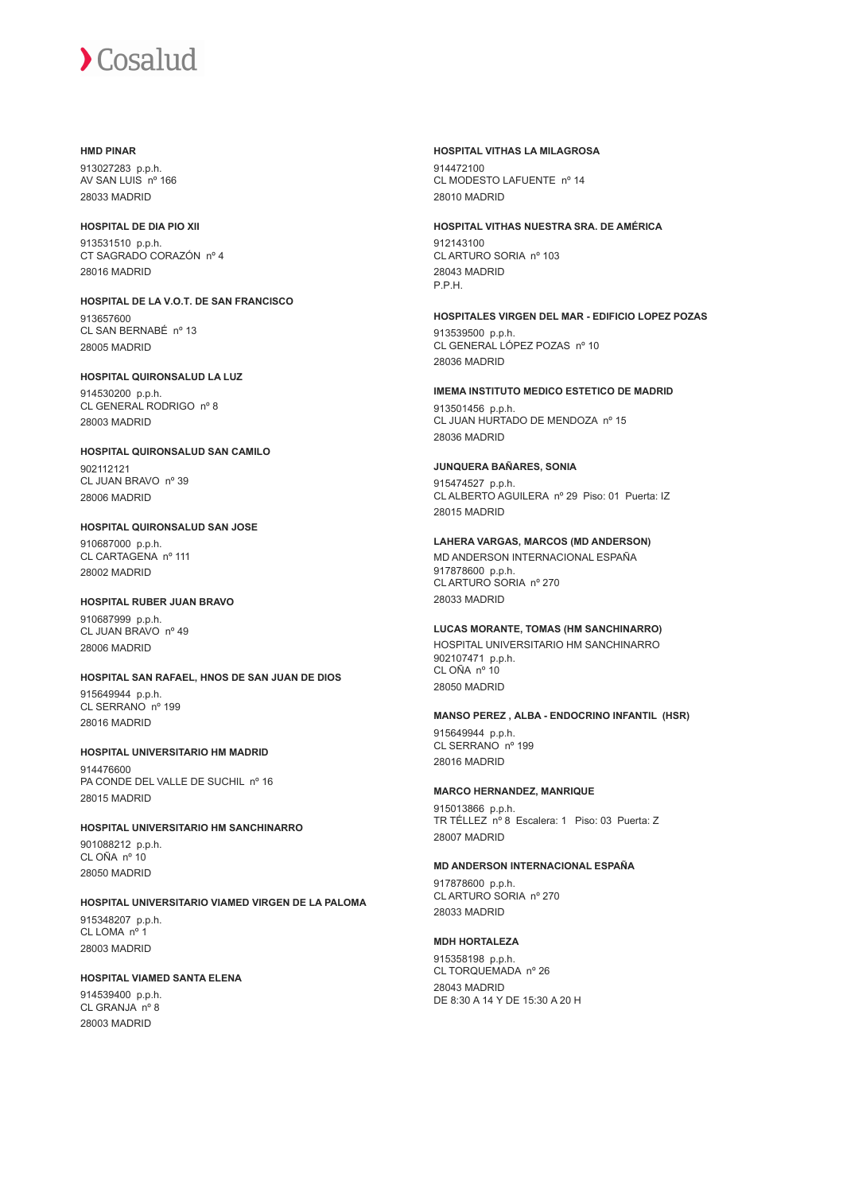#### **HMD PINAR**

913027283 p.p.h. AV SAN LUIS nº 166 28033 MADRID

#### **HOSPITAL DE DIA PIO XII**

913531510 p.p.h. CT SAGRADO CORAZÓN nº 4 28016 MADRID

**HOSPITAL DE LA V.O.T. DE SAN FRANCISCO** 913657600 CL SAN BERNABÉ nº 13 28005 MADRID

#### **HOSPITAL QUIRONSALUD LA LUZ**

914530200 p.p.h. CL GENERAL RODRIGO nº 8 28003 MADRID

**HOSPITAL QUIRONSALUD SAN CAMILO** 902112121 CL JUAN BRAVO nº 39

28006 MADRID

#### **HOSPITAL QUIRONSALUD SAN JOSE**

910687000 p.p.h. CL CARTAGENA nº 111 28002 MADRID

#### **HOSPITAL RUBER JUAN BRAVO**

910687999 p.p.h. CL JUAN BRAVO nº 49 28006 MADRID

## **HOSPITAL SAN RAFAEL, HNOS DE SAN JUAN DE DIOS**

915649944 p.p.h. CL SERRANO nº 199 28016 MADRID

#### **HOSPITAL UNIVERSITARIO HM MADRID** 914476600

PA CONDE DEL VALLE DE SUCHIL nº 16 28015 MADRID

### **HOSPITAL UNIVERSITARIO HM SANCHINARRO**

901088212 p.p.h. CL OÑA nº 10 28050 MADRID

## **HOSPITAL UNIVERSITARIO VIAMED VIRGEN DE LA PALOMA**

915348207 p.p.h. CL LOMA nº 1 28003 MADRID

#### **HOSPITAL VIAMED SANTA ELENA**

914539400 p.p.h. CL GRANJA nº 8 28003 MADRID

#### **HOSPITAL VITHAS LA MILAGROSA**

914472100 CL MODESTO LAFUENTE nº 14 28010 MADRID

#### **HOSPITAL VITHAS NUESTRA SRA. DE AMÉRICA**

912143100 CL ARTURO SORIA nº 103 28043 MADRID P.P.H.

#### **HOSPITALES VIRGEN DEL MAR - EDIFICIO LOPEZ POZAS**

913539500 p.p.h. CL GENERAL LÓPEZ POZAS nº 10 28036 MADRID

#### **IMEMA INSTITUTO MEDICO ESTETICO DE MADRID**

913501456 p.p.h. CL JUAN HURTADO DE MENDOZA nº 15 28036 MADRID

#### **JUNQUERA BAÑARES, SONIA**

915474527 p.p.h. CL ALBERTO AGUILERA nº 29 Piso: 01 Puerta: IZ 28015 MADRID

#### **LAHERA VARGAS, MARCOS (MD ANDERSON)**

MD ANDERSON INTERNACIONAL ESPAÑA 917878600 p.p.h. CL ARTURO SORIA nº 270 28033 MADRID

#### **LUCAS MORANTE, TOMAS (HM SANCHINARRO)**

HOSPITAL UNIVERSITARIO HM SANCHINARRO 902107471 p.p.h. CL OÑA nº 10 28050 MADRID

#### **MANSO PEREZ , ALBA - ENDOCRINO INFANTIL (HSR)**

915649944 p.p.h. CL SERRANO nº 199 28016 MADRID

#### **MARCO HERNANDEZ, MANRIQUE**

915013866 p.p.h. TR TÉLLEZ nº 8 Escalera: 1 Piso: 03 Puerta: Z 28007 MADRID

#### **MD ANDERSON INTERNACIONAL ESPAÑA**

917878600 p.p.h. CL ARTURO SORIA nº 270 28033 MADRID

#### **MDH HORTALEZA**

915358198 p.p.h. CL TORQUEMADA nº 26 28043 MADRID DE 8:30 A 14 Y DE 15:30 A 20 H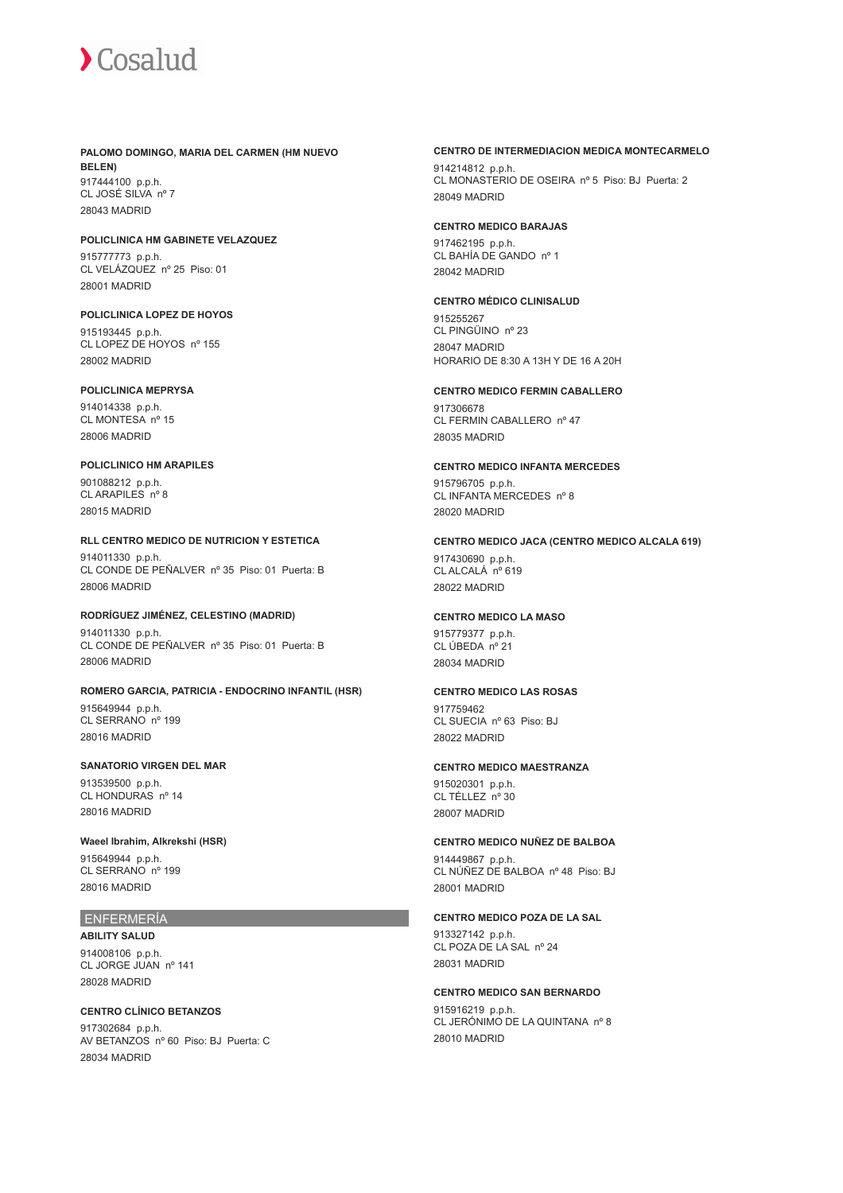#### **PALOMO DOMINGO, MARIA DEL CARMEN (HM NUEVO BELEN)** 917444100 p.p.h. CL JOSÉ SILVA nº 7

28043 MADRID

## **POLICLINICA HM GABINETE VELAZQUEZ**

915777773 p.p.h. CL VELÁZQUEZ nº 25 Piso: 01 28001 MADRID

## **POLICLINICA LOPEZ DE HOYOS**

915193445 p.p.h. CL LOPEZ DE HOYOS nº 155 28002 MADRID

#### **POLICLINICA MEPRYSA**

914014338 p.p.h. CL MONTESA nº 15 28006 MADRID

#### **POLICLINICO HM ARAPILES**

901088212 p.p.h. CL ARAPILES nº 8 28015 MADRID

#### **RLL CENTRO MEDICO DE NUTRICION Y ESTETICA**

914011330 p.p.h. CL CONDE DE PEÑALVER nº 35 Piso: 01 Puerta: B 28006 MADRID

#### **RODRÍGUEZ JIMÉNEZ, CELESTINO (MADRID)**

914011330 p.p.h. CL CONDE DE PEÑALVER nº 35 Piso: 01 Puerta: B 28006 MADRID

#### **ROMERO GARCIA, PATRICIA - ENDOCRINO INFANTIL (HSR)**

915649944 p.p.h. CL SERRANO nº 199 28016 MADRID

#### **SANATORIO VIRGEN DEL MAR**

913539500 p.p.h. CL HONDURAS nº 14 28016 MADRID

#### **Waeel Ibrahim, Alkrekshi (HSR)**

915649944 p.p.h. CL SERRANO nº 199 28016 MADRID

#### ENFERMERÍA

**ABILITY SALUD** 914008106 p.p.h. CL JORGE JUAN nº 141 28028 MADRID

#### **CENTRO CLÍNICO BETANZOS**

917302684 p.p.h. AV BETANZOS nº 60 Piso: BJ Puerta: C 28034 MADRID

#### **CENTRO DE INTERMEDIACION MEDICA MONTECARMELO**

914214812 p.p.h. CL MONASTERIO DE OSEIRA nº 5 Piso: BJ Puerta: 2 28049 MADRID

#### **CENTRO MEDICO BARAJAS**

917462195 p.p.h. CL BAHÍA DE GANDO nº 1 28042 MADRID

#### **CENTRO MÉDICO CLINISALUD**

915255267 CL PINGÜINO nº 23 28047 MADRID HORARIO DE 8:30 A 13H Y DE 16 A 20H

#### **CENTRO MEDICO FERMIN CABALLERO**

917306678 CL FERMIN CABALLERO nº 47 28035 MADRID

### **CENTRO MEDICO INFANTA MERCEDES**

915796705 p.p.h. CL INFANTA MERCEDES nº 8 28020 MADRID

#### **CENTRO MEDICO JACA (CENTRO MEDICO ALCALA 619)**

917430690 p.p.h. CL ALCALÁ nº 619 28022 MADRID

#### **CENTRO MEDICO LA MASO**

915779377 p.p.h. CL ÚBEDA nº 21 28034 MADRID

#### **CENTRO MEDICO LAS ROSAS**

917759462 CL SUECIA nº 63 Piso: BJ 28022 MADRID

#### **CENTRO MEDICO MAESTRANZA**

915020301 p.p.h. CL TÉLLEZ nº 30 28007 MADRID

#### **CENTRO MEDICO NUÑEZ DE BALBOA**

914449867 p.p.h. CL NÚÑEZ DE BALBOA nº 48 Piso: BJ 28001 MADRID

#### **CENTRO MEDICO POZA DE LA SAL**

913327142 p.p.h. CL POZA DE LA SAL nº 24 28031 MADRID

## **CENTRO MEDICO SAN BERNARDO** 915916219 p.p.h. CL JERÓNIMO DE LA QUINTANA nº 8

28010 MADRID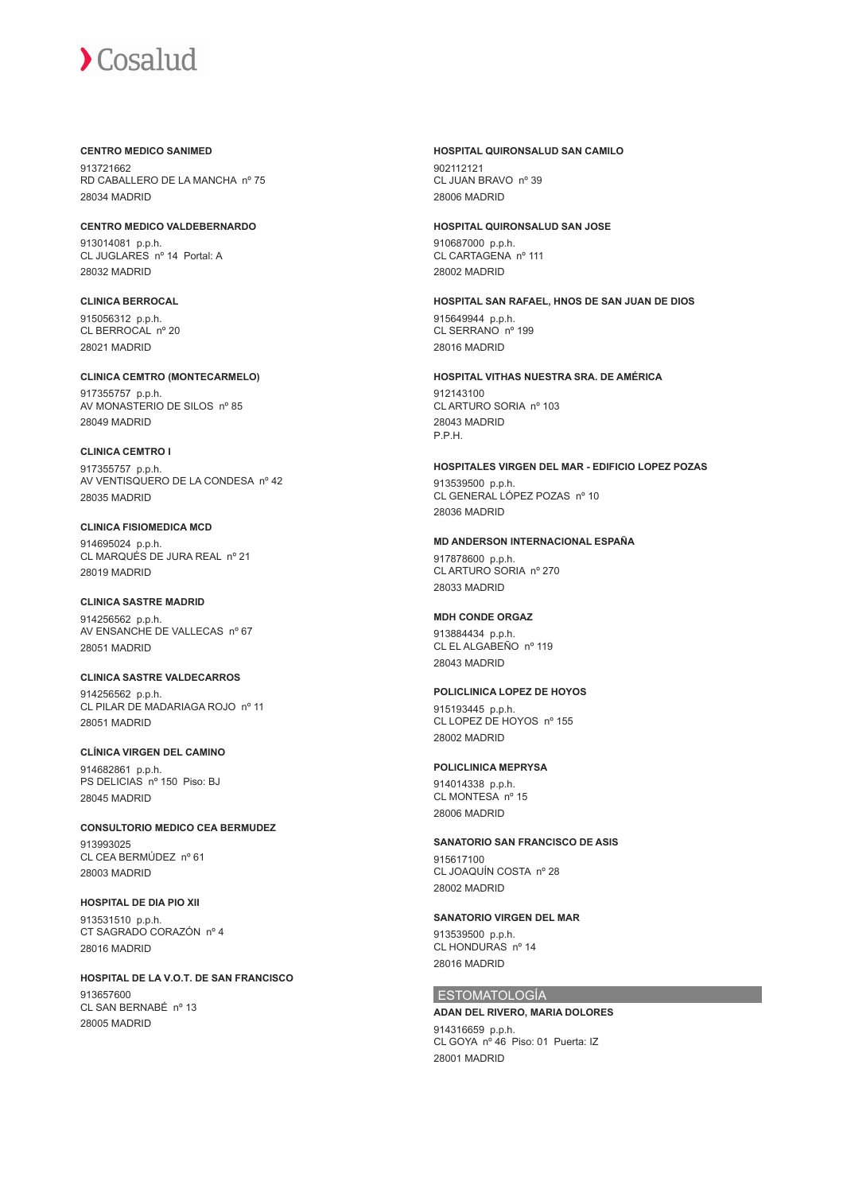#### **CENTRO MEDICO SANIMED**

913721662 RD CABALLERO DE LA MANCHA nº 75 28034 MADRID

**CENTRO MEDICO VALDEBERNARDO** 913014081 p.p.h. CL JUGLARES nº 14 Portal: A 28032 MADRID

#### **CLINICA BERROCAL** 915056312 p.p.h. CL BERROCAL nº 20 28021 MADRID

**CLINICA CEMTRO (MONTECARMELO)** 917355757 p.p.h. AV MONASTERIO DE SILOS nº 85 28049 MADRID

#### **CLINICA CEMTRO I** 917355757 p.p.h. AV VENTISQUERO DE LA CONDESA nº 42 28035 MADRID

### **CLINICA FISIOMEDICA MCD**

914695024 p.p.h. CL MARQUÉS DE JURA REAL nº 21 28019 MADRID

### **CLINICA SASTRE MADRID**

914256562 p.p.h. AV ENSANCHE DE VALLECAS nº 67 28051 MADRID

## **CLINICA SASTRE VALDECARROS**

914256562 p.p.h. CL PILAR DE MADARIAGA ROJO nº 11 28051 MADRID

## **CLÍNICA VIRGEN DEL CAMINO** 914682861 p.p.h.

PS DELICIAS nº 150 Piso: BJ 28045 MADRID

## **CONSULTORIO MEDICO CEA BERMUDEZ**

913993025 CL CEA BERMÚDEZ nº 61 28003 MADRID

## **HOSPITAL DE DIA PIO XII**

913531510 p.p.h. CT SAGRADO CORAZÓN nº 4 28016 MADRID

## **HOSPITAL DE LA V.O.T. DE SAN FRANCISCO**

913657600 CL SAN BERNABÉ nº 13 28005 MADRID

## **HOSPITAL QUIRONSALUD SAN CAMILO**

902112121 CL JUAN BRAVO nº 39 28006 MADRID

## **HOSPITAL QUIRONSALUD SAN JOSE**

910687000 p.p.h. CL CARTAGENA nº 111 28002 MADRID

#### **HOSPITAL SAN RAFAEL, HNOS DE SAN JUAN DE DIOS** 915649944 p.p.h. CL SERRANO nº 199

28016 MADRID

## **HOSPITAL VITHAS NUESTRA SRA. DE AMÉRICA**

912143100 CL ARTURO SORIA nº 103 28043 MADRID P.P.H.

#### **HOSPITALES VIRGEN DEL MAR - EDIFICIO LOPEZ POZAS**

913539500 p.p.h. CL GENERAL LÓPEZ POZAS nº 10 28036 MADRID

### **MD ANDERSON INTERNACIONAL ESPAÑA**

917878600 p.p.h. CL ARTURO SORIA nº 270 28033 MADRID

## **MDH CONDE ORGAZ**

913884434 p.p.h. CL EL ALGABEÑO nº 119 28043 MADRID

## **POLICLINICA LOPEZ DE HOYOS**

915193445 p.p.h. CL LOPEZ DE HOYOS nº 155 28002 MADRID

## **POLICLINICA MEPRYSA**

914014338 p.p.h. CL MONTESA nº 15 28006 MADRID

## **SANATORIO SAN FRANCISCO DE ASIS**

915617100 CL JOAQUÍN COSTA nº 28 28002 MADRID

#### **SANATORIO VIRGEN DEL MAR**

913539500 p.p.h. CL HONDURAS nº 14 28016 MADRID

## ESTOMATOLOGÍA

28001 MADRID

#### **ADAN DEL RIVERO, MARIA DOLORES** 914316659 p.p.h. CL GOYA nº 46 Piso: 01 Puerta: IZ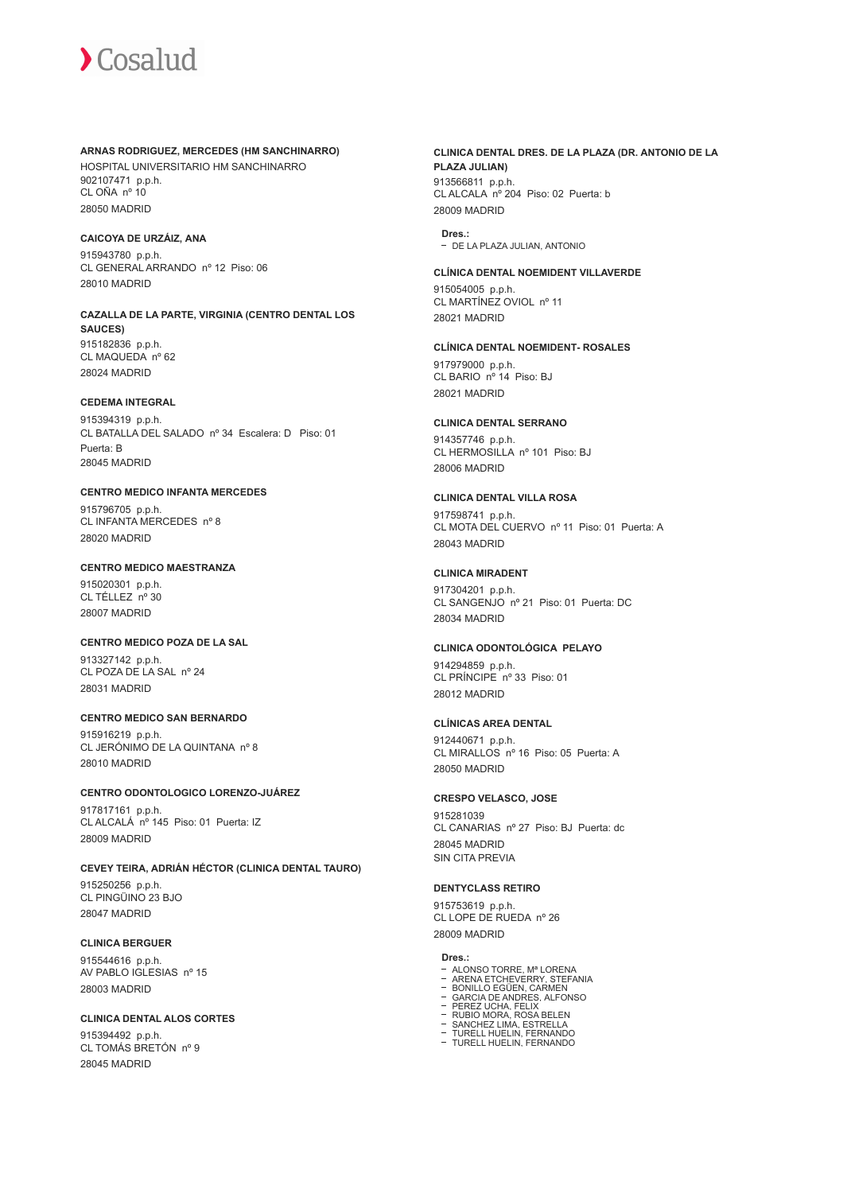#### **ARNAS RODRIGUEZ, MERCEDES (HM SANCHINARRO)**

HOSPITAL UNIVERSITARIO HM SANCHINARRO 902107471 p.p.h. CL OÑA nº 10 28050 MADRID

#### **CAICOYA DE URZÁIZ, ANA**

915943780 p.p.h. CL GENERAL ARRANDO nº 12 Piso: 06 28010 MADRID

**CAZALLA DE LA PARTE, VIRGINIA (CENTRO DENTAL LOS SAUCES)** 915182836 p.p.h. CL MAQUEDA nº 62 28024 MADRID

## **CEDEMA INTEGRAL**

915394319 p.p.h. CL BATALLA DEL SALADO nº 34 Escalera: D Piso: 01 Puerta: B 28045 MADRID

## **CENTRO MEDICO INFANTA MERCEDES**

915796705 p.p.h. CL INFANTA MERCEDES nº 8 28020 MADRID

#### **CENTRO MEDICO MAESTRANZA**

915020301 p.p.h. CL TÉLLEZ nº 30 28007 MADRID

### **CENTRO MEDICO POZA DE LA SAL**

913327142 p.p.h. CL POZA DE LA SAL nº 24 28031 MADRID

#### **CENTRO MEDICO SAN BERNARDO**

915916219 p.p.h. CL JERÓNIMO DE LA QUINTANA nº 8 28010 MADRID

**CENTRO ODONTOLOGICO LORENZO-JUÁREZ** 917817161 p.p.h. CL ALCALÁ nº 145 Piso: 01 Puerta: IZ 28009 MADRID

**CEVEY TEIRA, ADRIÁN HÉCTOR (CLINICA DENTAL TAURO)** 915250256 p.p.h. CL PINGÜINO 23 BJO 28047 MADRID

## **CLINICA BERGUER**

915544616 p.p.h. AV PABLO IGLESIAS nº 15 28003 MADRID

**CLINICA DENTAL ALOS CORTES** 915394492 p.p.h. CL TOMÁS BRETÓN nº 9 28045 MADRID

**CLINICA DENTAL DRES. DE LA PLAZA (DR. ANTONIO DE LA PLAZA JULIAN)** 913566811 p.p.h. CL ALCALA nº 204 Piso: 02 Puerta: b 28009 MADRID

**Dres.:** DE LA PLAZA JULIAN, ANTONIO

#### **CLÍNICA DENTAL NOEMIDENT VILLAVERDE**

915054005 p.p.h. CL MARTÍNEZ OVIOL nº 11 28021 MADRID

## **CLÍNICA DENTAL NOEMIDENT- ROSALES**

917979000 p.p.h. CL BARIO nº 14 Piso: BJ 28021 MADRID

#### **CLINICA DENTAL SERRANO**

914357746 p.p.h. CL HERMOSILLA nº 101 Piso: BJ 28006 MADRID

#### **CLINICA DENTAL VILLA ROSA**

917598741 p.p.h. CL MOTA DEL CUERVO nº 11 Piso: 01 Puerta: A 28043 MADRID

## **CLINICA MIRADENT**

917304201 p.p.h. CL SANGENJO nº 21 Piso: 01 Puerta: DC 28034 MADRID

## **CLINICA ODONTOLÓGICA PELAYO**

914294859 p.p.h. CL PRÍNCIPE nº 33 Piso: 01 28012 MADRID

#### **CLÍNICAS AREA DENTAL**

912440671 p.p.h. CL MIRALLOS nº 16 Piso: 05 Puerta: A 28050 MADRID

#### **CRESPO VELASCO, JOSE**

915281039 CL CANARIAS nº 27 Piso: BJ Puerta: dc 28045 MADRID SIN CITA PREVIA

#### **DENTYCLASS RETIRO**

915753619 p.p.h. CL LOPE DE RUEDA nº 26 28009 MADRID

#### **Dres.:**

- 
- ALONSO TORRE, Mª LORENA ARENA ETCHEVERRY, STEFANIA BONILLO EGÜEN, CARMEN
- 
- GARCIA DE ANDRES, ALFONSO PEREZ UCHA, FELIX RUBIO MORA, ROSA BELEN
- - SANCHEZ LIMA, ESTRELLA TURELL HUELIN, FERNANDO TURELL HUELIN, FERNANDO
-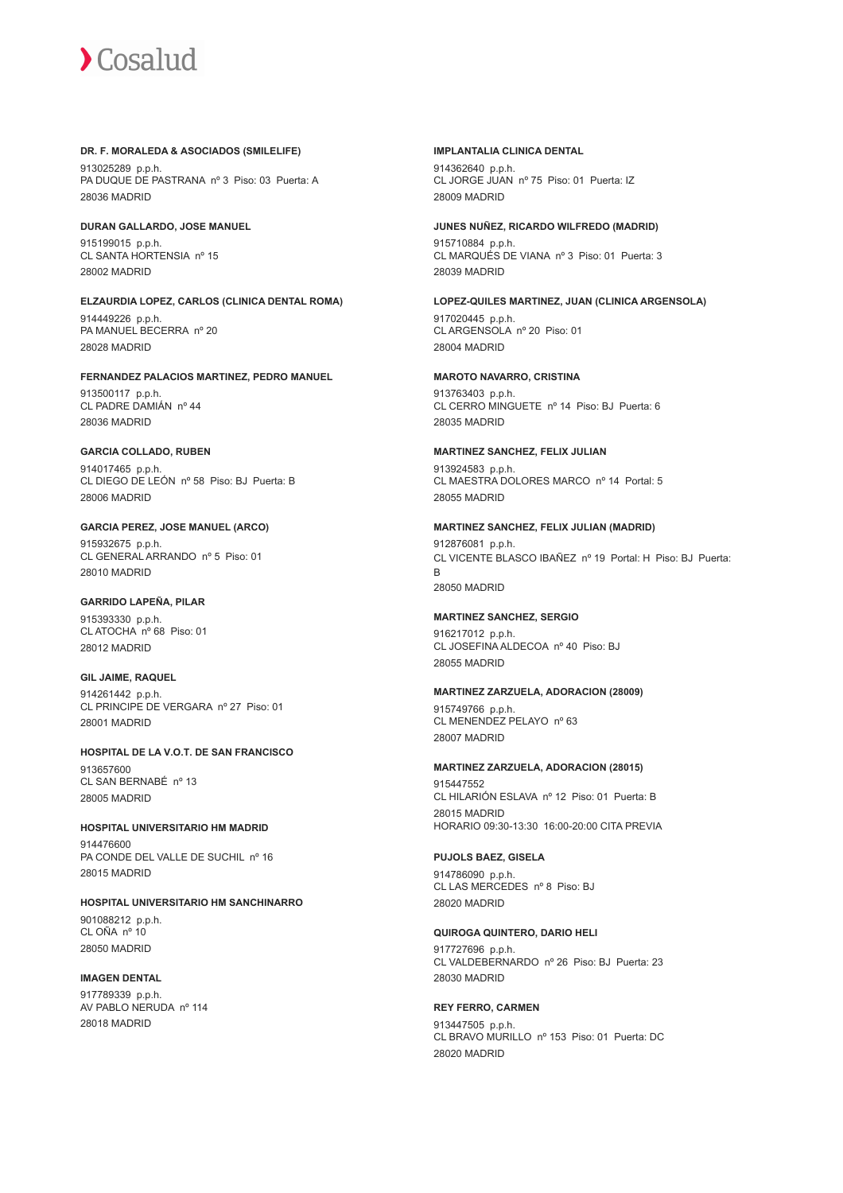#### **DR. F. MORALEDA & ASOCIADOS (SMILELIFE)**

913025289 p.p.h. PA DUQUE DE PASTRANA nº 3 Piso: 03 Puerta: A 28036 MADRID

#### **DURAN GALLARDO, JOSE MANUEL**

915199015 p.p.h. CL SANTA HORTENSIA nº 15 28002 MADRID

#### **ELZAURDIA LOPEZ, CARLOS (CLINICA DENTAL ROMA)**

914449226 p.p.h. PA MANUEL BECERRA nº 20 28028 MADRID

#### **FERNANDEZ PALACIOS MARTINEZ, PEDRO MANUEL**

913500117 p.p.h. CL PADRE DAMIÁN nº 44 28036 MADRID

#### **GARCIA COLLADO, RUBEN**

914017465 p.p.h. CL DIEGO DE LEÓN nº 58 Piso: BJ Puerta: B 28006 MADRID

#### **GARCIA PEREZ, JOSE MANUEL (ARCO)**

915932675 p.p.h. CL GENERAL ARRANDO nº 5 Piso: 01 28010 MADRID

### **GARRIDO LAPEÑA, PILAR** 915393330 p.p.h.

CL ATOCHA nº 68 Piso: 01 28012 MADRID

### **GIL JAIME, RAQUEL**

914261442 p.p.h. CL PRINCIPE DE VERGARA nº 27 Piso: 01 28001 MADRID

#### **HOSPITAL DE LA V.O.T. DE SAN FRANCISCO** 913657600 CL SAN BERNABÉ nº 13 28005 MADRID

#### **HOSPITAL UNIVERSITARIO HM MADRID**

914476600 PA CONDE DEL VALLE DE SUCHIL nº 16 28015 MADRID

**HOSPITAL UNIVERSITARIO HM SANCHINARRO** 901088212 p.p.h. CL OÑA nº 10 28050 MADRID

#### **IMAGEN DENTAL**

917789339 p.p.h. AV PABLO NERUDA nº 114 28018 MADRID

#### **IMPLANTALIA CLINICA DENTAL**

914362640 p.p.h. CL JORGE JUAN nº 75 Piso: 01 Puerta: IZ 28009 MADRID

#### **JUNES NUÑEZ, RICARDO WILFREDO (MADRID)**

915710884 p.p.h. CL MARQUÉS DE VIANA nº 3 Piso: 01 Puerta: 3 28039 MADRID

#### **LOPEZ-QUILES MARTINEZ, JUAN (CLINICA ARGENSOLA)** 917020445 p.p.h. CL ARGENSOLA nº 20 Piso: 01

28004 MADRID

#### **MAROTO NAVARRO, CRISTINA**

913763403 p.p.h. CL CERRO MINGUETE nº 14 Piso: BJ Puerta: 6 28035 MADRID

#### **MARTINEZ SANCHEZ, FELIX JULIAN**

913924583 p.p.h. CL MAESTRA DOLORES MARCO nº 14 Portal: 5 28055 MADRID

#### **MARTINEZ SANCHEZ, FELIX JULIAN (MADRID)**

912876081 p.p.h. CL VICENTE BLASCO IBAÑEZ nº 19 Portal: H Piso: BJ Puerta: B 28050 MADRID

#### **MARTINEZ SANCHEZ, SERGIO**

916217012 p.p.h. CL JOSEFINA ALDECOA nº 40 Piso: BJ 28055 MADRID

#### **MARTINEZ ZARZUELA, ADORACION (28009)**

915749766 p.p.h. CL MENENDEZ PELAYO nº 63 28007 MADRID

#### **MARTINEZ ZARZUELA, ADORACION (28015)**

915447552 CL HILARIÓN ESLAVA nº 12 Piso: 01 Puerta: B 28015 MADRID HORARIO 09:30-13:30 16:00-20:00 CITA PREVIA

#### **PUJOLS BAEZ, GISELA**

914786090 p.p.h. CL LAS MERCEDES nº 8 Piso: BJ 28020 MADRID

#### **QUIROGA QUINTERO, DARIO HELI**

917727696 p.p.h. CL VALDEBERNARDO nº 26 Piso: BJ Puerta: 23 28030 MADRID

#### **REY FERRO, CARMEN**

913447505 p.p.h. CL BRAVO MURILLO nº 153 Piso: 01 Puerta: DC 28020 MADRID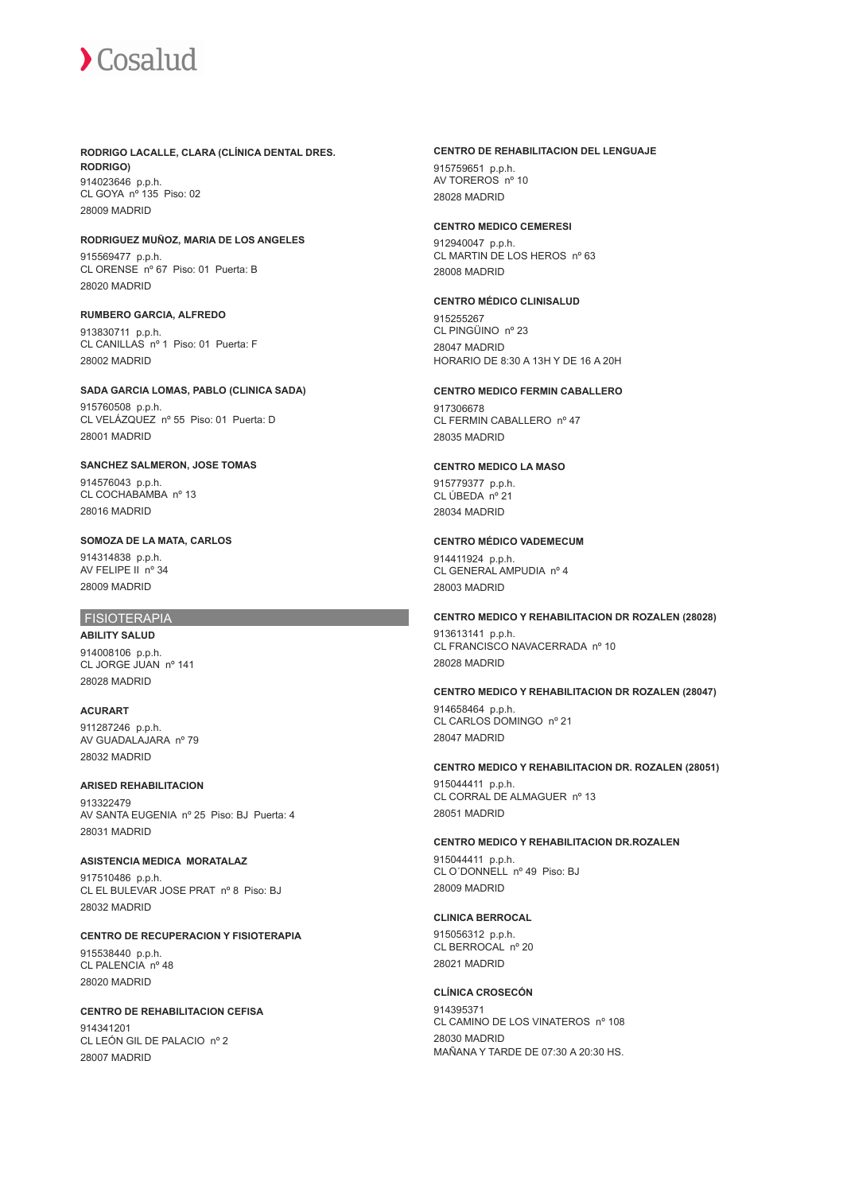#### **RODRIGO LACALLE, CLARA (CLÍNICA DENTAL DRES. RODRIGO)**

914023646 p.p.h. CL GOYA nº 135 Piso: 02 28009 MADRID

### **RODRIGUEZ MUÑOZ, MARIA DE LOS ANGELES**

915569477 p.p.h. CL ORENSE nº 67 Piso: 01 Puerta: B 28020 MADRID

#### **RUMBERO GARCIA, ALFREDO**

913830711 p.p.h. CL CANILLAS nº 1 Piso: 01 Puerta: F 28002 MADRID

#### **SADA GARCIA LOMAS, PABLO (CLINICA SADA)**

915760508 p.p.h. CL VELÁZQUEZ nº 55 Piso: 01 Puerta: D 28001 MADRID

#### **SANCHEZ SALMERON, JOSE TOMAS**

914576043 p.p.h. CL COCHABAMBA nº 13 28016 MADRID

### **SOMOZA DE LA MATA, CARLOS**

914314838 p.p.h. AV FELIPE II nº 34 28009 MADRID

#### FISIOTERAPIA

**ABILITY SALUD** 914008106 p.p.h. CL JORGE JUAN nº 141 28028 MADRID

**ACURART** 911287246 p.p.h. AV GUADALAJARA nº 79 28032 MADRID

## **ARISED REHABILITACION**

913322479 AV SANTA EUGENIA nº 25 Piso: BJ Puerta: 4 28031 MADRID

## **ASISTENCIA MEDICA MORATALAZ**

917510486 p.p.h. CL EL BULEVAR JOSE PRAT nº 8 Piso: BJ 28032 MADRID

#### **CENTRO DE RECUPERACION Y FISIOTERAPIA** 915538440 p.p.h. CL PALENCIA nº 48 28020 MADRID

#### **CENTRO DE REHABILITACION CEFISA** 914341201 CL LEÓN GIL DE PALACIO nº 2 28007 MADRID

#### **CENTRO DE REHABILITACION DEL LENGUAJE**

915759651 p.p.h. AV TOREROS nº 10 28028 MADRID

#### **CENTRO MEDICO CEMERESI**

912940047 p.p.h. CL MARTIN DE LOS HEROS nº 63 28008 MADRID

#### **CENTRO MÉDICO CLINISALUD**

915255267 CL PINGÜINO nº 23 28047 MADRID HORARIO DE 8:30 A 13H Y DE 16 A 20H

#### **CENTRO MEDICO FERMIN CABALLERO**

917306678 CL FERMIN CABALLERO nº 47 28035 MADRID

## **CENTRO MEDICO LA MASO**

915779377 p.p.h. CL ÚBEDA nº 21 28034 MADRID

### **CENTRO MÉDICO VADEMECUM**

914411924 p.p.h. CL GENERAL AMPUDIA nº 4 28003 MADRID

#### **CENTRO MEDICO Y REHABILITACION DR ROZALEN (28028)**

913613141 p.p.h. CL FRANCISCO NAVACERRADA nº 10 28028 MADRID

#### **CENTRO MEDICO Y REHABILITACION DR ROZALEN (28047)**

914658464 p.p.h. CL CARLOS DOMINGO nº 21 28047 MADRID

#### **CENTRO MEDICO Y REHABILITACION DR. ROZALEN (28051)**

915044411 p.p.h. CL CORRAL DE ALMAGUER nº 13 28051 MADRID

#### **CENTRO MEDICO Y REHABILITACION DR.ROZALEN**

915044411 p.p.h. CL O´DONNELL nº 49 Piso: BJ 28009 MADRID

#### **CLINICA BERROCAL**

915056312 p.p.h. CL BERROCAL nº 20 28021 MADRID

#### **CLÍNICA CROSECÓN**

914395371 CL CAMINO DE LOS VINATEROS nº 108 28030 MADRID MAÑANA Y TARDE DE 07:30 A 20:30 HS.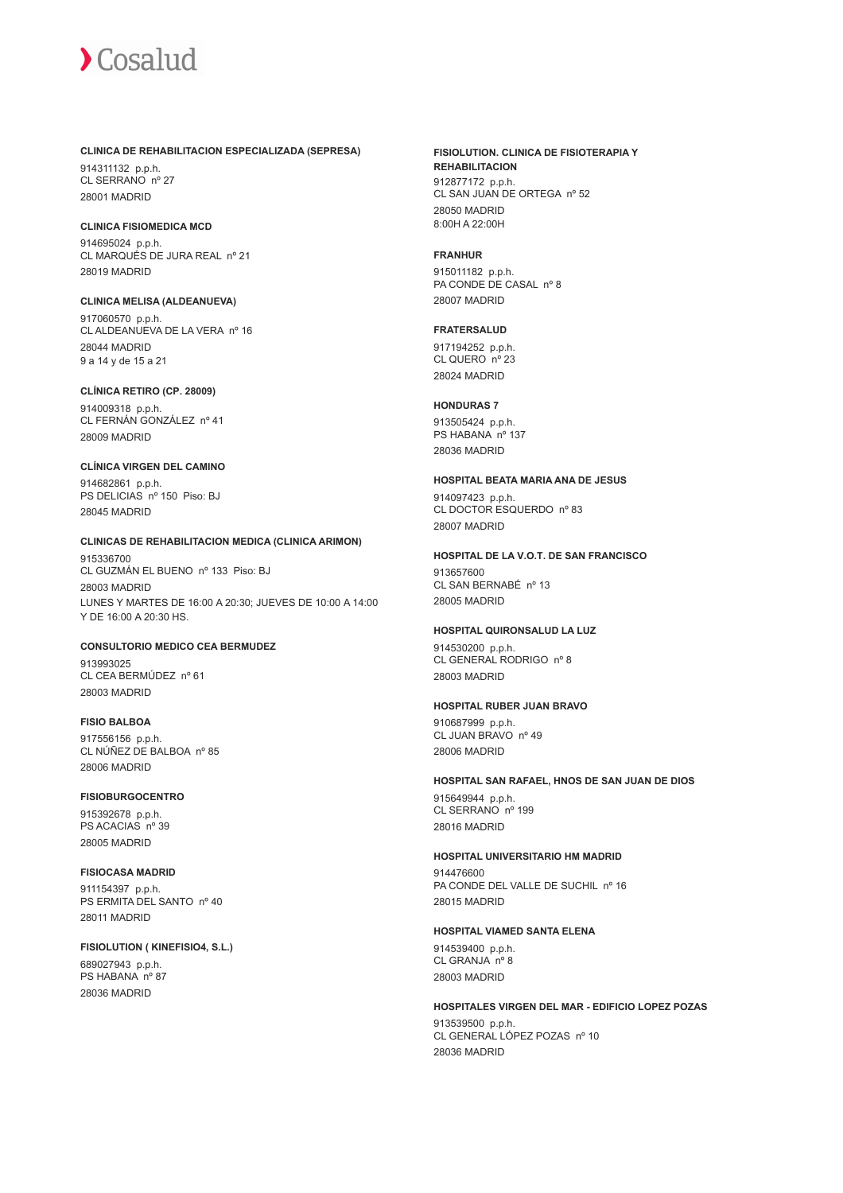#### **CLINICA DE REHABILITACION ESPECIALIZADA (SEPRESA)**

914311132 p.p.h. CL SERRANO nº 27 28001 MADRID

#### **CLINICA FISIOMEDICA MCD**

914695024 p.p.h. CL MARQUÉS DE JURA REAL nº 21 28019 MADRID

## **CLINICA MELISA (ALDEANUEVA)**

917060570 p.p.h. CL ALDEANUEVA DE LA VERA nº 16 28044 MADRID 9 a 14 y de 15 a 21

#### **CLÍNICA RETIRO (CP. 28009)**

914009318 p.p.h. CL FERNÁN GONZÁLEZ nº 41 28009 MADRID

## **CLÍNICA VIRGEN DEL CAMINO**

914682861 p.p.h. PS DELICIAS nº 150 Piso: BJ 28045 MADRID

### **CLINICAS DE REHABILITACION MEDICA (CLINICA ARIMON)**

915336700 CL GUZMÁN EL BUENO nº 133 Piso: BJ 28003 MADRID LUNES Y MARTES DE 16:00 A 20:30; JUEVES DE 10:00 A 14:00 Y DE 16:00 A 20:30 HS.

#### **CONSULTORIO MEDICO CEA BERMUDEZ** 913993025 CL CEA BERMÚDEZ nº 61

28003 MADRID

## **FISIO BALBOA**

917556156 p.p.h. CL NÚÑEZ DE BALBOA nº 85 28006 MADRID

## **FISIOBURGOCENTRO** 915392678 p.p.h. PS ACACIAS nº 39

28005 MADRID

#### **FISIOCASA MADRID**

911154397 p.p.h. PS ERMITA DEL SANTO nº 40 28011 MADRID

#### **FISIOLUTION ( KINEFISIO4, S.L.)**

689027943 p.p.h. PS HABANA nº 87 28036 MADRID

#### **FISIOLUTION. CLINICA DE FISIOTERAPIA Y REHABILITACION**

912877172 p.p.h. CL SAN JUAN DE ORTEGA nº 52 28050 MADRID 8:00H A 22:00H

### **FRANHUR**

915011182 p.p.h. PA CONDE DE CASAL nº 8 28007 MADRID

#### **FRATERSALUD**

917194252 p.p.h. CL QUERO nº 23 28024 MADRID

#### **HONDURAS 7**

913505424 p.p.h. PS HABANA nº 137 28036 MADRID

#### **HOSPITAL BEATA MARIA ANA DE JESUS**

914097423 p.p.h. CL DOCTOR ESQUERDO nº 83 28007 MADRID

#### **HOSPITAL DE LA V.O.T. DE SAN FRANCISCO**

913657600 CL SAN BERNABÉ nº 13 28005 MADRID

#### **HOSPITAL QUIRONSALUD LA LUZ**

914530200 p.p.h. CL GENERAL RODRIGO nº 8 28003 MADRID

#### **HOSPITAL RUBER JUAN BRAVO**

910687999 p.p.h. CL JUAN BRAVO nº 49 28006 MADRID

#### **HOSPITAL SAN RAFAEL, HNOS DE SAN JUAN DE DIOS**

915649944 p.p.h. CL SERRANO nº 199 28016 MADRID

#### **HOSPITAL UNIVERSITARIO HM MADRID**

914476600 PA CONDE DEL VALLE DE SUCHIL nº 16 28015 MADRID

#### **HOSPITAL VIAMED SANTA ELENA**

914539400 p.p.h. CL GRANJA nº 8 28003 MADRID

#### **HOSPITALES VIRGEN DEL MAR - EDIFICIO LOPEZ POZAS**

913539500 p.p.h. CL GENERAL LÓPEZ POZAS nº 10 28036 MADRID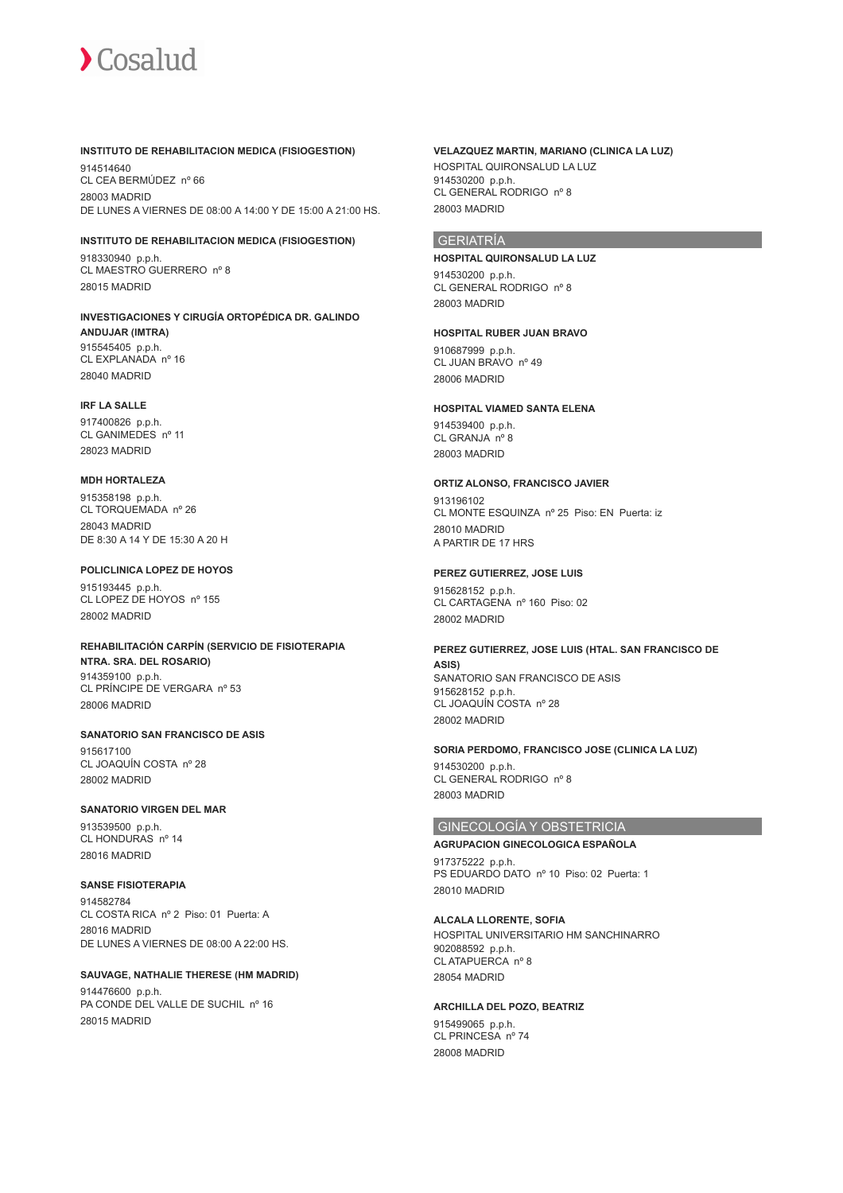

#### **INSTITUTO DE REHABILITACION MEDICA (FISIOGESTION)**

914514640 CL CEA BERMÚDEZ nº 66 28003 MADRID DE LUNES A VIERNES DE 08:00 A 14:00 Y DE 15:00 A 21:00 HS.

#### **INSTITUTO DE REHABILITACION MEDICA (FISIOGESTION)**

918330940 p.p.h. CL MAESTRO GUERRERO nº 8 28015 MADRID

#### **INVESTIGACIONES Y CIRUGÍA ORTOPÉDICA DR. GALINDO ANDUJAR (IMTRA)** 915545405 p.p.h.

CL EXPLANADA nº 16 28040 MADRID

#### **IRF LA SALLE**

917400826 p.p.h. CL GANIMEDES nº 11 28023 MADRID

#### **MDH HORTALEZA**

915358198 p.p.h. CL TORQUEMADA nº 26 28043 MADRID DE 8:30 A 14 Y DE 15:30 A 20 H

#### **POLICLINICA LOPEZ DE HOYOS**

915193445 p.p.h. CL LOPEZ DE HOYOS nº 155 28002 MADRID

#### **REHABILITACIÓN CARPÍN (SERVICIO DE FISIOTERAPIA NTRA. SRA. DEL ROSARIO)** 914359100 p.p.h.

CL PRÍNCIPE DE VERGARA nº 53 28006 MADRID

**SANATORIO SAN FRANCISCO DE ASIS** 915617100 CL JOAQUÍN COSTA nº 28 28002 MADRID

#### **SANATORIO VIRGEN DEL MAR**

913539500 p.p.h. CL HONDURAS nº 14 28016 MADRID

#### **SANSE FISIOTERAPIA**

914582784 CL COSTA RICA nº 2 Piso: 01 Puerta: A 28016 MADRID DE LUNES A VIERNES DE 08:00 A 22:00 HS.

#### **SAUVAGE, NATHALIE THERESE (HM MADRID)**

914476600 p.p.h. PA CONDE DEL VALLE DE SUCHIL nº 16 28015 MADRID

#### **VELAZQUEZ MARTIN, MARIANO (CLINICA LA LUZ)**

HOSPITAL QUIRONSALUD LA LUZ 914530200 p.p.h. CL GENERAL RODRIGO nº 8 28003 MADRID

## GERIATRÍA

#### **HOSPITAL QUIRONSALUD LA LUZ**

914530200 p.p.h. CL GENERAL RODRIGO nº 8 28003 MADRID

#### **HOSPITAL RUBER JUAN BRAVO**

910687999 p.p.h. CL JUAN BRAVO nº 49 28006 MADRID

#### **HOSPITAL VIAMED SANTA ELENA**

914539400 p.p.h. CL GRANJA nº 8 28003 MADRID

#### **ORTIZ ALONSO, FRANCISCO JAVIER**

913196102 CL MONTE ESQUINZA nº 25 Piso: EN Puerta: iz 28010 MADRID A PARTIR DE 17 HRS

#### **PEREZ GUTIERREZ, JOSE LUIS**

915628152 p.p.h. CL CARTAGENA nº 160 Piso: 02 28002 MADRID

#### **PEREZ GUTIERREZ, JOSE LUIS (HTAL. SAN FRANCISCO DE ASIS)** SANATORIO SAN FRANCISCO DE ASIS 915628152 p.p.h. CL JOAQUÍN COSTA nº 28 28002 MADRID

### **SORIA PERDOMO, FRANCISCO JOSE (CLINICA LA LUZ)** 914530200 p.p.h.

CL GENERAL RODRIGO nº 8 28003 MADRID

### GINECOLOGÍA Y OBSTETRICIA

#### **AGRUPACION GINECOLOGICA ESPAÑOLA** 917375222 p.p.h. PS EDUARDO DATO nº 10 Piso: 02 Puerta: 1 28010 MADRID

**ALCALA LLORENTE, SOFIA** HOSPITAL UNIVERSITARIO HM SANCHINARRO 902088592 p.p.h. CL ATAPUERCA nº 8

28054 MADRID

#### **ARCHILLA DEL POZO, BEATRIZ**

915499065 p.p.h. CL PRINCESA nº 74 28008 MADRID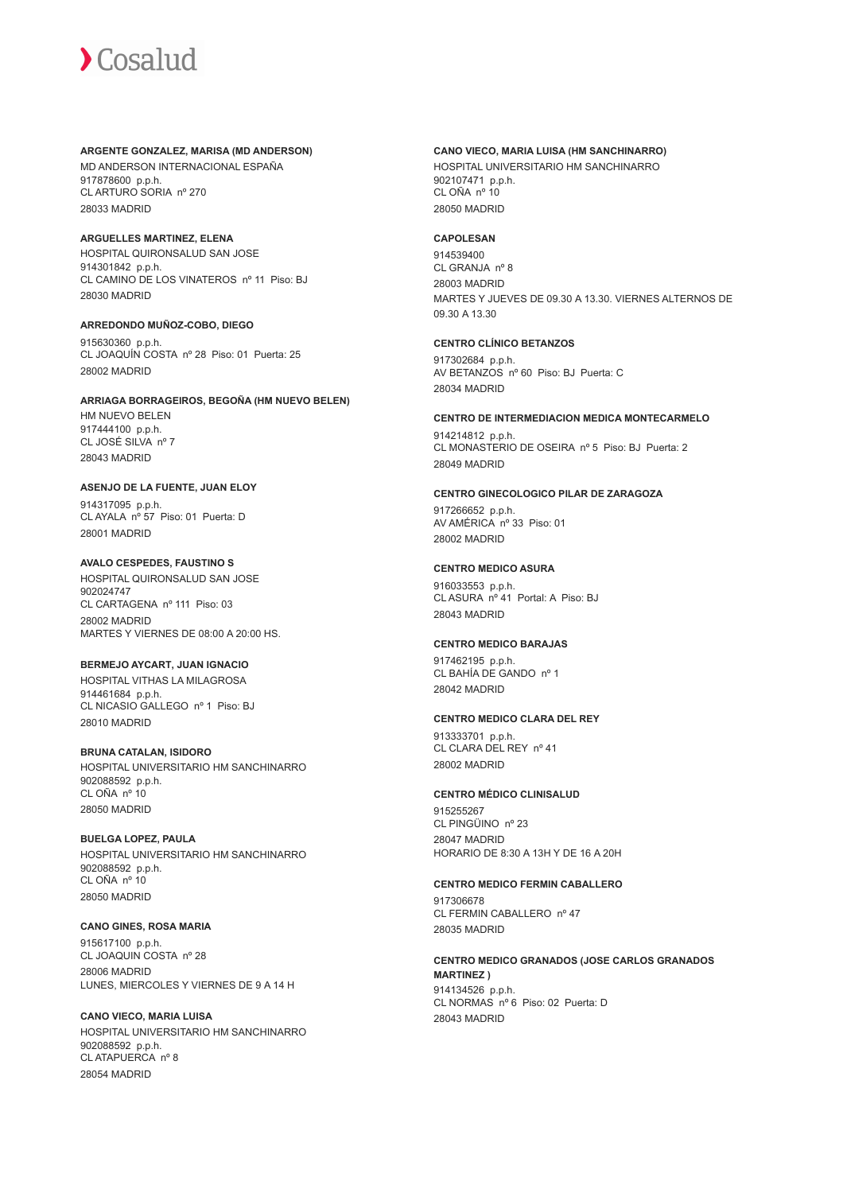#### **ARGENTE GONZALEZ, MARISA (MD ANDERSON)**

MD ANDERSON INTERNACIONAL ESPAÑA 917878600 p.p.h. CL ARTURO SORIA nº 270 28033 MADRID

### **ARGUELLES MARTINEZ, ELENA**

HOSPITAL QUIRONSALUD SAN JOSE 914301842 p.p.h. CL CAMINO DE LOS VINATEROS nº 11 Piso: BJ 28030 MADRID

## **ARREDONDO MUÑOZ-COBO, DIEGO**

915630360 p.p.h. CL JOAQUÍN COSTA nº 28 Piso: 01 Puerta: 25 28002 MADRID

## **ARRIAGA BORRAGEIROS, BEGOÑA (HM NUEVO BELEN)** HM NUEVO BELEN 917444100 p.p.h.

CL JOSÉ SILVA nº 7 28043 MADRID

#### **ASENJO DE LA FUENTE, JUAN ELOY**

914317095 p.p.h. CL AYALA nº 57 Piso: 01 Puerta: D 28001 MADRID

### **AVALO CESPEDES, FAUSTINO S**

HOSPITAL QUIRONSALUD SAN JOSE 902024747 CL CARTAGENA nº 111 Piso: 03 28002 MADRID MARTES Y VIERNES DE 08:00 A 20:00 HS.

#### **BERMEJO AYCART, JUAN IGNACIO**

HOSPITAL VITHAS LA MILAGROSA 914461684 p.p.h. CL NICASIO GALLEGO nº 1 Piso: BJ 28010 MADRID

## **BRUNA CATALAN, ISIDORO**

HOSPITAL UNIVERSITARIO HM SANCHINARRO 902088592 p.p.h. CL OÑA nº 10 28050 MADRID

#### **BUELGA LOPEZ, PAULA**

HOSPITAL UNIVERSITARIO HM SANCHINARRO 902088592 p.p.h. CL OÑA nº 10 28050 MADRID

#### **CANO GINES, ROSA MARIA**

915617100 p.p.h. CL JOAQUIN COSTA nº 28 28006 MADRID LUNES, MIERCOLES Y VIERNES DE 9 A 14 H

#### **CANO VIECO, MARIA LUISA** HOSPITAL UNIVERSITARIO HM SANCHINARRO 902088592 p.p.h. CL ATAPUERCA nº 8 28054 MADRID

#### **CANO VIECO, MARIA LUISA (HM SANCHINARRO)**

HOSPITAL UNIVERSITARIO HM SANCHINARRO 902107471 p.p.h. CL OÑA nº 10 28050 MADRID

### **CAPOLESAN**

914539400 CL GRANJA nº 8 28003 MADRID MARTES Y JUEVES DE 09.30 A 13.30. VIERNES ALTERNOS DE 09.30 A 13.30

#### **CENTRO CLÍNICO BETANZOS**

917302684 p.p.h. AV BETANZOS nº 60 Piso: BJ Puerta: C 28034 MADRID

### **CENTRO DE INTERMEDIACION MEDICA MONTECARMELO**

914214812 p.p.h. CL MONASTERIO DE OSEIRA nº 5 Piso: BJ Puerta: 2 28049 MADRID

### **CENTRO GINECOLOGICO PILAR DE ZARAGOZA**

917266652 p.p.h. AV AMÉRICA nº 33 Piso: 01 28002 MADRID

### **CENTRO MEDICO ASURA**

916033553 p.p.h. CL ASURA nº 41 Portal: A Piso: BJ 28043 MADRID

#### **CENTRO MEDICO BARAJAS**

917462195 p.p.h. CL BAHÍA DE GANDO nº 1 28042 MADRID

#### **CENTRO MEDICO CLARA DEL REY**

913333701 p.p.h. CL CLARA DEL REY nº 41 28002 MADRID

## **CENTRO MÉDICO CLINISALUD**

915255267 CL PINGÜINO nº 23 28047 MADRID HORARIO DE 8:30 A 13H Y DE 16 A 20H

#### **CENTRO MEDICO FERMIN CABALLERO**

917306678 CL FERMIN CABALLERO nº 47 28035 MADRID

**CENTRO MEDICO GRANADOS (JOSE CARLOS GRANADOS MARTINEZ )** 914134526 p.p.h. CL NORMAS nº 6 Piso: 02 Puerta: D 28043 MADRID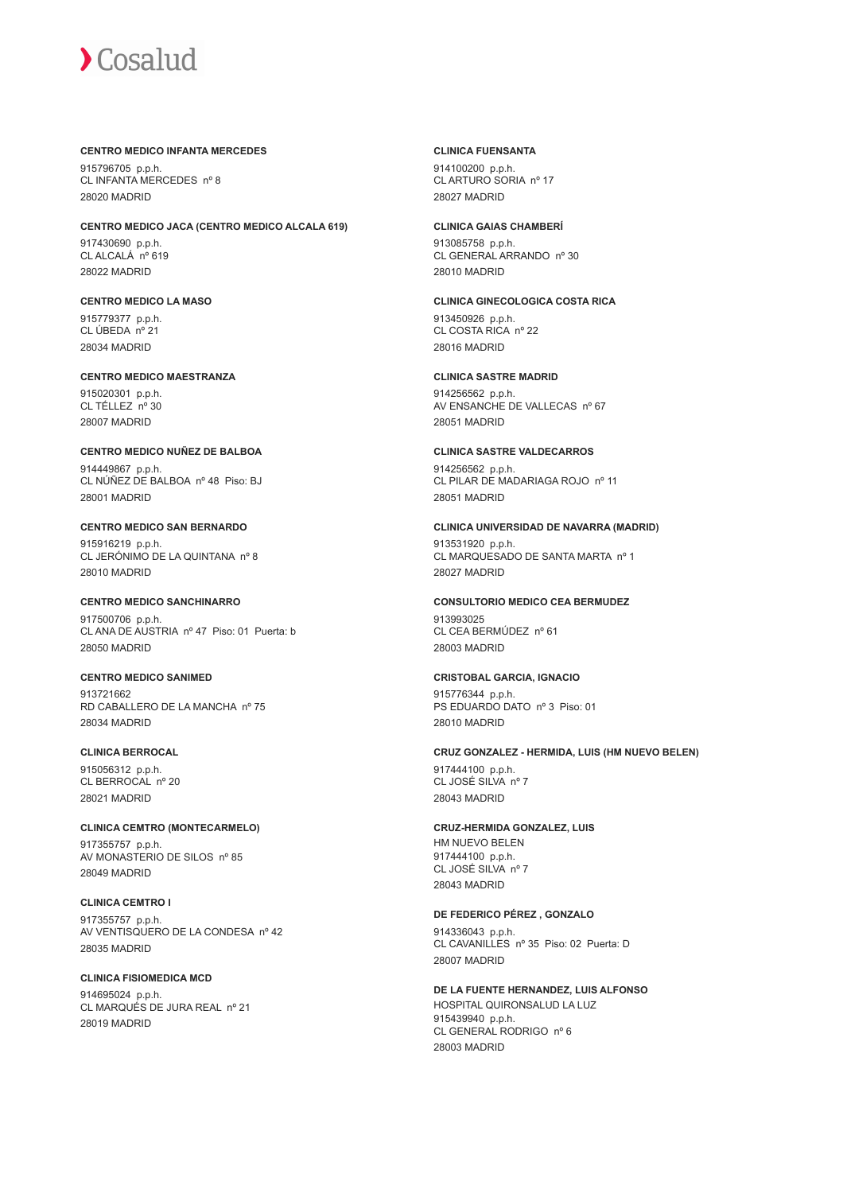#### **CENTRO MEDICO INFANTA MERCEDES**

915796705 p.p.h. CL INFANTA MERCEDES nº 8 28020 MADRID

#### **CENTRO MEDICO JACA (CENTRO MEDICO ALCALA 619)**

917430690 p.p.h. CL ALCALÁ nº 619 28022 MADRID

#### **CENTRO MEDICO LA MASO**

915779377 p.p.h. CL ÚBEDA nº 21 28034 MADRID

## **CENTRO MEDICO MAESTRANZA**

915020301 p.p.h. CL TÉLLEZ nº 30 28007 MADRID

## **CENTRO MEDICO NUÑEZ DE BALBOA**

914449867 p.p.h. CL NÚÑEZ DE BALBOA nº 48 Piso: BJ 28001 MADRID

#### **CENTRO MEDICO SAN BERNARDO**

915916219 p.p.h. CL JERÓNIMO DE LA QUINTANA nº 8 28010 MADRID

#### **CENTRO MEDICO SANCHINARRO**

917500706 p.p.h. CL ANA DE AUSTRIA nº 47 Piso: 01 Puerta: b 28050 MADRID

#### **CENTRO MEDICO SANIMED**

913721662 RD CABALLERO DE LA MANCHA nº 75 28034 MADRID

#### **CLINICA BERROCAL**

915056312 p.p.h. CL BERROCAL nº 20 28021 MADRID

### **CLINICA CEMTRO (MONTECARMELO)**

917355757 p.p.h. AV MONASTERIO DE SILOS nº 85 28049 MADRID

#### **CLINICA CEMTRO I** 917355757 p.p.h. AV VENTISQUERO DE LA CONDESA nº 42 28035 MADRID

#### **CLINICA FISIOMEDICA MCD**

914695024 p.p.h. CL MARQUÉS DE JURA REAL nº 21 28019 MADRID

#### **CLINICA FUENSANTA**

914100200 p.p.h. CL ARTURO SORIA nº 17 28027 MADRID

#### **CLINICA GAIAS CHAMBERÍ**

913085758 p.p.h. CL GENERAL ARRANDO nº 30 28010 MADRID

#### **CLINICA GINECOLOGICA COSTA RICA** 913450926 p.p.h. CL COSTA RICA nº 22 28016 MADRID

**CLINICA SASTRE MADRID** 914256562 p.p.h. AV ENSANCHE DE VALLECAS nº 67 28051 MADRID

## **CLINICA SASTRE VALDECARROS**

914256562 p.p.h. CL PILAR DE MADARIAGA ROJO nº 11 28051 MADRID

#### **CLINICA UNIVERSIDAD DE NAVARRA (MADRID)**

913531920 p.p.h. CL MARQUESADO DE SANTA MARTA nº 1 28027 MADRID

#### **CONSULTORIO MEDICO CEA BERMUDEZ** 913993025

CL CEA BERMÚDEZ nº 61 28003 MADRID

#### **CRISTOBAL GARCIA, IGNACIO**

915776344 p.p.h. PS EDUARDO DATO nº 3 Piso: 01 28010 MADRID

#### **CRUZ GONZALEZ - HERMIDA, LUIS (HM NUEVO BELEN)**

917444100 p.p.h. CL JOSÉ SILVA nº 7 28043 MADRID

### **CRUZ-HERMIDA GONZALEZ, LUIS**

HM NUEVO BELEN 917444100 p.p.h. CL JOSÉ SILVA nº 7 28043 MADRID

## **DE FEDERICO PÉREZ , GONZALO**

914336043 p.p.h. CL CAVANILLES nº 35 Piso: 02 Puerta: D 28007 MADRID

**DE LA FUENTE HERNANDEZ, LUIS ALFONSO** HOSPITAL QUIRONSALUD LA LUZ 915439940 p.p.h. CL GENERAL RODRIGO nº 6 28003 MADRID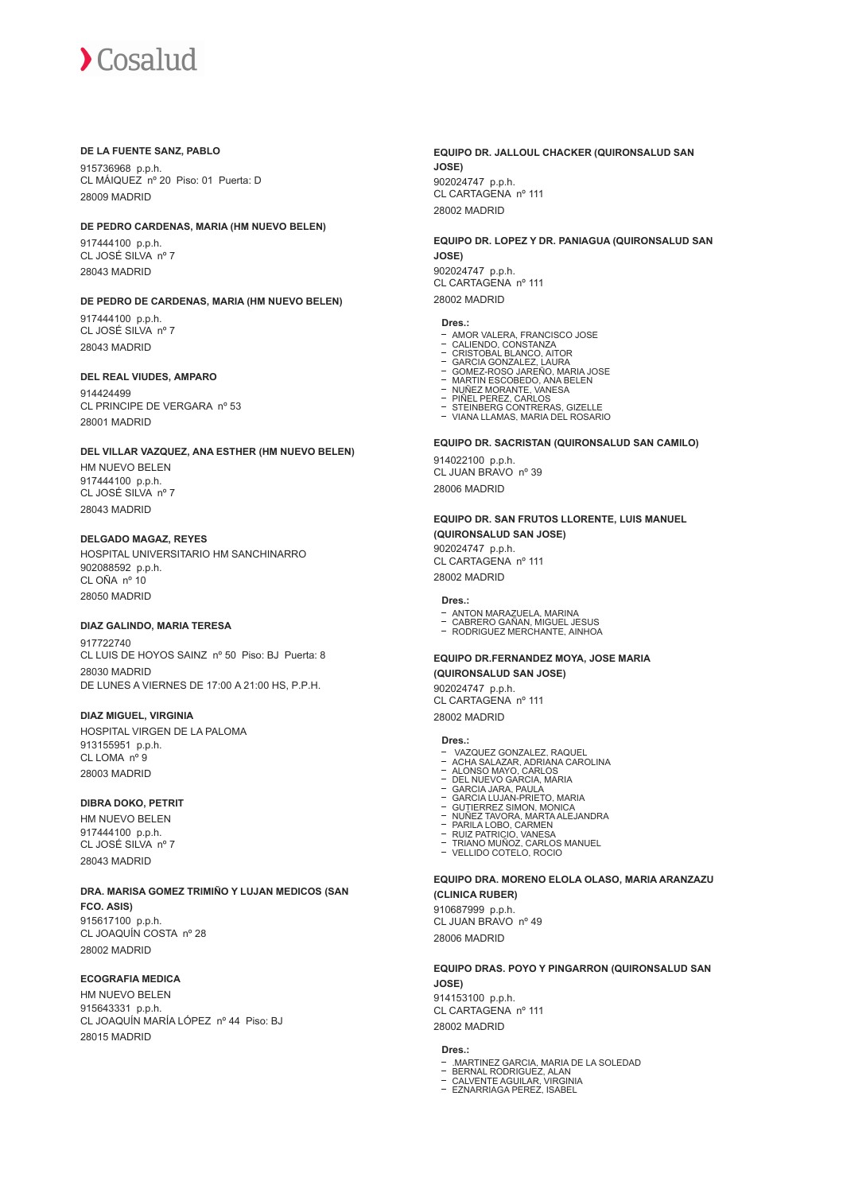#### **DE LA FUENTE SANZ, PABLO**

915736968 p.p.h. CL MÁIQUEZ nº 20 Piso: 01 Puerta: D 28009 MADRID

#### **DE PEDRO CARDENAS, MARIA (HM NUEVO BELEN)**

917444100 p.p.h. CL JOSÉ SILVA nº 7 28043 MADRID

#### **DE PEDRO DE CARDENAS, MARIA (HM NUEVO BELEN)**

917444100 p.p.h. CL JOSÉ SILVA nº 7 28043 MADRID

#### **DEL REAL VIUDES, AMPARO**

914424499 CL PRINCIPE DE VERGARA nº 53 28001 MADRID

## **DEL VILLAR VAZQUEZ, ANA ESTHER (HM NUEVO BELEN)**

HM NUEVO BELEN 917444100 p.p.h. CL JOSÉ SILVA nº 7 28043 MADRID

#### **DELGADO MAGAZ, REYES**

HOSPITAL UNIVERSITARIO HM SANCHINARRO 902088592 p.p.h. CL OÑA nº 10 28050 MADRID

#### **DIAZ GALINDO, MARIA TERESA**

917722740 CL LUIS DE HOYOS SAINZ nº 50 Piso: BJ Puerta: 8 28030 MADRID DE LUNES A VIERNES DE 17:00 A 21:00 HS, P.P.H.

#### **DIAZ MIGUEL, VIRGINIA**

HOSPITAL VIRGEN DE LA PALOMA 913155951 p.p.h.  $CI$  LOMA  $n^{\circ}$  9 28003 MADRID

#### **DIBRA DOKO, PETRIT**

HM NUEVO BELEN 917444100 p.p.h. CL JOSÉ SILVA nº 7 28043 MADRID

#### **DRA. MARISA GOMEZ TRIMIÑO Y LUJAN MEDICOS (SAN FCO. ASIS)**

915617100 p.p.h. CL JOAQUÍN COSTA nº 28 28002 MADRID

#### **ECOGRAFIA MEDICA**

HM NUEVO BELEN 915643331 p.p.h. CL JOAQUÍN MARÍA LÓPEZ nº 44 Piso: BJ 28015 MADRID

#### **EQUIPO DR. JALLOUL CHACKER (QUIRONSALUD SAN JOSE)** 902024747 p.p.h. CL CARTAGENA nº 111 28002 MADRID

## **EQUIPO DR. LOPEZ Y DR. PANIAGUA (QUIRONSALUD SAN JOSE)** 902024747 p.p.h.

CL CARTAGENA nº 111 28002 MADRID

## **Dres.:**

- 
- 
- AMOR VALERA. FRANCISCO JOSE<br>CALIENDO. CONSTANZA<br>CRISTOBAL BLANCO. AITOR<br>GARCIA GONZALEZ, LAURA
- GOMEZ-ROSO JAREÑO, MARIA JOSE MARTIN ESCOBEDO, ANA BELEN NUÑEZ MORANTE, VANESA PIÑEL PEREZ, CARLOS STEINBERG CONTRERAS, GIZELLE
- 
- 
- 
- VIANA LLAMAS, MARIA DEL ROSARIO

#### **EQUIPO DR. SACRISTAN (QUIRONSALUD SAN CAMILO)**

914022100 p.p.h. CL JUAN BRAVO nº 39 28006 MADRID

#### **EQUIPO DR. SAN FRUTOS LLORENTE, LUIS MANUEL (QUIRONSALUD SAN JOSE)**

902024747 p.p.h. CL CARTAGENA nº 111 28002 MADRID

#### **Dres.:**

- 
- ANTON MARAZUELA, MARINA CABRERO GAÑAN, MIGUEL JESUS RODRIGUEZ MERCHANTE, AINHOA
- 

#### **EQUIPO DR.FERNANDEZ MOYA, JOSE MARIA (QUIRONSALUD SAN JOSE)**

902024747 p.p.h.

CL CARTAGENA nº 111 28002 MADRID

#### **Dres.:**

- 
- VAZQUEZ GONZALEZ, RAQUEL ACHA SALAZAR, ADRIANA CAROLINA ALONSO MAYO, CARLOS DEL NUEVO GARCIA, MARIA GARCIA JARA, PAULA GARCIA LUJAN-PRIETO, MARIA
- 
- 
- 
- GUTIERREZ SIMON, MONICA NUÑEZ TAVORA, MARTA ALEJANDRA
- 
- PARILA LOBO, CARMEN RUIZ PATRICIO, VANESA TRIANO MUÑOZ, CARLOS MANUEL
- VELLIDO COTELO, ROCIO

#### **EQUIPO DRA. MORENO ELOLA OLASO, MARIA ARANZAZU (CLINICA RUBER)**

910687999 p.p.h.

CL JUAN BRAVO nº 49 28006 MADRID

#### **EQUIPO DRAS. POYO Y PINGARRON (QUIRONSALUD SAN JOSE)**

914153100 p.p.h. CL CARTAGENA nº 111 28002 MADRID

#### **Dres.:**

- .MARTINEZ GARCIA. MARIA DE LA SOLEDAD<br>BERNAL RODRIGUEZ, ALAN<br>CALVENTE AGUILAR, VIRGINIA<br>EZNARRIAGA PEREZ, ISABEL
- 
-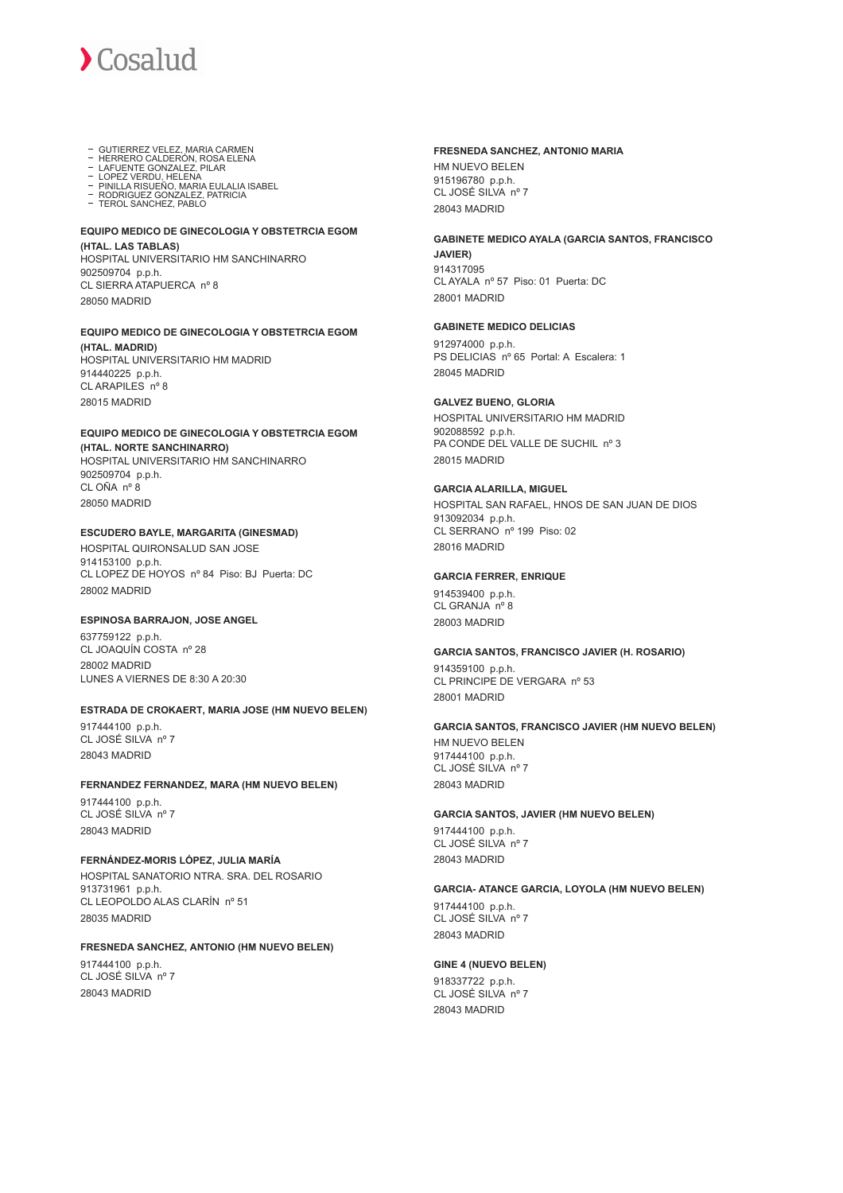

- 
- GUTIERREZ VELEZ, MARIA CARMEN HERRERO CALDERÓN, ROSA ELENA LAFUENTE GONZALEZ, PILAR
- 
- LOPEZ VERDU, HELENA<br>PINILLA RISUEÑO. MARIA EULALIA ISABEL<br>RODRIGUEZ GONZALEZ. PATRICIA<br>TEROL SANCHEZ, PABLO
- 

#### **EQUIPO MEDICO DE GINECOLOGIA Y OBSTETRCIA EGOM (HTAL. LAS TABLAS)**

HOSPITAL UNIVERSITARIO HM SANCHINARRO 902509704 p.p.h. CL SIERRA ATAPUERCA nº 8 28050 MADRID

#### **EQUIPO MEDICO DE GINECOLOGIA Y OBSTETRCIA EGOM (HTAL. MADRID)**

HOSPITAL UNIVERSITARIO HM MADRID 914440225 p.p.h. CL ARAPILES nº 8 28015 MADRID

#### **EQUIPO MEDICO DE GINECOLOGIA Y OBSTETRCIA EGOM (HTAL. NORTE SANCHINARRO)**

HOSPITAL UNIVERSITARIO HM SANCHINARRO 902509704 p.p.h. CL OÑA nº 8 28050 MADRID

#### **ESCUDERO BAYLE, MARGARITA (GINESMAD)**

HOSPITAL QUIRONSALUD SAN JOSE 914153100 p.p.h. CL LOPEZ DE HOYOS nº 84 Piso: BJ Puerta: DC 28002 MADRID

#### **ESPINOSA BARRAJON, JOSE ANGEL**

637759122 p.p.h. CL JOAQUÍN COSTA nº 28 28002 MADRID LUNES A VIERNES DE 8:30 A 20:30

#### **ESTRADA DE CROKAERT, MARIA JOSE (HM NUEVO BELEN)**

917444100 p.p.h. CL JOSÉ SILVA nº 7 28043 MADRID

#### **FERNANDEZ FERNANDEZ, MARA (HM NUEVO BELEN)**

917444100 p.p.h. CL JOSÉ SILVA nº 7 28043 MADRID

#### **FERNÁNDEZ-MORIS LÓPEZ, JULIA MARÍA**

HOSPITAL SANATORIO NTRA. SRA. DEL ROSARIO 913731961 p.p.h. CL LEOPOLDO ALAS CLARÍN nº 51 28035 MADRID

#### **FRESNEDA SANCHEZ, ANTONIO (HM NUEVO BELEN)**

917444100 p.p.h. CL JOSÉ SILVA nº 7 28043 MADRID

### **FRESNEDA SANCHEZ, ANTONIO MARIA**

HM NUEVO BELEN 915196780 p.p.h. CL JOSÉ SILVA nº 7 28043 MADRID

## **GABINETE MEDICO AYALA (GARCIA SANTOS, FRANCISCO**

**JAVIER)** 914317095 CL AYALA nº 57 Piso: 01 Puerta: DC 28001 MADRID

#### **GABINETE MEDICO DELICIAS**

912974000 p.p.h. PS DELICIAS nº 65 Portal: A Escalera: 1 28045 MADRID

#### **GALVEZ BUENO, GLORIA**

HOSPITAL UNIVERSITARIO HM MADRID 902088592 p.p.h. PA CONDE DEL VALLE DE SUCHIL nº 3 28015 MADRID

#### **GARCIA ALARILLA, MIGUEL**

HOSPITAL SAN RAFAEL, HNOS DE SAN JUAN DE DIOS 913092034 p.p.h. CL SERRANO nº 199 Piso: 02 28016 MADRID

#### **GARCIA FERRER, ENRIQUE**

914539400 p.p.h. CL GRANJA nº 8 28003 MADRID

#### **GARCIA SANTOS, FRANCISCO JAVIER (H. ROSARIO)**

914359100 p.p.h. CL PRINCIPE DE VERGARA nº 53 28001 MADRID

#### **GARCIA SANTOS, FRANCISCO JAVIER (HM NUEVO BELEN)** HM NUEVO BELEN 917444100 p.p.h. CL JOSÉ SILVA nº 7 28043 MADRID

#### **GARCIA SANTOS, JAVIER (HM NUEVO BELEN)**

917444100 p.p.h. CL JOSÉ SILVA nº 7 28043 MADRID

#### **GARCIA- ATANCE GARCIA, LOYOLA (HM NUEVO BELEN)**

917444100 p.p.h. CL JOSÉ SILVA nº 7 28043 MADRID

#### **GINE 4 (NUEVO BELEN)**

918337722 p.p.h. CL JOSÉ SILVA nº 7 28043 MADRID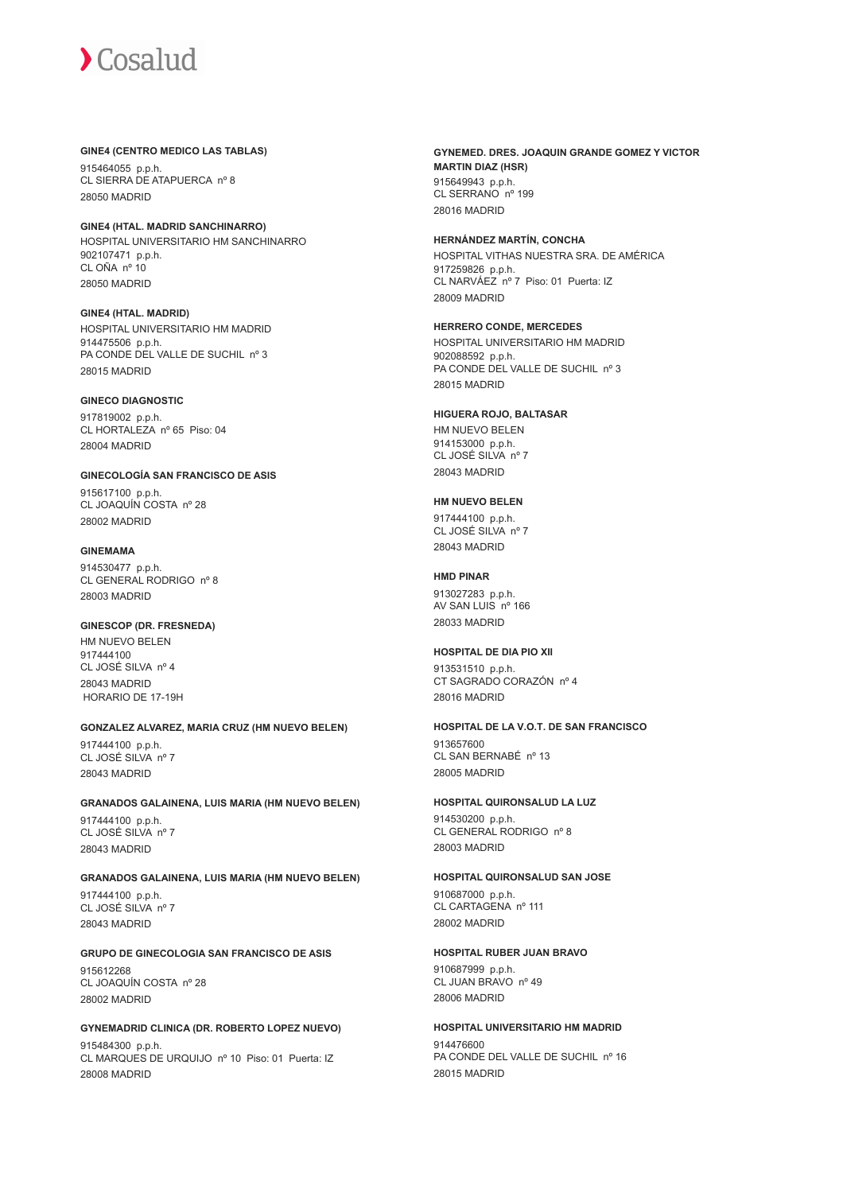#### **GINE4 (CENTRO MEDICO LAS TABLAS)**

915464055 p.p.h. CL SIERRA DE ATAPUERCA nº 8 28050 MADRID

**GINE4 (HTAL. MADRID SANCHINARRO)** HOSPITAL UNIVERSITARIO HM SANCHINARRO 902107471 p.p.h. CL OÑA nº 10 28050 MADRID

**GINE4 (HTAL. MADRID)** HOSPITAL UNIVERSITARIO HM MADRID 914475506 p.p.h. PA CONDE DEL VALLE DE SUCHIL nº 3 28015 MADRID

#### **GINECO DIAGNOSTIC**

917819002 p.p.h. CL HORTALEZA nº 65 Piso: 04 28004 MADRID

**GINECOLOGÍA SAN FRANCISCO DE ASIS** 915617100 p.p.h. CL JOAQUÍN COSTA nº 28 28002 MADRID

### **GINEMAMA**

914530477 p.p.h. CL GENERAL RODRIGO nº 8 28003 MADRID

#### **GINESCOP (DR. FRESNEDA)**

HM NUEVO BELEN 917444100 CL JOSÉ SILVA nº 4 28043 MADRID HORARIO DE 17-19H

**GONZALEZ ALVAREZ, MARIA CRUZ (HM NUEVO BELEN)**

917444100 p.p.h. CL JOSÉ SILVA nº 7 28043 MADRID

#### **GRANADOS GALAINENA, LUIS MARIA (HM NUEVO BELEN)**

917444100 p.p.h. CL JOSÉ SILVA nº 7 28043 MADRID

#### **GRANADOS GALAINENA, LUIS MARIA (HM NUEVO BELEN)**

917444100 p.p.h. CL JOSÉ SILVA nº 7 28043 MADRID

## **GRUPO DE GINECOLOGIA SAN FRANCISCO DE ASIS**

915612268 CL JOAQUÍN COSTA nº 28 28002 MADRID

#### **GYNEMADRID CLINICA (DR. ROBERTO LOPEZ NUEVO)**

915484300 p.p.h. CL MARQUES DE URQUIJO nº 10 Piso: 01 Puerta: IZ 28008 MADRID

**GYNEMED. DRES. JOAQUIN GRANDE GOMEZ Y VICTOR MARTIN DIAZ (HSR)** 915649943 p.p.h. CL SERRANO<sup>nº</sup> 199 28016 MADRID

#### **HERNÁNDEZ MARTÍN, CONCHA** HOSPITAL VITHAS NUESTRA SRA. DE AMÉRICA

917259826 p.p.h. CL NARVÁEZ nº 7 Piso: 01 Puerta: IZ 28009 MADRID

**HERRERO CONDE, MERCEDES** HOSPITAL UNIVERSITARIO HM MADRID 902088592 p.p.h. PA CONDE DEL VALLE DE SUCHIL nº 3 28015 MADRID

#### **HIGUERA ROJO, BALTASAR**

HM NUEVO BELEN 914153000 p.p.h. CL JOSÉ SILVA nº 7 28043 MADRID

#### **HM NUEVO BELEN**

917444100 p.p.h. CL JOSÉ SILVA nº 7 28043 MADRID

#### **HMD PINAR**

913027283 p.p.h. AV SAN LUIS nº 166 28033 MADRID

#### **HOSPITAL DE DIA PIO XII**

913531510 p.p.h. CT SAGRADO CORAZÓN nº 4 28016 MADRID

#### **HOSPITAL DE LA V.O.T. DE SAN FRANCISCO** 913657600 CL SAN BERNABÉ nº 13 28005 MADRID

#### **HOSPITAL QUIRONSALUD LA LUZ**

914530200 p.p.h. CL GENERAL RODRIGO nº 8 28003 MADRID

#### **HOSPITAL QUIRONSALUD SAN JOSE**

910687000 p.p.h. CL CARTAGENA nº 111 28002 MADRID

#### **HOSPITAL RUBER JUAN BRAVO**

910687999 p.p.h. CL JUAN BRAVO nº 49 28006 MADRID

#### **HOSPITAL UNIVERSITARIO HM MADRID**

914476600 PA CONDE DEL VALLE DE SUCHIL nº 16 28015 MADRID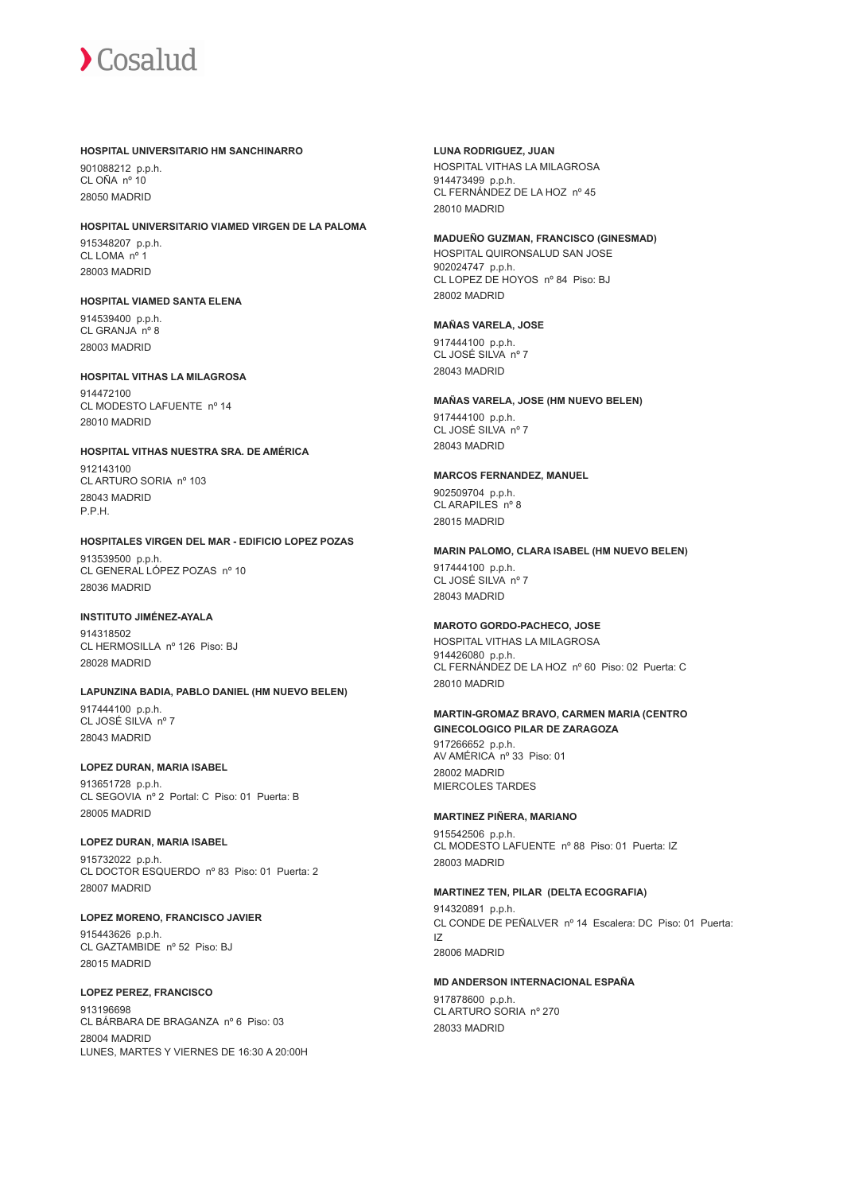

#### **HOSPITAL UNIVERSITARIO HM SANCHINARRO**

901088212 p.p.h. CL OÑA nº 10 28050 MADRID

#### **HOSPITAL UNIVERSITARIO VIAMED VIRGEN DE LA PALOMA**

915348207 p.p.h. CL LOMA<sub>nº1</sub> 28003 MADRID

#### **HOSPITAL VIAMED SANTA ELENA**

914539400 p.p.h. CL GRANJA nº 8 28003 MADRID

#### **HOSPITAL VITHAS LA MILAGROSA**

914472100 CL MODESTO LAFUENTE nº 14 28010 MADRID

#### **HOSPITAL VITHAS NUESTRA SRA. DE AMÉRICA**

912143100 CL ARTURO SORIA nº 103 28043 MADRID P.P.H.

#### **HOSPITALES VIRGEN DEL MAR - EDIFICIO LOPEZ POZAS**

913539500 p.p.h. CL GENERAL LÓPEZ POZAS nº 10 28036 MADRID

#### **INSTITUTO JIMÉNEZ-AYALA**

914318502 CL HERMOSILLA nº 126 Piso: BJ 28028 MADRID

## **LAPUNZINA BADIA, PABLO DANIEL (HM NUEVO BELEN)**

917444100 p.p.h. CL JOSÉ SILVA nº 7 28043 MADRID

### **LOPEZ DURAN, MARIA ISABEL**

913651728 p.p.h. CL SEGOVIA nº 2 Portal: C Piso: 01 Puerta: B 28005 MADRID

#### **LOPEZ DURAN, MARIA ISABEL**

915732022 p.p.h. CL DOCTOR ESQUERDO nº 83 Piso: 01 Puerta: 2 28007 MADRID

**LOPEZ MORENO, FRANCISCO JAVIER** 915443626 p.p.h. CL GAZTAMBIDE nº 52 Piso: BJ 28015 MADRID

#### **LOPEZ PEREZ, FRANCISCO** 913196698 CL BÁRBARA DE BRAGANZA nº 6 Piso: 03 28004 MADRID LUNES, MARTES Y VIERNES DE 16:30 A 20:00H

**LUNA RODRIGUEZ, JUAN** HOSPITAL VITHAS LA MILAGROSA 914473499 p.p.h. CL FERNÁNDEZ DE LA HOZ nº 45 28010 MADRID

#### **MADUEÑO GUZMAN, FRANCISCO (GINESMAD)**

HOSPITAL QUIRONSALUD SAN JOSE 902024747 p.p.h. CL LOPEZ DE HOYOS nº 84 Piso: BJ 28002 MADRID

#### **MAÑAS VARELA, JOSE**

917444100 p.p.h. CL JOSÉ SILVA nº 7 28043 MADRID

## **MAÑAS VARELA, JOSE (HM NUEVO BELEN)**

917444100 p.p.h. CL JOSÉ SILVA nº 7 28043 MADRID

#### **MARCOS FERNANDEZ, MANUEL**

902509704 p.p.h. CL ARAPILES nº 8 28015 MADRID

#### **MARIN PALOMO, CLARA ISABEL (HM NUEVO BELEN)**

917444100 p.p.h. CL JOSÉ SILVA nº 7 28043 MADRID

#### **MAROTO GORDO-PACHECO, JOSE**

HOSPITAL VITHAS LA MILAGROSA 914426080 p.p.h. CL FERNÁNDEZ DE LA HOZ nº 60 Piso: 02 Puerta: C 28010 MADRID

#### **MARTIN-GROMAZ BRAVO, CARMEN MARIA (CENTRO GINECOLOGICO PILAR DE ZARAGOZA**

917266652 p.p.h. AV AMÉRICA nº 33 Piso: 01 28002 MADRID MIERCOLES TARDES

#### **MARTINEZ PIÑERA, MARIANO**

915542506 p.p.h. CL MODESTO LAFUENTE nº 88 Piso: 01 Puerta: IZ 28003 MADRID

#### **MARTINEZ TEN, PILAR (DELTA ECOGRAFIA)**

914320891 p.p.h. CL CONDE DE PEÑALVER nº 14 Escalera: DC Piso: 01 Puerta: IZ 28006 MADRID

#### **MD ANDERSON INTERNACIONAL ESPAÑA**

917878600 p.p.h. CL ARTURO SORIA nº 270 28033 MADRID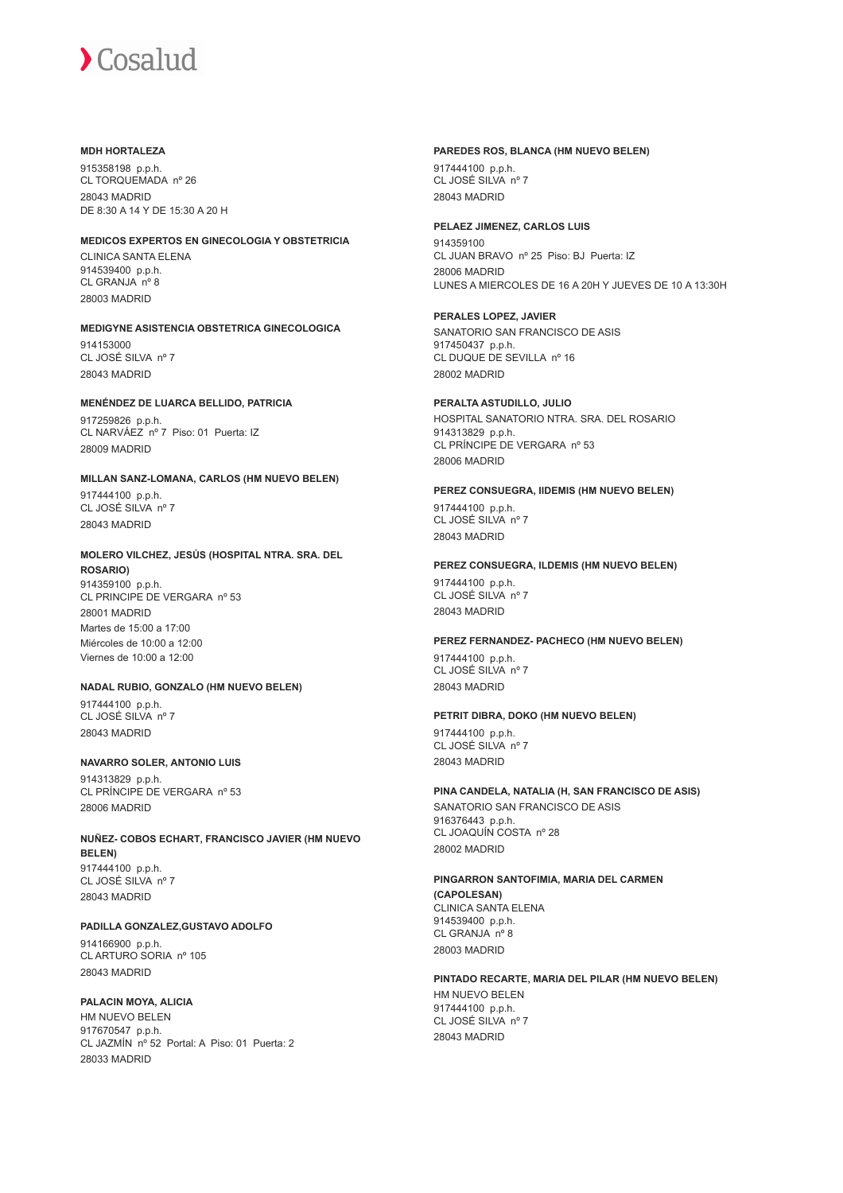#### **MDH HORTALEZA**

915358198 p.p.h. CL TORQUEMADA nº 26 28043 MADRID DE 8:30 A 14 Y DE 15:30 A 20 H

#### **MEDICOS EXPERTOS EN GINECOLOGIA Y OBSTETRICIA**

CLINICA SANTA ELENA 914539400 p.p.h. CL GRANJA nº 8 28003 MADRID

#### **MEDIGYNE ASISTENCIA OBSTETRICA GINECOLOGICA**

914153000 CL JOSÉ SILVA nº 7 28043 MADRID

#### **MENÉNDEZ DE LUARCA BELLIDO, PATRICIA**

917259826 p.p.h. CL NARVÁEZ nº 7 Piso: 01 Puerta: IZ 28009 MADRID

#### **MILLAN SANZ-LOMANA, CARLOS (HM NUEVO BELEN)**

917444100 p.p.h. CL JOSÉ SILVA nº 7 28043 MADRID

#### **MOLERO VILCHEZ, JESÚS (HOSPITAL NTRA. SRA. DEL ROSARIO)**

914359100 p.p.h. CL PRINCIPE DE VERGARA nº 53 28001 MADRID Martes de 15:00 a 17:00 Miércoles de 10:00 a 12:00

Viernes de 10:00 a 12:00

## **NADAL RUBIO, GONZALO (HM NUEVO BELEN)**

917444100 p.p.h. CL JOSÉ SILVA nº 7 28043 MADRID

#### **NAVARRO SOLER, ANTONIO LUIS**

914313829 p.p.h. CL PRÍNCIPE DE VERGARA nº 53 28006 MADRID

## **NUÑEZ- COBOS ECHART, FRANCISCO JAVIER (HM NUEVO BELEN)**

917444100 p.p.h. CL JOSÉ SILVA nº 7 28043 MADRID

### **PADILLA GONZALEZ,GUSTAVO ADOLFO**

914166900 p.p.h. CL ARTURO SORIA nº 105 28043 MADRID

#### **PALACIN MOYA, ALICIA**

HM NUEVO BELEN 917670547 p.p.h. CL JAZMÍN nº 52 Portal: A Piso: 01 Puerta: 2 28033 MADRID

#### **PAREDES ROS, BLANCA (HM NUEVO BELEN)**

917444100 p.p.h. CL JOSÉ SILVA nº 7 28043 MADRID

#### **PELAEZ JIMENEZ, CARLOS LUIS**

914359100 CL JUAN BRAVO nº 25 Piso: BJ Puerta: IZ 28006 MADRID LUNES A MIERCOLES DE 16 A 20H Y JUEVES DE 10 A 13:30H

#### **PERALES LOPEZ, JAVIER**

SANATORIO SAN FRANCISCO DE ASIS 917450437 p.p.h. CL DUQUE DE SEVILLA nº 16 28002 MADRID

#### **PERALTA ASTUDILLO, JULIO**

HOSPITAL SANATORIO NTRA. SRA. DEL ROSARIO 914313829 p.p.h. CL PRÍNCIPE DE VERGARA nº 53 28006 MADRID

#### **PEREZ CONSUEGRA, IIDEMIS (HM NUEVO BELEN)**

917444100 p.p.h. CL JOSÉ SILVA nº 7 28043 MADRID

#### **PEREZ CONSUEGRA, ILDEMIS (HM NUEVO BELEN)**

917444100 p.p.h. CL JOSÉ SILVA nº 7 28043 MADRID

#### **PEREZ FERNANDEZ- PACHECO (HM NUEVO BELEN)**

917444100 p.p.h. CL JOSÉ SILVA nº 7 28043 MADRID

#### **PETRIT DIBRA, DOKO (HM NUEVO BELEN)**

917444100 p.p.h. CL JOSÉ SILVA nº 7 28043 MADRID

## **PINA CANDELA, NATALIA (H, SAN FRANCISCO DE ASIS)** SANATORIO SAN FRANCISCO DE ASIS

916376443 p.p.h. CL JOAQUÍN COSTA nº 28 28002 MADRID

#### **PINGARRON SANTOFIMIA, MARIA DEL CARMEN (CAPOLESAN)** CLINICA SANTA ELENA

914539400 p.p.h. CL GRANJA nº 8 28003 MADRID

#### **PINTADO RECARTE, MARIA DEL PILAR (HM NUEVO BELEN)** HM NUEVO BELEN 917444100 p.p.h. CL JOSÉ SILVA nº 7 28043 MADRID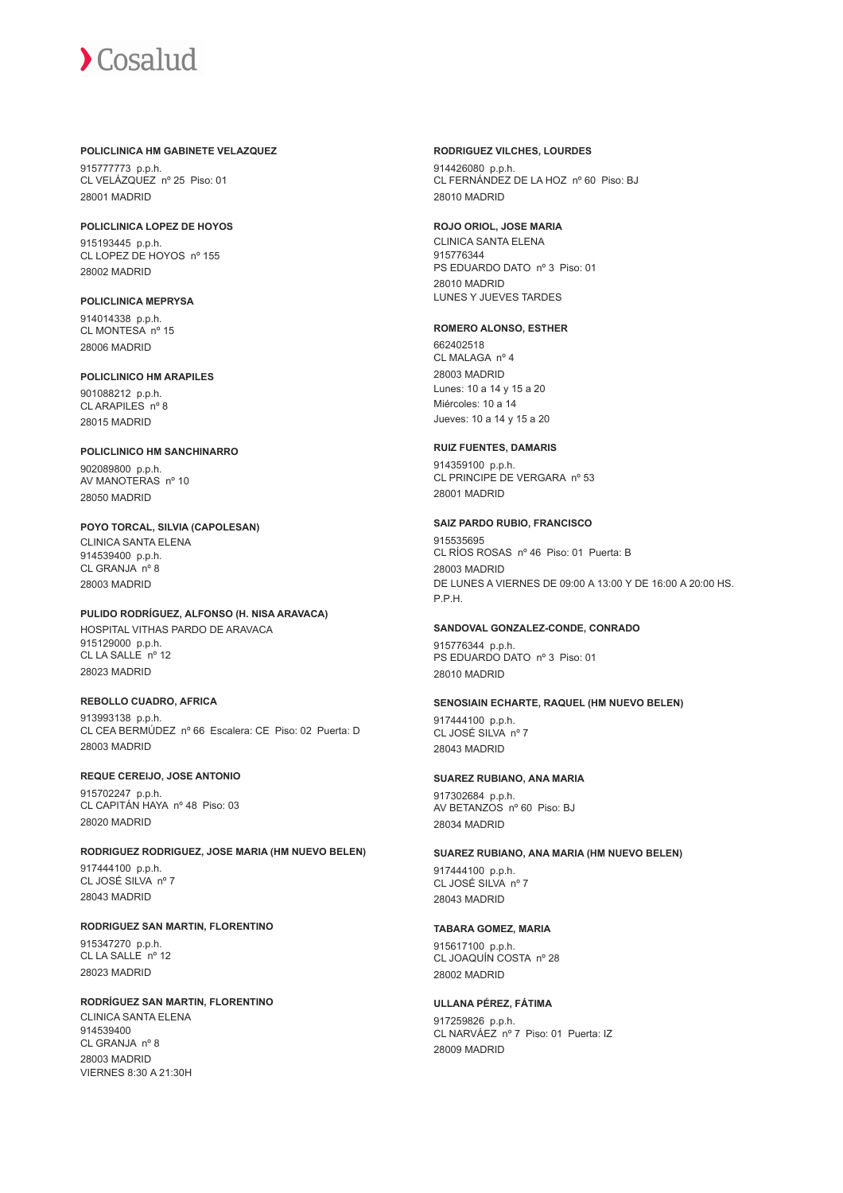#### **POLICLINICA HM GABINETE VELAZQUEZ**

915777773 p.p.h. CL VELÁZQUEZ nº 25 Piso: 01 28001 MADRID

#### **POLICLINICA LOPEZ DE HOYOS**

915193445 p.p.h. CL LOPEZ DE HOYOS nº 155 28002 MADRID

## **POLICLINICA MEPRYSA**

914014338 p.p.h. CL MONTESA nº 15 28006 MADRID

### **POLICLINICO HM ARAPILES**

901088212 p.p.h. CL ARAPILES nº 8 28015 MADRID

#### **POLICLINICO HM SANCHINARRO** 902089800 p.p.h. AV MANOTERAS nº 10 28050 MADRID

**POYO TORCAL, SILVIA (CAPOLESAN)** CLINICA SANTA ELENA 914539400 p.p.h. CL GRANJA nº 8 28003 MADRID

#### **PULIDO RODRÍGUEZ, ALFONSO (H. NISA ARAVACA)**

HOSPITAL VITHAS PARDO DE ARAVACA 915129000 p.p.h. CL LA SALLE nº 12 28023 MADRID

#### **REBOLLO CUADRO, AFRICA**

913993138 p.p.h. CL CEA BERMÚDEZ nº 66 Escalera: CE Piso: 02 Puerta: D 28003 MADRID

## **REQUE CEREIJO, JOSE ANTONIO**

915702247 p.p.h. CL CAPITÁN HAYA nº 48 Piso: 03 28020 MADRID

## **RODRIGUEZ RODRIGUEZ, JOSE MARIA (HM NUEVO BELEN)**

917444100 p.p.h. CL JOSÉ SILVA nº 7 28043 MADRID

#### **RODRIGUEZ SAN MARTIN, FLORENTINO**

915347270 p.p.h. CL LA SALLE nº 12 28023 MADRID

#### **RODRÍGUEZ SAN MARTIN, FLORENTINO**

CLINICA SANTA ELENA 914539400 CL GRANJA nº 8 28003 MADRID VIERNES 8:30 A 21:30H

#### **RODRIGUEZ VILCHES, LOURDES**

914426080 p.p.h. CL FERNÁNDEZ DE LA HOZ nº 60 Piso: BJ 28010 MADRID

#### **ROJO ORIOL, JOSE MARIA**

CLINICA SANTA ELENA 915776344 PS EDUARDO DATO nº 3 Piso: 01 28010 MADRID LUNES Y JUEVES TARDES

#### **ROMERO ALONSO, ESTHER**

662402518 CL MALAGA nº 4 28003 MADRID Lunes: 10 a 14 y 15 a 20 Miércoles: 10 a 14 Jueves: 10 a 14 y 15 a 20

#### **RUIZ FUENTES, DAMARIS**

914359100 p.p.h. CL PRINCIPE DE VERGARA nº 53 28001 MADRID

#### **SAIZ PARDO RUBIO, FRANCISCO**

915535695 CL RÍOS ROSAS nº 46 Piso: 01 Puerta: B 28003 MADRID DE LUNES A VIERNES DE 09:00 A 13:00 Y DE 16:00 A 20:00 HS. P.P.H.

#### **SANDOVAL GONZALEZ-CONDE, CONRADO**

915776344 p.p.h. PS EDUARDO DATO nº 3 Piso: 01 28010 MADRID

#### **SENOSIAIN ECHARTE, RAQUEL (HM NUEVO BELEN)**

917444100 p.p.h. CL JOSÉ SILVA nº 7 28043 MADRID

## **SUAREZ RUBIANO, ANA MARIA**

917302684 p.p.h. AV BETANZOS nº 60 Piso: BJ 28034 MADRID

#### **SUAREZ RUBIANO, ANA MARIA (HM NUEVO BELEN)**

917444100 p.p.h. CL JOSÉ SILVA nº 7 28043 MADRID

#### **TABARA GOMEZ, MARIA**

915617100 p.p.h. CL JOAQUÍN COSTA nº 28 28002 MADRID

## **ULLANA PÉREZ, FÁTIMA**

917259826 p.p.h. CL NARVÁEZ nº 7 Piso: 01 Puerta: IZ 28009 MADRID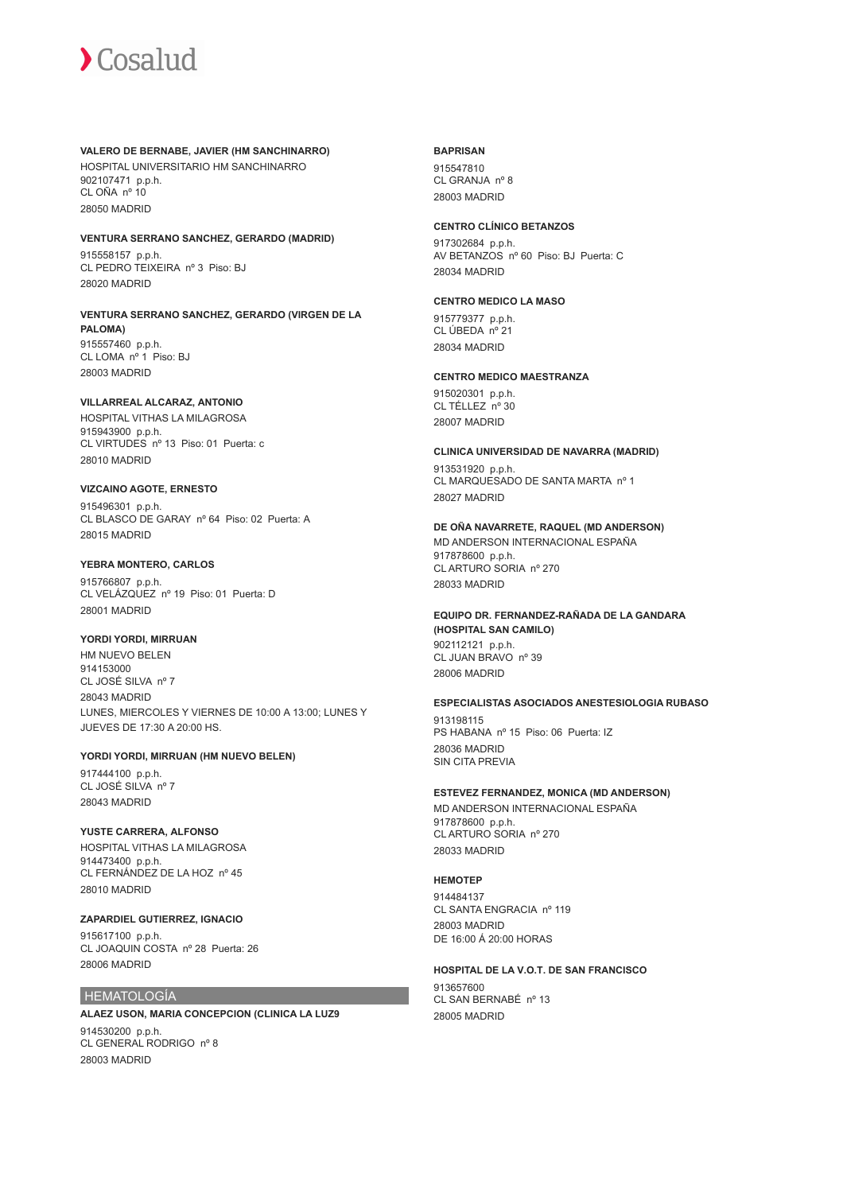#### **VALERO DE BERNABE, JAVIER (HM SANCHINARRO)**

HOSPITAL UNIVERSITARIO HM SANCHINARRO 902107471 p.p.h. CL OÑA nº 10 28050 MADRID

## **VENTURA SERRANO SANCHEZ, GERARDO (MADRID)**

915558157 p.p.h. CL PEDRO TEIXEIRA nº 3 Piso: BJ 28020 MADRID

#### **VENTURA SERRANO SANCHEZ, GERARDO (VIRGEN DE LA PALOMA)** 915557460 p.p.h. CL LOMA nº 1 Piso: BJ 28003 MADRID

### **VILLARREAL ALCARAZ, ANTONIO**

HOSPITAL VITHAS LA MILAGROSA 915943900 p.p.h. CL VIRTUDES nº 13 Piso: 01 Puerta: c 28010 MADRID

#### **VIZCAINO AGOTE, ERNESTO**

915496301 p.p.h. CL BLASCO DE GARAY nº 64 Piso: 02 Puerta: A 28015 MADRID

### **YEBRA MONTERO, CARLOS**

915766807 p.p.h. CL VELÁZQUEZ nº 19 Piso: 01 Puerta: D 28001 MADRID

#### **YORDI YORDI, MIRRUAN**

HM NUEVO BELEN 914153000 CL JOSÉ SILVA nº 7 28043 MADRID LUNES, MIERCOLES Y VIERNES DE 10:00 A 13:00; LUNES Y JUEVES DE 17:30 A 20:00 HS.

#### **YORDI YORDI, MIRRUAN (HM NUEVO BELEN)**

917444100 p.p.h. CL JOSÉ SILVA nº 7 28043 MADRID

#### **YUSTE CARRERA, ALFONSO** HOSPITAL VITHAS LA MILAGROSA 914473400 p.p.h. CL FERNÁNDEZ DE LA HOZ nº 45 28010 MADRID

#### **ZAPARDIEL GUTIERREZ, IGNACIO**

915617100 p.p.h. CL JOAQUIN COSTA nº 28 Puerta: 26 28006 MADRID

## HEMATOLOGÍA

#### **ALAEZ USON, MARIA CONCEPCION (CLINICA LA LUZ9** 914530200 p.p.h. CL GENERAL RODRIGO nº 8 28003 MADRID

#### **BAPRISAN**

915547810 CL GRANJA nº 8 28003 MADRID

### **CENTRO CLÍNICO BETANZOS**

917302684 p.p.h. AV BETANZOS nº 60 Piso: BJ Puerta: C 28034 MADRID

## **CENTRO MEDICO LA MASO**

915779377 p.p.h. CL ÚBEDA nº 21 28034 MADRID

## **CENTRO MEDICO MAESTRANZA**

915020301 p.p.h. CL TÉLLEZ nº 30 28007 MADRID

### **CLINICA UNIVERSIDAD DE NAVARRA (MADRID)**

913531920 p.p.h. CL MARQUESADO DE SANTA MARTA nº 1 28027 MADRID

#### **DE OÑA NAVARRETE, RAQUEL (MD ANDERSON)** MD ANDERSON INTERNACIONAL ESPAÑA

917878600 p.p.h. CL ARTURO SORIA nº 270 28033 MADRID

#### **EQUIPO DR. FERNANDEZ-RAÑADA DE LA GANDARA (HOSPITAL SAN CAMILO)** 902112121 p.p.h. CL JUAN BRAVO nº 39 28006 MADRID

## **ESPECIALISTAS ASOCIADOS ANESTESIOLOGIA RUBASO**

913198115 PS HABANA nº 15 Piso: 06 Puerta: IZ 28036 MADRID SIN CITA PREVIA

## **ESTEVEZ FERNANDEZ, MONICA (MD ANDERSON)**

MD ANDERSON INTERNACIONAL ESPAÑA 917878600 p.p.h. CL ARTURO SORIA nº 270 28033 MADRID

#### **HEMOTEP**

914484137 CL SANTA ENGRACIA nº 119 28003 MADRID DE 16:00 Á 20:00 HORAS

## **HOSPITAL DE LA V.O.T. DE SAN FRANCISCO**

913657600 CL SAN BERNABÉ nº 13 28005 MADRID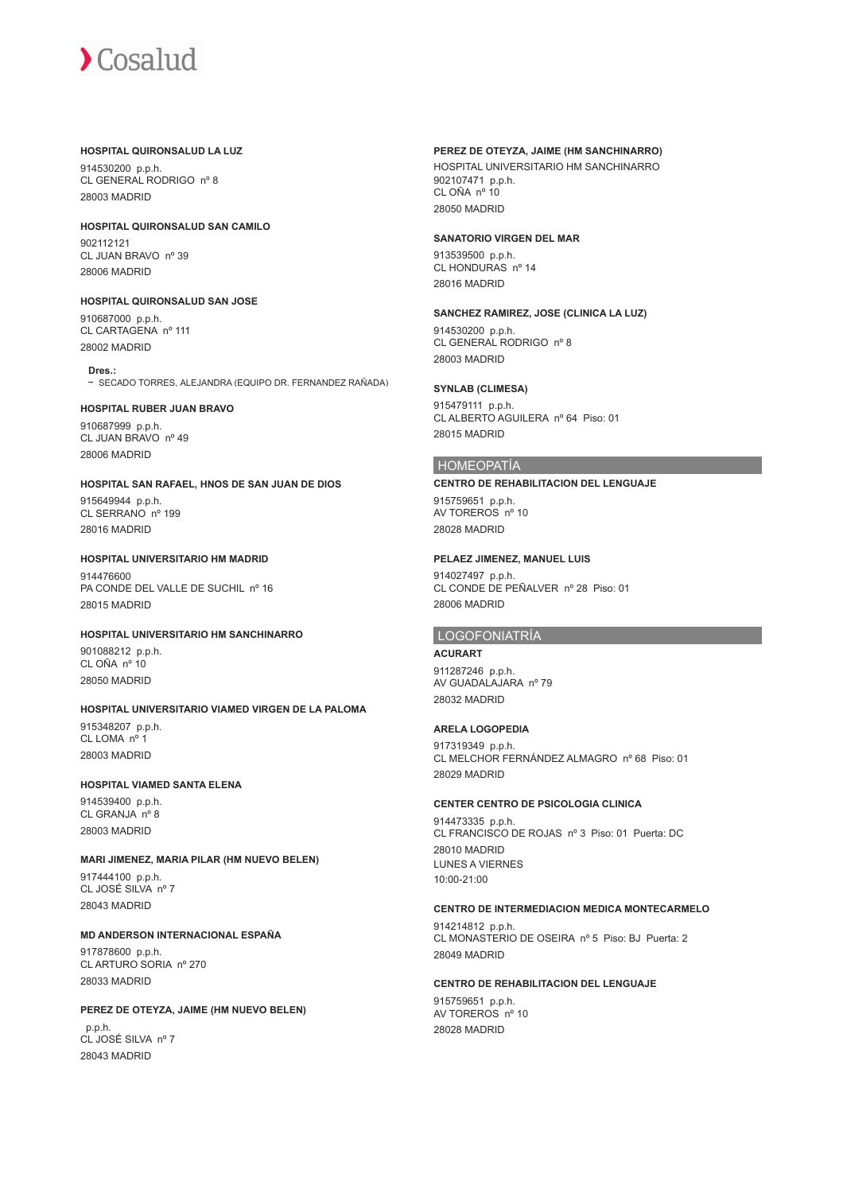#### **HOSPITAL QUIRONSALUD LA LUZ**

914530200 p.p.h. CL GENERAL RODRIGO nº 8 28003 MADRID

**HOSPITAL QUIRONSALUD SAN CAMILO**

902112121 CL JUAN BRAVO nº 39 28006 MADRID

**HOSPITAL QUIRONSALUD SAN JOSE** 910687000 p.p.h. CL CARTAGENA nº 111

28002 MADRID

**Dres.:** - SECADO TORRES, ALEJANDRA (EQUIPO DR. FERNANDEZ RAÑADA)

#### **HOSPITAL RUBER JUAN BRAVO**

910687999 p.p.h. CL JUAN BRAVO nº 49 28006 MADRID

#### **HOSPITAL SAN RAFAEL, HNOS DE SAN JUAN DE DIOS**

915649944 p.p.h. CL SERRANO nº 199 28016 MADRID

#### **HOSPITAL UNIVERSITARIO HM MADRID**

914476600 PA CONDE DEL VALLE DE SUCHIL nº 16 28015 MADRID

#### **HOSPITAL UNIVERSITARIO HM SANCHINARRO**

901088212 p.p.h. CL OÑA nº 10 28050 MADRID

#### **HOSPITAL UNIVERSITARIO VIAMED VIRGEN DE LA PALOMA**

915348207 p.p.h. CL LOMA nº 1 28003 MADRID

#### **HOSPITAL VIAMED SANTA ELENA**

914539400 p.p.h. CL GRANJA nº 8 28003 MADRID

#### **MARI JIMENEZ, MARIA PILAR (HM NUEVO BELEN)** 917444100 p.p.h. CL JOSÉ SILVA nº 7

28043 MADRID

#### **MD ANDERSON INTERNACIONAL ESPAÑA**

917878600 p.p.h. CL ARTURO SORIA nº 270 28033 MADRID

#### **PEREZ DE OTEYZA, JAIME (HM NUEVO BELEN)**

 p.p.h. CL JOSÉ SILVA nº 7 28043 MADRID

### **PEREZ DE OTEYZA, JAIME (HM SANCHINARRO)**

HOSPITAL UNIVERSITARIO HM SANCHINARRO 902107471 p.p.h. CL OÑA nº 10 28050 MADRID

#### **SANATORIO VIRGEN DEL MAR**

913539500 p.p.h. CL HONDURAS nº 14 28016 MADRID

#### **SANCHEZ RAMIREZ, JOSE (CLINICA LA LUZ)**

914530200 p.p.h. CL GENERAL RODRIGO nº 8 28003 MADRID

#### **SYNLAB (CLIMESA)**

915479111 p.p.h. CL ALBERTO AGUILERA nº 64 Piso: 01 28015 MADRID

#### HOMEOPATÍA

#### **CENTRO DE REHABILITACION DEL LENGUAJE**

915759651 p.p.h. AV TOREROS nº 10 28028 MADRID

#### **PELAEZ JIMENEZ, MANUEL LUIS**

914027497 p.p.h. CL CONDE DE PEÑALVER nº 28 Piso: 01 28006 MADRID

## LOGOFONIATRÍA

#### **ACURART**

911287246 p.p.h. AV GUADALAJARA nº 79 28032 MADRID

#### **ARELA LOGOPEDIA**

917319349 p.p.h. CL MELCHOR FERNÁNDEZ ALMAGRO nº 68 Piso: 01 28029 MADRID

## **CENTER CENTRO DE PSICOLOGIA CLINICA**

914473335 p.p.h. CL FRANCISCO DE ROJAS nº 3 Piso: 01 Puerta: DC 28010 MADRID LUNES A VIERNES 10:00-21:00

#### **CENTRO DE INTERMEDIACION MEDICA MONTECARMELO**

914214812 p.p.h. CL MONASTERIO DE OSEIRA nº 5 Piso: BJ Puerta: 2 28049 MADRID

#### **CENTRO DE REHABILITACION DEL LENGUAJE**

915759651 p.p.h. AV TOREROS nº 10 28028 MADRID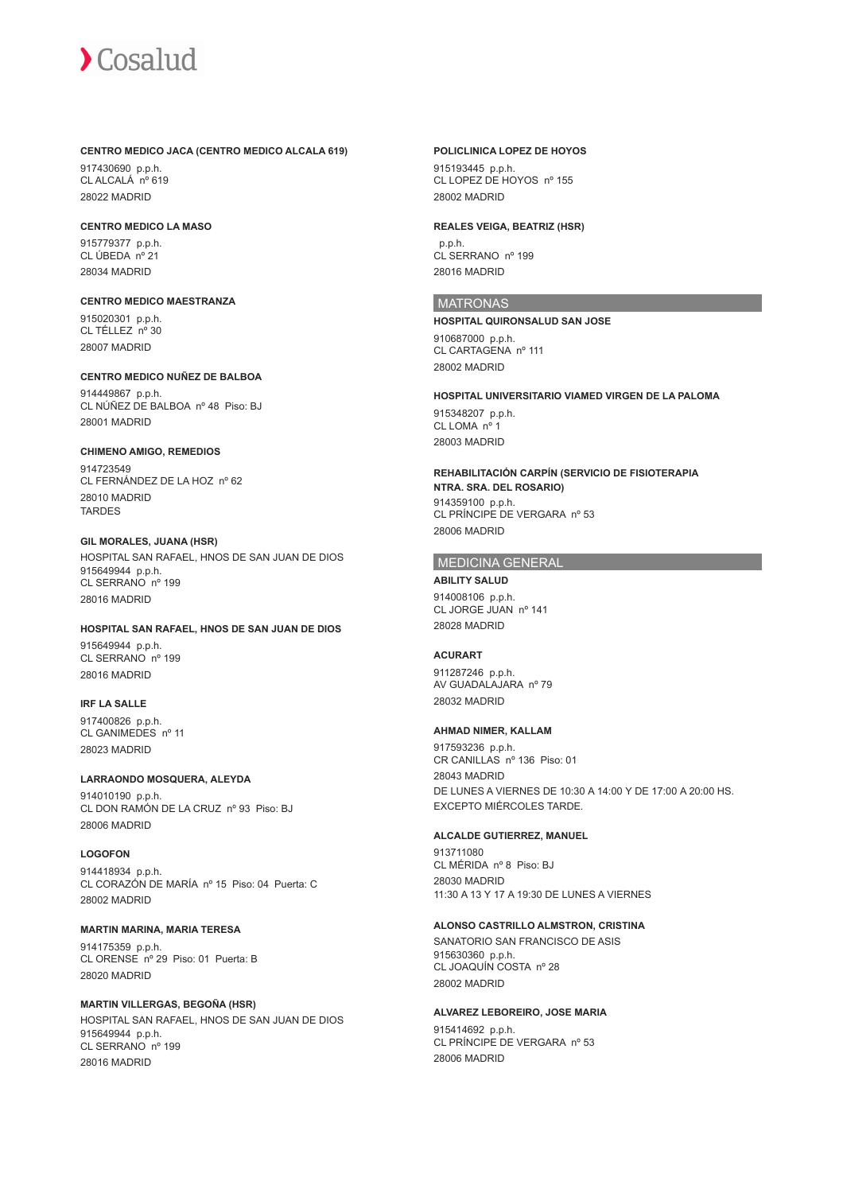#### **CENTRO MEDICO JACA (CENTRO MEDICO ALCALA 619)**

917430690 p.p.h. CL ALCALÁ nº 619 28022 MADRID

#### **CENTRO MEDICO LA MASO**

915779377 p.p.h. CL ÚBEDA nº 21 28034 MADRID

## **CENTRO MEDICO MAESTRANZA**

915020301 p.p.h. CL TÉLLEZ nº 30 28007 MADRID

#### **CENTRO MEDICO NUÑEZ DE BALBOA**

914449867 p.p.h. CL NÚÑEZ DE BALBOA nº 48 Piso: BJ 28001 MADRID

#### **CHIMENO AMIGO, REMEDIOS**

914723549 CL FERNÁNDEZ DE LA HOZ nº 62 28010 MADRID **TARDES** 

#### **GIL MORALES, JUANA (HSR)**

HOSPITAL SAN RAFAEL, HNOS DE SAN JUAN DE DIOS 915649944 p.p.h. CL SERRANO nº 199 28016 MADRID

#### **HOSPITAL SAN RAFAEL, HNOS DE SAN JUAN DE DIOS**

915649944 p.p.h. CL SERRANO nº 199 28016 MADRID

#### **IRF LA SALLE**

917400826 p.p.h. CL GANIMEDES nº 11 28023 MADRID

#### **LARRAONDO MOSQUERA, ALEYDA**

914010190 p.p.h. CL DON RAMÓN DE LA CRUZ nº 93 Piso: BJ 28006 MADRID

#### **LOGOFON**

914418934 p.p.h. CL CORAZÓN DE MARÍA nº 15 Piso: 04 Puerta: C 28002 MADRID

#### **MARTIN MARINA, MARIA TERESA**

914175359 p.p.h. CL ORENSE nº 29 Piso: 01 Puerta: B 28020 MADRID

#### **MARTIN VILLERGAS, BEGOÑA (HSR)**

HOSPITAL SAN RAFAEL, HNOS DE SAN JUAN DE DIOS 915649944 p.p.h. CL SERRANO nº 199 28016 MADRID

#### **POLICLINICA LOPEZ DE HOYOS**

915193445 p.p.h. CL LOPEZ DE HOYOS nº 155 28002 MADRID

#### **REALES VEIGA, BEATRIZ (HSR)**

 p.p.h. CL SERRANO nº 199 28016 MADRID

## **MATRONAS**

**HOSPITAL QUIRONSALUD SAN JOSE** 910687000 p.p.h. CL CARTAGENA nº 111 28002 MADRID

#### **HOSPITAL UNIVERSITARIO VIAMED VIRGEN DE LA PALOMA** 915348207 p.p.h. CL LOMA nº 1 28003 MADRID

**REHABILITACIÓN CARPÍN (SERVICIO DE FISIOTERAPIA NTRA. SRA. DEL ROSARIO)** 914359100 p.p.h. CL PRÍNCIPE DE VERGARA nº 53 28006 MADRID

#### MEDICINA GENERAL

**ABILITY SALUD** 914008106 p.p.h.

CL JORGE JUAN nº 141 28028 MADRID

#### **ACURART**

911287246 p.p.h. AV GUADALAJARA nº 79 28032 MADRID

#### **AHMAD NIMER, KALLAM**

917593236 p.p.h. CR CANILLAS nº 136 Piso: 01 28043 MADRID DE LUNES A VIERNES DE 10:30 A 14:00 Y DE 17:00 A 20:00 HS. EXCEPTO MIÉRCOLES TARDE.

#### **ALCALDE GUTIERREZ, MANUEL**

913711080 CL MÉRIDA nº 8 Piso: BJ 28030 MADRID 11:30 A 13 Y 17 A 19:30 DE LUNES A VIERNES

#### **ALONSO CASTRILLO ALMSTRON, CRISTINA**

SANATORIO SAN FRANCISCO DE ASIS 915630360 p.p.h. CL JOAQUÍN COSTA nº 28 28002 MADRID

#### **ALVAREZ LEBOREIRO, JOSE MARIA**

915414692 p.p.h. CL PRÍNCIPE DE VERGARA nº 53 28006 MADRID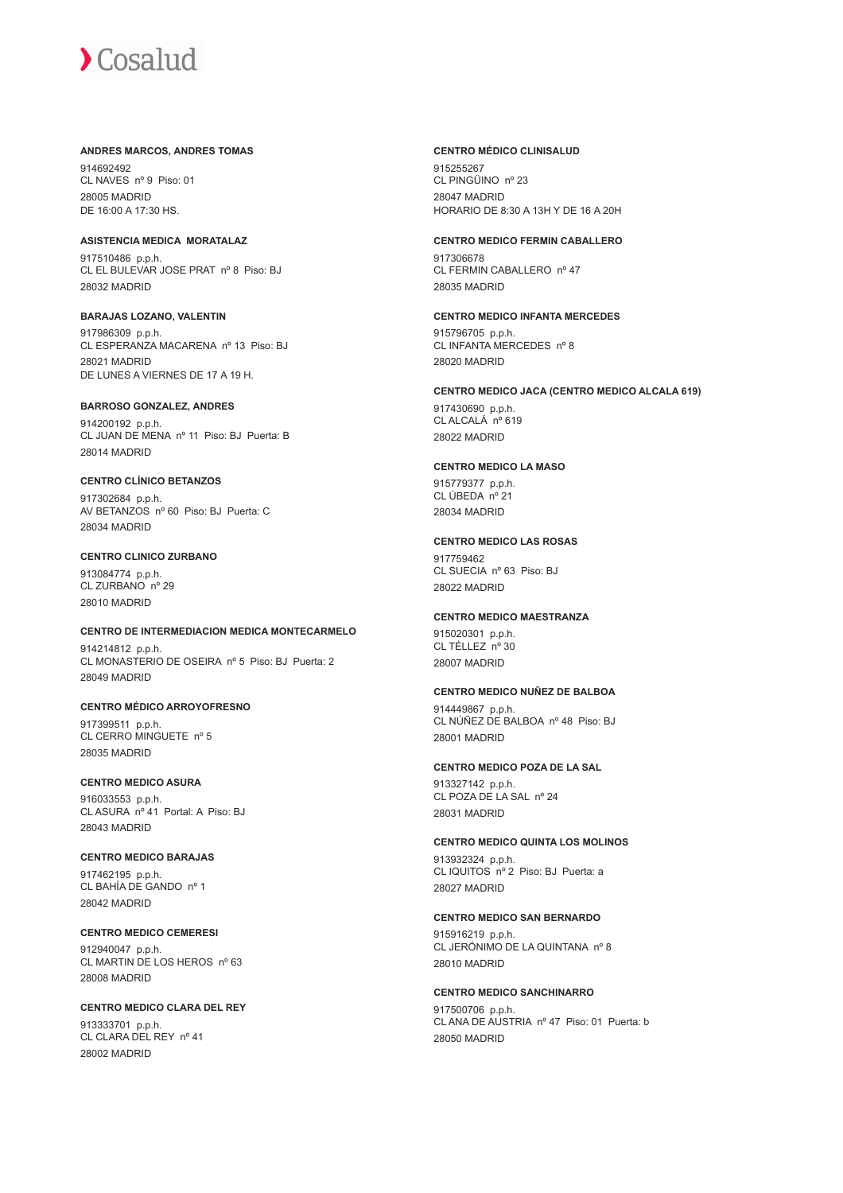#### **ANDRES MARCOS, ANDRES TOMAS**

914692492 CL NAVES nº 9 Piso: 01 28005 MADRID DE 16:00 A 17:30 HS.

### **ASISTENCIA MEDICA MORATALAZ**

917510486 p.p.h. CL EL BULEVAR JOSE PRAT nº 8 Piso: BJ 28032 MADRID

#### **BARAJAS LOZANO, VALENTIN**

917986309 p.p.h. CL ESPERANZA MACARENA nº 13 Piso: BJ 28021 MADRID DE LUNES A VIERNES DE 17 A 19 H.

#### **BARROSO GONZALEZ, ANDRES**

914200192 p.p.h. CL JUAN DE MENA nº 11 Piso: BJ Puerta: B 28014 MADRID

#### **CENTRO CLÍNICO BETANZOS**

917302684 p.p.h. AV BETANZOS nº 60 Piso: BJ Puerta: C 28034 MADRID

#### **CENTRO CLINICO ZURBANO**

913084774 p.p.h. CL ZURBANO nº 29 28010 MADRID

#### **CENTRO DE INTERMEDIACION MEDICA MONTECARMELO**

914214812 p.p.h. CL MONASTERIO DE OSEIRA nº 5 Piso: BJ Puerta: 2 28049 MADRID

## **CENTRO MÉDICO ARROYOFRESNO**

917399511 p.p.h. CL CERRO MINGUETE nº 5 28035 MADRID

#### **CENTRO MEDICO ASURA**

916033553 p.p.h. CL ASURA nº 41 Portal: A Piso: BJ 28043 MADRID

#### **CENTRO MEDICO BARAJAS** 917462195 p.p.h. CL BAHÍA DE GANDO nº 1 28042 MADRID

**CENTRO MEDICO CEMERESI** 912940047 p.p.h. CL MARTIN DE LOS HEROS nº 63 28008 MADRID

#### **CENTRO MEDICO CLARA DEL REY** 913333701 p.p.h. CL CLARA DEL REY nº 41 28002 MADRID

#### **CENTRO MÉDICO CLINISALUD**

915255267 CL PINGÜINO nº 23 28047 MADRID HORARIO DE 8:30 A 13H Y DE 16 A 20H

#### **CENTRO MEDICO FERMIN CABALLERO**

917306678 CL FERMIN CABALLERO nº 47 28035 MADRID

#### **CENTRO MEDICO INFANTA MERCEDES**

915796705 p.p.h. CL INFANTA MERCEDES nº 8 28020 MADRID

#### **CENTRO MEDICO JACA (CENTRO MEDICO ALCALA 619)**

917430690 p.p.h. CL ALCALÁ nº 619 28022 MADRID

#### **CENTRO MEDICO LA MASO**

915779377 p.p.h. CL ÚBEDA nº 21 28034 MADRID

#### **CENTRO MEDICO LAS ROSAS**

917759462 CL SUECIA nº 63 Piso: BJ 28022 MADRID

#### **CENTRO MEDICO MAESTRANZA**

915020301 p.p.h. CL TÉLLEZ nº 30 28007 MADRID

#### **CENTRO MEDICO NUÑEZ DE BALBOA**

914449867 p.p.h. CL NÚÑEZ DE BALBOA nº 48 Piso: BJ 28001 MADRID

#### **CENTRO MEDICO POZA DE LA SAL**

913327142 p.p.h. CL POZA DE LA SAL nº 24 28031 MADRID

#### **CENTRO MEDICO QUINTA LOS MOLINOS**

913932324 p.p.h. CL IQUITOS nº 2 Piso: BJ Puerta: a 28027 MADRID

#### **CENTRO MEDICO SAN BERNARDO**

915916219 p.p.h. CL JERÓNIMO DE LA QUINTANA nº 8 28010 MADRID

**CENTRO MEDICO SANCHINARRO** 917500706 p.p.h. CL ANA DE AUSTRIA nº 47 Piso: 01 Puerta: b 28050 MADRID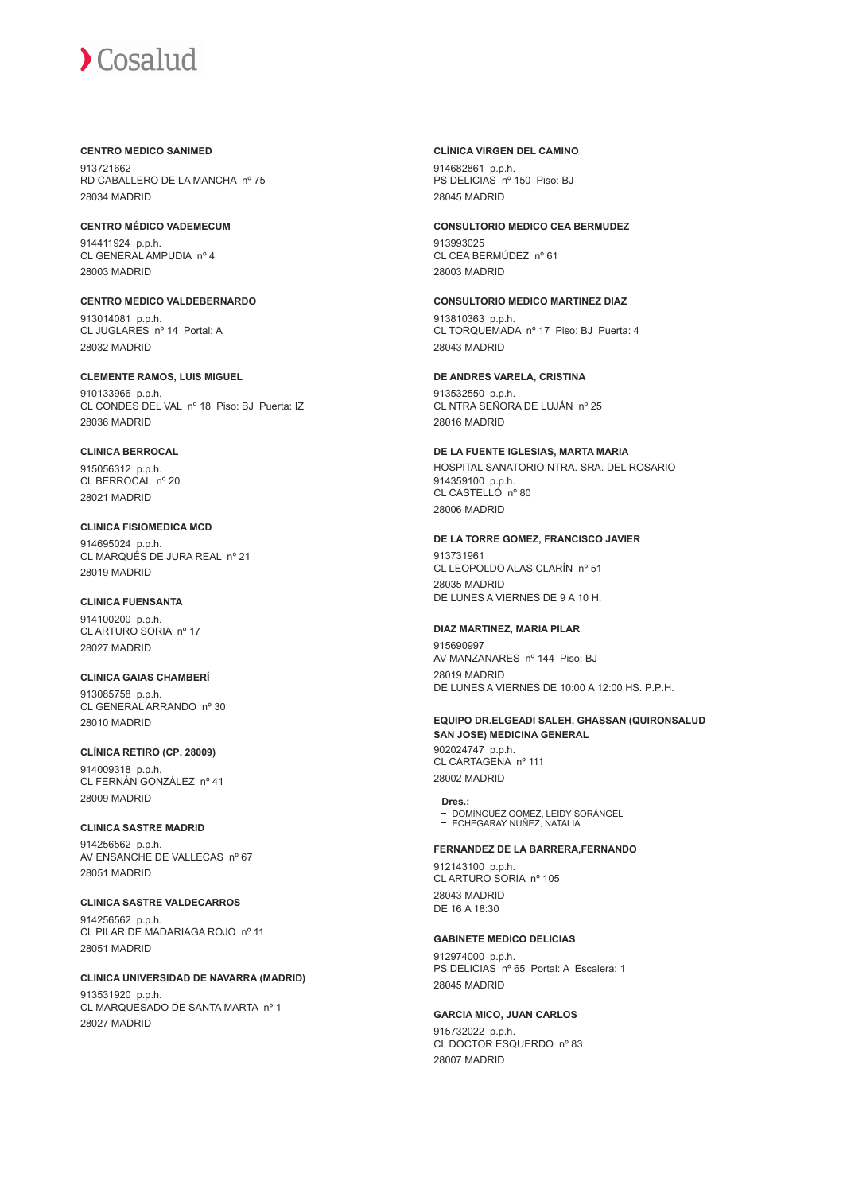#### **CENTRO MEDICO SANIMED**

913721662 RD CABALLERO DE LA MANCHA nº 75 28034 MADRID

#### **CENTRO MÉDICO VADEMECUM**

914411924 p.p.h. CL GENERAL AMPUDIA nº 4 28003 MADRID

**CENTRO MEDICO VALDEBERNARDO** 913014081 p.p.h. CL JUGLARES nº 14 Portal: A 28032 MADRID

#### **CLEMENTE RAMOS, LUIS MIGUEL**

910133966 p.p.h. CL CONDES DEL VAL nº 18 Piso: BJ Puerta: IZ 28036 MADRID

#### **CLINICA BERROCAL**

915056312 p.p.h. CL BERROCAL nº 20 28021 MADRID

#### **CLINICA FISIOMEDICA MCD**

914695024 p.p.h. CL MARQUÉS DE JURA REAL nº 21 28019 MADRID

#### **CLINICA FUENSANTA**

914100200 p.p.h. CL ARTURO SORIA nº 17 28027 MADRID

#### **CLINICA GAIAS CHAMBERÍ**

913085758 p.p.h. CL GENERAL ARRANDO nº 30 28010 MADRID

## **CLÍNICA RETIRO (CP. 28009)**

914009318 p.p.h. CL FERNÁN GONZÁLEZ nº 41 28009 MADRID

#### **CLINICA SASTRE MADRID**

914256562 p.p.h. AV ENSANCHE DE VALLECAS nº 67 28051 MADRID

## **CLINICA SASTRE VALDECARROS**

914256562 p.p.h. CL PILAR DE MADARIAGA ROJO nº 11 28051 MADRID

#### **CLINICA UNIVERSIDAD DE NAVARRA (MADRID)**

913531920 p.p.h. CL MARQUESADO DE SANTA MARTA nº 1 28027 MADRID

#### **CLÍNICA VIRGEN DEL CAMINO**

914682861 p.p.h. PS DELICIAS nº 150 Piso: BJ 28045 MADRID

### **CONSULTORIO MEDICO CEA BERMUDEZ**

913993025 CL CEA BERMÚDEZ nº 61 28003 MADRID

#### **CONSULTORIO MEDICO MARTINEZ DIAZ**

913810363 p.p.h. CL TORQUEMADA nº 17 Piso: BJ Puerta: 4 28043 MADRID

#### **DE ANDRES VARELA, CRISTINA**

913532550 p.p.h. CL NTRA SEÑORA DE LUJÁN nº 25 28016 MADRID

#### **DE LA FUENTE IGLESIAS, MARTA MARIA** HOSPITAL SANATORIO NTRA. SRA. DEL ROSARIO 914359100 p.p.h. CL CASTELLÓ nº 80 28006 MADRID

#### **DE LA TORRE GOMEZ, FRANCISCO JAVIER**

913731961 CL LEOPOLDO ALAS CLARÍN nº 51 28035 MADRID DE LUNES A VIERNES DE 9 A 10 H.

## **DIAZ MARTINEZ, MARIA PILAR**

915690997 AV MANZANARES nº 144 Piso: BJ 28019 MADRID DE LUNES A VIERNES DE 10:00 A 12:00 HS. P.P.H.

## **EQUIPO DR.ELGEADI SALEH, GHASSAN (QUIRONSALUD SAN JOSE) MEDICINA GENERAL**

902024747 p.p.h. CL CARTAGENA nº 111 28002 MADRID

**Dres.:** DOMINGUEZ GOMEZ, LEIDY SORÁNGEL ECHEGARAY NUÑEZ, NATALIA

#### **FERNANDEZ DE LA BARRERA,FERNANDO**

912143100 p.p.h. CL ARTURO SORIA nº 105 28043 MADRID DE 16 A 18:30

#### **GABINETE MEDICO DELICIAS**

912974000 p.p.h. PS DELICIAS nº 65 Portal: A Escalera: 1 28045 MADRID

## **GARCIA MICO, JUAN CARLOS**

915732022 p.p.h. CL DOCTOR ESQUERDO nº 83 28007 MADRID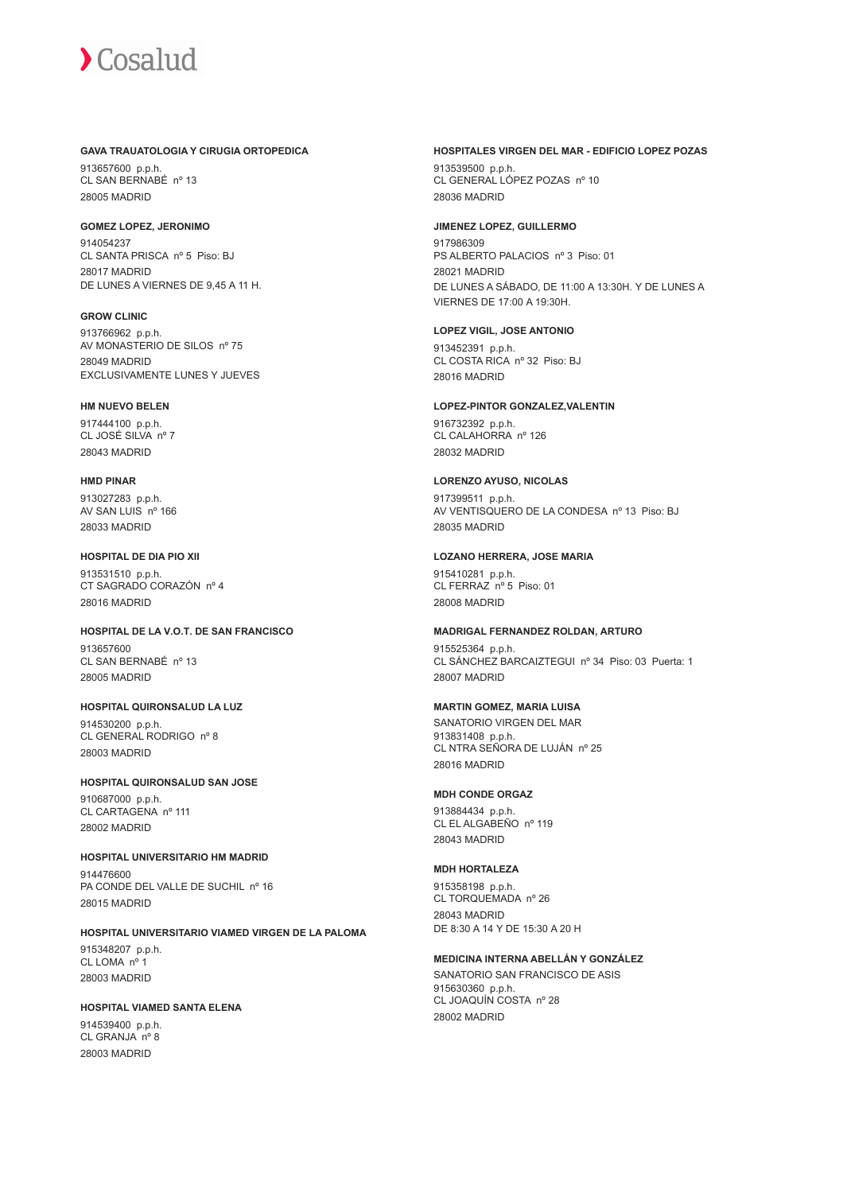#### **GAVA TRAUATOLOGIA Y CIRUGIA ORTOPEDICA**

913657600 p.p.h. CL SAN BERNABÉ nº 13 28005 MADRID

#### **GOMEZ LOPEZ, JERONIMO**

914054237 CL SANTA PRISCA nº 5 Piso: BJ 28017 MADRID DE LUNES A VIERNES DE 9,45 A 11 H.

**GROW CLINIC**

913766962 p.p.h. AV MONASTERIO DE SILOS nº 75 28049 MADRID EXCLUSIVAMENTE LUNES Y JUEVES

#### **HM NUEVO BELEN**

917444100 p.p.h. CL JOSÉ SILVA nº 7 28043 MADRID

#### **HMD PINAR**

913027283 p.p.h. AV SAN LUIS nº 166 28033 MADRID

#### **HOSPITAL DE DIA PIO XII**

913531510 p.p.h. CT SAGRADO CORAZÓN nº 4 28016 MADRID

#### **HOSPITAL DE LA V.O.T. DE SAN FRANCISCO** 913657600

CL SAN BERNABÉ nº 13 28005 MADRID

## **HOSPITAL QUIRONSALUD LA LUZ**

914530200 p.p.h. CL GENERAL RODRIGO nº 8 28003 MADRID

## **HOSPITAL QUIRONSALUD SAN JOSE**

910687000 p.p.h. CL CARTAGENA nº 111 28002 MADRID

## **HOSPITAL UNIVERSITARIO HM MADRID**

914476600 PA CONDE DEL VALLE DE SUCHIL nº 16 28015 MADRID

### **HOSPITAL UNIVERSITARIO VIAMED VIRGEN DE LA PALOMA** 915348207 p.p.h. CL LOMA nº 1 28003 MADRID

## **HOSPITAL VIAMED SANTA ELENA**

914539400 p.p.h. CL GRANJA nº 8 28003 MADRID

#### **HOSPITALES VIRGEN DEL MAR - EDIFICIO LOPEZ POZAS**

913539500 p.p.h. CL GENERAL LÓPEZ POZAS nº 10 28036 MADRID

#### **JIMENEZ LOPEZ, GUILLERMO**

917986309 PS ALBERTO PALACIOS nº 3 Piso: 01 28021 MADRID DE LUNES A SÁBADO, DE 11:00 A 13:30H. Y DE LUNES A VIERNES DE 17:00 A 19:30H.

#### **LOPEZ VIGIL, JOSE ANTONIO**

913452391 p.p.h. CL COSTA RICA nº 32 Piso: BJ 28016 MADRID

#### **LOPEZ-PINTOR GONZALEZ,VALENTIN**

916732392 p.p.h. CL CALAHORRA nº 126 28032 MADRID

#### **LORENZO AYUSO, NICOLAS**

917399511 p.p.h. AV VENTISQUERO DE LA CONDESA nº 13 Piso: BJ 28035 MADRID

#### **LOZANO HERRERA, JOSE MARIA**

915410281 p.p.h. CL FERRAZ nº 5 Piso: 01 28008 MADRID

#### **MADRIGAL FERNANDEZ ROLDAN, ARTURO**

915525364 p.p.h. CL SÁNCHEZ BARCAIZTEGUI nº 34 Piso: 03 Puerta: 1 28007 MADRID

### **MARTIN GOMEZ, MARIA LUISA**

SANATORIO VIRGEN DEL MAR 913831408 p.p.h. CL NTRA SEÑORA DE LUJÁN nº 25 28016 MADRID

#### **MDH CONDE ORGAZ**

913884434 p.p.h. CL EL ALGABEÑO nº 119 28043 MADRID

#### **MDH HORTALEZA**

915358198 p.p.h. CL TORQUEMADA nº 26 28043 MADRID DE 8:30 A 14 Y DE 15:30 A 20 H

#### **MEDICINA INTERNA ABELLÁN Y GONZÁLEZ**

SANATORIO SAN FRANCISCO DE ASIS 915630360 p.p.h. CL JOAQUÍN COSTA nº 28 28002 MADRID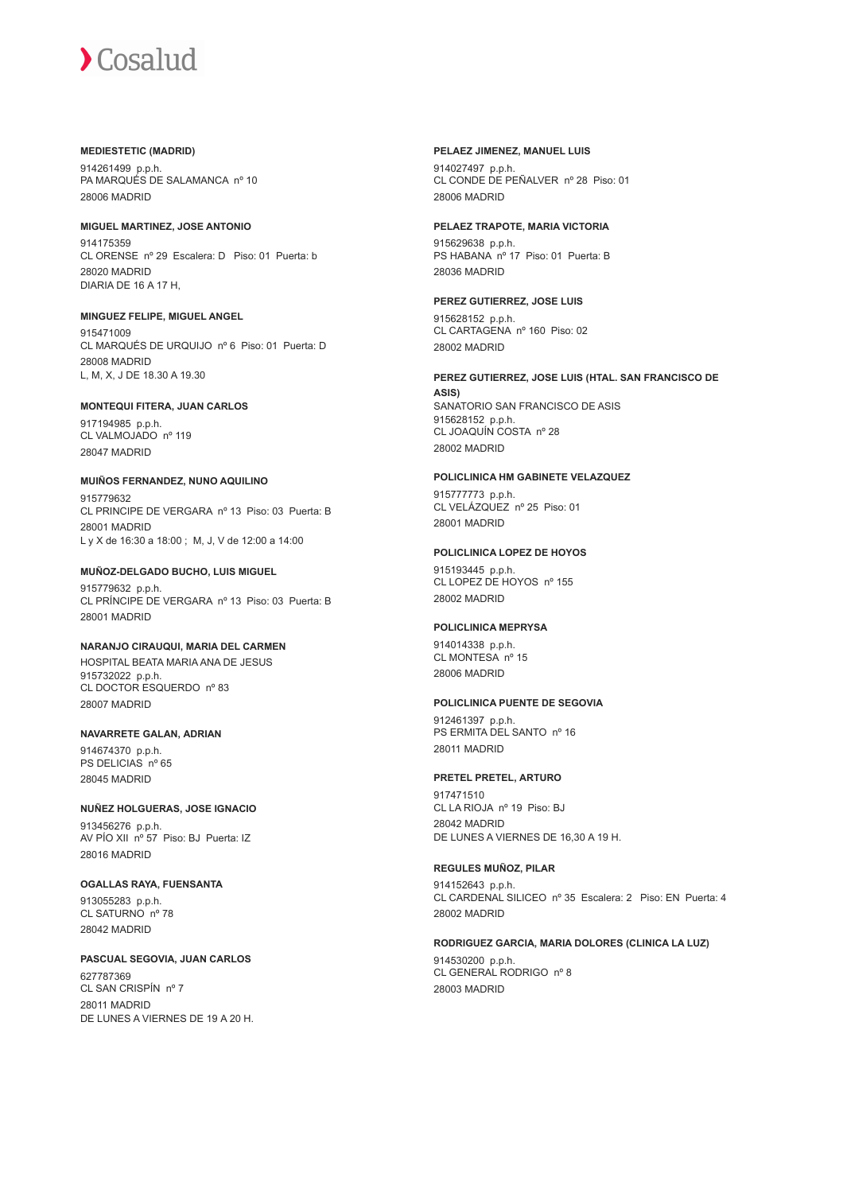#### **MEDIESTETIC (MADRID)**

914261499 p.p.h. PA MARQUÉS DE SALAMANCA nº 10 28006 MADRID

#### **MIGUEL MARTINEZ, JOSE ANTONIO**

914175359 CL ORENSE nº 29 Escalera: D Piso: 01 Puerta: b 28020 MADRID DIARIA DE 16 A 17 H,

#### **MINGUEZ FELIPE, MIGUEL ANGEL**

915471009 CL MARQUÉS DE URQUIJO nº 6 Piso: 01 Puerta: D 28008 MADRID L, M, X, J DE 18.30 A 19.30

#### **MONTEQUI FITERA, JUAN CARLOS**

917194985 p.p.h. CL VALMOJADO nº 119 28047 MADRID

#### **MUIÑOS FERNANDEZ, NUNO AQUILINO**

915779632 CL PRINCIPE DE VERGARA nº 13 Piso: 03 Puerta: B 28001 MADRID L y X de 16:30 a 18:00 ; M, J, V de 12:00 a 14:00

#### **MUÑOZ-DELGADO BUCHO, LUIS MIGUEL**

915779632 p.p.h. CL PRÍNCIPE DE VERGARA nº 13 Piso: 03 Puerta: B 28001 MADRID

#### **NARANJO CIRAUQUI, MARIA DEL CARMEN** HOSPITAL BEATA MARIA ANA DE JESUS 915732022 p.p.h. CL DOCTOR ESQUERDO nº 83

28007 MADRID

#### **NAVARRETE GALAN, ADRIAN**

914674370 p.p.h. PS DELICIAS nº 65 28045 MADRID

## **NUÑEZ HOLGUERAS, JOSE IGNACIO**

913456276 p.p.h. AV PÍO XII nº 57 Piso: BJ Puerta: IZ 28016 MADRID

#### **OGALLAS RAYA, FUENSANTA**

913055283 p.p.h. CL SATURNO nº 78 28042 MADRID

#### **PASCUAL SEGOVIA, JUAN CARLOS**

627787369 CL SAN CRISPÍN nº 7 28011 MADRID DE LUNES A VIERNES DE 19 A 20 H.

#### **PELAEZ JIMENEZ, MANUEL LUIS**

914027497 p.p.h. CL CONDE DE PEÑALVER nº 28 Piso: 01 28006 MADRID

#### **PELAEZ TRAPOTE, MARIA VICTORIA**

915629638 p.p.h. PS HABANA nº 17 Piso: 01 Puerta: B 28036 MADRID

#### **PEREZ GUTIERREZ, JOSE LUIS**

915628152 p.p.h. CL CARTAGENA nº 160 Piso: 02 28002 MADRID

#### **PEREZ GUTIERREZ, JOSE LUIS (HTAL. SAN FRANCISCO DE ASIS)**

SANATORIO SAN FRANCISCO DE ASIS 915628152 p.p.h. CL JOAQUÍN COSTA nº 28 28002 MADRID

### **POLICLINICA HM GABINETE VELAZQUEZ**

915777773 p.p.h. CL VELÁZQUEZ nº 25 Piso: 01 28001 MADRID

#### **POLICLINICA LOPEZ DE HOYOS**

915193445 p.p.h. CL LOPEZ DE HOYOS nº 155 28002 MADRID

#### **POLICLINICA MEPRYSA**

914014338 p.p.h. CL MONTESA nº 15 28006 MADRID

#### **POLICLINICA PUENTE DE SEGOVIA**

912461397 p.p.h. PS ERMITA DEL SANTO nº 16 28011 MADRID

#### **PRETEL PRETEL, ARTURO**

917471510 CL LA RIOJA nº 19 Piso: BJ 28042 MADRID DE LUNES A VIERNES DE 16,30 A 19 H.

#### **REGULES MUÑOZ, PILAR**

914152643 p.p.h. CL CARDENAL SILICEO nº 35 Escalera: 2 Piso: EN Puerta: 4 28002 MADRID

#### **RODRIGUEZ GARCIA, MARIA DOLORES (CLINICA LA LUZ)**

914530200 p.p.h. CL GENERAL RODRIGO nº 8 28003 MADRID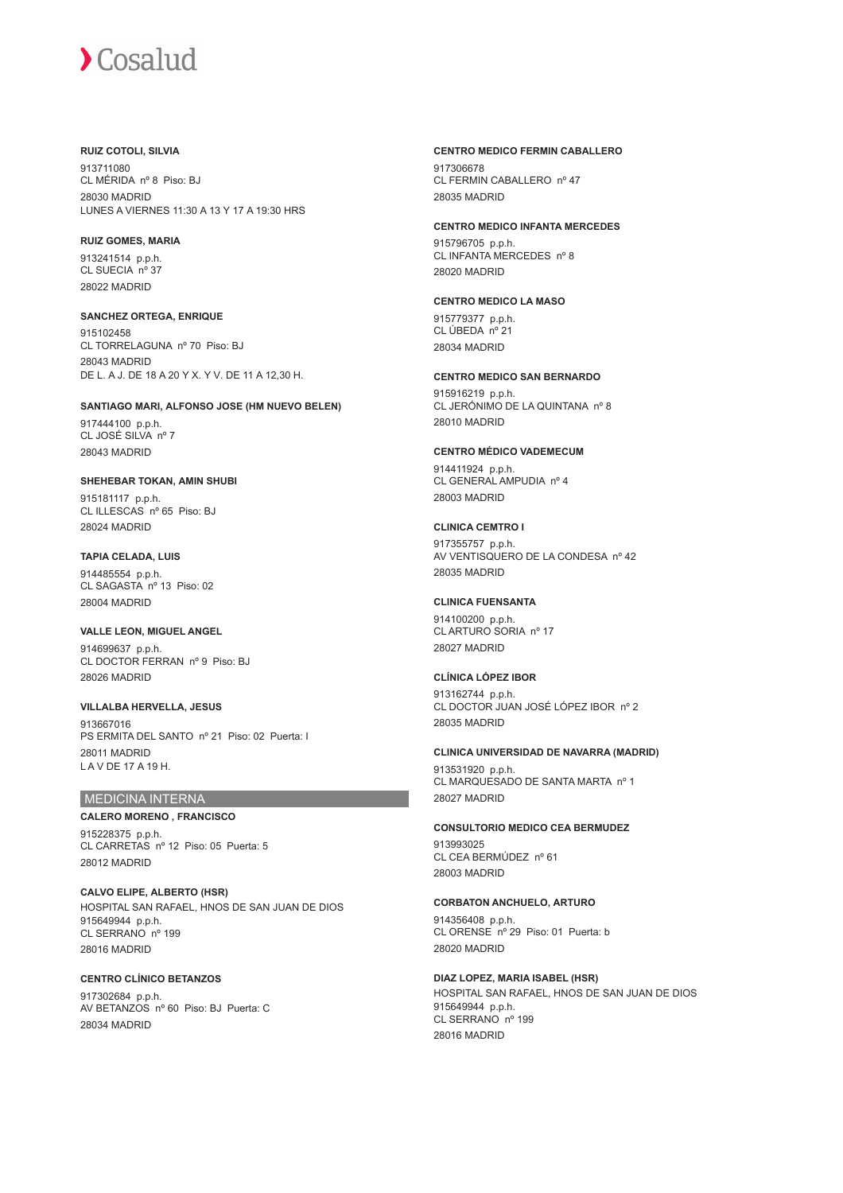#### **RUIZ COTOLI, SILVIA**

913711080 CL MÉRIDA nº 8 Piso: BJ 28030 MADRID LUNES A VIERNES 11:30 A 13 Y 17 A 19:30 HRS

#### **RUIZ GOMES, MARIA**

913241514 p.p.h. CL SUECIA nº 37 28022 MADRID

#### **SANCHEZ ORTEGA, ENRIQUE**

915102458 CL TORRELAGUNA nº 70 Piso: BJ 28043 MADRID DE L. A J. DE 18 A 20 Y X. Y V. DE 11 A 12,30 H.

#### **SANTIAGO MARI, ALFONSO JOSE (HM NUEVO BELEN)**

917444100 p.p.h. CL JOSÉ SILVA nº 7 28043 MADRID

#### **SHEHEBAR TOKAN, AMIN SHUBI**

915181117 p.p.h. CL ILLESCAS nº 65 Piso: BJ 28024 MADRID

#### **TAPIA CELADA, LUIS**

914485554 p.p.h. CL SAGASTA nº 13 Piso: 02 28004 MADRID

#### **VALLE LEON, MIGUEL ANGEL**

914699637 p.p.h. CL DOCTOR FERRAN nº 9 Piso: BJ 28026 MADRID

**VILLALBA HERVELLA, JESUS** 913667016 PS ERMITA DEL SANTO nº 21 Piso: 02 Puerta: I 28011 MADRID L A V DE 17 A 19 H.

## MEDICINA INTERNA

#### **CALERO MORENO , FRANCISCO**

915228375 p.p.h. CL CARRETAS nº 12 Piso: 05 Puerta: 5 28012 MADRID

**CALVO ELIPE, ALBERTO (HSR)** HOSPITAL SAN RAFAEL, HNOS DE SAN JUAN DE DIOS 915649944 p.p.h. CL SERRANO nº 199 28016 MADRID

#### **CENTRO CLÍNICO BETANZOS** 917302684 p.p.h. AV BETANZOS nº 60 Piso: BJ Puerta: C 28034 MADRID

#### **CENTRO MEDICO FERMIN CABALLERO**

917306678 CL FERMIN CABALLERO nº 47 28035 MADRID

#### **CENTRO MEDICO INFANTA MERCEDES**

915796705 p.p.h. CL INFANTA MERCEDES nº 8 28020 MADRID

#### **CENTRO MEDICO LA MASO**

915779377 p.p.h. CL ÚBEDA nº 21 28034 MADRID

#### **CENTRO MEDICO SAN BERNARDO**

915916219 p.p.h. CL JERÓNIMO DE LA QUINTANA nº 8 28010 MADRID

#### **CENTRO MÉDICO VADEMECUM**

914411924 p.p.h. CL GENERAL AMPUDIA nº 4 28003 MADRID

#### **CLINICA CEMTRO I**

917355757 p.p.h. AV VENTISQUERO DE LA CONDESA nº 42 28035 MADRID

#### **CLINICA FUENSANTA**

914100200 p.p.h. CL ARTURO SORIA nº 17 28027 MADRID

#### **CLÍNICA LÓPEZ IBOR**

913162744 p.p.h. CL DOCTOR JUAN JOSÉ LÓPEZ IBOR nº 2 28035 MADRID

#### **CLINICA UNIVERSIDAD DE NAVARRA (MADRID)**

913531920 p.p.h. CL MARQUESADO DE SANTA MARTA nº 1 28027 MADRID

#### **CONSULTORIO MEDICO CEA BERMUDEZ**

913993025 CL CEA BERMÚDEZ nº 61 28003 MADRID

#### **CORBATON ANCHUELO, ARTURO**

914356408 p.p.h. CL ORENSE nº 29 Piso: 01 Puerta: b 28020 MADRID

#### **DIAZ LOPEZ, MARIA ISABEL (HSR)**

HOSPITAL SAN RAFAEL, HNOS DE SAN JUAN DE DIOS 915649944 p.p.h. CL SERRANO nº 199 28016 MADRID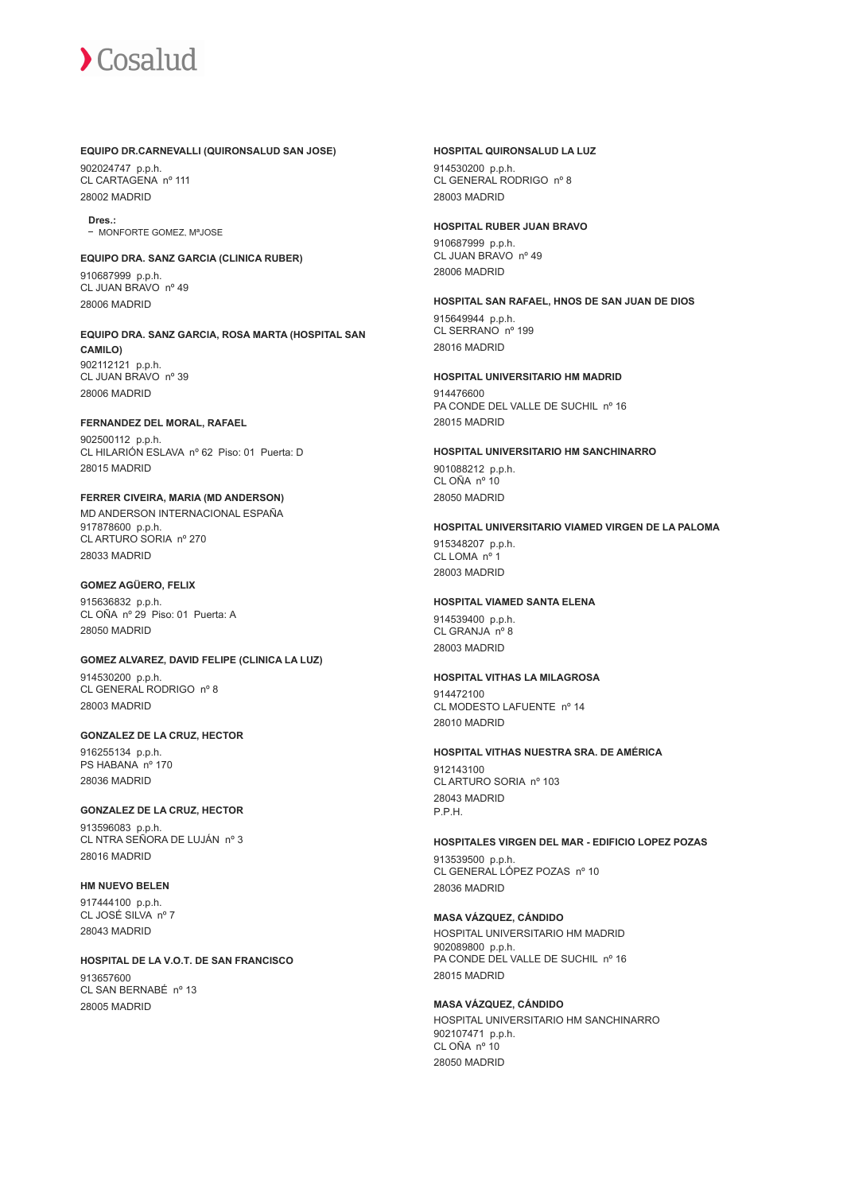#### **EQUIPO DR.CARNEVALLI (QUIRONSALUD SAN JOSE)**

902024747 p.p.h. CL CARTAGENA nº 111 28002 MADRID

**Dres.:** - MONEORTE GOMEZ, MªJOSE

#### **EQUIPO DRA. SANZ GARCIA (CLINICA RUBER)** 910687999 p.p.h.

CL JUAN BRAVO nº 49 28006 MADRID

**EQUIPO DRA. SANZ GARCIA, ROSA MARTA (HOSPITAL SAN CAMILO)** 902112121 p.p.h. CL JUAN BRAVO nº 39 28006 MADRID

#### **FERNANDEZ DEL MORAL, RAFAEL**

902500112 p.p.h. CL HILARIÓN ESLAVA nº 62 Piso: 01 Puerta: D 28015 MADRID

## **FERRER CIVEIRA, MARIA (MD ANDERSON)** MD ANDERSON INTERNACIONAL ESPAÑA

917878600 p.p.h. CL ARTURO SORIA nº 270 28033 MADRID

#### **GOMEZ AGÜERO, FELIX**

915636832 p.p.h. CL OÑA nº 29 Piso: 01 Puerta: A 28050 MADRID

## **GOMEZ ALVAREZ, DAVID FELIPE (CLINICA LA LUZ)**

914530200 p.p.h. CL GENERAL RODRIGO nº 8 28003 MADRID

#### **GONZALEZ DE LA CRUZ, HECTOR**

916255134 p.p.h. PS HABANA nº 170 28036 MADRID

#### **GONZALEZ DE LA CRUZ, HECTOR**

913596083 p.p.h. CL NTRA SEÑORA DE LUJÁN nº 3 28016 MADRID

**HM NUEVO BELEN** 917444100 p.p.h. CL JOSÉ SILVA nº 7 28043 MADRID

#### **HOSPITAL DE LA V.O.T. DE SAN FRANCISCO** 913657600 CL SAN BERNABÉ nº 13 28005 MADRID

#### **HOSPITAL QUIRONSALUD LA LUZ**

914530200 p.p.h. CL GENERAL RODRIGO nº 8 28003 MADRID

#### **HOSPITAL RUBER JUAN BRAVO**

910687999 p.p.h. CL JUAN BRAVO nº 49 28006 MADRID

## **HOSPITAL SAN RAFAEL, HNOS DE SAN JUAN DE DIOS**

915649944 p.p.h. CL SERRANO nº 199 28016 MADRID

## **HOSPITAL UNIVERSITARIO HM MADRID**

914476600 PA CONDE DEL VALLE DE SUCHIL nº 16 28015 MADRID

## **HOSPITAL UNIVERSITARIO HM SANCHINARRO** 901088212 p.p.h.

CL OÑA nº 10 28050 MADRID

#### **HOSPITAL UNIVERSITARIO VIAMED VIRGEN DE LA PALOMA**

915348207 p.p.h. CL LOMA nº 28003 MADRID

#### **HOSPITAL VIAMED SANTA ELENA**

914539400 p.p.h. CL GRANJA nº 8 28003 MADRID

#### **HOSPITAL VITHAS LA MILAGROSA**

914472100 CL MODESTO LAFUENTE nº 14 28010 MADRID

## **HOSPITAL VITHAS NUESTRA SRA. DE AMÉRICA**

912143100 CL ARTURO SORIA nº 103 28043 MADRID P.P.H.

#### **HOSPITALES VIRGEN DEL MAR - EDIFICIO LOPEZ POZAS**

913539500 p.p.h. CL GENERAL LÓPEZ POZAS nº 10 28036 MADRID

#### **MASA VÁZQUEZ, CÁNDIDO**

HOSPITAL UNIVERSITARIO HM MADRID 902089800 p.p.h. PA CONDE DEL VALLE DE SUCHIL nº 16 28015 MADRID

#### **MASA VÁZQUEZ, CÁNDIDO**

HOSPITAL UNIVERSITARIO HM SANCHINARRO 902107471 p.p.h. CL OÑA nº 10 28050 MADRID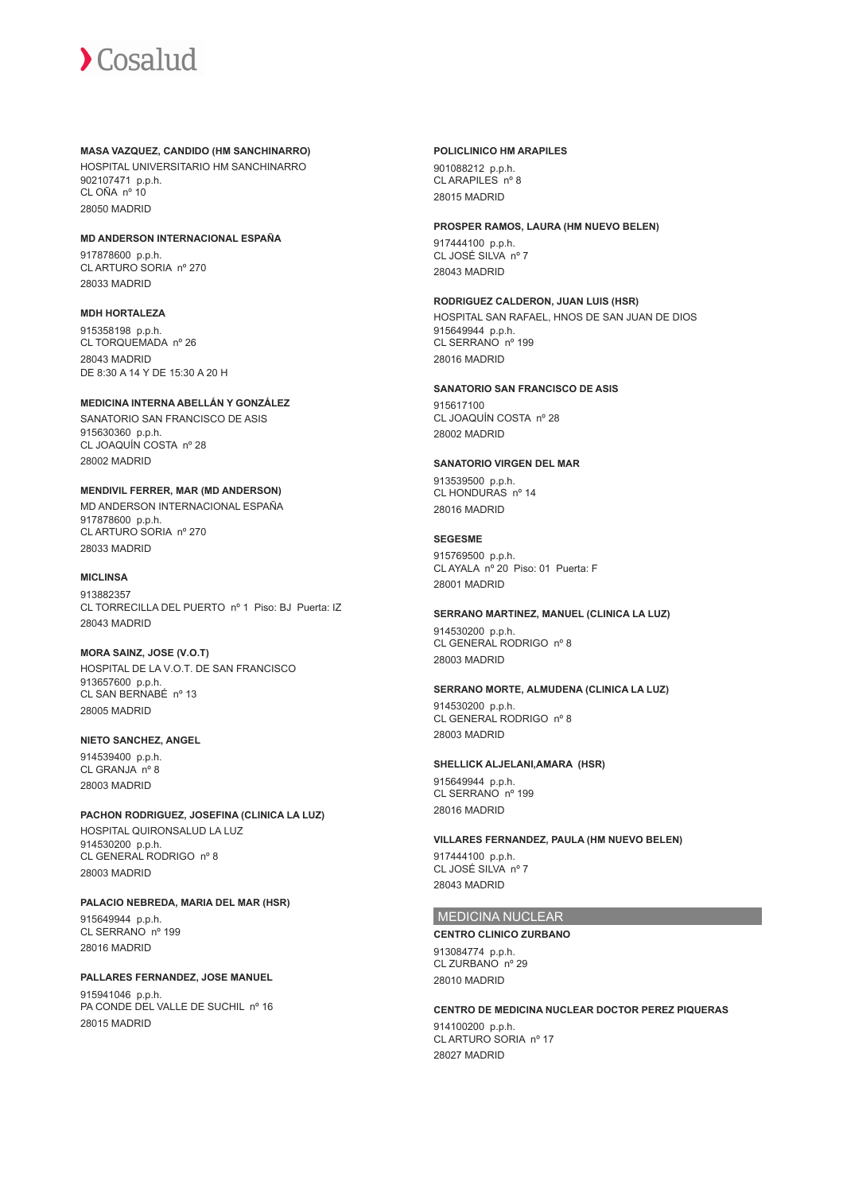#### **MASA VAZQUEZ, CANDIDO (HM SANCHINARRO)**

HOSPITAL UNIVERSITARIO HM SANCHINARRO 902107471 p.p.h. CL OÑA nº 10 28050 MADRID

#### **MD ANDERSON INTERNACIONAL ESPAÑA**

917878600 p.p.h. CL ARTURO SORIA nº 270 28033 MADRID

#### **MDH HORTALEZA**

915358198 p.p.h. CL TORQUEMADA nº 26 28043 MADRID DE 8:30 A 14 Y DE 15:30 A 20 H

## **MEDICINA INTERNA ABELLÁN Y GONZÁLEZ**

SANATORIO SAN FRANCISCO DE ASIS 915630360 p.p.h. CL JOAQUÍN COSTA nº 28 28002 MADRID

### **MENDIVIL FERRER, MAR (MD ANDERSON)**

MD ANDERSON INTERNACIONAL ESPAÑA 917878600 p.p.h. CL ARTURO SORIA nº 270 28033 MADRID

#### **MICLINSA**

913882357 CL TORRECILLA DEL PUERTO nº 1 Piso: BJ Puerta: IZ 28043 MADRID

#### **MORA SAINZ, JOSE (V.O.T)**

HOSPITAL DE LA V.O.T. DE SAN FRANCISCO 913657600 p.p.h. CL SAN BERNABÉ nº 13 28005 MADRID

#### **NIETO SANCHEZ, ANGEL**

914539400 p.p.h. CL GRANJA nº 8 28003 MADRID

#### **PACHON RODRIGUEZ, JOSEFINA (CLINICA LA LUZ)**

HOSPITAL QUIRONSALUD LA LUZ 914530200 p.p.h. CL GENERAL RODRIGO nº 8 28003 MADRID

#### **PALACIO NEBREDA, MARIA DEL MAR (HSR)**

915649944 p.p.h. CL SERRANO nº 199 28016 MADRID

#### **PALLARES FERNANDEZ, JOSE MANUEL**

915941046 p.p.h. PA CONDE DEL VALLE DE SUCHIL nº 16 28015 MADRID

#### **POLICLINICO HM ARAPILES**

901088212 p.p.h. CL ARAPILES nº 8 28015 MADRID

#### **PROSPER RAMOS, LAURA (HM NUEVO BELEN)**

917444100 p.p.h. CL JOSÉ SILVA nº 7 28043 MADRID

### **RODRIGUEZ CALDERON, JUAN LUIS (HSR)**

HOSPITAL SAN RAFAEL, HNOS DE SAN JUAN DE DIOS 915649944 p.p.h. CL SERRANO nº 199 28016 MADRID

#### **SANATORIO SAN FRANCISCO DE ASIS**

915617100 CL JOAQUÍN COSTA nº 28 28002 MADRID

#### **SANATORIO VIRGEN DEL MAR**

913539500 p.p.h. CL HONDURAS nº 14 28016 MADRID

#### **SEGESME**

915769500 p.p.h. CL AYALA nº 20 Piso: 01 Puerta: F 28001 MADRID

#### **SERRANO MARTINEZ, MANUEL (CLINICA LA LUZ)**

914530200 p.p.h. CL GENERAL RODRIGO nº 8 28003 MADRID

#### **SERRANO MORTE, ALMUDENA (CLINICA LA LUZ)**

914530200 p.p.h. CL GENERAL RODRIGO nº 8 28003 MADRID

#### **SHELLICK ALJELANI,AMARA (HSR)**

915649944 p.p.h. CL SERRANO nº 199 28016 MADRID

#### **VILLARES FERNANDEZ, PAULA (HM NUEVO BELEN)**

917444100 p.p.h. CL JOSÉ SILVA nº 7 28043 MADRID

## MEDICINA NUCLEAR

#### **CENTRO CLINICO ZURBANO**

913084774 p.p.h. CL ZURBANO nº 29 28010 MADRID

#### **CENTRO DE MEDICINA NUCLEAR DOCTOR PEREZ PIQUERAS** 914100200 p.p.h. CL ARTURO SORIA nº 17 28027 MADRID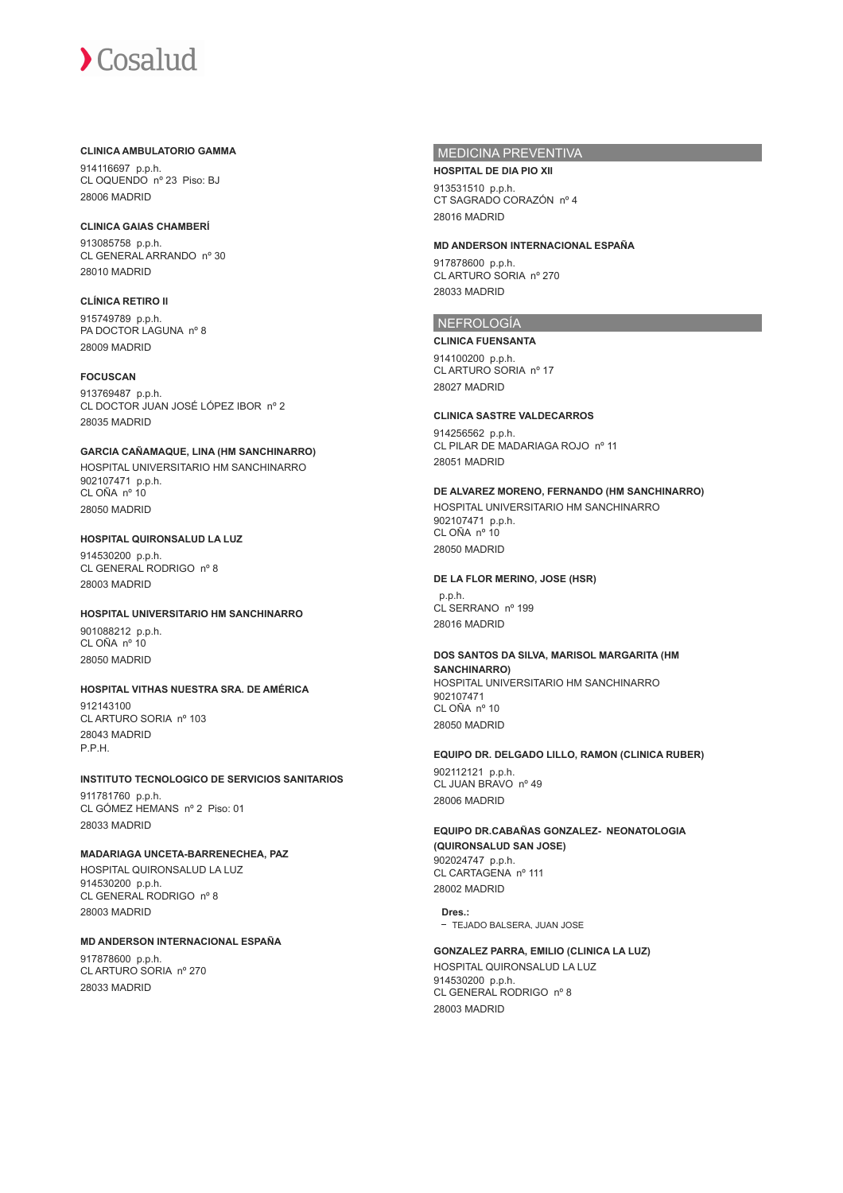#### **CLINICA AMBULATORIO GAMMA**

914116697 p.p.h. CL OQUENDO nº 23 Piso: BJ 28006 MADRID

#### **CLINICA GAIAS CHAMBERÍ**

913085758 p.p.h. CL GENERAL ARRANDO nº 30 28010 MADRID

## **CLÍNICA RETIRO II**

915749789 p.p.h. PA DOCTOR LAGUNA nº 8 28009 MADRID

### **FOCUSCAN**

913769487 p.p.h. CL DOCTOR JUAN JOSÉ LÓPEZ IBOR nº 2 28035 MADRID

## **GARCIA CAÑAMAQUE, LINA (HM SANCHINARRO)** HOSPITAL UNIVERSITARIO HM SANCHINARRO

902107471 p.p.h. CL OÑA nº 10 28050 MADRID

#### **HOSPITAL QUIRONSALUD LA LUZ** 914530200 p.p.h. CL GENERAL RODRIGO nº 8 28003 MADRID

## **HOSPITAL UNIVERSITARIO HM SANCHINARRO**

901088212 p.p.h. CL OÑA nº 10 28050 MADRID

## **HOSPITAL VITHAS NUESTRA SRA. DE AMÉRICA** 912143100

CL ARTURO SORIA nº 103 28043 MADRID P.P.H.

#### **INSTITUTO TECNOLOGICO DE SERVICIOS SANITARIOS** 911781760 p.p.h.

CL GÓMEZ HEMANS nº 2 Piso: 01 28033 MADRID

## **MADARIAGA UNCETA-BARRENECHEA, PAZ**

HOSPITAL QUIRONSALUD LA LUZ 914530200 p.p.h. CL GENERAL RODRIGO nº 8 28003 MADRID

## **MD ANDERSON INTERNACIONAL ESPAÑA**

917878600 p.p.h. CL ARTURO SORIA nº 270 28033 MADRID

### MEDICINA PREVENTIVA

**HOSPITAL DE DIA PIO XII** 913531510 p.p.h. CT SAGRADO CORAZÓN nº 4 28016 MADRID

### **MD ANDERSON INTERNACIONAL ESPAÑA**

917878600 p.p.h. CL ARTURO SORIA nº 270 28033 MADRID

## NEFROLOGÍA

#### **CLINICA FUENSANTA**

914100200 p.p.h. CL ARTURO SORIA nº 17 28027 MADRID

#### **CLINICA SASTRE VALDECARROS**

914256562 p.p.h. CL PILAR DE MADARIAGA ROJO nº 11 28051 MADRID

#### **DE ALVAREZ MORENO, FERNANDO (HM SANCHINARRO)**

HOSPITAL UNIVERSITARIO HM SANCHINARRO 902107471 p.p.h. CL OÑA nº 10 28050 MADRID

#### **DE LA FLOR MERINO, JOSE (HSR)**

 p.p.h. CL SERRANO nº 199 28016 MADRID

#### **DOS SANTOS DA SILVA, MARISOL MARGARITA (HM SANCHINARRO)** HOSPITAL UNIVERSITARIO HM SANCHINARRO

902107471 CL OÑA nº 10 28050 MADRID

## **EQUIPO DR. DELGADO LILLO, RAMON (CLINICA RUBER)**

902112121 p.p.h. CL JUAN BRAVO nº 49 28006 MADRID

#### **EQUIPO DR.CABAÑAS GONZALEZ- NEONATOLOGIA (QUIRONSALUD SAN JOSE)** 902024747 p.p.h. CL CARTAGENA nº 111

28002 MADRID **Dres.:**

- TEJADO BALSERA, JUAN JOSE

#### **GONZALEZ PARRA, EMILIO (CLINICA LA LUZ)**

HOSPITAL QUIRONSALUD LA LUZ 914530200 p.p.h. CL GENERAL RODRIGO nº 8 28003 MADRID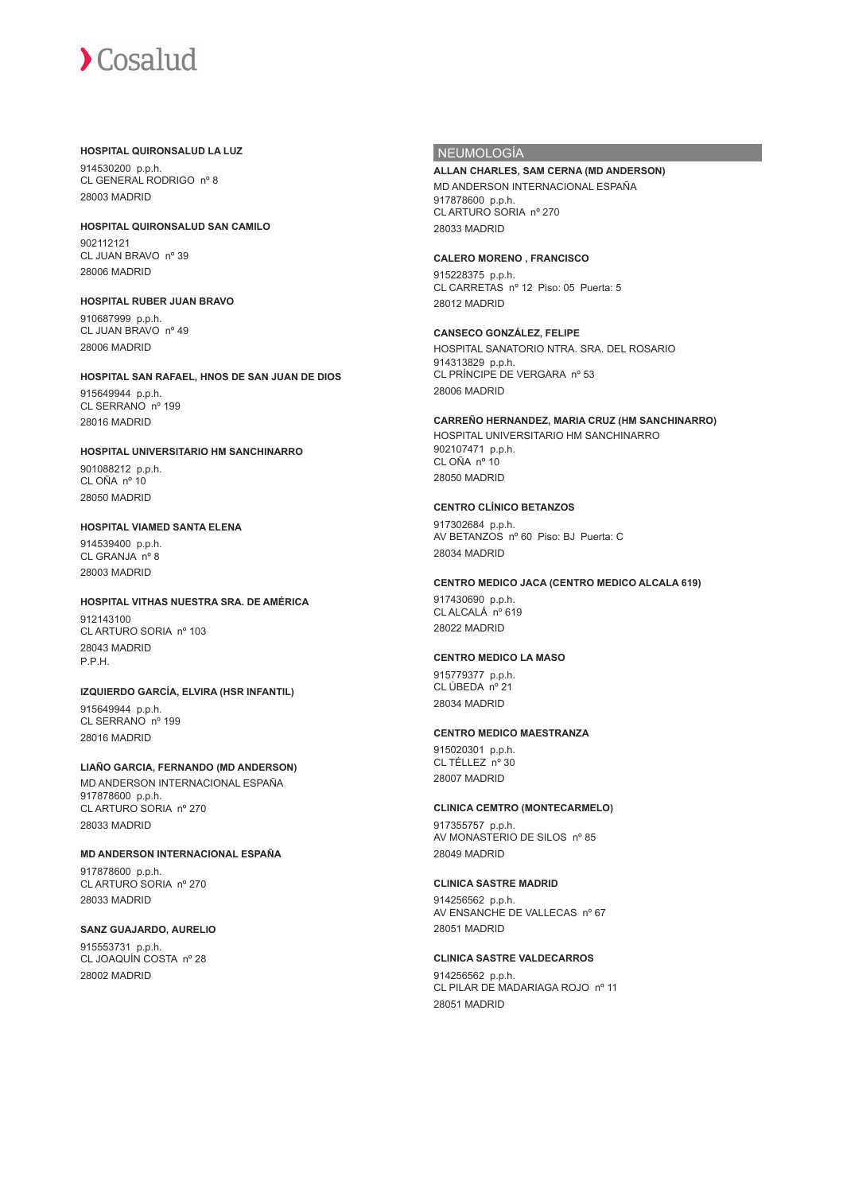#### **HOSPITAL QUIRONSALUD LA LUZ**

914530200 p.p.h. CL GENERAL RODRIGO nº 8 28003 MADRID

**HOSPITAL QUIRONSALUD SAN CAMILO** 902112121 CL JUAN BRAVO nº 39 28006 MADRID

### **HOSPITAL RUBER JUAN BRAVO** 910687999 p.p.h.

CL JUAN BRAVO nº 49 28006 MADRID

#### **HOSPITAL SAN RAFAEL, HNOS DE SAN JUAN DE DIOS**

915649944 p.p.h. CL SERRANO nº 199 28016 MADRID

### **HOSPITAL UNIVERSITARIO HM SANCHINARRO** 901088212 p.p.h.

CL OÑA nº 10 28050 MADRID

#### **HOSPITAL VIAMED SANTA ELENA**

914539400 p.p.h. CL GRANJA nº 8 28003 MADRID

### **HOSPITAL VITHAS NUESTRA SRA. DE AMÉRICA**

012143100 CL ARTURO SORIA nº 103 28043 MADRID P.P.H.

#### **IZQUIERDO GARCÍA, ELVIRA (HSR INFANTIL)**

915649944 p.p.h. CL SERRANO nº 199 28016 MADRID

#### **LIAÑO GARCIA, FERNANDO (MD ANDERSON)** MD ANDERSON INTERNACIONAL ESPAÑA

917878600 p.p.h. CL ARTURO SORIA nº 270 28033 MADRID

#### **MD ANDERSON INTERNACIONAL ESPAÑA**

917878600 p.p.h. CL ARTURO SORIA nº 270 28033 MADRID

#### **SANZ GUAJARDO, AURELIO**

915553731 p.p.h. CL JOAQUÍN COSTA nº 28 28002 MADRID

### NEUMOLOGÍA

## **ALLAN CHARLES, SAM CERNA (MD ANDERSON)**

MD ANDERSON INTERNACIONAL ESPAÑA 917878600 p.p.h. CL ARTURO SORIA nº 270 28033 MADRID

#### **CALERO MORENO , FRANCISCO**

915228375 p.p.h. CL CARRETAS nº 12 Piso: 05 Puerta: 5 28012 MADRID

#### **CANSECO GONZÁLEZ, FELIPE**

HOSPITAL SANATORIO NTRA. SRA. DEL ROSARIO 914313829 p.p.h. CL PRÍNCIPE DE VERGARA nº 53 28006 MADRID

#### **CARREÑO HERNANDEZ, MARIA CRUZ (HM SANCHINARRO)**

HOSPITAL UNIVERSITARIO HM SANCHINARRO 902107471 p.p.h. CL OÑA nº 10 28050 MADRID

### **CENTRO CLÍNICO BETANZOS**

917302684 p.p.h. AV BETANZOS nº 60 Piso: BJ Puerta: C 28034 MADRID

#### **CENTRO MEDICO JACA (CENTRO MEDICO ALCALA 619)**

917430690 p.p.h. CL ALCALÁ nº 619 28022 MADRID

#### **CENTRO MEDICO LA MASO**

915779377 p.p.h. CL ÚBEDA nº 21 28034 MADRID

#### **CENTRO MEDICO MAESTRANZA**

915020301 p.p.h. CL TÉLLEZ nº 30 28007 MADRID

#### **CLINICA CEMTRO (MONTECARMELO)**

917355757 p.p.h. AV MONASTERIO DE SILOS nº 85 28049 MADRID

#### **CLINICA SASTRE MADRID**

914256562 p.p.h. AV ENSANCHE DE VALLECAS nº 67 28051 MADRID

#### **CLINICA SASTRE VALDECARROS**

914256562 p.p.h. CL PILAR DE MADARIAGA ROJO nº 11 28051 MADRID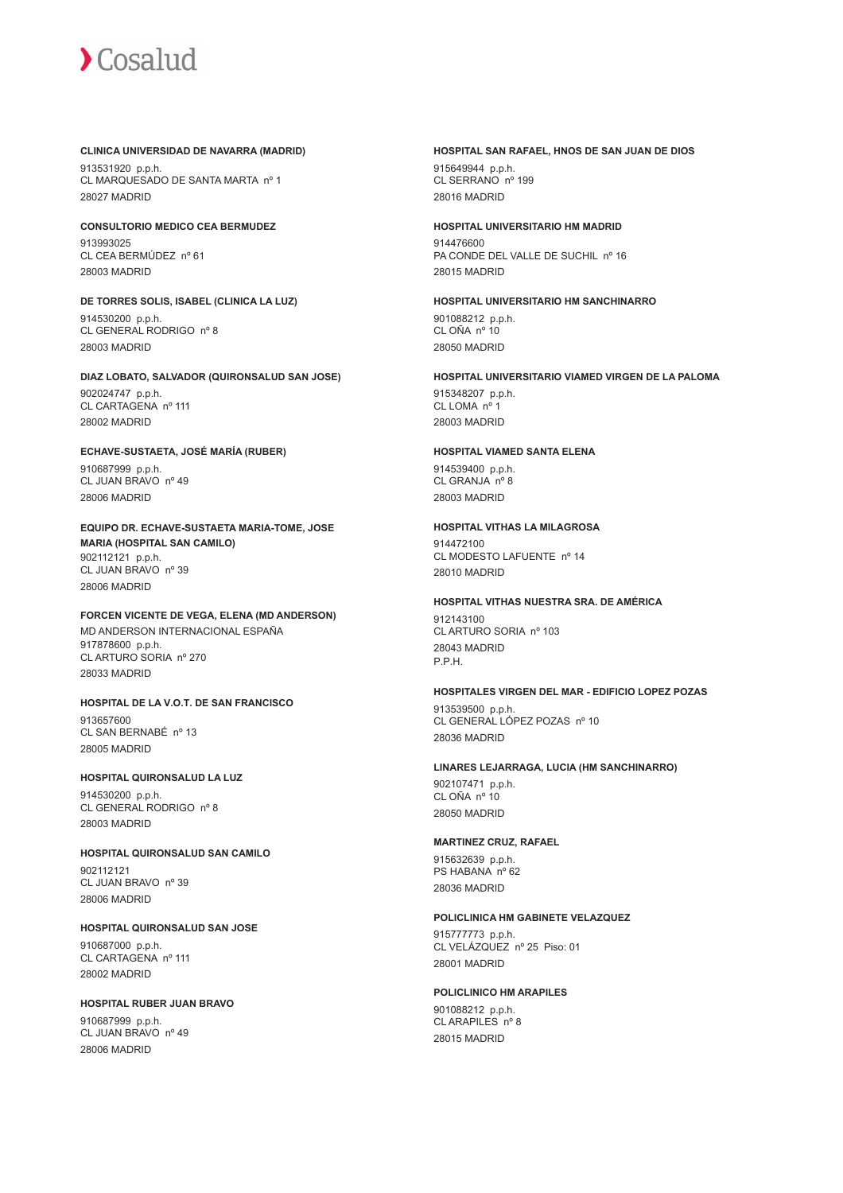#### **CLINICA UNIVERSIDAD DE NAVARRA (MADRID)**

913531920 p.p.h. CL MARQUESADO DE SANTA MARTA nº 1 28027 MADRID

**CONSULTORIO MEDICO CEA BERMUDEZ** 913993025 CL CEA BERMÚDEZ nº 61 28003 MADRID

**DE TORRES SOLIS, ISABEL (CLINICA LA LUZ)** 914530200 p.p.h. CL GENERAL RODRIGO nº 8

28003 MADRID

**DIAZ LOBATO, SALVADOR (QUIRONSALUD SAN JOSE)** 902024747 p.p.h. CL CARTAGENA nº 111 28002 MADRID

**ECHAVE-SUSTAETA, JOSÉ MARÍA (RUBER)** 910687999 p.p.h. CL JUAN BRAVO nº 49 28006 MADRID

**EQUIPO DR. ECHAVE-SUSTAETA MARIA-TOME, JOSE MARIA (HOSPITAL SAN CAMILO)** 902112121 p.p.h. CL JUAN BRAVO nº 39 28006 MADRID

**FORCEN VICENTE DE VEGA, ELENA (MD ANDERSON)** MD ANDERSON INTERNACIONAL ESPAÑA 917878600 p.p.h. CL ARTURO SORIA nº 270 28033 MADRID

**HOSPITAL DE LA V.O.T. DE SAN FRANCISCO** 913657600 CL SAN BERNABÉ nº 13 28005 MADRID

**HOSPITAL QUIRONSALUD LA LUZ** 914530200 p.p.h. CL GENERAL RODRIGO nº 8 28003 MADRID

**HOSPITAL QUIRONSALUD SAN CAMILO** 902112121 CL JUAN BRAVO nº 39 28006 MADRID

**HOSPITAL QUIRONSALUD SAN JOSE** 910687000 p.p.h. CL CARTAGENA nº 111 28002 MADRID

**HOSPITAL RUBER JUAN BRAVO** 910687999 p.p.h. CL JUAN BRAVO nº 49 28006 MADRID

#### **HOSPITAL SAN RAFAEL, HNOS DE SAN JUAN DE DIOS** 915649944 p.p.h.

CL SERRANO nº 199 28016 MADRID

#### **HOSPITAL UNIVERSITARIO HM MADRID**

914476600 PA CONDE DEL VALLE DE SUCHIL nº 16 28015 MADRID

**HOSPITAL UNIVERSITARIO HM SANCHINARRO**

901088212 p.p.h. CL OÑA nº 10 28050 MADRID

**HOSPITAL UNIVERSITARIO VIAMED VIRGEN DE LA PALOMA** 915348207 p.p.h.

CL LOMA nº 1 28003 MADRID

#### **HOSPITAL VIAMED SANTA ELENA**

914539400 p.p.h. CL GRANJA nº 8 28003 MADRID

### **HOSPITAL VITHAS LA MILAGROSA**

914472100 CL MODESTO LAFUENTE nº 14 28010 MADRID

## **HOSPITAL VITHAS NUESTRA SRA. DE AMÉRICA**

012143100 CL ARTURO SORIA nº 103 28043 MADRID P.P.H.

#### **HOSPITALES VIRGEN DEL MAR - EDIFICIO LOPEZ POZAS**

913539500 p.p.h. CL GENERAL LÓPEZ POZAS nº 10 28036 MADRID

#### **LINARES LEJARRAGA, LUCIA (HM SANCHINARRO)**

902107471 p.p.h. CL OÑA nº 10 28050 MADRID

#### **MARTINEZ CRUZ, RAFAEL**

915632639 p.p.h. PS HABANA nº 62 28036 MADRID

#### **POLICLINICA HM GABINETE VELAZQUEZ**

915777773 p.p.h. CL VELÁZQUEZ nº 25 Piso: 01 28001 MADRID

### **POLICLINICO HM ARAPILES** 901088212 p.p.h.

CL ARAPILES nº 8 28015 MADRID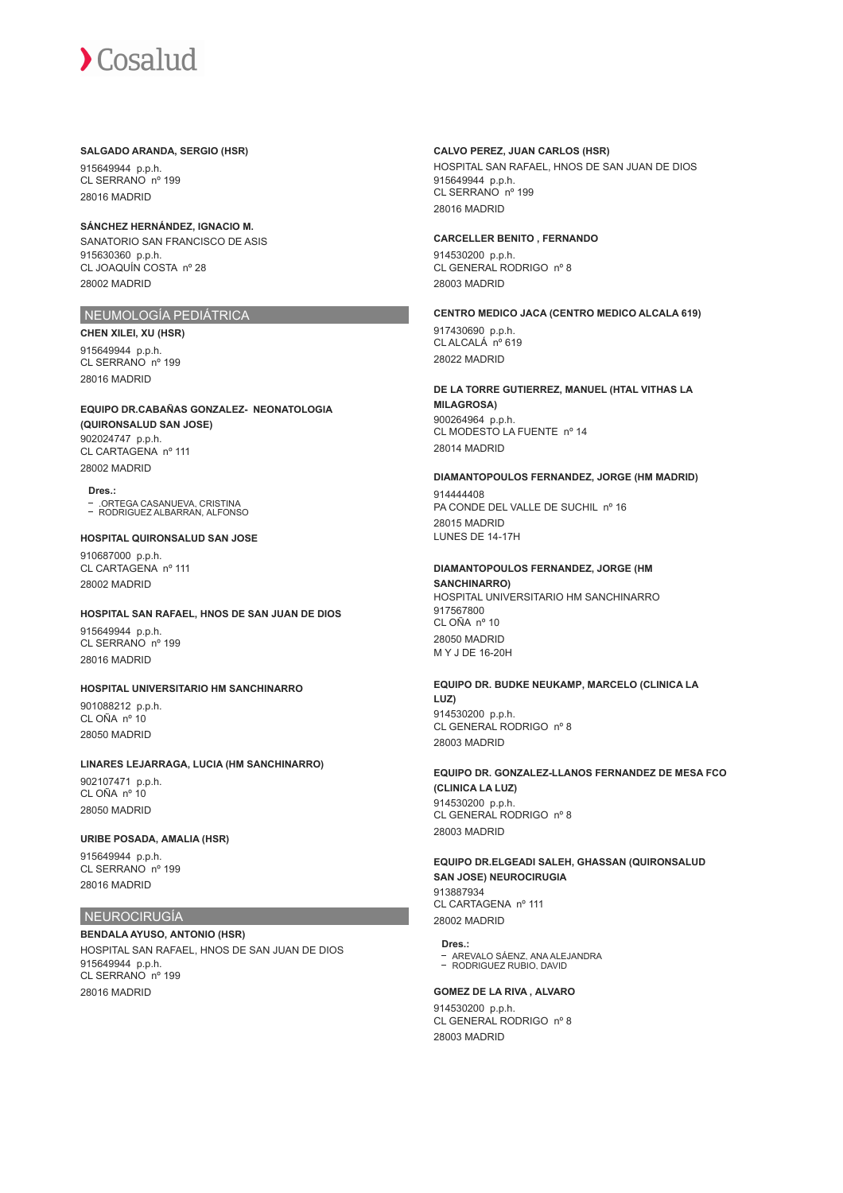#### **SALGADO ARANDA, SERGIO (HSR)**

915649944 p.p.h. CL SERRANO nº 199 28016 MADRID

## **SÁNCHEZ HERNÁNDEZ, IGNACIO M.**

SANATORIO SAN FRANCISCO DE ASIS 915630360 p.p.h. CL JOAQUÍN COSTA nº 28 28002 MADRID

### NEUMOLOGÍA PEDIÁTRICA

**CHEN XILEI, XU (HSR)** 915649944 p.p.h. CL SERRANO nº 199 28016 MADRID

#### **EQUIPO DR.CABAÑAS GONZALEZ- NEONATOLOGIA (QUIRONSALUD SAN JOSE)** 902024747 p.p.h. CL CARTAGENA nº 111

28002 MADRID **Dres.:**

.ORTEGA CASANUEVA, CRISTINA RODRIGUEZ ALBARRAN, ALFONSO

#### **HOSPITAL QUIRONSALUD SAN JOSE** 910687000 p.p.h. CL CARTAGENA nº 111 28002 MADRID

#### **HOSPITAL SAN RAFAEL, HNOS DE SAN JUAN DE DIOS**

915649944 p.p.h. CL SERRANO nº 199 28016 MADRID

#### **HOSPITAL UNIVERSITARIO HM SANCHINARRO**

901088212 p.p.h. CL OÑA nº 10 28050 MADRID

#### **LINARES LEJARRAGA, LUCIA (HM SANCHINARRO)**

902107471 p.p.h. CL OÑA nº 10 28050 MADRID

#### **URIBE POSADA, AMALIA (HSR)**

915649944 p.p.h. CL SERRANO nº 199 28016 MADRID

#### NEUROCIRUGÍA

**BENDALA AYUSO, ANTONIO (HSR)** HOSPITAL SAN RAFAEL, HNOS DE SAN JUAN DE DIOS 915649944 p.p.h. CL SERRANO nº 199 28016 MADRID

#### **CALVO PEREZ, JUAN CARLOS (HSR)**

HOSPITAL SAN RAFAEL, HNOS DE SAN JUAN DE DIOS 915649944 p.p.h. CL SERRANO nº 199 28016 MADRID

#### **CARCELLER BENITO , FERNANDO**

914530200 p.p.h. CL GENERAL RODRIGO nº 8 28003 MADRID

#### **CENTRO MEDICO JACA (CENTRO MEDICO ALCALA 619)**

917430690 p.p.h. CL ALCALÁ nº 619 28022 MADRID

#### **DE LA TORRE GUTIERREZ, MANUEL (HTAL VITHAS LA MILAGROSA)** 900264964 p.p.h.

CL MODESTO LA FUENTE nº 14 28014 MADRID

#### **DIAMANTOPOULOS FERNANDEZ, JORGE (HM MADRID)**

914444408 PA CONDE DEL VALLE DE SUCHIL nº 16 28015 MADRID LUNES DE 14-17H

## **DIAMANTOPOULOS FERNANDEZ, JORGE (HM**

**SANCHINARRO)** HOSPITAL UNIVERSITARIO HM SANCHINARRO 917567800 CL OÑA nº 10 28050 MADRID M Y J DE 16-20H

#### **EQUIPO DR. BUDKE NEUKAMP, MARCELO (CLINICA LA LUZ)** 914530200 p.p.h. CL GENERAL RODRIGO nº 8

28003 MADRID

#### **EQUIPO DR. GONZALEZ-LLANOS FERNANDEZ DE MESA FCO (CLINICA LA LUZ)** 914530200 p.p.h. CL GENERAL RODRIGO nº 8 28003 MADRID

#### **EQUIPO DR.ELGEADI SALEH, GHASSAN (QUIRONSALUD SAN JOSE) NEUROCIRUGIA** 913887934 CL CARTAGENA nº 111

28002 MADRID

## **Dres.:**

AREVALO SÁENZ, ANA ALEJANDRA RODRIGUEZ RUBIO, DAVID

#### **GOMEZ DE LA RIVA , ALVARO**

914530200 p.p.h. CL GENERAL RODRIGO nº 8 28003 MADRID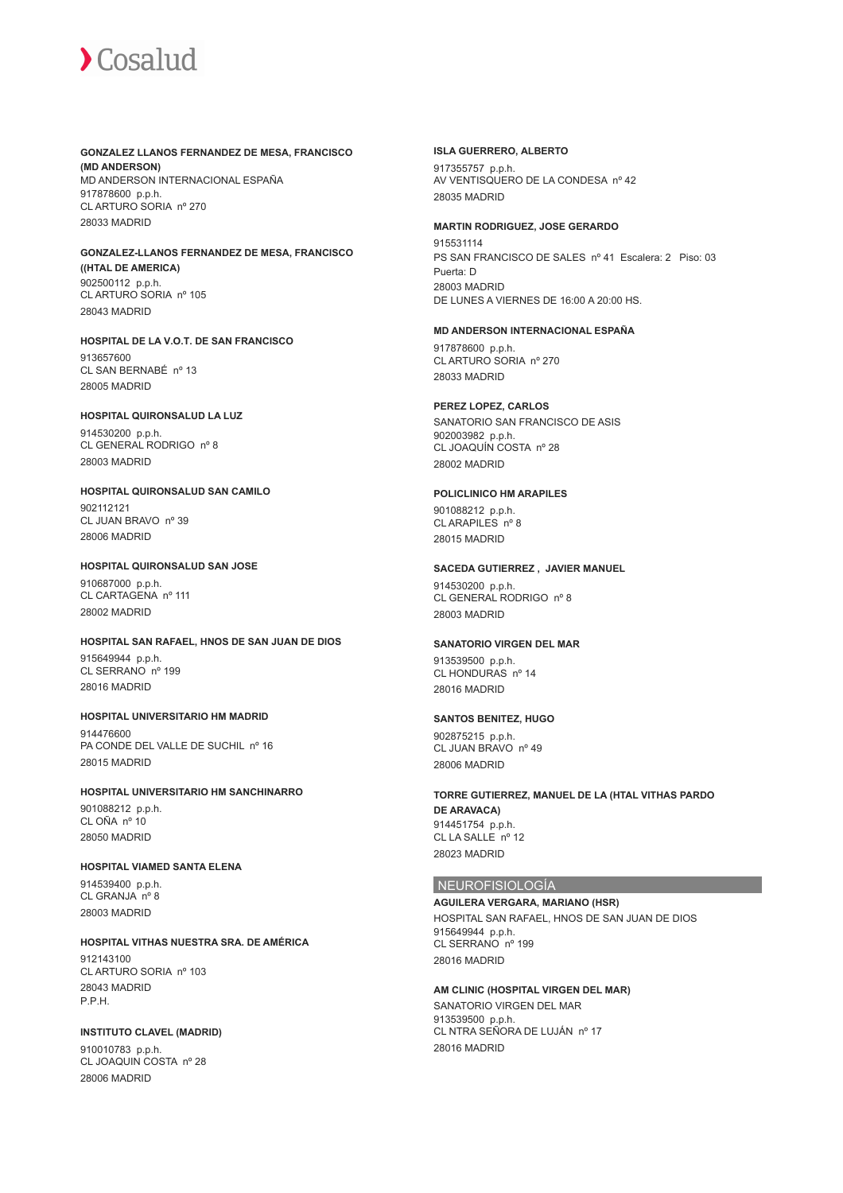#### **GONZALEZ LLANOS FERNANDEZ DE MESA, FRANCISCO (MD ANDERSON)**

MD ANDERSON INTERNACIONAL ESPAÑA 917878600 p.p.h. CL ARTURO SORIA nº 270 28033 MADRID

#### **GONZALEZ-LLANOS FERNANDEZ DE MESA, FRANCISCO ((HTAL DE AMERICA)** 902500112 p.p.h. CL ARTURO SORIA nº 105 28043 MADRID

**HOSPITAL DE LA V.O.T. DE SAN FRANCISCO** 913657600 CL SAN BERNABÉ nº 13 28005 MADRID

#### **HOSPITAL QUIRONSALUD LA LUZ**

914530200 p.p.h. CL GENERAL RODRIGO nº 8 28003 MADRID

## **HOSPITAL QUIRONSALUD SAN CAMILO**

902112121 CL JUAN BRAVO nº 39 28006 MADRID

#### **HOSPITAL QUIRONSALUD SAN JOSE**

910687000 p.p.h. CL CARTAGENA nº 111 28002 MADRID

### **HOSPITAL SAN RAFAEL, HNOS DE SAN JUAN DE DIOS**

915649944 p.p.h. CL SERRANO nº 199 28016 MADRID

#### **HOSPITAL UNIVERSITARIO HM MADRID** 914476600 PA CONDE DEL VALLE DE SUCHIL nº 16 28015 MADRID

## **HOSPITAL UNIVERSITARIO HM SANCHINARRO**

901088212 p.p.h. CL OÑA nº 10 28050 MADRID

## **HOSPITAL VIAMED SANTA ELENA**

914539400 p.p.h. CL GRANJA nº 8 28003 MADRID

#### **HOSPITAL VITHAS NUESTRA SRA. DE AMÉRICA** 912143100 CL ARTURO SORIA nº 103

28043 MADRID P.P.H.

### **INSTITUTO CLAVEL (MADRID)**

910010783 p.p.h. CL JOAQUIN COSTA nº 28 28006 MADRID

#### **ISLA GUERRERO, ALBERTO**

917355757 p.p.h. AV VENTISQUERO DE LA CONDESA nº 42 28035 MADRID

#### **MARTIN RODRIGUEZ, JOSE GERARDO**

915531114 PS SAN FRANCISCO DE SALES nº 41 Escalera: 2 Piso: 03 Puerta: D 28003 MADRID DE LUNES A VIERNES DE 16:00 A 20:00 HS.

#### **MD ANDERSON INTERNACIONAL ESPAÑA**

917878600 p.p.h. CL ARTURO SORIA nº 270 28033 MADRID

#### **PEREZ LOPEZ, CARLOS**

SANATORIO SAN FRANCISCO DE ASIS 902003982 p.p.h. CL JOAQUÍN COSTA nº 28 28002 MADRID

#### **POLICLINICO HM ARAPILES**

901088212 p.p.h. CL ARAPILES nº 8 28015 MADRID

## **SACEDA GUTIERREZ , JAVIER MANUEL**

914530200 p.p.h. CL GENERAL RODRIGO nº 8 28003 MADRID

#### **SANATORIO VIRGEN DEL MAR**

913539500 p.p.h. CL HONDURAS nº 14 28016 MADRID

#### **SANTOS BENITEZ, HUGO**

902875215 p.p.h. CL JUAN BRAVO nº 49 28006 MADRID

#### **TORRE GUTIERREZ, MANUEL DE LA (HTAL VITHAS PARDO DE ARAVACA)** 914451754 p.p.h. CL LA SALLE nº 12 28023 MADRID

#### NEUROFISIOLOGÍA

**AGUILERA VERGARA, MARIANO (HSR)** HOSPITAL SAN RAFAEL, HNOS DE SAN JUAN DE DIOS 915649944 p.p.h. CL SERRANO nº 199 28016 MADRID

#### **AM CLINIC (HOSPITAL VIRGEN DEL MAR)**

SANATORIO VIRGEN DEL MAR 913539500 p.p.h. CL NTRA SEÑORA DE LUJÁN nº 17 28016 MADRID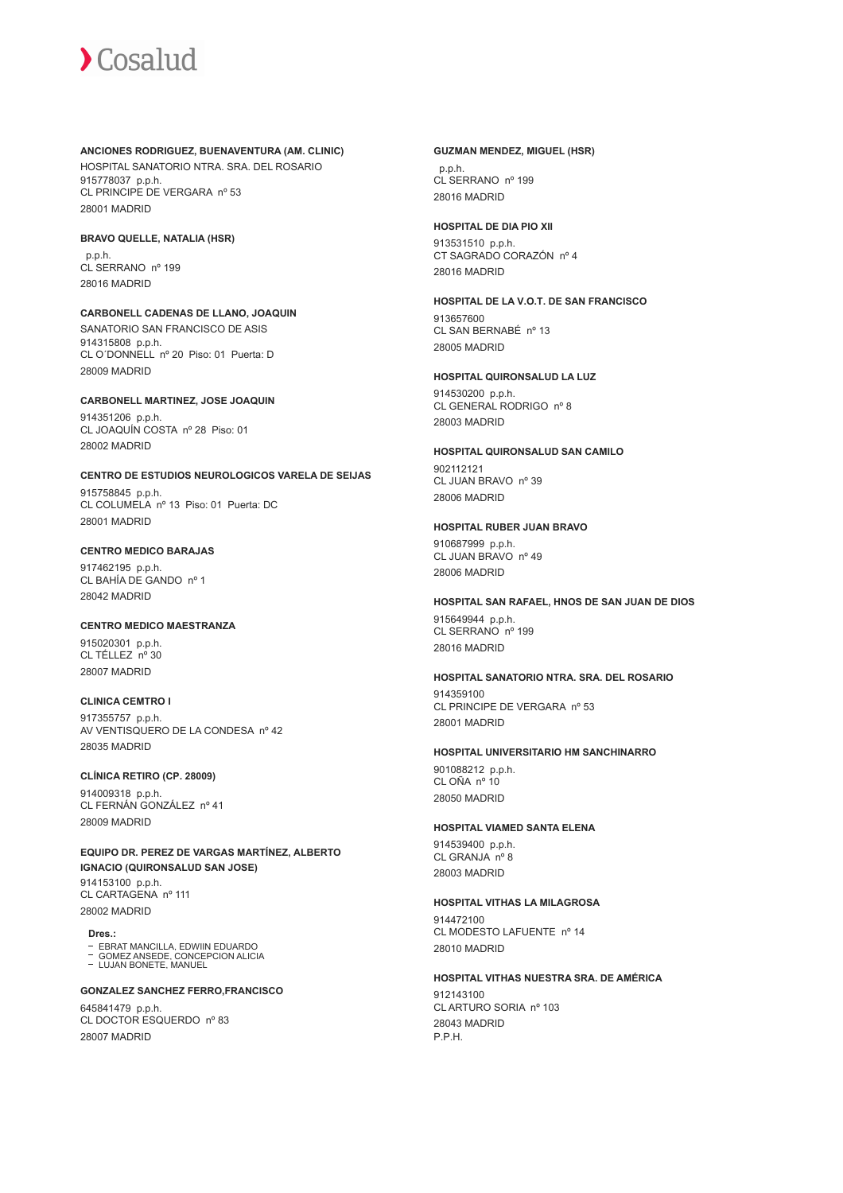#### **ANCIONES RODRIGUEZ, BUENAVENTURA (AM. CLINIC)**

HOSPITAL SANATORIO NTRA. SRA. DEL ROSARIO 915778037 p.p.h. CL PRINCIPE DE VERGARA nº 53 28001 MADRID

#### **BRAVO QUELLE, NATALIA (HSR)**

 p.p.h. CL SERRANO nº 199 28016 MADRID

#### **CARBONELL CADENAS DE LLANO, JOAQUIN** SANATORIO SAN FRANCISCO DE ASIS 914315808 p.p.h. CL O´DONNELL nº 20 Piso: 01 Puerta: D

28009 MADRID

## **CARBONELL MARTINEZ, JOSE JOAQUIN**

914351206 p.p.h. CL JOAQUÍN COSTA nº 28 Piso: 01 28002 MADRID

## **CENTRO DE ESTUDIOS NEUROLOGICOS VARELA DE SEIJAS**

915758845 p.p.h. CL COLUMELA nº 13 Piso: 01 Puerta: DC 28001 MADRID

## **CENTRO MEDICO BARAJAS**

917462195 p.p.h. CL BAHÍA DE GANDO nº 1 28042 MADRID

## **CENTRO MEDICO MAESTRANZA**

915020301 p.p.h. CL TÉLLEZ nº 30 28007 MADRID

## **CLINICA CEMTRO I**

917355757 p.p.h. AV VENTISQUERO DE LA CONDESA nº 42 28035 MADRID

## **CLÍNICA RETIRO (CP. 28009)**

914009318 p.p.h. CL FERNÁN GONZÁLEZ nº 41 28009 MADRID

**EQUIPO DR. PEREZ DE VARGAS MARTÍNEZ, ALBERTO IGNACIO (QUIRONSALUD SAN JOSE)** 914153100 p.p.h. CL CARTAGENA nº 111 28002 MADRID

**Dres.:**

#### EBRAT MANCILLA, EDWIIN EDUARDO

GOMEZ ANSEDE, CONCEPCION ALICIA LUJAN BONETE, MANUEL

#### **GONZALEZ SANCHEZ FERRO,FRANCISCO**

645841479 p.p.h. CL DOCTOR ESQUERDO nº 83 28007 MADRID

#### **GUZMAN MENDEZ, MIGUEL (HSR)**

 p.p.h. CL SERRANO nº 199 28016 MADRID

#### **HOSPITAL DE DIA PIO XII**

913531510 p.p.h. CT SAGRADO CORAZÓN nº 4 28016 MADRID

### **HOSPITAL DE LA V.O.T. DE SAN FRANCISCO** 913657600

CL SAN BERNABÉ nº 13 28005 MADRID

### **HOSPITAL QUIRONSALUD LA LUZ**

914530200 p.p.h. CL GENERAL RODRIGO nº 8 28003 MADRID

#### **HOSPITAL QUIRONSALUD SAN CAMILO** 902112121

CL JUAN BRAVO nº 39 28006 MADRID

### **HOSPITAL RUBER JUAN BRAVO**

910687999 p.p.h. CL JUAN BRAVO nº 49 28006 MADRID

## **HOSPITAL SAN RAFAEL, HNOS DE SAN JUAN DE DIOS**

915649944 p.p.h. CL SERRANO nº 199 28016 MADRID

## **HOSPITAL SANATORIO NTRA. SRA. DEL ROSARIO**

914359100 CL PRINCIPE DE VERGARA nº 53 28001 MADRID

#### **HOSPITAL UNIVERSITARIO HM SANCHINARRO**

901088212 p.p.h. CL OÑA nº 10 28050 MADRID

### **HOSPITAL VIAMED SANTA ELENA**

914539400 p.p.h. CL GRANJA nº 8 28003 MADRID

## **HOSPITAL VITHAS LA MILAGROSA**

914472100 CL MODESTO LAFUENTE nº 14 28010 MADRID

#### **HOSPITAL VITHAS NUESTRA SRA. DE AMÉRICA**

912143100 CL ARTURO SORIA nº 103 28043 MADRID P.P.H.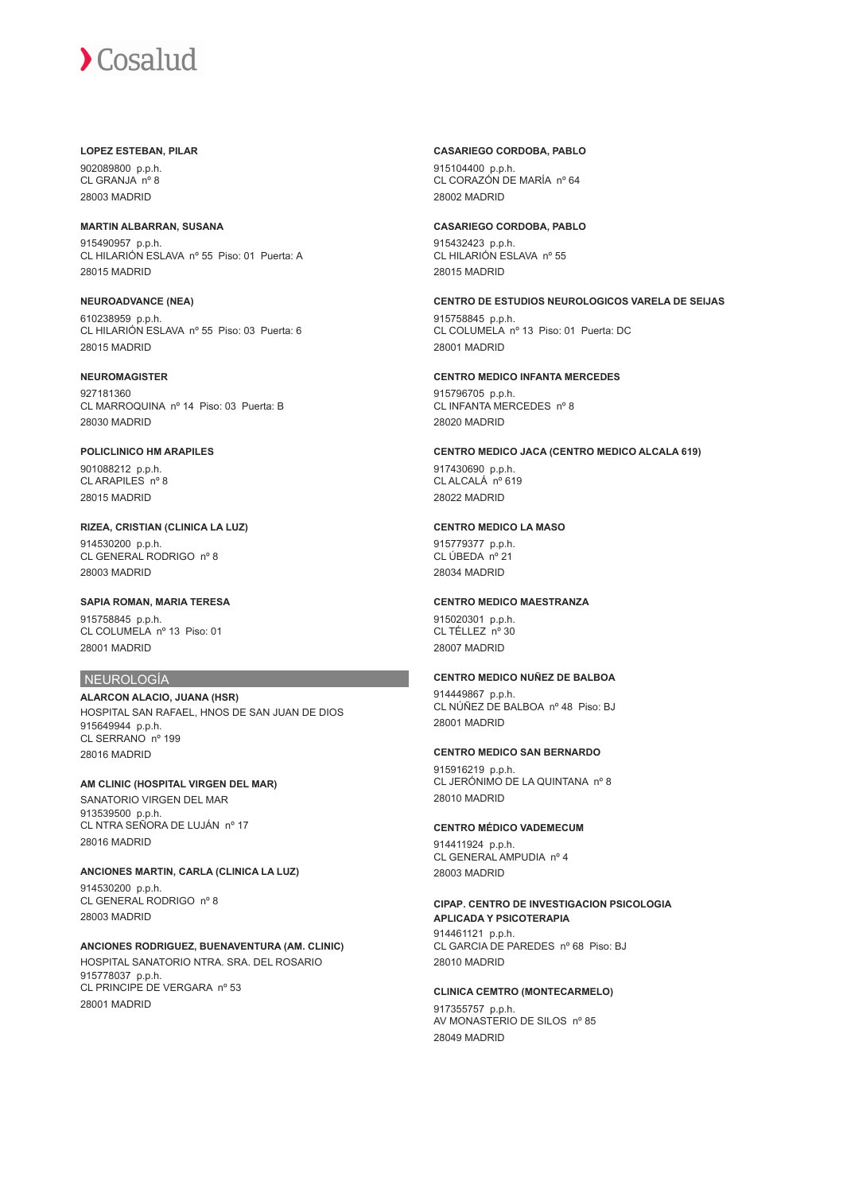#### **LOPEZ ESTEBAN, PILAR**

902089800 p.p.h. CL GRANJA nº 8 28003 MADRID

## **MARTIN ALBARRAN, SUSANA**

915490957 p.p.h. CL HILARIÓN ESLAVA nº 55 Piso: 01 Puerta: A 28015 MADRID

**NEUROADVANCE (NEA)** 610238959 p.p.h. CL HILARIÓN ESLAVA nº 55 Piso: 03 Puerta: 6 28015 MADRID

# **NEUROMAGISTER**

927181360 CL MARROQUINA nº 14 Piso: 03 Puerta: B 28030 MADRID

# **POLICLINICO HM ARAPILES**

901088212 p.p.h. CL ARAPILES nº 8 28015 MADRID

**RIZEA, CRISTIAN (CLINICA LA LUZ)** 914530200 p.p.h. CL GENERAL RODRIGO nº 8 28003 MADRID

**SAPIA ROMAN, MARIA TERESA** 915758845 p.p.h. CL COLUMELA nº 13 Piso: 01 28001 MADRID

# NEUROLOGÍA

**ALARCON ALACIO, JUANA (HSR)** HOSPITAL SAN RAFAEL, HNOS DE SAN JUAN DE DIOS 915649944 p.p.h. CL SERRANO nº 199 28016 MADRID

**AM CLINIC (HOSPITAL VIRGEN DEL MAR)** SANATORIO VIRGEN DEL MAR 913539500 p.p.h. CL NTRA SEÑORA DE LUJÁN nº 17 28016 MADRID

**ANCIONES MARTIN, CARLA (CLINICA LA LUZ)**

914530200 p.p.h. CL GENERAL RODRIGO nº 8 28003 MADRID

**ANCIONES RODRIGUEZ, BUENAVENTURA (AM. CLINIC)** HOSPITAL SANATORIO NTRA. SRA. DEL ROSARIO 915778037 p.p.h. CL PRINCIPE DE VERGARA nº 53 28001 MADRID

#### **CASARIEGO CORDOBA, PABLO**

915104400 p.p.h. CL CORAZÓN DE MARÍA nº 64 28002 MADRID

## **CASARIEGO CORDOBA, PABLO**

915432423 p.p.h. CL HILARIÓN ESLAVA nº 55 28015 MADRID

**CENTRO DE ESTUDIOS NEUROLOGICOS VARELA DE SEIJAS**

915758845 p.p.h. CL COLUMELA nº 13 Piso: 01 Puerta: DC 28001 MADRID

# **CENTRO MEDICO INFANTA MERCEDES**

915796705 p.p.h. CL INFANTA MERCEDES nº 8 28020 MADRID

**CENTRO MEDICO JACA (CENTRO MEDICO ALCALA 619)**

917430690 p.p.h. CL ALCALÁ<sup>no</sup> 619 28022 MADRID

# **CENTRO MEDICO LA MASO**

915779377 p.p.h. CL ÚBEDA nº 21 28034 MADRID

# **CENTRO MEDICO MAESTRANZA**

915020301 p.p.h. CL TÉLLEZ nº 30 28007 MADRID

# **CENTRO MEDICO NUÑEZ DE BALBOA**

914449867 p.p.h. CL NÚÑEZ DE BALBOA nº 48 Piso: BJ 28001 MADRID

# **CENTRO MEDICO SAN BERNARDO**

915916219 p.p.h. CL JERÓNIMO DE LA QUINTANA nº 8 28010 MADRID

# **CENTRO MÉDICO VADEMECUM**

914411924 p.p.h. CL GENERAL AMPUDIA nº 4 28003 MADRID

# **CIPAP. CENTRO DE INVESTIGACION PSICOLOGIA APLICADA Y PSICOTERAPIA** 914461121 p.p.h.

CL GARCIA DE PAREDES nº 68 Piso: BJ 28010 MADRID

**CLINICA CEMTRO (MONTECARMELO)** 917355757 p.p.h.

AV MONASTERIO DE SILOS nº 85 28049 MADRID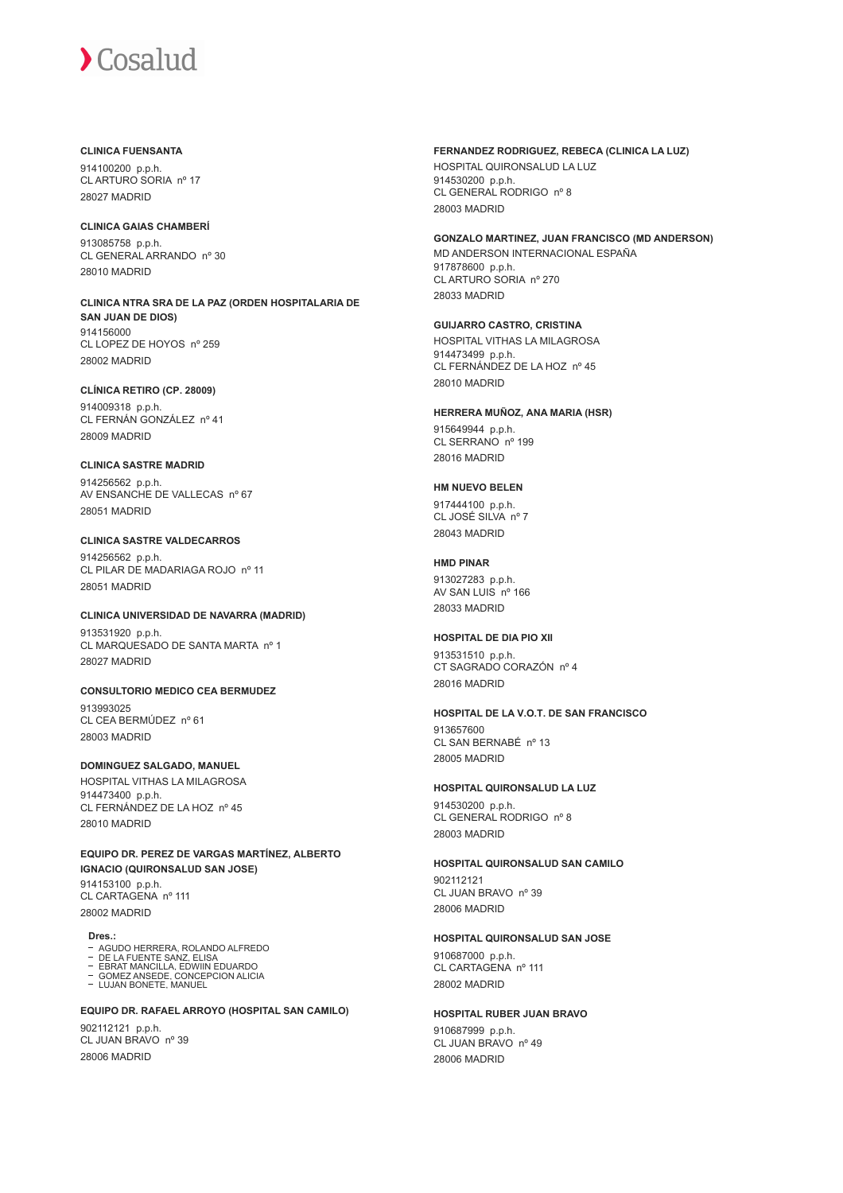## **CLINICA FUENSANTA**

914100200 p.p.h. CL ARTURO SORIA nº 17 28027 MADRID

## **CLINICA GAIAS CHAMBERÍ**

913085758 p.p.h. CL GENERAL ARRANDO nº 30 28010 MADRID

#### **CLINICA NTRA SRA DE LA PAZ (ORDEN HOSPITALARIA DE SAN JUAN DE DIOS)** 914156000 CL LOPEZ DE HOYOS nº 259 28002 MADRID

**CLÍNICA RETIRO (CP. 28009)** 914009318 p.p.h. CL FERNÁN GONZÁLEZ nº 41 28009 MADRID

# **CLINICA SASTRE MADRID**

914256562 p.p.h. AV ENSANCHE DE VALLECAS nº 67 28051 MADRID

# **CLINICA SASTRE VALDECARROS**

914256562 p.p.h. CL PILAR DE MADARIAGA ROJO nº 11 28051 MADRID

#### **CLINICA UNIVERSIDAD DE NAVARRA (MADRID)**

913531920 p.p.h. CL MARQUESADO DE SANTA MARTA nº 1 28027 MADRID

# **CONSULTORIO MEDICO CEA BERMUDEZ**

913993025 CL CEA BERMÚDEZ nº 61 28003 MADRID

# **DOMINGUEZ SALGADO, MANUEL**

HOSPITAL VITHAS LA MILAGROSA 914473400 p.p.h. CL FERNÁNDEZ DE LA HOZ nº 45 28010 MADRID

**EQUIPO DR. PEREZ DE VARGAS MARTÍNEZ, ALBERTO IGNACIO (QUIRONSALUD SAN JOSE)** 914153100 p.p.h. CL CARTAGENA nº 111 28002 MADRID

**Dres.:**

- AGUDO HERRERA, ROLANDO ALFREDO
- DE LA FUENTE SANZ, ELISA EBRAT MANCILLA, EDWIIN EDUARDO GOMEZ ANSEDE, CONCEPCION ALICIA LUJAN BONETE, MANUEL

# **EQUIPO DR. RAFAEL ARROYO (HOSPITAL SAN CAMILO)**

902112121 p.p.h. CL JUAN BRAVO nº 39 28006 MADRID

# **FERNANDEZ RODRIGUEZ, REBECA (CLINICA LA LUZ)**

HOSPITAL QUIRONSALUD LA LUZ 914530200 p.p.h. CL GENERAL RODRIGO nº 8 28003 MADRID

#### **GONZALO MARTINEZ, JUAN FRANCISCO (MD ANDERSON)**

MD ANDERSON INTERNACIONAL ESPAÑA 917878600 p.p.h. CL ARTURO SORIA nº 270 28033 MADRID

#### **GUIJARRO CASTRO, CRISTINA** HOSPITAL VITHAS LA MILAGROSA

914473499 p.p.h. CL FERNÁNDEZ DE LA HOZ nº 45 28010 MADRID

#### **HERRERA MUÑOZ, ANA MARIA (HSR)**

915649944 p.p.h. CL SERRANO<sup>nº</sup> 199 28016 MADRID

# **HM NUEVO BELEN**

917444100 p.p.h. CL JOSÉ SILVA nº 7 28043 MADRID

# **HMD PINAR**

913027283 p.p.h. AV SAN LUIS nº 166 28033 MADRID

# **HOSPITAL DE DIA PIO XII**

913531510 p.p.h. CT SAGRADO CORAZÓN nº 4 28016 MADRID

### **HOSPITAL DE LA V.O.T. DE SAN FRANCISCO**

913657600 CL SAN BERNABÉ nº 13 28005 MADRID

# **HOSPITAL QUIRONSALUD LA LUZ**

914530200 p.p.h. CL GENERAL RODRIGO nº 8 28003 MADRID

# **HOSPITAL QUIRONSALUD SAN CAMILO**

902112121 CL JUAN BRAVO nº 39 28006 MADRID

# **HOSPITAL QUIRONSALUD SAN JOSE**

910687000 p.p.h. CL CARTAGENA nº 111 28002 MADRID

# **HOSPITAL RUBER JUAN BRAVO**

910687999 p.p.h. CL JUAN BRAVO nº 49 28006 MADRID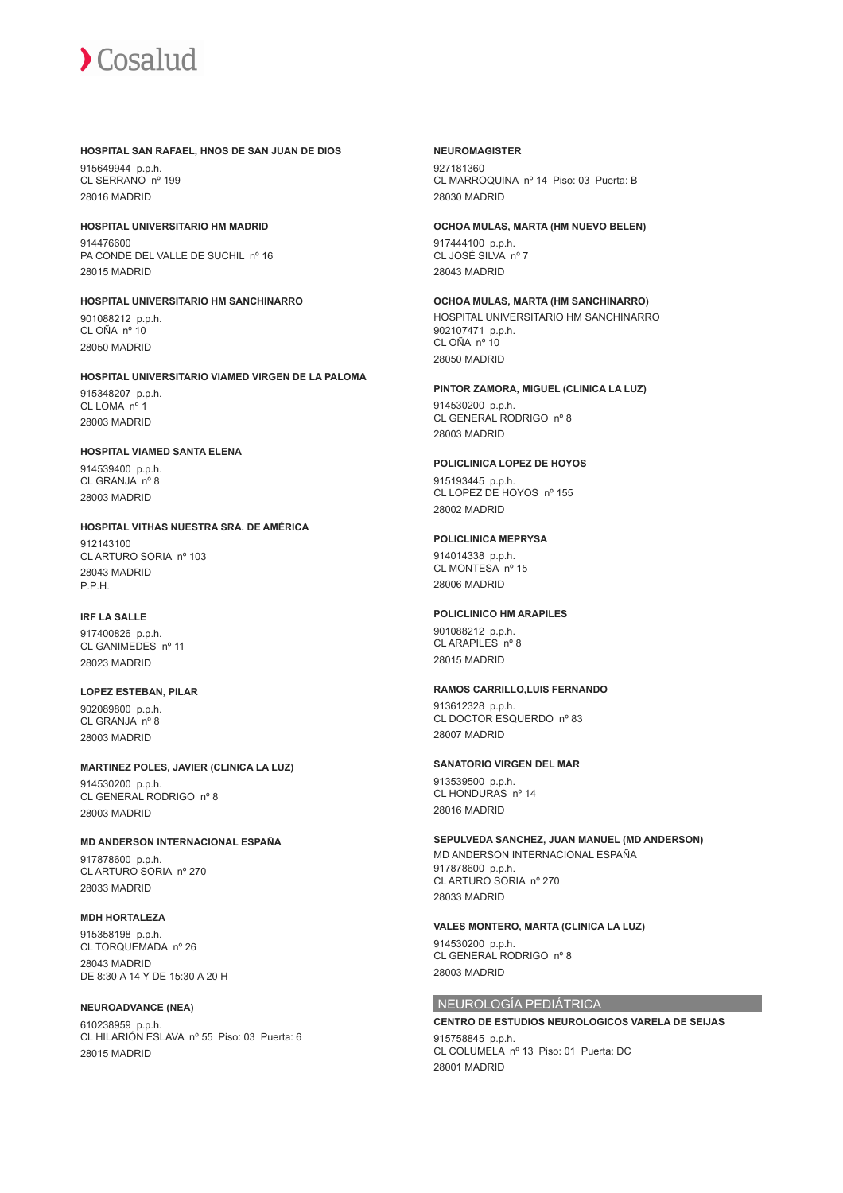

#### **HOSPITAL SAN RAFAEL, HNOS DE SAN JUAN DE DIOS**

915649944 p.p.h. CL SERRANO nº 199 28016 MADRID

**HOSPITAL UNIVERSITARIO HM MADRID** 914476600 PA CONDE DEL VALLE DE SUCHIL nº 16 28015 MADRID

**HOSPITAL UNIVERSITARIO HM SANCHINARRO** 901088212 p.p.h. CL OÑA nº 10 28050 MADRID

**HOSPITAL UNIVERSITARIO VIAMED VIRGEN DE LA PALOMA** 915348207 p.p.h. CL LOMA nº 1 28003 MADRID

# **HOSPITAL VIAMED SANTA ELENA**

914539400 p.p.h. CL GRANJA nº 8 28003 MADRID

#### **HOSPITAL VITHAS NUESTRA SRA. DE AMÉRICA**

912143100 CL ARTURO SORIA nº 103 28043 MADRID P.P.H.

# **IRF LA SALLE**

917400826 p.p.h. CL GANIMEDES nº 11 28023 MADRID

**LOPEZ ESTEBAN, PILAR** 902089800 p.p.h.

CL GRANJA nº 8 28003 MADRID

# **MARTINEZ POLES, JAVIER (CLINICA LA LUZ)**

914530200 p.p.h. CL GENERAL RODRIGO nº 8 28003 MADRID

#### **MD ANDERSON INTERNACIONAL ESPAÑA**

917878600 p.p.h. CL ARTURO SORIA nº 270 28033 MADRID

#### **MDH HORTALEZA**

915358198 p.p.h. CL TORQUEMADA nº 26 28043 MADRID DE 8:30 A 14 Y DE 15:30 A 20 H

#### **NEUROADVANCE (NEA)**

610238959 p.p.h. CL HILARIÓN ESLAVA nº 55 Piso: 03 Puerta: 6 28015 MADRID

#### **NEUROMAGISTER**

927181360 CL MARROQUINA nº 14 Piso: 03 Puerta: B 28030 MADRID

# **OCHOA MULAS, MARTA (HM NUEVO BELEN)**

917444100 p.p.h. CL JOSÉ SILVA nº 7 28043 MADRID

#### **OCHOA MULAS, MARTA (HM SANCHINARRO)**

HOSPITAL UNIVERSITARIO HM SANCHINARRO 902107471 p.p.h. CL OÑA nº 10 28050 MADRID

#### **PINTOR ZAMORA, MIGUEL (CLINICA LA LUZ)**

914530200 p.p.h. CL GENERAL RODRIGO nº 8 28003 MADRID

### **POLICLINICA LOPEZ DE HOYOS**

915193445 p.p.h. CL LOPEZ DE HOYOS nº 155 28002 MADRID

#### **POLICLINICA MEPRYSA**

914014338 p.p.h. CL MONTESA nº 15 28006 MADRID

#### **POLICLINICO HM ARAPILES**

901088212 p.p.h. CL ARAPILES nº 8 28015 MADRID

#### **RAMOS CARRILLO,LUIS FERNANDO**

913612328 p.p.h. CL DOCTOR ESQUERDO nº 83 28007 MADRID

#### **SANATORIO VIRGEN DEL MAR**

913539500 p.p.h. CL HONDURAS nº 14 28016 MADRID

#### **SEPULVEDA SANCHEZ, JUAN MANUEL (MD ANDERSON)**

MD ANDERSON INTERNACIONAL ESPAÑA 917878600 p.p.h. CL ARTURO SORIA nº 270 28033 MADRID

#### **VALES MONTERO, MARTA (CLINICA LA LUZ)**

914530200 p.p.h. CL GENERAL RODRIGO nº 8 28003 MADRID

# NEUROLOGÍA PEDIÁTRICA

**CENTRO DE ESTUDIOS NEUROLOGICOS VARELA DE SEIJAS** 915758845 p.p.h. CL COLUMELA nº 13 Piso: 01 Puerta: DC 28001 MADRID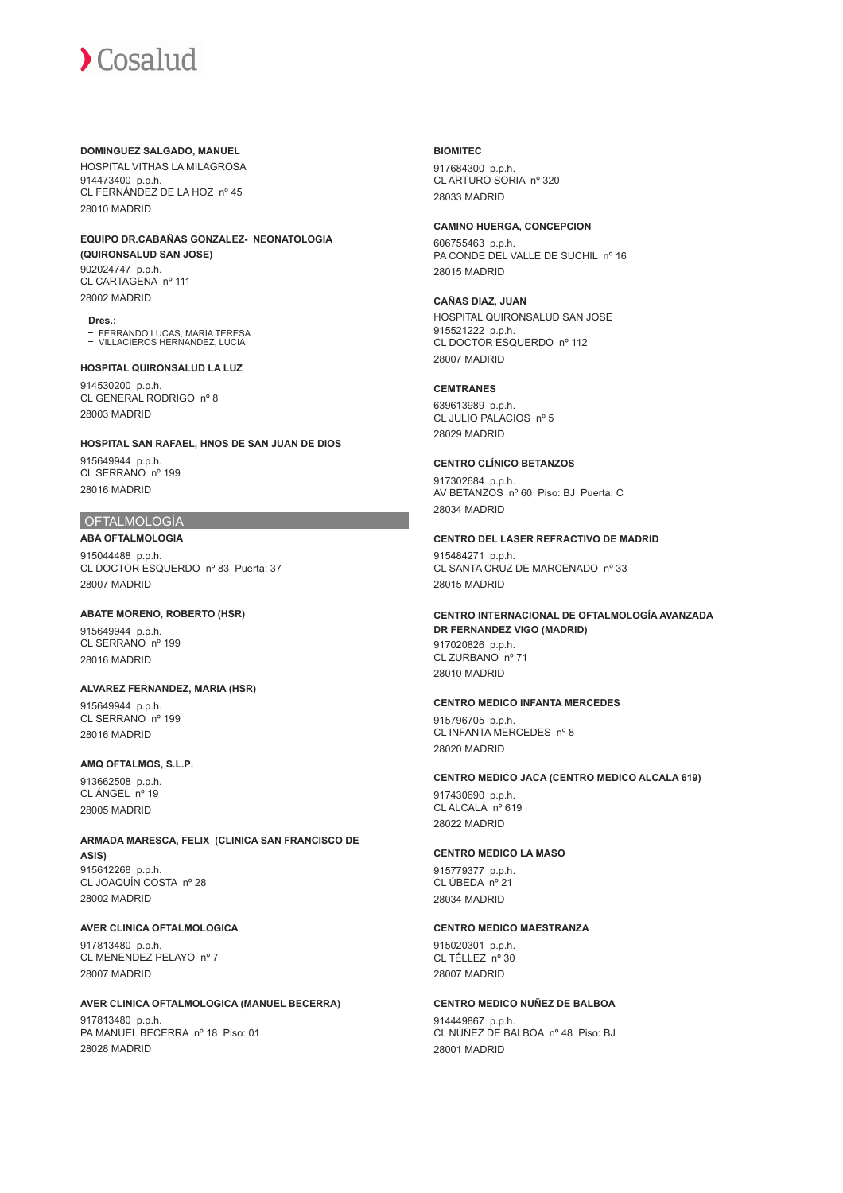#### **DOMINGUEZ SALGADO, MANUEL**

HOSPITAL VITHAS LA MILAGROSA 914473400 p.p.h. CL FERNÁNDEZ DE LA HOZ nº 45 28010 MADRID

#### **EQUIPO DR.CABAÑAS GONZALEZ- NEONATOLOGIA (QUIRONSALUD SAN JOSE)** 902024747 p.p.h. CL CARTAGENA nº 111

28002 MADRID

**Dres.:** FERRANDO LUCAS, MARIA TERESA VILLACIEROS HERNANDEZ, LUCIA

# **HOSPITAL QUIRONSALUD LA LUZ**

914530200 p.p.h. CL GENERAL RODRIGO nº 8 28003 MADRID

# **HOSPITAL SAN RAFAEL, HNOS DE SAN JUAN DE DIOS**

915649944 p.p.h. CL SERRANO nº 199 28016 MADRID

# OFTALMOLOGÍA

**ABA OFTALMOLOGIA** 915044488 p.p.h. CL DOCTOR ESQUERDO nº 83 Puerta: 37 28007 MADRID

# **ABATE MORENO, ROBERTO (HSR)**

915649944 p.p.h. CL SERRANO nº 199 28016 MADRID

# **ALVAREZ FERNANDEZ, MARIA (HSR)**

915649944 p.p.h. CL SERRANO nº 199 28016 MADRID

# **AMQ OFTALMOS, S.L.P.**

913662508 p.p.h. CL ÁNGEL nº 19 28005 MADRID

#### **ARMADA MARESCA, FELIX (CLINICA SAN FRANCISCO DE ASIS)** 915612268 p.p.h.

CL JOAQUÍN COSTA nº 28 28002 MADRID

# **AVER CLINICA OFTALMOLOGICA**

917813480 p.p.h. CL MENENDEZ PELAYO nº 7 28007 MADRID

# **AVER CLINICA OFTALMOLOGICA (MANUEL BECERRA)**

917813480 p.p.h. PA MANUEL BECERRA nº 18 Piso: 01 28028 MADRID

# **BIOMITEC**

917684300 p.p.h. CL ARTURO SORIA nº 320 28033 MADRID

# **CAMINO HUERGA, CONCEPCION**

606755463 p.p.h. PA CONDE DEL VALLE DE SUCHIL nº 16 28015 MADRID

# **CAÑAS DIAZ, JUAN**

HOSPITAL QUIRONSALUD SAN JOSE 915521222 p.p.h. CL DOCTOR ESQUERDO nº 112 28007 MADRID

#### **CEMTRANES**

639613989 p.p.h. CL JULIO PALACIOS nº 5 28029 MADRID

# **CENTRO CLÍNICO BETANZOS**

917302684 p.p.h. AV BETANZOS nº 60 Piso: BJ Puerta: C 28034 MADRID

#### **CENTRO DEL LASER REFRACTIVO DE MADRID**

915484271 p.p.h. CL SANTA CRUZ DE MARCENADO nº 33 28015 MADRID

#### **CENTRO INTERNACIONAL DE OFTALMOLOGÍA AVANZADA DR FERNANDEZ VIGO (MADRID)** 917020826 p.p.h.

CL ZURBANO nº 71 28010 MADRID

# **CENTRO MEDICO INFANTA MERCEDES**

915796705 p.p.h. CL INFANTA MERCEDES nº 8 28020 MADRID

# **CENTRO MEDICO JACA (CENTRO MEDICO ALCALA 619)**

917430690 p.p.h. CL ALCALÁ<sup>no</sup> 619 28022 MADRID

# **CENTRO MEDICO LA MASO**

915779377 p.p.h. CL ÚBEDA nº 21 28034 MADRID

# **CENTRO MEDICO MAESTRANZA**

915020301 p.p.h. CL TÉLLEZ nº 30 28007 MADRID

#### **CENTRO MEDICO NUÑEZ DE BALBOA**

914449867 p.p.h. CL NÚÑEZ DE BALBOA nº 48 Piso: BJ 28001 MADRID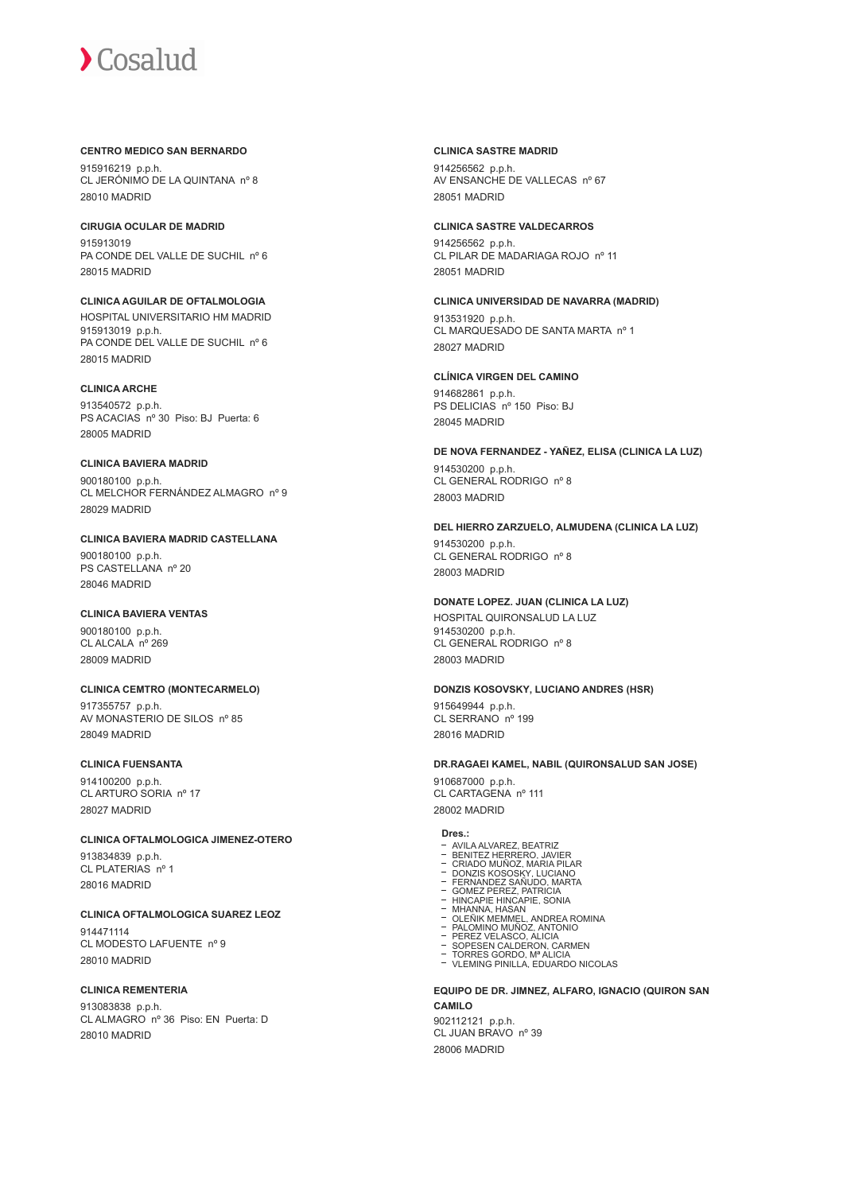## **CENTRO MEDICO SAN BERNARDO**

915916219 p.p.h. CL JERÓNIMO DE LA QUINTANA nº 8 28010 MADRID

# **CIRUGIA OCULAR DE MADRID**

915913019 PA CONDE DEL VALLE DE SUCHIL nº 6 28015 MADRID

# **CLINICA AGUILAR DE OFTALMOLOGIA**

HOSPITAL UNIVERSITARIO HM MADRID 915913019 p.p.h. PA CONDE DEL VALLE DE SUCHIL nº 6 28015 MADRID

# **CLINICA ARCHE**

913540572 p.p.h. PS ACACIAS nº 30 Piso: BJ Puerta: 6 28005 MADRID

### **CLINICA BAVIERA MADRID**

900180100 p.p.h. CL MELCHOR FERNÁNDEZ ALMAGRO nº 9 28029 MADRID

# **CLINICA BAVIERA MADRID CASTELLANA** 900180100 p.p.h. PS CASTELLANA nº 20 28046 MADRID

# **CLINICA BAVIERA VENTAS**

900180100 p.p.h. CL ALCALA nº 269 28009 MADRID

# **CLINICA CEMTRO (MONTECARMELO)**

917355757 p.p.h. AV MONASTERIO DE SILOS nº 85 28049 MADRID

# **CLINICA FUENSANTA**

914100200 p.p.h. CL ARTURO SORIA nº 17 28027 MADRID

# **CLINICA OFTALMOLOGICA JIMENEZ-OTERO**

913834839 p.p.h. CL PLATERIAS nº 1 28016 MADRID

# **CLINICA OFTALMOLOGICA SUAREZ LEOZ**

914471114 CL MODESTO LAFUENTE nº 9 28010 MADRID

# **CLINICA REMENTERIA**

913083838 p.p.h. CL ALMAGRO nº 36 Piso: EN Puerta: D 28010 MADRID

#### **CLINICA SASTRE MADRID**

914256562 p.p.h. AV ENSANCHE DE VALLECAS nº 67 28051 MADRID

#### **CLINICA SASTRE VALDECARROS**

914256562 p.p.h. CL PILAR DE MADARIAGA ROJO nº 11 28051 MADRID

# **CLINICA UNIVERSIDAD DE NAVARRA (MADRID)** 913531920 p.p.h. CL MARQUESADO DE SANTA MARTA nº 1

28027 MADRID

# **CLÍNICA VIRGEN DEL CAMINO** 914682861 p.p.h.

PS DELICIAS nº 150 Piso: BJ 28045 MADRID

#### **DE NOVA FERNANDEZ - YAÑEZ, ELISA (CLINICA LA LUZ)** 914530200 p.p.h. CL GENERAL RODRIGO nº 8 28003 MADRID

# **DEL HIERRO ZARZUELO, ALMUDENA (CLINICA LA LUZ)**

914530200 p.p.h. CL GENERAL RODRIGO nº 8 28003 MADRID

# **DONATE LOPEZ. JUAN (CLINICA LA LUZ)**

HOSPITAL QUIRONSALUD LA LUZ 914530200 p.p.h. CL GENERAL RODRIGO nº 8 28003 MADRID

#### **DONZIS KOSOVSKY, LUCIANO ANDRES (HSR)**

915649944 p.p.h. CL SERRANO nº 199 28016 MADRID

#### **DR.RAGAEI KAMEL, NABIL (QUIRONSALUD SAN JOSE)**

910687000 p.p.h. CL CARTAGENA nº 111 28002 MADRID

- **Dres.:**<br>- AVILA ALVAREZ BEATRIZ
- 
- 
- 
- 
- 
- AVILA ALVAREZ, BEATRIZ<br>BENITEZ HERRERO, JAVIER<br>CRIADO MUÑOZ, MARIA PILAR<br>DONZIS KOSOSKY, LUCIANO<br>FERNANDEZ SAÑUDO, MARTA<br>GOMEZ PEREZ, PATRICIA<br>GIMEZ PEREZ, PATRICIA<br>MHANNA, HASAN<br>OLEÑIK MEMMEL, ANDREA ROMINA<br>OLEÑIK MEMMEL,
- 
- 
- PEREZ VELASCO. ALICIA<br>SOPESEN CALDERON, CARMEN<br>TORRES GORDO, Mª ALICIA<br>VLEMING PINILLA, EDUARDO NICOLAS

#### **EQUIPO DE DR. JIMNEZ, ALFARO, IGNACIO (QUIRON SAN CAMILO**

902112121 p.p.h. CL JUAN BRAVO nº 39 28006 MADRID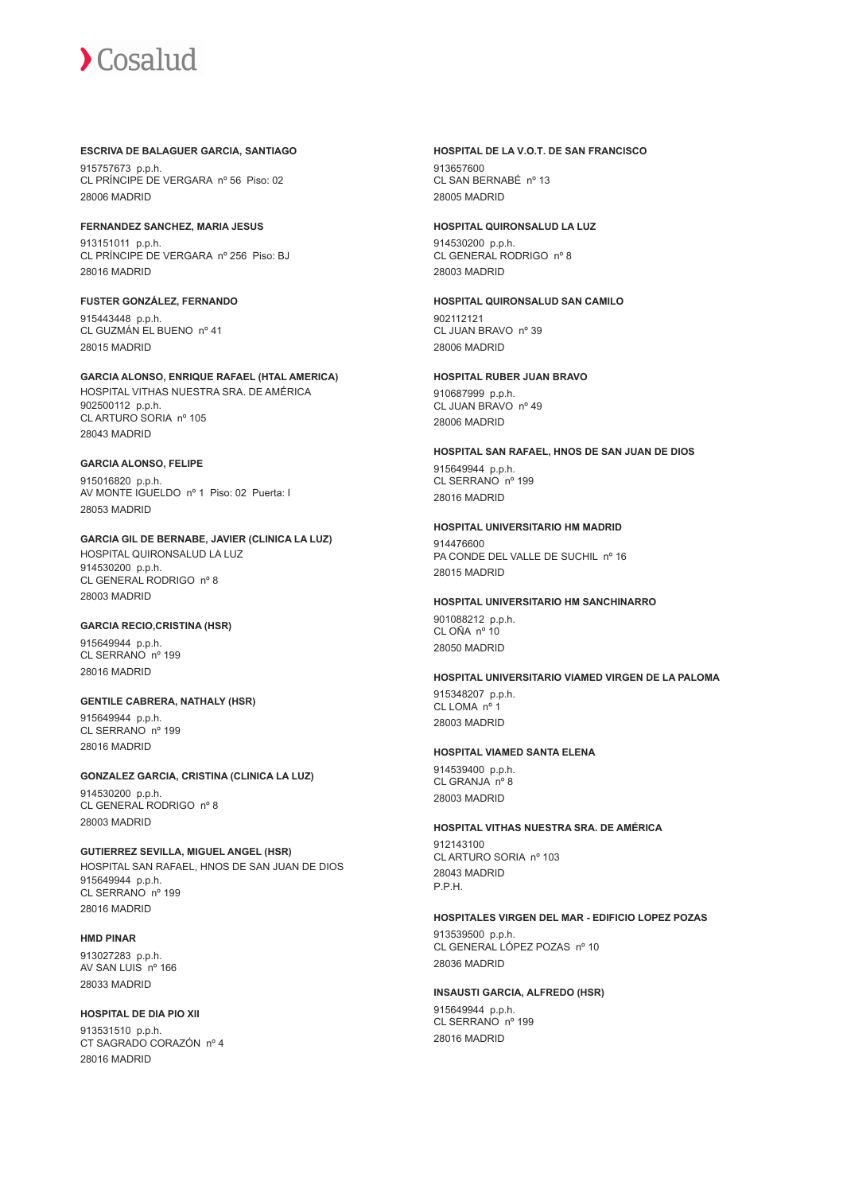## **ESCRIVA DE BALAGUER GARCIA, SANTIAGO**

915757673 p.p.h. CL PRÍNCIPE DE VERGARA nº 56 Piso: 02 28006 MADRID

**FERNANDEZ SANCHEZ, MARIA JESUS** 913151011 p.p.h.

CL PRÍNCIPE DE VERGARA nº 256 Piso: BJ 28016 MADRID

# **FUSTER GONZÁLEZ, FERNANDO**

915443448 p.p.h. CL GUZMÁN EL BUENO nº 41 28015 MADRID

**GARCIA ALONSO, ENRIQUE RAFAEL (HTAL AMERICA)** HOSPITAL VITHAS NUESTRA SRA. DE AMÉRICA 902500112 p.p.h. CL ARTURO SORIA nº 105 28043 MADRID

# **GARCIA ALONSO, FELIPE**

915016820 p.p.h. AV MONTE IGUELDO nº 1 Piso: 02 Puerta: I 28053 MADRID

# **GARCIA GIL DE BERNABE, JAVIER (CLINICA LA LUZ)** HOSPITAL QUIRONSALUD LA LUZ

914530200 p.p.h. CL GENERAL RODRIGO nº 8 28003 MADRID

# **GARCIA RECIO,CRISTINA (HSR)**

915649944 p.p.h. CL SERRANO nº 199 28016 MADRID

# **GENTILE CABRERA, NATHALY (HSR)**

915649944 p.p.h. CL SERRANO nº 199 28016 MADRID

# **GONZALEZ GARCIA, CRISTINA (CLINICA LA LUZ)**

914530200 p.p.h. CL GENERAL RODRIGO nº 8 28003 MADRID

**GUTIERREZ SEVILLA, MIGUEL ANGEL (HSR)** HOSPITAL SAN RAFAEL, HNOS DE SAN JUAN DE DIOS 915649944 p.p.h. CL SERRANO nº 199 28016 MADRID

# **HMD PINAR**

913027283 p.p.h. AV SAN LUIS nº 166 28033 MADRID

# **HOSPITAL DE DIA PIO XII**

913531510 p.p.h. CT SAGRADO CORAZÓN nº 4 28016 MADRID

# **HOSPITAL DE LA V.O.T. DE SAN FRANCISCO**

913657600 CL SAN BERNABÉ nº 13 28005 MADRID

# **HOSPITAL QUIRONSALUD LA LUZ**

914530200 p.p.h. CL GENERAL RODRIGO nº 8 28003 MADRID

#### **HOSPITAL QUIRONSALUD SAN CAMILO** 902112121 CL JUAN BRAVO nº 39

28006 MADRID

# **HOSPITAL RUBER JUAN BRAVO**

910687999 p.p.h. CL JUAN BRAVO nº 49 28006 MADRID

# **HOSPITAL SAN RAFAEL, HNOS DE SAN JUAN DE DIOS** 915649944 p.p.h. CL SERRANO nº 199

28016 MADRID

# **HOSPITAL UNIVERSITARIO HM MADRID**

914476600 PA CONDE DEL VALLE DE SUCHIL nº 16 28015 MADRID

# **HOSPITAL UNIVERSITARIO HM SANCHINARRO**

901088212 p.p.h. CL OÑA nº 10 28050 MADRID

#### **HOSPITAL UNIVERSITARIO VIAMED VIRGEN DE LA PALOMA**

915348207 p.p.h. CL LOMA nº 1 28003 MADRID

# **HOSPITAL VIAMED SANTA ELENA**

914539400 p.p.h. CL GRANJA nº 8 28003 MADRID

# **HOSPITAL VITHAS NUESTRA SRA. DE AMÉRICA**

912143100 CL ARTURO SORIA nº 103 28043 MADRID P.P.H.

# **HOSPITALES VIRGEN DEL MAR - EDIFICIO LOPEZ POZAS**

913539500 p.p.h. CL GENERAL LÓPEZ POZAS nº 10 28036 MADRID

# **INSAUSTI GARCIA, ALFREDO (HSR)** 915649944 p.p.h. CL SERRANO nº 199 28016 MADRID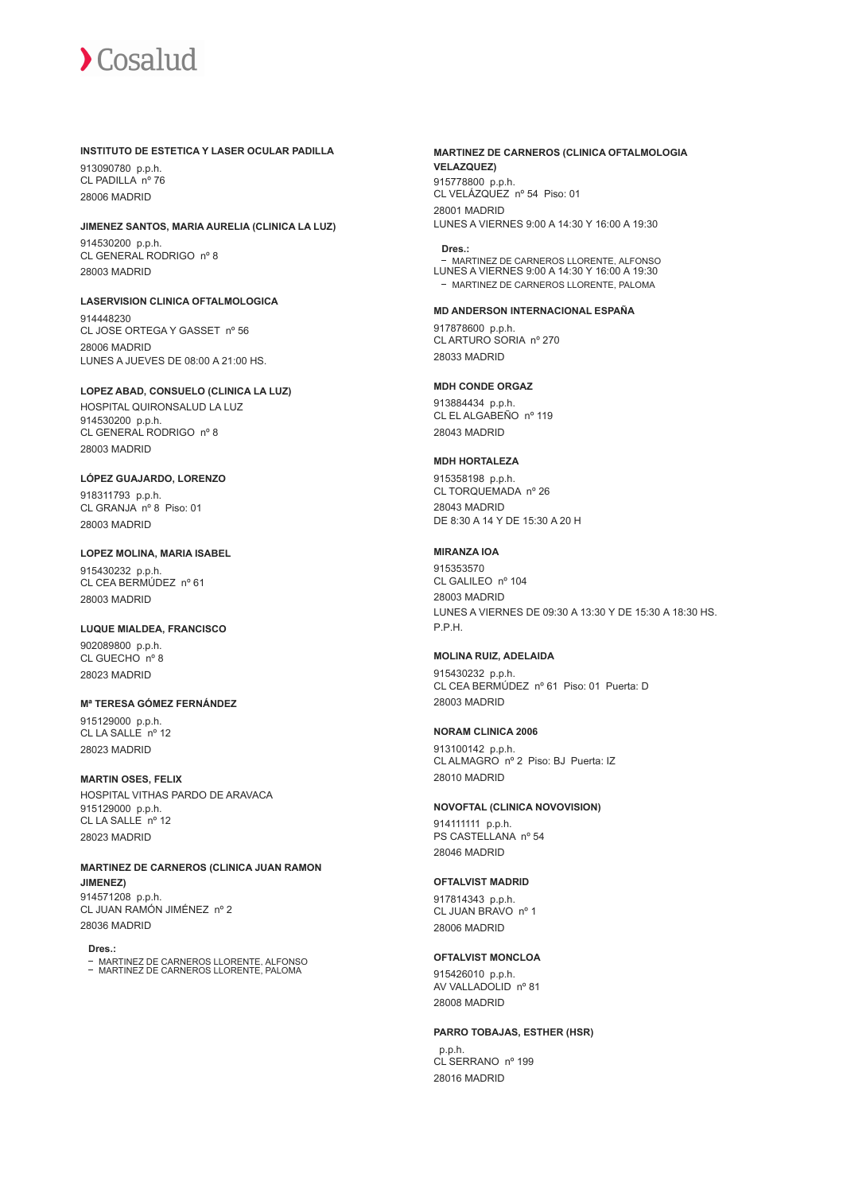#### **INSTITUTO DE ESTETICA Y LASER OCULAR PADILLA**

913090780 p.p.h. CL PADILLA nº 76 28006 MADRID

#### **JIMENEZ SANTOS, MARIA AURELIA (CLINICA LA LUZ)**

914530200 p.p.h. CL GENERAL RODRIGO nº 8 28003 MADRID

**LASERVISION CLINICA OFTALMOLOGICA**

914448230 CL JOSE ORTEGA Y GASSET nº 56 28006 MADRID LUNES A JUEVES DE 08:00 A 21:00 HS.

#### **LOPEZ ABAD, CONSUELO (CLINICA LA LUZ)**

HOSPITAL QUIRONSALUD LA LUZ 914530200 p.p.h. CL GENERAL RODRIGO nº 8 28003 MADRID

### **LÓPEZ GUAJARDO, LORENZO**

918311793 p.p.h. CL GRANJA nº 8 Piso: 01 28003 MADRID

#### **LOPEZ MOLINA, MARIA ISABEL**

915430232 p.p.h. CL CEA BERMÚDEZ nº 61 28003 MADRID

# **LUQUE MIALDEA, FRANCISCO**

902089800 p.p.h. CL GUECHO nº 8 28023 MADRID

# **Mª TERESA GÓMEZ FERNÁNDEZ**

915129000 p.p.h. CL LA SALLE nº 12 28023 MADRID

#### **MARTIN OSES, FELIX**

HOSPITAL VITHAS PARDO DE ARAVACA 915129000 p.p.h.  $CL$  LA SALLE  $n^{\circ}$  12 28023 MADRID

**MARTINEZ DE CARNEROS (CLINICA JUAN RAMON JIMENEZ)** 914571208 p.p.h. CL JUAN RAMÓN JIMÉNEZ nº 2 28036 MADRID

**Dres.:**

MARTINEZ DE CARNEROS LLORENTE, ALFONSO MARTINEZ DE CARNEROS LLORENTE, PALOMA

### **MARTINEZ DE CARNEROS (CLINICA OFTALMOLOGIA VELAZQUEZ)** 915778800 p.p.h.

CL VELÁZQUEZ nº 54 Piso: 01 28001 MADRID LUNES A VIERNES 9:00 A 14:30 Y 16:00 A 19:30

#### **Dres.:**

MARTINEZ DE CARNEROS LLORENTE, ALFONSO LUNES A VIERNES 9:00 A 14:30 Y 16:00 A 19:30 MARTINEZ DE CARNEROS LLORENTE, PALOMA

#### **MD ANDERSON INTERNACIONAL ESPAÑA**

917878600 p.p.h. CL ARTURO SORIA nº 270 28033 MADRID

#### **MDH CONDE ORGAZ**

913884434 p.p.h. CL EL ALGABEÑO nº 119 28043 MADRID

# **MDH HORTALEZA**

915358198 p.p.h. CL TORQUEMADA nº 26 28043 MADRID DE 8:30 A 14 Y DE 15:30 A 20 H

## **MIRANZA IOA**

915353570 CL GALILEO nº 104 28003 MADRID LUNES A VIERNES DE 09:30 A 13:30 Y DE 15:30 A 18:30 HS. P.P.H.

#### **MOLINA RUIZ, ADELAIDA**

915430232 p.p.h. CL CEA BERMÚDEZ nº 61 Piso: 01 Puerta: D 28003 MADRID

#### **NORAM CLINICA 2006**

913100142 p.p.h. CL ALMAGRO nº 2 Piso: BJ Puerta: IZ 28010 MADRID

#### **NOVOFTAL (CLINICA NOVOVISION)**

914111111 p.p.h. PS CASTELLANA nº 54 28046 MADRID

#### **OFTALVIST MADRID**

917814343 p.p.h. CL JUAN BRAVO nº 1 28006 MADRID

# **OFTALVIST MONCLOA**

915426010 p.p.h. AV VALLADOLID nº 81 28008 MADRID

#### **PARRO TOBAJAS, ESTHER (HSR)**

 p.p.h. CL SERRANO nº 199 28016 MADRID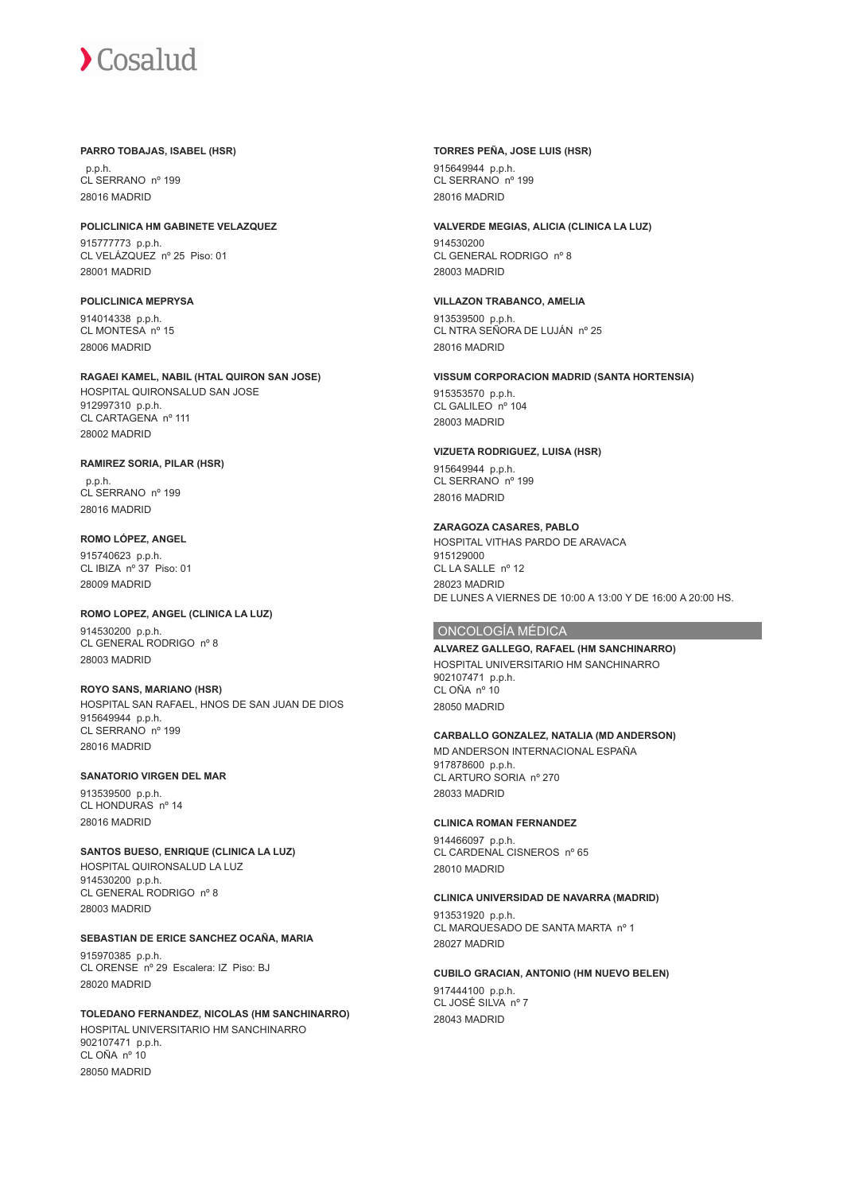#### **PARRO TOBAJAS, ISABEL (HSR)**

 p.p.h. CL SERRANO nº 199 28016 MADRID

### **POLICLINICA HM GABINETE VELAZQUEZ**

915777773 p.p.h. CL VELÁZQUEZ nº 25 Piso: 01 28001 MADRID

# **POLICLINICA MEPRYSA**

914014338 p.p.h. CL MONTESA nº 15 28006 MADRID

#### **RAGAEI KAMEL, NABIL (HTAL QUIRON SAN JOSE)** HOSPITAL QUIRONSALUD SAN JOSE 912997310 p.p.h. CL CARTAGENA nº 111

28002 MADRID

# **RAMIREZ SORIA, PILAR (HSR)**

 p.p.h. CL SERRANO nº 199 28016 MADRID

# **ROMO LÓPEZ, ANGEL**

915740623 p.p.h. CL IBIZA nº 37 Piso: 01 28009 MADRID

# **ROMO LOPEZ, ANGEL (CLINICA LA LUZ)**

914530200 p.p.h. CL GENERAL RODRIGO nº 8 28003 MADRID

# **ROYO SANS, MARIANO (HSR)**

HOSPITAL SAN RAFAEL, HNOS DE SAN JUAN DE DIOS 915649944 p.p.h. CL SERRANO nº 199 28016 MADRID

# **SANATORIO VIRGEN DEL MAR**

913539500 p.p.h. CL HONDURAS nº 14 28016 MADRID

#### **SANTOS BUESO, ENRIQUE (CLINICA LA LUZ)** HOSPITAL QUIRONSALUD LA LUZ 914530200 p.p.h. CL GENERAL RODRIGO nº 8 28003 MADRID

# **SEBASTIAN DE ERICE SANCHEZ OCAÑA, MARIA**

915970385 p.p.h. CL ORENSE nº 29 Escalera: IZ Piso: BJ 28020 MADRID

# **TOLEDANO FERNANDEZ, NICOLAS (HM SANCHINARRO)**

HOSPITAL UNIVERSITARIO HM SANCHINARRO 902107471 p.p.h. CL OÑA nº 10 28050 MADRID

# **TORRES PEÑA, JOSE LUIS (HSR)**

915649944 p.p.h. CL SERRANO nº 199 28016 MADRID

#### **VALVERDE MEGIAS, ALICIA (CLINICA LA LUZ)**

914530200 CL GENERAL RODRIGO nº 8 28003 MADRID

# **VILLAZON TRABANCO, AMELIA**

913539500 p.p.h. CL NTRA SEÑORA DE LUJÁN nº 25 28016 MADRID

# **VISSUM CORPORACION MADRID (SANTA HORTENSIA)**

915353570 p.p.h. CL GALILEO nº 104 28003 MADRID

#### **VIZUETA RODRIGUEZ, LUISA (HSR)**

915649944 p.p.h. CL SERRANO<sup>nº</sup> 199 28016 MADRID

# **ZARAGOZA CASARES, PABLO** HOSPITAL VITHAS PARDO DE ARAVACA 915129000 CL LA SALLE nº 12

28023 MADRID DE LUNES A VIERNES DE 10:00 A 13:00 Y DE 16:00 A 20:00 HS.

# ONCOLOGÍA MÉDICA

#### **ALVAREZ GALLEGO, RAFAEL (HM SANCHINARRO)** HOSPITAL UNIVERSITARIO HM SANCHINARRO 902107471 p.p.h. CL OÑA nº 10 28050 MADRID

#### **CARBALLO GONZALEZ, NATALIA (MD ANDERSON)**

MD ANDERSON INTERNACIONAL ESPAÑA 917878600 p.p.h. CL ARTURO SORIA nº 270 28033 MADRID

# **CLINICA ROMAN FERNANDEZ**

914466097 p.p.h. CL CARDENAL CISNEROS nº 65 28010 MADRID

# **CLINICA UNIVERSIDAD DE NAVARRA (MADRID)**

913531920 p.p.h. CL MARQUESADO DE SANTA MARTA nº 1 28027 MADRID

# **CUBILO GRACIAN, ANTONIO (HM NUEVO BELEN)**

917444100 p.p.h. CL JOSÉ SILVA nº 7 28043 MADRID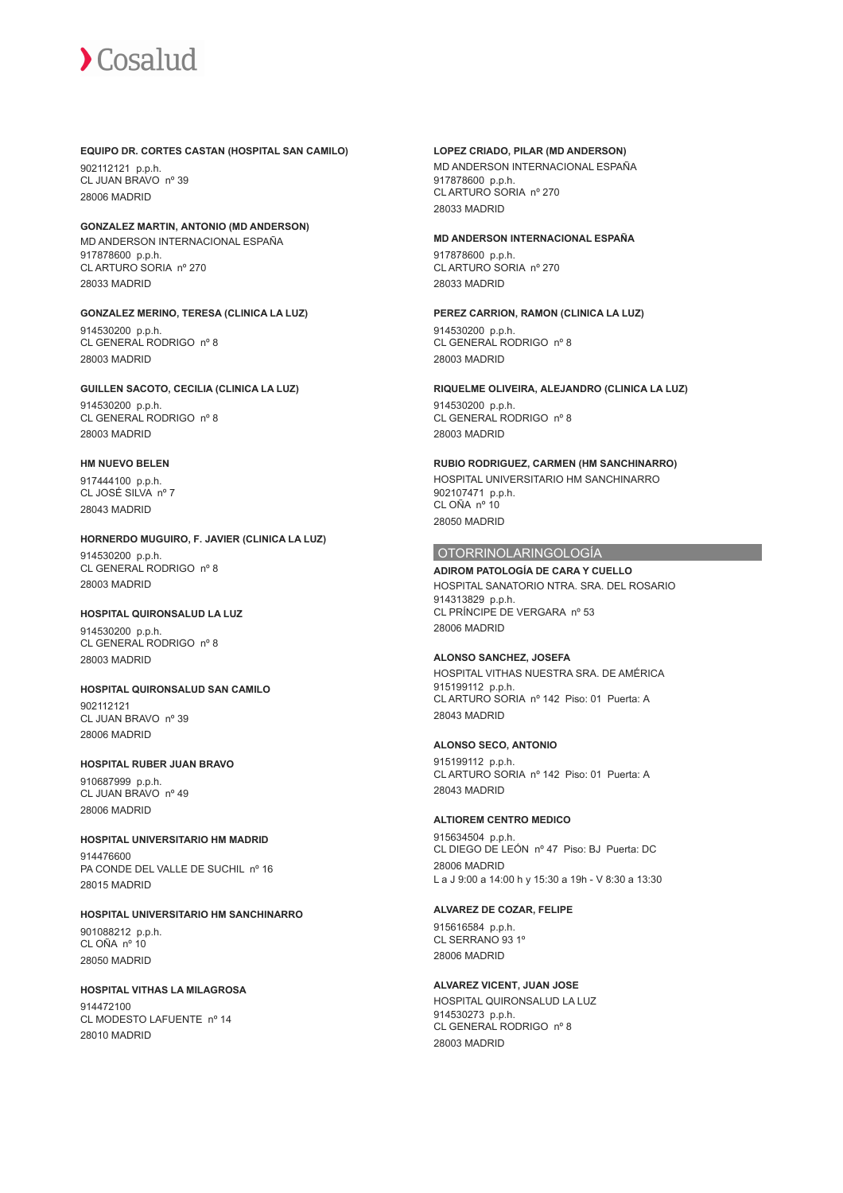#### **EQUIPO DR. CORTES CASTAN (HOSPITAL SAN CAMILO)**

902112121 p.p.h. CL JUAN BRAVO nº 39 28006 MADRID

## **GONZALEZ MARTIN, ANTONIO (MD ANDERSON)** MD ANDERSON INTERNACIONAL ESPAÑA

917878600 p.p.h. CL ARTURO SORIA nº 270 28033 MADRID

# **GONZALEZ MERINO, TERESA (CLINICA LA LUZ)**

914530200 p.p.h. CL GENERAL RODRIGO nº 8 28003 MADRID

# **GUILLEN SACOTO, CECILIA (CLINICA LA LUZ)**

914530200 p.p.h. CL GENERAL RODRIGO nº 8 28003 MADRID

# **HM NUEVO BELEN**

917444100 p.p.h. CL JOSÉ SILVA nº 7 28043 MADRID

# **HORNERDO MUGUIRO, F. JAVIER (CLINICA LA LUZ)** 914530200 p.p.h. CL GENERAL RODRIGO nº 8 28003 MADRID

# **HOSPITAL QUIRONSALUD LA LUZ**

914530200 p.p.h. CL GENERAL RODRIGO nº 8 28003 MADRID

# **HOSPITAL QUIRONSALUD SAN CAMILO**

902112121 CL JUAN BRAVO nº 39 28006 MADRID

# **HOSPITAL RUBER JUAN BRAVO**

910687999 p.p.h. CL JUAN BRAVO nº 49 28006 MADRID

# **HOSPITAL UNIVERSITARIO HM MADRID**

914476600 PA CONDE DEL VALLE DE SUCHIL nº 16 28015 MADRID

# **HOSPITAL UNIVERSITARIO HM SANCHINARRO**

901088212 p.p.h. CL OÑA nº 10 28050 MADRID

# **HOSPITAL VITHAS LA MILAGROSA**

914472100 CL MODESTO LAFUENTE nº 14 28010 MADRID

### **LOPEZ CRIADO, PILAR (MD ANDERSON)**

MD ANDERSON INTERNACIONAL ESPAÑA 917878600 p.p.h. CL ARTURO SORIA nº 270 28033 MADRID

# **MD ANDERSON INTERNACIONAL ESPAÑA**

917878600 p.p.h. CL ARTURO SORIA nº 270 28033 MADRID

#### **PEREZ CARRION, RAMON (CLINICA LA LUZ)**

914530200 p.p.h. CL GENERAL RODRIGO nº 8 28003 MADRID

#### **RIQUELME OLIVEIRA, ALEJANDRO (CLINICA LA LUZ)** 914530200 p.p.h. CL GENERAL RODRIGO nº 8

28003 MADRID

# **RUBIO RODRIGUEZ, CARMEN (HM SANCHINARRO)** HOSPITAL UNIVERSITARIO HM SANCHINARRO

902107471 p.p.h. CL OÑA nº 10 28050 MADRID

# OTORRINOLARINGOLOGÍA

**ADIROM PATOLOGÍA DE CARA Y CUELLO** HOSPITAL SANATORIO NTRA. SRA. DEL ROSARIO 914313829 p.p.h. CL PRÍNCIPE DE VERGARA nº 53 28006 MADRID

# **ALONSO SANCHEZ, JOSEFA**

HOSPITAL VITHAS NUESTRA SRA. DE AMÉRICA 915199112 p.p.h. CL ARTURO SORIA nº 142 Piso: 01 Puerta: A 28043 MADRID

# **ALONSO SECO, ANTONIO**

915199112 p.p.h. CL ARTURO SORIA nº 142 Piso: 01 Puerta: A 28043 MADRID

# **ALTIOREM CENTRO MEDICO**

915634504 p.p.h. CL DIEGO DE LEÓN nº 47 Piso: BJ Puerta: DC 28006 MADRID L a J 9:00 a 14:00 h y 15:30 a 19h - V 8:30 a 13:30

# **ALVAREZ DE COZAR, FELIPE**

915616584 p.p.h. CL SERRANO 93 1º 28006 MADRID

# **ALVAREZ VICENT, JUAN JOSE**

HOSPITAL QUIRONSALUD LA LUZ 914530273 p.p.h. CL GENERAL RODRIGO nº 8 28003 MADRID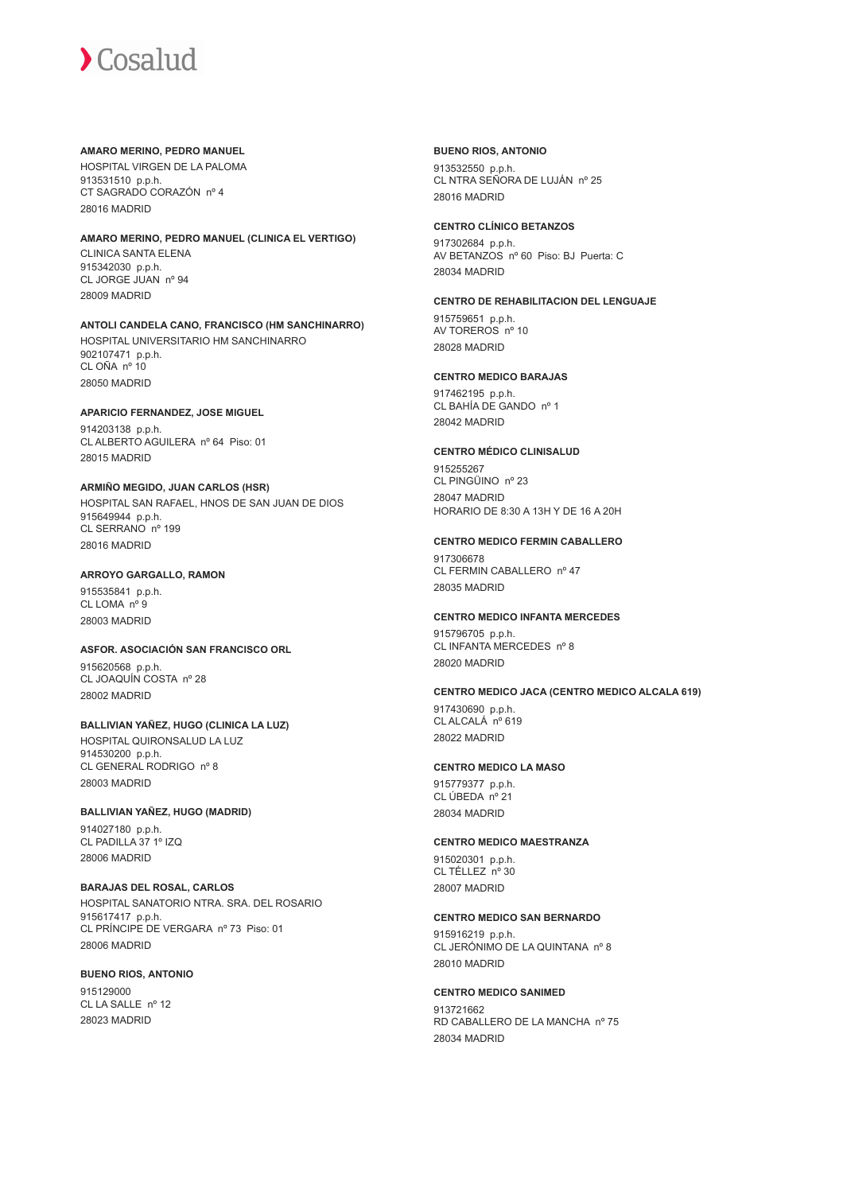#### **AMARO MERINO, PEDRO MANUEL**

HOSPITAL VIRGEN DE LA PALOMA 913531510 p.p.h. CT SAGRADO CORAZÓN nº 4 28016 MADRID

#### **AMARO MERINO, PEDRO MANUEL (CLINICA EL VERTIGO)**

CLINICA SANTA ELENA 915342030 p.p.h. CL JORGE JUAN nº 94 28009 MADRID

#### **ANTOLI CANDELA CANO, FRANCISCO (HM SANCHINARRO)** HOSPITAL UNIVERSITARIO HM SANCHINARRO 902107471 p.p.h. CL OÑA nº 10 28050 MADRID

# **APARICIO FERNANDEZ, JOSE MIGUEL**

914203138 p.p.h. CL ALBERTO AGUILERA nº 64 Piso: 01 28015 MADRID

# **ARMIÑO MEGIDO, JUAN CARLOS (HSR)**

HOSPITAL SAN RAFAEL, HNOS DE SAN JUAN DE DIOS 915649944 p.p.h. CL SERRANO nº 199 28016 MADRID

# **ARROYO GARGALLO, RAMON**

915535841 p.p.h. CL LOMA nº 9 28003 MADRID

# **ASFOR. ASOCIACIÓN SAN FRANCISCO ORL**

915620568 p.p.h. CL JOAQUÍN COSTA nº 28 28002 MADRID

#### **BALLIVIAN YAÑEZ, HUGO (CLINICA LA LUZ)** HOSPITAL QUIRONSALUD LA LUZ

914530200 p.p.h. CL GENERAL RODRIGO nº 8 28003 MADRID

# **BALLIVIAN YAÑEZ, HUGO (MADRID)**

914027180 p.p.h. CL PADILLA 37 1º IZQ 28006 MADRID

#### **BARAJAS DEL ROSAL, CARLOS** HOSPITAL SANATORIO NTRA. SRA. DEL ROSARIO 915617417 p.p.h.

CL PRÍNCIPE DE VERGARA nº 73 Piso: 01 28006 MADRID

# **BUENO RIOS, ANTONIO**

915129000 CL LA SALLE nº 12 28023 MADRID

# **BUENO RIOS, ANTONIO**

913532550 p.p.h. CL NTRA SEÑORA DE LUJÁN nº 25 28016 MADRID

# **CENTRO CLÍNICO BETANZOS**

917302684 p.p.h. AV BETANZOS nº 60 Piso: BJ Puerta: C 28034 MADRID

# **CENTRO DE REHABILITACION DEL LENGUAJE**

915759651 p.p.h. AV TOREROS nº 10 28028 MADRID

# **CENTRO MEDICO BARAJAS**

917462195 p.p.h. CL BAHÍA DE GANDO nº 1 28042 MADRID

# **CENTRO MÉDICO CLINISALUD**

915255267 CL PINGÜINO nº 23 28047 MADRID HORARIO DE 8:30 A 13H Y DE 16 A 20H

# **CENTRO MEDICO FERMIN CABALLERO**

917306678 CL FERMIN CABALLERO nº 47 28035 MADRID

# **CENTRO MEDICO INFANTA MERCEDES**

915796705 p.p.h. CL INFANTA MERCEDES nº 8 28020 MADRID

# **CENTRO MEDICO JACA (CENTRO MEDICO ALCALA 619)**

917430690 p.p.h. CL ALCALÁ nº 619 28022 MADRID

# **CENTRO MEDICO LA MASO**

915779377 p.p.h. CL ÚBEDA nº 21 28034 MADRID

# **CENTRO MEDICO MAESTRANZA**

915020301 p.p.h. CL TÉLLEZ nº 30 28007 MADRID

# **CENTRO MEDICO SAN BERNARDO**

915916219 p.p.h. CL JERÓNIMO DE LA QUINTANA nº 8 28010 MADRID

# **CENTRO MEDICO SANIMED**

913721662 RD CABALLERO DE LA MANCHA nº 75 28034 MADRID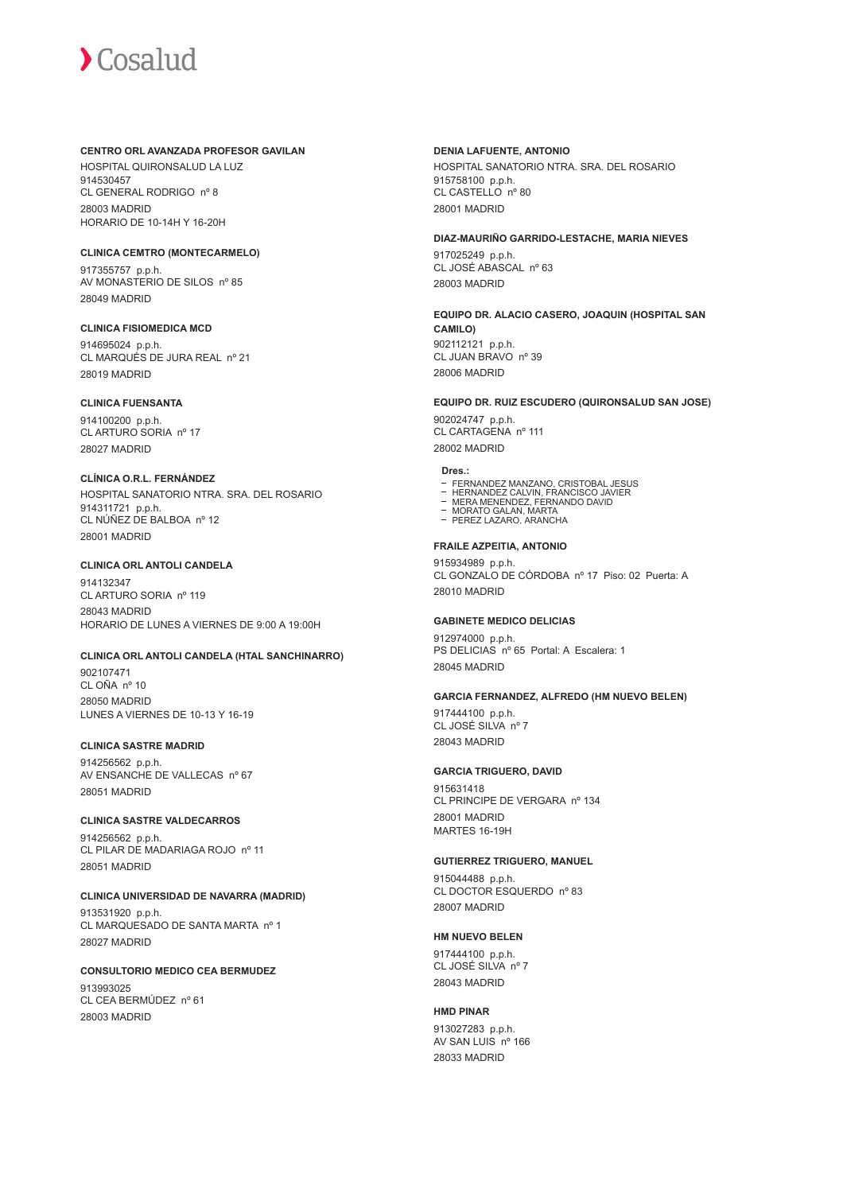#### **CENTRO ORL AVANZADA PROFESOR GAVILAN**

HOSPITAL QUIRONSALUD LA LUZ 914530457 CL GENERAL RODRIGO nº 8 28003 MADRID HORARIO DE 10-14H Y 16-20H

# **CLINICA CEMTRO (MONTECARMELO)**

917355757 p.p.h. AV MONASTERIO DE SILOS nº 85 28049 MADRID

#### **CLINICA FISIOMEDICA MCD**

914695024 p.p.h. CL MARQUÉS DE JURA REAL nº 21 28019 MADRID

# **CLINICA FUENSANTA**

914100200 p.p.h. CL ARTURO SORIA nº 17 28027 MADRID

#### **CLÍNICA O.R.L. FERNÁNDEZ**

HOSPITAL SANATORIO NTRA. SRA. DEL ROSARIO 914311721 p.p.h. CL NÚÑEZ DE BALBOA nº 12 28001 MADRID

# **CLINICA ORL ANTOLI CANDELA**

914132347 CL ARTURO SORIA nº 119 28043 MADRID HORARIO DE LUNES A VIERNES DE 9:00 A 19:00H

#### **CLINICA ORL ANTOLI CANDELA (HTAL SANCHINARRO)**

902107471 CL OÑA nº 10 28050 MADRID LUNES A VIERNES DE 10-13 Y 16-19

#### **CLINICA SASTRE MADRID**

914256562 p.p.h. AV ENSANCHE DE VALLECAS nº 67 28051 MADRID

# **CLINICA SASTRE VALDECARROS**

914256562 p.p.h. CL PILAR DE MADARIAGA ROJO nº 11 28051 MADRID

# **CLINICA UNIVERSIDAD DE NAVARRA (MADRID)** 913531920 p.p.h. CL MARQUESADO DE SANTA MARTA nº 1

28027 MADRID

#### **CONSULTORIO MEDICO CEA BERMUDEZ** 913993025 CL CEA BERMÚDEZ nº 61 28003 MADRID

## **DENIA LAFUENTE, ANTONIO**

HOSPITAL SANATORIO NTRA. SRA. DEL ROSARIO 915758100 p.p.h. CL CASTELLO nº 80 28001 MADRID

#### **DIAZ-MAURIÑO GARRIDO-LESTACHE, MARIA NIEVES**

917025249 p.p.h. CL JOSÉ ABASCAL nº 63 28003 MADRID

# **EQUIPO DR. ALACIO CASERO, JOAQUIN (HOSPITAL SAN CAMILO)** 902112121 p.p.h.

CL JUAN BRAVO nº 39 28006 MADRID

# **EQUIPO DR. RUIZ ESCUDERO (QUIRONSALUD SAN JOSE)**

902024747 p.p.h. CL CARTAGENA nº 111 28002 MADRID

#### **Dres.:**

- 
- FERNANDEZ MANZANO, CRISTOBAL JESUS<br>HERNANDEZ CALVIN, FRANCISCO JAVIER<br>MERA MENENDEZ, FERNANDO DAVID<br>MORATO GALAN, MARTA
- 
- PEREZ LAZARO, ARANCHA

#### **FRAILE AZPEITIA, ANTONIO**

915934989 p.p.h. CL GONZALO DE CÓRDOBA nº 17 Piso: 02 Puerta: A 28010 MADRID

#### **GABINETE MEDICO DELICIAS**

912974000 p.p.h. PS DELICIAS nº 65 Portal: A Escalera: 1 28045 MADRID

#### **GARCIA FERNANDEZ, ALFREDO (HM NUEVO BELEN)**

917444100 p.p.h. CL JOSÉ SILVA nº 7 28043 MADRID

# **GARCIA TRIGUERO, DAVID**

915631418 CL PRINCIPE DE VERGARA nº 134 28001 MADRID MARTES 16-19H

# **GUTIERREZ TRIGUERO, MANUEL**

915044488 p.p.h. CL DOCTOR ESQUERDO nº 83 28007 MADRID

#### **HM NUEVO BELEN**

917444100 p.p.h. CL JOSÉ SILVA nº 7 28043 MADRID

# **HMD PINAR**

913027283 p.p.h. AV SAN LUIS nº 166 28033 MADRID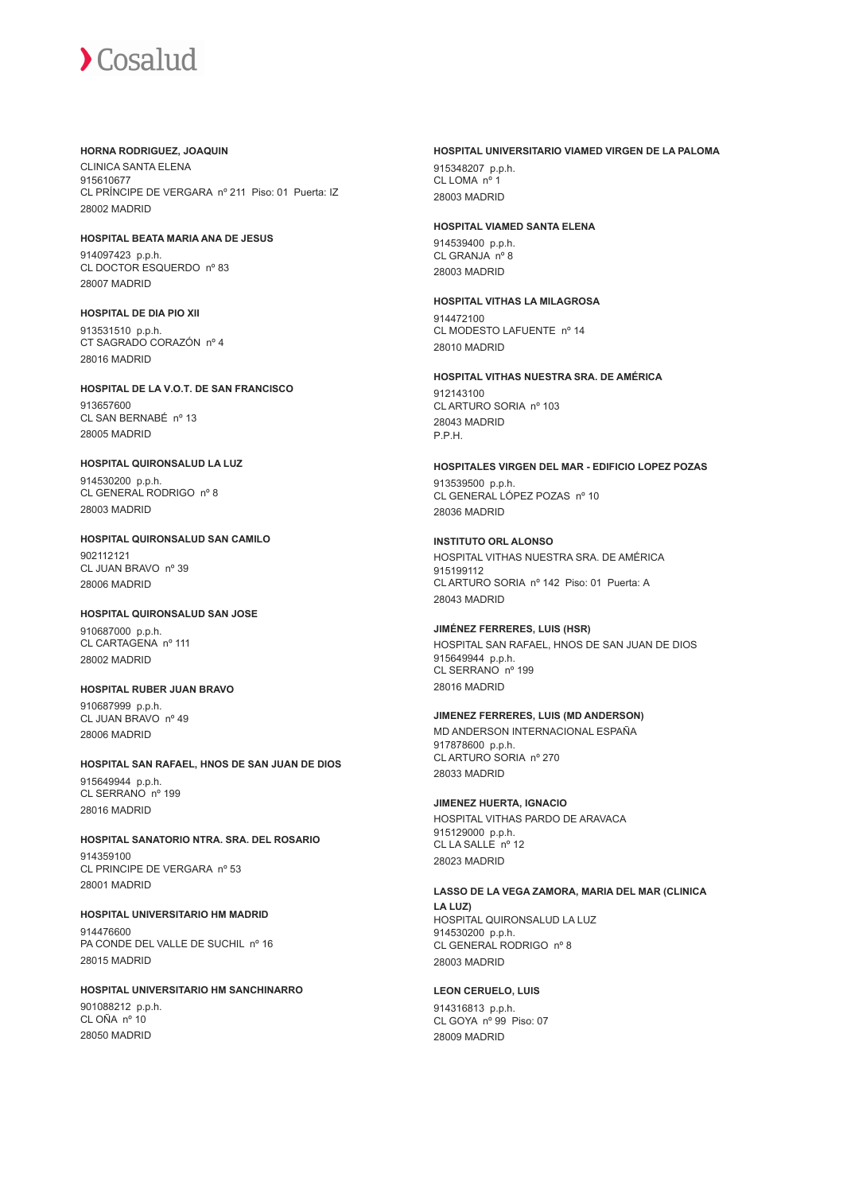#### **HORNA RODRIGUEZ, JOAQUIN**

CLINICA SANTA ELENA 915610677 CL PRÍNCIPE DE VERGARA nº 211 Piso: 01 Puerta: IZ 28002 MADRID

# **HOSPITAL BEATA MARIA ANA DE JESUS**

914097423 p.p.h. CL DOCTOR ESQUERDO nº 83 28007 MADRID

# **HOSPITAL DE DIA PIO XII**

913531510 p.p.h. CT SAGRADO CORAZÓN nº 4 28016 MADRID

#### **HOSPITAL DE LA V.O.T. DE SAN FRANCISCO** 913657600 CL SAN BERNABÉ nº 13

28005 MADRID

# **HOSPITAL QUIRONSALUD LA LUZ**

914530200 p.p.h. CL GENERAL RODRIGO nº 8 28003 MADRID

# **HOSPITAL QUIRONSALUD SAN CAMILO** 902112121 CL JUAN BRAVO nº 39 28006 MADRID

# **HOSPITAL QUIRONSALUD SAN JOSE**

910687000 p.p.h. CL CARTAGENA nº 111 28002 MADRID

# **HOSPITAL RUBER JUAN BRAVO**

910687999 p.p.h. CL JUAN BRAVO nº 49 28006 MADRID

# **HOSPITAL SAN RAFAEL, HNOS DE SAN JUAN DE DIOS**

915649944 p.p.h. CL SERRANO nº 199 28016 MADRID

# **HOSPITAL SANATORIO NTRA. SRA. DEL ROSARIO**

914359100 CL PRINCIPE DE VERGARA nº 53 28001 MADRID

# **HOSPITAL UNIVERSITARIO HM MADRID**

914476600 PA CONDE DEL VALLE DE SUCHIL nº 16 28015 MADRID

# **HOSPITAL UNIVERSITARIO HM SANCHINARRO** 901088212 p.p.h.

CL OÑA nº 10 28050 MADRID

## **HOSPITAL UNIVERSITARIO VIAMED VIRGEN DE LA PALOMA**

915348207 p.p.h. CL LOMA nº 1 28003 MADRID

# **HOSPITAL VIAMED SANTA ELENA**

914539400 p.p.h. CL GRANJA nº 8 28003 MADRID

# **HOSPITAL VITHAS LA MILAGROSA**

914472100 CL MODESTO LAFUENTE nº 14 28010 MADRID

# **HOSPITAL VITHAS NUESTRA SRA. DE AMÉRICA**

912143100 CL ARTURO SORIA nº 103 28043 MADRID P.P.H.

# **HOSPITALES VIRGEN DEL MAR - EDIFICIO LOPEZ POZAS**

913539500 p.p.h. CL GENERAL LÓPEZ POZAS nº 10 28036 MADRID

# **INSTITUTO ORL ALONSO**

HOSPITAL VITHAS NUESTRA SRA. DE AMÉRICA 015100112 CL ARTURO SORIA nº 142 Piso: 01 Puerta: A 28043 MADRID

# **JIMÉNEZ FERRERES, LUIS (HSR)**

HOSPITAL SAN RAFAEL, HNOS DE SAN JUAN DE DIOS 915649944 p.p.h. CL SERRANO nº 199 28016 MADRID

# **JIMENEZ FERRERES, LUIS (MD ANDERSON)**

MD ANDERSON INTERNACIONAL ESPAÑA 917878600 p.p.h. CL ARTURO SORIA nº 270 28033 MADRID

# **JIMENEZ HUERTA, IGNACIO**

HOSPITAL VITHAS PARDO DE ARAVACA 915129000 p.p.h. CL LA SALLE nº 12 28023 MADRID

# **LASSO DE LA VEGA ZAMORA, MARIA DEL MAR (CLINICA**

**LA LUZ)** HOSPITAL QUIRONSALUD LA LUZ 914530200 p.p.h. CL GENERAL RODRIGO nº 8 28003 MADRID

# **LEON CERUELO, LUIS**

914316813 p.p.h. CL GOYA nº 99 Piso: 07 28009 MADRID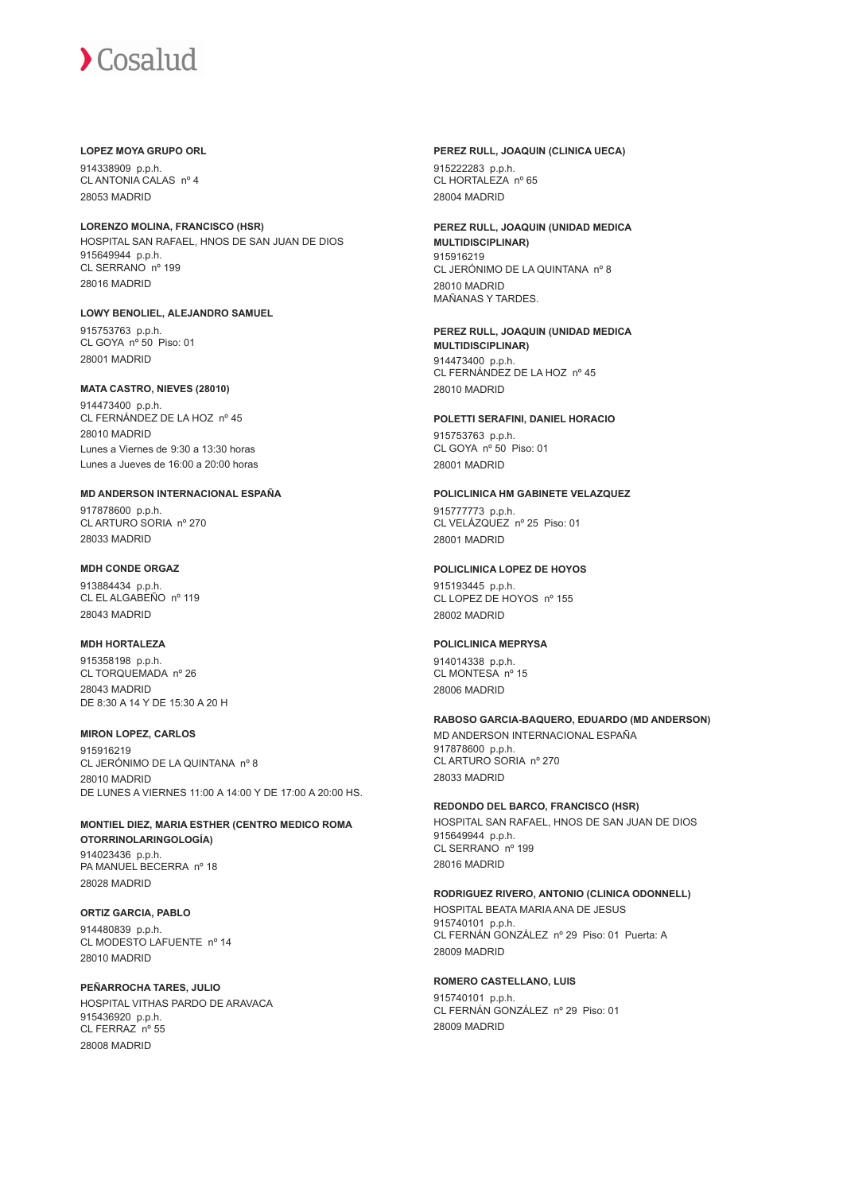#### **LOPEZ MOYA GRUPO ORL**

914338909 p.p.h. CL ANTONIA CALAS nº 4 28053 MADRID

**LORENZO MOLINA, FRANCISCO (HSR)** HOSPITAL SAN RAFAEL, HNOS DE SAN JUAN DE DIOS 915649944 p.p.h. CL SERRANO nº 199 28016 MADRID

**LOWY BENOLIEL, ALEJANDRO SAMUEL**

915753763 p.p.h. CL GOYA nº 50 Piso: 01 28001 MADRID

#### **MATA CASTRO, NIEVES (28010)**

914473400 p.p.h. CL FERNÁNDEZ DE LA HOZ nº 45 28010 MADRID Lunes a Viernes de 9:30 a 13:30 horas Lunes a Jueves de 16:00 a 20:00 horas

# **MD ANDERSON INTERNACIONAL ESPAÑA**

917878600 p.p.h. CL ARTURO SORIA nº 270 28033 MADRID

# **MDH CONDE ORGAZ**

913884434 p.p.h. CL EL ALGABEÑO nº 119 28043 MADRID

#### **MDH HORTALEZA**

915358198 p.p.h. CL TORQUEMADA nº 26 28043 MADRID DE 8:30 A 14 Y DE 15:30 A 20 H

#### **MIRON LOPEZ, CARLOS**

915916219 CL JERÓNIMO DE LA QUINTANA nº 8 28010 MADRID DE LUNES A VIERNES 11:00 A 14:00 Y DE 17:00 A 20:00 HS.

#### **MONTIEL DIEZ, MARIA ESTHER (CENTRO MEDICO ROMA OTORRINOLARINGOLOGÍA)** 914023436 p.p.h. PA MANUEL BECERRA nº 18 28028 MADRID

**ORTIZ GARCIA, PABLO** 914480839 p.p.h. CL MODESTO LAFUENTE nº 14 28010 MADRID

**PEÑARROCHA TARES, JULIO** HOSPITAL VITHAS PARDO DE ARAVACA 915436920 p.p.h. CL FERRAZ nº 55 28008 MADRID

# **PEREZ RULL, JOAQUIN (CLINICA UECA)** 915222283 p.p.h.

CL HORTALEZA nº 65 28004 MADRID

#### **PEREZ RULL, JOAQUIN (UNIDAD MEDICA MULTIDISCIPLINAR)** 915916219 CL JERÓNIMO DE LA QUINTANA nº 8 28010 MADRID MAÑANAS Y TARDES.

**PEREZ RULL, JOAQUIN (UNIDAD MEDICA MULTIDISCIPLINAR)** 914473400 p.p.h. CL FERNÁNDEZ DE LA HOZ nº 45 28010 MADRID

# **POLETTI SERAFINI, DANIEL HORACIO**

915753763 p.p.h. CL GOYA nº 50 Piso: 01 28001 MADRID

# **POLICLINICA HM GABINETE VELAZQUEZ**

915777773 p.p.h. CL VELÁZQUEZ nº 25 Piso: 01 28001 MADRID

#### **POLICLINICA LOPEZ DE HOYOS**

915193445 p.p.h. CL LOPEZ DE HOYOS nº 155 28002 MADRID

# **POLICLINICA MEPRYSA**

914014338 p.p.h. CL MONTESA nº 15 28006 MADRID

# **RABOSO GARCIA-BAQUERO, EDUARDO (MD ANDERSON)**

MD ANDERSON INTERNACIONAL ESPAÑA 917878600 p.p.h. CL ARTURO SORIA nº 270 28033 MADRID

# **REDONDO DEL BARCO, FRANCISCO (HSR)**

HOSPITAL SAN RAFAEL, HNOS DE SAN JUAN DE DIOS 915649944 p.p.h. CL SERRANO nº 199 28016 MADRID

# **RODRIGUEZ RIVERO, ANTONIO (CLINICA ODONNELL)**

HOSPITAL BEATA MARIA ANA DE JESUS 915740101 p.p.h. CL FERNÁN GONZÁLEZ nº 29 Piso: 01 Puerta: A 28009 MADRID

#### **ROMERO CASTELLANO, LUIS**

915740101 p.p.h. CL FERNÁN GONZÁLEZ nº 29 Piso: 01 28009 MADRID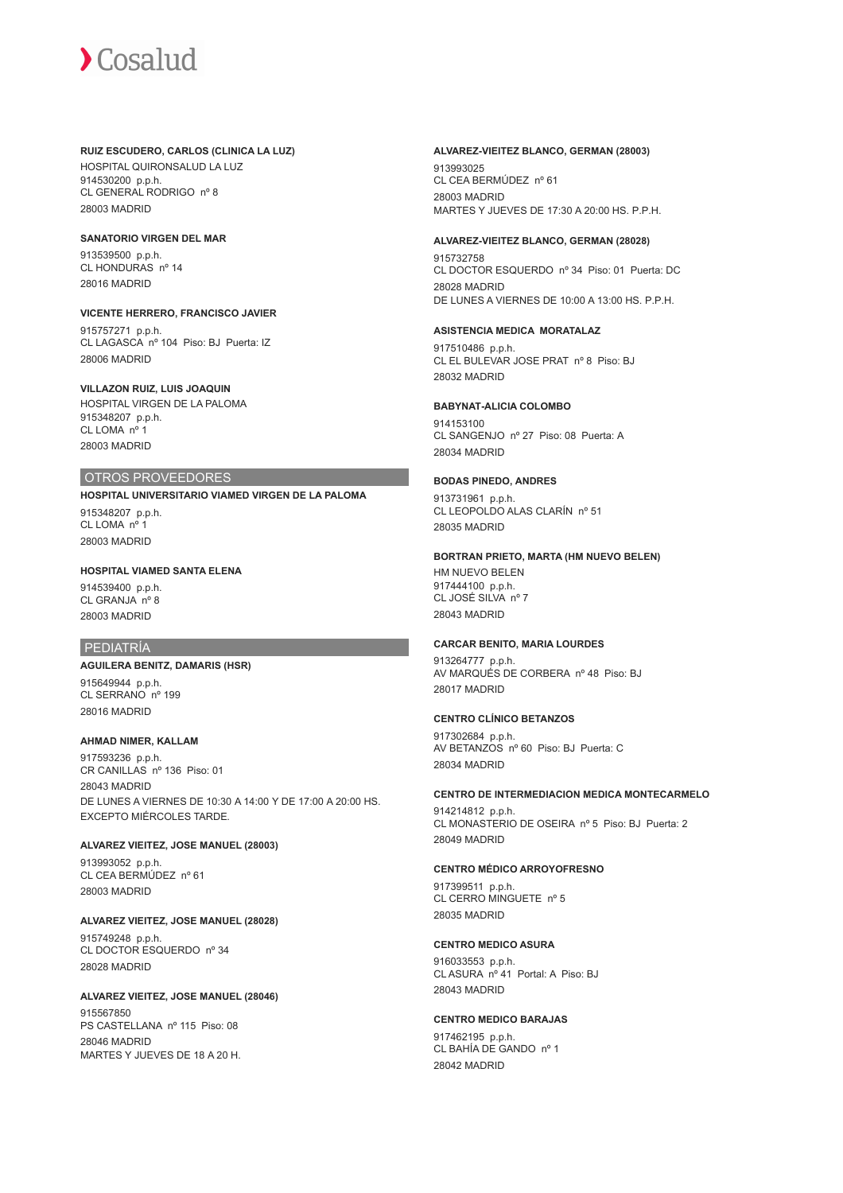#### **RUIZ ESCUDERO, CARLOS (CLINICA LA LUZ)**

HOSPITAL QUIRONSALUD LA LUZ 914530200 p.p.h. CL GENERAL RODRIGO nº 8 28003 MADRID

#### **SANATORIO VIRGEN DEL MAR**

913539500 p.p.h. CL HONDURAS nº 14 28016 MADRID

#### **VICENTE HERRERO, FRANCISCO JAVIER**

915757271 p.p.h. CL LAGASCA nº 104 Piso: BJ Puerta: IZ 28006 MADRID

### **VILLAZON RUIZ, LUIS JOAQUIN**

HOSPITAL VIRGEN DE LA PALOMA 915348207 p.p.h. CL LOMA nº 1 28003 MADRID

# OTROS PROVEEDORES

**HOSPITAL UNIVERSITARIO VIAMED VIRGEN DE LA PALOMA** 915348207 p.p.h. CL LOMA nº 1 28003 MADRID

# **HOSPITAL VIAMED SANTA ELENA**

914539400 p.p.h. CL GRANJA nº 8 28003 MADRID

# PEDIATRÍA

# **AGUILERA BENITZ, DAMARIS (HSR)**

915649944 p.p.h. CL SERRANO nº 199 28016 MADRID

#### **AHMAD NIMER, KALLAM**

917593236 p.p.h. CR CANILLAS nº 136 Piso: 01 28043 MADRID DE LUNES A VIERNES DE 10:30 A 14:00 Y DE 17:00 A 20:00 HS. EXCEPTO MIÉRCOLES TARDE.

# **ALVAREZ VIEITEZ, JOSE MANUEL (28003)**

913993052 p.p.h. CL CEA BERMÚDEZ nº 61 28003 MADRID

# **ALVAREZ VIEITEZ, JOSE MANUEL (28028)**

915749248 p.p.h. CL DOCTOR ESQUERDO nº 34 28028 MADRID

# **ALVAREZ VIEITEZ, JOSE MANUEL (28046)**

915567850 PS CASTELLANA nº 115 Piso: 08 28046 MADRID MARTES Y JUEVES DE 18 A 20 H.

#### **ALVAREZ-VIEITEZ BLANCO, GERMAN (28003)**

913993025 CL CEA BERMÚDEZ nº 61 28003 MADRID MARTES Y JUEVES DE 17:30 A 20:00 HS. P.P.H.

### **ALVAREZ-VIEITEZ BLANCO, GERMAN (28028)**

915732758 CL DOCTOR ESQUERDO nº 34 Piso: 01 Puerta: DC 28028 MADRID DE LUNES A VIERNES DE 10:00 A 13:00 HS. P.P.H.

#### **ASISTENCIA MEDICA MORATALAZ**

917510486 p.p.h. CL EL BULEVAR JOSE PRAT nº 8 Piso: BJ 28032 MADRID

#### **BABYNAT-ALICIA COLOMBO**

914153100 CL SANGENJO nº 27 Piso: 08 Puerta: A 28034 MADRID

#### **BODAS PINEDO, ANDRES**

913731961 p.p.h. CL LEOPOLDO ALAS CLARÍN nº 51 28035 MADRID

#### **BORTRAN PRIETO, MARTA (HM NUEVO BELEN)**

HM NUEVO BELEN 917444100 p.p.h. CL JOSÉ SILVA nº 7 28043 MADRID

#### **CARCAR BENITO, MARIA LOURDES**

913264777 p.p.h. AV MARQUÉS DE CORBERA nº 48 Piso: BJ 28017 MADRID

#### **CENTRO CLÍNICO BETANZOS**

917302684 p.p.h. AV BETANZOS nº 60 Piso: BJ Puerta: C 28034 MADRID

# **CENTRO DE INTERMEDIACION MEDICA MONTECARMELO**

914214812 p.p.h. CL MONASTERIO DE OSEIRA nº 5 Piso: BJ Puerta: 2 28049 MADRID

#### **CENTRO MÉDICO ARROYOFRESNO**

917399511 p.p.h. CL CERRO MINGUETE nº 5 28035 MADRID

# **CENTRO MEDICO ASURA**

916033553 p.p.h. CL ASURA nº 41 Portal: A Piso: BJ 28043 MADRID

# **CENTRO MEDICO BARAJAS**

917462195 p.p.h. CL BAHÍA DE GANDO nº 1 28042 MADRID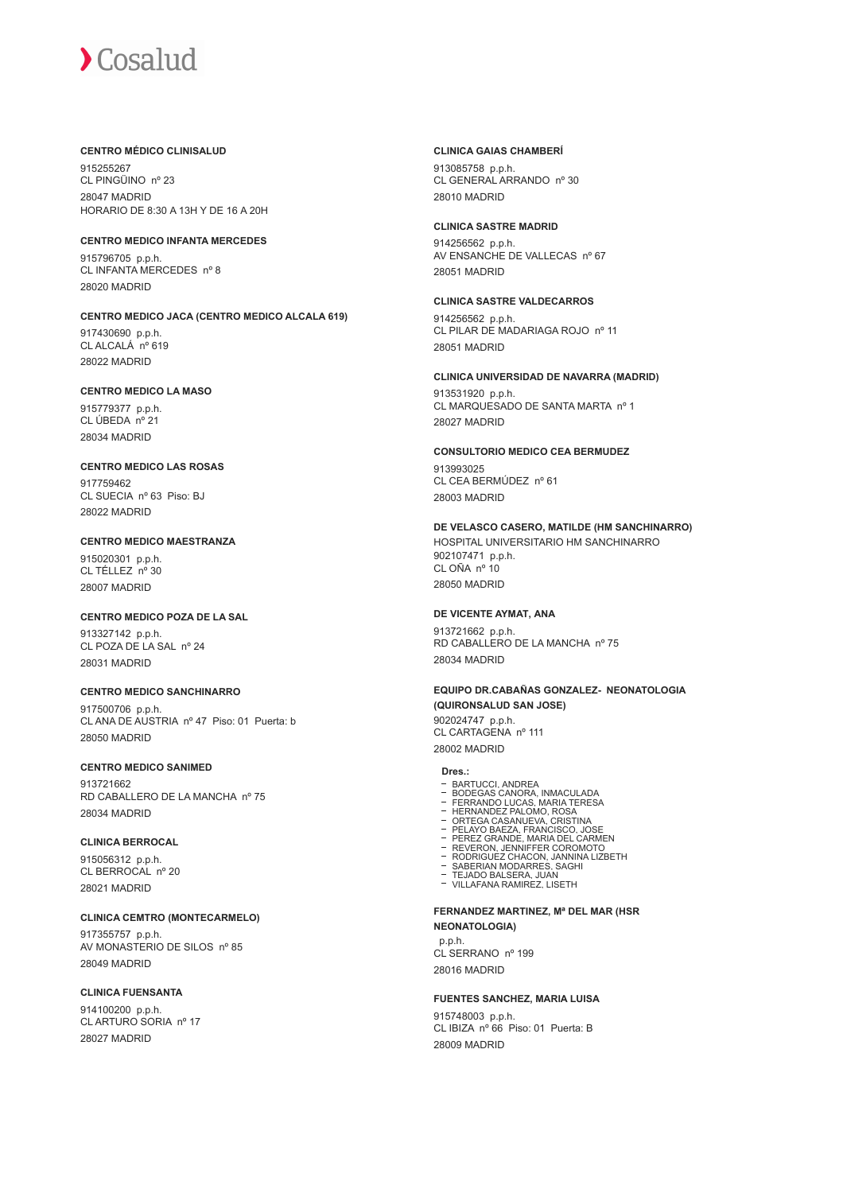#### **CENTRO MÉDICO CLINISALUD**

915255267 CL PINGÜINO nº 23 28047 MADRID HORARIO DE 8:30 A 13H Y DE 16 A 20H

# **CENTRO MEDICO INFANTA MERCEDES**

915796705 p.p.h. CL INFANTA MERCEDES nº 8 28020 MADRID

### **CENTRO MEDICO JACA (CENTRO MEDICO ALCALA 619)**

917430690 p.p.h. CL ALCALÁ nº 619 28022 MADRID

#### **CENTRO MEDICO LA MASO**

915779377 p.p.h. CL ÚBEDA nº 21 28034 MADRID

# **CENTRO MEDICO LAS ROSAS**

017750462 CL SUECIA nº 63 Piso: BJ 28022 MADRID

## **CENTRO MEDICO MAESTRANZA**

915020301 p.p.h.  $CI$  TÉLLEZ  $n^{\circ}$  30 28007 MADRID

# **CENTRO MEDICO POZA DE LA SAL**

913327142 p.p.h. CL POZA DE LA SAL nº 24 28031 MADRID

# **CENTRO MEDICO SANCHINARRO**

917500706 p.p.h. CL ANA DE AUSTRIA nº 47 Piso: 01 Puerta: b 28050 MADRID

# **CENTRO MEDICO SANIMED**

913721662 RD CABALLERO DE LA MANCHA nº 75 28034 MADRID

#### **CLINICA BERROCAL**

915056312 p.p.h. CL BERROCAL nº 20 28021 MADRID

#### **CLINICA CEMTRO (MONTECARMELO)**

917355757 p.p.h. AV MONASTERIO DE SILOS nº 85 28049 MADRID

## **CLINICA FUENSANTA**

914100200 p.p.h. CL ARTURO SORIA nº 17 28027 MADRID

#### **CLINICA GAIAS CHAMBERÍ**

913085758 p.p.h. CL GENERAL ARRANDO nº 30 28010 MADRID

#### **CLINICA SASTRE MADRID**

914256562 p.p.h. AV ENSANCHE DE VALLECAS nº 67 28051 MADRID

# **CLINICA SASTRE VALDECARROS**

914256562 p.p.h. CL PILAR DE MADARIAGA ROJO nº 11 28051 MADRID

#### **CLINICA UNIVERSIDAD DE NAVARRA (MADRID)**

913531920 p.p.h. CL MARQUESADO DE SANTA MARTA nº 1 28027 MADRID

#### **CONSULTORIO MEDICO CEA BERMUDEZ** 913993025 CL CEA BERMÚDEZ nº 61

28003 MADRID

#### **DE VELASCO CASERO, MATILDE (HM SANCHINARRO)**

HOSPITAL UNIVERSITARIO HM SANCHINARRO 902107471 p.p.h. CL OÑA nº 10 28050 MADRID

#### **DE VICENTE AYMAT, ANA**

913721662 p.p.h. RD CABALLERO DE LA MANCHA nº 75 28034 MADRID

#### **EQUIPO DR.CABAÑAS GONZALEZ- NEONATOLOGIA (QUIRONSALUD SAN JOSE)**

902024747 p.p.h. CL CARTAGENA nº 111 28002 MADRID

#### **Dres.:**

- 
- 
- 
- 
- 
- 
- BARTUCCI, ANDREA<br>BODEGAS CANORA, INMACULADA<br>FERRANDO LUCAS, IMARIA TERESA<br>HERNANDEZ PALOMO, ROSA<br>ORTEGA CASANUEVA, CRISTINA<br>PELAYO BAEZA, FRANCISCO, JOSE<br>PEREZ GRANDE, MARIA DEL CARMEN<br>RODRIGUEZ CHACON, JANNINA LIZBETH<br>ROD
- 
- 

#### **FERNANDEZ MARTINEZ, Mª DEL MAR (HSR NEONATOLOGIA)**

 p.p.h. CL SERRANO nº 199 28016 MADRID

#### **FUENTES SANCHEZ, MARIA LUISA**

915748003 p.p.h. CL IBIZA nº 66 Piso: 01 Puerta: B 28009 MADRID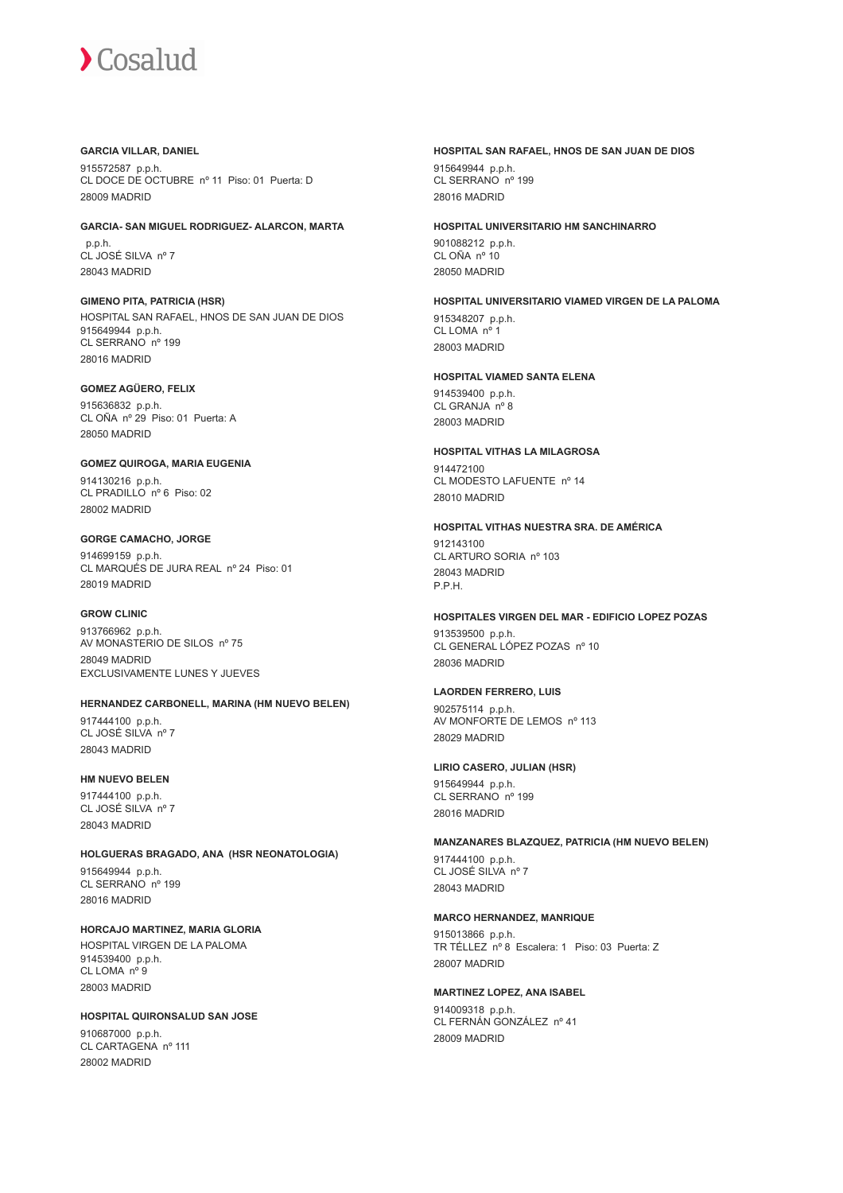#### **GARCIA VILLAR, DANIEL**

915572587 p.p.h. CL DOCE DE OCTUBRE nº 11 Piso: 01 Puerta: D 28009 MADRID

## **GARCIA- SAN MIGUEL RODRIGUEZ- ALARCON, MARTA**

 p.p.h. CL JOSÉ SILVA nº 7 28043 MADRID

**GIMENO PITA, PATRICIA (HSR)** HOSPITAL SAN RAFAEL, HNOS DE SAN JUAN DE DIOS 915649944 p.p.h. CL SERRANO nº 199 28016 MADRID

# **GOMEZ AGÜERO, FELIX**

915636832 p.p.h. CL OÑA nº 29 Piso: 01 Puerta: A 28050 MADRID

#### **GOMEZ QUIROGA, MARIA EUGENIA** 914130216 p.p.h. CL PRADILLO nº 6 Piso: 02 28002 MADRID

**GORGE CAMACHO, JORGE** 914699159 p.p.h. CL MARQUÉS DE JURA REAL nº 24 Piso: 01 28019 MADRID

#### **GROW CLINIC**

913766962 p.p.h. AV MONASTERIO DE SILOS nº 75 28049 MADRID EXCLUSIVAMENTE LUNES Y JUEVES

# **HERNANDEZ CARBONELL, MARINA (HM NUEVO BELEN)**

917444100 p.p.h. CL JOSÉ SILVA nº 7 28043 MADRID

#### **HM NUEVO BELEN**

917444100 p.p.h. CL JOSÉ SILVA nº 7 28043 MADRID

**HOLGUERAS BRAGADO, ANA (HSR NEONATOLOGIA)** 915649944 p.p.h. CL SERRANO nº 199 28016 MADRID

**HORCAJO MARTINEZ, MARIA GLORIA** HOSPITAL VIRGEN DE LA PALOMA 914539400 p.p.h. CL LOMA nº 9 28003 MADRID

**HOSPITAL QUIRONSALUD SAN JOSE** 910687000 p.p.h. CL CARTAGENA nº 111 28002 MADRID

# **HOSPITAL SAN RAFAEL, HNOS DE SAN JUAN DE DIOS** 915649944 p.p.h.

CL SERRANO nº 199 28016 MADRID

#### **HOSPITAL UNIVERSITARIO HM SANCHINARRO**

901088212 p.p.h. CL OÑA nº 10 28050 MADRID

# **HOSPITAL UNIVERSITARIO VIAMED VIRGEN DE LA PALOMA** 915348207 p.p.h.

CL LOMA nº 1 28003 MADRID

# **HOSPITAL VIAMED SANTA ELENA**

914539400 p.p.h. CL GRANJA nº 8 28003 MADRID

**HOSPITAL VITHAS LA MILAGROSA** 914472100 CL MODESTO LAFUENTE nº 14 28010 MADRID

# **HOSPITAL VITHAS NUESTRA SRA. DE AMÉRICA**

912143100 CL ARTURO SORIA nº 103 28043 MADRID P.P.H.

# **HOSPITALES VIRGEN DEL MAR - EDIFICIO LOPEZ POZAS**

913539500 p.p.h. CL GENERAL LÓPEZ POZAS nº 10 28036 MADRID

# **LAORDEN FERRERO, LUIS**

902575114 p.p.h. AV MONFORTE DE LEMOS nº 113 28029 MADRID

# **LIRIO CASERO, JULIAN (HSR)**

915649944 p.p.h. CL SERRANO nº 199 28016 MADRID

# **MANZANARES BLAZQUEZ, PATRICIA (HM NUEVO BELEN)**

917444100 p.p.h. CL JOSÉ SILVA nº 7 28043 MADRID

# **MARCO HERNANDEZ, MANRIQUE**

915013866 p.p.h. TR TÉLLEZ nº 8 Escalera: 1 Piso: 03 Puerta: Z 28007 MADRID

**MARTINEZ LOPEZ, ANA ISABEL** 914009318 p.p.h. CL FERNÁN GONZÁLEZ nº 41 28009 MADRID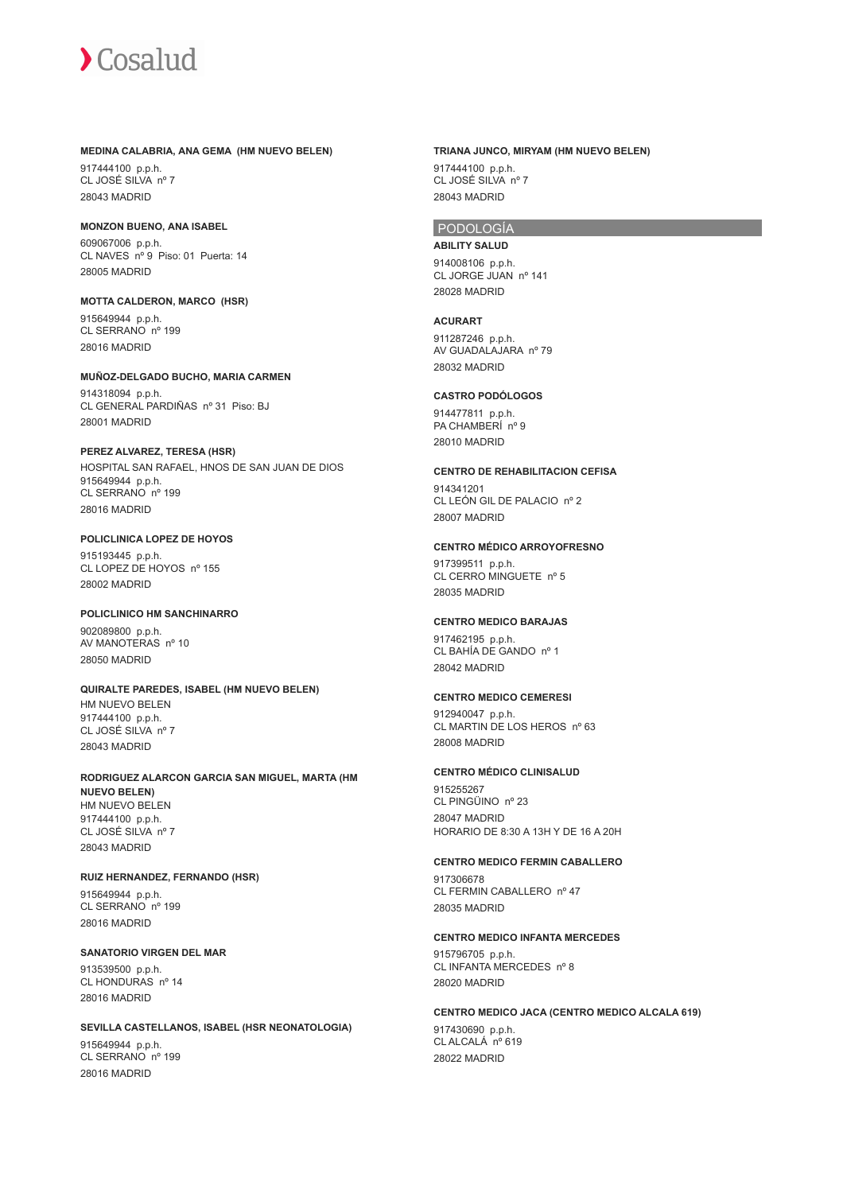

#### **MEDINA CALABRIA, ANA GEMA (HM NUEVO BELEN)**

917444100 p.p.h. CL JOSÉ SILVA nº 7 28043 MADRID

#### **MONZON BUENO, ANA ISABEL** 609067006 p.p.h. CL NAVES nº 9 Piso: 01 Puerta: 14

28005 MADRID

**MOTTA CALDERON, MARCO (HSR)** 915649944 p.p.h. CL SERRANO nº 199 28016 MADRID

#### **MUÑOZ-DELGADO BUCHO, MARIA CARMEN** 914318094 p.p.h. CL GENERAL PARDIÑAS nº 31 Piso: BJ 28001 MADRID

**PEREZ ALVAREZ, TERESA (HSR)** HOSPITAL SAN RAFAEL, HNOS DE SAN JUAN DE DIOS 915649944 p.p.h. CL SERRANO nº 199 28016 MADRID

**POLICLINICA LOPEZ DE HOYOS** 915193445 p.p.h. CL LOPEZ DE HOYOS nº 155 28002 MADRID

# **POLICLINICO HM SANCHINARRO** 902089800 p.p.h.

AV MANOTERAS nº 10 28050 MADRID

# **QUIRALTE PAREDES, ISABEL (HM NUEVO BELEN)**

HM NUEVO BELEN 917444100 p.p.h. CL JOSÉ SILVA nº 7 28043 MADRID

#### **RODRIGUEZ ALARCON GARCIA SAN MIGUEL, MARTA (HM NUEVO BELEN)** HM NUEVO BELEN 917444100 p.p.h. CL JOSÉ SILVA nº 7 28043 MADRID

#### **RUIZ HERNANDEZ, FERNANDO (HSR)**

915649944 p.p.h. CL SERRANO nº 199 28016 MADRID

# **SANATORIO VIRGEN DEL MAR**

913539500 p.p.h. CL HONDURAS nº 14 28016 MADRID

#### **SEVILLA CASTELLANOS, ISABEL (HSR NEONATOLOGIA)**

915649944 p.p.h. CL SERRANO nº 199 28016 MADRID

# **TRIANA JUNCO, MIRYAM (HM NUEVO BELEN)**

917444100 p.p.h. CL JOSÉ SILVA nº 7 28043 MADRID

# PODOLOGÍA

**ABILITY SALUD** 914008106 p.p.h. CL JORGE JUAN nº 141 28028 MADRID

#### **ACURART**

911287246 p.p.h. AV GUADALAJARA nº 79 28032 MADRID

# **CASTRO PODÓLOGOS**

914477811 p.p.h. PA CHAMBERÍ nº 9 28010 MADRID

# **CENTRO DE REHABILITACION CEFISA**

914341201 CL LEÓN GIL DE PALACIO nº 2 28007 MADRID

# **CENTRO MÉDICO ARROYOFRESNO**

917399511 p.p.h. CL CERRO MINGUETE nº 5 28035 MADRID

# **CENTRO MEDICO BARAJAS**

917462195 p.p.h. CL BAHÍA DE GANDO nº 1 28042 MADRID

## **CENTRO MEDICO CEMERESI**

912940047 p.p.h. CL MARTIN DE LOS HEROS nº 63 28008 MADRID

#### **CENTRO MÉDICO CLINISALUD**

915255267 CL PINGÜINO nº 23 28047 MADRID HORARIO DE 8:30 A 13H Y DE 16 A 20H

#### **CENTRO MEDICO FERMIN CABALLERO**

917306678 CL FERMIN CABALLERO nº 47 28035 MADRID

### **CENTRO MEDICO INFANTA MERCEDES**

915796705 p.p.h. CL INFANTA MERCEDES nº 8 28020 MADRID

#### **CENTRO MEDICO JACA (CENTRO MEDICO ALCALA 619)**

917430690 p.p.h. CL ALCALÁ<sup>no</sup> 619 28022 MADRID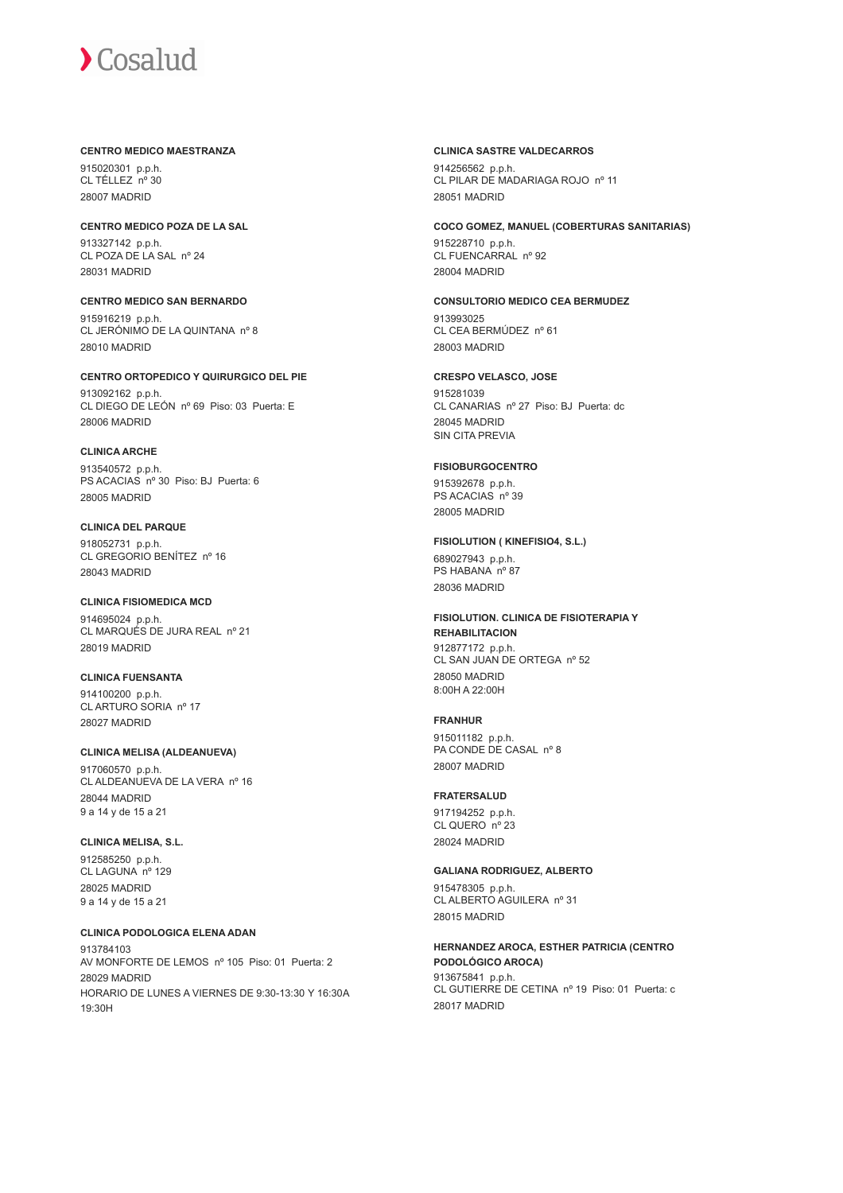#### **CENTRO MEDICO MAESTRANZA**

915020301 p.p.h. CL TÉLLEZ nº 30 28007 MADRID

**CENTRO MEDICO POZA DE LA SAL** 913327142 p.p.h. CL POZA DE LA SAL nº 24 28031 MADRID

**CENTRO MEDICO SAN BERNARDO** 915916219 p.p.h. CL JERÓNIMO DE LA QUINTANA nº 8 28010 MADRID

**CENTRO ORTOPEDICO Y QUIRURGICO DEL PIE** 913092162 p.p.h. CL DIEGO DE LEÓN nº 69 Piso: 03 Puerta: E 28006 MADRID

**CLINICA ARCHE** 913540572 p.p.h. PS ACACIAS nº 30 Piso: BJ Puerta: 6 28005 MADRID

**CLINICA DEL PARQUE** 918052731 p.p.h. CL GREGORIO BENÍTEZ nº 16 28043 MADRID

**CLINICA FISIOMEDICA MCD** 914695024 p.p.h. CL MARQUÉS DE JURA REAL nº 21 28019 MADRID

**CLINICA FUENSANTA** 914100200 p.p.h. CL ARTURO SORIA nº 17 28027 MADRID

**CLINICA MELISA (ALDEANUEVA)** 917060570 p.p.h. CL ALDEANUEVA DE LA VERA nº 16 28044 MADRID 9 a 14 y de 15 a 21

**CLINICA MELISA, S.L.** 912585250 p.p.h. CL LAGUNA nº 129 28025 MADRID 9 a 14 y de 15 a 21

**CLINICA PODOLOGICA ELENA ADAN** 913784103 AV MONFORTE DE LEMOS nº 105 Piso: 01 Puerta: 2 28029 MADRID HORARIO DE LUNES A VIERNES DE 9:30-13:30 Y 16:30A 19:30H

### **CLINICA SASTRE VALDECARROS**

914256562 p.p.h. CL PILAR DE MADARIAGA ROJO nº 11 28051 MADRID

**COCO GOMEZ, MANUEL (COBERTURAS SANITARIAS)**

915228710 p.p.h. CL FUENCARRAL nº 92 28004 MADRID

**CONSULTORIO MEDICO CEA BERMUDEZ**

913993025 CL CEA BERMÚDEZ nº 61 28003 MADRID

**CRESPO VELASCO, JOSE**

915281039 CL CANARIAS nº 27 Piso: BJ Puerta: dc 28045 MADRID SIN CITA PREVIA

**FISIOBURGOCENTRO**

915392678 p.p.h. PS ACACIAS nº 39 28005 MADRID

# **FISIOLUTION ( KINEFISIO4, S.L.)**

689027943 p.p.h. PS HABANA nº 87 28036 MADRID

**FISIOLUTION. CLINICA DE FISIOTERAPIA Y REHABILITACION** 912877172 p.p.h. CL SAN JUAN DE ORTEGA nº 52 28050 MADRID 8:00H A 22:00H

# **FRANHUR**

915011182 p.p.h. PA CONDE DE CASAL nº 8 28007 MADRID

# **FRATERSALUD**

917194252 p.p.h. CL QUERO nº 23 28024 MADRID

# **GALIANA RODRIGUEZ, ALBERTO**

915478305 p.p.h. CL ALBERTO AGUILERA nº 31 28015 MADRID

**HERNANDEZ AROCA, ESTHER PATRICIA (CENTRO PODOLÓGICO AROCA)** 913675841 p.p.h. CL GUTIERRE DE CETINA nº 19 Piso: 01 Puerta: c 28017 MADRID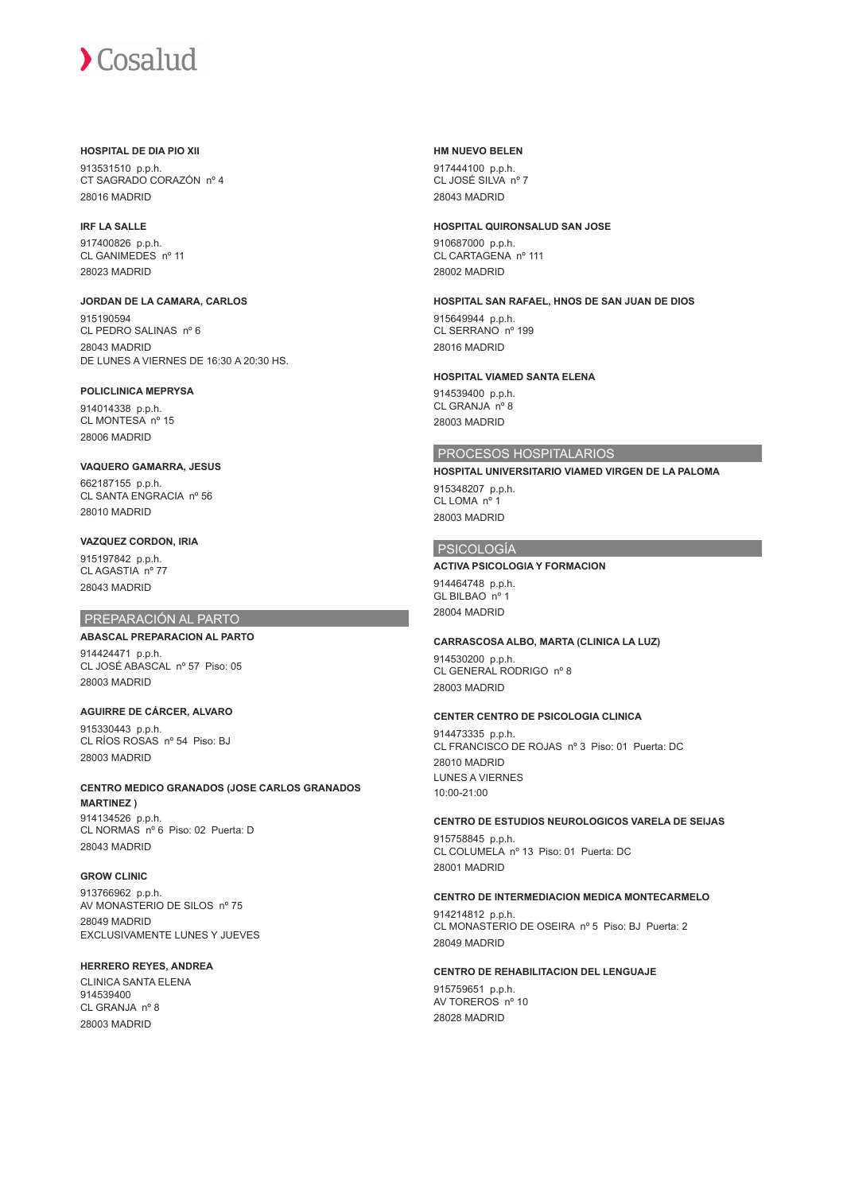## **HOSPITAL DE DIA PIO XII**

913531510 p.p.h. CT SAGRADO CORAZÓN nº 4 28016 MADRID

### **IRF LA SALLE**

917400826 p.p.h. CL GANIMEDES nº 11 28023 MADRID

**JORDAN DE LA CAMARA, CARLOS** 915190594 CL PEDRO SALINAS nº 6 28043 MADRID DE LUNES A VIERNES DE 16:30 A 20:30 HS.

#### **POLICLINICA MEPRYSA**

914014338 p.p.h. CL MONTESA nº 15 28006 MADRID

# **VAQUERO GAMARRA, JESUS**

662187155 p.p.h. CL SANTA ENGRACIA nº 56 28010 MADRID

# **VAZQUEZ CORDON, IRIA**

915197842 p.p.h. CL AGASTIA nº 77 28043 MADRID

# PREPARACIÓN AL PARTO

#### **ABASCAL PREPARACION AL PARTO**

914424471 p.p.h. CL JOSÉ ABASCAL nº 57 Piso: 05 28003 MADRID

**AGUIRRE DE CÁRCER, ALVARO** 915330443 p.p.h.

CL RÍOS ROSAS nº 54 Piso: BJ 28003 MADRID

**CENTRO MEDICO GRANADOS (JOSE CARLOS GRANADOS MARTINEZ )** 914134526 p.p.h. CL NORMAS nº 6 Piso: 02 Puerta: D

28043 MADRID

# **GROW CLINIC**

913766962 p.p.h. AV MONASTERIO DE SILOS nº 75 28049 MADRID EXCLUSIVAMENTE LUNES Y JUEVES

### **HERRERO REYES, ANDREA**

CLINICA SANTA ELENA 914539400 CL GRANJA nº 8 28003 MADRID

#### **HM NUEVO BELEN**

917444100 p.p.h. CL JOSÉ SILVA nº 7 28043 MADRID

#### **HOSPITAL QUIRONSALUD SAN JOSE**

910687000 p.p.h. CL CARTAGENA nº 111 28002 MADRID

## **HOSPITAL SAN RAFAEL, HNOS DE SAN JUAN DE DIOS**

915649944 p.p.h. CL SERRANO nº 199 28016 MADRID

#### **HOSPITAL VIAMED SANTA ELENA**

914539400 p.p.h. CL GRANJA nº 8 28003 MADRID

# PROCESOS HOSPITALARIOS

# **HOSPITAL UNIVERSITARIO VIAMED VIRGEN DE LA PALOMA**

915348207 p.p.h. CL LOMA nº 1 28003 MADRID

# PSICOLOGÍA

#### **ACTIVA PSICOLOGIA Y FORMACION**

914464748 p.p.h. GL BILBAO nº 1 28004 MADRID

#### **CARRASCOSA ALBO, MARTA (CLINICA LA LUZ)**

914530200 p.p.h. CL GENERAL RODRIGO nº 8 28003 MADRID

#### **CENTER CENTRO DE PSICOLOGIA CLINICA**

914473335 p.p.h. CL FRANCISCO DE ROJAS nº 3 Piso: 01 Puerta: DC 28010 MADRID LUNES A VIERNES 10:00-21:00

## **CENTRO DE ESTUDIOS NEUROLOGICOS VARELA DE SEIJAS** 915758845 p.p.h.

CL COLUMELA nº 13 Piso: 01 Puerta: DC 28001 MADRID

# **CENTRO DE INTERMEDIACION MEDICA MONTECARMELO**

914214812 p.p.h. CL MONASTERIO DE OSEIRA nº 5 Piso: BJ Puerta: 2 28049 MADRID

# **CENTRO DE REHABILITACION DEL LENGUAJE**

915759651 p.p.h. AV TOREROS nº 10 28028 MADRID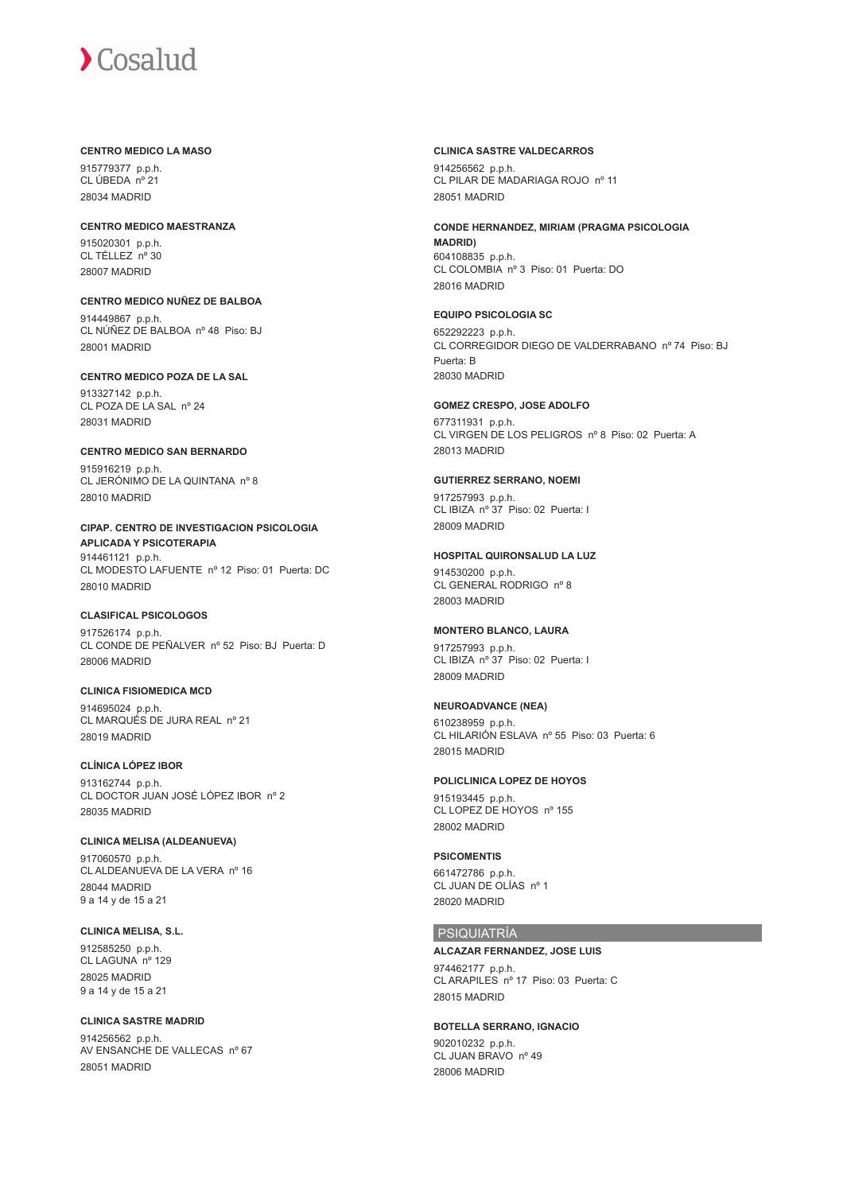#### **CENTRO MEDICO LA MASO**

915779377 p.p.h. CL ÚBEDA nº 21 28034 MADRID

**CENTRO MEDICO MAESTRANZA** 915020301 p.p.h. CL TÉLLEZ nº 30 28007 MADRID

#### **CENTRO MEDICO NUÑEZ DE BALBOA** 914449867 p.p.h. CL NÚÑEZ DE BALBOA nº 48 Piso: BJ

28001 MADRID

#### **CENTRO MEDICO POZA DE LA SAL**

913327142 p.p.h. CL POZA DE LA SAL nº 24 28031 MADRID

# **CENTRO MEDICO SAN BERNARDO**

915916219 p.p.h. CL JERÓNIMO DE LA QUINTANA nº 8 28010 MADRID

**CIPAP. CENTRO DE INVESTIGACION PSICOLOGIA APLICADA Y PSICOTERAPIA** 914461121 p.p.h. CL MODESTO LAFUENTE nº 12 Piso: 01 Puerta: DC 28010 MADRID

# **CLASIFICAL PSICOLOGOS**

917526174 p.p.h. CL CONDE DE PEÑALVER nº 52 Piso: BJ Puerta: D 28006 MADRID

# **CLINICA FISIOMEDICA MCD**

914695024 p.p.h. CL MARQUÉS DE JURA REAL nº 21 28019 MADRID

# **CLÍNICA LÓPEZ IBOR**

913162744 p.p.h. CL DOCTOR JUAN JOSÉ LÓPEZ IBOR nº 2 28035 MADRID

# **CLINICA MELISA (ALDEANUEVA)**

917060570 p.p.h. CL ALDEANUEVA DE LA VERA nº 16 28044 MADRID 9 a 14 y de 15 a 21

# **CLINICA MELISA, S.L.**

912585250 p.p.h. CL LAGUNA nº 129 28025 MADRID 9 a 14 y de 15 a 21

# **CLINICA SASTRE MADRID**

914256562 p.p.h. AV ENSANCHE DE VALLECAS nº 67 28051 MADRID

#### **CLINICA SASTRE VALDECARROS**

914256562 p.p.h. CL PILAR DE MADARIAGA ROJO nº 11 28051 MADRID

#### **CONDE HERNANDEZ, MIRIAM (PRAGMA PSICOLOGIA MADRID)**

604108835 p.p.h. CL COLOMBIA nº 3 Piso: 01 Puerta: DO 28016 MADRID

#### **EQUIPO PSICOLOGIA SC**

652292223 p.p.h. CL CORREGIDOR DIEGO DE VALDERRABANO nº 74 Piso: BJ Puerta: B 28030 MADRID

# **GOMEZ CRESPO, JOSE ADOLFO**

677311931 p.p.h. CL VIRGEN DE LOS PELIGROS nº 8 Piso: 02 Puerta: A 28013 MADRID

#### **GUTIERREZ SERRANO, NOEMI**

917257993 p.p.h. CL IBIZA nº 37 Piso: 02 Puerta: I 28009 MADRID

# **HOSPITAL QUIRONSALUD LA LUZ**

914530200 p.p.h. CL GENERAL RODRIGO nº 8 28003 MADRID

#### **MONTERO BLANCO, LAURA**

917257993 p.p.h. CL IBIZA nº 37 Piso: 02 Puerta: I 28009 MADRID

#### **NEUROADVANCE (NEA)**

610238959 p.p.h. CL HILARIÓN ESLAVA nº 55 Piso: 03 Puerta: 6 28015 MADRID

# **POLICLINICA LOPEZ DE HOYOS**

915193445 p.p.h. CL LOPEZ DE HOYOS nº 155 28002 MADRID

#### **PSICOMENTIS**

661472786 p.p.h. CL JUAN DE OLÍAS nº 1 28020 MADRID

#### PSIQUIATRÍA

## **ALCAZAR FERNANDEZ, JOSE LUIS**

974462177 p.p.h. CL ARAPILES nº 17 Piso: 03 Puerta: C 28015 MADRID

#### **BOTELLA SERRANO, IGNACIO**

902010232 p.p.h. CL JUAN BRAVO nº 49 28006 MADRID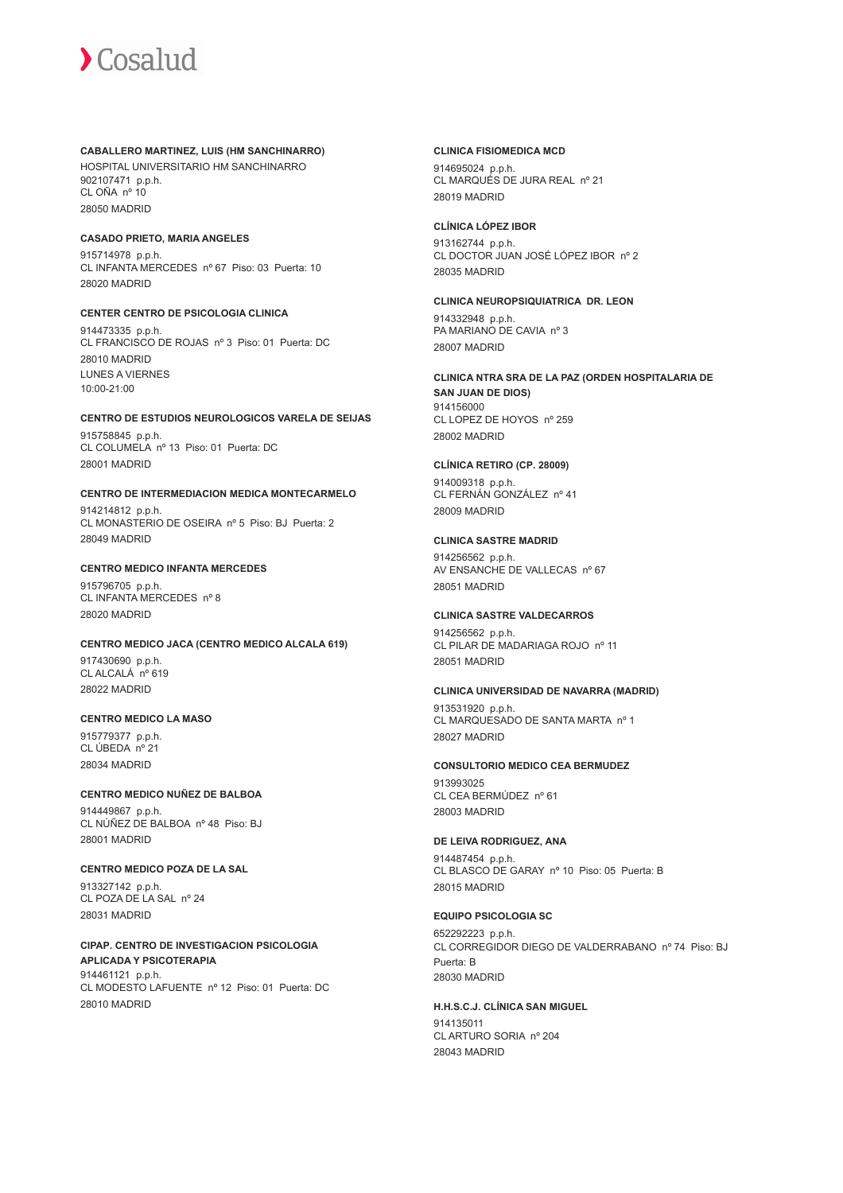#### **CABALLERO MARTINEZ, LUIS (HM SANCHINARRO)**

HOSPITAL UNIVERSITARIO HM SANCHINARRO 902107471 p.p.h. CL OÑA nº 10 28050 MADRID

#### **CASADO PRIETO, MARIA ANGELES**

915714978 p.p.h. CL INFANTA MERCEDES nº 67 Piso: 03 Puerta: 10 28020 MADRID

#### **CENTER CENTRO DE PSICOLOGIA CLINICA**

914473335 p.p.h. CL FRANCISCO DE ROJAS nº 3 Piso: 01 Puerta: DC 28010 MADRID LUNES A VIERNES 10:00-21:00

# **CENTRO DE ESTUDIOS NEUROLOGICOS VARELA DE SEIJAS**

915758845 p.p.h. CL COLUMELA nº 13 Piso: 01 Puerta: DC 28001 MADRID

## **CENTRO DE INTERMEDIACION MEDICA MONTECARMELO**

914214812 p.p.h. CL MONASTERIO DE OSEIRA nº 5 Piso: BJ Puerta: 2 28049 MADRID

# **CENTRO MEDICO INFANTA MERCEDES**

915796705 p.p.h. CL INFANTA MERCEDES nº 8 28020 MADRID

# **CENTRO MEDICO JACA (CENTRO MEDICO ALCALA 619)**

917430690 p.p.h. CL ALCALÁ nº 619 28022 MADRID

### **CENTRO MEDICO LA MASO**

915779377 p.p.h. CL ÚBEDA nº 21 28034 MADRID

#### **CENTRO MEDICO NUÑEZ DE BALBOA** 914449867 p.p.h. CL NÚÑEZ DE BALBOA nº 48 Piso: BJ 28001 MADRID

# **CENTRO MEDICO POZA DE LA SAL**

913327142 p.p.h. CL POZA DE LA SAL nº 24 28031 MADRID

#### **CIPAP. CENTRO DE INVESTIGACION PSICOLOGIA APLICADA Y PSICOTERAPIA** 914461121 p.p.h.

CL MODESTO LAFUENTE nº 12 Piso: 01 Puerta: DC 28010 MADRID

#### **CLINICA FISIOMEDICA MCD**

914695024 p.p.h. CL MARQUÉS DE JURA REAL nº 21 28019 MADRID

## **CLÍNICA LÓPEZ IBOR**

913162744 p.p.h. CL DOCTOR JUAN JOSÉ LÓPEZ IBOR nº 2 28035 MADRID

# **CLINICA NEUROPSIQUIATRICA DR. LEON**

914332948 p.p.h. PA MARIANO DE CAVIA nº 3 28007 MADRID

#### **CLINICA NTRA SRA DE LA PAZ (ORDEN HOSPITALARIA DE SAN JUAN DE DIOS)**

914156000 CL LOPEZ DE HOYOS nº 259 28002 MADRID

# **CLÍNICA RETIRO (CP. 28009)**

914009318 p.p.h. CL FERNÁN GONZÁLEZ nº 41 28009 MADRID

#### **CLINICA SASTRE MADRID**

914256562 p.p.h. AV ENSANCHE DE VALLECAS nº 67 28051 MADRID

# **CLINICA SASTRE VALDECARROS**

914256562 p.p.h. CL PILAR DE MADARIAGA ROJO nº 11 28051 MADRID

#### **CLINICA UNIVERSIDAD DE NAVARRA (MADRID)**

913531920 p.p.h. CL MARQUESADO DE SANTA MARTA nº 1 28027 MADRID

# **CONSULTORIO MEDICO CEA BERMUDEZ**

913993025 CL CEA BERMÚDEZ nº 61 28003 MADRID

# **DE LEIVA RODRIGUEZ, ANA**

914487454 p.p.h. CL BLASCO DE GARAY nº 10 Piso: 05 Puerta: B 28015 MADRID

# **EQUIPO PSICOLOGIA SC**

652292223 p.p.h. CL CORREGIDOR DIEGO DE VALDERRABANO nº 74 Piso: BJ Puerta: B 28030 MADRID

### **H.H.S.C.J. CLÍNICA SAN MIGUEL** 914135011

CL ARTURO SORIA nº 204 28043 MADRID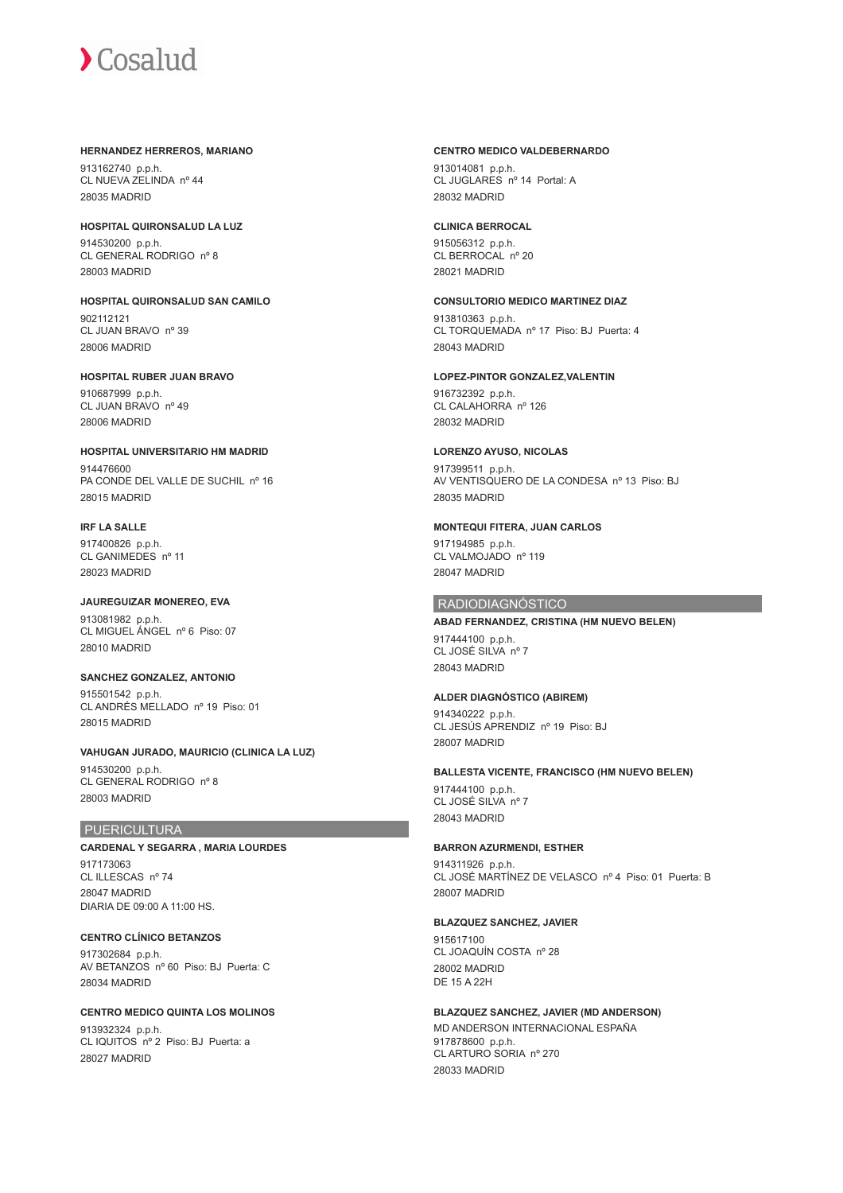#### **HERNANDEZ HERREROS, MARIANO**

913162740 p.p.h. CL NUEVA ZELINDA nº 44 28035 MADRID

# **HOSPITAL QUIRONSALUD LA LUZ**

914530200 p.p.h. CL GENERAL RODRIGO nº 8 28003 MADRID

**HOSPITAL QUIRONSALUD SAN CAMILO** 902112121 CL JUAN BRAVO nº 39 28006 MADRID

#### **HOSPITAL RUBER JUAN BRAVO**

910687999 p.p.h. CL JUAN BRAVO nº 49 28006 MADRID

**HOSPITAL UNIVERSITARIO HM MADRID** 914476600 PA CONDE DEL VALLE DE SUCHIL nº 16 28015 MADRID

# **IRF LA SALLE**

28010 MADRID

917400826 p.p.h. CL GANIMEDES nº 11 28023 MADRID

**JAUREGUIZAR MONEREO, EVA** 913081982 p.p.h. CL MIGUEL ÁNGEL nº 6 Piso: 07

**SANCHEZ GONZALEZ, ANTONIO** 915501542 p.p.h. CL ANDRÉS MELLADO nº 19 Piso: 01 28015 MADRID

**VAHUGAN JURADO, MAURICIO (CLINICA LA LUZ)** 914530200 p.p.h. CL GENERAL RODRIGO nº 8 28003 MADRID

#### PUERICULTURA

**CARDENAL Y SEGARRA , MARIA LOURDES** 917173063 CL ILLESCAS nº 74 28047 MADRID DIARIA DE 09:00 A 11:00 HS.

**CENTRO CLÍNICO BETANZOS** 917302684 p.p.h. AV BETANZOS nº 60 Piso: BJ Puerta: C 28034 MADRID

#### **CENTRO MEDICO QUINTA LOS MOLINOS**

913932324 p.p.h. CL IQUITOS nº 2 Piso: BJ Puerta: a 28027 MADRID

#### **CENTRO MEDICO VALDEBERNARDO**

913014081 p.p.h. CL JUGLARES nº 14 Portal: A 28032 MADRID

#### **CLINICA BERROCAL**

915056312 p.p.h. CL BERROCAL nº 20 28021 MADRID

### **CONSULTORIO MEDICO MARTINEZ DIAZ**

913810363 p.p.h. CL TORQUEMADA nº 17 Piso: BJ Puerta: 4 28043 MADRID

#### **LOPEZ-PINTOR GONZALEZ,VALENTIN**

916732392 p.p.h. CL CALAHORRA nº 126 28032 MADRID

#### **LORENZO AYUSO, NICOLAS**

917399511 p.p.h. AV VENTISQUERO DE LA CONDESA nº 13 Piso: BJ 28035 MADRID

## **MONTEQUI FITERA, JUAN CARLOS**

917194985 p.p.h. CL VALMOJADO nº 119 28047 MADRID

#### RADIODIAGNÓSTICO

### **ABAD FERNANDEZ, CRISTINA (HM NUEVO BELEN)**

917444100 p.p.h. CL JOSÉ SILVA nº 7 28043 MADRID

# **ALDER DIAGNÓSTICO (ABIREM)**

914340222 p.p.h. CL JESÚS APRENDIZ nº 19 Piso: BJ 28007 MADRID

#### **BALLESTA VICENTE, FRANCISCO (HM NUEVO BELEN)**

917444100 p.p.h. CL JOSÉ SILVA nº 7 28043 MADRID

# **BARRON AZURMENDI, ESTHER**

914311926 p.p.h. CL JOSÉ MARTÍNEZ DE VELASCO nº 4 Piso: 01 Puerta: B 28007 MADRID

#### **BLAZQUEZ SANCHEZ, JAVIER**

915617100 CL JOAQUÍN COSTA nº 28 28002 MADRID DE 15 A 22H

**BLAZQUEZ SANCHEZ, JAVIER (MD ANDERSON)** MD ANDERSON INTERNACIONAL ESPAÑA 917878600 p.p.h. CL ARTURO SORIA nº 270 28033 MADRID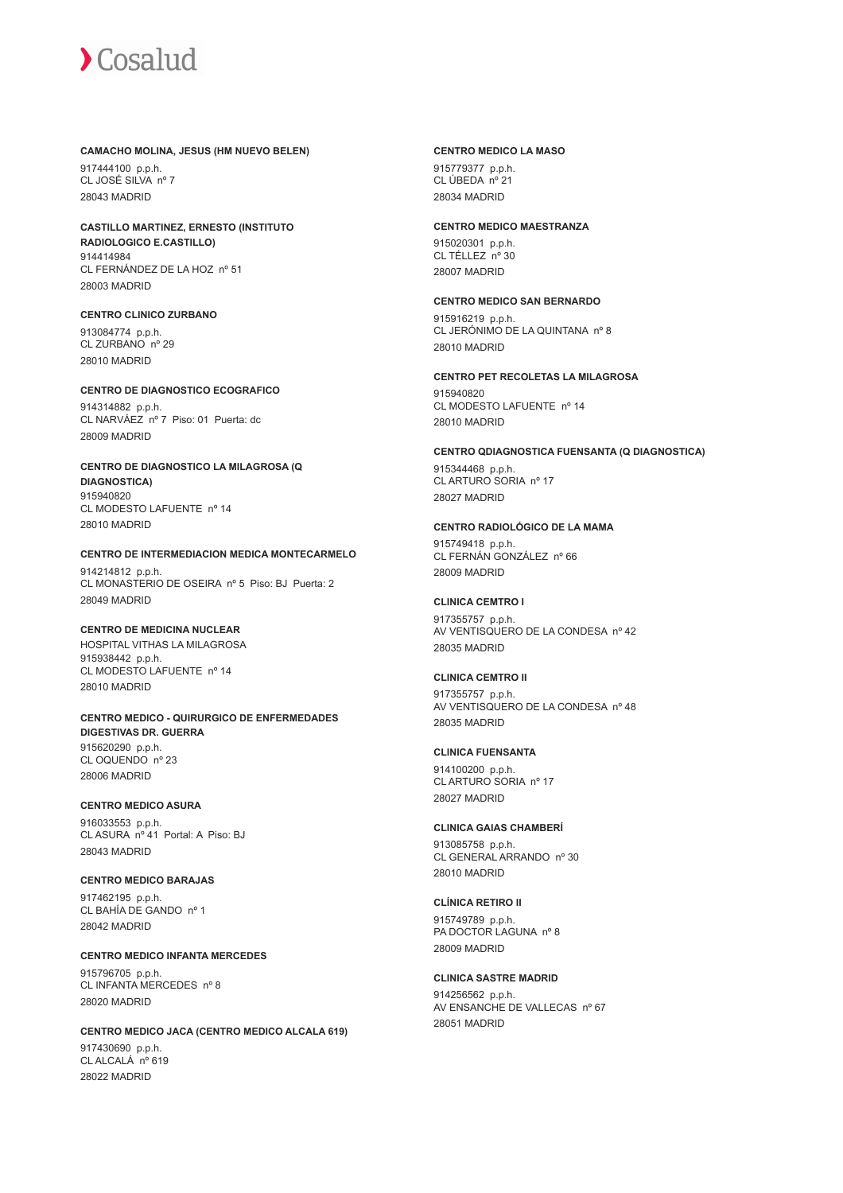#### **CAMACHO MOLINA, JESUS (HM NUEVO BELEN)**

917444100 p.p.h. CL JOSÉ SILVA nº 7 28043 MADRID

#### **CASTILLO MARTINEZ, ERNESTO (INSTITUTO RADIOLOGICO E.CASTILLO)** 914414984

CL FERNÁNDEZ DE LA HOZ nº 51 28003 MADRID

## **CENTRO CLINICO ZURBANO**

913084774 p.p.h. CL ZURBANO nº 29 28010 MADRID

#### **CENTRO DE DIAGNOSTICO ECOGRAFICO**

914314882 p.p.h. CL NARVÁEZ nº 7 Piso: 01 Puerta: dc 28009 MADRID

### **CENTRO DE DIAGNOSTICO LA MILAGROSA (Q DIAGNOSTICA)**

915940820 CL MODESTO LAFUENTE nº 14 28010 MADRID

#### **CENTRO DE INTERMEDIACION MEDICA MONTECARMELO**

914214812 p.p.h. CL MONASTERIO DE OSEIRA nº 5 Piso: BJ Puerta: 2 28049 MADRID

### **CENTRO DE MEDICINA NUCLEAR**

HOSPITAL VITHAS LA MILAGROSA 915938442 p.p.h. CL MODESTO LAFUENTE nº 14 28010 MADRID

#### **CENTRO MEDICO - QUIRURGICO DE ENFERMEDADES DIGESTIVAS DR. GUERRA** 915620290 p.p.h. CL OQUENDO nº 23

28006 MADRID

# **CENTRO MEDICO ASURA**

916033553 p.p.h. CL ASURA nº 41 Portal: A Piso: BJ 28043 MADRID

#### **CENTRO MEDICO BARAJAS**

917462195 p.p.h. CL BAHÍA DE GANDO nº 1 28042 MADRID

# **CENTRO MEDICO INFANTA MERCEDES**

915796705 p.p.h. CL INFANTA MERCEDES nº 8 28020 MADRID

# **CENTRO MEDICO JACA (CENTRO MEDICO ALCALA 619)**

917430690 p.p.h. CL ALCALÁ nº 619 28022 MADRID

#### **CENTRO MEDICO LA MASO**

915779377 p.p.h. CL ÚBEDA nº 21 28034 MADRID

#### **CENTRO MEDICO MAESTRANZA**

915020301 p.p.h. CL TÉLLEZ nº 30 28007 MADRID

## **CENTRO MEDICO SAN BERNARDO**

915916219 p.p.h. CL JERÓNIMO DE LA QUINTANA nº 8 28010 MADRID

# **CENTRO PET RECOLETAS LA MILAGROSA**

915940820 CL MODESTO LAFUENTE nº 14 28010 MADRID

# **CENTRO QDIAGNOSTICA FUENSANTA (Q DIAGNOSTICA)**

915344468 p.p.h. CL ARTURO SORIA nº 17 28027 MADRID

# **CENTRO RADIOLÓGICO DE LA MAMA**

915749418 p.p.h. CL FERNÁN GONZÁLEZ nº 66 28009 MADRID

# **CLINICA CEMTRO I**

917355757 p.p.h. AV VENTISQUERO DE LA CONDESA nº 42 28035 MADRID

# **CLINICA CEMTRO II**

917355757 p.p.h. AV VENTISQUERO DE LA CONDESA nº 48 28035 MADRID

# **CLINICA FUENSANTA**

914100200 p.p.h. CL ARTURO SORIA nº 17 28027 MADRID

# **CLINICA GAIAS CHAMBERÍ**

913085758 p.p.h. CL GENERAL ARRANDO nº 30 28010 MADRID

# **CLÍNICA RETIRO II**

915749789 p.p.h. PA DOCTOR LAGUNA nº 8 28009 MADRID

# **CLINICA SASTRE MADRID**

914256562 p.p.h. AV ENSANCHE DE VALLECAS nº 67 28051 MADRID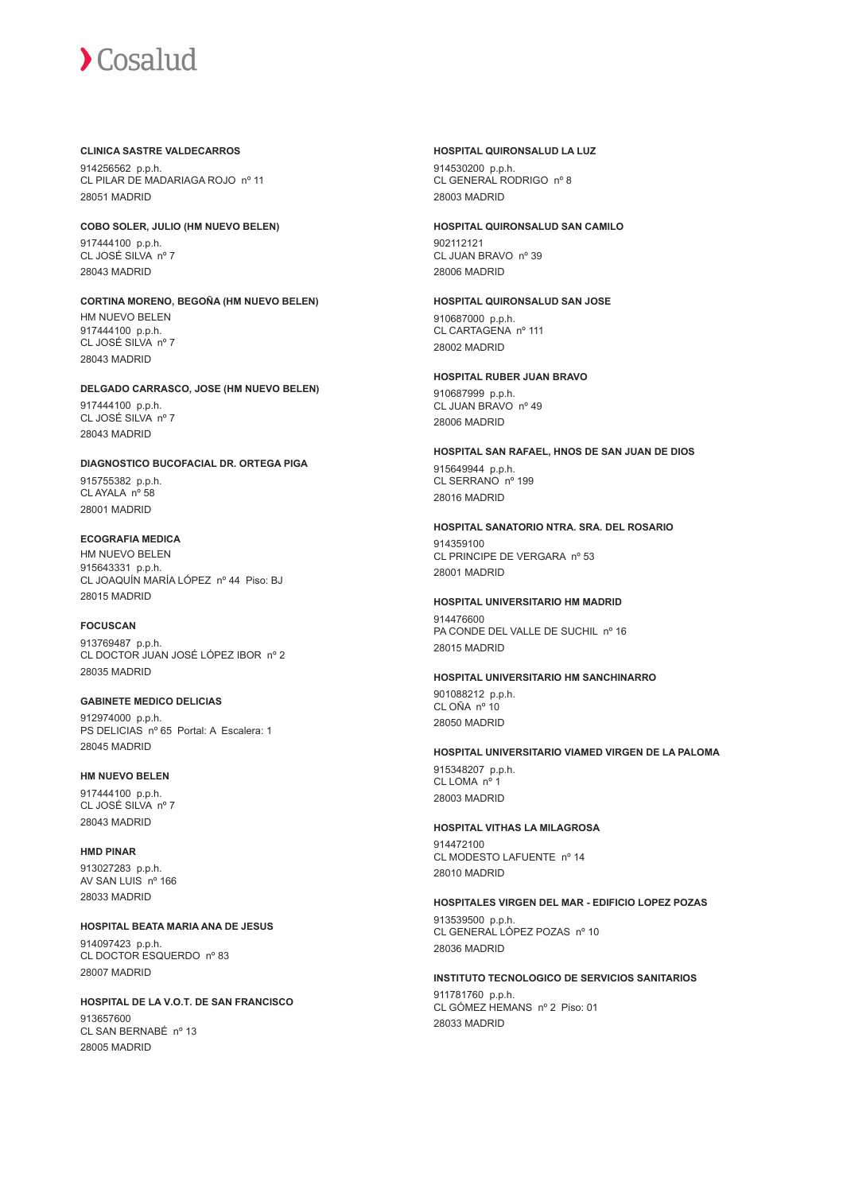#### **CLINICA SASTRE VALDECARROS**

914256562 p.p.h. CL PILAR DE MADARIAGA ROJO nº 11 28051 MADRID

**COBO SOLER, JULIO (HM NUEVO BELEN)**

917444100 p.p.h. CL JOSÉ SILVA nº 7 28043 MADRID

**CORTINA MORENO, BEGOÑA (HM NUEVO BELEN)** HM NUEVO BELEN 917444100 p.p.h. CL JOSÉ SILVA nº 7 28043 MADRID

**DELGADO CARRASCO, JOSE (HM NUEVO BELEN)** 917444100 p.p.h. CL JOSÉ SILVA nº 7 28043 MADRID

**DIAGNOSTICO BUCOFACIAL DR. ORTEGA PIGA**

915755382 p.p.h. CL AYALA nº 58 28001 MADRID

# **ECOGRAFIA MEDICA**

HM NUEVO BELEN 915643331 p.p.h. CL JOAQUÍN MARÍA LÓPEZ nº 44 Piso: BJ 28015 MADRID

**FOCUSCAN**

913769487 p.p.h. CL DOCTOR JUAN JOSÉ LÓPEZ IBOR nº 2 28035 MADRID

**GABINETE MEDICO DELICIAS** 912974000 p.p.h. PS DELICIAS nº 65 Portal: A Escalera: 1 28045 MADRID

#### **HM NUEVO BELEN**

917444100 p.p.h. CL JOSÉ SILVA nº 7 28043 MADRID

**HMD PINAR** 913027283 p.p.h. AV SAN LUIS nº 166 28033 MADRID

**HOSPITAL BEATA MARIA ANA DE JESUS**

914097423 p.p.h. CL DOCTOR ESQUERDO nº 83 28007 MADRID

**HOSPITAL DE LA V.O.T. DE SAN FRANCISCO**

913657600 CL SAN BERNABÉ nº 13 28005 MADRID

#### **HOSPITAL QUIRONSALUD LA LUZ**

914530200 p.p.h. CL GENERAL RODRIGO nº 8 28003 MADRID

**HOSPITAL QUIRONSALUD SAN CAMILO**

902112121 CL JUAN BRAVO nº 39 28006 MADRID

**HOSPITAL QUIRONSALUD SAN JOSE** 910687000 p.p.h. CL CARTAGENA nº 111 28002 MADRID

**HOSPITAL RUBER JUAN BRAVO** 910687999 p.p.h. CL JUAN BRAVO nº 49 28006 MADRID

**HOSPITAL SAN RAFAEL, HNOS DE SAN JUAN DE DIOS** 915649944 p.p.h. CL SERRANO nº 199 28016 MADRID

**HOSPITAL SANATORIO NTRA. SRA. DEL ROSARIO** 914359100 CL PRINCIPE DE VERGARA nº 53 28001 MADRID

# **HOSPITAL UNIVERSITARIO HM MADRID**

014476600 PA CONDE DEL VALLE DE SUCHIL nº 16 28015 MADRID

**HOSPITAL UNIVERSITARIO HM SANCHINARRO**

901088212 p.p.h. CL OÑA nº 10 28050 MADRID

**HOSPITAL UNIVERSITARIO VIAMED VIRGEN DE LA PALOMA**

915348207 p.p.h. CL LOMA nº 1 28003 MADRID

#### **HOSPITAL VITHAS LA MILAGROSA**

914472100 CL MODESTO LAFUENTE nº 14 28010 MADRID

#### **HOSPITALES VIRGEN DEL MAR - EDIFICIO LOPEZ POZAS**

913539500 p.p.h. CL GENERAL LÓPEZ POZAS nº 10 28036 MADRID

#### **INSTITUTO TECNOLOGICO DE SERVICIOS SANITARIOS**

911781760 p.p.h. CL GÓMEZ HEMANS nº 2 Piso: 01 28033 MADRID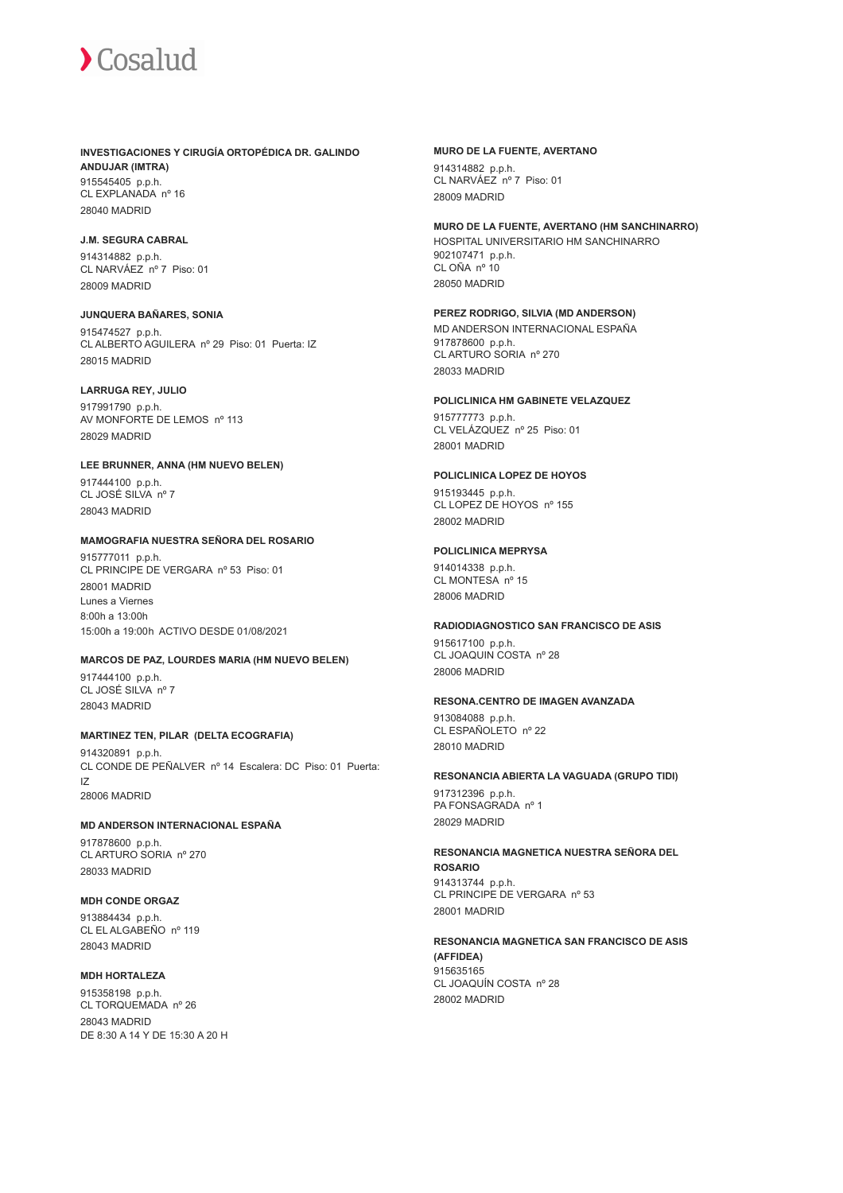#### **INVESTIGACIONES Y CIRUGÍA ORTOPÉDICA DR. GALINDO ANDUJAR (IMTRA)** 915545405 p.p.h. CL EXPLANADA nº 16

28040 MADRID

# **J.M. SEGURA CABRAL**

914314882 p.p.h. CL NARVÁEZ nº 7 Piso: 01 28009 MADRID

#### **JUNQUERA BAÑARES, SONIA**

915474527 p.p.h. CL ALBERTO AGUILERA nº 29 Piso: 01 Puerta: IZ 28015 MADRID

#### **LARRUGA REY, JULIO**

917991790 p.p.h. AV MONFORTE DE LEMOS nº 113 28029 MADRID

#### **LEE BRUNNER, ANNA (HM NUEVO BELEN)**

917444100 p.p.h. CL JOSÉ SILVA nº 7 28043 MADRID

#### **MAMOGRAFIA NUESTRA SEÑORA DEL ROSARIO**

915777011 p.p.h. CL PRINCIPE DE VERGARA nº 53 Piso: 01 28001 MADRID Lunes a Viernes 8:00h a 13:00h 15:00h a 19:00h ACTIVO DESDE 01/08/2021

### **MARCOS DE PAZ, LOURDES MARIA (HM NUEVO BELEN)**

917444100 p.p.h. CL JOSÉ SILVA nº 7 28043 MADRID

# **MARTINEZ TEN, PILAR (DELTA ECOGRAFIA)**

914320891 p.p.h. CL CONDE DE PEÑALVER nº 14 Escalera: DC Piso: 01 Puerta: IZ 28006 MADRID

#### **MD ANDERSON INTERNACIONAL ESPAÑA**

917878600 p.p.h. CL ARTURO SORIA nº 270 28033 MADRID

# **MDH CONDE ORGAZ**

913884434 p.p.h. CL EL ALGABEÑO nº 119 28043 MADRID

## **MDH HORTALEZA**

915358198 p.p.h. CL TORQUEMADA nº 26 28043 MADRID DE 8:30 A 14 Y DE 15:30 A 20 H

#### **MURO DE LA FUENTE, AVERTANO**

914314882 p.p.h. CL NARVÁEZ nº 7 Piso: 01 28009 MADRID

### **MURO DE LA FUENTE, AVERTANO (HM SANCHINARRO)**

HOSPITAL UNIVERSITARIO HM SANCHINARRO 902107471 p.p.h. CL OÑA nº 10 28050 MADRID

#### **PEREZ RODRIGO, SILVIA (MD ANDERSON)**

MD ANDERSON INTERNACIONAL ESPAÑA 917878600 p.p.h. CL ARTURO SORIA nº 270 28033 MADRID

# **POLICLINICA HM GABINETE VELAZQUEZ**

915777773 p.p.h. CL VELÁZQUEZ nº 25 Piso: 01 28001 MADRID

# **POLICLINICA LOPEZ DE HOYOS**

915193445 p.p.h. CL LOPEZ DE HOYOS nº 155 28002 MADRID

# **POLICLINICA MEPRYSA**

914014338 p.p.h. CL MONTESA nº 15 28006 MADRID

# **RADIODIAGNOSTICO SAN FRANCISCO DE ASIS**

915617100 p.p.h. CL JOAQUIN COSTA nº 28 28006 MADRID

#### **RESONA.CENTRO DE IMAGEN AVANZADA**

913084088 p.p.h. CL ESPAÑOLETO nº 22 28010 MADRID

# **RESONANCIA ABIERTA LA VAGUADA (GRUPO TIDI)**

917312396 p.p.h. PA FONSAGRADA nº 1 28029 MADRID

**RESONANCIA MAGNETICA NUESTRA SEÑORA DEL ROSARIO** 914313744 p.p.h. CL PRINCIPE DE VERGARA nº 53 28001 MADRID

#### **RESONANCIA MAGNETICA SAN FRANCISCO DE ASIS (AFFIDEA)** 915635165 CL JOAQUÍN COSTA nº 28 28002 MADRID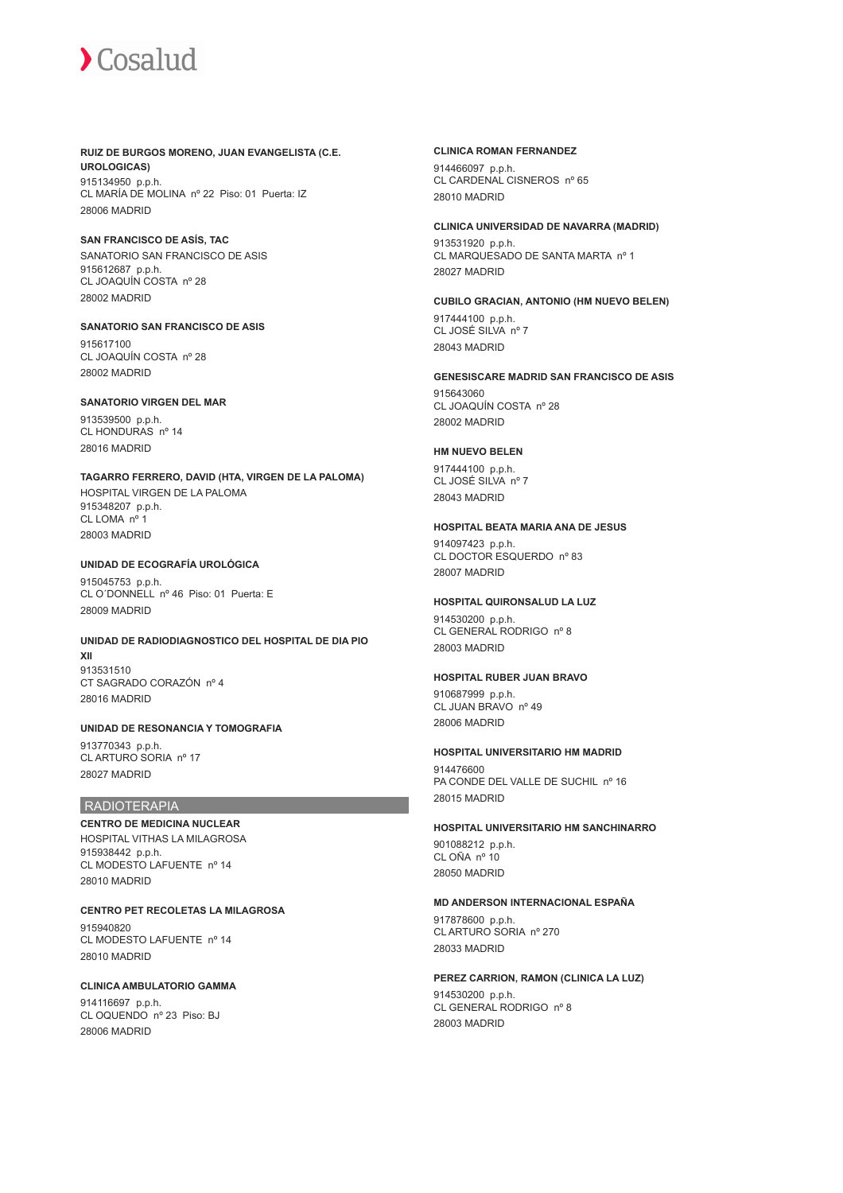# **RUIZ DE BURGOS MORENO, JUAN EVANGELISTA (C.E. UROLOGICAS)**

915134950 p.p.h. CL MARÍA DE MOLINA nº 22 Piso: 01 Puerta: IZ 28006 MADRID

## **SAN FRANCISCO DE ASÍS, TAC**

SANATORIO SAN FRANCISCO DE ASIS 915612687 p.p.h. CL JOAQUÍN COSTA nº 28 28002 MADRID

# **SANATORIO SAN FRANCISCO DE ASIS**

915617100 CL JOAQUÍN COSTA nº 28 28002 MADRID

# **SANATORIO VIRGEN DEL MAR**

913539500 p.p.h. CL HONDURAS nº 14 28016 MADRID

# **TAGARRO FERRERO, DAVID (HTA, VIRGEN DE LA PALOMA)**

HOSPITAL VIRGEN DE LA PALOMA 915348207 p.p.h. CL LOMA nº 1 28003 MADRID

# **UNIDAD DE ECOGRAFÍA UROLÓGICA**

915045753 p.p.h. CL O´DONNELL nº 46 Piso: 01 Puerta: E 28009 MADRID

#### **UNIDAD DE RADIODIAGNOSTICO DEL HOSPITAL DE DIA PIO XII**

913531510 CT SAGRADO CORAZÓN nº 4 28016 MADRID

# **UNIDAD DE RESONANCIA Y TOMOGRAFIA**

913770343 p.p.h. CL ARTURO SORIA nº 17 28027 MADRID

# RADIOTERAPIA

#### **CENTRO DE MEDICINA NUCLEAR** HOSPITAL VITHAS LA MILAGROSA 915938442 p.p.h. CL MODESTO LAFUENTE nº 14 28010 MADRID

**CENTRO PET RECOLETAS LA MILAGROSA** 915940820 CL MODESTO LAFUENTE nº 14 28010 MADRID

# **CLINICA AMBULATORIO GAMMA**

914116697 p.p.h. CL OQUENDO nº 23 Piso: BJ 28006 MADRID

#### **CLINICA ROMAN FERNANDEZ**

914466097 p.p.h. CL CARDENAL CISNEROS nº 65 28010 MADRID

#### **CLINICA UNIVERSIDAD DE NAVARRA (MADRID)**

913531920 p.p.h. CL MARQUESADO DE SANTA MARTA nº 1 28027 MADRID

# **CUBILO GRACIAN, ANTONIO (HM NUEVO BELEN)**

917444100 p.p.h. CL JOSÉ SILVA nº 7 28043 MADRID

# **GENESISCARE MADRID SAN FRANCISCO DE ASIS**

915643060 CL JOAQUÍN COSTA nº 28 28002 MADRID

# **HM NUEVO BELEN**

917444100 p.p.h. CL JOSÉ SILVA nº 7 28043 MADRID

# **HOSPITAL BEATA MARIA ANA DE JESUS**

914097423 p.p.h. CL DOCTOR ESQUERDO nº 83 28007 MADRID

# **HOSPITAL QUIRONSALUD LA LUZ**

914530200 p.p.h. CL GENERAL RODRIGO nº 8 28003 MADRID

# **HOSPITAL RUBER JUAN BRAVO**

910687999 p.p.h. CL JUAN BRAVO nº 49 28006 MADRID

# **HOSPITAL UNIVERSITARIO HM MADRID**

914476600 PA CONDE DEL VALLE DE SUCHIL nº 16 28015 MADRID

# **HOSPITAL UNIVERSITARIO HM SANCHINARRO**

901088212 p.p.h. CL OÑA nº 10 28050 MADRID

# **MD ANDERSON INTERNACIONAL ESPAÑA**

917878600 p.p.h. CL ARTURO SORIA nº 270 28033 MADRID

# **PEREZ CARRION, RAMON (CLINICA LA LUZ)**

914530200 p.p.h. CL GENERAL RODRIGO nº 8 28003 MADRID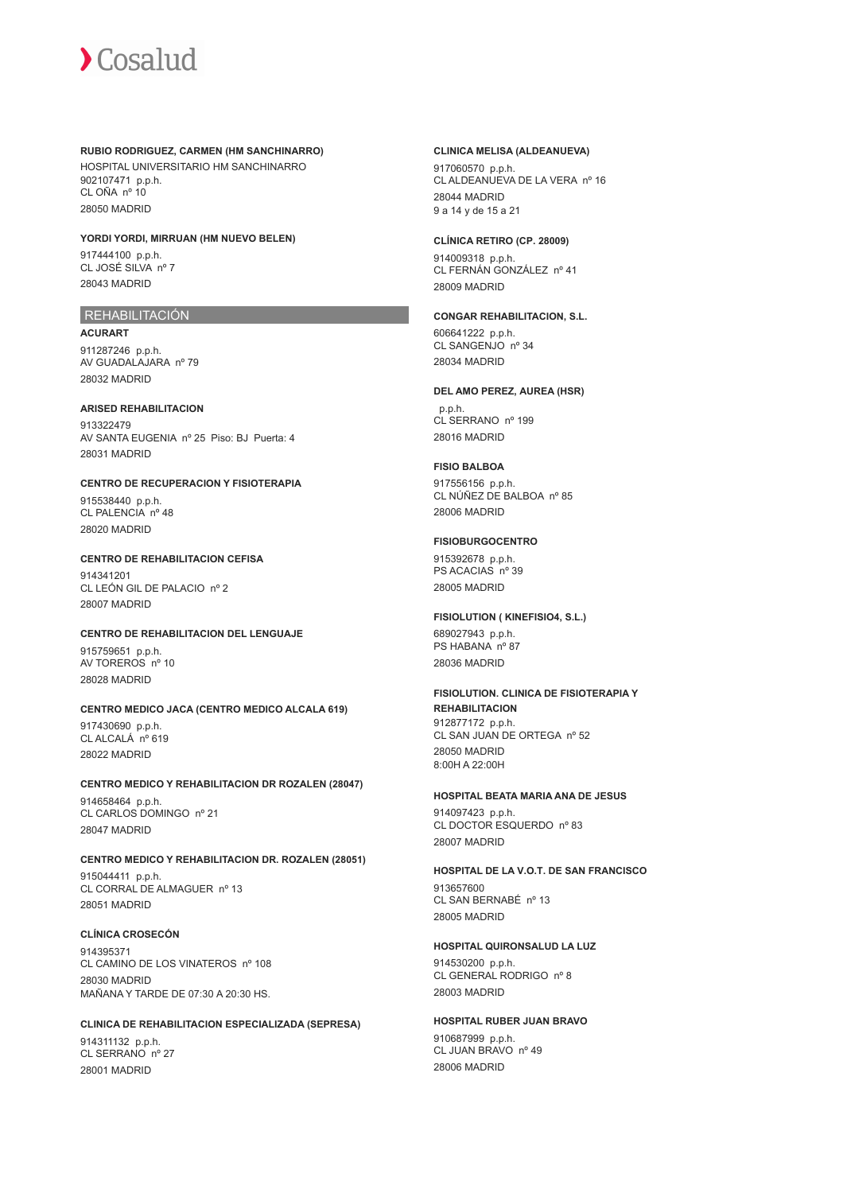#### **RUBIO RODRIGUEZ, CARMEN (HM SANCHINARRO)**

HOSPITAL UNIVERSITARIO HM SANCHINARRO 902107471 p.p.h. CL OÑA nº 10 28050 MADRID

#### **YORDI YORDI, MIRRUAN (HM NUEVO BELEN)**

917444100 p.p.h. CL JOSÉ SILVA nº 7 28043 MADRID

# REHABILITACIÓN

**ACURART** 911287246 p.p.h. AV GUADALAJARA nº 79 28032 MADRID

#### **ARISED REHABILITACION**

913322479 AV SANTA EUGENIA nº 25 Piso: BJ Puerta: 4 28031 MADRID

#### **CENTRO DE RECUPERACION Y FISIOTERAPIA**

915538440 p.p.h. CL PALENCIA nº 48 28020 MADRID

# **CENTRO DE REHABILITACION CEFISA**

914341201 CL LEÓN GIL DE PALACIO nº 2 28007 MADRID

# **CENTRO DE REHABILITACION DEL LENGUAJE**

915759651 p.p.h. AV TOREROS nº 10 28028 MADRID

# **CENTRO MEDICO JACA (CENTRO MEDICO ALCALA 619)**

917430690 p.p.h. CL ALCALÁ nº 619 28022 MADRID

**CENTRO MEDICO Y REHABILITACION DR ROZALEN (28047)** 914658464 p.p.h. CL CARLOS DOMINGO nº 21 28047 MADRID

# **CENTRO MEDICO Y REHABILITACION DR. ROZALEN (28051)**

915044411 p.p.h. CL CORRAL DE ALMAGUER nº 13 28051 MADRID

# **CLÍNICA CROSECÓN**

914395371 CL CAMINO DE LOS VINATEROS nº 108 28030 MADRID MAÑANA Y TARDE DE 07:30 A 20:30 HS.

#### **CLINICA DE REHABILITACION ESPECIALIZADA (SEPRESA)**

914311132 p.p.h. CL SERRANO nº 27 28001 MADRID

#### **CLINICA MELISA (ALDEANUEVA)**

917060570 p.p.h. CL ALDEANUEVA DE LA VERA nº 16 28044 MADRID 9 a 14 y de 15 a 21

#### **CLÍNICA RETIRO (CP. 28009)**

914009318 p.p.h. CL FERNÁN GONZÁLEZ nº 41 28009 MADRID

# **CONGAR REHABILITACION, S.L.**

606641222 p.p.h. CL SANGENJO nº 34 28034 MADRID

#### **DEL AMO PEREZ, AUREA (HSR)**

 p.p.h. CL SERRANO nº 199 28016 MADRID

#### **FISIO BALBOA**

917556156 p.p.h. CL NÚÑEZ DE BALBOA nº 85 28006 MADRID

#### **FISIOBURGOCENTRO**

915392678 p.p.h. PS ACACIAS nº 39 28005 MADRID

# **FISIOLUTION ( KINEFISIO4, S.L.)**

689027943 p.p.h. PS HABANA nº 87 28036 MADRID

# **FISIOLUTION. CLINICA DE FISIOTERAPIA Y REHABILITACION** 912877172 p.p.h.

CL SAN JUAN DE ORTEGA nº 52 28050 MADRID 8:00H A 22:00H

# **HOSPITAL BEATA MARIA ANA DE JESUS**

914097423 p.p.h. CL DOCTOR ESQUERDO nº 83 28007 MADRID

# **HOSPITAL DE LA V.O.T. DE SAN FRANCISCO**

913657600 CL SAN BERNABÉ nº 13 28005 MADRID

# **HOSPITAL QUIRONSALUD LA LUZ**

914530200 p.p.h. CL GENERAL RODRIGO nº 8 28003 MADRID

# **HOSPITAL RUBER JUAN BRAVO**

910687999 p.p.h. CL JUAN BRAVO nº 49 28006 MADRID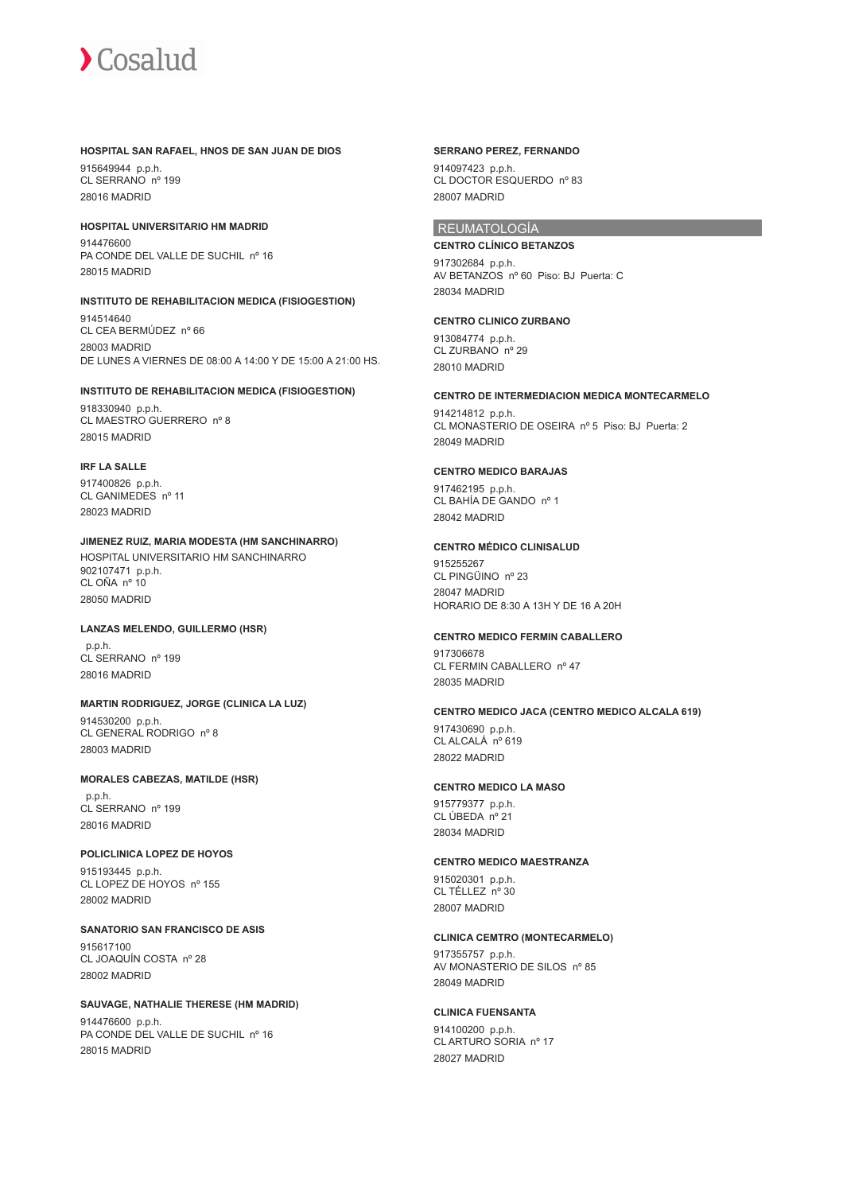

#### **HOSPITAL SAN RAFAEL, HNOS DE SAN JUAN DE DIOS**

915649944 p.p.h. CL SERRANO nº 199 28016 MADRID

**HOSPITAL UNIVERSITARIO HM MADRID** 914476600 PA CONDE DEL VALLE DE SUCHIL nº 16 28015 MADRID

#### **INSTITUTO DE REHABILITACION MEDICA (FISIOGESTION)**

914514640 CL CEA BERMÚDEZ nº 66 28003 MADRID DE LUNES A VIERNES DE 08:00 A 14:00 Y DE 15:00 A 21:00 HS.

#### **INSTITUTO DE REHABILITACION MEDICA (FISIOGESTION)**

918330940 p.p.h. CL MAESTRO GUERRERO nº 8 28015 MADRID

#### **IRF LA SALLE**

917400826 p.p.h. CL GANIMEDES nº 11 28023 MADRID

# **JIMENEZ RUIZ, MARIA MODESTA (HM SANCHINARRO)**

HOSPITAL UNIVERSITARIO HM SANCHINARRO 902107471 p.p.h. CL OÑA nº 10 28050 MADRID

# **LANZAS MELENDO, GUILLERMO (HSR)**

 p.p.h. CL SERRANO nº 199 28016 MADRID

## **MARTIN RODRIGUEZ, JORGE (CLINICA LA LUZ)**

914530200 p.p.h. CL GENERAL RODRIGO nº 8 28003 MADRID

#### **MORALES CABEZAS, MATILDE (HSR)**

 p.p.h. CL SERRANO nº 199 28016 MADRID

# **POLICLINICA LOPEZ DE HOYOS**

915193445 p.p.h. CL LOPEZ DE HOYOS nº 155 28002 MADRID

**SANATORIO SAN FRANCISCO DE ASIS** 915617100 CL JOAQUÍN COSTA nº 28 28002 MADRID

# **SAUVAGE, NATHALIE THERESE (HM MADRID)**

914476600 p.p.h. PA CONDE DEL VALLE DE SUCHIL nº 16 28015 MADRID

#### **SERRANO PEREZ, FERNANDO**

914097423 p.p.h. CL DOCTOR ESQUERDO nº 83 28007 MADRID

# REUMATOLOGÍA

**CENTRO CLÍNICO BETANZOS** 917302684 p.p.h. AV BETANZOS nº 60 Piso: BJ Puerta: C 28034 MADRID

#### **CENTRO CLINICO ZURBANO**

913084774 p.p.h. CL ZURBANO<sup>nº</sup> 29 28010 MADRID

# **CENTRO DE INTERMEDIACION MEDICA MONTECARMELO**

914214812 p.p.h. CL MONASTERIO DE OSEIRA nº 5 Piso: BJ Puerta: 2 28049 MADRID

#### **CENTRO MEDICO BARAJAS**

917462195 p.p.h. CL BAHÍA DE GANDO nº 1 28042 MADRID

#### **CENTRO MÉDICO CLINISALUD**

915255267 CL PINGÜINO nº 23 28047 MADRID HORARIO DE 8:30 A 13H Y DE 16 A 20H

#### **CENTRO MEDICO FERMIN CABALLERO**

917306678 CL FERMIN CABALLERO nº 47 28035 MADRID

#### **CENTRO MEDICO JACA (CENTRO MEDICO ALCALA 619)**

917430690 p.p.h. CL ALCALÁ nº 619 28022 MADRID

#### **CENTRO MEDICO LA MASO**

915779377 p.p.h. CL ÚBEDA nº 21 28034 MADRID

#### **CENTRO MEDICO MAESTRANZA**

915020301 p.p.h. CL TÉLLEZ nº 30 28007 MADRID

#### **CLINICA CEMTRO (MONTECARMELO)**

917355757 p.p.h. AV MONASTERIO DE SILOS nº 85 28049 MADRID

#### **CLINICA FUENSANTA**

914100200 p.p.h. CL ARTURO SORIA nº 17 28027 MADRID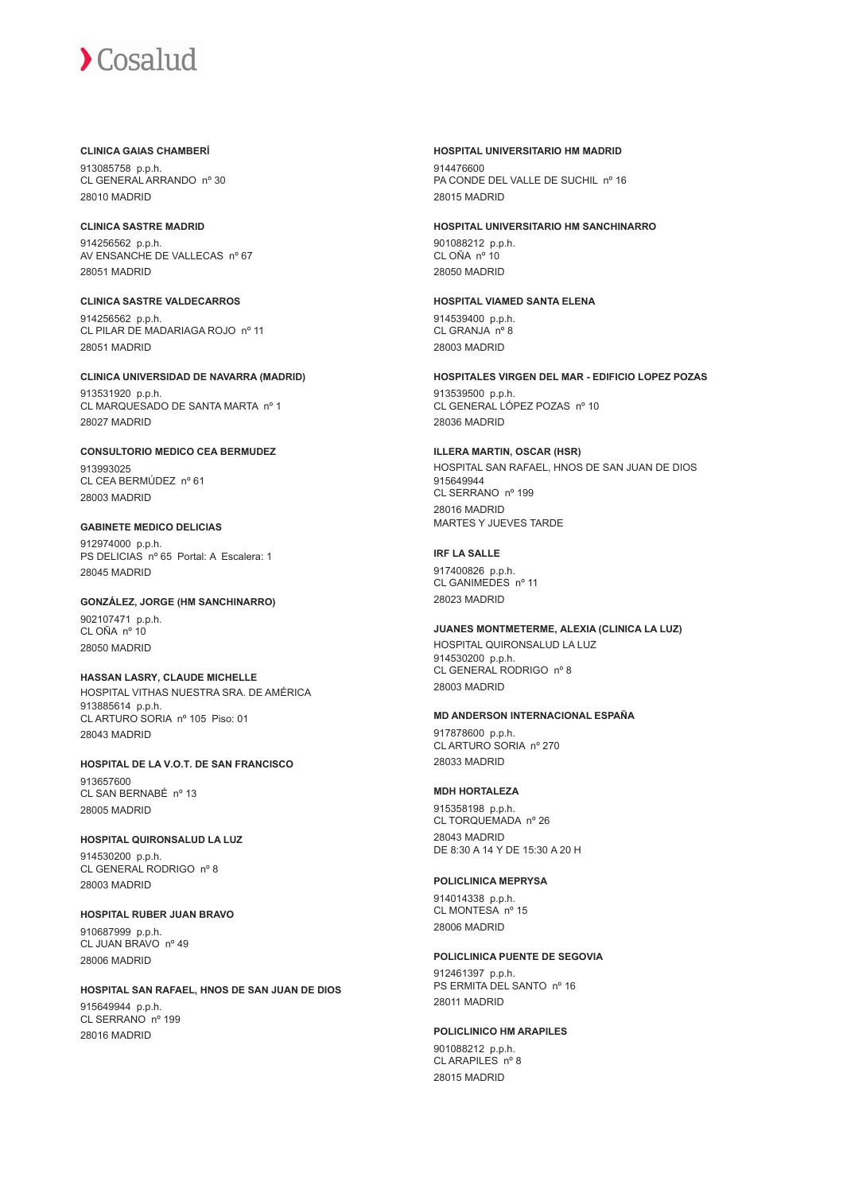#### **CLINICA GAIAS CHAMBERÍ**

913085758 p.p.h. CL GENERAL ARRANDO nº 30 28010 MADRID

## **CLINICA SASTRE MADRID**

914256562 p.p.h. AV ENSANCHE DE VALLECAS nº 67 28051 MADRID

### **CLINICA SASTRE VALDECARROS** 914256562 p.p.h. CL PILAR DE MADARIAGA ROJO nº 11 28051 MADRID

# **CLINICA UNIVERSIDAD DE NAVARRA (MADRID)** 913531920 p.p.h.

CL MARQUESADO DE SANTA MARTA nº 1 28027 MADRID

### **CONSULTORIO MEDICO CEA BERMUDEZ** 913993025 CL CEA BERMÚDEZ nº 61 28003 MADRID

# **GABINETE MEDICO DELICIAS**

912974000 p.p.h. PS DELICIAS nº 65 Portal: A Escalera: 1 28045 MADRID

# **GONZÁLEZ, JORGE (HM SANCHINARRO)** 902107471 p.p.h. CL OÑA nº 10 28050 MADRID

#### **HASSAN LASRY, CLAUDE MICHELLE** HOSPITAL VITHAS NUESTRA SRA. DE AMÉRICA 913885614 p.p.h. CL ARTURO SORIA nº 105 Piso: 01 28043 MADRID

#### **HOSPITAL DE LA V.O.T. DE SAN FRANCISCO** 913657600 CL SAN BERNABÉ nº 13 28005 MADRID

# **HOSPITAL QUIRONSALUD LA LUZ**

914530200 p.p.h. CL GENERAL RODRIGO nº 8 28003 MADRID

# **HOSPITAL RUBER JUAN BRAVO**

910687999 p.p.h. CL JUAN BRAVO nº 49 28006 MADRID

#### **HOSPITAL SAN RAFAEL, HNOS DE SAN JUAN DE DIOS** 915649944 p.p.h. CL SERRANO nº 199 28016 MADRID

## **HOSPITAL UNIVERSITARIO HM MADRID**

914476600 PA CONDE DEL VALLE DE SUCHIL nº 16 28015 MADRID

# **HOSPITAL UNIVERSITARIO HM SANCHINARRO**

901088212 p.p.h. CL OÑA nº 10 28050 MADRID

#### **HOSPITAL VIAMED SANTA ELENA** 914539400 p.p.h. CL GRANJA nº 8 28003 MADRID

**HOSPITALES VIRGEN DEL MAR - EDIFICIO LOPEZ POZAS** 913539500 p.p.h.

CL GENERAL LÓPEZ POZAS nº 10 28036 MADRID

#### **ILLERA MARTIN, OSCAR (HSR)** HOSPITAL SAN RAFAEL, HNOS DE SAN JUAN DE DIOS 915649944 CL SERRANO nº 199 28016 MADRID MARTES Y JUEVES TARDE

# **IRF LA SALLE**

917400826 p.p.h. CL GANIMEDES nº 11 28023 MADRID

# **JUANES MONTMETERME, ALEXIA (CLINICA LA LUZ)**

HOSPITAL QUIRONSALUD LA LUZ 914530200 p.p.h. CL GENERAL RODRIGO nº 8 28003 MADRID

# **MD ANDERSON INTERNACIONAL ESPAÑA**

917878600 p.p.h. CL ARTURO SORIA nº 270 28033 MADRID

# **MDH HORTALEZA**

915358198 p.p.h. CL TORQUEMADA nº 26 28043 MADRID DE 8:30 A 14 Y DE 15:30 A 20 H

# **POLICLINICA MEPRYSA**

914014338 p.p.h. CL MONTESA nº 15 28006 MADRID

# **POLICLINICA PUENTE DE SEGOVIA**

912461397 p.p.h. PS ERMITA DEL SANTO nº 16 28011 MADRID

# **POLICLINICO HM ARAPILES**

901088212 p.p.h. CL ARAPILES nº 8 28015 MADRID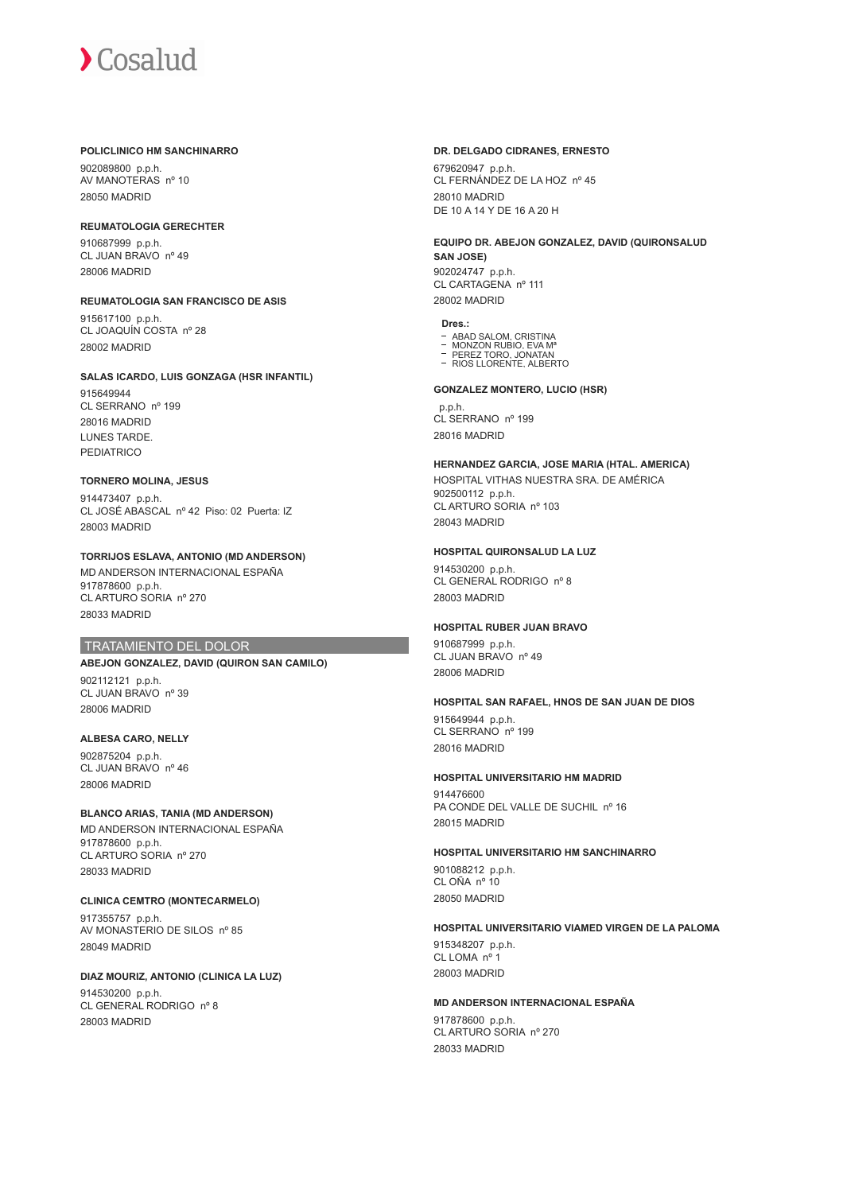#### **POLICLINICO HM SANCHINARRO**

902089800 p.p.h. AV MANOTERAS nº 10 28050 MADRID

#### **REUMATOLOGIA GERECHTER**

910687999 p.p.h. CL JUAN BRAVO nº 49 28006 MADRID

#### **REUMATOLOGIA SAN FRANCISCO DE ASIS**

915617100 p.p.h. CL JOAQUÍN COSTA nº 28 28002 MADRID

#### **SALAS ICARDO, LUIS GONZAGA (HSR INFANTIL)**

915649944 CL SERRANO nº 199 28016 MADRID LUNES TARDE. PEDIATRICO

#### **TORNERO MOLINA, JESUS**

914473407 p.p.h. CL JOSÉ ABASCAL nº 42 Piso: 02 Puerta: IZ 28003 MADRID

**TORRIJOS ESLAVA, ANTONIO (MD ANDERSON)** MD ANDERSON INTERNACIONAL ESPAÑA 917878600 p.p.h. CL ARTURO SORIA nº 270 28033 MADRID

#### TRATAMIENTO DEL DOLOR

# **ABEJON GONZALEZ, DAVID (QUIRON SAN CAMILO)**

902112121 p.p.h. CL JUAN BRAVO nº 39 28006 MADRID

# **ALBESA CARO, NELLY** 902875204 p.p.h.

CL JUAN BRAVO nº 46 28006 MADRID

# **BLANCO ARIAS, TANIA (MD ANDERSON)**

MD ANDERSON INTERNACIONAL ESPAÑA 917878600 p.p.h. CL ARTURO SORIA nº 270 28033 MADRID

# **CLINICA CEMTRO (MONTECARMELO)**

917355757 p.p.h. AV MONASTERIO DE SILOS nº 85 28049 MADRID

## **DIAZ MOURIZ, ANTONIO (CLINICA LA LUZ)**

914530200 p.p.h. CL GENERAL RODRIGO nº 8 28003 MADRID

#### **DR. DELGADO CIDRANES, ERNESTO**

679620947 p.p.h. CL FERNÁNDEZ DE LA HOZ nº 45 28010 MADRID DE 10 A 14 Y DE 16 A 20 H

#### **EQUIPO DR. ABEJON GONZALEZ, DAVID (QUIRONSALUD SAN JOSE)**

902024747 p.p.h. CL CARTAGENA nº 111 28002 MADRID

#### **Dres.:**

ABAD SALOM, CRISTINA<br>MONZON RUBIO, EVA Mª

- PEREZ TORO, JONATAN RIOS LLORENTE, ALBERTO
- 

#### **GONZALEZ MONTERO, LUCIO (HSR)**

 p.p.h. CL SERRANO nº 199 28016 MADRID

# **HERNANDEZ GARCIA, JOSE MARIA (HTAL. AMERICA)** HOSPITAL VITHAS NUESTRA SRA. DE AMÉRICA

902500112 p.p.h. CL ARTURO SORIA nº 103 28043 MADRID

#### **HOSPITAL QUIRONSALUD LA LUZ**

914530200 p.p.h. CL GENERAL RODRIGO nº 8 28003 MADRID

#### **HOSPITAL RUBER JUAN BRAVO**

910687999 p.p.h. CL JUAN BRAVO nº 49 28006 MADRID

#### **HOSPITAL SAN RAFAEL, HNOS DE SAN JUAN DE DIOS**

915649944 p.p.h. CL SERRANO nº 199 28016 MADRID

# **HOSPITAL UNIVERSITARIO HM MADRID**

914476600 PA CONDE DEL VALLE DE SUCHIL nº 16 28015 MADRID

#### **HOSPITAL UNIVERSITARIO HM SANCHINARRO**

901088212 p.p.h. CL OÑA nº 10 28050 MADRID

#### **HOSPITAL UNIVERSITARIO VIAMED VIRGEN DE LA PALOMA**

915348207 p.p.h. CL LOMA nº 1 28003 MADRID

# **MD ANDERSON INTERNACIONAL ESPAÑA**

917878600 p.p.h. CL ARTURO SORIA nº 270 28033 MADRID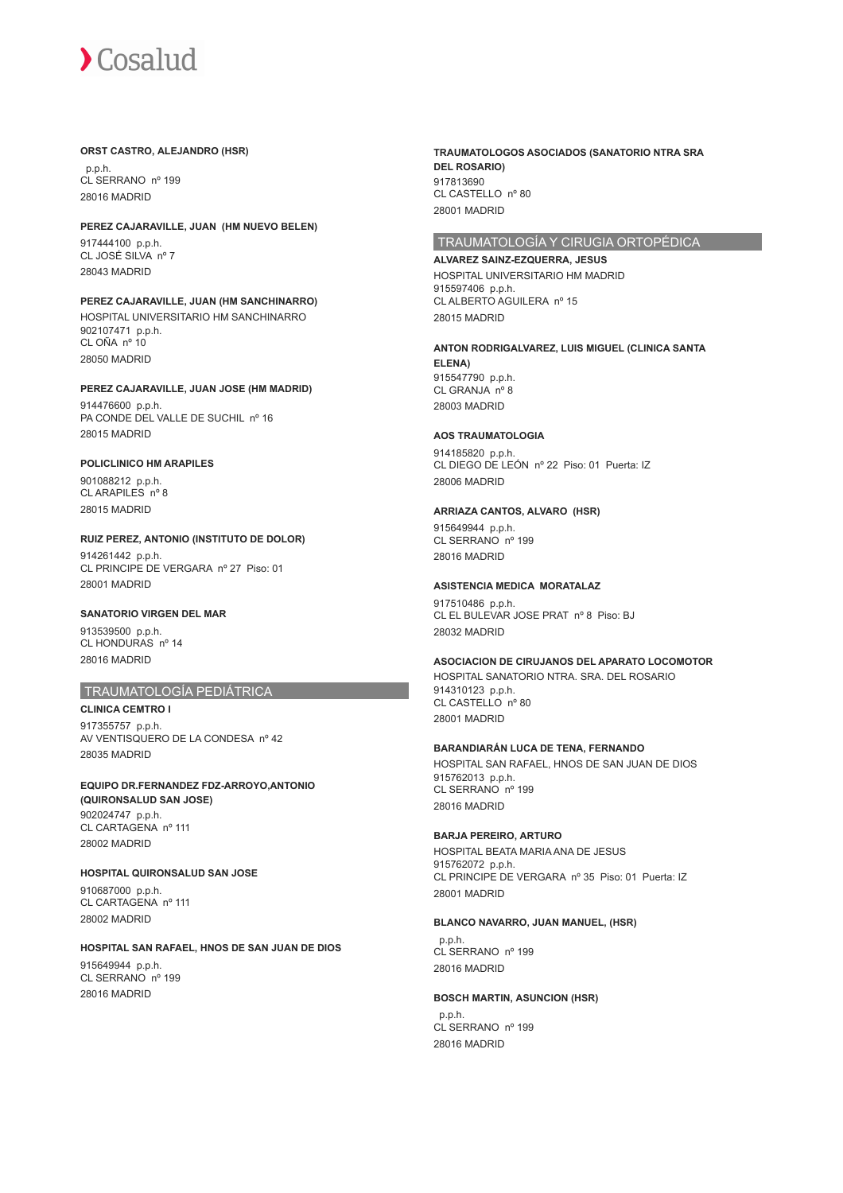#### **ORST CASTRO, ALEJANDRO (HSR)**

 p.p.h. CL SERRANO nº 199 28016 MADRID

#### **PEREZ CAJARAVILLE, JUAN (HM NUEVO BELEN)**

917444100 p.p.h. CL JOSÉ SILVA nº 7 28043 MADRID

# **PEREZ CAJARAVILLE, JUAN (HM SANCHINARRO)**

HOSPITAL UNIVERSITARIO HM SANCHINARRO 902107471 p.p.h. CL OÑA nº 10 28050 MADRID

# **PEREZ CAJARAVILLE, JUAN JOSE (HM MADRID)** 914476600 p.p.h.

PA CONDE DEL VALLE DE SUCHIL nº 16 28015 MADRID

# **POLICLINICO HM ARAPILES**

901088212 p.p.h. CL ARAPILES nº 8 28015 MADRID

#### **RUIZ PEREZ, ANTONIO (INSTITUTO DE DOLOR)** 914261442 p.p.h. CL PRINCIPE DE VERGARA nº 27 Piso: 01 28001 MADRID

## **SANATORIO VIRGEN DEL MAR**

913539500 p.p.h. CL HONDURAS nº 14 28016 MADRID

# TRAUMATOLOGÍA PEDIÁTRICA

**CLINICA CEMTRO I** 917355757 p.p.h. AV VENTISQUERO DE LA CONDESA nº 42 28035 MADRID

**EQUIPO DR.FERNANDEZ FDZ-ARROYO,ANTONIO (QUIRONSALUD SAN JOSE)** 902024747 p.p.h. CL CARTAGENA nº 111 28002 MADRID

#### **HOSPITAL QUIRONSALUD SAN JOSE**

910687000 p.p.h. CL CARTAGENA nº 111 28002 MADRID

#### **HOSPITAL SAN RAFAEL, HNOS DE SAN JUAN DE DIOS**

915649944 p.p.h. CL SERRANO nº 199 28016 MADRID

**TRAUMATOLOGOS ASOCIADOS (SANATORIO NTRA SRA DEL ROSARIO)** 917813690 CL CASTELLO nº 80 28001 MADRID

# TRAUMATOLOGÍA Y CIRUGIA ORTOPÉDICA

**ALVAREZ SAINZ-EZQUERRA, JESUS** HOSPITAL UNIVERSITARIO HM MADRID 915597406 p.p.h. CL ALBERTO AGUILERA nº 15 28015 MADRID

# **ANTON RODRIGALVAREZ, LUIS MIGUEL (CLINICA SANTA**

**ELENA)** 915547790 p.p.h. CL GRANJA nº 8 28003 MADRID

#### **AOS TRAUMATOLOGIA**

914185820 p.p.h. CL DIEGO DE LEÓN nº 22 Piso: 01 Puerta: IZ 28006 MADRID

#### **ARRIAZA CANTOS, ALVARO (HSR)**

915649944 p.p.h. CL SERRANO nº 199 28016 MADRID

#### **ASISTENCIA MEDICA MORATALAZ**

917510486 p.p.h. CL EL BULEVAR JOSE PRAT nº 8 Piso: BJ 28032 MADRID

#### **ASOCIACION DE CIRUJANOS DEL APARATO LOCOMOTOR**

HOSPITAL SANATORIO NTRA. SRA. DEL ROSARIO 914310123 p.p.h. CL CASTELLO nº 80 28001 MADRID

#### **BARANDIARÁN LUCA DE TENA, FERNANDO**

HOSPITAL SAN RAFAEL, HNOS DE SAN JUAN DE DIOS 915762013 p.p.h. CL SERRANO nº 199 28016 MADRID

### **BARJA PEREIRO, ARTURO**

HOSPITAL BEATA MARIA ANA DE JESUS 915762072 p.p.h. CL PRINCIPE DE VERGARA nº 35 Piso: 01 Puerta: IZ 28001 MADRID

# **BLANCO NAVARRO, JUAN MANUEL, (HSR)**

 p.p.h. CL SERRANO nº 199 28016 MADRID

### **BOSCH MARTIN, ASUNCION (HSR)**

 p.p.h. CL SERRANO nº 199 28016 MADRID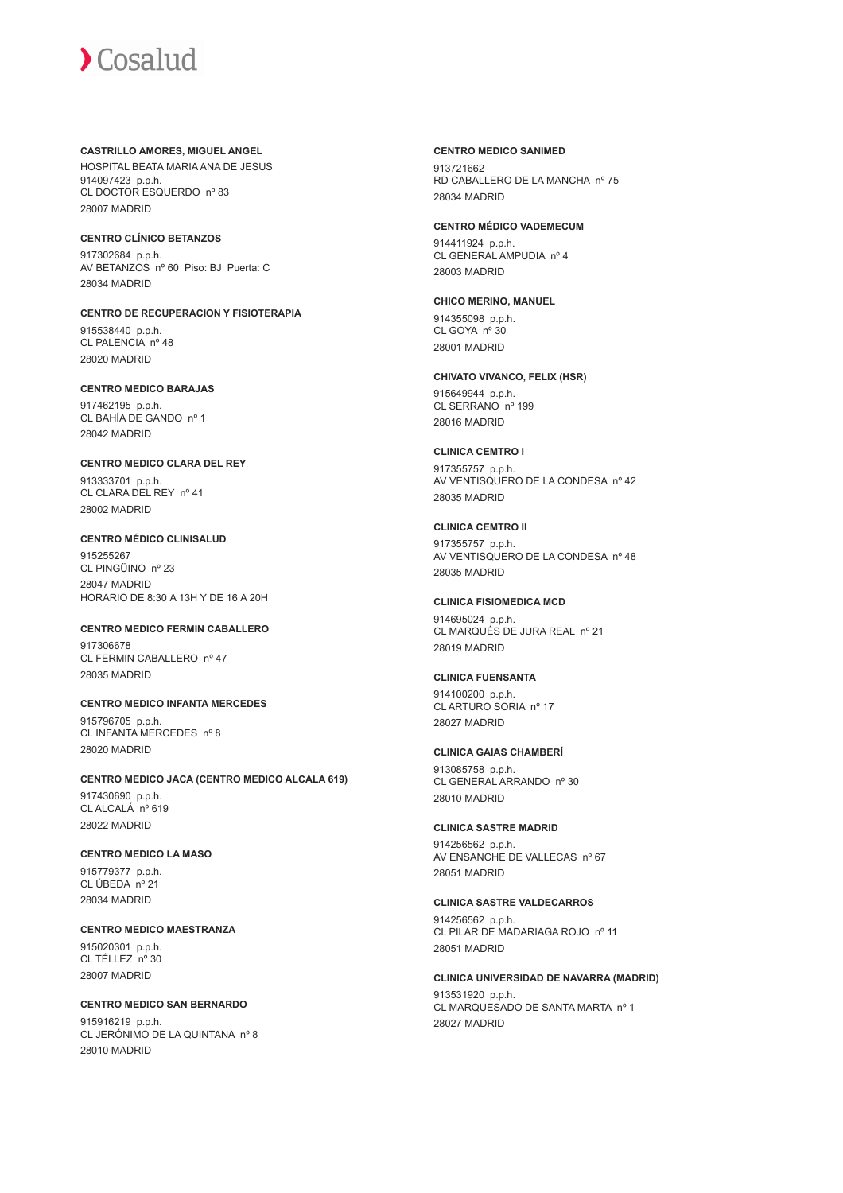**CASTRILLO AMORES, MIGUEL ANGEL** HOSPITAL BEATA MARIA ANA DE JESUS 914097423 p.p.h. CL DOCTOR ESQUERDO nº 83 28007 MADRID

#### **CENTRO CLÍNICO BETANZOS**

917302684 p.p.h. AV BETANZOS nº 60 Piso: BJ Puerta: C 28034 MADRID

**CENTRO DE RECUPERACION Y FISIOTERAPIA** 915538440 p.p.h. CL PALENCIA nº 48 28020 MADRID

#### **CENTRO MEDICO BARAJAS**

917462195 p.p.h. CL BAHÍA DE GANDO nº 1 28042 MADRID

**CENTRO MEDICO CLARA DEL REY**

913333701 p.p.h. CL CLARA DEL REY nº 41 28002 MADRID

# **CENTRO MÉDICO CLINISALUD**

915255267 CL PINGÜINO nº 23 28047 MADRID HORARIO DE 8:30 A 13H Y DE 16 A 20H

# **CENTRO MEDICO FERMIN CABALLERO**

917306678 CL FERMIN CABALLERO nº 47 28035 MADRID

# **CENTRO MEDICO INFANTA MERCEDES**

915796705 p.p.h. CL INFANTA MERCEDES nº 8 28020 MADRID

#### **CENTRO MEDICO JACA (CENTRO MEDICO ALCALA 619)** 917430690 p.p.h. CL ALCALÁ nº 619

28022 MADRID

#### **CENTRO MEDICO LA MASO**

915779377 p.p.h. CL ÚBEDA nº 21 28034 MADRID

#### **CENTRO MEDICO MAESTRANZA**

915020301 p.p.h. CL TÉLLEZ nº 30 28007 MADRID

# **CENTRO MEDICO SAN BERNARDO**

915916219 p.p.h. CL JERÓNIMO DE LA QUINTANA nº 8 28010 MADRID

**CENTRO MEDICO SANIMED** 913721662 RD CABALLERO DE LA MANCHA nº 75 28034 MADRID

# **CENTRO MÉDICO VADEMECUM**

914411924 p.p.h. CL GENERAL AMPUDIA nº 4 28003 MADRID

# **CHICO MERINO, MANUEL** 914355098 p.p.h.

CL GOYA nº 30 28001 MADRID

# **CHIVATO VIVANCO, FELIX (HSR)** 915649944 p.p.h.

CL SERRANO<sup>nº</sup> 199 28016 MADRID

#### **CLINICA CEMTRO I**

917355757 p.p.h. AV VENTISQUERO DE LA CONDESA nº 42 28035 MADRID

# **CLINICA CEMTRO II**

917355757 p.p.h. AV VENTISQUERO DE LA CONDESA nº 48 28035 MADRID

#### **CLINICA FISIOMEDICA MCD**

914695024 p.p.h. CL MARQUÉS DE JURA REAL nº 21 28019 MADRID

### **CLINICA FUENSANTA**

914100200 p.p.h. CL ARTURO SORIA nº 17 28027 MADRID

#### **CLINICA GAIAS CHAMBERÍ**

913085758 p.p.h. CL GENERAL ARRANDO nº 30 28010 MADRID

# **CLINICA SASTRE MADRID**

914256562 p.p.h. AV ENSANCHE DE VALLECAS nº 67 28051 MADRID

#### **CLINICA SASTRE VALDECARROS**

914256562 p.p.h. CL PILAR DE MADARIAGA ROJO nº 11 28051 MADRID

#### **CLINICA UNIVERSIDAD DE NAVARRA (MADRID)**

913531920 p.p.h. CL MARQUESADO DE SANTA MARTA nº 1 28027 MADRID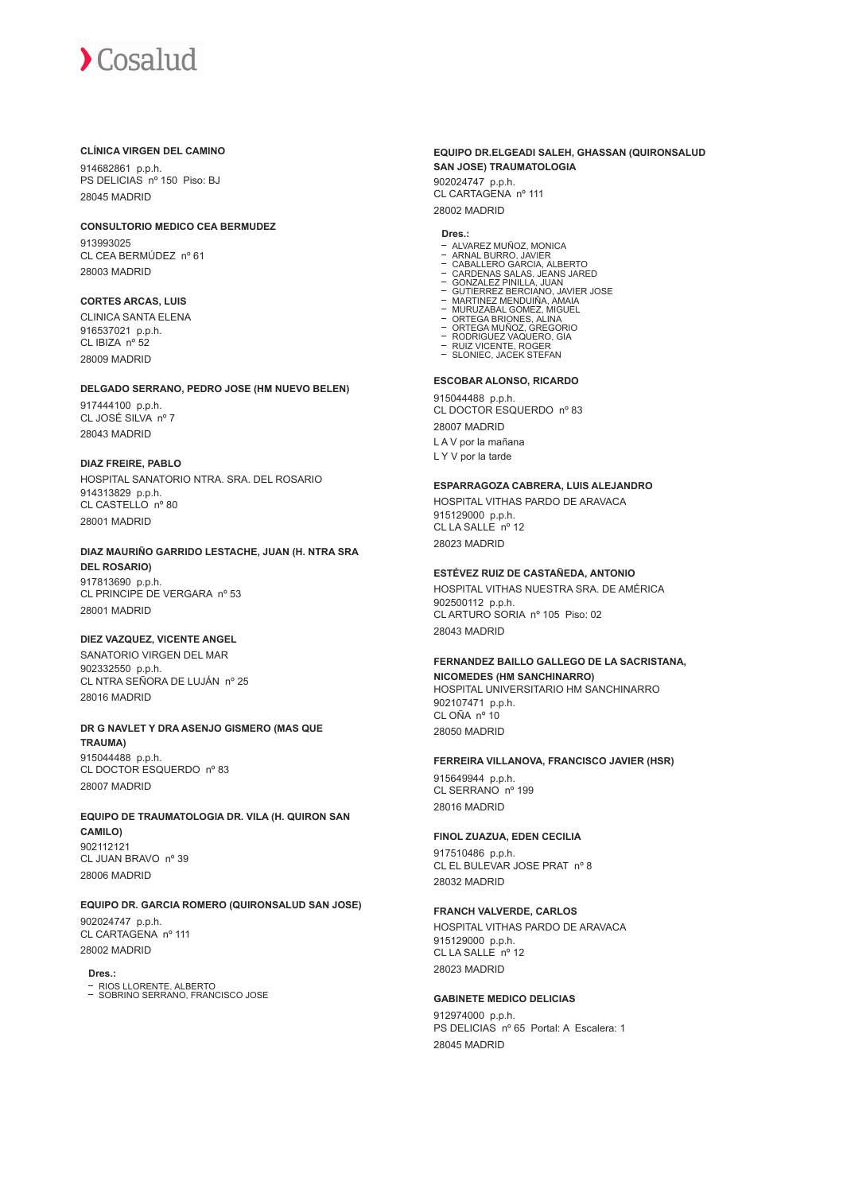#### **CLÍNICA VIRGEN DEL CAMINO**

914682861 p.p.h. PS DELICIAS nº 150 Piso: BJ 28045 MADRID

#### **CONSULTORIO MEDICO CEA BERMUDEZ**

913993025 CL CEA BERMÚDEZ nº 61 28003 MADRID

# **CORTES ARCAS, LUIS**

CLINICA SANTA ELENA 916537021 p.p.h. CL IBIZA nº 52 28009 MADRID

#### **DELGADO SERRANO, PEDRO JOSE (HM NUEVO BELEN)**

917444100 p.p.h. CL JOSÉ SILVA nº 7 28043 MADRID

## **DIAZ FREIRE, PABLO**

28001 MADRID

HOSPITAL SANATORIO NTRA. SRA. DEL ROSARIO 914313829 p.p.h. CL CASTELLO nº 80 28001 MADRID

#### **DIAZ MAURIÑO GARRIDO LESTACHE, JUAN (H. NTRA SRA DEL ROSARIO)** 917813690 p.p.h. CL PRINCIPE DE VERGARA nº 53

#### **DIEZ VAZQUEZ, VICENTE ANGEL**

SANATORIO VIRGEN DEL MAR 902332550 p.p.h. CL NTRA SEÑORA DE LUJÁN nº 25 28016 MADRID

# **DR G NAVLET Y DRA ASENJO GISMERO (MAS QUE**

**TRAUMA)** 915044488 p.p.h. CL DOCTOR ESQUERDO nº 83 28007 MADRID

# **EQUIPO DE TRAUMATOLOGIA DR. VILA (H. QUIRON SAN CAMILO)**

902112121 CL JUAN BRAVO nº 39 28006 MADRID

# **EQUIPO DR. GARCIA ROMERO (QUIRONSALUD SAN JOSE)**

902024747 p.p.h. CL CARTAGENA nº 111 28002 MADRID

# **Dres.:**

RIOS LLORENTE, ALBERTO SOBRINO SERRANO, FRANCISCO JOSE

# **EQUIPO DR.ELGEADI SALEH, GHASSAN (QUIRONSALUD SAN JOSE) TRAUMATOLOGIA**

902024747 p.p.h. CL CARTAGENA nº 111 28002 MADRID

#### **Dres.:**

- ALVAREZ MUÑOZ, MONICA
- 
- 
- ARNAL BURRO, JAVIER<br>CARALLERO GARCIA, ALBERTO<br>CARDENAS SALAS, JEANS JARED<br>GUNZALEZ PINILLA, JUAN<br>GUNZALEZ BERCIANO, JAVIER JOSE<br>MARTINEZ MENDUIÑA, AMAIA<br>MURUZABAL GOMEZ, MIGUEL<br>ORTEGA BRIONES, ALINA
- 
- $\overline{a}$
- 
- ORTEGA MUÑOZ, GREGORIO RODRIGUEZ VAQUERO, GIA RUIZ VICENTE, ROGER
- SLONIEC, JACEK STEFAN

#### **ESCOBAR ALONSO, RICARDO**

915044488 p.p.h. CL DOCTOR ESQUERDO nº 83 28007 MADRID L A V por la mañana L Y V por la tarde

#### **ESPARRAGOZA CABRERA, LUIS ALEJANDRO**

HOSPITAL VITHAS PARDO DE ARAVACA 915129000 p.p.h. CL LA SALLE nº 12 28023 MADRID

# **ESTÉVEZ RUIZ DE CASTAÑEDA, ANTONIO**

HOSPITAL VITHAS NUESTRA SRA. DE AMÉRICA 902500112 p.p.h. CL ARTURO SORIA nº 105 Piso: 02 28043 MADRID

#### **FERNANDEZ BAILLO GALLEGO DE LA SACRISTANA, NICOMEDES (HM SANCHINARRO)**

HOSPITAL UNIVERSITARIO HM SANCHINARRO 902107471 p.p.h. CL OÑA nº 10 28050 MADRID

#### **FERREIRA VILLANOVA, FRANCISCO JAVIER (HSR)**

915649944 p.p.h. CL SERRANO nº 199 28016 MADRID

# **FINOL ZUAZUA, EDEN CECILIA**

917510486 p.p.h. CL EL BULEVAR JOSE PRAT nº 8 28032 MADRID

# **FRANCH VALVERDE, CARLOS**

HOSPITAL VITHAS PARDO DE ARAVACA 915129000 p.p.h. CL LA SALLE nº 12 28023 MADRID

# **GABINETE MEDICO DELICIAS**

912974000 p.p.h. PS DELICIAS nº 65 Portal: A Escalera: 1 28045 MADRID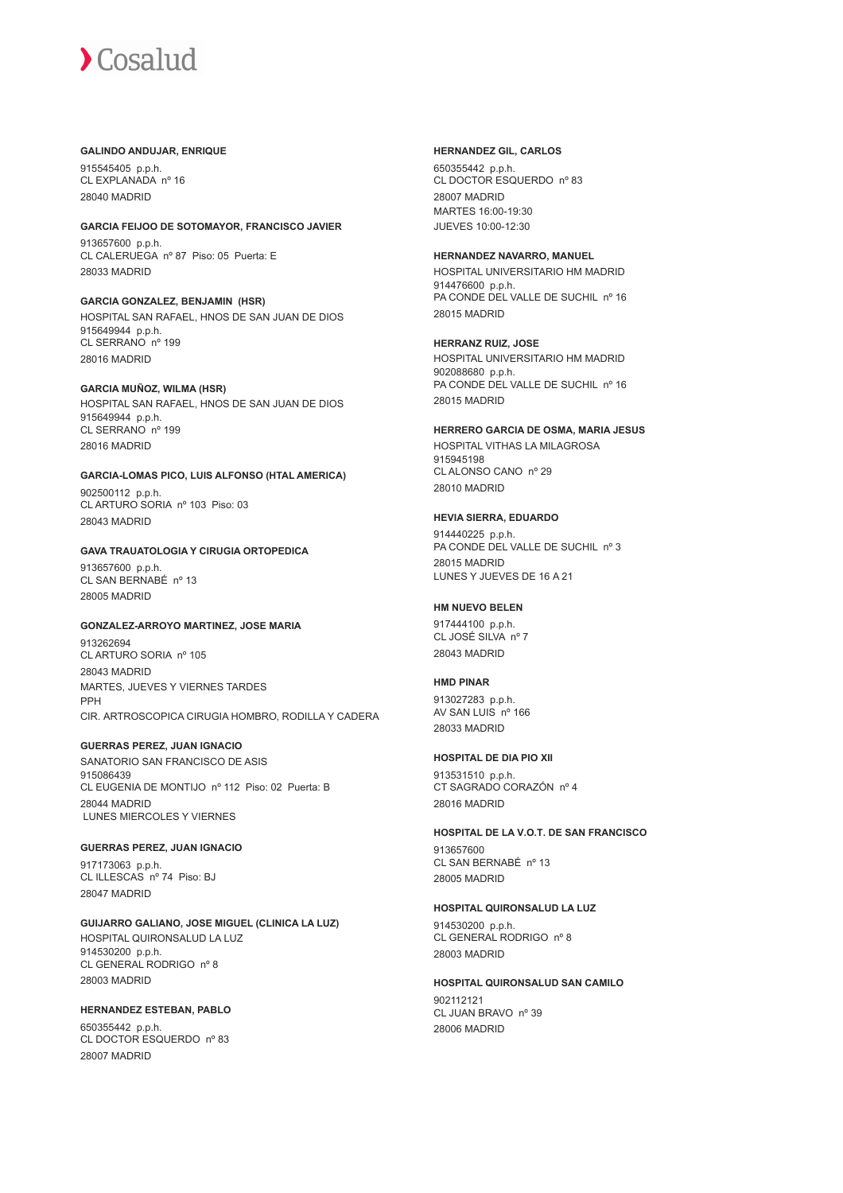#### **GALINDO ANDUJAR, ENRIQUE**

915545405 p.p.h. CL EXPLANADA nº 16 28040 MADRID

#### **GARCIA FEIJOO DE SOTOMAYOR, FRANCISCO JAVIER**

913657600 p.p.h. CL CALERUEGA nº 87 Piso: 05 Puerta: E 28033 MADRID

**GARCIA GONZALEZ, BENJAMIN (HSR)** HOSPITAL SAN RAFAEL, HNOS DE SAN JUAN DE DIOS 915649944 p.p.h. CL SERRANO nº 199 28016 MADRID

**GARCIA MUÑOZ, WILMA (HSR)** HOSPITAL SAN RAFAEL, HNOS DE SAN JUAN DE DIOS

915649944 p.p.h. CL SERRANO nº 199 28016 MADRID

**GARCIA-LOMAS PICO, LUIS ALFONSO (HTAL AMERICA)** 902500112 p.p.h. CL ARTURO SORIA nº 103 Piso: 03 28043 MADRID

# **GAVA TRAUATOLOGIA Y CIRUGIA ORTOPEDICA**

913657600 p.p.h. CL SAN BERNABÉ nº 13 28005 MADRID

# **GONZALEZ-ARROYO MARTINEZ, JOSE MARIA**

913262694 CL ARTURO SORIA nº 105 28043 MADRID MARTES, JUEVES Y VIERNES TARDES PPH CIR. ARTROSCOPICA CIRUGIA HOMBRO, RODILLA Y CADERA

## **GUERRAS PEREZ, JUAN IGNACIO**

SANATORIO SAN FRANCISCO DE ASIS 915086439 CL EUGENIA DE MONTIJO nº 112 Piso: 02 Puerta: B 28044 MADRID LUNES MIERCOLES Y VIERNES

**GUERRAS PEREZ, JUAN IGNACIO** 917173063 p.p.h. CL ILLESCAS nº 74 Piso: BJ 28047 MADRID

**GUIJARRO GALIANO, JOSE MIGUEL (CLINICA LA LUZ)** HOSPITAL QUIRONSALUD LA LUZ 914530200 p.p.h. CL GENERAL RODRIGO nº 8 28003 MADRID

**HERNANDEZ ESTEBAN, PABLO** 650355442 p.p.h. CL DOCTOR ESQUERDO nº 83 28007 MADRID

## **HERNANDEZ GIL, CARLOS**

650355442 p.p.h. CL DOCTOR ESQUERDO nº 83 28007 MADRID MARTES 16:00-19:30 JUEVES 10:00-12:30

### **HERNANDEZ NAVARRO, MANUEL**

HOSPITAL UNIVERSITARIO HM MADRID 914476600 p.p.h. PA CONDE DEL VALLE DE SUCHIL nº 16 28015 MADRID

#### **HERRANZ RUIZ, JOSE**

HOSPITAL UNIVERSITARIO HM MADRID 902088680 p.p.h. PA CONDE DEL VALLE DE SUCHIL nº 16 28015 MADRID

#### **HERRERO GARCIA DE OSMA, MARIA JESUS**

HOSPITAL VITHAS LA MILAGROSA 915945198 CL ALONSO CANO nº 29 28010 MADRID

#### **HEVIA SIERRA, EDUARDO**

914440225 p.p.h. PA CONDE DEL VALLE DE SUCHIL nº 3 28015 MADRID LUNES Y JUEVES DE 16 A 21

#### **HM NUEVO BELEN**

917444100 p.p.h. CL JOSÉ SILVA nº 7 28043 MADRID

#### **HMD PINAR**

913027283 p.p.h. AV SAN LUIS nº 166 28033 MADRID

#### **HOSPITAL DE DIA PIO XII**

913531510 p.p.h. CT SAGRADO CORAZÓN nº 4 28016 MADRID

#### **HOSPITAL DE LA V.O.T. DE SAN FRANCISCO**

913657600 CL SAN BERNABÉ nº 13 28005 MADRID

### **HOSPITAL QUIRONSALUD LA LUZ**

914530200 p.p.h. CL GENERAL RODRIGO nº 8 28003 MADRID

#### **HOSPITAL QUIRONSALUD SAN CAMILO**

902112121 CL JUAN BRAVO nº 39 28006 MADRID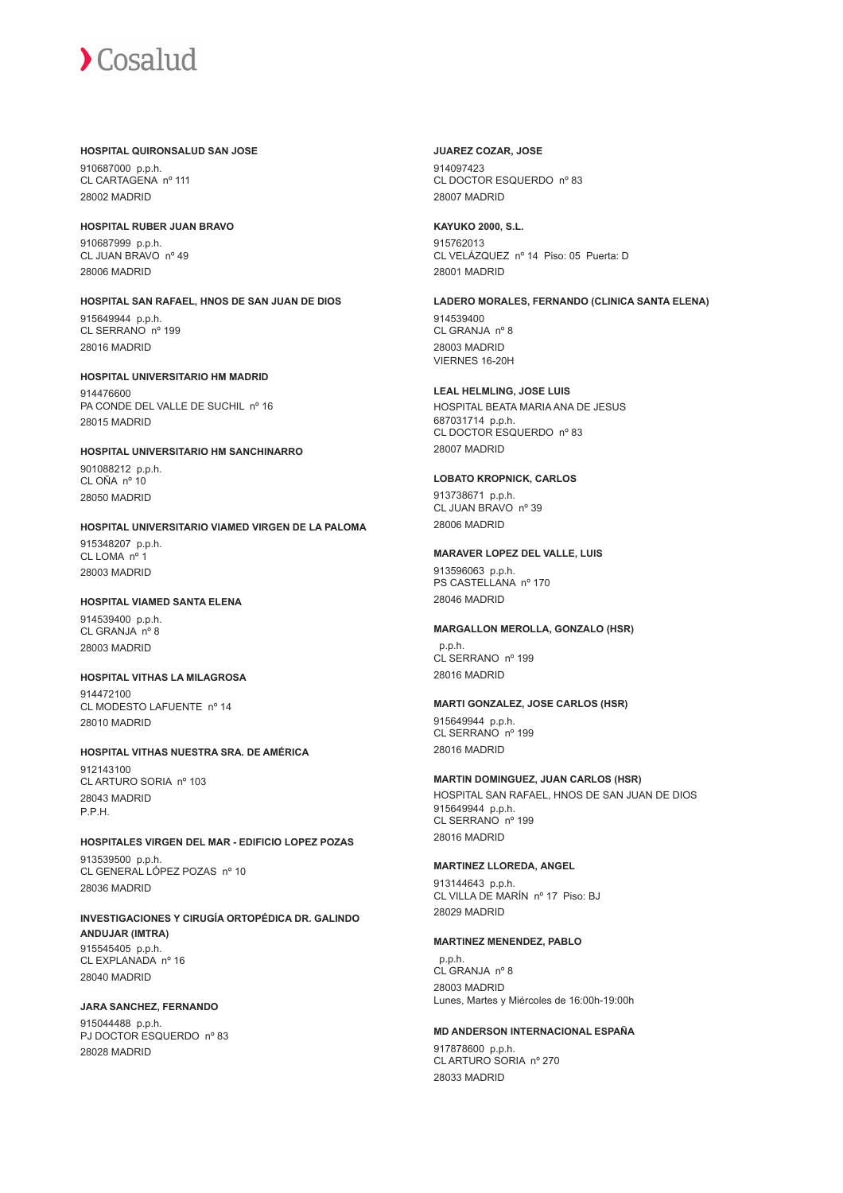#### **HOSPITAL QUIRONSALUD SAN JOSE**

910687000 p.p.h. CL CARTAGENA nº 111 28002 MADRID

#### **HOSPITAL RUBER JUAN BRAVO**

910687999 p.p.h. CL JUAN BRAVO nº 49 28006 MADRID

# **HOSPITAL SAN RAFAEL, HNOS DE SAN JUAN DE DIOS**

915649944 p.p.h. CL SERRANO nº 199 28016 MADRID

#### **HOSPITAL UNIVERSITARIO HM MADRID** 914476600

PA CONDE DEL VALLE DE SUCHIL nº 16 28015 MADRID

# **HOSPITAL UNIVERSITARIO HM SANCHINARRO**

901088212 p.p.h. CL OÑA nº 10 28050 MADRID

# **HOSPITAL UNIVERSITARIO VIAMED VIRGEN DE LA PALOMA**

915348207 p.p.h. CL LOMA nº 28003 MADRID

# **HOSPITAL VIAMED SANTA ELENA**

914539400 p.p.h. CL GRANJA nº 8 28003 MADRID

# **HOSPITAL VITHAS LA MILAGROSA**

914472100 CL MODESTO LAFUENTE nº 14 28010 MADRID

# **HOSPITAL VITHAS NUESTRA SRA. DE AMÉRICA**

912143100 CL ARTURO SORIA nº 103 28043 MADRID P.P.H.

# **HOSPITALES VIRGEN DEL MAR - EDIFICIO LOPEZ POZAS**

913539500 p.p.h. CL GENERAL LÓPEZ POZAS nº 10 28036 MADRID

### **INVESTIGACIONES Y CIRUGÍA ORTOPÉDICA DR. GALINDO ANDUJAR (IMTRA)** 915545405 p.p.h. CL EXPLANADA nº 16 28040 MADRID

# **JARA SANCHEZ, FERNANDO**

915044488 p.p.h. PJ DOCTOR ESQUERDO nº 83 28028 MADRID

## **JUAREZ COZAR, JOSE**

914097423 CL DOCTOR ESQUERDO nº 83 28007 MADRID

# **KAYUKO 2000, S.L.**

915762013 CL VELÁZQUEZ nº 14 Piso: 05 Puerta: D 28001 MADRID

# **LADERO MORALES, FERNANDO (CLINICA SANTA ELENA)**

914539400 CL GRANJA nº 8 28003 MADRID VIERNES 16-20H

# **LEAL HELMLING, JOSE LUIS**

HOSPITAL BEATA MARIA ANA DE JESUS 687031714 p.p.h. CL DOCTOR ESQUERDO nº 83 28007 MADRID

# **LOBATO KROPNICK, CARLOS**

913738671 p.p.h. CL JUAN BRAVO nº 39 28006 MADRID

# **MARAVER LOPEZ DEL VALLE, LUIS**

913596063 p.p.h. PS CASTELLANA nº 170 28046 MADRID

# **MARGALLON MEROLLA, GONZALO (HSR)**

 p.p.h. CL SERRANO nº 199 28016 MADRID

# **MARTI GONZALEZ, JOSE CARLOS (HSR)**

915649944 p.p.h. CL SERRANO nº 199 28016 MADRID

# **MARTIN DOMINGUEZ, JUAN CARLOS (HSR)**

HOSPITAL SAN RAFAEL, HNOS DE SAN JUAN DE DIOS 915649944 p.p.h. CL SERRANO nº 199 28016 MADRID

# **MARTINEZ LLOREDA, ANGEL**

913144643 p.p.h. CL VILLA DE MARÍN nº 17 Piso: BJ 28029 MADRID

# **MARTINEZ MENENDEZ, PABLO**

 p.p.h. CL GRANJA nº 8 28003 MADRID Lunes, Martes y Miércoles de 16:00h-19:00h

# **MD ANDERSON INTERNACIONAL ESPAÑA**

917878600 p.p.h. CL ARTURO SORIA nº 270 28033 MADRID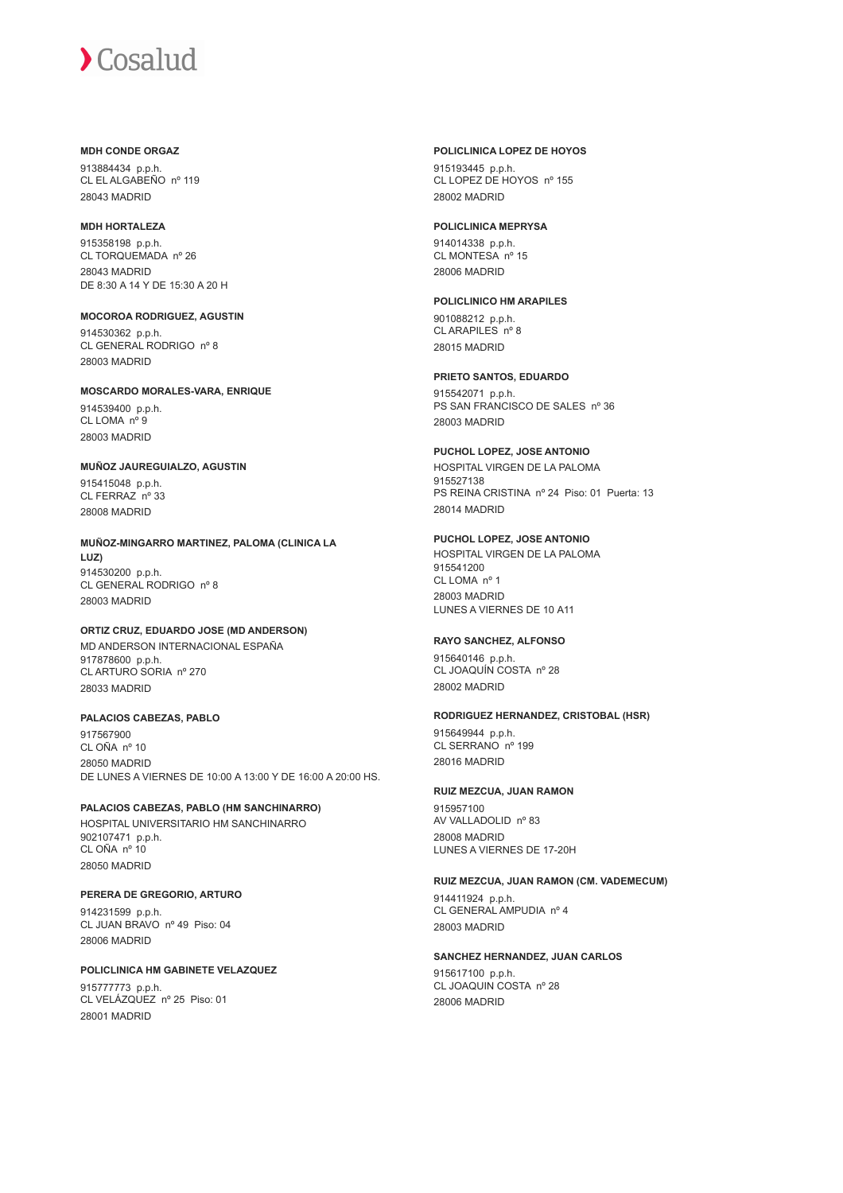# **MDH CONDE ORGAZ**

913884434 p.p.h. CL EL ALGABEÑO nº 119 28043 MADRID

#### **MDH HORTALEZA**

915358198 p.p.h. CL TORQUEMADA nº 26 28043 MADRID DE 8:30 A 14 Y DE 15:30 A 20 H

# **MOCOROA RODRIGUEZ, AGUSTIN** 914530362 p.p.h.

CL GENERAL RODRIGO nº 8 28003 MADRID

# **MOSCARDO MORALES-VARA, ENRIQUE**

914539400 p.p.h. CL LOMA nº 9 28003 MADRID

#### **MUÑOZ JAUREGUIALZO, AGUSTIN**

915415048 p.p.h. CL FERRAZ nº 33 28008 MADRID

# **MUÑOZ-MINGARRO MARTINEZ, PALOMA (CLINICA LA**

**LUZ)** 914530200 p.p.h. CL GENERAL RODRIGO nº 8 28003 MADRID

# **ORTIZ CRUZ, EDUARDO JOSE (MD ANDERSON)**

MD ANDERSON INTERNACIONAL ESPAÑA 917878600 p.p.h. CL ARTURO SORIA nº 270 28033 MADRID

# **PALACIOS CABEZAS, PABLO**

917567900 CL OÑA nº 10 28050 MADRID DE LUNES A VIERNES DE 10:00 A 13:00 Y DE 16:00 A 20:00 HS.

# **PALACIOS CABEZAS, PABLO (HM SANCHINARRO)**

HOSPITAL UNIVERSITARIO HM SANCHINARRO 902107471 p.p.h. CL OÑA nº 10 28050 MADRID

#### **PERERA DE GREGORIO, ARTURO** 914231599 p.p.h.

CL JUAN BRAVO nº 49 Piso: 04 28006 MADRID

# **POLICLINICA HM GABINETE VELAZQUEZ**

915777773 p.p.h. CL VELÁZQUEZ nº 25 Piso: 01 28001 MADRID

#### **POLICLINICA LOPEZ DE HOYOS**

915193445 p.p.h. CL LOPEZ DE HOYOS nº 155 28002 MADRID

## **POLICLINICA MEPRYSA**

914014338 p.p.h. CL MONTESA nº 15 28006 MADRID

# **POLICLINICO HM ARAPILES**

901088212 p.p.h. CL ARAPILES nº 8 28015 MADRID

# **PRIETO SANTOS, EDUARDO**

915542071 p.p.h. PS SAN FRANCISCO DE SALES nº 36 28003 MADRID

#### **PUCHOL LOPEZ, JOSE ANTONIO** HOSPITAL VIRGEN DE LA PALOMA 915527138 PS REINA CRISTINA nº 24 Piso: 01 Puerta: 13 28014 MADRID

# **PUCHOL LOPEZ, JOSE ANTONIO**

HOSPITAL VIRGEN DE LA PALOMA 915541200 CL LOMA nº 1 28003 MADRID LUNES A VIERNES DE 10 A11

# **RAYO SANCHEZ, ALFONSO**

915640146 p.p.h. CL JOAQUÍN COSTA nº 28 28002 MADRID

# **RODRIGUEZ HERNANDEZ, CRISTOBAL (HSR)**

915649944 p.p.h. CL SERRANO nº 199 28016 MADRID

# **RUIZ MEZCUA, JUAN RAMON**

915957100 AV VALLADOLID nº 83 28008 MADRID LUNES A VIERNES DE 17-20H

#### **RUIZ MEZCUA, JUAN RAMON (CM. VADEMECUM)**

914411924 p.p.h. CL GENERAL AMPUDIA nº 4 28003 MADRID

# **SANCHEZ HERNANDEZ, JUAN CARLOS**

915617100 p.p.h. CL JOAQUIN COSTA nº 28 28006 MADRID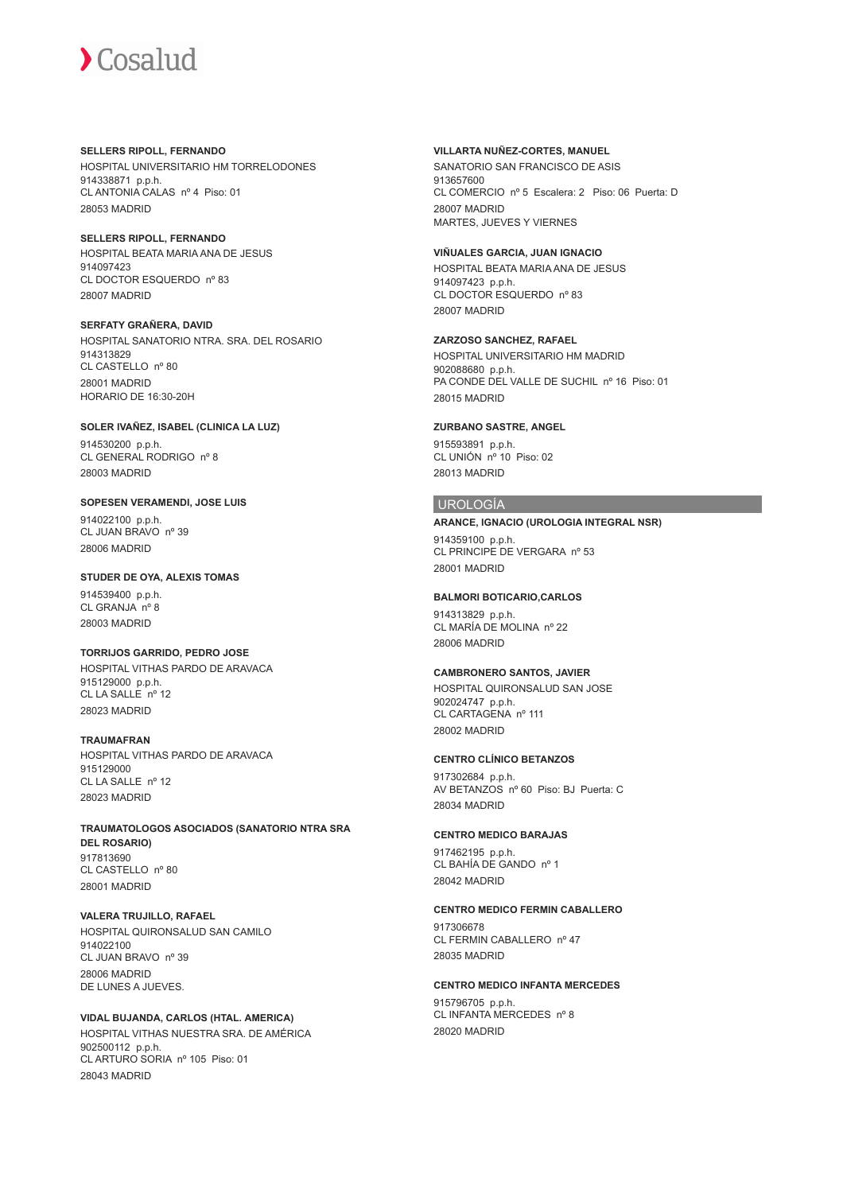**SELLERS RIPOLL, FERNANDO** HOSPITAL UNIVERSITARIO HM TORRELODONES 914338871 p.p.h. CL ANTONIA CALAS nº 4 Piso: 01 28053 MADRID

**SELLERS RIPOLL, FERNANDO** HOSPITAL BEATA MARIA ANA DE JESUS 914097423 CL DOCTOR ESQUERDO nº 83 28007 MADRID

**SERFATY GRAÑERA, DAVID** HOSPITAL SANATORIO NTRA. SRA. DEL ROSARIO 914313829 CL CASTELLO nº 80 28001 MADRID HORARIO DE 16:30-20H

**SOLER IVAÑEZ, ISABEL (CLINICA LA LUZ)**

914530200 p.p.h. CL GENERAL RODRIGO nº 8 28003 MADRID

**SOPESEN VERAMENDI, JOSE LUIS**

914022100 p.p.h. CL JUAN BRAVO nº 39 28006 MADRID

**STUDER DE OYA, ALEXIS TOMAS**

914539400 p.p.h. CL GRANJA nº 8 28003 MADRID

**TORRIJOS GARRIDO, PEDRO JOSE**

HOSPITAL VITHAS PARDO DE ARAVACA 915129000 p.p.h.  $CL$  LA SALLE  $n^{\circ}$  12 28023 MADRID

## **TRAUMAFRAN**

HOSPITAL VITHAS PARDO DE ARAVACA 915129000 CL LA SALLE nº 12 28023 MADRID

**TRAUMATOLOGOS ASOCIADOS (SANATORIO NTRA SRA DEL ROSARIO)** 917813690 CL CASTELLO nº 80 28001 MADRID

**VALERA TRUJILLO, RAFAEL** HOSPITAL QUIRONSALUD SAN CAMILO 914022100 CL JUAN BRAVO nº 39 28006 MADRID DE LUNES A JUEVES.

**VIDAL BUJANDA, CARLOS (HTAL. AMERICA)** HOSPITAL VITHAS NUESTRA SRA. DE AMÉRICA 902500112 p.p.h. CL ARTURO SORIA nº 105 Piso: 01 28043 MADRID

**VILLARTA NUÑEZ-CORTES, MANUEL**

SANATORIO SAN FRANCISCO DE ASIS 913657600 CL COMERCIO nº 5 Escalera: 2 Piso: 06 Puerta: D 28007 MADRID MARTES, JUEVES Y VIERNES

**VIÑUALES GARCIA, JUAN IGNACIO** HOSPITAL BEATA MARIA ANA DE JESUS 914097423 p.p.h. CL DOCTOR ESQUERDO nº 83 28007 MADRID

**ZARZOSO SANCHEZ, RAFAEL** HOSPITAL UNIVERSITARIO HM MADRID 902088680 p.p.h. PA CONDE DEL VALLE DE SUCHIL nº 16 Piso: 01 28015 MADRID

**ZURBANO SASTRE, ANGEL**

915593891 p.p.h. CL UNIÓN nº 10 Piso: 02 28013 MADRID

# UROLOGÍA

**ARANCE, IGNACIO (UROLOGIA INTEGRAL NSR)**

914359100 p.p.h. CL PRINCIPE DE VERGARA nº 53 28001 MADRID

**BALMORI BOTICARIO,CARLOS**

914313829 p.p.h. CL MARÍA DE MOLINA nº 22 28006 MADRID

**CAMBRONERO SANTOS, JAVIER**

HOSPITAL QUIRONSALUD SAN JOSE 902024747 p.p.h. CL CARTAGENA nº 111 28002 MADRID

### **CENTRO CLÍNICO BETANZOS**

917302684 p.p.h. AV BETANZOS nº 60 Piso: BJ Puerta: C 28034 MADRID

#### **CENTRO MEDICO BARAJAS**

917462195 p.p.h. CL BAHÍA DE GANDO nº 1 28042 MADRID

#### **CENTRO MEDICO FERMIN CABALLERO**

917306678 CL FERMIN CABALLERO nº 47 28035 MADRID

#### **CENTRO MEDICO INFANTA MERCEDES**

915796705 p.p.h. CL INFANTA MERCEDES nº 8 28020 MADRID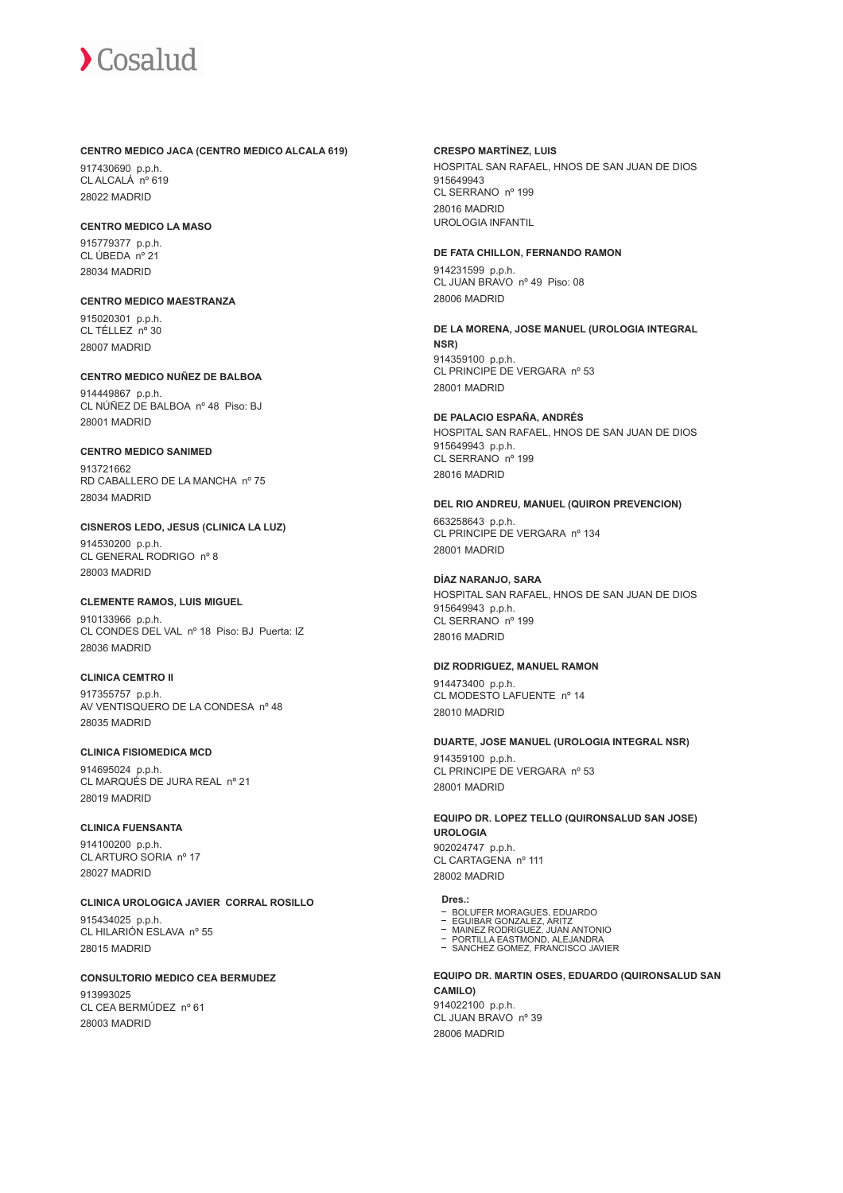#### **CENTRO MEDICO JACA (CENTRO MEDICO ALCALA 619)**

917430690 p.p.h. CL ALCALÁ nº 619 28022 MADRID

# **CENTRO MEDICO LA MASO**

915779377 p.p.h. CL ÚBEDA nº 21 28034 MADRID

#### **CENTRO MEDICO MAESTRANZA** 915020301 p.p.h. CL TÉLLEZ nº 30

28007 MADRID

# **CENTRO MEDICO NUÑEZ DE BALBOA**

914449867 p.p.h. CL NÚÑEZ DE BALBOA nº 48 Piso: BJ 28001 MADRID

# **CENTRO MEDICO SANIMED**

913721662 RD CABALLERO DE LA MANCHA nº 75 28034 MADRID

# **CISNEROS LEDO, JESUS (CLINICA LA LUZ)**

914530200 p.p.h. CL GENERAL RODRIGO nº 8 28003 MADRID

# **CLEMENTE RAMOS, LUIS MIGUEL**

910133966 p.p.h. CL CONDES DEL VAL nº 18 Piso: BJ Puerta: IZ 28036 MADRID

# **CLINICA CEMTRO II**

917355757 p.p.h. AV VENTISQUERO DE LA CONDESA nº 48 28035 MADRID

# **CLINICA FISIOMEDICA MCD**

914695024 p.p.h. CL MARQUÉS DE JURA REAL nº 21 28019 MADRID

# **CLINICA FUENSANTA**

914100200 p.p.h. CL ARTURO SORIA nº 17 28027 MADRID

**CLINICA UROLOGICA JAVIER CORRAL ROSILLO**

915434025 p.p.h. CL HILARIÓN ESLAVA nº 55 28015 MADRID

# **CONSULTORIO MEDICO CEA BERMUDEZ**

913993025 CL CEA BERMÚDEZ nº 61 28003 MADRID

### **CRESPO MARTÍNEZ, LUIS**

HOSPITAL SAN RAFAEL, HNOS DE SAN JUAN DE DIOS 915649943 CL SERRANO nº 199 28016 MADRID UROLOGIA INFANTIL

## **DE FATA CHILLON, FERNANDO RAMON**

914231599 p.p.h. CL JUAN BRAVO nº 49 Piso: 08 28006 MADRID

**DE LA MORENA, JOSE MANUEL (UROLOGIA INTEGRAL NSR)** 914359100 p.p.h. CL PRINCIPE DE VERGARA nº 53 28001 MADRID

# **DE PALACIO ESPAÑA, ANDRÉS**

HOSPITAL SAN RAFAEL, HNOS DE SAN JUAN DE DIOS 915649943 p.p.h. CL SERRANO nº 199 28016 MADRID

# **DEL RIO ANDREU, MANUEL (QUIRON PREVENCION)**

663258643 p.p.h. CL PRINCIPE DE VERGARA nº 134 28001 MADRID

# **DÍAZ NARANJO, SARA**

HOSPITAL SAN RAFAEL, HNOS DE SAN JUAN DE DIOS 915649943 p.p.h. CL SERRANO nº 199 28016 MADRID

# **DIZ RODRIGUEZ, MANUEL RAMON**

914473400 p.p.h. CL MODESTO LAFUENTE nº 14 28010 MADRID

# **DUARTE, JOSE MANUEL (UROLOGIA INTEGRAL NSR)**

914359100 p.p.h. CL PRINCIPE DE VERGARA nº 53 28001 MADRID

**EQUIPO DR. LOPEZ TELLO (QUIRONSALUD SAN JOSE) UROLOGIA** 902024747 p.p.h. CL CARTAGENA nº 111 28002 MADRID

# **Dres.:**

- 
- 
- BOLUFER MORAGUES, EDUARDO EGUIBAR GONZALEZ, ARITZ MAINEZ RODRIGUEZ, JUAN ANTONIO PORTILLA EASTMOND, ALEJANDRA
- SANCHEZ GOMEZ, FRANCISCO JAVIER

**EQUIPO DR. MARTIN OSES, EDUARDO (QUIRONSALUD SAN CAMILO)**

914022100 p.p.h. CL JUAN BRAVO nº 39 28006 MADRID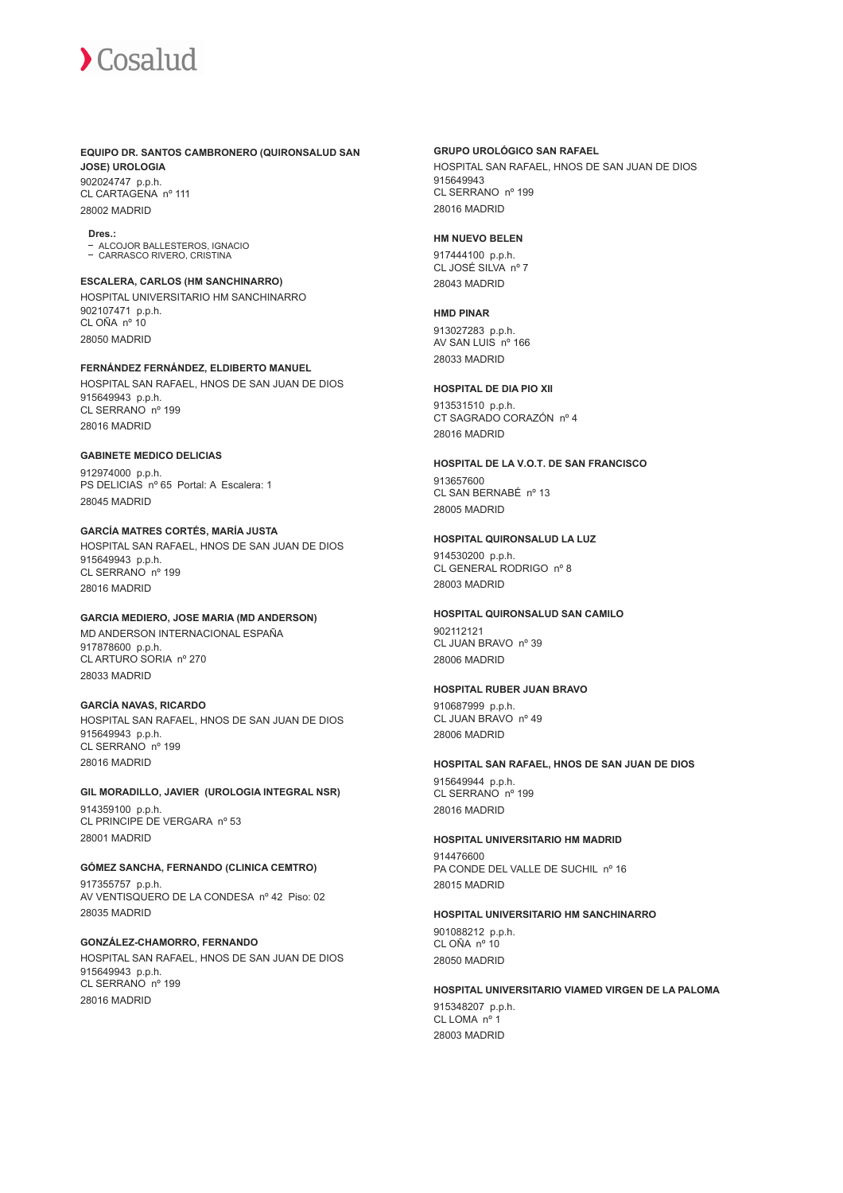# **EQUIPO DR. SANTOS CAMBRONERO (QUIRONSALUD SAN JOSE) UROLOGIA**

902024747 p.p.h. CL CARTAGENA nº 111 28002 MADRID

#### **Dres.:**

ALCOJOR BALLESTEROS, IGNACIO - ALCOJOR BALLEO (LITETATION)<br>- CARRASCO RIVERO, CRISTINA

## **ESCALERA, CARLOS (HM SANCHINARRO)**

HOSPITAL UNIVERSITARIO HM SANCHINARRO 902107471 p.p.h. CL OÑA nº 10 28050 MADRID

### **FERNÁNDEZ FERNÁNDEZ, ELDIBERTO MANUEL**

HOSPITAL SAN RAFAEL, HNOS DE SAN JUAN DE DIOS 915649943 p.p.h. CL SERRANO nº 199 28016 MADRID

#### **GABINETE MEDICO DELICIAS**

912974000 p.p.h. PS DELICIAS nº 65 Portal: A Escalera: 1 28045 MADRID

### **GARCÍA MATRES CORTÉS, MARÍA JUSTA**

HOSPITAL SAN RAFAEL, HNOS DE SAN JUAN DE DIOS 915649943 p.p.h. CL SERRANO nº 199 28016 MADRID

# **GARCIA MEDIERO, JOSE MARIA (MD ANDERSON)**

MD ANDERSON INTERNACIONAL ESPAÑA 917878600 p.p.h. CL ARTURO SORIA nº 270 28033 MADRID

## **GARCÍA NAVAS, RICARDO**

HOSPITAL SAN RAFAEL, HNOS DE SAN JUAN DE DIOS 915649943 p.p.h. CL SERRANO nº 199 28016 MADRID

# **GIL MORADILLO, JAVIER (UROLOGIA INTEGRAL NSR)**

914359100 p.p.h. CL PRINCIPE DE VERGARA nº 53 28001 MADRID

# **GÓMEZ SANCHA, FERNANDO (CLINICA CEMTRO)**

917355757 p.p.h. AV VENTISQUERO DE LA CONDESA nº 42 Piso: 02 28035 MADRID

# **GONZÁLEZ-CHAMORRO, FERNANDO**

HOSPITAL SAN RAFAEL, HNOS DE SAN JUAN DE DIOS 915649943 p.p.h. CL SERRANO nº 199 28016 MADRID

## **GRUPO UROLÓGICO SAN RAFAEL**

HOSPITAL SAN RAFAEL, HNOS DE SAN JUAN DE DIOS 915649943 CL SERRANO nº 199 28016 MADRID

## **HM NUEVO BELEN**

917444100 p.p.h. CL JOSÉ SILVA nº 7 28043 MADRID

### **HMD PINAR**

913027283 p.p.h. AV SAN LUIS nº 166 28033 MADRID

#### **HOSPITAL DE DIA PIO XII**

913531510 p.p.h. CT SAGRADO CORAZÓN nº 4 28016 MADRID

### **HOSPITAL DE LA V.O.T. DE SAN FRANCISCO**

913657600 CL SAN BERNABÉ nº 13 28005 MADRID

#### **HOSPITAL QUIRONSALUD LA LUZ**

914530200 p.p.h. CL GENERAL RODRIGO nº 8 28003 MADRID

## **HOSPITAL QUIRONSALUD SAN CAMILO**

902112121 CL JUAN BRAVO nº 39 28006 MADRID

#### **HOSPITAL RUBER JUAN BRAVO**

910687999 p.p.h. CL JUAN BRAVO nº 49 28006 MADRID

#### **HOSPITAL SAN RAFAEL, HNOS DE SAN JUAN DE DIOS**

915649944 p.p.h. CL SERRANO nº 199 28016 MADRID

#### **HOSPITAL UNIVERSITARIO HM MADRID**

914476600 PA CONDE DEL VALLE DE SUCHIL nº 16 28015 MADRID

# **HOSPITAL UNIVERSITARIO HM SANCHINARRO**

901088212 p.p.h. CL OÑA nº 10 28050 MADRID

#### **HOSPITAL UNIVERSITARIO VIAMED VIRGEN DE LA PALOMA**

915348207 p.p.h. CL LOMA nº 1 28003 MADRID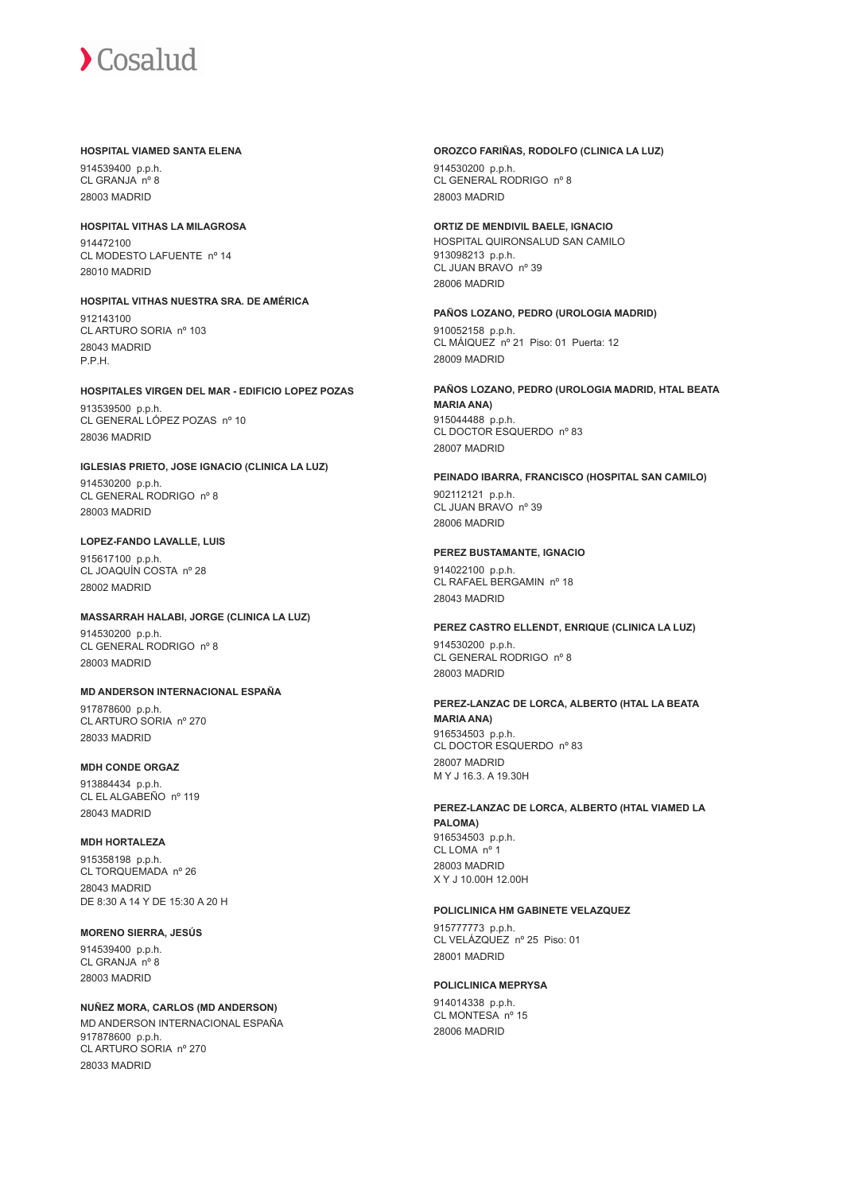#### **HOSPITAL VIAMED SANTA ELENA**

914539400 p.p.h. CL GRANJA nº 8 28003 MADRID

# **HOSPITAL VITHAS LA MILAGROSA**

914472100 CL MODESTO LAFUENTE nº 14 28010 MADRID

# **HOSPITAL VITHAS NUESTRA SRA. DE AMÉRICA** 912143100 CL ARTURO SORIA nº 103

28043 MADRID P.P.H.

# **HOSPITALES VIRGEN DEL MAR - EDIFICIO LOPEZ POZAS**

913539500 p.p.h. CL GENERAL LÓPEZ POZAS nº 10 28036 MADRID

## **IGLESIAS PRIETO, JOSE IGNACIO (CLINICA LA LUZ)** 914530200 p.p.h. CL GENERAL RODRIGO nº 8

28003 MADRID

# **LOPEZ-FANDO LAVALLE, LUIS**

915617100 p.p.h. CL JOAQUÍN COSTA nº 28 28002 MADRID

# **MASSARRAH HALABI, JORGE (CLINICA LA LUZ)**

914530200 p.p.h. CL GENERAL RODRIGO nº 8 28003 MADRID

# **MD ANDERSON INTERNACIONAL ESPAÑA**

917878600 p.p.h. CL ARTURO SORIA nº 270 28033 MADRID

# **MDH CONDE ORGAZ**

913884434 p.p.h. CL EL ALGABEÑO nº 119 28043 MADRID

# **MDH HORTALEZA**

915358198 p.p.h. CL TORQUEMADA nº 26 28043 MADRID DE 8:30 A 14 Y DE 15:30 A 20 H

# **MORENO SIERRA, JESÚS**

914539400 p.p.h. CL GRANJA nº 8 28003 MADRID

# **NUÑEZ MORA, CARLOS (MD ANDERSON)**

MD ANDERSON INTERNACIONAL ESPAÑA 917878600 p.p.h. CL ARTURO SORIA nº 270 28033 MADRID

## **OROZCO FARIÑAS, RODOLFO (CLINICA LA LUZ)**

914530200 p.p.h. CL GENERAL RODRIGO nº 8 28003 MADRID

# **ORTIZ DE MENDIVIL BAELE, IGNACIO**

HOSPITAL QUIRONSALUD SAN CAMILO 913098213 p.p.h. CL JUAN BRAVO nº 39 28006 MADRID

# **PAÑOS LOZANO, PEDRO (UROLOGIA MADRID)**

910052158 p.p.h. CL MÁIQUEZ nº 21 Piso: 01 Puerta: 12 28009 MADRID

#### **PAÑOS LOZANO, PEDRO (UROLOGIA MADRID, HTAL BEATA MARIA ANA)** 915044488 p.p.h. CL DOCTOR ESQUERDO nº 83 28007 MADRID

# **PEINADO IBARRA, FRANCISCO (HOSPITAL SAN CAMILO)**

902112121 p.p.h. CL JUAN BRAVO nº 39 28006 MADRID

# **PEREZ BUSTAMANTE, IGNACIO**

914022100 p.p.h. CL RAFAEL BERGAMIN nº 18 28043 MADRID

# **PEREZ CASTRO ELLENDT, ENRIQUE (CLINICA LA LUZ)**

914530200 p.p.h. CL GENERAL RODRIGO nº 8 28003 MADRID

## **PEREZ-LANZAC DE LORCA, ALBERTO (HTAL LA BEATA MARIA ANA)** 916534503 p.p.h. CL DOCTOR ESQUERDO nº 83

28007 MADRID M Y J 16.3. A 19.30H

#### **PEREZ-LANZAC DE LORCA, ALBERTO (HTAL VIAMED LA PALOMA)** 916534503 p.p.h. CL LOMA nº 1 28003 MADRID X Y J 10.00H 12.00H

# **POLICLINICA HM GABINETE VELAZQUEZ**

915777773 p.p.h. CL VELÁZQUEZ nº 25 Piso: 01 28001 MADRID

# **POLICLINICA MEPRYSA**

914014338 p.p.h. CL MONTESA nº 15 28006 MADRID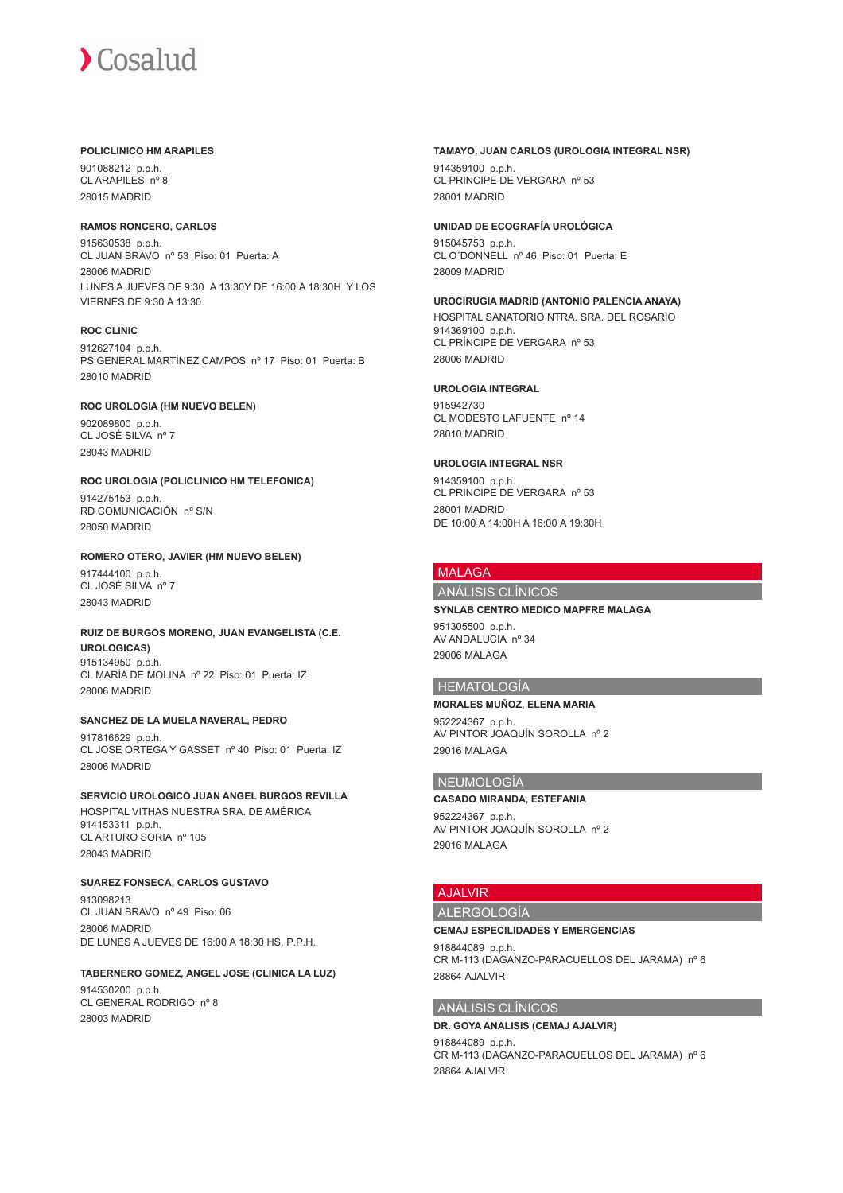#### **POLICLINICO HM ARAPILES**

901088212 p.p.h. CL ARAPILES nº 8 28015 MADRID

### **RAMOS RONCERO, CARLOS**

915630538 p.p.h. CL JUAN BRAVO nº 53 Piso: 01 Puerta: A 28006 MADRID LUNES A JUEVES DE 9:30 A 13:30Y DE 16:00 A 18:30H Y LOS VIERNES DE 9:30 A 13:30.

### **ROC CLINIC**

912627104 p.p.h. PS GENERAL MARTÍNEZ CAMPOS nº 17 Piso: 01 Puerta: B 28010 MADRID

### **ROC UROLOGIA (HM NUEVO BELEN)**

902089800 p.p.h. CL JOSÉ SILVA nº 7 28043 MADRID

### **ROC UROLOGIA (POLICLINICO HM TELEFONICA)**

914275153 p.p.h. RD COMUNICACIÓN nº S/N 28050 MADRID

#### **ROMERO OTERO, JAVIER (HM NUEVO BELEN)**

917444100 p.p.h. CL JOSÉ SILVA nº 7 28043 MADRID

# **RUIZ DE BURGOS MORENO, JUAN EVANGELISTA (C.E. UROLOGICAS)** 915134950 p.p.h.

CL MARÍA DE MOLINA nº 22 Piso: 01 Puerta: IZ 28006 MADRID

# **SANCHEZ DE LA MUELA NAVERAL, PEDRO**

917816629 p.p.h. CL JOSE ORTEGA Y GASSET nº 40 Piso: 01 Puerta: IZ 28006 MADRID

# **SERVICIO UROLOGICO JUAN ANGEL BURGOS REVILLA**

HOSPITAL VITHAS NUESTRA SRA. DE AMÉRICA 914153311 p.p.h. CL ARTURO SORIA nº 105 28043 MADRID

# **SUAREZ FONSECA, CARLOS GUSTAVO**

913098213 CL JUAN BRAVO nº 49 Piso: 06 28006 MADRID DE LUNES A JUEVES DE 16:00 A 18:30 HS, P.P.H.

# **TABERNERO GOMEZ, ANGEL JOSE (CLINICA LA LUZ)**

914530200 p.p.h. CL GENERAL RODRIGO nº 8 28003 MADRID

## **TAMAYO, JUAN CARLOS (UROLOGIA INTEGRAL NSR)**

914359100 p.p.h. CL PRINCIPE DE VERGARA nº 53 28001 MADRID

# **UNIDAD DE ECOGRAFÍA UROLÓGICA**

915045753 p.p.h. CL O´DONNELL nº 46 Piso: 01 Puerta: E 28009 MADRID

# **UROCIRUGIA MADRID (ANTONIO PALENCIA ANAYA)**

HOSPITAL SANATORIO NTRA. SRA. DEL ROSARIO 914369100 p.p.h. CL PRÍNCIPE DE VERGARA nº 53

### **UROLOGIA INTEGRAL**

28006 MADRID

915942730 CL MODESTO LAFUENTE nº 14 28010 MADRID

# **UROLOGIA INTEGRAL NSR**

914359100 p.p.h. CL PRINCIPE DE VERGARA nº 53 28001 MADRID DE 10:00 A 14:00H A 16:00 A 19:30H

# MALAGA

# ANÁLISIS CLÍNICOS

# **SYNLAB CENTRO MEDICO MAPFRE MALAGA**

951305500 p.p.h. AV ANDALUCIA nº 34 29006 MALAGA

### HEMATOLOGÍA

#### **MORALES MUÑOZ, ELENA MARIA**

952224367 p.p.h. AV PINTOR JOAQUÍN SOROLLA nº 2 29016 MALAGA

# NEUMOLOGÍA

#### **CASADO MIRANDA, ESTEFANIA**

952224367 p.p.h. AV PINTOR JOAQUÍN SOROLLA nº 2 29016 MALAGA

# AJALVIR

# ALERGOLOGÍA

#### **CEMAJ ESPECILIDADES Y EMERGENCIAS**

918844089 p.p.h. CR M-113 (DAGANZO-PARACUELLOS DEL JARAMA) nº 6 28864 AJALVIR

### ANÁLISIS CLÍNICOS

#### **DR. GOYA ANALISIS (CEMAJ AJALVIR)** 918844089 p.p.h. CR M-113 (DAGANZO-PARACUELLOS DEL JARAMA) nº 6 28864 AJALVIR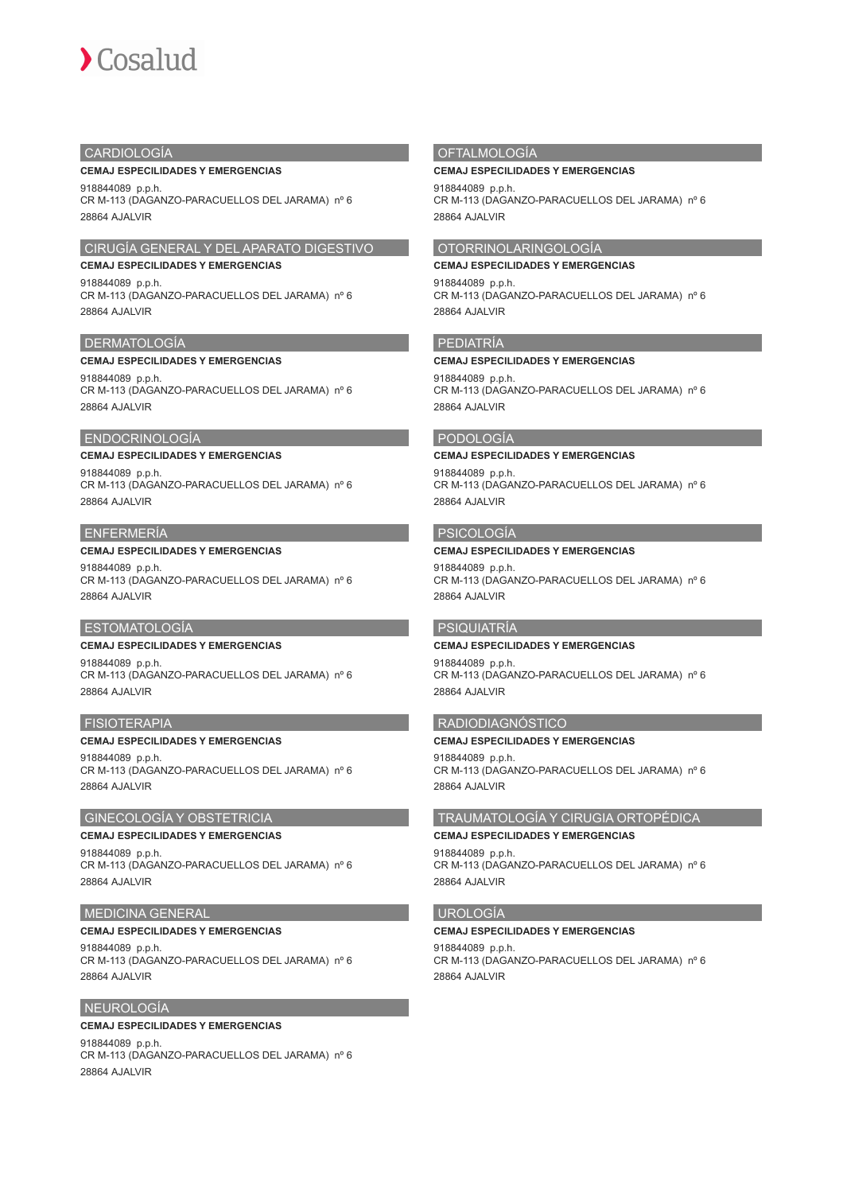# **CARDIOLOGÍA**

#### **CEMAJ ESPECILIDADES Y EMERGENCIAS**

918844089 p.p.h. CR M-113 (DAGANZO-PARACUELLOS DEL JARAMA) nº 6 28864 AJALVIR

# CIRUGÍA GENERAL Y DEL APARATO DIGESTIVO

**CEMAJ ESPECILIDADES Y EMERGENCIAS** 918844089 p.p.h. CR M-113 (DAGANZO-PARACUELLOS DEL JARAMA) nº 6 28864 AJALVIR

### DERMATOLOGÍA

#### **CEMAJ ESPECILIDADES Y EMERGENCIAS**

918844089 p.p.h. CR M-113 (DAGANZO-PARACUELLOS DEL JARAMA) nº 6 28864 AJALVIR

## ENDOCRINOLOGÍA

## **CEMAJ ESPECILIDADES Y EMERGENCIAS**

918844089 p.p.h. CR M-113 (DAGANZO-PARACUELLOS DEL JARAMA) nº 6 28864 AJALVIR

# ENFERMERÍA

# **CEMAJ ESPECILIDADES Y EMERGENCIAS**

918844089 p.p.h. CR M-113 (DAGANZO-PARACUELLOS DEL JARAMA) nº 6 28864 AJALVIR

# ESTOMATOLOGÍA

# **CEMAJ ESPECILIDADES Y EMERGENCIAS**

918844089 p.p.h. CR M-113 (DAGANZO-PARACUELLOS DEL JARAMA) nº 6 28864 AJALVIR

#### FISIOTERAPIA

#### **CEMAJ ESPECILIDADES Y EMERGENCIAS**

918844089 p.p.h. CR M-113 (DAGANZO-PARACUELLOS DEL JARAMA) nº 6 28864 AJALVIR

# GINECOLOGÍA Y OBSTETRICIA

## **CEMAJ ESPECILIDADES Y EMERGENCIAS**

918844089 p.p.h. CR M-113 (DAGANZO-PARACUELLOS DEL JARAMA) nº 6 28864 AJALVIR

## MEDICINA GENERAL

#### **CEMAJ ESPECILIDADES Y EMERGENCIAS**

918844089 p.p.h. CR M-113 (DAGANZO-PARACUELLOS DEL JARAMA) nº 6 28864 AJALVIR

## NEUROLOGÍA

## **CEMAJ ESPECILIDADES Y EMERGENCIAS**

918844089 p.p.h. CR M-113 (DAGANZO-PARACUELLOS DEL JARAMA) nº 6 28864 AJALVIR

# **OFTALMOLOGÍA**

#### **CEMAJ ESPECILIDADES Y EMERGENCIAS**

918844089 p.p.h. CR M-113 (DAGANZO-PARACUELLOS DEL JARAMA) nº 6 28864 AJALVIR

# OTORRINOLARINGOLOGÍA

**CEMAJ ESPECILIDADES Y EMERGENCIAS** 918844089 p.p.h. CR M-113 (DAGANZO-PARACUELLOS DEL JARAMA) nº 6 28864 AJALVIR

#### PEDIATRÍA

#### **CEMAJ ESPECILIDADES Y EMERGENCIAS** 918844089 p.p.h.

CR M-113 (DAGANZO-PARACUELLOS DEL JARAMA) nº 6 28864 AJALVIR

### PODOLOGÍA

### **CEMAJ ESPECILIDADES Y EMERGENCIAS**

918844089 p.p.h. CR M-113 (DAGANZO-PARACUELLOS DEL JARAMA) nº 6 28864 AJALVIR

# PSICOLOGÍA

## **CEMAJ ESPECILIDADES Y EMERGENCIAS**

918844089 p.p.h. CR M-113 (DAGANZO-PARACUELLOS DEL JARAMA) nº 6 28864 AJALVIR

# PSIQUIATRÍA

# **CEMAJ ESPECILIDADES Y EMERGENCIAS**

918844089 p.p.h. CR M-113 (DAGANZO-PARACUELLOS DEL JARAMA) nº 6 28864 AJALVIR

### RADIODIAGNÓSTICO

**CEMAJ ESPECILIDADES Y EMERGENCIAS** 918844089 p.p.h. CR M-113 (DAGANZO-PARACUELLOS DEL JARAMA) nº 6

# TRAUMATOLOGÍA Y CIRUGIA ORTOPÉDICA

**CEMAJ ESPECILIDADES Y EMERGENCIAS** 918844089 p.p.h.

CR M-113 (DAGANZO-PARACUELLOS DEL JARAMA) nº 6 28864 AJALVIR

#### UROLOGÍA

28864 AJALVIR

#### **CEMAJ ESPECILIDADES Y EMERGENCIAS**

918844089 p.p.h. CR M-113 (DAGANZO-PARACUELLOS DEL JARAMA) nº 6 28864 AJALVIR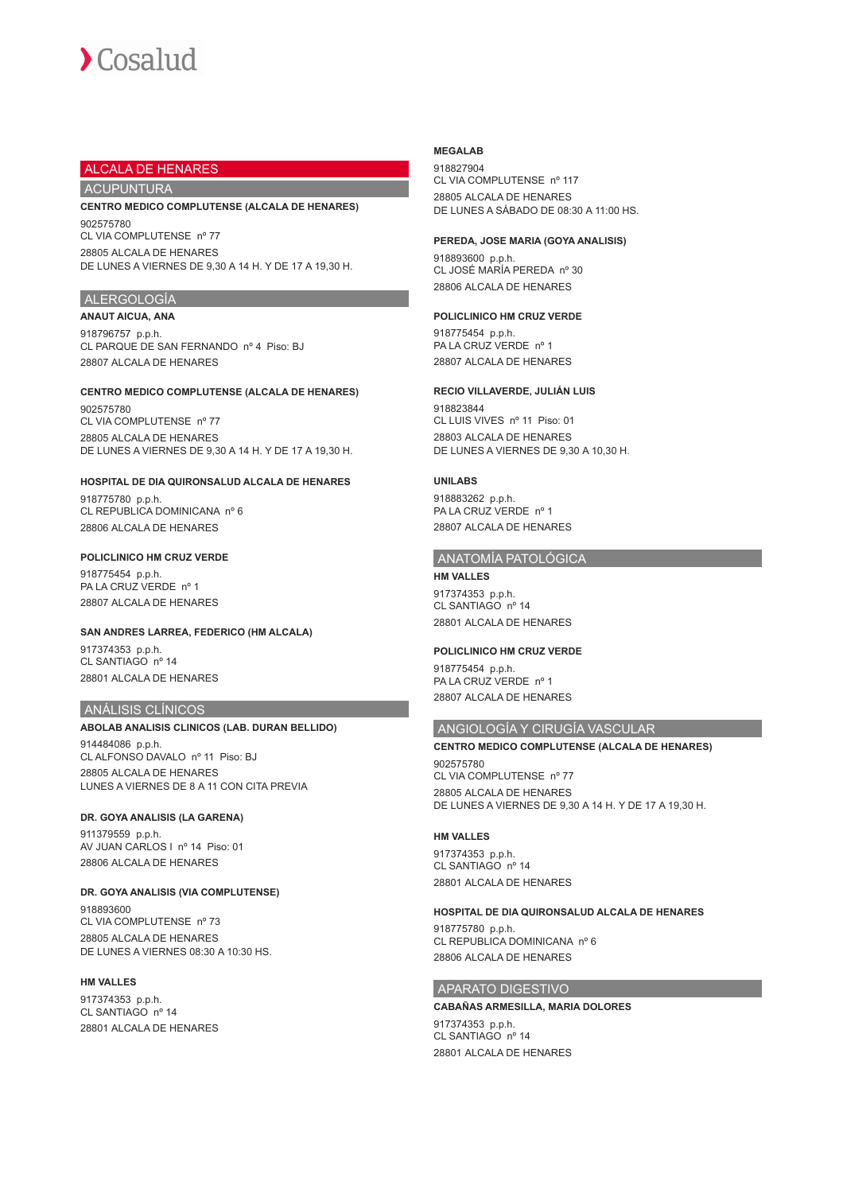# ALCALA DE HENARES

# ACUPUNTURA

## **CENTRO MEDICO COMPLUTENSE (ALCALA DE HENARES)** 902575780 CL VIA COMPLUTENSE nº 77

28805 ALCALA DE HENARES DE LUNES A VIERNES DE 9,30 A 14 H. Y DE 17 A 19,30 H.

# ALERGOLOGÍA

**ANAUT AICUA, ANA** 918796757 p.p.h. CL PARQUE DE SAN FERNANDO nº 4 Piso: BJ 28807 ALCALA DE HENARES

### **CENTRO MEDICO COMPLUTENSE (ALCALA DE HENARES)**

902575780 CL VIA COMPLUTENSE nº 77 28805 ALCALA DE HENARES DE LUNES A VIERNES DE 9,30 A 14 H. Y DE 17 A 19,30 H.

### **HOSPITAL DE DIA QUIRONSALUD ALCALA DE HENARES**

918775780 p.p.h. CL REPUBLICA DOMINICANA nº 6 28806 ALCALA DE HENARES

# **POLICLINICO HM CRUZ VERDE**

918775454 p.p.h. PA LA CRUZ VERDE nº 1 28807 ALCALA DE HENARES

### **SAN ANDRES LARREA, FEDERICO (HM ALCALA)**

917374353 p.p.h. CL SANTIAGO nº 14 28801 ALCALA DE HENARES

#### ANÁLISIS CLÍNICOS

# **ABOLAB ANALISIS CLINICOS (LAB. DURAN BELLIDO)**

914484086 p.p.h. CL ALFONSO DAVALO nº 11 Piso: BJ 28805 ALCALA DE HENARES LUNES A VIERNES DE 8 A 11 CON CITA PREVIA

#### **DR. GOYA ANALISIS (LA GARENA)**

911379559 p.p.h. AV JUAN CARLOS I nº 14 Piso: 01 28806 ALCALA DE HENARES

# **DR. GOYA ANALISIS (VIA COMPLUTENSE)**

918893600 CL VIA COMPLUTENSE nº 73 28805 ALCALA DE HENARES DE LUNES A VIERNES 08:30 A 10:30 HS.

# **HM VALLES**

917374353 p.p.h. CL SANTIAGO nº 14 28801 ALCALA DE HENARES

#### **MEGALAB**

918827904 CL VIA COMPLUTENSE nº 117 28805 ALCALA DE HENARES DE LUNES A SÁBADO DE 08:30 A 11:00 HS.

#### **PEREDA, JOSE MARIA (GOYA ANALISIS)**

918893600 p.p.h. CL JOSÉ MARÍA PEREDA nº 30 28806 ALCALA DE HENARES

## **POLICLINICO HM CRUZ VERDE**

918775454 p.p.h. PA LA CRUZ VERDE nº 1 28807 ALCALA DE HENARES

## **RECIO VILLAVERDE, JULIÁN LUIS**

918823844 CL LUIS VIVES nº 11 Piso: 01 28803 ALCALA DE HENARES DE LUNES A VIERNES DE 9,30 A 10,30 H.

# **UNILABS**

918883262 p.p.h. PA LA CRUZ VERDE nº 1 28807 ALCALA DE HENARES

#### ANATOMÍA PATOLÓGICA

**HM VALLES** 917374353 p.p.h. CL SANTIAGO nº 14 28801 ALCALA DE HENARES

#### **POLICLINICO HM CRUZ VERDE**

918775454 p.p.h. PA LA CRUZ VERDE nº 1 28807 ALCALA DE HENARES

# ANGIOLOGÍA Y CIRUGÍA VASCULAR

# **CENTRO MEDICO COMPLUTENSE (ALCALA DE HENARES)** 902575780

CL VIA COMPLUTENSE nº 77 28805 ALCALA DE HENARES DE LUNES A VIERNES DE 9,30 A 14 H. Y DE 17 A 19,30 H.

#### **HM VALLES**

917374353 p.p.h. CL SANTIAGO nº 14 28801 ALCALA DE HENARES

#### **HOSPITAL DE DIA QUIRONSALUD ALCALA DE HENARES**

918775780 p.p.h. CL REPUBLICA DOMINICANA nº 6 28806 ALCALA DE HENARES

# APARATO DIGESTIVO

#### **CABAÑAS ARMESILLA, MARIA DOLORES** 917374353 p.p.h.

CL SANTIAGO nº 14 28801 ALCALA DE HENARES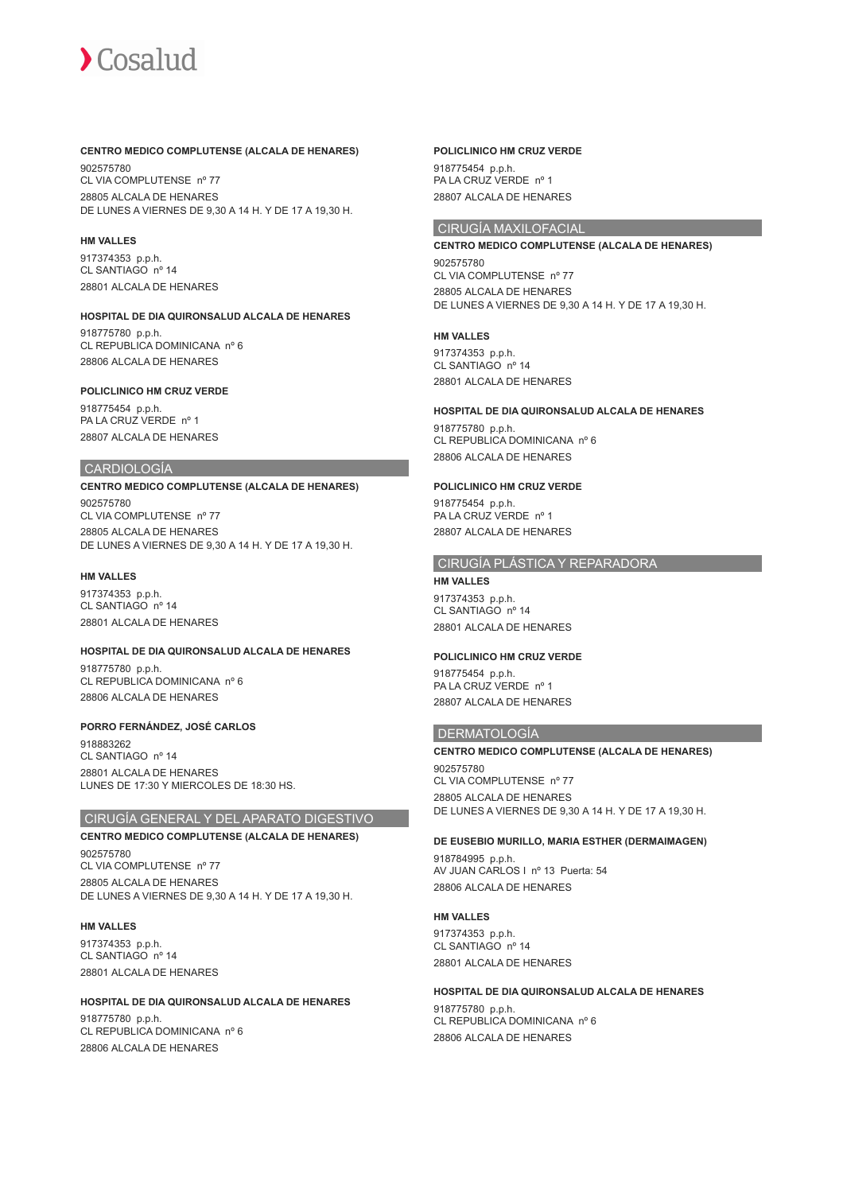## **CENTRO MEDICO COMPLUTENSE (ALCALA DE HENARES)**

902575780 CL VIA COMPLUTENSE nº 77 28805 ALCALA DE HENARES DE LUNES A VIERNES DE 9,30 A 14 H. Y DE 17 A 19,30 H.

#### **HM VALLES**

917374353 p.p.h. CL SANTIAGO nº 14 28801 ALCALA DE HENARES

#### **HOSPITAL DE DIA QUIRONSALUD ALCALA DE HENARES**

918775780 p.p.h. CL REPUBLICA DOMINICANA nº 6 28806 ALCALA DE HENARES

#### **POLICLINICO HM CRUZ VERDE**

918775454 p.p.h. PA LA CRUZ VERDE nº 1 28807 ALCALA DE HENARES

#### CARDIOLOGÍA

**CENTRO MEDICO COMPLUTENSE (ALCALA DE HENARES)** 902575780 CL VIA COMPLUTENSE nº 77 28805 ALCALA DE HENARES DE LUNES A VIERNES DE 9,30 A 14 H. Y DE 17 A 19,30 H.

#### **HM VALLES**

917374353 p.p.h. CL SANTIAGO nº 14 28801 ALCALA DE HENARES

#### **HOSPITAL DE DIA QUIRONSALUD ALCALA DE HENARES**

918775780 p.p.h. CL REPUBLICA DOMINICANA nº 6 28806 ALCALA DE HENARES

#### **PORRO FERNÁNDEZ, JOSÉ CARLOS**

918883262 CL SANTIAGO nº 14 28801 ALCALA DE HENARES LUNES DE 17:30 Y MIERCOLES DE 18:30 HS.

# CIRUGÍA GENERAL Y DEL APARATO DIGESTIVO

## **CENTRO MEDICO COMPLUTENSE (ALCALA DE HENARES)**

902575780 CL VIA COMPLUTENSE nº 77 28805 ALCALA DE HENARES DE LUNES A VIERNES DE 9,30 A 14 H. Y DE 17 A 19,30 H.

#### **HM VALLES**

917374353 p.p.h. CL SANTIAGO nº 14 28801 ALCALA DE HENARES

# **HOSPITAL DE DIA QUIRONSALUD ALCALA DE HENARES**

918775780 p.p.h. CL REPUBLICA DOMINICANA nº 6 28806 ALCALA DE HENARES

#### **POLICLINICO HM CRUZ VERDE**

918775454 p.p.h. PA LA CRUZ VERDE nº 1 28807 ALCALA DE HENARES

# CIRUGÍA MAXILOFACIAL

**CENTRO MEDICO COMPLUTENSE (ALCALA DE HENARES)** 902575780 CL VIA COMPLUTENSE nº 77 28805 ALCALA DE HENARES DE LUNES A VIERNES DE 9,30 A 14 H. Y DE 17 A 19,30 H.

#### **HM VALLES**

917374353 p.p.h. CL SANTIAGO nº 14 28801 ALCALA DE HENARES

#### **HOSPITAL DE DIA QUIRONSALUD ALCALA DE HENARES**

918775780 p.p.h. CL REPUBLICA DOMINICANA nº 6 28806 ALCALA DE HENARES

#### **POLICLINICO HM CRUZ VERDE**

918775454 p.p.h. PA LA CRUZ VERDE nº 1 28807 ALCALA DE HENARES

# CIRUGÍA PLÁSTICA Y REPARADORA

# **HM VALLES**

917374353 p.p.h. CL SANTIAGO nº 14 28801 ALCALA DE HENARES

#### **POLICLINICO HM CRUZ VERDE**

918775454 p.p.h. PA LA CRUZ VERDE nº 1 28807 ALCALA DE HENARES

#### DERMATOLOGÍA

# **CENTRO MEDICO COMPLUTENSE (ALCALA DE HENARES)** 902575780

CL VIA COMPLUTENSE nº 77 28805 ALCALA DE HENARES DE LUNES A VIERNES DE 9,30 A 14 H. Y DE 17 A 19,30 H.

# **DE EUSEBIO MURILLO, MARIA ESTHER (DERMAIMAGEN)**

918784995 p.p.h. AV JUAN CARLOS I nº 13 Puerta: 54 28806 ALCALA DE HENARES

#### **HM VALLES**

917374353 p.p.h. CL SANTIAGO nº 14 28801 ALCALA DE HENARES

## **HOSPITAL DE DIA QUIRONSALUD ALCALA DE HENARES**

918775780 p.p.h. CL REPUBLICA DOMINICANA nº 6 28806 ALCALA DE HENARES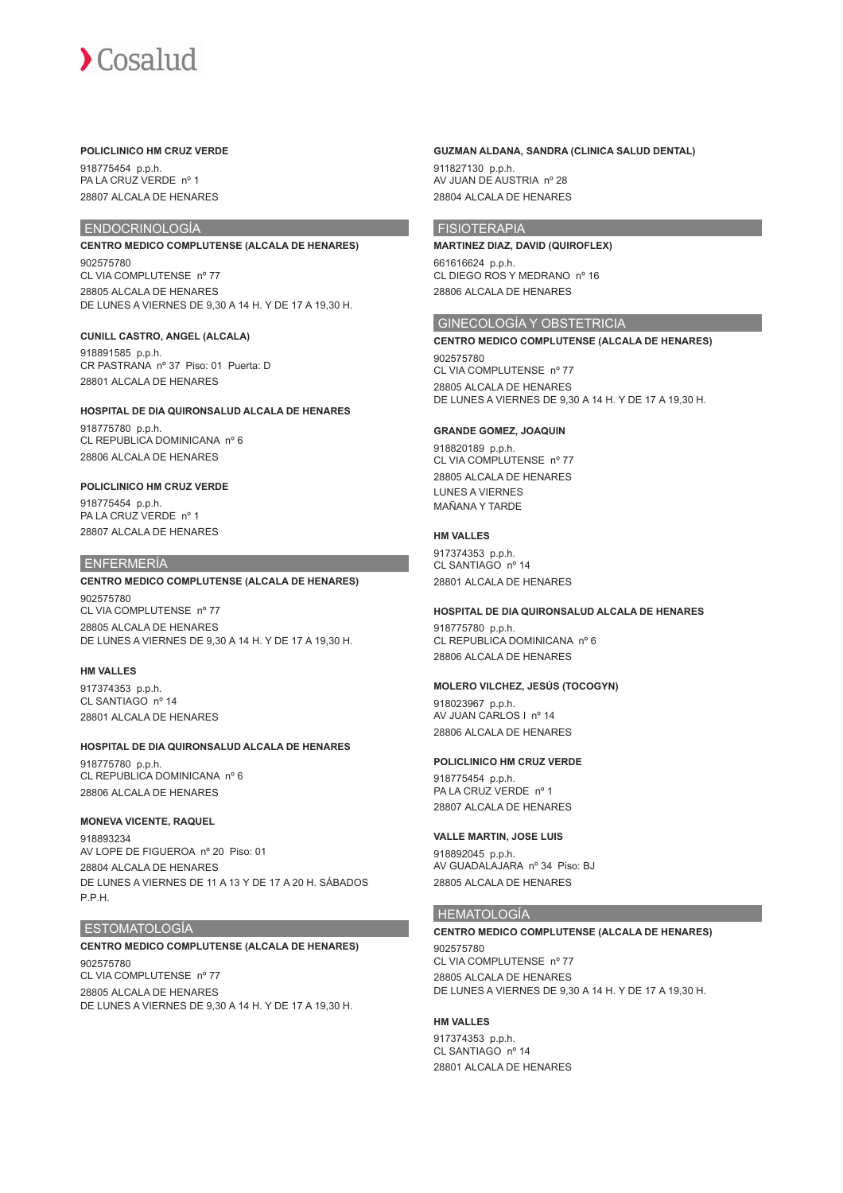#### **POLICLINICO HM CRUZ VERDE**

918775454 p.p.h. PA LA CRUZ VERDE nº 1 28807 ALCALA DE HENARES

# ENDOCRINOLOGÍA

**CENTRO MEDICO COMPLUTENSE (ALCALA DE HENARES)** 902575780 CL VIA COMPLUTENSE nº 77 28805 ALCALA DE HENARES

DE LUNES A VIERNES DE 9,30 A 14 H. Y DE 17 A 19,30 H.

#### **CUNILL CASTRO, ANGEL (ALCALA)**

918891585 p.p.h. CR PASTRANA nº 37 Piso: 01 Puerta: D 28801 ALCALA DE HENARES

# **HOSPITAL DE DIA QUIRONSALUD ALCALA DE HENARES**

918775780 p.p.h. CL REPUBLICA DOMINICANA nº 6 28806 ALCALA DE HENARES

#### **POLICLINICO HM CRUZ VERDE**

918775454 p.p.h. PA LA CRUZ VERDE nº 1 28807 ALCALA DE HENARES

#### ENFERMERÍA

# **CENTRO MEDICO COMPLUTENSE (ALCALA DE HENARES)**

902575780 CL VIA COMPLUTENSE nº 77 28805 ALCALA DE HENARES DE LUNES A VIERNES DE 9,30 A 14 H. Y DE 17 A 19,30 H.

#### **HM VALLES**

917374353 p.p.h. CL SANTIAGO nº 14 28801 ALCALA DE HENARES

# **HOSPITAL DE DIA QUIRONSALUD ALCALA DE HENARES**

918775780 p.p.h. CL REPUBLICA DOMINICANA nº 6 28806 ALCALA DE HENARES

#### **MONEVA VICENTE, RAQUEL**

918893234 AV LOPE DE FIGUEROA nº 20 Piso: 01 28804 ALCALA DE HENARES DE LUNES A VIERNES DE 11 A 13 Y DE 17 A 20 H. SÁBADOS P.P.H.

## ESTOMATOLOGÍA

# **CENTRO MEDICO COMPLUTENSE (ALCALA DE HENARES)**

902575780 CL VIA COMPLUTENSE nº 77 28805 ALCALA DE HENARES DE LUNES A VIERNES DE 9,30 A 14 H. Y DE 17 A 19,30 H.

#### **GUZMAN ALDANA, SANDRA (CLINICA SALUD DENTAL)**

911827130 p.p.h. AV JUAN DE AUSTRIA nº 28 28804 ALCALA DE HENARES

## FISIOTERAPIA

**MARTINEZ DIAZ, DAVID (QUIROFLEX)** 661616624 p.p.h. CL DIEGO ROS Y MEDRANO nº 16 28806 ALCALA DE HENARES

## GINECOLOGÍA Y OBSTETRICIA

**CENTRO MEDICO COMPLUTENSE (ALCALA DE HENARES)** 902575780 CL VIA COMPLUTENSE nº 77 28805 ALCALA DE HENARES DE LUNES A VIERNES DE 9,30 A 14 H. Y DE 17 A 19,30 H.

## **GRANDE GOMEZ, JOAQUIN**

918820189 p.p.h. CL VIA COMPLUTENSE nº 77 28805 ALCALA DE HENARES LUNES A VIERNES MAÑANA Y TARDE

#### **HM VALLES**

917374353 p.p.h. CL SANTIAGO nº 14 28801 ALCALA DE HENARES

#### **HOSPITAL DE DIA QUIRONSALUD ALCALA DE HENARES**

918775780 p.p.h. CL REPUBLICA DOMINICANA nº 6 28806 ALCALA DE HENARES

#### **MOLERO VILCHEZ, JESÚS (TOCOGYN)**

918023967 p.p.h. AV JUAN CARLOS I nº 14 28806 ALCALA DE HENARES

#### **POLICLINICO HM CRUZ VERDE**

918775454 p.p.h. PA LA CRUZ VERDE nº 1 28807 ALCALA DE HENARES

#### **VALLE MARTIN, JOSE LUIS**

918892045 p.p.h. AV GUADALAJARA nº 34 Piso: BJ 28805 ALCALA DE HENARES

# HEMATOLOGÍA

#### **CENTRO MEDICO COMPLUTENSE (ALCALA DE HENARES)**

902575780 CL VIA COMPLUTENSE nº 77 28805 ALCALA DE HENARES DE LUNES A VIERNES DE 9,30 A 14 H. Y DE 17 A 19,30 H.

#### **HM VALLES**

917374353 p.p.h. CL SANTIAGO nº 14 28801 ALCALA DE HENARES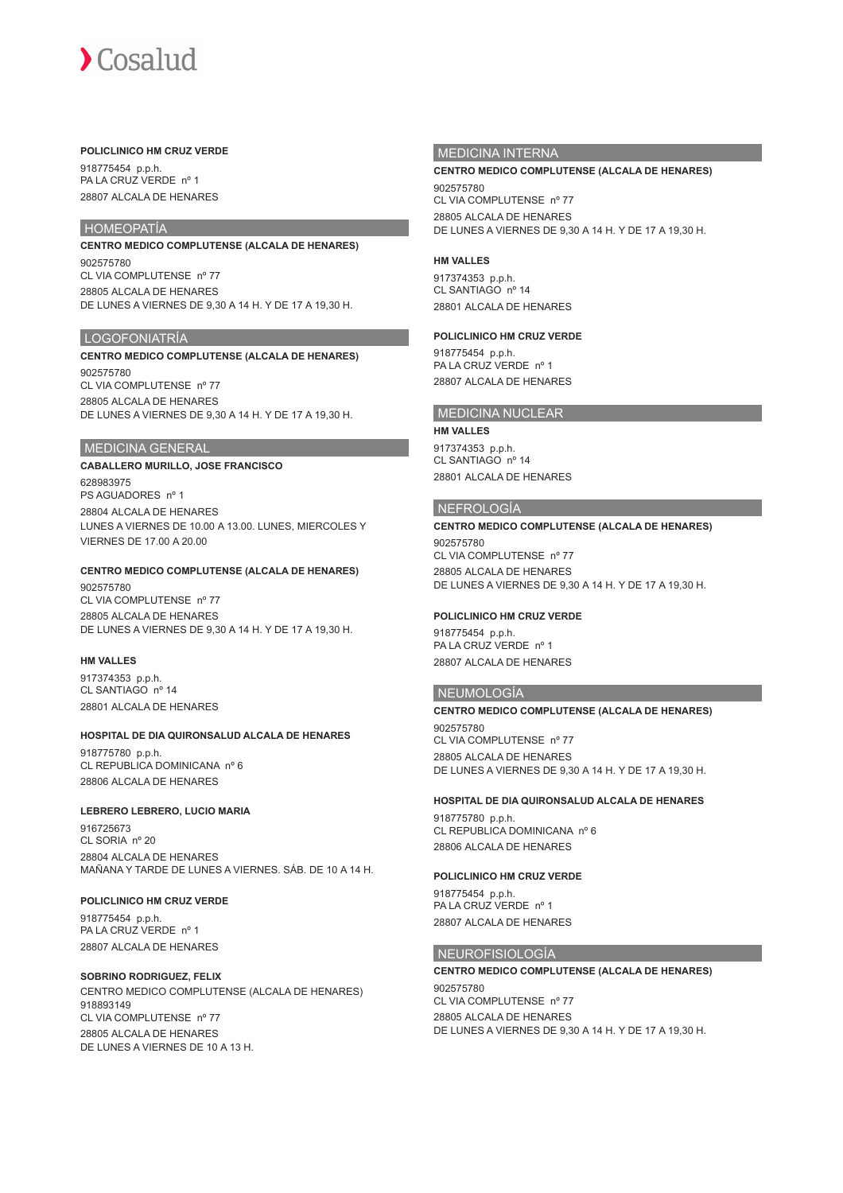#### **POLICLINICO HM CRUZ VERDE**

918775454 p.p.h. PA LA CRUZ VERDE nº 1 28807 ALCALA DE HENARES

# HOMEOPATÍA

**CENTRO MEDICO COMPLUTENSE (ALCALA DE HENARES)** 902575780 CL VIA COMPLUTENSE nº 77 28805 ALCALA DE HENARES DE LUNES A VIERNES DE 9,30 A 14 H. Y DE 17 A 19,30 H.

#### LOGOFONIATRÍA

# **CENTRO MEDICO COMPLUTENSE (ALCALA DE HENARES)**

902575780 CL VIA COMPLUTENSE nº 77 28805 ALCALA DE HENARES DE LUNES A VIERNES DE 9,30 A 14 H. Y DE 17 A 19,30 H.

#### MEDICINA GENERAL

# **CABALLERO MURILLO, JOSE FRANCISCO** 628983975

PS AGUADORES nº 1 28804 ALCALA DE HENARES LUNES A VIERNES DE 10.00 A 13.00. LUNES, MIERCOLES Y VIERNES DE 17.00 A 20.00

# **CENTRO MEDICO COMPLUTENSE (ALCALA DE HENARES)**

902575780 CL VIA COMPLUTENSE nº 77 28805 ALCALA DE HENARES DE LUNES A VIERNES DE 9,30 A 14 H. Y DE 17 A 19,30 H.

#### **HM VALLES**

917374353 p.p.h. CL SANTIAGO nº 14 28801 ALCALA DE HENARES

#### **HOSPITAL DE DIA QUIRONSALUD ALCALA DE HENARES**

918775780 p.p.h. CL REPUBLICA DOMINICANA nº 6 28806 ALCALA DE HENARES

#### **LEBRERO LEBRERO, LUCIO MARIA**

916725673 CL SORIA nº 20 28804 ALCALA DE HENARES MAÑANA Y TARDE DE LUNES A VIERNES. SÁB. DE 10 A 14 H.

#### **POLICLINICO HM CRUZ VERDE**

918775454 p.p.h. PA LA CRUZ VERDE nº 1 28807 ALCALA DE HENARES

#### **SOBRINO RODRIGUEZ, FELIX**

CENTRO MEDICO COMPLUTENSE (ALCALA DE HENARES) 918893149 CL VIA COMPLUTENSE nº 77 28805 ALCALA DE HENARES DE LUNES A VIERNES DE 10 A 13 H.

# MEDICINA INTERNA

#### **CENTRO MEDICO COMPLUTENSE (ALCALA DE HENARES)**

902575780 CL VIA COMPLUTENSE nº 77 28805 ALCALA DE HENARES DE LUNES A VIERNES DE 9,30 A 14 H. Y DE 17 A 19,30 H.

#### **HM VALLES**

917374353 p.p.h. CL SANTIAGO nº 14 28801 ALCALA DE HENARES

#### **POLICLINICO HM CRUZ VERDE**

918775454 p.p.h. PA LA CRUZ VERDE nº 1 28807 ALCALA DE HENARES

## MEDICINA NUCLEAR

**HM VALLES** 917374353 p.p.h.

CL SANTIAGO nº 14 28801 ALCALA DE HENARES

#### NEFROLOGÍA

# **CENTRO MEDICO COMPLUTENSE (ALCALA DE HENARES)**

902575780 CL VIA COMPLUTENSE nº 77 28805 ALCALA DE HENARES DE LUNES A VIERNES DE 9,30 A 14 H. Y DE 17 A 19,30 H.

#### **POLICLINICO HM CRUZ VERDE**

918775454 p.p.h. PA LA CRUZ VERDE nº 1 28807 ALCALA DE HENARES

#### NEUMOLOGÍA

**CENTRO MEDICO COMPLUTENSE (ALCALA DE HENARES)** 902575780 CL VIA COMPLUTENSE nº 77 28805 ALCALA DE HENARES DE LUNES A VIERNES DE 9,30 A 14 H. Y DE 17 A 19,30 H.

#### **HOSPITAL DE DIA QUIRONSALUD ALCALA DE HENARES**

918775780 p.p.h. CL REPUBLICA DOMINICANA nº 6 28806 ALCALA DE HENARES

#### **POLICLINICO HM CRUZ VERDE**

918775454 p.p.h. PA LA CRUZ VERDE nº 1 28807 ALCALA DE HENARES

#### NEUROFISIOLOGÍA

### **CENTRO MEDICO COMPLUTENSE (ALCALA DE HENARES)** 902575780 CL VIA COMPLUTENSE nº 77 28805 ALCALA DE HENARES DE LUNES A VIERNES DE 9,30 A 14 H. Y DE 17 A 19,30 H.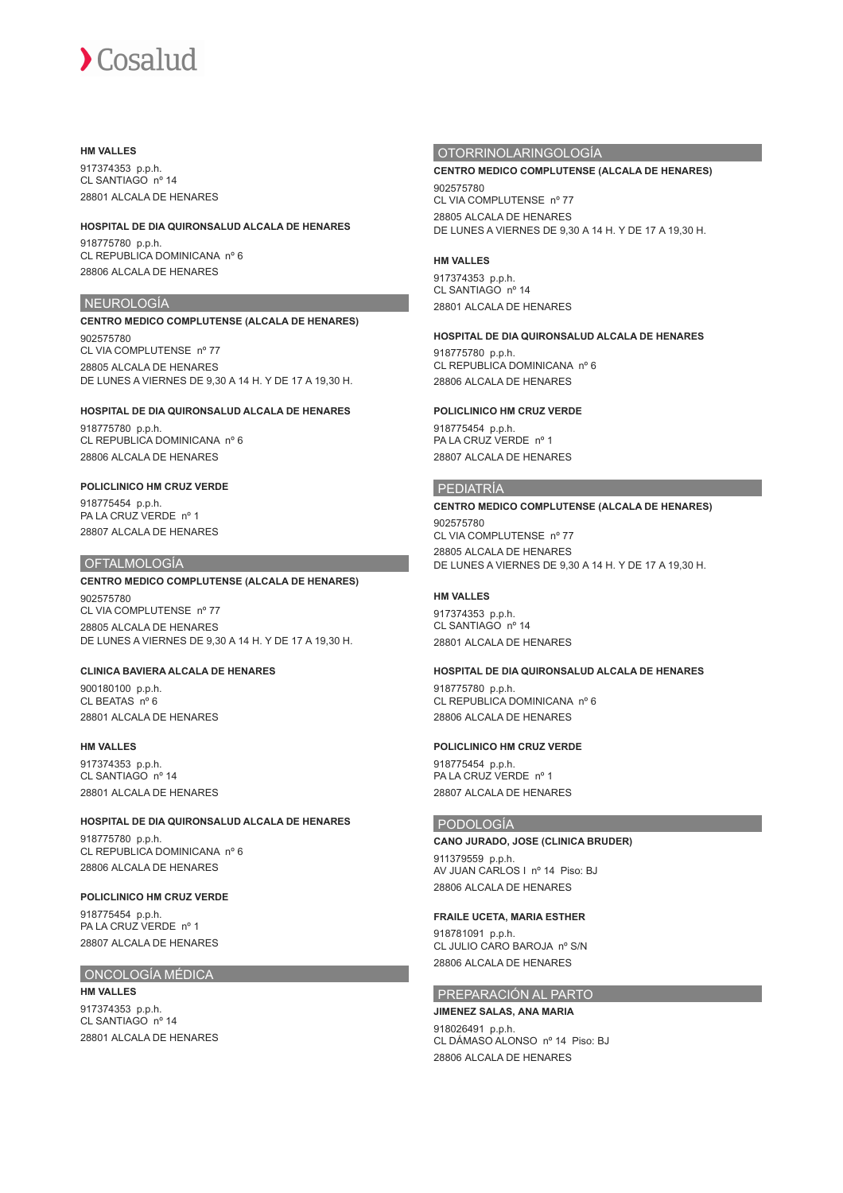#### **HM VALLES**

917374353 p.p.h. CL SANTIAGO nº 14 28801 ALCALA DE HENARES

#### **HOSPITAL DE DIA QUIRONSALUD ALCALA DE HENARES**

918775780 p.p.h. CL REPUBLICA DOMINICANA nº 6 28806 ALCALA DE HENARES

# NEUROLOGÍA

### **CENTRO MEDICO COMPLUTENSE (ALCALA DE HENARES)** 902575780 CL VIA COMPLUTENSE nº 77 28805 ALCALA DE HENARES DE LUNES A VIERNES DE 9,30 A 14 H. Y DE 17 A 19,30 H.

#### **HOSPITAL DE DIA QUIRONSALUD ALCALA DE HENARES**

918775780 p.p.h. CL REPUBLICA DOMINICANA nº 6 28806 ALCALA DE HENARES

### **POLICLINICO HM CRUZ VERDE**

918775454 p.p.h. PA LA CRUZ VERDE nº 1 28807 ALCALA DE HENARES

### OFTALMOLOGÍA

# **CENTRO MEDICO COMPLUTENSE (ALCALA DE HENARES)**

902575780 CL VIA COMPLUTENSE nº 77 28805 ALCALA DE HENARES DE LUNES A VIERNES DE 9,30 A 14 H. Y DE 17 A 19,30 H.

#### **CLINICA BAVIERA ALCALA DE HENARES**

900180100 p.p.h. CL BEATAS nº 6 28801 ALCALA DE HENARES

# **HM VALLES**

917374353 p.p.h. CL SANTIAGO nº 14 28801 ALCALA DE HENARES

#### **HOSPITAL DE DIA QUIRONSALUD ALCALA DE HENARES**

918775780 p.p.h. CL REPUBLICA DOMINICANA nº 6 28806 ALCALA DE HENARES

# **POLICLINICO HM CRUZ VERDE**

918775454 p.p.h. PA LA CRUZ VERDE nº 1 28807 ALCALA DE HENARES

# ONCOLOGÍA MÉDICA

**HM VALLES** 917374353 p.p.h. CL SANTIAGO nº 14 28801 ALCALA DE HENARES

# OTORRINOLARINGOLOGÍA

# **CENTRO MEDICO COMPLUTENSE (ALCALA DE HENARES)**

902575780 CL VIA COMPLUTENSE nº 77 28805 ALCALA DE HENARES DE LUNES A VIERNES DE 9,30 A 14 H. Y DE 17 A 19,30 H.

## **HM VALLES**

917374353 p.p.h. CL SANTIAGO nº 14 28801 ALCALA DE HENARES

### **HOSPITAL DE DIA QUIRONSALUD ALCALA DE HENARES**

918775780 p.p.h. CL REPUBLICA DOMINICANA nº 6 28806 ALCALA DE HENARES

### **POLICLINICO HM CRUZ VERDE**

918775454 p.p.h. PA LA CRUZ VERDE nº 1 28807 ALCALA DE HENARES

### PEDIATRÍA

**CENTRO MEDICO COMPLUTENSE (ALCALA DE HENARES)** 902575780 CL VIA COMPLUTENSE nº 77 28805 ALCALA DE HENARES DE LUNES A VIERNES DE 9,30 A 14 H. Y DE 17 A 19,30 H.

## **HM VALLES**

917374353 p.p.h. CL SANTIAGO nº 14 28801 ALCALA DE HENARES

#### **HOSPITAL DE DIA QUIRONSALUD ALCALA DE HENARES**

918775780 p.p.h. CL REPUBLICA DOMINICANA nº 6 28806 ALCALA DE HENARES

# **POLICLINICO HM CRUZ VERDE**

918775454 p.p.h. PA LA CRUZ VERDE nº 1 28807 ALCALA DE HENARES

# PODOLOGÍA

**CANO JURADO, JOSE (CLINICA BRUDER)** 911379559 p.p.h. AV JUAN CARLOS I nº 14 Piso: BJ 28806 ALCALA DE HENARES

# **FRAILE UCETA, MARIA ESTHER**

918781091 p.p.h. CL JULIO CARO BAROJA nº S/N 28806 ALCALA DE HENARES

### PREPARACIÓN AL PARTO

### **JIMENEZ SALAS, ANA MARIA**

918026491 p.p.h. CL DÁMASO ALONSO nº 14 Piso: BJ 28806 ALCALA DE HENARES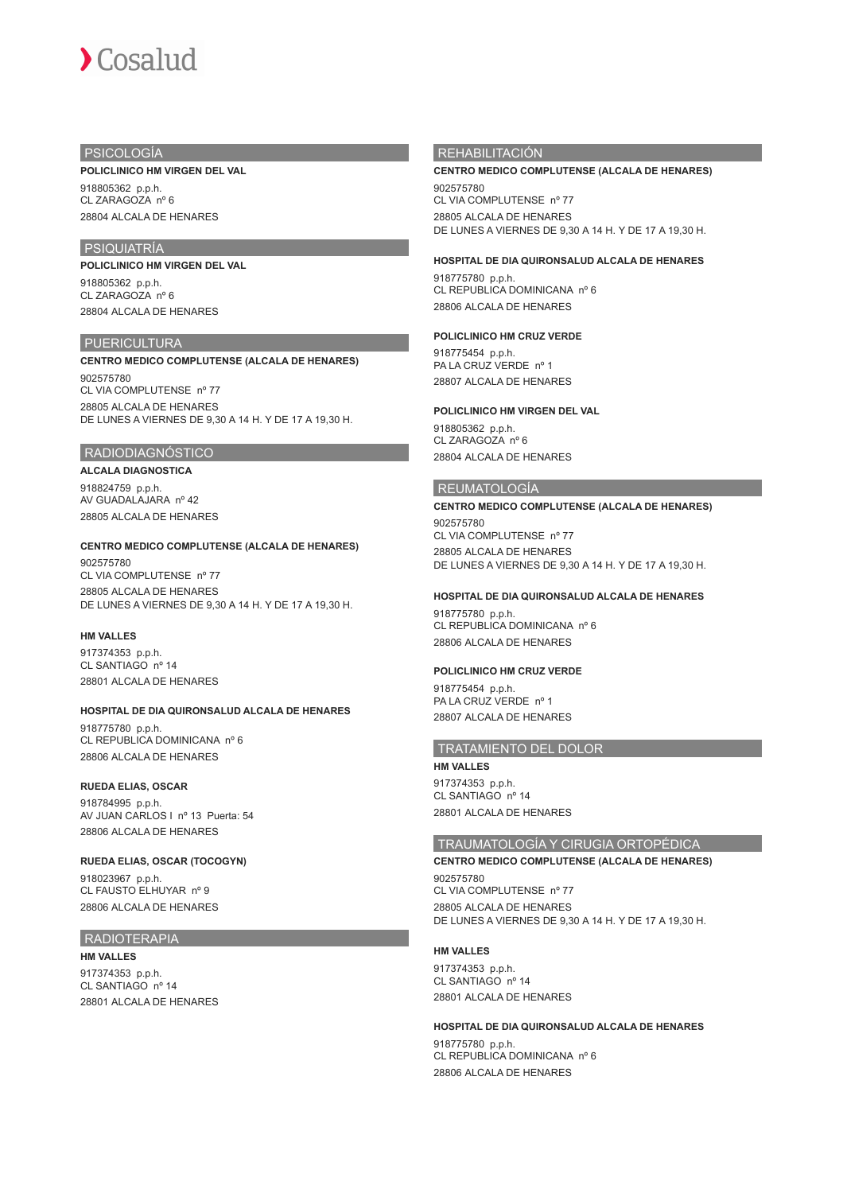

## PSICOLOGÍA

#### **POLICLINICO HM VIRGEN DEL VAL**

918805362 p.p.h. CL ZARAGOZA nº 6 28804 ALCALA DE HENARES

# PSIQUIATRÍA

**POLICLINICO HM VIRGEN DEL VAL**

918805362 p.p.h. CL ZARAGOZA nº 6 28804 ALCALA DE HENARES

# **PUERICULTURA**

**CENTRO MEDICO COMPLUTENSE (ALCALA DE HENARES)** 902575780 CL VIA COMPLUTENSE nº 77 28805 ALCALA DE HENARES DE LUNES A VIERNES DE 9,30 A 14 H. Y DE 17 A 19,30 H.

#### RADIODIAGNÓSTICO

**ALCALA DIAGNOSTICA** 918824759 p.p.h. AV GUADALAJARA nº 42 28805 ALCALA DE HENARES

#### **CENTRO MEDICO COMPLUTENSE (ALCALA DE HENARES)**

902575780 CL VIA COMPLUTENSE nº 77 28805 ALCALA DE HENARES DE LUNES A VIERNES DE 9,30 A 14 H. Y DE 17 A 19,30 H.

#### **HM VALLES**

917374353 p.p.h. CL SANTIAGO nº 14 28801 ALCALA DE HENARES

#### **HOSPITAL DE DIA QUIRONSALUD ALCALA DE HENARES**

918775780 p.p.h. CL REPUBLICA DOMINICANA nº 6 28806 ALCALA DE HENARES

#### **RUEDA ELIAS, OSCAR**

918784995 p.p.h. AV JUAN CARLOS I nº 13 Puerta: 54 28806 ALCALA DE HENARES

#### **RUEDA ELIAS, OSCAR (TOCOGYN)**

918023967 p.p.h. CL FAUSTO ELHUYAR nº 9 28806 ALCALA DE HENARES

# RADIOTERAPIA

**HM VALLES**

917374353 p.p.h. CL SANTIAGO nº 14 28801 ALCALA DE HENARES

# **REHABILITACIÓN**

#### **CENTRO MEDICO COMPLUTENSE (ALCALA DE HENARES)**

902575780 CL VIA COMPLUTENSE nº 77 28805 ALCALA DE HENARES DE LUNES A VIERNES DE 9,30 A 14 H. Y DE 17 A 19,30 H.

#### **HOSPITAL DE DIA QUIRONSALUD ALCALA DE HENARES**

918775780 p.p.h. CL REPUBLICA DOMINICANA nº 6 28806 ALCALA DE HENARES

#### **POLICLINICO HM CRUZ VERDE**

918775454 p.p.h. PA LA CRUZ VERDE nº 1 28807 ALCALA DE HENARES

#### **POLICLINICO HM VIRGEN DEL VAL**

918805362 p.p.h. CL ZARAGOZA nº 6 28804 ALCALA DE HENARES

#### REUMATOLOGÍA

**CENTRO MEDICO COMPLUTENSE (ALCALA DE HENARES)** 902575780 CL VIA COMPLUTENSE nº 77 28805 ALCALA DE HENARES DE LUNES A VIERNES DE 9,30 A 14 H. Y DE 17 A 19,30 H.

# **HOSPITAL DE DIA QUIRONSALUD ALCALA DE HENARES** 918775780 p.p.h.

CL REPUBLICA DOMINICANA nº 6 28806 ALCALA DE HENARES

#### **POLICLINICO HM CRUZ VERDE**

918775454 p.p.h. PA LA CRUZ VERDE nº 1 28807 ALCALA DE HENARES

#### TRATAMIENTO DEL DOLOR

**HM VALLES** 917374353 p.p.h. CL SANTIAGO nº 14 28801 ALCALA DE HENARES

## TRAUMATOLOGÍA Y CIRUGIA ORTOPÉDICA

**CENTRO MEDICO COMPLUTENSE (ALCALA DE HENARES)** 902575780 CL VIA COMPLUTENSE nº 77 28805 ALCALA DE HENARES DE LUNES A VIERNES DE 9,30 A 14 H. Y DE 17 A 19,30 H.

#### **HM VALLES**

917374353 p.p.h. CL SANTIAGO nº 14 28801 ALCALA DE HENARES

#### **HOSPITAL DE DIA QUIRONSALUD ALCALA DE HENARES**

918775780 p.p.h. CL REPUBLICA DOMINICANA nº 6 28806 ALCALA DE HENARES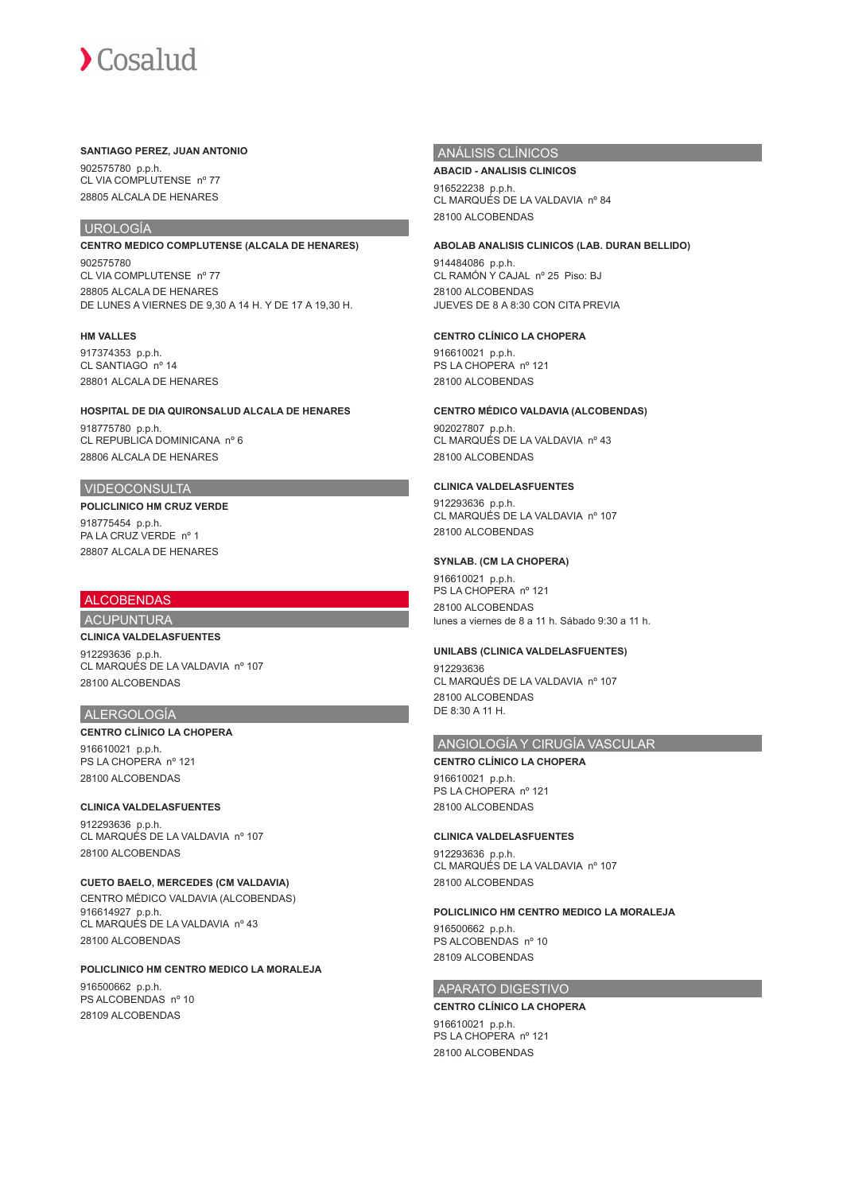#### **SANTIAGO PEREZ, JUAN ANTONIO**

902575780 p.p.h. CL VIA COMPLUTENSE nº 77 28805 ALCALA DE HENARES

# UROLOGÍA

**CENTRO MEDICO COMPLUTENSE (ALCALA DE HENARES)** 902575780 CL VIA COMPLUTENSE nº 77 28805 ALCALA DE HENARES DE LUNES A VIERNES DE 9,30 A 14 H. Y DE 17 A 19,30 H.

#### **HM VALLES**

917374353 p.p.h. CL SANTIAGO nº 14 28801 ALCALA DE HENARES

**HOSPITAL DE DIA QUIRONSALUD ALCALA DE HENARES** 918775780 p.p.h. CL REPUBLICA DOMINICANA nº 6 28806 ALCALA DE HENARES

## VIDEOCONSULTA

**POLICLINICO HM CRUZ VERDE** 918775454 p.p.h. PA LA CRUZ VERDE nº 1 28807 ALCALA DE HENARES

# ALCOBENDAS

# ACUPUNTURA **CLINICA VALDELASFUENTES**

912293636 p.p.h. CL MARQUÉS DE LA VALDAVIA nº 107 28100 ALCOBENDAS

# ALERGOLOGÍA

#### **CENTRO CLÍNICO LA CHOPERA** 916610021 p.p.h. PS LA CHOPERA nº 121 28100 ALCOBENDAS

# **CLINICA VALDELASFUENTES**

912293636 p.p.h. CL MARQUÉS DE LA VALDAVIA nº 107 28100 ALCOBENDAS

**CUETO BAELO, MERCEDES (CM VALDAVIA)** CENTRO MÉDICO VALDAVIA (ALCOBENDAS) 916614927 p.p.h. CL MARQUÉS DE LA VALDAVIA nº 43 28100 ALCOBENDAS

**POLICLINICO HM CENTRO MEDICO LA MORALEJA** 916500662 p.p.h. PS ALCOBENDAS nº 10 28109 ALCOBENDAS

## ANÁLISIS CLÍNICOS

# **ABACID - ANALISIS CLINICOS** 916522238 p.p.h. CL MARQUÉS DE LA VALDAVIA nº 84

28100 ALCOBENDAS

## **ABOLAB ANALISIS CLINICOS (LAB. DURAN BELLIDO)**

914484086 p.p.h. CL RAMÓN Y CAJAL nº 25 Piso: BJ 28100 ALCOBENDAS JUEVES DE 8 A 8:30 CON CITA PREVIA

### **CENTRO CLÍNICO LA CHOPERA**

916610021 p.p.h. PS LA CHOPERA nº 121 28100 ALCOBENDAS

### **CENTRO MÉDICO VALDAVIA (ALCOBENDAS)**

902027807 p.p.h. CL MARQUÉS DE LA VALDAVIA nº 43 28100 ALCOBENDAS

#### **CLINICA VALDELASFUENTES**

912293636 p.p.h. CL MARQUÉS DE LA VALDAVIA nº 107 28100 ALCOBENDAS

### **SYNLAB. (CM LA CHOPERA)**

916610021 p.p.h. PS LA CHOPERA nº 121 28100 ALCOBENDAS lunes a viernes de 8 a 11 h. Sábado 9:30 a 11 h.

#### **UNILABS (CLINICA VALDELASFUENTES)**

912293636 CL MARQUÉS DE LA VALDAVIA nº 107 28100 ALCOBENDAS DE 8:30 A 11 H.

#### ANGIOLOGÍA Y CIRUGÍA VASCULAR

**CENTRO CLÍNICO LA CHOPERA** 916610021 p.p.h. PS LA CHOPERA nº 121 28100 ALCOBENDAS

#### **CLINICA VALDELASFUENTES**

912293636 p.p.h. CL MARQUÉS DE LA VALDAVIA nº 107 28100 ALCOBENDAS

# **POLICLINICO HM CENTRO MEDICO LA MORALEJA**

916500662 p.p.h. PS ALCOBENDAS nº 10 28109 ALCOBENDAS

# APARATO DIGESTIVO

# **CENTRO CLÍNICO LA CHOPERA**

916610021 p.p.h. PS LA CHOPERA nº 121 28100 ALCOBENDAS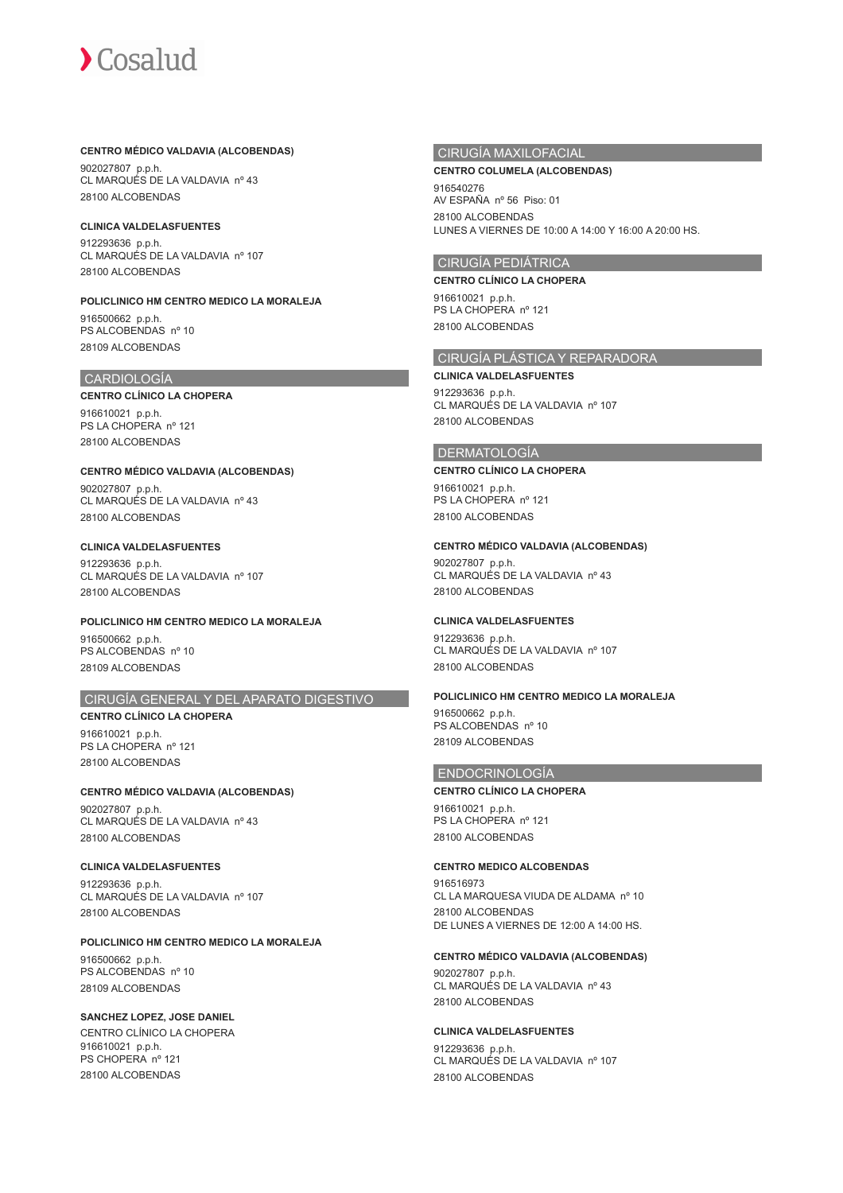### **CENTRO MÉDICO VALDAVIA (ALCOBENDAS)**

902027807 p.p.h. CL MARQUÉS DE LA VALDAVIA nº 43 28100 ALCOBENDAS

#### **CLINICA VALDELASFUENTES**

912293636 p.p.h. CL MARQUÉS DE LA VALDAVIA nº 107 28100 ALCOBENDAS

**POLICLINICO HM CENTRO MEDICO LA MORALEJA** 916500662 p.p.h. PS ALCOBENDAS nº 10 28109 ALCOBENDAS

# CARDIOLOGÍA

#### **CENTRO CLÍNICO LA CHOPERA** 916610021 p.p.h. PS LA CHOPERA nº 121 28100 ALCOBENDAS

**CENTRO MÉDICO VALDAVIA (ALCOBENDAS)** 902027807 p.p.h. CL MARQUÉS DE LA VALDAVIA nº 43

28100 ALCOBENDAS

# **CLINICA VALDELASFUENTES** 912293636 p.p.h. CL MARQUÉS DE LA VALDAVIA nº 107

28100 ALCOBENDAS

**POLICLINICO HM CENTRO MEDICO LA MORALEJA** 916500662 p.p.h. PS ALCOBENDAS nº 10 28109 ALCOBENDAS

# CIRUGÍA GENERAL Y DEL APARATO DIGESTIVO

**CENTRO CLÍNICO LA CHOPERA** 916610021 p.p.h. PS LA CHOPERA nº 121 28100 ALCOBENDAS

**CENTRO MÉDICO VALDAVIA (ALCOBENDAS)** 902027807 p.p.h. CL MARQUÉS DE LA VALDAVIA nº 43 28100 ALCOBENDAS

## **CLINICA VALDELASFUENTES** 912293636 p.p.h.

CL MARQUÉS DE LA VALDAVIA nº 107 28100 ALCOBENDAS

**POLICLINICO HM CENTRO MEDICO LA MORALEJA** 916500662 p.p.h. PS ALCOBENDAS nº 10 28109 ALCOBENDAS

**SANCHEZ LOPEZ, JOSE DANIEL** CENTRO CLÍNICO LA CHOPERA 916610021 p.p.h. PS CHOPERA nº 121 28100 ALCOBENDAS

# CIRUGÍA MAXILOFACIAL

#### **CENTRO COLUMELA (ALCOBENDAS)**

916540276 AV ESPAÑA nº 56 Piso: 01 28100 ALCOBENDAS LUNES A VIERNES DE 10:00 A 14:00 Y 16:00 A 20:00 HS.

# CIRUGÍA PEDIÁTRICA

**CENTRO CLÍNICO LA CHOPERA**

916610021 p.p.h. PS LA CHOPERA nº 121 28100 ALCOBENDAS

## CIRUGÍA PLÁSTICA Y REPARADORA

**CLINICA VALDELASFUENTES** 912293636 p.p.h. CL MARQUÉS DE LA VALDAVIA nº 107 28100 ALCOBENDAS

# DERMATOLOGÍA

**CENTRO CLÍNICO LA CHOPERA** 916610021 p.p.h. PS LA CHOPERA nº 121

28100 ALCOBENDAS

# **CENTRO MÉDICO VALDAVIA (ALCOBENDAS)**

902027807 p.p.h. CL MARQUÉS DE LA VALDAVIA nº 43 28100 ALCOBENDAS

# **CLINICA VALDELASFUENTES**

912293636 p.p.h. CL MARQUÉS DE LA VALDAVIA nº 107 28100 ALCOBENDAS

# **POLICLINICO HM CENTRO MEDICO LA MORALEJA**

916500662 p.p.h. PS ALCOBENDAS nº 10 28109 ALCOBENDAS

# ENDOCRINOLOGÍA

**CENTRO CLÍNICO LA CHOPERA** 916610021 p.p.h. PS LA CHOPERA nº 121 28100 ALCOBENDAS

# **CENTRO MEDICO ALCOBENDAS**

916516973 CL LA MARQUESA VIUDA DE ALDAMA nº 10 28100 ALCOBENDAS DE LUNES A VIERNES DE 12:00 A 14:00 HS.

#### **CENTRO MÉDICO VALDAVIA (ALCOBENDAS)**

902027807 p.p.h. CL MARQUÉS DE LA VALDAVIA nº 43 28100 ALCOBENDAS

### **CLINICA VALDELASFUENTES**

912293636 p.p.h. CL MARQUÉS DE LA VALDAVIA nº 107 28100 ALCOBENDAS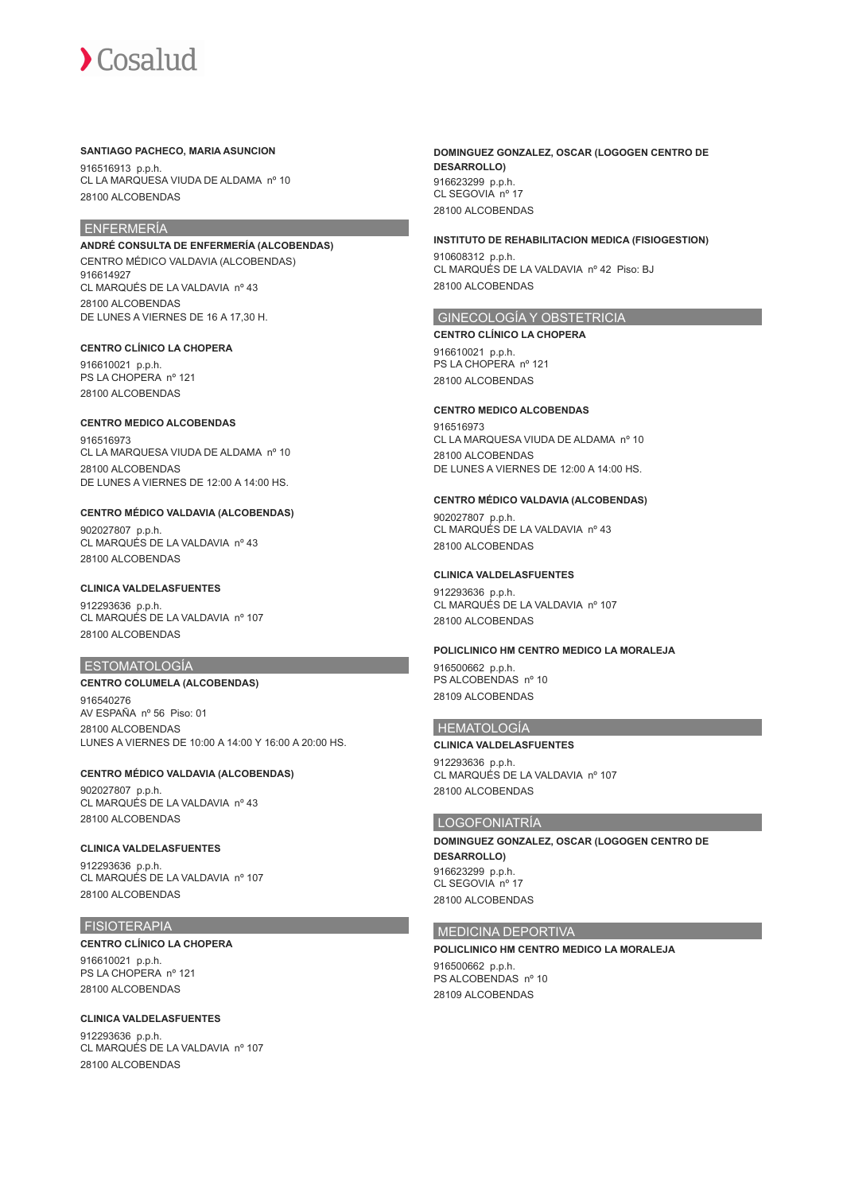#### **SANTIAGO PACHECO, MARIA ASUNCION**

916516913 p.p.h. CL LA MARQUESA VIUDA DE ALDAMA nº 10 28100 ALCOBENDAS

# ENFERMERÍA

**ANDRÉ CONSULTA DE ENFERMERÍA (ALCOBENDAS)** CENTRO MÉDICO VALDAVIA (ALCOBENDAS) 916614927 CL MARQUÉS DE LA VALDAVIA nº 43 28100 ALCOBENDAS DE LUNES A VIERNES DE 16 A 17,30 H.

## **CENTRO CLÍNICO LA CHOPERA**

916610021 p.p.h. PS LA CHOPERA nº 121 28100 ALCOBENDAS

#### **CENTRO MEDICO ALCOBENDAS**

916516973 CL LA MARQUESA VIUDA DE ALDAMA nº 10 28100 ALCOBENDAS DE LUNES A VIERNES DE 12:00 A 14:00 HS.

### **CENTRO MÉDICO VALDAVIA (ALCOBENDAS)**

902027807 p.p.h. CL MARQUÉS DE LA VALDAVIA nº 43 28100 ALCOBENDAS

#### **CLINICA VALDELASFUENTES**

912293636 p.p.h. CL MARQUÉS DE LA VALDAVIA nº 107 28100 ALCOBENDAS

# ESTOMATOLOGÍA

**CENTRO COLUMELA (ALCOBENDAS)** 916540276 AV ESPAÑA nº 56 Piso: 01 28100 ALCOBENDAS LUNES A VIERNES DE 10:00 A 14:00 Y 16:00 A 20:00 HS.

#### **CENTRO MÉDICO VALDAVIA (ALCOBENDAS)** 902027807 p.p.h. CL MARQUÉS DE LA VALDAVIA nº 43

28100 ALCOBENDAS

# **CLINICA VALDELASFUENTES**

912293636 p.p.h. CL MARQUÉS DE LA VALDAVIA nº 107 28100 ALCOBENDAS

# FISIOTERAPIA

**CENTRO CLÍNICO LA CHOPERA** 916610021 p.p.h. PS LA CHOPERA nº 121 28100 ALCOBENDAS

# **CLINICA VALDELASFUENTES**

912293636 p.p.h. CL MARQUÉS DE LA VALDAVIA nº 107 28100 ALCOBENDAS

#### **DOMINGUEZ GONZALEZ, OSCAR (LOGOGEN CENTRO DE DESARROLLO)** 916623299 p.p.h. CL SEGOVIA nº 17 28100 ALCOBENDAS

#### **INSTITUTO DE REHABILITACION MEDICA (FISIOGESTION)**

910608312 p.p.h. CL MARQUÉS DE LA VALDAVIA nº 42 Piso: BJ 28100 ALCOBENDAS

# GINECOLOGÍA Y OBSTETRICIA

**CENTRO CLÍNICO LA CHOPERA**

916610021 p.p.h. PS LA CHOPERA nº 121 28100 ALCOBENDAS

## **CENTRO MEDICO ALCOBENDAS**

916516973 CL LA MARQUESA VIUDA DE ALDAMA nº 10 28100 ALCOBENDAS DE LUNES A VIERNES DE 12:00 A 14:00 HS.

#### **CENTRO MÉDICO VALDAVIA (ALCOBENDAS)**

902027807 p.p.h. CL MARQUÉS DE LA VALDAVIA nº 43 28100 ALCOBENDAS

#### **CLINICA VALDELASFUENTES**

912293636 p.p.h. CL MARQUÉS DE LA VALDAVIA nº 107 28100 ALCOBENDAS

#### **POLICLINICO HM CENTRO MEDICO LA MORALEJA**

916500662 p.p.h. PS ALCOBENDAS nº 10 28109 ALCOBENDAS

#### HEMATOLOGÍA

**CLINICA VALDELASFUENTES** 912293636 p.p.h. CL MARQUÉS DE LA VALDAVIA nº 107 28100 ALCOBENDAS

#### LOGOFONIATRÍA

**DOMINGUEZ GONZALEZ, OSCAR (LOGOGEN CENTRO DE DESARROLLO)** 916623299 p.p.h. CL SEGOVIA nº 17 28100 ALCOBENDAS

#### MEDICINA DEPORTIVA

**POLICLINICO HM CENTRO MEDICO LA MORALEJA** 916500662 p.p.h. PS ALCOBENDAS nº 10 28109 ALCOBENDAS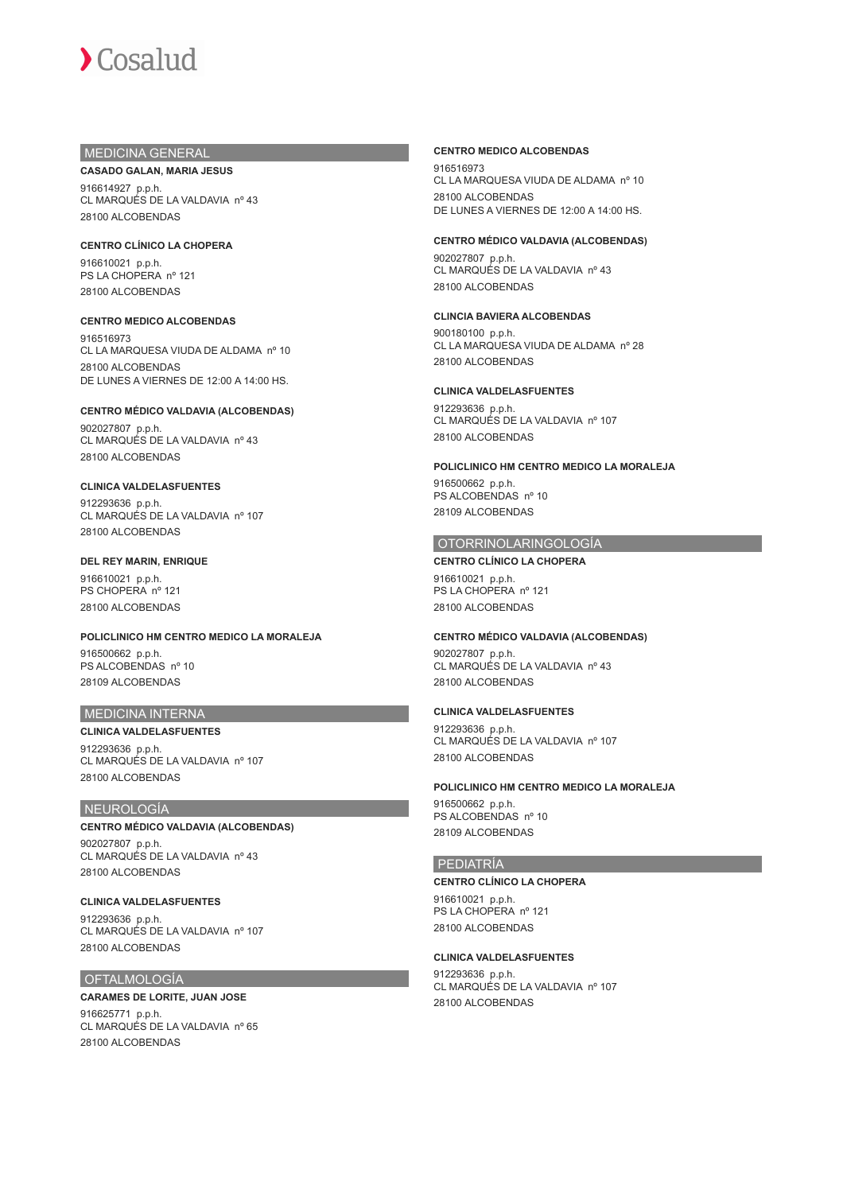# MEDICINA GENERAL

#### **CASADO GALAN, MARIA JESUS**

916614927 p.p.h. CL MARQUÉS DE LA VALDAVIA nº 43 28100 ALCOBENDAS

**CENTRO CLÍNICO LA CHOPERA** 916610021 p.p.h. PS LA CHOPERA nº 121 28100 ALCOBENDAS

#### **CENTRO MEDICO ALCOBENDAS**

916516973 CL LA MARQUESA VIUDA DE ALDAMA nº 10 28100 ALCOBENDAS DE LUNES A VIERNES DE 12:00 A 14:00 HS.

# **CENTRO MÉDICO VALDAVIA (ALCOBENDAS)**

902027807 p.p.h. CL MARQUÉS DE LA VALDAVIA nº 43 28100 ALCOBENDAS

#### **CLINICA VALDELASFUENTES**

912293636 p.p.h. CL MARQUÉS DE LA VALDAVIA nº 107 28100 ALCOBENDAS

#### **DEL REY MARIN, ENRIQUE**

916610021 p.p.h. PS CHOPERA nº 121 28100 ALCOBENDAS

**POLICLINICO HM CENTRO MEDICO LA MORALEJA** 916500662 p.p.h. PS ALCOBENDAS nº 10 28109 ALCOBENDAS

## MEDICINA INTERNA

**CLINICA VALDELASFUENTES** 912293636 p.p.h. CL MARQUÉS DE LA VALDAVIA nº 107 28100 ALCOBENDAS

### NEUROLOGÍA

#### **CENTRO MÉDICO VALDAVIA (ALCOBENDAS)**

902027807 p.p.h. CL MARQUÉS DE LA VALDAVIA nº 43 28100 ALCOBENDAS

#### **CLINICA VALDELASFUENTES**

912293636 p.p.h. CL MARQUÉS DE LA VALDAVIA nº 107 28100 ALCOBENDAS

#### OFTALMOLOGÍA

# **CARAMES DE LORITE, JUAN JOSE**

916625771 p.p.h. CL MARQUÉS DE LA VALDAVIA nº 65 28100 ALCOBENDAS

#### **CENTRO MEDICO ALCOBENDAS**

916516973 CL LA MARQUESA VIUDA DE ALDAMA nº 10 28100 ALCOBENDAS DE LUNES A VIERNES DE 12:00 A 14:00 HS.

#### **CENTRO MÉDICO VALDAVIA (ALCOBENDAS)**

902027807 p.p.h. CL MARQUÉS DE LA VALDAVIA nº 43 28100 ALCOBENDAS

## **CLINCIA BAVIERA ALCOBENDAS**

900180100 p.p.h. CL LA MARQUESA VIUDA DE ALDAMA nº 28 28100 ALCOBENDAS

#### **CLINICA VALDELASFUENTES**

912293636 p.p.h. CL MARQUÉS DE LA VALDAVIA nº 107 28100 ALCOBENDAS

#### **POLICLINICO HM CENTRO MEDICO LA MORALEJA**

916500662 p.p.h. PS ALCOBENDAS nº 10 28109 ALCOBENDAS

## OTORRINOLARINGOLOGÍA

**CENTRO CLÍNICO LA CHOPERA** 916610021 p.p.h. PS LA CHOPERA nº 121 28100 ALCOBENDAS

#### **CENTRO MÉDICO VALDAVIA (ALCOBENDAS)**

902027807 p.p.h. CL MARQUÉS DE LA VALDAVIA nº 43 28100 ALCOBENDAS

# **CLINICA VALDELASFUENTES**

912293636 p.p.h. CL MARQUÉS DE LA VALDAVIA nº 107 28100 ALCOBENDAS

# **POLICLINICO HM CENTRO MEDICO LA MORALEJA**

916500662 p.p.h. PS ALCOBENDAS nº 10 28109 ALCOBENDAS

# **PEDIATRÍA**

#### **CENTRO CLÍNICO LA CHOPERA**

916610021 p.p.h. PS LA CHOPERA nº 121 28100 ALCOBENDAS

#### **CLINICA VALDELASFUENTES**

912293636 p.p.h. CL MARQUÉS DE LA VALDAVIA nº 107 28100 ALCOBENDAS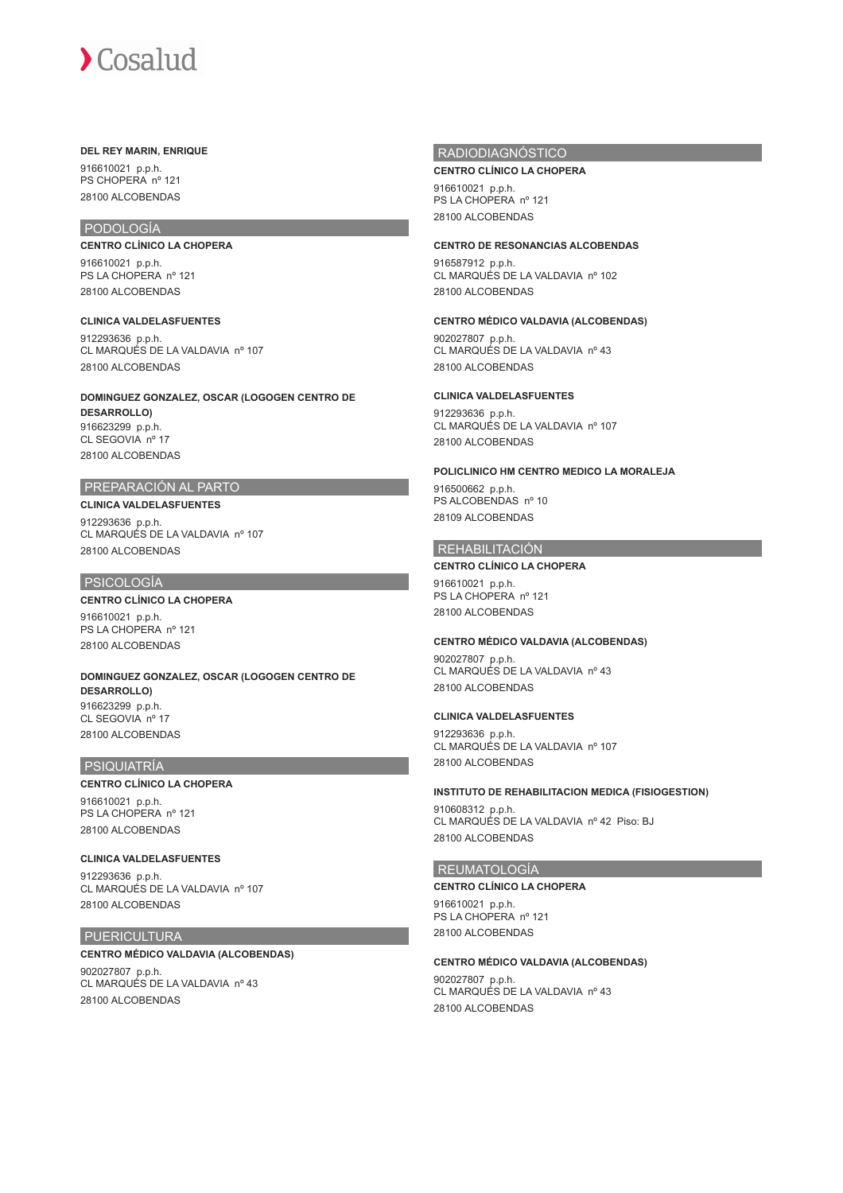#### **DEL REY MARIN, ENRIQUE**

916610021 p.p.h. PS CHOPERA nº 121 28100 ALCOBENDAS

# PODOLOGÍA

**CENTRO CLÍNICO LA CHOPERA** 916610021 p.p.h. PS LA CHOPERA nº 121 28100 ALCOBENDAS

**CLINICA VALDELASFUENTES** 912293636 p.p.h. CL MARQUÉS DE LA VALDAVIA nº 107 28100 ALCOBENDAS

**DOMINGUEZ GONZALEZ, OSCAR (LOGOGEN CENTRO DE DESARROLLO)** 916623299 p.p.h. CL SEGOVIA nº 17 28100 ALCOBENDAS

# PREPARACIÓN AL PARTO

# **CLINICA VALDELASFUENTES**

912293636 p.p.h. CL MARQUÉS DE LA VALDAVIA nº 107 28100 ALCOBENDAS

# PSICOLOGÍA

# **CENTRO CLÍNICO LA CHOPERA**

916610021 p.p.h. PS LA CHOPERA nº 121 28100 ALCOBENDAS

**DOMINGUEZ GONZALEZ, OSCAR (LOGOGEN CENTRO DE DESARROLLO)** 916623299 p.p.h. CL SEGOVIA nº 17 28100 ALCOBENDAS

# PSIQUIATRÍA

# **CENTRO CLÍNICO LA CHOPERA**

916610021 p.p.h. PS LA CHOPERA nº 121 28100 ALCOBENDAS

# **CLINICA VALDELASFUENTES**

912293636 p.p.h. CL MARQUÉS DE LA VALDAVIA nº 107 28100 ALCOBENDAS

# PUERICULTURA

# **CENTRO MÉDICO VALDAVIA (ALCOBENDAS)**

902027807 p.p.h. CL MARQUÉS DE LA VALDAVIA nº 43 28100 ALCOBENDAS

# RADIODIAGNÓSTICO

#### **CENTRO CLÍNICO LA CHOPERA**

916610021 p.p.h. PS LA CHOPERA nº 121 28100 ALCOBENDAS

#### **CENTRO DE RESONANCIAS ALCOBENDAS**

916587912 p.p.h. CL MARQUÉS DE LA VALDAVIA nº 102 28100 ALCOBENDAS

**CENTRO MÉDICO VALDAVIA (ALCOBENDAS)**

902027807 p.p.h. CL MARQUÉS DE LA VALDAVIA nº 43 28100 ALCOBENDAS

# **CLINICA VALDELASFUENTES**

912293636 p.p.h. CL MARQUÉS DE LA VALDAVIA nº 107 28100 ALCOBENDAS

### **POLICLINICO HM CENTRO MEDICO LA MORALEJA**

916500662 p.p.h. PS ALCOBENDAS nº 10 28109 ALCOBENDAS

# REHABILITACIÓN

## **CENTRO CLÍNICO LA CHOPERA**

916610021 p.p.h. PS LA CHOPERA nº 121 28100 ALCOBENDAS

#### **CENTRO MÉDICO VALDAVIA (ALCOBENDAS)**

902027807 p.p.h. CL MARQUÉS DE LA VALDAVIA nº 43 28100 ALCOBENDAS

# **CLINICA VALDELASFUENTES**

912293636 p.p.h. CL MARQUÉS DE LA VALDAVIA nº 107 28100 ALCOBENDAS

#### **INSTITUTO DE REHABILITACION MEDICA (FISIOGESTION)**

910608312 p.p.h. CL MARQUÉS DE LA VALDAVIA nº 42 Piso: BJ 28100 ALCOBENDAS

#### REUMATOLOGÍA

**CENTRO CLÍNICO LA CHOPERA**

916610021 p.p.h. PS LA CHOPERA nº 121 28100 ALCOBENDAS

#### **CENTRO MÉDICO VALDAVIA (ALCOBENDAS)**

902027807 p.p.h. CL MARQUÉS DE LA VALDAVIA nº 43 28100 ALCOBENDAS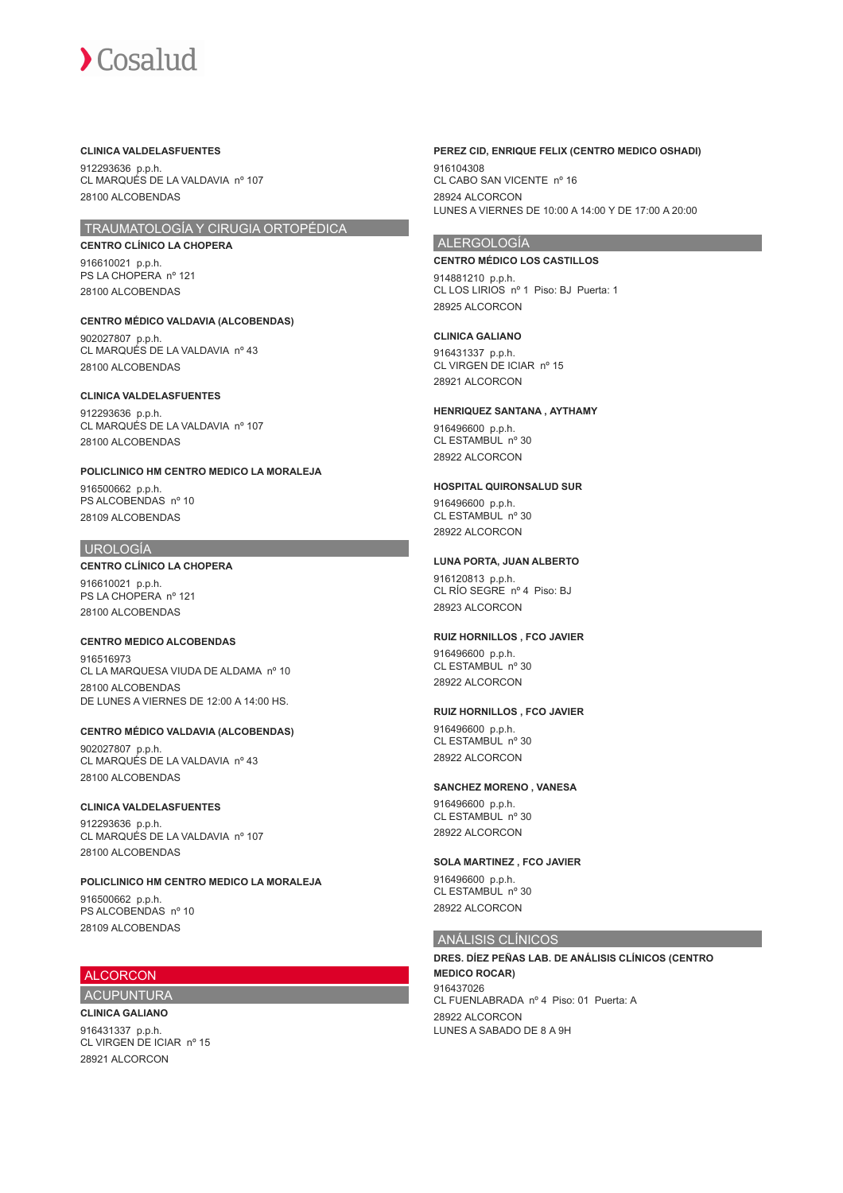#### **CLINICA VALDELASFUENTES**

912293636 p.p.h. CL MARQUÉS DE LA VALDAVIA nº 107 28100 ALCOBENDAS

# TRAUMATOLOGÍA Y CIRUGIA ORTOPÉDICA

**CENTRO CLÍNICO LA CHOPERA** 916610021 p.p.h. PS LA CHOPERA nº 121 28100 ALCOBENDAS

**CENTRO MÉDICO VALDAVIA (ALCOBENDAS)** 902027807 p.p.h. CL MARQUÉS DE LA VALDAVIA nº 43 28100 ALCOBENDAS

# **CLINICA VALDELASFUENTES** 912293636 p.p.h. CL MARQUÉS DE LA VALDAVIA nº 107

28100 ALCOBENDAS

**POLICLINICO HM CENTRO MEDICO LA MORALEJA** 916500662 p.p.h.

PS ALCOBENDAS nº 10 28109 ALCOBENDAS

# UROLOGÍA

**CENTRO CLÍNICO LA CHOPERA**

916610021 p.p.h. PS LA CHOPERA nº 121 28100 ALCOBENDAS

# **CENTRO MEDICO ALCOBENDAS**

916516973 CL LA MARQUESA VIUDA DE ALDAMA nº 10 28100 ALCOBENDAS DE LUNES A VIERNES DE 12:00 A 14:00 HS.

# **CENTRO MÉDICO VALDAVIA (ALCOBENDAS)**

902027807 p.p.h. CL MARQUÉS DE LA VALDAVIA nº 43 28100 ALCOBENDAS

#### **CLINICA VALDELASFUENTES**

912293636 p.p.h. CL MARQUÉS DE LA VALDAVIA nº 107 28100 ALCOBENDAS

# **POLICLINICO HM CENTRO MEDICO LA MORALEJA**

916500662 p.p.h. PS ALCOBENDAS nº 10 28109 ALCOBENDAS

# ALCORCON

ACUPUNTURA **CLINICA GALIANO**

916431337 p.p.h. CL VIRGEN DE ICIAR nº 15 28921 ALCORCON

#### **PEREZ CID, ENRIQUE FELIX (CENTRO MEDICO OSHADI)**

916104308 CL CABO SAN VICENTE nº 16 28924 ALCORCON LUNES A VIERNES DE 10:00 A 14:00 Y DE 17:00 A 20:00

# ALERGOLOGÍA

#### **CENTRO MÉDICO LOS CASTILLOS**

914881210 p.p.h. CL LOS LIRIOS nº 1 Piso: BJ Puerta: 1 28925 ALCORCON

## **CLINICA GALIANO**

916431337 p.p.h. CL VIRGEN DE ICIAR nº 15 28921 ALCORCON

#### **HENRIQUEZ SANTANA , AYTHAMY**

916496600 p.p.h. CL ESTAMBUL nº 30 28922 ALCORCON

#### **HOSPITAL QUIRONSALUD SUR**

916496600 p.p.h. CL ESTAMBUL nº 30 28922 ALCORCON

### **LUNA PORTA, JUAN ALBERTO**

916120813 p.p.h. CL RÍO SEGRE nº 4 Piso: BJ 28923 ALCORCON

#### **RUIZ HORNILLOS , FCO JAVIER**

916496600 p.p.h. CL ESTAMBUL nº 30 28922 ALCORCON

### **RUIZ HORNILLOS , FCO JAVIER**

916496600 p.p.h. CL ESTAMBUL nº 30 28922 ALCORCON

#### **SANCHEZ MORENO , VANESA**

916496600 p.p.h. CL ESTAMBUL nº 30 28922 ALCORCON

#### **SOLA MARTINEZ , FCO JAVIER**

916496600 p.p.h. CL ESTAMBUL nº 30 28922 ALCORCON

# ANÁLISIS CLÍNICOS

**DRES. DÍEZ PEÑAS LAB. DE ANÁLISIS CLÍNICOS (CENTRO MEDICO ROCAR)** 916437026 CL FUENLABRADA nº 4 Piso: 01 Puerta: A 28922 ALCORCON LUNES A SABADO DE 8 A 9H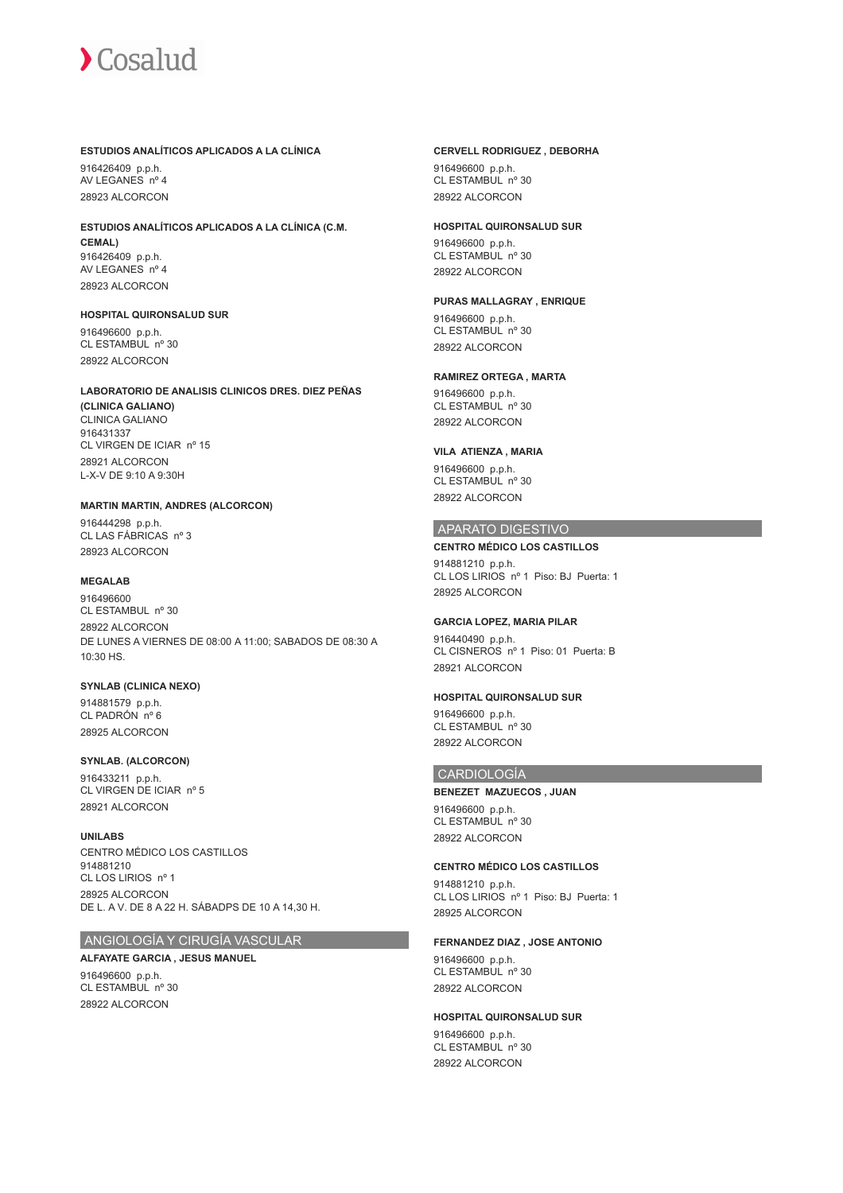### **ESTUDIOS ANALÍTICOS APLICADOS A LA CLÍNICA**

916426409 p.p.h. AV LEGANES nº 4 28923 ALCORCON

#### **ESTUDIOS ANALÍTICOS APLICADOS A LA CLÍNICA (C.M. CEMAL)** 916426409 p.p.h. AV LEGANES nº 4 28923 ALCORCON

**HOSPITAL QUIRONSALUD SUR**

916496600 p.p.h. CL ESTAMBUL nº 30 28922 ALCORCON

#### **LABORATORIO DE ANALISIS CLINICOS DRES. DIEZ PEÑAS**

**(CLINICA GALIANO)** CLINICA GALIANO 916431337 CL VIRGEN DE ICIAR nº 15 28921 ALCORCON L-X-V DE 9:10 A 9:30H

## **MARTIN MARTIN, ANDRES (ALCORCON)**

916444298 p.p.h. CL LAS FÁBRICAS nº 3 28923 ALCORCON

# **MEGALAB**

916496600 CL ESTAMBUL nº 30 28922 ALCORCON DE LUNES A VIERNES DE 08:00 A 11:00; SABADOS DE 08:30 A 10:30 HS.

#### **SYNLAB (CLINICA NEXO)**

914881579 p.p.h. CL PADRÓN nº 6 28925 ALCORCON

#### **SYNLAB. (ALCORCON)**

916433211 p.p.h. CL VIRGEN DE ICIAR nº 5 28921 ALCORCON

#### **UNILABS**

CENTRO MÉDICO LOS CASTILLOS 914881210 CL LOS LIRIOS nº 1 28925 ALCORCON DE L. A V. DE 8 A 22 H. SÁBADPS DE 10 A 14,30 H.

# ANGIOLOGÍA Y CIRUGÍA VASCULAR

#### **ALFAYATE GARCIA , JESUS MANUEL**

916496600 p.p.h. CL ESTAMBUL nº 30 28922 ALCORCON

#### **CERVELL RODRIGUEZ , DEBORHA**

916496600 p.p.h. CL ESTAMBUL nº 30 28922 ALCORCON

#### **HOSPITAL QUIRONSALUD SUR**

916496600 p.p.h. CL ESTAMBUL nº 30 28922 ALCORCON

## **PURAS MALLAGRAY , ENRIQUE**

916496600 p.p.h. CL ESTAMBUL nº 30 28922 ALCORCON

### **RAMIREZ ORTEGA , MARTA**

916496600 p.p.h. CL ESTAMBUL nº 30 28922 ALCORCON

# **VILA ATIENZA , MARIA**

916496600 p.p.h. CL ESTAMBUL nº 30 28922 ALCORCON

## APARATO DIGESTIVO

**CENTRO MÉDICO LOS CASTILLOS** 914881210 p.p.h. CL LOS LIRIOS nº 1 Piso: BJ Puerta: 1 28925 ALCORCON

# **GARCIA LOPEZ, MARIA PILAR**

916440490 p.p.h. CL CISNEROS nº 1 Piso: 01 Puerta: B 28921 ALCORCON

# **HOSPITAL QUIRONSALUD SUR**

916496600 p.p.h. CL ESTAMBUL nº 30 28922 ALCORCON

## CARDIOLOGÍA

**BENEZET MAZUECOS , JUAN** 916496600 p.p.h. CL ESTAMBUL nº 30 28922 ALCORCON

# **CENTRO MÉDICO LOS CASTILLOS**

914881210 p.p.h. CL LOS LIRIOS nº 1 Piso: BJ Puerta: 1 28925 ALCORCON

#### **FERNANDEZ DIAZ , JOSE ANTONIO**

916496600 p.p.h. CL ESTAMBUL nº 30 28922 ALCORCON

#### **HOSPITAL QUIRONSALUD SUR**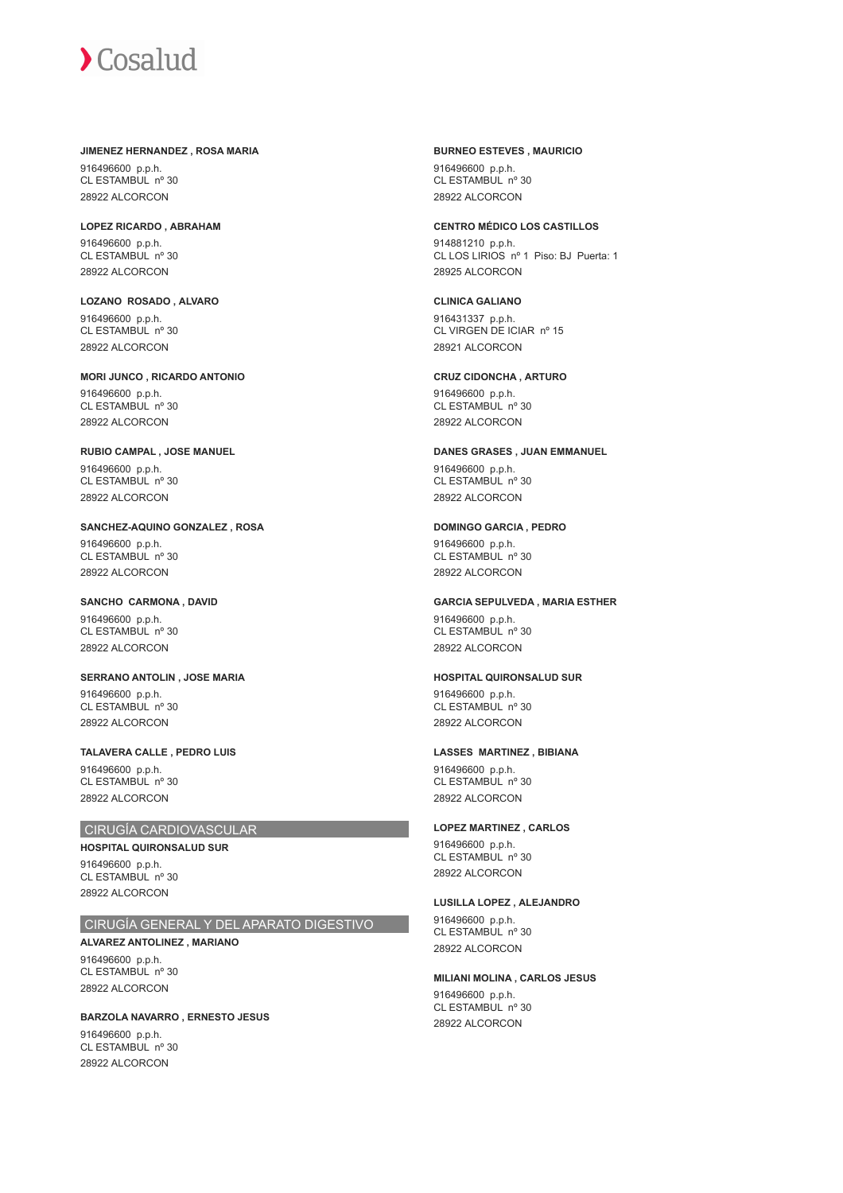#### **JIMENEZ HERNANDEZ , ROSA MARIA**

916496600 p.p.h. CL ESTAMBUL nº 30 28922 ALCORCON

**LOPEZ RICARDO , ABRAHAM** 916496600 p.p.h. CL ESTAMBUL nº 30 28922 ALCORCON

**LOZANO ROSADO , ALVARO** 916496600 p.p.h. CL ESTAMBUL nº 30 28922 ALCORCON

**MORI JUNCO , RICARDO ANTONIO** 916496600 p.p.h. CL ESTAMBUL nº 30 28922 ALCORCON

**RUBIO CAMPAL , JOSE MANUEL** 916496600 p.p.h. CL ESTAMBUL nº 30 28922 ALCORCON

**SANCHEZ-AQUINO GONZALEZ , ROSA** 916496600 p.p.h. CL ESTAMBUL nº 30 28922 ALCORCON

**SANCHO CARMONA , DAVID** 916496600 p.p.h. CL ESTAMBUL nº 30 28922 ALCORCON

**SERRANO ANTOLIN , JOSE MARIA** 916496600 p.p.h. CL ESTAMBUL nº 30 28922 ALCORCON

**TALAVERA CALLE , PEDRO LUIS** 916496600 p.p.h. CL ESTAMBUL nº 30 28922 ALCORCON

#### CIRUGÍA CARDIOVASCULAR

**HOSPITAL QUIRONSALUD SUR** 916496600 p.p.h. CL ESTAMBUL nº 30 28922 ALCORCON

# CIRUGÍA GENERAL Y DEL APARATO DIGESTIVO

**ALVAREZ ANTOLINEZ , MARIANO** 916496600 p.p.h.  $CI$  ESTAMBUL  $n^{\circ}$  30 28922 ALCORCON

**BARZOLA NAVARRO , ERNESTO JESUS** 916496600 p.p.h. CL ESTAMBUL nº 30 28922 ALCORCON

**BURNEO ESTEVES , MAURICIO** 916496600 p.p.h. CL ESTAMBUL nº 30 28922 ALCORCON

#### **CENTRO MÉDICO LOS CASTILLOS**

914881210 p.p.h. CL LOS LIRIOS nº 1 Piso: BJ Puerta: 1 28925 ALCORCON

# **CLINICA GALIANO**

916431337 p.p.h. CL VIRGEN DE ICIAR nº 15 28921 ALCORCON

**CRUZ CIDONCHA , ARTURO**

916496600 p.p.h. CL ESTAMBUL nº 30 28922 ALCORCON

#### **DANES GRASES , JUAN EMMANUEL**

916496600 p.p.h. CL ESTAMBUL nº 30 28922 ALCORCON

#### **DOMINGO GARCIA , PEDRO**

916496600 p.p.h. CL ESTAMBUL nº 30 28922 ALCORCON

# **GARCIA SEPULVEDA , MARIA ESTHER**

916496600 p.p.h. CL ESTAMBUL nº 30 28922 ALCORCON

#### **HOSPITAL QUIRONSALUD SUR**

916496600 p.p.h. CL ESTAMBUL nº 30 28922 ALCORCON

#### **LASSES MARTINEZ , BIBIANA**

916496600 p.p.h. CL ESTAMBUL nº 30 28922 ALCORCON

# **LOPEZ MARTINEZ , CARLOS**

916496600 p.p.h. CL ESTAMBUL nº 30 28922 ALCORCON

#### **LUSILLA LOPEZ , ALEJANDRO**

916496600 p.p.h. CL ESTAMBUL nº 30 28922 ALCORCON

#### **MILIANI MOLINA , CARLOS JESUS**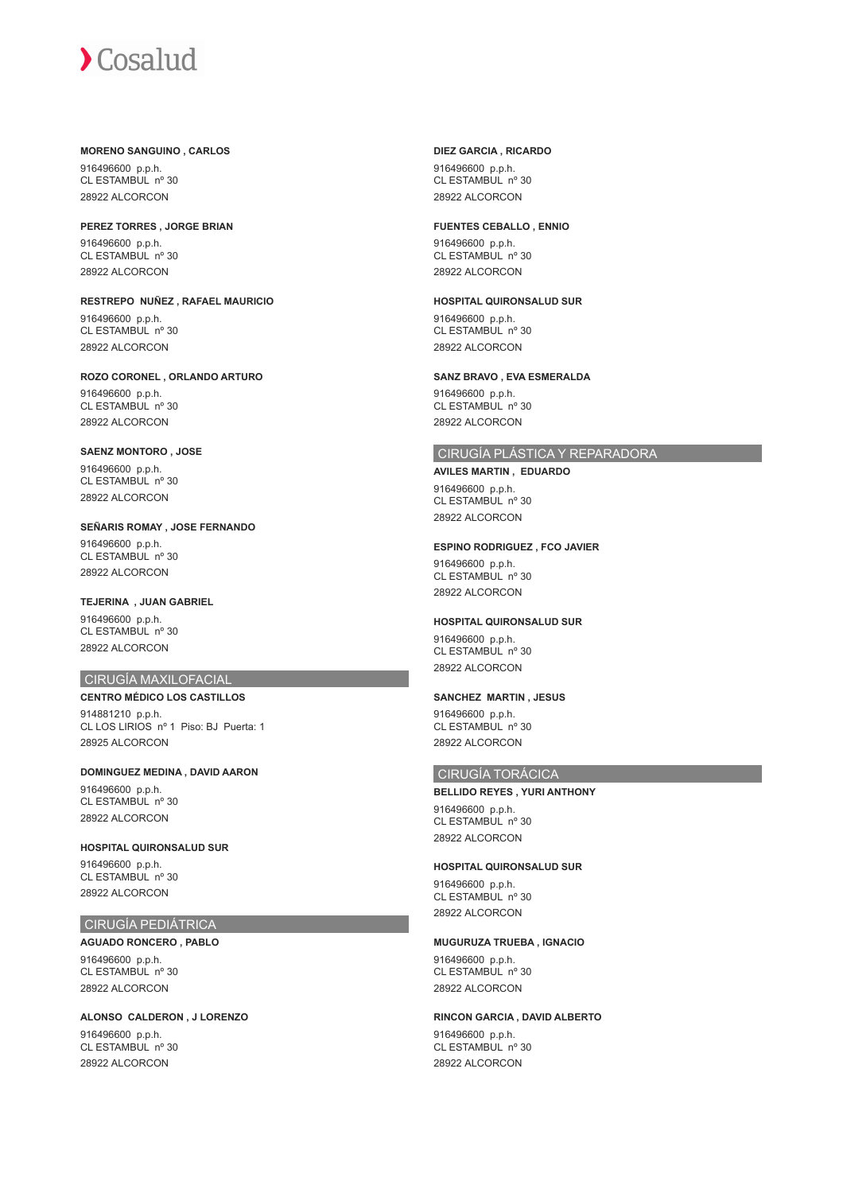#### **MORENO SANGUINO , CARLOS**

916496600 p.p.h. CL ESTAMBUL nº 30 28922 ALCORCON

**PEREZ TORRES , JORGE BRIAN** 916496600 p.p.h. CL ESTAMBUL nº 30 28922 ALCORCON

**RESTREPO NUÑEZ , RAFAEL MAURICIO** 916496600 p.p.h. CL ESTAMBUL nº 30 28922 ALCORCON

**ROZO CORONEL , ORLANDO ARTURO** 916496600 p.p.h. CL ESTAMBUL nº 30 28922 ALCORCON

**SAENZ MONTORO , JOSE** 916496600 p.p.h. CL ESTAMBUL nº 30 28922 ALCORCON

**SEÑARIS ROMAY , JOSE FERNANDO** 916496600 p.p.h. CL ESTAMBUL nº 30 28922 ALCORCON

**TEJERINA , JUAN GABRIEL** 916496600 p.p.h. CL ESTAMBUL nº 30 28922 ALCORCON

# CIRUGÍA MAXILOFACIAL

**CENTRO MÉDICO LOS CASTILLOS** 914881210 p.p.h. CL LOS LIRIOS nº 1 Piso: BJ Puerta: 1 28925 ALCORCON

**DOMINGUEZ MEDINA , DAVID AARON** 916496600 p.p.h. CL ESTAMBUL nº 30 28922 ALCORCON

**HOSPITAL QUIRONSALUD SUR** 916496600 p.p.h. CL ESTAMBUL nº 30 28922 ALCORCON

# CIRUGÍA PEDIÁTRICA

**AGUADO RONCERO , PABLO** 916496600 p.p.h.  $CI$  ESTAMBUL  $n^{\circ}$  30 28922 ALCORCON

**ALONSO CALDERON , J LORENZO** 916496600 p.p.h. CL ESTAMBUL nº 30 28922 ALCORCON

### **DIEZ GARCIA , RICARDO**

916496600 p.p.h. CL ESTAMBUL nº 30 28922 ALCORCON

#### **FUENTES CEBALLO , ENNIO**

916496600 p.p.h. CL ESTAMBUL nº 30 28922 ALCORCON

**HOSPITAL QUIRONSALUD SUR**

916496600 p.p.h. CL ESTAMBUL nº 30 28922 ALCORCON

**SANZ BRAVO , EVA ESMERALDA**

916496600 p.p.h. CL ESTAMBUL nº 30 28922 ALCORCON

# CIRUGÍA PLÁSTICA Y REPARADORA

**AVILES MARTIN , EDUARDO** 916496600 p.p.h. CL ESTAMBUL nº 30 28922 ALCORCON

#### **ESPINO RODRIGUEZ , FCO JAVIER**

916496600 p.p.h. CL ESTAMBUL nº 30 28922 ALCORCON

### **HOSPITAL QUIRONSALUD SUR**

916496600 p.p.h. CL ESTAMBUL nº 30 28922 ALCORCON

# **SANCHEZ MARTIN , JESUS**

916496600 p.p.h. CL ESTAMBUL nº 30 28922 ALCORCON

#### CIRUGÍA TORÁCICA

**BELLIDO REYES , YURI ANTHONY** 916496600 p.p.h. CL ESTAMBUL nº 30 28922 ALCORCON

## **HOSPITAL QUIRONSALUD SUR**

916496600 p.p.h. CL ESTAMBUL nº 30 28922 ALCORCON

## **MUGURUZA TRUEBA , IGNACIO**

916496600 p.p.h.  $CI$  ESTAMBUL  $n^{\circ}$  30 28922 ALCORCON

# **RINCON GARCIA , DAVID ALBERTO**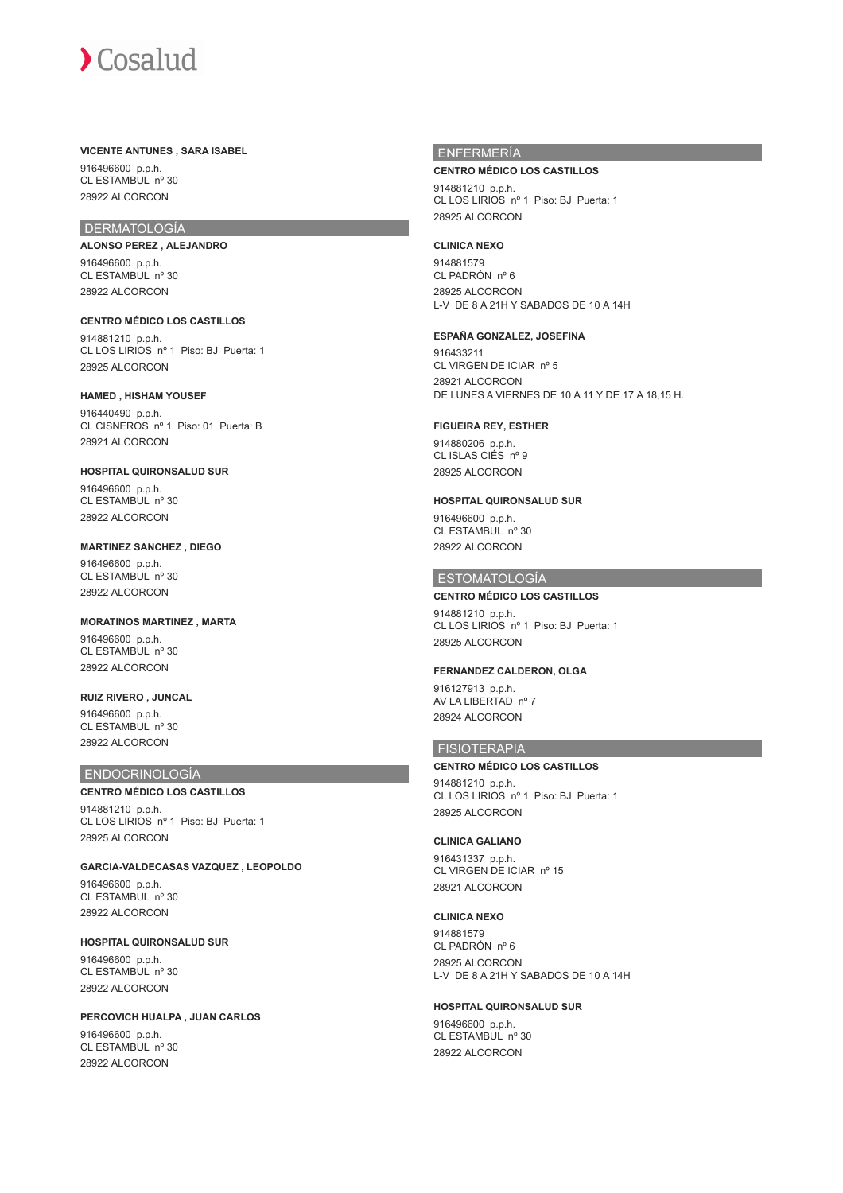#### **VICENTE ANTUNES , SARA ISABEL**

916496600 p.p.h. CL ESTAMBUL nº 30 28922 ALCORCON

# DERMATOLOGÍA

**ALONSO PEREZ , ALEJANDRO** 916496600 p.p.h. CL ESTAMBUL nº 30 28922 ALCORCON

**CENTRO MÉDICO LOS CASTILLOS** 914881210 p.p.h. CL LOS LIRIOS nº 1 Piso: BJ Puerta: 1 28925 ALCORCON

**HAMED , HISHAM YOUSEF** 916440490 p.p.h. CL CISNEROS nº 1 Piso: 01 Puerta: B 28921 ALCORCON

**HOSPITAL QUIRONSALUD SUR** 916496600 p.p.h. CL ESTAMBUL nº 30 28922 ALCORCON

**MARTINEZ SANCHEZ , DIEGO** 916496600 p.p.h. CL ESTAMBUL nº 30 28922 ALCORCON

**MORATINOS MARTINEZ , MARTA** 916496600 p.p.h. CL ESTAMBUL nº 30 28922 ALCORCON

**RUIZ RIVERO , JUNCAL** 916496600 p.p.h. CL ESTAMBUL nº 30 28922 ALCORCON

#### ENDOCRINOLOGÍA

**CENTRO MÉDICO LOS CASTILLOS** 914881210 p.p.h. CL LOS LIRIOS nº 1 Piso: BJ Puerta: 1 28925 ALCORCON

**GARCIA-VALDECASAS VAZQUEZ , LEOPOLDO** 916496600 p.p.h. CL ESTAMBUL nº 30 28922 ALCORCON

**HOSPITAL QUIRONSALUD SUR** 916496600 p.p.h.  $CI$  ESTAMBUL  $n^{\circ}$  30 28922 ALCORCON

**PERCOVICH HUALPA , JUAN CARLOS** 916496600 p.p.h. CL ESTAMBUL nº 30 28922 ALCORCON

# ENFERMERÍA

**CENTRO MÉDICO LOS CASTILLOS**

914881210 p.p.h. CL LOS LIRIOS nº 1 Piso: BJ Puerta: 1 28925 ALCORCON

#### **CLINICA NEXO**

914881579 CL PADRÓN nº 6 28925 ALCORCON L-V DE 8 A 21H Y SABADOS DE 10 A 14H

## **ESPAÑA GONZALEZ, JOSEFINA**

916433211 CL VIRGEN DE ICIAR nº 5 28921 ALCORCON DE LUNES A VIERNES DE 10 A 11 Y DE 17 A 18,15 H.

# **FIGUEIRA REY, ESTHER**

914880206 p.p.h. CL ISLAS CIÉS nº 9 28925 ALCORCON

#### **HOSPITAL QUIRONSALUD SUR**

916496600 p.p.h. CL ESTAMBUL nº 30 28922 ALCORCON

# ESTOMATOLOGÍA

**CENTRO MÉDICO LOS CASTILLOS** 914881210 p.p.h. CL LOS LIRIOS nº 1 Piso: BJ Puerta: 1 28925 ALCORCON

#### **FERNANDEZ CALDERON, OLGA**

916127913 p.p.h. AV LA LIBERTAD nº 7 28924 ALCORCON

# FISIOTERAPIA

**CENTRO MÉDICO LOS CASTILLOS**

914881210 p.p.h. CL LOS LIRIOS nº 1 Piso: BJ Puerta: 1 28925 ALCORCON

#### **CLINICA GALIANO**

916431337 p.p.h. CL VIRGEN DE ICIAR nº 15 28921 ALCORCON

#### **CLINICA NEXO**

914881579 CL PADRÓN nº 6 28925 ALCORCON L-V DE 8 A 21H Y SABADOS DE 10 A 14H

#### **HOSPITAL QUIRONSALUD SUR**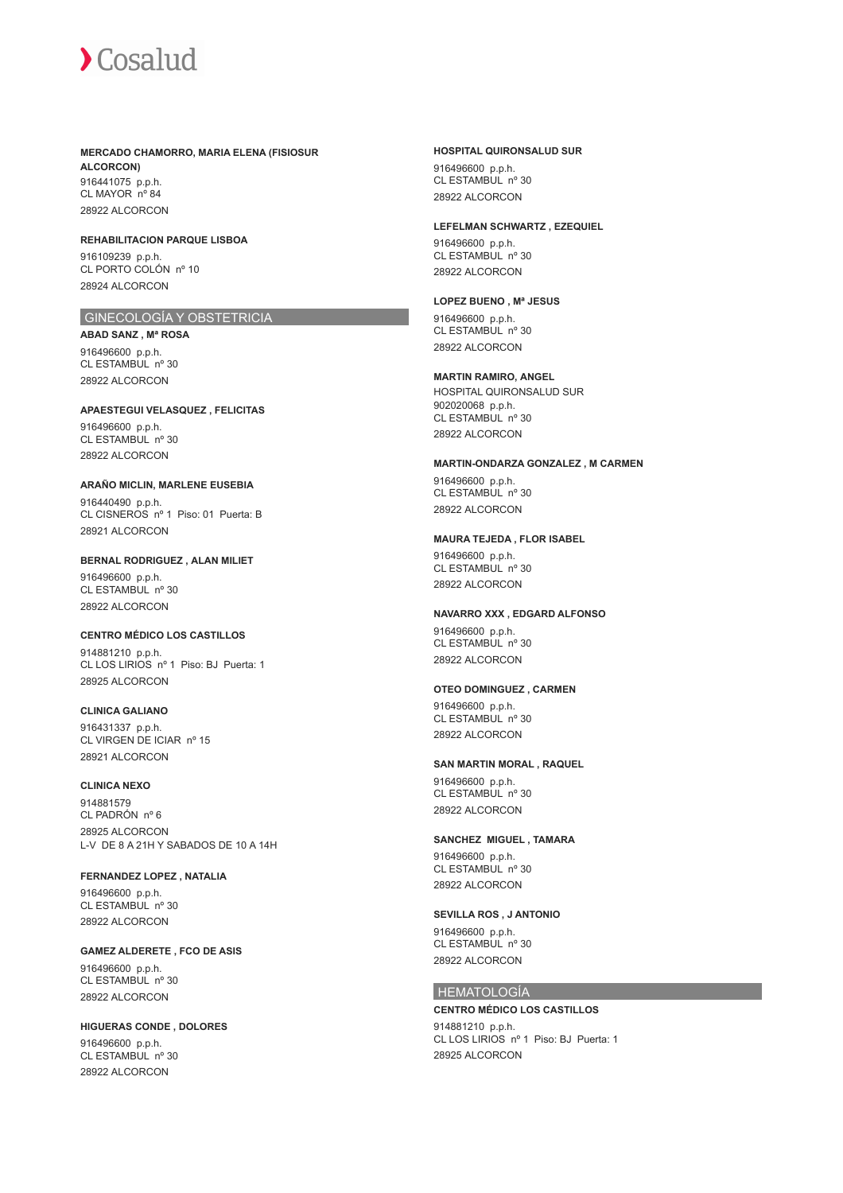**MERCADO CHAMORRO, MARIA ELENA (FISIOSUR ALCORCON)** 916441075 p.p.h. CL MAYOR nº 84

28922 ALCORCON

**REHABILITACION PARQUE LISBOA** 916109239 p.p.h. CL PORTO COLÓN nº 10 28924 ALCORCON

# GINECOLOGÍA Y OBSTETRICIA

**ABAD SANZ , Mª ROSA** 916496600 p.p.h. CL ESTAMBUL nº 30 28922 ALCORCON

**APAESTEGUI VELASQUEZ , FELICITAS** 916496600 p.p.h. CL ESTAMBUL nº 30

28922 ALCORCON

### **ARAÑO MICLIN, MARLENE EUSEBIA**

916440490 p.p.h. CL CISNEROS nº 1 Piso: 01 Puerta: B 28921 ALCORCON

**BERNAL RODRIGUEZ , ALAN MILIET** 916496600 p.p.h. CL ESTAMBUL nº 30 28922 ALCORCON

#### **CENTRO MÉDICO LOS CASTILLOS**

914881210 p.p.h. CL LOS LIRIOS nº 1 Piso: BJ Puerta: 1 28925 ALCORCON

**CLINICA GALIANO**

916431337 p.p.h. CL VIRGEN DE ICIAR nº 15 28921 ALCORCON

# **CLINICA NEXO**

914881579 CL PADRÓN nº 6 28925 ALCORCON L-V DE 8 A 21H Y SABADOS DE 10 A 14H

**FERNANDEZ LOPEZ , NATALIA** 916496600 p.p.h.

CL ESTAMBUL nº 30 28922 ALCORCON

## **GAMEZ ALDERETE , FCO DE ASIS**

916496600 p.p.h. CL ESTAMBUL nº 30 28922 ALCORCON

**HIGUERAS CONDE , DOLORES** 916496600 p.p.h.

CL ESTAMBUL nº 30 28922 ALCORCON

# **HOSPITAL QUIRONSALUD SUR**

916496600 p.p.h. CL ESTAMBUL nº 30 28922 ALCORCON

#### **LEFELMAN SCHWARTZ , EZEQUIEL**

916496600 p.p.h. CL ESTAMBUL nº 30 28922 ALCORCON

## **LOPEZ BUENO , Mª JESUS**

916496600 p.p.h. CL ESTAMBUL nº 30

# 28922 ALCORCON

**MARTIN RAMIRO, ANGEL**

HOSPITAL QUIRONSALUD SUR 902020068 p.p.h. CL ESTAMBUL nº 30 28922 ALCORCON

#### **MARTIN-ONDARZA GONZALEZ , M CARMEN**

916496600 p.p.h. CL ESTAMBUL nº 30 28922 ALCORCON

### **MAURA TEJEDA , FLOR ISABEL**

916496600 p.p.h. CL ESTAMBUL nº 30 28922 ALCORCON

#### **NAVARRO XXX , EDGARD ALFONSO**

916496600 p.p.h. CL ESTAMBUL nº 30 28922 ALCORCON

#### **OTEO DOMINGUEZ , CARMEN**

916496600 p.p.h. CL ESTAMBUL nº 30 28922 ALCORCON

#### **SAN MARTIN MORAL , RAQUEL**

916496600 p.p.h. CL ESTAMBUL nº 30 28922 ALCORCON

#### **SANCHEZ MIGUEL , TAMARA**

916496600 p.p.h. CL ESTAMBUL nº 30 28922 ALCORCON

# **SEVILLA ROS , J ANTONIO**

916496600 p.p.h. CL ESTAMBUL nº 30 28922 ALCORCON

## HEMATOLOGÍA

# **CENTRO MÉDICO LOS CASTILLOS**

914881210 p.p.h. CL LOS LIRIOS nº 1 Piso: BJ Puerta: 1 28925 ALCORCON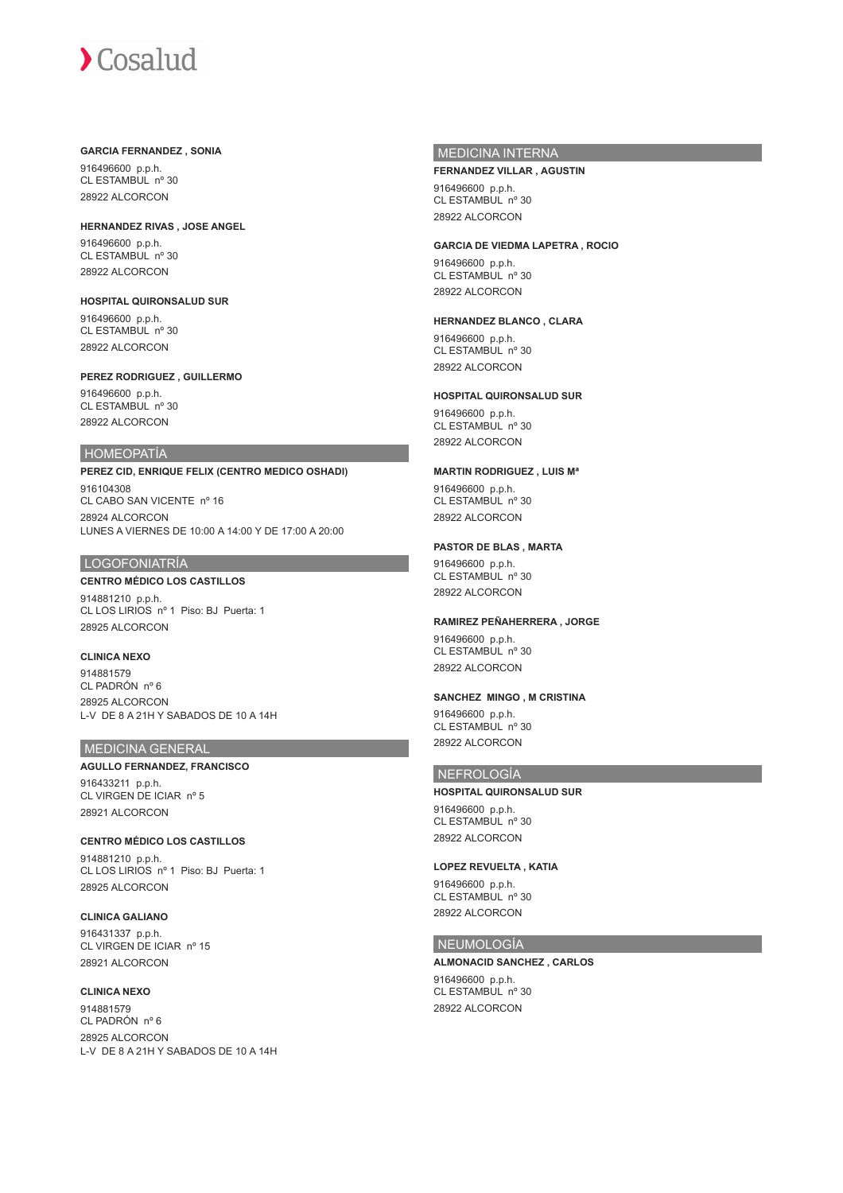#### **GARCIA FERNANDEZ , SONIA**

916496600 p.p.h. CL ESTAMBUL nº 30 28922 ALCORCON

**HERNANDEZ RIVAS , JOSE ANGEL**

916496600 p.p.h. CL ESTAMBUL nº 30 28922 ALCORCON

**HOSPITAL QUIRONSALUD SUR** 916496600 p.p.h. CL ESTAMBUL nº 30 28922 ALCORCON

**PEREZ RODRIGUEZ , GUILLERMO** 916496600 p.p.h.

CL ESTAMBUL nº 30 28922 ALCORCON

# HOMEOPATÍA

**PEREZ CID, ENRIQUE FELIX (CENTRO MEDICO OSHADI)** 916104308 CL CABO SAN VICENTE nº 16 28924 ALCORCON LUNES A VIERNES DE 10:00 A 14:00 Y DE 17:00 A 20:00

# LOGOFONIATRÍA

# **CENTRO MÉDICO LOS CASTILLOS**

914881210 p.p.h. CL LOS LIRIOS nº 1 Piso: BJ Puerta: 1 28925 ALCORCON

**CLINICA NEXO**

914881579 CL PADRÓN nº 6 28925 ALCORCON L-V DE 8 A 21H Y SABADOS DE 10 A 14H

# MEDICINA GENERAL

### **AGULLO FERNANDEZ, FRANCISCO**

916433211 p.p.h. CL VIRGEN DE ICIAR nº 5 28921 ALCORCON

#### **CENTRO MÉDICO LOS CASTILLOS**

914881210 p.p.h. CL LOS LIRIOS nº 1 Piso: BJ Puerta: 1 28925 ALCORCON

### **CLINICA GALIANO**

916431337 p.p.h. CL VIRGEN DE ICIAR nº 15 28921 ALCORCON

# **CLINICA NEXO**

914881579 CL PADRÓN nº 6 28925 ALCORCON L-V DE 8 A 21H Y SABADOS DE 10 A 14H

# MEDICINA INTERNA

#### **FERNANDEZ VILLAR , AGUSTIN**

916496600 p.p.h. CL ESTAMBUL nº 30 28922 ALCORCON

#### **GARCIA DE VIEDMA LAPETRA , ROCIO**

916496600 p.p.h. CL ESTAMBUL nº 30 28922 ALCORCON

# **HERNANDEZ BLANCO , CLARA**

916496600 p.p.h. CL ESTAMBUL nº 30 28922 ALCORCON

# **HOSPITAL QUIRONSALUD SUR**

916496600 p.p.h. CL ESTAMBUL nº 30 28922 ALCORCON

#### **MARTIN RODRIGUEZ , LUIS Mª**

916496600 p.p.h. CL ESTAMBUL nº 30 28922 ALCORCON

## **PASTOR DE BLAS , MARTA**

916496600 p.p.h. CL ESTAMBUL nº 30 28922 ALCORCON

#### **RAMIREZ PEÑAHERRERA , JORGE**

916496600 p.p.h. CL ESTAMBUL nº 30 28922 ALCORCON

# **SANCHEZ MINGO , M CRISTINA**

916496600 p.p.h. CL ESTAMBUL nº 30 28922 ALCORCON

# NEFROLOGÍA

**HOSPITAL QUIRONSALUD SUR** 916496600 p.p.h. CL ESTAMBUL nº 30 28922 ALCORCON

# **LOPEZ REVUELTA , KATIA**

916496600 p.p.h. CL ESTAMBUL nº 30 28922 ALCORCON

## NEUMOLOGÍA

#### **ALMONACID SANCHEZ , CARLOS** 916496600 p.p.h. CL ESTAMBUL nº 30 28922 ALCORCON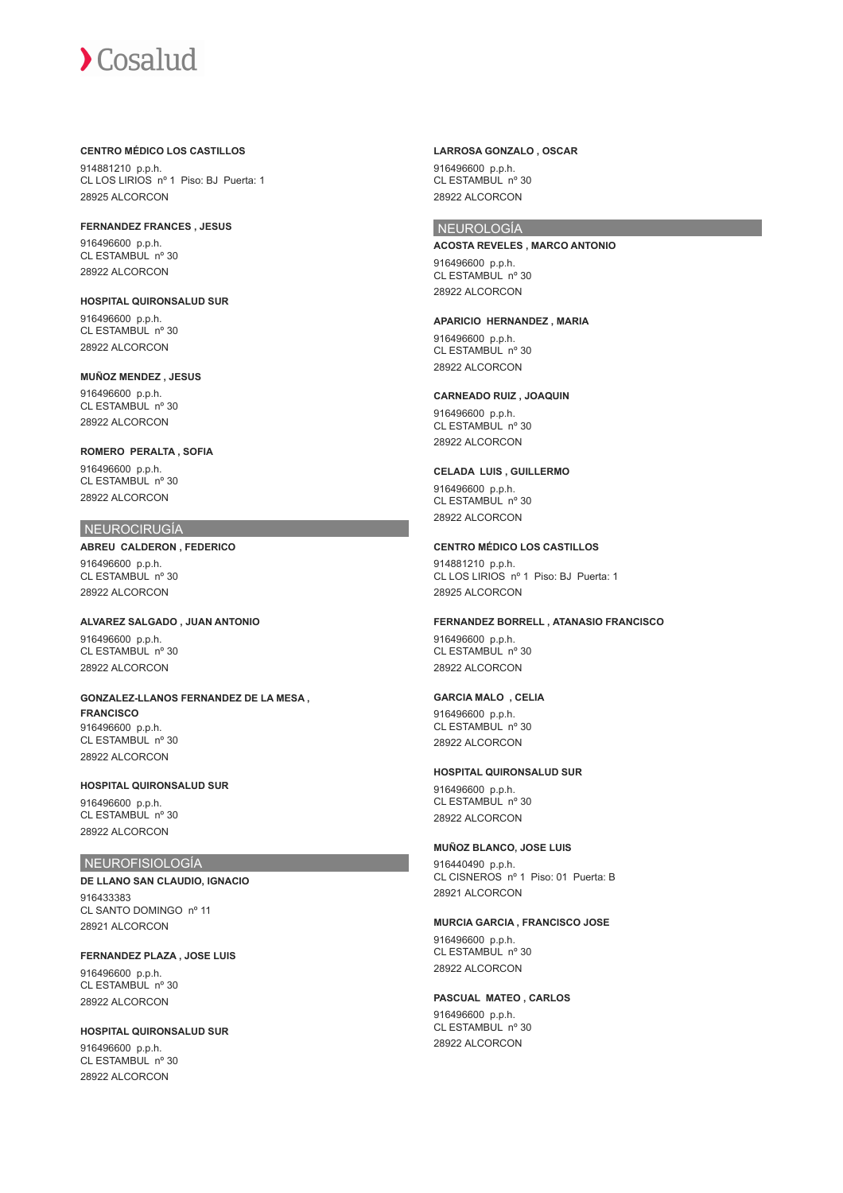### **CENTRO MÉDICO LOS CASTILLOS**

914881210 p.p.h. CL LOS LIRIOS nº 1 Piso: BJ Puerta: 1 28925 ALCORCON

**FERNANDEZ FRANCES , JESUS** 916496600 p.p.h. CL ESTAMBUL nº 30 28922 ALCORCON

**HOSPITAL QUIRONSALUD SUR** 916496600 p.p.h. CL ESTAMBUL nº 30 28922 ALCORCON

**MUÑOZ MENDEZ , JESUS** 916496600 p.p.h. CL ESTAMBUL nº 30 28922 ALCORCON

**ROMERO PERALTA , SOFIA** 916496600 p.p.h. CL ESTAMBUL nº 30 28922 ALCORCON

# NEUROCIRUGÍA

**ABREU CALDERON , FEDERICO** 916496600 p.p.h. CL ESTAMBUL nº 30 28922 ALCORCON

**ALVAREZ SALGADO , JUAN ANTONIO** 916496600 p.p.h. CL ESTAMBUL nº 30 28922 ALCORCON

**GONZALEZ-LLANOS FERNANDEZ DE LA MESA , FRANCISCO** 916496600 p.p.h. CL ESTAMBUL nº 30 28922 ALCORCON

**HOSPITAL QUIRONSALUD SUR** 916496600 p.p.h. CL ESTAMBUL nº 30 28922 ALCORCON

# NEUROFISIOLOGÍA

**DE LLANO SAN CLAUDIO, IGNACIO** 916433383 CL SANTO DOMINGO nº 11 28921 ALCORCON

**FERNANDEZ PLAZA , JOSE LUIS**

916496600 p.p.h. CL ESTAMBUL nº 30 28922 ALCORCON

**HOSPITAL QUIRONSALUD SUR** 916496600 p.p.h.

CL ESTAMBUL nº 30 28922 ALCORCON

#### **LARROSA GONZALO , OSCAR** 916496600 p.p.h. CL ESTAMBUL nº 30 28922 ALCORCON

# NEUROLOGÍA

**ACOSTA REVELES , MARCO ANTONIO** 916496600 p.p.h. CL ESTAMBUL nº 30 28922 ALCORCON

**APARICIO HERNANDEZ , MARIA** 916496600 p.p.h. CL ESTAMBUL nº 30 28922 ALCORCON

**CARNEADO RUIZ , JOAQUIN**

916496600 p.p.h. CL ESTAMBUL nº 30 28922 ALCORCON

### **CELADA LUIS , GUILLERMO**

916496600 p.p.h. CL ESTAMBUL nº 30 28922 ALCORCON

**CENTRO MÉDICO LOS CASTILLOS**

914881210 p.p.h. CL LOS LIRIOS nº 1 Piso: BJ Puerta: 1 28925 ALCORCON

**FERNANDEZ BORRELL , ATANASIO FRANCISCO**

916496600 p.p.h. CL ESTAMBUL nº 30 28922 ALCORCON

# **GARCIA MALO , CELIA**

916496600 p.p.h. CL ESTAMBUL nº 30 28922 ALCORCON

**HOSPITAL QUIRONSALUD SUR**

916496600 p.p.h. CL ESTAMBUL nº 30 28922 ALCORCON

# **MUÑOZ BLANCO, JOSE LUIS**

916440490 p.p.h. CL CISNEROS nº 1 Piso: 01 Puerta: B 28921 ALCORCON

**MURCIA GARCIA , FRANCISCO JOSE** 916496600 p.p.h. CL ESTAMBUL nº 30 28922 ALCORCON

**PASCUAL MATEO , CARLOS** 916496600 p.p.h. CL ESTAMBUL nº 30 28922 ALCORCON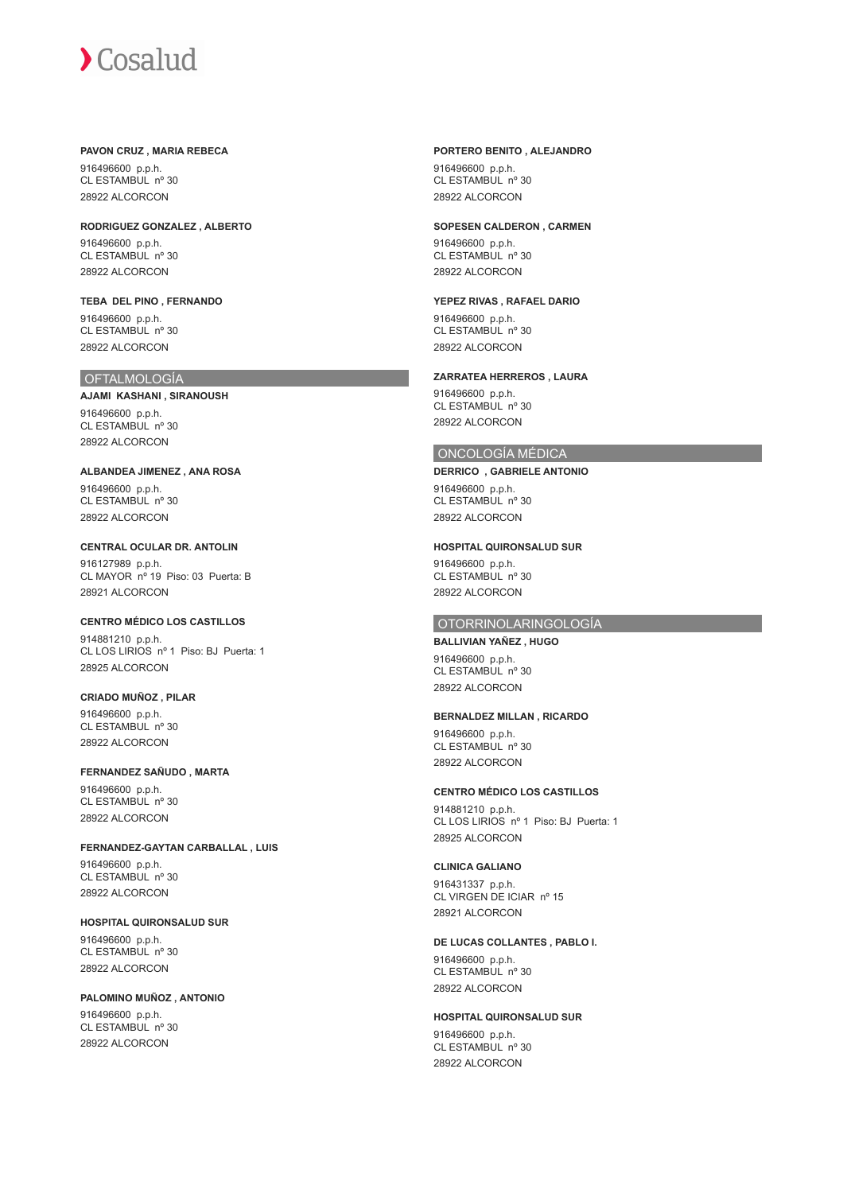#### **PAVON CRUZ , MARIA REBECA**

916496600 p.p.h. CL ESTAMBUL nº 30 28922 ALCORCON

**RODRIGUEZ GONZALEZ , ALBERTO** 916496600 p.p.h. CL ESTAMBUL nº 30 28922 ALCORCON

**TEBA DEL PINO , FERNANDO** 916496600 p.p.h. CL ESTAMBUL nº 30 28922 ALCORCON

# **OFTALMOLOGÍA**

**AJAMI KASHANI , SIRANOUSH** 916496600 p.p.h. CL ESTAMBUL nº 30 28922 ALCORCON

**ALBANDEA JIMENEZ , ANA ROSA** 916496600 p.p.h. CL ESTAMBUL nº 30 28922 ALCORCON

**CENTRAL OCULAR DR. ANTOLIN** 916127989 p.p.h. CL MAYOR nº 19 Piso: 03 Puerta: B 28921 ALCORCON

**CENTRO MÉDICO LOS CASTILLOS** 914881210 p.p.h. CL LOS LIRIOS nº 1 Piso: BJ Puerta: 1 28925 ALCORCON

**CRIADO MUÑOZ , PILAR** 916496600 p.p.h. CL ESTAMBUL nº 30 28922 ALCORCON

**FERNANDEZ SAÑUDO , MARTA** 916496600 p.p.h.

CL ESTAMBUL nº 30 28922 ALCORCON

**FERNANDEZ-GAYTAN CARBALLAL , LUIS** 916496600 p.p.h. CL ESTAMBUL nº 30 28922 ALCORCON

**HOSPITAL QUIRONSALUD SUR** 916496600 p.p.h. CL ESTAMBUL nº 30 28922 ALCORCON

**PALOMINO MUÑOZ , ANTONIO** 916496600 p.p.h. CL ESTAMBUL nº 30 28922 ALCORCON

# **PORTERO BENITO , ALEJANDRO**

916496600 p.p.h. CL ESTAMBUL nº 30 28922 ALCORCON

#### **SOPESEN CALDERON , CARMEN**

916496600 p.p.h. CL ESTAMBUL nº 30 28922 ALCORCON

**YEPEZ RIVAS , RAFAEL DARIO**

916496600 p.p.h. CL ESTAMBUL nº 30 28922 ALCORCON

**ZARRATEA HERREROS , LAURA**

916496600 p.p.h. CL ESTAMBUL nº 30 28922 ALCORCON

# ONCOLOGÍA MÉDICA

**DERRICO , GABRIELE ANTONIO** 916496600 p.p.h. CL ESTAMBUL nº 30 28922 ALCORCON

# **HOSPITAL QUIRONSALUD SUR**

916496600 p.p.h. CL ESTAMBUL nº 30 28922 ALCORCON

# OTORRINOLARINGOLOGÍA

**BALLIVIAN YAÑEZ , HUGO** 916496600 p.p.h. CL ESTAMBUL nº 30 28922 ALCORCON

# **BERNALDEZ MILLAN , RICARDO**

916496600 p.p.h. CL ESTAMBUL nº 30 28922 ALCORCON

#### **CENTRO MÉDICO LOS CASTILLOS**

914881210 p.p.h. CL LOS LIRIOS nº 1 Piso: BJ Puerta: 1 28925 ALCORCON

### **CLINICA GALIANO**

916431337 p.p.h. CL VIRGEN DE ICIAR nº 15 28921 ALCORCON

# **DE LUCAS COLLANTES , PABLO I.**

916496600 p.p.h.  $CI$  ESTAMBUL  $n^{\circ}$  30 28922 ALCORCON

# **HOSPITAL QUIRONSALUD SUR**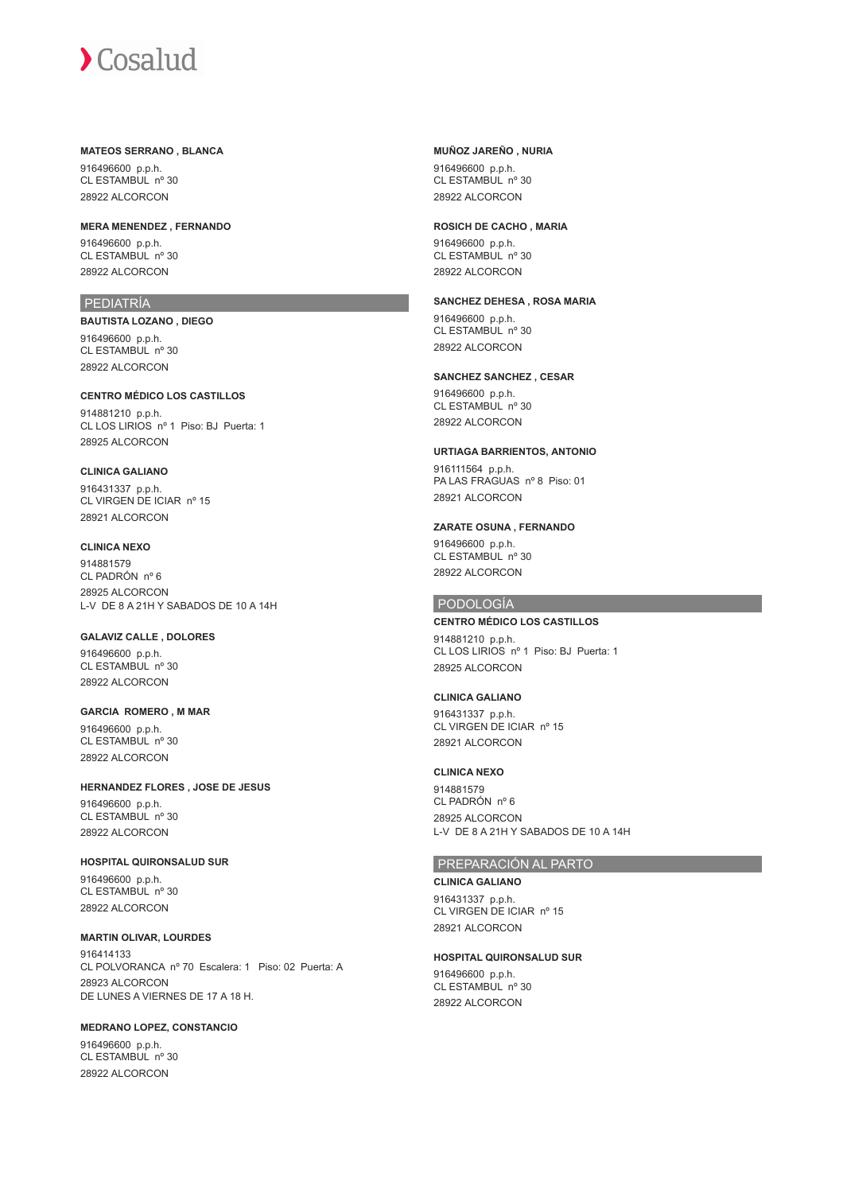#### **MATEOS SERRANO , BLANCA**

916496600 p.p.h. CL ESTAMBUL nº 30 28922 ALCORCON

**MERA MENENDEZ , FERNANDO**

916496600 p.p.h. CL ESTAMBUL nº 30 28922 ALCORCON

# PEDIATRÍA

**BAUTISTA LOZANO , DIEGO** 916496600 p.p.h. CL ESTAMBUL nº 30 28922 ALCORCON

**CENTRO MÉDICO LOS CASTILLOS** 914881210 p.p.h. CL LOS LIRIOS nº 1 Piso: BJ Puerta: 1 28925 ALCORCON

# **CLINICA GALIANO**

916431337 p.p.h. CL VIRGEN DE ICIAR nº 15 28921 ALCORCON

# **CLINICA NEXO**

914881579 CL PADRÓN nº 6 28925 ALCORCON L-V DE 8 A 21H Y SABADOS DE 10 A 14H

# **GALAVIZ CALLE , DOLORES**

916496600 p.p.h. CL ESTAMBUL nº 30 28922 ALCORCON

#### **GARCIA ROMERO , M MAR** 916496600 p.p.h. CL ESTAMBUL nº 30 28922 ALCORCON

# **HERNANDEZ FLORES , JOSE DE JESUS**

916496600 p.p.h. CL ESTAMBUL nº 30 28922 ALCORCON

**HOSPITAL QUIRONSALUD SUR** 916496600 p.p.h. CL ESTAMBUL nº 30 28922 ALCORCON

# **MARTIN OLIVAR, LOURDES**

916414133 CL POLVORANCA nº 70 Escalera: 1 Piso: 02 Puerta: A 28923 ALCORCON DE LUNES A VIERNES DE 17 A 18 H.

# **MEDRANO LOPEZ, CONSTANCIO**

916496600 p.p.h. CL ESTAMBUL nº 30 28922 ALCORCON

# **MUÑOZ JAREÑO , NURIA**

916496600 p.p.h. CL ESTAMBUL nº 30 28922 ALCORCON

## **ROSICH DE CACHO , MARIA**

916496600 p.p.h. CL ESTAMBUL nº 30 28922 ALCORCON

# **SANCHEZ DEHESA , ROSA MARIA**

916496600 p.p.h. CL ESTAMBUL nº 30 28922 ALCORCON

# **SANCHEZ SANCHEZ , CESAR**

916496600 p.p.h. CL ESTAMBUL nº 30 28922 ALCORCON

# **URTIAGA BARRIENTOS, ANTONIO**

916111564 p.p.h. PA LAS FRAGUAS nº 8 Piso: 01 28921 ALCORCON

# **ZARATE OSUNA , FERNANDO**

916496600 p.p.h. CL ESTAMBUL nº 30 28922 ALCORCON

# PODOLOGÍA

# **CENTRO MÉDICO LOS CASTILLOS**

914881210 p.p.h. CL LOS LIRIOS nº 1 Piso: BJ Puerta: 1 28925 ALCORCON

## **CLINICA GALIANO**

916431337 p.p.h. CL VIRGEN DE ICIAR nº 15 28921 ALCORCON

# **CLINICA NEXO**

914881579 CL PADRÓN nº 6 28925 ALCORCON L-V DE 8 A 21H Y SABADOS DE 10 A 14H

# PREPARACIÓN AL PARTO

**CLINICA GALIANO** 916431337 p.p.h. CL VIRGEN DE ICIAR nº 15

28921 ALCORCON

#### **HOSPITAL QUIRONSALUD SUR**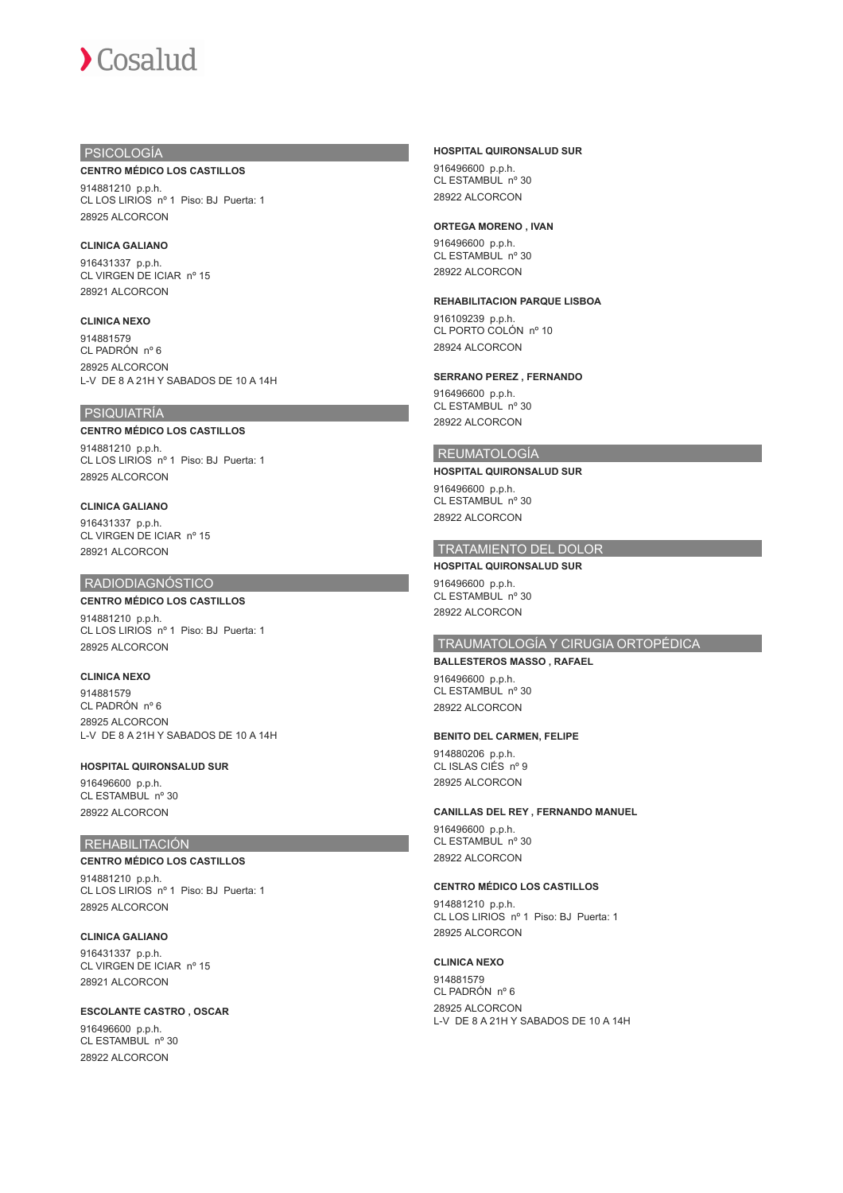# PSICOLOGÍA

#### **CENTRO MÉDICO LOS CASTILLOS**

914881210 p.p.h. CL LOS LIRIOS nº 1 Piso: BJ Puerta: 1 28925 ALCORCON

### **CLINICA GALIANO**

916431337 p.p.h. CL VIRGEN DE ICIAR nº 15 28921 ALCORCON

## **CLINICA NEXO**

914881579 CL PADRÓN nº 6 28925 ALCORCON L-V DE 8 A 21H Y SABADOS DE 10 A 14H

# PSIQUIATRÍA

#### **CENTRO MÉDICO LOS CASTILLOS**

914881210 p.p.h. CL LOS LIRIOS nº 1 Piso: BJ Puerta: 1 28925 ALCORCON

#### **CLINICA GALIANO**

916431337 p.p.h. CL VIRGEN DE ICIAR nº 15 28921 ALCORCON

## RADIODIAGNÓSTICO

# **CENTRO MÉDICO LOS CASTILLOS**

914881210 p.p.h. CL LOS LIRIOS nº 1 Piso: BJ Puerta: 1 28925 ALCORCON

### **CLINICA NEXO**

914881579 CL PADRÓN nº 6 28925 ALCORCON L-V DE 8 A 21H Y SABADOS DE 10 A 14H

#### **HOSPITAL QUIRONSALUD SUR**

916496600 p.p.h. CL ESTAMBUL nº 30 28922 ALCORCON

# REHABILITACIÓN

# **CENTRO MÉDICO LOS CASTILLOS**

914881210 p.p.h. CL LOS LIRIOS nº 1 Piso: BJ Puerta: 1 28925 ALCORCON

**CLINICA GALIANO** 916431337 p.p.h. CL VIRGEN DE ICIAR nº 15 28921 ALCORCON

# **ESCOLANTE CASTRO , OSCAR**

916496600 p.p.h. CL ESTAMBUL nº 30 28922 ALCORCON

#### **HOSPITAL QUIRONSALUD SUR**

916496600 p.p.h. CL ESTAMBUL nº 30 28922 ALCORCON

#### **ORTEGA MORENO , IVAN**

916496600 p.p.h. CL ESTAMBUL nº 30 28922 ALCORCON

#### **REHABILITACION PARQUE LISBOA**

916109239 p.p.h. CL PORTO COLÓN nº 10 28924 ALCORCON

#### **SERRANO PEREZ , FERNANDO**

916496600 p.p.h. CL ESTAMBUL nº 30 28922 ALCORCON

#### REUMATOLOGÍA

**HOSPITAL QUIRONSALUD SUR** 916496600 p.p.h. CL ESTAMBUL nº 30 28922 ALCORCON

# TRATAMIENTO DEL DOLOR

**HOSPITAL QUIRONSALUD SUR** 916496600 p.p.h. CL ESTAMBUL nº 30 28922 ALCORCON

# TRAUMATOLOGÍA Y CIRUGIA ORTOPÉDICA

**BALLESTEROS MASSO , RAFAEL** 916496600 p.p.h. CL ESTAMBUL nº 30 28922 ALCORCON

#### **BENITO DEL CARMEN, FELIPE**

914880206 p.p.h. CL ISLAS CIÉS nº 9 28925 ALCORCON

#### **CANILLAS DEL REY , FERNANDO MANUEL**

916496600 p.p.h. CL ESTAMBUL nº 30 28922 ALCORCON

#### **CENTRO MÉDICO LOS CASTILLOS**

914881210 p.p.h. CL LOS LIRIOS nº 1 Piso: BJ Puerta: 1 28925 ALCORCON

#### **CLINICA NEXO**

914881579 CL PADRÓN nº 6 28925 ALCORCON L-V DE 8 A 21H Y SABADOS DE 10 A 14H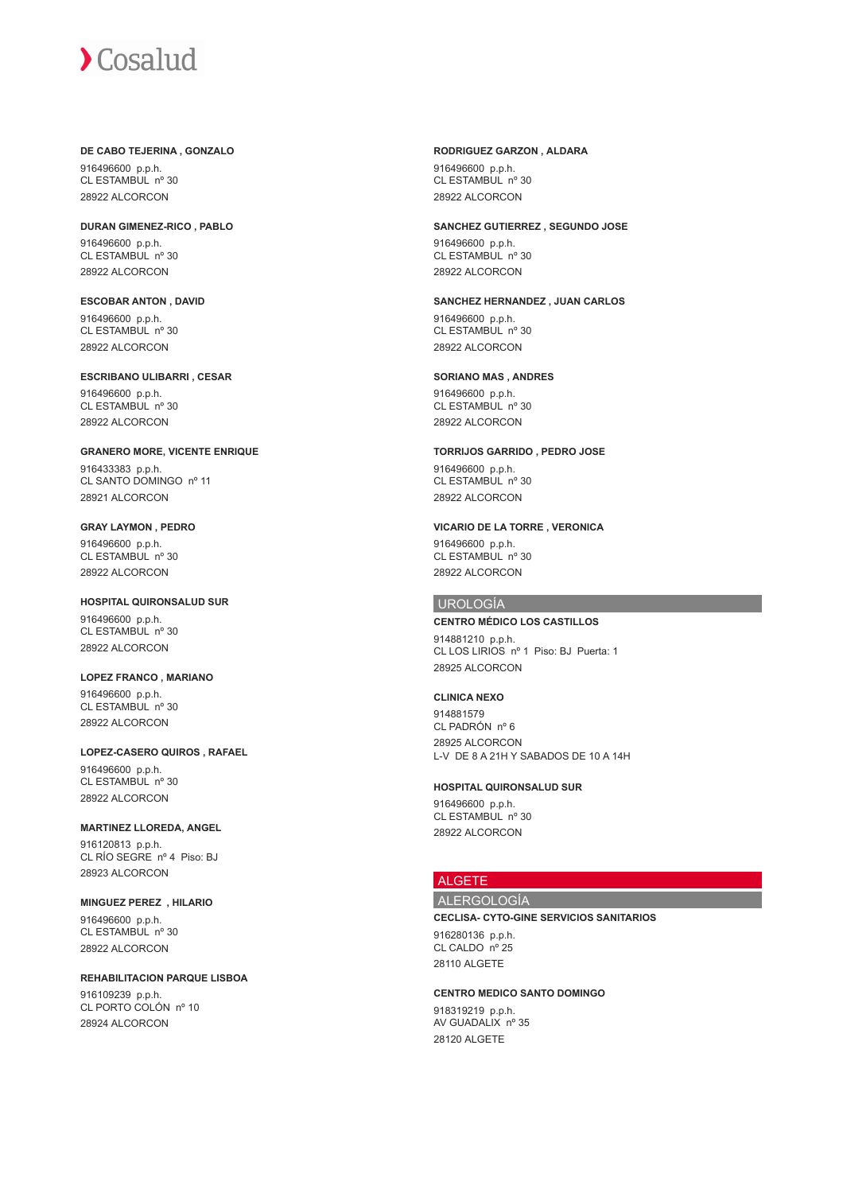#### **DE CABO TEJERINA , GONZALO**

916496600 p.p.h. CL ESTAMBUL nº 30 28922 ALCORCON

**DURAN GIMENEZ-RICO , PABLO** 916496600 p.p.h. CL ESTAMBUL nº 30 28922 ALCORCON

**ESCOBAR ANTON , DAVID** 916496600 p.p.h. CL ESTAMBUL nº 30 28922 ALCORCON

**ESCRIBANO ULIBARRI , CESAR** 916496600 p.p.h. CL ESTAMBUL nº 30 28922 ALCORCON

**GRANERO MORE, VICENTE ENRIQUE** 916433383 p.p.h. CL SANTO DOMINGO nº 11 28921 ALCORCON

**GRAY LAYMON , PEDRO** 916496600 p.p.h. CL ESTAMBUL nº 30 28922 ALCORCON

**HOSPITAL QUIRONSALUD SUR** 916496600 p.p.h. CL ESTAMBUL nº 30 28922 ALCORCON

**LOPEZ FRANCO , MARIANO** 916496600 p.p.h. CL ESTAMBUL nº 30 28922 ALCORCON

**LOPEZ-CASERO QUIROS , RAFAEL** 916496600 p.p.h. CL ESTAMBUL nº 30

28922 ALCORCON

# **MARTINEZ LLOREDA, ANGEL**

916120813 p.p.h. CL RÍO SEGRE nº 4 Piso: BJ 28923 ALCORCON

**MINGUEZ PEREZ , HILARIO**

916496600 p.p.h. CL ESTAMBUL nº 30 28922 ALCORCON

#### **REHABILITACION PARQUE LISBOA**

916109239 p.p.h. CL PORTO COLÓN nº 10 28924 ALCORCON

#### **RODRIGUEZ GARZON , ALDARA** 916496600 p.p.h. CL ESTAMBUL nº 30

28922 ALCORCON

## **SANCHEZ GUTIERREZ , SEGUNDO JOSE**

916496600 p.p.h. CL ESTAMBUL nº 30 28922 ALCORCON

**SANCHEZ HERNANDEZ , JUAN CARLOS**

916496600 p.p.h. CL ESTAMBUL nº 30 28922 ALCORCON

# **SORIANO MAS , ANDRES**

916496600 p.p.h. CL ESTAMBUL nº 30 28922 ALCORCON

**TORRIJOS GARRIDO , PEDRO JOSE**

916496600 p.p.h. CL ESTAMBUL nº 30 28922 ALCORCON

# **VICARIO DE LA TORRE , VERONICA**

916496600 p.p.h. CL ESTAMBUL nº 30 28922 ALCORCON

# UROLOGÍA

## **CENTRO MÉDICO LOS CASTILLOS**

914881210 p.p.h. CL LOS LIRIOS nº 1 Piso: BJ Puerta: 1 28925 ALCORCON

# **CLINICA NEXO**

914881579 CL PADRÓN nº 6 28925 ALCORCON L-V DE 8 A 21H Y SABADOS DE 10 A 14H

#### **HOSPITAL QUIRONSALUD SUR**

916496600 p.p.h. CL ESTAMBUL nº 30 28922 ALCORCON

# ALGETE

28120 ALGETE

# ALERGOLOGÍA

**CECLISA- CYTO-GINE SERVICIOS SANITARIOS** 916280136 p.p.h. CL CALDO nº 25 28110 ALGETE

**CENTRO MEDICO SANTO DOMINGO** 918319219 p.p.h. AV GUADALIX nº 35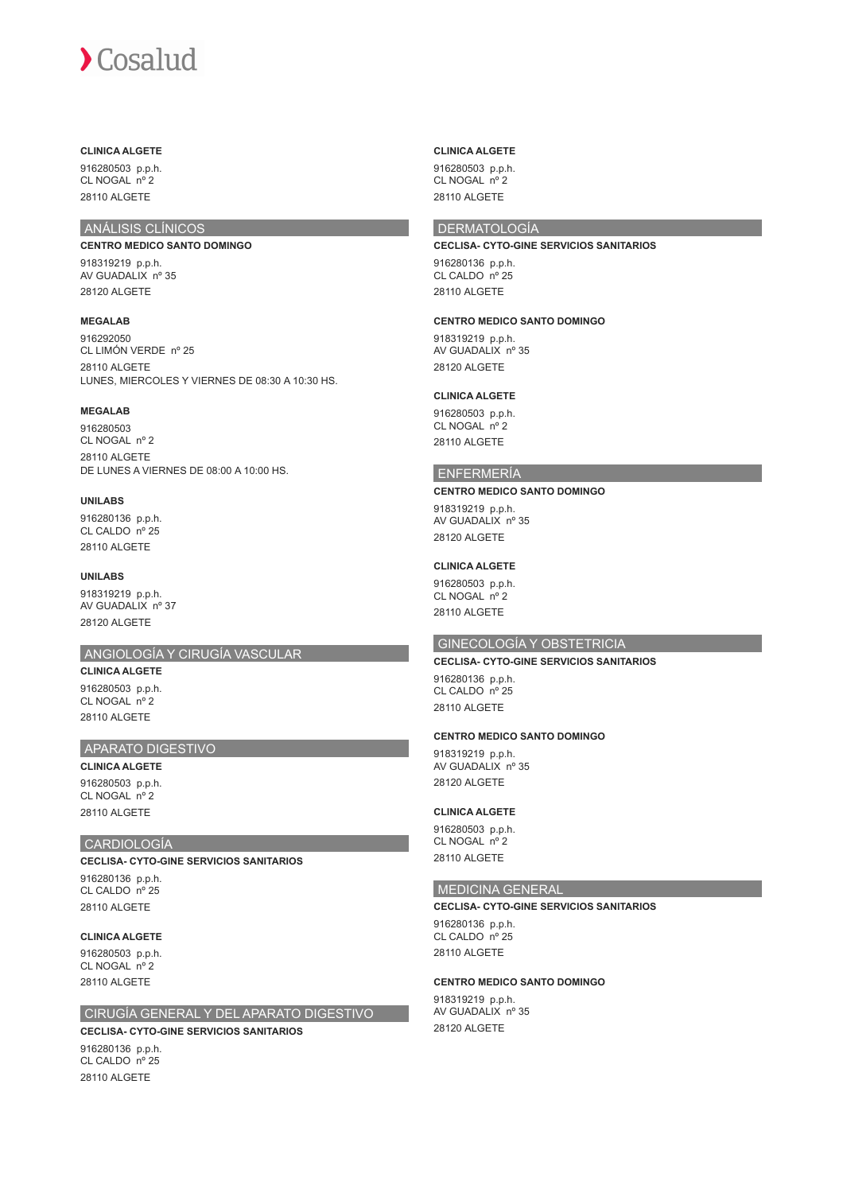# **CLINICA ALGETE**

916280503 p.p.h. CL NOGAL nº 2 28110 ALGETE

# ANÁLISIS CLÍNICOS

# **CENTRO MEDICO SANTO DOMINGO**

918319219 p.p.h. AV GUADALIX nº 35 28120 ALGETE

# **MEGALAB**

916292050 CL LIMÓN VERDE nº 25 28110 ALGETE LUNES, MIERCOLES Y VIERNES DE 08:30 A 10:30 HS.

## **MEGALAB**

916280503 CL NOGAL nº 2 28110 ALGETE DE LUNES A VIERNES DE 08:00 A 10:00 HS.

#### **UNILABS**

916280136 p.p.h. CL CALDO nº 25 28110 ALGETE

**UNILABS** 918319219 p.p.h. AV GUADALIX nº 37 28120 ALGETE

# ANGIOLOGÍA Y CIRUGÍA VASCULAR

**CLINICA ALGETE** 916280503 p.p.h. CL NOGAL nº 2 28110 ALGETE

# APARATO DIGESTIVO

**CLINICA ALGETE** 916280503 p.p.h. CL NOGAL nº 2 28110 ALGETE

# CARDIOLOGÍA

**CECLISA- CYTO-GINE SERVICIOS SANITARIOS**

916280136 p.p.h. CL CALDO nº 25 28110 ALGETE

#### **CLINICA ALGETE**

916280503 p.p.h. CL NOGAL nº 2 28110 ALGETE

# CIRUGÍA GENERAL Y DEL APARATO DIGESTIVO

**CECLISA- CYTO-GINE SERVICIOS SANITARIOS**

916280136 p.p.h. CL CALDO nº 25 28110 ALGETE

#### **CLINICA ALGETE**

916280503 p.p.h. CL NOGAL nº 2 28110 ALGETE

# **DERMATOLOGÍA**

**CECLISA- CYTO-GINE SERVICIOS SANITARIOS** 916280136 p.p.h.

CL CALDO nº 25 28110 ALGETE

#### **CENTRO MEDICO SANTO DOMINGO**

918319219 p.p.h. AV GUADALIX nº 35 28120 ALGETE

# **CLINICA ALGETE**

916280503 p.p.h. CL NOGAL nº 2 28110 ALGETE

## ENFERMERÍA

#### **CENTRO MEDICO SANTO DOMINGO**

918319219 p.p.h. AV GUADALIX nº 35 28120 ALGETE

#### **CLINICA ALGETE**

916280503 p.p.h. CL NOGAL nº 2 28110 ALGETE

# GINECOLOGÍA Y OBSTETRICIA

# **CECLISA- CYTO-GINE SERVICIOS SANITARIOS** 916280136 p.p.h.

CL CALDO nº 25 28110 ALGETE

# **CENTRO MEDICO SANTO DOMINGO**

918319219 p.p.h. AV GUADALIX nº 35 28120 ALGETE

#### **CLINICA ALGETE**

916280503 p.p.h. CL NOGAL nº 2 28110 ALGETE

## MEDICINA GENERAL

#### **CECLISA- CYTO-GINE SERVICIOS SANITARIOS**

916280136 p.p.h. CL CALDO nº 25 28110 ALGETE

## **CENTRO MEDICO SANTO DOMINGO**

918319219 p.p.h. AV GUADALIX nº 35 28120 ALGETE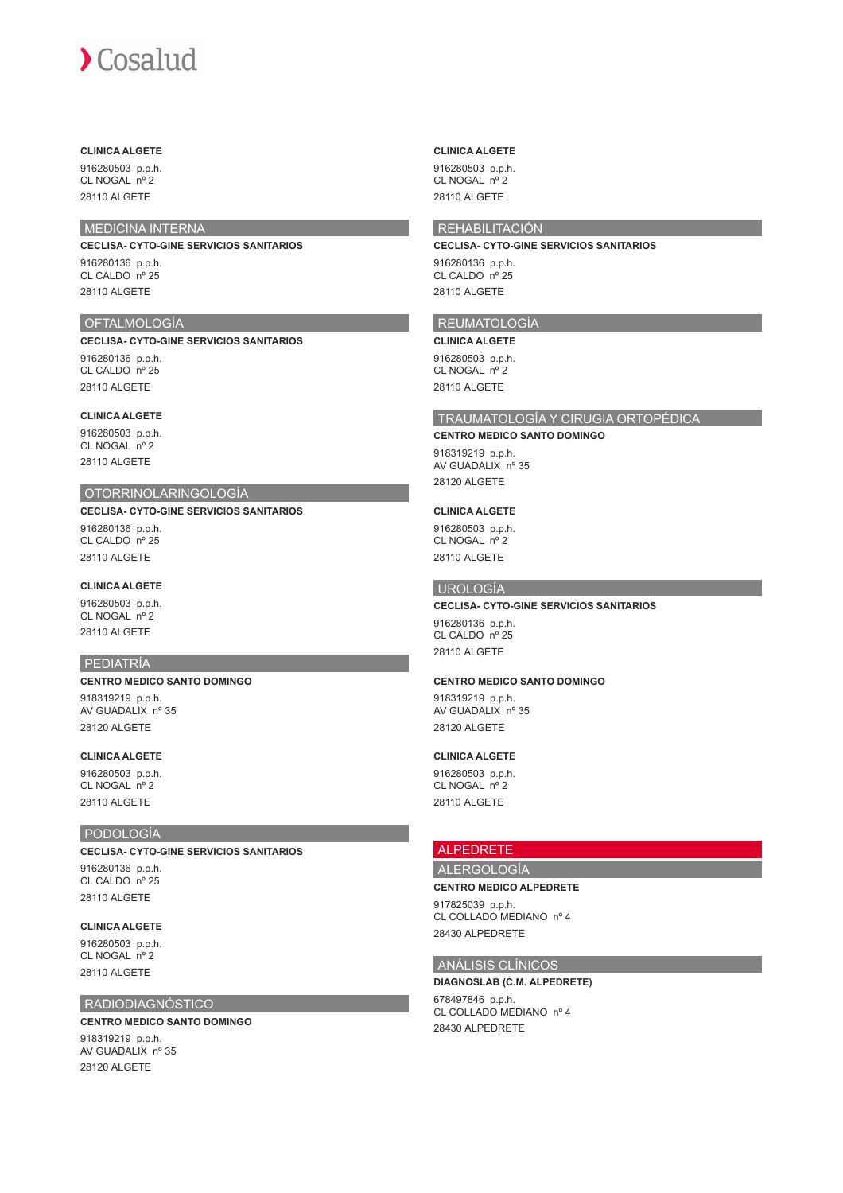## **CLINICA ALGETE**

916280503 p.p.h. CL NOGAL nº 2 28110 ALGETE

# MEDICINA INTERNA

#### **CECLISA- CYTO-GINE SERVICIOS SANITARIOS**

916280136 p.p.h. CL CALDO nº 25 28110 ALGETE

# OFTALMOLOGÍA

**CECLISA- CYTO-GINE SERVICIOS SANITARIOS**

916280136 p.p.h. CL CALDO nº 25 28110 ALGETE

#### **CLINICA ALGETE**

916280503 p.p.h. CL NOGAL nº 2 28110 ALGETE

## OTORRINOLARINGOLOGÍA

**CECLISA- CYTO-GINE SERVICIOS SANITARIOS** 916280136 p.p.h.

CL CALDO nº 25 28110 ALGETE

# **CLINICA ALGETE**

916280503 p.p.h. CL NOGAL nº 2 28110 ALGETE

#### PEDIATRÍA

## **CENTRO MEDICO SANTO DOMINGO**

918319219 p.p.h. AV GUADALIX nº 35 28120 ALGETE

# **CLINICA ALGETE**

916280503 p.p.h. CL NOGAL nº 2 28110 ALGETE

# PODOLOGÍA

**CECLISA- CYTO-GINE SERVICIOS SANITARIOS**

916280136 p.p.h. CL CALDO nº 25 28110 ALGETE

# **CLINICA ALGETE**

916280503 p.p.h. CL NOGAL nº 2 28110 ALGETE

## RADIODIAGNÓSTICO

### **CENTRO MEDICO SANTO DOMINGO** 918319219 p.p.h. AV GUADALIX nº 35 28120 ALGETE

#### **CLINICA ALGETE**

916280503 p.p.h. CL NOGAL nº 2 28110 ALGETE

# REHABILITACIÓN

**CECLISA- CYTO-GINE SERVICIOS SANITARIOS** 916280136 p.p.h. CL CALDO nº 25

# REUMATOLOGÍA

**CLINICA ALGETE** 916280503 p.p.h. CL NOGAL nº 2 28110 ALGETE

28110 ALGETE

# TRAUMATOLOGÍA Y CIRUGIA ORTOPÉDICA

#### **CENTRO MEDICO SANTO DOMINGO**

918319219 p.p.h. AV GUADALIX nº 35 28120 ALGETE

#### **CLINICA ALGETE**

916280503 p.p.h. CL NOGAL nº 2 28110 ALGETE

### UROLOGÍA

#### **CECLISA- CYTO-GINE SERVICIOS SANITARIOS** 916280136 p.p.h. CL CALDO nº 25 28110 ALGETE

#### **CENTRO MEDICO SANTO DOMINGO**

918319219 p.p.h. AV GUADALIX nº 35 28120 ALGETE

# **CLINICA ALGETE**

916280503 p.p.h. CL NOGAL nº 2 28110 ALGETE

# ALPEDRETE

# ALERGOLOGÍA

**CENTRO MEDICO ALPEDRETE**

917825039 p.p.h. CL COLLADO MEDIANO nº 4 28430 ALPEDRETE

# ANÁLISIS CLÍNICOS

#### **DIAGNOSLAB (C.M. ALPEDRETE)**

678497846 p.p.h. CL COLLADO MEDIANO nº 4 28430 ALPEDRETE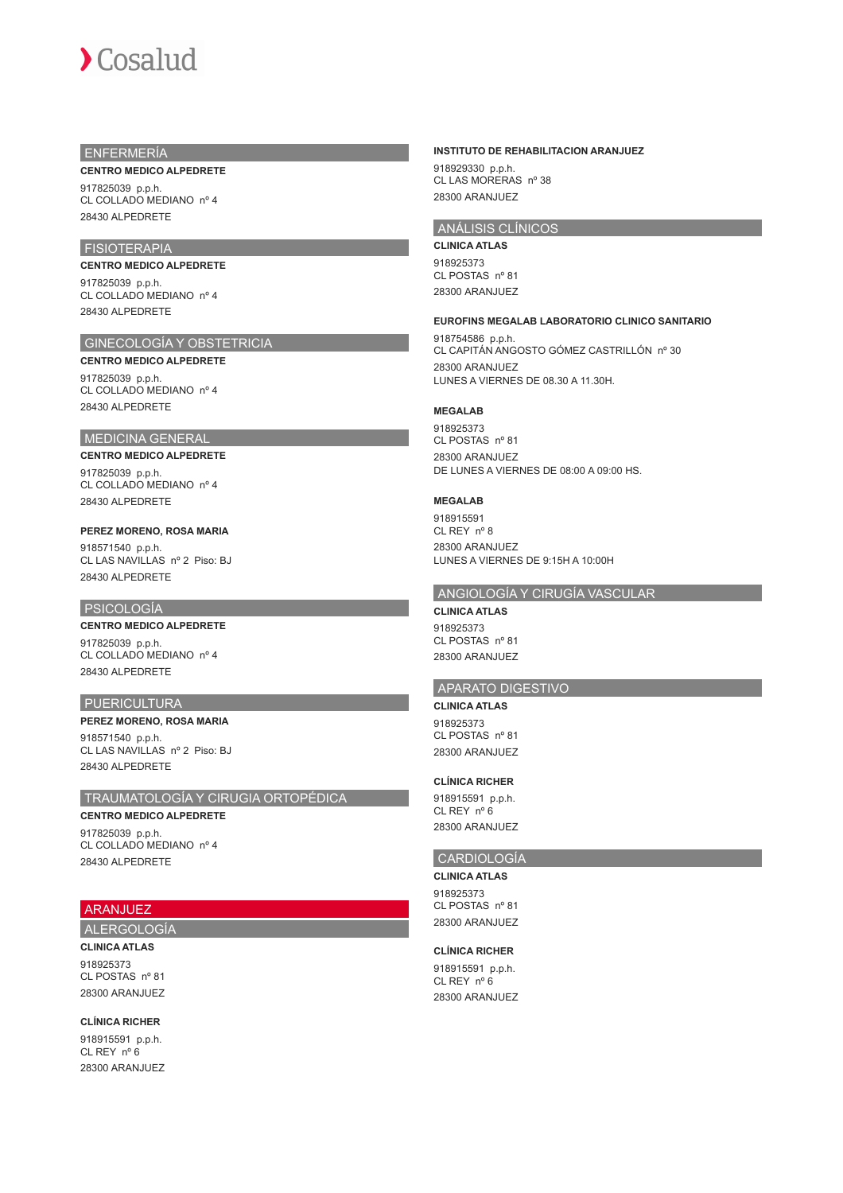# ENFERMERÍA

#### **CENTRO MEDICO ALPEDRETE**

917825039 p.p.h. CL COLLADO MEDIANO nº 4 28430 ALPEDRETE

# FISIOTERAPIA

#### **CENTRO MEDICO ALPEDRETE**

917825039 p.p.h. CL COLLADO MEDIANO nº 4 28430 ALPEDRETE

# GINECOLOGÍA Y OBSTETRICIA

#### **CENTRO MEDICO ALPEDRETE**

917825039 p.p.h. CL COLLADO MEDIANO nº 4 28430 ALPEDRETE

## MEDICINA GENERAL

#### **CENTRO MEDICO ALPEDRETE**

917825039 p.p.h. CL COLLADO MEDIANO nº 4 28430 ALPEDRETE

## **PEREZ MORENO, ROSA MARIA**

918571540 p.p.h. CL LAS NAVILLAS nº 2 Piso: BJ 28430 ALPEDRETE

#### PSICOLOGÍA

#### **CENTRO MEDICO ALPEDRETE**

917825039 p.p.h. CL COLLADO MEDIANO nº 4 28430 ALPEDRETE

## **PUERICULTURA**

### **PEREZ MORENO, ROSA MARIA** 918571540 p.p.h. CL LAS NAVILLAS nº 2 Piso: BJ 28430 ALPEDRETE

## TRAUMATOLOGÍA Y CIRUGIA ORTOPÉDICA

**CENTRO MEDICO ALPEDRETE** 917825039 p.p.h. CL COLLADO MEDIANO nº 4 28430 ALPEDRETE

# ARANJUEZ

# ALERGOLOGÍA

**CLINICA ATLAS** 918925373 CL POSTAS nº 81 28300 ARANJUEZ

**CLÍNICA RICHER** 918915591 p.p.h. CL REY nº 6 28300 ARANJUEZ

### **INSTITUTO DE REHABILITACION ARANJUEZ**

918929330 p.p.h. CL LAS MORERAS nº 38 28300 ARANJUEZ

# ANÁLISIS CLÍNICOS

**CLINICA ATLAS** 918925373 CL POSTAS nº 81 28300 ARANJUEZ

#### **EUROFINS MEGALAB LABORATORIO CLINICO SANITARIO**

918754586 p.p.h. CL CAPITÁN ANGOSTO GÓMEZ CASTRILLÓN nº 30 28300 ARANJUEZ LUNES A VIERNES DE 08.30 A 11.30H.

## **MEGALAB**

918925373 CL POSTAS nº 81 28300 ARANJUEZ DE LUNES A VIERNES DE 08:00 A 09:00 HS.

#### **MEGALAB**

918915591 CL REY nº 8 28300 ARANJUEZ LUNES A VIERNES DE 9:15H A 10:00H

#### ANGIOLOGÍA Y CIRUGÍA VASCULAR

**CLINICA ATLAS** 918925373 CL POSTAS nº 81 28300 ARANJUEZ

#### APARATO DIGESTIVO

# **CLINICA ATLAS**

918925373 CL POSTAS nº 81 28300 ARANJUEZ

#### **CLÍNICA RICHER**

918915591 p.p.h. CL REY nº 6 28300 ARANJUEZ

## CARDIOLOGÍA

**CLINICA ATLAS** 918925373 CL POSTAS nº 81 28300 ARANJUEZ

# **CLÍNICA RICHER**

918915591 p.p.h. CL REY nº 6 28300 ARANJUEZ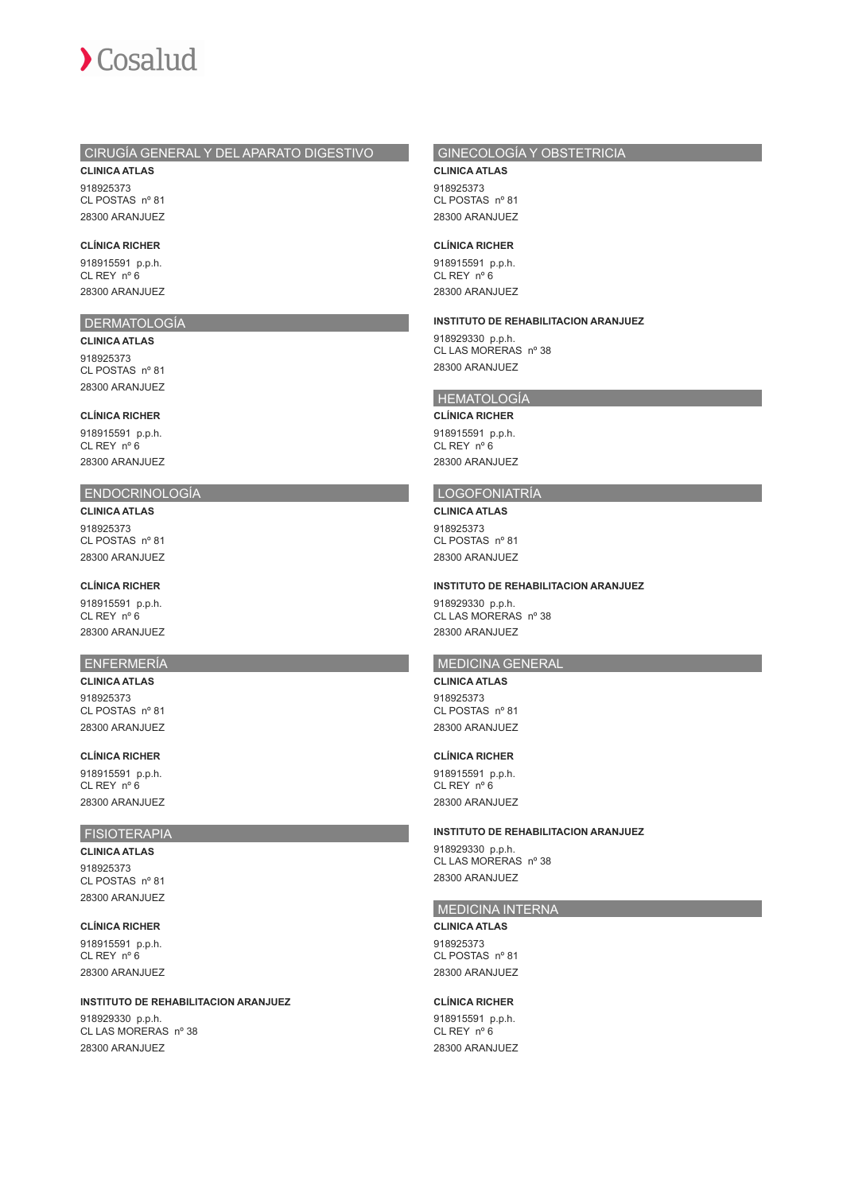# CIRUGÍA GENERAL Y DEL APARATO DIGESTIVO

**CLINICA ATLAS** 918925373 CL POSTAS nº 81 28300 ARANJUEZ

#### **CLÍNICA RICHER**

918915591 p.p.h. CL REY nº 6 28300 ARANJUEZ

### DERMATOLOGÍA

**CLINICA ATLAS** 918925373 CL POSTAS nº 81 28300 ARANJUEZ

#### **CLÍNICA RICHER**

918915591 p.p.h. CL REY nº 6 28300 ARANJUEZ

# ENDOCRINOLOGÍA

**CLINICA ATLAS** 918925373 CL POSTAS nº 81 28300 ARANJUEZ

#### **CLÍNICA RICHER**

918915591 p.p.h. CL REY nº 6 28300 ARANJUEZ

### ENFERMERÍA

**CLINICA ATLAS** 018025373 CL POSTAS nº 81 28300 ARANJUEZ

#### **CLÍNICA RICHER**

918915591 p.p.h. CL REY nº 6 28300 ARANJUEZ

# **FISIOTERAPIA**

**CLINICA ATLAS** 918925373 CL POSTAS nº 81 28300 ARANJUEZ

## **CLÍNICA RICHER**

918915591 p.p.h. CL REY nº 6 28300 ARANJUEZ

### **INSTITUTO DE REHABILITACION ARANJUEZ**

918929330 p.p.h. CL LAS MORERAS nº 38 28300 ARANJUEZ

# GINECOLOGÍA Y OBSTETRICIA

**CLINICA ATLAS** 918925373 CL POSTAS nº 81 28300 ARANJUEZ

#### **CLÍNICA RICHER**

918915591 p.p.h. CL REY nº 6 28300 ARANJUEZ

#### **INSTITUTO DE REHABILITACION ARANJUEZ**

918929330 p.p.h. CL LAS MORERAS nº 38 28300 ARANJUEZ

# HEMATOLOGÍA

**CLÍNICA RICHER** 918915591 p.p.h. CL REY nº 6 28300 ARANJUEZ

## LOGOFONIATRÍA

**CLINICA ATLAS** 918925373 CL POSTAS nº 81 28300 ARANJUEZ

#### **INSTITUTO DE REHABILITACION ARANJUEZ**

918929330 p.p.h. CL LAS MORERAS nº 38 28300 ARANJUEZ

# MEDICINA GENERAL

# **CLINICA ATLAS**

918925373 CL POSTAS nº 81 28300 ARANJUEZ

#### **CLÍNICA RICHER**

918915591 p.p.h. CL REY nº 6 28300 ARANJUEZ

#### **INSTITUTO DE REHABILITACION ARANJUEZ**

918929330 p.p.h. CL LAS MORERAS nº 38 28300 ARANJUEZ

#### MEDICINA INTERNA

**CLINICA ATLAS** 918925373

CL POSTAS nº 81 28300 ARANJUEZ

### **CLÍNICA RICHER**

918915591 p.p.h. CL REY nº 6 28300 ARANJUEZ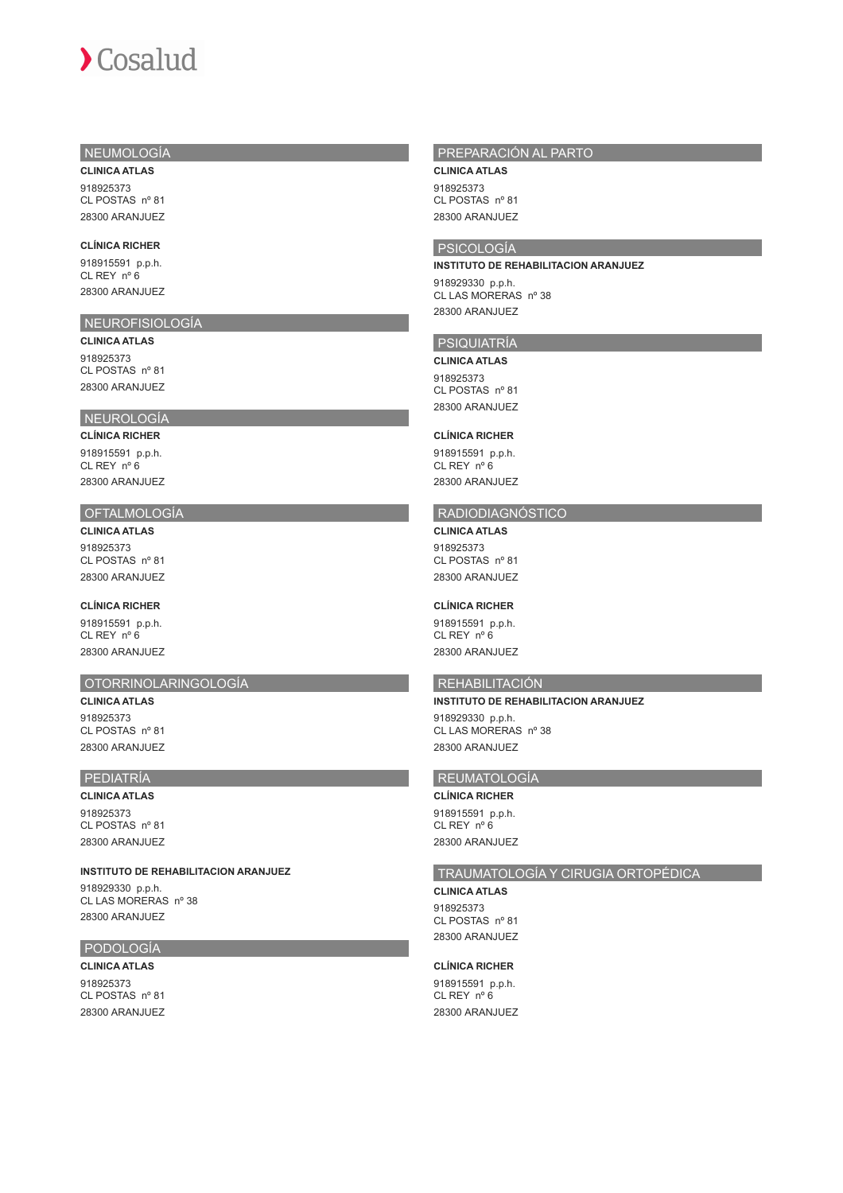# NEUMOLOGÍA

**CLINICA ATLAS** 918925373 CL POSTAS nº 81 28300 ARANJUEZ

#### **CLÍNICA RICHER**

918915591 p.p.h. CL REY nº 6 28300 ARANJUEZ

# NEUROFISIOLOGÍA

**CLINICA ATLAS** 918925373 CL POSTAS nº 81 28300 ARANJUEZ

# NEUROLOGÍA

**CLÍNICA RICHER** 918915591 p.p.h. CL REY nº 6 28300 ARANJUEZ

# OFTALMOLOGÍA

**CLINICA ATLAS** 918925373

CL POSTAS nº 81 28300 ARANJUEZ

# **CLÍNICA RICHER**

918915591 p.p.h. CL REY nº 6 28300 ARANJUEZ

#### OTORRINOLARINGOLOGÍA

**CLINICA ATLAS** 918925373 CL POSTAS nº 81 28300 ARANJUEZ

# PEDIATRÍA

**CLINICA ATLAS** 918925373 CL POSTAS nº 81 28300 ARANJUEZ

**INSTITUTO DE REHABILITACION ARANJUEZ**

918929330 p.p.h. CL LAS MORERAS nº 38 28300 ARANJUEZ

# PODOLOGÍA

**CLINICA ATLAS** 918925373 CL POSTAS nº 81 28300 ARANJUEZ

# PREPARACIÓN AL PARTO

**CLINICA ATLAS** 918925373 CL POSTAS nº 81 28300 ARANJUEZ

# PSICOLOGÍA

#### **INSTITUTO DE REHABILITACION ARANJUEZ**

918929330 p.p.h. CL LAS MORERAS nº 38 28300 ARANJUEZ

# PSIQUIATRÍA

**CLINICA ATLAS** 918925373 CL POSTAS nº 81 28300 ARANJUEZ

#### **CLÍNICA RICHER**

918915591 p.p.h. CL REY nº 6 28300 ARANJUEZ

# RADIODIAGNÓSTICO

**CLINICA ATLAS**

918925373 CL POSTAS nº 81 28300 ARANJUEZ

#### **CLÍNICA RICHER**

918915591 p.p.h. CL REY nº 6 28300 ARANJUEZ

#### REHABILITACIÓN

#### **INSTITUTO DE REHABILITACION ARANJUEZ**

918929330 p.p.h. CL LAS MORERAS nº 38 28300 ARANJUEZ

# REUMATOLOGÍA

# **CLÍNICA RICHER**

918915591 p.p.h. CL REY nº 6 28300 ARANJUEZ

# TRAUMATOLOGÍA Y CIRUGIA ORTOPÉDICA

**CLINICA ATLAS** 918925373 CL POSTAS nº 81

28300 ARANJUEZ

#### **CLÍNICA RICHER**

918915591 p.p.h. CL REY nº 6 28300 ARANJUEZ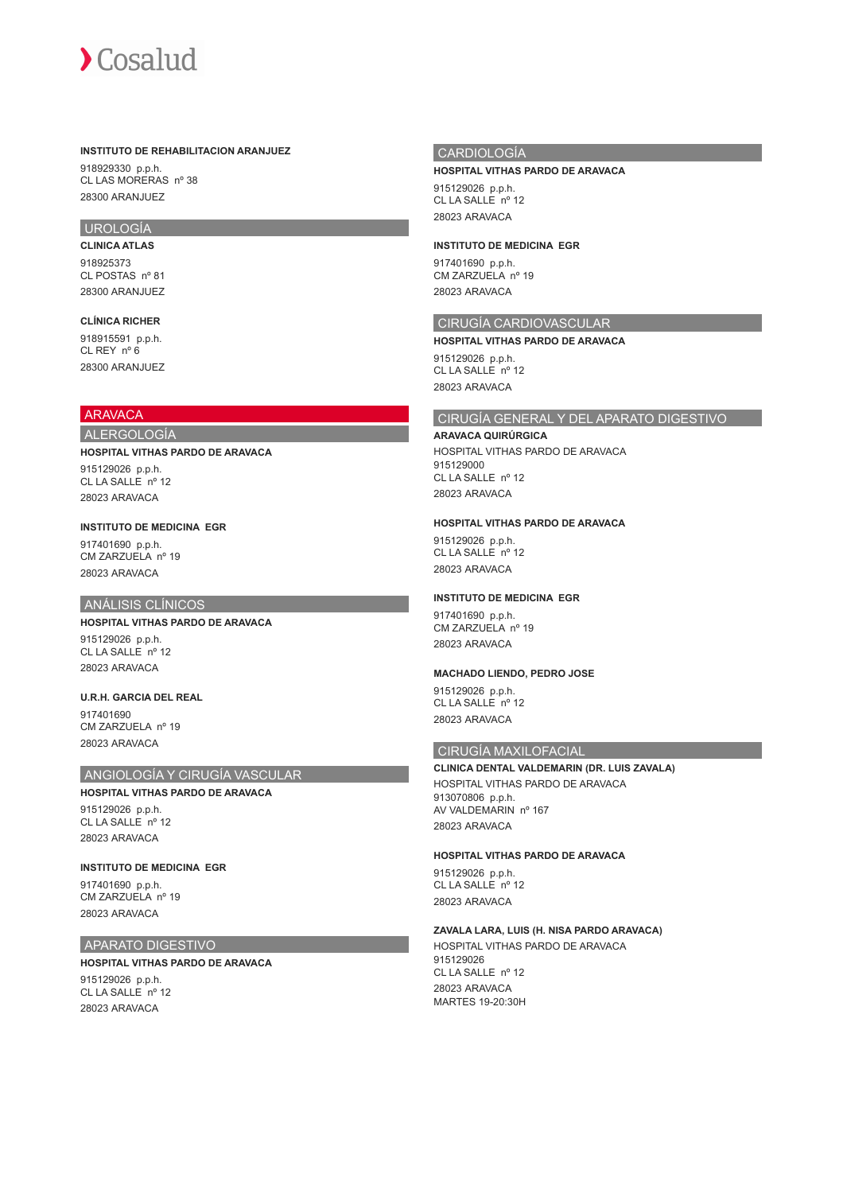#### **INSTITUTO DE REHABILITACION ARANJUEZ**

918929330 p.p.h. CL LAS MORERAS nº 38 28300 ARANJUEZ

# UROLOGÍA

**CLINICA ATLAS** 918925373 CL POSTAS nº 81 28300 ARANJUEZ

# **CLÍNICA RICHER**

918915591 p.p.h. CL REY nº 6 28300 ARANJUEZ

# **ARAVACA**

#### ALERGOLOGÍA

#### **HOSPITAL VITHAS PARDO DE ARAVACA**

915129026 p.p.h. CL LA SALLE nº 12 28023 ARAVACA

#### **INSTITUTO DE MEDICINA EGR**

917401690 p.p.h. CM ZARZUELA nº 19 28023 ARAVACA

# ANÁLISIS CLÍNICOS

# **HOSPITAL VITHAS PARDO DE ARAVACA**

915129026 p.p.h. CL LA SALLE<sup>nº</sup> 12 28023 ARAVACA

## **U.R.H. GARCIA DEL REAL**

017401690 CM ZARZUELA nº 19 28023 ARAVACA

# ANGIOLOGÍA Y CIRUGÍA VASCULAR

## **HOSPITAL VITHAS PARDO DE ARAVACA**

915129026 p.p.h. CL LA SALLE nº 12 28023 ARAVACA

# **INSTITUTO DE MEDICINA EGR**

917401690 p.p.h. CM ZARZUELA nº 19 28023 ARAVACA

# APARATO DIGESTIVO

# **HOSPITAL VITHAS PARDO DE ARAVACA**

915129026 p.p.h. CL LA SALLE nº 12 28023 ARAVACA

# CARDIOLOGÍA

#### **HOSPITAL VITHAS PARDO DE ARAVACA**

915129026 p.p.h. CL LA SALLE nº 12 28023 ARAVACA

#### **INSTITUTO DE MEDICINA EGR**

917401690 p.p.h. CM ZARZUELA nº 19 28023 ARAVACA

# CIRUGÍA CARDIOVASCULAR

**HOSPITAL VITHAS PARDO DE ARAVACA** 915129026 p.p.h. CL LA SALLE nº 12 28023 ARAVACA

# CIRUGÍA GENERAL Y DEL APARATO DIGESTIVO

#### **ARAVACA QUIRÚRGICA**

HOSPITAL VITHAS PARDO DE ARAVACA 915129000 CL LA SALLE nº 12 28023 ARAVACA

# **HOSPITAL VITHAS PARDO DE ARAVACA**

915129026 p.p.h. CL LA SALLE nº 12 28023 ARAVACA

# **INSTITUTO DE MEDICINA EGR**

917401690 p.p.h. CM ZARZUELA nº 19 28023 ARAVACA

# **MACHADO LIENDO, PEDRO JOSE**

915129026 p.p.h. CL LA SALLE<sup>nº</sup> 12 28023 ARAVACA

# CIRUGÍA MAXILOFACIAL

# **CLINICA DENTAL VALDEMARIN (DR. LUIS ZAVALA)** HOSPITAL VITHAS PARDO DE ARAVACA 913070806 p.p.h.

AV VALDEMARIN nº 167 28023 ARAVACA

#### **HOSPITAL VITHAS PARDO DE ARAVACA**

915129026 p.p.h. CL LA SALLE nº 12 28023 ARAVACA

#### **ZAVALA LARA, LUIS (H. NISA PARDO ARAVACA)**

HOSPITAL VITHAS PARDO DE ARAVACA 915129026  $CI$   $I$  A SALLE  $n^{\circ}$  12 28023 ARAVACA MARTES 19-20:30H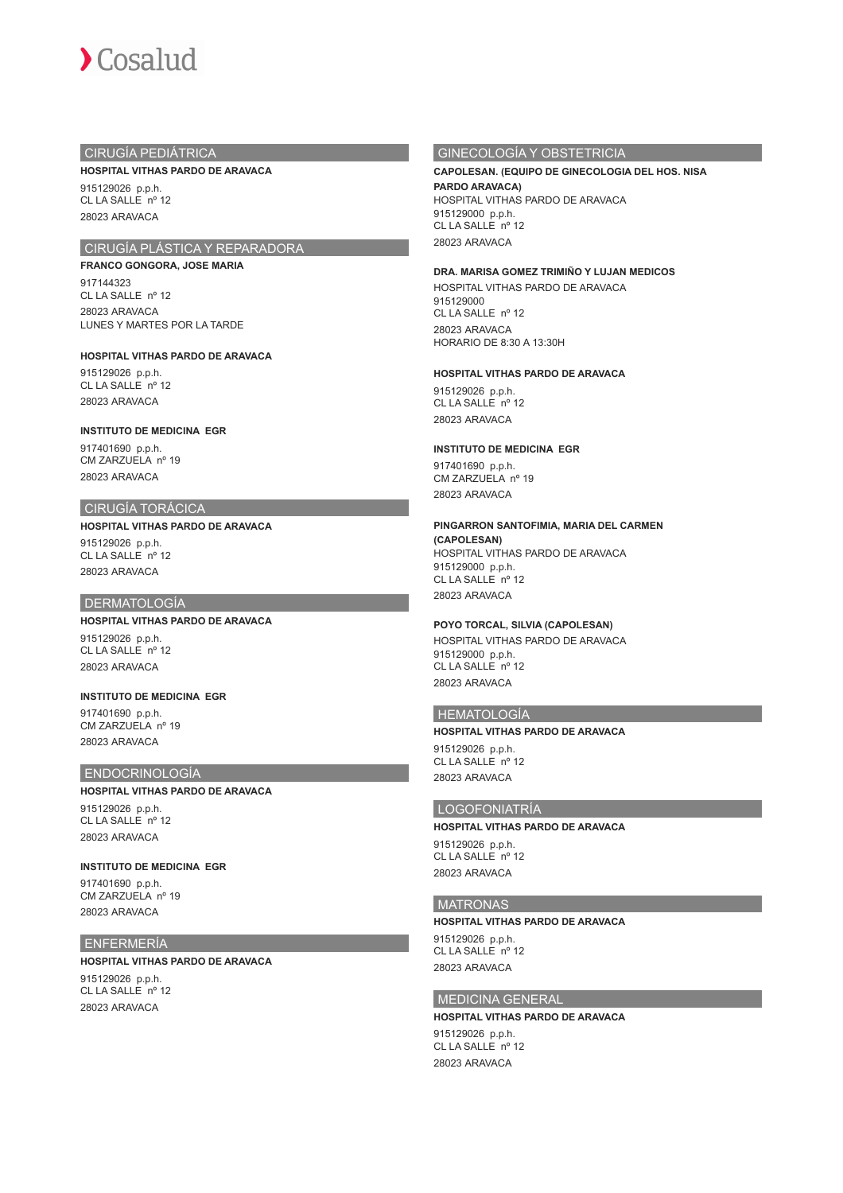

# CIRUGÍA PEDIÁTRICA

#### **HOSPITAL VITHAS PARDO DE ARAVACA**

915129026 p.p.h. CL LA SALLE nº 12 28023 ARAVACA

# CIRUGÍA PLÁSTICA Y REPARADORA

# **FRANCO GONGORA, JOSE MARIA**

917144323  $CI$   $I$   $A$   $S$  $A$  $I$  $F$   $n^{\circ}$  12 28023 ARAVACA LUNES Y MARTES POR LA TARDE

## **HOSPITAL VITHAS PARDO DE ARAVACA**

915129026 p.p.h. CL LA SALLE nº 12 28023 ARAVACA

#### **INSTITUTO DE MEDICINA EGR**

917401690 p.p.h. CM ZARZUELA nº 19 28023 ARAVACA

#### CIRUGÍA TORÁCICA

**HOSPITAL VITHAS PARDO DE ARAVACA** 915129026 p.p.h. CL LA SALLE nº 12 28023 ARAVACA

# DERMATOLOGÍA

**HOSPITAL VITHAS PARDO DE ARAVACA** 915129026 p.p.h. CL LA SALLE nº 12 28023 ARAVACA

## **INSTITUTO DE MEDICINA EGR** 917401690 p.p.h.

CM ZARZUELA nº 19 28023 ARAVACA

# ENDOCRINOLOGÍA

**HOSPITAL VITHAS PARDO DE ARAVACA** 915129026 p.p.h. CL LA SALLE nº 12 28023 ARAVACA

# **INSTITUTO DE MEDICINA EGR**

917401690 p.p.h. CM ZARZUELA nº 19 28023 ARAVACA

# ENFERMERÍA

#### **HOSPITAL VITHAS PARDO DE ARAVACA**

915129026 p.p.h. CL LA SALLE nº 12 28023 ARAVACA

# GINECOLOGÍA Y OBSTETRICIA

# **CAPOLESAN. (EQUIPO DE GINECOLOGIA DEL HOS. NISA PARDO ARAVACA)**

HOSPITAL VITHAS PARDO DE ARAVACA 915129000 p.p.h. CL LA SALLE<sup>nº</sup> 12 28023 ARAVACA

#### **DRA. MARISA GOMEZ TRIMIÑO Y LUJAN MEDICOS**

HOSPITAL VITHAS PARDO DE ARAVACA 915129000 CL LA SALLE nº 12 28023 ARAVACA HORARIO DE 8:30 A 13:30H

#### **HOSPITAL VITHAS PARDO DE ARAVACA**

915129026 p.p.h. CL LA SALLE nº 12 28023 ARAVACA

#### **INSTITUTO DE MEDICINA EGR**

917401690 p.p.h. CM ZARZUELA nº 19 28023 ARAVACA

# **PINGARRON SANTOFIMIA, MARIA DEL CARMEN**

**(CAPOLESAN)** HOSPITAL VITHAS PARDO DE ARAVACA 915129000 p.p.h. CL LA SALLE nº 12 28023 ARAVACA

## **POYO TORCAL, SILVIA (CAPOLESAN)**

HOSPITAL VITHAS PARDO DE ARAVACA 915129000 p.p.h. CL LA SALLE nº 12 28023 ARAVACA

#### HEMATOLOGÍA

#### **HOSPITAL VITHAS PARDO DE ARAVACA**

915129026 p.p.h.  $CL$   $L$   $A$  SALLE n<sup>o</sup> 12 28023 ARAVACA

# LOGOFONIATRÍA

**HOSPITAL VITHAS PARDO DE ARAVACA** 915129026 p.p.h. CL LA SALLE nº 12 28023 ARAVACA

#### MATRONAS

**HOSPITAL VITHAS PARDO DE ARAVACA** 915129026 p.p.h. CL LA SALLE nº 12

28023 ARAVACA

# MEDICINA GENERAL

**HOSPITAL VITHAS PARDO DE ARAVACA** 915129026 p.p.h. CL LA SALLE<sup>no</sup> 12 28023 ARAVACA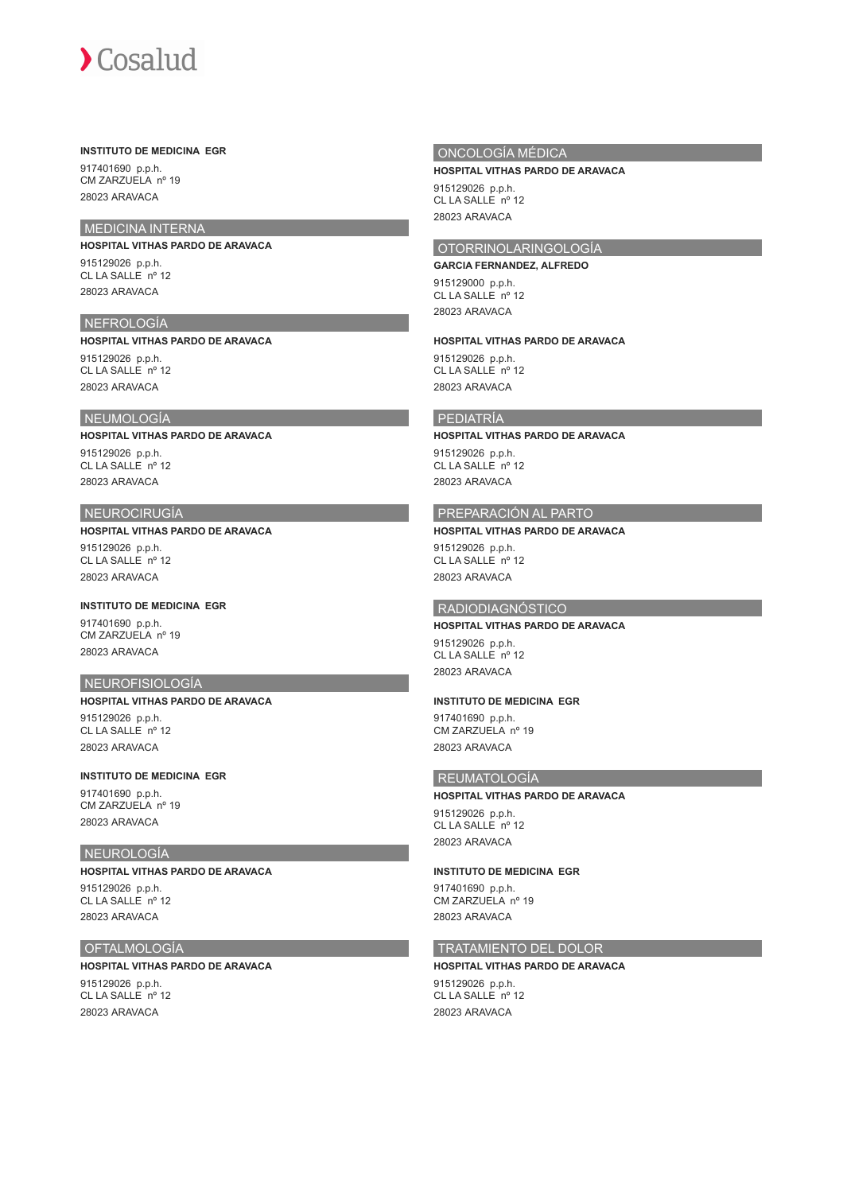## **INSTITUTO DE MEDICINA EGR**

917401690 p.p.h. CM ZARZUELA nº 19 28023 ARAVACA

# MEDICINA INTERNA

## **HOSPITAL VITHAS PARDO DE ARAVACA**

915129026 p.p.h. CL LA SALLE nº 12 28023 ARAVACA

# NEFROLOGÍA

**HOSPITAL VITHAS PARDO DE ARAVACA**

915129026 p.p.h. CL LA SALLE nº 12 28023 ARAVACA

# **NEUMOLOGÍA**

## **HOSPITAL VITHAS PARDO DE ARAVACA**

915129026 p.p.h. CL LA SALLE nº 12 28023 ARAVACA

# NEUROCIRUGÍA

## **HOSPITAL VITHAS PARDO DE ARAVACA**

915129026 p.p.h. CL LA SALLE nº 12 28023 ARAVACA

# **INSTITUTO DE MEDICINA EGR**

917401690 p.p.h. CM ZARZUELA nº 19 28023 ARAVACA

# NEUROFISIOLOGÍA

# **HOSPITAL VITHAS PARDO DE ARAVACA**

915129026 p.p.h.  $CI I A S A I I F n<sup>o</sup> 12$ 28023 ARAVACA

## **INSTITUTO DE MEDICINA EGR**

917401690 p.p.h. CM ZARZUELA nº 19 28023 ARAVACA

## NEUROLOGÍA

# **HOSPITAL VITHAS PARDO DE ARAVACA** 915129026 p.p.h. CL LA SALLE nº 12 28023 ARAVACA

# OFTALMOLOGÍA

**HOSPITAL VITHAS PARDO DE ARAVACA** 915129026 p.p.h. CL LA SALLE nº 12 28023 ARAVACA

## ONCOLOGÍA MÉDICA

#### **HOSPITAL VITHAS PARDO DE ARAVACA**

915129026 p.p.h. CL LA SALLE nº 12 28023 ARAVACA

# OTORRINOLARINGOLOGÍA

## **GARCIA FERNANDEZ, ALFREDO**

915129000 p.p.h. CL LA SALLE<sup>no</sup> 12 28023 ARAVACA

## **HOSPITAL VITHAS PARDO DE ARAVACA**

915129026 p.p.h. CL LA SALLE nº 12 28023 ARAVACA

## PEDIATRÍA

## **HOSPITAL VITHAS PARDO DE ARAVACA**

915129026 p.p.h. CL LA SALLE<sup>nº</sup> 12 28023 ARAVACA

# PREPARACIÓN AL PARTO

## **HOSPITAL VITHAS PARDO DE ARAVACA**

915129026 p.p.h. CL LA SALLE<sup>nº</sup> 12 28023 ARAVACA

## RADIODIAGNÓSTICO

# **HOSPITAL VITHAS PARDO DE ARAVACA**

915129026 p.p.h. CL LA SALLE nº 12 28023 ARAVACA

## **INSTITUTO DE MEDICINA EGR**

917401690 p.p.h. CM ZARZUELA nº 19 28023 ARAVACA

# REUMATOLOGÍA

**HOSPITAL VITHAS PARDO DE ARAVACA** 915129026 p.p.h. CL LA SALLE nº 12 28023 ARAVACA

## **INSTITUTO DE MEDICINA EGR**

917401690 p.p.h. CM ZARZUELA nº 19 28023 ARAVACA

# TRATAMIENTO DEL DOLOR

# **HOSPITAL VITHAS PARDO DE ARAVACA**

915129026 p.p.h. CL LA SALLE nº 12 28023 ARAVACA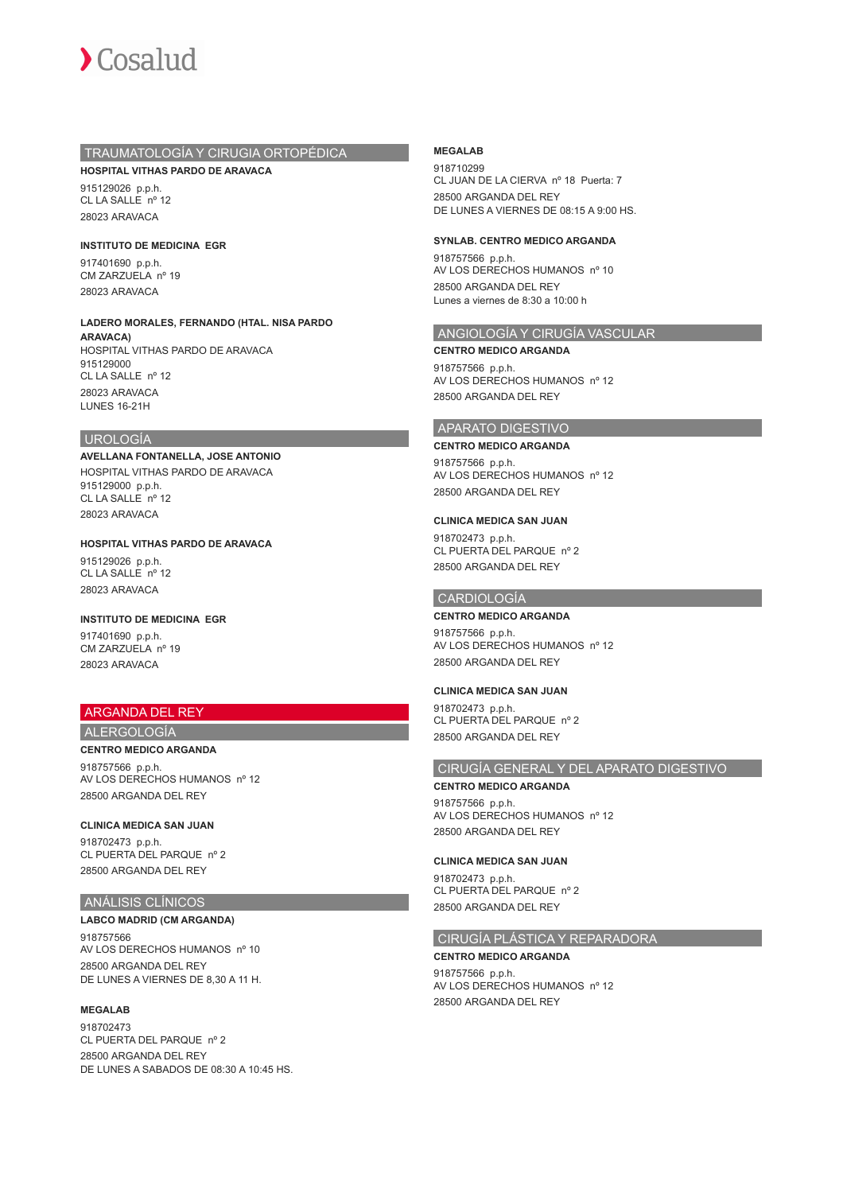

## TRAUMATOLOGÍA Y CIRUGIA ORTOPÉDICA

**HOSPITAL VITHAS PARDO DE ARAVACA**

915129026 p.p.h. CL LA SALLE nº 12 28023 ARAVACA

**INSTITUTO DE MEDICINA EGR**

917401690 p.p.h. CM ZARZUELA nº 19 28023 ARAVACA

**LADERO MORALES, FERNANDO (HTAL. NISA PARDO ARAVACA)** HOSPITAL VITHAS PARDO DE ARAVACA 915129000 CL LA SALLE nº 12 28023 ARAVACA

## UROLOGÍA

LUNES 16-21H

**AVELLANA FONTANELLA, JOSE ANTONIO** HOSPITAL VITHAS PARDO DE ARAVACA 915129000 p.p.h. CL LA SALLE nº 12 28023 ARAVACA

**HOSPITAL VITHAS PARDO DE ARAVACA** 915129026 p.p.h. CL LA SALLE nº 12 28023 ARAVACA

# **INSTITUTO DE MEDICINA EGR**

917401690 p.p.h. CM ZARZUELA nº 19 28023 ARAVACA

# ARGANDA DEL REY

# ALERGOLOGÍA

**CENTRO MEDICO ARGANDA**

918757566 p.p.h. AV LOS DERECHOS HUMANOS nº 12 28500 ARGANDA DEL REY

## **CLINICA MEDICA SAN JUAN**

918702473 p.p.h. CL PUERTA DEL PARQUE nº 2 28500 ARGANDA DEL REY

## ANÁLISIS CLÍNICOS

# **LABCO MADRID (CM ARGANDA)**

918757566 AV LOS DERECHOS HUMANOS nº 10 28500 ARGANDA DEL REY DE LUNES A VIERNES DE 8,30 A 11 H.

## **MEGALAB**

918702473 CL PUERTA DEL PARQUE nº 2 28500 ARGANDA DEL REY DE LUNES A SABADOS DE 08:30 A 10:45 HS.

## **MEGALAB**

918710299 CL JUAN DE LA CIERVA nº 18 Puerta: 7 28500 ARGANDA DEL REY DE LUNES A VIERNES DE 08:15 A 9:00 HS.

## **SYNLAB. CENTRO MEDICO ARGANDA**

918757566 p.p.h. AV LOS DERECHOS HUMANOS nº 10 28500 ARGANDA DEL REY Lunes a viernes de 8:30 a 10:00 h

# ANGIOLOGÍA Y CIRUGÍA VASCULAR

**CENTRO MEDICO ARGANDA** 918757566 p.p.h. AV LOS DERECHOS HUMANOS nº 12 28500 ARGANDA DEL REY

## APARATO DIGESTIVO

**CENTRO MEDICO ARGANDA** 918757566 p.p.h. AV LOS DERECHOS HUMANOS nº 12 28500 ARGANDA DEL REY

## **CLINICA MEDICA SAN JUAN**

918702473 p.p.h. CL PUERTA DEL PARQUE nº 2 28500 ARGANDA DEL REY

## CARDIOLOGÍA **CENTRO MEDICO ARGANDA**

918757566 p.p.h. AV LOS DERECHOS HUMANOS nº 12

28500 ARGANDA DEL REY

**CLINICA MEDICA SAN JUAN** 918702473 p.p.h. CL PUERTA DEL PARQUE nº 2 28500 ARGANDA DEL REY

# CIRUGÍA GENERAL Y DEL APARATO DIGESTIVO

**CENTRO MEDICO ARGANDA** 918757566 p.p.h. AV LOS DERECHOS HUMANOS nº 12 28500 ARGANDA DEL REY

## **CLINICA MEDICA SAN JUAN**

918702473 p.p.h. CL PUERTA DEL PARQUE nº 2 28500 ARGANDA DEL REY

## CIRUGÍA PLÁSTICA Y REPARADORA

## **CENTRO MEDICO ARGANDA**

918757566 p.p.h. AV LOS DERECHOS HUMANOS nº 12 28500 ARGANDA DEL REY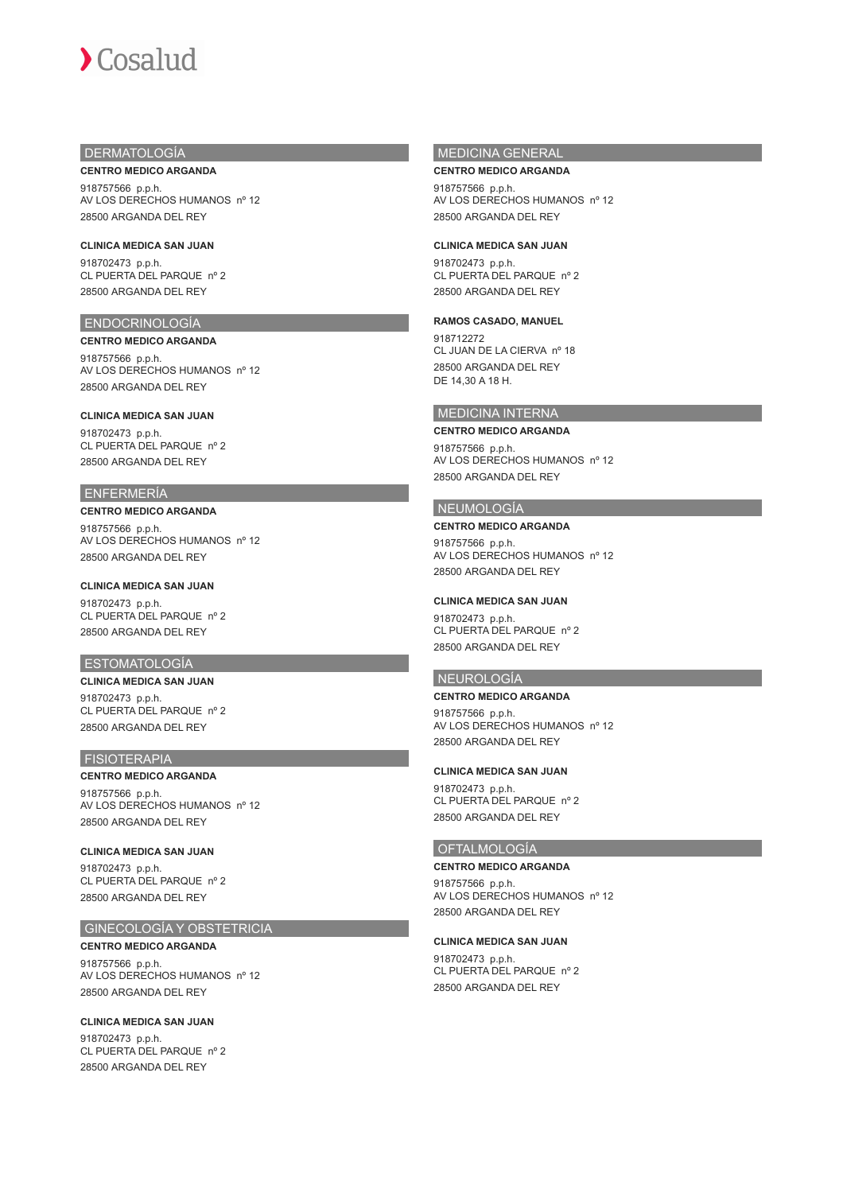# DERMATOLOGÍA

28500 ARGANDA DEL REY

**CENTRO MEDICO ARGANDA** 918757566 p.p.h. AV LOS DERECHOS HUMANOS nº 12

**CLINICA MEDICA SAN JUAN** 918702473 p.p.h. CL PUERTA DEL PARQUE nº 2 28500 ARGANDA DEL REY

# ENDOCRINOLOGÍA

**CENTRO MEDICO ARGANDA** 918757566 p.p.h. AV LOS DERECHOS HUMANOS nº 12 28500 ARGANDA DEL REY

## **CLINICA MEDICA SAN JUAN**

918702473 p.p.h. CL PUERTA DEL PARQUE nº 2 28500 ARGANDA DEL REY

## ENFERMERÍA

**CENTRO MEDICO ARGANDA**

918757566 p.p.h. AV LOS DERECHOS HUMANOS nº 12 28500 ARGANDA DEL REY

## **CLINICA MEDICA SAN JUAN**

918702473 p.p.h. CL PUERTA DEL PARQUE nº 2 28500 ARGANDA DEL REY

## ESTOMATOLOGÍA

**CLINICA MEDICA SAN JUAN** 918702473 p.p.h. CL PUERTA DEL PARQUE nº 2 28500 ARGANDA DEL REY

## FISIOTERAPIA

## **CENTRO MEDICO ARGANDA**

918757566 p.p.h. AV LOS DERECHOS HUMANOS nº 12 28500 ARGANDA DEL REY

**CLINICA MEDICA SAN JUAN**

918702473 p.p.h. CL PUERTA DEL PARQUE nº 2 28500 ARGANDA DEL REY

## GINECOLOGÍA Y OBSTETRICIA

**CENTRO MEDICO ARGANDA** 918757566 p.p.h. AV LOS DERECHOS HUMANOS nº 12 28500 ARGANDA DEL REY

**CLINICA MEDICA SAN JUAN** 918702473 p.p.h. CL PUERTA DEL PARQUE nº 2 28500 ARGANDA DEL REY

# MEDICINA GENERAL

**CENTRO MEDICO ARGANDA** 918757566 p.p.h. AV LOS DERECHOS HUMANOS nº 12 28500 ARGANDA DEL REY

## **CLINICA MEDICA SAN JUAN**

918702473 p.p.h. CL PUERTA DEL PARQUE nº 2 28500 ARGANDA DEL REY

## **RAMOS CASADO, MANUEL**

918712272 CL JUAN DE LA CIERVA nº 18 28500 ARGANDA DEL REY DE 14,30 A 18 H.

## MEDICINA INTERNA

## **CENTRO MEDICO ARGANDA**

918757566 p.p.h. AV LOS DERECHOS HUMANOS nº 12 28500 ARGANDA DEL REY

# NEUMOLOGÍA

#### **CENTRO MEDICO ARGANDA**

918757566 p.p.h. AV LOS DERECHOS HUMANOS nº 12 28500 ARGANDA DEL REY

## **CLINICA MEDICA SAN JUAN**

918702473 p.p.h. CL PUERTA DEL PARQUE nº 2 28500 ARGANDA DEL REY

## NEUROLOGÍA

**CENTRO MEDICO ARGANDA** 918757566 p.p.h. AV LOS DERECHOS HUMANOS nº 12 28500 ARGANDA DEL REY

## **CLINICA MEDICA SAN JUAN**

918702473 p.p.h. CL PUERTA DEL PARQUE nº 2 28500 ARGANDA DEL REY

# OFTALMOLOGÍA

**CENTRO MEDICO ARGANDA** 918757566 p.p.h. AV LOS DERECHOS HUMANOS nº 12 28500 ARGANDA DEL REY

## **CLINICA MEDICA SAN JUAN**

918702473 p.p.h. CL PUERTA DEL PARQUE nº 2 28500 ARGANDA DEL REY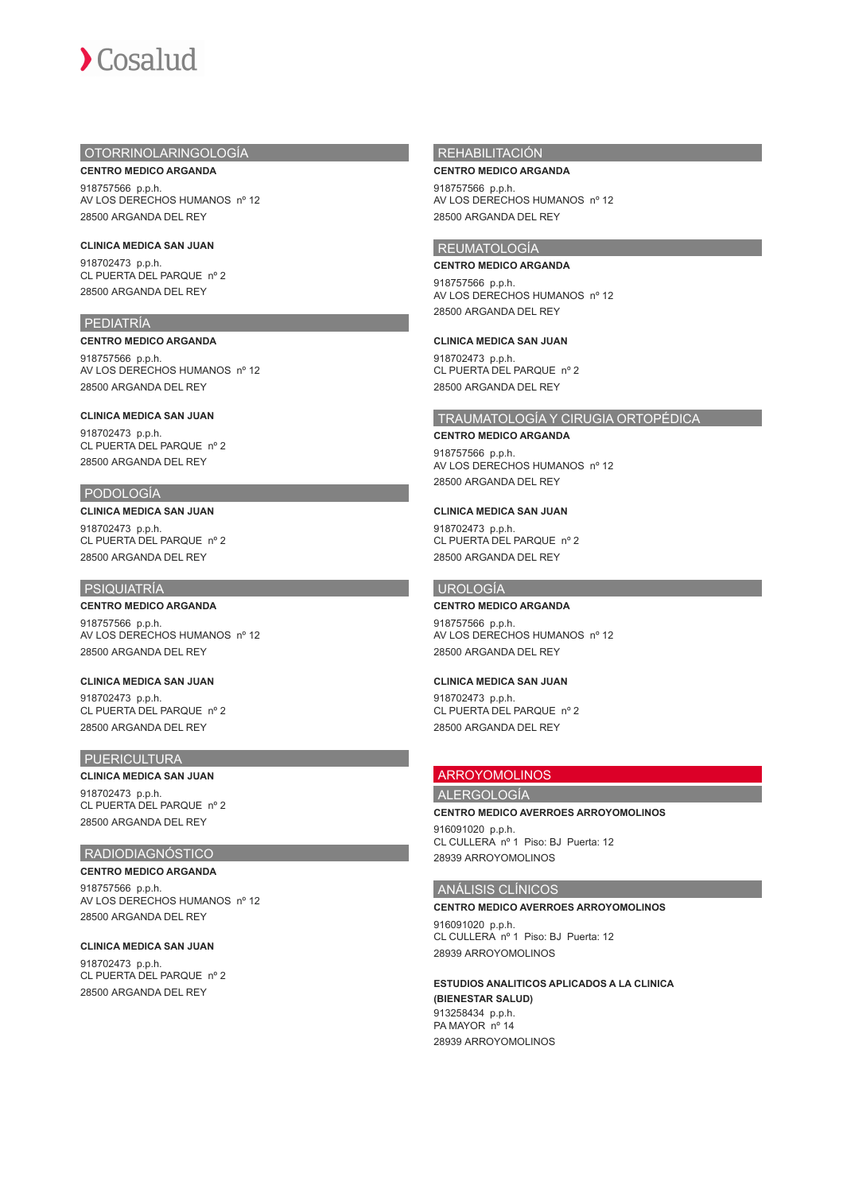# OTORRINOLARINGOLOGÍA

**CENTRO MEDICO ARGANDA** 918757566 p.p.h. AV LOS DERECHOS HUMANOS nº 12 28500 ARGANDA DEL REY

## **CLINICA MEDICA SAN JUAN**

918702473 p.p.h. CL PUERTA DEL PARQUE nº 2 28500 ARGANDA DEL REY

## PEDIATRÍA

## **CENTRO MEDICO ARGANDA**

918757566 p.p.h. AV LOS DERECHOS HUMANOS nº 12 28500 ARGANDA DEL REY

# **CLINICA MEDICA SAN JUAN**

918702473 p.p.h. CL PUERTA DEL PARQUE nº 2 28500 ARGANDA DEL REY

# PODOLOGÍA

## **CLINICA MEDICA SAN JUAN**

918702473 p.p.h. CL PUERTA DEL PARQUE nº 2 28500 ARGANDA DEL REY

# PSIQUIATRÍA

# **CENTRO MEDICO ARGANDA**

918757566 p.p.h. AV LOS DERECHOS HUMANOS nº 12 28500 ARGANDA DEL REY

# **CLINICA MEDICA SAN JUAN**

918702473 p.p.h. CL PUERTA DEL PARQUE nº 2 28500 ARGANDA DEL REY

## PUERICULTURA

# **CLINICA MEDICA SAN JUAN**

918702473 p.p.h. CL PUERTA DEL PARQUE nº 2 28500 ARGANDA DEL REY

## RADIODIAGNÓSTICO

## **CENTRO MEDICO ARGANDA**

918757566 p.p.h. AV LOS DERECHOS HUMANOS nº 12 28500 ARGANDA DEL REY

# **CLINICA MEDICA SAN JUAN**

918702473 p.p.h. CL PUERTA DEL PARQUE nº 2 28500 ARGANDA DEL REY

# **REHABILITACIÓN**

**CENTRO MEDICO ARGANDA** 918757566 p.p.h. AV LOS DERECHOS HUMANOS nº 12 28500 ARGANDA DEL REY

# REUMATOLOGÍA

**CENTRO MEDICO ARGANDA** 918757566 p.p.h. AV LOS DERECHOS HUMANOS nº 12 28500 ARGANDA DEL REY

### **CLINICA MEDICA SAN JUAN**

918702473 p.p.h. CL PUERTA DEL PARQUE nº 2 28500 ARGANDA DEL REY

# TRAUMATOLOGÍA Y CIRUGIA ORTOPÉDICA

## **CENTRO MEDICO ARGANDA**

918757566 p.p.h. AV LOS DERECHOS HUMANOS nº 12 28500 ARGANDA DEL REY

## **CLINICA MEDICA SAN JUAN**

918702473 p.p.h. CL PUERTA DEL PARQUE nº 2 28500 ARGANDA DEL REY

# UROLOGÍA

# **CENTRO MEDICO ARGANDA**

918757566 p.p.h. AV LOS DERECHOS HUMANOS nº 12 28500 ARGANDA DEL REY

## **CLINICA MEDICA SAN JUAN**

918702473 p.p.h. CL PUERTA DEL PARQUE nº 2 28500 ARGANDA DEL REY

# ARROYOMOLINOS

ALERGOLOGÍA

## **CENTRO MEDICO AVERROES ARROYOMOLINOS**

916091020 p.p.h. CL CULLERA nº 1 Piso: BJ Puerta: 12 28939 ARROYOMOLINOS

# ANÁLISIS CLÍNICOS

## **CENTRO MEDICO AVERROES ARROYOMOLINOS**

916091020 p.p.h. CL CULLERA nº 1 Piso: BJ Puerta: 12 28939 ARROYOMOLINOS

**ESTUDIOS ANALITICOS APLICADOS A LA CLINICA (BIENESTAR SALUD)** 913258434 p.p.h. PA MAYOR nº 14 28939 ARROYOMOLINOS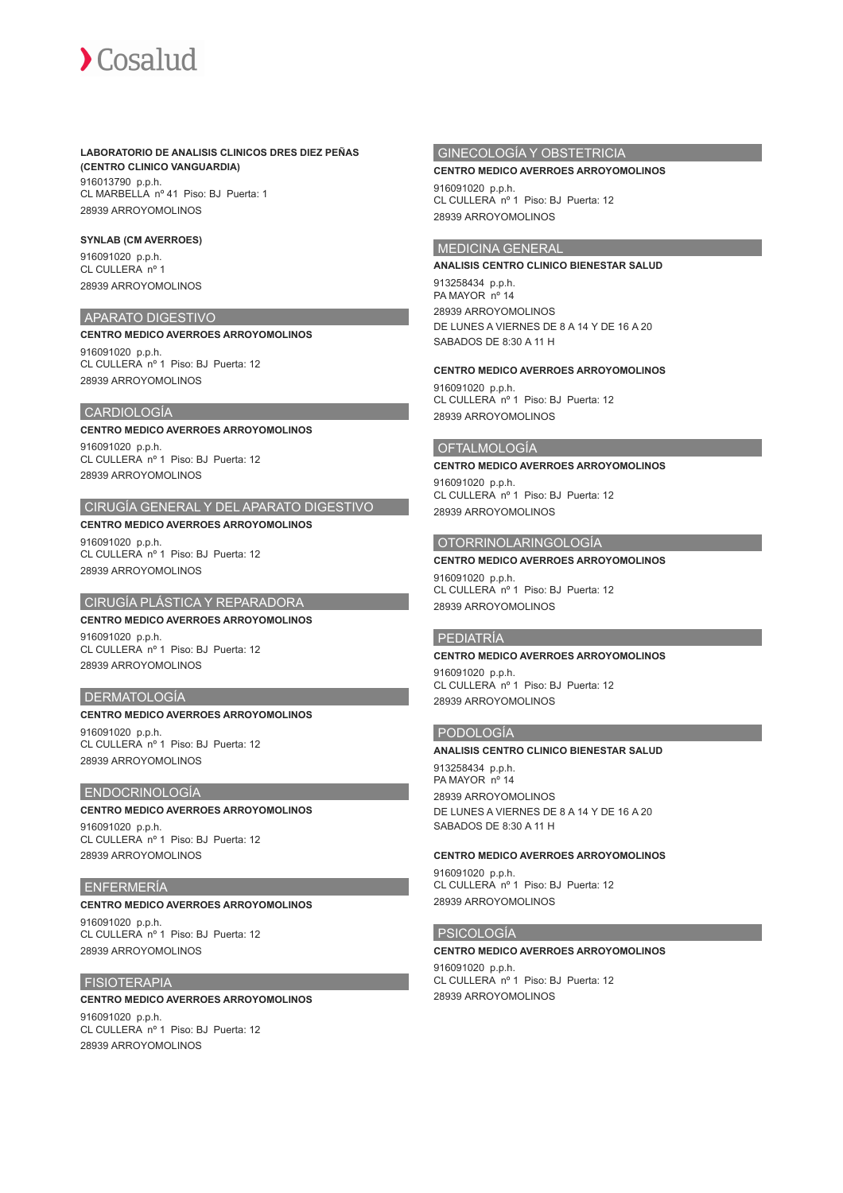## **LABORATORIO DE ANALISIS CLINICOS DRES DIEZ PEÑAS (CENTRO CLINICO VANGUARDIA)**

916013790 p.p.h. CL MARBELLA nº 41 Piso: BJ Puerta: 1 28939 ARROYOMOLINOS

## **SYNLAB (CM AVERROES)**

916091020 p.p.h. CL CULLERA nº 1 28939 ARROYOMOLINOS

## APARATO DIGESTIVO

## **CENTRO MEDICO AVERROES ARROYOMOLINOS**

916091020 p.p.h. CL CULLERA nº 1 Piso: BJ Puerta: 12 28939 ARROYOMOLINOS

## CARDIOLOGÍA

## **CENTRO MEDICO AVERROES ARROYOMOLINOS**

916091020 p.p.h. CL CULLERA nº 1 Piso: BJ Puerta: 12 28939 ARROYOMOLINOS

# CIRUGÍA GENERAL Y DEL APARATO DIGESTIVO

## **CENTRO MEDICO AVERROES ARROYOMOLINOS**

916091020 p.p.h. CL CULLERA nº 1 Piso: BJ Puerta: 12 28939 ARROYOMOLINOS

# CIRUGÍA PLÁSTICA Y REPARADORA

## **CENTRO MEDICO AVERROES ARROYOMOLINOS** 916091020 p.p.h.

CL CULLERA nº 1 Piso: BJ Puerta: 12 28939 ARROYOMOLINOS

# DERMATOLOGÍA

## **CENTRO MEDICO AVERROES ARROYOMOLINOS**

916091020 p.p.h. CL CULLERA nº 1 Piso: BJ Puerta: 12 28939 ARROYOMOLINOS

## ENDOCRINOLOGÍA

# **CENTRO MEDICO AVERROES ARROYOMOLINOS**

916091020 p.p.h. CL CULLERA nº 1 Piso: BJ Puerta: 12 28939 ARROYOMOLINOS

## ENFERMERÍA

# **CENTRO MEDICO AVERROES ARROYOMOLINOS**

916091020 p.p.h. CL CULLERA nº 1 Piso: BJ Puerta: 12 28939 ARROYOMOLINOS

## FISIOTERAPIA

## **CENTRO MEDICO AVERROES ARROYOMOLINOS**

916091020 p.p.h. CL CULLERA nº 1 Piso: BJ Puerta: 12 28939 ARROYOMOLINOS

# GINECOLOGÍA Y OBSTETRICIA

#### **CENTRO MEDICO AVERROES ARROYOMOLINOS**

916091020 p.p.h. CL CULLERA nº 1 Piso: BJ Puerta: 12 28939 ARROYOMOLINOS

## MEDICINA GENERAL

#### **ANALISIS CENTRO CLINICO BIENESTAR SALUD**

913258434 p.p.h. PA MAYOR nº 14 28939 ARROYOMOLINOS DE LUNES A VIERNES DE 8 A 14 Y DE 16 A 20 SABADOS DE 8:30 A 11 H

## **CENTRO MEDICO AVERROES ARROYOMOLINOS**

916091020 p.p.h. CL CULLERA nº 1 Piso: BJ Puerta: 12 28939 ARROYOMOLINOS

## OFTALMOLOGÍA

## **CENTRO MEDICO AVERROES ARROYOMOLINOS** 916091020 p.p.h.

CL CULLERA nº 1 Piso: BJ Puerta: 12 28939 ARROYOMOLINOS

# OTORRINOLARINGOLOGÍA

## **CENTRO MEDICO AVERROES ARROYOMOLINOS**

916091020 p.p.h. CL CULLERA nº 1 Piso: BJ Puerta: 12 28939 ARROYOMOLINOS

## PEDIATRÍA

#### **CENTRO MEDICO AVERROES ARROYOMOLINOS**

916091020 p.p.h. CL CULLERA nº 1 Piso: BJ Puerta: 12 28939 ARROYOMOLINOS

## PODOLOGÍA

## **ANALISIS CENTRO CLINICO BIENESTAR SALUD**

913258434 p.p.h. PA MAYOR nº 14 28939 ARROYOMOLINOS DE LUNES A VIERNES DE 8 A 14 Y DE 16 A 20 SABADOS DE 8:30 A 11 H

#### **CENTRO MEDICO AVERROES ARROYOMOLINOS**

916091020 p.p.h. CL CULLERA nº 1 Piso: BJ Puerta: 12 28939 ARROYOMOLINOS

## PSICOLOGÍA

#### **CENTRO MEDICO AVERROES ARROYOMOLINOS**

916091020 p.p.h. CL CULLERA nº 1 Piso: BJ Puerta: 12 28939 ARROYOMOLINOS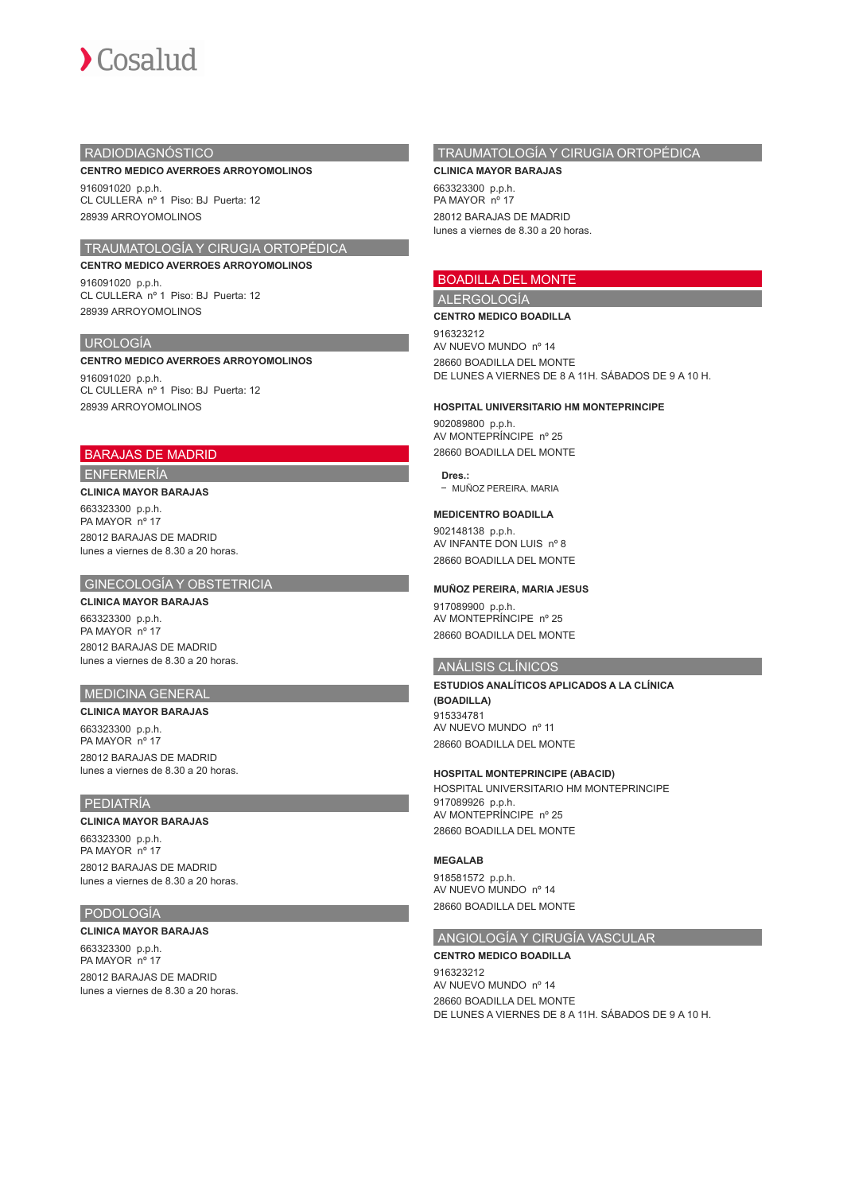

# RADIODIAGNÓSTICO

#### **CENTRO MEDICO AVERROES ARROYOMOLINOS**

916091020 p.p.h. CL CULLERA nº 1 Piso: BJ Puerta: 12 28939 ARROYOMOLINOS

# TRAUMATOLOGÍA Y CIRUGIA ORTOPÉDICA

**CENTRO MEDICO AVERROES ARROYOMOLINOS** 916091020 p.p.h. CL CULLERA nº 1 Piso: BJ Puerta: 12 28939 ARROYOMOLINOS

## UROLOGÍA

#### **CENTRO MEDICO AVERROES ARROYOMOLINOS**

916091020 p.p.h. CL CULLERA nº 1 Piso: BJ Puerta: 12 28939 ARROYOMOLINOS

# BARAJAS DE MADRID

ENFERMERÍA

# **CLINICA MAYOR BARAJAS**

663323300 p.p.h. PA MAYOR nº 17 28012 BARAJAS DE MADRID lunes a viernes de 8.30 a 20 horas.

## GINECOLOGÍA Y OBSTETRICIA

# **CLINICA MAYOR BARAJAS**

663323300 p.p.h. PA MAYOR nº 17 28012 BARAJAS DE MADRID lunes a viernes de 8.30 a 20 horas.

# MEDICINA GENERAL

## **CLINICA MAYOR BARAJAS**

663323300 p.p.h. PA MAYOR nº 17 28012 BARAJAS DE MADRID lunes a viernes de 8.30 a 20 horas.

## PEDIATRÍA

#### **CLINICA MAYOR BARAJAS**

663323300 p.p.h. PA MAYOR nº 17 28012 BARAJAS DE MADRID lunes a viernes de 8.30 a 20 horas.

# PODOLOGÍA

#### **CLINICA MAYOR BARAJAS**

663323300 p.p.h. PA MAYOR nº 17 28012 BARAJAS DE MADRID lunes a viernes de 8.30 a 20 horas.

# TRAUMATOLOGÍA Y CIRUGIA ORTOPÉDICA

**CLINICA MAYOR BARAJAS** 663323300 p.p.h. PA MAYOR nº 17 28012 BARAJAS DE MADRID lunes a viernes de 8.30 a 20 horas.

# BOADILLA DEL MONTE

# ALERGOLOGÍA

**CENTRO MEDICO BOADILLA**

916323212 AV NUEVO MUNDO nº 14 28660 BOADILLA DEL MONTE DE LUNES A VIERNES DE 8 A 11H. SÁBADOS DE 9 A 10 H.

#### **HOSPITAL UNIVERSITARIO HM MONTEPRINCIPE**

902089800 p.p.h. AV MONTEPRÍNCIPE nº 25 28660 BOADILLA DEL MONTE

**Dres.:** - MUÑOZ PEREIRA, MARIA

## **MEDICENTRO BOADILLA**

902148138 p.p.h. AV INFANTE DON LUIS nº 8 28660 BOADILLA DEL MONTE

### **MUÑOZ PEREIRA, MARIA JESUS**

917089900 p.p.h. AV MONTEPRÍNCIPE nº 25 28660 BOADILLA DEL MONTE

## ANÁLISIS CLÍNICOS

**ESTUDIOS ANALÍTICOS APLICADOS A LA CLÍNICA (BOADILLA)** 915334781 AV NUEVO MUNDO nº 11 28660 BOADILLA DEL MONTE

# **HOSPITAL MONTEPRINCIPE (ABACID)**

HOSPITAL UNIVERSITARIO HM MONTEPRINCIPE 917089926 p.p.h. AV MONTEPRÍNCIPE nº 25 28660 BOADILLA DEL MONTE

## **MEGALAB**

918581572 p.p.h. AV NUEVO MUNDO nº 14 28660 BOADILLA DEL MONTE

# ANGIOLOGÍA Y CIRUGÍA VASCULAR

## **CENTRO MEDICO BOADILLA**

916323212 AV NUEVO MUNDO nº 14 28660 BOADILLA DEL MONTE DE LUNES A VIERNES DE 8 A 11H. SÁBADOS DE 9 A 10 H.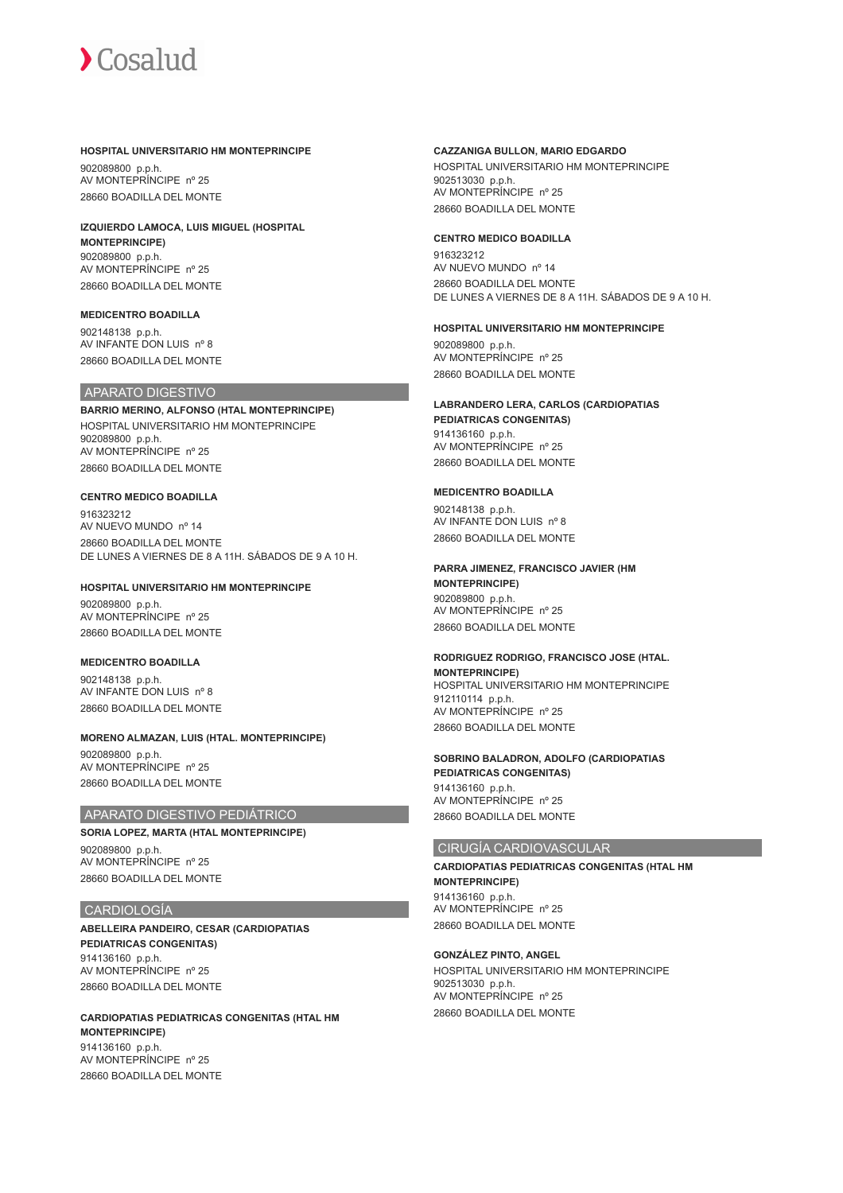#### **HOSPITAL UNIVERSITARIO HM MONTEPRINCIPE**

902089800 p.p.h. AV MONTEPRÍNCIPE nº 25 28660 BOADILLA DEL MONTE

## **IZQUIERDO LAMOCA, LUIS MIGUEL (HOSPITAL MONTEPRINCIPE)** 902089800 p.p.h. AV MONTEPRÍNCIPE nº 25

28660 BOADILLA DEL MONTE

# **MEDICENTRO BOADILLA**

902148138 p.p.h. AV INFANTE DON LUIS nº 8 28660 BOADILLA DEL MONTE

## APARATO DIGESTIVO

**BARRIO MERINO, ALFONSO (HTAL MONTEPRINCIPE)** HOSPITAL UNIVERSITARIO HM MONTEPRINCIPE 902089800 p.p.h. AV MONTEPRÍNCIPE nº 25 28660 BOADILLA DEL MONTE

## **CENTRO MEDICO BOADILLA**

916323212 AV NUEVO MUNDO nº 14 28660 BOADILLA DEL MONTE DE LUNES A VIERNES DE 8 A 11H. SÁBADOS DE 9 A 10 H.

## **HOSPITAL UNIVERSITARIO HM MONTEPRINCIPE**

902089800 p.p.h. AV MONTEPRÍNCIPE nº 25 28660 BOADILLA DEL MONTE

## **MEDICENTRO BOADILLA**

902148138 p.p.h. AV INFANTE DON LUIS nº 8 28660 BOADILLA DEL MONTE

## **MORENO ALMAZAN, LUIS (HTAL. MONTEPRINCIPE)**

902089800 p.p.h. AV MONTEPRÍNCIPE nº 25 28660 BOADILLA DEL MONTE

# APARATO DIGESTIVO PEDIÁTRICO

# **SORIA LOPEZ, MARTA (HTAL MONTEPRINCIPE)**

902089800 p.p.h. AV MONTEPRÍNCIPE nº 25 28660 BOADILLA DEL MONTE

## CARDIOLOGÍA

**ABELLEIRA PANDEIRO, CESAR (CARDIOPATIAS PEDIATRICAS CONGENITAS)** 914136160 p.p.h. AV MONTEPRÍNCIPE nº 25 28660 BOADILLA DEL MONTE

**CARDIOPATIAS PEDIATRICAS CONGENITAS (HTAL HM MONTEPRINCIPE)** 914136160 p.p.h. AV MONTEPRÍNCIPE nº 25 28660 BOADILLA DEL MONTE

## **CAZZANIGA BULLON, MARIO EDGARDO**

HOSPITAL UNIVERSITARIO HM MONTEPRINCIPE 902513030 p.p.h. AV MONTEPRÍNCIPE nº 25 28660 BOADILLA DEL MONTE

## **CENTRO MEDICO BOADILLA**

916323212 AV NUEVO MUNDO nº 14 28660 BOADILLA DEL MONTE DE LUNES A VIERNES DE 8 A 11H. SÁBADOS DE 9 A 10 H.

## **HOSPITAL UNIVERSITARIO HM MONTEPRINCIPE**

902089800 p.p.h. AV MONTEPRÍNCIPE nº 25 28660 BOADILLA DEL MONTE

# **LABRANDERO LERA, CARLOS (CARDIOPATIAS**

**PEDIATRICAS CONGENITAS)** 914136160 p.p.h. AV MONTEPRÍNCIPE nº 25 28660 BOADILLA DEL MONTE

## **MEDICENTRO BOADILLA**

902148138 p.p.h. AV INFANTE DON LUIS nº 8 28660 BOADILLA DEL MONTE

# **PARRA JIMENEZ, FRANCISCO JAVIER (HM**

**MONTEPRINCIPE)** 902089800 p.p.h. AV MONTEPRÍNCIPE nº 25 28660 BOADILLA DEL MONTE

## **RODRIGUEZ RODRIGO, FRANCISCO JOSE (HTAL. MONTEPRINCIPE)**

HOSPITAL UNIVERSITARIO HM MONTEPRINCIPE 912110114 p.p.h. AV MONTEPRÍNCIPE nº 25 28660 BOADILLA DEL MONTE

## **SOBRINO BALADRON, ADOLFO (CARDIOPATIAS PEDIATRICAS CONGENITAS)** 914136160 p.p.h. AV MONTEPRÍNCIPE nº 25 28660 BOADILLA DEL MONTE

## CIRUGÍA CARDIOVASCULAR

**CARDIOPATIAS PEDIATRICAS CONGENITAS (HTAL HM MONTEPRINCIPE)** 914136160 p.p.h. AV MONTEPRÍNCIPE nº 25 28660 BOADILLA DEL MONTE

# **GONZÁLEZ PINTO, ANGEL**

HOSPITAL UNIVERSITARIO HM MONTEPRINCIPE 902513030 p.p.h. AV MONTEPRÍNCIPE nº 25 28660 BOADILLA DEL MONTE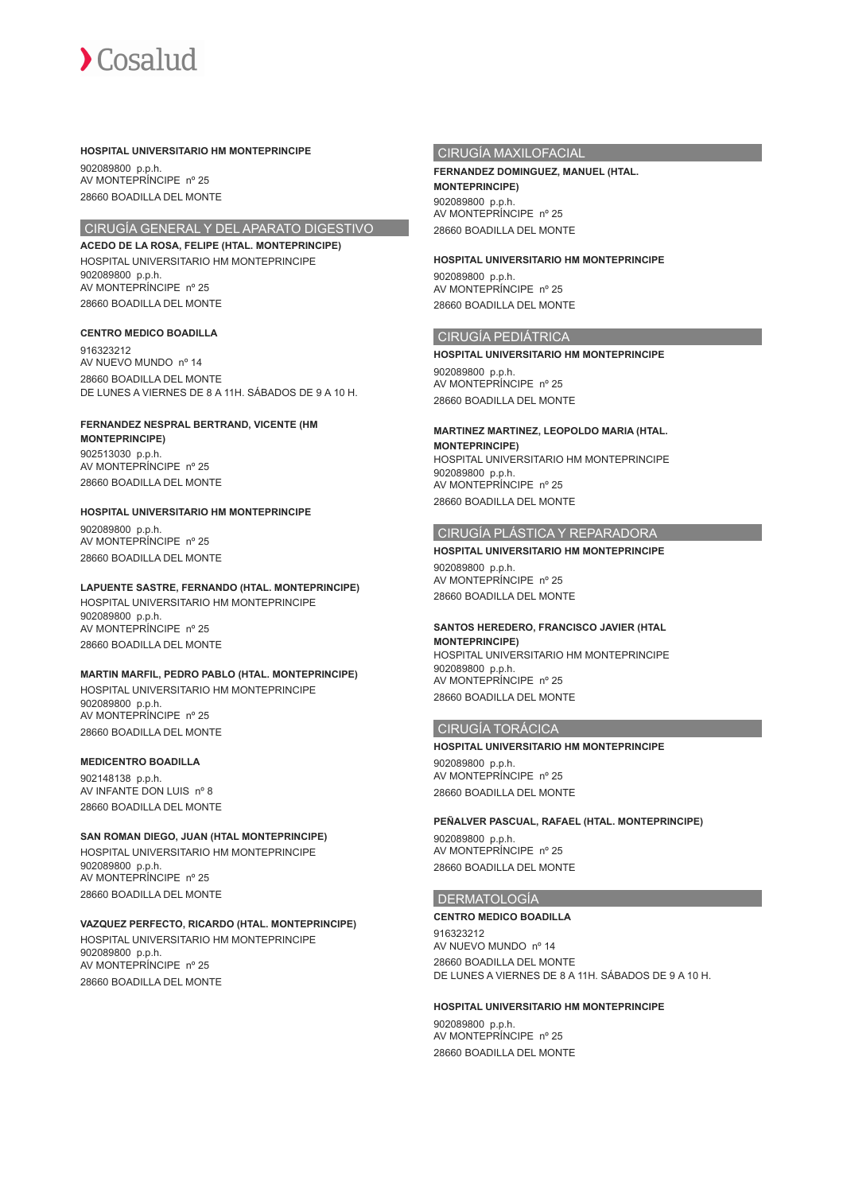

### **HOSPITAL UNIVERSITARIO HM MONTEPRINCIPE**

902089800 p.p.h. AV MONTEPRÍNCIPE nº 25 28660 BOADILLA DEL MONTE

# CIRUGÍA GENERAL Y DEL APARATO DIGESTIVO

**ACEDO DE LA ROSA, FELIPE (HTAL. MONTEPRINCIPE)** HOSPITAL UNIVERSITARIO HM MONTEPRINCIPE 902089800 p.p.h. AV MONTEPRÍNCIPE nº 25 28660 BOADILLA DEL MONTE

## **CENTRO MEDICO BOADILLA**

916323212 AV NUEVO MUNDO nº 14 28660 BOADILLA DEL MONTE DE LUNES A VIERNES DE 8 A 11H. SÁBADOS DE 9 A 10 H.

#### **FERNANDEZ NESPRAL BERTRAND, VICENTE (HM MONTEPRINCIPE)**

902513030 p.p.h. AV MONTEPRÍNCIPE nº 25 28660 BOADILLA DEL MONTE

# **HOSPITAL UNIVERSITARIO HM MONTEPRINCIPE**

902089800 p.p.h. AV MONTEPRÍNCIPE nº 25 28660 BOADILLA DEL MONTE

#### **LAPUENTE SASTRE, FERNANDO (HTAL. MONTEPRINCIPE)**

HOSPITAL UNIVERSITARIO HM MONTEPRINCIPE 902089800 p.p.h. AV MONTEPRÍNCIPE nº 25 28660 BOADILLA DEL MONTE

# **MARTIN MARFIL, PEDRO PABLO (HTAL. MONTEPRINCIPE)**

HOSPITAL UNIVERSITARIO HM MONTEPRINCIPE 902089800 p.p.h. AV MONTEPRÍNCIPE nº 25 28660 BOADILLA DEL MONTE

#### **MEDICENTRO BOADILLA**

902148138 p.p.h. AV INFANTE DON LUIS nº 8 28660 BOADILLA DEL MONTE

## **SAN ROMAN DIEGO, JUAN (HTAL MONTEPRINCIPE)**

HOSPITAL UNIVERSITARIO HM MONTEPRINCIPE 902089800 p.p.h. AV MONTEPRÍNCIPE nº 25 28660 BOADILLA DEL MONTE

# **VAZQUEZ PERFECTO, RICARDO (HTAL. MONTEPRINCIPE)**

HOSPITAL UNIVERSITARIO HM MONTEPRINCIPE 902089800 p.p.h. AV MONTEPRÍNCIPE nº 25 28660 BOADILLA DEL MONTE

# CIRUGÍA MAXILOFACIAL

## **FERNANDEZ DOMINGUEZ, MANUEL (HTAL. MONTEPRINCIPE)** 902089800 p.p.h.

AV MONTEPRÍNCIPE nº 25 28660 BOADILLA DEL MONTE

## **HOSPITAL UNIVERSITARIO HM MONTEPRINCIPE**

902089800 p.p.h. AV MONTEPRÍNCIPE nº 25 28660 BOADILLA DEL MONTE

## CIRUGÍA PEDIÁTRICA

**HOSPITAL UNIVERSITARIO HM MONTEPRINCIPE**

902089800 p.p.h. AV MONTEPRÍNCIPE nº 25 28660 BOADILLA DEL MONTE

# **MARTINEZ MARTINEZ, LEOPOLDO MARIA (HTAL.**

**MONTEPRINCIPE)** HOSPITAL UNIVERSITARIO HM MONTEPRINCIPE 902089800 p.p.h. AV MONTEPRÍNCIPE nº 25 28660 BOADILLA DEL MONTE

## CIRUGÍA PLÁSTICA Y REPARADORA

## **HOSPITAL UNIVERSITARIO HM MONTEPRINCIPE** 902089800 p.p.h. AV MONTEPRÍNCIPE nº 25

28660 BOADILLA DEL MONTE

## **SANTOS HEREDERO, FRANCISCO JAVIER (HTAL**

**MONTEPRINCIPE)** HOSPITAL UNIVERSITARIO HM MONTEPRINCIPE 902089800 p.p.h. AV MONTEPRÍNCIPE nº 25 28660 BOADILLA DEL MONTE

## CIRUGÍA TORÁCICA

## **HOSPITAL UNIVERSITARIO HM MONTEPRINCIPE** 902089800 p.p.h. AV MONTEPRÍNCIPE nº 25 28660 BOADILLA DEL MONTE

#### **PEÑALVER PASCUAL, RAFAEL (HTAL. MONTEPRINCIPE)**

902089800 p.p.h. AV MONTEPRÍNCIPE nº 25 28660 BOADILLA DEL MONTE

#### DERMATOLOGÍA

#### **CENTRO MEDICO BOADILLA**

916323212 AV NUEVO MUNDO nº 14 28660 BOADILLA DEL MONTE DE LUNES A VIERNES DE 8 A 11H. SÁBADOS DE 9 A 10 H.

### **HOSPITAL UNIVERSITARIO HM MONTEPRINCIPE**

902089800 p.p.h. AV MONTEPRÍNCIPE nº 25 28660 BOADILLA DEL MONTE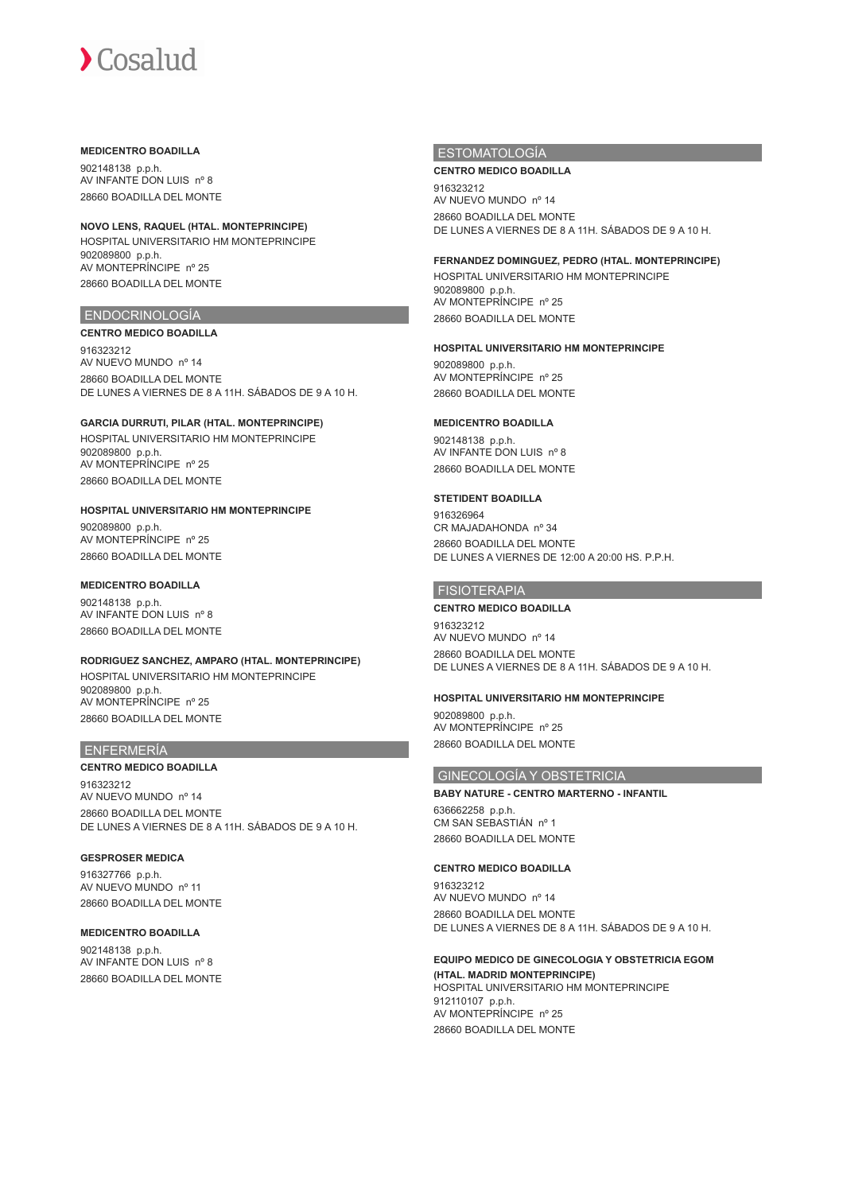#### **MEDICENTRO BOADILLA**

902148138 p.p.h. AV INFANTE DON LUIS nº 8 28660 BOADILLA DEL MONTE

# **NOVO LENS, RAQUEL (HTAL. MONTEPRINCIPE)**

HOSPITAL UNIVERSITARIO HM MONTEPRINCIPE 902089800 p.p.h. AV MONTEPRÍNCIPE nº 25 28660 BOADILLA DEL MONTE

## ENDOCRINOLOGÍA

## **CENTRO MEDICO BOADILLA**

916323212 AV NUEVO MUNDO nº 14 28660 BOADILLA DEL MONTE DE LUNES A VIERNES DE 8 A 11H. SÁBADOS DE 9 A 10 H.

## **GARCIA DURRUTI, PILAR (HTAL. MONTEPRINCIPE)**

HOSPITAL UNIVERSITARIO HM MONTEPRINCIPE 902089800 p.p.h. AV MONTEPRÍNCIPE nº 25 28660 BOADILLA DEL MONTE

## **HOSPITAL UNIVERSITARIO HM MONTEPRINCIPE**

902089800 p.p.h. AV MONTEPRÍNCIPE nº 25 28660 BOADILLA DEL MONTE

## **MEDICENTRO BOADILLA**

902148138 p.p.h. AV INFANTE DON LUIS nº 8 28660 BOADILLA DEL MONTE

## **RODRIGUEZ SANCHEZ, AMPARO (HTAL. MONTEPRINCIPE)** HOSPITAL UNIVERSITARIO HM MONTEPRINCIPE 902089800 p.p.h. AV MONTEPRÍNCIPE nº 25 28660 BOADILLA DEL MONTE

## ENFERMERÍA

**CENTRO MEDICO BOADILLA** 916323212 AV NUEVO MUNDO nº 14 28660 BOADILLA DEL MONTE DE LUNES A VIERNES DE 8 A 11H. SÁBADOS DE 9 A 10 H.

## **GESPROSER MEDICA**

916327766 p.p.h. AV NUEVO MUNDO nº 11 28660 BOADILLA DEL MONTE

## **MEDICENTRO BOADILLA**

902148138 p.p.h. AV INFANTE DON LUIS nº 8 28660 BOADILLA DEL MONTE

## ESTOMATOLOGÍA

#### **CENTRO MEDICO BOADILLA**

916323212 AV NUEVO MUNDO nº 14 28660 BOADILLA DEL MONTE DE LUNES A VIERNES DE 8 A 11H. SÁBADOS DE 9 A 10 H.

### **FERNANDEZ DOMINGUEZ, PEDRO (HTAL. MONTEPRINCIPE)**

HOSPITAL UNIVERSITARIO HM MONTEPRINCIPE 902089800 p.p.h. AV MONTEPRÍNCIPE nº 25 28660 BOADILLA DEL MONTE

## **HOSPITAL UNIVERSITARIO HM MONTEPRINCIPE**

902089800 p.p.h. AV MONTEPRÍNCIPE nº 25 28660 BOADILLA DEL MONTE

## **MEDICENTRO BOADILLA**

902148138 p.p.h. AV INFANTE DON LUIS nº 8 28660 BOADILLA DEL MONTE

## **STETIDENT BOADILLA**

916326964 CR MAJADAHONDA nº 34 28660 BOADILLA DEL MONTE DE LUNES A VIERNES DE 12:00 A 20:00 HS. P.P.H.

# FISIOTERAPIA

## **CENTRO MEDICO BOADILLA**

916323212 AV NUEVO MUNDO nº 14 28660 BOADILLA DEL MONTE DE LUNES A VIERNES DE 8 A 11H. SÁBADOS DE 9 A 10 H.

#### **HOSPITAL UNIVERSITARIO HM MONTEPRINCIPE**

902089800 p.p.h. AV MONTEPRÍNCIPE nº 25 28660 BOADILLA DEL MONTE

## GINECOLOGÍA Y OBSTETRICIA

**BABY NATURE - CENTRO MARTERNO - INFANTIL** 636662258 p.p.h. CM SAN SEBASTIÁN nº 1 28660 BOADILLA DEL MONTE

## **CENTRO MEDICO BOADILLA**

916323212 AV NUEVO MUNDO nº 14 28660 BOADILLA DEL MONTE DE LUNES A VIERNES DE 8 A 11H. SÁBADOS DE 9 A 10 H.

### **EQUIPO MEDICO DE GINECOLOGIA Y OBSTETRICIA EGOM (HTAL. MADRID MONTEPRINCIPE)** HOSPITAL UNIVERSITARIO HM MONTEPRINCIPE 912110107 p.p.h. AV MONTEPRÍNCIPE nº 25

28660 BOADILLA DEL MONTE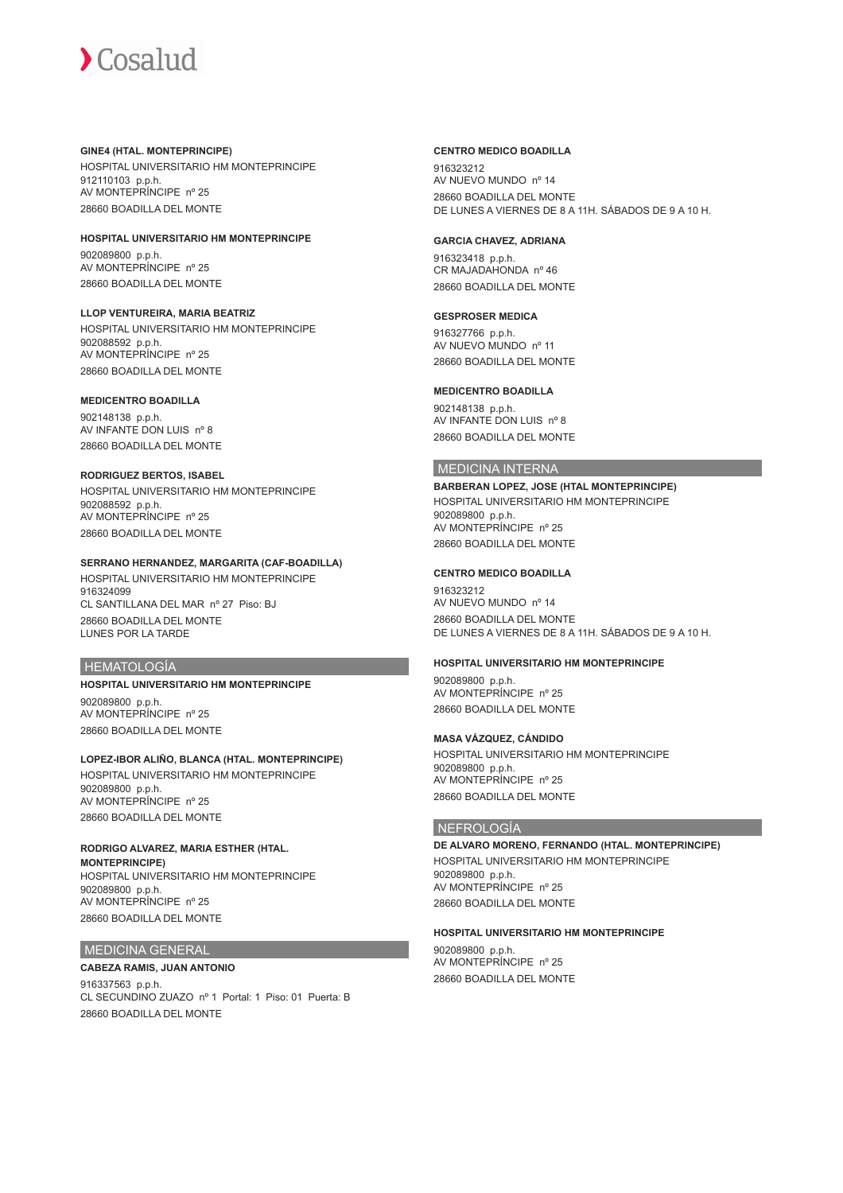## **GINE4 (HTAL. MONTEPRINCIPE)**

HOSPITAL UNIVERSITARIO HM MONTEPRINCIPE 912110103 p.p.h. AV MONTEPRÍNCIPE nº 25 28660 BOADILLA DEL MONTE

# **HOSPITAL UNIVERSITARIO HM MONTEPRINCIPE** 902089800 p.p.h.

AV MONTEPRÍNCIPE nº 25 28660 BOADILLA DEL MONTE

**LLOP VENTUREIRA, MARIA BEATRIZ** HOSPITAL UNIVERSITARIO HM MONTEPRINCIPE 902088592 p.p.h. AV MONTEPRÍNCIPE nº 25 28660 BOADILLA DEL MONTE

# **MEDICENTRO BOADILLA**

902148138 p.p.h. AV INFANTE DON LUIS nº 8 28660 BOADILLA DEL MONTE

## **RODRIGUEZ BERTOS, ISABEL**

HOSPITAL UNIVERSITARIO HM MONTEPRINCIPE 902088592 p.p.h. AV MONTEPRÍNCIPE nº 25 28660 BOADILLA DEL MONTE

# **SERRANO HERNANDEZ, MARGARITA (CAF-BOADILLA)**

HOSPITAL UNIVERSITARIO HM MONTEPRINCIPE 916324099 CL SANTILLANA DEL MAR nº 27 Piso: BJ 28660 BOADILLA DEL MONTE LUNES POR LA TARDE

# HEMATOLOGÍA

# **HOSPITAL UNIVERSITARIO HM MONTEPRINCIPE**

902089800 p.p.h. AV MONTEPRÍNCIPE nº 25 28660 BOADILLA DEL MONTE

# **LOPEZ-IBOR ALIÑO, BLANCA (HTAL. MONTEPRINCIPE)**

HOSPITAL UNIVERSITARIO HM MONTEPRINCIPE 902089800 p.p.h. AV MONTEPRÍNCIPE nº 25 28660 BOADILLA DEL MONTE

# **RODRIGO ALVAREZ, MARIA ESTHER (HTAL.**

**MONTEPRINCIPE)** HOSPITAL UNIVERSITARIO HM MONTEPRINCIPE 902089800 p.p.h. AV MONTEPRÍNCIPE nº 25 28660 BOADILLA DEL MONTE

# MEDICINA GENERAL

# **CABEZA RAMIS, JUAN ANTONIO**

916337563 p.p.h. CL SECUNDINO ZUAZO nº 1 Portal: 1 Piso: 01 Puerta: B 28660 BOADILLA DEL MONTE

## **CENTRO MEDICO BOADILLA**

916323212 AV NUEVO MUNDO nº 14 28660 BOADILLA DEL MONTE DE LUNES A VIERNES DE 8 A 11H. SÁBADOS DE 9 A 10 H.

# **GARCIA CHAVEZ, ADRIANA**

916323418 p.p.h. CR MAJADAHONDA nº 46 28660 BOADILLA DEL MONTE

# **GESPROSER MEDICA**

916327766 p.p.h. AV NUEVO MUNDO nº 11 28660 BOADILLA DEL MONTE

## **MEDICENTRO BOADILLA**

902148138 p.p.h. AV INFANTE DON LUIS nº 8 28660 BOADILLA DEL MONTE

# MEDICINA INTERNA

**BARBERAN LOPEZ, JOSE (HTAL MONTEPRINCIPE)** HOSPITAL UNIVERSITARIO HM MONTEPRINCIPE 902089800 p.p.h. AV MONTEPRÍNCIPE nº 25 28660 BOADILLA DEL MONTE

## **CENTRO MEDICO BOADILLA**

916323212 AV NUEVO MUNDO nº 14 28660 BOADILLA DEL MONTE DE LUNES A VIERNES DE 8 A 11H. SÁBADOS DE 9 A 10 H.

# **HOSPITAL UNIVERSITARIO HM MONTEPRINCIPE**

902089800 p.p.h. AV MONTEPRÍNCIPE nº 25 28660 BOADILLA DEL MONTE

## **MASA VÁZQUEZ, CÁNDIDO**

HOSPITAL UNIVERSITARIO HM MONTEPRINCIPE 902089800 p.p.h. AV MONTEPRÍNCIPE nº 25 28660 BOADILLA DEL MONTE

# NEFROLOGÍA

**DE ALVARO MORENO, FERNANDO (HTAL. MONTEPRINCIPE)** HOSPITAL UNIVERSITARIO HM MONTEPRINCIPE 902089800 p.p.h. AV MONTEPRÍNCIPE nº 25 28660 BOADILLA DEL MONTE

## **HOSPITAL UNIVERSITARIO HM MONTEPRINCIPE**

902089800 p.p.h. AV MONTEPRÍNCIPE nº 25 28660 BOADILLA DEL MONTE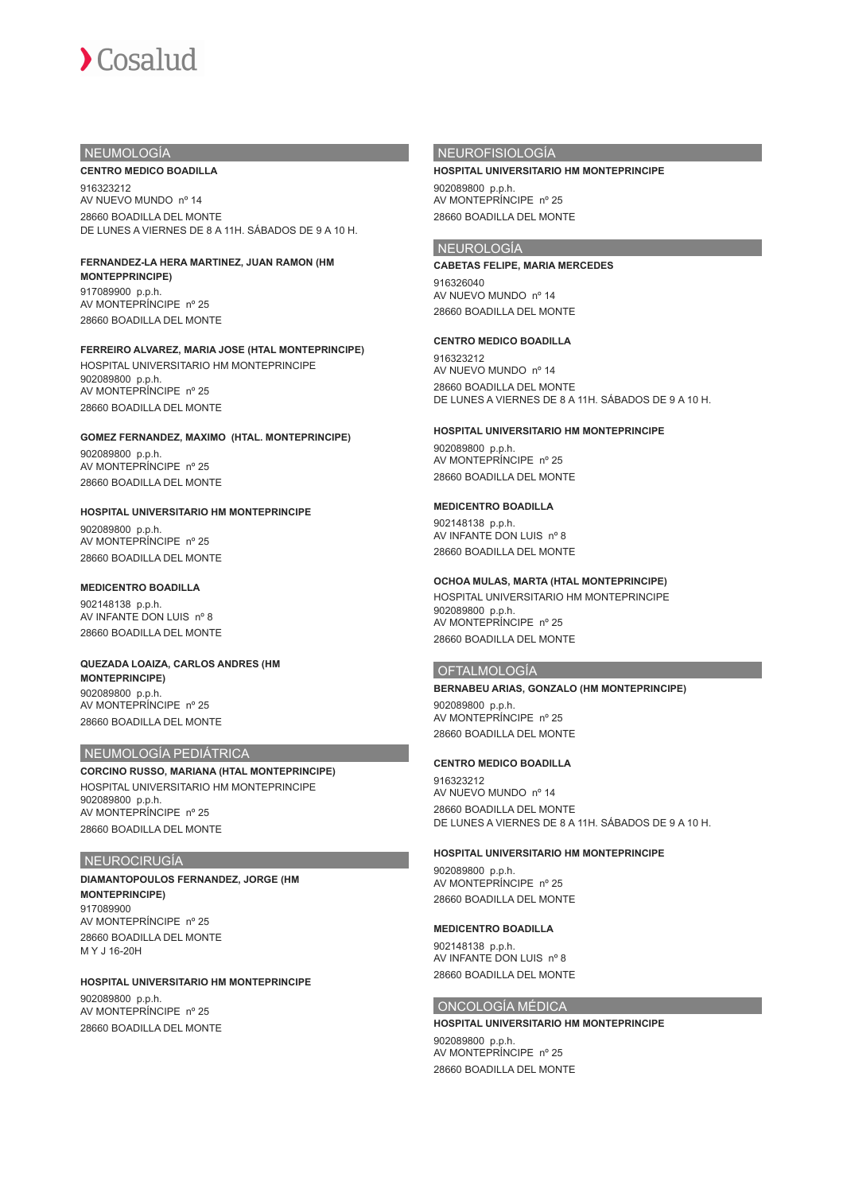

# NEUMOLOGÍA

#### **CENTRO MEDICO BOADILLA**

916323212 AV NUEVO MUNDO nº 14 28660 BOADILLA DEL MONTE DE LUNES A VIERNES DE 8 A 11H. SÁBADOS DE 9 A 10 H.

## **FERNANDEZ-LA HERA MARTINEZ, JUAN RAMON (HM**

**MONTEPPRINCIPE)** 917089900 p.p.h. AV MONTEPRÍNCIPE nº 25 28660 BOADILLA DEL MONTE

## **FERREIRO ALVAREZ, MARIA JOSE (HTAL MONTEPRINCIPE)**

HOSPITAL UNIVERSITARIO HM MONTEPRINCIPE 902089800 p.p.h. AV MONTEPRÍNCIPE nº 25 28660 BOADILLA DEL MONTE

# **GOMEZ FERNANDEZ, MAXIMO (HTAL. MONTEPRINCIPE)**

902089800 p.p.h. AV MONTEPRÍNCIPE nº 25 28660 BOADILLA DEL MONTE

# **HOSPITAL UNIVERSITARIO HM MONTEPRINCIPE**

902089800 p.p.h. AV MONTEPRÍNCIPE nº 25 28660 BOADILLA DEL MONTE

## **MEDICENTRO BOADILLA**

902148138 p.p.h. AV INFANTE DON LUIS nº 8 28660 BOADILLA DEL MONTE

## **QUEZADA LOAIZA, CARLOS ANDRES (HM MONTEPRINCIPE)** 902089800 p.p.h.

AV MONTEPRÍNCIPE nº 25 28660 BOADILLA DEL MONTE

# NEUMOLOGÍA PEDIÁTRICA

**CORCINO RUSSO, MARIANA (HTAL MONTEPRINCIPE)** HOSPITAL UNIVERSITARIO HM MONTEPRINCIPE 902089800 p.p.h. AV MONTEPRÍNCIPE nº 25 28660 BOADILLA DEL MONTE

## NEUROCIRUGÍA

**DIAMANTOPOULOS FERNANDEZ, JORGE (HM MONTEPRINCIPE)** 917089900 AV MONTEPRÍNCIPE nº 25 28660 BOADILLA DEL MONTE M Y J 16-20H

## **HOSPITAL UNIVERSITARIO HM MONTEPRINCIPE**

902089800 p.p.h. AV MONTEPRÍNCIPE nº 25 28660 BOADILLA DEL MONTE

## NEUROFISIOLOGÍA

#### **HOSPITAL UNIVERSITARIO HM MONTEPRINCIPE**

902089800 p.p.h. AV MONTEPRÍNCIPE nº 25 28660 BOADILLA DEL MONTE

## NEUROLOGÍA

**CABETAS FELIPE, MARIA MERCEDES** 916326040 AV NUEVO MUNDO nº 14

28660 BOADILLA DEL MONTE

## **CENTRO MEDICO BOADILLA**

916323212 AV NUEVO MUNDO nº 14 28660 BOADILLA DEL MONTE DE LUNES A VIERNES DE 8 A 11H. SÁBADOS DE 9 A 10 H.

## **HOSPITAL UNIVERSITARIO HM MONTEPRINCIPE**

902089800 p.p.h. AV MONTEPRÍNCIPE nº 25 28660 BOADILLA DEL MONTE

## **MEDICENTRO BOADILLA**

902148138 p.p.h. AV INFANTE DON LUIS nº 8 28660 BOADILLA DEL MONTE

## **OCHOA MULAS, MARTA (HTAL MONTEPRINCIPE)**

HOSPITAL UNIVERSITARIO HM MONTEPRINCIPE 902089800 p.p.h. AV MONTEPRÍNCIPE nº 25 28660 BOADILLA DEL MONTE

#### OFTALMOLOGÍA

## **BERNABEU ARIAS, GONZALO (HM MONTEPRINCIPE)**

902089800 p.p.h. AV MONTEPRÍNCIPE nº 25 28660 BOADILLA DEL MONTE

#### **CENTRO MEDICO BOADILLA**

916323212 AV NUEVO MUNDO nº 14 28660 BOADILLA DEL MONTE DE LUNES A VIERNES DE 8 A 11H. SÁBADOS DE 9 A 10 H.

#### **HOSPITAL UNIVERSITARIO HM MONTEPRINCIPE**

902089800 p.p.h. AV MONTEPRÍNCIPE nº 25 28660 BOADILLA DEL MONTE

#### **MEDICENTRO BOADILLA**

902148138 p.p.h. AV INFANTE DON LUIS nº 8 28660 BOADILLA DEL MONTE

## ONCOLOGÍA MÉDICA

**HOSPITAL UNIVERSITARIO HM MONTEPRINCIPE** 902089800 p.p.h. AV MONTEPRÍNCIPE nº 25 28660 BOADILLA DEL MONTE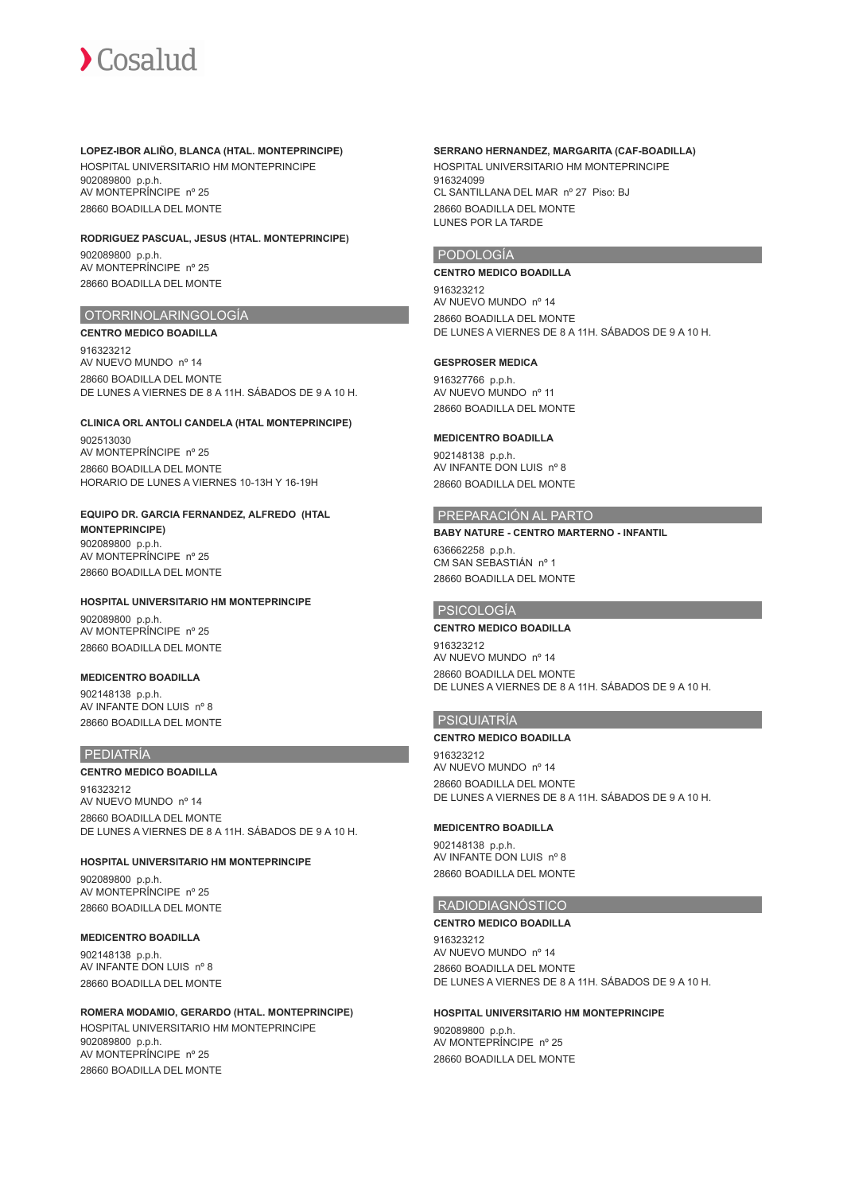### **LOPEZ-IBOR ALIÑO, BLANCA (HTAL. MONTEPRINCIPE)**

HOSPITAL UNIVERSITARIO HM MONTEPRINCIPE 902089800 p.p.h. AV MONTEPRÍNCIPE nº 25 28660 BOADILLA DEL MONTE

## **RODRIGUEZ PASCUAL, JESUS (HTAL. MONTEPRINCIPE)**

902089800 p.p.h. AV MONTEPRÍNCIPE nº 25 28660 BOADILLA DEL MONTE

## OTORRINOLARINGOLOGÍA

**CENTRO MEDICO BOADILLA**

916323212 AV NUEVO MUNDO nº 14 28660 BOADILLA DEL MONTE DE LUNES A VIERNES DE 8 A 11H. SÁBADOS DE 9 A 10 H.

## **CLINICA ORL ANTOLI CANDELA (HTAL MONTEPRINCIPE)**

902513030 AV MONTEPRÍNCIPE nº 25 28660 BOADILLA DEL MONTE HORARIO DE LUNES A VIERNES 10-13H Y 16-19H

### **EQUIPO DR. GARCIA FERNANDEZ, ALFREDO (HTAL MONTEPRINCIPE)**

902089800 p.p.h. AV MONTEPRÍNCIPE nº 25 28660 BOADILLA DEL MONTE

# **HOSPITAL UNIVERSITARIO HM MONTEPRINCIPE**

902089800 p.p.h. AV MONTEPRÍNCIPE nº 25 28660 BOADILLA DEL MONTE

# **MEDICENTRO BOADILLA**

902148138 p.p.h. AV INFANTE DON LUIS nº 8 28660 BOADILLA DEL MONTE

## PEDIATRÍA

## **CENTRO MEDICO BOADILLA**

916323212 AV NUEVO MUNDO nº 14 28660 BOADILLA DEL MONTE DE LUNES A VIERNES DE 8 A 11H. SÁBADOS DE 9 A 10 H.

## **HOSPITAL UNIVERSITARIO HM MONTEPRINCIPE**

902089800 p.p.h. AV MONTEPRÍNCIPE nº 25 28660 BOADILLA DEL MONTE

## **MEDICENTRO BOADILLA**

902148138 p.p.h. AV INFANTE DON LUIS nº 8 28660 BOADILLA DEL MONTE

## **ROMERA MODAMIO, GERARDO (HTAL. MONTEPRINCIPE)**

HOSPITAL UNIVERSITARIO HM MONTEPRINCIPE 902089800 p.p.h. AV MONTEPRÍNCIPE nº 25 28660 BOADILLA DEL MONTE

## **SERRANO HERNANDEZ, MARGARITA (CAF-BOADILLA)**

HOSPITAL UNIVERSITARIO HM MONTEPRINCIPE 916324099 CL SANTILLANA DEL MAR nº 27 Piso: BJ 28660 BOADILLA DEL MONTE LUNES POR LA TARDE

## PODOLOGÍA

## **CENTRO MEDICO BOADILLA**

916323212 AV NUEVO MUNDO nº 14 28660 BOADILLA DEL MONTE DE LUNES A VIERNES DE 8 A 11H. SÁBADOS DE 9 A 10 H.

## **GESPROSER MEDICA**

916327766 p.p.h. AV NUEVO MUNDO nº 11 28660 BOADILLA DEL MONTE

## **MEDICENTRO BOADILLA**

902148138 p.p.h. AV INFANTE DON LUIS nº 8 28660 BOADILLA DEL MONTE

## PREPARACIÓN AL PARTO

**BABY NATURE - CENTRO MARTERNO - INFANTIL** 636662258 p.p.h. CM SAN SEBASTIÁN nº 1 28660 BOADILLA DEL MONTE

## PSICOLOGÍA

### **CENTRO MEDICO BOADILLA**

916323212 AV NUEVO MUNDO nº 14 28660 BOADILLA DEL MONTE DE LUNES A VIERNES DE 8 A 11H. SÁBADOS DE 9 A 10 H.

## PSIQUIATRÍA

#### **CENTRO MEDICO BOADILLA**

916323212 AV NUEVO MUNDO nº 14 28660 BOADILLA DEL MONTE DE LUNES A VIERNES DE 8 A 11H. SÁBADOS DE 9 A 10 H.

## **MEDICENTRO BOADILLA**

902148138 p.p.h. AV INFANTE DON LUIS nº 8 28660 BOADILLA DEL MONTE

## RADIODIAGNÓSTICO

## **CENTRO MEDICO BOADILLA**

916323212 AV NUEVO MUNDO nº 14 28660 BOADILLA DEL MONTE DE LUNES A VIERNES DE 8 A 11H. SÁBADOS DE 9 A 10 H.

### **HOSPITAL UNIVERSITARIO HM MONTEPRINCIPE**

902089800 p.p.h. AV MONTEPRÍNCIPE nº 25 28660 BOADILLA DEL MONTE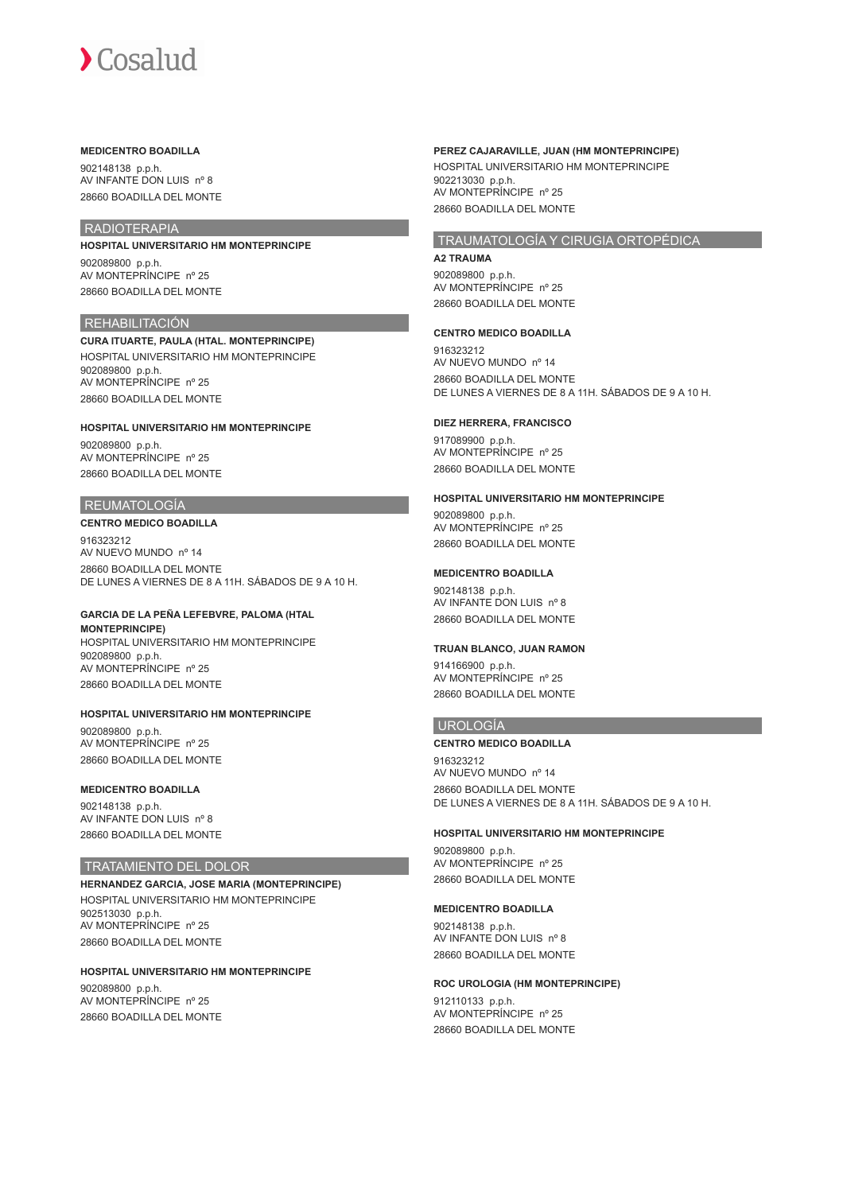### **MEDICENTRO BOADILLA**

902148138 p.p.h. AV INFANTE DON LUIS nº 8 28660 BOADILLA DEL MONTE

# RADIOTERAPIA

**HOSPITAL UNIVERSITARIO HM MONTEPRINCIPE** 902089800 p.p.h. AV MONTEPRÍNCIPE nº 25

28660 BOADILLA DEL MONTE

# REHABILITACIÓN

**CURA ITUARTE, PAULA (HTAL. MONTEPRINCIPE)** HOSPITAL UNIVERSITARIO HM MONTEPRINCIPE 902089800 p.p.h. AV MONTEPRÍNCIPE nº 25 28660 BOADILLA DEL MONTE

## **HOSPITAL UNIVERSITARIO HM MONTEPRINCIPE**

902089800 p.p.h. AV MONTEPRÍNCIPE nº 25 28660 BOADILLA DEL MONTE

# REUMATOLOGÍA

## **CENTRO MEDICO BOADILLA**

916323212 AV NUEVO MUNDO nº 14 28660 BOADILLA DEL MONTE DE LUNES A VIERNES DE 8 A 11H. SÁBADOS DE 9 A 10 H.

## **GARCIA DE LA PEÑA LEFEBVRE, PALOMA (HTAL**

**MONTEPRINCIPE)** HOSPITAL UNIVERSITARIO HM MONTEPRINCIPE 902089800 p.p.h. AV MONTEPRÍNCIPE nº 25 28660 BOADILLA DEL MONTE

## **HOSPITAL UNIVERSITARIO HM MONTEPRINCIPE**

902089800 p.p.h. AV MONTEPRÍNCIPE nº 25 28660 BOADILLA DEL MONTE

#### **MEDICENTRO BOADILLA**

902148138 p.p.h. AV INFANTE DON LUIS nº 8 28660 BOADILLA DEL MONTE

## TRATAMIENTO DEL DOLOR

**HERNANDEZ GARCIA, JOSE MARIA (MONTEPRINCIPE)** HOSPITAL UNIVERSITARIO HM MONTEPRINCIPE 902513030 p.p.h. AV MONTEPRÍNCIPE nº 25 28660 BOADILLA DEL MONTE

# **HOSPITAL UNIVERSITARIO HM MONTEPRINCIPE**

902089800 p.p.h. AV MONTEPRÍNCIPE nº 25 28660 BOADILLA DEL MONTE

## **PEREZ CAJARAVILLE, JUAN (HM MONTEPRINCIPE)**

HOSPITAL UNIVERSITARIO HM MONTEPRINCIPE 902213030 p.p.h. AV MONTEPRÍNCIPE nº 25 28660 BOADILLA DEL MONTE

# TRAUMATOLOGÍA Y CIRUGIA ORTOPÉDICA

# **A2 TRAUMA**

902089800 p.p.h. AV MONTEPRÍNCIPE nº 25 28660 BOADILLA DEL MONTE

## **CENTRO MEDICO BOADILLA**

916323212 AV NUEVO MUNDO nº 14 28660 BOADILLA DEL MONTE DE LUNES A VIERNES DE 8 A 11H. SÁBADOS DE 9 A 10 H.

## **DIEZ HERRERA, FRANCISCO**

917089900 p.p.h. AV MONTEPRÍNCIPE nº 25 28660 BOADILLA DEL MONTE

#### **HOSPITAL UNIVERSITARIO HM MONTEPRINCIPE**

902089800 p.p.h. AV MONTEPRÍNCIPE nº 25 28660 BOADILLA DEL MONTE

## **MEDICENTRO BOADILLA**

902148138 p.p.h. AV INFANTE DON LUIS nº 8 28660 BOADILLA DEL MONTE

# **TRUAN BLANCO, JUAN RAMON**

914166900 p.p.h. AV MONTEPRÍNCIPE nº 25 28660 BOADILLA DEL MONTE

## UROLOGÍA

**CENTRO MEDICO BOADILLA** 916323212 AV NUEVO MUNDO nº 14 28660 BOADILLA DEL MONTE DE LUNES A VIERNES DE 8 A 11H. SÁBADOS DE 9 A 10 H.

#### **HOSPITAL UNIVERSITARIO HM MONTEPRINCIPE**

902089800 p.p.h. AV MONTEPRÍNCIPE nº 25 28660 BOADILLA DEL MONTE

## **MEDICENTRO BOADILLA**

902148138 p.p.h. AV INFANTE DON LUIS nº 8 28660 BOADILLA DEL MONTE

## **ROC UROLOGIA (HM MONTEPRINCIPE)**

912110133 p.p.h. AV MONTEPRÍNCIPE nº 25 28660 BOADILLA DEL MONTE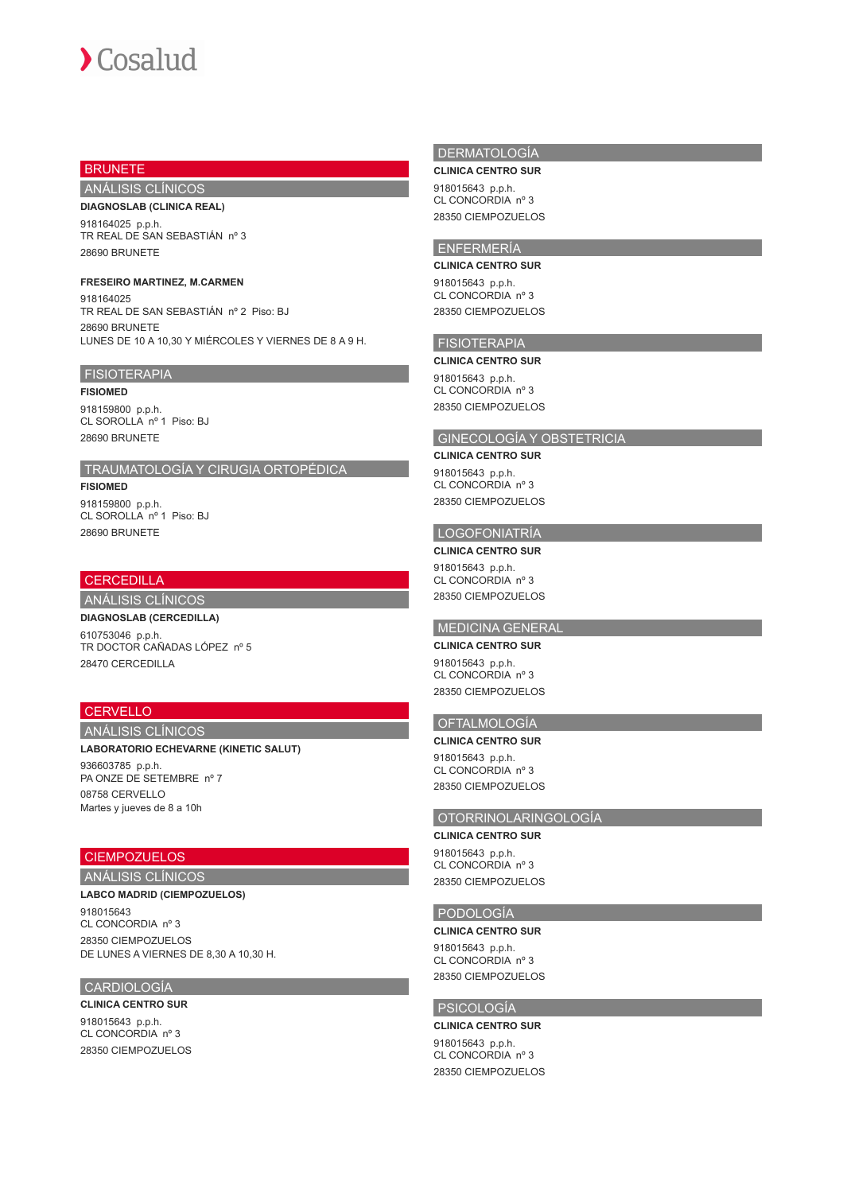# **BRUNETE**

# ANÁLISIS CLÍNICOS

## **DIAGNOSLAB (CLINICA REAL)**

918164025 p.p.h. TR REAL DE SAN SEBASTIÁN nº 3 28690 BRUNETE

## **FRESEIRO MARTINEZ, M.CARMEN**

918164025 TR REAL DE SAN SEBASTIÁN nº 2 Piso: BJ 28690 BRUNETE LUNES DE 10 A 10,30 Y MIÉRCOLES Y VIERNES DE 8 A 9 H.

# **FISIOTERAPIA**

**FISIOMED**

918159800 p.p.h. CL SOROLLA nº 1 Piso: BJ 28690 BRUNETE

# TRAUMATOLOGÍA Y CIRUGIA ORTOPÉDICA

**FISIOMED** 918159800 p.p.h. CL SOROLLA nº 1 Piso: BJ 28690 BRUNETE

# **CERCEDILLA**

# ANÁLISIS CLÍNICOS

**DIAGNOSLAB (CERCEDILLA)** 610753046 p.p.h. TR DOCTOR CAÑADAS LÓPEZ nº 5 28470 CERCEDILLA

# **CERVELLO**

# ANÁLISIS CLÍNICOS

**LABORATORIO ECHEVARNE (KINETIC SALUT)**

936603785 p.p.h. PA ONZE DE SETEMBRE nº 7 08758 CERVELLO Martes y jueves de 8 a 10h

# CIEMPOZUELOS

# ANÁLISIS CLÍNICOS

**LABCO MADRID (CIEMPOZUELOS)** 918015643 CL CONCORDIA nº 3 28350 CIEMPOZUELOS DE LUNES A VIERNES DE 8,30 A 10,30 H.

# CARDIOLOGÍA

# **CLINICA CENTRO SUR**

918015643 p.p.h. CL CONCORDIA nº 3 28350 CIEMPOZUELOS

# DERMATOLOGÍA

**CLINICA CENTRO SUR**

918015643 p.p.h. CL CONCORDIA nº 3 28350 CIEMPOZUELOS

# ENFERMERÍA **CLINICA CENTRO SUR**

918015643 p.p.h. CL CONCORDIA nº 3 28350 CIEMPOZUELOS

# FISIOTERAPIA

## **CLINICA CENTRO SUR**

918015643 p.p.h. CL CONCORDIA nº 3 28350 CIEMPOZUELOS

# GINECOLOGÍA Y OBSTETRICIA

## **CLINICA CENTRO SUR**

918015643 p.p.h. CL CONCORDIA nº 3 28350 CIEMPOZUELOS

# LOGOFONIATRÍA

**CLINICA CENTRO SUR** 918015643 p.p.h. CL CONCORDIA nº 3 28350 CIEMPOZUELOS

# MEDICINA GENERAL

**CLINICA CENTRO SUR** 918015643 p.p.h. CL CONCORDIA nº 3 28350 CIEMPOZUELOS

# OFTALMOLOGÍA

**CLINICA CENTRO SUR** 918015643 p.p.h. CL CONCORDIA nº 3 28350 CIEMPOZUELOS

# OTORRINOLARINGOLOGÍA

**CLINICA CENTRO SUR**

918015643 p.p.h. CL CONCORDIA nº 3 28350 CIEMPOZUELOS

## PODOLOGÍA

#### **CLINICA CENTRO SUR**

918015643 p.p.h. CL CONCORDIA nº 3 28350 CIEMPOZUELOS

# PSICOLOGÍA

## **CLINICA CENTRO SUR**

918015643 p.p.h. CL CONCORDIA nº 3 28350 CIEMPOZUELOS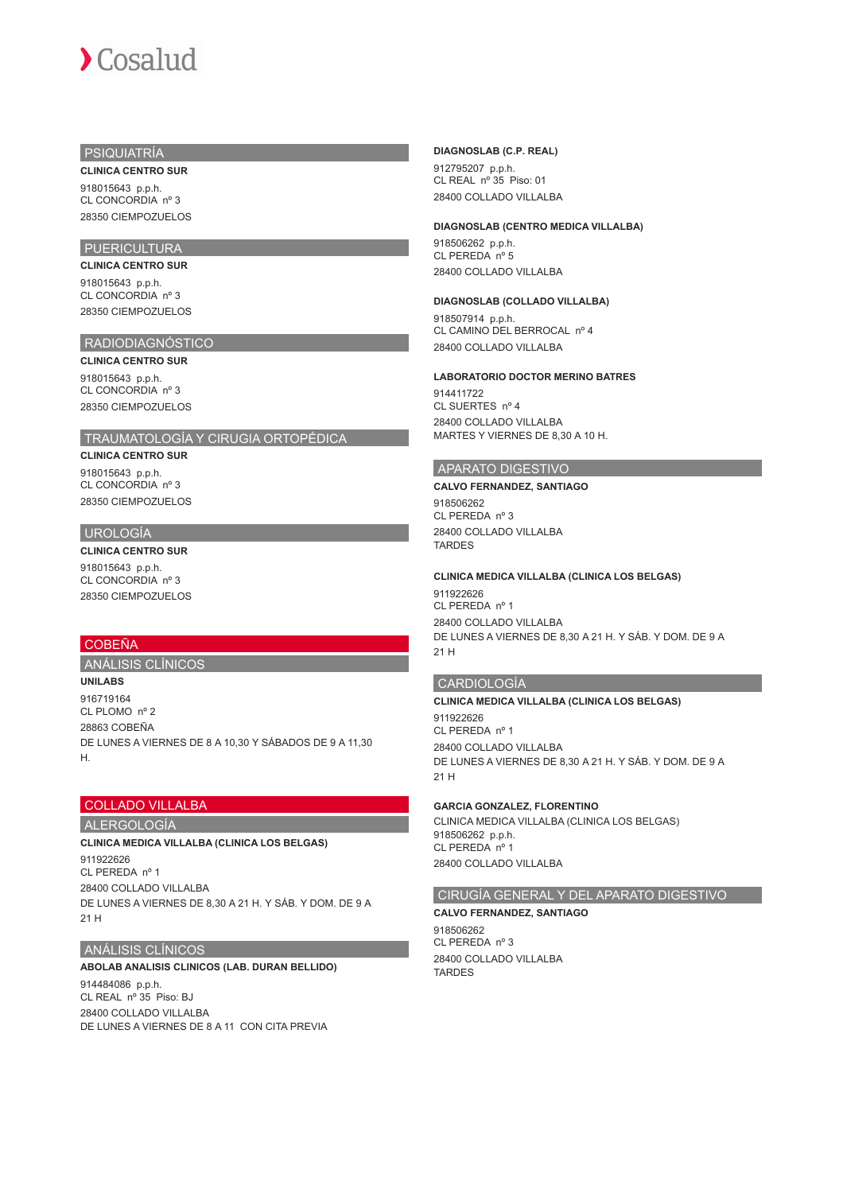# PSIQUIATRÍA

**CLINICA CENTRO SUR**

918015643 p.p.h. CL CONCORDIA nº 3 28350 CIEMPOZUELOS

# PUERICULTURA

**CLINICA CENTRO SUR** 918015643 p.p.h. CL CONCORDIA nº 3 28350 CIEMPOZUELOS

# RADIODIAGNÓSTICO

**CLINICA CENTRO SUR** 918015643 p.p.h. CL CONCORDIA nº 3 28350 CIEMPOZUELOS

# TRAUMATOLOGÍA Y CIRUGIA ORTOPÉDICA

**CLINICA CENTRO SUR**

918015643 p.p.h. CL CONCORDIA nº 3 28350 CIEMPOZUELOS

# UROLOGÍA

**CLINICA CENTRO SUR** 918015643 p.p.h. CL CONCORDIA nº 3 28350 CIEMPOZUELOS

## **COBEÑA**

ANÁLISIS CLÍNICOS

**UNILABS** 916719164 CL PLOMO nº 2 28863 COBEÑA DE LUNES A VIERNES DE 8 A 10,30 Y SÁBADOS DE 9 A 11,30 H.

# COLLADO VILLALBA

# ALERGOLOGÍA **CLINICA MEDICA VILLALBA (CLINICA LOS BELGAS)**

911922626 CL PEREDA nº 1 28400 COLLADO VILLALBA DE LUNES A VIERNES DE 8,30 A 21 H. Y SÁB. Y DOM. DE 9 A 21 H

## ANÁLISIS CLÍNICOS

**ABOLAB ANALISIS CLINICOS (LAB. DURAN BELLIDO)** 914484086 p.p.h. CL REAL nº 35 Piso: BJ 28400 COLLADO VILLALBA DE LUNES A VIERNES DE 8 A 11 CON CITA PREVIA

## **DIAGNOSLAB (C.P. REAL)**

912795207 p.p.h. CL REAL nº 35 Piso: 01 28400 COLLADO VILLALBA

## **DIAGNOSLAB (CENTRO MEDICA VILLALBA)**

918506262 p.p.h. CL PEREDA nº 5 28400 COLLADO VILLALBA

## **DIAGNOSLAB (COLLADO VILLALBA)**

918507914 p.p.h. CL CAMINO DEL BERROCAL nº 4 28400 COLLADO VILLALBA

### **LABORATORIO DOCTOR MERINO BATRES**

914411722 CL SUERTES nº 4 28400 COLLADO VILLALBA MARTES Y VIERNES DE 8,30 A 10 H.

# APARATO DIGESTIVO

**CALVO FERNANDEZ, SANTIAGO**

918506262 CL PEREDA nº 3 28400 COLLADO VILLALBA TARDES

## **CLINICA MEDICA VILLALBA (CLINICA LOS BELGAS)**

911922626 CL PEREDA nº 1 28400 COLLADO VILLALBA DE LUNES A VIERNES DE 8,30 A 21 H. Y SÁB. Y DOM. DE 9 A 21 H

# CARDIOLOGÍA

## **CLINICA MEDICA VILLALBA (CLINICA LOS BELGAS)**

911922626 CL PEREDA nº 1 28400 COLLADO VILLALBA DE LUNES A VIERNES DE 8,30 A 21 H. Y SÁB. Y DOM. DE 9 A 21 H

## **GARCIA GONZALEZ, FLORENTINO**

CLINICA MEDICA VILLALBA (CLINICA LOS BELGAS) 918506262 p.p.h. CL PEREDA nº 1 28400 COLLADO VILLALBA

# CIRUGÍA GENERAL Y DEL APARATO DIGESTIVO

**CALVO FERNANDEZ, SANTIAGO** 918506262 CL PEREDA nº 3

28400 COLLADO VILLALBA **TARDES**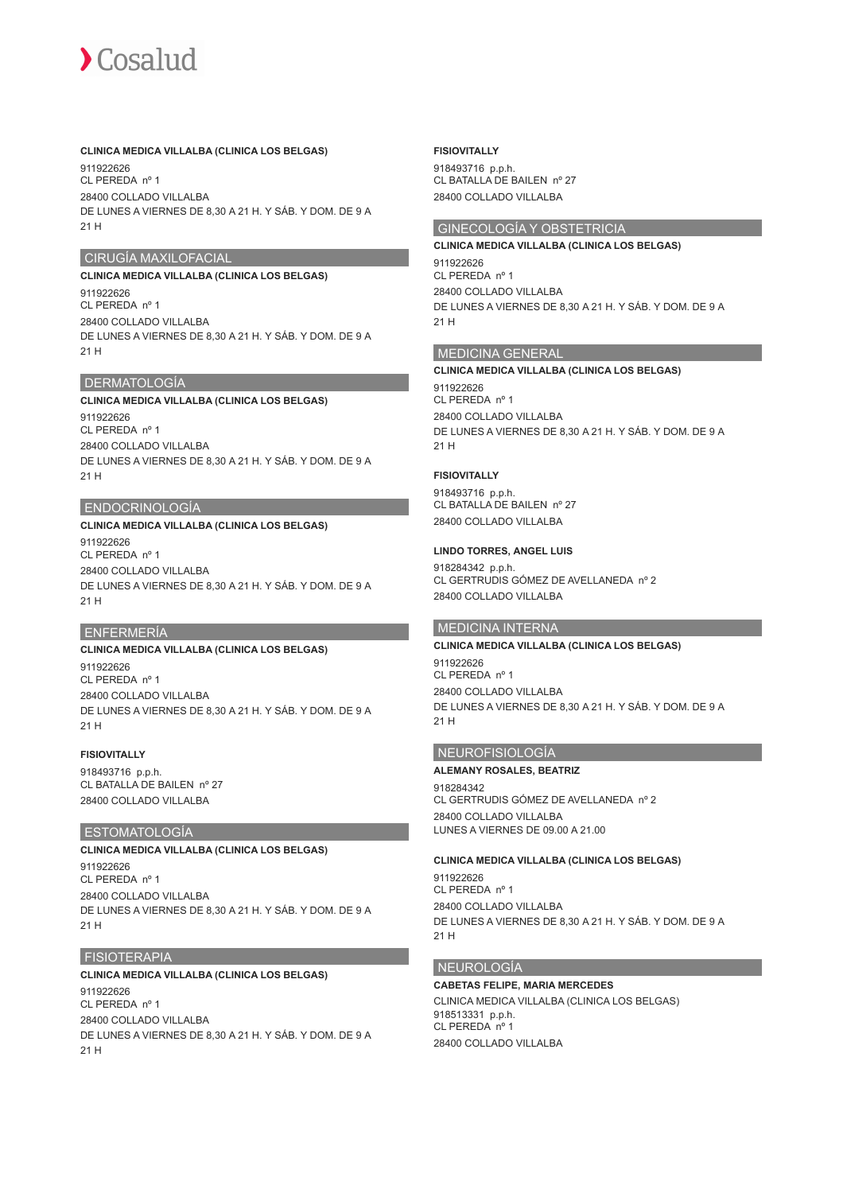## **CLINICA MEDICA VILLALBA (CLINICA LOS BELGAS)**

911922626 CL PEREDA nº 1 28400 COLLADO VILLALBA DE LUNES A VIERNES DE 8,30 A 21 H. Y SÁB. Y DOM. DE 9 A 21 H

## CIRUGÍA MAXILOFACIAL

# **CLINICA MEDICA VILLALBA (CLINICA LOS BELGAS)**

011022626 CL PEREDA nº 1 28400 COLLADO VILLALBA DE LUNES A VIERNES DE 8,30 A 21 H. Y SÁB. Y DOM. DE 9 A 21 H

## DERMATOLOGÍA

## **CLINICA MEDICA VILLALBA (CLINICA LOS BELGAS)**

911922626 CL PEREDA nº 1 28400 COLLADO VILLALBA DE LUNES A VIERNES DE 8,30 A 21 H. Y SÁB. Y DOM. DE 9 A 21 H

## ENDOCRINOLOGÍA

## **CLINICA MEDICA VILLALBA (CLINICA LOS BELGAS)**

911922626 CL PEREDA nº 1 28400 COLLADO VILLALBA DE LUNES A VIERNES DE 8,30 A 21 H. Y SÁB. Y DOM. DE 9 A 21 H

## ENFERMERÍA

# **CLINICA MEDICA VILLALBA (CLINICA LOS BELGAS)**

911922626 CL PEREDA nº 1 28400 COLLADO VILLALBA DE LUNES A VIERNES DE 8,30 A 21 H. Y SÁB. Y DOM. DE 9 A 21 H

## **FISIOVITALLY**

918493716 p.p.h. CL BATALLA DE BAILEN nº 27 28400 COLLADO VILLALBA

### ESTOMATOLOGÍA

# **CLINICA MEDICA VILLALBA (CLINICA LOS BELGAS)**

911922626 CL PEREDA nº 1 28400 COLLADO VILLALBA DE LUNES A VIERNES DE 8,30 A 21 H. Y SÁB. Y DOM. DE 9 A 21 H

## FISIOTERAPIA

## **CLINICA MEDICA VILLALBA (CLINICA LOS BELGAS)** 911922626

CL PEREDA nº 1 28400 COLLADO VILLALBA DE LUNES A VIERNES DE 8,30 A 21 H. Y SÁB. Y DOM. DE 9 A 21 H

#### **FISIOVITALLY**

918493716 p.p.h. CL BATALLA DE BAILEN nº 27 28400 COLLADO VILLALBA

# GINECOLOGÍA Y OBSTETRICIA

## **CLINICA MEDICA VILLALBA (CLINICA LOS BELGAS)**

911922626 CL PEREDA nº 1 28400 COLLADO VILLALBA DE LUNES A VIERNES DE 8,30 A 21 H. Y SÁB. Y DOM. DE 9 A 21 H

## MEDICINA GENERAL

## **CLINICA MEDICA VILLALBA (CLINICA LOS BELGAS)**

911922626 CL PEREDA nº 1 28400 COLLADO VILLALBA DE LUNES A VIERNES DE 8,30 A 21 H. Y SÁB. Y DOM. DE 9 A 21 H

# **FISIOVITALLY**

918493716 p.p.h. CL BATALLA DE BAILEN nº 27 28400 COLLADO VILLALBA

## **LINDO TORRES, ANGEL LUIS**

918284342 p.p.h. CL GERTRUDIS GÓMEZ DE AVELLANEDA nº 2 28400 COLLADO VILLALBA

## MEDICINA INTERNA

# **CLINICA MEDICA VILLALBA (CLINICA LOS BELGAS)**

911922626 CL PEREDA nº 1 28400 COLLADO VILLALBA DE LUNES A VIERNES DE 8,30 A 21 H. Y SÁB. Y DOM. DE 9 A 21 H

## NEUROFISIOLOGÍA

### **ALEMANY ROSALES, BEATRIZ** 918284342

CL GERTRUDIS GÓMEZ DE AVELLANEDA nº 2 28400 COLLADO VILLALBA LUNES A VIERNES DE 09.00 A 21.00

## **CLINICA MEDICA VILLALBA (CLINICA LOS BELGAS)**

911922626 CL PEREDA nº 1 28400 COLLADO VILLALBA DE LUNES A VIERNES DE 8,30 A 21 H. Y SÁB. Y DOM. DE 9 A 21 H

## NEUROLOGÍA

**CABETAS FELIPE, MARIA MERCEDES** CLINICA MEDICA VILLALBA (CLINICA LOS BELGAS) 918513331 p.p.h. CL PEREDA nº 1 28400 COLLADO VILLALBA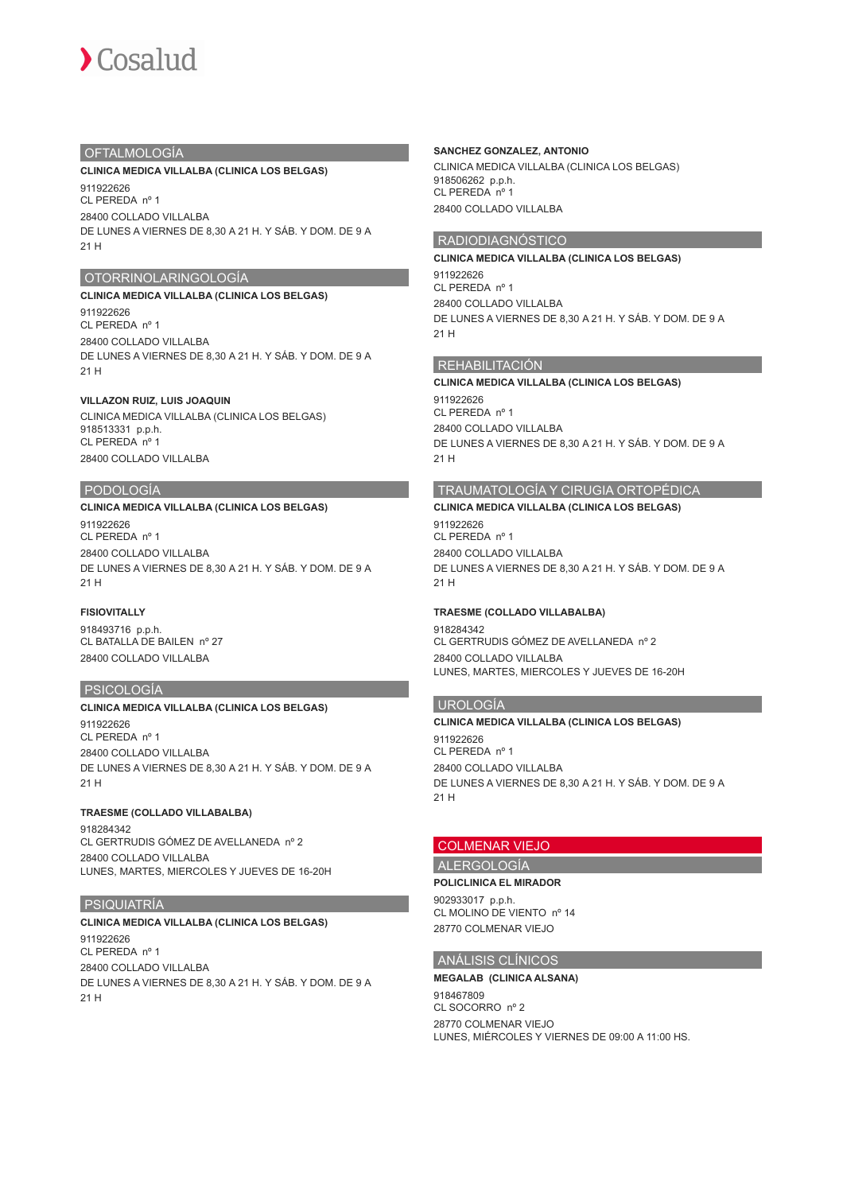# OFTALMOLOGÍA

# **CLINICA MEDICA VILLALBA (CLINICA LOS BELGAS)**

911922626 CL PEREDA nº 1 28400 COLLADO VILLALBA DE LUNES A VIERNES DE 8,30 A 21 H. Y SÁB. Y DOM. DE 9 A 21 H

# OTORRINOLARINGOLOGÍA

## **CLINICA MEDICA VILLALBA (CLINICA LOS BELGAS)** 911922626

CL PEREDA nº 1 28400 COLLADO VILLALBA DE LUNES A VIERNES DE 8,30 A 21 H. Y SÁB. Y DOM. DE 9 A 21 H

## **VILLAZON RUIZ, LUIS JOAQUIN**

CLINICA MEDICA VILLALBA (CLINICA LOS BELGAS) 918513331 p.p.h. CL PEREDA nº 1 28400 COLLADO VILLALBA

# PODOLOGÍA

## **CLINICA MEDICA VILLALBA (CLINICA LOS BELGAS)**

911922626 CL PEREDA nº 1 28400 COLLADO VILLALBA DE LUNES A VIERNES DE 8,30 A 21 H. Y SÁB. Y DOM. DE 9 A 21 H

# **FISIOVITALLY**

918493716 p.p.h. CL BATALLA DE BAILEN nº 27 28400 COLLADO VILLALBA

# PSICOLOGÍA

## **CLINICA MEDICA VILLALBA (CLINICA LOS BELGAS)**

911922626 CL PEREDA nº 1 28400 COLLADO VILLALBA DE LUNES A VIERNES DE 8,30 A 21 H. Y SÁB. Y DOM. DE 9 A 21 H

# **TRAESME (COLLADO VILLABALBA)**

918284342 CL GERTRUDIS GÓMEZ DE AVELLANEDA nº 2 28400 COLLADO VILLALBA LUNES, MARTES, MIERCOLES Y JUEVES DE 16-20H

# PSIQUIATRÍA

# **CLINICA MEDICA VILLALBA (CLINICA LOS BELGAS)**

911922626 CL PEREDA nº 1 28400 COLLADO VILLALBA DE LUNES A VIERNES DE 8,30 A 21 H. Y SÁB. Y DOM. DE 9 A 21 H

## **SANCHEZ GONZALEZ, ANTONIO**

CLINICA MEDICA VILLALBA (CLINICA LOS BELGAS) 918506262 p.p.h. CL PEREDA nº 1 28400 COLLADO VILLALBA

# RADIODIAGNÓSTICO

# **CLINICA MEDICA VILLALBA (CLINICA LOS BELGAS)**

911922626 CL PEREDA nº 1 28400 COLLADO VILLALBA DE LUNES A VIERNES DE 8,30 A 21 H. Y SÁB. Y DOM. DE 9 A 21 H

## REHABILITACIÓN

# **CLINICA MEDICA VILLALBA (CLINICA LOS BELGAS)**

911922626 CL PEREDA nº 1 28400 COLLADO VILLALBA DE LUNES A VIERNES DE 8,30 A 21 H. Y SÁB. Y DOM. DE 9 A 21 H

# TRAUMATOLOGÍA Y CIRUGIA ORTOPÉDICA

**CLINICA MEDICA VILLALBA (CLINICA LOS BELGAS)** 911922626 CL PEREDA nº 1 28400 COLLADO VILLALBA DE LUNES A VIERNES DE 8,30 A 21 H. Y SÁB. Y DOM. DE 9 A 21 H

# **TRAESME (COLLADO VILLABALBA)**

918284342 CL GERTRUDIS GÓMEZ DE AVELLANEDA nº 2 28400 COLLADO VILLALBA LUNES, MARTES, MIERCOLES Y JUEVES DE 16-20H

# UROLOGÍA

# **CLINICA MEDICA VILLALBA (CLINICA LOS BELGAS)**

911922626 CL PEREDA nº 1 28400 COLLADO VILLALBA DE LUNES A VIERNES DE 8,30 A 21 H. Y SÁB. Y DOM. DE 9 A 21 H

# COLMENAR VIEJO

ALERGOLOGÍA

## **POLICLINICA EL MIRADOR**

902933017 p.p.h. CL MOLINO DE VIENTO nº 14 28770 COLMENAR VIEJO

# ANÁLISIS CLÍNICOS

## **MEGALAB (CLINICA ALSANA)**

918467809 CL SOCORRO nº 2 28770 COLMENAR VIEJO LUNES, MIÉRCOLES Y VIERNES DE 09:00 A 11:00 HS.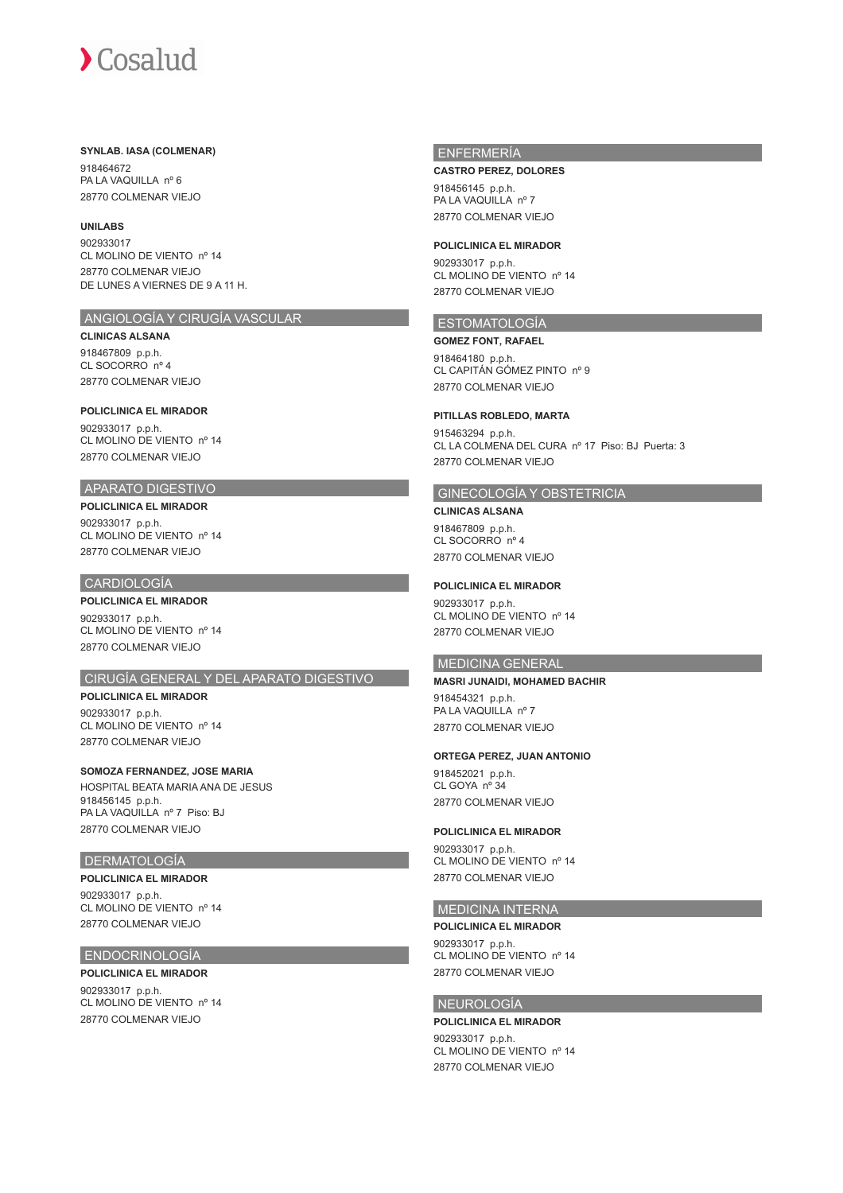## **SYNLAB. IASA (COLMENAR)**

918464672 PA LA VAQUILLA nº 6 28770 COLMENAR VIEJO

# **UNILABS**

902933017 CL MOLINO DE VIENTO nº 14 28770 COLMENAR VIEJO DE LUNES A VIERNES DE 9 A 11 H.

## ANGIOLOGÍA Y CIRUGÍA VASCULAR

### **CLINICAS ALSANA**

918467809 p.p.h. CL SOCORRO nº 4 28770 COLMENAR VIEJO

# **POLICLINICA EL MIRADOR**

902933017 p.p.h. CL MOLINO DE VIENTO nº 14 28770 COLMENAR VIEJO

## APARATO DIGESTIVO

**POLICLINICA EL MIRADOR** 902933017 p.p.h. CL MOLINO DE VIENTO nº 14 28770 COLMENAR VIEJO

## CARDIOLOGÍA

**POLICLINICA EL MIRADOR**

902933017 p.p.h. CL MOLINO DE VIENTO nº 14 28770 COLMENAR VIEJO

# CIRUGÍA GENERAL Y DEL APARATO DIGESTIVO

**POLICLINICA EL MIRADOR** 902933017 p.p.h. CL MOLINO DE VIENTO nº 14 28770 COLMENAR VIEJO

# **SOMOZA FERNANDEZ, JOSE MARIA**

HOSPITAL BEATA MARIA ANA DE JESUS 918456145 p.p.h. PA LA VAQUILLA nº 7 Piso: BJ 28770 COLMENAR VIEJO

## DERMATOLOGÍA

**POLICLINICA EL MIRADOR**

902933017 p.p.h. CL MOLINO DE VIENTO nº 14 28770 COLMENAR VIEJO

## ENDOCRINOLOGÍA

## **POLICLINICA EL MIRADOR**

902933017 p.p.h. CL MOLINO DE VIENTO nº 14 28770 COLMENAR VIEJO

## ENFERMERÍA

#### **CASTRO PEREZ, DOLORES**

918456145 p.p.h.  $PA$  LA VAOULLA nº 7 28770 COLMENAR VIEJO

### **POLICLINICA EL MIRADOR**

902933017 p.p.h. CL MOLINO DE VIENTO nº 14 28770 COLMENAR VIEJO

# ESTOMATOLOGÍA

**GOMEZ FONT, RAFAEL** 918464180 p.p.h. CL CAPITÁN GÓMEZ PINTO nº 9 28770 COLMENAR VIEJO

## **PITILLAS ROBLEDO, MARTA**

915463294 p.p.h. CL LA COLMENA DEL CURA nº 17 Piso: BJ Puerta: 3 28770 COLMENAR VIEJO

# GINECOLOGÍA Y OBSTETRICIA

**CLINICAS ALSANA** 918467809 p.p.h.

CL SOCORRO nº 4 28770 COLMENAR VIEJO

## **POLICLINICA EL MIRADOR**

902933017 p.p.h. CL MOLINO DE VIENTO nº 14 28770 COLMENAR VIEJO

## MEDICINA GENERAL

# **MASRI JUNAIDI, MOHAMED BACHIR**

918454321 p.p.h. PA LA VAQUILLA nº 7 28770 COLMENAR VIEJO

# **ORTEGA PEREZ, JUAN ANTONIO**

918452021 p.p.h. CL GOYA nº 34 28770 COLMENAR VIEJO

## **POLICLINICA EL MIRADOR**

902933017 p.p.h. CL MOLINO DE VIENTO nº 14 28770 COLMENAR VIEJO

## MEDICINA INTERNA

## **POLICLINICA EL MIRADOR**

902933017 p.p.h. CL MOLINO DE VIENTO nº 14 28770 COLMENAR VIEJO

# NEUROLOGÍA

**POLICLINICA EL MIRADOR** 902933017 p.p.h. CL MOLINO DE VIENTO nº 14 28770 COLMENAR VIEJO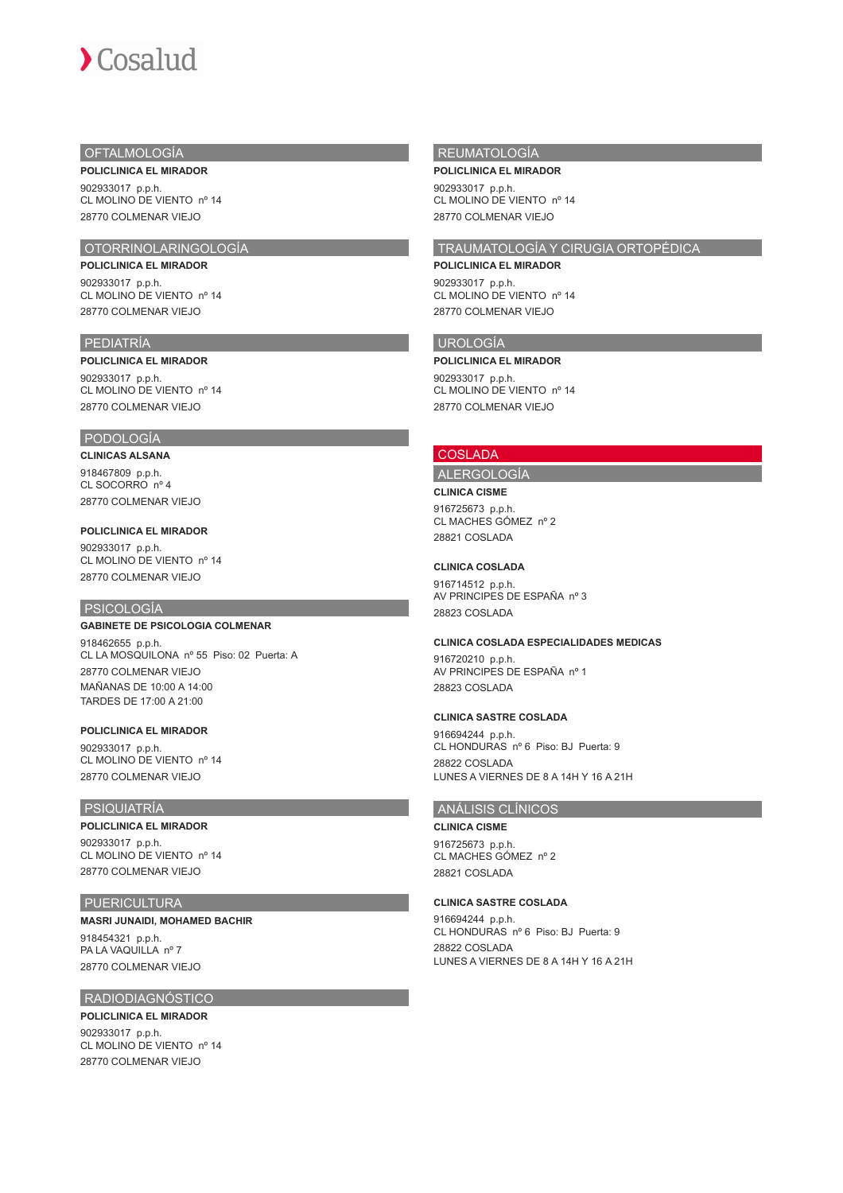# OFTALMOLOGÍA

**POLICLINICA EL MIRADOR** 902933017 p.p.h. CL MOLINO DE VIENTO nº 14

# 28770 COLMENAR VIEJO

# OTORRINOLARINGOLOGÍA **POLICLINICA EL MIRADOR**

902933017 p.p.h. CL MOLINO DE VIENTO nº 14 28770 COLMENAR VIEJO

# PEDIATRÍA

#### **POLICLINICA EL MIRADOR**

902933017 p.p.h. CL MOLINO DE VIENTO nº 14 28770 COLMENAR VIEJO

# PODOLOGÍA

## **CLINICAS ALSANA**

918467809 p.p.h. CL SOCORRO nº 4 28770 COLMENAR VIEJO

#### **POLICLINICA EL MIRADOR**

902933017 p.p.h. CL MOLINO DE VIENTO nº 14 28770 COLMENAR VIEJO

## PSICOLOGÍA

## **GABINETE DE PSICOLOGIA COLMENAR**

918462655 p.p.h. CL LA MOSQUILONA nº 55 Piso: 02 Puerta: A 28770 COLMENAR VIEJO MAÑANAS DE 10:00 A 14:00 TARDES DE 17:00 A 21:00

## **POLICLINICA EL MIRADOR**

902933017 p.p.h. CL MOLINO DE VIENTO nº 14 28770 COLMENAR VIEJO

# **PSIQUIATRÍA**

### **POLICLINICA EL MIRADOR**

902933017 p.p.h. CL MOLINO DE VIENTO nº 14 28770 COLMENAR VIEJO

## PUERICULTURA

# **MASRI JUNAIDI, MOHAMED BACHIR**

918454321 p.p.h. PA LA VAQUILLA nº 7 28770 COLMENAR VIEJO

# RADIODIAGNÓSTICO

**POLICLINICA EL MIRADOR** 902933017 p.p.h. CL MOLINO DE VIENTO nº 14 28770 COLMENAR VIEJO

## REUMATOLOGÍA

**POLICLINICA EL MIRADOR**

902933017 p.p.h. CL MOLINO DE VIENTO nº 14 28770 COLMENAR VIEJO

# TRAUMATOLOGÍA Y CIRUGIA ORTOPÉDICA

**POLICLINICA EL MIRADOR** 902933017 p.p.h.

CL MOLINO DE VIENTO nº 14 28770 COLMENAR VIEJO

## UROLOGÍA

**POLICLINICA EL MIRADOR**

902933017 p.p.h. CL MOLINO DE VIENTO nº 14 28770 COLMENAR VIEJO

## **COSLADA**

# ALERGOLOGÍA

**CLINICA CISME** 916725673 p.p.h. CL MACHES GÓMEZ nº 2 28821 COSLADA

#### **CLINICA COSLADA**

916714512 p.p.h. AV PRINCIPES DE ESPAÑA nº 3 28823 COSLADA

# **CLINICA COSLADA ESPECIALIDADES MEDICAS**

916720210 p.p.h. AV PRINCIPES DE ESPAÑA nº 1 28823 COSLADA

## **CLINICA SASTRE COSLADA**

916694244 p.p.h. CL HONDURAS nº 6 Piso: BJ Puerta: 9 28822 COSLADA LUNES A VIERNES DE 8 A 14H Y 16 A 21H

# ANÁLISIS CLÍNICOS

**CLINICA CISME** 916725673 p.p.h. CL MACHES GÓMEZ nº 2 28821 COSLADA

#### **CLINICA SASTRE COSLADA**

916694244 p.p.h. CL HONDURAS nº 6 Piso: BJ Puerta: 9 28822 COSLADA LUNES A VIERNES DE 8 A 14H Y 16 A 21H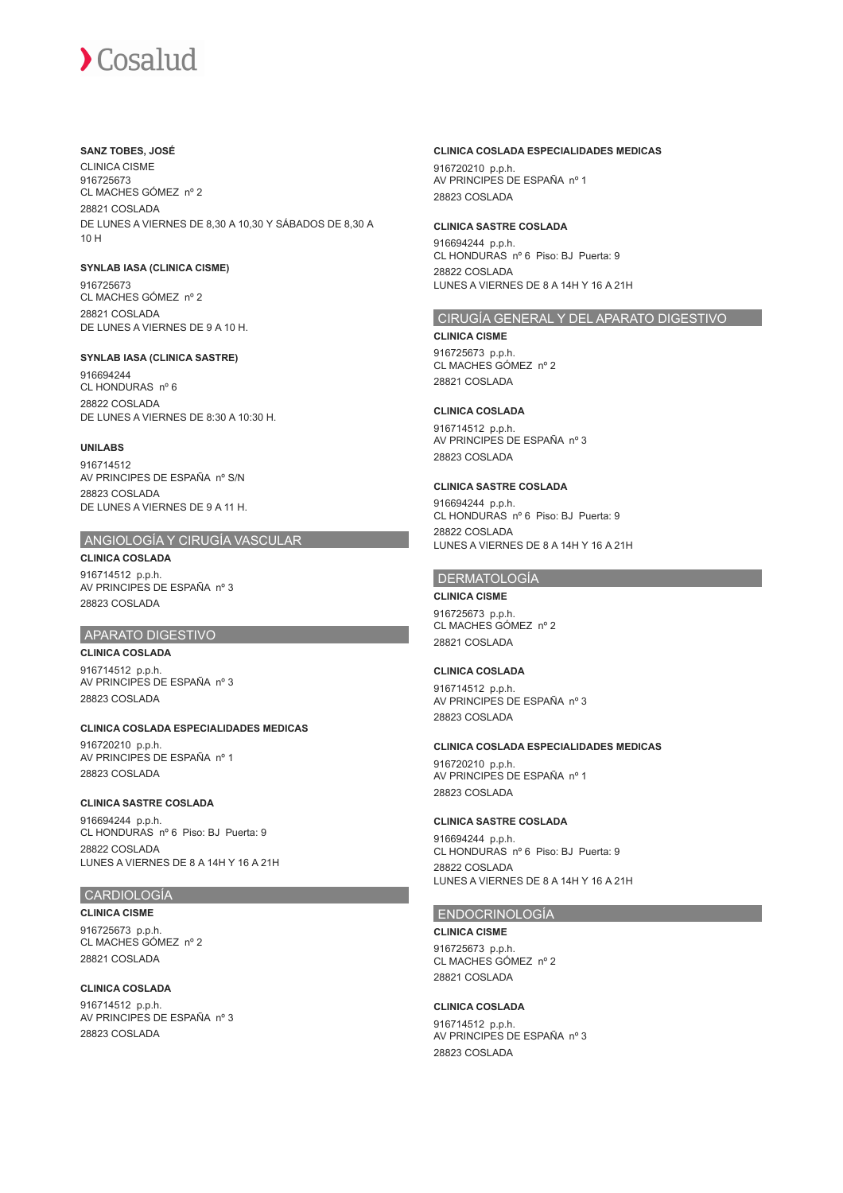## **SANZ TOBES, JOSÉ**

CLINICA CISME 916725673 CL MACHES GÓMEZ nº 2 28821 COSLADA DE LUNES A VIERNES DE 8,30 A 10,30 Y SÁBADOS DE 8,30 A 10 H

## **SYNLAB IASA (CLINICA CISME)**

916725673 CL MACHES GÓMEZ nº 2 28821 COSLADA DE LUNES A VIERNES DE 9 A 10 H.

## **SYNLAB IASA (CLINICA SASTRE)**

916694244 CL HONDURAS nº 6 28822 COSLADA DE LUNES A VIERNES DE 8:30 A 10:30 H.

## **UNILABS**

916714512 AV PRINCIPES DE ESPAÑA nº S/N 28823 COSLADA DE LUNES A VIERNES DE 9 A 11 H.

# ANGIOLOGÍA Y CIRUGÍA VASCULAR

**CLINICA COSLADA** 916714512 p.p.h. AV PRINCIPES DE ESPAÑA nº 3 28823 COSLADA

## APARATO DIGESTIVO

**CLINICA COSLADA** 916714512 p.p.h. AV PRINCIPES DE ESPAÑA nº 3 28823 COSLADA

## **CLINICA COSLADA ESPECIALIDADES MEDICAS**

916720210 p.p.h. AV PRINCIPES DE ESPAÑA nº 1 28823 COSLADA

## **CLINICA SASTRE COSLADA**

916694244 p.p.h. CL HONDURAS nº 6 Piso: BJ Puerta: 9 28822 COSLADA LUNES A VIERNES DE 8 A 14H Y 16 A 21H

# CARDIOLOGÍA

**CLINICA CISME** 916725673 p.p.h. CL MACHES GÓMEZ nº 2 28821 COSLADA

## **CLINICA COSLADA**

916714512 p.p.h. AV PRINCIPES DE ESPAÑA nº 3 28823 COSLADA

# **CLINICA COSLADA ESPECIALIDADES MEDICAS**

916720210 p.p.h. AV PRINCIPES DE ESPAÑA nº 1 28823 COSLADA

## **CLINICA SASTRE COSLADA**

916694244 p.p.h. CL HONDURAS nº 6 Piso: BJ Puerta: 9 28822 COSLADA LUNES A VIERNES DE 8 A 14H Y 16 A 21H

## CIRUGÍA GENERAL Y DEL APARATO DIGESTIVO

#### **CLINICA CISME**

916725673 p.p.h. CL MACHES GÓMEZ nº 2 28821 COSLADA

# **CLINICA COSLADA**

916714512 p.p.h. AV PRINCIPES DE ESPAÑA nº 3 28823 COSLADA

### **CLINICA SASTRE COSLADA**

916694244 p.p.h. CL HONDURAS nº 6 Piso: BJ Puerta: 9 28822 COSLADA LUNES A VIERNES DE 8 A 14H Y 16 A 21H

## DERMATOLOGÍA

**CLINICA CISME** 916725673 p.p.h. CL MACHES GÓMEZ nº 2 28821 COSLADA

# **CLINICA COSLADA**

916714512 p.p.h. AV PRINCIPES DE ESPAÑA nº 3 28823 COSLADA

# **CLINICA COSLADA ESPECIALIDADES MEDICAS**

916720210 p.p.h. AV PRINCIPES DE ESPAÑA nº 1 28823 COSLADA

## **CLINICA SASTRE COSLADA**

916694244 p.p.h. CL HONDURAS nº 6 Piso: BJ Puerta: 9 28822 COSLADA LUNES A VIERNES DE 8 A 14H Y 16 A 21H

# ENDOCRINOLOGÍA

#### **CLINICA CISME**

916725673 p.p.h. CL MACHES GÓMEZ nº 2 28821 COSLADA

## **CLINICA COSLADA**

916714512 p.p.h. AV PRINCIPES DE ESPAÑA nº 3 28823 COSLADA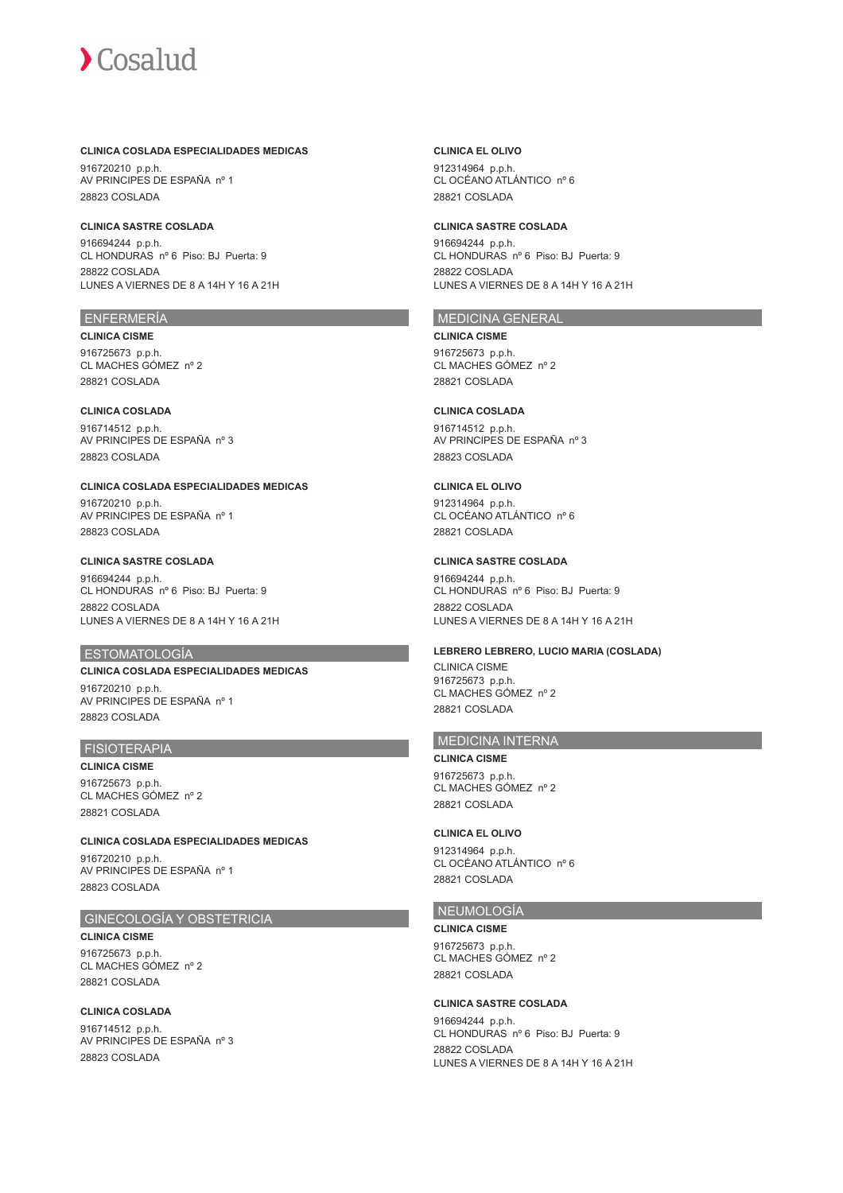## **CLINICA COSLADA ESPECIALIDADES MEDICAS**

916720210 p.p.h. AV PRINCIPES DE ESPAÑA nº 1 28823 COSLADA

## **CLINICA SASTRE COSLADA**

916694244 p.p.h. CL HONDURAS nº 6 Piso: BJ Puerta: 9 28822 COSLADA LUNES A VIERNES DE 8 A 14H Y 16 A 21H

## ENFERMERÍA

**CLINICA CISME** 916725673 p.p.h. CL MACHES GÓMEZ nº 2 28821 COSLADA

## **CLINICA COSLADA**

916714512 p.p.h. AV PRINCIPES DE ESPAÑA nº 3 28823 COSLADA

### **CLINICA COSLADA ESPECIALIDADES MEDICAS**

916720210 p.p.h. AV PRINCIPES DE ESPAÑA nº 1 28823 COSLADA

## **CLINICA SASTRE COSLADA**

916694244 p.p.h. CL HONDURAS nº 6 Piso: BJ Puerta: 9 28822 COSLADA LUNES A VIERNES DE 8 A 14H Y 16 A 21H

## ESTOMATOLOGÍA

# **CLINICA COSLADA ESPECIALIDADES MEDICAS** 916720210 p.p.h. AV PRINCIPES DE ESPAÑA nº 1 28823 COSLADA

# FISIOTERAPIA

**CLINICA CISME** 916725673 p.p.h. CL MACHES GÓMEZ nº 2 28821 COSLADA

**CLINICA COSLADA ESPECIALIDADES MEDICAS** 916720210 p.p.h. AV PRINCIPES DE ESPAÑA nº 1 28823 COSLADA

# GINECOLOGÍA Y OBSTETRICIA

**CLINICA CISME** 916725673 p.p.h. CL MACHES GÓMEZ nº 2 28821 COSLADA

**CLINICA COSLADA** 916714512 p.p.h. AV PRINCIPES DE ESPAÑA nº 3 28823 COSLADA

## **CLINICA EL OLIVO**

912314964 p.p.h. CL OCÉANO ATLÁNTICO nº 6 28821 COSLADA

## **CLINICA SASTRE COSLADA**

916694244 p.p.h. CL HONDURAS nº 6 Piso: BJ Puerta: 9 28822 COSLADA LUNES A VIERNES DE 8 A 14H Y 16 A 21H

# MEDICINA GENERAL

#### **CLINICA CISME**

916725673 p.p.h. CL MACHES GÓMEZ nº 2 28821 COSLADA

# **CLINICA COSLADA**

916714512 p.p.h. AV PRINCIPES DE ESPAÑA nº 3 28823 COSLADA

## **CLINICA EL OLIVO**

912314964 p.p.h. CL OCÉANO ATLÁNTICO nº 6 28821 COSLADA

## **CLINICA SASTRE COSLADA**

916694244 p.p.h. CL HONDURAS nº 6 Piso: BJ Puerta: 9 28822 COSLADA LUNES A VIERNES DE 8 A 14H Y 16 A 21H

### **LEBRERO LEBRERO, LUCIO MARIA (COSLADA)**

CLINICA CISME 916725673 p.p.h. CL MACHES GÓMEZ nº 2 28821 COSLADA

# MEDICINA INTERNA

## **CLINICA CISME**

916725673 p.p.h. CL MACHES GÓMEZ nº 2 28821 COSLADA

## **CLINICA EL OLIVO**

912314964 p.p.h. CL OCÉANO ATLÁNTICO nº 6 28821 COSLADA

## NEUMOLOGÍA

**CLINICA CISME** 916725673 p.p.h. CL MACHES GÓMEZ nº 2 28821 COSLADA

## **CLINICA SASTRE COSLADA**

916694244 p.p.h. CL HONDURAS nº 6 Piso: BJ Puerta: 9 28822 COSLADA LUNES A VIERNES DE 8 A 14H Y 16 A 21H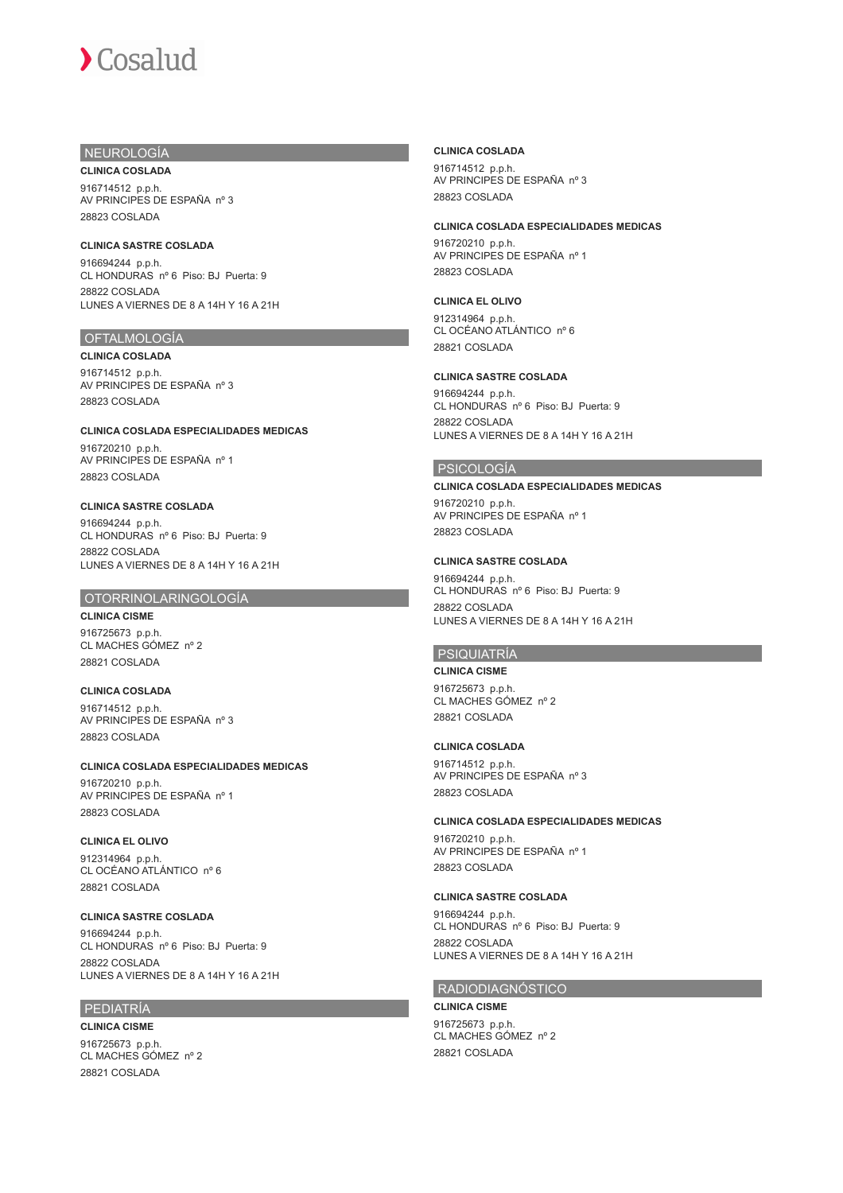# NEUROLOGÍA

**CLINICA COSLADA** 916714512 p.p.h. AV PRINCIPES DE ESPAÑA nº 3 28823 COSLADA

## **CLINICA SASTRE COSLADA**

916694244 p.p.h. CL HONDURAS nº 6 Piso: BJ Puerta: 9 28822 COSLADA LUNES A VIERNES DE 8 A 14H Y 16 A 21H

# OFTALMOLOGÍA

**CLINICA COSLADA** 916714512 p.p.h. AV PRINCIPES DE ESPAÑA nº 3 28823 COSLADA

**CLINICA COSLADA ESPECIALIDADES MEDICAS**

916720210 p.p.h. AV PRINCIPES DE ESPAÑA nº 1 28823 COSLADA

## **CLINICA SASTRE COSLADA**

916694244 p.p.h. CL HONDURAS nº 6 Piso: BJ Puerta: 9 28822 COSLADA LUNES A VIERNES DE 8 A 14H Y 16 A 21H

# OTORRINOLARINGOLOGÍA

**CLINICA CISME** 916725673 p.p.h. CL MACHES GÓMEZ nº 2 28821 COSLADA

**CLINICA COSLADA** 916714512 p.p.h. AV PRINCIPES DE ESPAÑA nº 3 28823 COSLADA

# **CLINICA COSLADA ESPECIALIDADES MEDICAS**

916720210 p.p.h. AV PRINCIPES DE ESPAÑA nº 1 28823 COSLADA

# **CLINICA EL OLIVO**

912314964 p.p.h. CL OCÉANO ATLÁNTICO nº 6 28821 COSLADA

# **CLINICA SASTRE COSLADA**

916694244 p.p.h. CL HONDURAS nº 6 Piso: BJ Puerta: 9 28822 COSLADA LUNES A VIERNES DE 8 A 14H Y 16 A 21H

# PEDIATRÍA

**CLINICA CISME** 916725673 p.p.h. CL MACHES GÓMEZ nº 2 28821 COSLADA

# **CLINICA COSLADA**

916714512 p.p.h. AV PRINCIPES DE ESPAÑA nº 3 28823 COSLADA

## **CLINICA COSLADA ESPECIALIDADES MEDICAS**

916720210 p.p.h. AV PRINCIPES DE ESPAÑA nº 1 28823 COSLADA

## **CLINICA EL OLIVO**

912314964 p.p.h. CL OCÉANO ATLÁNTICO nº 6 28821 COSLADA

# **CLINICA SASTRE COSLADA**

916694244 p.p.h. CL HONDURAS nº 6 Piso: BJ Puerta: 9 28822 COSLADA LUNES A VIERNES DE 8 A 14H Y 16 A 21H

## PSICOLOGÍA

## **CLINICA COSLADA ESPECIALIDADES MEDICAS**

916720210 p.p.h. AV PRINCIPES DE ESPAÑA nº 1 28823 COSLADA

## **CLINICA SASTRE COSLADA**

916694244 p.p.h. CL HONDURAS nº 6 Piso: BJ Puerta: 9 28822 COSLADA LUNES A VIERNES DE 8 A 14H Y 16 A 21H

# PSIQUIATRÍA

**CLINICA CISME** 916725673 p.p.h. CL MACHES GÓMEZ nº 2 28821 COSLADA

# **CLINICA COSLADA**

916714512 p.p.h. AV PRINCIPES DE ESPAÑA nº 3 28823 COSLADA

# **CLINICA COSLADA ESPECIALIDADES MEDICAS**

916720210 p.p.h. AV PRINCIPES DE ESPAÑA nº 1 28823 COSLADA

# **CLINICA SASTRE COSLADA**

916694244 p.p.h. CL HONDURAS nº 6 Piso: BJ Puerta: 9 28822 COSLADA LUNES A VIERNES DE 8 A 14H Y 16 A 21H

# RADIODIAGNÓSTICO

**CLINICA CISME** 916725673 p.p.h. CL MACHES GÓMEZ nº 2 28821 COSLADA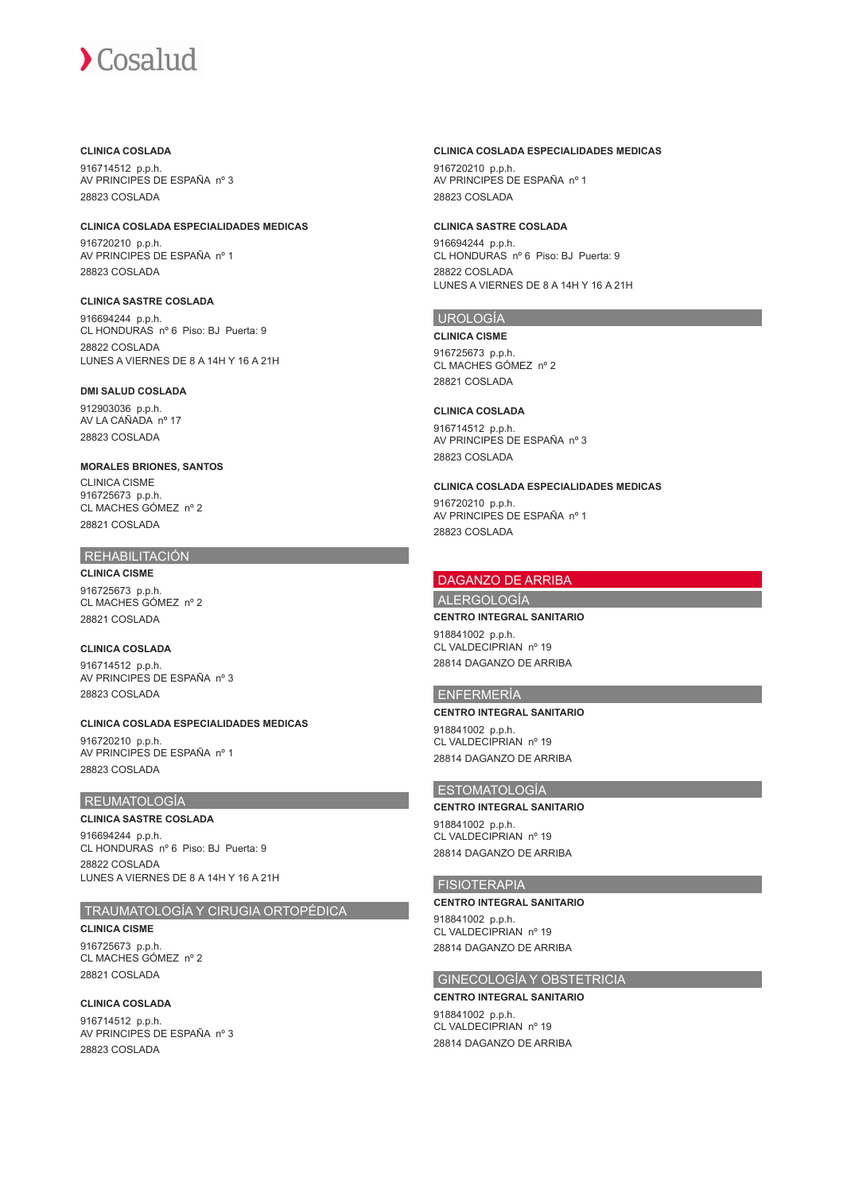# **CLINICA COSLADA**

916714512 p.p.h. AV PRINCIPES DE ESPAÑA nº 3 28823 COSLADA

## **CLINICA COSLADA ESPECIALIDADES MEDICAS**

916720210 p.p.h. AV PRINCIPES DE ESPAÑA nº 1 28823 COSLADA

# **CLINICA SASTRE COSLADA**

916694244 p.p.h. CL HONDURAS nº 6 Piso: BJ Puerta: 9 28822 COSLADA LUNES A VIERNES DE 8 A 14H Y 16 A 21H

## **DMI SALUD COSLADA**

912903036 p.p.h. AV LA CAÑADA nº 17 28823 COSLADA

## **MORALES BRIONES, SANTOS**

CLINICA CISME 916725673 p.p.h. CL MACHES GÓMEZ nº 2 28821 COSLADA

# REHABILITACIÓN

**CLINICA CISME** 916725673 p.p.h. CL MACHES GÓMEZ nº 2 28821 COSLADA

# **CLINICA COSLADA**

916714512 p.p.h. AV PRINCIPES DE ESPAÑA nº 3 28823 COSLADA

## **CLINICA COSLADA ESPECIALIDADES MEDICAS** 916720210 p.p.h. AV PRINCIPES DE ESPAÑA nº 1 28823 COSLADA

# REUMATOLOGÍA

# **CLINICA SASTRE COSLADA**

916694244 p.p.h. CL HONDURAS nº 6 Piso: BJ Puerta: 9 28822 COSLADA LUNES A VIERNES DE 8 A 14H Y 16 A 21H

# TRAUMATOLOGÍA Y CIRUGIA ORTOPÉDICA

**CLINICA CISME** 916725673 p.p.h. CL MACHES GÓMEZ nº 2 28821 COSLADA

# **CLINICA COSLADA**

916714512 p.p.h. AV PRINCIPES DE ESPAÑA nº 3 28823 COSLADA

## **CLINICA COSLADA ESPECIALIDADES MEDICAS**

916720210 p.p.h. AV PRINCIPES DE ESPAÑA nº 1 28823 COSLADA

## **CLINICA SASTRE COSLADA**

916694244 p.p.h. CL HONDURAS nº 6 Piso: BJ Puerta: 9 28822 COSLADA LUNES A VIERNES DE 8 A 14H Y 16 A 21H

# UROLOGÍA

**CLINICA CISME**

916725673 p.p.h. CL MACHES GÓMEZ nº 2 28821 COSLADA

# **CLINICA COSLADA**

916714512 p.p.h. AV PRINCIPES DE ESPAÑA nº 3 28823 COSLADA

## **CLINICA COSLADA ESPECIALIDADES MEDICAS**

916720210 p.p.h. AV PRINCIPES DE ESPAÑA nº 1 28823 COSLADA

# DAGANZO DE ARRIBA

ALERGOLOGÍA

## **CENTRO INTEGRAL SANITARIO**

918841002 p.p.h. CL VALDECIPRIAN nº 19 28814 DAGANZO DE ARRIBA

# ENFERMERÍA

## **CENTRO INTEGRAL SANITARIO**

918841002 p.p.h. CL VALDECIPRIAN nº 19 28814 DAGANZO DE ARRIBA

# ESTOMATOLOGÍA

# **CENTRO INTEGRAL SANITARIO**

918841002 p.p.h. CL VALDECIPRIAN nº 19 28814 DAGANZO DE ARRIBA

## FISIOTERAPIA

## **CENTRO INTEGRAL SANITARIO**

918841002 p.p.h. CL VALDECIPRIAN nº 19 28814 DAGANZO DE ARRIBA

# GINECOLOGÍA Y OBSTETRICIA

# **CENTRO INTEGRAL SANITARIO**

918841002 p.p.h. CL VALDECIPRIAN nº 19 28814 DAGANZO DE ARRIBA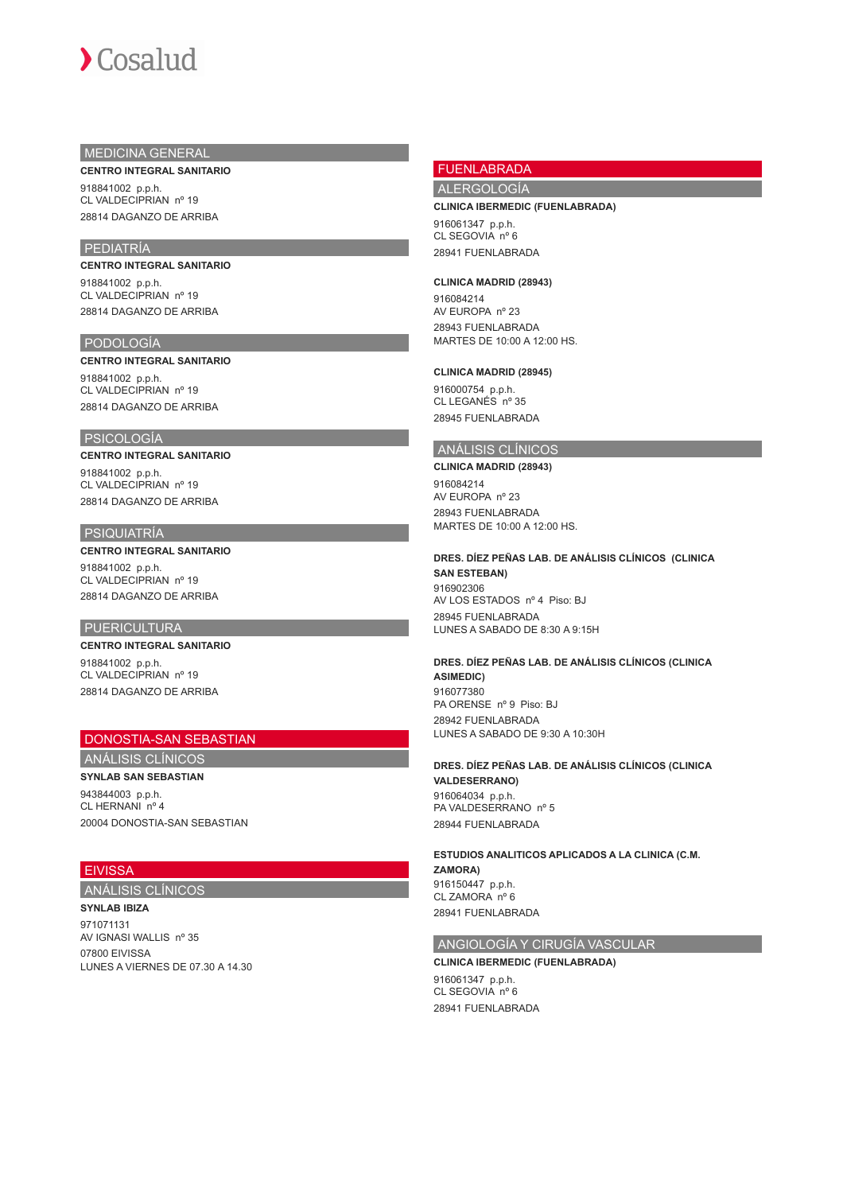# MEDICINA GENERAL

## **CENTRO INTEGRAL SANITARIO**

918841002 p.p.h. CL VALDECIPRIAN nº 19 28814 DAGANZO DE ARRIBA

# PEDIATRÍA

**CENTRO INTEGRAL SANITARIO** 918841002 p.p.h.

CL VALDECIPRIAN nº 19 28814 DAGANZO DE ARRIBA

# PODOLOGÍA

## **CENTRO INTEGRAL SANITARIO**

918841002 p.p.h. CL VALDECIPRIAN nº 19 28814 DAGANZO DE ARRIBA

## PSICOLOGÍA

**CENTRO INTEGRAL SANITARIO** 918841002 p.p.h.

CL VALDECIPRIAN nº 19 28814 DAGANZO DE ARRIBA

# PSIQUIATRÍA

**CENTRO INTEGRAL SANITARIO** 918841002 p.p.h. CL VALDECIPRIAN nº 19 28814 DAGANZO DE ARRIBA

# PUERICULTURA

# **CENTRO INTEGRAL SANITARIO**

918841002 p.p.h. CL VALDECIPRIAN nº 19 28814 DAGANZO DE ARRIBA

# DONOSTIA-SAN SEBASTIAN

ANÁLISIS CLÍNICOS

**SYNLAB SAN SEBASTIAN** 943844003 p.p.h. CL HERNANI nº 4 20004 DONOSTIA-SAN SEBASTIAN

# **EIVISSA**

ANÁLISIS CLÍNICOS

## **SYNLAB IBIZA**

971071131 AV IGNASI WALLIS nº 35 07800 EIVISSA LUNES A VIERNES DE 07.30 A 14.30

# FUENLABRADA

ALERGOLOGÍA

#### **CLINICA IBERMEDIC (FUENLABRADA)**

916061347 p.p.h. CL SEGOVIA nº 6 28941 FUENLABRADA

#### **CLINICA MADRID (28943)**

916084214 AV EUROPA nº 23 28943 FUENLABRADA MARTES DE 10:00 A 12:00 HS.

#### **CLINICA MADRID (28945)**

916000754 p.p.h. CL LEGANÉS nº 35 28945 FUENLABRADA

# ANÁLISIS CLÍNICOS

**CLINICA MADRID (28943)** 916084214 AV EUROPA nº 23 28943 FUENLABRADA MARTES DE 10:00 A 12:00 HS.

## **DRES. DÍEZ PEÑAS LAB. DE ANÁLISIS CLÍNICOS (CLINICA SAN ESTEBAN)** 916902306 AV LOS ESTADOS nº 4 Piso: BJ 28945 FUENLABRADA LUNES A SABADO DE 8:30 A 9:15H

## **DRES. DÍEZ PEÑAS LAB. DE ANÁLISIS CLÍNICOS (CLINICA ASIMEDIC)** 916077380 PA ORENSE nº 9 Piso: BJ 28942 FUENLABRADA LUNES A SABADO DE 9:30 A 10:30H

**DRES. DÍEZ PEÑAS LAB. DE ANÁLISIS CLÍNICOS (CLINICA VALDESERRANO)** 916064034 p.p.h. PA VALDESERRANO nº 5 28944 FUENLABRADA

**ESTUDIOS ANALITICOS APLICADOS A LA CLINICA (C.M. ZAMORA)** 916150447 p.p.h. CL ZAMORA nº 6 28941 FUENLABRADA

# ANGIOLOGÍA Y CIRUGÍA VASCULAR

**CLINICA IBERMEDIC (FUENLABRADA)** 916061347 p.p.h. CL SEGOVIA nº 6 28941 FUENLABRADA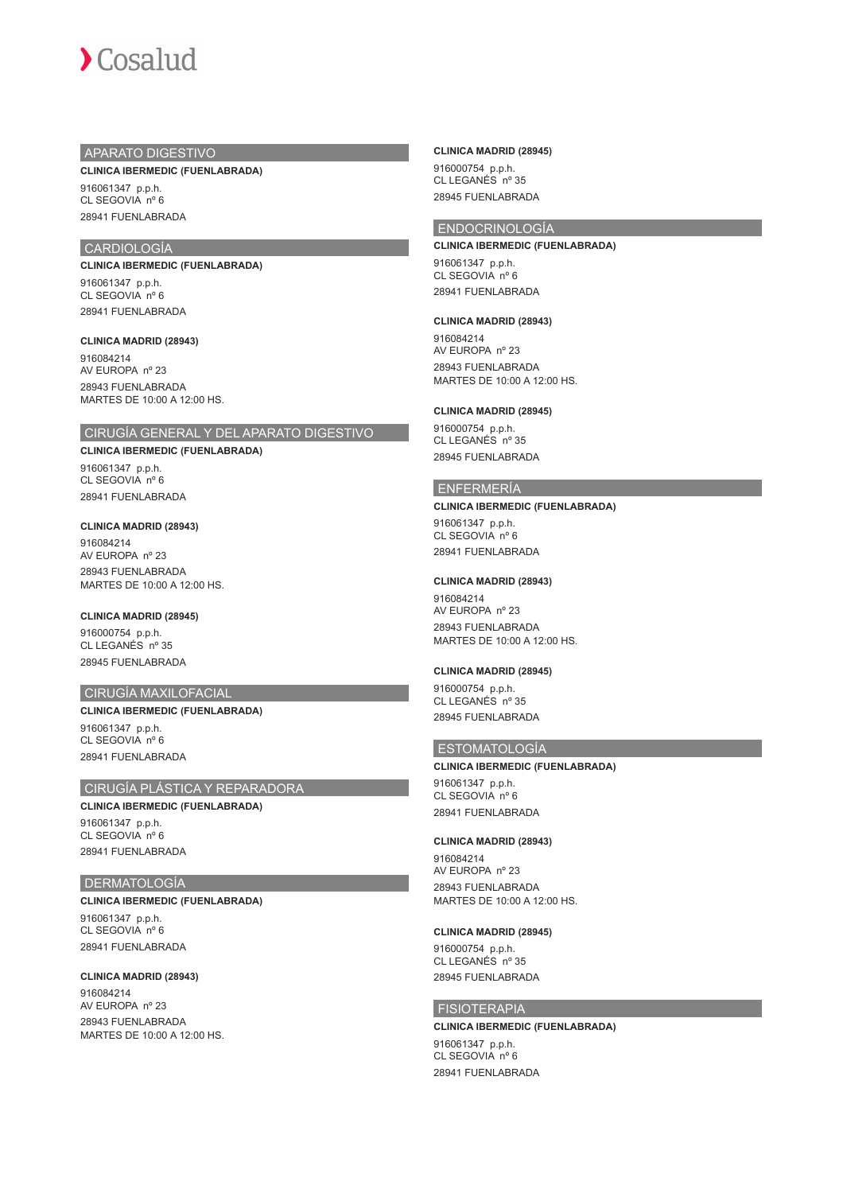

# APARATO DIGESTIVO

## **CLINICA IBERMEDIC (FUENLABRADA)**

916061347 p.p.h. CL SEGOVIA nº 6 28941 FUENLABRADA

# CARDIOLOGÍA

#### **CLINICA IBERMEDIC (FUENLABRADA)**

916061347 p.p.h. CL SEGOVIA nº 6 28941 FUENLABRADA

#### **CLINICA MADRID (28943)**

916084214 AV EUROPA nº 23 28943 FUENLABRADA MARTES DE 10:00 A 12:00 HS.

## CIRUGÍA GENERAL Y DEL APARATO DIGESTIVO

**CLINICA IBERMEDIC (FUENLABRADA)**

916061347 p.p.h. CL SEGOVIA nº 6 28941 FUENLABRADA

## **CLINICA MADRID (28943)**

916084214 AV EUROPA nº 23 28943 FUENLABRADA MARTES DE 10:00 A 12:00 HS.

### **CLINICA MADRID (28945)**

916000754 p.p.h. CL LEGANÉS nº 35 28945 FUENLABRADA

# CIRUGÍA MAXILOFACIAL

## **CLINICA IBERMEDIC (FUENLABRADA)**

916061347 p.p.h. CL SEGOVIA nº 6 28941 FUENLABRADA

# CIRUGÍA PLÁSTICA Y REPARADORA

# **CLINICA IBERMEDIC (FUENLABRADA)**

916061347 p.p.h. CL SEGOVIA nº 6 28941 FUENLABRADA

# **DERMATOLOGÍA**

#### **CLINICA IBERMEDIC (FUENLABRADA)**

916061347 p.p.h. CL SEGOVIA nº 6 28941 FUENLABRADA

## **CLINICA MADRID (28943)**

916084214 AV EUROPA nº 23 28943 FUENLABRADA MARTES DE 10:00 A 12:00 HS.

### **CLINICA MADRID (28945)**

916000754 p.p.h. CL LEGANÉS nº 35 28945 FUENLABRADA

# ENDOCRINOLOGÍA

**CLINICA IBERMEDIC (FUENLABRADA)** 916061347 p.p.h. CL SEGOVIA nº 6 28941 FUENLABRADA

#### **CLINICA MADRID (28943)**

916084214 AV EUROPA nº 23 28943 FUENLABRADA MARTES DE 10:00 A 12:00 HS.

## **CLINICA MADRID (28945)**

916000754 p.p.h. CL LEGANÉS nº 35 28945 FUENLABRADA

## ENFERMERÍA

## **CLINICA IBERMEDIC (FUENLABRADA)**

916061347 p.p.h. CL SEGOVIA nº 6 28941 FUENLABRADA

## **CLINICA MADRID (28943)**

916084214 AV EUROPA nº 23 28943 FUENLABRADA MARTES DE 10:00 A 12:00 HS.

## **CLINICA MADRID (28945)**

916000754 p.p.h. CL LEGANÉS nº 35 28945 FUENLABRADA

# ESTOMATOLOGÍA

# **CLINICA IBERMEDIC (FUENLABRADA)**

916061347 p.p.h. CL SEGOVIA nº 6 28941 FUENLABRADA

## **CLINICA MADRID (28943)**

916084214 AV EUROPA nº 23 28943 FUENLABRADA MARTES DE 10:00 A 12:00 HS.

#### **CLINICA MADRID (28945)**

916000754 p.p.h. CL LEGANÉS nº 35 28945 FUENLABRADA

# FISIOTERAPIA

**CLINICA IBERMEDIC (FUENLABRADA)** 916061347 p.p.h. CL SEGOVIA nº 6 28941 FUENLABRADA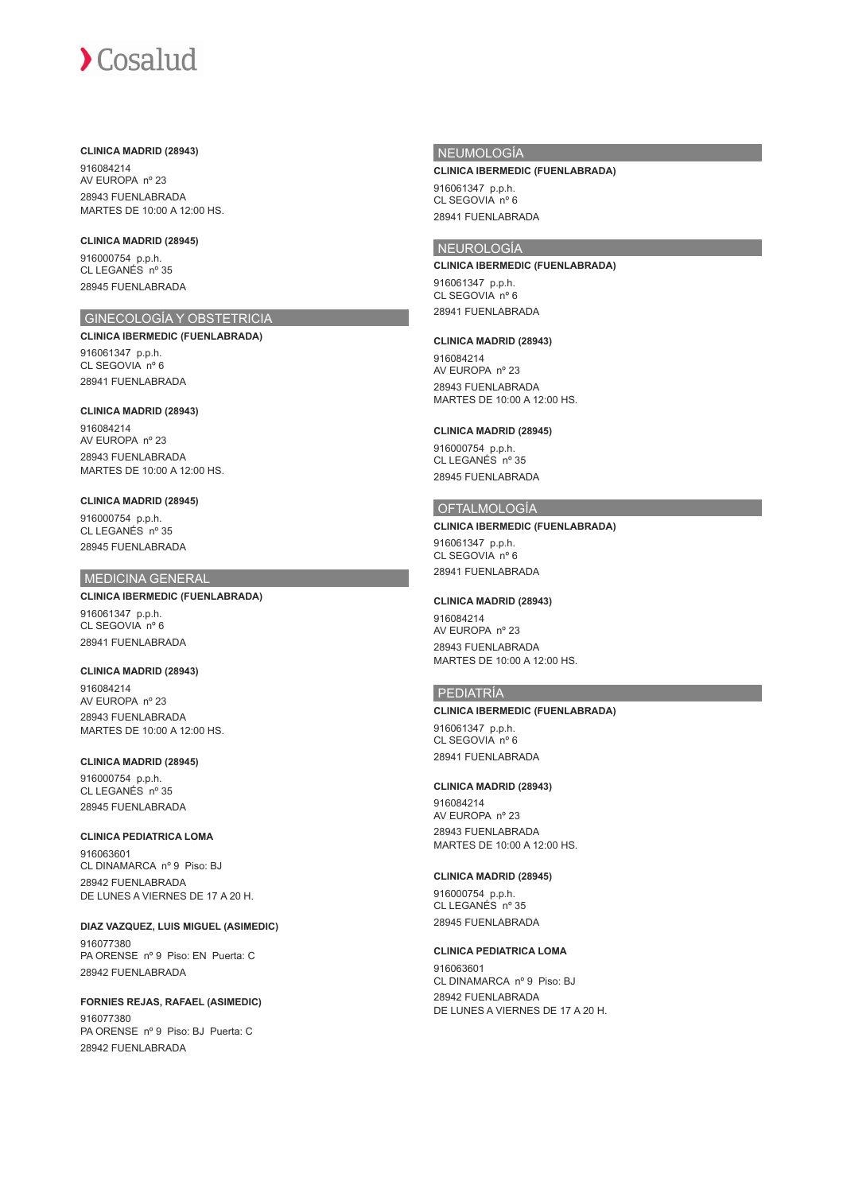## **CLINICA MADRID (28943)**

916084214 AV EUROPA nº 23 28943 FUENLABRADA MARTES DE 10:00 A 12:00 HS.

# **CLINICA MADRID (28945)**

916000754 p.p.h. CL LEGANÉS nº 35 28945 FUENLABRADA

# GINECOLOGÍA Y OBSTETRICIA

**CLINICA IBERMEDIC (FUENLABRADA)** 916061347 p.p.h. CL SEGOVIA nº 6 28941 FUENLABRADA

## **CLINICA MADRID (28943)**

916084214 AV EUROPA nº 23 28943 FUENLABRADA MARTES DE 10:00 A 12:00 HS.

## **CLINICA MADRID (28945)**

916000754 p.p.h. CL LEGANÉS nº 35 28945 FUENLABRADA

# MEDICINA GENERAL

**CLINICA IBERMEDIC (FUENLABRADA)** 916061347 p.p.h. CL SEGOVIA nº 6 28941 FUENLABRADA

# **CLINICA MADRID (28943)**

916084214 AV EUROPA nº 23 28943 FUENLABRADA MARTES DE 10:00 A 12:00 HS.

## **CLINICA MADRID (28945)**

916000754 p.p.h. CL LEGANÉS nº 35 28945 FUENLABRADA

# **CLINICA PEDIATRICA LOMA**

916063601<br>CL DINAMARCA nº 9 Piso: BJ 28942 FUENLABRADA DE LUNES A VIERNES DE 17 A 20 H.

**DIAZ VAZQUEZ, LUIS MIGUEL (ASIMEDIC)** 916077380 PA ORENSE nº 9 Piso: EN Puerta: C 28942 FUENLABRADA

**FORNIES REJAS, RAFAEL (ASIMEDIC)** 916077380 PA ORENSE nº 9 Piso: BJ Puerta: C 28942 FUENLABRADA

# NEUMOLOGÍA

## **CLINICA IBERMEDIC (FUENLABRADA)**

916061347 p.p.h. CL SEGOVIA nº 6 28941 FUENLABRADA

## NEUROLOGÍA

## **CLINICA IBERMEDIC (FUENLABRADA)**

916061347 p.p.h. CL SEGOVIA nº 6 28941 FUENLABRADA

## **CLINICA MADRID (28943)**

916084214 AV EUROPA nº 23 28943 FUENLABRADA MARTES DE 10:00 A 12:00 HS.

## **CLINICA MADRID (28945)**

916000754 p.p.h. CL LEGANÉS nº 35 28945 FUENLABRADA

# OFTALMOLOGÍA

# **CLINICA IBERMEDIC (FUENLABRADA)**

916061347 p.p.h. CL SEGOVIA nº 6 28941 FUENLABRADA

## **CLINICA MADRID (28943)**

916084214 AV EUROPA nº 23 28943 FUENLABRADA MARTES DE 10:00 A 12:00 HS.

# PEDIATRÍA

## **CLINICA IBERMEDIC (FUENLABRADA)**

916061347 p.p.h. CL SEGOVIA nº 6 28941 FUENLABRADA

## **CLINICA MADRID (28943)**

916084214 AV EUROPA nº 23 28943 FUENLABRADA MARTES DE 10:00 A 12:00 HS.

# **CLINICA MADRID (28945)**

916000754 p.p.h. CL LEGANÉS nº 35 28945 FUENLABRADA

## **CLINICA PEDIATRICA LOMA**

916063601<br>CL DINAMARCA nº 9 Piso: BJ 28942 FUENLABRADA DE LUNES A VIERNES DE 17 A 20 H.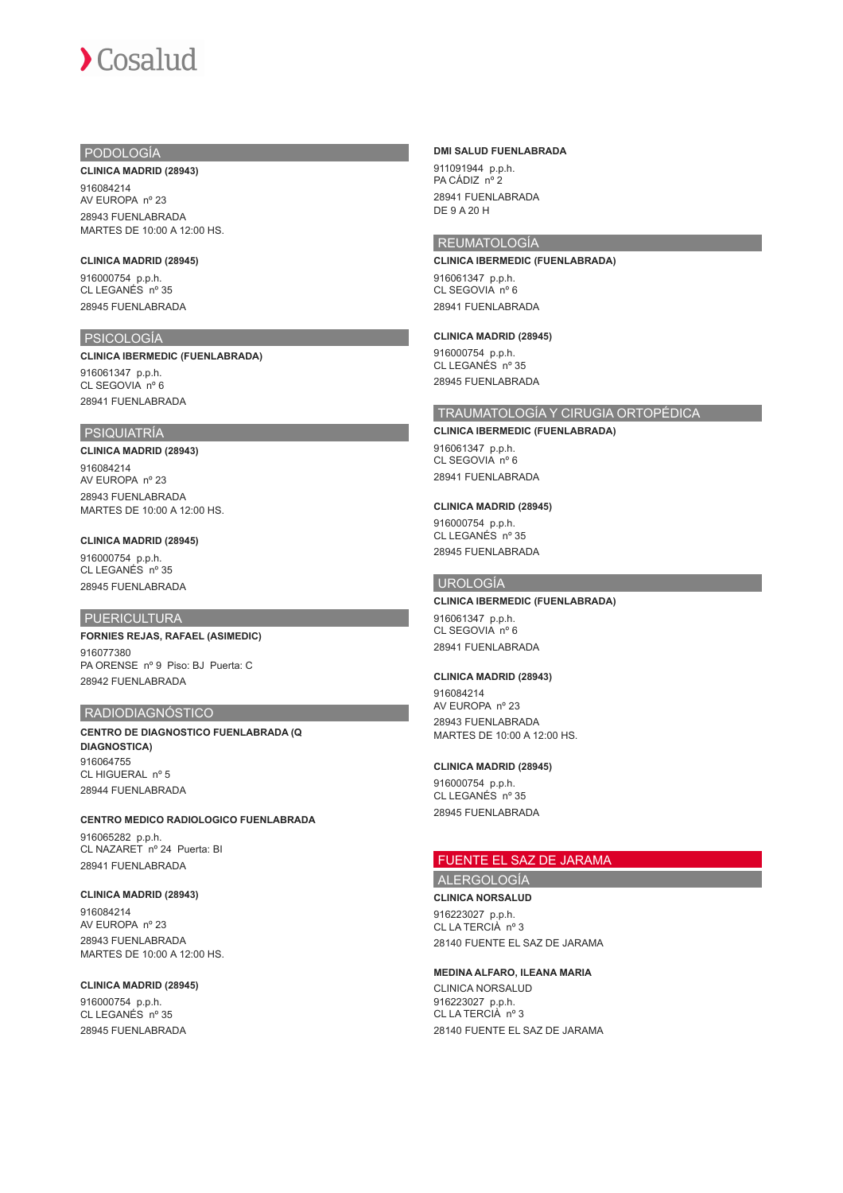# PODOLOGÍA

#### **CLINICA MADRID (28943)**

916084214 AV EUROPA nº 23 28943 FUENLABRADA MARTES DE 10:00 A 12:00 HS.

## **CLINICA MADRID (28945)**

916000754 p.p.h. CL LEGANÉS nº 35 28945 FUENLABRADA

# PSICOLOGÍA

### **CLINICA IBERMEDIC (FUENLABRADA)**

916061347 p.p.h. CL SEGOVIA nº 6 28941 FUENLABRADA

## PSIQUIATRÍA

## **CLINICA MADRID (28943)**

916084214 AV EUROPA nº 23 28943 FUENLABRADA MARTES DE 10:00 A 12:00 HS.

# **CLINICA MADRID (28945)**

916000754 p.p.h. CL LEGANÉS nº 35 28945 FUENLABRADA

# PUERICULTURA

# **FORNIES REJAS, RAFAEL (ASIMEDIC)**

916077380 PA ORENSE nº 9 Piso: BJ Puerta: C 28942 FUENLABRADA

## RADIODIAGNÓSTICO

**CENTRO DE DIAGNOSTICO FUENLABRADA (Q DIAGNOSTICA)** 916064755 CL HIGUERAL nº 5 28944 FUENLABRADA

**CENTRO MEDICO RADIOLOGICO FUENLABRADA** 916065282 p.p.h. CL NAZARET nº 24 Puerta: BI 28941 FUENLABRADA

## **CLINICA MADRID (28943)**

916084214 AV EUROPA nº 23 28943 FUENLABRADA MARTES DE 10:00 A 12:00 HS.

## **CLINICA MADRID (28945)**

916000754 p.p.h. CL LEGANÉS nº 35 28945 FUENLABRADA

## **DMI SALUD FUENLABRADA**

911091944 p.p.h. PA CÁDIZ nº 2 28941 FUENLABRADA DE 9 A 20 H

## REUMATOLOGÍA

### **CLINICA IBERMEDIC (FUENLABRADA)**

916061347 p.p.h. CL SEGOVIA nº 6 28941 FUENLABRADA

### **CLINICA MADRID (28945)**

916000754 p.p.h. CL LEGANÉS nº 35 28945 FUENLABRADA

# TRAUMATOLOGÍA Y CIRUGIA ORTOPÉDICA

# **CLINICA IBERMEDIC (FUENLABRADA)**

916061347 p.p.h. CL SEGOVIA nº 6 28941 FUENLABRADA

## **CLINICA MADRID (28945)**

916000754 p.p.h. CL LEGANÉS nº 35 28945 FUENLABRADA

# UROLOGÍA

# **CLINICA IBERMEDIC (FUENLABRADA)**

916061347 p.p.h. CL SEGOVIA nº 6 28941 FUENLABRADA

## **CLINICA MADRID (28943)**

916084214 AV EUROPA nº 23 28943 FUENLABRADA MARTES DE 10:00 A 12:00 HS.

## **CLINICA MADRID (28945)**

916000754 p.p.h. CL LEGANÉS nº 35 28945 FUENLABRADA

# FUENTE EL SAZ DE JARAMA

ALERGOLOGÍA

**CLINICA NORSALUD** 916223027 p.p.h. CL LA TERCIÀ nº 3 28140 FUENTE EL SAZ DE JARAMA

## **MEDINA ALFARO, ILEANA MARIA**

CLINICA NORSALUD 916223027 p.p.h. CL LA TERCIÀ nº 3 28140 FUENTE EL SAZ DE JARAMA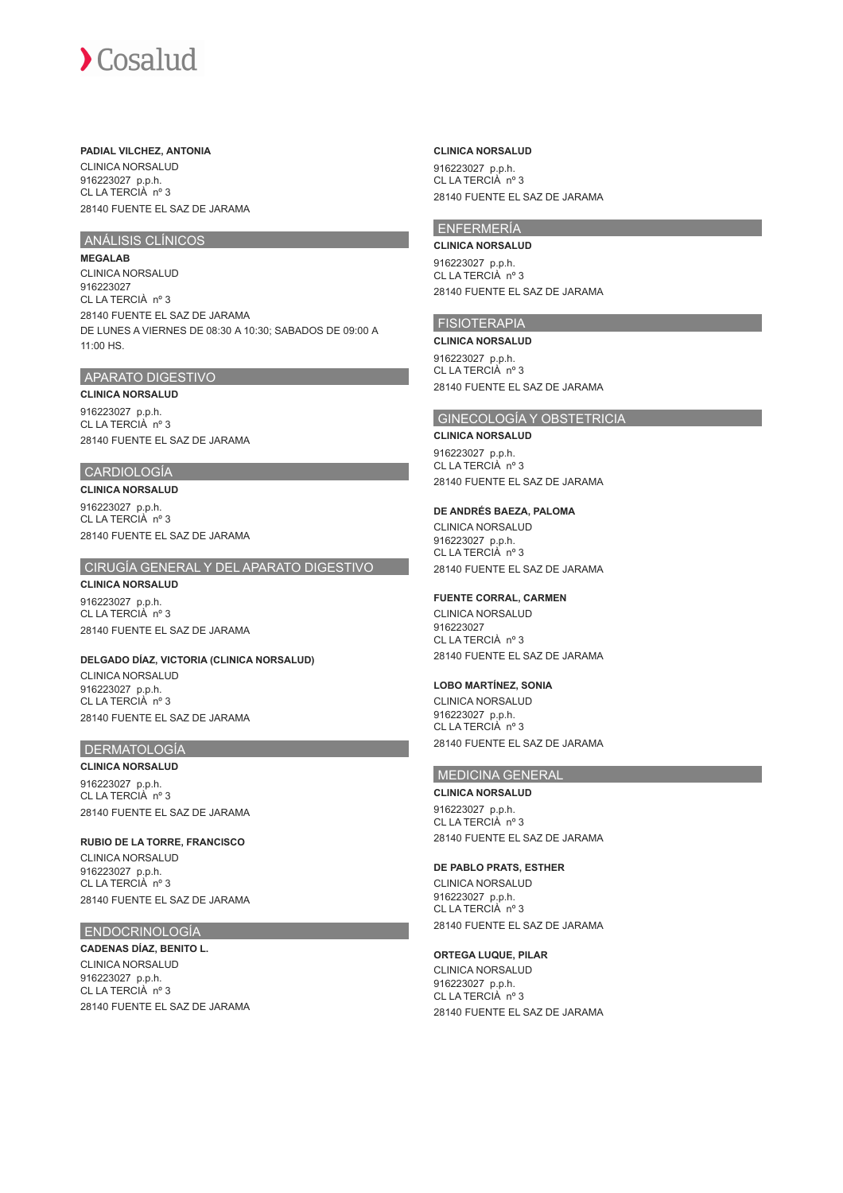## **PADIAL VILCHEZ, ANTONIA**

CLINICA NORSALUD 916223027 p.p.h. CL LA TERCIÀ nº 3 28140 FUENTE EL SAZ DE JARAMA

# ANÁLISIS CLÍNICOS

**MEGALAB** CLINICA NORSALUD 916223027 CL LA TERCIÀ nº 3 28140 FUENTE EL SAZ DE JARAMA DE LUNES A VIERNES DE 08:30 A 10:30; SABADOS DE 09:00 A 11:00 HS.

## APARATO DIGESTIVO

**CLINICA NORSALUD** 916223027 p.p.h. CL LA TERCIÀ nº 3 28140 FUENTE EL SAZ DE JARAMA

# CARDIOLOGÍA

**CLINICA NORSALUD**

916223027 p.p.h. CL LA TERCIÀ nº 3 28140 FUENTE EL SAZ DE JARAMA

# CIRUGÍA GENERAL Y DEL APARATO DIGESTIVO

**CLINICA NORSALUD** 916223027 p.p.h. CL LA TERCIÀ nº 3 28140 FUENTE EL SAZ DE JARAMA

**DELGADO DÍAZ, VICTORIA (CLINICA NORSALUD)** CLINICA NORSALUD 916223027 p.p.h. CL LA TERCIÀ nº 3 28140 FUENTE EL SAZ DE JARAMA

# DERMATOLOGÍA

**CLINICA NORSALUD** 916223027 p.p.h. CL LA TERCIÀ nº 3 28140 FUENTE EL SAZ DE JARAMA

**RUBIO DE LA TORRE, FRANCISCO** CLINICA NORSALUD 916223027 p.p.h. CL LA TERCIÀ nº 3 28140 FUENTE EL SAZ DE JARAMA

# ENDOCRINOLOGÍA

**CADENAS DÍAZ, BENITO L.** CLINICA NORSALUD 916223027 p.p.h. CL LA TERCIÀ nº 3 28140 FUENTE EL SAZ DE JARAMA

## **CLINICA NORSALUD**

916223027 p.p.h. CL LA TERCIÀ nº 3 28140 FUENTE EL SAZ DE JARAMA

# ENFERMERÍA

**CLINICA NORSALUD** 916223027 p.p.h. CL LA TERCIÀ nº 3 28140 FUENTE EL SAZ DE JARAMA

# FISIOTERAPIA

**CLINICA NORSALUD** 916223027 p.p.h. CL LA TERCIÀ nº 3 28140 FUENTE EL SAZ DE JARAMA

## GINECOLOGÍA Y OBSTETRICIA

## **CLINICA NORSALUD**

916223027 p.p.h. CL LA TERCIÀ nº 3 28140 FUENTE EL SAZ DE JARAMA

## **DE ANDRÉS BAEZA, PALOMA**

CLINICA NORSALUD 916223027 p.p.h. CL LA TERCIÀ nº 3 28140 FUENTE EL SAZ DE JARAMA

# **FUENTE CORRAL, CARMEN**

CLINICA NORSALUD 916223027 CL LA TERCIÀ nº 3 28140 FUENTE EL SAZ DE JARAMA

# **LOBO MARTÍNEZ, SONIA**

CLINICA NORSALUD 916223027 p.p.h. CL LA TERCIÀ nº 3 28140 FUENTE EL SAZ DE JARAMA

# MEDICINA GENERAL

**CLINICA NORSALUD** 916223027 p.p.h. CL LA TERCIÀ nº 3 28140 FUENTE EL SAZ DE JARAMA

## **DE PABLO PRATS, ESTHER**

CLINICA NORSALUD 916223027 p.p.h. CL LA TERCIÀ nº 3 28140 FUENTE EL SAZ DE JARAMA

## **ORTEGA LUQUE, PILAR**

CLINICA NORSALUD 916223027 p.p.h. CL LA TERCIÀ nº 3 28140 FUENTE EL SAZ DE JARAMA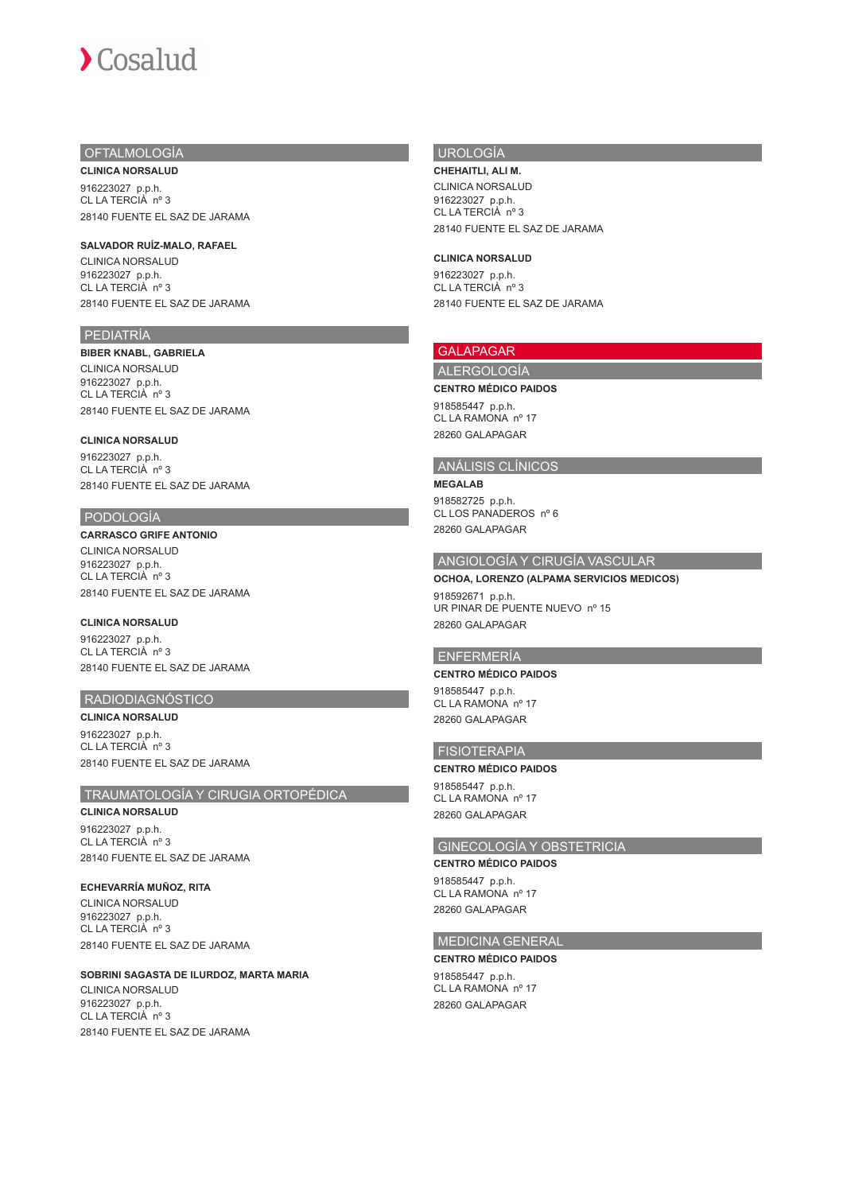# **OFTALMOLOGÍA**

**CLINICA NORSALUD** 916223027 p.p.h. CL LA TERCIÀ nº 3 28140 FUENTE EL SAZ DE JARAMA

**SALVADOR RUÍZ-MALO, RAFAEL** CLINICA NORSALUD 916223027 p.p.h. CL LA TERCIÀ nº 3 28140 FUENTE EL SAZ DE JARAMA

# PEDIATRÍA

**BIBER KNABL, GABRIELA** CLINICA NORSALUD 916223027 p.p.h. CL LA TERCIÀ nº 3 28140 FUENTE EL SAZ DE JARAMA

## **CLINICA NORSALUD**

916223027 p.p.h. CL LA TERCIÀ nº 3 28140 FUENTE EL SAZ DE JARAMA

# PODOLOGÍA

**CARRASCO GRIFE ANTONIO** CLINICA NORSALUD 916223027 p.p.h. CL LA TERCIÀ nº 3 28140 FUENTE EL SAZ DE JARAMA

## **CLINICA NORSALUD**

916223027 p.p.h. CL LA TERCIÀ nº 3 28140 FUENTE EL SAZ DE JARAMA

# RADIODIAGNÓSTICO

**CLINICA NORSALUD** 916223027 p.p.h. CL LA TERCIÀ nº 3 28140 FUENTE EL SAZ DE JARAMA

## TRAUMATOLOGÍA Y CIRUGIA ORTOPÉDICA

**CLINICA NORSALUD** 916223027 p.p.h. CL LA TERCIÀ nº 3 28140 FUENTE EL SAZ DE JARAMA

**ECHEVARRÍA MUÑOZ, RITA** CLINICA NORSALUD 916223027 p.p.h. CL LA TERCIÀ nº 3 28140 FUENTE EL SAZ DE JARAMA

# **SOBRINI SAGASTA DE ILURDOZ, MARTA MARIA**

CLINICA NORSALUD 916223027 p.p.h. CL LA TERCIÀ nº 3 28140 FUENTE EL SAZ DE JARAMA

# UROLOGÍA

**CHEHAITLI, ALI M.** CLINICA NORSALUD 916223027 p.p.h. CL LA TERCIÀ nº 3 28140 FUENTE EL SAZ DE JARAMA

## **CLINICA NORSALUD**

916223027 p.p.h. CL LA TERCIÀ nº 3 28140 FUENTE EL SAZ DE JARAMA

# GALAPAGAR

ALERGOLOGÍA **CENTRO MÉDICO PAIDOS**

918585447 p.p.h. CL LA RAMONA nº 17 28260 GALAPAGAR

# ANÁLISIS CLÍNICOS

**MEGALAB**

918582725 p.p.h. CL LOS PANADEROS nº 6 28260 GALAPAGAR

# ANGIOLOGÍA Y CIRUGÍA VASCULAR

**OCHOA, LORENZO (ALPAMA SERVICIOS MEDICOS)**

918592671 p.p.h. UR PINAR DE PUENTE NUEVO nº 15 28260 GALAPAGAR

## ENFERMERÍA

**CENTRO MÉDICO PAIDOS** 918585447 p.p.h. CL LA RAMONA nº 17 28260 GALAPAGAR

## FISIOTERAPIA

## **CENTRO MÉDICO PAIDOS**

918585447 p.p.h. CL LA RAMONA nº 17 28260 GALAPAGAR

# GINECOLOGÍA Y OBSTETRICIA

**CENTRO MÉDICO PAIDOS** 918585447 p.p.h. CL LA RAMONA nº 17 28260 GALAPAGAR

## MEDICINA GENERAL

## **CENTRO MÉDICO PAIDOS**

918585447 p.p.h. CL LA RAMONA nº 17 28260 GALAPAGAR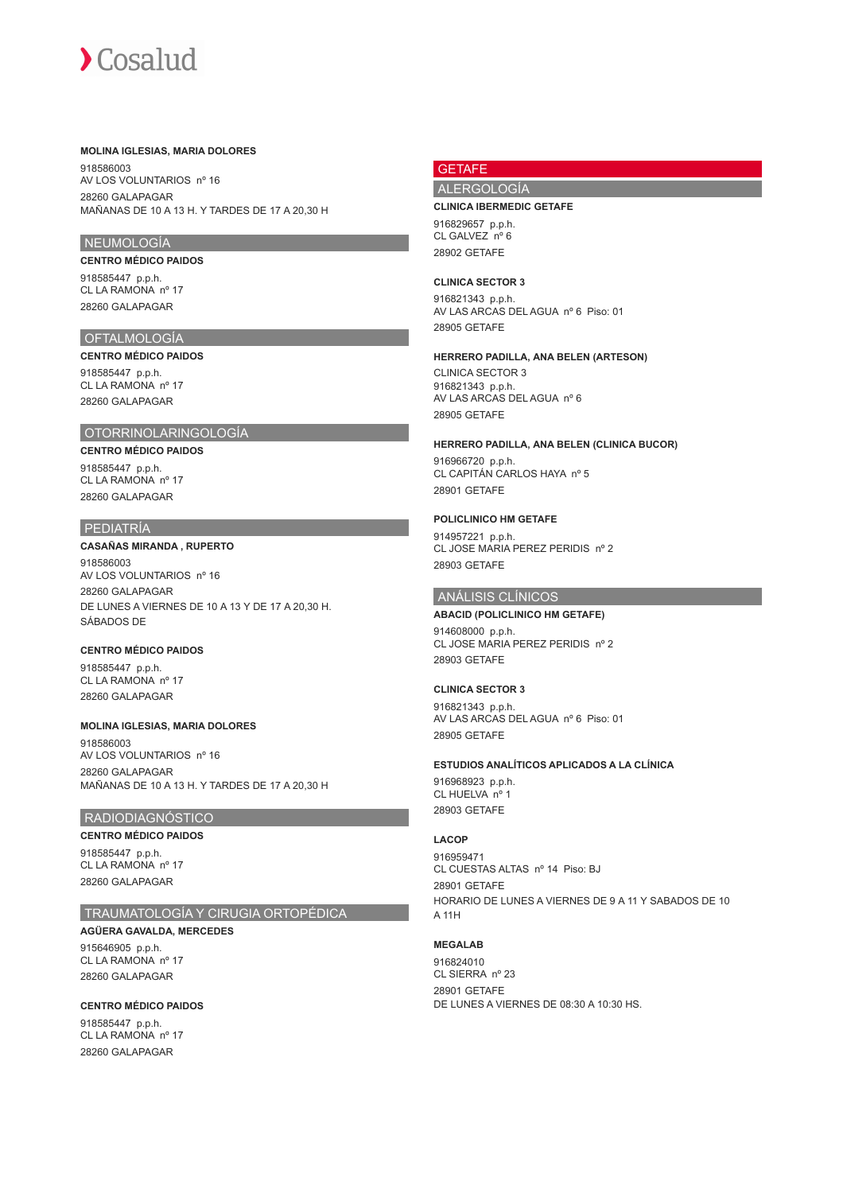#### **MOLINA IGLESIAS, MARIA DOLORES**

918586003 AV LOS VOLUNTARIOS nº 16 28260 GALAPAGAR MAÑANAS DE 10 A 13 H. Y TARDES DE 17 A 20,30 H

## NEUMOLOGÍA

## **CENTRO MÉDICO PAIDOS**

918585447 p.p.h. CL LA RAMONA nº 17 28260 GALAPAGAR

# OFTALMOLOGÍA

# **CENTRO MÉDICO PAIDOS**

918585447 p.p.h. CL LA RAMONA nº 17 28260 GALAPAGAR

## OTORRINOLARINGOLOGÍA

# **CENTRO MÉDICO PAIDOS**

918585447 p.p.h. CL LA RAMONA nº 17 28260 GALAPAGAR

## PEDIATRÍA

**CASAÑAS MIRANDA , RUPERTO** 918586003 AV LOS VOLUNTARIOS nº 16 28260 GALAPAGAR DE LUNES A VIERNES DE 10 A 13 Y DE 17 A 20,30 H. SÁBADOS DE

## **CENTRO MÉDICO PAIDOS**

918585447 p.p.h. CL LA RAMONA nº 17 28260 GALAPAGAR

# **MOLINA IGLESIAS, MARIA DOLORES**

918586003 AV LOS VOLUNTARIOS nº 16 28260 GALAPAGAR MAÑANAS DE 10 A 13 H. Y TARDES DE 17 A 20,30 H

# RADIODIAGNÓSTICO

## **CENTRO MÉDICO PAIDOS**

918585447 p.p.h. CL LA RAMONA nº 17 28260 GALAPAGAR

# TRAUMATOLOGÍA Y CIRUGIA ORTOPÉDICA

**AGÜERA GAVALDA, MERCEDES** 915646905 p.p.h. CL LA RAMONA nº 17 28260 GALAPAGAR

**CENTRO MÉDICO PAIDOS** 918585447 p.p.h. CL LA RAMONA nº 17 28260 GALAPAGAR

# **GETAFE**

# ALERGOLOGÍA

### **CLINICA IBERMEDIC GETAFE**

916829657 p.p.h. CL GALVEZ nº 6 28902 GETAFE

#### **CLINICA SECTOR 3**

916821343 p.p.h. AV LAS ARCAS DEL AGUA nº 6 Piso: 01 28905 GETAFE

#### **HERRERO PADILLA, ANA BELEN (ARTESON)**

CLINICA SECTOR 3 916821343 p.p.h. AV LAS ARCAS DEL AGUA nº 6 28905 GETAFE

### **HERRERO PADILLA, ANA BELEN (CLINICA BUCOR)**

916966720 p.p.h. CL CAPITÁN CARLOS HAYA nº 5 28901 GETAFE

## **POLICLINICO HM GETAFE**

914957221 p.p.h. CL JOSE MARIA PEREZ PERIDIS nº 2 28903 GETAFE

## ANÁLISIS CLÍNICOS

## **ABACID (POLICLINICO HM GETAFE)**

914608000 p.p.h. CL JOSE MARIA PEREZ PERIDIS nº 2 28903 GETAFE

## **CLINICA SECTOR 3**

916821343 p.p.h. AV LAS ARCAS DEL AGUA nº 6 Piso: 01 28905 GETAFE

#### **ESTUDIOS ANALÍTICOS APLICADOS A LA CLÍNICA**

916968923 p.p.h. CL HUELVA nº 1 28903 GETAFE

#### **LACOP**

916959471 CL CUESTAS ALTAS nº 14 Piso: BJ 28901 GETAFE HORARIO DE LUNES A VIERNES DE 9 A 11 Y SABADOS DE 10 A 11H

# **MEGALAB**

916824010 CL SIERRA nº 23 28901 GETAFE DE LUNES A VIERNES DE 08:30 A 10:30 HS.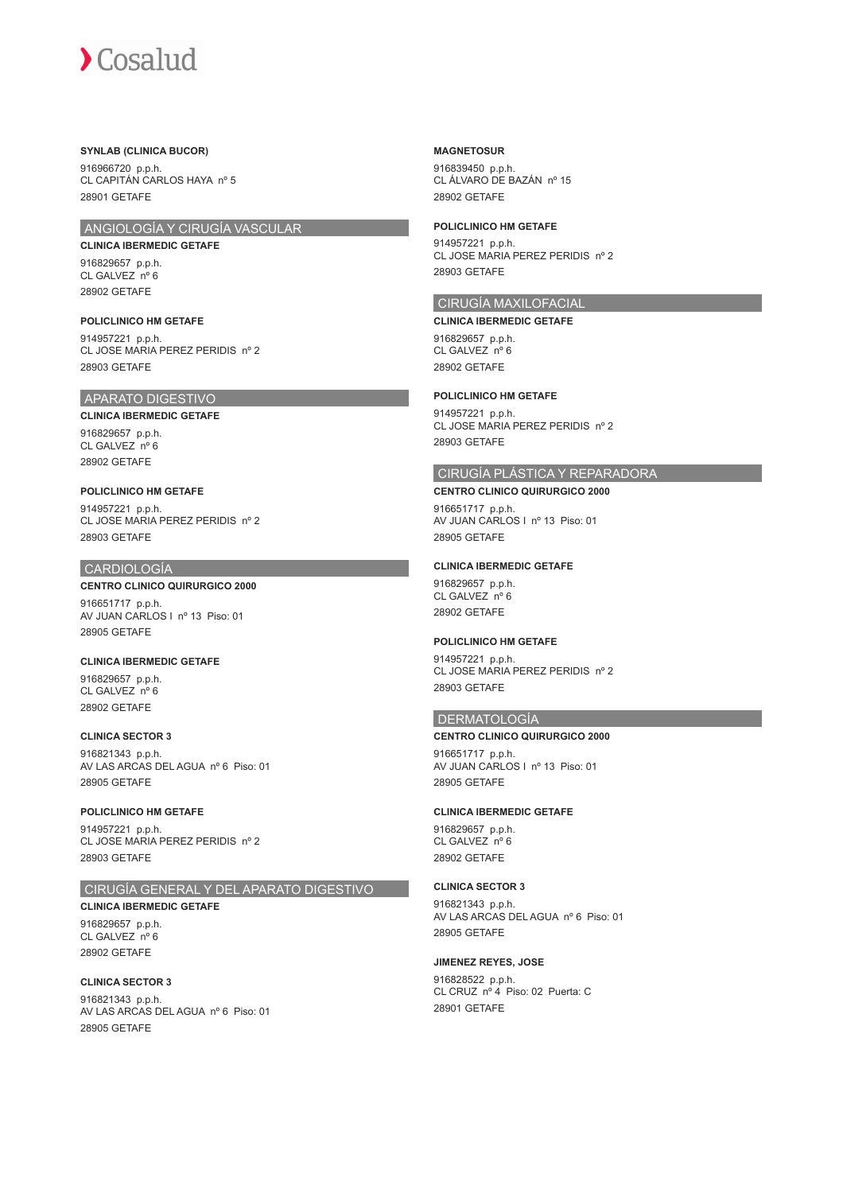## **SYNLAB (CLINICA BUCOR)**

916966720 p.p.h. CL CAPITÁN CARLOS HAYA nº 5 28901 GETAFE

# ANGIOLOGÍA Y CIRUGÍA VASCULAR

**CLINICA IBERMEDIC GETAFE**

916829657 p.p.h. CL GALVEZ nº 6 28902 GETAFE

**POLICLINICO HM GETAFE** 914957221 p.p.h. CL JOSE MARIA PEREZ PERIDIS nº 2 28903 GETAFE

# APARATO DIGESTIVO

**CLINICA IBERMEDIC GETAFE** 916829657 p.p.h. CL GALVEZ nº 6 28902 GETAFE

**POLICLINICO HM GETAFE** 914957221 p.p.h. CL JOSE MARIA PEREZ PERIDIS nº 2 28903 GETAFE

# CARDIOLOGÍA

28902 GETAFE

**CENTRO CLINICO QUIRURGICO 2000** 916651717 p.p.h. AV JUAN CARLOS I nº 13 Piso: 01 28905 GETAFE

**CLINICA IBERMEDIC GETAFE** 916829657 p.p.h. CL GALVEZ nº 6

**CLINICA SECTOR 3** 916821343 p.p.h. AV LAS ARCAS DEL AGUA nº 6 Piso: 01 28905 GETAFE

**POLICLINICO HM GETAFE** 914957221 p.p.h. CL JOSE MARIA PEREZ PERIDIS nº 2 28903 GETAFE

# CIRUGÍA GENERAL Y DEL APARATO DIGESTIVO

**CLINICA IBERMEDIC GETAFE** 916829657 p.p.h. CL GALVEZ nº 6 28902 GETAFE

**CLINICA SECTOR 3** 916821343 p.p.h. AV LAS ARCAS DEL AGUA nº 6 Piso: 01 28905 GETAFE

**MAGNETOSUR**

916839450 p.p.h. CL ÁLVARO DE BAZÁN nº 15 28902 GETAFE

**POLICLINICO HM GETAFE**

914957221 p.p.h. CL JOSE MARIA PEREZ PERIDIS nº 2 28903 GETAFE

# CIRUGÍA MAXILOFACIAL

**CLINICA IBERMEDIC GETAFE** 916829657 p.p.h. CL GALVEZ<sup>no</sup> 6 28902 GETAFE

**POLICLINICO HM GETAFE**

914957221 p.p.h. CL JOSE MARIA PEREZ PERIDIS nº 2 28903 GETAFE

# CIRUGÍA PLÁSTICA Y REPARADORA

**CENTRO CLINICO QUIRURGICO 2000** 916651717 p.p.h. AV JUAN CARLOS I nº 13 Piso: 01 28905 GETAFE

## **CLINICA IBERMEDIC GETAFE**

916829657 p.p.h. CL GALVEZ<sup>n°</sup> 6 28902 GETAFE

## **POLICLINICO HM GETAFE**

914957221 p.p.h. CL JOSE MARIA PEREZ PERIDIS nº 2 28903 GETAFE

# **DERMATOLOGÍA**

**CENTRO CLINICO QUIRURGICO 2000**

916651717 p.p.h. AV JUAN CARLOS I nº 13 Piso: 01 28905 GETAFE

## **CLINICA IBERMEDIC GETAFE**

916829657 p.p.h. CL GALVEZ nº 6 28902 GETAFE

### **CLINICA SECTOR 3**

916821343 p.p.h. AV LAS ARCAS DEL AGUA nº 6 Piso: 01 28905 GETAFE

#### **JIMENEZ REYES, JOSE**

916828522 p.p.h. CL CRUZ nº 4 Piso: 02 Puerta: C 28901 GETAFE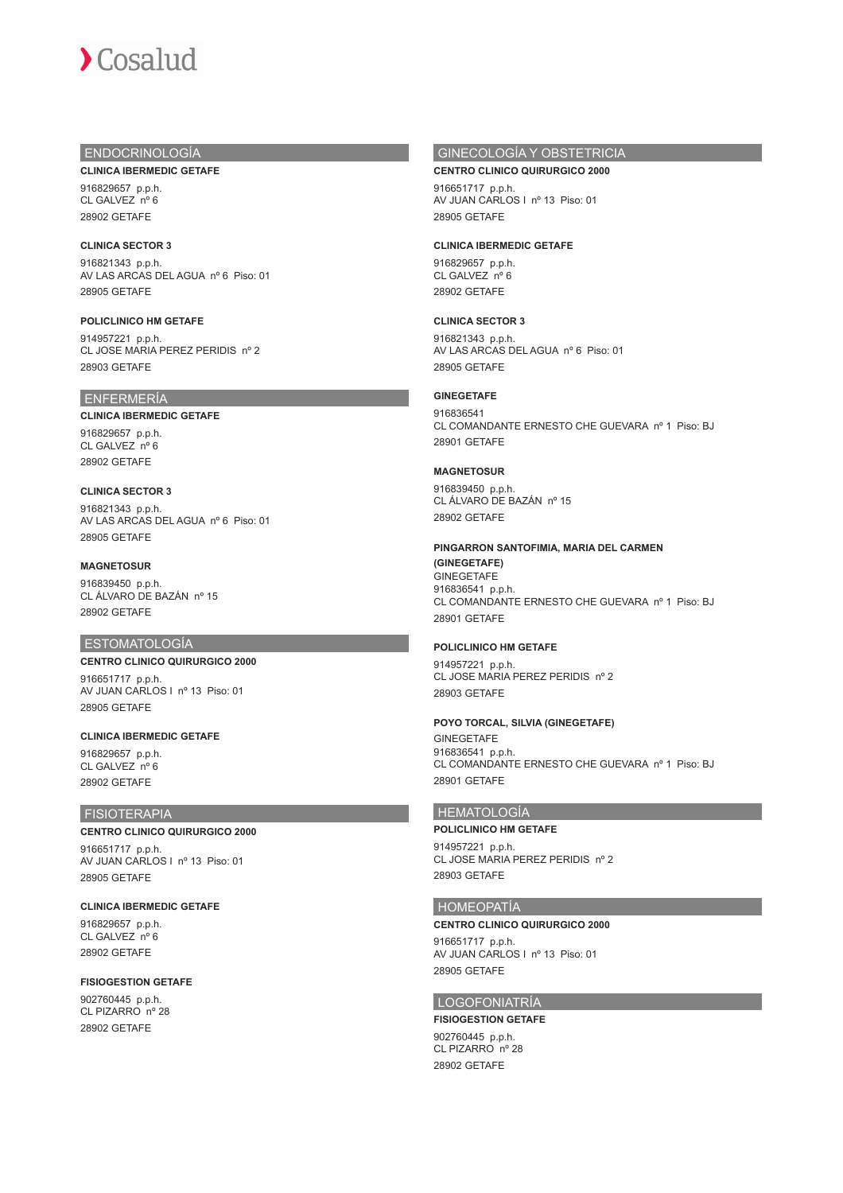# ENDOCRINOLOGÍA

**CLINICA IBERMEDIC GETAFE**

916829657 p.p.h. CL GALVEZ nº 6 28902 GETAFE

## **CLINICA SECTOR 3**

916821343 p.p.h. AV LAS ARCAS DEL AGUA nº 6 Piso: 01 28905 GETAFE

**POLICLINICO HM GETAFE** 914957221 p.p.h. CL JOSE MARIA PEREZ PERIDIS nº 2 28903 GETAFE

# ENFERMERÍA

### **CLINICA IBERMEDIC GETAFE**

916829657 p.p.h. CL GALVEZ nº 6 28902 GETAFE

# **CLINICA SECTOR 3**

916821343 p.p.h. AV LAS ARCAS DEL AGUA nº 6 Piso: 01 28905 GETAFE

## **MAGNETOSUR**

916839450 p.p.h. CL ÁLVARO DE BAZÁN nº 15 28902 GETAFE

# **ESTOMATOLOGÍA**

**CENTRO CLINICO QUIRURGICO 2000** 916651717 p.p.h. AV JUAN CARLOS I nº 13 Piso: 01 28905 GETAFE

# **CLINICA IBERMEDIC GETAFE**

916829657 p.p.h. CL GALVEZ nº 6 28902 GETAFE

## FISIOTERAPIA

## **CENTRO CLINICO QUIRURGICO 2000**

916651717 p.p.h. AV JUAN CARLOS I nº 13 Piso: 01 28905 GETAFE

## **CLINICA IBERMEDIC GETAFE**

916829657 p.p.h. CL GALVEZ nº 6 28902 GETAFE

## **FISIOGESTION GETAFE**

902760445 p.p.h. CL PIZARRO nº 28 28902 GETAFE

# GINECOLOGÍA Y OBSTETRICIA

**CENTRO CLINICO QUIRURGICO 2000**

916651717 p.p.h. AV JUAN CARLOS I nº 13 Piso: 01 28905 GETAFE

## **CLINICA IBERMEDIC GETAFE**

916829657 p.p.h. CL GALVEZ nº 6 28902 GETAFE

# **CLINICA SECTOR 3**

916821343 p.p.h. AV LAS ARCAS DEL AGUA nº 6 Piso: 01 28905 GETAFE

# **GINEGETAFE**

916836541 CL COMANDANTE ERNESTO CHE GUEVARA nº 1 Piso: BJ 28901 GETAFE

## **MAGNETOSUR**

916839450 p.p.h. CL ÁLVARO DE BAZÁN nº 15 28902 GETAFE

## **PINGARRON SANTOFIMIA, MARIA DEL CARMEN**

**(GINEGETAFE)** GINEGETAFE 916836541 p.p.h. CL COMANDANTE ERNESTO CHE GUEVARA nº 1 Piso: BJ 28901 GETAFE

## **POLICLINICO HM GETAFE**

914957221 p.p.h. CL JOSE MARIA PEREZ PERIDIS nº 2 28903 GETAFE

## **POYO TORCAL, SILVIA (GINEGETAFE)**

GINEGETAFE 916836541 p.p.h. CL COMANDANTE ERNESTO CHE GUEVARA nº 1 Piso: BJ 28901 GETAFE

# HEMATOLOGÍA

# **POLICLINICO HM GETAFE**

914957221 p.p.h. CL JOSE MARIA PEREZ PERIDIS nº 2 28903 GETAFE

## HOMEOPATÍA

## **CENTRO CLINICO QUIRURGICO 2000**

916651717 p.p.h. AV JUAN CARLOS I nº 13 Piso: 01 28905 GETAFE

# LOGOFONIATRÍA

## **FISIOGESTION GETAFE** 902760445 p.p.h. CL PIZARRO nº 28

28902 GETAFE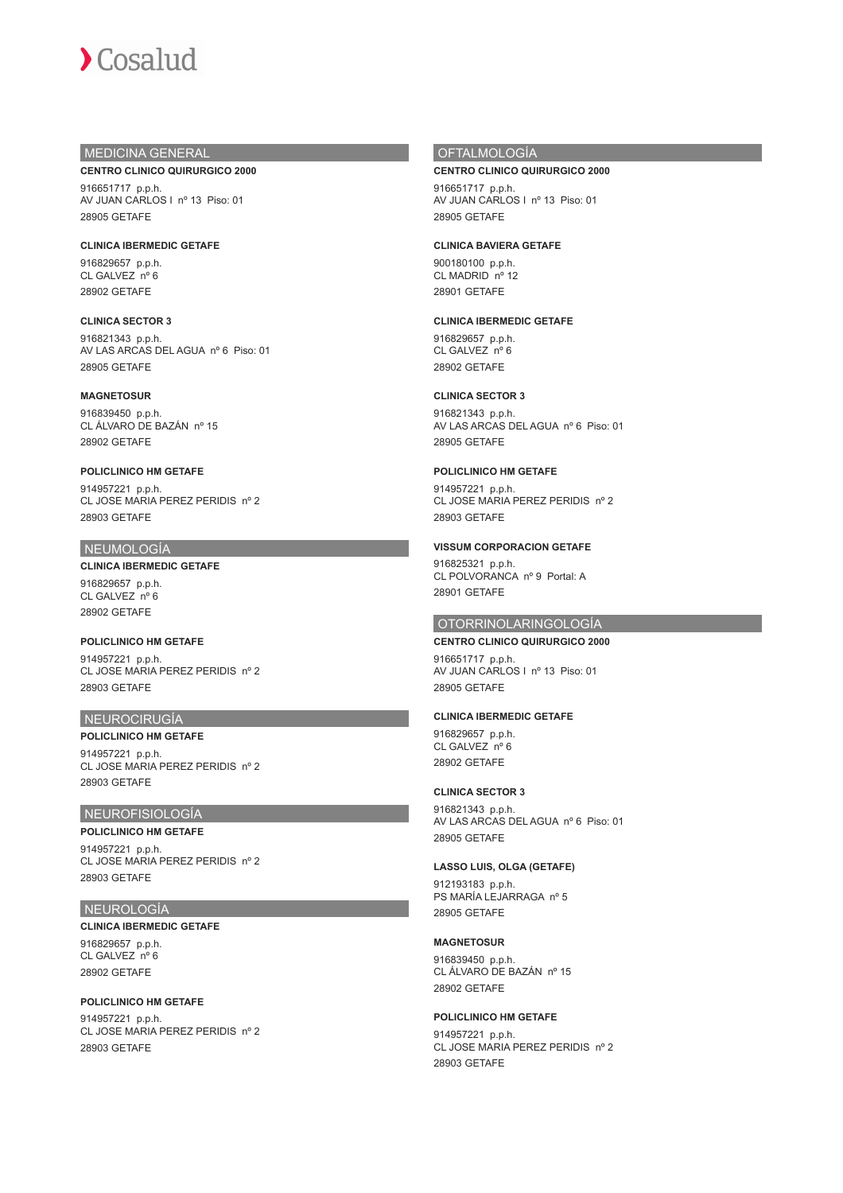# MEDICINA GENERAL

**CENTRO CLINICO QUIRURGICO 2000**

916651717 p.p.h. AV JUAN CARLOS I nº 13 Piso: 01 28905 GETAFE

**CLINICA IBERMEDIC GETAFE** 916829657 p.p.h. CL GALVEZ nº 6 28902 GETAFE

**CLINICA SECTOR 3** 916821343 p.p.h. AV LAS ARCAS DEL AGUA nº 6 Piso: 01 28905 GETAFE

**MAGNETOSUR** 916839450 p.p.h. CL ÁLVARO DE BAZÁN nº 15 28902 GETAFE

**POLICLINICO HM GETAFE** 914957221 p.p.h. CL JOSE MARIA PEREZ PERIDIS nº 2 28903 GETAFE

# NEUMOLOGÍA

**CLINICA IBERMEDIC GETAFE** 916829657 p.p.h. CL GALVEZ nº 6 28902 GETAFE

**POLICLINICO HM GETAFE** 914957221 p.p.h. CL JOSE MARIA PEREZ PERIDIS nº 2 28903 GETAFE

## NEUROCIRUGÍA

**POLICLINICO HM GETAFE** 914957221 p.p.h. CL JOSE MARIA PEREZ PERIDIS nº 2 28903 GETAFE

# NEUROFISIOLOGÍA

**POLICLINICO HM GETAFE** 914957221 p.p.h. CL JOSE MARIA PEREZ PERIDIS nº 2 28903 GETAFE

## NEUROLOGÍA

**CLINICA IBERMEDIC GETAFE** 916829657 p.p.h. CL GALVEZ nº 6 28902 GETAFE

**POLICLINICO HM GETAFE** 914957221 p.p.h. CL JOSE MARIA PEREZ PERIDIS nº 2 28903 GETAFE

# OFTALMOLOGÍA

**CENTRO CLINICO QUIRURGICO 2000**

916651717 p.p.h. AV JUAN CARLOS I nº 13 Piso: 01 28905 GETAFE

## **CLINICA BAVIERA GETAFE**

900180100 p.p.h. CL MADRID nº 12 28901 GETAFE

## **CLINICA IBERMEDIC GETAFE**

916829657 p.p.h. CL GALVEZ nº 6 28902 GETAFE

# **CLINICA SECTOR 3**

916821343 p.p.h. AV LAS ARCAS DEL AGUA nº 6 Piso: 01 28905 GETAFE

**POLICLINICO HM GETAFE**

914957221 p.p.h. CL JOSE MARIA PEREZ PERIDIS nº 2 28903 GETAFE

**VISSUM CORPORACION GETAFE** 916825321 p.p.h. CL POLVORANCA nº 9 Portal: A 28901 GETAFE

# OTORRINOLARINGOLOGÍA

**CENTRO CLINICO QUIRURGICO 2000** 916651717 p.p.h. AV JUAN CARLOS I nº 13 Piso: 01 28905 GETAFE

## **CLINICA IBERMEDIC GETAFE**

916829657 p.p.h. CL GALVEZ nº 6 28902 GETAFE

## **CLINICA SECTOR 3**

916821343 p.p.h. AV LAS ARCAS DEL AGUA nº 6 Piso: 01 28905 GETAFE

**LASSO LUIS, OLGA (GETAFE)**

912193183 p.p.h. PS MARÍA LEJARRAGA nº 5 28905 GETAFE

**MAGNETOSUR**

916839450 p.p.h. CL ÁLVARO DE BAZÁN nº 15 28902 GETAFE

# **POLICLINICO HM GETAFE**

914957221 p.p.h. CL JOSE MARIA PEREZ PERIDIS nº 2 28903 GETAFE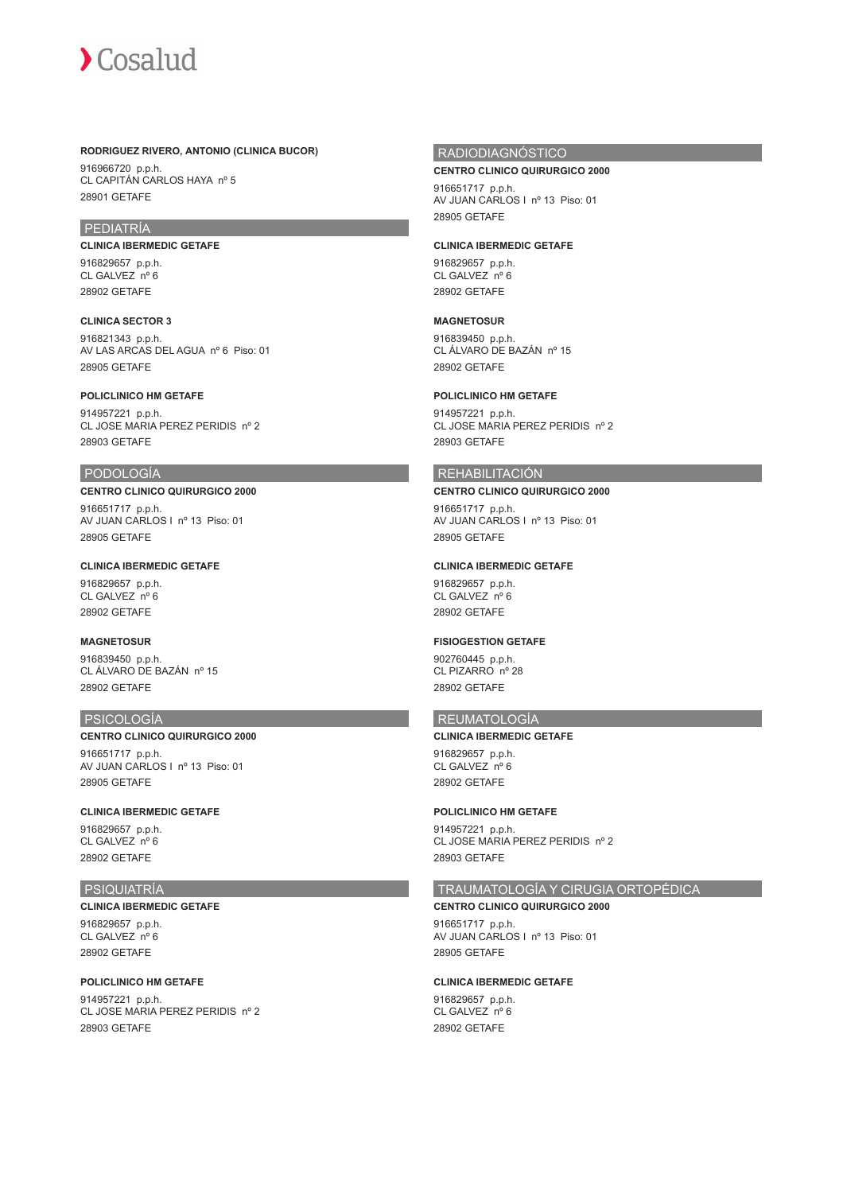

## **RODRIGUEZ RIVERO, ANTONIO (CLINICA BUCOR)**

916966720 p.p.h. CL CAPITÁN CARLOS HAYA nº 5 28901 GETAFE

# PEDIATRÍA

**CLINICA IBERMEDIC GETAFE** 916829657 p.p.h. CL GALVEZ nº 6 28902 GETAFE

**CLINICA SECTOR 3** 916821343 p.p.h. AV LAS ARCAS DEL AGUA nº 6 Piso: 01 28905 GETAFE

**POLICLINICO HM GETAFE** 914957221 p.p.h. CL JOSE MARIA PEREZ PERIDIS nº 2 28903 GETAFE

## PODOLOGÍA

**CENTRO CLINICO QUIRURGICO 2000** 916651717 p.p.h. AV JUAN CARLOS I nº 13 Piso: 01 28905 GETAFE

**CLINICA IBERMEDIC GETAFE**

916829657 p.p.h. CL GALVEZ nº 6 28902 GETAFE

# **MAGNETOSUR**

916839450 p.p.h. CL ÁLVARO DE BAZÁN nº 15 28902 GETAFE

## PSICOLOGÍA

**CENTRO CLINICO QUIRURGICO 2000** 916651717 p.p.h. AV JUAN CARLOS I nº 13 Piso: 01 28905 GETAFE

**CLINICA IBERMEDIC GETAFE**

916829657 p.p.h. CL GALVEZ nº 6 28902 GETAFE

# PSIQUIATRÍA

**CLINICA IBERMEDIC GETAFE** 916829657 p.p.h. CL GALVEZ nº 6 28902 GETAFE

## **POLICLINICO HM GETAFE**

914957221 p.p.h. CL JOSE MARIA PEREZ PERIDIS nº 2 28903 GETAFE

# **RADIODIAGNÓSTICO**

#### **CENTRO CLINICO QUIRURGICO 2000**

916651717 p.p.h. AV JUAN CARLOS I nº 13 Piso: 01 28905 GETAFE

#### **CLINICA IBERMEDIC GETAFE**

916829657 p.p.h. CL GALVEZ nº 6 28902 GETAFE

# **MAGNETOSUR**

916839450 p.p.h. CL ÁLVARO DE BAZÁN nº 15 28902 GETAFE

# **POLICLINICO HM GETAFE**

914957221 p.p.h. CL JOSE MARIA PEREZ PERIDIS nº 2 28903 GETAFE

# REHABILITACIÓN

**CENTRO CLINICO QUIRURGICO 2000**

916651717 p.p.h. AV JUAN CARLOS I nº 13 Piso: 01 28905 GETAFE

## **CLINICA IBERMEDIC GETAFE**

916829657 p.p.h. CL GALVEZ<sup>n°</sup> 6 28902 GETAFE

## **FISIOGESTION GETAFE**

902760445 p.p.h. CL PIZARRO nº 28 28902 GETAFE

# REUMATOLOGÍA

**CLINICA IBERMEDIC GETAFE**

916829657 p.p.h. CL GALVEZ nº 6 28902 GETAFE

## **POLICLINICO HM GETAFE**

914957221 p.p.h. CL JOSE MARIA PEREZ PERIDIS nº 2 28903 GETAFE

## TRAUMATOLOGÍA Y CIRUGIA ORTOPÉDICA

## **CENTRO CLINICO QUIRURGICO 2000**

916651717 p.p.h. AV JUAN CARLOS I nº 13 Piso: 01 28905 GETAFE

## **CLINICA IBERMEDIC GETAFE**

916829657 p.p.h. CL GALVEZ nº 6 28902 GETAFE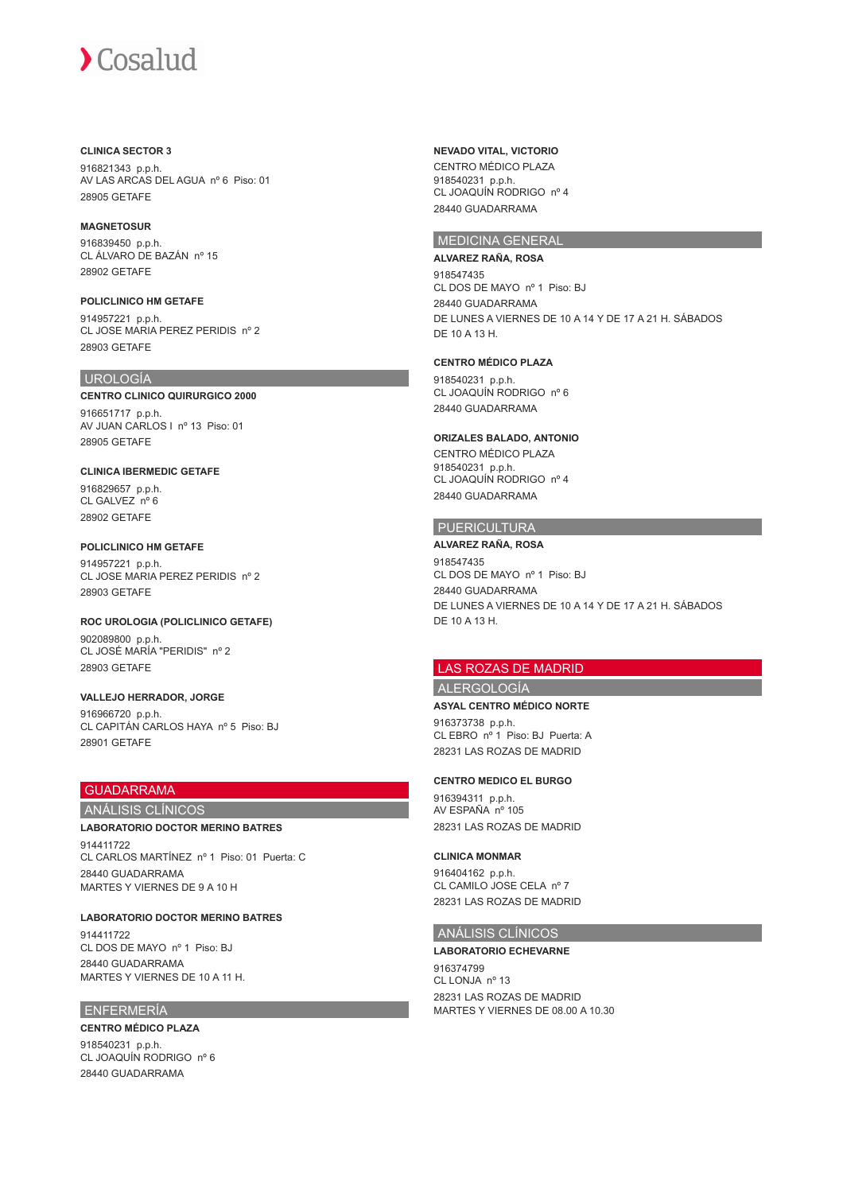## **CLINICA SECTOR 3**

916821343 p.p.h. AV LAS ARCAS DEL AGUA nº 6 Piso: 01 28905 GETAFE

# **MAGNETOSUR**

916839450 p.p.h. CL ÁLVARO DE BAZÁN nº 15 28902 GETAFE

**POLICLINICO HM GETAFE** 914957221 p.p.h. CL JOSE MARIA PEREZ PERIDIS nº 2 28903 GETAFE

# UROLOGÍA

**CENTRO CLINICO QUIRURGICO 2000** 916651717 p.p.h. AV JUAN CARLOS I nº 13 Piso: 01 28905 GETAFE

# **CLINICA IBERMEDIC GETAFE**

916829657 p.p.h. CL GALVEZ nº 6 28902 GETAFE

**POLICLINICO HM GETAFE** 914957221 p.p.h. CL JOSE MARIA PEREZ PERIDIS nº 2 28903 GETAFE

**ROC UROLOGIA (POLICLINICO GETAFE)** 902089800 p.p.h. CL JOSÉ MARÍA "PERIDIS" nº 2 28903 GETAFE

**VALLEJO HERRADOR, JORGE** 916966720 p.p.h. CL CAPITÁN CARLOS HAYA nº 5 Piso: BJ 28901 GETAFE

# GUADARRAMA

# ANÁLISIS CLÍNICOS

# **LABORATORIO DOCTOR MERINO BATRES**

914411722 CL CARLOS MARTÍNEZ nº 1 Piso: 01 Puerta: C 28440 GUADARRAMA MARTES Y VIERNES DE 9 A 10 H

**LABORATORIO DOCTOR MERINO BATRES** 914411722 CL DOS DE MAYO nº 1 Piso: BJ 28440 GUADARRAMA MARTES Y VIERNES DE 10 A 11 H.

# ENFERMERÍA

# **CENTRO MÉDICO PLAZA**

918540231 p.p.h. CL JOAQUÍN RODRIGO nº 6 28440 GUADARRAMA

**NEVADO VITAL, VICTORIO**

CENTRO MÉDICO PLAZA 918540231 p.p.h. CL JOAQUÍN RODRIGO nº 4 28440 GUADARRAMA

# MEDICINA GENERAL

## **ALVAREZ RAÑA, ROSA**

918547435 CL DOS DE MAYO nº 1 Piso: BJ 28440 GUADARRAMA DE LUNES A VIERNES DE 10 A 14 Y DE 17 A 21 H. SÁBADOS DE 10 A 13 H.

# **CENTRO MÉDICO PLAZA**

918540231 p.p.h. CL JOAQUÍN RODRIGO nº 6 28440 GUADARRAMA

# **ORIZALES BALADO, ANTONIO**

CENTRO MÉDICO PLAZA 918540231 p.p.h. CL JOAQUÍN RODRIGO nº 4 28440 GUADARRAMA

# PUERICULTURA

**ALVAREZ RAÑA, ROSA** 918547435 CL DOS DE MAYO nº 1 Piso: BJ 28440 GUADARRAMA DE LUNES A VIERNES DE 10 A 14 Y DE 17 A 21 H. SÁBADOS DE 10 A 13 H.

# LAS ROZAS DE MADRID

ALERGOLOGÍA

# **ASYAL CENTRO MÉDICO NORTE**

916373738 p.p.h. CL EBRO nº 1 Piso: BJ Puerta: A 28231 LAS ROZAS DE MADRID

# **CENTRO MEDICO EL BURGO**

916394311 p.p.h. AV ESPAÑA nº 105 28231 LAS ROZAS DE MADRID

# **CLINICA MONMAR**

916404162 p.p.h. CL CAMILO JOSE CELA nº 7 28231 LAS ROZAS DE MADRID

# ANÁLISIS CLÍNICOS

# **LABORATORIO ECHEVARNE**

916374799 CL LONJA nº 13 28231 LAS ROZAS DE MADRID MARTES Y VIERNES DE 08.00 A 10.30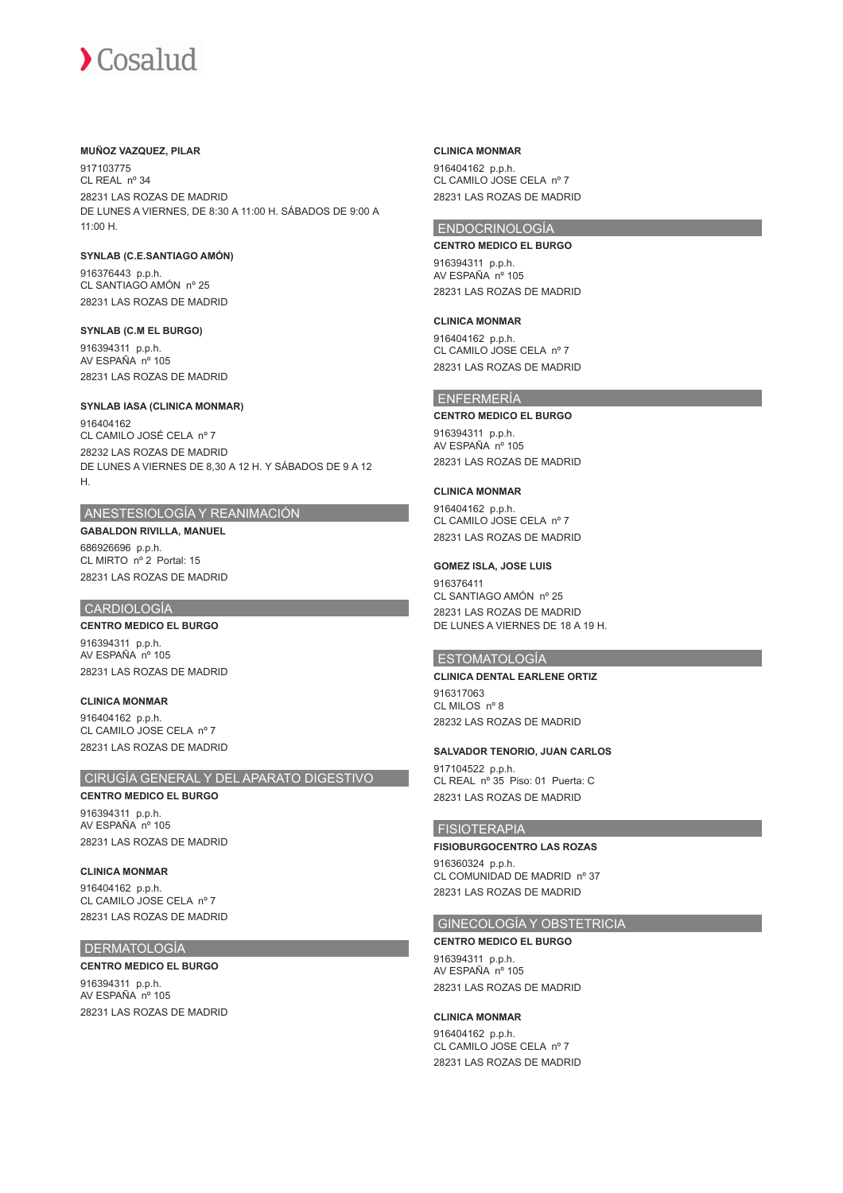## **MUÑOZ VAZQUEZ, PILAR**

917103775 CL REAL nº 34 28231 LAS ROZAS DE MADRID DE LUNES A VIERNES, DE 8:30 A 11:00 H. SÁBADOS DE 9:00 A 11:00 H.

# **SYNLAB (C.E.SANTIAGO AMÓN)**

916376443 p.p.h. CL SANTIAGO AMÓN nº 25 28231 LAS ROZAS DE MADRID

### **SYNLAB (C.M EL BURGO)**

916394311 p.p.h. AV ESPAÑA nº 105 28231 LAS ROZAS DE MADRID

## **SYNLAB IASA (CLINICA MONMAR)**

916404162 CL CAMILO JOSÉ CELA nº 7 28232 LAS ROZAS DE MADRID DE LUNES A VIERNES DE 8,30 A 12 H. Y SÁBADOS DE 9 A 12 H.

# ANESTESIOLOGÍA Y REANIMACIÓN

# **GABALDON RIVILLA, MANUEL**

686926696 p.p.h. CL MIRTO nº 2 Portal: 15 28231 LAS ROZAS DE MADRID

## CARDIOLOGÍA

**CENTRO MEDICO EL BURGO** 916394311 p.p.h. AV ESPAÑA nº 105 28231 LAS ROZAS DE MADRID

## **CLINICA MONMAR**

916404162 p.p.h. CL CAMILO JOSE CELA nº 7 28231 LAS ROZAS DE MADRID

## CIRUGÍA GENERAL Y DEL APARATO DIGESTIVO

**CENTRO MEDICO EL BURGO** 916394311 p.p.h. AV ESPAÑA nº 105

28231 LAS ROZAS DE MADRID

**CLINICA MONMAR** 916404162 p.p.h. CL CAMILO JOSE CELA nº 7 28231 LAS ROZAS DE MADRID

## DERMATOLOGÍA

**CENTRO MEDICO EL BURGO** 916394311 p.p.h. AV ESPAÑA nº 105 28231 LAS ROZAS DE MADRID

### **CLINICA MONMAR**

916404162 p.p.h. CL CAMILO JOSE CELA nº 7 28231 LAS ROZAS DE MADRID

# ENDOCRINOLOGÍA

**CENTRO MEDICO EL BURGO** 916394311 p.p.h. AV ESPAÑA nº 105 28231 LAS ROZAS DE MADRID

## **CLINICA MONMAR**

916404162 p.p.h. CL CAMILO JOSE CELA nº 7 28231 LAS ROZAS DE MADRID

# ENFERMERÍA

## **CENTRO MEDICO EL BURGO**

916394311 p.p.h. AV ESPAÑA nº 105 28231 LAS ROZAS DE MADRID

## **CLINICA MONMAR**

916404162 p.p.h. CL CAMILO JOSE CELA nº 7 28231 LAS ROZAS DE MADRID

## **GOMEZ ISLA, JOSE LUIS**

916376411 CL SANTIAGO AMÓN nº 25 28231 LAS ROZAS DE MADRID DE LUNES A VIERNES DE 18 A 19 H.

# ESTOMATOLOGÍA

# **CLINICA DENTAL EARLENE ORTIZ**

916317063 CL MILOS nº 8 28232 LAS ROZAS DE MADRID

## **SALVADOR TENORIO, JUAN CARLOS**

917104522 p.p.h. CL REAL nº 35 Piso: 01 Puerta: C 28231 LAS ROZAS DE MADRID

# FISIOTERAPIA

## **FISIOBURGOCENTRO LAS ROZAS**

916360324 p.p.h. CL COMUNIDAD DE MADRID nº 37 28231 LAS ROZAS DE MADRID

# GINECOLOGÍA Y OBSTETRICIA

**CENTRO MEDICO EL BURGO** 916394311 p.p.h. AV ESPAÑA nº 105 28231 LAS ROZAS DE MADRID

## **CLINICA MONMAR**

916404162 p.p.h. CL CAMILO JOSE CELA nº 7 28231 LAS ROZAS DE MADRID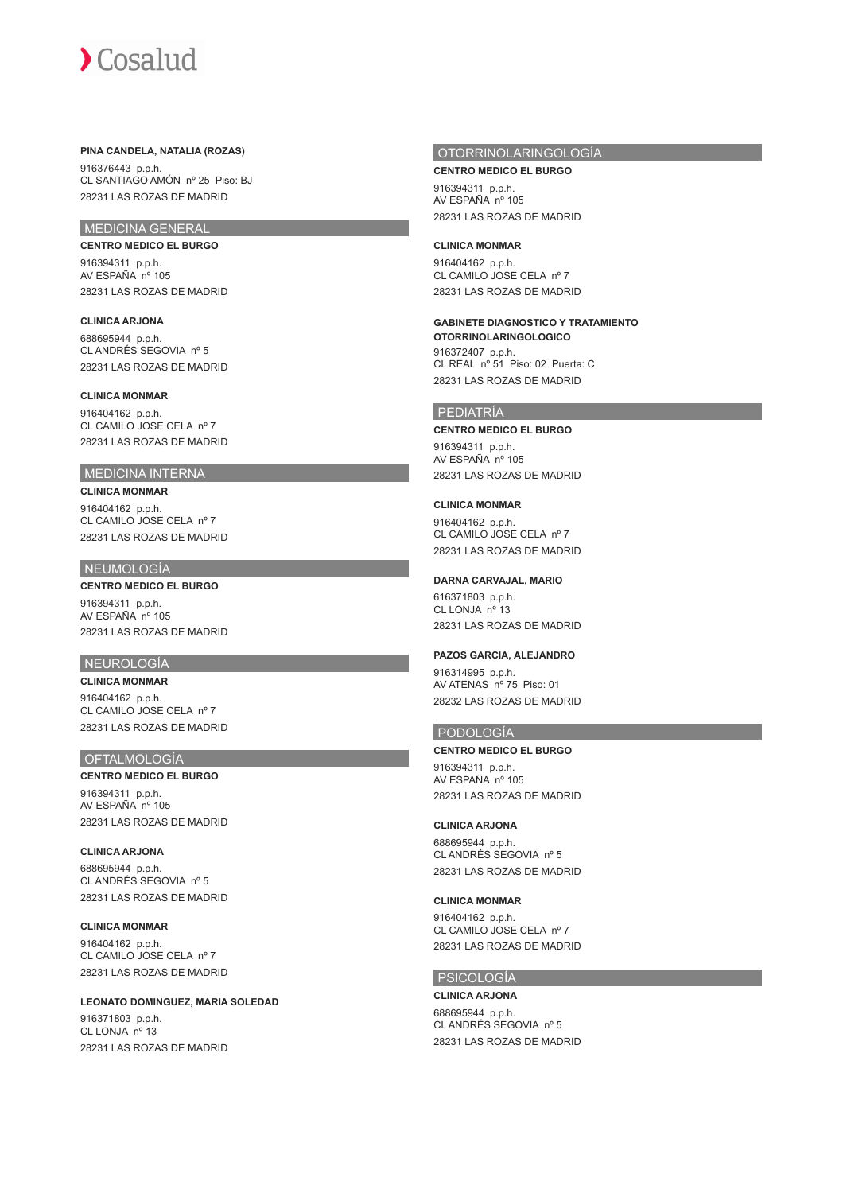#### **PINA CANDELA, NATALIA (ROZAS)**

916376443 p.p.h. CL SANTIAGO AMÓN nº 25 Piso: BJ 28231 LAS ROZAS DE MADRID

## MEDICINA GENERAL

**CENTRO MEDICO EL BURGO** 916394311 p.p.h. AV ESPAÑA nº 105 28231 LAS ROZAS DE MADRID

#### **CLINICA ARJONA**

688695944 p.p.h. CL ANDRÉS SEGOVIA nº 5 28231 LAS ROZAS DE MADRID

## **CLINICA MONMAR**

916404162 p.p.h. CL CAMILO JOSE CELA nº 7 28231 LAS ROZAS DE MADRID

## MEDICINA INTERNA

**CLINICA MONMAR** 916404162 p.p.h. CL CAMILO JOSE CELA nº 7 28231 LAS ROZAS DE MADRID

## NEUMOLOGÍA

**CENTRO MEDICO EL BURGO** 916394311 p.p.h.

AV ESPAÑA nº 105 28231 LAS ROZAS DE MADRID

#### NEUROLOGÍA

**CLINICA MONMAR** 916404162 p.p.h. CL CAMILO JOSE CELA nº 7 28231 LAS ROZAS DE MADRID

#### **OFTALMOLOGÍA**

#### **CENTRO MEDICO EL BURGO**

916394311 p.p.h. AV ESPAÑA nº 105 28231 LAS ROZAS DE MADRID

#### **CLINICA ARJONA**

688695944 p.p.h. CL ANDRÉS SEGOVIA nº 5 28231 LAS ROZAS DE MADRID

#### **CLINICA MONMAR**

916404162 p.p.h. CL CAMILO JOSE CELA nº 7 28231 LAS ROZAS DE MADRID

#### **LEONATO DOMINGUEZ, MARIA SOLEDAD**

916371803 p.p.h. CL LONJA nº 13 28231 LAS ROZAS DE MADRID

## OTORRINOLARINGOLOGÍA

**CENTRO MEDICO EL BURGO** 916394311 p.p.h. AV ESPAÑA nº 105 28231 LAS ROZAS DE MADRID

#### **CLINICA MONMAR**

916404162 p.p.h. CL CAMILO JOSE CELA nº 7 28231 LAS ROZAS DE MADRID

## **GABINETE DIAGNOSTICO Y TRATAMIENTO**

**OTORRINOLARINGOLOGICO** 916372407 p.p.h. CL REAL nº 51 Piso: 02 Puerta: C 28231 LAS ROZAS DE MADRID

#### PEDIATRÍA

#### **CENTRO MEDICO EL BURGO**

916394311 p.p.h. AV ESPAÑA nº 105 28231 LAS ROZAS DE MADRID

#### **CLINICA MONMAR**

916404162 p.p.h. CL CAMILO JOSE CELA nº 7 28231 LAS ROZAS DE MADRID

#### **DARNA CARVAJAL, MARIO**

616371803 p.p.h. CL LONJA nº 13 28231 LAS ROZAS DE MADRID

#### **PAZOS GARCIA, ALEJANDRO**

916314995 p.p.h. AV ATENAS nº 75 Piso: 01 28232 LAS ROZAS DE MADRID

#### PODOLOGÍA

#### **CENTRO MEDICO EL BURGO**

916394311 p.p.h. AV ESPAÑA nº 105 28231 LAS ROZAS DE MADRID

#### **CLINICA ARJONA**

688695944 p.p.h. CL ANDRÉS SEGOVIA nº 5 28231 LAS ROZAS DE MADRID

#### **CLINICA MONMAR**

916404162 p.p.h. CL CAMILO JOSE CELA nº 7 28231 LAS ROZAS DE MADRID

#### PSICOLOGÍA

**CLINICA ARJONA** 688695944 p.p.h. CL ANDRÉS SEGOVIA nº 5 28231 LAS ROZAS DE MADRID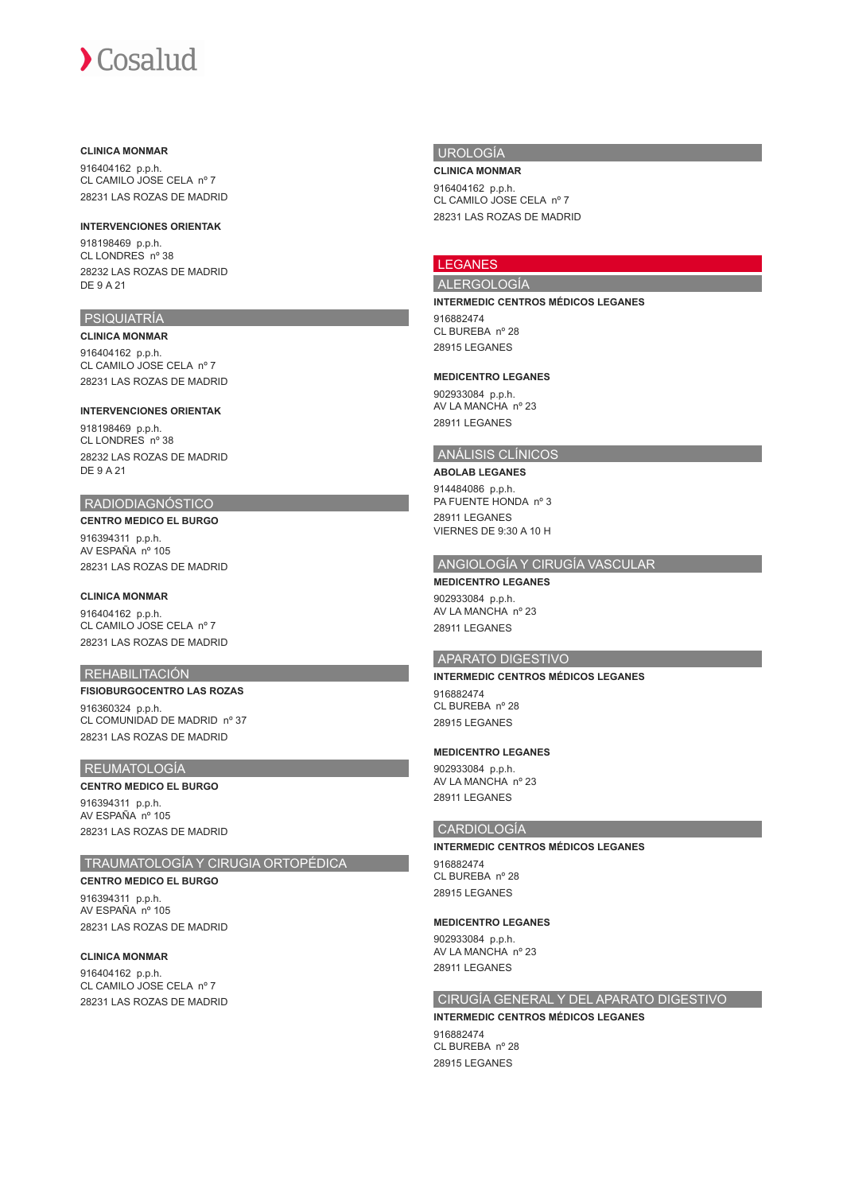#### **CLINICA MONMAR**

916404162 p.p.h. CL CAMILO JOSE CELA nº 7 28231 LAS ROZAS DE MADRID

#### **INTERVENCIONES ORIENTAK**

918198469 p.p.h. CL LONDRES nº 38 28232 LAS ROZAS DE MADRID DE 9 A 21

## PSIQUIATRÍA

**CLINICA MONMAR** 916404162 p.p.h. CL CAMILO JOSE CELA nº 7 28231 LAS ROZAS DE MADRID

#### **INTERVENCIONES ORIENTAK**

918198469 p.p.h. CL LONDRES nº 38 28232 LAS ROZAS DE MADRID DE 9 A 21

#### RADIODIAGNÓSTICO

**CENTRO MEDICO EL BURGO** 916394311 p.p.h. AV ESPAÑA nº 105 28231 LAS ROZAS DE MADRID

## **CLINICA MONMAR**

916404162 p.p.h. CL CAMILO JOSE CELA nº 7 28231 LAS ROZAS DE MADRID

## REHABILITACIÓN

**FISIOBURGOCENTRO LAS ROZAS** 916360324 p.p.h. CL COMUNIDAD DE MADRID nº 37 28231 LAS ROZAS DE MADRID

#### REUMATOLOGÍA

#### **CENTRO MEDICO EL BURGO**

916394311 p.p.h. AV ESPAÑA nº 105 28231 LAS ROZAS DE MADRID

## TRAUMATOLOGÍA Y CIRUGIA ORTOPÉDICA

**CENTRO MEDICO EL BURGO** 916394311 p.p.h. AV ESPAÑA nº 105 28231 LAS ROZAS DE MADRID

## **CLINICA MONMAR**

916404162 p.p.h. CL CAMILO JOSE CELA nº 7 28231 LAS ROZAS DE MADRID

#### UROLOGÍA

**CLINICA MONMAR** 916404162 p.p.h. CL CAMILO JOSE CELA nº 7

28231 LAS ROZAS DE MADRID

## LEGANES

#### ALERGOLOGÍA

**INTERMEDIC CENTROS MÉDICOS LEGANES** 916882474 CL BUREBA nº 28

28915 LEGANES

#### **MEDICENTRO LEGANES**

902933084 p.p.h. AV LA MANCHA nº 23 28911 LEGANES

#### ANÁLISIS CLÍNICOS

**ABOLAB LEGANES** 914484086 p.p.h. PA FUENTE HONDA nº 3 28911 LEGANES VIERNES DE 9:30 A 10 H

## ANGIOLOGÍA Y CIRUGÍA VASCULAR

**MEDICENTRO LEGANES** 902933084 p.p.h. AV LA MANCHA nº 23 28911 LEGANES

## APARATO DIGESTIVO

### **INTERMEDIC CENTROS MÉDICOS LEGANES**

916882474 CL BUREBA nº 28 28915 LEGANES

#### **MEDICENTRO LEGANES**

902933084 p.p.h. AV LA MANCHA nº 23 28911 LEGANES

#### CARDIOLOGÍA

#### **INTERMEDIC CENTROS MÉDICOS LEGANES** 916882474

CL BUREBA nº 28 28915 LEGANES

#### **MEDICENTRO LEGANES**

902933084 p.p.h. AV LA MANCHA nº 23 28911 LEGANES

## CIRUGÍA GENERAL Y DEL APARATO DIGESTIVO

**INTERMEDIC CENTROS MÉDICOS LEGANES** 916882474 CL BUREBA nº 28 28915 LEGANES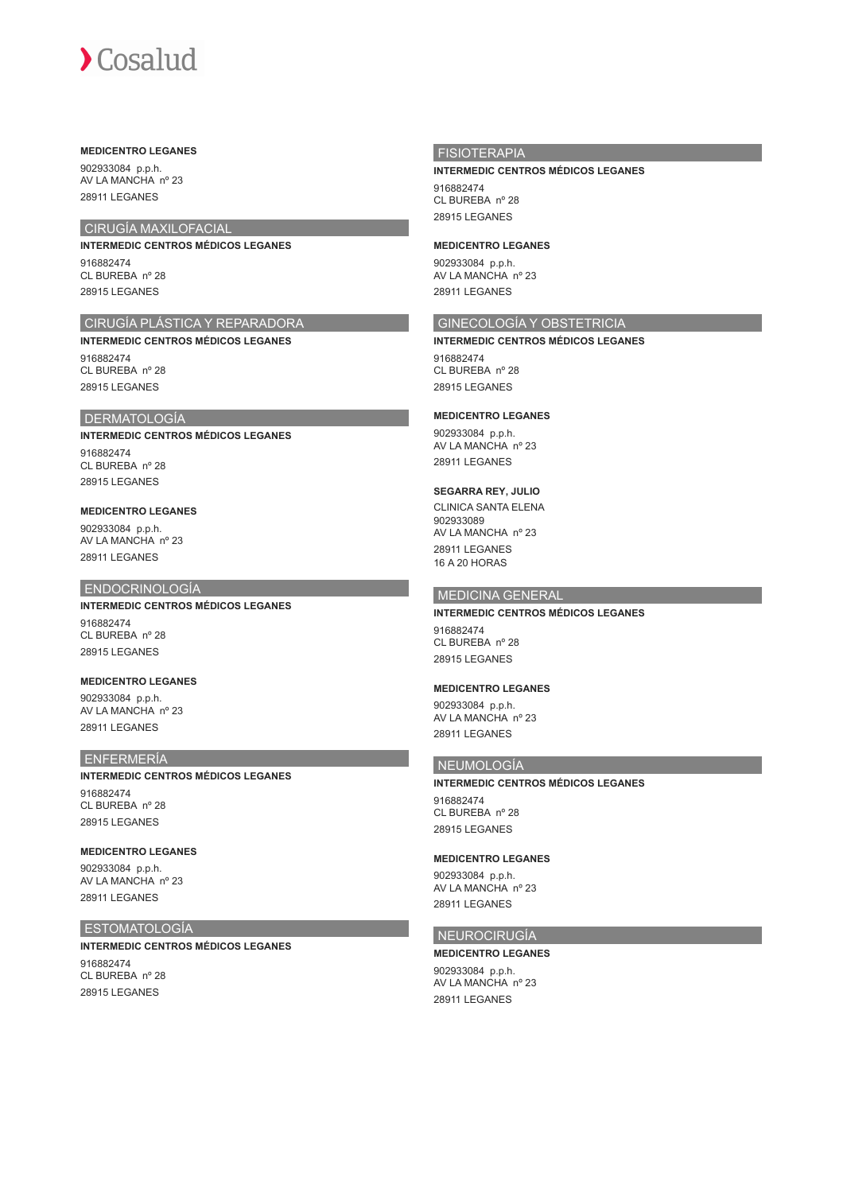#### **MEDICENTRO LEGANES**

902933084 p.p.h. AV LA MANCHA nº 23 28911 LEGANES

## CIRUGÍA MAXILOFACIAL

## **INTERMEDIC CENTROS MÉDICOS LEGANES**

916882474 CL BUREBA nº 28 28915 LEGANES

## CIRUGÍA PLÁSTICA Y REPARADORA

**INTERMEDIC CENTROS MÉDICOS LEGANES** 916882474 CL BUREBA nº 28 28915 LEGANES

#### DERMATOLOGÍA

**INTERMEDIC CENTROS MÉDICOS LEGANES** 916882474 CL BUREBA nº 28 28915 LEGANES

## **MEDICENTRO LEGANES**

902933084 p.p.h. AV LA MANCHA nº 23 28911 LEGANES

#### ENDOCRINOLOGÍA

## **INTERMEDIC CENTROS MÉDICOS LEGANES**

916882474 CL BUREBA nº 28 28915 LEGANES

#### **MEDICENTRO LEGANES**

902933084 p.p.h. AV LA MANCHA nº 23 28911 LEGANES

#### ENFERMERÍA

## **INTERMEDIC CENTROS MÉDICOS LEGANES**

916882474 CL BUREBA nº 28 28915 LEGANES

#### **MEDICENTRO LEGANES**

902933084 p.p.h. AV LA MANCHA nº 23 28911 LEGANES

#### ESTOMATOLOGÍA

**INTERMEDIC CENTROS MÉDICOS LEGANES**

916882474 CL BUREBA nº 28 28915 LEGANES

## FISIOTERAPIA

#### **INTERMEDIC CENTROS MÉDICOS LEGANES**

916882474 CL BUREBA nº 28

## 28915 LEGANES

## **MEDICENTRO LEGANES**

902933084 p.p.h. AV LA MANCHA nº 23 28911 LEGANES

## GINECOLOGÍA Y OBSTETRICIA

**INTERMEDIC CENTROS MÉDICOS LEGANES** 916882474 CL BUREBA nº 28

28915 LEGANES

## **MEDICENTRO LEGANES**

902933084 p.p.h. AV LA MANCHA nº 23 28911 LEGANES

## **SEGARRA REY, JULIO**

CLINICA SANTA ELENA 902933089 AV LA MANCHA nº 23 28911 LEGANES 16 A 20 HORAS

## MEDICINA GENERAL

#### **INTERMEDIC CENTROS MÉDICOS LEGANES**

916882474 CL BUREBA nº 28 28915 LEGANES

#### **MEDICENTRO LEGANES**

902933084 p.p.h. AV LA MANCHA nº 23 28911 LEGANES

## NEUMOLOGÍA

## **INTERMEDIC CENTROS MÉDICOS LEGANES**

916882474 CL BUREBA nº 28 28915 LEGANES

#### **MEDICENTRO LEGANES**

902933084 p.p.h. AV LA MANCHA nº 23 28911 LEGANES

#### NEUROCIRUGÍA

## **MEDICENTRO LEGANES**

902933084 p.p.h. AV LA MANCHA nº 23 28911 LEGANES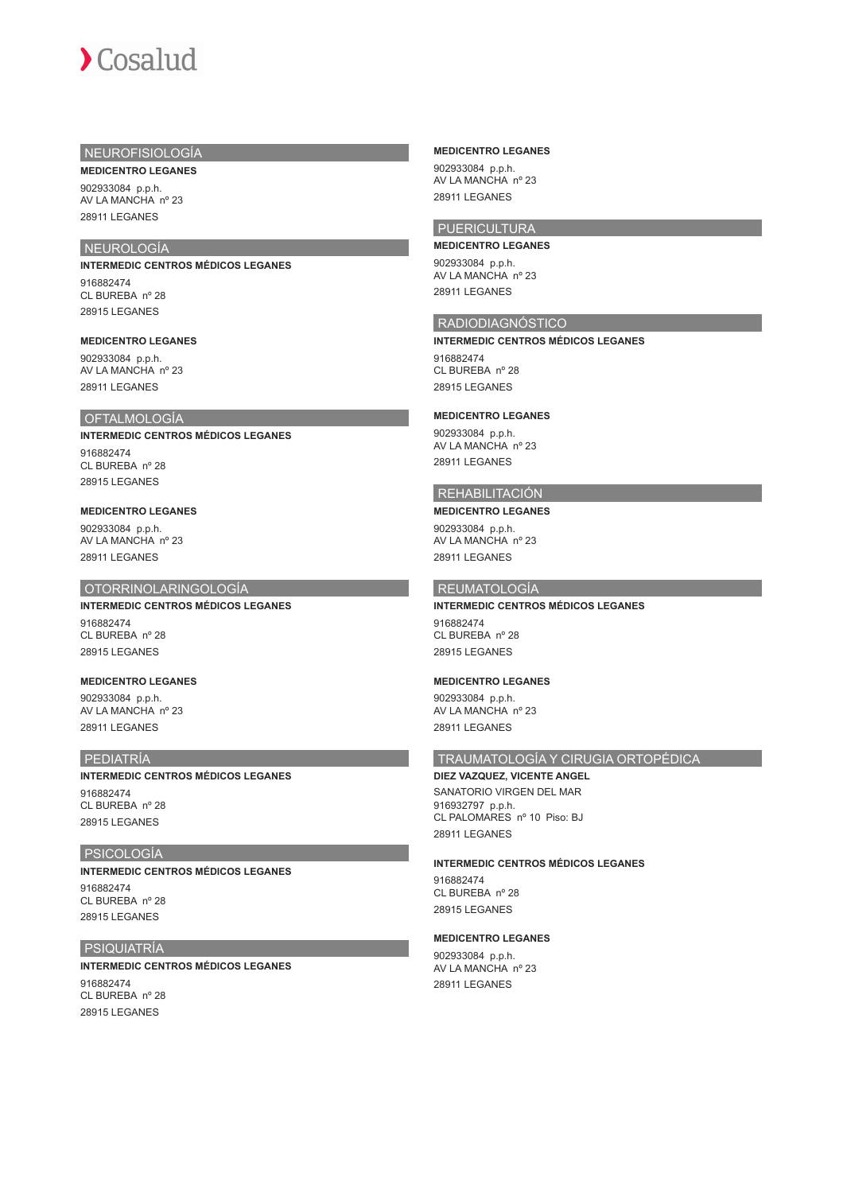## NEUROFISIOLOGÍA **MEDICENTRO LEGANES**

902933084 p.p.h. AV LA MANCHA nº 23 28911 LEGANES

## NEUROLOGÍA

**INTERMEDIC CENTROS MÉDICOS LEGANES** 916882474 CL BUREBA nº 28 28915 LEGANES

#### **MEDICENTRO LEGANES**

902933084 p.p.h. AV LA MANCHA nº 23 28911 LEGANES

#### OFTALMOLOGÍA

**INTERMEDIC CENTROS MÉDICOS LEGANES** 916882474 CL BUREBA nº 28 28915 LEGANES

#### **MEDICENTRO LEGANES**

902933084 p.p.h. AV LA MANCHA nº 23 28911 LEGANES

#### OTORRINOLARINGOLOGÍA

#### **INTERMEDIC CENTROS MÉDICOS LEGANES**

916882474 CL BUREBA nº 28 28915 LEGANES

#### **MEDICENTRO LEGANES**

902933084 p.p.h. AV LA MANCHA nº 23 28911 LEGANES

#### PEDIATRÍA

**INTERMEDIC CENTROS MÉDICOS LEGANES** 916882474 CL BUREBA nº 28 28915 LEGANES

#### PSICOLOGÍA

**INTERMEDIC CENTROS MÉDICOS LEGANES** 916882474 CL BUREBA nº 28 28915 LEGANES

#### PSIQUIATRÍA

**INTERMEDIC CENTROS MÉDICOS LEGANES** 916882474 CL BUREBA nº 28 28915 LEGANES

#### **MEDICENTRO LEGANES**

902933084 p.p.h. AV LA MANCHA nº 23 28911 LEGANES

## **PUERICULTURA**

**MEDICENTRO LEGANES** 902933084 p.p.h. AV LA MANCHA nº 23 28911 LEGANES

## RADIODIAGNÓSTICO

**INTERMEDIC CENTROS MÉDICOS LEGANES** 916882474 CL BUREBA nº 28

## **MEDICENTRO LEGANES**

28915 LEGANES

902933084 p.p.h. AV LA MANCHA nº 23 28911 LEGANES

## REHABILITACIÓN

#### **MEDICENTRO LEGANES**

902933084 p.p.h. AV LA MANCHA nº 23 28911 LEGANES

## REUMATOLOGÍA

## **INTERMEDIC CENTROS MÉDICOS LEGANES** 916882474

CL BUREBA nº 28 28915 LEGANES

#### **MEDICENTRO LEGANES**

902933084 p.p.h. AV LA MANCHA nº 23 28911 LEGANES

#### TRAUMATOLOGÍA Y CIRUGIA ORTOPÉDICA

## **DIEZ VAZQUEZ, VICENTE ANGEL**

SANATORIO VIRGEN DEL MAR 916932797 p.p.h. CL PALOMARES nº 10 Piso: BJ 28911 LEGANES

#### **INTERMEDIC CENTROS MÉDICOS LEGANES**

916882474 CL BUREBA nº 28 28915 LEGANES

#### **MEDICENTRO LEGANES**

902933084 p.p.h. AV LA MANCHA nº 23 28911 LEGANES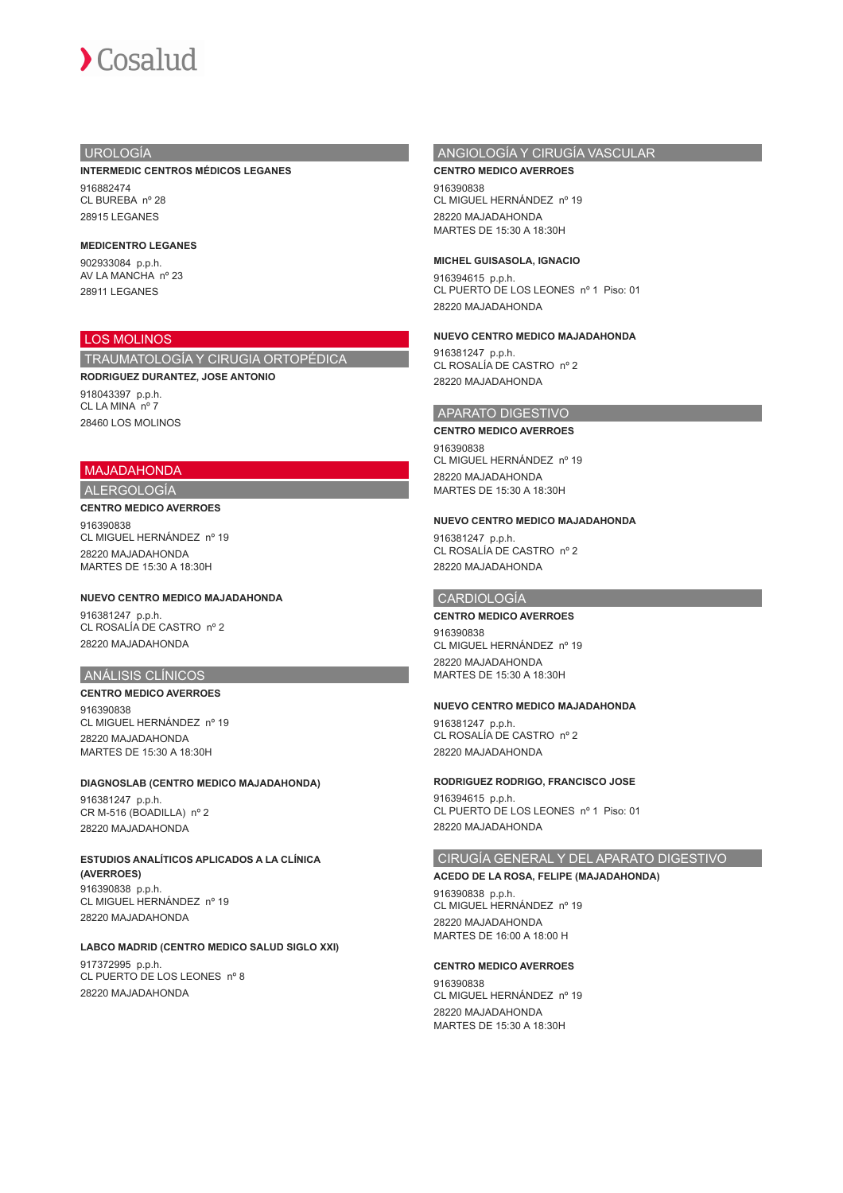## UROLOGÍA

**INTERMEDIC CENTROS MÉDICOS LEGANES**

916882474 CL BUREBA nº 28 28915 LEGANES

#### **MEDICENTRO LEGANES**

902933084 p.p.h. AV LA MANCHA nº 23 28911 LEGANES

## LOS MOLINOS

TRAUMATOLOGÍA Y CIRUGIA ORTOPÉDICA

**RODRIGUEZ DURANTEZ, JOSE ANTONIO**

918043397 p.p.h. CL LA MINA nº 7 28460 LOS MOLINOS

#### MAJADAHONDA

ALERGOLOGÍA

#### **CENTRO MEDICO AVERROES**

916390838 CL MIGUEL HERNÁNDEZ nº 19 28220 MAJADAHONDA MARTES DE 15:30 A 18:30H

## **NUEVO CENTRO MEDICO MAJADAHONDA**

916381247 p.p.h. CL ROSALÍA DE CASTRO nº 2 28220 MAJADAHONDA

## ANÁLISIS CLÍNICOS

**CENTRO MEDICO AVERROES** 916390838 CL MIGUEL HERNÁNDEZ nº 19 28220 MAJADAHONDA MARTES DE 15:30 A 18:30H

#### **DIAGNOSLAB (CENTRO MEDICO MAJADAHONDA)** 916381247 p.p.h. CR M-516 (BOADILLA) nº 2

28220 MAJADAHONDA

## **ESTUDIOS ANALÍTICOS APLICADOS A LA CLÍNICA (AVERROES)** 916390838 p.p.h. CL MIGUEL HERNÁNDEZ nº 19

28220 MAJADAHONDA

## **LABCO MADRID (CENTRO MEDICO SALUD SIGLO XXI)**

917372995 p.p.h. CL PUERTO DE LOS LEONES nº 8 28220 MAJADAHONDA

## ANGIOLOGÍA Y CIRUGÍA VASCULAR

#### **CENTRO MEDICO AVERROES**

916390838 CL MIGUEL HERNÁNDEZ nº 19 28220 MAJADAHONDA MARTES DE 15:30 A 18:30H

#### **MICHEL GUISASOLA, IGNACIO**

916394615 p.p.h. CL PUERTO DE LOS LEONES nº 1 Piso: 01 28220 MAJADAHONDA

### **NUEVO CENTRO MEDICO MAJADAHONDA**

916381247 p.p.h. CL ROSALÍA DE CASTRO nº 2 28220 MAJADAHONDA

#### APARATO DIGESTIVO

#### **CENTRO MEDICO AVERROES**

916390838 CL MIGUEL HERNÁNDEZ nº 19 28220 MAJADAHONDA MARTES DE 15:30 A 18:30H

#### **NUEVO CENTRO MEDICO MAJADAHONDA**

916381247 p.p.h. CL ROSALÍA DE CASTRO nº 2 28220 MAJADAHONDA

## CARDIOLOGÍA

## **CENTRO MEDICO AVERROES**

916390838 CL MIGUEL HERNÁNDEZ nº 19 28220 MAJADAHONDA MARTES DE 15:30 A 18:30H

#### **NUEVO CENTRO MEDICO MAJADAHONDA**

916381247 p.p.h. CL ROSALÍA DE CASTRO nº 2 28220 MAJADAHONDA

#### **RODRIGUEZ RODRIGO, FRANCISCO JOSE**

916394615 p.p.h. CL PUERTO DE LOS LEONES nº 1 Piso: 01 28220 MAJADAHONDA

#### CIRUGÍA GENERAL Y DEL APARATO DIGESTIVO

#### **ACEDO DE LA ROSA, FELIPE (MAJADAHONDA)**

916390838 p.p.h. CL MIGUEL HERNÁNDEZ nº 19 28220 MAJADAHONDA MARTES DE 16:00 A 18:00 H

#### **CENTRO MEDICO AVERROES**

916390838 CL MIGUEL HERNÁNDEZ nº 19 28220 MAJADAHONDA MARTES DE 15:30 A 18:30H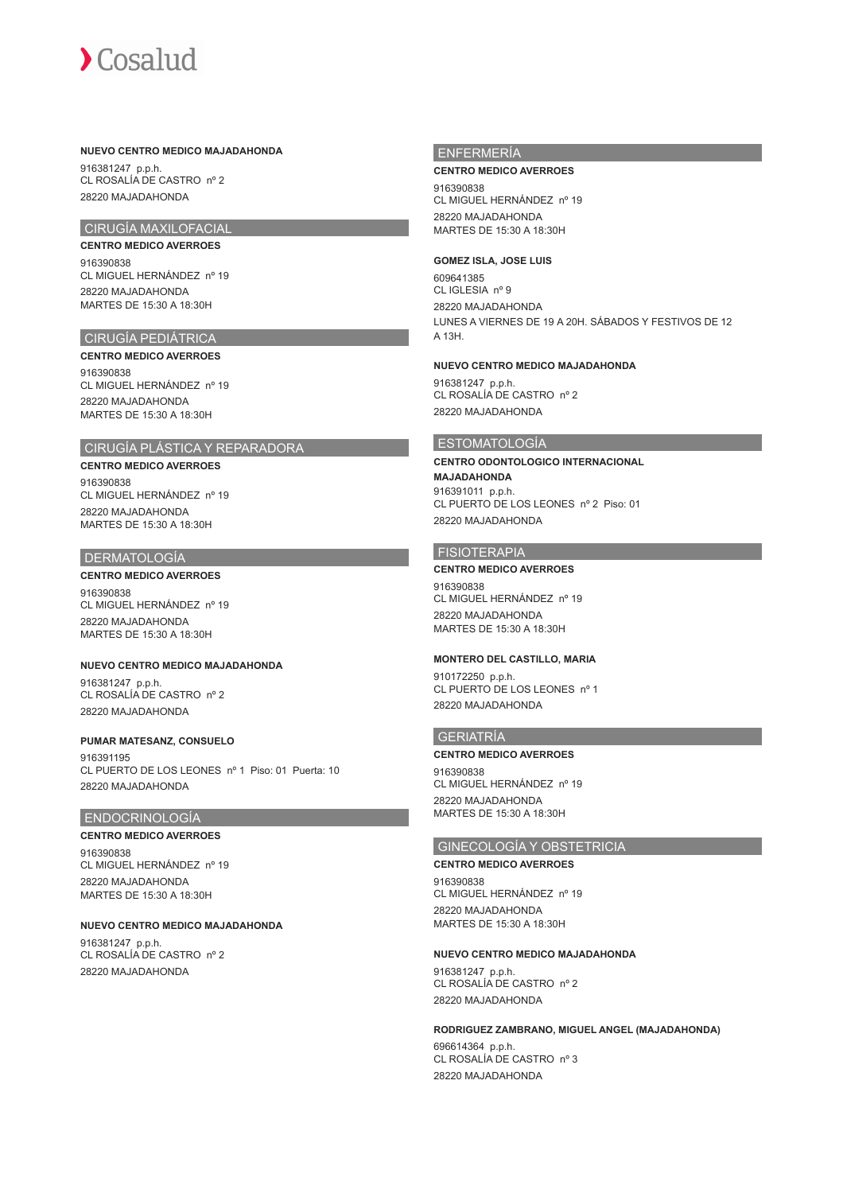#### **NUEVO CENTRO MEDICO MAJADAHONDA**

916381247 p.p.h. CL ROSALÍA DE CASTRO nº 2 28220 MAJADAHONDA

## CIRUGÍA MAXILOFACIAL

#### **CENTRO MEDICO AVERROES**

916390838 CL MIGUEL HERNÁNDEZ nº 19 28220 MAJADAHONDA MARTES DE 15:30 A 18:30H

### CIRUGÍA PEDIÁTRICA

#### **CENTRO MEDICO AVERROES**

916390838 CL MIGUEL HERNÁNDEZ nº 19 28220 MAJADAHONDA MARTES DE 15:30 A 18:30H

## CIRUGÍA PLÁSTICA Y REPARADORA

#### **CENTRO MEDICO AVERROES**

916390838 CL MIGUEL HERNÁNDEZ nº 19 28220 MAJADAHONDA MARTES DE 15:30 A 18:30H

#### DERMATOLOGÍA

#### **CENTRO MEDICO AVERROES**

916390838 CL MIGUEL HERNÁNDEZ nº 19 28220 MAJADAHONDA MARTES DE 15:30 A 18:30H

#### **NUEVO CENTRO MEDICO MAJADAHONDA**

916381247 p.p.h. CL ROSALÍA DE CASTRO nº 2 28220 MAJADAHONDA

#### **PUMAR MATESANZ, CONSUELO**

916391195 CL PUERTO DE LOS LEONES nº 1 Piso: 01 Puerta: 10 28220 MAJADAHONDA

#### ENDOCRINOLOGÍA

#### **CENTRO MEDICO AVERROES**

916390838 CL MIGUEL HERNÁNDEZ nº 19 28220 MAJADAHONDA MARTES DE 15:30 A 18:30H

#### **NUEVO CENTRO MEDICO MAJADAHONDA**

916381247 p.p.h. CL ROSALÍA DE CASTRO nº 2 28220 MAJADAHONDA

#### ENFERMERÍA

#### **CENTRO MEDICO AVERROES**

916390838 CL MIGUEL HERNÁNDEZ nº 19 28220 MAJADAHONDA MARTES DE 15:30 A 18:30H

#### **GOMEZ ISLA, JOSE LUIS**

609641385 CL IGLESIA nº 9 28220 MAJADAHONDA LUNES A VIERNES DE 19 A 20H. SÁBADOS Y FESTIVOS DE 12 A 13H.

#### **NUEVO CENTRO MEDICO MAJADAHONDA**

916381247 p.p.h. CL ROSALÍA DE CASTRO nº 2 28220 MAJADAHONDA

## ESTOMATOLOGÍA

**CENTRO ODONTOLOGICO INTERNACIONAL MAJADAHONDA** 916391011 p.p.h.

CL PUERTO DE LOS LEONES nº 2 Piso: 01 28220 MAJADAHONDA

#### **FISIOTERAPIA**

**CENTRO MEDICO AVERROES** 916390838 CL MIGUEL HERNÁNDEZ nº 19 28220 MAJADAHONDA MARTES DE 15:30 A 18:30H

#### **MONTERO DEL CASTILLO, MARIA**

910172250 p.p.h. CL PUERTO DE LOS LEONES nº 1 28220 MAJADAHONDA

#### GERIATRÍA

#### **CENTRO MEDICO AVERROES**

916390838 CL MIGUEL HERNÁNDEZ nº 19 28220 MAJADAHONDA MARTES DE 15:30 A 18:30H

## GINECOLOGÍA Y OBSTETRICIA

**CENTRO MEDICO AVERROES** 916390838 CL MIGUEL HERNÁNDEZ nº 19 28220 MAJADAHONDA MARTES DE 15:30 A 18:30H

#### **NUEVO CENTRO MEDICO MAJADAHONDA**

916381247 p.p.h. CL ROSALÍA DE CASTRO nº 2 28220 MAJADAHONDA

#### **RODRIGUEZ ZAMBRANO, MIGUEL ANGEL (MAJADAHONDA)**

696614364 p.p.h. CL ROSALÍA DE CASTRO nº 3 28220 MAJADAHONDA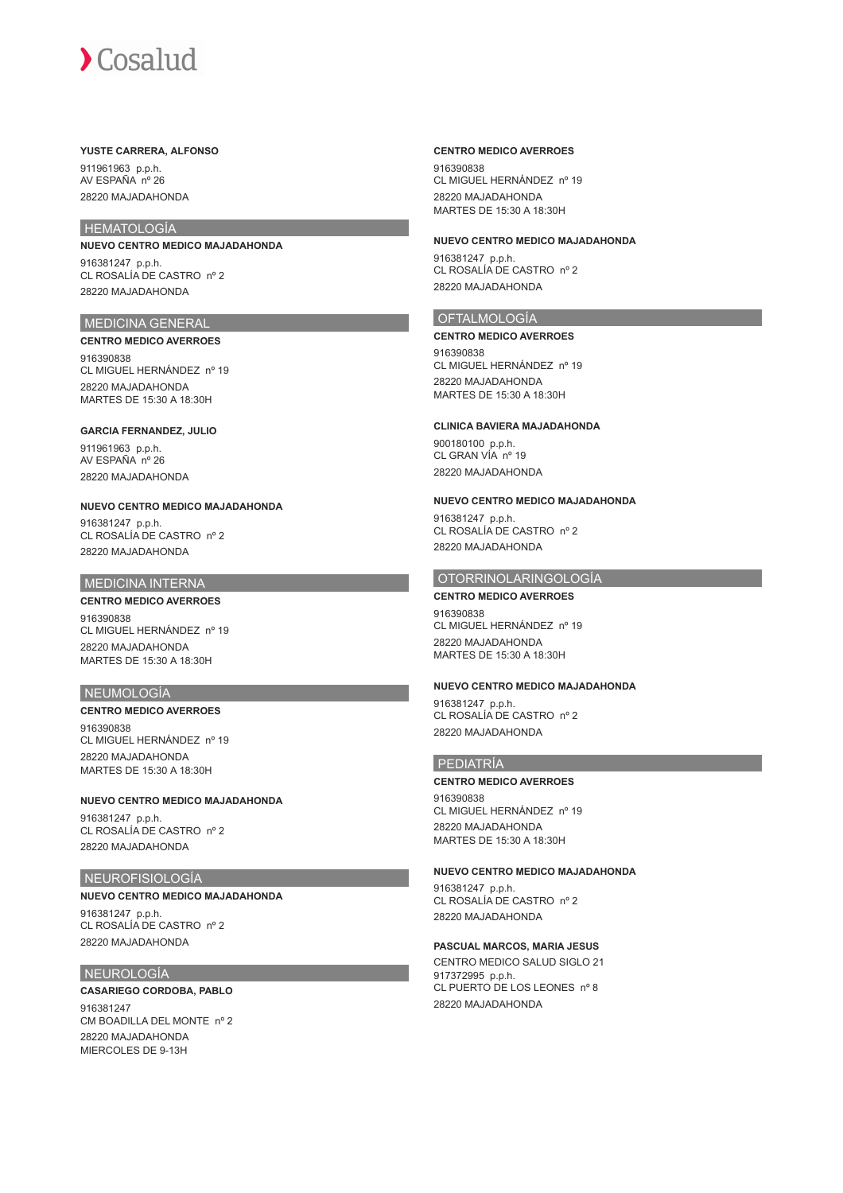#### **YUSTE CARRERA, ALFONSO**

911961963 p.p.h. AV ESPAÑA nº 26 28220 MAJADAHONDA

## **HEMATOLOGÍA**

**NUEVO CENTRO MEDICO MAJADAHONDA** 916381247 p.p.h. CL ROSALÍA DE CASTRO nº 2 28220 MAJADAHONDA

## MEDICINA GENERAL

**CENTRO MEDICO AVERROES** 916390838 CL MIGUEL HERNÁNDEZ nº 19 28220 MAJADAHONDA MARTES DE 15:30 A 18:30H

#### **GARCIA FERNANDEZ, JULIO**

911961963 p.p.h. AV ESPAÑA nº 26 28220 MAJADAHONDA

#### **NUEVO CENTRO MEDICO MAJADAHONDA**

916381247 p.p.h. CL ROSALÍA DE CASTRO nº 2 28220 MAJADAHONDA

#### MEDICINA INTERNA

## **CENTRO MEDICO AVERROES**

916390838 CL MIGUEL HERNÁNDEZ nº 19 28220 MAJADAHONDA MARTES DE 15:30 A 18:30H

#### NEUMOLOGÍA

**CENTRO MEDICO AVERROES** 916390838 CL MIGUEL HERNÁNDEZ nº 19 28220 MAJADAHONDA

MARTES DE 15:30 A 18:30H

#### **NUEVO CENTRO MEDICO MAJADAHONDA**

916381247 p.p.h. CL ROSALÍA DE CASTRO nº 2 28220 MAJADAHONDA

#### NEUROFISIOLOGÍA

## **NUEVO CENTRO MEDICO MAJADAHONDA**

916381247 p.p.h. CL ROSALÍA DE CASTRO nº 2 28220 MAJADAHONDA

#### NEUROLOGÍA

### **CASARIEGO CORDOBA, PABLO**

916381247 CM BOADILLA DEL MONTE nº 2 28220 MAJADAHONDA MIERCOLES DE 9-13H

#### **CENTRO MEDICO AVERROES**

916390838 CL MIGUEL HERNÁNDEZ nº 19 28220 MAJADAHONDA MARTES DE 15:30 A 18:30H

#### **NUEVO CENTRO MEDICO MAJADAHONDA**

916381247 p.p.h. CL ROSALÍA DE CASTRO nº 2 28220 MAJADAHONDA

## OFTALMOLOGÍA

#### **CENTRO MEDICO AVERROES**

916390838 CL MIGUEL HERNÁNDEZ nº 19 28220 MAJADAHONDA MARTES DE 15:30 A 18:30H

#### **CLINICA BAVIERA MAJADAHONDA**

900180100 p.p.h. CL GRAN VÍA nº 19 28220 MAJADAHONDA

#### **NUEVO CENTRO MEDICO MAJADAHONDA**

916381247 p.p.h. CL ROSALÍA DE CASTRO nº 2 28220 MAJADAHONDA

## OTORRINOLARINGOLOGÍA

**CENTRO MEDICO AVERROES** 916390838 CL MIGUEL HERNÁNDEZ nº 19 28220 MAJADAHONDA MARTES DE 15:30 A 18:30H

#### **NUEVO CENTRO MEDICO MAJADAHONDA**

916381247 p.p.h. CL ROSALÍA DE CASTRO nº 2 28220 MAJADAHONDA

#### PEDIATRÍA

#### **CENTRO MEDICO AVERROES**

916390838 CL MIGUEL HERNÁNDEZ nº 19 28220 MAJADAHONDA MARTES DE 15:30 A 18:30H

#### **NUEVO CENTRO MEDICO MAJADAHONDA**

916381247 p.p.h. CL ROSALÍA DE CASTRO nº 2 28220 MAJADAHONDA

#### **PASCUAL MARCOS, MARIA JESUS**

CENTRO MEDICO SALUD SIGLO 21 917372995 p.p.h. CL PUERTO DE LOS LEONES nº 8 28220 MAJADAHONDA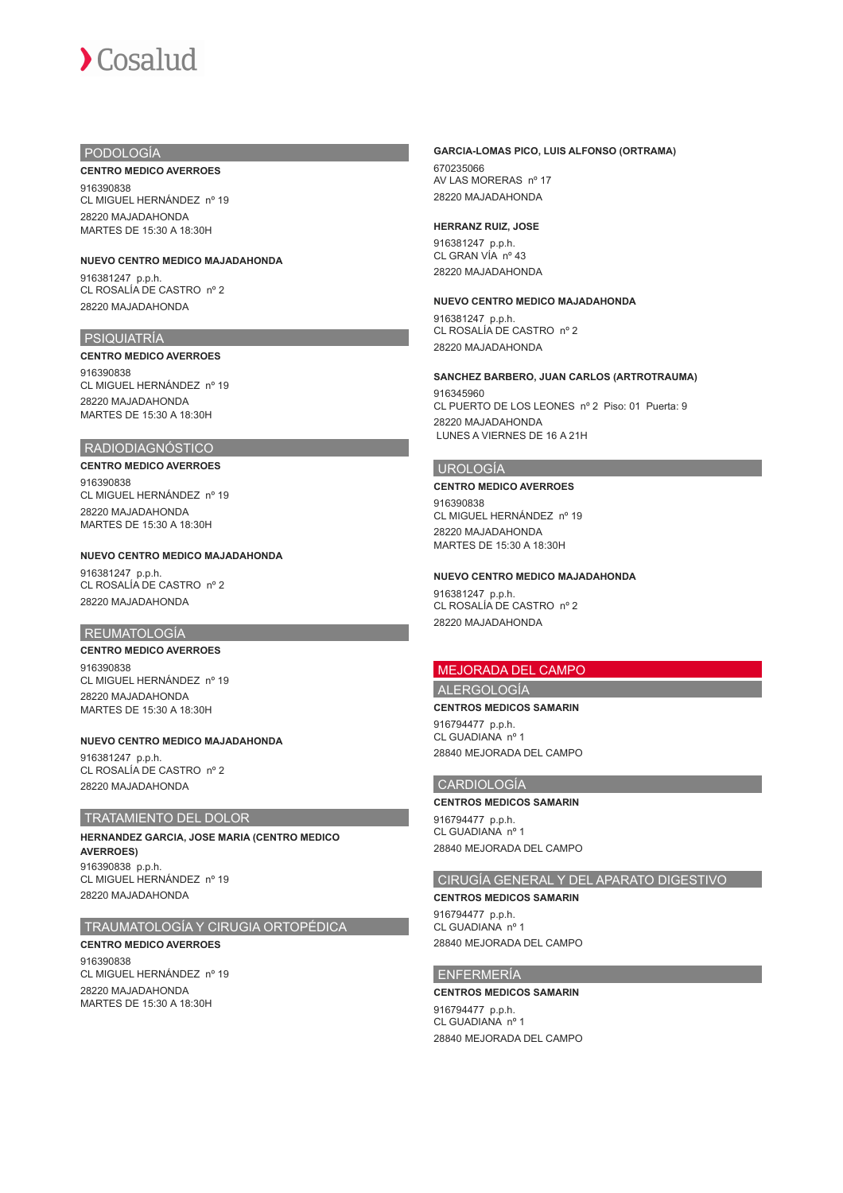#### PODOLOGÍA

#### **CENTRO MEDICO AVERROES**

916390838 CL MIGUEL HERNÁNDEZ nº 19 28220 MAJADAHONDA MARTES DE 15:30 A 18:30H

## **NUEVO CENTRO MEDICO MAJADAHONDA**

916381247 p.p.h. CL ROSALÍA DE CASTRO nº 2 28220 MAJADAHONDA

#### PSIQUIATRÍA

#### **CENTRO MEDICO AVERROES**

916390838 CL MIGUEL HERNÁNDEZ nº 19 28220 MAJADAHONDA MARTES DE 15:30 A 18:30H

## RADIODIAGNÓSTICO

**CENTRO MEDICO AVERROES** 916390838 CL MIGUEL HERNÁNDEZ nº 19 28220 MAJADAHONDA MARTES DE 15:30 A 18:30H

#### **NUEVO CENTRO MEDICO MAJADAHONDA**

916381247 p.p.h. CL ROSALÍA DE CASTRO nº 2 28220 MAJADAHONDA

#### REUMATOLOGÍA

#### **CENTRO MEDICO AVERROES**

916390838 CL MIGUEL HERNÁNDEZ nº 19 28220 MAJADAHONDA MARTES DE 15:30 A 18:30H

#### **NUEVO CENTRO MEDICO MAJADAHONDA**

916381247 p.p.h. CL ROSALÍA DE CASTRO nº 2 28220 MAJADAHONDA

## TRATAMIENTO DEL DOLOR

**HERNANDEZ GARCIA, JOSE MARIA (CENTRO MEDICO AVERROES)** 916390838 p.p.h. CL MIGUEL HERNÁNDEZ nº 19 28220 MAJADAHONDA

#### TRAUMATOLOGÍA Y CIRUGIA ORTOPÉDICA

**CENTRO MEDICO AVERROES** 916390838 CL MIGUEL HERNÁNDEZ nº 19 28220 MAJADAHONDA MARTES DE 15:30 A 18:30H

#### **GARCIA-LOMAS PICO, LUIS ALFONSO (ORTRAMA)**

670235066 AV LAS MORERAS nº 17 28220 MAJADAHONDA

#### **HERRANZ RUIZ, JOSE**

916381247 p.p.h. CL GRAN VÍA nº 43 28220 MAJADAHONDA

#### **NUEVO CENTRO MEDICO MAJADAHONDA**

916381247 p.p.h. CL ROSALÍA DE CASTRO nº 2 28220 MAJADAHONDA

#### **SANCHEZ BARBERO, JUAN CARLOS (ARTROTRAUMA)**

916345960 CL PUERTO DE LOS LEONES nº 2 Piso: 01 Puerta: 9 28220 MAJADAHONDA LUNES A VIERNES DE 16 A 21H

## UROLOGÍA

#### **CENTRO MEDICO AVERROES**

916390838 CL MIGUEL HERNÁNDEZ nº 19 28220 MAJADAHONDA MARTES DE 15:30 A 18:30H

#### **NUEVO CENTRO MEDICO MAJADAHONDA**

916381247 p.p.h. CL ROSALÍA DE CASTRO nº 2 28220 MAJADAHONDA

## MEJORADA DEL CAMPO

## ALERGOLOGÍA **CENTROS MEDICOS SAMARIN**

916794477 p.p.h. CL GUADIANA nº 1 28840 MEJORADA DEL CAMPO

#### CARDIOLOGÍA

#### **CENTROS MEDICOS SAMARIN**

916794477 p.p.h. CL GUADIANA nº 1 28840 MEJORADA DEL CAMPO

## CIRUGÍA GENERAL Y DEL APARATO DIGESTIVO

**CENTROS MEDICOS SAMARIN** 916794477 p.p.h.

CL GUADIANA nº 1 28840 MEJORADA DEL CAMPO

#### ENFERMERÍA

**CENTROS MEDICOS SAMARIN** 916794477 p.p.h. CL GUADIANA nº 1 28840 MEJORADA DEL CAMPO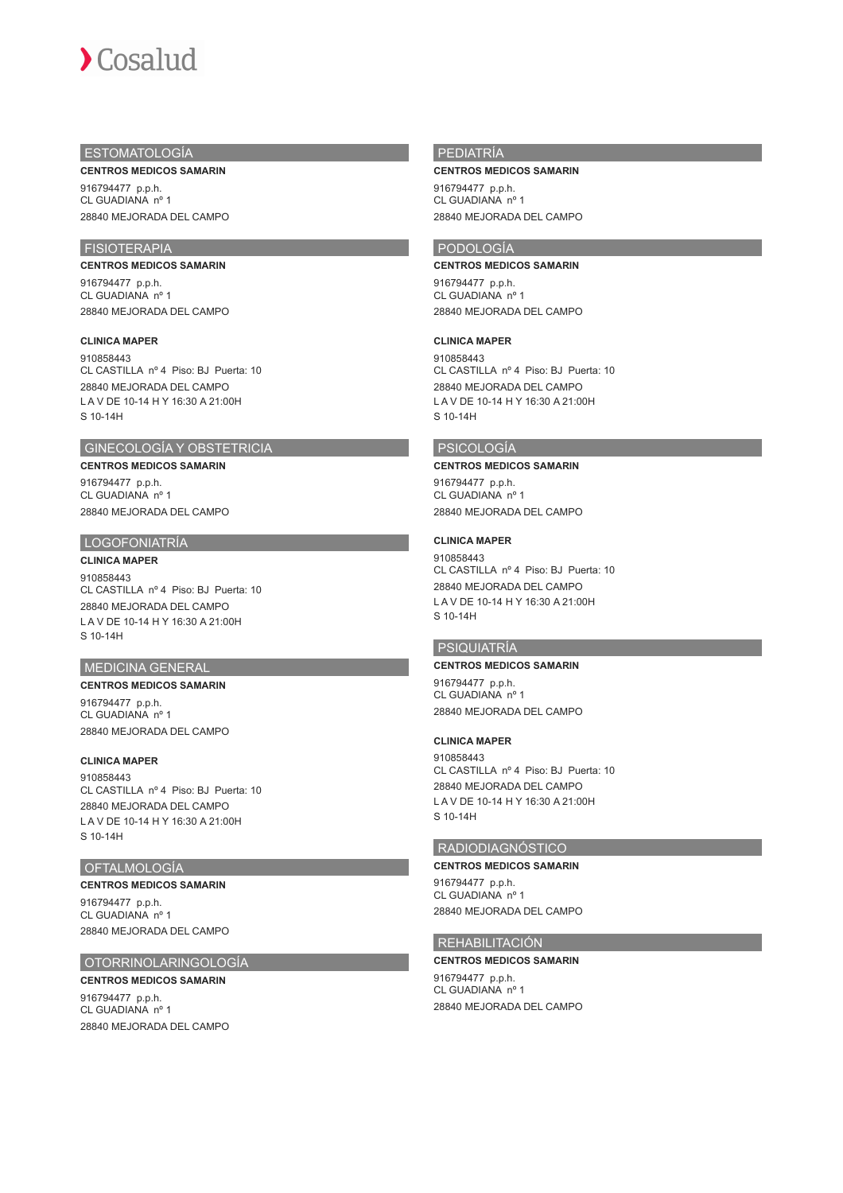

## ESTOMATOLOGÍA

**CENTROS MEDICOS SAMARIN**

916794477 p.p.h. CL GUADIANA nº 1 28840 MEJORADA DEL CAMPO

## FISIOTERAPIA

**CENTROS MEDICOS SAMARIN** 916794477 p.p.h. CL GUADIANA nº 1 28840 MEJORADA DEL CAMPO

#### **CLINICA MAPER**

910858443 CL CASTILLA nº 4 Piso: BJ Puerta: 10 28840 MEJORADA DEL CAMPO L A V DE 10-14 H Y 16:30 A 21:00H S 10-14H

## GINECOLOGÍA Y OBSTETRICIA

**CENTROS MEDICOS SAMARIN**

916794477 p.p.h. CL GUADIANA nº 1 28840 MEJORADA DEL CAMPO

#### LOGOFONIATRÍA

#### **CLINICA MAPER**

910858443 CL CASTILLA nº 4 Piso: BJ Puerta: 10 28840 MEJORADA DEL CAMPO L A V DE 10-14 H Y 16:30 A 21:00H S 10-14H

## MEDICINA GENERAL

**CENTROS MEDICOS SAMARIN** 916794477 p.p.h. CL GUADIANA nº 1 28840 MEJORADA DEL CAMPO

**CLINICA MAPER**

910858443 CL CASTILLA nº 4 Piso: BJ Puerta: 10 28840 MEJORADA DEL CAMPO L A V DE 10-14 H Y 16:30 A 21:00H S 10-14H

#### OFTALMOLOGÍA

**CENTROS MEDICOS SAMARIN** 916794477 p.p.h. CL GUADIANA nº 1 28840 MEJORADA DEL CAMPO

#### OTORRINOLARINGOLOGÍA

## **CENTROS MEDICOS SAMARIN** 916794477 p.p.h.

CL GUADIANA nº 1 28840 MEJORADA DEL CAMPO

#### PEDIATRÍA

**CENTROS MEDICOS SAMARIN**

916794477 p.p.h. CL GUADIANA nº 1 28840 MEJORADA DEL CAMPO

## PODOLOGÍA

**CENTROS MEDICOS SAMARIN**

916794477 p.p.h. CL GUADIANA nº 1 28840 MEJORADA DEL CAMPO

#### **CLINICA MAPER**

910858443 CL CASTILLA nº 4 Piso: BJ Puerta: 10 28840 MEJORADA DEL CAMPO L A V DE 10-14 H Y 16:30 A 21:00H S 10-14H

## PSICOLOGÍA

### **CENTROS MEDICOS SAMARIN**

916794477 p.p.h. CL GUADIANA nº 1 28840 MEJORADA DEL CAMPO

## **CLINICA MAPER**

910858443 CL CASTILLA nº 4 Piso: BJ Puerta: 10 28840 MEJORADA DEL CAMPO L A V DE 10-14 H Y 16:30 A 21:00H S 10-14H

## PSIQUIATRÍA

## **CENTROS MEDICOS SAMARIN**

916794477 p.p.h. CL GUADIANA nº 1 28840 MEJORADA DEL CAMPO

#### **CLINICA MAPER**

910858443 CL CASTILLA nº 4 Piso: BJ Puerta: 10 28840 MEJORADA DEL CAMPO L A V DE 10-14 H Y 16:30 A 21:00H S 10-14H

#### RADIODIAGNÓSTICO **CENTROS MEDICOS SAMARIN**

916794477 p.p.h. CL GUADIANA nº 1 28840 MEJORADA DEL CAMPO

#### REHABILITACIÓN

#### **CENTROS MEDICOS SAMARIN**

916794477 p.p.h. CL GUADIANA nº 1 28840 MEJORADA DEL CAMPO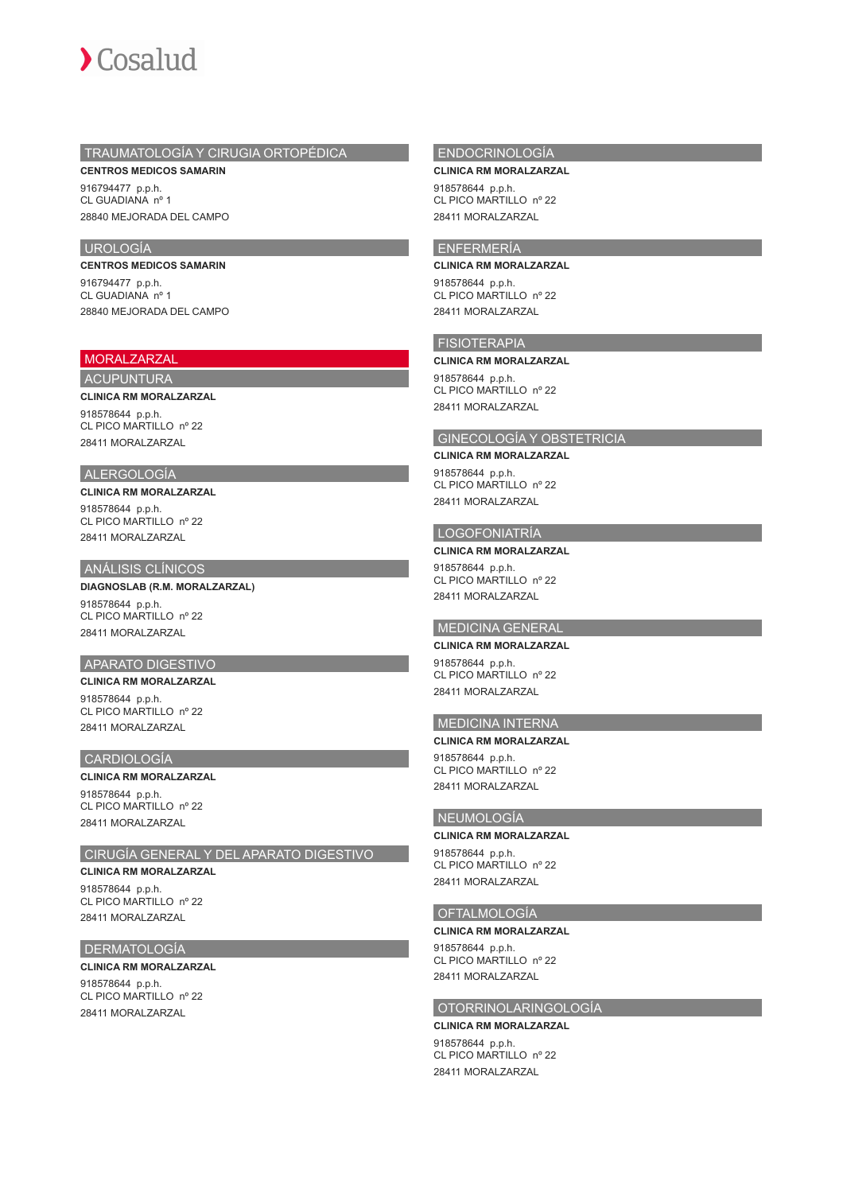

## TRAUMATOLOGÍA Y CIRUGIA ORTOPÉDICA

**CENTROS MEDICOS SAMARIN** 916794477 p.p.h. CL GUADIANA nº 1 28840 MEJORADA DEL CAMPO

#### UROLOGÍA

**CENTROS MEDICOS SAMARIN** 916794477 p.p.h. CL GUADIANA nº 1 28840 MEJORADA DEL CAMPO

## MORALZARZAL

## ACUPUNTURA

**CLINICA RM MORALZARZAL**

918578644 p.p.h. CL PICO MARTILLO nº 22 28411 MORALZARZAL

## ALERGOLOGÍA

**CLINICA RM MORALZARZAL** 918578644 p.p.h.

CL PICO MARTILLO nº 22 28411 MORALZARZAL

#### ANÁLISIS CLÍNICOS

**DIAGNOSLAB (R.M. MORALZARZAL)** 918578644 p.p.h.

CL PICO MARTILLO nº 22 28411 MORALZARZAL

## APARATO DIGESTIVO

**CLINICA RM MORALZARZAL**

918578644 p.p.h. CL PICO MARTILLO nº 22 28411 MORALZARZAL

#### CARDIOLOGÍA

#### **CLINICA RM MORALZARZAL**

918578644 p.p.h. CL PICO MARTILLO nº 22 28411 MORALZARZAL

#### CIRUGÍA GENERAL Y DEL APARATO DIGESTIVO

**CLINICA RM MORALZARZAL** 918578644 p.p.h.

CL PICO MARTILLO nº 22 28411 MORALZARZAL

#### DERMATOLOGÍA

**CLINICA RM MORALZARZAL** 918578644 p.p.h. CL PICO MARTILLO nº 22 28411 MORALZARZAL

#### ENDOCRINOLOGÍA

**CLINICA RM MORALZARZAL** 918578644 p.p.h.

CL PICO MARTILLO nº 22 28411 MORALZARZAL

## ENFERMERÍA

**CLINICA RM MORALZARZAL**

918578644 p.p.h. CL PICO MARTILLO nº 22 28411 MORALZARZAL

### FISIOTERAPIA

#### **CLINICA RM MORALZARZAL**

918578644 p.p.h. CL PICO MARTILLO nº 22 28411 MORALZARZAL

#### GINECOLOGÍA Y OBSTETRICIA

#### **CLINICA RM MORALZARZAL**

918578644 p.p.h. CL PICO MARTILLO nº 22 28411 MORALZARZAL

## LOGOFONIATRÍA

**CLINICA RM MORALZARZAL** 918578644 p.p.h. CL PICO MARTILLO nº 22

28411 MORALZARZAL

## MEDICINA GENERAL

**CLINICA RM MORALZARZAL** 918578644 p.p.h. CL PICO MARTILLO nº 22 28411 MORALZARZAL

## MEDICINA INTERNA

**CLINICA RM MORALZARZAL** 918578644 p.p.h. CL PICO MARTILLO nº 22 28411 MORALZARZAL

## NEUMOLOGÍA

#### **CLINICA RM MORALZARZAL**

918578644 p.p.h. CL PICO MARTILLO nº 22 28411 MORALZARZAL

## OFTALMOLOGÍA

#### **CLINICA RM MORALZARZAL**

918578644 p.p.h. CL PICO MARTILLO nº 22 28411 MORALZARZAL

## OTORRINOLARINGOLOGÍA

#### **CLINICA RM MORALZARZAL**

918578644 p.p.h. CL PICO MARTILLO nº 22 28411 MORALZARZAL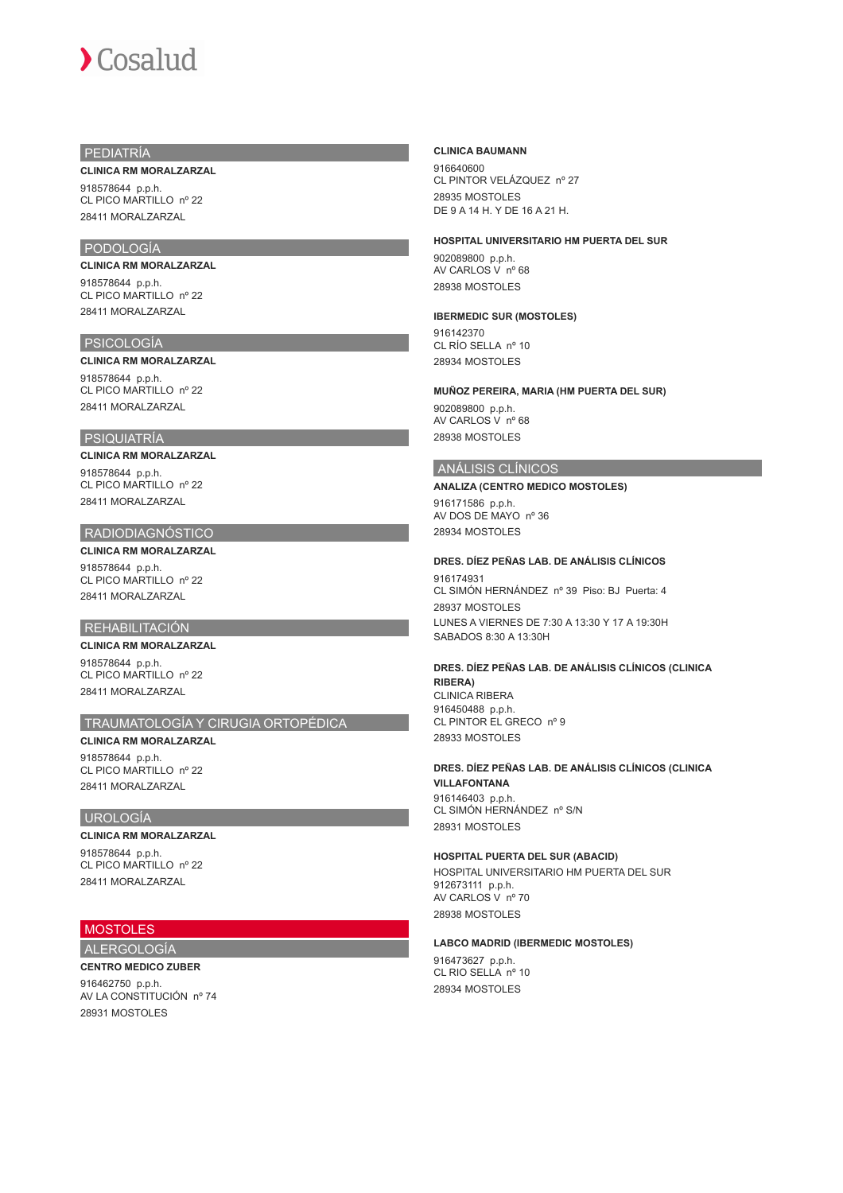### PEDIATRÍA

#### **CLINICA RM MORALZARZAL**

918578644 p.p.h. CL PICO MARTILLO nº 22 28411 MORALZARZAL

## PODOLOGÍA

**CLINICA RM MORALZARZAL** 918578644 p.p.h. CL PICO MARTILLO nº 22 28411 MORALZARZAL

#### PSICOLOGÍA

#### **CLINICA RM MORALZARZAL**

918578644 p.p.h. CL PICO MARTILLO nº 22 28411 MORALZARZAL

## PSIQUIATRÍA

#### **CLINICA RM MORALZARZAL**

918578644 p.p.h. CL PICO MARTILLO nº 22 28411 MORALZARZAL

## RADIODIAGNÓSTICO

#### **CLINICA RM MORALZARZAL** 918578644 p.p.h. CL PICO MARTILLO nº 22 28411 MORALZARZAL

#### REHABILITACIÓN

## **CLINICA RM MORALZARZAL**

918578644 p.p.h. CL PICO MARTILLO nº 22 28411 MORALZARZAL

## TRAUMATOLOGÍA Y CIRUGIA ORTOPÉDICA

**CLINICA RM MORALZARZAL** 918578644 p.p.h. CL PICO MARTILLO nº 22 28411 MORALZARZAL

### UROLOGÍA

#### **CLINICA RM MORALZARZAL**

918578644 p.p.h. CL PICO MARTILLO nº 22 28411 MORALZARZAL

## **MOSTOLES**

## ALERGOLOGÍA **CENTRO MEDICO ZUBER**

916462750 p.p.h. AV LA CONSTITUCIÓN nº 74 28931 MOSTOLES

#### **CLINICA BAUMANN**

916640600 CL PINTOR VELÁZQUEZ nº 27 28935 MOSTOLES DE 9 A 14 H. Y DE 16 A 21 H.

#### **HOSPITAL UNIVERSITARIO HM PUERTA DEL SUR**

902089800 p.p.h. AV CARLOS V nº 68 28938 MOSTOLES

### **IBERMEDIC SUR (MOSTOLES)**

916142370 CL RÍO SELLA nº 10 28934 MOSTOLES

#### **MUÑOZ PEREIRA, MARIA (HM PUERTA DEL SUR)**

902089800 p.p.h. AV CARLOS V nº 68 28938 MOSTOLES

### ANÁLISIS CLÍNICOS

**ANALIZA (CENTRO MEDICO MOSTOLES)**

916171586 p.p.h. AV DOS DE MAYO nº 36 28934 MOSTOLES

#### **DRES. DÍEZ PEÑAS LAB. DE ANÁLISIS CLÍNICOS**

916174931 CL SIMÓN HERNÁNDEZ nº 39 Piso: BJ Puerta: 4 28937 MOSTOLES LUNES A VIERNES DE 7:30 A 13:30 Y 17 A 19:30H SABADOS 8:30 A 13:30H

#### **DRES. DÍEZ PEÑAS LAB. DE ANÁLISIS CLÍNICOS (CLINICA RIBERA)** CLINICA RIBERA

916450488 p.p.h. CL PINTOR EL GRECO nº 9 28933 MOSTOLES

### **DRES. DÍEZ PEÑAS LAB. DE ANÁLISIS CLÍNICOS (CLINICA VILLAFONTANA** 916146403 p.p.h.

CL SIMÓN HERNÁNDEZ nº S/N 28931 MOSTOLES

#### **HOSPITAL PUERTA DEL SUR (ABACID)**

HOSPITAL UNIVERSITARIO HM PUERTA DEL SUR 912673111 p.p.h. AV CARLOS V nº 70 28938 MOSTOLES

#### **LABCO MADRID (IBERMEDIC MOSTOLES)**

916473627 p.p.h. CL RIO SELLA nº 10 28934 MOSTOLES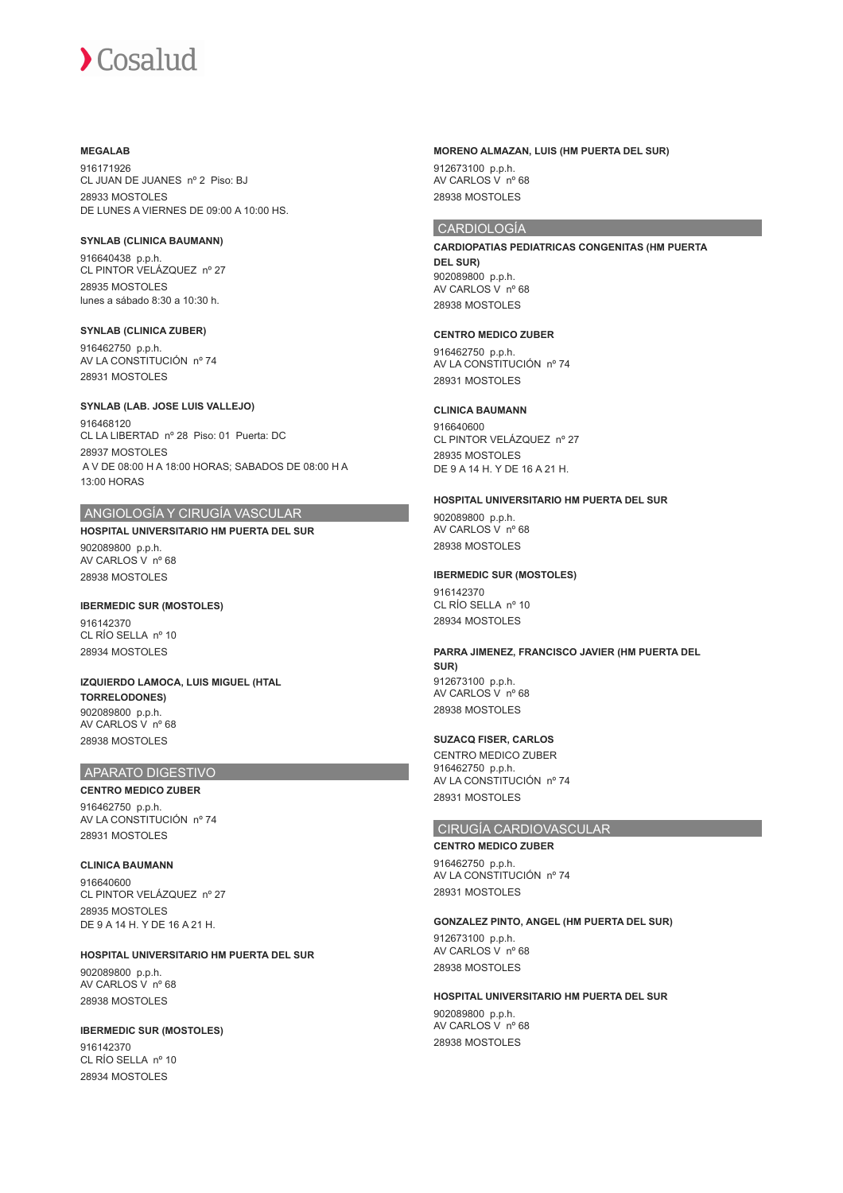#### **MEGALAB**

916171926 CL JUAN DE JUANES nº 2 Piso: BJ 28933 MOSTOLES DE LUNES A VIERNES DE 09:00 A 10:00 HS.

#### **SYNLAB (CLINICA BAUMANN)**

916640438 p.p.h. CL PINTOR VELÁZQUEZ nº 27 28935 MOSTOLES lunes a sábado 8:30 a 10:30 h.

#### **SYNLAB (CLINICA ZUBER)**

916462750 p.p.h. AV LA CONSTITUCIÓN nº 74 28931 MOSTOLES

#### **SYNLAB (LAB. JOSE LUIS VALLEJO)**

916468120 CL LA LIBERTAD nº 28 Piso: 01 Puerta: DC 28937 MOSTOLES A V DE 08:00 H A 18:00 HORAS; SABADOS DE 08:00 H A 13:00 HORAS

## ANGIOLOGÍA Y CIRUGÍA VASCULAR

## **HOSPITAL UNIVERSITARIO HM PUERTA DEL SUR**

902089800 p.p.h. AV CARLOS V nº 68 28938 MOSTOLES

#### **IBERMEDIC SUR (MOSTOLES)** 916142370 CL RÍO SELLA nº 10 28934 MOSTOLES

**IZQUIERDO LAMOCA, LUIS MIGUEL (HTAL TORRELODONES)** 902089800 p.p.h. AV CARLOS V nº 68

#### APARATO DIGESTIVO

28938 MOSTOLES

**CENTRO MEDICO ZUBER** 916462750 p.p.h. AV LA CONSTITUCIÓN nº 74 28931 MOSTOLES

**CLINICA BAUMANN** 916640600 CL PINTOR VELÁZQUEZ nº 27 28935 MOSTOLES DE 9 A 14 H. Y DE 16 A 21 H.

#### **HOSPITAL UNIVERSITARIO HM PUERTA DEL SUR** 902089800 p.p.h.

AV CARLOS V nº 68 28938 MOSTOLES

#### **IBERMEDIC SUR (MOSTOLES)**

916142370  $CI$  RÍO SELLA nº 10 28934 MOSTOLES

#### **MORENO ALMAZAN, LUIS (HM PUERTA DEL SUR)**

912673100 p.p.h. AV CARLOS V nº 68 28938 MOSTOLES

## CARDIOLOGÍA

**CARDIOPATIAS PEDIATRICAS CONGENITAS (HM PUERTA DEL SUR)** 902089800 p.p.h. AV CARLOS V nº 68 28938 MOSTOLES

#### **CENTRO MEDICO ZUBER**

916462750 p.p.h. AV LA CONSTITUCIÓN nº 74 28931 MOSTOLES

## **CLINICA BAUMANN**

916640600 CL PINTOR VELÁZQUEZ nº 27 28935 MOSTOLES DE 9 A 14 H. Y DE 16 A 21 H.

#### **HOSPITAL UNIVERSITARIO HM PUERTA DEL SUR**

902089800 p.p.h. AV CARLOS V nº 68 28938 MOSTOLES

#### **IBERMEDIC SUR (MOSTOLES)**

916142370 CL RÍO SELLA nº 10 28934 MOSTOLES

#### **PARRA JIMENEZ, FRANCISCO JAVIER (HM PUERTA DEL SUR)** 912673100 p.p.h. AV CARLOS V nº 68

28938 MOSTOLES

#### **SUZACQ FISER, CARLOS**

CENTRO MEDICO ZUBER 916462750 p.p.h. AV LA CONSTITUCIÓN nº 74 28931 MOSTOLES

## CIRUGÍA CARDIOVASCULAR

**CENTRO MEDICO ZUBER** 916462750 p.p.h. AV LA CONSTITUCIÓN nº 74 28931 MOSTOLES

#### **GONZALEZ PINTO, ANGEL (HM PUERTA DEL SUR)**

912673100 p.p.h. AV CARLOS V nº 68 28938 MOSTOLES

#### **HOSPITAL UNIVERSITARIO HM PUERTA DEL SUR** 902089800 p.p.h. AV CARLOS V nº 68 28938 MOSTOLES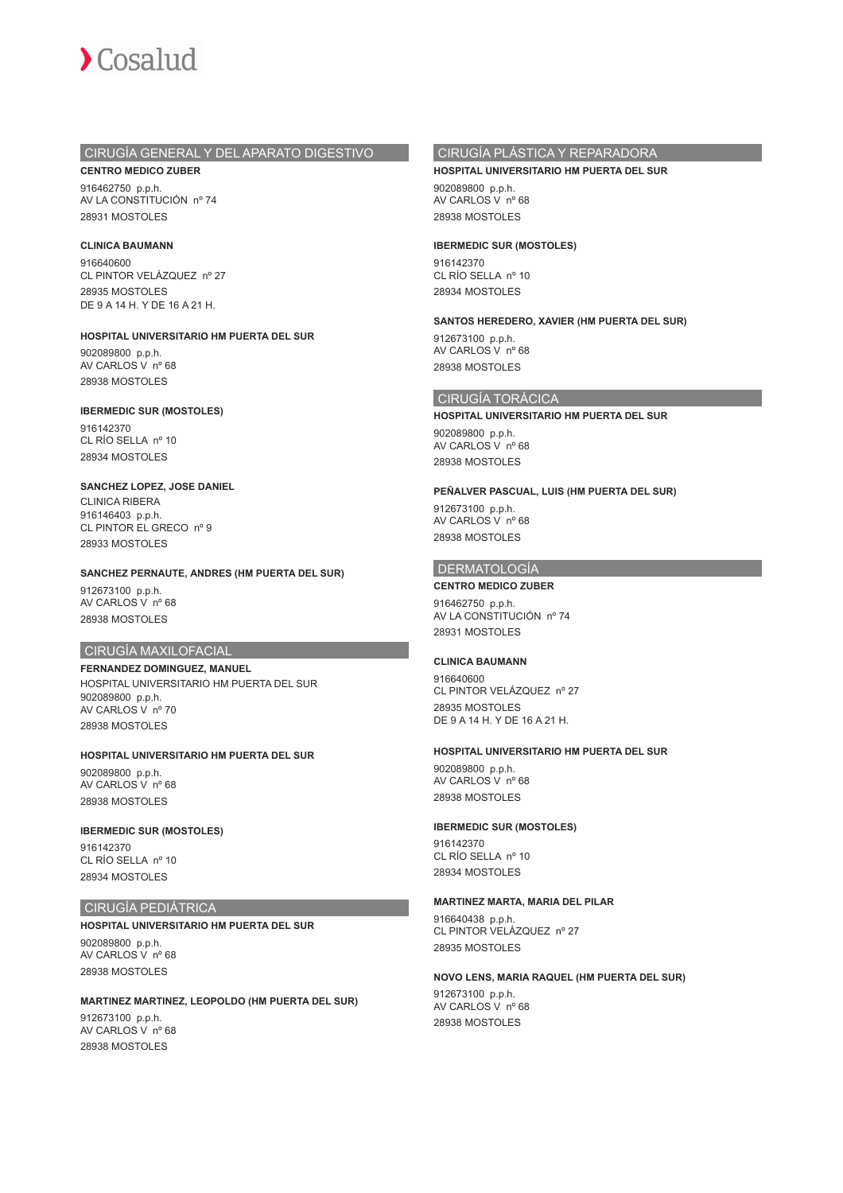

## CIRUGÍA GENERAL Y DEL APARATO DIGESTIVO

**CENTRO MEDICO ZUBER** 916462750 p.p.h. AV LA CONSTITUCIÓN nº 74 28931 MOSTOLES

#### **CLINICA BAUMANN**

916640600 CL PINTOR VELÁZQUEZ nº 27 28935 MOSTOLES DE 9 A 14 H. Y DE 16 A 21 H.

#### **HOSPITAL UNIVERSITARIO HM PUERTA DEL SUR**

902089800 p.p.h. AV CARLOS V nº 68 28938 MOSTOLES

#### **IBERMEDIC SUR (MOSTOLES)**

916142370 CL RÍO SELLA nº 10 28934 MOSTOLES

#### **SANCHEZ LOPEZ, JOSE DANIEL**

CLINICA RIBERA 916146403 p.p.h. CL PINTOR EL GRECO nº 9 28933 MOSTOLES

#### **SANCHEZ PERNAUTE, ANDRES (HM PUERTA DEL SUR)**

912673100 p.p.h. AV CARLOS V nº 68 28938 MOSTOLES

#### CIRUGÍA MAXILOFACIAL

**FERNANDEZ DOMINGUEZ, MANUEL** HOSPITAL UNIVERSITARIO HM PUERTA DEL SUR 902089800 p.p.h. AV CARLOS V nº 70 28938 MOSTOLES

## **HOSPITAL UNIVERSITARIO HM PUERTA DEL SUR**

902089800 p.p.h. AV CARLOS V nº 68 28938 MOSTOLES

#### **IBERMEDIC SUR (MOSTOLES)** 916142370 CL RÍO SELLA nº 10 28934 MOSTOLES

#### CIRUGÍA PEDIÁTRICA

**HOSPITAL UNIVERSITARIO HM PUERTA DEL SUR**

902089800 p.p.h. AV CARLOS V nº 68 28938 MOSTOLES

**MARTINEZ MARTINEZ, LEOPOLDO (HM PUERTA DEL SUR)** 912673100 p.p.h. AV CARLOS V nº 68 28938 MOSTOLES

## CIRUGÍA PLÁSTICA Y REPARADORA

#### **HOSPITAL UNIVERSITARIO HM PUERTA DEL SUR**

902089800 p.p.h. AV CARLOS V nº 68 28938 MOSTOLES

#### **IBERMEDIC SUR (MOSTOLES)**

916142370 CL RÍO SELLA nº 10 28934 MOSTOLES

#### **SANTOS HEREDERO, XAVIER (HM PUERTA DEL SUR)**

912673100 p.p.h. AV CARLOS V nº 68 28938 MOSTOLES

#### CIRUGÍA TORÁCICA

**HOSPITAL UNIVERSITARIO HM PUERTA DEL SUR** 902089800 p.p.h.

AV CARLOS V nº 68 28938 MOSTOLES

#### **PEÑALVER PASCUAL, LUIS (HM PUERTA DEL SUR)**

912673100 p.p.h. AV CARLOS V nº 68 28938 MOSTOLES

## DERMATOLOGÍA

#### **CENTRO MEDICO ZUBER**

916462750 p.p.h. AV LA CONSTITUCIÓN nº 74 28931 MOSTOLES

#### **CLINICA BAUMANN**

916640600 CL PINTOR VELÁZQUEZ nº 27 28935 MOSTOLES DE 9 A 14 H. Y DE 16 A 21 H.

#### **HOSPITAL UNIVERSITARIO HM PUERTA DEL SUR**

902089800 p.p.h. AV CARLOS V nº 68 28938 MOSTOLES

#### **IBERMEDIC SUR (MOSTOLES)**

916142370 CL RÍO SELLA nº 10 28934 MOSTOLES

#### **MARTINEZ MARTA, MARIA DEL PILAR**

916640438 p.p.h. CL PINTOR VELÁZQUEZ nº 27 28935 MOSTOLES

#### **NOVO LENS, MARIA RAQUEL (HM PUERTA DEL SUR)**

912673100 p.p.h. AV CARLOS V nº 68 28938 MOSTOLES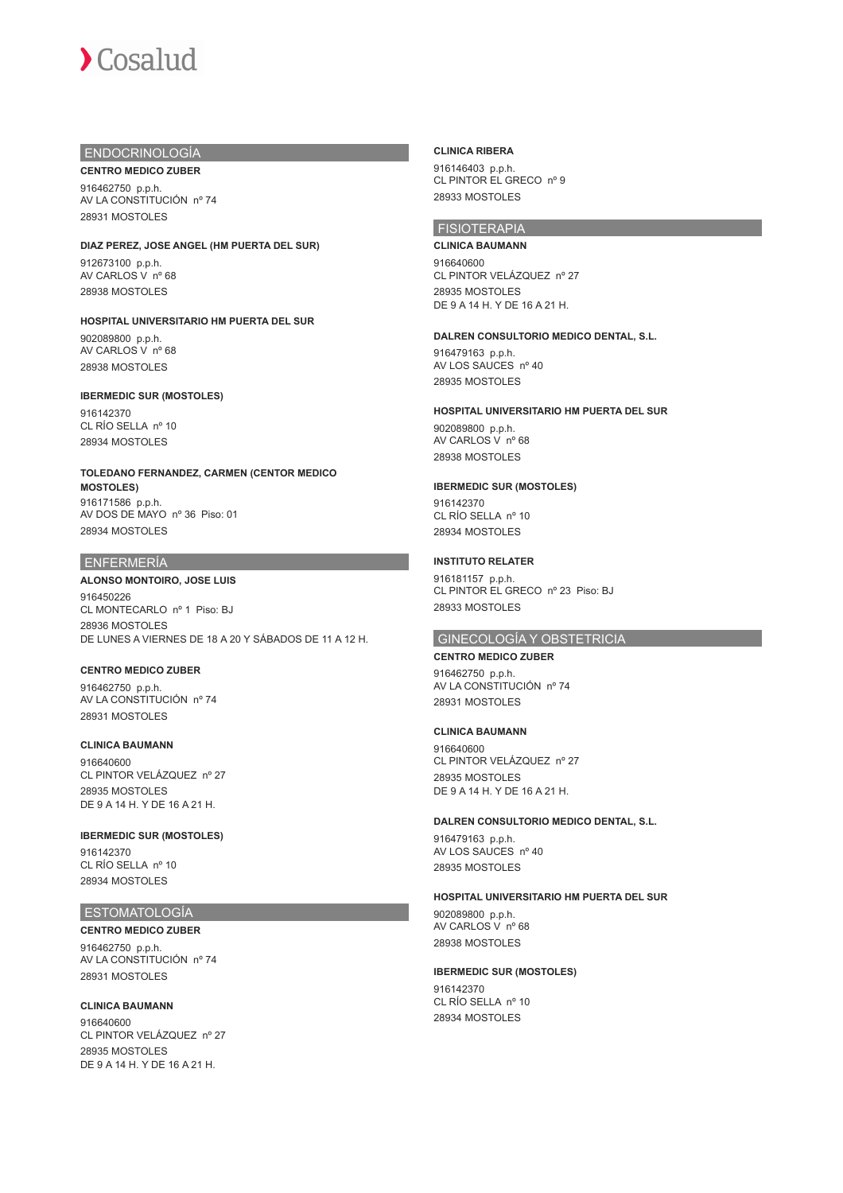## ENDOCRINOLOGÍA

**CENTRO MEDICO ZUBER**

916462750 p.p.h. AV LA CONSTITUCIÓN nº 74 28931 MOSTOLES

#### **DIAZ PEREZ, JOSE ANGEL (HM PUERTA DEL SUR)**

912673100 p.p.h. AV CARLOS V nº 68 28938 MOSTOLES

**HOSPITAL UNIVERSITARIO HM PUERTA DEL SUR** 902089800 p.p.h. AV CARLOS V nº 68 28938 MOSTOLES

## **IBERMEDIC SUR (MOSTOLES)**

916142370 CL RÍO SELLA nº 10 28934 MOSTOLES

**TOLEDANO FERNANDEZ, CARMEN (CENTOR MEDICO MOSTOLES)** 916171586 p.p.h. AV DOS DE MAYO nº 36 Piso: 01 28934 MOSTOLES

#### ENFERMERÍA

#### **ALONSO MONTOIRO, JOSE LUIS**

916450226 CL MONTECARLO nº 1 Piso: BJ 28936 MOSTOLES DE LUNES A VIERNES DE 18 A 20 Y SÁBADOS DE 11 A 12 H.

#### **CENTRO MEDICO ZUBER**

916462750 p.p.h. AV LA CONSTITUCIÓN nº 74 28931 MOSTOLES

#### **CLINICA BAUMANN**

916640600 CL PINTOR VELÁZQUEZ nº 27 28935 MOSTOLES DE 9 A 14 H. Y DE 16 A 21 H.

**IBERMEDIC SUR (MOSTOLES)** 916142370 CL RÍO SELLA nº 10 28934 MOSTOLES

## ESTOMATOLOGÍA

**CENTRO MEDICO ZUBER** 916462750 p.p.h. AV LA CONSTITUCIÓN nº 74 28931 MOSTOLES

**CLINICA BAUMANN** 916640600 CL PINTOR VELÁZQUEZ nº 27 28935 MOSTOLES DE 9 A 14 H. Y DE 16 A 21 H.

#### **CLINICA RIBERA**

916146403 p.p.h. CL PINTOR EL GRECO nº 9 28933 MOSTOLES

## FISIOTERAPIA

**CLINICA BAUMANN** 916640600 CL PINTOR VELÁZQUEZ nº 27 28935 MOSTOLES DE 9 A 14 H. Y DE 16 A 21 H.

#### **DALREN CONSULTORIO MEDICO DENTAL, S.L.**

916479163 p.p.h. AV LOS SAUCES nº 40 28935 MOSTOLES

#### **HOSPITAL UNIVERSITARIO HM PUERTA DEL SUR**

902089800 p.p.h. AV CARLOS V nº 68 28938 MOSTOLES

#### **IBERMEDIC SUR (MOSTOLES)**

916142370 CL RÍO SELLA nº 10 28934 MOSTOLES

#### **INSTITUTO RELATER**

916181157 p.p.h. CL PINTOR EL GRECO nº 23 Piso: BJ 28933 MOSTOLES

#### GINECOLOGÍA Y OBSTETRICIA

## **CENTRO MEDICO ZUBER**

916462750 p.p.h. AV LA CONSTITUCIÓN nº 74 28931 MOSTOLES

#### **CLINICA BAUMANN**

916640600 CL PINTOR VELÁZQUEZ nº 27 28935 MOSTOLES DE 9 A 14 H. Y DE 16 A 21 H.

#### **DALREN CONSULTORIO MEDICO DENTAL, S.L.**

916479163 p.p.h. AV LOS SAUCES nº 40 28935 MOSTOLES

#### **HOSPITAL UNIVERSITARIO HM PUERTA DEL SUR**

902089800 p.p.h. AV CARLOS V nº 68 28938 MOSTOLES

## **IBERMEDIC SUR (MOSTOLES)** 916142370

CL RÍO SELLA nº 10 28934 MOSTOLES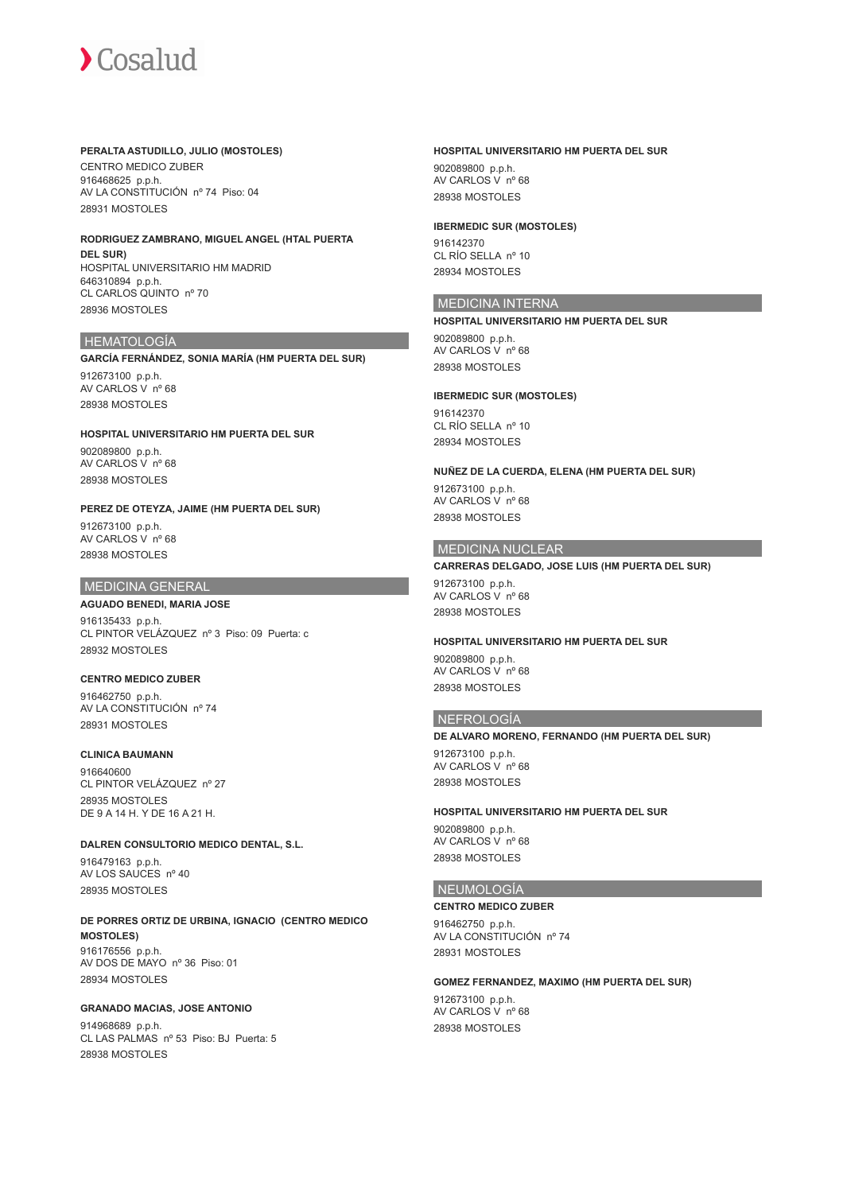#### **PERALTA ASTUDILLO, JULIO (MOSTOLES)**

CENTRO MEDICO ZUBER 916468625 p.p.h. AV LA CONSTITUCIÓN nº 74 Piso: 04 28931 MOSTOLES

#### **RODRIGUEZ ZAMBRANO, MIGUEL ANGEL (HTAL PUERTA DEL SUR)** HOSPITAL UNIVERSITARIO HM MADRID

646310894 p.p.h. CL CARLOS QUINTO nº 70 28936 MOSTOLES

#### HEMATOLOGÍA

#### **GARCÍA FERNÁNDEZ, SONIA MARÍA (HM PUERTA DEL SUR)**

912673100 p.p.h. AV CARLOS V nº 68 28938 MOSTOLES

## **HOSPITAL UNIVERSITARIO HM PUERTA DEL SUR**

902089800 p.p.h. AV CARLOS V nº 68 28938 MOSTOLES

## **PEREZ DE OTEYZA, JAIME (HM PUERTA DEL SUR)**

912673100 p.p.h. AV CARLOS V nº 68 28938 MOSTOLES

## MEDICINA GENERAL

#### **AGUADO BENEDI, MARIA JOSE**

916135433 p.p.h. CL PINTOR VELÁZQUEZ nº 3 Piso: 09 Puerta: c 28932 MOSTOLES

#### **CENTRO MEDICO ZUBER**

916462750 p.p.h. AV LA CONSTITUCIÓN nº 74 28931 MOSTOLES

#### **CLINICA BAUMANN**

916640600 CL PINTOR VELÁZQUEZ nº 27 28935 MOSTOLES DE 9 A 14 H. Y DE 16 A 21 H.

#### **DALREN CONSULTORIO MEDICO DENTAL, S.L.**

916479163 p.p.h. AV LOS SAUCES nº 40 28935 MOSTOLES

#### **DE PORRES ORTIZ DE URBINA, IGNACIO (CENTRO MEDICO MOSTOLES)** 916176556 p.p.h. AV DOS DE MAYO nº 36 Piso: 01 28934 MOSTOLES

#### **GRANADO MACIAS, JOSE ANTONIO** 914968689 p.p.h. CL LAS PALMAS nº 53 Piso: BJ Puerta: 5 28938 MOSTOLES

## **HOSPITAL UNIVERSITARIO HM PUERTA DEL SUR**

902089800 p.p.h. AV CARLOS V nº 68 28938 MOSTOLES

#### **IBERMEDIC SUR (MOSTOLES)**

916142370 CL RÍO SELLA nº 10 28934 MOSTOLES

## MEDICINA INTERNA

**HOSPITAL UNIVERSITARIO HM PUERTA DEL SUR** 902089800 p.p.h. AV CARLOS V nº 68 28938 MOSTOLES

#### **IBERMEDIC SUR (MOSTOLES)** 916142370 CL RÍO SELLA nº 10 28934 MOSTOLES

**NUÑEZ DE LA CUERDA, ELENA (HM PUERTA DEL SUR)** 912673100 p.p.h. AV CARLOS V nº 68 28938 MOSTOLES

## MEDICINA NUCLEAR

**CARRERAS DELGADO, JOSE LUIS (HM PUERTA DEL SUR)** 912673100 p.p.h. AV CARLOS V nº 68 28938 MOSTOLES

## **HOSPITAL UNIVERSITARIO HM PUERTA DEL SUR**

902089800 p.p.h. AV CARLOS V nº 68 28938 MOSTOLES

#### NEFROLOGÍA

**DE ALVARO MORENO, FERNANDO (HM PUERTA DEL SUR)** 912673100 p.p.h. AV CARLOS V nº 68 28938 MOSTOLES

#### **HOSPITAL UNIVERSITARIO HM PUERTA DEL SUR**

902089800 p.p.h. AV CARLOS V nº 68 28938 MOSTOLES

## **NEUMOLOGÍA**

#### **CENTRO MEDICO ZUBER**

916462750 p.p.h. AV LA CONSTITUCIÓN nº 74 28931 MOSTOLES

#### **GOMEZ FERNANDEZ, MAXIMO (HM PUERTA DEL SUR)**

912673100 p.p.h. AV CARLOS V nº 68 28938 MOSTOLES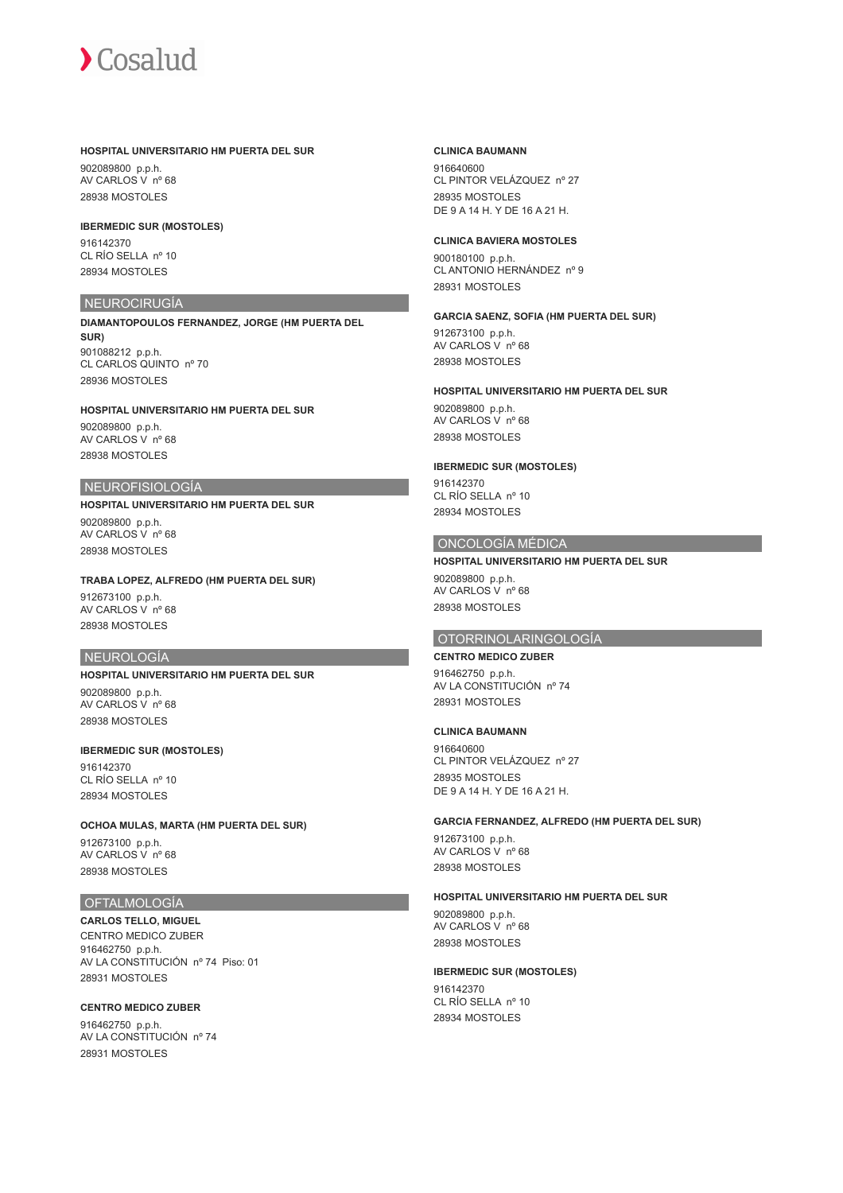#### **HOSPITAL UNIVERSITARIO HM PUERTA DEL SUR**

902089800 p.p.h. AV CARLOS V nº 68 28938 MOSTOLES

#### **IBERMEDIC SUR (MOSTOLES)**

916142370 CL RÍO SELLA nº 10 28934 MOSTOLES

## NEUROCIRUGÍA

**DIAMANTOPOULOS FERNANDEZ, JORGE (HM PUERTA DEL SUR)** 901088212 p.p.h. CL CARLOS QUINTO nº 70 28936 MOSTOLES

## **HOSPITAL UNIVERSITARIO HM PUERTA DEL SUR** 902089800 p.p.h.

AV CARLOS V nº 68 28938 MOSTOLES

#### NEUROFISIOLOGÍA

#### **HOSPITAL UNIVERSITARIO HM PUERTA DEL SUR**

902089800 p.p.h. AV CARLOS V nº 68 28938 MOSTOLES

#### **TRABA LOPEZ, ALFREDO (HM PUERTA DEL SUR)**

912673100 p.p.h. AV CARLOS V nº 68 28938 MOSTOLES

## NEUROLOGÍA

## **HOSPITAL UNIVERSITARIO HM PUERTA DEL SUR**

902089800 p.p.h. AV CARLOS V nº 68 28938 MOSTOLES

#### **IBERMEDIC SUR (MOSTOLES)**

916142370 CL RÍO SELLA nº 10 28934 MOSTOLES

#### **OCHOA MULAS, MARTA (HM PUERTA DEL SUR)**

912673100 p.p.h. AV CARLOS V nº 68 28938 MOSTOLES

## OFTALMOLOGÍA

**CARLOS TELLO, MIGUEL** CENTRO MEDICO ZUBER 916462750 p.p.h. AV LA CONSTITUCIÓN nº 74 Piso: 01 28931 MOSTOLES

#### **CENTRO MEDICO ZUBER**

916462750 p.p.h. AV LA CONSTITUCIÓN nº 74 28931 MOSTOLES

#### **CLINICA BAUMANN**

916640600 CL PINTOR VELÁZQUEZ nº 27 28935 MOSTOLES DE 9 A 14 H. Y DE 16 A 21 H.

#### **CLINICA BAVIERA MOSTOLES**

900180100 p.p.h. CL ANTONIO HERNÁNDEZ nº 9 28931 MOSTOLES

## **GARCIA SAENZ, SOFIA (HM PUERTA DEL SUR)**

912673100 p.p.h. AV CARLOS V nº 68 28938 MOSTOLES

#### **HOSPITAL UNIVERSITARIO HM PUERTA DEL SUR**

902089800 p.p.h. AV CARLOS V nº 68 28938 MOSTOLES

#### **IBERMEDIC SUR (MOSTOLES)**

916142370 CL RÍO SELLA nº 10 28934 MOSTOLES

#### ONCOLOGÍA MÉDICA

#### **HOSPITAL UNIVERSITARIO HM PUERTA DEL SUR**

902089800 p.p.h. AV CARLOS V nº 68 28938 MOSTOLES

#### OTORRINOLARINGOLOGÍA

## **CENTRO MEDICO ZUBER**

916462750 p.p.h. AV LA CONSTITUCIÓN nº 74 28931 MOSTOLES

#### **CLINICA BAUMANN**

916640600 CL PINTOR VELÁZQUEZ nº 27 28935 MOSTOLES DE 9 A 14 H. Y DE 16 A 21 H.

#### **GARCIA FERNANDEZ, ALFREDO (HM PUERTA DEL SUR)**

912673100 p.p.h. AV CARLOS V nº 68 28938 MOSTOLES

#### **HOSPITAL UNIVERSITARIO HM PUERTA DEL SUR**

902089800 p.p.h. AV CARLOS V nº 68 28938 MOSTOLES

#### **IBERMEDIC SUR (MOSTOLES)** 916142370

CL RÍO SELLA nº 10 28934 MOSTOLES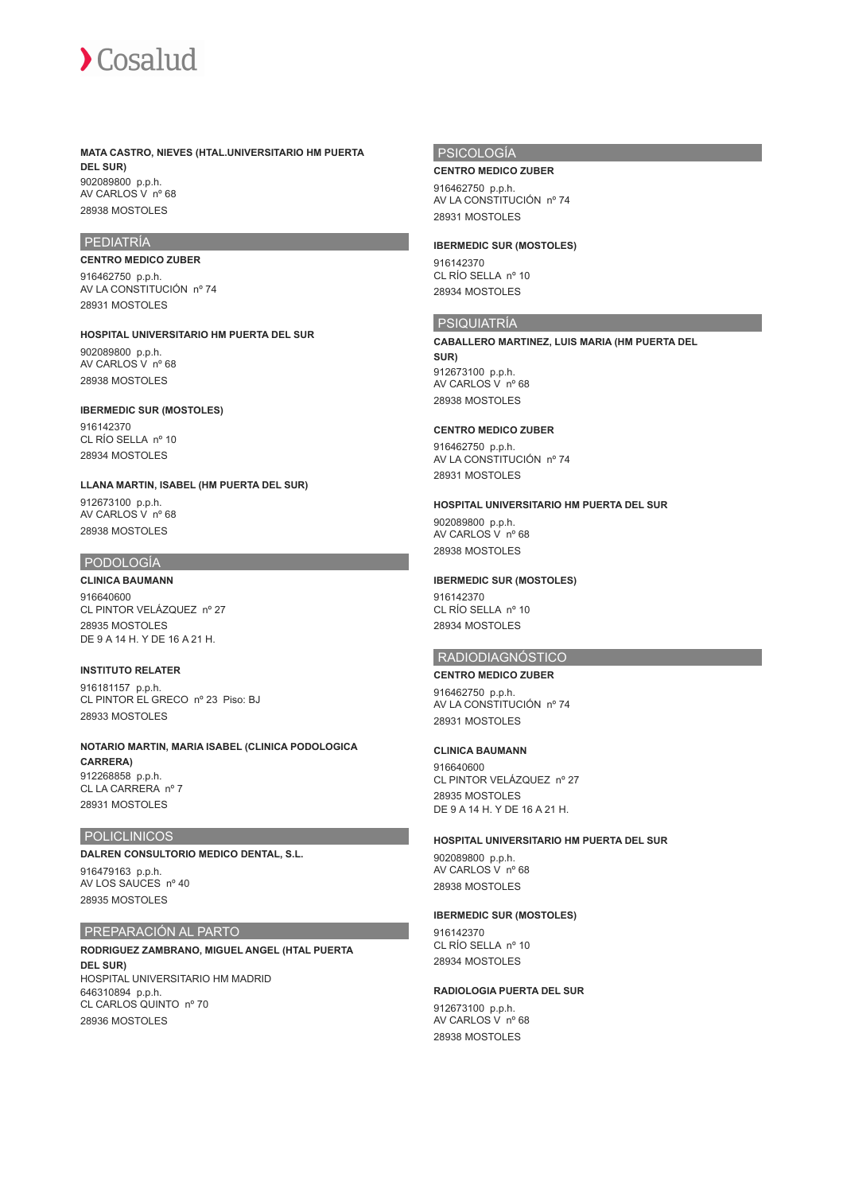

**MATA CASTRO, NIEVES (HTAL.UNIVERSITARIO HM PUERTA DEL SUR)** 902089800 p.p.h. AV CARLOS V nº 68 28938 MOSTOLES

#### PEDIATRÍA

## **CENTRO MEDICO ZUBER**

916462750 p.p.h. AV LA CONSTITUCIÓN nº 74 28931 MOSTOLES

**HOSPITAL UNIVERSITARIO HM PUERTA DEL SUR** 902089800 p.p.h.

AV CARLOS V nº 68 28938 MOSTOLES

#### **IBERMEDIC SUR (MOSTOLES)**

916142370  $CI$  RÍO SELLA nº 10 28934 MOSTOLES

**LLANA MARTIN, ISABEL (HM PUERTA DEL SUR)**

912673100 p.p.h. AV CARLOS V nº 68 28938 MOSTOLES

#### PODOLOGÍA

## **CLINICA BAUMANN**

916640600 CL PINTOR VELÁZQUEZ nº 27 28935 MOSTOLES DE 9 A 14 H. Y DE 16 A 21 H.

#### **INSTITUTO RELATER**

916181157 p.p.h. CL PINTOR EL GRECO nº 23 Piso: BJ 28933 MOSTOLES

**NOTARIO MARTIN, MARIA ISABEL (CLINICA PODOLOGICA CARRERA)** 912268858 p.p.h. CL LA CARRERA nº 7 28931 MOSTOLES

#### POLICLINICOS

#### **DALREN CONSULTORIO MEDICO DENTAL, S.L.**

916479163 p.p.h. AV LOS SAUCES nº 40 28935 MOSTOLES

## PREPARACIÓN AL PARTO

**RODRIGUEZ ZAMBRANO, MIGUEL ANGEL (HTAL PUERTA DEL SUR)** HOSPITAL UNIVERSITARIO HM MADRID 646310894 p.p.h. CL CARLOS QUINTO nº 70 28936 MOSTOLES

## PSICOLOGÍA

**CENTRO MEDICO ZUBER**

916462750 p.p.h. AV LA CONSTITUCIÓN nº 74 28931 MOSTOLES

#### **IBERMEDIC SUR (MOSTOLES)**

916142370 CL RÍO SELLA nº 10 28934 MOSTOLES

#### PSIQUIATRÍA

**CABALLERO MARTINEZ, LUIS MARIA (HM PUERTA DEL SUR)** 912673100 p.p.h. AV CARLOS V nº 68 28938 MOSTOLES

#### **CENTRO MEDICO ZUBER**

916462750 p.p.h. AV LA CONSTITUCIÓN nº 74 28931 MOSTOLES

#### **HOSPITAL UNIVERSITARIO HM PUERTA DEL SUR**

902089800 p.p.h. AV CARLOS V nº 68 28938 MOSTOLES

#### **IBERMEDIC SUR (MOSTOLES)**

916142370 CL RÍO SELLA nº 10 28934 MOSTOLES

## RADIODIAGNÓSTICO

#### **CENTRO MEDICO ZUBER**

916462750 p.p.h. AV LA CONSTITUCIÓN nº 74 28931 MOSTOLES

#### **CLINICA BAUMANN**

916640600 CL PINTOR VELÁZQUEZ nº 27 28935 MOSTOLES DE 9 A 14 H. Y DE 16 A 21 H.

#### **HOSPITAL UNIVERSITARIO HM PUERTA DEL SUR**

902089800 p.p.h. AV CARLOS V nº 68 28938 MOSTOLES

#### **IBERMEDIC SUR (MOSTOLES)**

916142370 CL RÍO SELLA nº 10 28934 MOSTOLES

#### **RADIOLOGIA PUERTA DEL SUR**

912673100 p.p.h. AV CARLOS V nº 68 28938 MOSTOLES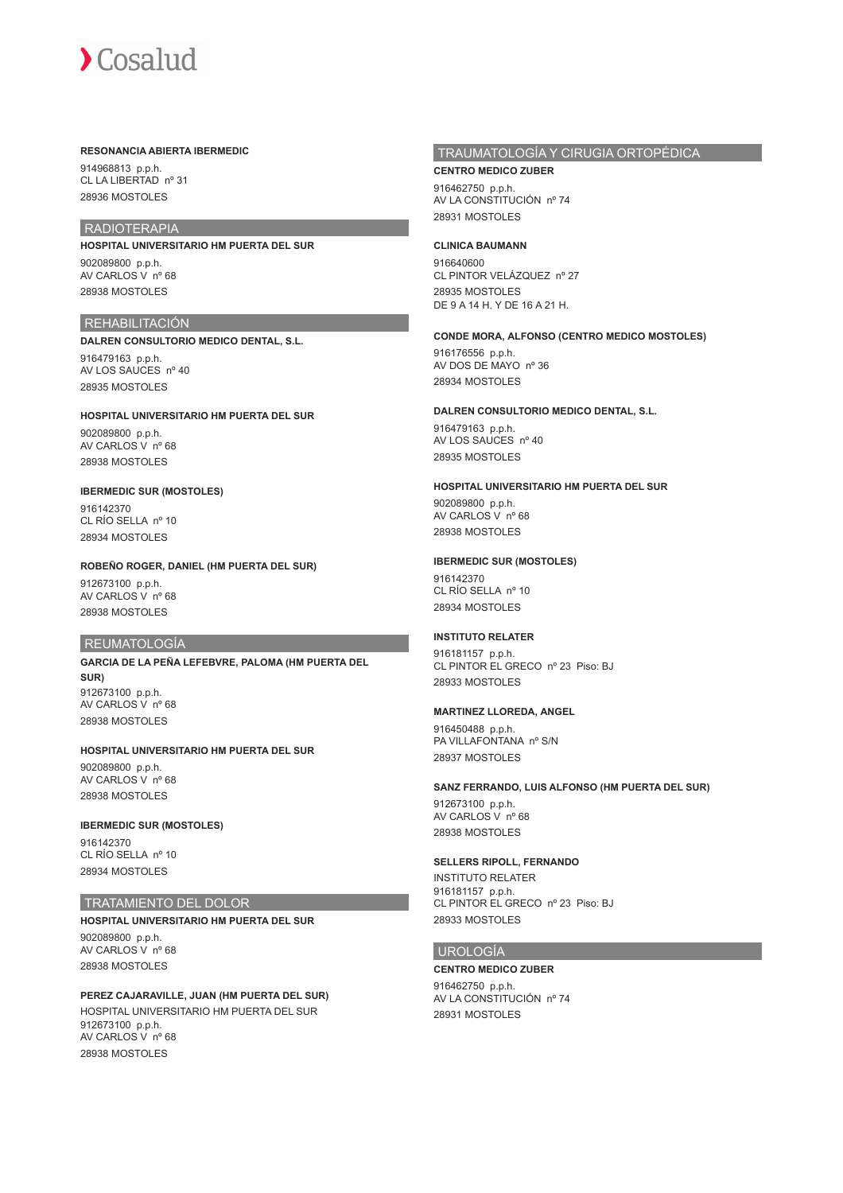#### **RESONANCIA ABIERTA IBERMEDIC**

914968813 p.p.h. CL LA LIBERTAD nº 31 28936 MOSTOLES

## RADIOTERAPIA

**HOSPITAL UNIVERSITARIO HM PUERTA DEL SUR** 902089800 p.p.h.

AV CARLOS V nº 68 28938 MOSTOLES

## **REHABILITACIÓN DALREN CONSULTORIO MEDICO DENTAL, S.L.**

916479163 p.p.h. AV LOS SAUCES nº 40 28935 MOSTOLES

#### **HOSPITAL UNIVERSITARIO HM PUERTA DEL SUR**

902089800 p.p.h. AV CARLOS V nº 68 28938 MOSTOLES

#### **IBERMEDIC SUR (MOSTOLES)** 916142370

CL RÍO SELLA nº 10 28934 MOSTOLES

## **ROBEÑO ROGER, DANIEL (HM PUERTA DEL SUR)**

912673100 p.p.h. AV CARLOS V nº 68 28938 MOSTOLES

## REUMATOLOGÍA

**GARCIA DE LA PEÑA LEFEBVRE, PALOMA (HM PUERTA DEL SUR)** 912673100 p.p.h. AV CARLOS V nº 68 28938 MOSTOLES

### **HOSPITAL UNIVERSITARIO HM PUERTA DEL SUR**

902089800 p.p.h. AV CARLOS V nº 68 28938 MOSTOLES

#### **IBERMEDIC SUR (MOSTOLES)**

916142370 CL RÍO SELLA nº 10 28934 MOSTOLES

#### TRATAMIENTO DEL DOLOR

**HOSPITAL UNIVERSITARIO HM PUERTA DEL SUR** 902089800 p.p.h.

AV CARLOS V nº 68 28938 MOSTOLES

**PEREZ CAJARAVILLE, JUAN (HM PUERTA DEL SUR)** HOSPITAL UNIVERSITARIO HM PUERTA DEL SUR 912673100 p.p.h. AV CARLOS V nº 68 28938 MOSTOLES

## TRAUMATOLOGÍA Y CIRUGIA ORTOPÉDICA

**CENTRO MEDICO ZUBER** 916462750 p.p.h. AV LA CONSTITUCIÓN nº 74 28931 MOSTOLES

#### **CLINICA BAUMANN**

916640600 CL PINTOR VELÁZQUEZ nº 27 28935 MOSTOLES DE 9 A 14 H. Y DE 16 A 21 H.

## **CONDE MORA, ALFONSO (CENTRO MEDICO MOSTOLES)**

916176556 p.p.h. AV DOS DE MAYO nº 36 28934 MOSTOLES

#### **DALREN CONSULTORIO MEDICO DENTAL, S.L.**

916479163 p.p.h. AV LOS SAUCES nº 40 28935 MOSTOLES

#### **HOSPITAL UNIVERSITARIO HM PUERTA DEL SUR**

902089800 p.p.h. AV CARLOS V nº 68 28938 MOSTOLES

#### **IBERMEDIC SUR (MOSTOLES)**

916142370 CL RÍO SELLA nº 10 28934 MOSTOLES

### **INSTITUTO RELATER**

916181157 p.p.h. CL PINTOR EL GRECO nº 23 Piso: BJ 28933 MOSTOLES

#### **MARTINEZ LLOREDA, ANGEL**

916450488 p.p.h. PA VILLAFONTANA nº S/N 28937 MOSTOLES

#### **SANZ FERRANDO, LUIS ALFONSO (HM PUERTA DEL SUR)**

912673100 p.p.h. AV CARLOS V nº 68 28938 MOSTOLES

#### **SELLERS RIPOLL, FERNANDO**

INSTITUTO RELATER 916181157 p.p.h. CL PINTOR EL GRECO nº 23 Piso: BJ 28933 MOSTOLES

#### UROLOGÍA

**CENTRO MEDICO ZUBER** 916462750 p.p.h. AV LA CONSTITUCIÓN nº 74 28931 MOSTOLES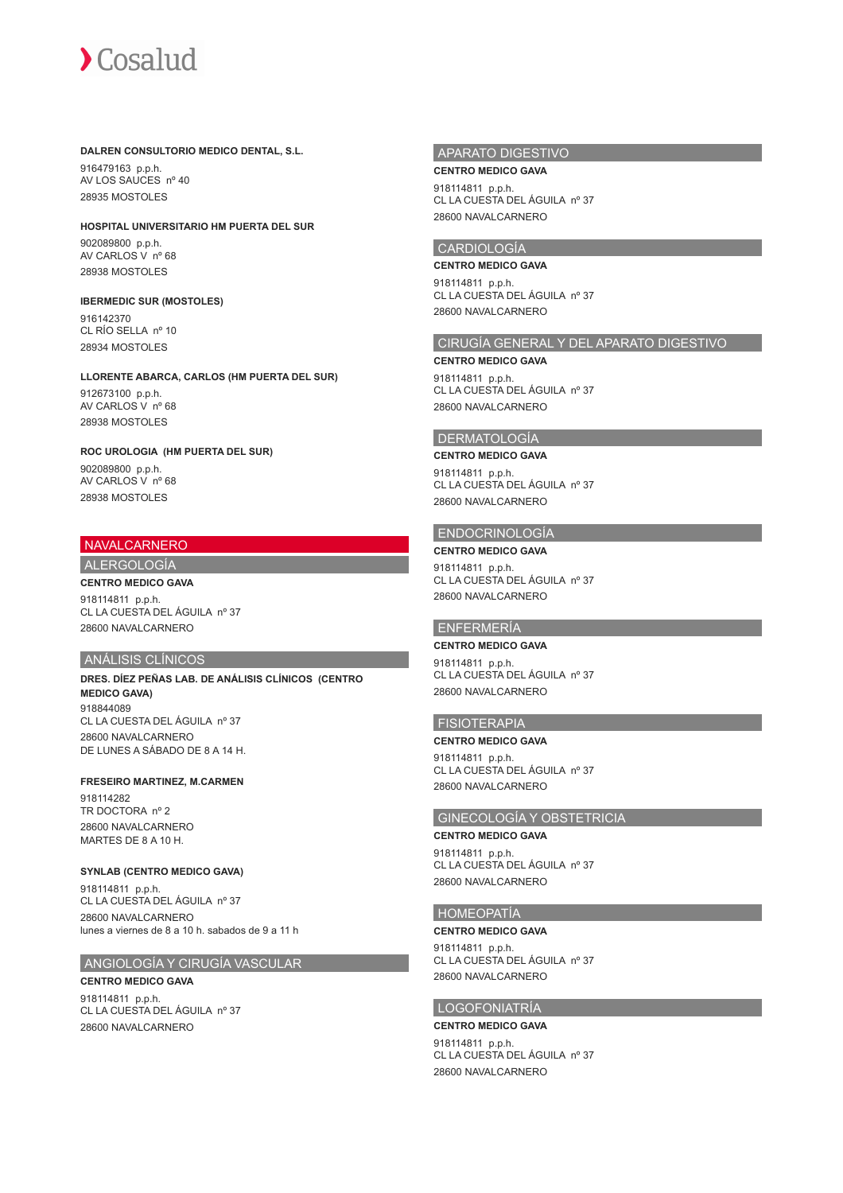#### **DALREN CONSULTORIO MEDICO DENTAL, S.L.**

916479163 p.p.h. AV LOS SAUCES nº 40 28935 MOSTOLES

#### **HOSPITAL UNIVERSITARIO HM PUERTA DEL SUR**

902089800 p.p.h. AV CARLOS V nº 68 28938 MOSTOLES

#### **IBERMEDIC SUR (MOSTOLES)**

916142370 CL RÍO SELLA nº 10 28934 MOSTOLES

#### **LLORENTE ABARCA, CARLOS (HM PUERTA DEL SUR)**

912673100 p.p.h. AV CARLOS V nº 68 28938 MOSTOLES

#### **ROC UROLOGIA (HM PUERTA DEL SUR)**

902089800 p.p.h. AV CARLOS V nº 68 28938 MOSTOLES

#### NAVALCARNERO

## ALERGOLOGÍA

#### **CENTRO MEDICO GAVA**

918114811 p.p.h. CL LA CUESTA DEL ÁGUILA nº 37 28600 NAVALCARNERO

### ANÁLISIS CLÍNICOS

**DRES. DÍEZ PEÑAS LAB. DE ANÁLISIS CLÍNICOS (CENTRO MEDICO GAVA)** 918844089 CL LA CUESTA DEL ÁGUILA nº 37 28600 NAVALCARNERO DE LUNES A SÁBADO DE 8 A 14 H.

#### **FRESEIRO MARTINEZ, M.CARMEN**

918114282 TR DOCTORA nº 2 28600 NAVALCARNERO MARTES DE 8 A 10 H.

#### **SYNLAB (CENTRO MEDICO GAVA)**

918114811 p.p.h. CL LA CUESTA DEL ÁGUILA nº 37 28600 NAVALCARNERO lunes a viernes de 8 a 10 h. sabados de 9 a 11 h

## ANGIOLOGÍA Y CIRUGÍA VASCULAR

**CENTRO MEDICO GAVA** 918114811 p.p.h. CL LA CUESTA DEL ÁGUILA nº 37 28600 NAVALCARNERO

#### APARATO DIGESTIVO

**CENTRO MEDICO GAVA** 918114811 p.p.h. CL LA CUESTA DEL ÁGUILA nº 37 28600 NAVALCARNERO

#### CARDIOLOGÍA

**CENTRO MEDICO GAVA** 918114811 p.p.h. CL LA CUESTA DEL ÁGUILA nº 37 28600 NAVALCARNERO

## CIRUGÍA GENERAL Y DEL APARATO DIGESTIVO

**CENTRO MEDICO GAVA**

918114811 p.p.h. CL LA CUESTA DEL ÁGUILA nº 37 28600 NAVALCARNERO

## **DERMATOLOGÍA**

#### **CENTRO MEDICO GAVA**

918114811 p.p.h. CL LA CUESTA DEL ÁGUILA nº 37 28600 NAVALCARNERO

## ENDOCRINOLOGÍA

**CENTRO MEDICO GAVA** 918114811 p.p.h. CL LA CUESTA DEL ÁGUILA nº 37 28600 NAVALCARNERO

#### ENFERMERÍA

**CENTRO MEDICO GAVA** 918114811 p.p.h. CL LA CUESTA DEL ÁGUILA nº 37 28600 NAVALCARNERO

## FISIOTERAPIA

**CENTRO MEDICO GAVA** 918114811 p.p.h. CL LA CUESTA DEL ÁGUILA nº 37 28600 NAVALCARNERO

## GINECOLOGÍA Y OBSTETRICIA

**CENTRO MEDICO GAVA**

918114811 p.p.h. CL LA CUESTA DEL ÁGUILA nº 37 28600 NAVALCARNERO

#### HOMEOPATÍA

#### **CENTRO MEDICO GAVA**

918114811 p.p.h. CL LA CUESTA DEL ÁGUILA nº 37 28600 NAVALCARNERO

## LOGOFONIATRÍA

#### **CENTRO MEDICO GAVA**

918114811 p.p.h. CL LA CUESTA DEL ÁGUILA nº 37 28600 NAVALCARNERO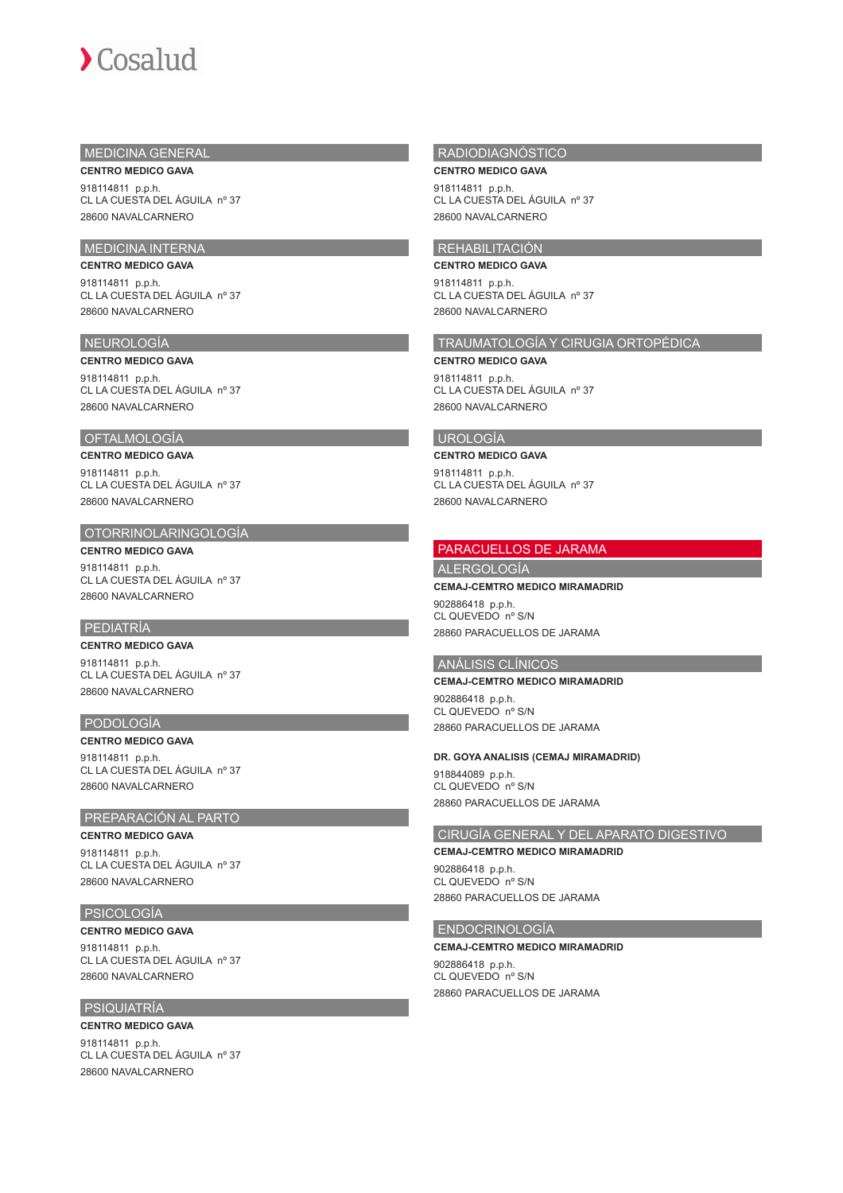## MEDICINA GENERAL

**CENTRO MEDICO GAVA** 918114811 p.p.h. CL LA CUESTA DEL ÁGUILA nº 37

## MEDICINA INTERNA

## **CENTRO MEDICO GAVA**

28600 NAVALCARNERO

918114811 p.p.h. CL LA CUESTA DEL ÁGUILA nº 37 28600 NAVALCARNERO

### NEUROLOGÍA

#### **CENTRO MEDICO GAVA**

918114811 p.p.h. CL LA CUESTA DEL ÁGUILA nº 37 28600 NAVALCARNERO

#### OFTALMOLOGÍA

#### **CENTRO MEDICO GAVA**

918114811 p.p.h. CL LA CUESTA DEL ÁGUILA nº 37 28600 NAVALCARNERO

#### OTORRINOLARINGOLOGÍA

**CENTRO MEDICO GAVA** 918114811 p.p.h. CL LA CUESTA DEL ÁGUILA nº 37 28600 NAVALCARNERO

## PEDIATRÍA

## **CENTRO MEDICO GAVA** 918114811 p.p.h.

CL LA CUESTA DEL ÁGUILA nº 37 28600 NAVALCARNERO

## PODOLOGÍA

**CENTRO MEDICO GAVA** 918114811 p.p.h. CL LA CUESTA DEL ÁGUILA nº 37 28600 NAVALCARNERO

## PREPARACIÓN AL PARTO

**CENTRO MEDICO GAVA** 918114811 p.p.h. CL LA CUESTA DEL ÁGUILA nº 37 28600 NAVALCARNERO

## PSICOLOGÍA

**CENTRO MEDICO GAVA** 918114811 p.p.h. CL LA CUESTA DEL ÁGUILA nº 37 28600 NAVALCARNERO

#### PSIQUIATRÍA

#### **CENTRO MEDICO GAVA**

918114811 p.p.h. CL LA CUESTA DEL ÁGUILA nº 37 28600 NAVALCARNERO

#### RADIODIAGNÓSTICO

**CENTRO MEDICO GAVA** 918114811 p.p.h. CL LA CUESTA DEL ÁGUILA nº 37 28600 NAVALCARNERO

## REHABILITACIÓN

**CENTRO MEDICO GAVA** 918114811 p.p.h. CL LA CUESTA DEL ÁGUILA nº 37 28600 NAVALCARNERO

## TRAUMATOLOGÍA Y CIRUGIA ORTOPÉDICA

**CENTRO MEDICO GAVA**

918114811 p.p.h. CL LA CUESTA DEL ÁGUILA nº 37 28600 NAVALCARNERO

### UROLOGÍA

#### **CENTRO MEDICO GAVA**

918114811 p.p.h. CL LA CUESTA DEL ÁGUILA nº 37 28600 NAVALCARNERO

#### PARACUELLOS DE JARAMA

## **ALERGOLOGÍA**

**CEMAJ-CEMTRO MEDICO MIRAMADRID**

902886418 p.p.h. CL QUEVEDO nº S/N 28860 PARACUELLOS DE JARAMA

#### ANÁLISIS CLÍNICOS

#### **CEMAJ-CEMTRO MEDICO MIRAMADRID**

902886418 p.p.h. CL QUEVEDO nº S/N 28860 PARACUELLOS DE JARAMA

#### **DR. GOYA ANALISIS (CEMAJ MIRAMADRID)**

918844089 p.p.h. CL QUEVEDO nº S/N 28860 PARACUELLOS DE JARAMA

#### CIRUGÍA GENERAL Y DEL APARATO DIGESTIVO

#### **CEMAJ-CEMTRO MEDICO MIRAMADRID**

902886418 p.p.h. CL QUEVEDO nº S/N 28860 PARACUELLOS DE JARAMA

#### ENDOCRINOLOGÍA

## **CEMAJ-CEMTRO MEDICO MIRAMADRID**

902886418 p.p.h. CL QUEVEDO nº S/N 28860 PARACUELLOS DE JARAMA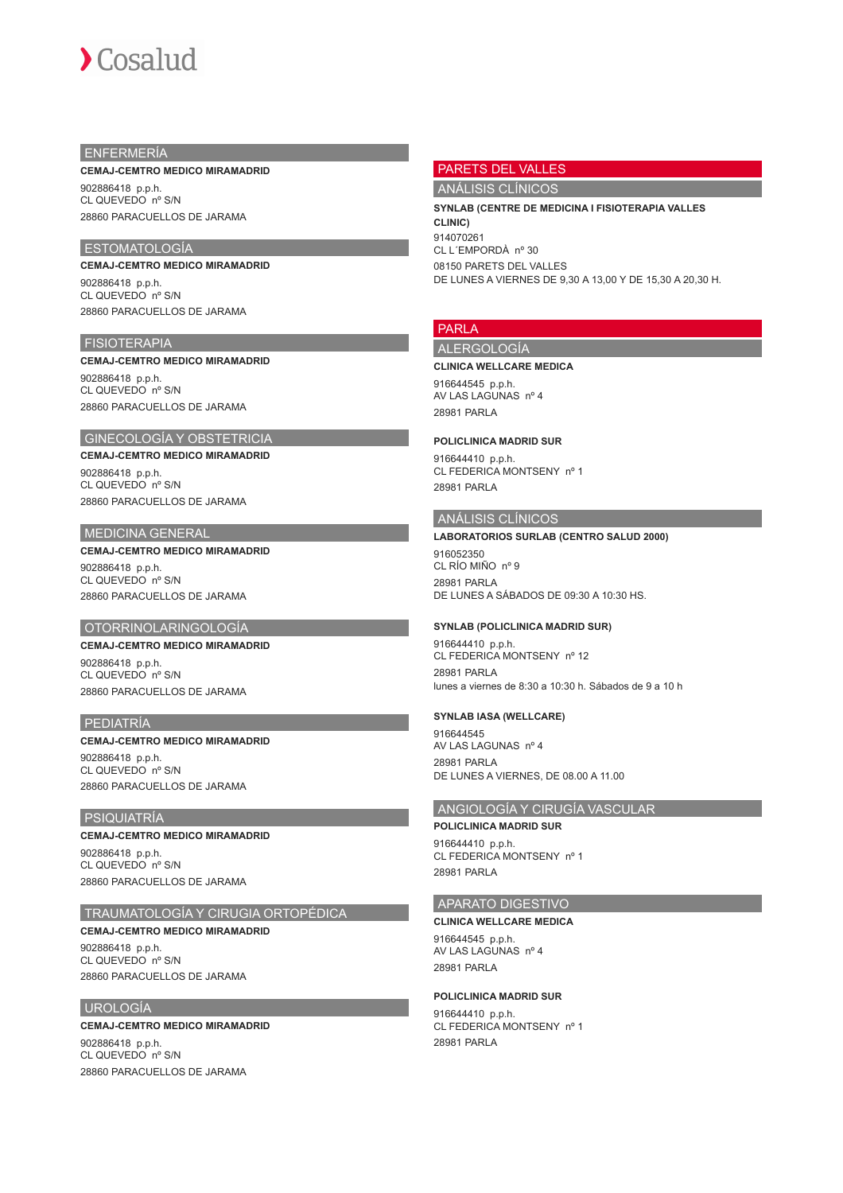## ENFERMERÍA

#### **CEMAJ-CEMTRO MEDICO MIRAMADRID**

902886418 p.p.h. CL QUEVEDO nº S/N 28860 PARACUELLOS DE JARAMA

## ESTOMATOLOGÍA

**CEMAJ-CEMTRO MEDICO MIRAMADRID** 902886418 p.p.h. CL QUEVEDO nº S/N 28860 PARACUELLOS DE JARAMA

#### FISIOTERAPIA

#### **CEMAJ-CEMTRO MEDICO MIRAMADRID**

902886418 p.p.h. CL QUEVEDO nº S/N 28860 PARACUELLOS DE JARAMA

## GINECOLOGÍA Y OBSTETRICIA

#### **CEMAJ-CEMTRO MEDICO MIRAMADRID**

902886418 p.p.h. CL QUEVEDO nº S/N 28860 PARACUELLOS DE JARAMA

#### MEDICINA GENERAL

## **CEMAJ-CEMTRO MEDICO MIRAMADRID**

902886418 p.p.h. CL QUEVEDO nº S/N 28860 PARACUELLOS DE JARAMA

## OTORRINOLARINGOLOGÍA

## **CEMAJ-CEMTRO MEDICO MIRAMADRID**

902886418 p.p.h. CL QUEVEDO nº S/N 28860 PARACUELLOS DE JARAMA

#### PEDIATRÍA

**CEMAJ-CEMTRO MEDICO MIRAMADRID** 902886418 p.p.h. CL QUEVEDO nº S/N

28860 PARACUELLOS DE JARAMA

#### PSIQUIATRÍA

#### **CEMAJ-CEMTRO MEDICO MIRAMADRID**

902886418 p.p.h. CL QUEVEDO nº S/N 28860 PARACUELLOS DE JARAMA

#### TRAUMATOLOGÍA Y CIRUGIA ORTOPÉDICA

## **CEMAJ-CEMTRO MEDICO MIRAMADRID**

902886418 p.p.h. CL QUEVEDO nº S/N 28860 PARACUELLOS DE JARAMA

#### UROLOGÍA

#### **CEMAJ-CEMTRO MEDICO MIRAMADRID** 902886418 p.p.h.

CL QUEVEDO nº S/N 28860 PARACUELLOS DE JARAMA

#### PARETS DEL VALLES

ANÁLISIS CLÍNICOS

**SYNLAB (CENTRE DE MEDICINA I FISIOTERAPIA VALLES CLINIC)** 914070261 CL L´EMPORDÀ nº 30 08150 PARETS DEL VALLES DE LUNES A VIERNES DE 9,30 A 13,00 Y DE 15,30 A 20,30 H.

## PARLA

## ALERGOLOGÍA **CLINICA WELLCARE MEDICA**

916644545 p.p.h. AV LAS LAGUNAS nº 4 28981 PARLA

#### **POLICLINICA MADRID SUR**

916644410 p.p.h. CL FEDERICA MONTSENY nº 1 28981 PARLA

## ANÁLISIS CLÍNICOS

#### **LABORATORIOS SURLAB (CENTRO SALUD 2000)**

916052350 CL RÍO MIÑO nº 9 28981 PARLA DE LUNES A SÁBADOS DE 09:30 A 10:30 HS.

#### **SYNLAB (POLICLINICA MADRID SUR)**

916644410 p.p.h. CL FEDERICA MONTSENY nº 12 28981 PARLA lunes a viernes de 8:30 a 10:30 h. Sábados de 9 a 10 h

#### **SYNLAB IASA (WELLCARE)**

916644545 AV LAS LAGUNAS nº 4 28981 PARLA DE LUNES A VIERNES, DE 08.00 A 11.00

#### ANGIOLOGÍA Y CIRUGÍA VASCULAR

## **POLICLINICA MADRID SUR**

916644410 p.p.h. CL FEDERICA MONTSENY nº 1 28981 PARLA

#### APARATO DIGESTIVO

**CLINICA WELLCARE MEDICA** 916644545 p.p.h. AV LAS LAGUNAS nº 4 28981 PARLA

#### **POLICLINICA MADRID SUR**

916644410 p.p.h. CL FEDERICA MONTSENY nº 1 28981 PARLA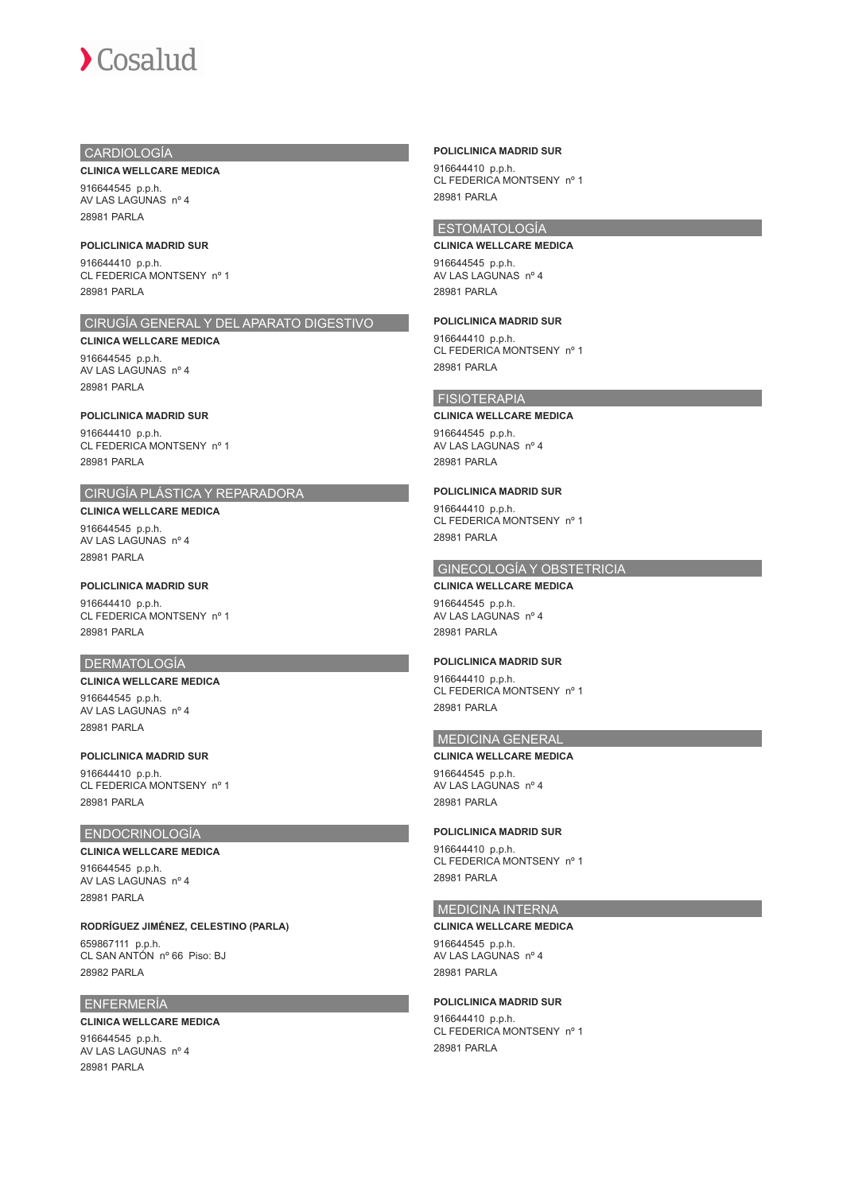## CARDIOLOGÍA

#### **CLINICA WELLCARE MEDICA**

916644545 p.p.h. AV LAS LAGUNAS nº 4 28981 PARLA

#### **POLICLINICA MADRID SUR**

916644410 p.p.h. CL FEDERICA MONTSENY nº 1 28981 PARLA

## CIRUGÍA GENERAL Y DEL APARATO DIGESTIVO

#### **CLINICA WELLCARE MEDICA**

916644545 p.p.h. AV LAS LAGUNAS nº 4 28981 PARLA

### **POLICLINICA MADRID SUR**

916644410 p.p.h. CL FEDERICA MONTSENY nº 1 28981 PARLA

## CIRUGÍA PLÁSTICA Y REPARADORA

**CLINICA WELLCARE MEDICA** 916644545 p.p.h. AV LAS LAGUNAS nº 4 28981 PARLA

#### **POLICLINICA MADRID SUR**

916644410 p.p.h. CL FEDERICA MONTSENY nº 1 28981 PARLA

#### DERMATOLOGÍA

## **CLINICA WELLCARE MEDICA**

916644545 p.p.h. AV LAS LAGUNAS nº 4 28981 PARLA

## **POLICLINICA MADRID SUR**

916644410 p.p.h. CL FEDERICA MONTSENY nº 1 28981 PARLA

## ENDOCRINOLOGÍA

#### **CLINICA WELLCARE MEDICA**

916644545 p.p.h. AV LAS LAGUNAS nº 4 28981 PARLA

**RODRÍGUEZ JIMÉNEZ, CELESTINO (PARLA)**

659867111 p.p.h. CL SAN ANTÓN nº 66 Piso: BJ 28982 PARLA

#### ENFERMERÍA

#### **CLINICA WELLCARE MEDICA**

916644545 p.p.h. AV LAS LAGUNAS nº 4 28981 PARLA

#### **POLICLINICA MADRID SUR**

916644410 p.p.h. CL FEDERICA MONTSENY nº 1 28981 PARLA

## ESTOMATOLOGÍA

**CLINICA WELLCARE MEDICA** 916644545 p.p.h. AV LAS LAGUNAS nº 4 28981 PARLA

## **POLICLINICA MADRID SUR**

916644410 p.p.h. CL FEDERICA MONTSENY nº 1 28981 PARLA

## FISIOTERAPIA

## **CLINICA WELLCARE MEDICA**

916644545 p.p.h. AV LAS LAGUNAS nº 4 28981 PARLA

## **POLICLINICA MADRID SUR**

916644410 p.p.h. CL FEDERICA MONTSENY nº 1 28981 PARLA

## GINECOLOGÍA Y OBSTETRICIA

**CLINICA WELLCARE MEDICA** 916644545 p.p.h. AV LAS LAGUNAS nº 4 28981 PARLA

#### **POLICLINICA MADRID SUR**

916644410 p.p.h. CL FEDERICA MONTSENY nº 1 28981 PARLA

## MEDICINA GENERAL

#### **CLINICA WELLCARE MEDICA**

916644545 p.p.h. AV LAS LAGUNAS nº 4 28981 PARLA

#### **POLICLINICA MADRID SUR**

916644410 p.p.h. CL FEDERICA MONTSENY nº 1 28981 PARLA

#### MEDICINA INTERNA

#### **CLINICA WELLCARE MEDICA**

916644545 p.p.h. AV LAS LAGUNAS nº 4 28981 PARLA

## **POLICLINICA MADRID SUR**

916644410 p.p.h. CL FEDERICA MONTSENY nº 1 28981 PARLA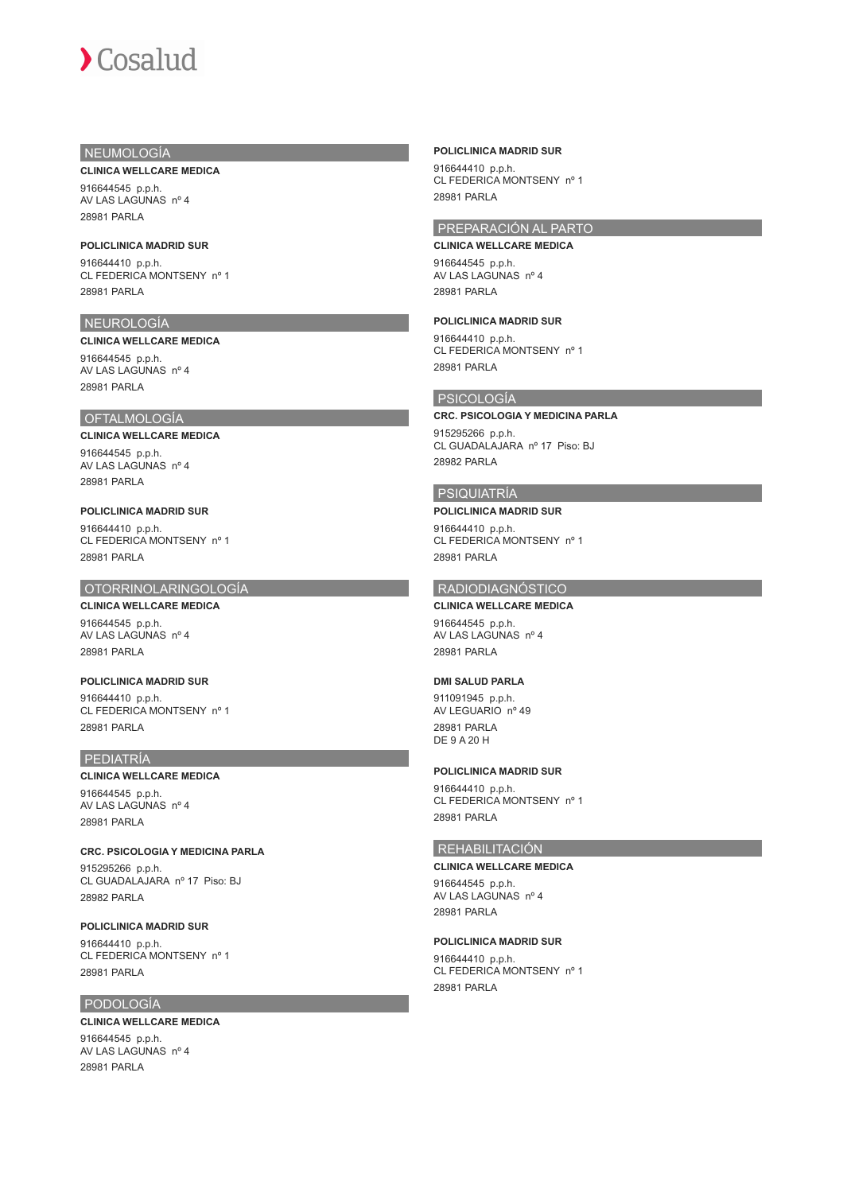## NEUMOLOGÍA

#### **CLINICA WELLCARE MEDICA**

916644545 p.p.h. AV LAS LAGUNAS nº 4 28981 PARLA

#### **POLICLINICA MADRID SUR**

916644410 p.p.h. CL FEDERICA MONTSENY nº 1 28981 PARLA

## NEUROLOGÍA

**CLINICA WELLCARE MEDICA** 916644545 p.p.h. AV LAS LAGUNAS nº 4

#### OFTALMOLOGÍA

28981 PARLA

## **CLINICA WELLCARE MEDICA**

916644545 p.p.h. AV LAS LAGUNAS nº 4 28981 PARLA

#### **POLICLINICA MADRID SUR** 916644410 p.p.h. CL FEDERICA MONTSENY nº 1 28981 PARLA

#### OTORRINOLARINGOLOGÍA

**CLINICA WELLCARE MEDICA** 916644545 p.p.h. AV LAS LAGUNAS nº 4 28981 PARLA

#### **POLICLINICA MADRID SUR** 916644410 p.p.h. CL FEDERICA MONTSENY nº 1 28981 PARLA

#### PEDIATRÍA

#### **CLINICA WELLCARE MEDICA**

916644545 p.p.h. AV LAS LAGUNAS nº 4 28981 PARLA

#### **CRC. PSICOLOGIA Y MEDICINA PARLA** 915295266 p.p.h. CL GUADALAJARA nº 17 Piso: BJ 28982 PARLA

#### **POLICLINICA MADRID SUR**

916644410 p.p.h. CL FEDERICA MONTSENY nº 1 28981 PARLA

## PODOLOGÍA

#### **CLINICA WELLCARE MEDICA** 916644545 p.p.h. AV LAS LAGUNAS nº 4 28981 PARLA

#### **POLICLINICA MADRID SUR**

916644410 p.p.h. CL FEDERICA MONTSENY nº 1 28981 PARLA

## PREPARACIÓN AL PARTO

**CLINICA WELLCARE MEDICA** 916644545 p.p.h. AV LAS LAGUNAS nº 4 28981 PARLA

## **POLICLINICA MADRID SUR**

916644410 p.p.h. CL FEDERICA MONTSENY nº 1 28981 PARLA

## PSICOLOGÍA

## **CRC. PSICOLOGIA Y MEDICINA PARLA**

915295266 p.p.h. CL GUADALAJARA nº 17 Piso: BJ 28982 PARLA

## PSIQUIATRÍA

#### **POLICLINICA MADRID SUR**

916644410 p.p.h. CL FEDERICA MONTSENY nº 1 28981 PARLA

#### RADIODIAGNÓSTICO

## **CLINICA WELLCARE MEDICA**

916644545 p.p.h. AV LAS LAGUNAS nº 4 28981 PARLA

#### **DMI SALUD PARLA**

911091945 p.p.h. AV LEGUARIO nº 49 28981 PARLA DE 9 A 20 H

#### **POLICLINICA MADRID SUR**

916644410 p.p.h. CL FEDERICA MONTSENY nº 1 28981 PARLA

## REHABILITACIÓN

## **CLINICA WELLCARE MEDICA**

916644545 p.p.h. AV LAS LAGUNAS nº 4 28981 PARLA

#### **POLICLINICA MADRID SUR**

916644410 p.p.h. CL FEDERICA MONTSENY nº 1 28981 PARLA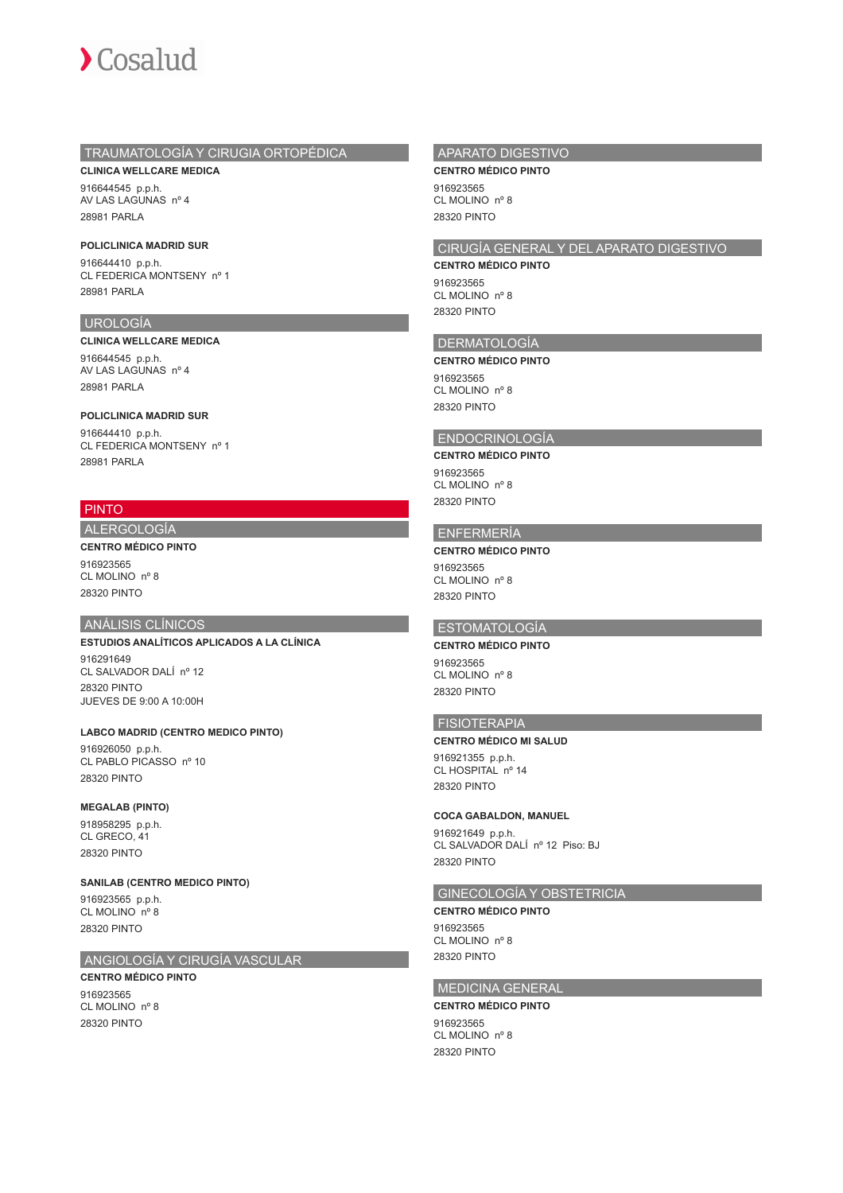

## TRAUMATOLOGÍA Y CIRUGIA ORTOPÉDICA

**CLINICA WELLCARE MEDICA** 916644545 p.p.h. AV LAS LAGUNAS nº 4 28981 PARLA

### **POLICLINICA MADRID SUR**

916644410 p.p.h. CL FEDERICA MONTSENY nº 1 28981 PARLA

#### UROLOGÍA

#### **CLINICA WELLCARE MEDICA**

916644545 p.p.h. AV LAS LAGUNAS nº 4 28981 PARLA

#### **POLICLINICA MADRID SUR**

916644410 p.p.h. CL FEDERICA MONTSENY nº 1 28981 PARLA

## PINTO

## ALERGOLOGÍA

**CENTRO MÉDICO PINTO** 916923565 CL MOLINO nº 8 28320 PINTO

#### ANÁLISIS CLÍNICOS

**ESTUDIOS ANALÍTICOS APLICADOS A LA CLÍNICA** 916291649 CL SALVADOR DALÍ nº 12 28320 PINTO JUEVES DE 9:00 A 10:00H

#### **LABCO MADRID (CENTRO MEDICO PINTO)**

916926050 p.p.h. CL PABLO PICASSO nº 10 28320 PINTO

#### **MEGALAB (PINTO)**

918958295 p.p.h. CL GRECO, 41 28320 PINTO

#### **SANILAB (CENTRO MEDICO PINTO)**

916923565 p.p.h. CL MOLINO nº 8 28320 PINTO

## ANGIOLOGÍA Y CIRUGÍA VASCULAR

#### **CENTRO MÉDICO PINTO** 916923565 CL MOLINO nº 8

28320 PINTO

#### APARATO DIGESTIVO

**CENTRO MÉDICO PINTO**

916923565 CL MOLINO nº 8 28320 PINTO

## CIRUGÍA GENERAL Y DEL APARATO DIGESTIVO

**CENTRO MÉDICO PINTO** 916923565 CL MOLINO nº 8

28320 PINTO

#### DERMATOLOGÍA

#### **CENTRO MÉDICO PINTO**

916923565 CL MOLINO nº 8 28320 PINTO

#### ENDOCRINOLOGÍA

**CENTRO MÉDICO PINTO** 916923565

#### CL MOLINO nº 8 28320 PINTO

#### ENFERMERÍA

**CENTRO MÉDICO PINTO** 916923565 CL MOLINO nº 8 28320 PINTO

## ESTOMATOLOGÍA

**CENTRO MÉDICO PINTO** 916923565 CL MOLINO nº 8 28320 PINTO

## FISIOTERAPIA

#### **CENTRO MÉDICO MI SALUD**

916921355 p.p.h. CL HOSPITAL nº 14 28320 PINTO

#### **COCA GABALDON, MANUEL**

916921649 p.p.h. CL SALVADOR DALÍ nº 12 Piso: BJ 28320 PINTO

## GINECOLOGÍA Y OBSTETRICIA

**CENTRO MÉDICO PINTO** 916923565 CL MOLINO nº 8 28320 PINTO

## MEDICINA GENERAL

#### **CENTRO MÉDICO PINTO**

916923565 CL MOLINO nº 8 28320 PINTO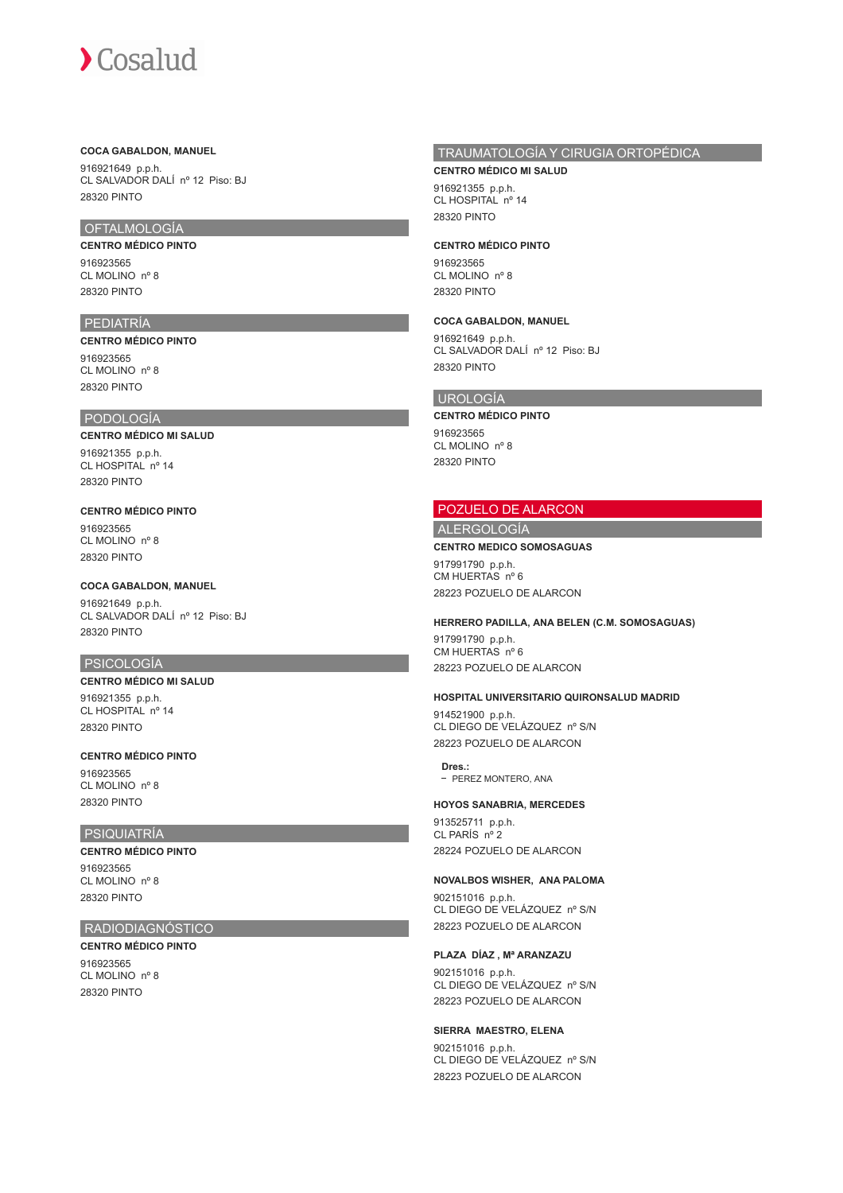#### **COCA GABALDON, MANUEL**

916921649 p.p.h. CL SALVADOR DALÍ nº 12 Piso: BJ 28320 PINTO

## OFTALMOLOGÍA

## **CENTRO MÉDICO PINTO**

916923565 CL MOLINO nº 8 28320 PINTO

## PEDIATRÍA

**CENTRO MÉDICO PINTO** 916923565 CL MOLINO nº 8 28320 PINTO

#### PODOLOGÍA

## **CENTRO MÉDICO MI SALUD** 916921355 p.p.h.

CL HOSPITAL nº 14 28320 PINTO

#### **CENTRO MÉDICO PINTO**

916923565 CL MOLINO nº 8 28320 PINTO

#### **COCA GABALDON, MANUEL**

916921649 p.p.h. CL SALVADOR DALÍ nº 12 Piso: BJ 28320 PINTO

#### PSICOLOGÍA

## **CENTRO MÉDICO MI SALUD**

916921355 p.p.h. CL HOSPITAL nº 14 28320 PINTO

#### **CENTRO MÉDICO PINTO**

916923565 CL MOLINO nº 8 28320 PINTO

## PSIQUIATRÍA

**CENTRO MÉDICO PINTO** 916923565 CL MOLINO nº 8 28320 PINTO

#### RADIODIAGNÓSTICO

#### **CENTRO MÉDICO PINTO**

916923565 CL MOLINO nº 8 28320 PINTO

## TRAUMATOLOGÍA Y CIRUGIA ORTOPÉDICA

**CENTRO MÉDICO MI SALUD** 916921355 p.p.h. CL HOSPITAL nº 14 28320 PINTO

#### **CENTRO MÉDICO PINTO**

916923565 CL MOLINO nº 8 28320 PINTO

#### **COCA GABALDON, MANUEL**

916921649 p.p.h. CL SALVADOR DALÍ nº 12 Piso: BJ 28320 PINTO

## UROLOGÍA

#### **CENTRO MÉDICO PINTO**

916923565 CL MOLINO nº 8 28320 PINTO

## POZUELO DE ALARCON

## ALERGOLOGÍA

#### **CENTRO MEDICO SOMOSAGUAS**

917991790 p.p.h. CM HUERTAS nº 6 28223 POZUELO DE ALARCON

#### **HERRERO PADILLA, ANA BELEN (C.M. SOMOSAGUAS)**

917991790 p.p.h. CM HUERTAS nº 6 28223 POZUELO DE ALARCON

#### **HOSPITAL UNIVERSITARIO QUIRONSALUD MADRID**

914521900 p.p.h. CL DIEGO DE VELÁZQUEZ nº S/N 28223 POZUELO DE ALARCON

#### **Dres.:**

- PEREZ MONTERO, ANA

#### **HOYOS SANABRIA, MERCEDES**

913525711 p.p.h. CL PARÍS nº 2 28224 POZUELO DE ALARCON

## **NOVALBOS WISHER, ANA PALOMA**

902151016 p.p.h. CL DIEGO DE VELÁZQUEZ nº S/N 28223 POZUELO DE ALARCON

#### **PLAZA DÍAZ , Mª ARANZAZU**

902151016 p.p.h. CL DIEGO DE VELÁZQUEZ nº S/N 28223 POZUELO DE ALARCON

## **SIERRA MAESTRO, ELENA**

902151016 p.p.h. CL DIEGO DE VELÁZQUEZ nº S/N 28223 POZUELO DE ALARCON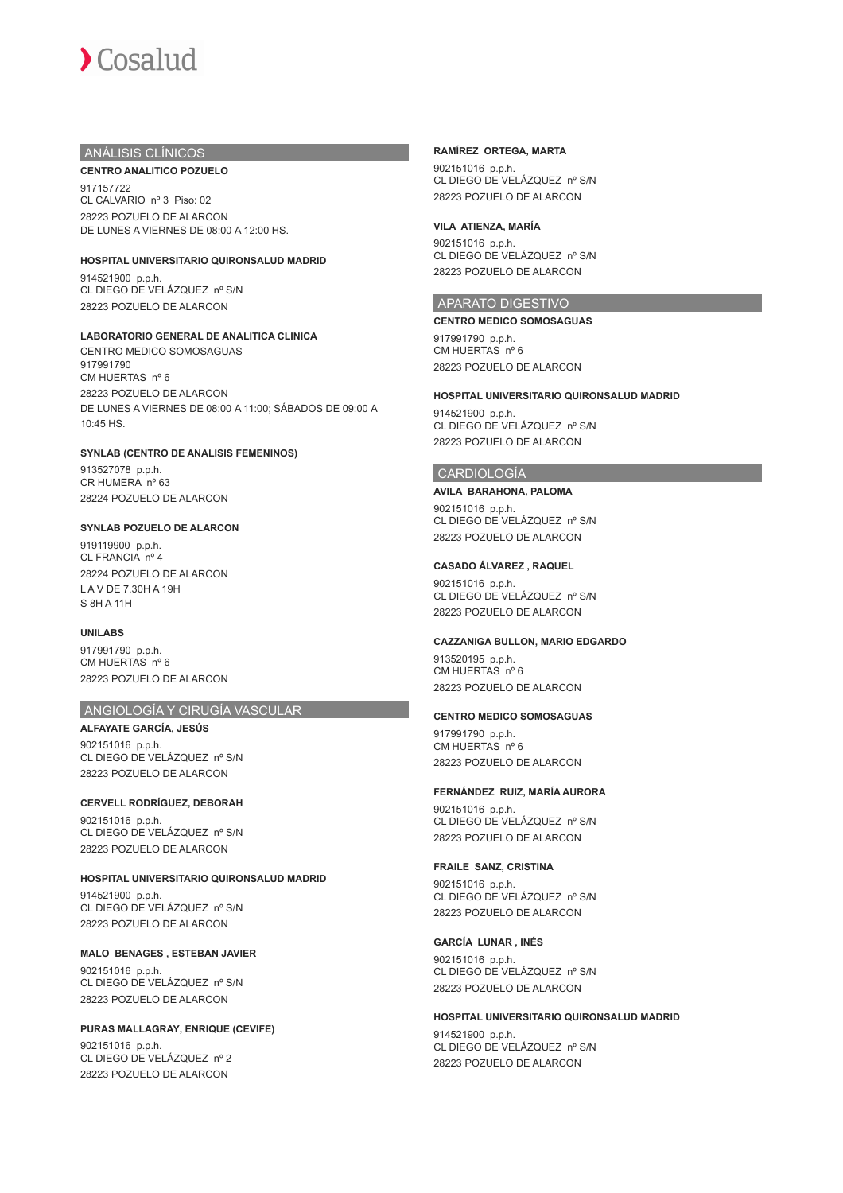## ANÁLISIS CLÍNICOS

## **CENTRO ANALITICO POZUELO**

917157722 CL CALVARIO nº 3 Piso: 02 28223 POZUELO DE ALARCON DE LUNES A VIERNES DE 08:00 A 12:00 HS.

#### **HOSPITAL UNIVERSITARIO QUIRONSALUD MADRID**

914521900 p.p.h. CL DIEGO DE VELÁZQUEZ nº S/N 28223 POZUELO DE ALARCON

## **LABORATORIO GENERAL DE ANALITICA CLINICA**

CENTRO MEDICO SOMOSAGUAS 917991790 CM HUERTAS nº 6 28223 POZUELO DE ALARCON DE LUNES A VIERNES DE 08:00 A 11:00; SÁBADOS DE 09:00 A 10:45 HS.

#### **SYNLAB (CENTRO DE ANALISIS FEMENINOS)**

913527078 p.p.h. CR HUMERA nº 63 28224 POZUELO DE ALARCON

#### **SYNLAB POZUELO DE ALARCON**

919119900 p.p.h. CL FRANCIA nº 4 28224 POZUELO DE ALARCON L A V DE 7.30H A 19H S 8H A 11H

#### **UNILABS**

917991790 p.p.h. CM HUERTAS nº 6 28223 POZUELO DE ALARCON

## ANGIOLOGÍA Y CIRUGÍA VASCULAR

**ALFAYATE GARCÍA, JESÚS** 902151016 p.p.h. CL DIEGO DE VELÁZQUEZ nº S/N 28223 POZUELO DE ALARCON

#### **CERVELL RODRÍGUEZ, DEBORAH**

902151016 p.p.h. CL DIEGO DE VELÁZQUEZ nº S/N 28223 POZUELO DE ALARCON

#### **HOSPITAL UNIVERSITARIO QUIRONSALUD MADRID**

914521900 p.p.h. CL DIEGO DE VELÁZQUEZ nº S/N 28223 POZUELO DE ALARCON

#### **MALO BENAGES , ESTEBAN JAVIER**

902151016 p.p.h. CL DIEGO DE VELÁZQUEZ nº S/N 28223 POZUELO DE ALARCON

#### **PURAS MALLAGRAY, ENRIQUE (CEVIFE)**

902151016 p.p.h. CL DIEGO DE VELÁZQUEZ nº 2 28223 POZUELO DE ALARCON

### **RAMÍREZ ORTEGA, MARTA**

902151016 p.p.h. CL DIEGO DE VELÁZQUEZ nº S/N 28223 POZUELO DE ALARCON

#### **VILA ATIENZA, MARÍA**

902151016 p.p.h. CL DIEGO DE VELÁZQUEZ nº S/N 28223 POZUELO DE ALARCON

## APARATO DIGESTIVO

**CENTRO MEDICO SOMOSAGUAS** 917991790 p.p.h. CM HUERTAS nº 6 28223 POZUELO DE ALARCON

#### **HOSPITAL UNIVERSITARIO QUIRONSALUD MADRID** 914521900 p.p.h. CL DIEGO DE VELÁZQUEZ nº S/N

28223 POZUELO DE ALARCON

## CARDIOLOGÍA

**AVILA BARAHONA, PALOMA** 902151016 p.p.h.

CL DIEGO DE VELÁZQUEZ nº S/N 28223 POZUELO DE ALARCON

#### **CASADO ÁLVAREZ , RAQUEL**

902151016 p.p.h. CL DIEGO DE VELÁZQUEZ nº S/N 28223 POZUELO DE ALARCON

#### **CAZZANIGA BULLON, MARIO EDGARDO**

913520195 p.p.h. CM HUERTAS nº 6 28223 POZUELO DE ALARCON

#### **CENTRO MEDICO SOMOSAGUAS**

917991790 p.p.h. CM HUERTAS nº 6 28223 POZUELO DE ALARCON

### **FERNÁNDEZ RUIZ, MARÍA AURORA**

902151016 p.p.h. CL DIEGO DE VELÁZQUEZ nº S/N 28223 POZUELO DE ALARCON

#### **FRAILE SANZ, CRISTINA**

902151016 p.p.h. CL DIEGO DE VELÁZQUEZ nº S/N 28223 POZUELO DE ALARCON

#### **GARCÍA LUNAR , INÉS**

902151016 p.p.h. CL DIEGO DE VELÁZQUEZ nº S/N 28223 POZUELO DE ALARCON

## **HOSPITAL UNIVERSITARIO QUIRONSALUD MADRID**

914521900 p.p.h. CL DIEGO DE VELÁZQUEZ nº S/N 28223 POZUELO DE ALARCON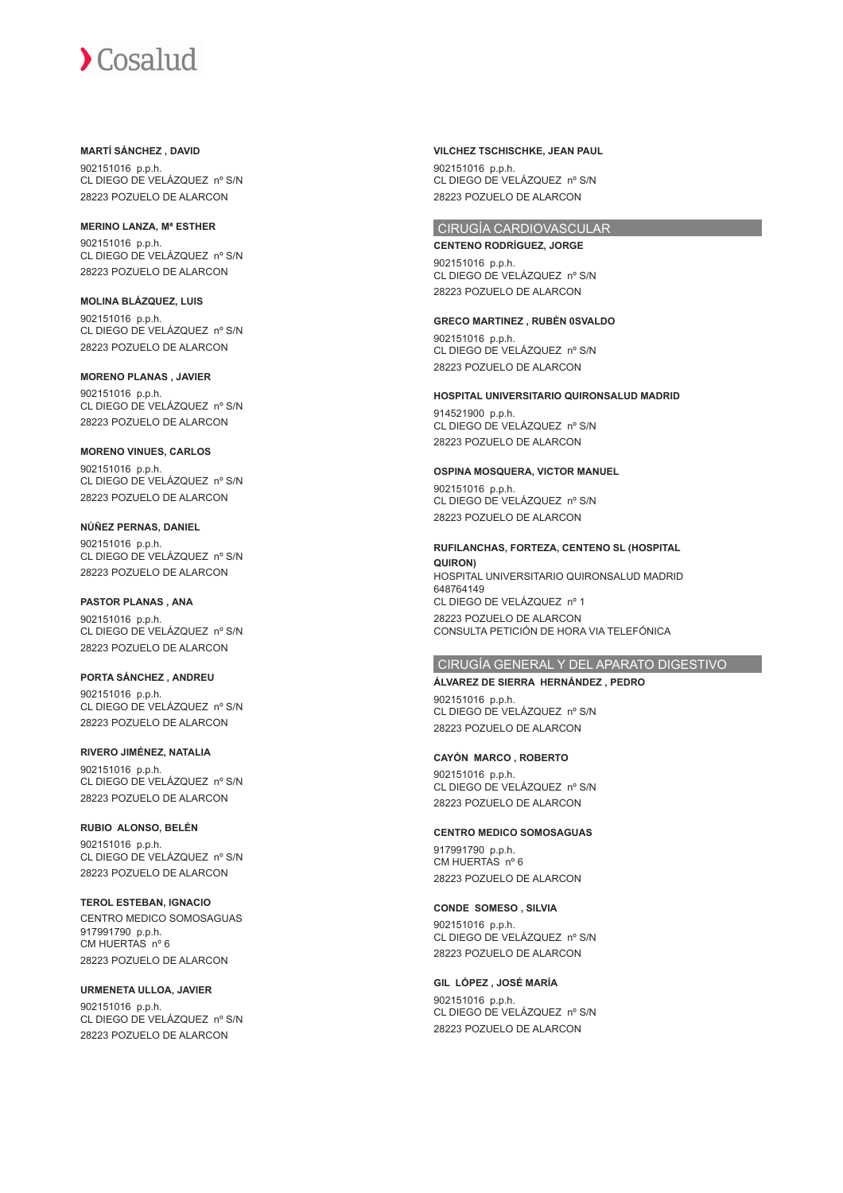#### **MARTÍ SÁNCHEZ , DAVID**

902151016 p.p.h. CL DIEGO DE VELÁZQUEZ nº S/N 28223 POZUELO DE ALARCON

### **MERINO LANZA, Mª ESTHER**

902151016 p.p.h. CL DIEGO DE VELÁZQUEZ nº S/N 28223 POZUELO DE ALARCON

## **MOLINA BLÁZQUEZ, LUIS** 902151016 p.p.h.

CL DIEGO DE VELÁZQUEZ nº S/N 28223 POZUELO DE ALARCON

#### **MORENO PLANAS , JAVIER**

902151016 p.p.h. CL DIEGO DE VELÁZQUEZ nº S/N 28223 POZUELO DE ALARCON

#### **MORENO VINUES, CARLOS**

902151016 p.p.h. CL DIEGO DE VELÁZQUEZ nº S/N 28223 POZUELO DE ALARCON

#### **NÚÑEZ PERNAS, DANIEL**

902151016 p.p.h. CL DIEGO DE VELÁZQUEZ nº S/N 28223 POZUELO DE ALARCON

## **PASTOR PLANAS , ANA**

902151016 p.p.h. CL DIEGO DE VELÁZQUEZ nº S/N 28223 POZUELO DE ALARCON

### **PORTA SÁNCHEZ , ANDREU**

902151016 p.p.h. CL DIEGO DE VELÁZQUEZ nº S/N 28223 POZUELO DE ALARCON

#### **RIVERO JIMÉNEZ, NATALIA**

902151016 p.p.h. CL DIEGO DE VELÁZQUEZ nº S/N 28223 POZUELO DE ALARCON

## **RUBIO ALONSO, BELÉN**

902151016 p.p.h. CL DIEGO DE VELÁZQUEZ nº S/N 28223 POZUELO DE ALARCON

## **TEROL ESTEBAN, IGNACIO**

CENTRO MEDICO SOMOSAGUAS 917991790 p.p.h. CM HUERTAS nº 6 28223 POZUELO DE ALARCON

## **URMENETA ULLOA, JAVIER**

902151016 p.p.h. CL DIEGO DE VELÁZQUEZ nº S/N 28223 POZUELO DE ALARCON

#### **VILCHEZ TSCHISCHKE, JEAN PAUL**

902151016 p.p.h. CL DIEGO DE VELÁZQUEZ nº S/N 28223 POZUELO DE ALARCON

## CIRUGÍA CARDIOVASCULAR

**CENTENO RODRÍGUEZ, JORGE** 902151016 p.p.h. CL DIEGO DE VELÁZQUEZ nº S/N 28223 POZUELO DE ALARCON

## **GRECO MARTINEZ , RUBÉN 0SVALDO** 902151016 p.p.h.

CL DIEGO DE VELÁZQUEZ nº S/N 28223 POZUELO DE ALARCON

## **HOSPITAL UNIVERSITARIO QUIRONSALUD MADRID**

914521900 p.p.h. CL DIEGO DE VELÁZQUEZ nº S/N 28223 POZUELO DE ALARCON

#### **OSPINA MOSQUERA, VICTOR MANUEL**

902151016 p.p.h. CL DIEGO DE VELÁZQUEZ nº S/N 28223 POZUELO DE ALARCON

## **RUFILANCHAS, FORTEZA, CENTENO SL (HOSPITAL**

**QUIRON)** HOSPITAL UNIVERSITARIO QUIRONSALUD MADRID 648764149<br>CL DIEGO DE VELÁZQUEZ nº 1 28223 POZUELO DE ALARCON CONSULTA PETICIÓN DE HORA VIA TELEFÓNICA

## CIRUGÍA GENERAL Y DEL APARATO DIGESTIVO

#### **ÁLVAREZ DE SIERRA HERNÁNDEZ , PEDRO**

902151016 p.p.h. CL DIEGO DE VELÁZQUEZ nº S/N 28223 POZUELO DE ALARCON

### **CAYÓN MARCO , ROBERTO**

902151016 p.p.h. CL DIEGO DE VELÁZQUEZ nº S/N 28223 POZUELO DE ALARCON

#### **CENTRO MEDICO SOMOSAGUAS**

917991790 p.p.h. CM HUERTAS nº 6 28223 POZUELO DE ALARCON

#### **CONDE SOMESO , SILVIA**

902151016 p.p.h. CL DIEGO DE VELÁZQUEZ nº S/N 28223 POZUELO DE ALARCON

## **GIL LÓPEZ , JOSÉ MARÍA**

902151016 p.p.h. CL DIEGO DE VELÁZQUEZ nº S/N 28223 POZUELO DE ALARCON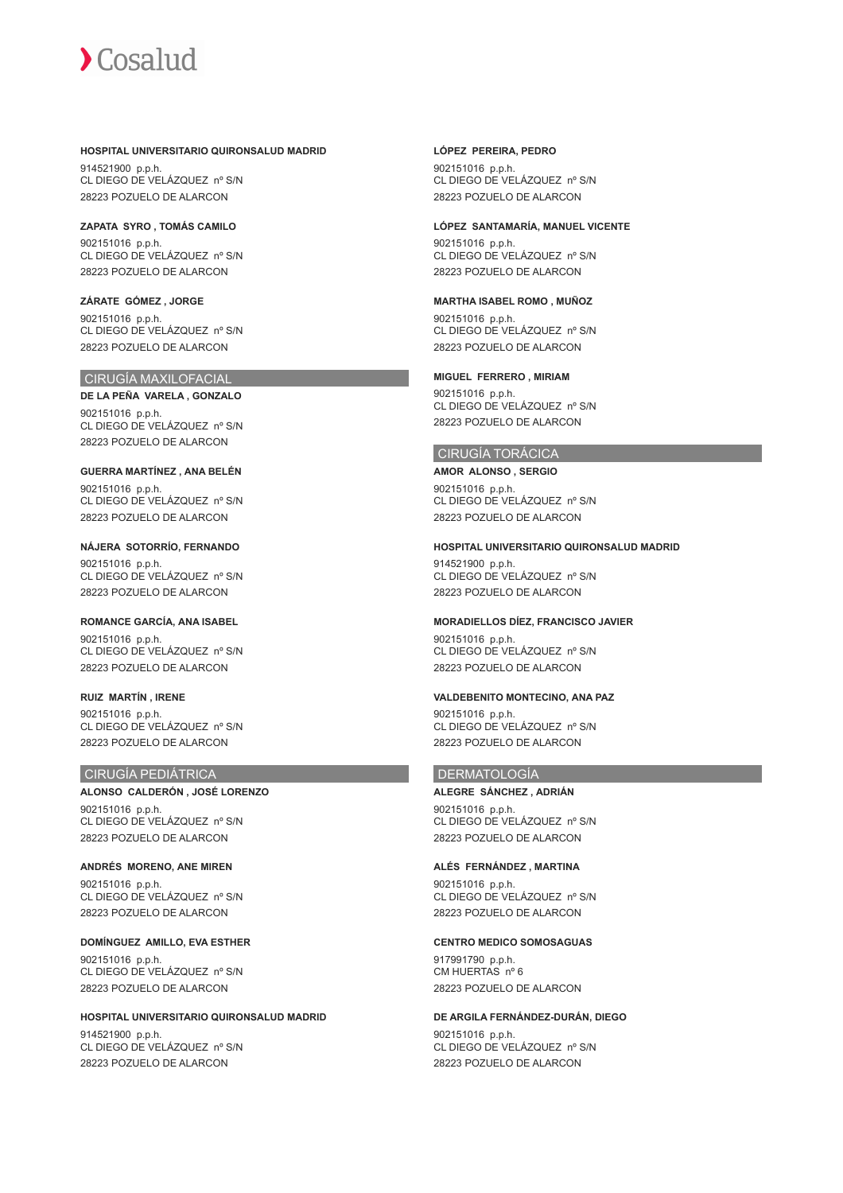#### **HOSPITAL UNIVERSITARIO QUIRONSALUD MADRID**

914521900 p.p.h. CL DIEGO DE VELÁZQUEZ nº S/N 28223 POZUELO DE ALARCON

**ZAPATA SYRO , TOMÁS CAMILO** 902151016 p.p.h. CL DIEGO DE VELÁZQUEZ nº S/N 28223 POZUELO DE ALARCON

**ZÁRATE GÓMEZ , JORGE** 902151016 p.p.h. CL DIEGO DE VELÁZQUEZ nº S/N 28223 POZUELO DE ALARCON

## CIRUGÍA MAXILOFACIAL

**DE LA PEÑA VARELA , GONZALO** 902151016 p.p.h. CL DIEGO DE VELÁZQUEZ nº S/N 28223 POZUELO DE ALARCON

**GUERRA MARTÍNEZ , ANA BELÉN** 902151016 p.p.h. CL DIEGO DE VELÁZQUEZ nº S/N 28223 POZUELO DE ALARCON

**NÁJERA SOTORRÍO, FERNANDO** 902151016 p.p.h. CL DIEGO DE VELÁZQUEZ nº S/N 28223 POZUELO DE ALARCON

**ROMANCE GARCÍA, ANA ISABEL** 902151016 p.p.h. CL DIEGO DE VELÁZQUEZ nº S/N 28223 POZUELO DE ALARCON

**RUIZ MARTÍN , IRENE** 902151016 p.p.h. CL DIEGO DE VELÁZQUEZ nº S/N 28223 POZUELO DE ALARCON

#### CIRUGÍA PEDIÁTRICA

**ALONSO CALDERÓN , JOSÉ LORENZO** 902151016 p.p.h. CL DIEGO DE VELÁZQUEZ nº S/N 28223 POZUELO DE ALARCON

**ANDRÉS MORENO, ANE MIREN** 902151016 p.p.h. CL DIEGO DE VELÁZQUEZ nº S/N 28223 POZUELO DE ALARCON

**DOMÍNGUEZ AMILLO, EVA ESTHER** 902151016 p.p.h. CL DIEGO DE VELÁZQUEZ nº S/N 28223 POZUELO DE ALARCON

**HOSPITAL UNIVERSITARIO QUIRONSALUD MADRID** 914521900 p.p.h. CL DIEGO DE VELÁZQUEZ nº S/N 28223 POZUELO DE ALARCON

#### **LÓPEZ PEREIRA, PEDRO**

902151016 p.p.h. CL DIEGO DE VELÁZQUEZ nº S/N 28223 POZUELO DE ALARCON

#### **LÓPEZ SANTAMARÍA, MANUEL VICENTE**

902151016 p.p.h. CL DIEGO DE VELÁZQUEZ nº S/N 28223 POZUELO DE ALARCON

#### **MARTHA ISABEL ROMO , MUÑOZ**

902151016 p.p.h. CL DIEGO DE VELÁZQUEZ nº S/N 28223 POZUELO DE ALARCON

#### **MIGUEL FERRERO , MIRIAM**

902151016 p.p.h. CL DIEGO DE VELÁZQUEZ nº S/N 28223 POZUELO DE ALARCON

#### CIRUGÍA TORÁCICA

**AMOR ALONSO , SERGIO** 902151016 p.p.h. CL DIEGO DE VELÁZQUEZ nº S/N 28223 POZUELO DE ALARCON

#### **HOSPITAL UNIVERSITARIO QUIRONSALUD MADRID**

914521900 p.p.h. CL DIEGO DE VELÁZQUEZ nº S/N 28223 POZUELO DE ALARCON

#### **MORADIELLOS DÍEZ, FRANCISCO JAVIER**

902151016 p.p.h. CL DIEGO DE VELÁZQUEZ nº S/N 28223 POZUELO DE ALARCON

## **VALDEBENITO MONTECINO, ANA PAZ**

902151016 p.p.h. CL DIEGO DE VELÁZQUEZ nº S/N 28223 POZUELO DE ALARCON

#### DERMATOLOGÍA

**ALEGRE SÁNCHEZ , ADRIÁN** 902151016 p.p.h. CL DIEGO DE VELÁZQUEZ nº S/N 28223 POZUELO DE ALARCON

#### **ALÉS FERNÁNDEZ , MARTINA**

902151016 p.p.h. CL DIEGO DE VELÁZQUEZ nº S/N 28223 POZUELO DE ALARCON

#### **CENTRO MEDICO SOMOSAGUAS**

917991790 p.p.h. CM HUERTAS nº 6 28223 POZUELO DE ALARCON

#### **DE ARGILA FERNÁNDEZ-DURÁN, DIEGO** 902151016 p.p.h. CL DIEGO DE VELÁZQUEZ nº S/N 28223 POZUELO DE ALARCON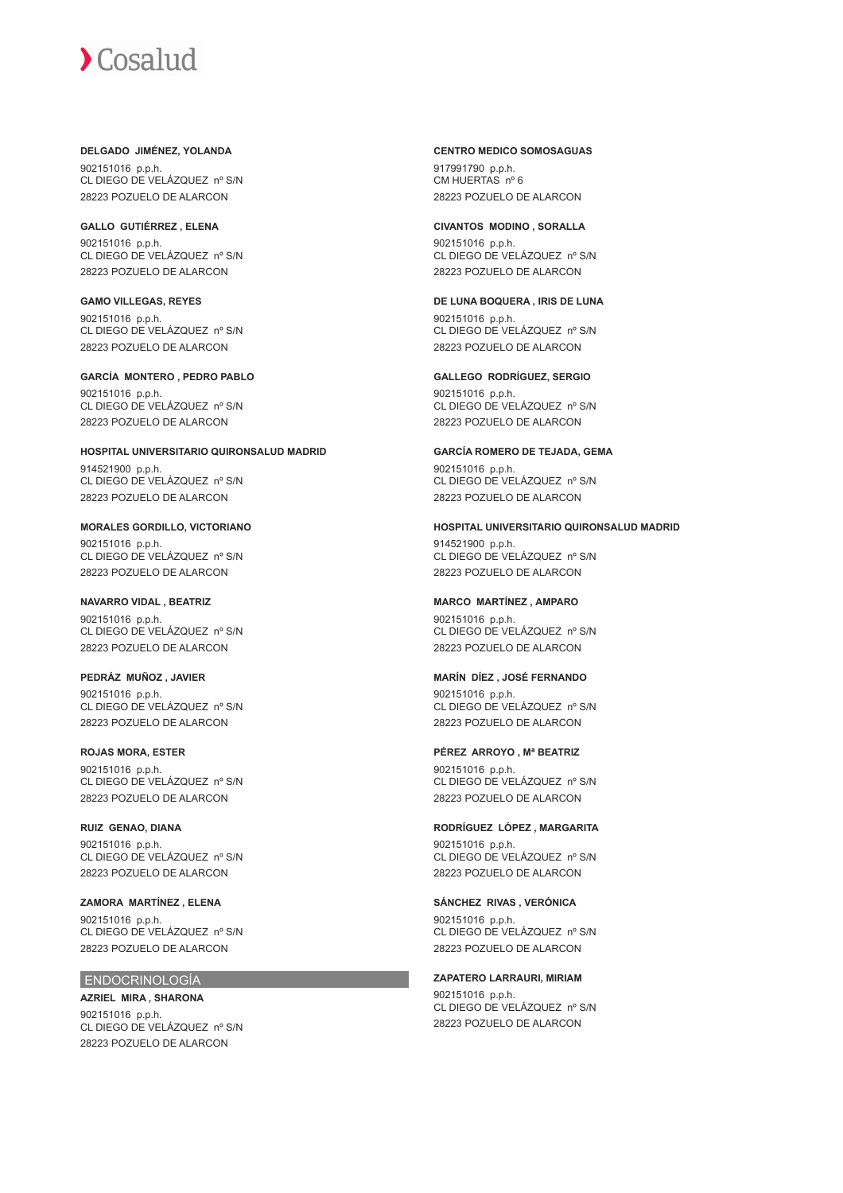#### **DELGADO JIMÉNEZ, YOLANDA**

902151016 p.p.h. CL DIEGO DE VELÁZQUEZ nº S/N 28223 POZUELO DE ALARCON

## **GALLO GUTIÉRREZ , ELENA**

902151016 p.p.h. CL DIEGO DE VELÁZQUEZ nº S/N 28223 POZUELO DE ALARCON

## **GAMO VILLEGAS, REYES**

902151016 p.p.h. CL DIEGO DE VELÁZQUEZ nº S/N 28223 POZUELO DE ALARCON

## **GARCÍA MONTERO , PEDRO PABLO**

902151016 p.p.h. CL DIEGO DE VELÁZQUEZ nº S/N 28223 POZUELO DE ALARCON

## **HOSPITAL UNIVERSITARIO QUIRONSALUD MADRID**

914521900 p.p.h. CL DIEGO DE VELÁZQUEZ nº S/N 28223 POZUELO DE ALARCON

## **MORALES GORDILLO, VICTORIANO**

902151016 p.p.h. CL DIEGO DE VELÁZQUEZ nº S/N 28223 POZUELO DE ALARCON

## **NAVARRO VIDAL , BEATRIZ**

902151016 p.p.h. CL DIEGO DE VELÁZQUEZ nº S/N 28223 POZUELO DE ALARCON

### **PEDRÁZ MUÑOZ , JAVIER**

902151016 p.p.h. CL DIEGO DE VELÁZQUEZ nº S/N 28223 POZUELO DE ALARCON

#### **ROJAS MORA, ESTER**

902151016 p.p.h. CL DIEGO DE VELÁZQUEZ nº S/N 28223 POZUELO DE ALARCON

## **RUIZ GENAO, DIANA**

902151016 p.p.h. CL DIEGO DE VELÁZQUEZ nº S/N 28223 POZUELO DE ALARCON

#### **ZAMORA MARTÍNEZ , ELENA** 902151016 p.p.h. CL DIEGO DE VELÁZQUEZ nº S/N 28223 POZUELO DE ALARCON

## ENDOCRINOLOGÍA

## **AZRIEL MIRA , SHARONA** 902151016 p.p.h.

CL DIEGO DE VELÁZQUEZ nº S/N 28223 POZUELO DE ALARCON

#### **CENTRO MEDICO SOMOSAGUAS**

917991790 p.p.h. CM HUERTAS nº 6 28223 POZUELO DE ALARCON

#### **CIVANTOS MODINO , SORALLA**

902151016 p.p.h. CL DIEGO DE VELÁZQUEZ nº S/N 28223 POZUELO DE ALARCON

## **DE LUNA BOQUERA , IRIS DE LUNA**

902151016 p.p.h. CL DIEGO DE VELÁZQUEZ nº S/N 28223 POZUELO DE ALARCON

## **GALLEGO RODRÍGUEZ, SERGIO**

902151016 p.p.h. CL DIEGO DE VELÁZQUEZ nº S/N 28223 POZUELO DE ALARCON

#### **GARCÍA ROMERO DE TEJADA, GEMA**

902151016 p.p.h. CL DIEGO DE VELÁZQUEZ nº S/N 28223 POZUELO DE ALARCON

#### **HOSPITAL UNIVERSITARIO QUIRONSALUD MADRID**

914521900 p.p.h. CL DIEGO DE VELÁZQUEZ nº S/N 28223 POZUELO DE ALARCON

## **MARCO MARTÍNEZ , AMPARO**

902151016 p.p.h. CL DIEGO DE VELÁZQUEZ nº S/N 28223 POZUELO DE ALARCON

### **MARÍN DÍEZ , JOSÉ FERNANDO**

902151016 p.p.h. CL DIEGO DE VELÁZQUEZ nº S/N 28223 POZUELO DE ALARCON

#### **PÉREZ ARROYO , Mª BEATRIZ**

902151016 p.p.h. CL DIEGO DE VELÁZQUEZ nº S/N 28223 POZUELO DE ALARCON

## **RODRÍGUEZ LÓPEZ , MARGARITA**

902151016 p.p.h. CL DIEGO DE VELÁZQUEZ nº S/N 28223 POZUELO DE ALARCON

#### **SÁNCHEZ RIVAS , VERÓNICA**

902151016 p.p.h. CL DIEGO DE VELÁZQUEZ nº S/N 28223 POZUELO DE ALARCON

#### **ZAPATERO LARRAURI, MIRIAM**

902151016 p.p.h. CL DIEGO DE VELÁZQUEZ nº S/N 28223 POZUELO DE ALARCON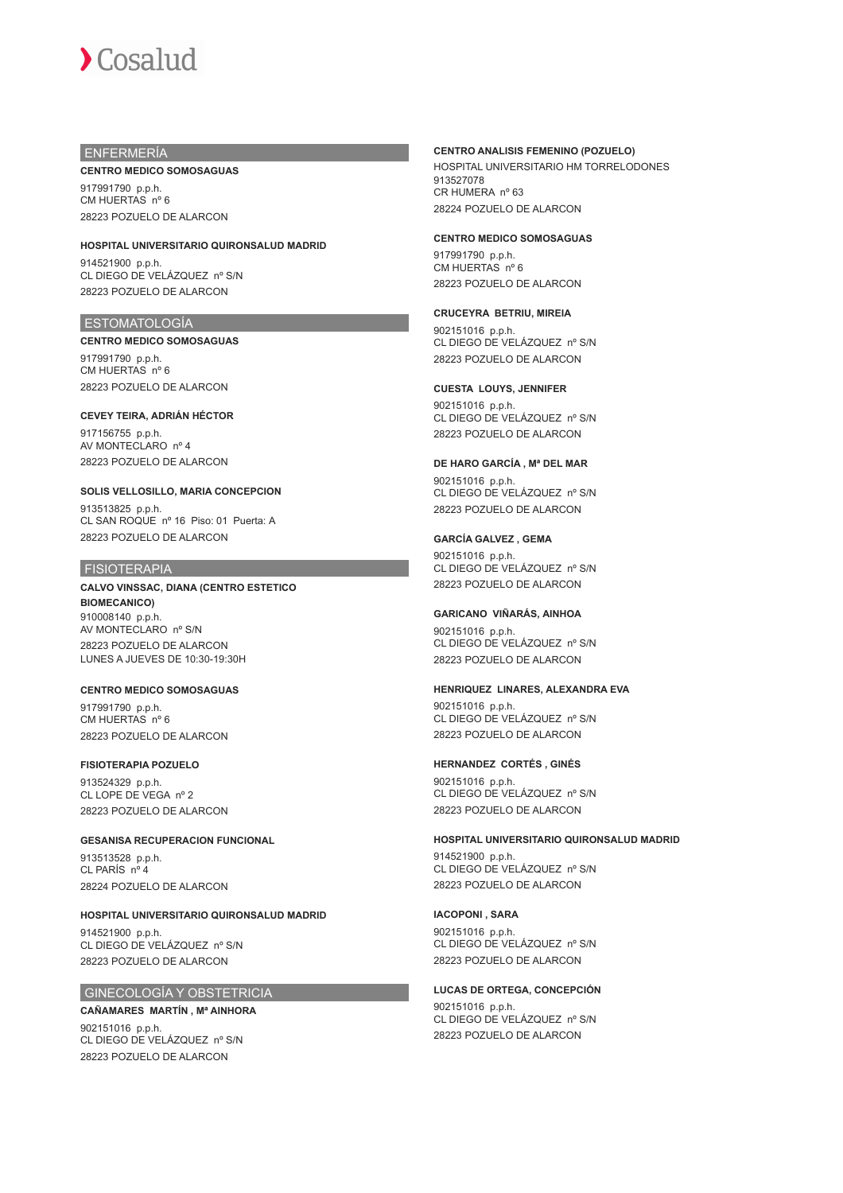## ENFERMERÍA

#### **CENTRO MEDICO SOMOSAGUAS**

917991790 p.p.h. CM HUERTAS nº 6 28223 POZUELO DE ALARCON

**HOSPITAL UNIVERSITARIO QUIRONSALUD MADRID** 914521900 p.p.h. CL DIEGO DE VELÁZQUEZ nº S/N 28223 POZUELO DE ALARCON

#### ESTOMATOLOGÍA

**CENTRO MEDICO SOMOSAGUAS** 917991790 p.p.h. CM HUERTAS nº 6 28223 POZUELO DE ALARCON

## **CEVEY TEIRA, ADRIÁN HÉCTOR** 917156755 p.p.h.

AV MONTECLARO nº 4 28223 POZUELO DE ALARCON

### **SOLIS VELLOSILLO, MARIA CONCEPCION**

913513825 p.p.h. CL SAN ROQUE nº 16 Piso: 01 Puerta: A 28223 POZUELO DE ALARCON

## FISIOTERAPIA

**CALVO VINSSAC, DIANA (CENTRO ESTETICO BIOMECANICO)** 910008140 p.p.h. AV MONTECLARO nº S/N 28223 POZUELO DE ALARCON LUNES A JUEVES DE 10:30-19:30H

#### **CENTRO MEDICO SOMOSAGUAS** 917991790 p.p.h. CM HUERTAS nº 6 28223 POZUELO DE ALARCON

#### **FISIOTERAPIA POZUELO** 913524329 p.p.h. CL LOPE DE VEGA nº 2 28223 POZUELO DE ALARCON

#### **GESANISA RECUPERACION FUNCIONAL**

913513528 p.p.h. CL PARÍS nº 4 28224 POZUELO DE ALARCON

## **HOSPITAL UNIVERSITARIO QUIRONSALUD MADRID**

914521900 p.p.h. CL DIEGO DE VELÁZQUEZ nº S/N 28223 POZUELO DE ALARCON

#### GINECOLOGÍA Y OBSTETRICIA

#### **CAÑAMARES MARTÍN , Mª AINHORA**

902151016 p.p.h. CL DIEGO DE VELÁZQUEZ nº S/N 28223 POZUELO DE ALARCON

#### **CENTRO ANALISIS FEMENINO (POZUELO)**

HOSPITAL UNIVERSITARIO HM TORRELODONES 913527078 CR HUMERA nº 63 28224 POZUELO DE ALARCON

#### **CENTRO MEDICO SOMOSAGUAS**

917991790 p.p.h. CM HUERTAS nº 6 28223 POZUELO DE ALARCON

#### **CRUCEYRA BETRIU, MIREIA**

902151016 p.p.h. CL DIEGO DE VELÁZQUEZ nº S/N 28223 POZUELO DE ALARCON

#### **CUESTA LOUYS, JENNIFER**

902151016 p.p.h. CL DIEGO DE VELÁZQUEZ nº S/N 28223 POZUELO DE ALARCON

#### **DE HARO GARCÍA , Mª DEL MAR**

902151016 p.p.h. CL DIEGO DE VELÁZQUEZ nº S/N 28223 POZUELO DE ALARCON

### **GARCÍA GALVEZ , GEMA**

902151016 p.p.h. CL DIEGO DE VELÁZQUEZ nº S/N 28223 POZUELO DE ALARCON

#### **GARICANO VIÑARÁS, AINHOA**

902151016 p.p.h. CL DIEGO DE VELÁZQUEZ nº S/N 28223 POZUELO DE ALARCON

#### **HENRIQUEZ LINARES, ALEXANDRA EVA**

902151016 p.p.h. CL DIEGO DE VELÁZQUEZ nº S/N 28223 POZUELO DE ALARCON

#### **HERNANDEZ CORTÉS , GINÉS**

902151016 p.p.h. CL DIEGO DE VELÁZQUEZ nº S/N 28223 POZUELO DE ALARCON

#### **HOSPITAL UNIVERSITARIO QUIRONSALUD MADRID**

914521900 p.p.h. CL DIEGO DE VELÁZQUEZ nº S/N 28223 POZUELO DE ALARCON

#### **IACOPONI , SARA**

902151016 p.p.h. CL DIEGO DE VELÁZQUEZ nº S/N 28223 POZUELO DE ALARCON

#### **LUCAS DE ORTEGA, CONCEPCIÓN**

902151016 p.p.h. CL DIEGO DE VELÁZQUEZ nº S/N 28223 POZUELO DE ALARCON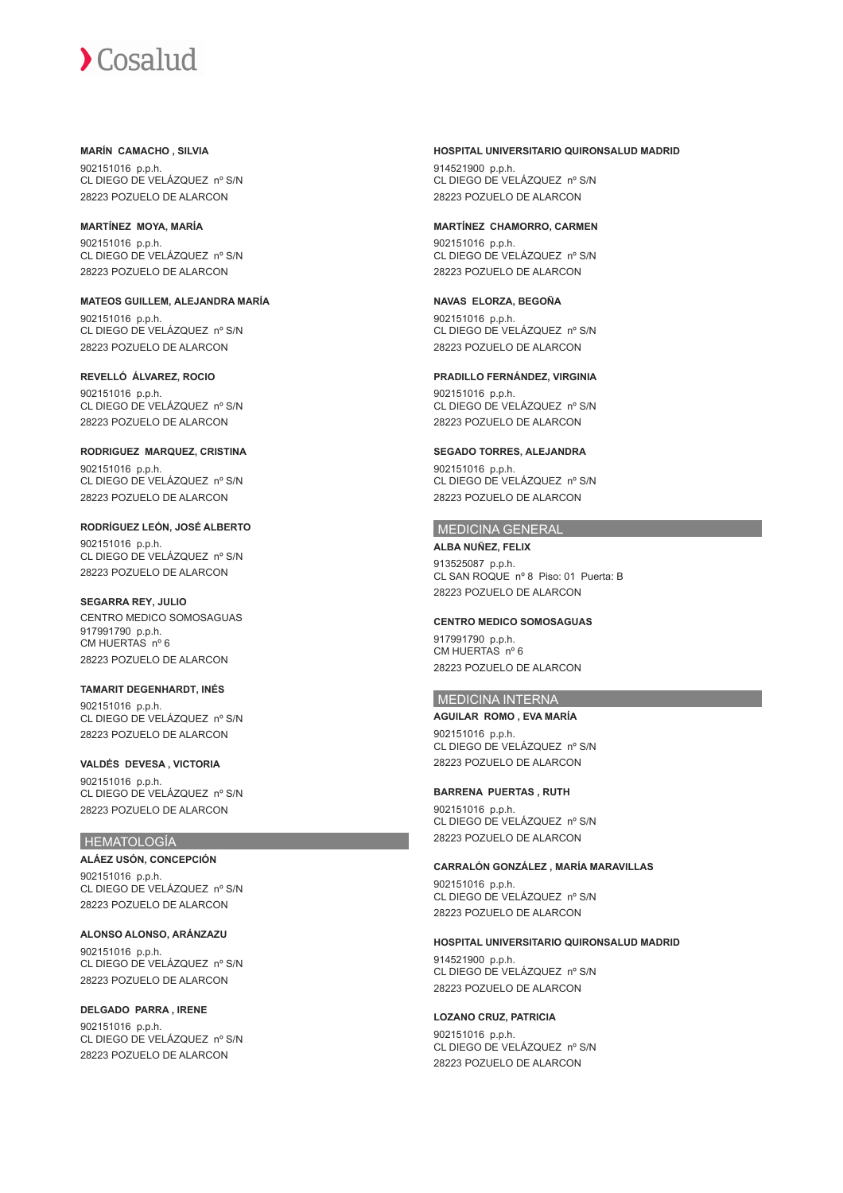**MARÍN CAMACHO , SILVIA**

902151016 p.p.h. CL DIEGO DE VELÁZQUEZ nº S/N 28223 POZUELO DE ALARCON

**MARTÍNEZ MOYA, MARÍA** 902151016 p.p.h. CL DIEGO DE VELÁZQUEZ nº S/N 28223 POZUELO DE ALARCON

**MATEOS GUILLEM, ALEJANDRA MARÍA** 902151016 p.p.h. CL DIEGO DE VELÁZQUEZ nº S/N 28223 POZUELO DE ALARCON

**REVELLÓ ÁLVAREZ, ROCIO** 902151016 p.p.h. CL DIEGO DE VELÁZQUEZ nº S/N 28223 POZUELO DE ALARCON

**RODRIGUEZ MARQUEZ, CRISTINA** 902151016 p.p.h. CL DIEGO DE VELÁZQUEZ nº S/N 28223 POZUELO DE ALARCON

**RODRÍGUEZ LEÓN, JOSÉ ALBERTO** 902151016 p.p.h. CL DIEGO DE VELÁZQUEZ nº S/N 28223 POZUELO DE ALARCON

**SEGARRA REY, JULIO** CENTRO MEDICO SOMOSAGUAS 917991790 p.p.h. CM HUERTAS nº 6 28223 POZUELO DE ALARCON

**TAMARIT DEGENHARDT, INÉS** 902151016 p.p.h. CL DIEGO DE VELÁZQUEZ nº S/N 28223 POZUELO DE ALARCON

**VALDÉS DEVESA , VICTORIA** 902151016 p.p.h. CL DIEGO DE VELÁZQUEZ nº S/N 28223 POZUELO DE ALARCON

## **HEMATOLOGÍA**

**ALÁEZ USÓN, CONCEPCIÓN** 902151016 p.p.h. CL DIEGO DE VELÁZQUEZ nº S/N 28223 POZUELO DE ALARCON

**ALONSO ALONSO, ARÁNZAZU** 902151016 p.p.h. CL DIEGO DE VELÁZQUEZ nº S/N 28223 POZUELO DE ALARCON

**DELGADO PARRA , IRENE** 902151016 p.p.h. CL DIEGO DE VELÁZQUEZ nº S/N 28223 POZUELO DE ALARCON

#### **HOSPITAL UNIVERSITARIO QUIRONSALUD MADRID**

914521900 p.p.h. CL DIEGO DE VELÁZQUEZ nº S/N 28223 POZUELO DE ALARCON

#### **MARTÍNEZ CHAMORRO, CARMEN**

902151016 p.p.h. CL DIEGO DE VELÁZQUEZ nº S/N 28223 POZUELO DE ALARCON

**NAVAS ELORZA, BEGOÑA** 902151016 p.p.h. CL DIEGO DE VELÁZQUEZ nº S/N 28223 POZUELO DE ALARCON

**PRADILLO FERNÁNDEZ, VIRGINIA**

902151016 p.p.h. CL DIEGO DE VELÁZQUEZ nº S/N 28223 POZUELO DE ALARCON

**SEGADO TORRES, ALEJANDRA** 902151016 p.p.h. CL DIEGO DE VELÁZQUEZ nº S/N 28223 POZUELO DE ALARCON

#### MEDICINA GENERAL

**ALBA NUÑEZ, FELIX** 913525087 p.p.h. CL SAN ROQUE nº 8 Piso: 01 Puerta: B 28223 POZUELO DE ALARCON

#### **CENTRO MEDICO SOMOSAGUAS**

917991790 p.p.h. CM HUERTAS nº 6 28223 POZUELO DE ALARCON

## MEDICINA INTERNA

**AGUILAR ROMO , EVA MARÍA** 902151016 p.p.h. CL DIEGO DE VELÁZQUEZ nº S/N 28223 POZUELO DE ALARCON

**BARRENA PUERTAS , RUTH** 902151016 p.p.h. CL DIEGO DE VELÁZQUEZ nº S/N 28223 POZUELO DE ALARCON

**CARRALÓN GONZÁLEZ , MARÍA MARAVILLAS** 902151016 p.p.h. CL DIEGO DE VELÁZQUEZ nº S/N 28223 POZUELO DE ALARCON

**HOSPITAL UNIVERSITARIO QUIRONSALUD MADRID** 914521900 p.p.h. CL DIEGO DE VELÁZQUEZ nº S/N 28223 POZUELO DE ALARCON

**LOZANO CRUZ, PATRICIA** 902151016 p.p.h. CL DIEGO DE VELÁZQUEZ nº S/N 28223 POZUELO DE ALARCON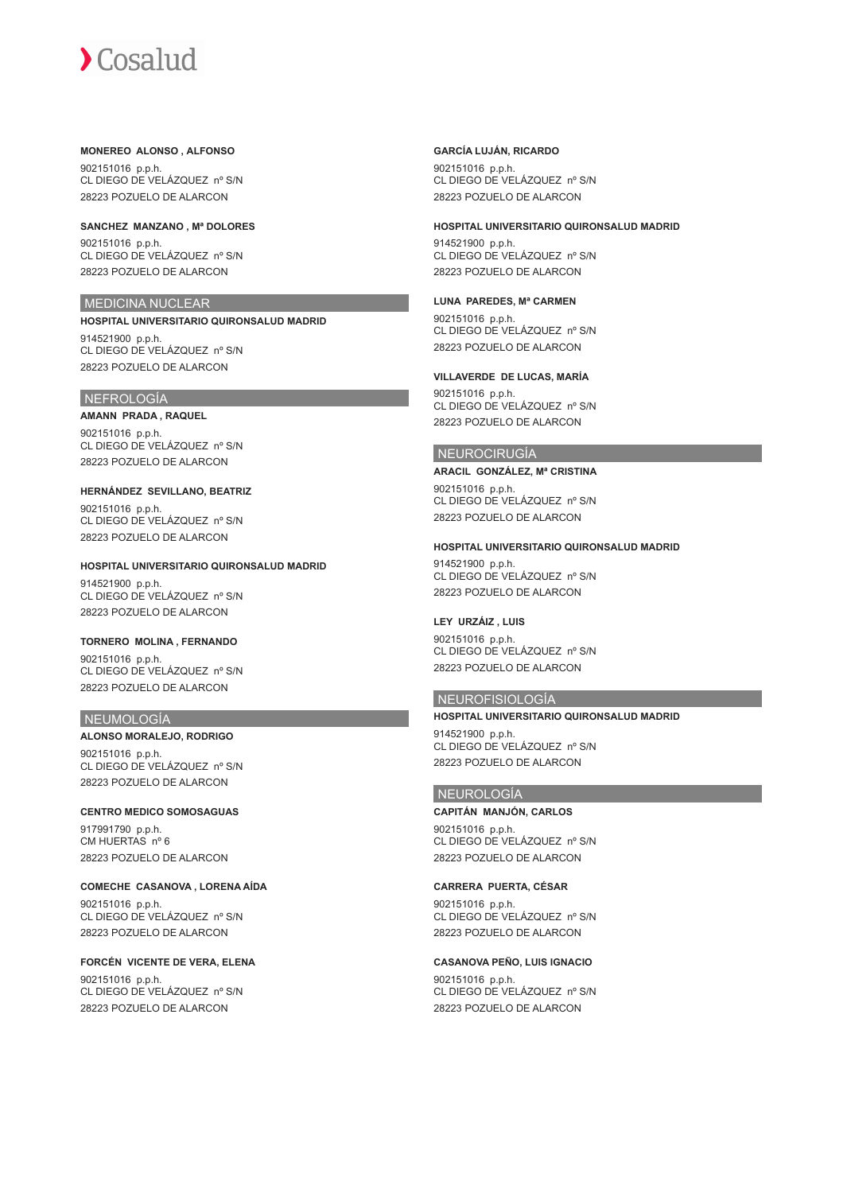#### **MONEREO ALONSO , ALFONSO**

902151016 p.p.h. CL DIEGO DE VELÁZQUEZ nº S/N 28223 POZUELO DE ALARCON

**SANCHEZ MANZANO , Mª DOLORES**

902151016 p.p.h. CL DIEGO DE VELÁZQUEZ nº S/N 28223 POZUELO DE ALARCON

## MEDICINA NUCLEAR

**HOSPITAL UNIVERSITARIO QUIRONSALUD MADRID** 914521900 p.p.h. CL DIEGO DE VELÁZQUEZ nº S/N 28223 POZUELO DE ALARCON

## NEFROLOGÍA

**AMANN PRADA , RAQUEL** 902151016 p.p.h. CL DIEGO DE VELÁZQUEZ nº S/N 28223 POZUELO DE ALARCON

**HERNÁNDEZ SEVILLANO, BEATRIZ** 902151016 p.p.h. CL DIEGO DE VELÁZQUEZ nº S/N 28223 POZUELO DE ALARCON

**HOSPITAL UNIVERSITARIO QUIRONSALUD MADRID** 914521900 p.p.h. CL DIEGO DE VELÁZQUEZ nº S/N 28223 POZUELO DE ALARCON

#### **TORNERO MOLINA , FERNANDO**

902151016 p.p.h. CL DIEGO DE VELÁZQUEZ nº S/N 28223 POZUELO DE ALARCON

#### NEUMOLOGÍA

**ALONSO MORALEJO, RODRIGO** 902151016 p.p.h. CL DIEGO DE VELÁZQUEZ nº S/N 28223 POZUELO DE ALARCON

## **CENTRO MEDICO SOMOSAGUAS**

917991790 p.p.h. CM HUERTAS nº 6 28223 POZUELO DE ALARCON

#### **COMECHE CASANOVA , LORENA AÍDA**

902151016 p.p.h. CL DIEGO DE VELÁZQUEZ nº S/N 28223 POZUELO DE ALARCON

#### **FORCÉN VICENTE DE VERA, ELENA** 902151016 p.p.h. CL DIEGO DE VELÁZQUEZ nº S/N 28223 POZUELO DE ALARCON

#### **GARCÍA LUJÁN, RICARDO**

902151016 p.p.h. CL DIEGO DE VELÁZQUEZ nº S/N 28223 POZUELO DE ALARCON

#### **HOSPITAL UNIVERSITARIO QUIRONSALUD MADRID**

914521900 p.p.h. CL DIEGO DE VELÁZQUEZ nº S/N 28223 POZUELO DE ALARCON

#### **LUNA PAREDES, Mª CARMEN**

902151016 p.p.h. CL DIEGO DE VELÁZQUEZ nº S/N 28223 POZUELO DE ALARCON

#### **VILLAVERDE DE LUCAS, MARÍA**

902151016 p.p.h. CL DIEGO DE VELÁZQUEZ nº S/N 28223 POZUELO DE ALARCON

#### NEUROCIRUGÍA

**ARACIL GONZÁLEZ, Mª CRISTINA** 902151016 p.p.h. CL DIEGO DE VELÁZQUEZ nº S/N 28223 POZUELO DE ALARCON

#### **HOSPITAL UNIVERSITARIO QUIRONSALUD MADRID**

914521900 p.p.h. CL DIEGO DE VELÁZQUEZ nº S/N 28223 POZUELO DE ALARCON

## **LEY URZÁIZ , LUIS**

902151016 p.p.h. CL DIEGO DE VELÁZQUEZ nº S/N 28223 POZUELO DE ALARCON

#### NEUROFISIOLOGÍA

**HOSPITAL UNIVERSITARIO QUIRONSALUD MADRID** 914521900 p.p.h. CL DIEGO DE VELÁZQUEZ nº S/N

## NEUROLOGÍA

**CAPITÁN MANJÓN, CARLOS** 902151016 p.p.h. CL DIEGO DE VELÁZQUEZ nº S/N 28223 POZUELO DE ALARCON

28223 POZUELO DE ALARCON

#### **CARRERA PUERTA, CÉSAR**

902151016 p.p.h. CL DIEGO DE VELÁZQUEZ nº S/N 28223 POZUELO DE ALARCON

#### **CASANOVA PEÑO, LUIS IGNACIO**

902151016 p.p.h. CL DIEGO DE VELÁZQUEZ nº S/N 28223 POZUELO DE ALARCON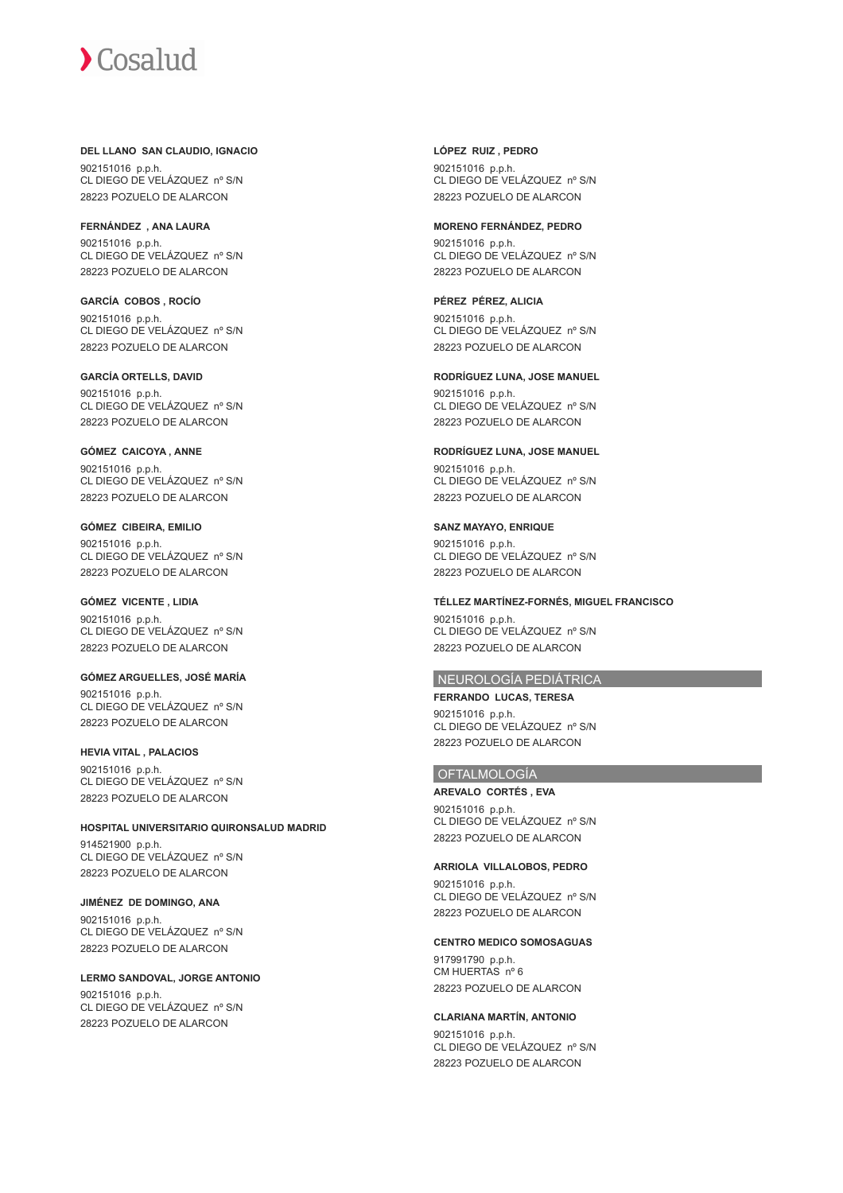## **DEL LLANO SAN CLAUDIO, IGNACIO**

902151016 p.p.h. CL DIEGO DE VELÁZQUEZ nº S/N 28223 POZUELO DE ALARCON

**FERNÁNDEZ , ANA LAURA** 902151016 p.p.h. CL DIEGO DE VELÁZQUEZ nº S/N 28223 POZUELO DE ALARCON

**GARCÍA COBOS , ROCÍO** 902151016 p.p.h. CL DIEGO DE VELÁZQUEZ nº S/N 28223 POZUELO DE ALARCON

**GARCÍA ORTELLS, DAVID** 902151016 p.p.h. CL DIEGO DE VELÁZQUEZ nº S/N 28223 POZUELO DE ALARCON

#### **GÓMEZ CAICOYA , ANNE** 902151016 p.p.h. CL DIEGO DE VELÁZQUEZ nº S/N 28223 POZUELO DE ALARCON

**GÓMEZ CIBEIRA, EMILIO**

902151016 p.p.h. CL DIEGO DE VELÁZQUEZ nº S/N 28223 POZUELO DE ALARCON

## **GÓMEZ VICENTE , LIDIA**

902151016 p.p.h. CL DIEGO DE VELÁZQUEZ nº S/N 28223 POZUELO DE ALARCON

**GÓMEZ ARGUELLES, JOSÉ MARÍA** 902151016 p.p.h. CL DIEGO DE VELÁZQUEZ nº S/N

28223 POZUELO DE ALARCON

## **HEVIA VITAL , PALACIOS**

902151016 p.p.h. CL DIEGO DE VELÁZQUEZ nº S/N 28223 POZUELO DE ALARCON

## **HOSPITAL UNIVERSITARIO QUIRONSALUD MADRID**

914521900 p.p.h. CL DIEGO DE VELÁZQUEZ nº S/N 28223 POZUELO DE ALARCON

#### **JIMÉNEZ DE DOMINGO, ANA**

902151016 p.p.h. CL DIEGO DE VELÁZQUEZ nº S/N 28223 POZUELO DE ALARCON

#### **LERMO SANDOVAL, JORGE ANTONIO**

902151016 p.p.h. CL DIEGO DE VELÁZQUEZ nº S/N 28223 POZUELO DE ALARCON

**LÓPEZ RUIZ , PEDRO** 902151016 p.p.h. CL DIEGO DE VELÁZQUEZ nº S/N 28223 POZUELO DE ALARCON

#### **MORENO FERNÁNDEZ, PEDRO**

902151016 p.p.h. CL DIEGO DE VELÁZQUEZ nº S/N 28223 POZUELO DE ALARCON

## **PÉREZ PÉREZ, ALICIA**

902151016 p.p.h. CL DIEGO DE VELÁZQUEZ nº S/N 28223 POZUELO DE ALARCON

#### **RODRÍGUEZ LUNA, JOSE MANUEL**

902151016 p.p.h. CL DIEGO DE VELÁZQUEZ nº S/N 28223 POZUELO DE ALARCON

#### **RODRÍGUEZ LUNA, JOSE MANUEL**

902151016 p.p.h. CL DIEGO DE VELÁZQUEZ nº S/N 28223 POZUELO DE ALARCON

#### **SANZ MAYAYO, ENRIQUE**

902151016 p.p.h. CL DIEGO DE VELÁZQUEZ nº S/N 28223 POZUELO DE ALARCON

#### **TÉLLEZ MARTÍNEZ-FORNÉS, MIGUEL FRANCISCO**

902151016 p.p.h. CL DIEGO DE VELÁZQUEZ nº S/N 28223 POZUELO DE ALARCON

#### NEUROLOGÍA PEDIÁTRICA

**FERRANDO LUCAS, TERESA** 902151016 p.p.h. CL DIEGO DE VELÁZQUEZ nº S/N 28223 POZUELO DE ALARCON

#### OFTALMOLOGÍA

**AREVALO CORTÉS , EVA** 902151016 p.p.h. CL DIEGO DE VELÁZQUEZ nº S/N 28223 POZUELO DE ALARCON

#### **ARRIOLA VILLALOBOS, PEDRO**

902151016 p.p.h. CL DIEGO DE VELÁZQUEZ nº S/N 28223 POZUELO DE ALARCON

#### **CENTRO MEDICO SOMOSAGUAS**

917991790 p.p.h. CM HUERTAS nº 6 28223 POZUELO DE ALARCON

#### **CLARIANA MARTÍN, ANTONIO**

902151016 p.p.h. CL DIEGO DE VELÁZQUEZ nº S/N 28223 POZUELO DE ALARCON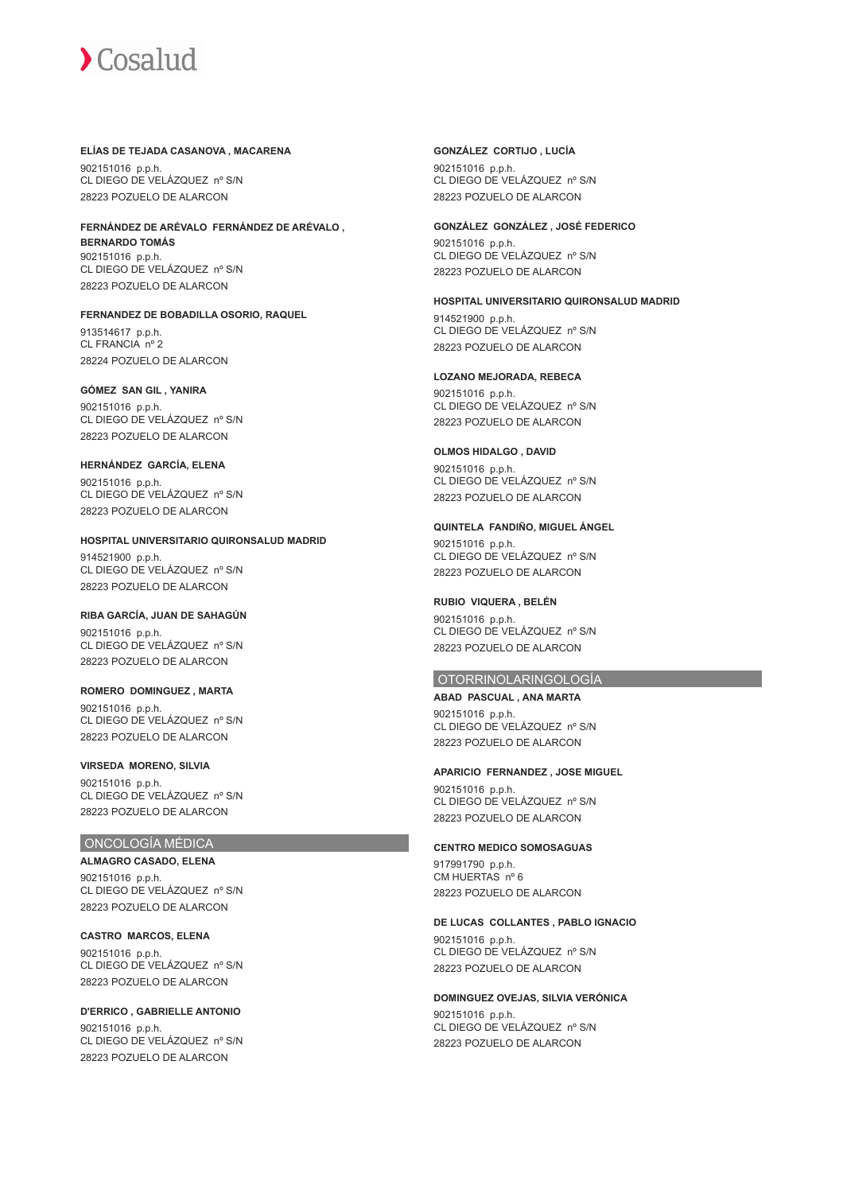#### **ELÍAS DE TEJADA CASANOVA , MACARENA**

902151016 p.p.h. CL DIEGO DE VELÁZQUEZ nº S/N 28223 POZUELO DE ALARCON

#### **FERNÁNDEZ DE ARÉVALO FERNÁNDEZ DE ARÉVALO , BERNARDO TOMÁS** 902151016 p.p.h. CL DIEGO DE VELÁZQUEZ nº S/N

28223 POZUELO DE ALARCON

## **FERNANDEZ DE BOBADILLA OSORIO, RAQUEL**

913514617 p.p.h. CL FRANCIA nº 2 28224 POZUELO DE ALARCON

## **GÓMEZ SAN GIL , YANIRA**

902151016 p.p.h. CL DIEGO DE VELÁZQUEZ nº S/N 28223 POZUELO DE ALARCON

#### **HERNÁNDEZ GARCÍA, ELENA**

902151016 p.p.h. CL DIEGO DE VELÁZQUEZ nº S/N 28223 POZUELO DE ALARCON

#### **HOSPITAL UNIVERSITARIO QUIRONSALUD MADRID**

914521900 p.p.h. CL DIEGO DE VELÁZQUEZ nº S/N 28223 POZUELO DE ALARCON

## **RIBA GARCÍA, JUAN DE SAHAGÚN** 902151016 p.p.h.

CL DIEGO DE VELÁZQUEZ nº S/N 28223 POZUELO DE ALARCON

#### **ROMERO DOMINGUEZ , MARTA**

902151016 p.p.h. CL DIEGO DE VELÁZQUEZ nº S/N 28223 POZUELO DE ALARCON

#### **VIRSEDA MORENO, SILVIA**

902151016 p.p.h. CL DIEGO DE VELÁZQUEZ nº S/N 28223 POZUELO DE ALARCON

#### ONCOLOGÍA MÉDICA

**ALMAGRO CASADO, ELENA** 902151016 p.p.h. CL DIEGO DE VELÁZQUEZ nº S/N 28223 POZUELO DE ALARCON

**CASTRO MARCOS, ELENA** 902151016 p.p.h. CL DIEGO DE VELÁZQUEZ nº S/N 28223 POZUELO DE ALARCON

**D'ERRICO , GABRIELLE ANTONIO** 902151016 p.p.h. CL DIEGO DE VELÁZQUEZ nº S/N 28223 POZUELO DE ALARCON

#### **GONZÁLEZ CORTIJO , LUCÍA**

902151016 p.p.h. CL DIEGO DE VELÁZQUEZ nº S/N 28223 POZUELO DE ALARCON

#### **GONZÁLEZ GONZÁLEZ , JOSÉ FEDERICO**

902151016 p.p.h. CL DIEGO DE VELÁZQUEZ nº S/N 28223 POZUELO DE ALARCON

#### **HOSPITAL UNIVERSITARIO QUIRONSALUD MADRID**

914521900 p.p.h. CL DIEGO DE VELÁZQUEZ nº S/N 28223 POZUELO DE ALARCON

#### **LOZANO MEJORADA, REBECA**

902151016 p.p.h. CL DIEGO DE VELÁZQUEZ nº S/N 28223 POZUELO DE ALARCON

#### **OLMOS HIDALGO , DAVID**

902151016 p.p.h. CL DIEGO DE VELÁZQUEZ nº S/N 28223 POZUELO DE ALARCON

## **QUINTELA FANDIÑO, MIGUEL ÁNGEL**

902151016 p.p.h. CL DIEGO DE VELÁZQUEZ nº S/N 28223 POZUELO DE ALARCON

## **RUBIO VIQUERA , BELÉN**

902151016 p.p.h. CL DIEGO DE VELÁZQUEZ nº S/N 28223 POZUELO DE ALARCON

#### OTORRINOLARINGOLOGÍA

**ABAD PASCUAL , ANA MARTA** 902151016 p.p.h. CL DIEGO DE VELÁZQUEZ nº S/N 28223 POZUELO DE ALARCON

#### **APARICIO FERNANDEZ , JOSE MIGUEL**

902151016 p.p.h. CL DIEGO DE VELÁZQUEZ nº S/N 28223 POZUELO DE ALARCON

## **CENTRO MEDICO SOMOSAGUAS**

917991790 p.p.h. CM HUERTAS nº 6 28223 POZUELO DE ALARCON

**DE LUCAS COLLANTES , PABLO IGNACIO** 902151016 p.p.h. CL DIEGO DE VELÁZQUEZ nº S/N 28223 POZUELO DE ALARCON

**DOMINGUEZ OVEJAS, SILVIA VERÓNICA** 902151016 p.p.h. CL DIEGO DE VELÁZQUEZ nº S/N

28223 POZUELO DE ALARCON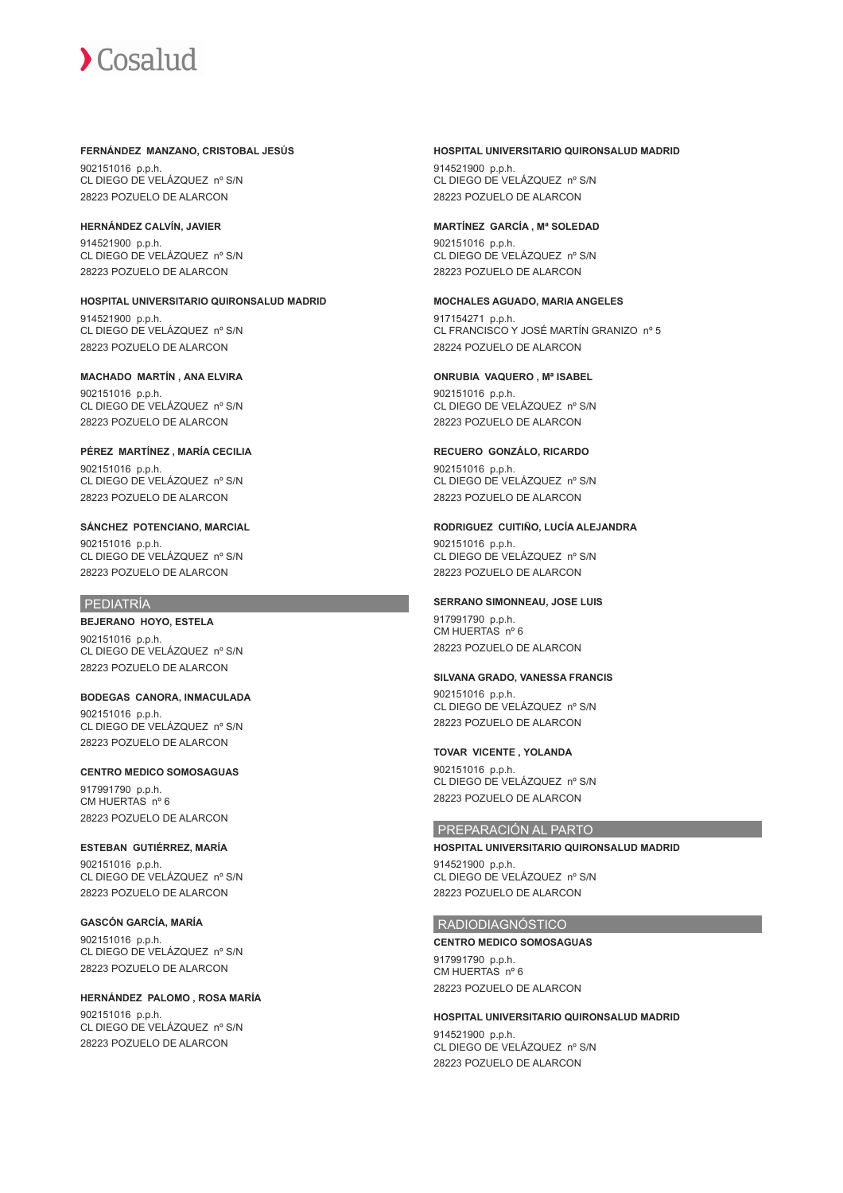#### **FERNÁNDEZ MANZANO, CRISTOBAL JESÚS**

902151016 p.p.h. CL DIEGO DE VELÁZQUEZ nº S/N 28223 POZUELO DE ALARCON

#### **HERNÁNDEZ CALVÍN, JAVIER**

914521900 p.p.h. CL DIEGO DE VELÁZQUEZ nº S/N 28223 POZUELO DE ALARCON

## **HOSPITAL UNIVERSITARIO QUIRONSALUD MADRID**

914521900 p.p.h. CL DIEGO DE VELÁZQUEZ nº S/N 28223 POZUELO DE ALARCON

#### **MACHADO MARTÍN , ANA ELVIRA**

902151016 p.p.h. CL DIEGO DE VELÁZQUEZ nº S/N 28223 POZUELO DE ALARCON

#### **PÉREZ MARTÍNEZ , MARÍA CECILIA** 902151016 p.p.h. CL DIEGO DE VELÁZQUEZ nº S/N 28223 POZUELO DE ALARCON

#### **SÁNCHEZ POTENCIANO, MARCIAL**

902151016 p.p.h. CL DIEGO DE VELÁZQUEZ nº S/N 28223 POZUELO DE ALARCON

## PEDIATRÍA

#### **BEJERANO HOYO, ESTELA**

902151016 p.p.h. CL DIEGO DE VELÁZQUEZ nº S/N 28223 POZUELO DE ALARCON

## **BODEGAS CANORA, INMACULADA**

902151016 p.p.h. CL DIEGO DE VELÁZQUEZ nº S/N 28223 POZUELO DE ALARCON

#### **CENTRO MEDICO SOMOSAGUAS**

917991790 p.p.h. CM HUERTAS nº 6 28223 POZUELO DE ALARCON

## **ESTEBAN GUTIÉRREZ, MARÍA**

902151016 p.p.h. CL DIEGO DE VELÁZQUEZ nº S/N 28223 POZUELO DE ALARCON

#### **GASCÓN GARCÍA, MARÍA**

902151016 p.p.h. CL DIEGO DE VELÁZQUEZ nº S/N 28223 POZUELO DE ALARCON

#### **HERNÁNDEZ PALOMO , ROSA MARÍA** 902151016 p.p.h. CL DIEGO DE VELÁZQUEZ nº S/N 28223 POZUELO DE ALARCON

#### **HOSPITAL UNIVERSITARIO QUIRONSALUD MADRID**

914521900 p.p.h. CL DIEGO DE VELÁZQUEZ nº S/N 28223 POZUELO DE ALARCON

#### **MARTÍNEZ GARCÍA , Mª SOLEDAD**

902151016 p.p.h. CL DIEGO DE VELÁZQUEZ nº S/N 28223 POZUELO DE ALARCON

#### **MOCHALES AGUADO, MARIA ANGELES**

917154271 p.p.h. CL FRANCISCO Y JOSÉ MARTÍN GRANIZO nº 5 28224 POZUELO DE ALARCON

#### **ONRUBIA VAQUERO , Mª ISABEL**

902151016 p.p.h. CL DIEGO DE VELÁZQUEZ nº S/N 28223 POZUELO DE ALARCON

#### **RECUERO GONZÁLO, RICARDO**

902151016 p.p.h. CL DIEGO DE VELÁZQUEZ nº S/N 28223 POZUELO DE ALARCON

#### **RODRIGUEZ CUITIÑO, LUCÍA ALEJANDRA**

902151016 p.p.h. CL DIEGO DE VELÁZQUEZ nº S/N 28223 POZUELO DE ALARCON

## **SERRANO SIMONNEAU, JOSE LUIS**

917991790 p.p.h. CM HUERTAS nº 6 28223 POZUELO DE ALARCON

#### **SILVANA GRADO, VANESSA FRANCIS**

902151016 p.p.h. CL DIEGO DE VELÁZQUEZ nº S/N 28223 POZUELO DE ALARCON

#### **TOVAR VICENTE , YOLANDA**

902151016 p.p.h. CL DIEGO DE VELÁZQUEZ nº S/N 28223 POZUELO DE ALARCON

## PREPARACIÓN AL PARTO

**HOSPITAL UNIVERSITARIO QUIRONSALUD MADRID** 914521900 p.p.h. CL DIEGO DE VELÁZQUEZ nº S/N 28223 POZUELO DE ALARCON

#### RADIODIAGNÓSTICO

**CENTRO MEDICO SOMOSAGUAS** 917991790 p.p.h. CM HUERTAS nº 6 28223 POZUELO DE ALARCON

## **HOSPITAL UNIVERSITARIO QUIRONSALUD MADRID** 914521900 p.p.h. CL DIEGO DE VELÁZQUEZ nº S/N

28223 POZUELO DE ALARCON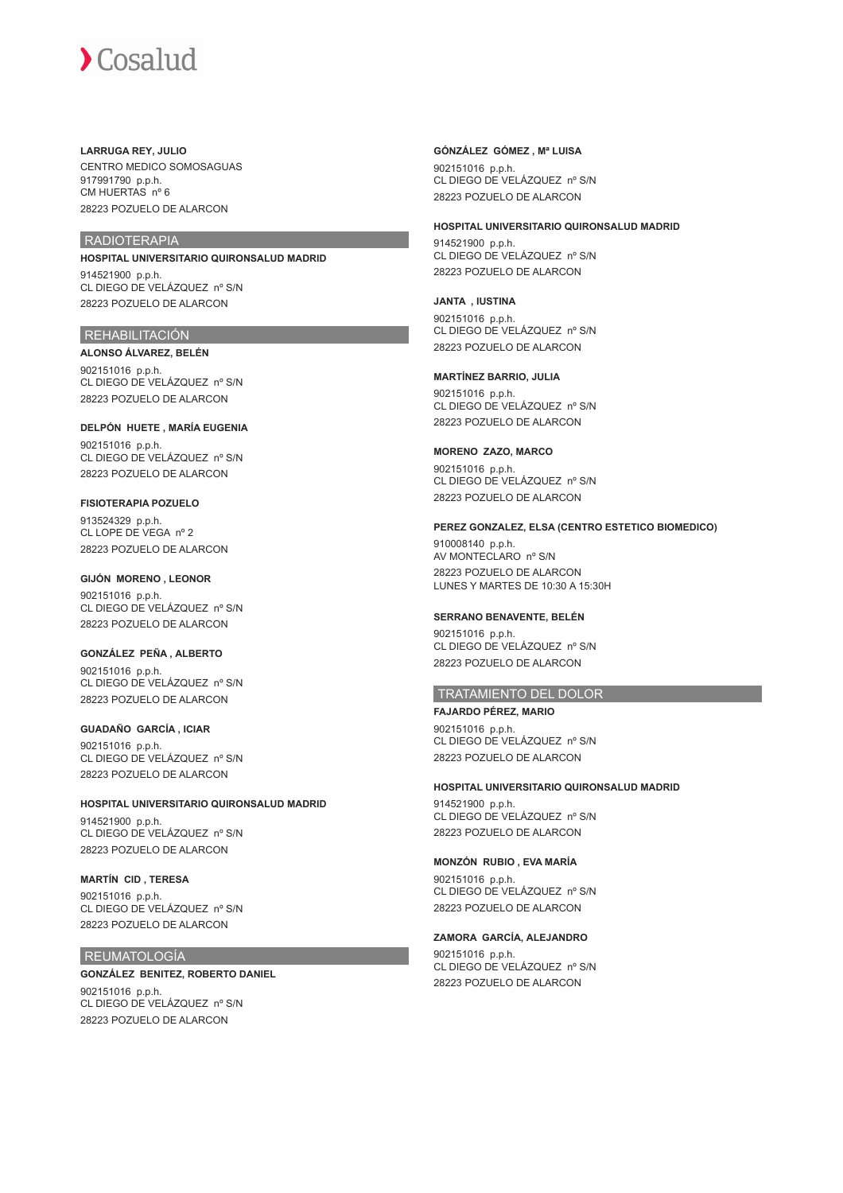#### **LARRUGA REY, JULIO**

CENTRO MEDICO SOMOSAGUAS 917991790 p.p.h. CM HUERTAS nº 6 28223 POZUELO DE ALARCON

### RADIOTERAPIA

## **HOSPITAL UNIVERSITARIO QUIRONSALUD MADRID**

914521900 p.p.h. CL DIEGO DE VELÁZQUEZ nº S/N 28223 POZUELO DE ALARCON

#### REHABILITACIÓN

**ALONSO ÁLVAREZ, BELÉN**

902151016 p.p.h. CL DIEGO DE VELÁZQUEZ nº S/N 28223 POZUELO DE ALARCON

**DELPÓN HUETE , MARÍA EUGENIA** 902151016 p.p.h. CL DIEGO DE VELÁZQUEZ nº S/N 28223 POZUELO DE ALARCON

#### **FISIOTERAPIA POZUELO**

913524329 p.p.h. CL LOPE DE VEGA nº 2 28223 POZUELO DE ALARCON

#### **GIJÓN MORENO , LEONOR**

902151016 p.p.h. CL DIEGO DE VELÁZQUEZ nº S/N 28223 POZUELO DE ALARCON

#### **GONZÁLEZ PEÑA , ALBERTO**

902151016 p.p.h. CL DIEGO DE VELÁZQUEZ nº S/N 28223 POZUELO DE ALARCON

## **GUADAÑO GARCÍA , ICIAR**

902151016 p.p.h. CL DIEGO DE VELÁZQUEZ nº S/N 28223 POZUELO DE ALARCON

#### **HOSPITAL UNIVERSITARIO QUIRONSALUD MADRID**

914521900 p.p.h. CL DIEGO DE VELÁZQUEZ nº S/N 28223 POZUELO DE ALARCON

#### **MARTÍN CID , TERESA**

902151016 p.p.h. CL DIEGO DE VELÁZQUEZ nº S/N 28223 POZUELO DE ALARCON

#### REUMATOLOGÍA

#### **GONZÁLEZ BENITEZ, ROBERTO DANIEL**

902151016 p.p.h. CL DIEGO DE VELÁZQUEZ nº S/N 28223 POZUELO DE ALARCON

#### **GÓNZÁLEZ GÓMEZ , Mª LUISA**

902151016 p.p.h. CL DIEGO DE VELÁZQUEZ nº S/N 28223 POZUELO DE ALARCON

#### **HOSPITAL UNIVERSITARIO QUIRONSALUD MADRID**

914521900 p.p.h. CL DIEGO DE VELÁZQUEZ nº S/N 28223 POZUELO DE ALARCON

#### **JANTA , IUSTINA**

902151016 p.p.h. CL DIEGO DE VELÁZQUEZ nº S/N 28223 POZUELO DE ALARCON

#### **MARTÍNEZ BARRIO, JULIA**

902151016 p.p.h. CL DIEGO DE VELÁZQUEZ nº S/N 28223 POZUELO DE ALARCON

#### **MORENO ZAZO, MARCO**

902151016 p.p.h. CL DIEGO DE VELÁZQUEZ nº S/N 28223 POZUELO DE ALARCON

#### **PEREZ GONZALEZ, ELSA (CENTRO ESTETICO BIOMEDICO)**

910008140 p.p.h. AV MONTECLARO nº S/N 28223 POZUELO DE ALARCON LUNES Y MARTES DE 10:30 A 15:30H

#### **SERRANO BENAVENTE, BELÉN**

902151016 p.p.h. CL DIEGO DE VELÁZQUEZ nº S/N 28223 POZUELO DE ALARCON

## TRATAMIENTO DEL DOLOR

#### **FAJARDO PÉREZ, MARIO**

902151016 p.p.h. CL DIEGO DE VELÁZQUEZ nº S/N 28223 POZUELO DE ALARCON

#### **HOSPITAL UNIVERSITARIO QUIRONSALUD MADRID**

914521900 p.p.h. CL DIEGO DE VELÁZQUEZ nº S/N 28223 POZUELO DE ALARCON

#### **MONZÓN RUBIO , EVA MARÍA**

902151016 p.p.h. CL DIEGO DE VELÁZQUEZ nº S/N 28223 POZUELO DE ALARCON

#### **ZAMORA GARCÍA, ALEJANDRO**

902151016 p.p.h. CL DIEGO DE VELÁZQUEZ nº S/N 28223 POZUELO DE ALARCON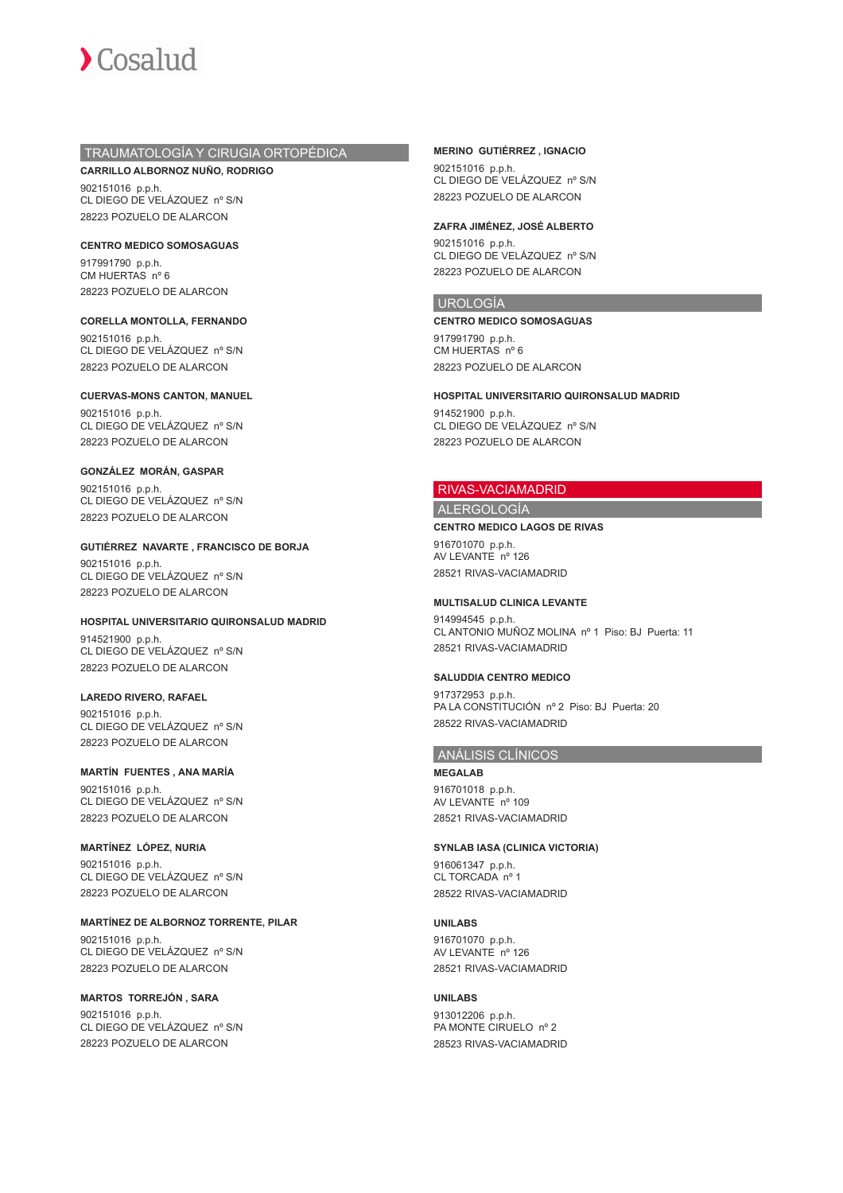## TRAUMATOLOGÍA Y CIRUGIA ORTOPÉDICA

**CARRILLO ALBORNOZ NUÑO, RODRIGO** 902151016 p.p.h. CL DIEGO DE VELÁZQUEZ nº S/N 28223 POZUELO DE ALARCON

**CENTRO MEDICO SOMOSAGUAS** 917991790 p.p.h. CM HUERTAS nº 6 28223 POZUELO DE ALARCON

**CORELLA MONTOLLA, FERNANDO** 902151016 p.p.h. CL DIEGO DE VELÁZQUEZ nº S/N 28223 POZUELO DE ALARCON

**CUERVAS-MONS CANTON, MANUEL** 902151016 p.p.h. CL DIEGO DE VELÁZQUEZ nº S/N 28223 POZUELO DE ALARCON

**GONZÁLEZ MORÁN, GASPAR** 902151016 p.p.h. CL DIEGO DE VELÁZQUEZ nº S/N 28223 POZUELO DE ALARCON

**GUTIÉRREZ NAVARTE , FRANCISCO DE BORJA** 902151016 p.p.h. CL DIEGO DE VELÁZQUEZ nº S/N 28223 POZUELO DE ALARCON

**HOSPITAL UNIVERSITARIO QUIRONSALUD MADRID** 914521900 p.p.h. CL DIEGO DE VELÁZQUEZ nº S/N 28223 POZUELO DE ALARCON

**LAREDO RIVERO, RAFAEL** 902151016 p.p.h. CL DIEGO DE VELÁZQUEZ nº S/N 28223 POZUELO DE ALARCON

**MARTÍN FUENTES , ANA MARÍA** 902151016 p.p.h. CL DIEGO DE VELÁZQUEZ nº S/N 28223 POZUELO DE ALARCON

**MARTÍNEZ LÓPEZ, NURIA** 902151016 p.p.h. CL DIEGO DE VELÁZQUEZ nº S/N 28223 POZUELO DE ALARCON

**MARTÍNEZ DE ALBORNOZ TORRENTE, PILAR** 902151016 p.p.h. CL DIEGO DE VELÁZQUEZ nº S/N 28223 POZUELO DE ALARCON

**MARTOS TORREJÓN , SARA** 902151016 p.p.h. CL DIEGO DE VELÁZQUEZ nº S/N 28223 POZUELO DE ALARCON

### **MERINO GUTIÉRREZ , IGNACIO**

902151016 p.p.h. CL DIEGO DE VELÁZQUEZ nº S/N 28223 POZUELO DE ALARCON

### **ZAFRA JIMÉNEZ, JOSÉ ALBERTO**

902151016 p.p.h. CL DIEGO DE VELÁZQUEZ nº S/N 28223 POZUELO DE ALARCON

## UROLOGÍA

**CENTRO MEDICO SOMOSAGUAS** 917991790 p.p.h. CM HUERTAS nº 6 28223 POZUELO DE ALARCON

**HOSPITAL UNIVERSITARIO QUIRONSALUD MADRID**

914521900 p.p.h. CL DIEGO DE VELÁZQUEZ nº S/N 28223 POZUELO DE ALARCON

## RIVAS-VACIAMADRID

ALERGOLOGÍA

### **CENTRO MEDICO LAGOS DE RIVAS**

916701070 p.p.h. AV LEVANTE nº 126 28521 RIVAS-VACIAMADRID

### **MULTISALUD CLINICA LEVANTE**

914994545 p.p.h. CL ANTONIO MUÑOZ MOLINA nº 1 Piso: BJ Puerta: 11 28521 RIVAS-VACIAMADRID

### **SALUDDIA CENTRO MEDICO**

917372953 p.p.h. PA LA CONSTITUCIÓN nº 2 Piso: BJ Puerta: 20 28522 RIVAS-VACIAMADRID

## ANÁLISIS CLÍNICOS

**MEGALAB** 916701018 p.p.h. AV LEVANTE nº 109 28521 RIVAS-VACIAMADRID

### **SYNLAB IASA (CLINICA VICTORIA)**

916061347 p.p.h. CL TORCADA nº 1 28522 RIVAS-VACIAMADRID

## **UNILABS**

916701070 p.p.h. AV LEVANTE nº 126 28521 RIVAS-VACIAMADRID

## **UNILABS**

913012206 p.p.h. PA MONTE CIRUELO nº 2 28523 RIVAS-VACIAMADRID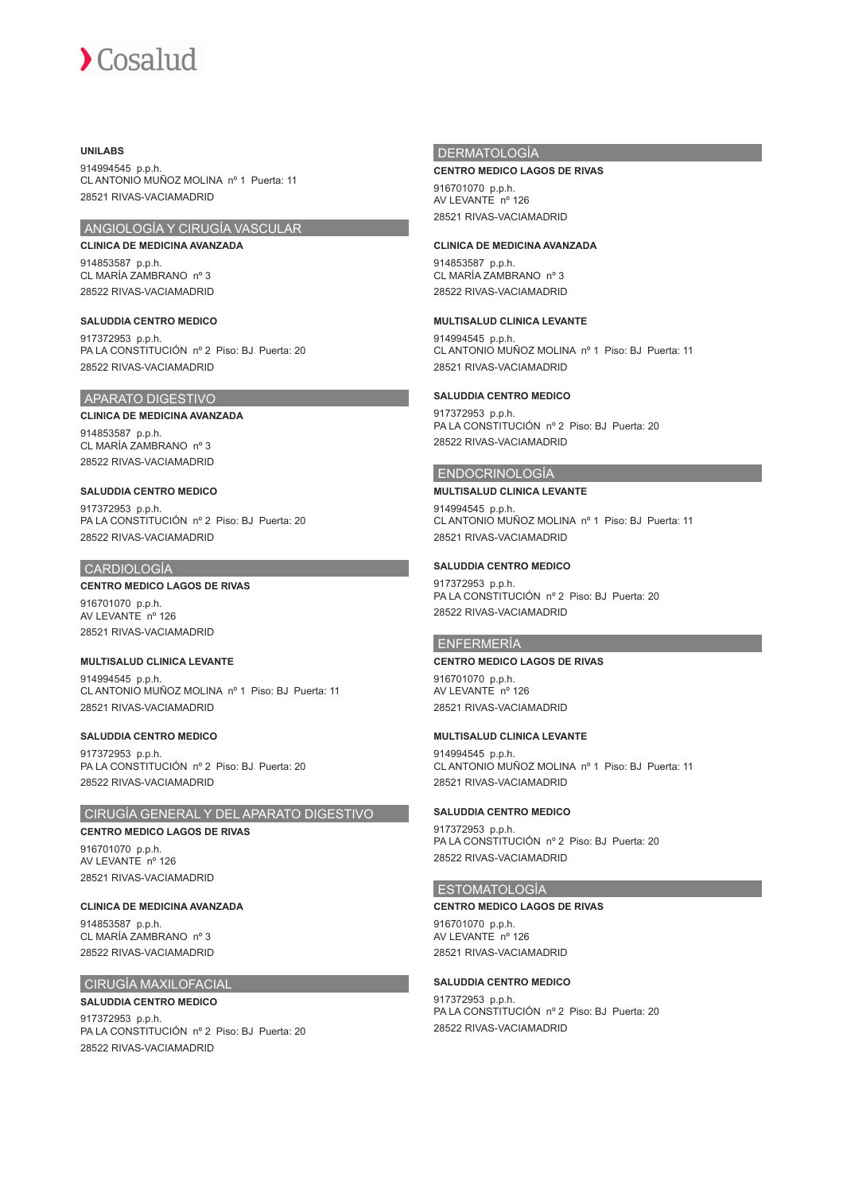## **UNILABS**

914994545 p.p.h. CL ANTONIO MUÑOZ MOLINA nº 1 Puerta: 11 28521 RIVAS-VACIAMADRID

## ANGIOLOGÍA Y CIRUGÍA VASCULAR

**CLINICA DE MEDICINA AVANZADA** 914853587 p.p.h. CL MARÍA ZAMBRANO nº 3 28522 RIVAS-VACIAMADRID

**SALUDDIA CENTRO MEDICO** 917372953 p.p.h. PA LA CONSTITUCIÓN nº 2 Piso: BJ Puerta: 20 28522 RIVAS-VACIAMADRID

## APARATO DIGESTIVO

## **CLINICA DE MEDICINA AVANZADA**

914853587 p.p.h. CL MARÍA ZAMBRANO nº 3 28522 RIVAS-VACIAMADRID

## **SALUDDIA CENTRO MEDICO**

917372953 p.p.h. PA LA CONSTITUCIÓN nº 2 Piso: BJ Puerta: 20 28522 RIVAS-VACIAMADRID

## CARDIOLOGÍA

## **CENTRO MEDICO LAGOS DE RIVAS**

916701070 p.p.h. AV LEVANTE nº 126 28521 RIVAS-VACIAMADRID

### **MULTISALUD CLINICA LEVANTE**

914994545 p.p.h. CL ANTONIO MUÑOZ MOLINA nº 1 Piso: BJ Puerta: 11 28521 RIVAS-VACIAMADRID

## **SALUDDIA CENTRO MEDICO**

917372953 p.p.h. PA LA CONSTITUCIÓN nº 2 Piso: BJ Puerta: 20 28522 RIVAS-VACIAMADRID

## CIRUGÍA GENERAL Y DEL APARATO DIGESTIVO

# **CENTRO MEDICO LAGOS DE RIVAS**

916701070 p.p.h. AV LEVANTE nº 126 28521 RIVAS-VACIAMADRID

**CLINICA DE MEDICINA AVANZADA**

914853587 p.p.h. CL MARÍA ZAMBRANO nº 3 28522 RIVAS-VACIAMADRID

## CIRUGÍA MAXILOFACIAL

## **SALUDDIA CENTRO MEDICO**

917372953 p.p.h. PA LA CONSTITUCIÓN nº 2 Piso: BJ Puerta: 20 28522 RIVAS-VACIAMADRID

## **DERMATOLOGÍA**

### **CENTRO MEDICO LAGOS DE RIVAS**

916701070 p.p.h. AV LEVANTE nº 126 28521 RIVAS-VACIAMADRID

## **CLINICA DE MEDICINA AVANZADA**

914853587 p.p.h. CL MARÍA ZAMBRANO nº 3 28522 RIVAS-VACIAMADRID

## **MULTISALUD CLINICA LEVANTE**

914994545 p.p.h. CL ANTONIO MUÑOZ MOLINA nº 1 Piso: BJ Puerta: 11 28521 RIVAS-VACIAMADRID

## **SALUDDIA CENTRO MEDICO**

917372953 p.p.h. PA LA CONSTITUCIÓN nº 2 Piso: BJ Puerta: 20 28522 RIVAS-VACIAMADRID

## ENDOCRINOLOGÍA

## **MULTISALUD CLINICA LEVANTE**

914994545 p.p.h. CL ANTONIO MUÑOZ MOLINA nº 1 Piso: BJ Puerta: 11 28521 RIVAS-VACIAMADRID

## **SALUDDIA CENTRO MEDICO**

917372953 p.p.h. PA LA CONSTITUCIÓN nº 2 Piso: BJ Puerta: 20 28522 RIVAS-VACIAMADRID

## ENFERMERÍA

### **CENTRO MEDICO LAGOS DE RIVAS**

916701070 p.p.h. AV LEVANTE nº 126

# 28521 RIVAS-VACIAMADRID

**MULTISALUD CLINICA LEVANTE** 914994545 p.p.h.

CL ANTONIO MUÑOZ MOLINA nº 1 Piso: BJ Puerta: 11 28521 RIVAS-VACIAMADRID

## **SALUDDIA CENTRO MEDICO**

917372953 p.p.h. PA LA CONSTITUCIÓN nº 2 Piso: BJ Puerta: 20 28522 RIVAS-VACIAMADRID

## ESTOMATOLOGÍA

## **CENTRO MEDICO LAGOS DE RIVAS**

916701070 p.p.h. AV LEVANTE nº 126 28521 RIVAS-VACIAMADRID

## **SALUDDIA CENTRO MEDICO**

917372953 p.p.h. PA LA CONSTITUCIÓN nº 2 Piso: BJ Puerta: 20 28522 RIVAS-VACIAMADRID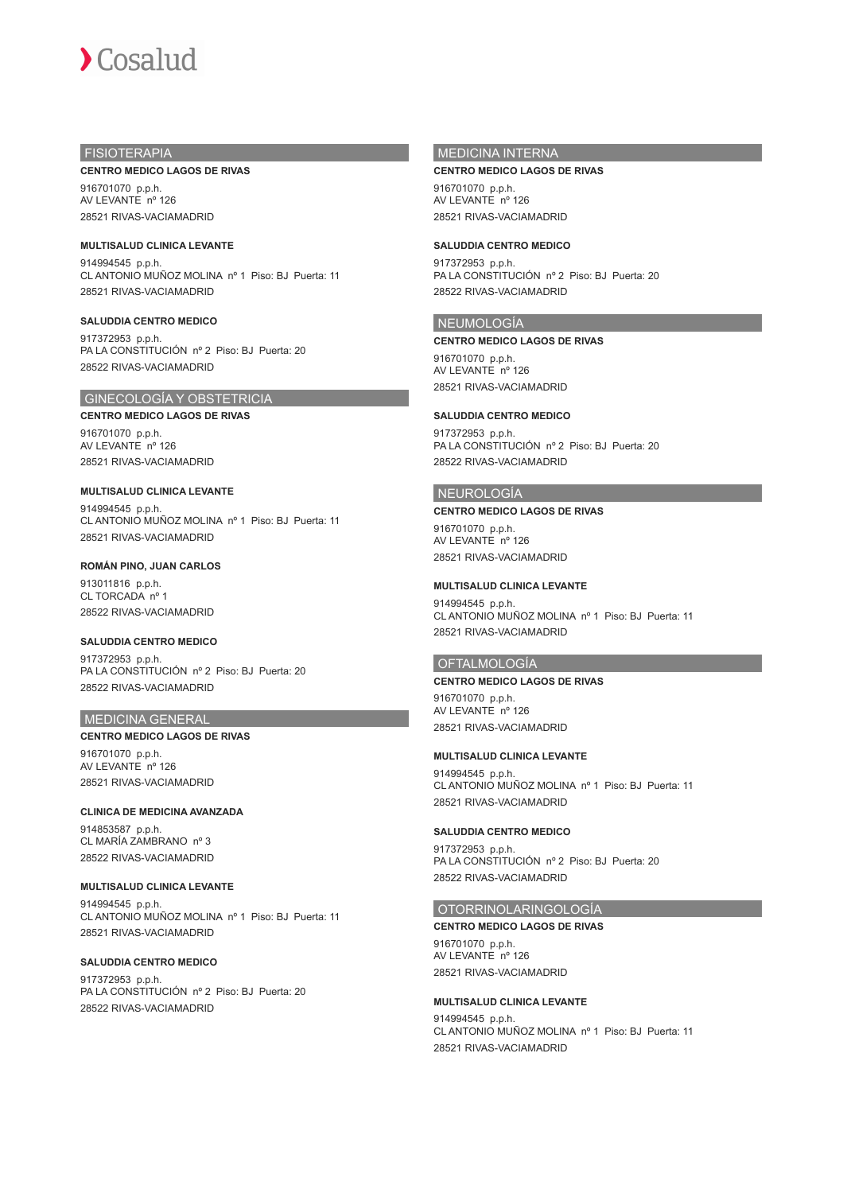

## FISIOTERAPIA

### **CENTRO MEDICO LAGOS DE RIVAS**

916701070 p.p.h. AV LEVANTE nº 126 28521 RIVAS-VACIAMADRID

**MULTISALUD CLINICA LEVANTE** 914994545 p.p.h. CL ANTONIO MUÑOZ MOLINA nº 1 Piso: BJ Puerta: 11 28521 RIVAS-VACIAMADRID

**SALUDDIA CENTRO MEDICO** 917372953 p.p.h. PA LA CONSTITUCIÓN nº 2 Piso: BJ Puerta: 20 28522 RIVAS-VACIAMADRID

## GINECOLOGÍA Y OBSTETRICIA

**CENTRO MEDICO LAGOS DE RIVAS** 916701070 p.p.h. AV LEVANTE nº 126 28521 RIVAS-VACIAMADRID

## **MULTISALUD CLINICA LEVANTE**

914994545 p.p.h. CL ANTONIO MUÑOZ MOLINA nº 1 Piso: BJ Puerta: 11 28521 RIVAS-VACIAMADRID

### **ROMÁN PINO, JUAN CARLOS**

913011816 p.p.h. CL TORCADA<sup>nº</sup> 1 28522 RIVAS-VACIAMADRID

## **SALUDDIA CENTRO MEDICO**

917372953 p.p.h. PA LA CONSTITUCIÓN nº 2 Piso: BJ Puerta: 20 28522 RIVAS-VACIAMADRID

## MEDICINA GENERAL

## **CENTRO MEDICO LAGOS DE RIVAS** 916701070 p.p.h. AV LEVANTE nº 126 28521 RIVAS-VACIAMADRID

**CLINICA DE MEDICINA AVANZADA** 914853587 p.p.h. CL MARÍA ZAMBRANO nº 3 28522 RIVAS-VACIAMADRID

## **MULTISALUD CLINICA LEVANTE**

914994545 p.p.h. CL ANTONIO MUÑOZ MOLINA nº 1 Piso: BJ Puerta: 11 28521 RIVAS-VACIAMADRID

### **SALUDDIA CENTRO MEDICO**

917372953 p.p.h. PA LA CONSTITUCIÓN nº 2 Piso: BJ Puerta: 20 28522 RIVAS-VACIAMADRID

## MEDICINA INTERNA

### **CENTRO MEDICO LAGOS DE RIVAS**

916701070 p.p.h. AV LEVANTE nº 126 28521 RIVAS-VACIAMADRID

## **SALUDDIA CENTRO MEDICO**

917372953 p.p.h. PA LA CONSTITUCIÓN nº 2 Piso: BJ Puerta: 20 28522 RIVAS-VACIAMADRID

### NEUMOLOGÍA

### **CENTRO MEDICO LAGOS DE RIVAS**

916701070 p.p.h. AV LEVANTE nº 126 28521 RIVAS-VACIAMADRID

### **SALUDDIA CENTRO MEDICO**

917372953 p.p.h. PA LA CONSTITUCIÓN nº 2 Piso: BJ Puerta: 20 28522 RIVAS-VACIAMADRID

### NEUROLOGÍA

### **CENTRO MEDICO LAGOS DE RIVAS**

916701070 p.p.h. AV LEVANTE nº 126 28521 RIVAS-VACIAMADRID

### **MULTISALUD CLINICA LEVANTE**

914994545 p.p.h. CL ANTONIO MUÑOZ MOLINA nº 1 Piso: BJ Puerta: 11 28521 RIVAS-VACIAMADRID

### OFTALMOLOGÍA

### **CENTRO MEDICO LAGOS DE RIVAS**

916701070 p.p.h. AV LEVANTE nº 126 28521 RIVAS-VACIAMADRID

### **MULTISALUD CLINICA LEVANTE**

914994545 p.p.h. CL ANTONIO MUÑOZ MOLINA nº 1 Piso: BJ Puerta: 11 28521 RIVAS-VACIAMADRID

## **SALUDDIA CENTRO MEDICO**

917372953 p.p.h. PA LA CONSTITUCIÓN nº 2 Piso: BJ Puerta: 20 28522 RIVAS-VACIAMADRID

### OTORRINOLARINGOLOGÍA

### **CENTRO MEDICO LAGOS DE RIVAS**

916701070 p.p.h. AV LEVANTE nº 126 28521 RIVAS-VACIAMADRID

## **MULTISALUD CLINICA LEVANTE**

914994545 p.p.h. CL ANTONIO MUÑOZ MOLINA nº 1 Piso: BJ Puerta: 11 28521 RIVAS-VACIAMADRID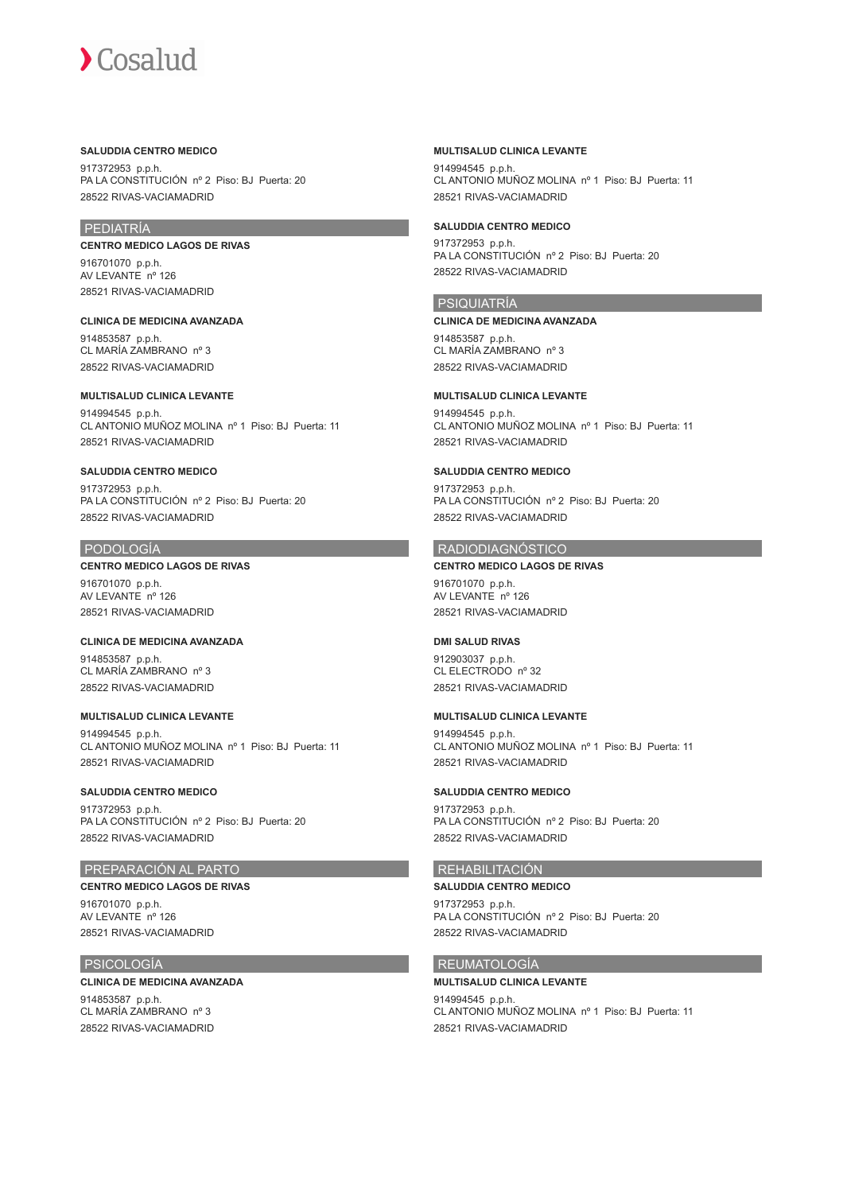### **SALUDDIA CENTRO MEDICO**

917372953 p.p.h. PA LA CONSTITUCIÓN nº 2 Piso: BJ Puerta: 20 28522 RIVAS-VACIAMADRID

## PEDIATRÍA

**CENTRO MEDICO LAGOS DE RIVAS** 916701070 p.p.h.

AV LEVANTE nº 126 28521 RIVAS-VACIAMADRID

**CLINICA DE MEDICINA AVANZADA** 914853587 p.p.h. CL MARÍA ZAMBRANO nº 3 28522 RIVAS-VACIAMADRID

## **MULTISALUD CLINICA LEVANTE**

914994545 p.p.h. CL ANTONIO MUÑOZ MOLINA nº 1 Piso: BJ Puerta: 11 28521 RIVAS-VACIAMADRID

## **SALUDDIA CENTRO MEDICO**

917372953 p.p.h. PA LA CONSTITUCIÓN nº 2 Piso: BJ Puerta: 20 28522 RIVAS-VACIAMADRID

## PODOLOGÍA

**CENTRO MEDICO LAGOS DE RIVAS**

916701070 p.p.h. AV LEVANTE nº 126 28521 RIVAS-VACIAMADRID

**CLINICA DE MEDICINA AVANZADA** 914853587 p.p.h. CL MARÍA ZAMBRANO nº 3 28522 RIVAS-VACIAMADRID

**MULTISALUD CLINICA LEVANTE** 914994545 p.p.h. CL ANTONIO MUÑOZ MOLINA nº 1 Piso: BJ Puerta: 11 28521 RIVAS-VACIAMADRID

## **SALUDDIA CENTRO MEDICO**

917372953 p.p.h. PA LA CONSTITUCIÓN nº 2 Piso: BJ Puerta: 20 28522 RIVAS-VACIAMADRID

## PREPARACIÓN AL PARTO

## **CENTRO MEDICO LAGOS DE RIVAS**

916701070 p.p.h. AV LEVANTE nº 126 28521 RIVAS-VACIAMADRID

## PSICOLOGÍA

## **CLINICA DE MEDICINA AVANZADA**

914853587 p.p.h. CL MARÍA ZAMBRANO nº 3 28522 RIVAS-VACIAMADRID

## **MULTISALUD CLINICA LEVANTE**

914994545 p.p.h. CL ANTONIO MUÑOZ MOLINA nº 1 Piso: BJ Puerta: 11 28521 RIVAS-VACIAMADRID

## **SALUDDIA CENTRO MEDICO**

917372953 p.p.h. PA LA CONSTITUCIÓN nº 2 Piso: BJ Puerta: 20 28522 RIVAS-VACIAMADRID

## PSIQUIATRÍA

**CLINICA DE MEDICINA AVANZADA** 914853587 p.p.h. CL MARÍA ZAMBRANO nº 3 28522 RIVAS-VACIAMADRID

# **MULTISALUD CLINICA LEVANTE**

914994545 p.p.h. CL ANTONIO MUÑOZ MOLINA nº 1 Piso: BJ Puerta: 11 28521 RIVAS-VACIAMADRID

## **SALUDDIA CENTRO MEDICO**

917372953 p.p.h. PA LA CONSTITUCIÓN nº 2 Piso: BJ Puerta: 20 28522 RIVAS-VACIAMADRID

# RADIODIAGNÓSTICO

**CENTRO MEDICO LAGOS DE RIVAS** 916701070 p.p.h. AV LEVANTE nº 126 28521 RIVAS-VACIAMADRID

## **DMI SALUD RIVAS**

912903037 p.p.h. CL ELECTRODO nº 32 28521 RIVAS-VACIAMADRID

## **MULTISALUD CLINICA LEVANTE**

914994545 p.p.h. CL ANTONIO MUÑOZ MOLINA nº 1 Piso: BJ Puerta: 11 28521 RIVAS-VACIAMADRID

## **SALUDDIA CENTRO MEDICO**

917372953 p.p.h. PA LA CONSTITUCIÓN nº 2 Piso: BJ Puerta: 20 28522 RIVAS-VACIAMADRID

## REHABILITACIÓN

**SALUDDIA CENTRO MEDICO** 917372953 p.p.h. PA LA CONSTITUCIÓN nº 2 Piso: BJ Puerta: 20

## REUMATOLOGÍA

28522 RIVAS-VACIAMADRID

## **MULTISALUD CLINICA LEVANTE**

914994545 p.p.h. CL ANTONIO MUÑOZ MOLINA nº 1 Piso: BJ Puerta: 11 28521 RIVAS-VACIAMADRID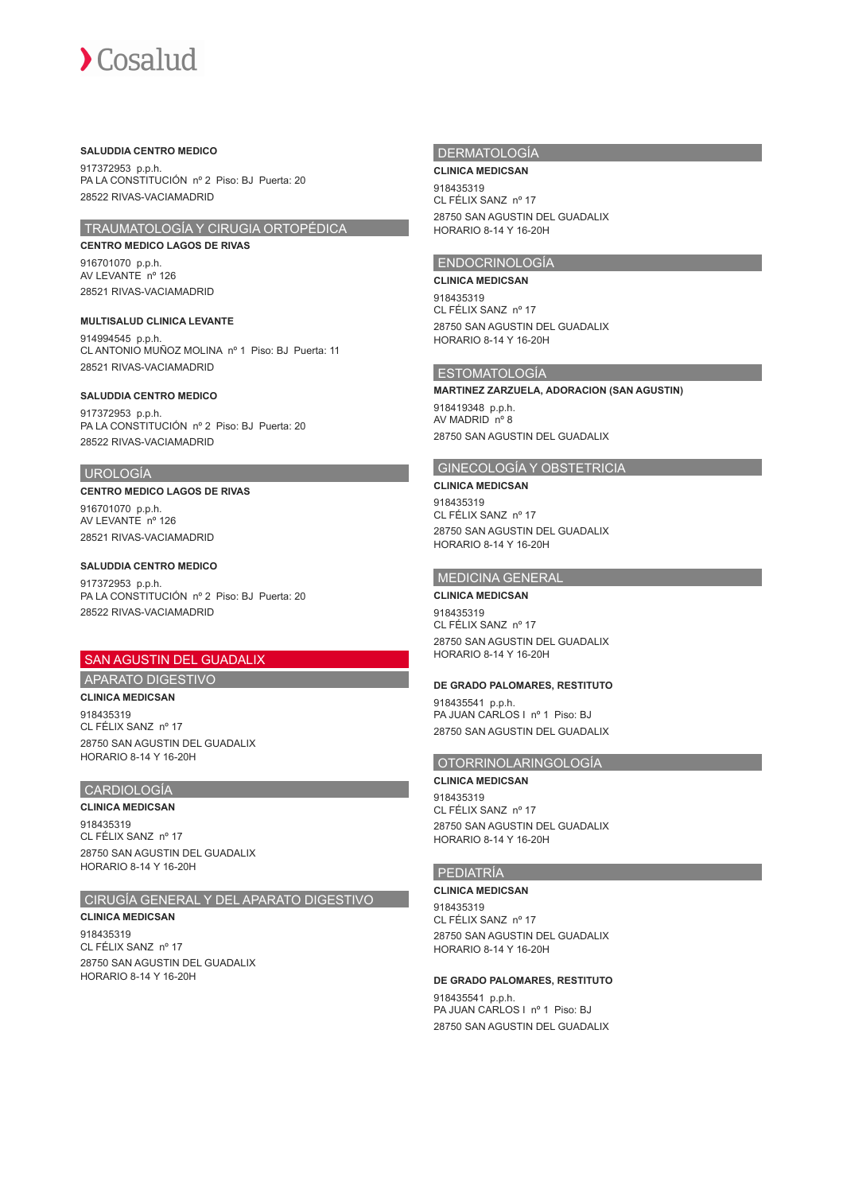## **SALUDDIA CENTRO MEDICO**

917372953 p.p.h. PA LA CONSTITUCIÓN nº 2 Piso: BJ Puerta: 20 28522 RIVAS-VACIAMADRID

## TRAUMATOLOGÍA Y CIRUGIA ORTOPÉDICA

**CENTRO MEDICO LAGOS DE RIVAS** 916701070 p.p.h. AV LEVANTE nº 126 28521 RIVAS-VACIAMADRID

**MULTISALUD CLINICA LEVANTE** 914994545 p.p.h. CL ANTONIO MUÑOZ MOLINA nº 1 Piso: BJ Puerta: 11 28521 RIVAS-VACIAMADRID

### **SALUDDIA CENTRO MEDICO**

917372953 p.p.h. PA LA CONSTITUCIÓN nº 2 Piso: BJ Puerta: 20 28522 RIVAS-VACIAMADRID

### UROLOGÍA

### **CENTRO MEDICO LAGOS DE RIVAS**

916701070 p.p.h. AV LEVANTE nº 126 28521 RIVAS-VACIAMADRID

### **SALUDDIA CENTRO MEDICO**

917372953 p.p.h. PA LA CONSTITUCIÓN nº 2 Piso: BJ Puerta: 20 28522 RIVAS-VACIAMADRID

## SAN AGUSTIN DEL GUADALIX

## APARATO DIGESTIVO

**CLINICA MEDICSAN**

918435319 CL FÉLIX SANZ nº 17 28750 SAN AGUSTIN DEL GUADALIX HORARIO 8-14 Y 16-20H

## CARDIOLOGÍA

## **CLINICA MEDICSAN**

918435319 CL FÉLIX SANZ nº 17 28750 SAN AGUSTIN DEL GUADALIX HORARIO 8-14 Y 16-20H

## CIRUGÍA GENERAL Y DEL APARATO DIGESTIVO

**CLINICA MEDICSAN** 918435319 CL FÉLIX SANZ nº 17 28750 SAN AGUSTIN DEL GUADALIX HORARIO 8-14 Y 16-20H

## **DERMATOLOGÍA**

## **CLINICA MEDICSAN**

918435319 CL FÉLIX SANZ nº 17 28750 SAN AGUSTIN DEL GUADALIX HORARIO 8-14 Y 16-20H

## ENDOCRINOLOGÍA

**CLINICA MEDICSAN** 918435319 CL FÉLIX SANZ nº 17 28750 SAN AGUSTIN DEL GUADALIX HORARIO 8-14 Y 16-20H

### ESTOMATOLOGÍA

**MARTINEZ ZARZUELA, ADORACION (SAN AGUSTIN)** 918419348 p.p.h. AV MADRID nº 8 28750 SAN AGUSTIN DEL GUADALIX

## GINECOLOGÍA Y OBSTETRICIA

### **CLINICA MEDICSAN**

918435319 CL FÉLIX SANZ nº 17 28750 SAN AGUSTIN DEL GUADALIX HORARIO 8-14 Y 16-20H

### MEDICINA GENERAL

**CLINICA MEDICSAN** 918435319 CL FÉLIX SANZ nº 17 28750 SAN AGUSTIN DEL GUADALIX HORARIO 8-14 Y 16-20H

### **DE GRADO PALOMARES, RESTITUTO**

918435541 p.p.h. PA JUAN CARLOS I nº 1 Piso: BJ 28750 SAN AGUSTIN DEL GUADALIX

## OTORRINOLARINGOLOGÍA

**CLINICA MEDICSAN** 918435319 CL FÉLIX SANZ nº 17 28750 SAN AGUSTIN DEL GUADALIX HORARIO 8-14 Y 16-20H

## PEDIATRÍA

## **CLINICA MEDICSAN**

918435319 CL FÉLIX SANZ nº 17 28750 SAN AGUSTIN DEL GUADALIX HORARIO 8-14 Y 16-20H

### **DE GRADO PALOMARES, RESTITUTO**

918435541 p.p.h. PA JUAN CARLOS I nº 1 Piso: BJ 28750 SAN AGUSTIN DEL GUADALIX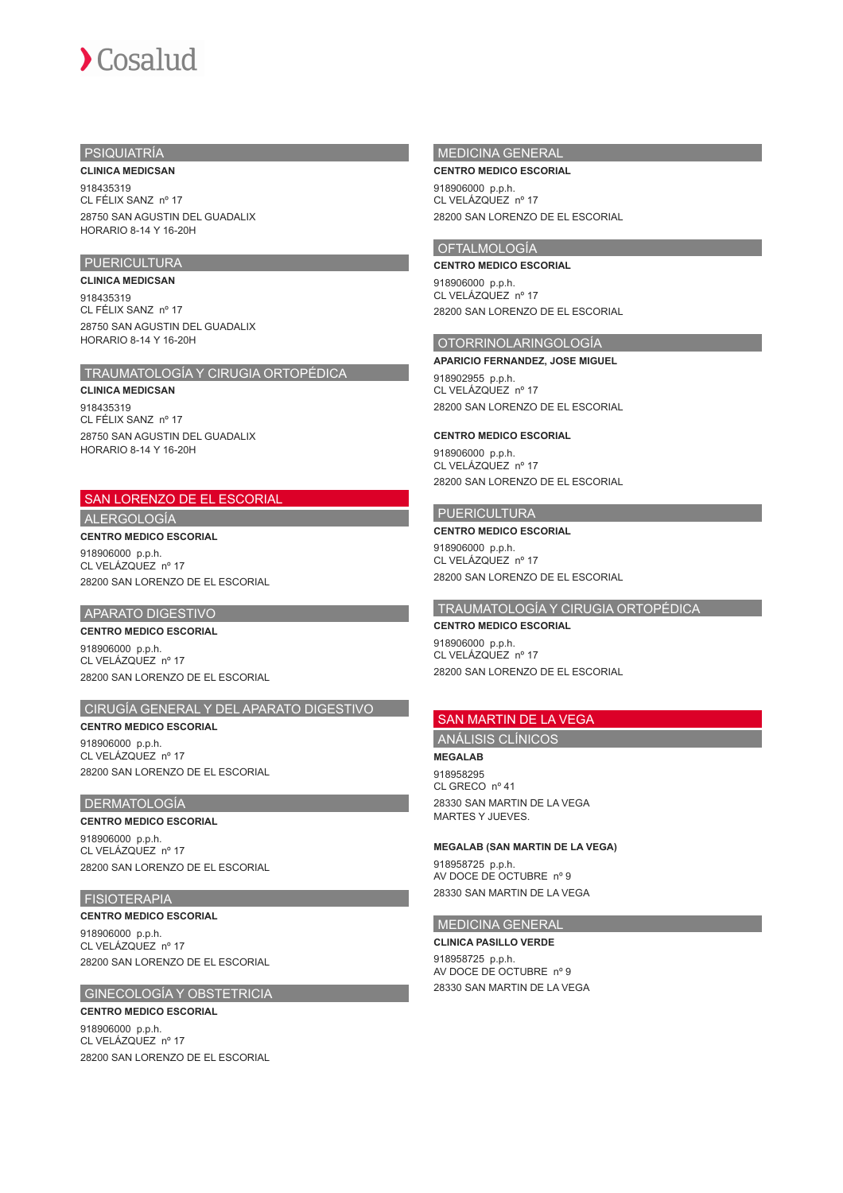## PSIQUIATRÍA

## **CLINICA MEDICSAN**

918435319 CL FÉLIX SANZ nº 17 28750 SAN AGUSTIN DEL GUADALIX HORARIO 8-14 Y 16-20H

## **PUERICULTURA**

### **CLINICA MEDICSAN**

918435319 CL FÉLIX SANZ nº 17 28750 SAN AGUSTIN DEL GUADALIX HORARIO 8-14 Y 16-20H

## TRAUMATOLOGÍA Y CIRUGIA ORTOPÉDICA

### **CLINICA MEDICSAN**

918435319 CL FÉLIX SANZ nº 17 28750 SAN AGUSTIN DEL GUADALIX HORARIO 8-14 Y 16-20H

# SAN LORENZO DE EL ESCORIAL

## ALERGOLOGÍA

**CENTRO MEDICO ESCORIAL** 918906000 p.p.h.

CL VELÁZQUEZ nº 17 28200 SAN LORENZO DE EL ESCORIAL

## APARATO DIGESTIVO

**CENTRO MEDICO ESCORIAL**

918906000 p.p.h. CL VELÁZQUEZ nº 17 28200 SAN LORENZO DE EL ESCORIAL

## CIRUGÍA GENERAL Y DEL APARATO DIGESTIVO

**CENTRO MEDICO ESCORIAL**

918906000 p.p.h. CL VELÁZQUEZ nº 17 28200 SAN LORENZO DE EL ESCORIAL

### DERMATOLOGÍA

### **CENTRO MEDICO ESCORIAL**

918906000 p.p.h. CL VELÁZQUEZ nº 17 28200 SAN LORENZO DE EL ESCORIAL

## FISIOTERAPIA

**CENTRO MEDICO ESCORIAL** 918906000 p.p.h. CL VELÁZQUEZ nº 17 28200 SAN LORENZO DE EL ESCORIAL

## GINECOLOGÍA Y OBSTETRICIA

**CENTRO MEDICO ESCORIAL** 918906000 p.p.h. CL VELÁZQUEZ nº 17 28200 SAN LORENZO DE EL ESCORIAL

## MEDICINA GENERAL

### **CENTRO MEDICO ESCORIAL**

918906000 p.p.h. CL VELÁZQUEZ nº 17 28200 SAN LORENZO DE EL ESCORIAL

## OFTALMOLOGÍA

**CENTRO MEDICO ESCORIAL** 918906000 p.p.h.

CL VELÁZQUEZ nº 17 28200 SAN LORENZO DE EL ESCORIAL

## OTORRINOLARINGOLOGÍA

**APARICIO FERNANDEZ, JOSE MIGUEL**

918902955 p.p.h. CL VELÁZQUEZ nº 17 28200 SAN LORENZO DE EL ESCORIAL

#### **CENTRO MEDICO ESCORIAL**

918906000 p.p.h. CL VELÁZQUEZ nº 17 28200 SAN LORENZO DE EL ESCORIAL

## PUERICULTURA

## **CENTRO MEDICO ESCORIAL**

918906000 p.p.h. CL VELÁZQUEZ nº 17 28200 SAN LORENZO DE EL ESCORIAL

## TRAUMATOLOGÍA Y CIRUGIA ORTOPÉDICA

## **CENTRO MEDICO ESCORIAL**

918906000 p.p.h. CL VELÁZQUEZ nº 17 28200 SAN LORENZO DE EL ESCORIAL

## SAN MARTIN DE LA VEGA

## ANÁLISIS CLÍNICOS

**MEGALAB** 918958295 CL GRECO nº 41

28330 SAN MARTIN DE LA VEGA MARTES Y JUEVES.

## **MEGALAB (SAN MARTIN DE LA VEGA)**

918958725 p.p.h. AV DOCE DE OCTUBRE nº 9 28330 SAN MARTIN DE LA VEGA

## MEDICINA GENERAL

**CLINICA PASILLO VERDE** 918958725 p.p.h. AV DOCE DE OCTUBRE nº 9 28330 SAN MARTIN DE LA VEGA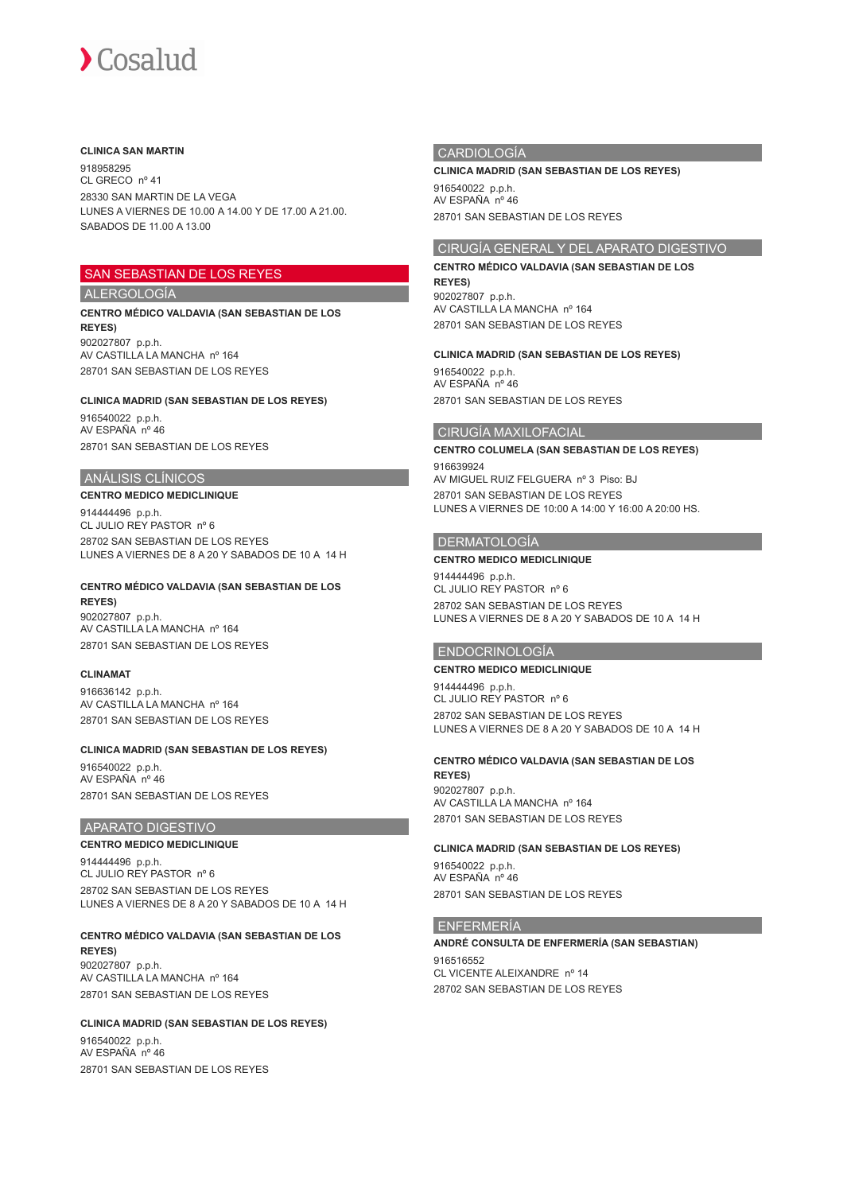### **CLINICA SAN MARTIN**

918958295 CL GRECO nº 41 28330 SAN MARTIN DE LA VEGA LUNES A VIERNES DE 10.00 A 14.00 Y DE 17.00 A 21.00. SABADOS DE 11.00 A 13.00

## SAN SEBASTIAN DE LOS REYES

## ALERGOLOGÍA

### **CENTRO MÉDICO VALDAVIA (SAN SEBASTIAN DE LOS REYES)** 902027807 p.p.h. AV CASTILLA LA MANCHA nº 164 28701 SAN SEBASTIAN DE LOS REYES

## **CLINICA MADRID (SAN SEBASTIAN DE LOS REYES)**

916540022 p.p.h. AV ESPAÑA nº 46 28701 SAN SEBASTIAN DE LOS REYES

## ANÁLISIS CLÍNICOS

**CENTRO MEDICO MEDICLINIQUE** 914444496 p.p.h. CL JULIO REY PASTOR nº 6 28702 SAN SEBASTIAN DE LOS REYES LUNES A VIERNES DE 8 A 20 Y SABADOS DE 10 A 14 H

#### **CENTRO MÉDICO VALDAVIA (SAN SEBASTIAN DE LOS REYES)**

902027807 p.p.h. AV CASTILLA LA MANCHA nº 164 28701 SAN SEBASTIAN DE LOS REYES

### **CLINAMAT**

916636142 p.p.h. AV CASTILLA LA MANCHA nº 164 28701 SAN SEBASTIAN DE LOS REYES

### **CLINICA MADRID (SAN SEBASTIAN DE LOS REYES)**

916540022 p.p.h. AV ESPAÑA nº 46 28701 SAN SEBASTIAN DE LOS REYES

## APARATO DIGESTIVO

### **CENTRO MEDICO MEDICLINIQUE**

914444496 p.p.h. CL JULIO REY PASTOR nº 6 28702 SAN SEBASTIAN DE LOS REYES LUNES A VIERNES DE 8 A 20 Y SABADOS DE 10 A 14 H

## **CENTRO MÉDICO VALDAVIA (SAN SEBASTIAN DE LOS**

**REYES)** 902027807 p.p.h. AV CASTILLA LA MANCHA nº 164 28701 SAN SEBASTIAN DE LOS REYES

### **CLINICA MADRID (SAN SEBASTIAN DE LOS REYES)**

916540022 p.p.h. AV ESPAÑA nº 46 28701 SAN SEBASTIAN DE LOS REYES

## **CARDIOLOGÍA**

**CLINICA MADRID (SAN SEBASTIAN DE LOS REYES)**

916540022 p.p.h. AV ESPAÑA nº 46 28701 SAN SEBASTIAN DE LOS REYES

## CIRUGÍA GENERAL Y DEL APARATO DIGESTIVO

## **CENTRO MÉDICO VALDAVIA (SAN SEBASTIAN DE LOS**

**REYES)** 902027807 p.p.h. AV CASTILLA LA MANCHA nº 164 28701 SAN SEBASTIAN DE LOS REYES

### **CLINICA MADRID (SAN SEBASTIAN DE LOS REYES)**

916540022 p.p.h. AV ESPAÑA nº 46 28701 SAN SEBASTIAN DE LOS REYES

### CIRUGÍA MAXILOFACIAL

## **CENTRO COLUMELA (SAN SEBASTIAN DE LOS REYES)** 916639924 AV MIGUEL RUIZ FELGUERA nº 3 Piso: BJ 28701 SAN SEBASTIAN DE LOS REYES

LUNES A VIERNES DE 10:00 A 14:00 Y 16:00 A 20:00 HS.

### DERMATOLOGÍA

### **CENTRO MEDICO MEDICLINIQUE**

914444496 p.p.h. CL JULIO REY PASTOR nº 6 28702 SAN SEBASTIAN DE LOS REYES LUNES A VIERNES DE 8 A 20 Y SABADOS DE 10 A 14 H

### ENDOCRINOLOGÍA

### **CENTRO MEDICO MEDICLINIQUE**

914444496 p.p.h. CL JULIO REY PASTOR nº 6 28702 SAN SEBASTIAN DE LOS REYES LUNES A VIERNES DE 8 A 20 Y SABADOS DE 10 A 14 H

## **CENTRO MÉDICO VALDAVIA (SAN SEBASTIAN DE LOS REYES)** 902027807 p.p.h.

AV CASTILLA LA MANCHA nº 164 28701 SAN SEBASTIAN DE LOS REYES

## **CLINICA MADRID (SAN SEBASTIAN DE LOS REYES)**

916540022 p.p.h. AV ESPAÑA nº 46 28701 SAN SEBASTIAN DE LOS REYES

## ENFERMERÍA

## **ANDRÉ CONSULTA DE ENFERMERÍA (SAN SEBASTIAN)** 916516552 CL VICENTE ALEIXANDRE nº 14 28702 SAN SEBASTIAN DE LOS REYES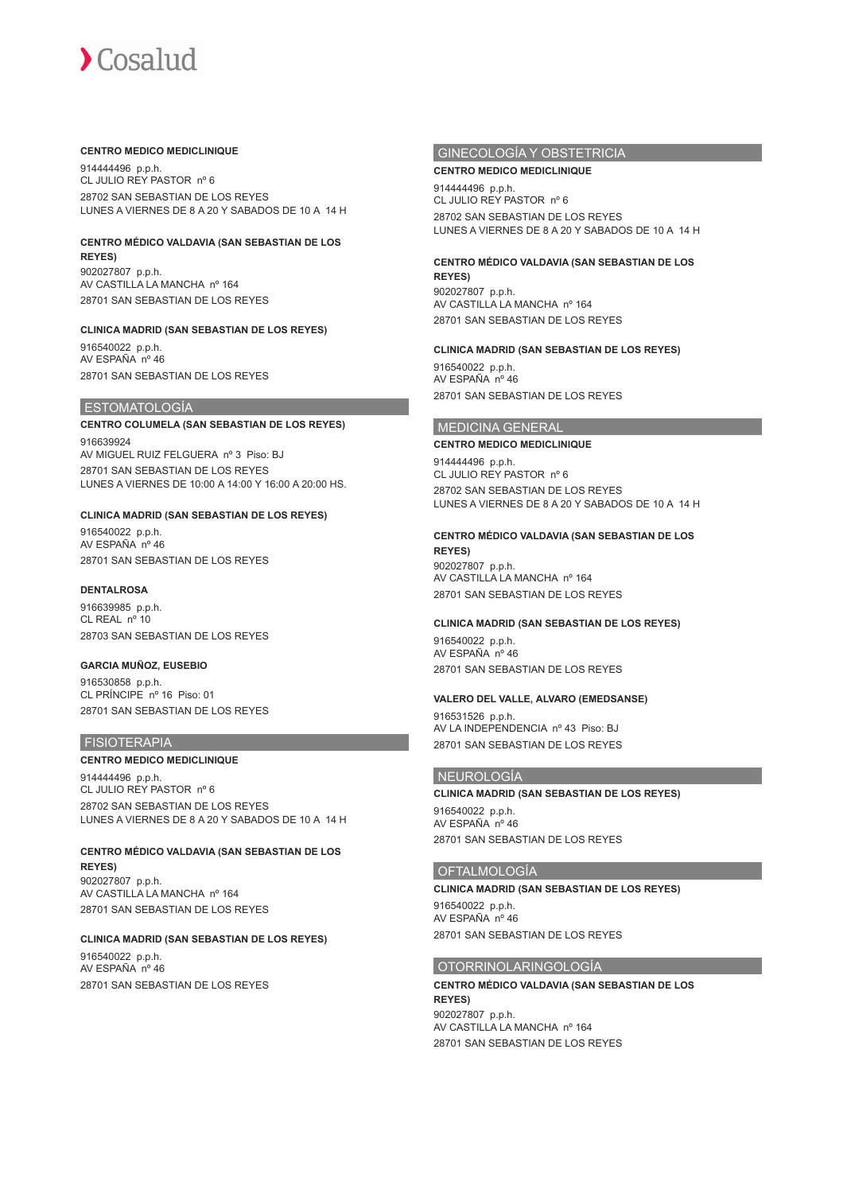### **CENTRO MEDICO MEDICLINIQUE**

914444496 p.p.h. CL JULIO REY PASTOR nº 6 28702 SAN SEBASTIAN DE LOS REYES LUNES A VIERNES DE 8 A 20 Y SABADOS DE 10 A 14 H

# **CENTRO MÉDICO VALDAVIA (SAN SEBASTIAN DE LOS**

**REYES)** 902027807 p.p.h. AV CASTILLA LA MANCHA nº 164 28701 SAN SEBASTIAN DE LOS REYES

### **CLINICA MADRID (SAN SEBASTIAN DE LOS REYES)**

916540022 p.p.h. AV ESPAÑA nº 46 28701 SAN SEBASTIAN DE LOS REYES

## ESTOMATOLOGÍA

## **CENTRO COLUMELA (SAN SEBASTIAN DE LOS REYES)** 916639924

AV MIGUEL RUIZ FELGUERA nº 3 Piso: BJ 28701 SAN SEBASTIAN DE LOS REYES LUNES A VIERNES DE 10:00 A 14:00 Y 16:00 A 20:00 HS.

## **CLINICA MADRID (SAN SEBASTIAN DE LOS REYES)**

916540022 p.p.h. AV ESPAÑA nº 46 28701 SAN SEBASTIAN DE LOS REYES

## **DENTALROSA**

916639985 p.p.h. CL REAL nº 10 28703 SAN SEBASTIAN DE LOS REYES

## **GARCIA MUÑOZ, EUSEBIO**

916530858 p.p.h. CL PRÍNCIPE nº 16 Piso: 01 28701 SAN SEBASTIAN DE LOS REYES

## **FISIOTERAPIA**

## **CENTRO MEDICO MEDICLINIQUE**

914444496 p.p.h. CL JULIO REY PASTOR nº 6 28702 SAN SEBASTIAN DE LOS REYES LUNES A VIERNES DE 8 A 20 Y SABADOS DE 10 A 14 H

# **CENTRO MÉDICO VALDAVIA (SAN SEBASTIAN DE LOS**

**REYES)** 902027807 p.p.h. AV CASTILLA LA MANCHA nº 164 28701 SAN SEBASTIAN DE LOS REYES

## **CLINICA MADRID (SAN SEBASTIAN DE LOS REYES)**

916540022 p.p.h.  $AY$  ESPAÑA  $n^{\circ}$  46 28701 SAN SEBASTIAN DE LOS REYES

## GINECOLOGÍA Y OBSTETRICIA

## **CENTRO MEDICO MEDICLINIQUE**

914444496 p.p.h. CL JULIO REY PASTOR nº 6 28702 SAN SEBASTIAN DE LOS REYES LUNES A VIERNES DE 8 A 20 Y SABADOS DE 10 A 14 H

## **CENTRO MÉDICO VALDAVIA (SAN SEBASTIAN DE LOS**

**REYES)** 902027807 p.p.h. AV CASTILLA LA MANCHA nº 164 28701 SAN SEBASTIAN DE LOS REYES

### **CLINICA MADRID (SAN SEBASTIAN DE LOS REYES)**

916540022 p.p.h. AV ESPAÑA nº 46 28701 SAN SEBASTIAN DE LOS REYES

## MEDICINA GENERAL

**CENTRO MEDICO MEDICLINIQUE** 914444496 p.p.h. CL JULIO REY PASTOR nº 6 28702 SAN SEBASTIAN DE LOS REYES LUNES A VIERNES DE 8 A 20 Y SABADOS DE 10 A 14 H

### **CENTRO MÉDICO VALDAVIA (SAN SEBASTIAN DE LOS REYES)**

902027807 p.p.h. AV CASTILLA LA MANCHA nº 164 28701 SAN SEBASTIAN DE LOS REYES

### **CLINICA MADRID (SAN SEBASTIAN DE LOS REYES)**

916540022 p.p.h. AV ESPAÑA nº 46 28701 SAN SEBASTIAN DE LOS REYES

### **VALERO DEL VALLE, ALVARO (EMEDSANSE)**

916531526 p.p.h. AV LA INDEPENDENCIA nº 43 Piso: BJ 28701 SAN SEBASTIAN DE LOS REYES

## NEUROLOGÍA

**CLINICA MADRID (SAN SEBASTIAN DE LOS REYES)** 916540022 p.p.h. AV ESPAÑA nº 46 28701 SAN SEBASTIAN DE LOS REYES

### **OFTALMOLOGÍA**

**CLINICA MADRID (SAN SEBASTIAN DE LOS REYES)** 916540022 p.p.h.

AV ESPAÑA nº 46 28701 SAN SEBASTIAN DE LOS REYES

## OTORRINOLARINGOLOGÍA

**CENTRO MÉDICO VALDAVIA (SAN SEBASTIAN DE LOS REYES)** 902027807 p.p.h. AV CASTILLA LA MANCHA nº 164 28701 SAN SEBASTIAN DE LOS REYES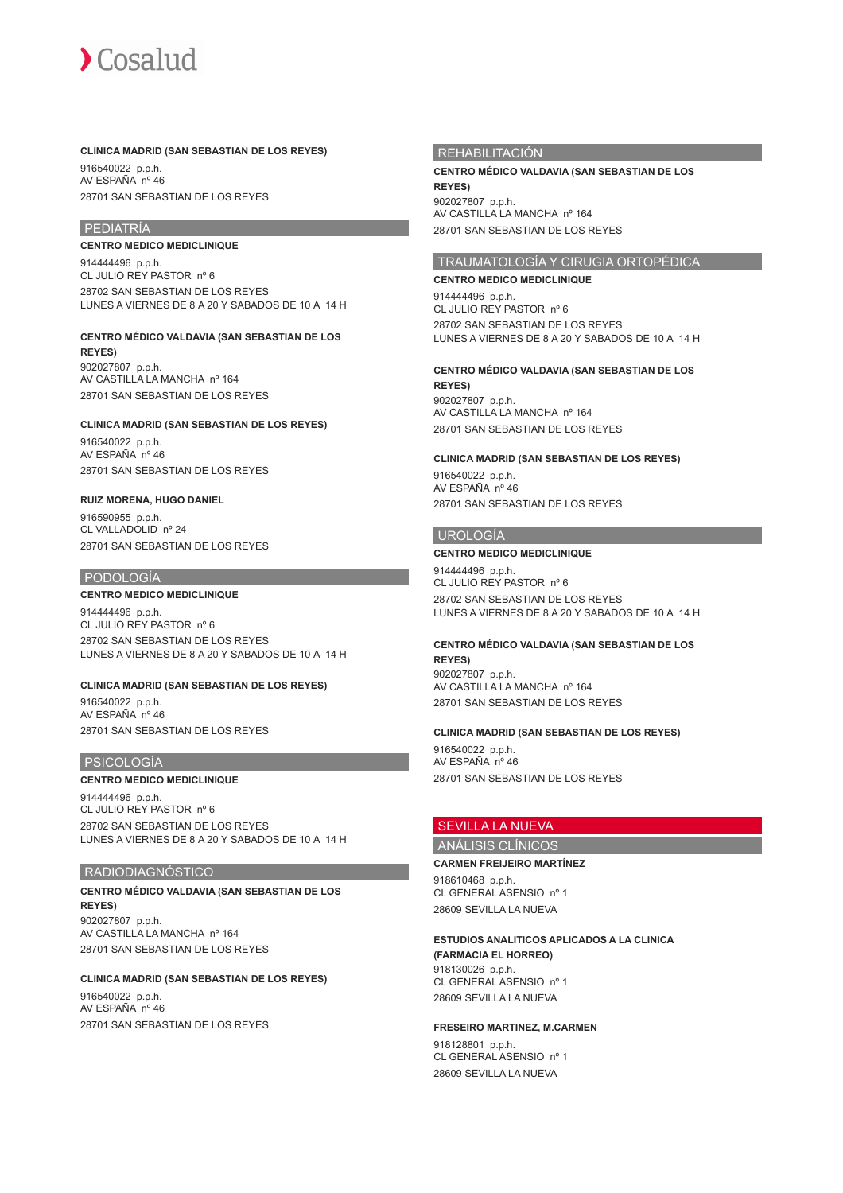### **CLINICA MADRID (SAN SEBASTIAN DE LOS REYES)**

916540022 p.p.h. AV ESPAÑA nº 46 28701 SAN SEBASTIAN DE LOS REYES

## PEDIATRÍA

**CENTRO MEDICO MEDICLINIQUE**

914444496 p.p.h. CL JULIO REY PASTOR nº 6 28702 SAN SEBASTIAN DE LOS REYES LUNES A VIERNES DE 8 A 20 Y SABADOS DE 10 A 14 H

### **CENTRO MÉDICO VALDAVIA (SAN SEBASTIAN DE LOS REYES)**

902027807 p.p.h. AV CASTILLA LA MANCHA nº 164 28701 SAN SEBASTIAN DE LOS REYES

## **CLINICA MADRID (SAN SEBASTIAN DE LOS REYES)**

916540022 p.p.h. AV ESPAÑA nº 46 28701 SAN SEBASTIAN DE LOS REYES

### **RUIZ MORENA, HUGO DANIEL**

916590955 p.p.h. CL VALLADOLID nº 24 28701 SAN SEBASTIAN DE LOS REYES

### PODOLOGÍA

**CENTRO MEDICO MEDICLINIQUE**

914444496 p.p.h. CL JULIO REY PASTOR nº 6 28702 SAN SEBASTIAN DE LOS REYES LUNES A VIERNES DE 8 A 20 Y SABADOS DE 10 A 14 H

### **CLINICA MADRID (SAN SEBASTIAN DE LOS REYES)**

916540022 p.p.h. AV ESPAÑA nº 46 28701 SAN SEBASTIAN DE LOS REYES

## PSICOLOGÍA

### **CENTRO MEDICO MEDICLINIQUE**

914444496 p.p.h. CL JULIO REY PASTOR nº 6 28702 SAN SEBASTIAN DE LOS REYES LUNES A VIERNES DE 8 A 20 Y SABADOS DE 10 A 14 H

### RADIODIAGNÓSTICO

## **CENTRO MÉDICO VALDAVIA (SAN SEBASTIAN DE LOS REYES)** 902027807 p.p.h.

AV CASTILLA LA MANCHA nº 164 28701 SAN SEBASTIAN DE LOS REYES

## **CLINICA MADRID (SAN SEBASTIAN DE LOS REYES)**

916540022 p.p.h. AV ESPAÑA nº 46 28701 SAN SEBASTIAN DE LOS REYES

## REHABILITACIÓN

**CENTRO MÉDICO VALDAVIA (SAN SEBASTIAN DE LOS REYES)** 902027807 p.p.h. AV CASTILLA LA MANCHA nº 164 28701 SAN SEBASTIAN DE LOS REYES

## TRAUMATOLOGÍA Y CIRUGIA ORTOPÉDICA

## **CENTRO MEDICO MEDICLINIQUE**

914444496 p.p.h. CL JULIO REY PASTOR nº 6 28702 SAN SEBASTIAN DE LOS REYES LUNES A VIERNES DE 8 A 20 Y SABADOS DE 10 A 14 H

### **CENTRO MÉDICO VALDAVIA (SAN SEBASTIAN DE LOS REYES)**

902027807 p.p.h. AV CASTILLA LA MANCHA nº 164 28701 SAN SEBASTIAN DE LOS REYES

### **CLINICA MADRID (SAN SEBASTIAN DE LOS REYES)**

916540022 p.p.h. AV ESPAÑA nº 46 28701 SAN SEBASTIAN DE LOS REYES

## UROLOGÍA

### **CENTRO MEDICO MEDICLINIQUE**

914444496 p.p.h. CL JULIO REY PASTOR nº 6 28702 SAN SEBASTIAN DE LOS REYES LUNES A VIERNES DE 8 A 20 Y SABADOS DE 10 A 14 H

## **CENTRO MÉDICO VALDAVIA (SAN SEBASTIAN DE LOS**

**REYES)** 902027807 p.p.h. AV CASTILLA LA MANCHA nº 164 28701 SAN SEBASTIAN DE LOS REYES

### **CLINICA MADRID (SAN SEBASTIAN DE LOS REYES)**

916540022 p.p.h. AV ESPAÑA nº 46 28701 SAN SEBASTIAN DE LOS REYES

## SEVILLA LA NUEVA

# ANÁLISIS CLÍNICOS

**CARMEN FREIJEIRO MARTÍNEZ** 918610468 p.p.h.

CL GENERAL ASENSIO nº 1 28609 SEVILLA LA NUEVA

## **ESTUDIOS ANALITICOS APLICADOS A LA CLINICA**

**(FARMACIA EL HORREO)** 918130026 p.p.h. CL GENERAL ASENSIO nº 1 28609 SEVILLA LA NUEVA

### **FRESEIRO MARTINEZ, M.CARMEN**

918128801 p.p.h. CL GENERAL ASENSIO nº 1 28609 SEVILLA LA NUEVA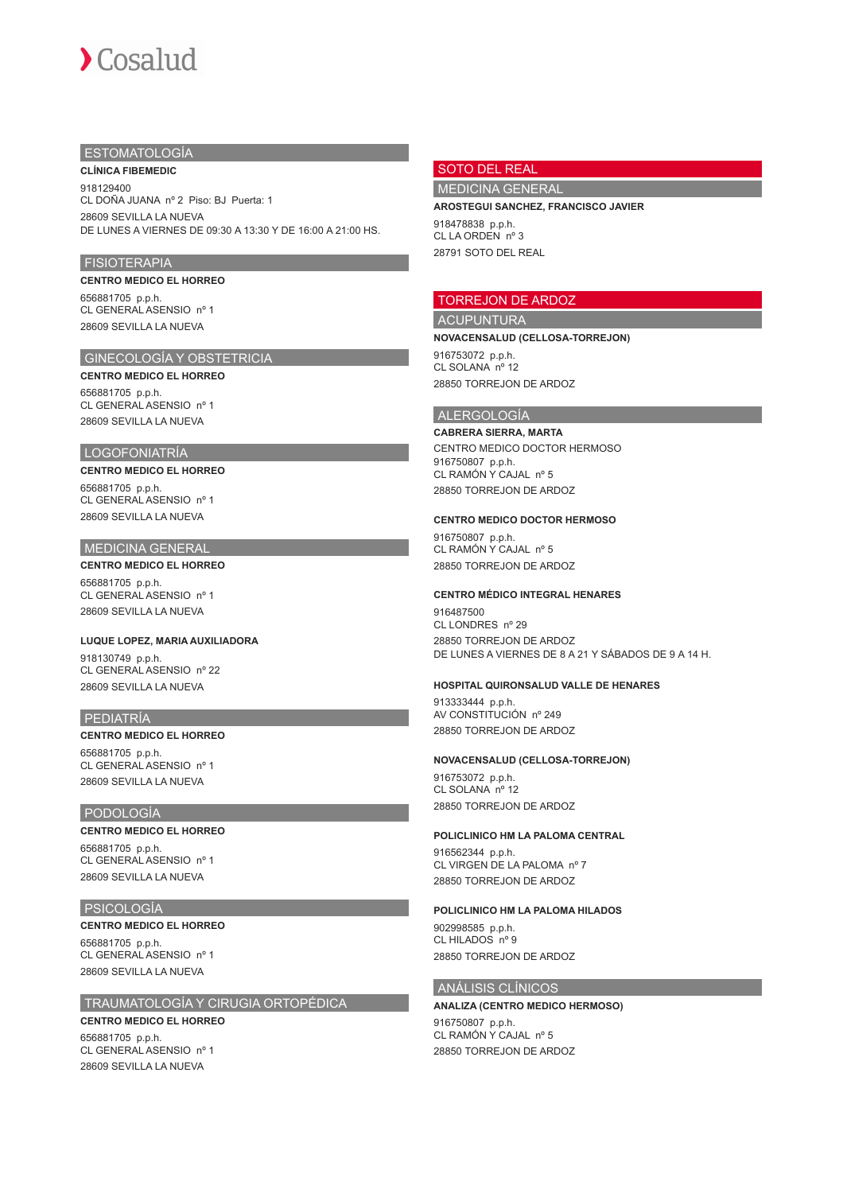## ESTOMATOLOGÍA

**CLÍNICA FIBEMEDIC** 918129400 CL DOÑA JUANA nº 2 Piso: BJ Puerta: 1 28609 SEVILLA LA NUEVA DE LUNES A VIERNES DE 09:30 A 13:30 Y DE 16:00 A 21:00 HS.

### FISIOTERAPIA

### **CENTRO MEDICO EL HORREO** 656881705 p.p.h. CL GENERAL ASENSIO nº 1

28609 SEVILLA LA NUEVA

## GINECOLOGÍA Y OBSTETRICIA

**CENTRO MEDICO EL HORREO** 656881705 p.p.h. CL GENERAL ASENSIO nº 1 28609 SEVILLA LA NUEVA

### LOGOFONIATRÍA

## **CENTRO MEDICO EL HORREO**

656881705 p.p.h. CL GENERAL ASENSIO nº 1 28609 SEVILLA LA NUEVA

## **MEDICINA GENERAL**

**CENTRO MEDICO EL HORREO** 656881705 p.p.h. CL GENERAL ASENSIO nº 1 28609 SEVILLA LA NUEVA

## **LUQUE LOPEZ, MARIA AUXILIADORA**

918130749 p.p.h. CL GENERAL ASENSIO nº 22 28609 SEVILLA LA NUEVA

### PEDIATRÍA

# **CENTRO MEDICO EL HORREO**

656881705 p.p.h. CL GENERAL ASENSIO nº 1 28609 SEVILLA LA NUEVA

## PODOLOGÍA

**CENTRO MEDICO EL HORREO** 656881705 p.p.h. CL GENERAL ASENSIO nº 1 28609 SEVILLA LA NUEVA

## PSICOLOGÍA

**CENTRO MEDICO EL HORREO** 656881705 p.p.h. CL GENERAL ASENSIO nº 1 28609 SEVILLA LA NUEVA

## TRAUMATOLOGÍA Y CIRUGIA ORTOPÉDICA **CENTRO MEDICO EL HORREO**

656881705 p.p.h. CL GENERAL ASENSIO nº 1 28609 SEVILLA LA NUEVA

## SOTO DEL REAL

MEDICINA GENERAL

## **AROSTEGUI SANCHEZ, FRANCISCO JAVIER**

918478838 p.p.h. CL LA ORDEN nº 3 28791 SOTO DEL REAL

## TORREJON DE ARDOZ

## ACUPUNTURA

**NOVACENSALUD (CELLOSA-TORREJON)**

916753072 p.p.h. CL SOLANA nº 12 28850 TORREJON DE ARDOZ

### ALERGOLOGÍA

#### **CABRERA SIERRA, MARTA**

CENTRO MEDICO DOCTOR HERMOSO 916750807 p.p.h. CL RAMÓN Y CAJAL nº 5 28850 TORREJON DE ARDOZ

### **CENTRO MEDICO DOCTOR HERMOSO**

916750807 p.p.h. CL RAMÓN Y CAJAL nº 5 28850 TORREJON DE ARDOZ

### **CENTRO MÉDICO INTEGRAL HENARES**

916487500 CL LONDRES nº 29 28850 TORREJON DE ARDOZ DE LUNES A VIERNES DE 8 A 21 Y SÁBADOS DE 9 A 14 H.

### **HOSPITAL QUIRONSALUD VALLE DE HENARES**

913333444 p.p.h. AV CONSTITUCIÓN nº 249 28850 TORREJON DE ARDOZ

### **NOVACENSALUD (CELLOSA-TORREJON)**

916753072 p.p.h. CL SOLANA nº 12 28850 TORREJON DE ARDOZ

#### **POLICLINICO HM LA PALOMA CENTRAL**

916562344 p.p.h. CL VIRGEN DE LA PALOMA nº 7 28850 TORREJON DE ARDOZ

## **POLICLINICO HM LA PALOMA HILADOS**

902998585 p.p.h. CL HILADOS nº 9 28850 TORREJON DE ARDOZ

## ANÁLISIS CLÍNICOS

# **ANALIZA (CENTRO MEDICO HERMOSO)**

916750807 p.p.h. CL RAMÓN Y CAJAL nº 5 28850 TORREJON DE ARDOZ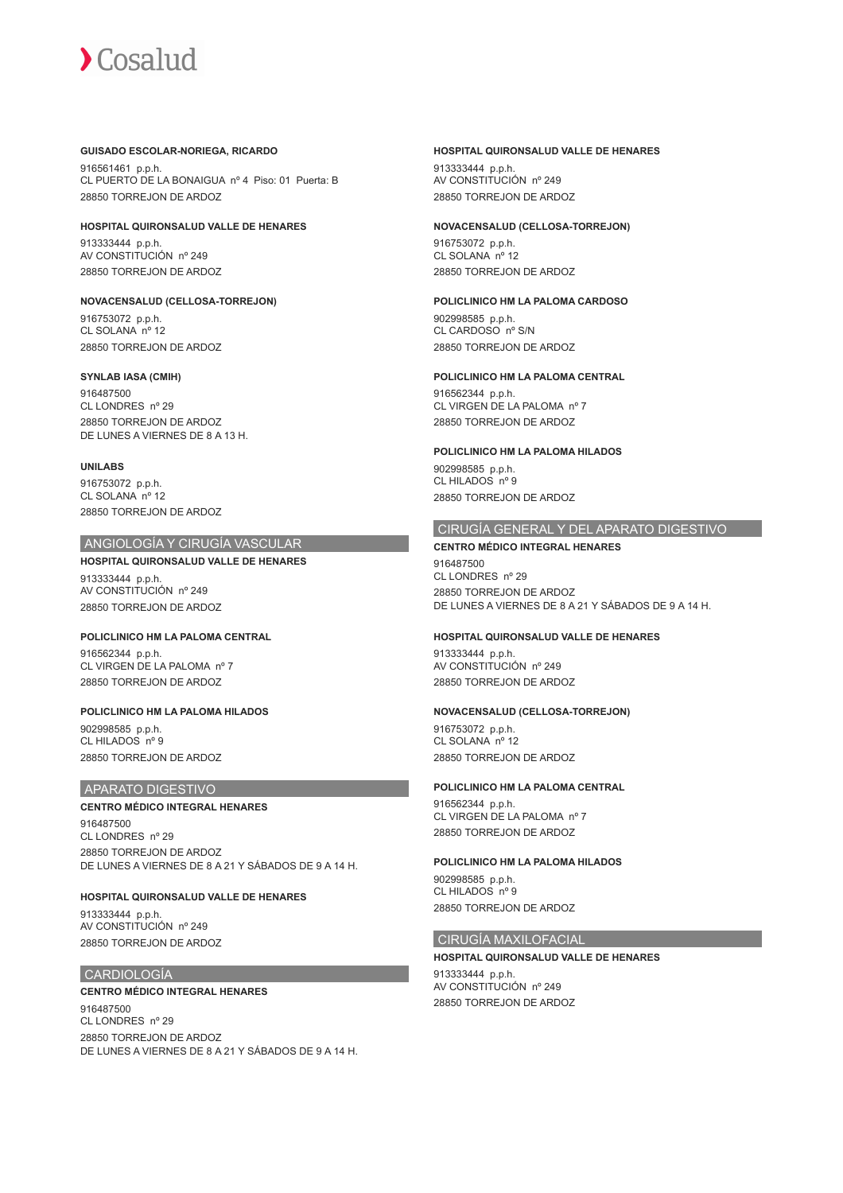## **GUISADO ESCOLAR-NORIEGA, RICARDO**

916561461 p.p.h. CL PUERTO DE LA BONAIGUA nº 4 Piso: 01 Puerta: B 28850 TORREJON DE ARDOZ

### **HOSPITAL QUIRONSALUD VALLE DE HENARES**

913333444 p.p.h. AV CONSTITUCIÓN nº 249 28850 TORREJON DE ARDOZ

### **NOVACENSALUD (CELLOSA-TORREJON)**

916753072 p.p.h. CL SOLANA nº 12 28850 TORREJON DE ARDOZ

## **SYNLAB IASA (CMIH)**

916487500 CL LONDRES nº 29 28850 TORREJON DE ARDOZ DE LUNES A VIERNES DE 8 A 13 H.

### **UNILABS**

916753072 p.p.h. CL SOLANA nº 12 28850 TORREJON DE ARDOZ

## ANGIOLOGÍA Y CIRUGÍA VASCULAR

## **HOSPITAL QUIRONSALUD VALLE DE HENARES**

913333444 p.p.h. AV CONSTITUCIÓN nº 249 28850 TORREJON DE ARDOZ

### **POLICLINICO HM LA PALOMA CENTRAL**

916562344 p.p.h. CL VIRGEN DE LA PALOMA nº 7 28850 TORREJON DE ARDOZ

### **POLICLINICO HM LA PALOMA HILADOS**

902998585 p.p.h. CL HILADOS nº 9 28850 TORREJON DE ARDOZ

## APARATO DIGESTIVO

### **CENTRO MÉDICO INTEGRAL HENARES**

916487500 CL LONDRES nº 29 28850 TORREJON DE ARDOZ DE LUNES A VIERNES DE 8 A 21 Y SÁBADOS DE 9 A 14 H.

### **HOSPITAL QUIRONSALUD VALLE DE HENARES**

913333444 p.p.h. AV CONSTITUCIÓN nº 249 28850 TORREJON DE ARDOZ

## CARDIOLOGÍA

## **CENTRO MÉDICO INTEGRAL HENARES**

916487500 CL LONDRES nº 29 28850 TORREJON DE ARDOZ DE LUNES A VIERNES DE 8 A 21 Y SÁBADOS DE 9 A 14 H.

## **HOSPITAL QUIRONSALUD VALLE DE HENARES**

913333444 p.p.h. AV CONSTITUCIÓN nº 249 28850 TORREJON DE ARDOZ

### **NOVACENSALUD (CELLOSA-TORREJON)**

916753072 p.p.h. CL SOLANA nº 12 28850 TORREJON DE ARDOZ

### **POLICLINICO HM LA PALOMA CARDOSO**

902998585 p.p.h. CL CARDOSO nº S/N 28850 TORREJON DE ARDOZ

### **POLICLINICO HM LA PALOMA CENTRAL**

916562344 p.p.h. CL VIRGEN DE LA PALOMA nº 7 28850 TORREJON DE ARDOZ

### **POLICLINICO HM LA PALOMA HILADOS**

902998585 p.p.h. CL HILADOS nº 9 28850 TORREJON DE ARDOZ

## CIRUGÍA GENERAL Y DEL APARATO DIGESTIVO

## **CENTRO MÉDICO INTEGRAL HENARES** 916487500

CL LONDRES nº 29 28850 TORREJON DE ARDOZ DE LUNES A VIERNES DE 8 A 21 Y SÁBADOS DE 9 A 14 H.

### **HOSPITAL QUIRONSALUD VALLE DE HENARES**

913333444 p.p.h. AV CONSTITUCIÓN nº 249 28850 TORREJON DE ARDOZ

### **NOVACENSALUD (CELLOSA-TORREJON)**

916753072 p.p.h. CL SOLANA nº 12 28850 TORREJON DE ARDOZ

### **POLICLINICO HM LA PALOMA CENTRAL**

916562344 p.p.h. CL VIRGEN DE LA PALOMA nº 7 28850 TORREJON DE ARDOZ

### **POLICLINICO HM LA PALOMA HILADOS**

902998585 p.p.h. CL HILADOS nº 9 28850 TORREJON DE ARDOZ

## CIRUGÍA MAXILOFACIAL

### **HOSPITAL QUIRONSALUD VALLE DE HENARES**

913333444 p.p.h. AV CONSTITUCIÓN nº 249 28850 TORREJON DE ARDOZ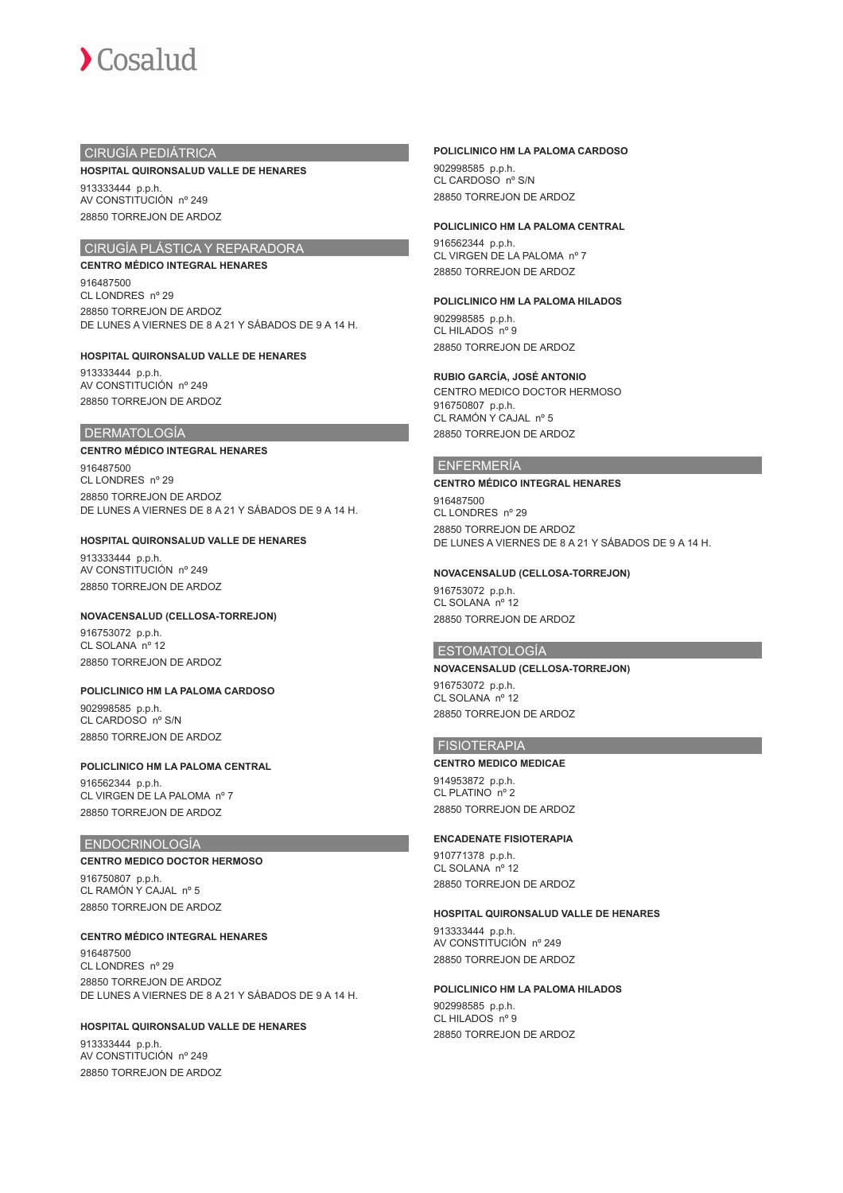

## CIRUGÍA PEDIÁTRICA

### **HOSPITAL QUIRONSALUD VALLE DE HENARES**

913333444 p.p.h. AV CONSTITUCIÓN nº 249 28850 TORREJON DE ARDOZ

## CIRUGÍA PLÁSTICA Y REPARADORA

**CENTRO MÉDICO INTEGRAL HENARES** 916487500 CL LONDRES nº 29 28850 TORREJON DE ARDOZ DE LUNES A VIERNES DE 8 A 21 Y SÁBADOS DE 9 A 14 H.

## **HOSPITAL QUIRONSALUD VALLE DE HENARES**

913333444 p.p.h. AV CONSTITUCIÓN nº 249 28850 TORREJON DE ARDOZ

### DERMATOLOGÍA

### **CENTRO MÉDICO INTEGRAL HENARES**

916487500 CL LONDRES nº 29 28850 TORREJON DE ARDOZ DE LUNES A VIERNES DE 8 A 21 Y SÁBADOS DE 9 A 14 H.

### **HOSPITAL QUIRONSALUD VALLE DE HENARES**

913333444 p.p.h. AV CONSTITUCIÓN nº 249 28850 TORREJON DE ARDOZ

### **NOVACENSALUD (CELLOSA-TORREJON)**

916753072 p.p.h. CL SOLANA nº 12 28850 TORREJON DE ARDOZ

### **POLICLINICO HM LA PALOMA CARDOSO**

902998585 p.p.h. CL CARDOSO nº S/N 28850 TORREJON DE ARDOZ

### **POLICLINICO HM LA PALOMA CENTRAL**

916562344 p.p.h. CL VIRGEN DE LA PALOMA nº 7 28850 TORREJON DE ARDOZ

## ENDOCRINOLOGÍA

#### **CENTRO MEDICO DOCTOR HERMOSO**

916750807 p.p.h. CL RAMÓN Y CAJAL nº 5 28850 TORREJON DE ARDOZ

### **CENTRO MÉDICO INTEGRAL HENARES**

916487500 CL LONDRES nº 29 28850 TORREJON DE ARDOZ DE LUNES A VIERNES DE 8 A 21 Y SÁBADOS DE 9 A 14 H.

### **HOSPITAL QUIRONSALUD VALLE DE HENARES**

913333444 p.p.h. AV CONSTITUCIÓN nº 249 28850 TORREJON DE ARDOZ

## **POLICLINICO HM LA PALOMA CARDOSO**

902998585 p.p.h. CL CARDOSO nº S/N 28850 TORREJON DE ARDOZ

### **POLICLINICO HM LA PALOMA CENTRAL**

916562344 p.p.h. CL VIRGEN DE LA PALOMA nº 7 28850 TORREJON DE ARDOZ

### **POLICLINICO HM LA PALOMA HILADOS**

902998585 p.p.h. CL HILADOS nº 9 28850 TORREJON DE ARDOZ

#### **RUBIO GARCÍA, JOSÉ ANTONIO**

CENTRO MEDICO DOCTOR HERMOSO 916750807 p.p.h. CL RAMÓN Y CAJAL nº 5 28850 TORREJON DE ARDOZ

### ENFERMERÍA

#### **CENTRO MÉDICO INTEGRAL HENARES**

916487500 CL LONDRES nº 29 28850 TORREJON DE ARDOZ DE LUNES A VIERNES DE 8 A 21 Y SÁBADOS DE 9 A 14 H.

### **NOVACENSALUD (CELLOSA-TORREJON)**

916753072 p.p.h. CL SOLANA nº 12 28850 TORREJON DE ARDOZ

### ESTOMATOLOGÍA

**NOVACENSALUD (CELLOSA-TORREJON)** 916753072 p.p.h. CL SOLANA nº 12

28850 TORREJON DE ARDOZ

## **FISIOTERAPIA**

## **CENTRO MEDICO MEDICAE**

914953872 p.p.h. CL PLATINO nº 2 28850 TORREJON DE ARDOZ

### **ENCADENATE FISIOTERAPIA**

910771378 p.p.h. CL SOLANA nº 12 28850 TORREJON DE ARDOZ

## **HOSPITAL QUIRONSALUD VALLE DE HENARES**

913333444 p.p.h. AV CONSTITUCIÓN nº 249 28850 TORREJON DE ARDOZ

### **POLICLINICO HM LA PALOMA HILADOS**

902998585 p.p.h.  $CI$  HII ADOS  $n^{\circ}$  9 28850 TORREJON DE ARDOZ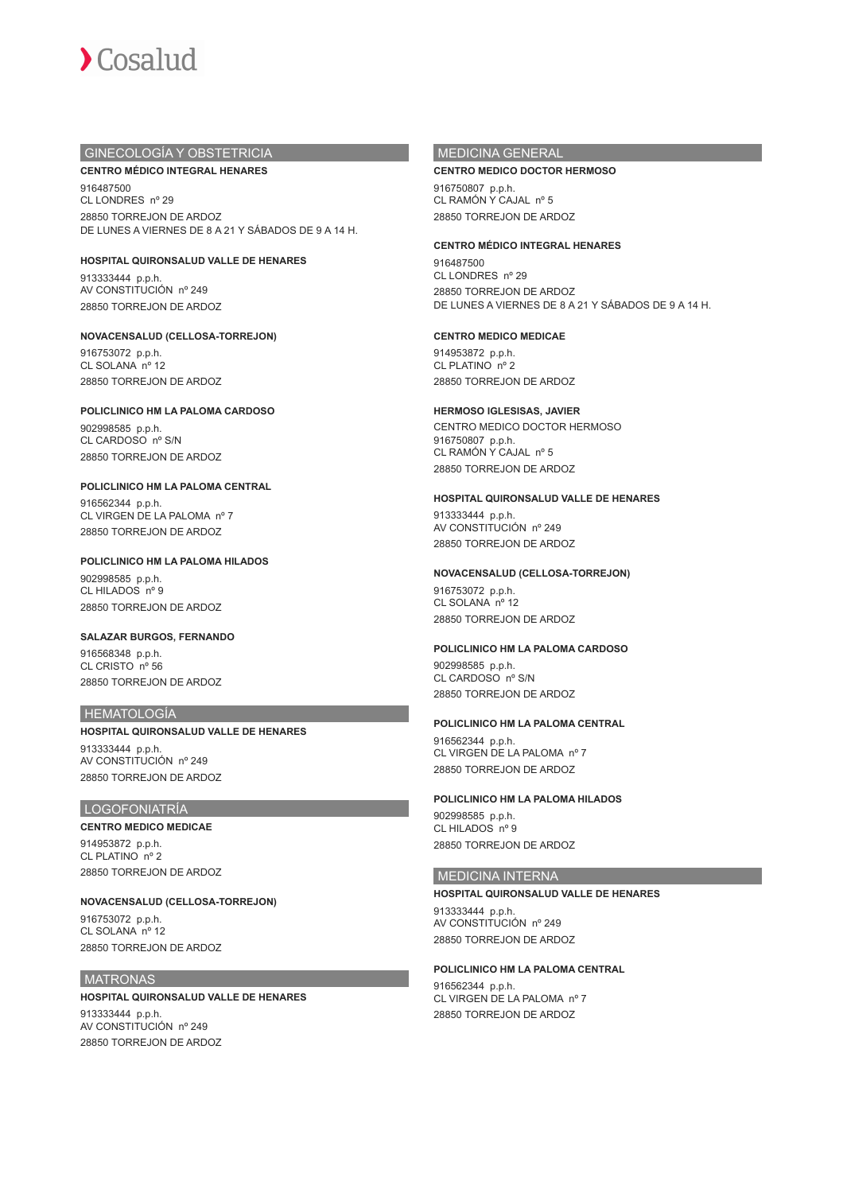

## GINECOLOGÍA Y OBSTETRICIA

### **CENTRO MÉDICO INTEGRAL HENARES**

916487500 CL LONDRES nº 29 28850 TORREJON DE ARDOZ DE LUNES A VIERNES DE 8 A 21 Y SÁBADOS DE 9 A 14 H.

### **HOSPITAL QUIRONSALUD VALLE DE HENARES**

913333444 p.p.h. AV CONSTITUCIÓN nº 249 28850 TORREJON DE ARDOZ

## **NOVACENSALUD (CELLOSA-TORREJON)**

916753072 p.p.h. CL SOLANA nº 12 28850 TORREJON DE ARDOZ

## **POLICLINICO HM LA PALOMA CARDOSO**

902998585 p.p.h. CL CARDOSO nº S/N 28850 TORREJON DE ARDOZ

### **POLICLINICO HM LA PALOMA CENTRAL**

916562344 p.p.h. CL VIRGEN DE LA PALOMA nº 7 28850 TORREJON DE ARDOZ

### **POLICLINICO HM LA PALOMA HILADOS**

902998585 p.p.h. CL HILADOS nº 9 28850 TORREJON DE ARDOZ

## **SALAZAR BURGOS, FERNANDO** 916568348 p.p.h.

CL CRISTO nº 56 28850 TORREJON DE ARDOZ

## HEMATOLOGÍA

## **HOSPITAL QUIRONSALUD VALLE DE HENARES** 913333444 p.p.h. AV CONSTITUCIÓN nº 249 28850 TORREJON DE ARDOZ

## LOGOFONIATRÍA

## **CENTRO MEDICO MEDICAE**

914953872 p.p.h. CL PLATINO nº 2 28850 TORREJON DE ARDOZ

### **NOVACENSALUD (CELLOSA-TORREJON)**

916753072 p.p.h. CL SOLANA nº 12 28850 TORREJON DE ARDOZ

## **MATRONAS**

## **HOSPITAL QUIRONSALUD VALLE DE HENARES**

913333444 p.p.h. AV CONSTITUCIÓN nº 249 28850 TORREJON DE ARDOZ

## MEDICINA GENERAL

### **CENTRO MEDICO DOCTOR HERMOSO**

916750807 p.p.h. CL RAMÓN Y CAJAL nº 5 28850 TORREJON DE ARDOZ

### **CENTRO MÉDICO INTEGRAL HENARES**

916487500 CL LONDRES nº 29 28850 TORREJON DE ARDOZ DE LUNES A VIERNES DE 8 A 21 Y SÁBADOS DE 9 A 14 H.

## **CENTRO MEDICO MEDICAE**

914953872 p.p.h. CL PLATINO nº 2 28850 TORREJON DE ARDOZ

### **HERMOSO IGLESISAS, JAVIER**

CENTRO MEDICO DOCTOR HERMOSO 916750807 p.p.h. CL RAMÓN Y CAJAL nº 5 28850 TORREJON DE ARDOZ

### **HOSPITAL QUIRONSALUD VALLE DE HENARES**

913333444 p.p.h. AV CONSTITUCIÓN nº 249 28850 TORREJON DE ARDOZ

### **NOVACENSALUD (CELLOSA-TORREJON)**

916753072 p.p.h. CL SOLANA nº 12 28850 TORREJON DE ARDOZ

## **POLICLINICO HM LA PALOMA CARDOSO**

902998585 p.p.h. CL CARDOSO nº S/N 28850 TORREJON DE ARDOZ

## **POLICLINICO HM LA PALOMA CENTRAL**

916562344 p.p.h. CL VIRGEN DE LA PALOMA nº 7 28850 TORREJON DE ARDOZ

## **POLICLINICO HM LA PALOMA HILADOS**

902998585 p.p.h. CL HILADOS nº 9 28850 TORREJON DE ARDOZ

## MEDICINA INTERNA

**HOSPITAL QUIRONSALUD VALLE DE HENARES** 913333444 p.p.h. AV CONSTITUCIÓN nº 249 28850 TORREJON DE ARDOZ

## **POLICLINICO HM LA PALOMA CENTRAL**

916562344 p.p.h. CL VIRGEN DE LA PALOMA nº 7 28850 TORREJON DE ARDOZ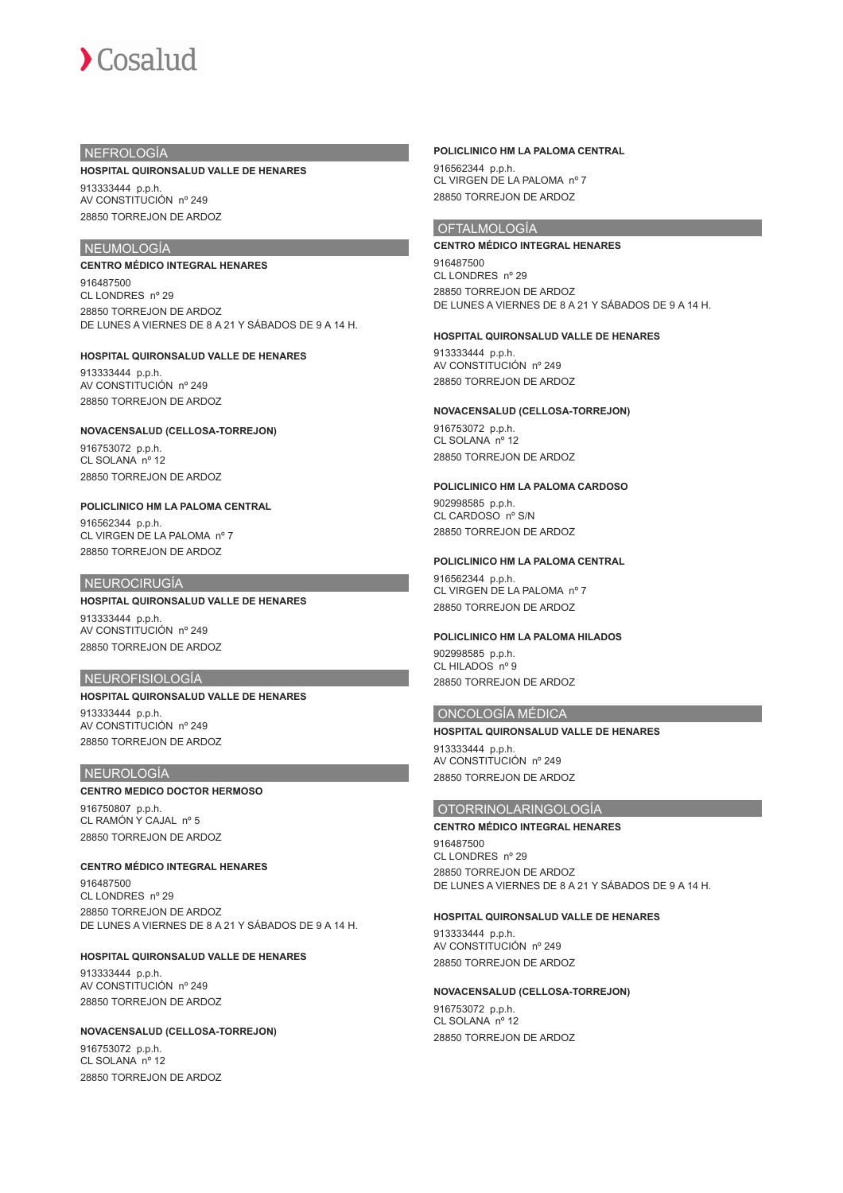## **NEFROLOGÍA**

#### **HOSPITAL QUIRONSALUD VALLE DE HENARES**

913333444 p.p.h. AV CONSTITUCIÓN nº 249 28850 TORREJON DE ARDOZ

# **NEUMOLOGÍA**

### **CENTRO MÉDICO INTEGRAL HENARES**

916487500 CL LONDRES nº 29 28850 TORREJON DE ARDOZ DE LUNES A VIERNES DE 8 A 21 Y SÁBADOS DE 9 A 14 H.

## **HOSPITAL QUIRONSALUD VALLE DE HENARES**

913333444 p.p.h. AV CONSTITUCIÓN nº 249 28850 TORREJON DE ARDOZ

### **NOVACENSALUD (CELLOSA-TORREJON)**

916753072 p.p.h. CL SOLANA nº 12 28850 TORREJON DE ARDOZ

## **POLICLINICO HM LA PALOMA CENTRAL**

916562344 p.p.h. CL VIRGEN DE LA PALOMA nº 7 28850 TORREJON DE ARDOZ

### NEUROCIRUGÍA

## **HOSPITAL QUIRONSALUD VALLE DE HENARES**

913333444 p.p.h. AV CONSTITUCIÓN nº 249 28850 TORREJON DE ARDOZ

## NEUROFISIOLOGÍA

## **HOSPITAL QUIRONSALUD VALLE DE HENARES**

913333444 p.p.h. AV CONSTITUCIÓN nº 249 28850 TORREJON DE ARDOZ

### NEUROLOGÍA

### **CENTRO MEDICO DOCTOR HERMOSO**

916750807 p.p.h. CL RAMÓN Y CAJAL nº 5 28850 TORREJON DE ARDOZ

### **CENTRO MÉDICO INTEGRAL HENARES**

916487500 CL LONDRES nº 29 28850 TORREJON DE ARDOZ DE LUNES A VIERNES DE 8 A 21 Y SÁBADOS DE 9 A 14 H.

### **HOSPITAL QUIRONSALUD VALLE DE HENARES**

913333444 p.p.h. AV CONSTITUCIÓN nº 249 28850 TORREJON DE ARDOZ

### **NOVACENSALUD (CELLOSA-TORREJON)**

916753072 p.p.h. CL SOLANA nº 12 28850 TORREJON DE ARDOZ

### **POLICLINICO HM LA PALOMA CENTRAL**

916562344 p.p.h. CL VIRGEN DE LA PALOMA nº 7 28850 TORREJON DE ARDOZ

## **OFTALMOLOGÍA**

### **CENTRO MÉDICO INTEGRAL HENARES**

916487500 CL LONDRES nº 29 28850 TORREJON DE ARDOZ DE LUNES A VIERNES DE 8 A 21 Y SÁBADOS DE 9 A 14 H.

### **HOSPITAL QUIRONSALUD VALLE DE HENARES**

913333444 p.p.h. AV CONSTITUCIÓN nº 249 28850 TORREJON DE ARDOZ

### **NOVACENSALUD (CELLOSA-TORREJON)**

916753072 p.p.h. CL SOLANA nº 12 28850 TORREJON DE ARDOZ

#### **POLICLINICO HM LA PALOMA CARDOSO**

902998585 p.p.h. CL CARDOSO nº S/N 28850 TORREJON DE ARDOZ

### **POLICLINICO HM LA PALOMA CENTRAL**

916562344 p.p.h. CL VIRGEN DE LA PALOMA nº 7 28850 TORREJON DE ARDOZ

#### **POLICLINICO HM LA PALOMA HILADOS**

902998585 p.p.h. CL HILADOS nº 9 28850 TORREJON DE ARDOZ

### ONCOLOGÍA MÉDICA

**HOSPITAL QUIRONSALUD VALLE DE HENARES** 913333444 p.p.h. AV CONSTITUCIÓN nº 249 28850 TORREJON DE ARDOZ

## OTORRINOLARINGOLOGÍA

### **CENTRO MÉDICO INTEGRAL HENARES**

916487500 CL LONDRES nº 29 28850 TORREJON DE ARDOZ DE LUNES A VIERNES DE 8 A 21 Y SÁBADOS DE 9 A 14 H.

### **HOSPITAL QUIRONSALUD VALLE DE HENARES**

913333444 p.p.h. AV CONSTITUCIÓN nº 249 28850 TORREJON DE ARDOZ

### **NOVACENSALUD (CELLOSA-TORREJON)**

916753072 p.p.h. CL SOLANA nº 12 28850 TORREJON DE ARDOZ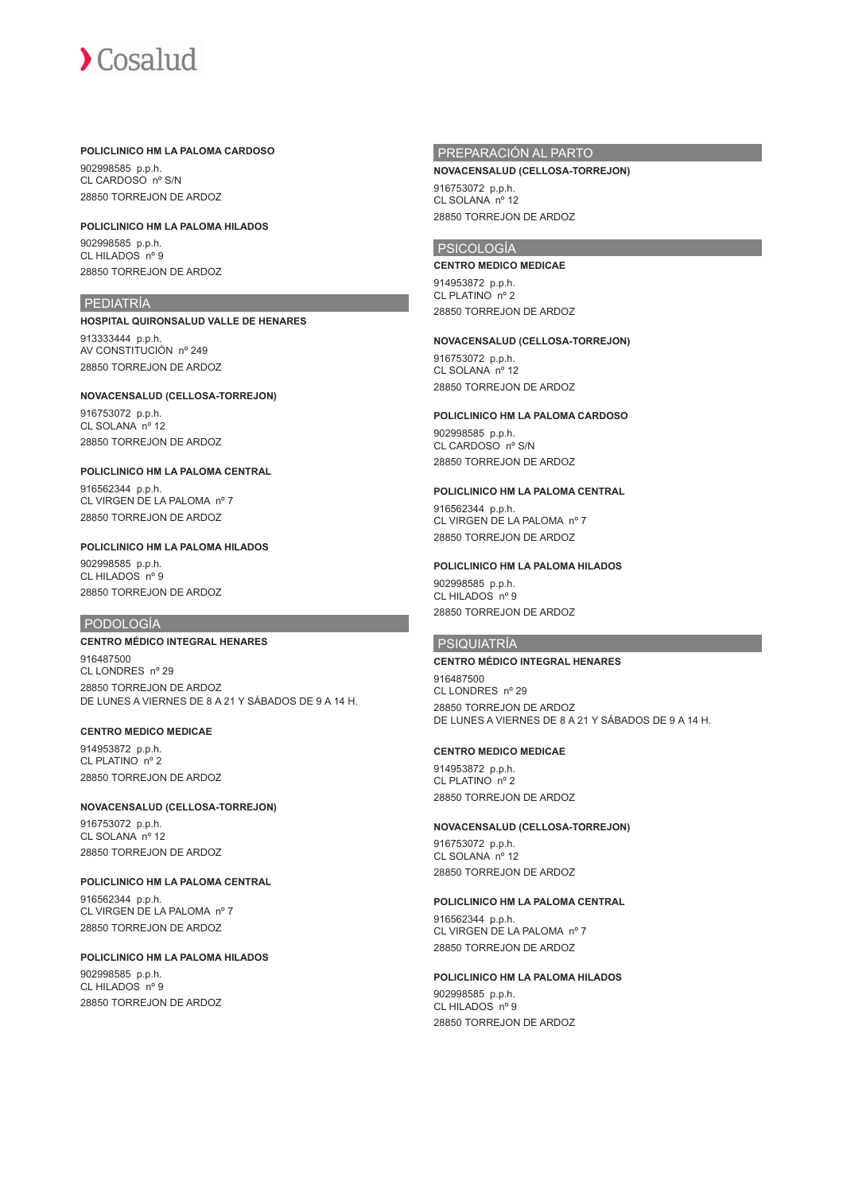### **POLICLINICO HM LA PALOMA CARDOSO**

902998585 p.p.h. CL CARDOSO nº S/N 28850 TORREJON DE ARDOZ

## **POLICLINICO HM LA PALOMA HILADOS**

902998585 p.p.h. CL HILADOS nº 9 28850 TORREJON DE ARDOZ

## PEDIATRÍA

**HOSPITAL QUIRONSALUD VALLE DE HENARES** 913333444 p.p.h. AV CONSTITUCIÓN nº 249 28850 TORREJON DE ARDOZ

**NOVACENSALUD (CELLOSA-TORREJON)** 916753072 p.p.h. CL SOLANA nº 12 28850 TORREJON DE ARDOZ

**POLICLINICO HM LA PALOMA CENTRAL** 916562344 p.p.h. CL VIRGEN DE LA PALOMA nº 7 28850 TORREJON DE ARDOZ

## **POLICLINICO HM LA PALOMA HILADOS** 902998585 p.p.h.

CL HILADOS nº 9 28850 TORREJON DE ARDOZ

## PODOLOGÍA

## **CENTRO MÉDICO INTEGRAL HENARES**

916487500 CL LONDRES nº 29 28850 TORREJON DE ARDOZ DE LUNES A VIERNES DE 8 A 21 Y SÁBADOS DE 9 A 14 H.

### **CENTRO MEDICO MEDICAE**

914953872 p.p.h. CL PLATINO nº 2 28850 TORREJON DE ARDOZ

## **NOVACENSALUD (CELLOSA-TORREJON)** 916753072 p.p.h. CL SOLANA nº 12

28850 TORREJON DE ARDOZ

# **POLICLINICO HM LA PALOMA CENTRAL**

916562344 p.p.h. CL VIRGEN DE LA PALOMA nº 7 28850 TORREJON DE ARDOZ

### **POLICLINICO HM LA PALOMA HILADOS**

902998585 p.p.h. CL HILADOS nº 9 28850 TORREJON DE ARDOZ

## PREPARACIÓN AL PARTO

### **NOVACENSALUD (CELLOSA-TORREJON)**

916753072 p.p.h. CL SOLANA nº 12 28850 TORREJON DE ARDOZ

## PSICOLOGÍA

## **CENTRO MEDICO MEDICAE**

914953872 p.p.h. CL PLATINO nº 2 28850 TORREJON DE ARDOZ

### **NOVACENSALUD (CELLOSA-TORREJON)**

916753072 p.p.h. CL SOLANA nº 12 28850 TORREJON DE ARDOZ

### **POLICLINICO HM LA PALOMA CARDOSO**

902998585 p.p.h. CL CARDOSO nº S/N 28850 TORREJON DE ARDOZ

## **POLICLINICO HM LA PALOMA CENTRAL**

916562344 p.p.h. CL VIRGEN DE LA PALOMA nº 7 28850 TORREJON DE ARDOZ

### **POLICLINICO HM LA PALOMA HILADOS**

902998585 p.p.h. CL HILADOS nº 9 28850 TORREJON DE ARDOZ

## PSIQUIATRÍA

## **CENTRO MÉDICO INTEGRAL HENARES**

916487500 CL LONDRES nº 29 28850 TORREJON DE ARDOZ DE LUNES A VIERNES DE 8 A 21 Y SÁBADOS DE 9 A 14 H.

### **CENTRO MEDICO MEDICAE**

914953872 p.p.h. CL PLATINO nº 2 28850 TORREJON DE ARDOZ

## **NOVACENSALUD (CELLOSA-TORREJON)**

916753072 p.p.h. CL SOLANA nº 12 28850 TORREJON DE ARDOZ

### **POLICLINICO HM LA PALOMA CENTRAL**

916562344 p.p.h. CL VIRGEN DE LA PALOMA nº 7 28850 TORREJON DE ARDOZ

### **POLICLINICO HM LA PALOMA HILADOS**

902998585 p.p.h. CL HILADOS nº 9 28850 TORREJON DE ARDOZ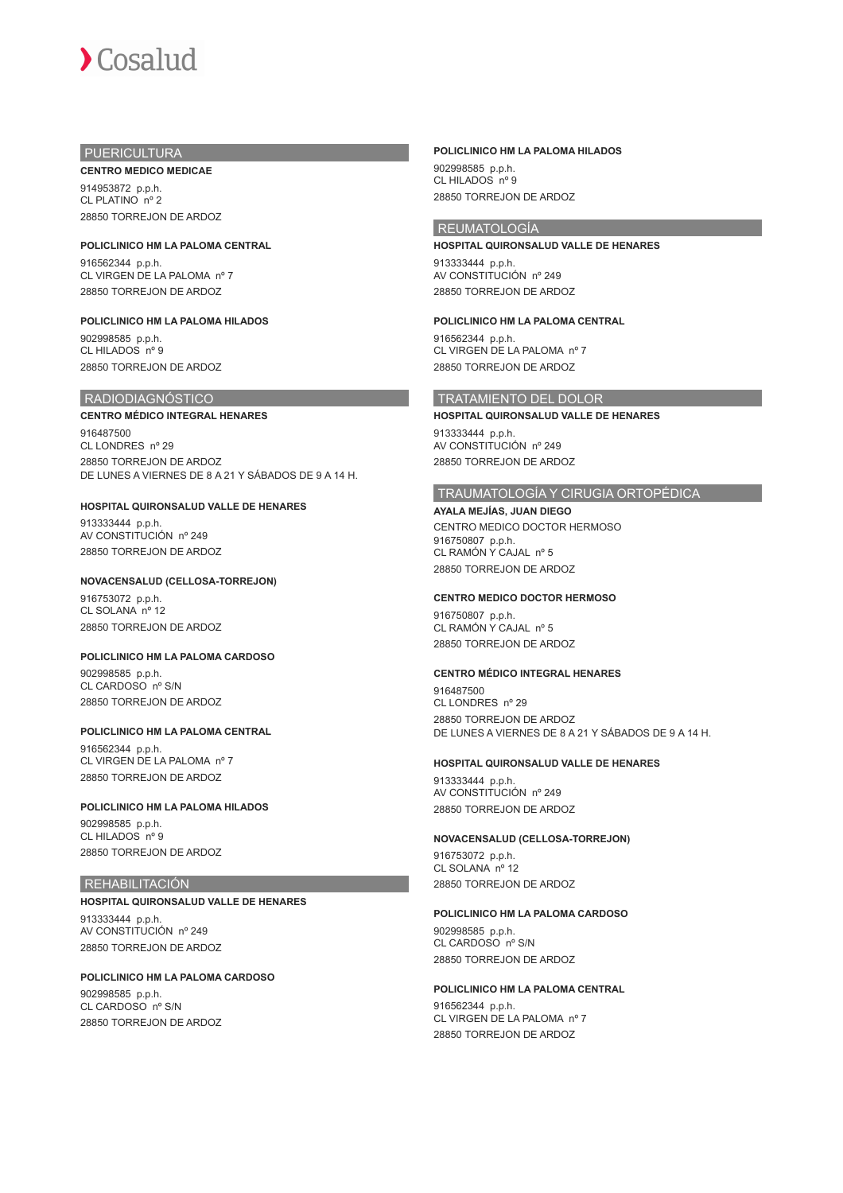

## PUERICULTURA

**CENTRO MEDICO MEDICAE** 914953872 p.p.h. CL PLATINO nº 2 28850 TORREJON DE ARDOZ

**POLICLINICO HM LA PALOMA CENTRAL** 916562344 p.p.h. CL VIRGEN DE LA PALOMA nº 7 28850 TORREJON DE ARDOZ

**POLICLINICO HM LA PALOMA HILADOS** 902998585 p.p.h. CL HILADOS nº 9 28850 TORREJON DE ARDOZ

## RADIODIAGNÓSTICO

### **CENTRO MÉDICO INTEGRAL HENARES**

916487500 CL LONDRES nº 29 28850 TORREJON DE ARDOZ DE LUNES A VIERNES DE 8 A 21 Y SÁBADOS DE 9 A 14 H.

## **HOSPITAL QUIRONSALUD VALLE DE HENARES**

913333444 p.p.h. AV CONSTITUCIÓN nº 249 28850 TORREJON DE ARDOZ

## **NOVACENSALUD (CELLOSA-TORREJON)**

916753072 p.p.h. CL SOLANA nº 12 28850 TORREJON DE ARDOZ

### **POLICLINICO HM LA PALOMA CARDOSO**

902998585 p.p.h. CL CARDOSO nº S/N 28850 TORREJON DE ARDOZ

### **POLICLINICO HM LA PALOMA CENTRAL**

916562344 p.p.h. CL VIRGEN DE LA PALOMA nº 7 28850 TORREJON DE ARDOZ

### **POLICLINICO HM LA PALOMA HILADOS**

902998585 p.p.h. CL HILADOS nº 9 28850 TORREJON DE ARDOZ

## REHABILITACIÓN

#### **HOSPITAL QUIRONSALUD VALLE DE HENARES**

913333444 p.p.h. AV CONSTITUCIÓN nº 249 28850 TORREJON DE ARDOZ

## **POLICLINICO HM LA PALOMA CARDOSO**

902998585 p.p.h. CL CARDOSO nº S/N 28850 TORREJON DE ARDOZ

### **POLICLINICO HM LA PALOMA HILADOS**

902998585 p.p.h. CL HILADOS nº 9 28850 TORREJON DE ARDOZ

## REUMATOLOGÍA

**HOSPITAL QUIRONSALUD VALLE DE HENARES** 913333444 p.p.h. AV CONSTITUCIÓN nº 249 28850 TORREJON DE ARDOZ

### **POLICLINICO HM LA PALOMA CENTRAL**

916562344 p.p.h. CL VIRGEN DE LA PALOMA nº 7 28850 TORREJON DE ARDOZ

## TRATAMIENTO DEL DOLOR

**HOSPITAL QUIRONSALUD VALLE DE HENARES** 913333444 p.p.h.

AV CONSTITUCIÓN nº 249 28850 TORREJON DE ARDOZ

## TRAUMATOLOGÍA Y CIRUGIA ORTOPÉDICA

**AYALA MEJÍAS, JUAN DIEGO** CENTRO MEDICO DOCTOR HERMOSO 916750807 p.p.h. CL RAMÓN Y CAJAL nº 5 28850 TORREJON DE ARDOZ

### **CENTRO MEDICO DOCTOR HERMOSO**

916750807 p.p.h. CL RAMÓN Y CAJAL nº 5 28850 TORREJON DE ARDOZ

## **CENTRO MÉDICO INTEGRAL HENARES**

916487500 CL LONDRES nº 29 28850 TORREJON DE ARDOZ DE LUNES A VIERNES DE 8 A 21 Y SÁBADOS DE 9 A 14 H.

### **HOSPITAL QUIRONSALUD VALLE DE HENARES**

913333444 p.p.h. AV CONSTITUCIÓN nº 249 28850 TORREJON DE ARDOZ

### **NOVACENSALUD (CELLOSA-TORREJON)**

916753072 p.p.h. CL SOLANA nº 12 28850 TORREJON DE ARDOZ

### **POLICLINICO HM LA PALOMA CARDOSO**

902998585 p.p.h. CL CARDOSO nº S/N 28850 TORREJON DE ARDOZ

## **POLICLINICO HM LA PALOMA CENTRAL**

916562344 p.p.h. CL VIRGEN DE LA PALOMA nº 7 28850 TORREJON DE ARDOZ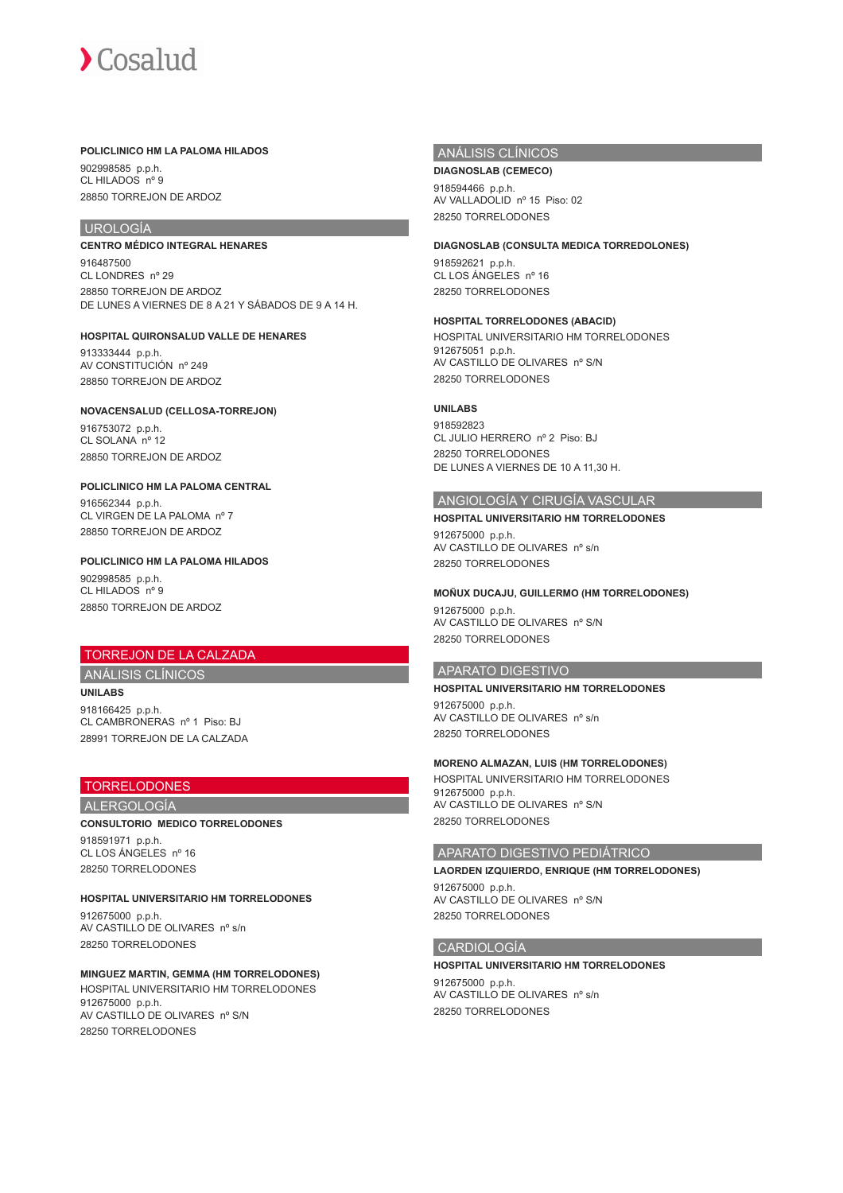### **POLICLINICO HM LA PALOMA HILADOS**

902998585 p.p.h. CL HILADOS nº 9 28850 TORREJON DE ARDOZ

## UROLOGÍA

**CENTRO MÉDICO INTEGRAL HENARES** 916487500 CL LONDRES nº 29

28850 TORREJON DE ARDOZ DE LUNES A VIERNES DE 8 A 21 Y SÁBADOS DE 9 A 14 H.

**HOSPITAL QUIRONSALUD VALLE DE HENARES** 913333444 p.p.h. AV CONSTITUCIÓN nº 249

28850 TORREJON DE ARDOZ

## **NOVACENSALUD (CELLOSA-TORREJON)**

916753072 p.p.h. CL SOLANA<sup>n°</sup> 12 28850 TORREJON DE ARDOZ

### **POLICLINICO HM LA PALOMA CENTRAL**

916562344 p.p.h. CL VIRGEN DE LA PALOMA nº 7 28850 TORREJON DE ARDOZ

### **POLICLINICO HM LA PALOMA HILADOS**

902998585 p.p.h. CL HILADOS nº 9 28850 TORREJON DE ARDOZ

## TORREJON DE LA CALZADA

ANÁLISIS CLÍNICOS **UNILABS**

918166425 p.p.h. CL CAMBRONERAS nº 1 Piso: BJ 28991 TORREJON DE LA CALZADA

## TORRELODONES

ALERGOLOGÍA

## **CONSULTORIO MEDICO TORRELODONES** 918591971 p.p.h. CL LOS ÁNGELES nº 16

28250 TORRELODONES

## **HOSPITAL UNIVERSITARIO HM TORRELODONES**

912675000 p.p.h. AV CASTILLO DE OLIVARES nº s/n 28250 TORRELODONES

## **MINGUEZ MARTIN, GEMMA (HM TORRELODONES)**

HOSPITAL UNIVERSITARIO HM TORRELODONES 912675000 p.p.h. AV CASTILLO DE OLIVARES nº S/N 28250 TORRELODONES

## ANÁLISIS CLÍNICOS

**DIAGNOSLAB (CEMECO)** 918594466 p.p.h. AV VALLADOLID nº 15 Piso: 02 28250 TORRELODONES

### **DIAGNOSLAB (CONSULTA MEDICA TORREDOLONES)**

918592621 p.p.h. CL LOS ÁNGELES nº 16 28250 TORRELODONES

## **HOSPITAL TORRELODONES (ABACID)**

HOSPITAL UNIVERSITARIO HM TORRELODONES 912675051 p.p.h. AV CASTILLO DE OLIVARES nº S/N 28250 TORRELODONES

## **UNILABS**

918592823 CL JULIO HERRERO nº 2 Piso: BJ 28250 TORRELODONES DE LUNES A VIERNES DE 10 A 11,30 H.

## ANGIOLOGÍA Y CIRUGÍA VASCULAR

**HOSPITAL UNIVERSITARIO HM TORRELODONES** 912675000 p.p.h. AV CASTILLO DE OLIVARES nº s/n 28250 TORRELODONES

### **MOÑUX DUCAJU, GUILLERMO (HM TORRELODONES)**

912675000 p.p.h. AV CASTILLO DE OLIVARES nº S/N 28250 TORRELODONES

## APARATO DIGESTIVO

**HOSPITAL UNIVERSITARIO HM TORRELODONES**

912675000 p.p.h. AV CASTILLO DE OLIVARES nº s/n 28250 TORRELODONES

## **MORENO ALMAZAN, LUIS (HM TORRELODONES)**

HOSPITAL UNIVERSITARIO HM TORRELODONES 912675000 p.p.h. AV CASTILLO DE OLIVARES nº S/N 28250 TORRELODONES

## APARATO DIGESTIVO PEDIÁTRICO

## **LAORDEN IZQUIERDO, ENRIQUE (HM TORRELODONES)**

912675000 p.p.h. AV CASTILLO DE OLIVARES nº S/N 28250 TORRELODONES

## CARDIOLOGÍA

### **HOSPITAL UNIVERSITARIO HM TORRELODONES**

912675000 p.p.h. AV CASTILLO DE OLIVARES nº s/n 28250 TORRELODONES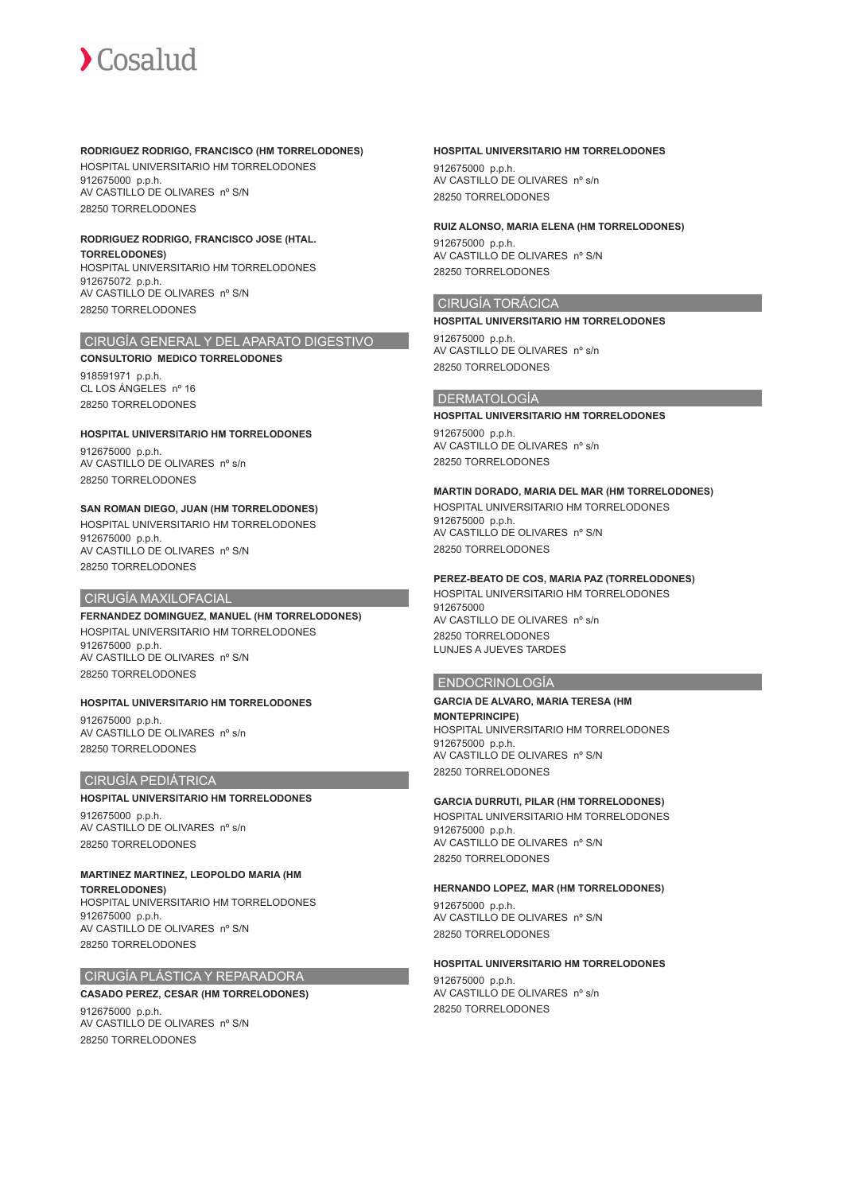### **RODRIGUEZ RODRIGO, FRANCISCO (HM TORRELODONES)**

HOSPITAL UNIVERSITARIO HM TORRELODONES 912675000 p.p.h. AV CASTILLO DE OLIVARES nº S/N 28250 TORRELODONES

## **RODRIGUEZ RODRIGO, FRANCISCO JOSE (HTAL.**

**TORRELODONES)** HOSPITAL UNIVERSITARIO HM TORRELODONES 912675072 p.p.h. AV CASTILLO DE OLIVARES nº S/N 28250 TORRELODONES

## CIRUGÍA GENERAL Y DEL APARATO DIGESTIVO

**CONSULTORIO MEDICO TORRELODONES**

918591971 p.p.h. CL LOS ÁNGELES nº 16 28250 TORRELODONES

## **HOSPITAL UNIVERSITARIO HM TORRELODONES**

912675000 p.p.h. AV CASTILLO DE OLIVARES nº s/n 28250 TORRELODONES

## **SAN ROMAN DIEGO, JUAN (HM TORRELODONES)**

HOSPITAL UNIVERSITARIO HM TORRELODONES 912675000 p.p.h. AV CASTILLO DE OLIVARES nº S/N 28250 TORRELODONES

## CIRUGÍA MAXILOFACIAL

**FERNANDEZ DOMINGUEZ, MANUEL (HM TORRELODONES)** HOSPITAL UNIVERSITARIO HM TORRELODONES 912675000 p.p.h. AV CASTILLO DE OLIVARES nº S/N 28250 TORRELODONES

## **HOSPITAL UNIVERSITARIO HM TORRELODONES**

912675000 p.p.h. AV CASTILLO DE OLIVARES nº s/n 28250 TORRELODONES

## CIRUGÍA PEDIÁTRICA

## **HOSPITAL UNIVERSITARIO HM TORRELODONES**

912675000 p.p.h. AV CASTILLO DE OLIVARES nº s/n 28250 TORRELODONES

## **MARTINEZ MARTINEZ, LEOPOLDO MARIA (HM**

**TORRELODONES)** HOSPITAL UNIVERSITARIO HM TORRELODONES 912675000 p.p.h. AV CASTILLO DE OLIVARES nº S/N 28250 TORRELODONES

## CIRUGÍA PLÁSTICA Y REPARADORA

**CASADO PEREZ, CESAR (HM TORRELODONES)**

912675000 p.p.h. AV CASTILLO DE OLIVARES nº S/N 28250 TORRELODONES

## **HOSPITAL UNIVERSITARIO HM TORRELODONES**

912675000 p.p.h. AV CASTILLO DE OLIVARES nº s/n 28250 TORRELODONES

## **RUIZ ALONSO, MARIA ELENA (HM TORRELODONES)**

912675000 p.p.h. AV CASTILLO DE OLIVARES nº S/N 28250 TORRELODONES

## CIRUGÍA TORÁCICA

## **HOSPITAL UNIVERSITARIO HM TORRELODONES** 912675000 p.p.h.

AV CASTILLO DE OLIVARES nº s/n 28250 TORRELODONES

## DERMATOLOGÍA

### **HOSPITAL UNIVERSITARIO HM TORRELODONES**

912675000 p.p.h. AV CASTILLO DE OLIVARES nº s/n 28250 TORRELODONES

## **MARTIN DORADO, MARIA DEL MAR (HM TORRELODONES)**

HOSPITAL UNIVERSITARIO HM TORRELODONES 912675000 p.p.h. AV CASTILLO DE OLIVARES nº S/N 28250 TORRELODONES

## **PEREZ-BEATO DE COS, MARIA PAZ (TORRELODONES)**

HOSPITAL UNIVERSITARIO HM TORRELODONES 912675000 AV CASTILLO DE OLIVARES nº s/n 28250 TORRELODONES LUNJES A JUEVES TARDES

## ENDOCRINOLOGÍA

### **GARCIA DE ALVARO, MARIA TERESA (HM**

**MONTEPRINCIPE)** HOSPITAL UNIVERSITARIO HM TORRELODONES 912675000 p.p.h. AV CASTILLO DE OLIVARES nº S/N 28250 TORRELODONES

## **GARCIA DURRUTI, PILAR (HM TORRELODONES)**

HOSPITAL UNIVERSITARIO HM TORRELODONES 912675000 p.p.h. AV CASTILLO DE OLIVARES nº S/N 28250 TORRELODONES

## **HERNANDO LOPEZ, MAR (HM TORRELODONES)**

912675000 p.p.h. AV CASTILLO DE OLIVARES nº S/N 28250 TORRELODONES

### **HOSPITAL UNIVERSITARIO HM TORRELODONES**

912675000 p.p.h. AV CASTILLO DE OLIVARES nº s/n 28250 TORRELODONES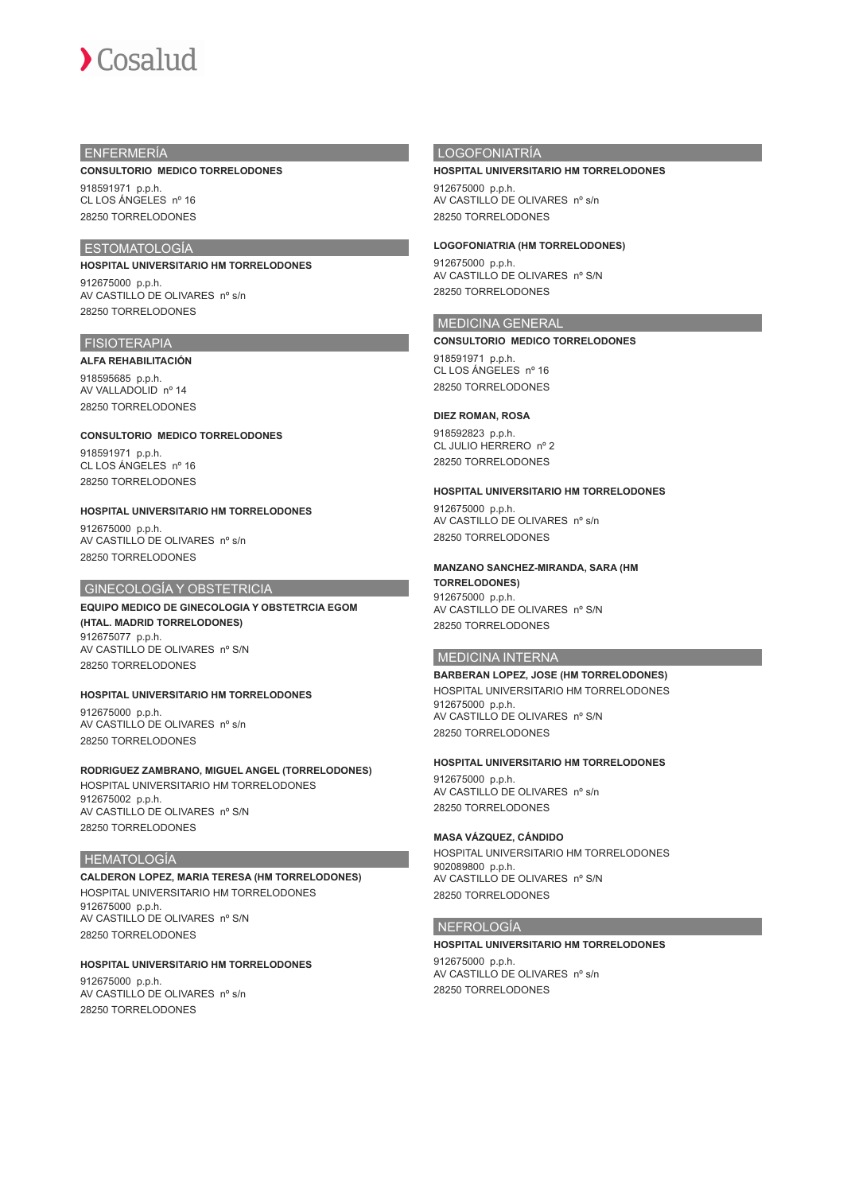

## ENFERMERÍA

### **CONSULTORIO MEDICO TORRELODONES**

918591971 p.p.h. CL LOS ÁNGELES nº 16 28250 TORRELODONES

## ESTOMATOLOGÍA

**HOSPITAL UNIVERSITARIO HM TORRELODONES**

912675000 p.p.h. AV CASTILLO DE OLIVARES nº s/n 28250 TORRELODONES

## **FISIOTERAPIA**

#### **ALFA REHABILITACIÓN**

918595685 p.p.h. AV VALLADOLID nº 14 28250 TORRELODONES

**CONSULTORIO MEDICO TORRELODONES** 918591971 p.p.h. CL LOS ÁNGELES nº 16 28250 TORRELODONES

**HOSPITAL UNIVERSITARIO HM TORRELODONES** 912675000 p.p.h.

AV CASTILLO DE OLIVARES nº s/n 28250 TORRELODONES

## GINECOLOGÍA Y OBSTETRICIA

**EQUIPO MEDICO DE GINECOLOGIA Y OBSTETRCIA EGOM (HTAL. MADRID TORRELODONES)** 912675077 p.p.h. AV CASTILLO DE OLIVARES nº S/N 28250 TORRELODONES

## **HOSPITAL UNIVERSITARIO HM TORRELODONES** 912675000 p.p.h.

AV CASTILLO DE OLIVARES nº s/n 28250 TORRELODONES

### **RODRIGUEZ ZAMBRANO, MIGUEL ANGEL (TORRELODONES)** HOSPITAL UNIVERSITARIO HM TORRELODONES 912675002 p.p.h.

AV CASTILLO DE OLIVARES nº S/N 28250 TORRELODONES

## HEMATOLOGÍA

**CALDERON LOPEZ, MARIA TERESA (HM TORRELODONES)** HOSPITAL UNIVERSITARIO HM TORRELODONES 912675000 p.p.h. AV CASTILLO DE OLIVARES nº S/N 28250 TORRELODONES

## **HOSPITAL UNIVERSITARIO HM TORRELODONES** 912675000 p.p.h. AV CASTILLO DE OLIVARES nº s/n

28250 TORRELODONES

## LOGOFONIATRÍA

#### **HOSPITAL UNIVERSITARIO HM TORRELODONES**

912675000 p.p.h. AV CASTILLO DE OLIVARES nº s/n 28250 TORRELODONES

**LOGOFONIATRIA (HM TORRELODONES)**

912675000 p.p.h. AV CASTILLO DE OLIVARES nº S/N 28250 TORRELODONES

## MEDICINA GENERAL

### **CONSULTORIO MEDICO TORRELODONES**

918591971 p.p.h. CL LOS ÁNGELES nº 16 28250 TORRELODONES

### **DIEZ ROMAN, ROSA**

918592823 p.p.h. CL JULIO HERRERO nº 2 28250 TORRELODONES

### **HOSPITAL UNIVERSITARIO HM TORRELODONES**

912675000 p.p.h. AV CASTILLO DE OLIVARES nº s/n 28250 TORRELODONES

### **MANZANO SANCHEZ-MIRANDA, SARA (HM**

**TORRELODONES)** 912675000 p.p.h. AV CASTILLO DE OLIVARES nº S/N 28250 TORRELODONES

## MEDICINA INTERNA

## **BARBERAN LOPEZ, JOSE (HM TORRELODONES)**

HOSPITAL UNIVERSITARIO HM TORRELODONES 912675000 p.p.h. AV CASTILLO DE OLIVARES nº S/N 28250 TORRELODONES

## **HOSPITAL UNIVERSITARIO HM TORRELODONES**

912675000 p.p.h. AV CASTILLO DE OLIVARES nº s/n 28250 TORRELODONES

### **MASA VÁZQUEZ, CÁNDIDO**

HOSPITAL UNIVERSITARIO HM TORRELODONES 902089800 p.p.h. AV CASTILLO DE OLIVARES nº S/N 28250 TORRELODONES

### NEFROLOGÍA

### **HOSPITAL UNIVERSITARIO HM TORRELODONES** 912675000 p.p.h. AV CASTILLO DE OLIVARES nº s/n

28250 TORRELODONES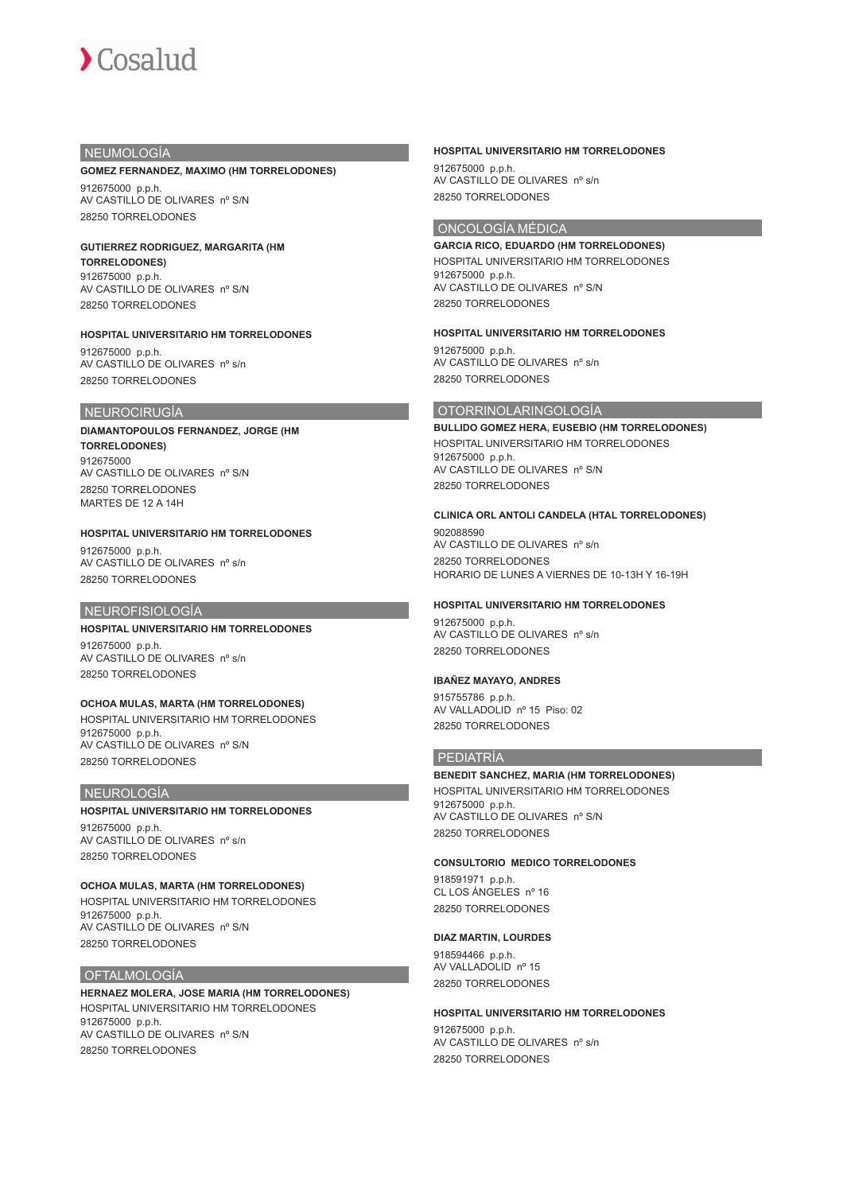## NEUMOLOGÍA

#### **GOMEZ FERNANDEZ, MAXIMO (HM TORRELODONES)**

912675000 p.p.h. AV CASTILLO DE OLIVARES nº S/N 28250 TORRELODONES

### **GUTIERREZ RODRIGUEZ, MARGARITA (HM TORRELODONES)**

912675000 p.p.h. AV CASTILLO DE OLIVARES nº S/N 28250 TORRELODONES

## **HOSPITAL UNIVERSITARIO HM TORRELODONES**

912675000 p.p.h. AV CASTILLO DE OLIVARES nº s/n 28250 TORRELODONES

## NEUROCIRUGÍA

## **DIAMANTOPOULOS FERNANDEZ, JORGE (HM TORRELODONES)** 912675000 AV CASTILLO DE OLIVARES nº S/N 28250 TORRELODONES

MARTES DE 12 A 14H

## **HOSPITAL UNIVERSITARIO HM TORRELODONES**

912675000 p.p.h. AV CASTILLO DE OLIVARES nº s/n 28250 TORRELODONES

## NEUROFISIOLOGÍA

## **HOSPITAL UNIVERSITARIO HM TORRELODONES**

912675000 p.p.h. AV CASTILLO DE OLIVARES nº s/n 28250 TORRELODONES

## **OCHOA MULAS, MARTA (HM TORRELODONES)**

HOSPITAL UNIVERSITARIO HM TORRELODONES 912675000 p.p.h. AV CASTILLO DE OLIVARES nº S/N 28250 TORRELODONES

## NEUROLOGÍA

### **HOSPITAL UNIVERSITARIO HM TORRELODONES**

912675000 p.p.h. AV CASTILLO DE OLIVARES nº s/n 28250 TORRELODONES

### **OCHOA MULAS, MARTA (HM TORRELODONES)**

HOSPITAL UNIVERSITARIO HM TORRELODONES 912675000 p.p.h. AV CASTILLO DE OLIVARES nº S/N 28250 TORRELODONES

## **OFTALMOLOGÍA**

**HERNAEZ MOLERA, JOSE MARIA (HM TORRELODONES)** HOSPITAL UNIVERSITARIO HM TORRELODONES 912675000 p.p.h. AV CASTILLO DE OLIVARES nº S/N 28250 TORRELODONES

### **HOSPITAL UNIVERSITARIO HM TORRELODONES**

912675000 p.p.h. AV CASTILLO DE OLIVARES nº s/n 28250 TORRELODONES

## ONCOLOGÍA MÉDICA

**GARCIA RICO, EDUARDO (HM TORRELODONES)** HOSPITAL UNIVERSITARIO HM TORRELODONES 912675000 p.p.h. AV CASTILLO DE OLIVARES nº S/N 28250 TORRELODONES

### **HOSPITAL UNIVERSITARIO HM TORRELODONES**

912675000 p.p.h. AV CASTILLO DE OLIVARES nº s/n 28250 TORRELODONES

## OTORRINOLARINGOLOGÍA

**BULLIDO GOMEZ HERA, EUSEBIO (HM TORRELODONES)** HOSPITAL UNIVERSITARIO HM TORRELODONES 912675000 p.p.h. AV CASTILLO DE OLIVARES nº S/N 28250 TORRELODONES

### **CLINICA ORL ANTOLI CANDELA (HTAL TORRELODONES)**

902088590 AV CASTILLO DE OLIVARES nº s/n 28250 TORRELODONES HORARIO DE LUNES A VIERNES DE 10-13H Y 16-19H

### **HOSPITAL UNIVERSITARIO HM TORRELODONES**

912675000 p.p.h. AV CASTILLO DE OLIVARES nº s/n 28250 TORRELODONES

### **IBAÑEZ MAYAYO, ANDRES**

915755786 p.p.h. AV VALLADOLID nº 15 Piso: 02 28250 TORRELODONES

## PEDIATRÍA

**BENEDIT SANCHEZ, MARIA (HM TORRELODONES)** HOSPITAL UNIVERSITARIO HM TORRELODONES 912675000 p.p.h. AV CASTILLO DE OLIVARES nº S/N

28250 TORRELODONES

## **CONSULTORIO MEDICO TORRELODONES**

918591971 p.p.h. CL LOS ÁNGELES nº 16 28250 TORRELODONES

### **DIAZ MARTIN, LOURDES**

918594466 p.p.h. AV VALLADOLID nº 15 28250 TORRELODONES

### **HOSPITAL UNIVERSITARIO HM TORRELODONES**

912675000 p.p.h. AV CASTILLO DE OLIVARES nº s/n 28250 TORRELODONES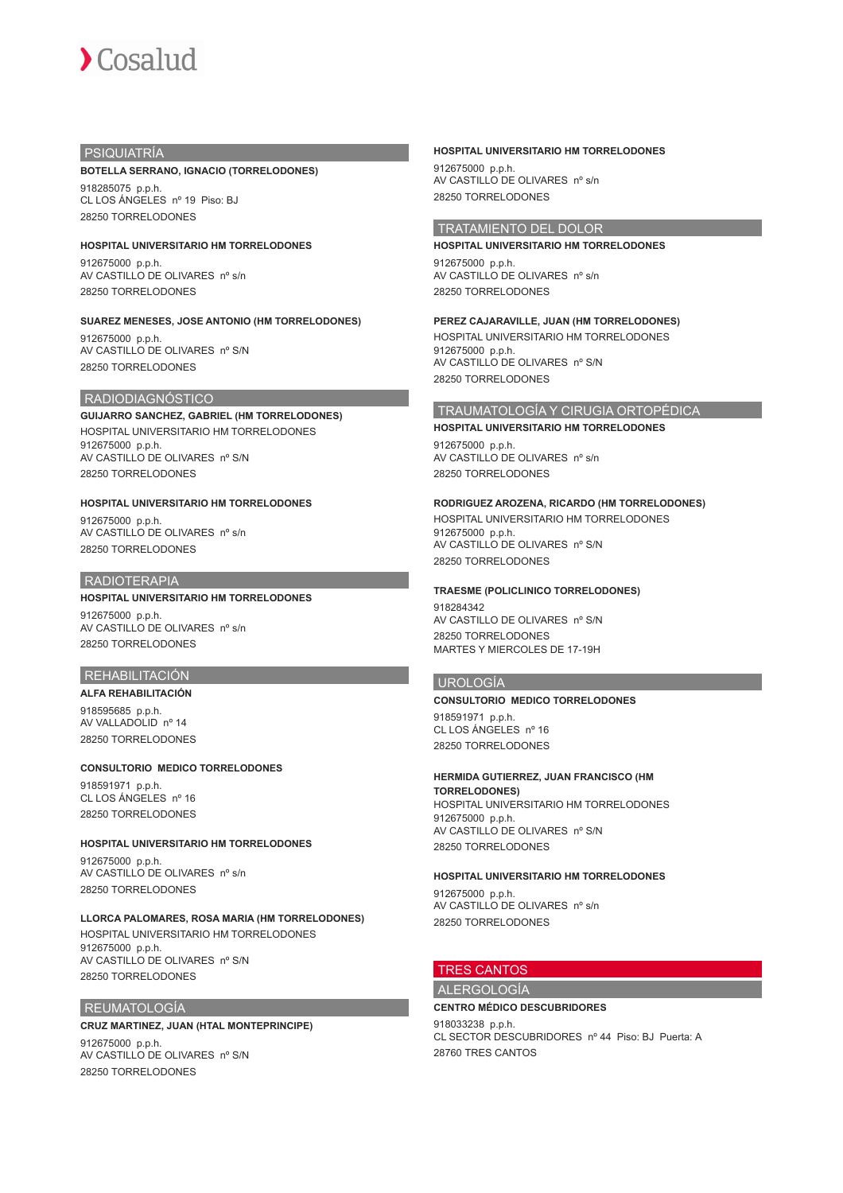## PSIQUIATRÍA

### **BOTELLA SERRANO, IGNACIO (TORRELODONES)**

918285075 p.p.h. CL LOS ÁNGELES nº 19 Piso: BJ 28250 TORRELODONES

### **HOSPITAL UNIVERSITARIO HM TORRELODONES**

912675000 p.p.h. AV CASTILLO DE OLIVARES nº s/n 28250 TORRELODONES

## **SUAREZ MENESES, JOSE ANTONIO (HM TORRELODONES)**

912675000 p.p.h. AV CASTILLO DE OLIVARES nº S/N 28250 TORRELODONES

## RADIODIAGNÓSTICO

**GUIJARRO SANCHEZ, GABRIEL (HM TORRELODONES)** HOSPITAL UNIVERSITARIO HM TORRELODONES 912675000 p.p.h. AV CASTILLO DE OLIVARES nº S/N 28250 TORRELODONES

## **HOSPITAL UNIVERSITARIO HM TORRELODONES**

912675000 p.p.h. AV CASTILLO DE OLIVARES nº s/n 28250 TORRELODONES

## **RADIOTERAPIA**

# **HOSPITAL UNIVERSITARIO HM TORRELODONES**

912675000 p.p.h. AV CASTILLO DE OLIVARES nº s/n 28250 TORRELODONES

## REHABILITACIÓN

**ALFA REHABILITACIÓN** 918595685 p.p.h. AV VALLADOLID nº 14 28250 TORRELODONES

### **CONSULTORIO MEDICO TORRELODONES**

918591971 p.p.h. CL LOS ÁNGELES nº 16 28250 TORRELODONES

## **HOSPITAL UNIVERSITARIO HM TORRELODONES** 912675000 p.p.h. AV CASTILLO DE OLIVARES nº s/n 28250 TORRELODONES

### **LLORCA PALOMARES, ROSA MARIA (HM TORRELODONES)**

HOSPITAL UNIVERSITARIO HM TORRELODONES 912675000 p.p.h. AV CASTILLO DE OLIVARES nº S/N 28250 TORRELODONES

## REUMATOLOGÍA

### **CRUZ MARTINEZ, JUAN (HTAL MONTEPRINCIPE)**

912675000 p.p.h. AV CASTILLO DE OLIVARES nº S/N 28250 TORRELODONES

## **HOSPITAL UNIVERSITARIO HM TORRELODONES**

912675000 p.p.h. AV CASTILLO DE OLIVARES nº s/n 28250 TORRELODONES

## TRATAMIENTO DEL DOLOR

**HOSPITAL UNIVERSITARIO HM TORRELODONES** 912675000 p.p.h. AV CASTILLO DE OLIVARES nº s/n 28250 TORRELODONES

## **PEREZ CAJARAVILLE, JUAN (HM TORRELODONES)**

HOSPITAL UNIVERSITARIO HM TORRELODONES 912675000 p.p.h. AV CASTILLO DE OLIVARES nº S/N 28250 TORRELODONES

## TRAUMATOLOGÍA Y CIRUGIA ORTOPÉDICA

**HOSPITAL UNIVERSITARIO HM TORRELODONES** 912675000 p.p.h. AV CASTILLO DE OLIVARES nº s/n 28250 TORRELODONES

## **RODRIGUEZ AROZENA, RICARDO (HM TORRELODONES)**

HOSPITAL UNIVERSITARIO HM TORRELODONES 912675000 p.p.h. AV CASTILLO DE OLIVARES nº S/N 28250 TORRELODONES

### **TRAESME (POLICLINICO TORRELODONES)**

918284342 AV CASTILLO DE OLIVARES nº S/N 28250 TORRELODONES MARTES Y MIERCOLES DE 17-19H

## UROLOGÍA

## **CONSULTORIO MEDICO TORRELODONES**

918591971 p.p.h. CL LOS ÁNGELES nº 16 28250 TORRELODONES

## **HERMIDA GUTIERREZ, JUAN FRANCISCO (HM**

**TORRELODONES)** HOSPITAL UNIVERSITARIO HM TORRELODONES 912675000 p.p.h. AV CASTILLO DE OLIVARES nº S/N 28250 TORRELODONES

## **HOSPITAL UNIVERSITARIO HM TORRELODONES**

912675000 p.p.h. AV CASTILLO DE OLIVARES nº s/n 28250 TORRELODONES

# TRES CANTOS

## ALERGOLOGÍA **CENTRO MÉDICO DESCUBRIDORES**

918033238 p.p.h. CL SECTOR DESCUBRIDORES nº 44 Piso: BJ Puerta: A 28760 TRES CANTOS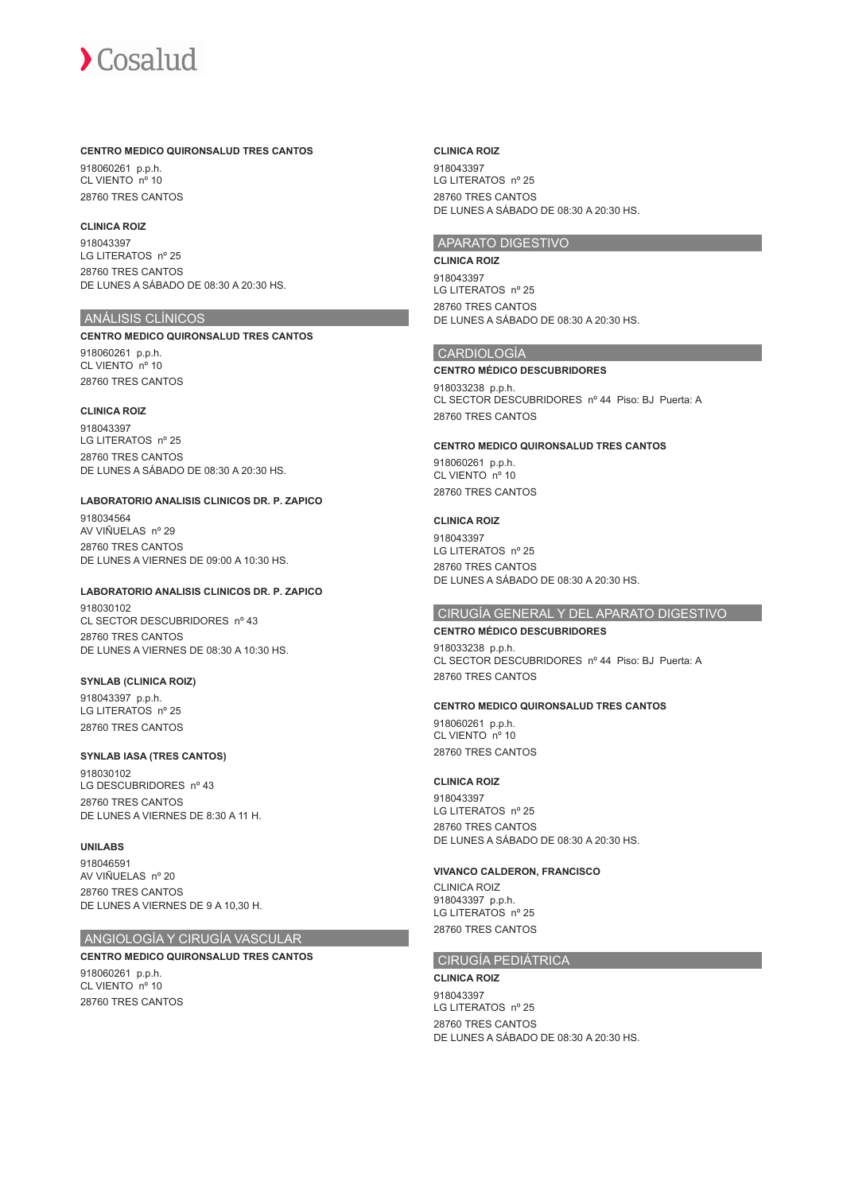### **CENTRO MEDICO QUIRONSALUD TRES CANTOS**

918060261 p.p.h. CL VIENTO nº 10 28760 TRES CANTOS

## **CLINICA ROIZ**

918043397 LG LITERATOS nº 25 28760 TRES CANTOS DE LUNES A SÁBADO DE 08:30 A 20:30 HS.

## ANÁLISIS CLÍNICOS

### **CENTRO MEDICO QUIRONSALUD TRES CANTOS**

918060261 p.p.h. CL VIENTO nº 10 28760 TRES CANTOS

## **CLINICA ROIZ**

918043397 LG LITERATOS nº 25 28760 TRES CANTOS DE LUNES A SÁBADO DE 08:30 A 20:30 HS.

### **LABORATORIO ANALISIS CLINICOS DR. P. ZAPICO**

918034564 AV VIÑUELAS nº 29 28760 TRES CANTOS DE LUNES A VIERNES DE 09:00 A 10:30 HS.

### **LABORATORIO ANALISIS CLINICOS DR. P. ZAPICO**

918030102 CL SECTOR DESCUBRIDORES nº 43 28760 TRES CANTOS DE LUNES A VIERNES DE 08:30 A 10:30 HS.

### **SYNLAB (CLINICA ROIZ)**

918043397 p.p.h. LG LITERATOS nº 25 28760 TRES CANTOS

### **SYNLAB IASA (TRES CANTOS)**

918030102 LG DESCUBRIDORES nº 43 28760 TRES CANTOS DE LUNES A VIERNES DE 8:30 A 11 H.

## **UNILABS**

918046591 AV VIÑUELAS nº 20 28760 TRES CANTOS DE LUNES A VIERNES DE 9 A 10,30 H.

## ANGIOLOGÍA Y CIRUGÍA VASCULAR

## **CENTRO MEDICO QUIRONSALUD TRES CANTOS**

918060261 p.p.h. CL VIENTO nº 10 28760 TRES CANTOS

### **CLINICA ROIZ**

918043397 LG LITERATOS nº 25 28760 TRES CANTOS DE LUNES A SÁBADO DE 08:30 A 20:30 HS.

## APARATO DIGESTIVO

#### **CLINICA ROIZ**

918043397 LG LITERATOS nº 25 28760 TRES CANTOS DE LUNES A SÁBADO DE 08:30 A 20:30 HS.

## CARDIOLOGÍA

## **CENTRO MÉDICO DESCUBRIDORES** 918033238 p.p.h. CL SECTOR DESCUBRIDORES nº 44 Piso: BJ Puerta: A 28760 TRES CANTOS

## **CENTRO MEDICO QUIRONSALUD TRES CANTOS**

918060261 p.p.h. CL VIENTO nº 10 28760 TRES CANTOS

## **CLINICA ROIZ**

918043397 LG LITERATOS nº 25 28760 TRES CANTOS DE LUNES A SÁBADO DE 08:30 A 20:30 HS.

## CIRUGÍA GENERAL Y DEL APARATO DIGESTIVO

## **CENTRO MÉDICO DESCUBRIDORES**

918033238 p.p.h. CL SECTOR DESCUBRIDORES nº 44 Piso: BJ Puerta: A 28760 TRES CANTOS

### **CENTRO MEDICO QUIRONSALUD TRES CANTOS**

918060261 p.p.h. CL VIENTO nº 10 28760 TRES CANTOS

### **CLINICA ROIZ**

918043397 LG LITERATOS nº 25 28760 TRES CANTOS DE LUNES A SÁBADO DE 08:30 A 20:30 HS.

### **VIVANCO CALDERON, FRANCISCO**

CLINICA ROIZ 918043397 p.p.h. LG LITERATOS nº 25 28760 TRES CANTOS

## CIRUGÍA PEDIÁTRICA

### **CLINICA ROIZ**

918043397 LG LITERATOS nº 25 28760 TRES CANTOS DE LUNES A SÁBADO DE 08:30 A 20:30 HS.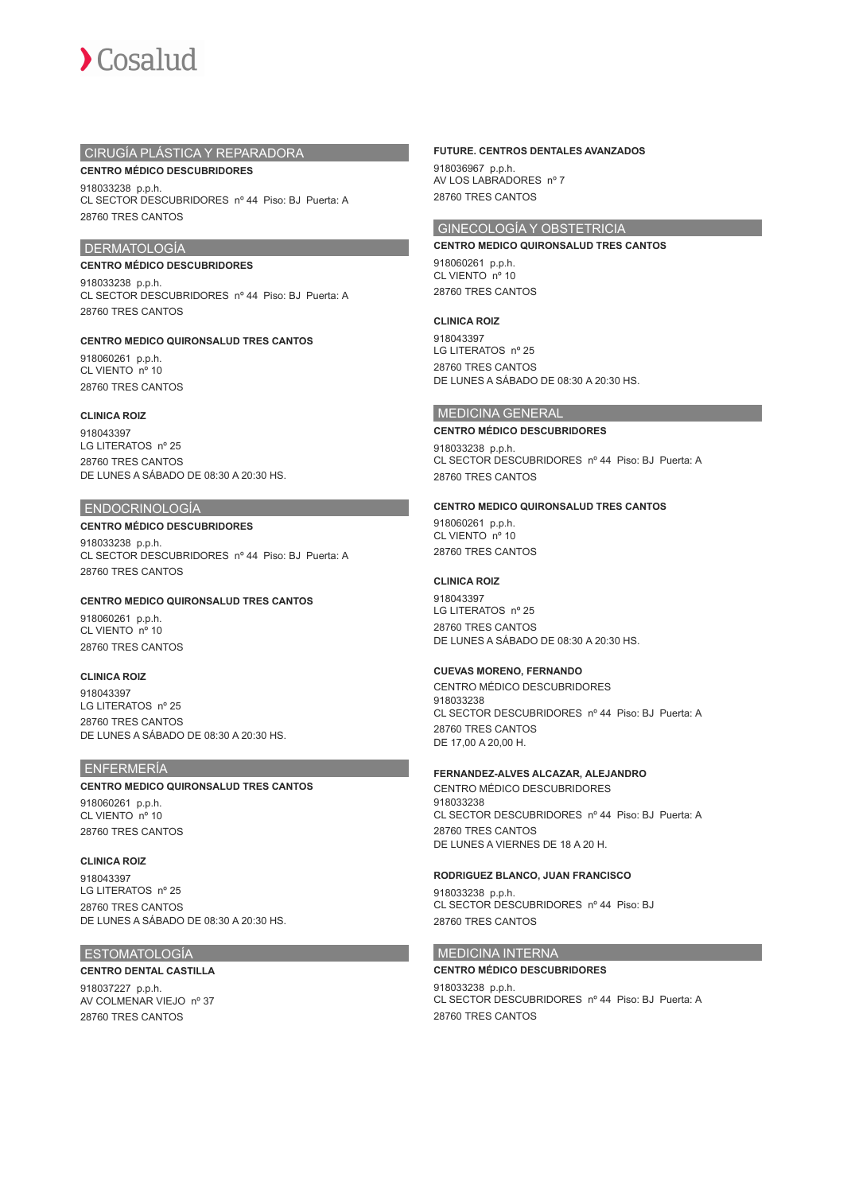

## CIRUGÍA PLÁSTICA Y REPARADORA

**CENTRO MÉDICO DESCUBRIDORES** 918033238 p.p.h. CL SECTOR DESCUBRIDORES nº 44 Piso: BJ Puerta: A 28760 TRES CANTOS

## DERMATOLOGÍA

### **CENTRO MÉDICO DESCUBRIDORES**

918033238 p.p.h. CL SECTOR DESCUBRIDORES nº 44 Piso: BJ Puerta: A 28760 TRES CANTOS

## **CENTRO MEDICO QUIRONSALUD TRES CANTOS**

918060261 p.p.h. CL VIENTO nº 10 28760 TRES CANTOS

### **CLINICA ROIZ**

918043397 LG LITERATOS nº 25 28760 TRES CANTOS DE LUNES A SÁBADO DE 08:30 A 20:30 HS.

### ENDOCRINOLOGÍA

## **CENTRO MÉDICO DESCUBRIDORES**

918033238 p.p.h. CL SECTOR DESCUBRIDORES nº 44 Piso: BJ Puerta: A 28760 TRES CANTOS

## **CENTRO MEDICO QUIRONSALUD TRES CANTOS**

918060261 p.p.h. CL VIENTO nº 10 28760 TRES CANTOS

## **CLINICA ROIZ**

918043397 LG LITERATOS nº 25 28760 TRES CANTOS DE LUNES A SÁBADO DE 08:30 A 20:30 HS

## ENFERMERÍA

### **CENTRO MEDICO QUIRONSALUD TRES CANTOS**

918060261 p.p.h. CL VIENTO nº 10 28760 TRES CANTOS

## **CLINICA ROIZ**

918043397 LG LITERATOS nº 25 28760 TRES CANTOS DE LUNES A SÁBADO DE 08:30 A 20:30 HS.

## ESTOMATOLOGÍA

## **CENTRO DENTAL CASTILLA**

918037227 p.p.h. AV COLMENAR VIEJO nº 37 28760 TRES CANTOS

## **FUTURE. CENTROS DENTALES AVANZADOS**

918036967 p.p.h. AV LOS LABRADORES nº 7 28760 TRES CANTOS

## GINECOLOGÍA Y OBSTETRICIA

**CENTRO MEDICO QUIRONSALUD TRES CANTOS** 918060261 p.p.h. CL VIENTO nº 10 28760 TRES CANTOS

### **CLINICA ROIZ**

918043397 LG LITERATOS nº 25 28760 TRES CANTOS DE LUNES A SÁBADO DE 08:30 A 20:30 HS.

## MEDICINA GENERAL

### **CENTRO MÉDICO DESCUBRIDORES**

918033238 p.p.h. CL SECTOR DESCUBRIDORES nº 44 Piso: BJ Puerta: A 28760 TRES CANTOS

### **CENTRO MEDICO QUIRONSALUD TRES CANTOS**

918060261 p.p.h. CL VIENTO nº 10 28760 TRES CANTOS

## **CLINICA ROIZ**

918043397 LG LITERATOS nº 25 28760 TRES CANTOS DE LUNES A SÁBADO DE 08:30 A 20:30 HS.

### **CUEVAS MORENO, FERNANDO**

CENTRO MÉDICO DESCUBRIDORES 918033238 CL SECTOR DESCUBRIDORES nº 44 Piso: BJ Puerta: A 28760 TRES CANTOS DE 17,00 A 20,00 H.

## **FERNANDEZ-ALVES ALCAZAR, ALEJANDRO**

CENTRO MÉDICO DESCUBRIDORES 918033238 CL SECTOR DESCUBRIDORES nº 44 Piso: BJ Puerta: A 28760 TRES CANTOS DE LUNES A VIERNES DE 18 A 20 H.

## **RODRIGUEZ BLANCO, JUAN FRANCISCO**

918033238 p.p.h. CL SECTOR DESCUBRIDORES nº 44 Piso: BJ 28760 TRES CANTOS

## MEDICINA INTERNA

## **CENTRO MÉDICO DESCUBRIDORES** 918033238 p.p.h.

CL SECTOR DESCUBRIDORES nº 44 Piso: BJ Puerta: A 28760 TRES CANTOS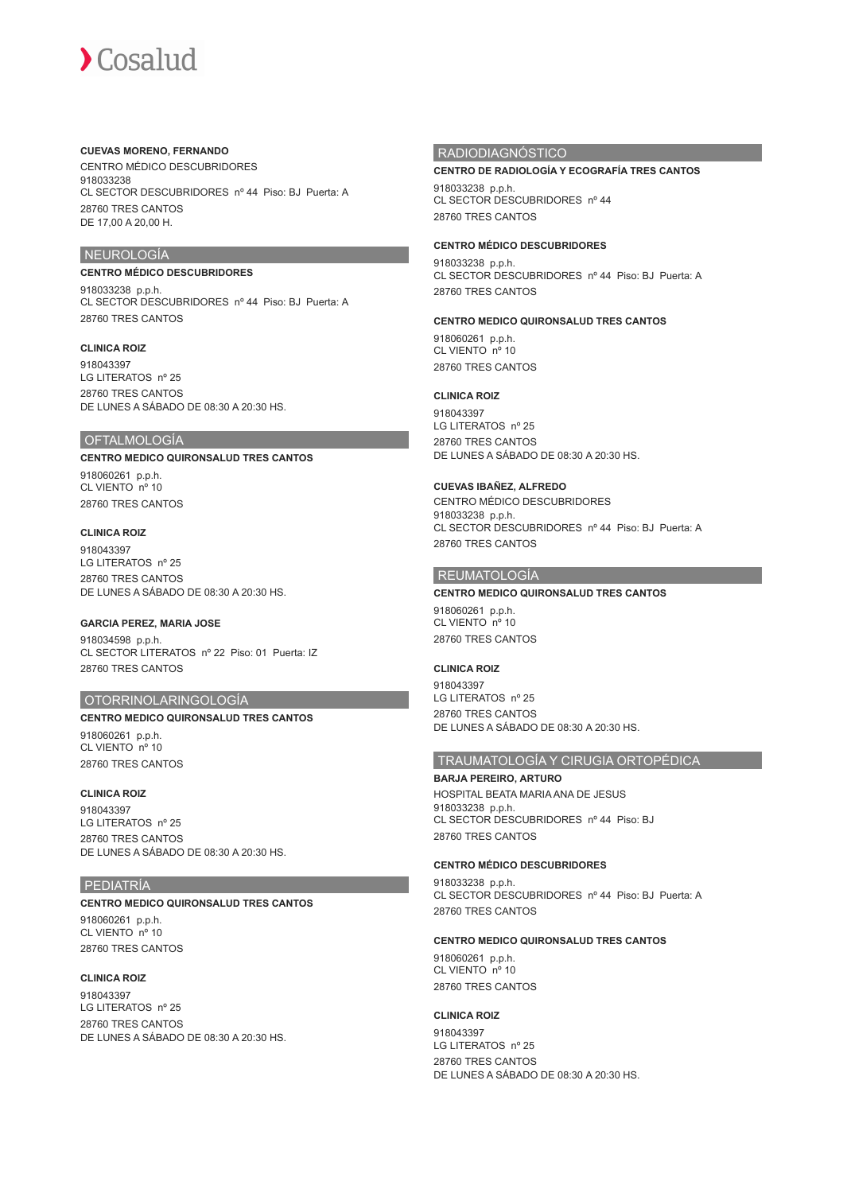### **CUEVAS MORENO, FERNANDO**

CENTRO MÉDICO DESCUBRIDORES 918033238 CL SECTOR DESCUBRIDORES nº 44 Piso: BJ Puerta: A 28760 TRES CANTOS DE 17,00 A 20,00 H.

## NEUROLOGÍA

## **CENTRO MÉDICO DESCUBRIDORES**

918033238 p.p.h. CL SECTOR DESCUBRIDORES nº 44 Piso: BJ Puerta: A 28760 TRES CANTOS

### **CLINICA ROIZ**

918043397 LG LITERATOS nº 25 28760 TRES CANTOS DE LUNES A SÁBADO DE 08:30 A 20:30 HS.

## **OFTALMOLOGÍA**

## **CENTRO MEDICO QUIRONSALUD TRES CANTOS**

918060261 p.p.h. CL VIENTO nº 10 28760 TRES CANTOS

### **CLINICA ROIZ**

918043397 LG LITERATOS nº 25 28760 TRES CANTOS DE LUNES A SÁBADO DE 08:30 A 20:30 HS.

### **GARCIA PEREZ, MARIA JOSE**

918034598 p.p.h. CL SECTOR LITERATOS nº 22 Piso: 01 Puerta: IZ 28760 TRES CANTOS

### OTORRINOLARINGOLOGÍA

## **CENTRO MEDICO QUIRONSALUD TRES CANTOS** 918060261 p.p.h.

CL VIENTO nº 10 28760 TRES CANTOS

## **CLINICA ROIZ**

918043397 LG LITERATOS nº 25 28760 TRES CANTOS DE LUNES A SÁBADO DE 08:30 A 20:30 HS.

### PEDIATRÍA

### **CENTRO MEDICO QUIRONSALUD TRES CANTOS**

918060261 p.p.h. CL VIENTO nº 10 28760 TRES CANTOS

## **CLINICA ROIZ**

918043397 LG LITERATOS nº 25 28760 TRES CANTOS DE LUNES A SÁBADO DE 08:30 A 20:30 HS

### RADIODIAGNÓSTICO

### **CENTRO DE RADIOLOGÍA Y ECOGRAFÍA TRES CANTOS**

918033238 p.p.h. CL SECTOR DESCUBRIDORES nº 44 28760 TRES CANTOS

### **CENTRO MÉDICO DESCUBRIDORES**

918033238 p.p.h. CL SECTOR DESCUBRIDORES nº 44 Piso: BJ Puerta: A 28760 TRES CANTOS

### **CENTRO MEDICO QUIRONSALUD TRES CANTOS**

918060261 p.p.h. CL VIENTO nº 10 28760 TRES CANTOS

## **CLINICA ROIZ**

918043397 LG LITERATOS nº 25 28760 TRES CANTOS DE LUNES A SÁBADO DE 08:30 A 20:30 HS.

### **CUEVAS IBAÑEZ, ALFREDO**

CENTRO MÉDICO DESCUBRIDORES 918033238 p.p.h. CL SECTOR DESCUBRIDORES nº 44 Piso: BJ Puerta: A 28760 TRES CANTOS

### REUMATOLOGÍA

**CENTRO MEDICO QUIRONSALUD TRES CANTOS** 918060261 p.p.h. CL VIENTO nº 10 28760 TRES CANTOS

### **CLINICA ROIZ**

918043397 LG LITERATOS nº 25 28760 TRES CANTOS DE LUNES A SÁBADO DE 08:30 A 20:30 HS.

## TRAUMATOLOGÍA Y CIRUGIA ORTOPÉDICA

**BARJA PEREIRO, ARTURO** HOSPITAL BEATA MARIA ANA DE JESUS 918033238 p.p.h. CL SECTOR DESCUBRIDORES nº 44 Piso: BJ 28760 TRES CANTOS

### **CENTRO MÉDICO DESCUBRIDORES**

918033238 p.p.h. CL SECTOR DESCUBRIDORES nº 44 Piso: BJ Puerta: A 28760 TRES CANTOS

### **CENTRO MEDICO QUIRONSALUD TRES CANTOS**

918060261 p.p.h. CL VIENTO nº 10 28760 TRES CANTOS

### **CLINICA ROIZ**

918043397 LG LITERATOS nº 25 28760 TRES CANTOS DE LUNES A SÁBADO DE 08:30 A 20:30 HS.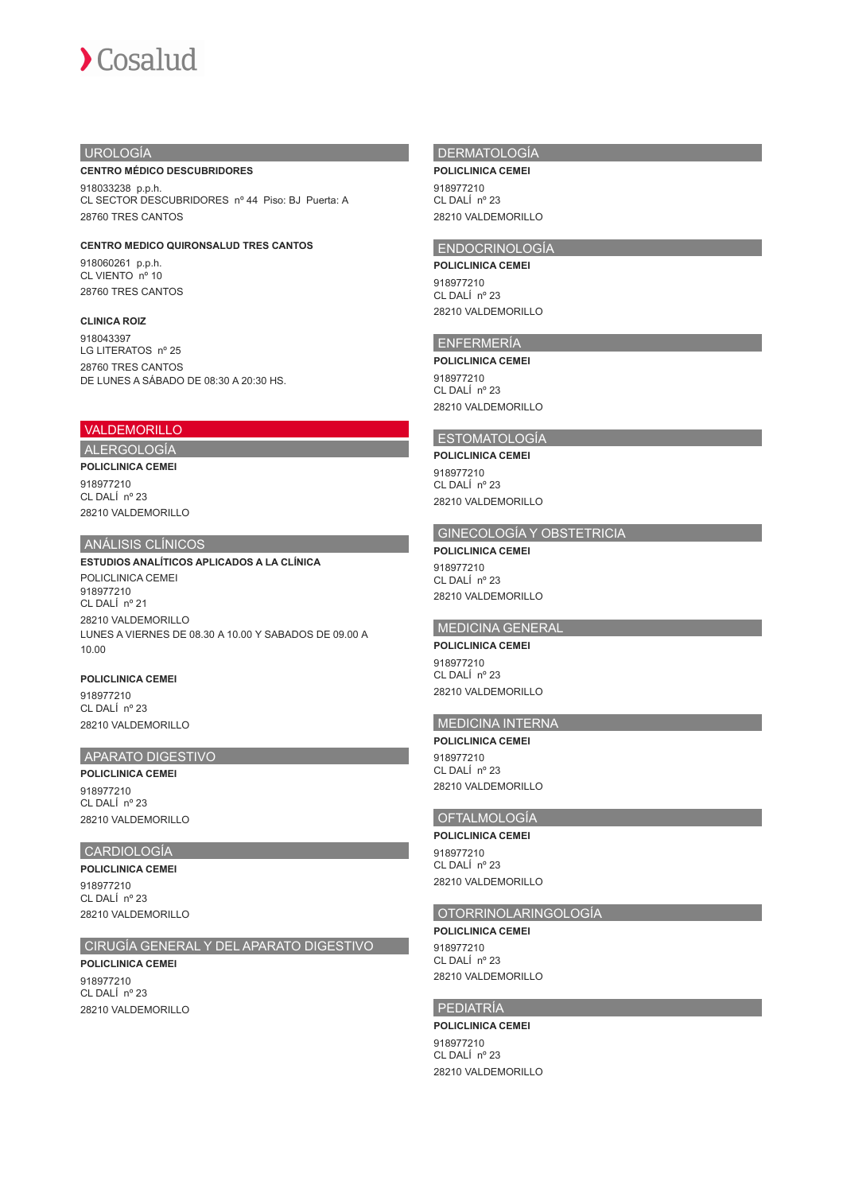## UROLOGÍA

### **CENTRO MÉDICO DESCUBRIDORES**

918033238 p.p.h. CL SECTOR DESCUBRIDORES nº 44 Piso: BJ Puerta: A 28760 TRES CANTOS

## **CENTRO MEDICO QUIRONSALUD TRES CANTOS**

918060261 p.p.h. CL VIENTO nº 10 28760 TRES CANTOS

## **CLINICA ROIZ**

918043397 LG LITERATOS nº 25 28760 TRES CANTOS DE LUNES A SÁBADO DE 08:30 A 20:30 HS

## VALDEMORILLO

### ALERGOLOGÍA **POLICLINICA CEMEI**

918977210 CL DALÍ nº 23 28210 VALDEMORILLO

## ANÁLISIS CLÍNICOS

**ESTUDIOS ANALÍTICOS APLICADOS A LA CLÍNICA** POLICLINICA CEMEI 918977210 CL DALÍ nº 21 28210 VALDEMORILLO LUNES A VIERNES DE 08.30 A 10.00 Y SABADOS DE 09.00 A 10.00

### **POLICLINICA CEMEI**

918977210 CL DALÍ nº 23 28210 VALDEMORILLO

## APARATO DIGESTIVO

**POLICLINICA CEMEI** 918977210 CL DALÍ nº 23 28210 VALDEMORILLO

## CARDIOLOGÍA

**POLICLINICA CEMEI** 918977210 CL DALÍ nº 23 28210 VALDEMORILLO

## CIRUGÍA GENERAL Y DEL APARATO DIGESTIVO

## **POLICLINICA CEMEI** 918977210 CL DALÍ nº 23 28210 VALDEMORILLO

## DERMATOLOGÍA

**POLICLINICA CEMEI** 918977210 CL DALÍ nº 23 28210 VALDEMORILLO

## ENDOCRINOLOGÍA

**POLICLINICA CEMEI** 918977210 CL DALÍ  $n^{\circ}$  23 28210 VALDEMORILLO

## ENFERMERÍA

**POLICLINICA CEMEI** 918977210 CL DALÍ nº 23 28210 VALDEMORILLO

## ESTOMATOLOGÍA

**POLICLINICA CEMEI** 918977210

CL DALÍ nº 23 28210 VALDEMORILLO

## GINECOLOGÍA Y OBSTETRICIA

**POLICLINICA CEMEI** 918977210 CL DALÍ nº 23 28210 VALDEMORILLO

## MEDICINA GENERAL

**POLICLINICA CEMEI** 918977210 CL DALÍ nº 23 28210 VALDEMORILLO

## MEDICINA INTERNA

**POLICLINICA CEMEI** 018077210 CL DALÍ nº 23 28210 VALDEMORILLO

## OFTALMOLOGÍA **POLICLINICA CEMEI**

918977210 CL DALÍ nº 23 28210 VALDEMORILLO

## OTORRINOLARINGOLOGÍA

**POLICLINICA CEMEI** 918977210 CL DALÍ nº 23 28210 VALDEMORILLO

# PEDIATRÍA

**POLICLINICA CEMEI** 918977210 CL DALÍ nº 23 28210 VALDEMORILLO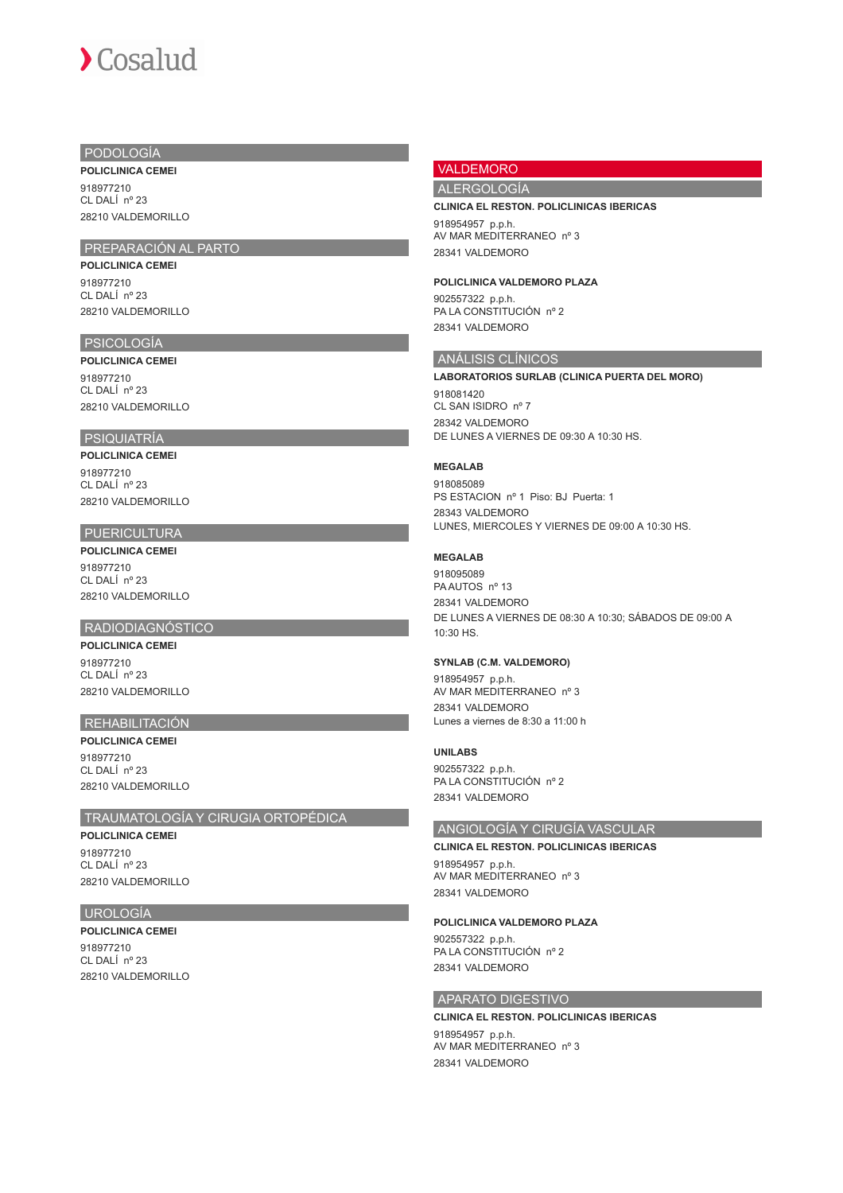## PODOLOGÍA

**POLICLINICA CEMEI** 918977210 CL DALÍ nº 23 28210 VALDEMORILLO

## PREPARACIÓN AL PARTO

**POLICLINICA CEMEI** 918977210 CL DALÍ nº 23 28210 VALDEMORILLO

## PSICOLOGÍA

**POLICLINICA CEMEI** 918977210 CL DALÍ nº 23 28210 VALDEMORILLO

## PSIQUIATRÍA

**POLICLINICA CEMEI** 918977210 CL DALÍ nº 23

28210 VALDEMORILLO

## PUERICULTURA

**POLICLINICA CEMEI** 918977210 CL DALÍ nº 23 28210 VALDEMORILLO

## RADIODIAGNÓSTICO

**POLICLINICA CEMEI** 918977210 CL DALÍ nº 23 28210 VALDEMORILLO

## REHABILITACIÓN

**POLICLINICA CEMEI** 018077210 CL DALÍ nº 23 28210 VALDEMORILIO

## TRAUMATOLOGÍA Y CIRUGIA ORTOPÉDICA

**POLICLINICA CEMEI** 918977210 CL DALÍ nº 23 28210 VALDEMORILLO

## **UROLOGÍA**

**POLICLINICA CEMEI** 918977210 CL DALÍ nº 23 28210 VALDEMORILLO

## VALDEMORO

## ALERGOLOGÍA

## **CLINICA EL RESTON. POLICLINICAS IBERICAS**

918954957 p.p.h. AV MAR MEDITERRANEO nº 3 28341 VALDEMORO

### **POLICLINICA VALDEMORO PLAZA**

902557322 p.p.h. PA LA CONSTITUCIÓN nº 2 28341 VALDEMORO

## ANÁLISIS CLÍNICOS

### **LABORATORIOS SURLAB (CLINICA PUERTA DEL MORO)**

918081420 CL SAN ISIDRO nº 7 28342 VALDEMORO DE LUNES A VIERNES DE 09:30 A 10:30 HS.

## **MEGALAB**

918085089 PS ESTACION nº 1 Piso: BJ Puerta: 1 28343 VALDEMORO LUNES, MIERCOLES Y VIERNES DE 09:00 A 10:30 HS.

## **MEGALAB**

918095089 PA AUTOS nº 13 28341 VALDEMORO DE LUNES A VIERNES DE 08:30 A 10:30; SÁBADOS DE 09:00 A 10:30 HS.

## **SYNLAB (C.M. VALDEMORO)**

918954957 p.p.h. AV MAR MEDITERRANEO nº 3 28341 VALDEMORO Lunes a viernes de 8:30 a 11:00 h

## **UNILABS**

902557322 p.p.h. PA LA CONSTITUCIÓN nº 2 28341 VALDEMORO

## ANGIOLOGÍA Y CIRUGÍA VASCULAR

### **CLINICA EL RESTON. POLICLINICAS IBERICAS**

918954957 p.p.h. AV MAR MEDITERRANEO nº 3 28341 VALDEMORO

## **POLICLINICA VALDEMORO PLAZA**

902557322 p.p.h. PA LA CONSTITUCIÓN nº 2 28341 VALDEMORO

## APARATO DIGESTIVO

**CLINICA EL RESTON. POLICLINICAS IBERICAS** 918954957 p.p.h. AV MAR MEDITERRANEO nº 3 28341 VALDEMORO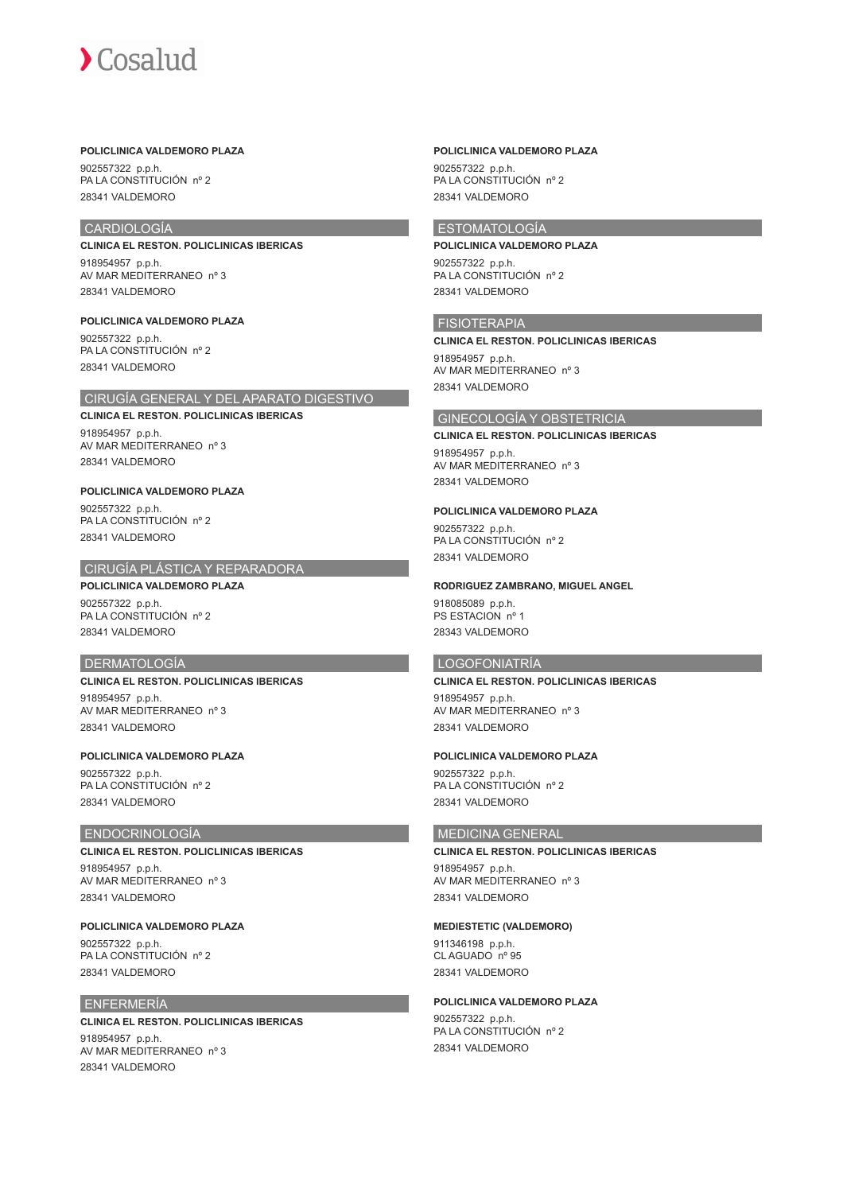## **POLICLINICA VALDEMORO PLAZA**

902557322 p.p.h. PA LA CONSTITUCIÓN nº 2 28341 VALDEMORO

## CARDIOLOGÍA

**CLINICA EL RESTON. POLICLINICAS IBERICAS** 918954957 p.p.h. AV MAR MEDITERRANEO nº 3 28341 VALDEMORO

**POLICLINICA VALDEMORO PLAZA** 902557322 p.p.h. PA LA CONSTITUCIÓN nº 2 28341 VALDEMORO

## CIRUGÍA GENERAL Y DEL APARATO DIGESTIVO

**CLINICA EL RESTON. POLICLINICAS IBERICAS** 918954957 p.p.h. AV MAR MEDITERRANEO nº 3 28341 VALDEMORO

## **POLICLINICA VALDEMORO PLAZA**

902557322 p.p.h. PA LA CONSTITUCIÓN nº 2 28341 VALDEMORO

## CIRUGÍA PLÁSTICA Y REPARADORA

## **POLICLINICA VALDEMORO PLAZA**

902557322 p.p.h. PA LA CONSTITUCIÓN nº 2 28341 VALDEMORO

### DERMATOLOGÍA

## **CLINICA EL RESTON. POLICLINICAS IBERICAS**

918954957 p.p.h. AV MAR MEDITERRANEO nº 3 28341 VALDEMORO

## **POLICLINICA VALDEMORO PLAZA**

902557322 p.p.h. PA LA CONSTITUCIÓN nº 2 28341 VALDEMORO

## ENDOCRINOLOGÍA

### **CLINICA EL RESTON. POLICLINICAS IBERICAS**

918954957 p.p.h. AV MAR MEDITERRANEO nº 3 28341 VALDEMORO

## **POLICLINICA VALDEMORO PLAZA**

902557322 p.p.h. PA LA CONSTITUCIÓN nº 2 28341 VALDEMORO

## ENFERMERÍA

## **CLINICA EL RESTON. POLICLINICAS IBERICAS** 918954957 p.p.h. AV MAR MEDITERRANEO nº 3 28341 VALDEMORO

### **POLICLINICA VALDEMORO PLAZA**

902557322 p.p.h. PA LA CONSTITUCIÓN nº 2 28341 VALDEMORO

## ESTOMATOLOGÍA

**POLICLINICA VALDEMORO PLAZA** 902557322 p.p.h. PA LA CONSTITUCIÓN nº 2 28341 VALDEMORO

### **FISIOTERAPIA**

**CLINICA EL RESTON. POLICLINICAS IBERICAS** 918954957 p.p.h. AV MAR MEDITERRANEO nº 3 28341 VALDEMORO

### GINECOLOGÍA Y OBSTETRICIA

### **CLINICA EL RESTON. POLICLINICAS IBERICAS**

918954957 p.p.h. AV MAR MEDITERRANEO nº 3 28341 VALDEMORO

### **POLICLINICA VALDEMORO PLAZA**

902557322 p.p.h. PA LA CONSTITUCIÓN nº 2 28341 VALDEMORO

### **RODRIGUEZ ZAMBRANO, MIGUEL ANGEL**

918085089 p.p.h. PS ESTACION nº 1 28343 VALDEMORO

### LOGOFONIATRÍA

## **CLINICA EL RESTON. POLICLINICAS IBERICAS**

918954957 p.p.h. AV MAR MEDITERRANEO nº 3 28341 VALDEMORO

## **POLICLINICA VALDEMORO PLAZA**

902557322 p.p.h. PA LA CONSTITUCIÓN nº 2 28341 VALDEMORO

## MEDICINA GENERAL

### **CLINICA EL RESTON. POLICLINICAS IBERICAS**

918954957 p.p.h. AV MAR MEDITERRANEO nº 3 28341 VALDEMORO

## **MEDIESTETIC (VALDEMORO)**

911346198 p.p.h. CL AGUADO nº 95 28341 VALDEMORO

## **POLICLINICA VALDEMORO PLAZA**

902557322 p.p.h. PA LA CONSTITUCIÓN nº 2 28341 VALDEMORO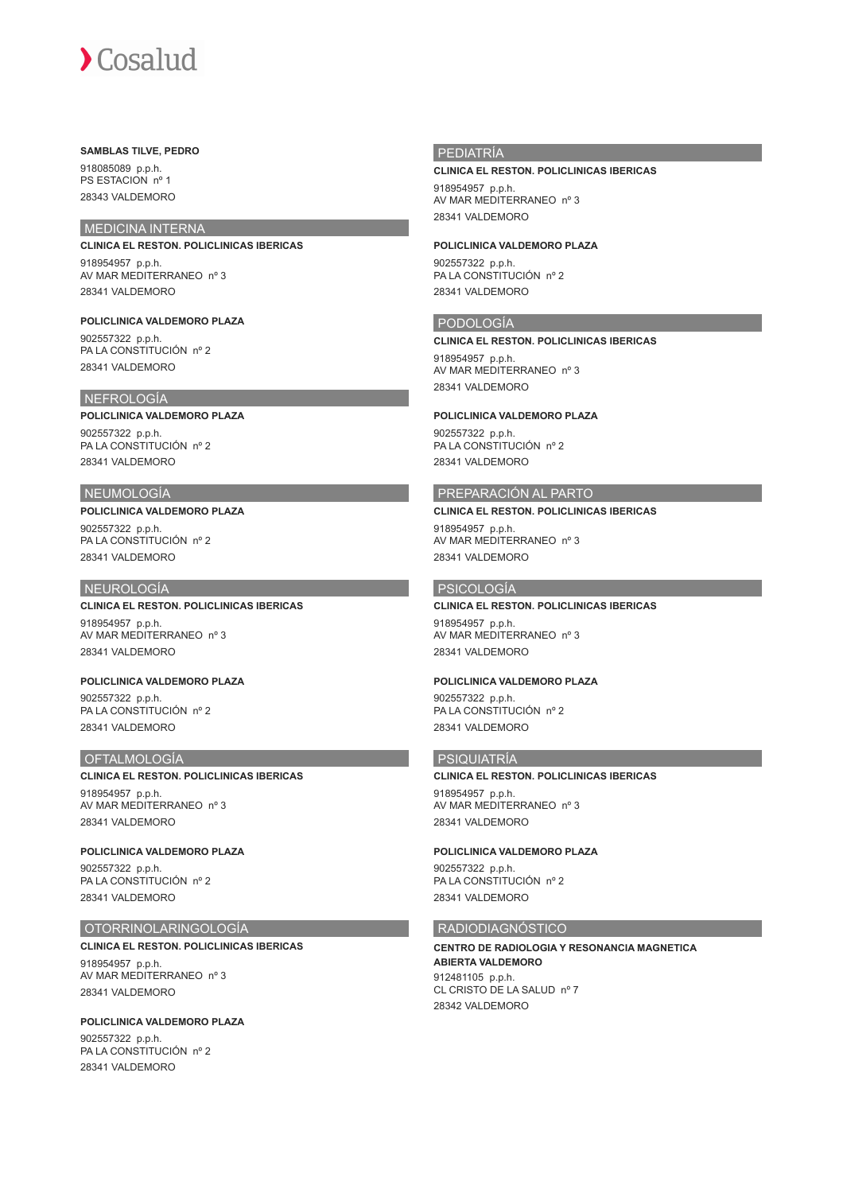## **SAMBLAS TILVE, PEDRO**

918085089 p.p.h. PS ESTACION nº 1 28343 VALDEMORO

## MEDICINA INTERNA

**CLINICA EL RESTON. POLICLINICAS IBERICAS** 918954957 p.p.h. AV MAR MEDITERRANEO nº 3 28341 VALDEMORO

**POLICLINICA VALDEMORO PLAZA** 902557322 p.p.h. PA LA CONSTITUCIÓN nº 2 28341 VALDEMORO

## NEFROLOGÍA

### **POLICLINICA VALDEMORO PLAZA**

902557322 p.p.h. PA LA CONSTITUCIÓN nº 2 28341 VALDEMORO

## NEUMOLOGÍA

**POLICLINICA VALDEMORO PLAZA** 902557322 p.p.h. PA LA CONSTITUCIÓN nº 2 28341 VALDEMORO

## NEUROLOGÍA

## **CLINICA EL RESTON. POLICLINICAS IBERICAS**

918954957 p.p.h. AV MAR MEDITERRANEO nº 3 28341 VALDEMORO

**POLICLINICA VALDEMORO PLAZA** 902557322 p.p.h. PA LA CONSTITUCIÓN nº 2 28341 VALDEMORO

### **OFTALMOLOGÍA**

### **CLINICA EL RESTON. POLICLINICAS IBERICAS**

918954957 p.p.h. AV MAR MEDITERRANEO nº 3 28341 VALDEMORO

**POLICLINICA VALDEMORO PLAZA** 902557322 p.p.h. PA LA CONSTITUCIÓN nº 2 28341 VALDEMORO

## OTORRINOLARINGOLOGÍA

**CLINICA EL RESTON. POLICLINICAS IBERICAS** 918954957 p.p.h.

AV MAR MEDITERRANEO nº 3 28341 VALDEMORO

**POLICLINICA VALDEMORO PLAZA** 902557322 p.p.h. PA LA CONSTITUCIÓN nº 2 28341 VALDEMORO

## PEDIATRÍA

### **CLINICA EL RESTON. POLICLINICAS IBERICAS**

918954957 p.p.h. AV MAR MEDITERRANEO nº 3 28341 VALDEMORO

**POLICLINICA VALDEMORO PLAZA** 902557322 p.p.h.

PA LA CONSTITUCIÓN nº 2 28341 VALDEMORO

## PODOLOGÍA

**CLINICA EL RESTON. POLICLINICAS IBERICAS** 918954957 p.p.h. AV MAR MEDITERRANEO nº 3 28341 VALDEMORO

### **POLICLINICA VALDEMORO PLAZA**

902557322 p.p.h. PA LA CONSTITUCIÓN nº 2 28341 VALDEMORO

## PREPARACIÓN AL PARTO

**CLINICA EL RESTON. POLICLINICAS IBERICAS** 918954957 p.p.h. AV MAR MEDITERRANEO nº 3

28341 VALDEMORO

## PSICOLOGÍA

## **CLINICA EL RESTON. POLICLINICAS IBERICAS** 918954957 p.p.h. AV MAR MEDITERRANEO nº 3 28341 VALDEMORO

### **POLICLINICA VALDEMORO PLAZA**

902557322 p.p.h. PA LA CONSTITUCIÓN nº 2 28341 VALDEMORO

## PSIQUIATRÍA

## **CLINICA EL RESTON. POLICLINICAS IBERICAS**

918954957 p.p.h. AV MAR MEDITERRANEO nº 3 28341 VALDEMORO

### **POLICLINICA VALDEMORO PLAZA**

902557322 p.p.h. PA LA CONSTITUCIÓN nº 2 28341 VALDEMORO

## RADIODIAGNÓSTICO

**CENTRO DE RADIOLOGIA Y RESONANCIA MAGNETICA ABIERTA VALDEMORO** 912481105 p.p.h. CL CRISTO DE LA SALUD nº 7 28342 VALDEMORO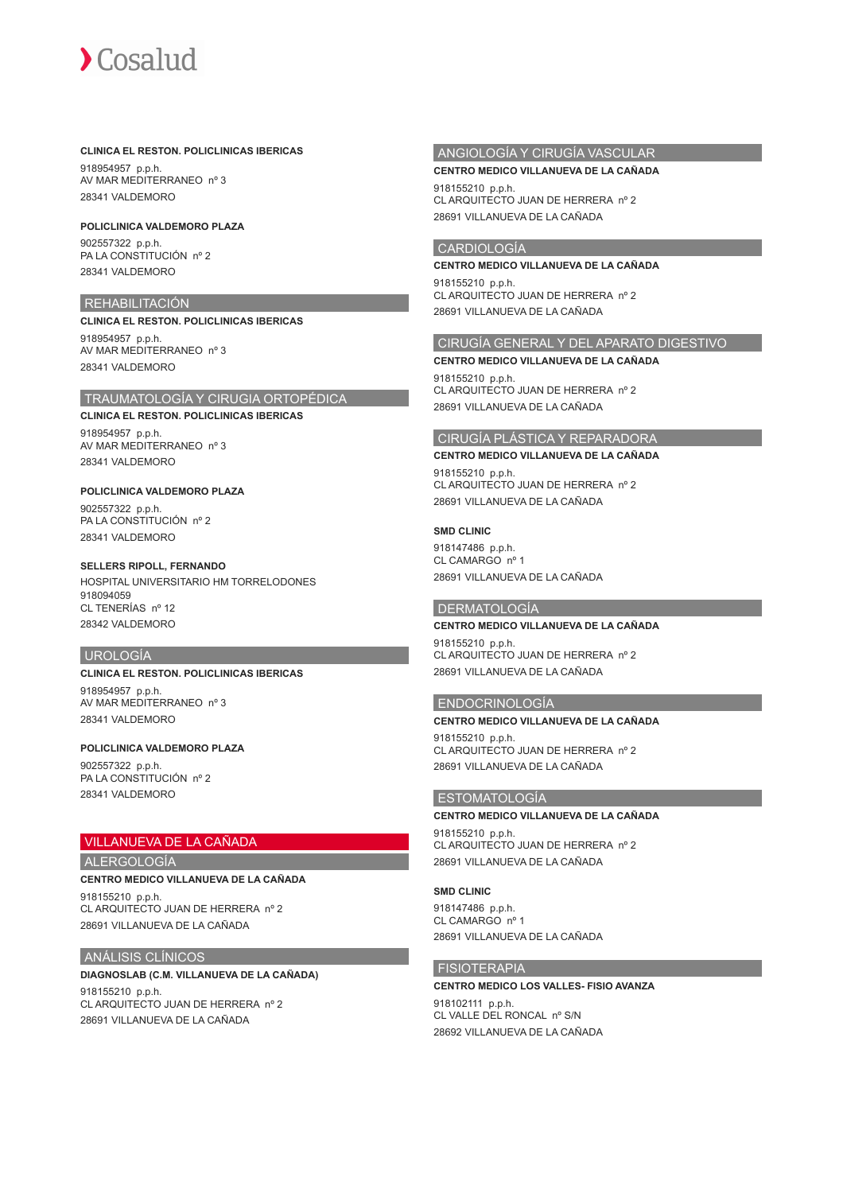

## **CLINICA EL RESTON. POLICLINICAS IBERICAS**

918954957 p.p.h. AV MAR MEDITERRANEO nº 3 28341 VALDEMORO

### **POLICLINICA VALDEMORO PLAZA**

902557322 p.p.h. PA LA CONSTITUCIÓN nº 2 28341 VALDEMORO

## REHABILITACIÓN

**CLINICA EL RESTON. POLICLINICAS IBERICAS** 918954957 p.p.h. AV MAR MEDITERRANEO nº 3 28341 VALDEMORO

## TRAUMATOLOGÍA Y CIRUGIA ORTOPÉDICA

**CLINICA EL RESTON. POLICLINICAS IBERICAS** 918954957 p.p.h. AV MAR MEDITERRANEO nº 3 28341 VALDEMORO

## **POLICLINICA VALDEMORO PLAZA**

902557322 p.p.h. PA LA CONSTITUCIÓN nº 2 28341 VALDEMORO

### **SELLERS RIPOLL, FERNANDO**

HOSPITAL UNIVERSITARIO HM TORRELODONES 918094059 CL TENERÍAS nº 12 28342 VALDEMORO

### UROLOGÍA

**CLINICA EL RESTON. POLICLINICAS IBERICAS**

918954957 p.p.h. AV MAR MEDITERRANEO nº 3 28341 VALDEMORO

## **POLICLINICA VALDEMORO PLAZA**

902557322 p.p.h. PA LA CONSTITUCIÓN nº 2 28341 VALDEMORO

## VILLANUEVA DE LA CAÑADA

### ALERGOLOGÍA

**CENTRO MEDICO VILLANUEVA DE LA CAÑADA**

918155210 p.p.h. CL ARQUITECTO JUAN DE HERRERA nº 2 28691 VILLANUEVA DE LA CAÑADA

## ANÁLISIS CLÍNICOS

## **DIAGNOSLAB (C.M. VILLANUEVA DE LA CAÑADA)**

918155210 p.p.h. CL ARQUITECTO JUAN DE HERRERA nº 2 28691 VILLANUEVA DE LA CAÑADA

## ANGIOLOGÍA Y CIRUGÍA VASCULAR

### **CENTRO MEDICO VILLANUEVA DE LA CAÑADA**

918155210 p.p.h. CL ARQUITECTO JUAN DE HERRERA nº 2 28691 VILLANUEVA DE LA CAÑADA

## CARDIOLOGÍA

### **CENTRO MEDICO VILLANUEVA DE LA CAÑADA**

918155210 p.p.h. CL ARQUITECTO JUAN DE HERRERA nº 2 28691 VILLANUEVA DE LA CAÑADA

## CIRUGÍA GENERAL Y DEL APARATO DIGESTIVO

**CENTRO MEDICO VILLANUEVA DE LA CAÑADA** 918155210 p.p.h.

CL ARQUITECTO JUAN DE HERRERA nº 2 28691 VILLANUEVA DE LA CAÑADA

## CIRUGÍA PLÁSTICA Y REPARADORA

### **CENTRO MEDICO VILLANUEVA DE LA CAÑADA**

918155210 p.p.h. CL ARQUITECTO JUAN DE HERRERA nº 2 28691 VILLANUEVA DE LA CAÑADA

### **SMD CLINIC**

918147486 p.p.h. CL CAMARGO nº 1 28691 VILLANUEVA DE LA CAÑADA

### DERMATOLOGÍA

## **CENTRO MEDICO VILLANUEVA DE LA CAÑADA**

918155210 p.p.h. CL ARQUITECTO JUAN DE HERRERA nº 2 28691 VILLANUEVA DE LA CAÑADA

## ENDOCRINOLOGÍA

## **CENTRO MEDICO VILLANUEVA DE LA CAÑADA** 918155210 p.p.h. CL ARQUITECTO JUAN DE HERRERA nº 2 28691 VILLANUEVA DE LA CAÑADA

## ESTOMATOLOGÍA

**CENTRO MEDICO VILLANUEVA DE LA CAÑADA** 918155210 p.p.h. CL ARQUITECTO JUAN DE HERRERA nº 2

28691 VILLANUEVA DE LA CAÑADA

## **SMD CLINIC**

918147486 p.p.h. CL CAMARGO nº 1 28691 VILLANUEVA DE LA CAÑADA

## FISIOTERAPIA

**CENTRO MEDICO LOS VALLES- FISIO AVANZA** 918102111 p.p.h. CL VALLE DEL RONCAL nº S/N 28692 VILLANUEVA DE LA CAÑADA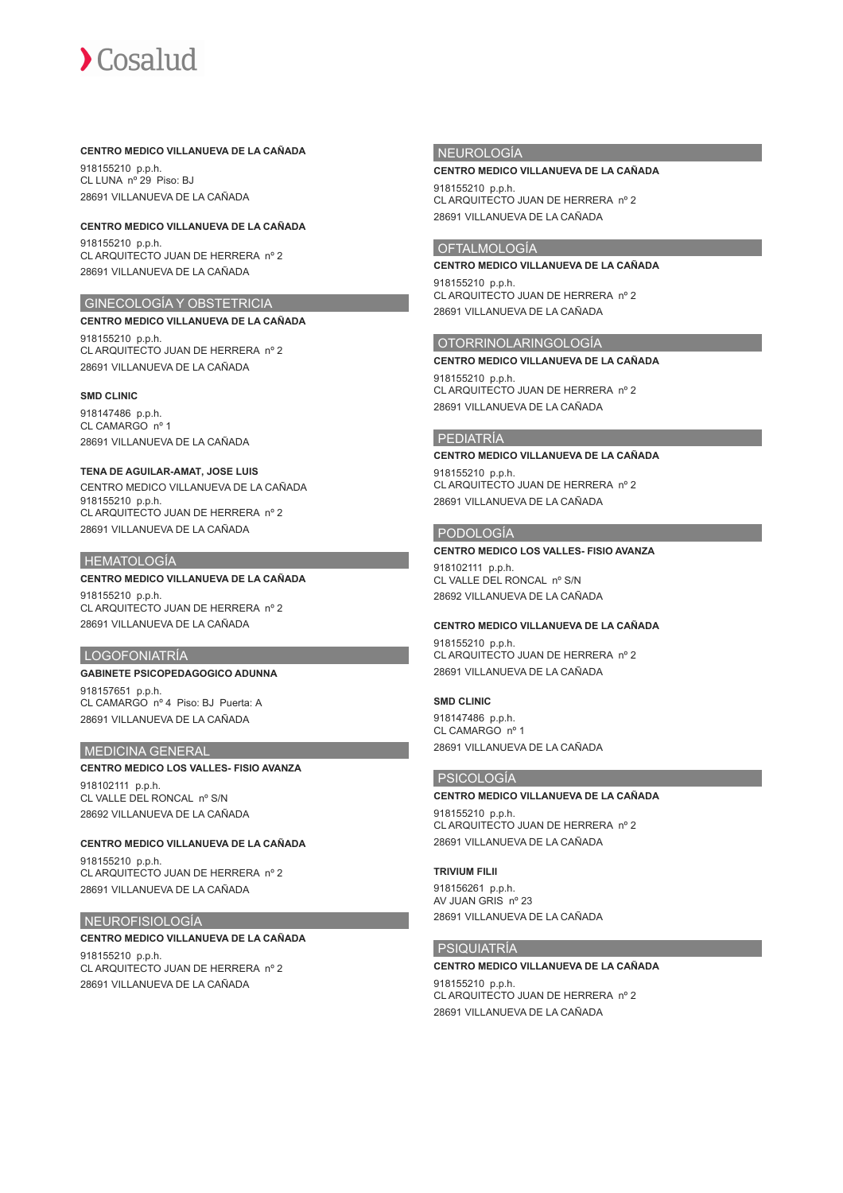## **CENTRO MEDICO VILLANUEVA DE LA CAÑADA**

918155210 p.p.h. CL LUNA nº 29 Piso: BJ 28691 VILLANUEVA DE LA CAÑADA

## **CENTRO MEDICO VILLANUEVA DE LA CAÑADA**

918155210 p.p.h. CL ARQUITECTO JUAN DE HERRERA nº 2 28691 VILLANUEVA DE LA CAÑADA

## GINECOLOGÍA Y OBSTETRICIA

**CENTRO MEDICO VILLANUEVA DE LA CAÑADA** 918155210 p.p.h. CL ARQUITECTO JUAN DE HERRERA nº 2 28691 VILLANUEVA DE LA CAÑADA

### **SMD CLINIC**

918147486 p.p.h. CL CAMARGO nº 1 28691 VILLANUEVA DE LA CAÑADA

## **TENA DE AGUILAR-AMAT, JOSE LUIS**

CENTRO MEDICO VILLANUEVA DE LA CAÑADA 918155210 p.p.h. CL ARQUITECTO JUAN DE HERRERA nº 2 28691 VILLANUEVA DE LA CAÑADA

## HEMATOLOGÍA

## **CENTRO MEDICO VILLANUEVA DE LA CAÑADA**

918155210 p.p.h. CL ARQUITECTO JUAN DE HERRERA nº 2 28691 VILLANUEVA DE LA CAÑADA

## LOGOFONIATRÍA

## **GABINETE PSICOPEDAGOGICO ADUNNA**

918157651 p.p.h. CL CAMARGO nº 4 Piso: BJ Puerta: A 28691 VILLANUEVA DE LA CAÑADA

### MEDICINA GENERAL

## **CENTRO MEDICO LOS VALLES- FISIO AVANZA** 918102111 p.p.h. CL VALLE DEL RONCAL nº S/N

28692 VILLANUEVA DE LA CAÑADA

## **CENTRO MEDICO VILLANUEVA DE LA CAÑADA** 918155210 p.p.h.

CL ARQUITECTO JUAN DE HERRERA nº 2 28691 VILLANUEVA DE LA CAÑADA

## NEUROFISIOLOGÍA

## **CENTRO MEDICO VILLANUEVA DE LA CAÑADA**

918155210 p.p.h. CL ARQUITECTO JUAN DE HERRERA nº 2 28691 VILLANUEVA DE LA CAÑADA

## NEUROLOGÍA

## **CENTRO MEDICO VILLANUEVA DE LA CAÑADA**

918155210 p.p.h. CL ARQUITECTO JUAN DE HERRERA nº 2 28691 VILLANUEVA DE LA CAÑADA

## OFTALMOLOGÍA

**CENTRO MEDICO VILLANUEVA DE LA CAÑADA** 918155210 p.p.h. CL ARQUITECTO JUAN DE HERRERA nº 2 28691 VILLANUEVA DE LA CAÑADA

## OTORRINOLARINGOLOGÍA

### **CENTRO MEDICO VILLANUEVA DE LA CAÑADA**

918155210 p.p.h. CL ARQUITECTO JUAN DE HERRERA nº 2 28691 VILLANUEVA DE LA CAÑADA

## PEDIATRÍA

## **CENTRO MEDICO VILLANUEVA DE LA CAÑADA**

918155210 p.p.h. CL ARQUITECTO JUAN DE HERRERA nº 2 28691 VILLANUEVA DE LA CAÑADA

## PODOLOGÍA

### **CENTRO MEDICO LOS VALLES- FISIO AVANZA**

918102111 p.p.h. CL VALLE DEL RONCAL nº S/N 28692 VILLANUEVA DE LA CAÑADA

## **CENTRO MEDICO VILLANUEVA DE LA CAÑADA**

918155210 p.p.h. CL ARQUITECTO JUAN DE HERRERA nº 2 28691 VILLANUEVA DE LA CAÑADA

## **SMD CLINIC**

918147486 p.p.h. CL CAMARGO nº 1 28691 VILLANUEVA DE LA CAÑADA

## PSICOLOGÍA

**CENTRO MEDICO VILLANUEVA DE LA CAÑADA** 918155210 p.p.h. CL ARQUITECTO JUAN DE HERRERA nº 2 28691 VILLANUEVA DE LA CAÑADA

## **TRIVIUM FILII**

918156261 p.p.h. AV JUAN GRIS nº 23 28691 VILLANUEVA DE LA CAÑADA

## PSIQUIATRÍA

## **CENTRO MEDICO VILLANUEVA DE LA CAÑADA** 918155210 p.p.h. CL ARQUITECTO JUAN DE HERRERA nº 2 28691 VILLANUEVA DE LA CAÑADA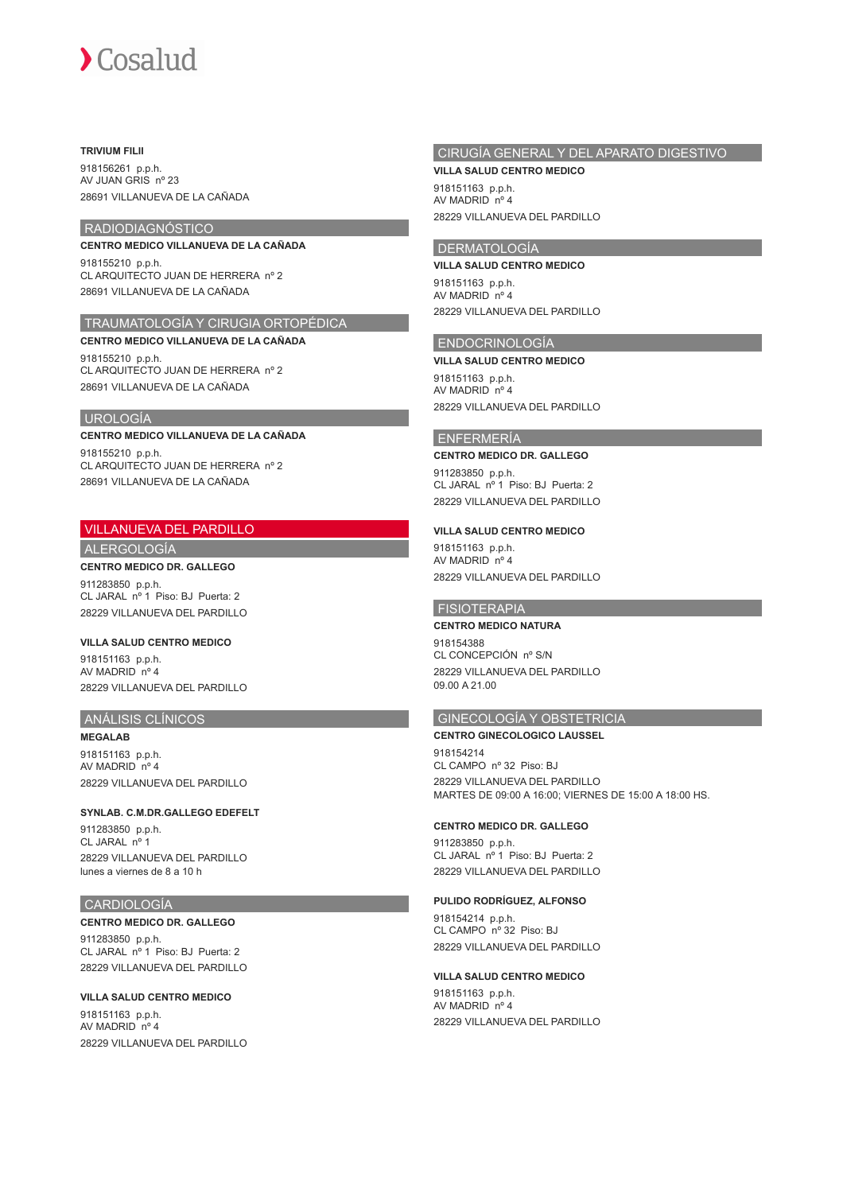### **TRIVIUM FILII**

918156261 p.p.h. AV JUAN GRIS nº 23 28691 VILLANUEVA DE LA CAÑADA

## RADIODIAGNÓSTICO

**CENTRO MEDICO VILLANUEVA DE LA CAÑADA** 918155210 p.p.h.

CL ARQUITECTO JUAN DE HERRERA nº 2 28691 VILLANUEVA DE LA CAÑADA

## TRAUMATOLOGÍA Y CIRUGIA ORTOPÉDICA

**CENTRO MEDICO VILLANUEVA DE LA CAÑADA** 918155210 p.p.h. CL ARQUITECTO JUAN DE HERRERA nº 2 28691 VILLANUEVA DE LA CAÑADA

## UROLOGÍA

### **CENTRO MEDICO VILLANUEVA DE LA CAÑADA**

918155210 p.p.h. CL ARQUITECTO JUAN DE HERRERA nº 2 28691 VILLANUEVA DE LA CAÑADA

## VILLANUEVA DEL PARDILLO

ALERGOLOGÍA

## **CENTRO MEDICO DR. GALLEGO**

911283850 p.p.h. CL JARAL nº 1 Piso: BJ Puerta: 2 28229 VILLANUEVA DEL PARDILLO

## **VILLA SALUD CENTRO MEDICO**

918151163 p.p.h. AV MADRID nº 4 28229 VILLANUEVA DEL PARDILLO

## ANÁLISIS CLÍNICOS

**MEGALAB** 918151163 p.p.h. AV MADRID nº 4 28229 VILLANUEVA DEL PARDILLO

## **SYNLAB. C.M.DR.GALLEGO EDEFELT**

911283850 p.p.h. CL JARAL nº 1 28229 VILLANUEVA DEL PARDILLO lunes a viernes de 8 a 10 h

## CARDIOLOGÍA

**CENTRO MEDICO DR. GALLEGO** 911283850 p.p.h. CL JARAL nº 1 Piso: BJ Puerta: 2 28229 VILLANUEVA DEL PARDILLO

## **VILLA SALUD CENTRO MEDICO**

918151163 p.p.h. AV MADRID nº 4 28229 VILLANUEVA DEL PARDILLO

# CIRUGÍA GENERAL Y DEL APARATO DIGESTIVO

**VILLA SALUD CENTRO MEDICO** 918151163 p.p.h. AV MADRID nº 4 28229 VILLANUEVA DEL PARDILLO

## DERMATOLOGÍA

**VILLA SALUD CENTRO MEDICO**

918151163 p.p.h. AV MADRID nº 4 28229 VILLANUEVA DEL PARDILLO

## ENDOCRINOLOGÍA

### **VILLA SALUD CENTRO MEDICO**

918151163 p.p.h. AV MADRID nº 4 28229 VILLANUEVA DEL PARDILLO

## ENFERMERÍA

## **CENTRO MEDICO DR. GALLEGO**

911283850 p.p.h. CL JARAL nº 1 Piso: BJ Puerta: 2 28229 VILLANUEVA DEL PARDILLO

## **VILLA SALUD CENTRO MEDICO**

918151163 p.p.h. AV MADRID nº 4 28229 VILLANUEVA DEL PARDILLO

## **FISIOTERAPIA**

### **CENTRO MEDICO NATURA**

918154388 CL CONCEPCIÓN nº S/N 28229 VILLANUEVA DEL PARDILLO 09.00 A 21.00

## GINECOLOGÍA Y OBSTETRICIA

**CENTRO GINECOLOGICO LAUSSEL** 918154214 CL CAMPO nº 32 Piso: BJ 28229 VILLANUEVA DEL PARDILLO MARTES DE 09:00 A 16:00; VIERNES DE 15:00 A 18:00 HS.

## **CENTRO MEDICO DR. GALLEGO**

911283850 p.p.h. CL JARAL nº 1 Piso: BJ Puerta: 2 28229 VILLANUEVA DEL PARDILLO

## **PULIDO RODRÍGUEZ, ALFONSO**

918154214 p.p.h. CL CAMPO nº 32 Piso: BJ 28229 VILLANUEVA DEL PARDILLO

## **VILLA SALUD CENTRO MEDICO**

918151163 p.p.h. AV MADRID nº 4 28229 VILLANUEVA DEL PARDILLO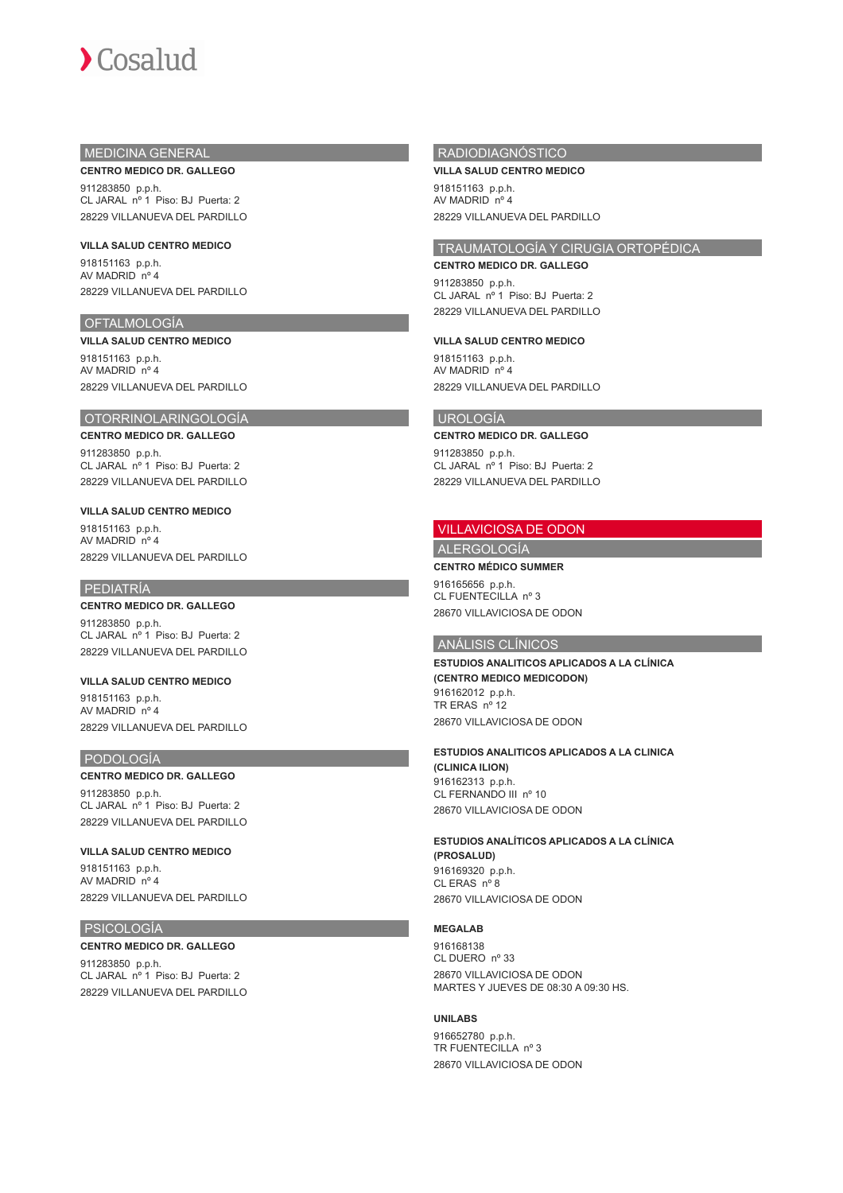## MEDICINA GENERAL

## **CENTRO MEDICO DR. GALLEGO**

911283850 p.p.h. CL JARAL nº 1 Piso: BJ Puerta: 2 28229 VILLANUEVA DEL PARDILLO

**VILLA SALUD CENTRO MEDICO** 918151163 p.p.h. AV MADRID nº 4 28229 VILLANUEVA DEL PARDILLO

## OFTALMOLOGÍA

**VILLA SALUD CENTRO MEDICO** 918151163 p.p.h. AV MADRID nº 4 28229 VILLANUEVA DEL PARDILLO

## OTORRINOLARINGOLOGÍA

**CENTRO MEDICO DR. GALLEGO** 911283850 p.p.h. CL JARAL nº 1 Piso: BJ Puerta: 2 28229 VILLANUEVA DEL PARDILLO

### **VILLA SALUD CENTRO MEDICO**

918151163 p.p.h. AV MADRID nº 4 28229 VILLANUEVA DEL PARDILLO

## PEDIATRÍA

## **CENTRO MEDICO DR. GALLEGO**

911283850 p.p.h. CL JARAL nº 1 Piso: BJ Puerta: 2 28229 VILLANUEVA DEL PARDILLO

**VILLA SALUD CENTRO MEDICO** 918151163 p.p.h. AV MADRID nº 4 28229 VILLANUEVA DEL PARDILLO

### PODOLOGÍA

### **CENTRO MEDICO DR. GALLEGO**

911283850 p.p.h. CL JARAL nº 1 Piso: BJ Puerta: 2 28229 VILLANUEVA DEL PARDILLO

**VILLA SALUD CENTRO MEDICO** 918151163 p.p.h. AV MADRID nº 4 28229 VILLANUEVA DEL PARDILLO

### PSICOLOGÍA

## **CENTRO MEDICO DR. GALLEGO** 911283850 p.p.h. CL JARAL nº 1 Piso: BJ Puerta: 2

28229 VILLANUEVA DEL PARDILLO

## RADIODIAGNÓSTICO

**VILLA SALUD CENTRO MEDICO** 918151163 p.p.h. AV MADRID nº 4 28229 VILLANUEVA DEL PARDILLO

## TRAUMATOLOGÍA Y CIRUGIA ORTOPÉDICA

**CENTRO MEDICO DR. GALLEGO** 911283850 p.p.h. CL JARAL nº 1 Piso: BJ Puerta: 2 28229 VILLANUEVA DEL PARDILLO

### **VILLA SALUD CENTRO MEDICO**

918151163 p.p.h. AV MADRID nº 4 28229 VILLANUEVA DEL PARDILLO

### UROLOGÍA

## **CENTRO MEDICO DR. GALLEGO**

911283850 p.p.h. CL JARAL nº 1 Piso: BJ Puerta: 2 28229 VILLANUEVA DEL PARDILLO

### VILLAVICIOSA DE ODON

ALERGOLOGÍA **CENTRO MÉDICO SUMMER**

916165656 p.p.h. CL FUENTECILLA nº 3 28670 VILLAVICIOSA DE ODON

## ANÁLISIS CLÍNICOS

**ESTUDIOS ANALITICOS APLICADOS A LA CLÍNICA (CENTRO MEDICO MEDICODON)** 916162012 p.p.h. TR ERAS nº 12 28670 VILLAVICIOSA DE ODON

## **ESTUDIOS ANALITICOS APLICADOS A LA CLINICA (CLINICA ILION)** 916162313 p.p.h.

CL FERNANDO III nº 10 28670 VILLAVICIOSA DE ODON

**ESTUDIOS ANALÍTICOS APLICADOS A LA CLÍNICA (PROSALUD)** 916169320 p.p.h. CL ERAS nº 8 28670 VILLAVICIOSA DE ODON

### **MEGALAB**

916168138 CL DUERO nº 33 28670 VILLAVICIOSA DE ODON MARTES Y JUEVES DE 08:30 A 09:30 HS.

### **UNILABS**

916652780 p.p.h. TR FUENTECILLA nº 3 28670 VILLAVICIOSA DE ODON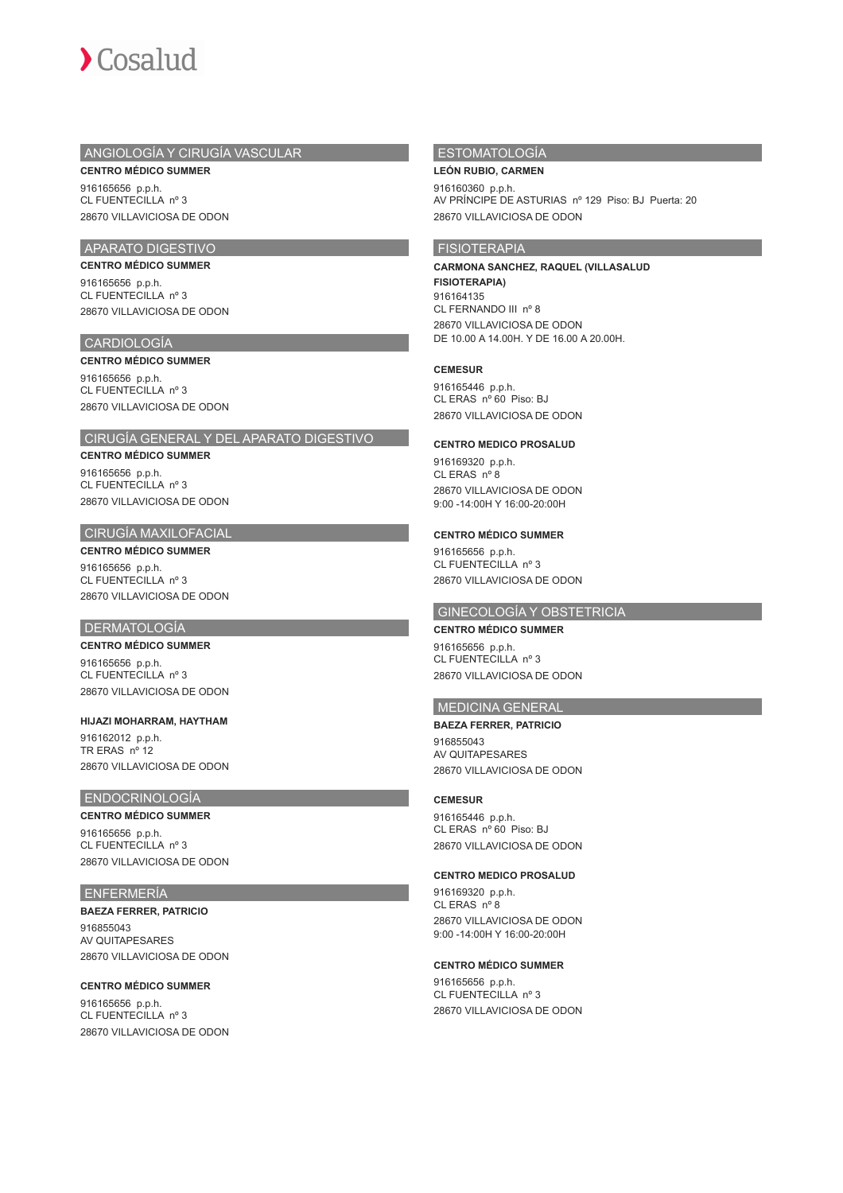

## ANGIOLOGÍA Y CIRUGÍA VASCULAR

**CENTRO MÉDICO SUMMER** 916165656 p.p.h. CL FUENTECILLA nº 3 28670 VILLAVICIOSA DE ODON

# APARATO DIGESTIVO

**CENTRO MÉDICO SUMMER** 916165656 p.p.h. CL FUENTECILLA nº 3 28670 VILLAVICIOSA DE ODON

## CARDIOLOGÍA

#### **CENTRO MÉDICO SUMMER**

916165656 p.p.h. CL FUENTECILLA nº 3 28670 VILLAVICIOSA DE ODON

## CIRUGÍA GENERAL Y DEL APARATO DIGESTIVO

### **CENTRO MÉDICO SUMMER**

916165656 p.p.h. CL FUENTECILLA nº 3 28670 VILLAVICIOSA DE ODON

## CIRUGÍA MAXILOFACIAL

### **CENTRO MÉDICO SUMMER**

916165656 p.p.h. CL FUENTECILLA nº 3 28670 VILLAVICIOSA DE ODON

## **DERMATOLOGÍA**

## **CENTRO MÉDICO SUMMER**

916165656 p.p.h. CL FUENTECILLA nº 3 28670 VILLAVICIOSA DE ODON

## **HIJAZI MOHARRAM, HAYTHAM**

916162012 p.p.h. TR ERAS nº 12 28670 VILLAVICIOSA DE ODON

## ENDOCRINOLOGÍA

**CENTRO MÉDICO SUMMER** 916165656 p.p.h. CL FUENTECILLA nº 3 28670 VILLAVICIOSA DE ODON

### ENFERMERÍA

## **BAEZA FERRER, PATRICIO**

916855043 AV QUITAPESARES 28670 VILLAVICIOSA DE ODON

## **CENTRO MÉDICO SUMMER**

916165656 p.p.h. CL FUENTECILLA nº 3 28670 VILLAVICIOSA DE ODON

## ESTOMATOLOGÍA

## **LEÓN RUBIO, CARMEN**

916160360 p.p.h. AV PRÍNCIPE DE ASTURIAS nº 129 Piso: BJ Puerta: 20 28670 VILLAVICIOSA DE ODON

## FISIOTERAPIA

## **CARMONA SANCHEZ, RAQUEL (VILLASALUD FISIOTERAPIA)** 916164135 CL FERNANDO III nº 8

28670 VILLAVICIOSA DE ODON DE 10.00 A 14.00H. Y DE 16.00 A 20.00H.

### **CEMESUR**

916165446 p.p.h. CL ERAS nº 60 Piso: BJ 28670 VILLAVICIOSA DE ODON

### **CENTRO MEDICO PROSALUD**

916169320 p.p.h. CL ERAS nº 8 28670 VILLAVICIOSA DE ODON 9:00 -14:00H Y 16:00-20:00H

## **CENTRO MÉDICO SUMMER**

916165656 p.p.h. CL FUENTECILLA nº 3 28670 VILLAVICIOSA DE ODON

## GINECOLOGÍA Y OBSTETRICIA

## **CENTRO MÉDICO SUMMER**

916165656 p.p.h. CL FUENTECILLA nº 3 28670 VILLAVICIOSA DE ODON

## MEDICINA GENERAL

### **BAEZA FERRER, PATRICIO**

916855043 AV QUITAPESARES 28670 VILLAVICIOSA DE ODON

## **CEMESUR**

916165446 p.p.h. CL ERAS nº 60 Piso: BJ 28670 VILLAVICIOSA DE ODON

## **CENTRO MEDICO PROSALUD**

916169320 p.p.h. CL ERAS nº 8 28670 VILLAVICIOSA DE ODON 9:00 -14:00H Y 16:00-20:00H

### **CENTRO MÉDICO SUMMER**

916165656 p.p.h. CL FUENTECILLA nº 3 28670 VILLAVICIOSA DE ODON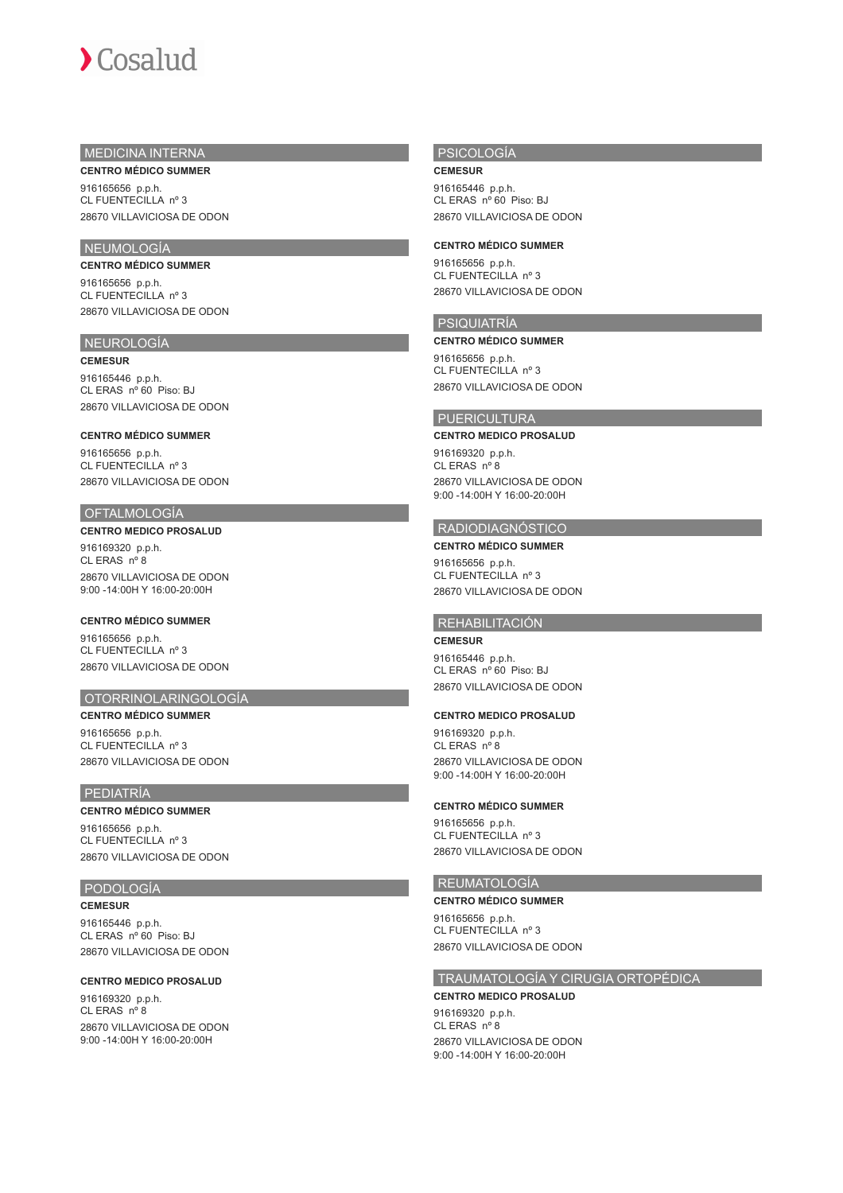

## MEDICINA INTERNA **CENTRO MÉDICO SUMMER**

916165656 p.p.h. CL FUENTECILLA nº 3 28670 VILLAVICIOSA DE ODON

## NEUMOLOGÍA

**CENTRO MÉDICO SUMMER** 916165656 p.p.h.

CL FUENTECILLA nº 3 28670 VILLAVICIOSA DE ODON

## NEUROLOGÍA

**CEMESUR** 916165446 p.p.h. CL ERAS nº 60 Piso: BJ 28670 VILLAVICIOSA DE ODON

#### **CENTRO MÉDICO SUMMER**

916165656 p.p.h. CL FUENTECILLA nº 3 28670 VILLAVICIOSA DE ODON

# OFTALMOLOGÍA

## **CENTRO MEDICO PROSALUD**

916169320 p.p.h. CL ERAS nº 8 28670 VILLAVICIOSA DE ODON 9:00 -14:00H Y 16:00-20:00H

### **CENTRO MÉDICO SUMMER**

916165656 p.p.h. CL FUENTECILLA nº 3 28670 VILLAVICIOSA DE ODON

## OTORRINOLARINGOLOGÍA

**CENTRO MÉDICO SUMMER** 916165656 p.p.h. CL FUENTECILLA nº 3 28670 VILLAVICIOSA DE ODON

# PEDIATRÍA

# **CENTRO MÉDICO SUMMER**

916165656 p.p.h. CL FUENTECILLA nº 3 28670 VILLAVICIOSA DE ODON

## PODOLOGÍA

**CEMESUR**

916165446 p.p.h. CL ERAS nº 60 Piso: BJ 28670 VILLAVICIOSA DE ODON

### **CENTRO MEDICO PROSALUD**

916169320 p.p.h. CL ERAS nº 8 28670 VILLAVICIOSA DE ODON 9:00 -14:00H Y 16:00-20:00H

## PSICOLOGÍA

**CEMESUR**

916165446 p.p.h. CL ERAS nº 60 Piso: BJ 28670 VILLAVICIOSA DE ODON

### **CENTRO MÉDICO SUMMER**

916165656 p.p.h. CL FUENTECILLA nº 3 28670 VILLAVICIOSA DE ODON

## PSIQUIATRÍA

**CENTRO MÉDICO SUMMER**

916165656 p.p.h. CL FUENTECILLA nº 3 28670 VILLAVICIOSA DE ODON

### PUERICULTURA

### **CENTRO MEDICO PROSALUD**

916169320 p.p.h. CL ERAS nº 8 28670 VILLAVICIOSA DE ODON 9:00 -14:00H Y 16:00-20:00H

### RADIODIAGNÓSTICO

**CENTRO MÉDICO SUMMER** 916165656 p.p.h. CL FUENTECILLA nº 3 28670 VILLAVICIOSA DE ODON

### REHABILITACIÓN

**CEMESUR** 916165446 p.p.h. CL ERAS nº 60 Piso: BJ 28670 VILLAVICIOSA DE ODON

### **CENTRO MEDICO PROSALUD**

916169320 p.p.h. CL ERAS nº 8 28670 VILLAVICIOSA DE ODON 9:00 -14:00H Y 16:00-20:00H

### **CENTRO MÉDICO SUMMER**

916165656 p.p.h. CL FUENTECILLA nº 3 28670 VILLAVICIOSA DE ODON

## REUMATOLOGÍA

### **CENTRO MÉDICO SUMMER**

916165656 p.p.h. CL FUENTECILLA nº 3 28670 VILLAVICIOSA DE ODON

## TRAUMATOLOGÍA Y CIRUGIA ORTOPÉDICA

### **CENTRO MEDICO PROSALUD**

916169320 p.p.h. CL ERAS nº 8 28670 VILLAVICIOSA DE ODON 9:00 -14:00H Y 16:00-20:00H